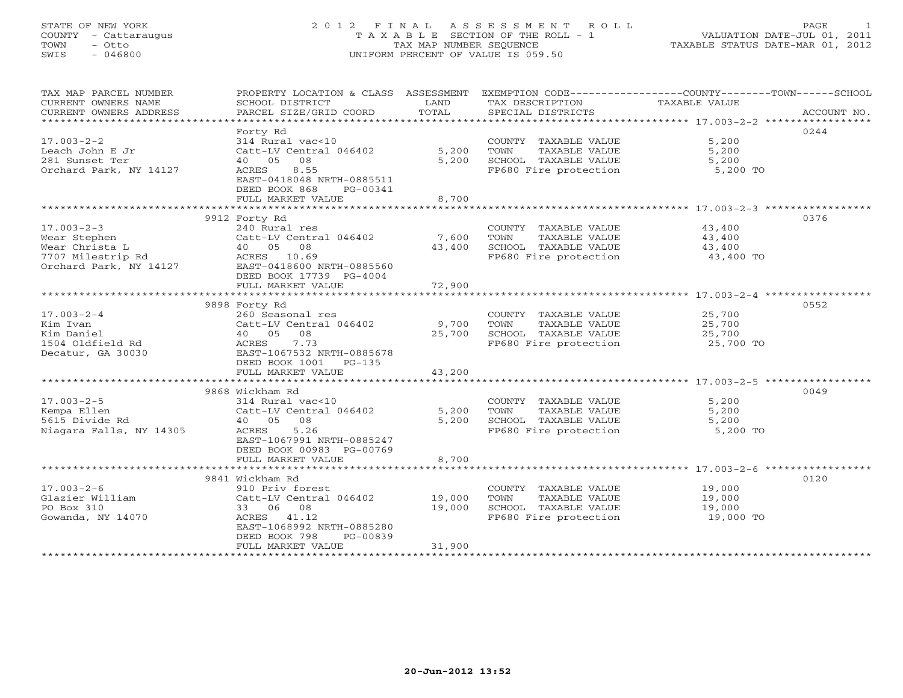# STATE OF NEW YORK 2 0 1 2 F I N A L A S S E S S M E N T R O L L PAGE 1 COUNTY - Cattaraugus T A X A B L E SECTION OF THE ROLL - 1 VALUATION DATE-JUL 01, 2011 TOWN - Otto TAX MAP NUMBER SEQUENCE TAXABLE STATUS DATE-MAR 01, 2012 SWIS - 046800 UNIFORM PERCENT OF VALUE IS 059.50UNIFORM PERCENT OF VALUE IS 059.50

| TAX MAP PARCEL NUMBER<br>CURRENT OWNERS NAME<br>CURRENT OWNERS ADDRESS                            | SCHOOL DISTRICT<br>PARCEL SIZE/GRID COORD                                                                                                                                   | LAND<br>TOTAL              | TAX DESCRIPTION TAXABLE VALUE<br>SPECIAL DISTRICTS                                             | PROPERTY LOCATION & CLASS ASSESSMENT EXEMPTION CODE---------------COUNTY-------TOWN-----SCHOOL<br>ACCOUNT NO. |
|---------------------------------------------------------------------------------------------------|-----------------------------------------------------------------------------------------------------------------------------------------------------------------------------|----------------------------|------------------------------------------------------------------------------------------------|---------------------------------------------------------------------------------------------------------------|
| $17.003 - 2 - 2$<br>Leach John E Jr<br>281 Sunset Ter<br>Orchard Park, NY 14127                   | Forty Rd<br>314 Rural vac<10<br>Catt-LV Central 046402<br>40 05 08<br>8.55<br>ACRES<br>EAST-0418048 NRTH-0885511<br>DEED BOOK 868<br>PG-00341<br>FULL MARKET VALUE          | 5,200<br>5,200<br>8,700    | COUNTY TAXABLE VALUE<br>TOWN<br>TAXABLE VALUE<br>SCHOOL TAXABLE VALUE<br>FP680 Fire protection | 0244<br>5,200<br>5,200<br>5,200<br>5,200 TO                                                                   |
|                                                                                                   |                                                                                                                                                                             |                            |                                                                                                |                                                                                                               |
| $17.003 - 2 - 3$<br>Wear Stephen<br>Wear Christa L<br>7707 Milestrip Rd<br>Orchard Park, NY 14127 | 9912 Forty Rd<br>240 Rural res<br>Catt-LV Central 046402<br>40 05 08<br>ACRES 10.69<br>EAST-0418600 NRTH-0885560<br>DEED BOOK 17739 PG-4004                                 | 7,600<br>43,400            | COUNTY TAXABLE VALUE<br>TAXABLE VALUE<br>TOWN<br>SCHOOL TAXABLE VALUE<br>FP680 Fire protection | 0376<br>43,400<br>43,400<br>43,400<br>43,400 TO                                                               |
|                                                                                                   | FULL MARKET VALUE                                                                                                                                                           | 72,900                     |                                                                                                |                                                                                                               |
|                                                                                                   |                                                                                                                                                                             |                            |                                                                                                |                                                                                                               |
| $17.003 - 2 - 4$<br>Kim Ivan<br>Kim Daniel<br>1504 Oldfield Rd<br>Decatur, GA 30030               | 9898 Forty Rd<br>260 Seasonal res<br>Catt-LV Central 046402<br>40 05 08<br>7.73<br>ACRES<br>EAST-1067532 NRTH-0885678                                                       | 9,700<br>25,700            | COUNTY TAXABLE VALUE<br>TOWN<br>TAXABLE VALUE<br>SCHOOL TAXABLE VALUE<br>FP680 Fire protection | 0552<br>25,700<br>25,700<br>25,700<br>25,700 TO                                                               |
|                                                                                                   | DEED BOOK 1001<br>PG-135<br>FULL MARKET VALUE                                                                                                                               | 43,200                     |                                                                                                |                                                                                                               |
|                                                                                                   |                                                                                                                                                                             |                            |                                                                                                |                                                                                                               |
| $17.003 - 2 - 5$<br>Kempa Ellen<br>5615 Divide Rd<br>Niagara Falls, NY 14305                      | 9868 Wickham Rd<br>314 Rural vac<10<br>Catt-LV Central 046402<br>40 05<br>08<br>5.26<br>ACRES<br>EAST-1067991 NRTH-0885247<br>DEED BOOK 00983 PG-00769<br>FULL MARKET VALUE | 5,200<br>5,200<br>8,700    | COUNTY TAXABLE VALUE<br>TAXABLE VALUE<br>TOWN<br>SCHOOL TAXABLE VALUE<br>FP680 Fire protection | 0049<br>5,200<br>5,200<br>5,200<br>5,200 TO                                                                   |
|                                                                                                   |                                                                                                                                                                             |                            |                                                                                                |                                                                                                               |
| $17.003 - 2 - 6$<br>Glazier William<br>PO Box 310<br>Gowanda, NY 14070                            | 9841 Wickham Rd<br>910 Priv forest<br>Catt-LV Central 046402<br>33 06 08<br>ACRES 41.12<br>EAST-1068992 NRTH-0885280<br>DEED BOOK 798<br>PG-00839<br>FULL MARKET VALUE      | 19,000<br>19,000<br>31,900 | COUNTY TAXABLE VALUE<br>TOWN<br>TAXABLE VALUE<br>SCHOOL TAXABLE VALUE<br>FP680 Fire protection | 0120<br>19,000<br>19,000<br>19,000<br>19,000 TO                                                               |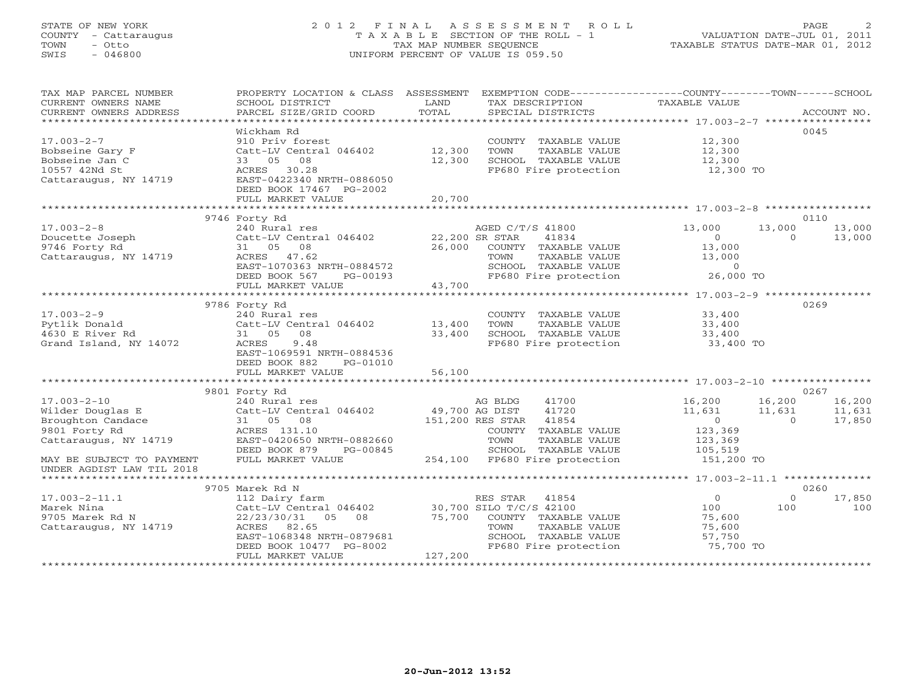# STATE OF NEW YORK 2 0 1 2 F I N A L A S S E S S M E N T R O L L PAGE 2 COUNTY - Cattaraugus T A X A B L E SECTION OF THE ROLL - 1 VALUATION DATE-JUL 01, 2011 TOWN - Otto TAX MAP NUMBER SEQUENCE TAXABLE STATUS DATE-MAR 01, 2012 SWIS - 046800 UNIFORM PERCENT OF VALUE IS 059.50UNIFORM PERCENT OF VALUE IS 059.50

| TAX MAP PARCEL NUMBER<br>CURRENT OWNERS NAME<br>CURRENT OWNERS ADDRESS                                                                                         | PROPERTY LOCATION & CLASS ASSESSMENT EXEMPTION CODE----------------COUNTY-------TOWN------SCHOOL<br>SCHOOL DISTRICT<br>PARCEL SIZE/GRID COORD                                                               | LAND<br>TOTAL                      | TAX DESCRIPTION TAXABLE VALUE<br>SPECIAL DISTRICTS                                                                                                            |                                                                                   |                              | ACCOUNT NO.                |
|----------------------------------------------------------------------------------------------------------------------------------------------------------------|-------------------------------------------------------------------------------------------------------------------------------------------------------------------------------------------------------------|------------------------------------|---------------------------------------------------------------------------------------------------------------------------------------------------------------|-----------------------------------------------------------------------------------|------------------------------|----------------------------|
| $17.003 - 2 - 7$<br>Bobseine Gary F<br>Bobseine Jan C<br>10557 42Nd St<br>Cattaraugus, NY 14719                                                                | Wickham Rd<br>910 Priv forest<br>Catt-LV Central 046402<br>33 05 08<br>ACRES 30.28<br>EAST-0422340 NRTH-0886050<br>DEED BOOK 17467 PG-2002<br>FULL MARKET VALUE                                             | 12,300<br>12,300<br>20,700         | COUNTY TAXABLE VALUE<br>TOWN<br>TAXABLE VALUE<br>SCHOOL TAXABLE VALUE<br>FP680 Fire protection                                                                | 12,300<br>12,300<br>12,300<br>12,300 TO                                           |                              | 0045                       |
|                                                                                                                                                                | 9746 Forty Rd                                                                                                                                                                                               |                                    |                                                                                                                                                               |                                                                                   |                              | 0110                       |
| $17.003 - 2 - 8$<br>Doucette Joseph<br>9746 Forty Rd<br>Cattaraugus, NY 14719                                                                                  | 240 Rural res<br>Catt-LV Central 046402<br>31 05<br>08<br>ACRES 47.62<br>EAST-1070363 NRTH-0884572<br>DEED BOOK 567<br>PG-00193                                                                             | 22,200 SR STAR<br>26,000<br>43,700 | AGED C/T/S 41800<br>41834<br>COUNTY TAXABLE VALUE<br>TOWN<br>TAXABLE VALUE<br>SCHOOL TAXABLE VALUE<br>FP680 Fire protection                                   | 13,000<br>$\circ$<br>13,000<br>13,000<br>$\circ$<br>26,000 TO                     | 13,000<br>$\Omega$           | 13,000<br>13,000           |
|                                                                                                                                                                | FULL MARKET VALUE                                                                                                                                                                                           |                                    |                                                                                                                                                               |                                                                                   |                              |                            |
| $17.003 - 2 - 9$<br>Pytlik Donald<br>4630 E River Rd<br>Grand Island, NY 14072                                                                                 | 9786 Forty Rd<br>240 Rural res<br>Catt-LV Central 046402<br>31 05 08<br>9.48<br>ACRES<br>EAST-1069591 NRTH-0884536<br>DEED BOOK 882<br>PG-01010<br>FULL MARKET VALUE                                        | 13,400<br>33,400<br>56,100         | COUNTY TAXABLE VALUE<br>TOWN<br>TAXABLE VALUE<br>SCHOOL TAXABLE VALUE<br>FP680 Fire protection                                                                | 33,400<br>33,400<br>33,400<br>33,400 TO                                           |                              | 0269                       |
|                                                                                                                                                                | 9801 Forty Rd                                                                                                                                                                                               |                                    |                                                                                                                                                               |                                                                                   |                              | 0267                       |
| $17.003 - 2 - 10$<br>Wilder Douglas E<br>Broughton Candace<br>9801 Forty Rd<br>Cattaraugus, NY 14719<br>MAY BE SUBJECT TO PAYMENT<br>UNDER AGDIST LAW TIL 2018 | 240 Rural res<br>Catt-LV Central 046402<br>31 05 08<br>ACRES 131.10<br>EAST-0420650 NRTH-0882660<br>DEED BOOK 879<br>PG-00845<br>FULL MARKET VALUE                                                          | 49,700 AG DIST                     | AG BLDG<br>41700<br>41720<br>151,200 RES STAR 41854<br>COUNTY TAXABLE VALUE<br>TAXABLE VALUE<br>TOWN<br>SCHOOL TAXABLE VALUE<br>254,100 FP680 Fire protection | 16,200<br>11,631<br>$\overline{0}$<br>123,369<br>123,369<br>105,519<br>151,200 TO | 16,200<br>11,631<br>$\Omega$ | 16,200<br>11,631<br>17,850 |
|                                                                                                                                                                |                                                                                                                                                                                                             |                                    |                                                                                                                                                               |                                                                                   |                              |                            |
| $17.003 - 2 - 11.1$<br>Marek Nina<br>9705 Marek Rd N<br>Cattaraugus, NY 14719                                                                                  | 9705 Marek Rd N<br>112 Dairy farm<br>Catt-LV Central 046402 30,700 SILO T/C/S 42100<br>22/23/30/31 05 08 75,700<br>ACRES 82.65<br>EAST-1068348 NRTH-0879681<br>DEED BOOK 10477 PG-8002<br>FULL MARKET VALUE | 127,200                            | RES STAR 41854<br>COUNTY TAXABLE VALUE<br>TOWN<br>TAXABLE VALUE<br>SCHOOL TAXABLE VALUE<br>FP680 Fire protection                                              | $\overline{0}$<br>100<br>75,600<br>75,600<br>57,750<br>75,700 TO                  | $\circ$<br>100               | 0260<br>17,850<br>100      |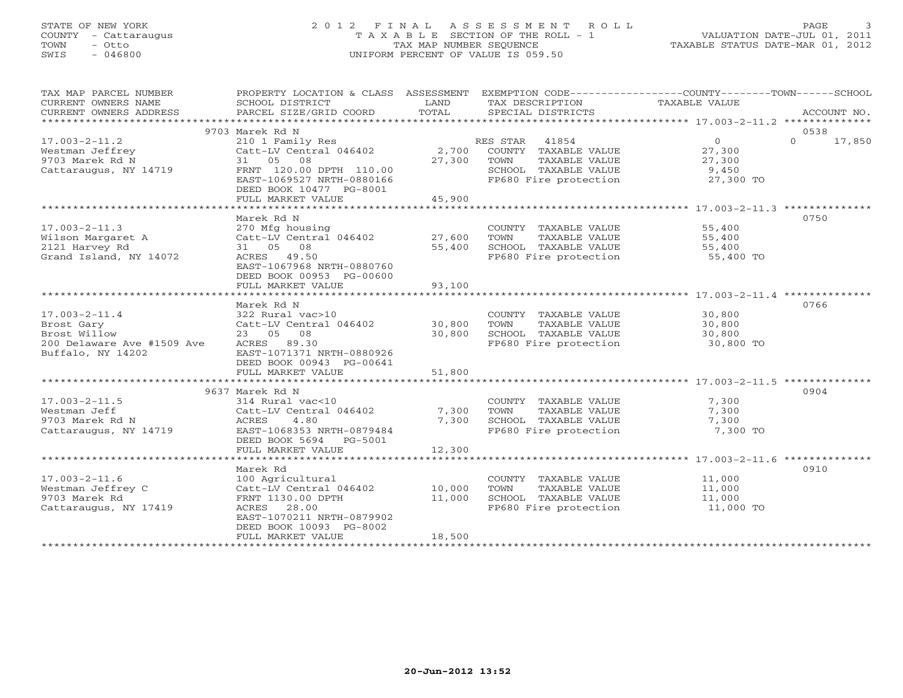# STATE OF NEW YORK 2 0 1 2 F I N A L A S S E S S M E N T R O L L PAGE 3 COUNTY - Cattaraugus T A X A B L E SECTION OF THE ROLL - 1 VALUATION DATE-JUL 01, 2011 TOWN - Otto TAX MAP NUMBER SEQUENCE TAXABLE STATUS DATE-MAR 01, 2012 SWIS - 046800 UNIFORM PERCENT OF VALUE IS 059.50UNIFORM PERCENT OF VALUE IS 059.50

| TAX MAP PARCEL NUMBER<br>CURRENT OWNERS NAME<br>CURRENT OWNERS ADDRESS | PROPERTY LOCATION & CLASS ASSESSMENT<br>SCHOOL DISTRICT<br>PARCEL SIZE/GRID COORD | LAND<br>TOTAL | TAX DESCRIPTION<br>SPECIAL DISTRICTS | EXEMPTION CODE----------------COUNTY-------TOWN------SCHOOL<br>TAXABLE VALUE<br>ACCOUNT NO. |
|------------------------------------------------------------------------|-----------------------------------------------------------------------------------|---------------|--------------------------------------|---------------------------------------------------------------------------------------------|
|                                                                        |                                                                                   |               |                                      |                                                                                             |
|                                                                        | 9703 Marek Rd N                                                                   |               |                                      | 0538                                                                                        |
| $17.003 - 2 - 11.2$                                                    | 210 1 Family Res                                                                  |               | RES STAR<br>41854                    | $\overline{0}$<br>$\Omega$<br>17,850                                                        |
| Westman Jeffrey                                                        | Catt-LV Central 046402                                                            | 2,700         | COUNTY TAXABLE VALUE                 | 27,300                                                                                      |
| 9703 Marek Rd N                                                        | 31 05 08                                                                          | 27,300        | TOWN<br>TAXABLE VALUE                | 27,300                                                                                      |
| Cattaraugus, NY 14719                                                  | FRNT 120.00 DPTH 110.00                                                           |               | SCHOOL TAXABLE VALUE                 | 9,450                                                                                       |
|                                                                        | EAST-1069527 NRTH-0880166                                                         |               | FP680 Fire protection                | 27,300 TO                                                                                   |
|                                                                        | DEED BOOK 10477 PG-8001                                                           |               |                                      |                                                                                             |
|                                                                        | FULL MARKET VALUE                                                                 | 45,900        |                                      |                                                                                             |
|                                                                        |                                                                                   |               |                                      |                                                                                             |
|                                                                        | Marek Rd N                                                                        |               |                                      | 0750                                                                                        |
| $17.003 - 2 - 11.3$                                                    | 270 Mfg housing                                                                   |               | COUNTY TAXABLE VALUE                 | 55,400                                                                                      |
| Wilson Margaret A                                                      | Catt-LV Central 046402                                                            | 27,600        | TAXABLE VALUE<br>TOWN                | 55,400                                                                                      |
| 2121 Harvey Rd                                                         | 31 05 08                                                                          | 55,400        | SCHOOL TAXABLE VALUE                 | 55,400                                                                                      |
| Grand Island, NY 14072                                                 | ACRES 49.50                                                                       |               | FP680 Fire protection                | 55,400 TO                                                                                   |
|                                                                        | EAST-1067968 NRTH-0880760                                                         |               |                                      |                                                                                             |
|                                                                        | DEED BOOK 00953 PG-00600<br>FULL MARKET VALUE                                     | 93,100        |                                      |                                                                                             |
|                                                                        |                                                                                   |               |                                      |                                                                                             |
|                                                                        | Marek Rd N                                                                        |               |                                      | 0766                                                                                        |
| $17.003 - 2 - 11.4$                                                    | 322 Rural vac>10                                                                  |               | COUNTY TAXABLE VALUE                 | 30,800                                                                                      |
| Brost Gary                                                             | Catt-LV Central 046402                                                            | 30,800        | TOWN<br>TAXABLE VALUE                | 30,800                                                                                      |
| Brost Willow                                                           | 23 05 08                                                                          | 30,800        | SCHOOL TAXABLE VALUE                 | 30,800                                                                                      |
| 200 Delaware Ave #1509 Ave                                             | ACRES 89.30                                                                       |               | FP680 Fire protection                | 30,800 TO                                                                                   |
| Buffalo, NY 14202                                                      | EAST-1071371 NRTH-0880926                                                         |               |                                      |                                                                                             |
|                                                                        | DEED BOOK 00943 PG-00641                                                          |               |                                      |                                                                                             |
|                                                                        | FULL MARKET VALUE                                                                 | 51,800        |                                      |                                                                                             |
|                                                                        |                                                                                   |               |                                      |                                                                                             |
|                                                                        | 9637 Marek Rd N                                                                   |               |                                      | 0904                                                                                        |
| $17.003 - 2 - 11.5$                                                    | 314 Rural vac<10                                                                  |               | COUNTY TAXABLE VALUE                 | 7,300                                                                                       |
| Westman Jeff                                                           | Catt-LV Central 046402                                                            | 7,300         | <b>TOWN</b><br>TAXABLE VALUE         | 7,300                                                                                       |
| 9703 Marek Rd N                                                        | ACRES<br>4.80                                                                     | 7,300         | SCHOOL TAXABLE VALUE                 | 7,300                                                                                       |
| Cattaraugus, NY 14719                                                  | EAST-1068353 NRTH-0879484                                                         |               | FP680 Fire protection                | 7,300 TO                                                                                    |
|                                                                        | DEED BOOK 5694 PG-5001                                                            |               |                                      |                                                                                             |
|                                                                        | FULL MARKET VALUE                                                                 | 12,300        |                                      | ****************** 17.003-2-11.6 ********                                                   |
|                                                                        |                                                                                   |               |                                      | 0910                                                                                        |
| $17.003 - 2 - 11.6$                                                    | Marek Rd<br>100 Agricultural                                                      |               | COUNTY TAXABLE VALUE                 | 11,000                                                                                      |
| Westman Jeffrey C                                                      | Catt-LV Central 046402                                                            | 10,000        | TOWN<br>TAXABLE VALUE                | 11,000                                                                                      |
| 9703 Marek Rd                                                          | FRNT 1130.00 DPTH                                                                 | 11,000        | SCHOOL TAXABLE VALUE                 | 11,000                                                                                      |
| Cattaraugus, NY 17419                                                  | ACRES 28.00                                                                       |               | FP680 Fire protection                | 11,000 TO                                                                                   |
|                                                                        | EAST-1070211 NRTH-0879902                                                         |               |                                      |                                                                                             |
|                                                                        | DEED BOOK 10093 PG-8002                                                           |               |                                      |                                                                                             |
|                                                                        | FULL MARKET VALUE                                                                 | 18,500        |                                      |                                                                                             |
|                                                                        | * * * * * * * * * * * * * * * * * *                                               |               |                                      |                                                                                             |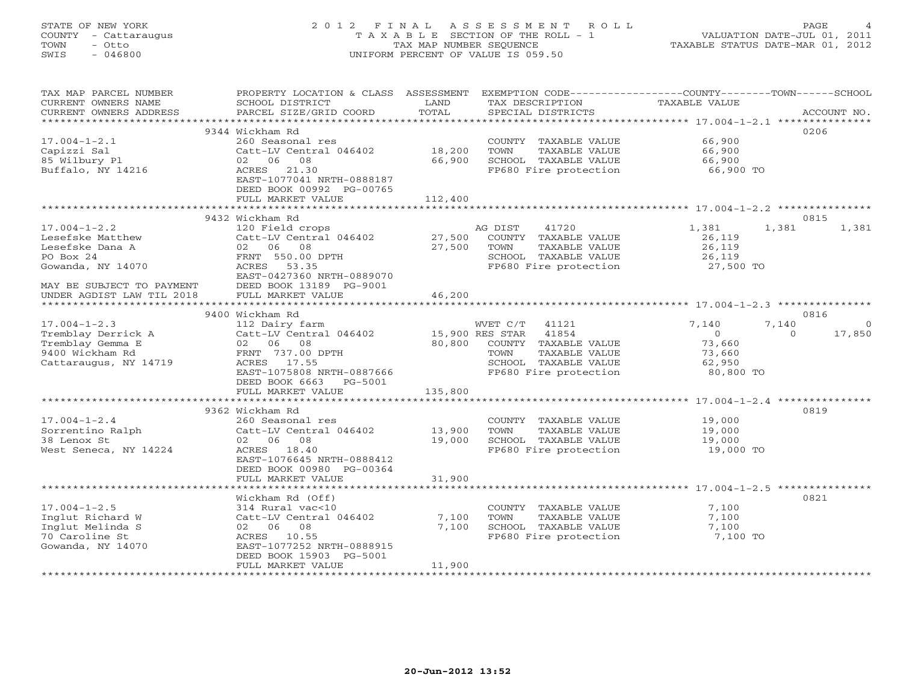# STATE OF NEW YORK 2 0 1 2 F I N A L A S S E S S M E N T R O L L PAGE 4 COUNTY - Cattaraugus T A X A B L E SECTION OF THE ROLL - 1 VALUATION DATE-JUL 01, 2011 TOWN - Otto TAX MAP NUMBER SEQUENCE TAXABLE STATUS DATE-MAR 01, 2012 SWIS - 046800 UNIFORM PERCENT OF VALUE IS 059.50UNIFORM PERCENT OF VALUE IS 059.50

| *************************<br>9344 Wickham Rd<br>0206<br>$17.004 - 1 - 2.1$<br>66,900<br>260 Seasonal res<br>COUNTY TAXABLE VALUE<br>Catt-LV Central 046402<br>18,200<br>TOWN<br>TAXABLE VALUE<br>66,900<br>Capizzi Sal<br>85 Wilbury Pl<br>06<br>08<br>66,900<br>SCHOOL TAXABLE VALUE<br>66,900<br>02<br>Buffalo, NY 14216<br>FP680 Fire protection<br>ACRES 21.30<br>66,900 TO<br>EAST-1077041 NRTH-0888187<br>DEED BOOK 00992 PG-00765<br>FULL MARKET VALUE<br>112,400<br>********************* 17.004-1-2.2 ********<br>***********************<br>*************<br>9432 Wickham Rd<br>0815<br>$17.004 - 1 - 2.2$<br>120 Field crops<br>41720<br>1,381<br>1,381<br>1,381<br>AG DIST<br>Lesefske Matthew<br>Catt-LV Central 046402<br>27,500<br>COUNTY TAXABLE VALUE<br>26,119<br>Lesefske Dana A<br>0206<br>27,500<br>08<br>TOWN<br>TAXABLE VALUE<br>26,119<br>PO Box 24<br>FRNT 550.00 DPTH<br>SCHOOL TAXABLE VALUE<br>26,119<br>Gowanda, NY 14070<br>ACRES<br>53.35<br>FP680 Fire protection<br>27,500 TO<br>EAST-0427360 NRTH-0889070<br>MAY BE SUBJECT TO PAYMENT<br>DEED BOOK 13189 PG-9001<br>FULL MARKET VALUE<br>46,200<br>UNDER AGDIST LAW TIL 2018<br>*************************<br>****************************** 17.004-1-2.3 ***************<br>*************************<br>* * * * * * * * * * *<br>0816<br>9400 Wickham Rd<br>$17.004 - 1 - 2.3$<br>112 Dairy farm<br>WVET C/T<br>41121<br>7,140<br>7,140<br>$\Omega$<br>Tremblay Derrick A<br>Catt-LV Central 046402<br>15,900 RES STAR<br>41854<br>$\circ$<br>17,850<br>$\Omega$<br>Tremblay Gemma E<br>02 06 08<br>80,800<br>COUNTY TAXABLE VALUE<br>73,660<br>9400 Wickham Rd<br>FRNT 737.00 DPTH<br>TOWN<br>TAXABLE VALUE<br>73,660<br>Cattaraugus, NY 14719<br>SCHOOL TAXABLE VALUE<br>ACRES 17.55<br>62,950<br>EAST-1075808 NRTH-0887666<br>FP680 Fire protection<br>80,800 TO<br>DEED BOOK 6663<br>PG-5001<br>FULL MARKET VALUE<br>135,800<br>9362 Wickham Rd<br>0819<br>$17.004 - 1 - 2.4$<br>260 Seasonal res<br>19,000<br>COUNTY TAXABLE VALUE<br>Sorrentino Ralph<br>Catt-LV Central 046402<br>13,900<br>TOWN<br>TAXABLE VALUE<br>19,000<br>38 Lenox St<br>02 06 08<br>19,000<br>SCHOOL TAXABLE VALUE<br>19,000<br>FP680 Fire protection<br>West Seneca, NY 14224<br>ACRES 18.40<br>19,000 TO<br>EAST-1076645 NRTH-0888412<br>DEED BOOK 00980 PG-00364<br>31,900<br>FULL MARKET VALUE<br>Wickham Rd (Off)<br>0821<br>$17.004 - 1 - 2.5$<br>314 Rural vac<10<br>COUNTY TAXABLE VALUE<br>7,100<br>Inglut Richard W<br>7,100<br>TOWN<br>TAXABLE VALUE<br>Catt-LV Central 046402<br>7,100<br>Inglut Melinda S<br>02 06 08<br>7,100<br>SCHOOL TAXABLE VALUE<br>7,100<br>70 Caroline St<br>FP680 Fire protection<br>7,100 TO<br>ACRES 10.55<br>Gowanda, NY 14070<br>EAST-1077252 NRTH-0888915<br>DEED BOOK 15903 PG-5001<br>FULL MARKET VALUE<br>11,900 | TAX MAP PARCEL NUMBER<br>CURRENT OWNERS NAME<br>CURRENT OWNERS ADDRESS | PROPERTY LOCATION & CLASS ASSESSMENT<br>SCHOOL DISTRICT | LAND<br>TOTAL | TAX DESCRIPTION   | EXEMPTION CODE-----------------COUNTY-------TOWN------SCHOOL<br>TAXABLE VALUE | ACCOUNT NO. |
|---------------------------------------------------------------------------------------------------------------------------------------------------------------------------------------------------------------------------------------------------------------------------------------------------------------------------------------------------------------------------------------------------------------------------------------------------------------------------------------------------------------------------------------------------------------------------------------------------------------------------------------------------------------------------------------------------------------------------------------------------------------------------------------------------------------------------------------------------------------------------------------------------------------------------------------------------------------------------------------------------------------------------------------------------------------------------------------------------------------------------------------------------------------------------------------------------------------------------------------------------------------------------------------------------------------------------------------------------------------------------------------------------------------------------------------------------------------------------------------------------------------------------------------------------------------------------------------------------------------------------------------------------------------------------------------------------------------------------------------------------------------------------------------------------------------------------------------------------------------------------------------------------------------------------------------------------------------------------------------------------------------------------------------------------------------------------------------------------------------------------------------------------------------------------------------------------------------------------------------------------------------------------------------------------------------------------------------------------------------------------------------------------------------------------------------------------------------------------------------------------------------------------------------------------------------------------------------------------------------------------------------------------------------------------------------------------------------------------------------------------------------------------------------------------------------------------------|------------------------------------------------------------------------|---------------------------------------------------------|---------------|-------------------|-------------------------------------------------------------------------------|-------------|
|                                                                                                                                                                                                                                                                                                                                                                                                                                                                                                                                                                                                                                                                                                                                                                                                                                                                                                                                                                                                                                                                                                                                                                                                                                                                                                                                                                                                                                                                                                                                                                                                                                                                                                                                                                                                                                                                                                                                                                                                                                                                                                                                                                                                                                                                                                                                                                                                                                                                                                                                                                                                                                                                                                                                                                                                                                 |                                                                        | PARCEL SIZE/GRID COORD                                  |               | SPECIAL DISTRICTS |                                                                               |             |
|                                                                                                                                                                                                                                                                                                                                                                                                                                                                                                                                                                                                                                                                                                                                                                                                                                                                                                                                                                                                                                                                                                                                                                                                                                                                                                                                                                                                                                                                                                                                                                                                                                                                                                                                                                                                                                                                                                                                                                                                                                                                                                                                                                                                                                                                                                                                                                                                                                                                                                                                                                                                                                                                                                                                                                                                                                 |                                                                        |                                                         |               |                   |                                                                               |             |
|                                                                                                                                                                                                                                                                                                                                                                                                                                                                                                                                                                                                                                                                                                                                                                                                                                                                                                                                                                                                                                                                                                                                                                                                                                                                                                                                                                                                                                                                                                                                                                                                                                                                                                                                                                                                                                                                                                                                                                                                                                                                                                                                                                                                                                                                                                                                                                                                                                                                                                                                                                                                                                                                                                                                                                                                                                 |                                                                        |                                                         |               |                   |                                                                               |             |
|                                                                                                                                                                                                                                                                                                                                                                                                                                                                                                                                                                                                                                                                                                                                                                                                                                                                                                                                                                                                                                                                                                                                                                                                                                                                                                                                                                                                                                                                                                                                                                                                                                                                                                                                                                                                                                                                                                                                                                                                                                                                                                                                                                                                                                                                                                                                                                                                                                                                                                                                                                                                                                                                                                                                                                                                                                 |                                                                        |                                                         |               |                   |                                                                               |             |
|                                                                                                                                                                                                                                                                                                                                                                                                                                                                                                                                                                                                                                                                                                                                                                                                                                                                                                                                                                                                                                                                                                                                                                                                                                                                                                                                                                                                                                                                                                                                                                                                                                                                                                                                                                                                                                                                                                                                                                                                                                                                                                                                                                                                                                                                                                                                                                                                                                                                                                                                                                                                                                                                                                                                                                                                                                 |                                                                        |                                                         |               |                   |                                                                               |             |
|                                                                                                                                                                                                                                                                                                                                                                                                                                                                                                                                                                                                                                                                                                                                                                                                                                                                                                                                                                                                                                                                                                                                                                                                                                                                                                                                                                                                                                                                                                                                                                                                                                                                                                                                                                                                                                                                                                                                                                                                                                                                                                                                                                                                                                                                                                                                                                                                                                                                                                                                                                                                                                                                                                                                                                                                                                 |                                                                        |                                                         |               |                   |                                                                               |             |
|                                                                                                                                                                                                                                                                                                                                                                                                                                                                                                                                                                                                                                                                                                                                                                                                                                                                                                                                                                                                                                                                                                                                                                                                                                                                                                                                                                                                                                                                                                                                                                                                                                                                                                                                                                                                                                                                                                                                                                                                                                                                                                                                                                                                                                                                                                                                                                                                                                                                                                                                                                                                                                                                                                                                                                                                                                 |                                                                        |                                                         |               |                   |                                                                               |             |
|                                                                                                                                                                                                                                                                                                                                                                                                                                                                                                                                                                                                                                                                                                                                                                                                                                                                                                                                                                                                                                                                                                                                                                                                                                                                                                                                                                                                                                                                                                                                                                                                                                                                                                                                                                                                                                                                                                                                                                                                                                                                                                                                                                                                                                                                                                                                                                                                                                                                                                                                                                                                                                                                                                                                                                                                                                 |                                                                        |                                                         |               |                   |                                                                               |             |
|                                                                                                                                                                                                                                                                                                                                                                                                                                                                                                                                                                                                                                                                                                                                                                                                                                                                                                                                                                                                                                                                                                                                                                                                                                                                                                                                                                                                                                                                                                                                                                                                                                                                                                                                                                                                                                                                                                                                                                                                                                                                                                                                                                                                                                                                                                                                                                                                                                                                                                                                                                                                                                                                                                                                                                                                                                 |                                                                        |                                                         |               |                   |                                                                               |             |
|                                                                                                                                                                                                                                                                                                                                                                                                                                                                                                                                                                                                                                                                                                                                                                                                                                                                                                                                                                                                                                                                                                                                                                                                                                                                                                                                                                                                                                                                                                                                                                                                                                                                                                                                                                                                                                                                                                                                                                                                                                                                                                                                                                                                                                                                                                                                                                                                                                                                                                                                                                                                                                                                                                                                                                                                                                 |                                                                        |                                                         |               |                   |                                                                               |             |
|                                                                                                                                                                                                                                                                                                                                                                                                                                                                                                                                                                                                                                                                                                                                                                                                                                                                                                                                                                                                                                                                                                                                                                                                                                                                                                                                                                                                                                                                                                                                                                                                                                                                                                                                                                                                                                                                                                                                                                                                                                                                                                                                                                                                                                                                                                                                                                                                                                                                                                                                                                                                                                                                                                                                                                                                                                 |                                                                        |                                                         |               |                   |                                                                               |             |
|                                                                                                                                                                                                                                                                                                                                                                                                                                                                                                                                                                                                                                                                                                                                                                                                                                                                                                                                                                                                                                                                                                                                                                                                                                                                                                                                                                                                                                                                                                                                                                                                                                                                                                                                                                                                                                                                                                                                                                                                                                                                                                                                                                                                                                                                                                                                                                                                                                                                                                                                                                                                                                                                                                                                                                                                                                 |                                                                        |                                                         |               |                   |                                                                               |             |
|                                                                                                                                                                                                                                                                                                                                                                                                                                                                                                                                                                                                                                                                                                                                                                                                                                                                                                                                                                                                                                                                                                                                                                                                                                                                                                                                                                                                                                                                                                                                                                                                                                                                                                                                                                                                                                                                                                                                                                                                                                                                                                                                                                                                                                                                                                                                                                                                                                                                                                                                                                                                                                                                                                                                                                                                                                 |                                                                        |                                                         |               |                   |                                                                               |             |
|                                                                                                                                                                                                                                                                                                                                                                                                                                                                                                                                                                                                                                                                                                                                                                                                                                                                                                                                                                                                                                                                                                                                                                                                                                                                                                                                                                                                                                                                                                                                                                                                                                                                                                                                                                                                                                                                                                                                                                                                                                                                                                                                                                                                                                                                                                                                                                                                                                                                                                                                                                                                                                                                                                                                                                                                                                 |                                                                        |                                                         |               |                   |                                                                               |             |
|                                                                                                                                                                                                                                                                                                                                                                                                                                                                                                                                                                                                                                                                                                                                                                                                                                                                                                                                                                                                                                                                                                                                                                                                                                                                                                                                                                                                                                                                                                                                                                                                                                                                                                                                                                                                                                                                                                                                                                                                                                                                                                                                                                                                                                                                                                                                                                                                                                                                                                                                                                                                                                                                                                                                                                                                                                 |                                                                        |                                                         |               |                   |                                                                               |             |
|                                                                                                                                                                                                                                                                                                                                                                                                                                                                                                                                                                                                                                                                                                                                                                                                                                                                                                                                                                                                                                                                                                                                                                                                                                                                                                                                                                                                                                                                                                                                                                                                                                                                                                                                                                                                                                                                                                                                                                                                                                                                                                                                                                                                                                                                                                                                                                                                                                                                                                                                                                                                                                                                                                                                                                                                                                 |                                                                        |                                                         |               |                   |                                                                               |             |
|                                                                                                                                                                                                                                                                                                                                                                                                                                                                                                                                                                                                                                                                                                                                                                                                                                                                                                                                                                                                                                                                                                                                                                                                                                                                                                                                                                                                                                                                                                                                                                                                                                                                                                                                                                                                                                                                                                                                                                                                                                                                                                                                                                                                                                                                                                                                                                                                                                                                                                                                                                                                                                                                                                                                                                                                                                 |                                                                        |                                                         |               |                   |                                                                               |             |
|                                                                                                                                                                                                                                                                                                                                                                                                                                                                                                                                                                                                                                                                                                                                                                                                                                                                                                                                                                                                                                                                                                                                                                                                                                                                                                                                                                                                                                                                                                                                                                                                                                                                                                                                                                                                                                                                                                                                                                                                                                                                                                                                                                                                                                                                                                                                                                                                                                                                                                                                                                                                                                                                                                                                                                                                                                 |                                                                        |                                                         |               |                   |                                                                               |             |
|                                                                                                                                                                                                                                                                                                                                                                                                                                                                                                                                                                                                                                                                                                                                                                                                                                                                                                                                                                                                                                                                                                                                                                                                                                                                                                                                                                                                                                                                                                                                                                                                                                                                                                                                                                                                                                                                                                                                                                                                                                                                                                                                                                                                                                                                                                                                                                                                                                                                                                                                                                                                                                                                                                                                                                                                                                 |                                                                        |                                                         |               |                   |                                                                               |             |
|                                                                                                                                                                                                                                                                                                                                                                                                                                                                                                                                                                                                                                                                                                                                                                                                                                                                                                                                                                                                                                                                                                                                                                                                                                                                                                                                                                                                                                                                                                                                                                                                                                                                                                                                                                                                                                                                                                                                                                                                                                                                                                                                                                                                                                                                                                                                                                                                                                                                                                                                                                                                                                                                                                                                                                                                                                 |                                                                        |                                                         |               |                   |                                                                               |             |
|                                                                                                                                                                                                                                                                                                                                                                                                                                                                                                                                                                                                                                                                                                                                                                                                                                                                                                                                                                                                                                                                                                                                                                                                                                                                                                                                                                                                                                                                                                                                                                                                                                                                                                                                                                                                                                                                                                                                                                                                                                                                                                                                                                                                                                                                                                                                                                                                                                                                                                                                                                                                                                                                                                                                                                                                                                 |                                                                        |                                                         |               |                   |                                                                               |             |
|                                                                                                                                                                                                                                                                                                                                                                                                                                                                                                                                                                                                                                                                                                                                                                                                                                                                                                                                                                                                                                                                                                                                                                                                                                                                                                                                                                                                                                                                                                                                                                                                                                                                                                                                                                                                                                                                                                                                                                                                                                                                                                                                                                                                                                                                                                                                                                                                                                                                                                                                                                                                                                                                                                                                                                                                                                 |                                                                        |                                                         |               |                   |                                                                               |             |
|                                                                                                                                                                                                                                                                                                                                                                                                                                                                                                                                                                                                                                                                                                                                                                                                                                                                                                                                                                                                                                                                                                                                                                                                                                                                                                                                                                                                                                                                                                                                                                                                                                                                                                                                                                                                                                                                                                                                                                                                                                                                                                                                                                                                                                                                                                                                                                                                                                                                                                                                                                                                                                                                                                                                                                                                                                 |                                                                        |                                                         |               |                   |                                                                               |             |
|                                                                                                                                                                                                                                                                                                                                                                                                                                                                                                                                                                                                                                                                                                                                                                                                                                                                                                                                                                                                                                                                                                                                                                                                                                                                                                                                                                                                                                                                                                                                                                                                                                                                                                                                                                                                                                                                                                                                                                                                                                                                                                                                                                                                                                                                                                                                                                                                                                                                                                                                                                                                                                                                                                                                                                                                                                 |                                                                        |                                                         |               |                   |                                                                               |             |
|                                                                                                                                                                                                                                                                                                                                                                                                                                                                                                                                                                                                                                                                                                                                                                                                                                                                                                                                                                                                                                                                                                                                                                                                                                                                                                                                                                                                                                                                                                                                                                                                                                                                                                                                                                                                                                                                                                                                                                                                                                                                                                                                                                                                                                                                                                                                                                                                                                                                                                                                                                                                                                                                                                                                                                                                                                 |                                                                        |                                                         |               |                   |                                                                               |             |
|                                                                                                                                                                                                                                                                                                                                                                                                                                                                                                                                                                                                                                                                                                                                                                                                                                                                                                                                                                                                                                                                                                                                                                                                                                                                                                                                                                                                                                                                                                                                                                                                                                                                                                                                                                                                                                                                                                                                                                                                                                                                                                                                                                                                                                                                                                                                                                                                                                                                                                                                                                                                                                                                                                                                                                                                                                 |                                                                        |                                                         |               |                   |                                                                               |             |
|                                                                                                                                                                                                                                                                                                                                                                                                                                                                                                                                                                                                                                                                                                                                                                                                                                                                                                                                                                                                                                                                                                                                                                                                                                                                                                                                                                                                                                                                                                                                                                                                                                                                                                                                                                                                                                                                                                                                                                                                                                                                                                                                                                                                                                                                                                                                                                                                                                                                                                                                                                                                                                                                                                                                                                                                                                 |                                                                        |                                                         |               |                   |                                                                               |             |
|                                                                                                                                                                                                                                                                                                                                                                                                                                                                                                                                                                                                                                                                                                                                                                                                                                                                                                                                                                                                                                                                                                                                                                                                                                                                                                                                                                                                                                                                                                                                                                                                                                                                                                                                                                                                                                                                                                                                                                                                                                                                                                                                                                                                                                                                                                                                                                                                                                                                                                                                                                                                                                                                                                                                                                                                                                 |                                                                        |                                                         |               |                   |                                                                               |             |
|                                                                                                                                                                                                                                                                                                                                                                                                                                                                                                                                                                                                                                                                                                                                                                                                                                                                                                                                                                                                                                                                                                                                                                                                                                                                                                                                                                                                                                                                                                                                                                                                                                                                                                                                                                                                                                                                                                                                                                                                                                                                                                                                                                                                                                                                                                                                                                                                                                                                                                                                                                                                                                                                                                                                                                                                                                 |                                                                        |                                                         |               |                   |                                                                               |             |
|                                                                                                                                                                                                                                                                                                                                                                                                                                                                                                                                                                                                                                                                                                                                                                                                                                                                                                                                                                                                                                                                                                                                                                                                                                                                                                                                                                                                                                                                                                                                                                                                                                                                                                                                                                                                                                                                                                                                                                                                                                                                                                                                                                                                                                                                                                                                                                                                                                                                                                                                                                                                                                                                                                                                                                                                                                 |                                                                        |                                                         |               |                   |                                                                               |             |
|                                                                                                                                                                                                                                                                                                                                                                                                                                                                                                                                                                                                                                                                                                                                                                                                                                                                                                                                                                                                                                                                                                                                                                                                                                                                                                                                                                                                                                                                                                                                                                                                                                                                                                                                                                                                                                                                                                                                                                                                                                                                                                                                                                                                                                                                                                                                                                                                                                                                                                                                                                                                                                                                                                                                                                                                                                 |                                                                        |                                                         |               |                   |                                                                               |             |
|                                                                                                                                                                                                                                                                                                                                                                                                                                                                                                                                                                                                                                                                                                                                                                                                                                                                                                                                                                                                                                                                                                                                                                                                                                                                                                                                                                                                                                                                                                                                                                                                                                                                                                                                                                                                                                                                                                                                                                                                                                                                                                                                                                                                                                                                                                                                                                                                                                                                                                                                                                                                                                                                                                                                                                                                                                 |                                                                        |                                                         |               |                   |                                                                               |             |
|                                                                                                                                                                                                                                                                                                                                                                                                                                                                                                                                                                                                                                                                                                                                                                                                                                                                                                                                                                                                                                                                                                                                                                                                                                                                                                                                                                                                                                                                                                                                                                                                                                                                                                                                                                                                                                                                                                                                                                                                                                                                                                                                                                                                                                                                                                                                                                                                                                                                                                                                                                                                                                                                                                                                                                                                                                 |                                                                        |                                                         |               |                   |                                                                               |             |
|                                                                                                                                                                                                                                                                                                                                                                                                                                                                                                                                                                                                                                                                                                                                                                                                                                                                                                                                                                                                                                                                                                                                                                                                                                                                                                                                                                                                                                                                                                                                                                                                                                                                                                                                                                                                                                                                                                                                                                                                                                                                                                                                                                                                                                                                                                                                                                                                                                                                                                                                                                                                                                                                                                                                                                                                                                 |                                                                        |                                                         |               |                   |                                                                               |             |
|                                                                                                                                                                                                                                                                                                                                                                                                                                                                                                                                                                                                                                                                                                                                                                                                                                                                                                                                                                                                                                                                                                                                                                                                                                                                                                                                                                                                                                                                                                                                                                                                                                                                                                                                                                                                                                                                                                                                                                                                                                                                                                                                                                                                                                                                                                                                                                                                                                                                                                                                                                                                                                                                                                                                                                                                                                 |                                                                        |                                                         |               |                   |                                                                               |             |
|                                                                                                                                                                                                                                                                                                                                                                                                                                                                                                                                                                                                                                                                                                                                                                                                                                                                                                                                                                                                                                                                                                                                                                                                                                                                                                                                                                                                                                                                                                                                                                                                                                                                                                                                                                                                                                                                                                                                                                                                                                                                                                                                                                                                                                                                                                                                                                                                                                                                                                                                                                                                                                                                                                                                                                                                                                 |                                                                        |                                                         |               |                   |                                                                               |             |
|                                                                                                                                                                                                                                                                                                                                                                                                                                                                                                                                                                                                                                                                                                                                                                                                                                                                                                                                                                                                                                                                                                                                                                                                                                                                                                                                                                                                                                                                                                                                                                                                                                                                                                                                                                                                                                                                                                                                                                                                                                                                                                                                                                                                                                                                                                                                                                                                                                                                                                                                                                                                                                                                                                                                                                                                                                 |                                                                        |                                                         |               |                   |                                                                               |             |
|                                                                                                                                                                                                                                                                                                                                                                                                                                                                                                                                                                                                                                                                                                                                                                                                                                                                                                                                                                                                                                                                                                                                                                                                                                                                                                                                                                                                                                                                                                                                                                                                                                                                                                                                                                                                                                                                                                                                                                                                                                                                                                                                                                                                                                                                                                                                                                                                                                                                                                                                                                                                                                                                                                                                                                                                                                 |                                                                        |                                                         |               |                   |                                                                               |             |
|                                                                                                                                                                                                                                                                                                                                                                                                                                                                                                                                                                                                                                                                                                                                                                                                                                                                                                                                                                                                                                                                                                                                                                                                                                                                                                                                                                                                                                                                                                                                                                                                                                                                                                                                                                                                                                                                                                                                                                                                                                                                                                                                                                                                                                                                                                                                                                                                                                                                                                                                                                                                                                                                                                                                                                                                                                 |                                                                        |                                                         |               |                   |                                                                               |             |
|                                                                                                                                                                                                                                                                                                                                                                                                                                                                                                                                                                                                                                                                                                                                                                                                                                                                                                                                                                                                                                                                                                                                                                                                                                                                                                                                                                                                                                                                                                                                                                                                                                                                                                                                                                                                                                                                                                                                                                                                                                                                                                                                                                                                                                                                                                                                                                                                                                                                                                                                                                                                                                                                                                                                                                                                                                 |                                                                        |                                                         |               |                   |                                                                               |             |
|                                                                                                                                                                                                                                                                                                                                                                                                                                                                                                                                                                                                                                                                                                                                                                                                                                                                                                                                                                                                                                                                                                                                                                                                                                                                                                                                                                                                                                                                                                                                                                                                                                                                                                                                                                                                                                                                                                                                                                                                                                                                                                                                                                                                                                                                                                                                                                                                                                                                                                                                                                                                                                                                                                                                                                                                                                 |                                                                        |                                                         |               |                   |                                                                               |             |
|                                                                                                                                                                                                                                                                                                                                                                                                                                                                                                                                                                                                                                                                                                                                                                                                                                                                                                                                                                                                                                                                                                                                                                                                                                                                                                                                                                                                                                                                                                                                                                                                                                                                                                                                                                                                                                                                                                                                                                                                                                                                                                                                                                                                                                                                                                                                                                                                                                                                                                                                                                                                                                                                                                                                                                                                                                 |                                                                        |                                                         |               |                   |                                                                               |             |
|                                                                                                                                                                                                                                                                                                                                                                                                                                                                                                                                                                                                                                                                                                                                                                                                                                                                                                                                                                                                                                                                                                                                                                                                                                                                                                                                                                                                                                                                                                                                                                                                                                                                                                                                                                                                                                                                                                                                                                                                                                                                                                                                                                                                                                                                                                                                                                                                                                                                                                                                                                                                                                                                                                                                                                                                                                 |                                                                        |                                                         |               |                   |                                                                               |             |
|                                                                                                                                                                                                                                                                                                                                                                                                                                                                                                                                                                                                                                                                                                                                                                                                                                                                                                                                                                                                                                                                                                                                                                                                                                                                                                                                                                                                                                                                                                                                                                                                                                                                                                                                                                                                                                                                                                                                                                                                                                                                                                                                                                                                                                                                                                                                                                                                                                                                                                                                                                                                                                                                                                                                                                                                                                 |                                                                        |                                                         |               |                   |                                                                               |             |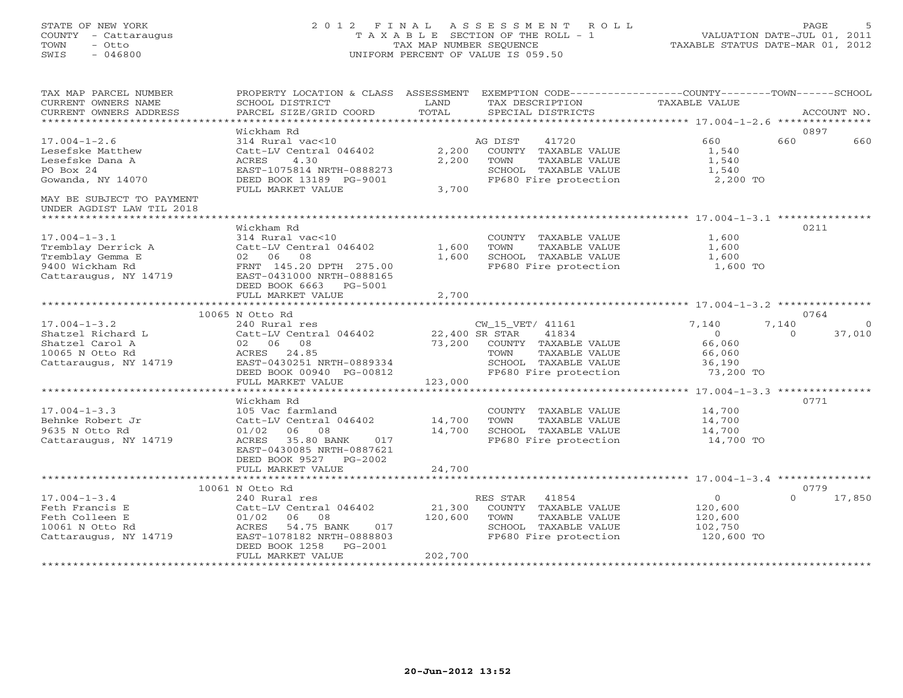# STATE OF NEW YORK 2 0 1 2 F I N A L A S S E S S M E N T R O L L PAGE 5 COUNTY - Cattaraugus T A X A B L E SECTION OF THE ROLL - 1 VALUATION DATE-JUL 01, 2011 TOWN - Otto TAX MAP NUMBER SEQUENCE TAXABLE STATUS DATE-MAR 01, 2012 SWIS - 046800 UNIFORM PERCENT OF VALUE IS 059.50UNIFORM PERCENT OF VALUE IS 059.50

| TAX MAP PARCEL NUMBER<br>CURRENT OWNERS NAME<br>CURRENT OWNERS ADDRESS                                   | PROPERTY LOCATION & CLASS ASSESSMENT<br>SCHOOL DISTRICT<br>PARCEL SIZE/GRID COORD                                                                                           | LAND<br>TOTAL                | EXEMPTION CODE-----------------COUNTY-------TOWN------SCHOOL<br>TAX DESCRIPTION<br>SPECIAL DISTRICTS                                          | <b>TAXABLE VALUE</b>                                         | ACCOUNT NO.                             |
|----------------------------------------------------------------------------------------------------------|-----------------------------------------------------------------------------------------------------------------------------------------------------------------------------|------------------------------|-----------------------------------------------------------------------------------------------------------------------------------------------|--------------------------------------------------------------|-----------------------------------------|
| *************************                                                                                |                                                                                                                                                                             |                              |                                                                                                                                               |                                                              |                                         |
| $17.004 - 1 - 2.6$<br>Lesefske Matthew<br>Lesefske Dana A<br>PO Box 24<br>Gowanda, NY 14070              | Wickham Rd<br>314 Rural vac<10<br>Catt-LV Central 046402<br>4.30<br>ACRES<br>EAST-1075814 NRTH-0888273<br>DEED BOOK 13189 PG-9001<br>FULL MARKET VALUE                      | 2,200<br>2,200<br>3,700      | AG DIST<br>41720<br>COUNTY TAXABLE VALUE<br>TOWN<br>TAXABLE VALUE<br>SCHOOL TAXABLE VALUE<br>FP680 Fire protection                            | 660<br>1,540<br>1,540<br>1,540<br>2,200 TO                   | 0897<br>660<br>660                      |
| MAY BE SUBJECT TO PAYMENT<br>UNDER AGDIST LAW TIL 2018                                                   |                                                                                                                                                                             |                              |                                                                                                                                               |                                                              |                                         |
| $17.004 - 1 - 3.1$<br>Tremblay Derrick A<br>Tremblay Gemma E<br>9400 Wickham Rd<br>Cattaraugus, NY 14719 | Wickham Rd<br>314 Rural vac<10<br>Catt-LV Central 046402<br>02 06 08<br>FRNT 145.20 DPTH 275.00<br>EAST-0431000 NRTH-0888165<br>DEED BOOK 6663<br>PG-5001                   | 1,600<br>1,600               | COUNTY TAXABLE VALUE<br>TOWN<br>TAXABLE VALUE<br>SCHOOL TAXABLE VALUE<br>FP680 Fire protection                                                | 1,600<br>1,600<br>1,600<br>1,600 TO                          | 0211                                    |
|                                                                                                          | FULL MARKET VALUE                                                                                                                                                           | 2,700                        |                                                                                                                                               |                                                              |                                         |
|                                                                                                          | 10065 N Otto Rd                                                                                                                                                             |                              |                                                                                                                                               |                                                              | 0764                                    |
| $17.004 - 1 - 3.2$<br>Shatzel Richard L<br>Shatzel Carol A<br>10065 N Otto Rd<br>Cattaraugus, NY 14719   | 240 Rural res<br>Catt-LV Central 046402<br>02 06 08<br>24.85<br>ACRES<br>EAST-0430251 NRTH-0889334<br>DEED BOOK 00940 PG-00812                                              | 73,200                       | CW_15_VET/ 41161<br>41834<br>22,400 SR STAR<br>COUNTY TAXABLE VALUE<br>TOWN<br>TAXABLE VALUE<br>SCHOOL TAXABLE VALUE<br>FP680 Fire protection | 7,140<br>$\Omega$<br>66,060<br>66,060<br>36,190<br>73,200 TO | 7,140<br>$\Omega$<br>37,010<br>$\Omega$ |
|                                                                                                          | FULL MARKET VALUE                                                                                                                                                           | 123,000                      |                                                                                                                                               |                                                              |                                         |
| $17.004 - 1 - 3.3$<br>Behnke Robert Jr<br>9635 N Otto Rd<br>Cattaraugus, NY 14719                        | Wickham Rd<br>105 Vac farmland<br>Catt-LV Central 046402<br>01/02<br>06 08<br>35.80 BANK<br>ACRES<br>017<br>EAST-0430085 NRTH-0887621<br>DEED BOOK 9527<br>PG-2002          | 14,700<br>14,700             | COUNTY TAXABLE VALUE<br>TOWN<br>TAXABLE VALUE<br>SCHOOL TAXABLE VALUE<br>FP680 Fire protection                                                | 14,700<br>14,700<br>14,700<br>14,700 TO                      | 0771                                    |
|                                                                                                          | FULL MARKET VALUE                                                                                                                                                           | 24,700                       |                                                                                                                                               |                                                              |                                         |
|                                                                                                          | 10061 N Otto Rd                                                                                                                                                             |                              |                                                                                                                                               |                                                              | 0779                                    |
| $17.004 - 1 - 3.4$<br>Feth Francis E<br>Feth Colleen E<br>10061 N Otto Rd<br>Cattaraugus, NY 14719       | 240 Rural res<br>Catt-LV Central 046402<br>01/02<br>06<br>08<br>54.75 BANK<br>ACRES<br>017<br>EAST-1078182 NRTH-0888803<br>DEED BOOK 1258<br>$PG-2001$<br>FULL MARKET VALUE | 21,300<br>120,600<br>202,700 | RES STAR<br>41854<br>COUNTY TAXABLE VALUE<br>TOWN<br>TAXABLE VALUE<br>SCHOOL TAXABLE VALUE<br>FP680 Fire protection                           | $\Omega$<br>120,600<br>120,600<br>102,750<br>120,600 TO      | $\Omega$<br>17,850                      |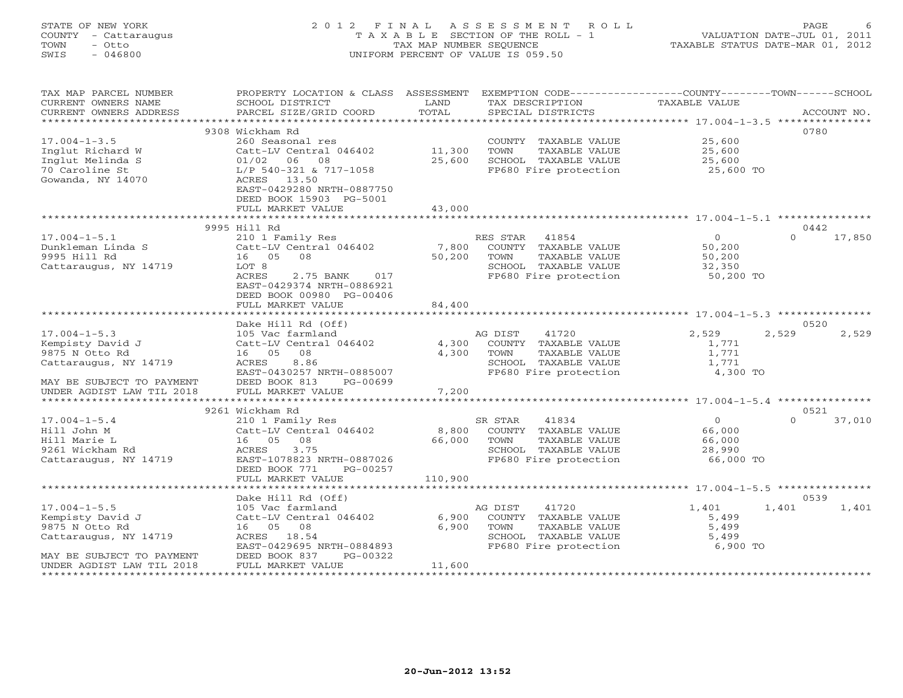# STATE OF NEW YORK 2 0 1 2 F I N A L A S S E S S M E N T R O L L PAGE 6 COUNTY - Cattaraugus T A X A B L E SECTION OF THE ROLL - 1 VALUATION DATE-JUL 01, 2011 TOWN - Otto TAX MAP NUMBER SEQUENCE TAXABLE STATUS DATE-MAR 01, 2012 SWIS - 046800 UNIFORM PERCENT OF VALUE IS 059.50

| TAX MAP PARCEL NUMBER<br>CURRENT OWNERS NAME                                                  | PROPERTY LOCATION & CLASS ASSESSMENT<br>SCHOOL DISTRICT                                                                      | LAND<br>TOTAL    | EXEMPTION CODE-----------------COUNTY-------TOWN------SCHOOL<br>TAX DESCRIPTION                                     | TAXABLE VALUE                                       | ACCOUNT NO.        |
|-----------------------------------------------------------------------------------------------|------------------------------------------------------------------------------------------------------------------------------|------------------|---------------------------------------------------------------------------------------------------------------------|-----------------------------------------------------|--------------------|
| CURRENT OWNERS ADDRESS                                                                        | PARCEL SIZE/GRID COORD                                                                                                       |                  | SPECIAL DISTRICTS                                                                                                   |                                                     |                    |
|                                                                                               | 9308 Wickham Rd                                                                                                              |                  |                                                                                                                     |                                                     | 0780               |
| $17.004 - 1 - 3.5$<br>Inglut Richard W<br>Inglut Melinda S<br>70 Caroline St                  | 260 Seasonal res<br>Catt-LV Central 046402<br>$01/02$ 06<br>08<br>L/P 540-321 & 717-1058                                     | 11,300<br>25,600 | COUNTY TAXABLE VALUE<br>TOWN<br>TAXABLE VALUE<br>SCHOOL TAXABLE VALUE<br>FP680 Fire protection                      | 25,600<br>25,600<br>25,600<br>25,600 TO             |                    |
| Gowanda, NY 14070                                                                             | ACRES 13.50<br>EAST-0429280 NRTH-0887750<br>DEED BOOK 15903 PG-5001<br>FULL MARKET VALUE                                     | 43,000           |                                                                                                                     |                                                     |                    |
|                                                                                               |                                                                                                                              |                  |                                                                                                                     |                                                     |                    |
|                                                                                               | 9995 Hill Rd                                                                                                                 |                  |                                                                                                                     |                                                     | 0442               |
| $17.004 - 1 - 5.1$<br>Dunkleman Linda S<br>9995 Hill Rd<br>Cattaraugus, NY 14719              | 210 1 Family Res<br>Catt-LV Central 046402<br>16 05<br>08<br>LOT 8<br>ACRES<br>2.75 BANK<br>017<br>EAST-0429374 NRTH-0886921 | 7,800<br>50,200  | RES STAR<br>41854<br>COUNTY TAXABLE VALUE<br>TAXABLE VALUE<br>TOWN<br>SCHOOL TAXABLE VALUE<br>FP680 Fire protection | $\Omega$<br>50,200<br>50,200<br>32,350<br>50,200 TO | $\Omega$<br>17,850 |
|                                                                                               | DEED BOOK 00980 PG-00406<br>FULL MARKET VALUE                                                                                | 84,400           |                                                                                                                     |                                                     |                    |
|                                                                                               | Dake Hill Rd (Off)                                                                                                           |                  |                                                                                                                     |                                                     | 0520               |
| $17.004 - 1 - 5.3$                                                                            | 105 Vac farmland                                                                                                             |                  | 41720<br>AG DIST                                                                                                    | 2,529                                               | 2,529<br>2,529     |
| Kempisty David J                                                                              | Catt-LV Central 046402<br>16 05<br>08                                                                                        | 4,300<br>4,300   | COUNTY TAXABLE VALUE<br>TOWN                                                                                        | 1,771                                               |                    |
| 9875 N Otto Rd<br>Cattaraugus, NY 14719                                                       | 8.86<br>ACRES                                                                                                                |                  | TAXABLE VALUE<br>SCHOOL TAXABLE VALUE                                                                               | 1,771<br>1,771                                      |                    |
|                                                                                               | EAST-0430257 NRTH-0885007                                                                                                    |                  | FP680 Fire protection                                                                                               | 4,300 TO                                            |                    |
| MAY BE SUBJECT TO PAYMENT<br>UNDER AGDIST LAW TIL 2018                                        | DEED BOOK 813<br>PG-00699<br>FULL MARKET VALUE                                                                               | 7,200            |                                                                                                                     |                                                     |                    |
|                                                                                               |                                                                                                                              |                  |                                                                                                                     |                                                     |                    |
|                                                                                               | 9261 Wickham Rd                                                                                                              |                  |                                                                                                                     |                                                     | 0521               |
| $17.004 - 1 - 5.4$<br>Hill John M<br>Hill Marie L<br>9261 Wickham Rd<br>Cattaraugus, NY 14719 | 210 1 Family Res<br>Catt-LV Central 046402<br>16 05<br>08<br>3.75<br>ACRES<br>EAST-1078823 NRTH-0887026                      | 8,800<br>66,000  | SR STAR<br>41834<br>COUNTY TAXABLE VALUE<br>TOWN<br>TAXABLE VALUE<br>SCHOOL TAXABLE VALUE<br>FP680 Fire protection  | $\circ$<br>66,000<br>66,000<br>28,990<br>66,000 TO  | $\Omega$<br>37,010 |
|                                                                                               | DEED BOOK 771<br>PG-00257<br>FULL MARKET VALUE                                                                               | 110,900          |                                                                                                                     |                                                     |                    |
|                                                                                               |                                                                                                                              |                  |                                                                                                                     |                                                     |                    |
|                                                                                               | Dake Hill Rd (Off)                                                                                                           |                  |                                                                                                                     |                                                     | 0539               |
| $17.004 - 1 - 5.5$<br>Kempisty David J<br>9875 N Otto Rd<br>Cattaraugus, NY 14719             | 105 Vac farmland<br>Catt-LV Central 046402<br>16  05  08<br>ACRES<br>18.54<br>EAST-0429695 NRTH-0884893                      | 6,900<br>6,900   | AG DIST<br>41720<br>COUNTY TAXABLE VALUE<br>TAXABLE VALUE<br>TOWN<br>SCHOOL TAXABLE VALUE<br>FP680 Fire protection  | 1,401<br>5,499<br>5,499<br>5,499<br>6,900 TO        | 1,401<br>1,401     |
| MAY BE SUBJECT TO PAYMENT                                                                     | DEED BOOK 837<br>PG-00322                                                                                                    |                  |                                                                                                                     |                                                     |                    |
| UNDER AGDIST LAW TIL 2018                                                                     | FULL MARKET VALUE                                                                                                            | 11,600           |                                                                                                                     |                                                     |                    |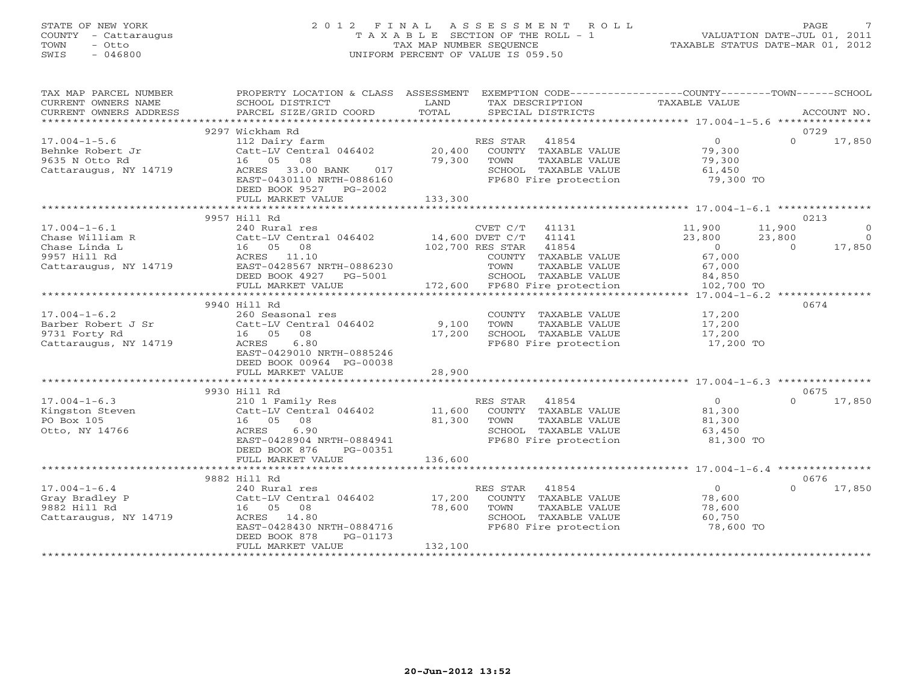# STATE OF NEW YORK 2 0 1 2 F I N A L A S S E S S M E N T R O L L PAGE 7 COUNTY - Cattaraugus T A X A B L E SECTION OF THE ROLL - 1 VALUATION DATE-JUL 01, 2011 TOWN - Otto TAX MAP NUMBER SEQUENCE TAXABLE STATUS DATE-MAR 01, 2012 SWIS - 046800 UNIFORM PERCENT OF VALUE IS 059.50UNIFORM PERCENT OF VALUE IS 059.50

| TAX MAP PARCEL NUMBER<br>CURRENT OWNERS NAME                                                    | PROPERTY LOCATION & CLASS ASSESSMENT EXEMPTION CODE---------------COUNTY-------TOWN------SCHOOL<br>SCHOOL DISTRICT                                                                                                | <b>Example 12</b> LAND      | TAX DESCRIPTION                                                                                                                                             | TAXABLE VALUE                                                              | ACCOUNT NO.                                                                |
|-------------------------------------------------------------------------------------------------|-------------------------------------------------------------------------------------------------------------------------------------------------------------------------------------------------------------------|-----------------------------|-------------------------------------------------------------------------------------------------------------------------------------------------------------|----------------------------------------------------------------------------|----------------------------------------------------------------------------|
|                                                                                                 |                                                                                                                                                                                                                   |                             |                                                                                                                                                             |                                                                            |                                                                            |
| $17.004 - 1 - 5.6$<br>Behnke Robert Jr<br>9635 N Otto Rd<br>Cattaraugus, NY 14719               | 9297 Wickham Rd<br>112 Dairy farm<br>Catt-LV Central 046402 20,400 COUNTY TAXABLE VALUE 79,300<br>16 05 08<br>ACRES 33.00 BANK<br>017<br>EAST-0430110 NRTH-0886160<br>DEED BOOK 9527 PG-2002<br>FULL MARKET VALUE | 133,300                     | RES STAR 41854<br>79,300 TOWN<br>TAXABLE VALUE<br>SCHOOL TAXABLE VALUE 61,450<br>FP680 Fire protection 79,300                                               | $\overline{0}$<br>79,300<br>79,300 TO                                      | 0729<br>$\Omega$<br>17,850                                                 |
|                                                                                                 | 9957 Hill Rd                                                                                                                                                                                                      |                             |                                                                                                                                                             |                                                                            | 0213                                                                       |
| $17.004 - 1 - 6.1$<br>Chase William R<br>Chase Linda L<br>9957 Hill Rd<br>Cattaraugus, NY 14719 | 240 Rural res<br>Catt-LV Central 046402<br>Catt-LV Central 046402<br>14,600 DVET C/T 41141<br>102,700 RES STAR 41854<br>ACRES 11.10<br>EAST-0428567 NRTH-0886230<br>DEED BOOK 4927 PG-5001<br>FULL MARKET VALUE   |                             | CVET C/T 41131 11,900<br>COUNTY TAXABLE VALUE<br>TOWN<br>TAXABLE VALUE<br>901 SCHOOL TAXABLE VALUE<br>172,600 FP680 Fire protection<br>SCHOOL TAXABLE VALUE | $23,800$<br>0<br>67,000<br>67,000<br>$84, 850$<br>$102, 700$<br>102,700 TO | 11,900<br>$\overline{0}$<br>23,800<br>$\overline{0}$<br>17,850<br>$\Omega$ |
|                                                                                                 |                                                                                                                                                                                                                   |                             |                                                                                                                                                             |                                                                            |                                                                            |
| $17.004 - 1 - 6.2$<br>Barber Robert J Sr<br>9731 Forty Rd<br>Cattaraugus, NY 14719              | 9940 Hill Rd<br>260 Seasonal res<br>Catt-LV Central 046402 9,100<br>16 05 08<br>6.80<br>ACRES<br>EAST-0429010 NRTH-0885246<br>DEED BOOK 00964 PG-00038<br>FULL MARKET VALUE                                       | 17,200<br>28,900            | COUNTY TAXABLE VALUE<br>TOWN<br>TAXABLE VALUE<br>SCHOOL TAXABLE VALUE<br>FP680 Fire protection                                                              | 17,200<br>17,200<br>17,200<br>17,200 TO                                    | 0674                                                                       |
|                                                                                                 |                                                                                                                                                                                                                   |                             |                                                                                                                                                             |                                                                            |                                                                            |
| $17.004 - 1 - 6.3$<br>Kingston Steven<br>PO Box 105<br>Otto, NY 14766                           | 9930 Hill Rd<br>210 1 Family Res<br>Catt-LV Central 046402 11,600<br>16 05 08<br>ACRES<br>6.90<br>EAST-0428904 NRTH-0884941<br>DEED BOOK 876 PG-00351<br>FULL MARKET VALUE                                        | 81,300<br>136,600           | RES STAR 41854<br>COUNTY TAXABLE VALUE 61,300<br>TAXABLE VALUE<br>TOWN<br>SCHOOL TAXABLE VALUE<br>FP680 Fire protection                                     | $\overline{0}$<br>81,300<br>63,450<br>81,300 TO                            | 0675<br>$\Omega$<br>17,850                                                 |
|                                                                                                 |                                                                                                                                                                                                                   |                             |                                                                                                                                                             |                                                                            |                                                                            |
| $17.004 - 1 - 6.4$<br>Gray Bradley P<br>9882 Hill Rd<br>Cattaraugus, NY 14719                   | 9882 Hill Rd<br>240 Rural res<br>Catt-LV Central 046402<br>16  05  08<br>ACRES 14.80<br>EAST-0428430 NRTH-0884716<br>DEED BOOK 878<br>PG-01173<br>FULL MARKET VALUE                                               | 17,200<br>78,600<br>132,100 | RES STAR 41854<br>COUNTY TAXABLE VALUE<br>TOWN<br>TAXABLE VALUE<br>SCHOOL TAXABLE VALUE<br>FP680 Fire protection                                            | $\overline{0}$<br>78,600<br>78,600<br>60,750<br>78,600 TO                  | 0676<br>0 17,850                                                           |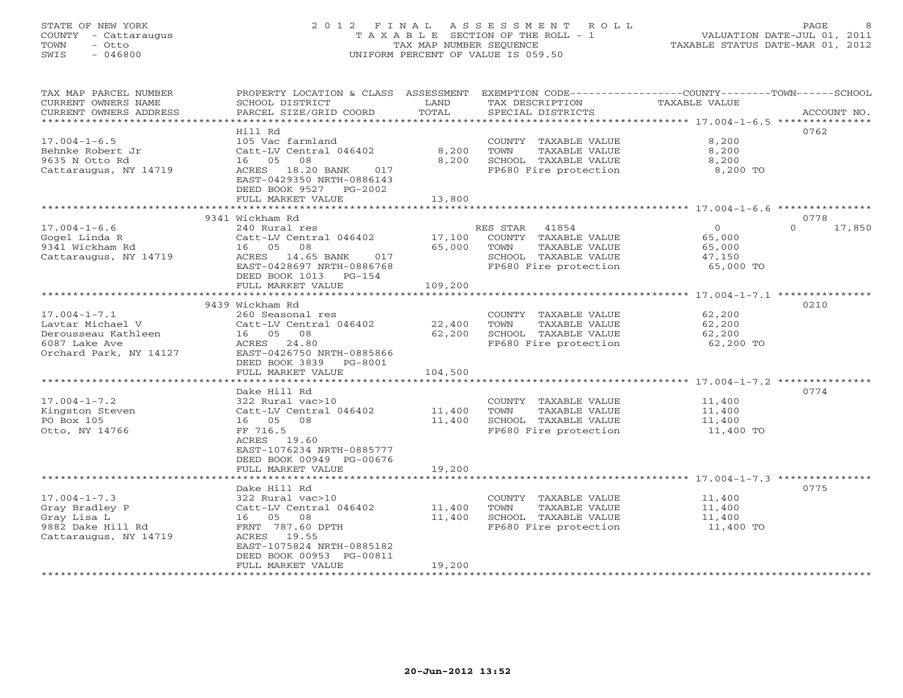# STATE OF NEW YORK 2 0 1 2 F I N A L A S S E S S M E N T R O L L PAGE 8 COUNTY - Cattaraugus T A X A B L E SECTION OF THE ROLL - 1 VALUATION DATE-JUL 01, 2011 TOWN - Otto TAX MAP NUMBER SEQUENCE TAXABLE STATUS DATE-MAR 01, 2012 SWIS - 046800 UNIFORM PERCENT OF VALUE IS 059.50UNIFORM PERCENT OF VALUE IS 059.50

| **********************<br>Hill Rd<br>0762<br>$17.004 - 1 - 6.5$<br>105 Vac farmland<br>8,200<br>COUNTY TAXABLE VALUE<br>8,200<br>8,200<br>Behnke Robert Jr<br>Catt-LV Central 046402<br>TOWN<br>TAXABLE VALUE<br>SCHOOL TAXABLE VALUE<br>8,200<br>9635 N Otto Rd<br>16 05<br>08<br>8,200<br>ACRES 18.20 BANK<br>FP680 Fire protection<br>8,200 TO<br>Cattaraugus, NY 14719<br>017<br>EAST-0429350 NRTH-0886143<br>DEED BOOK 9527 PG-2002<br>13,800<br>FULL MARKET VALUE<br>9341 Wickham Rd<br>0778<br>$\Omega$<br>$17.004 - 1 - 6.6$<br>240 Rural res<br>RES STAR 41854<br>$\circ$<br>17,850<br>Gogel Linda R<br>Catt-LV Central 046402<br>17,100<br>COUNTY TAXABLE VALUE<br>65,000<br>9341 Wickham Rd<br>16 05<br>08<br>65,000<br>TOWN<br>TAXABLE VALUE<br>65,000<br>Cattaraugus, NY 14719<br>ACRES 14.65 BANK<br>SCHOOL TAXABLE VALUE<br>017<br>47,150<br>EAST-0428697 NRTH-0886768<br>FP680 Fire protection<br>65,000 TO<br>DEED BOOK 1013 PG-154<br>109,200<br>FULL MARKET VALUE<br>9439 Wickham Rd<br>0210<br>$17.004 - 1 - 7.1$<br>62,200<br>260 Seasonal res<br>COUNTY TAXABLE VALUE<br>Lavtar Michael V<br>Catt-LV Central 046402<br>22,400<br>TAXABLE VALUE<br>62,200<br>TOWN<br>Derousseau Kathleen<br>16 05 08<br>62,200<br>SCHOOL TAXABLE VALUE<br>62,200<br>6087 Lake Ave<br>FP680 Fire protection<br>ACRES 24.80<br>62,200 TO<br>EAST-0426750 NRTH-0885866<br>Orchard Park, NY 14127<br>DEED BOOK 3839 PG-8001<br>FULL MARKET VALUE<br>104,500<br>0774<br>Dake Hill Rd<br>$17.004 - 1 - 7.2$<br>322 Rural vac>10<br>COUNTY TAXABLE VALUE<br>11,400<br>Kingston Steven<br>Catt-LV Central 046402<br>11,400<br>TOWN<br>TAXABLE VALUE<br>11,400<br>PO Box 105<br>16 05 08<br>11,400<br>SCHOOL TAXABLE VALUE<br>11,400<br>FF 716.5<br>FP680 Fire protection<br>11,400 TO<br>Otto, NY 14766<br>ACRES 19.60<br>EAST-1076234 NRTH-0885777<br>DEED BOOK 00949 PG-00676<br>FULL MARKET VALUE<br>19,200<br>0775<br>Dake Hill Rd<br>$17.004 - 1 - 7.3$<br>322 Rural vac>10<br>COUNTY TAXABLE VALUE<br>11,400<br>Gray Bradley P<br>Catt-LV Central 046402<br>11,400<br>TOWN<br>TAXABLE VALUE<br>11,400<br>Gray Lisa L<br>16  05  08<br>11,400<br>SCHOOL TAXABLE VALUE<br>11,400<br>9882 Dake Hill Rd<br>FRNT 787.60 DPTH<br>FP680 Fire protection<br>11,400 TO<br>19.55<br>Cattaraugus, NY 14719<br>ACRES<br>EAST-1075824 NRTH-0885182<br>DEED BOOK 00953 PG-00811<br>FULL MARKET VALUE<br>19,200<br>******************* | TAX MAP PARCEL NUMBER<br>CURRENT OWNERS NAME<br>CURRENT OWNERS ADDRESS | PROPERTY LOCATION & CLASS ASSESSMENT<br>SCHOOL DISTRICT<br>PARCEL SIZE/GRID COORD | LAND<br>TOTAL | EXEMPTION CODE-----------------COUNTY-------TOWN------SCHOOL<br>TAX DESCRIPTION<br>SPECIAL DISTRICTS | TAXABLE VALUE | ACCOUNT NO. |
|----------------------------------------------------------------------------------------------------------------------------------------------------------------------------------------------------------------------------------------------------------------------------------------------------------------------------------------------------------------------------------------------------------------------------------------------------------------------------------------------------------------------------------------------------------------------------------------------------------------------------------------------------------------------------------------------------------------------------------------------------------------------------------------------------------------------------------------------------------------------------------------------------------------------------------------------------------------------------------------------------------------------------------------------------------------------------------------------------------------------------------------------------------------------------------------------------------------------------------------------------------------------------------------------------------------------------------------------------------------------------------------------------------------------------------------------------------------------------------------------------------------------------------------------------------------------------------------------------------------------------------------------------------------------------------------------------------------------------------------------------------------------------------------------------------------------------------------------------------------------------------------------------------------------------------------------------------------------------------------------------------------------------------------------------------------------------------------------------------------------------------------------------------------------------------------------------------------------------------------------------------------------------------------------------------------------------------------------------------------------------------------------------------------------------|------------------------------------------------------------------------|-----------------------------------------------------------------------------------|---------------|------------------------------------------------------------------------------------------------------|---------------|-------------|
|                                                                                                                                                                                                                                                                                                                                                                                                                                                                                                                                                                                                                                                                                                                                                                                                                                                                                                                                                                                                                                                                                                                                                                                                                                                                                                                                                                                                                                                                                                                                                                                                                                                                                                                                                                                                                                                                                                                                                                                                                                                                                                                                                                                                                                                                                                                                                                                                                            |                                                                        |                                                                                   |               |                                                                                                      |               |             |
|                                                                                                                                                                                                                                                                                                                                                                                                                                                                                                                                                                                                                                                                                                                                                                                                                                                                                                                                                                                                                                                                                                                                                                                                                                                                                                                                                                                                                                                                                                                                                                                                                                                                                                                                                                                                                                                                                                                                                                                                                                                                                                                                                                                                                                                                                                                                                                                                                            |                                                                        |                                                                                   |               |                                                                                                      |               |             |
|                                                                                                                                                                                                                                                                                                                                                                                                                                                                                                                                                                                                                                                                                                                                                                                                                                                                                                                                                                                                                                                                                                                                                                                                                                                                                                                                                                                                                                                                                                                                                                                                                                                                                                                                                                                                                                                                                                                                                                                                                                                                                                                                                                                                                                                                                                                                                                                                                            |                                                                        |                                                                                   |               |                                                                                                      |               |             |
|                                                                                                                                                                                                                                                                                                                                                                                                                                                                                                                                                                                                                                                                                                                                                                                                                                                                                                                                                                                                                                                                                                                                                                                                                                                                                                                                                                                                                                                                                                                                                                                                                                                                                                                                                                                                                                                                                                                                                                                                                                                                                                                                                                                                                                                                                                                                                                                                                            |                                                                        |                                                                                   |               |                                                                                                      |               |             |
|                                                                                                                                                                                                                                                                                                                                                                                                                                                                                                                                                                                                                                                                                                                                                                                                                                                                                                                                                                                                                                                                                                                                                                                                                                                                                                                                                                                                                                                                                                                                                                                                                                                                                                                                                                                                                                                                                                                                                                                                                                                                                                                                                                                                                                                                                                                                                                                                                            |                                                                        |                                                                                   |               |                                                                                                      |               |             |
|                                                                                                                                                                                                                                                                                                                                                                                                                                                                                                                                                                                                                                                                                                                                                                                                                                                                                                                                                                                                                                                                                                                                                                                                                                                                                                                                                                                                                                                                                                                                                                                                                                                                                                                                                                                                                                                                                                                                                                                                                                                                                                                                                                                                                                                                                                                                                                                                                            |                                                                        |                                                                                   |               |                                                                                                      |               |             |
|                                                                                                                                                                                                                                                                                                                                                                                                                                                                                                                                                                                                                                                                                                                                                                                                                                                                                                                                                                                                                                                                                                                                                                                                                                                                                                                                                                                                                                                                                                                                                                                                                                                                                                                                                                                                                                                                                                                                                                                                                                                                                                                                                                                                                                                                                                                                                                                                                            |                                                                        |                                                                                   |               |                                                                                                      |               |             |
|                                                                                                                                                                                                                                                                                                                                                                                                                                                                                                                                                                                                                                                                                                                                                                                                                                                                                                                                                                                                                                                                                                                                                                                                                                                                                                                                                                                                                                                                                                                                                                                                                                                                                                                                                                                                                                                                                                                                                                                                                                                                                                                                                                                                                                                                                                                                                                                                                            |                                                                        |                                                                                   |               |                                                                                                      |               |             |
|                                                                                                                                                                                                                                                                                                                                                                                                                                                                                                                                                                                                                                                                                                                                                                                                                                                                                                                                                                                                                                                                                                                                                                                                                                                                                                                                                                                                                                                                                                                                                                                                                                                                                                                                                                                                                                                                                                                                                                                                                                                                                                                                                                                                                                                                                                                                                                                                                            |                                                                        |                                                                                   |               |                                                                                                      |               |             |
|                                                                                                                                                                                                                                                                                                                                                                                                                                                                                                                                                                                                                                                                                                                                                                                                                                                                                                                                                                                                                                                                                                                                                                                                                                                                                                                                                                                                                                                                                                                                                                                                                                                                                                                                                                                                                                                                                                                                                                                                                                                                                                                                                                                                                                                                                                                                                                                                                            |                                                                        |                                                                                   |               |                                                                                                      |               |             |
|                                                                                                                                                                                                                                                                                                                                                                                                                                                                                                                                                                                                                                                                                                                                                                                                                                                                                                                                                                                                                                                                                                                                                                                                                                                                                                                                                                                                                                                                                                                                                                                                                                                                                                                                                                                                                                                                                                                                                                                                                                                                                                                                                                                                                                                                                                                                                                                                                            |                                                                        |                                                                                   |               |                                                                                                      |               |             |
|                                                                                                                                                                                                                                                                                                                                                                                                                                                                                                                                                                                                                                                                                                                                                                                                                                                                                                                                                                                                                                                                                                                                                                                                                                                                                                                                                                                                                                                                                                                                                                                                                                                                                                                                                                                                                                                                                                                                                                                                                                                                                                                                                                                                                                                                                                                                                                                                                            |                                                                        |                                                                                   |               |                                                                                                      |               |             |
|                                                                                                                                                                                                                                                                                                                                                                                                                                                                                                                                                                                                                                                                                                                                                                                                                                                                                                                                                                                                                                                                                                                                                                                                                                                                                                                                                                                                                                                                                                                                                                                                                                                                                                                                                                                                                                                                                                                                                                                                                                                                                                                                                                                                                                                                                                                                                                                                                            |                                                                        |                                                                                   |               |                                                                                                      |               |             |
|                                                                                                                                                                                                                                                                                                                                                                                                                                                                                                                                                                                                                                                                                                                                                                                                                                                                                                                                                                                                                                                                                                                                                                                                                                                                                                                                                                                                                                                                                                                                                                                                                                                                                                                                                                                                                                                                                                                                                                                                                                                                                                                                                                                                                                                                                                                                                                                                                            |                                                                        |                                                                                   |               |                                                                                                      |               |             |
|                                                                                                                                                                                                                                                                                                                                                                                                                                                                                                                                                                                                                                                                                                                                                                                                                                                                                                                                                                                                                                                                                                                                                                                                                                                                                                                                                                                                                                                                                                                                                                                                                                                                                                                                                                                                                                                                                                                                                                                                                                                                                                                                                                                                                                                                                                                                                                                                                            |                                                                        |                                                                                   |               |                                                                                                      |               |             |
|                                                                                                                                                                                                                                                                                                                                                                                                                                                                                                                                                                                                                                                                                                                                                                                                                                                                                                                                                                                                                                                                                                                                                                                                                                                                                                                                                                                                                                                                                                                                                                                                                                                                                                                                                                                                                                                                                                                                                                                                                                                                                                                                                                                                                                                                                                                                                                                                                            |                                                                        |                                                                                   |               |                                                                                                      |               |             |
|                                                                                                                                                                                                                                                                                                                                                                                                                                                                                                                                                                                                                                                                                                                                                                                                                                                                                                                                                                                                                                                                                                                                                                                                                                                                                                                                                                                                                                                                                                                                                                                                                                                                                                                                                                                                                                                                                                                                                                                                                                                                                                                                                                                                                                                                                                                                                                                                                            |                                                                        |                                                                                   |               |                                                                                                      |               |             |
|                                                                                                                                                                                                                                                                                                                                                                                                                                                                                                                                                                                                                                                                                                                                                                                                                                                                                                                                                                                                                                                                                                                                                                                                                                                                                                                                                                                                                                                                                                                                                                                                                                                                                                                                                                                                                                                                                                                                                                                                                                                                                                                                                                                                                                                                                                                                                                                                                            |                                                                        |                                                                                   |               |                                                                                                      |               |             |
|                                                                                                                                                                                                                                                                                                                                                                                                                                                                                                                                                                                                                                                                                                                                                                                                                                                                                                                                                                                                                                                                                                                                                                                                                                                                                                                                                                                                                                                                                                                                                                                                                                                                                                                                                                                                                                                                                                                                                                                                                                                                                                                                                                                                                                                                                                                                                                                                                            |                                                                        |                                                                                   |               |                                                                                                      |               |             |
|                                                                                                                                                                                                                                                                                                                                                                                                                                                                                                                                                                                                                                                                                                                                                                                                                                                                                                                                                                                                                                                                                                                                                                                                                                                                                                                                                                                                                                                                                                                                                                                                                                                                                                                                                                                                                                                                                                                                                                                                                                                                                                                                                                                                                                                                                                                                                                                                                            |                                                                        |                                                                                   |               |                                                                                                      |               |             |
|                                                                                                                                                                                                                                                                                                                                                                                                                                                                                                                                                                                                                                                                                                                                                                                                                                                                                                                                                                                                                                                                                                                                                                                                                                                                                                                                                                                                                                                                                                                                                                                                                                                                                                                                                                                                                                                                                                                                                                                                                                                                                                                                                                                                                                                                                                                                                                                                                            |                                                                        |                                                                                   |               |                                                                                                      |               |             |
|                                                                                                                                                                                                                                                                                                                                                                                                                                                                                                                                                                                                                                                                                                                                                                                                                                                                                                                                                                                                                                                                                                                                                                                                                                                                                                                                                                                                                                                                                                                                                                                                                                                                                                                                                                                                                                                                                                                                                                                                                                                                                                                                                                                                                                                                                                                                                                                                                            |                                                                        |                                                                                   |               |                                                                                                      |               |             |
|                                                                                                                                                                                                                                                                                                                                                                                                                                                                                                                                                                                                                                                                                                                                                                                                                                                                                                                                                                                                                                                                                                                                                                                                                                                                                                                                                                                                                                                                                                                                                                                                                                                                                                                                                                                                                                                                                                                                                                                                                                                                                                                                                                                                                                                                                                                                                                                                                            |                                                                        |                                                                                   |               |                                                                                                      |               |             |
|                                                                                                                                                                                                                                                                                                                                                                                                                                                                                                                                                                                                                                                                                                                                                                                                                                                                                                                                                                                                                                                                                                                                                                                                                                                                                                                                                                                                                                                                                                                                                                                                                                                                                                                                                                                                                                                                                                                                                                                                                                                                                                                                                                                                                                                                                                                                                                                                                            |                                                                        |                                                                                   |               |                                                                                                      |               |             |
|                                                                                                                                                                                                                                                                                                                                                                                                                                                                                                                                                                                                                                                                                                                                                                                                                                                                                                                                                                                                                                                                                                                                                                                                                                                                                                                                                                                                                                                                                                                                                                                                                                                                                                                                                                                                                                                                                                                                                                                                                                                                                                                                                                                                                                                                                                                                                                                                                            |                                                                        |                                                                                   |               |                                                                                                      |               |             |
|                                                                                                                                                                                                                                                                                                                                                                                                                                                                                                                                                                                                                                                                                                                                                                                                                                                                                                                                                                                                                                                                                                                                                                                                                                                                                                                                                                                                                                                                                                                                                                                                                                                                                                                                                                                                                                                                                                                                                                                                                                                                                                                                                                                                                                                                                                                                                                                                                            |                                                                        |                                                                                   |               |                                                                                                      |               |             |
|                                                                                                                                                                                                                                                                                                                                                                                                                                                                                                                                                                                                                                                                                                                                                                                                                                                                                                                                                                                                                                                                                                                                                                                                                                                                                                                                                                                                                                                                                                                                                                                                                                                                                                                                                                                                                                                                                                                                                                                                                                                                                                                                                                                                                                                                                                                                                                                                                            |                                                                        |                                                                                   |               |                                                                                                      |               |             |
|                                                                                                                                                                                                                                                                                                                                                                                                                                                                                                                                                                                                                                                                                                                                                                                                                                                                                                                                                                                                                                                                                                                                                                                                                                                                                                                                                                                                                                                                                                                                                                                                                                                                                                                                                                                                                                                                                                                                                                                                                                                                                                                                                                                                                                                                                                                                                                                                                            |                                                                        |                                                                                   |               |                                                                                                      |               |             |
|                                                                                                                                                                                                                                                                                                                                                                                                                                                                                                                                                                                                                                                                                                                                                                                                                                                                                                                                                                                                                                                                                                                                                                                                                                                                                                                                                                                                                                                                                                                                                                                                                                                                                                                                                                                                                                                                                                                                                                                                                                                                                                                                                                                                                                                                                                                                                                                                                            |                                                                        |                                                                                   |               |                                                                                                      |               |             |
|                                                                                                                                                                                                                                                                                                                                                                                                                                                                                                                                                                                                                                                                                                                                                                                                                                                                                                                                                                                                                                                                                                                                                                                                                                                                                                                                                                                                                                                                                                                                                                                                                                                                                                                                                                                                                                                                                                                                                                                                                                                                                                                                                                                                                                                                                                                                                                                                                            |                                                                        |                                                                                   |               |                                                                                                      |               |             |
|                                                                                                                                                                                                                                                                                                                                                                                                                                                                                                                                                                                                                                                                                                                                                                                                                                                                                                                                                                                                                                                                                                                                                                                                                                                                                                                                                                                                                                                                                                                                                                                                                                                                                                                                                                                                                                                                                                                                                                                                                                                                                                                                                                                                                                                                                                                                                                                                                            |                                                                        |                                                                                   |               |                                                                                                      |               |             |
|                                                                                                                                                                                                                                                                                                                                                                                                                                                                                                                                                                                                                                                                                                                                                                                                                                                                                                                                                                                                                                                                                                                                                                                                                                                                                                                                                                                                                                                                                                                                                                                                                                                                                                                                                                                                                                                                                                                                                                                                                                                                                                                                                                                                                                                                                                                                                                                                                            |                                                                        |                                                                                   |               |                                                                                                      |               |             |
|                                                                                                                                                                                                                                                                                                                                                                                                                                                                                                                                                                                                                                                                                                                                                                                                                                                                                                                                                                                                                                                                                                                                                                                                                                                                                                                                                                                                                                                                                                                                                                                                                                                                                                                                                                                                                                                                                                                                                                                                                                                                                                                                                                                                                                                                                                                                                                                                                            |                                                                        |                                                                                   |               |                                                                                                      |               |             |
|                                                                                                                                                                                                                                                                                                                                                                                                                                                                                                                                                                                                                                                                                                                                                                                                                                                                                                                                                                                                                                                                                                                                                                                                                                                                                                                                                                                                                                                                                                                                                                                                                                                                                                                                                                                                                                                                                                                                                                                                                                                                                                                                                                                                                                                                                                                                                                                                                            |                                                                        |                                                                                   |               |                                                                                                      |               |             |
|                                                                                                                                                                                                                                                                                                                                                                                                                                                                                                                                                                                                                                                                                                                                                                                                                                                                                                                                                                                                                                                                                                                                                                                                                                                                                                                                                                                                                                                                                                                                                                                                                                                                                                                                                                                                                                                                                                                                                                                                                                                                                                                                                                                                                                                                                                                                                                                                                            |                                                                        |                                                                                   |               |                                                                                                      |               |             |
|                                                                                                                                                                                                                                                                                                                                                                                                                                                                                                                                                                                                                                                                                                                                                                                                                                                                                                                                                                                                                                                                                                                                                                                                                                                                                                                                                                                                                                                                                                                                                                                                                                                                                                                                                                                                                                                                                                                                                                                                                                                                                                                                                                                                                                                                                                                                                                                                                            |                                                                        |                                                                                   |               |                                                                                                      |               |             |
|                                                                                                                                                                                                                                                                                                                                                                                                                                                                                                                                                                                                                                                                                                                                                                                                                                                                                                                                                                                                                                                                                                                                                                                                                                                                                                                                                                                                                                                                                                                                                                                                                                                                                                                                                                                                                                                                                                                                                                                                                                                                                                                                                                                                                                                                                                                                                                                                                            |                                                                        |                                                                                   |               |                                                                                                      |               |             |
|                                                                                                                                                                                                                                                                                                                                                                                                                                                                                                                                                                                                                                                                                                                                                                                                                                                                                                                                                                                                                                                                                                                                                                                                                                                                                                                                                                                                                                                                                                                                                                                                                                                                                                                                                                                                                                                                                                                                                                                                                                                                                                                                                                                                                                                                                                                                                                                                                            |                                                                        |                                                                                   |               |                                                                                                      |               |             |
|                                                                                                                                                                                                                                                                                                                                                                                                                                                                                                                                                                                                                                                                                                                                                                                                                                                                                                                                                                                                                                                                                                                                                                                                                                                                                                                                                                                                                                                                                                                                                                                                                                                                                                                                                                                                                                                                                                                                                                                                                                                                                                                                                                                                                                                                                                                                                                                                                            |                                                                        |                                                                                   |               |                                                                                                      |               |             |
|                                                                                                                                                                                                                                                                                                                                                                                                                                                                                                                                                                                                                                                                                                                                                                                                                                                                                                                                                                                                                                                                                                                                                                                                                                                                                                                                                                                                                                                                                                                                                                                                                                                                                                                                                                                                                                                                                                                                                                                                                                                                                                                                                                                                                                                                                                                                                                                                                            |                                                                        |                                                                                   |               |                                                                                                      |               |             |
|                                                                                                                                                                                                                                                                                                                                                                                                                                                                                                                                                                                                                                                                                                                                                                                                                                                                                                                                                                                                                                                                                                                                                                                                                                                                                                                                                                                                                                                                                                                                                                                                                                                                                                                                                                                                                                                                                                                                                                                                                                                                                                                                                                                                                                                                                                                                                                                                                            |                                                                        |                                                                                   |               |                                                                                                      |               |             |
|                                                                                                                                                                                                                                                                                                                                                                                                                                                                                                                                                                                                                                                                                                                                                                                                                                                                                                                                                                                                                                                                                                                                                                                                                                                                                                                                                                                                                                                                                                                                                                                                                                                                                                                                                                                                                                                                                                                                                                                                                                                                                                                                                                                                                                                                                                                                                                                                                            |                                                                        |                                                                                   |               |                                                                                                      |               |             |
|                                                                                                                                                                                                                                                                                                                                                                                                                                                                                                                                                                                                                                                                                                                                                                                                                                                                                                                                                                                                                                                                                                                                                                                                                                                                                                                                                                                                                                                                                                                                                                                                                                                                                                                                                                                                                                                                                                                                                                                                                                                                                                                                                                                                                                                                                                                                                                                                                            |                                                                        |                                                                                   |               |                                                                                                      |               |             |
|                                                                                                                                                                                                                                                                                                                                                                                                                                                                                                                                                                                                                                                                                                                                                                                                                                                                                                                                                                                                                                                                                                                                                                                                                                                                                                                                                                                                                                                                                                                                                                                                                                                                                                                                                                                                                                                                                                                                                                                                                                                                                                                                                                                                                                                                                                                                                                                                                            |                                                                        |                                                                                   |               |                                                                                                      |               |             |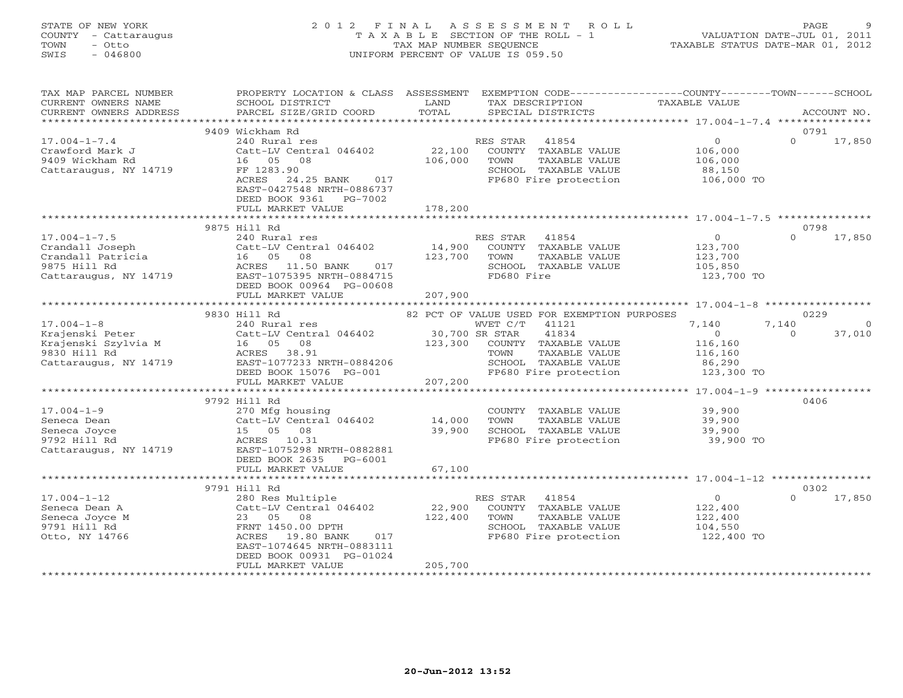# STATE OF NEW YORK 2 0 1 2 F I N A L A S S E S S M E N T R O L L PAGE 9 COUNTY - Cattaraugus T A X A B L E SECTION OF THE ROLL - 1 VALUATION DATE-JUL 01, 2011 TOWN - Otto TAX MAP NUMBER SEQUENCE TAXABLE STATUS DATE-MAR 01, 2012 SWIS - 046800 UNIFORM PERCENT OF VALUE IS 059.50UNIFORM PERCENT OF VALUE IS 059.50

| TAX MAP PARCEL NUMBER<br>CURRENT OWNERS NAME<br>CURRENT OWNERS ADDRESS                                                                   | PROPERTY LOCATION & CLASS ASSESSMENT<br>SCHOOL DISTRICT<br>PARCEL SIZE/GRID COORD                                                                                                       | LAND<br>TOTAL           | TAX DESCRIPTION<br>SPECIAL DISTRICTS                                                                                                                       | EXEMPTION CODE-----------------COUNTY-------TOWN------SCHOOL<br>TAXABLE VALUE      | ACCOUNT NO.                                   |
|------------------------------------------------------------------------------------------------------------------------------------------|-----------------------------------------------------------------------------------------------------------------------------------------------------------------------------------------|-------------------------|------------------------------------------------------------------------------------------------------------------------------------------------------------|------------------------------------------------------------------------------------|-----------------------------------------------|
|                                                                                                                                          |                                                                                                                                                                                         |                         |                                                                                                                                                            |                                                                                    |                                               |
|                                                                                                                                          | 9409 Wickham Rd                                                                                                                                                                         |                         |                                                                                                                                                            |                                                                                    | 0791                                          |
| $17.004 - 1 - 7.4$<br>Crawford Mark J<br>9409 Wickham Rd<br>Cattaraugus, NY 14719                                                        | 240 Rural res<br>Catt-LV Central 046402<br>16  05  08<br>FF 1283.90<br>ACRES 24.25 BANK 017<br>EAST-0427548 NRTH-0886737<br>DEED BOOK 9361 PG-7002                                      | 106,000                 | RES STAR 41854<br>22,100 COUNTY TAXABLE VALUE<br>TOWN<br>TAXABLE VALUE<br>SCHOOL TAXABLE VALUE                                                             | $\overline{0}$<br>106,000<br>106,000<br>88,150<br>FP680 Fire protection 106,000 TO | $\Omega$<br>17,850                            |
|                                                                                                                                          | FULL MARKET VALUE 178,200                                                                                                                                                               |                         |                                                                                                                                                            |                                                                                    |                                               |
|                                                                                                                                          |                                                                                                                                                                                         |                         |                                                                                                                                                            |                                                                                    |                                               |
| $17.004 - 1 - 7.5$                                                                                                                       | 9875 Hill Rd<br>240 Rural res                                                                                                                                                           |                         | RES STAR 41854                                                                                                                                             | $\overline{0}$                                                                     | 0798<br>$\Omega$<br>17,850                    |
| Crandall Joseph Catt-LV Centr<br>Crandall Patricia (16 05 08<br>9875 Hill Rd (15 ACRES 11.50<br>Cattaraugus, NY 14719                    | Catt-LV Central 046402 14,900<br>017<br>ACRES 11.50 BANK<br>EAST-1075395 NRTH-0884715<br>DEED BOOK 00964 PG-00608<br>FULL MARKET VALUE                                                  | 123,700 TOWN<br>207,900 | COUNTY TAXABLE VALUE<br>TAXABLE VALUE<br>SCHOOL TAXABLE VALUE<br>FD680 Fire                                                                                | 123,700<br>123,700<br>105,850<br>123,700 TO                                        |                                               |
|                                                                                                                                          | ****************************                                                                                                                                                            |                         |                                                                                                                                                            | ******************************** 17.004-1-8 ******************                     |                                               |
|                                                                                                                                          | 9830 Hill Rd                                                                                                                                                                            |                         | 82 PCT OF VALUE USED FOR EXEMPTION PURPOSES                                                                                                                |                                                                                    | 0229                                          |
| $17.004 - 1 - 8$<br>Krajenski Peter<br>Krajenski Szylvia M<br>2000. ulil 11. listopada 16 05 08<br>9830 Hill Rd<br>Cattaraugus, NY 14719 | FULL MARKET VALUE                                                                                                                                                                       | 207,200                 | WVET C/T 41121<br>41834<br>123,300 COUNTY TAXABLE VALUE<br>TAXABLE VALUE<br>TOWN<br>SCHOOL TAXABLE VALUE<br>FP680 Fire protection<br>FP680 Fire protection | 7,140<br>$\sim$ 0<br>116,160<br>116,160<br>86,290<br>123,300 TO                    | 7,140<br>$\overline{0}$<br>$\Omega$<br>37,010 |
|                                                                                                                                          |                                                                                                                                                                                         |                         |                                                                                                                                                            |                                                                                    |                                               |
| $17.004 - 1 - 9$<br>Seneca Dean<br>Seneca Joyce<br>9792 Hill Rd<br>Cattaraugus, NY 14719                                                 | 9792 Hill Rd<br>270 Mfg housing<br>Catt-LV Central 046402<br>15 05 08<br>ACRES 10.31<br>EAST-1075298 NRTH-0882881<br>DEED BOOK 2635 PG-6001                                             | 14,000<br>39,900        | COUNTY TAXABLE VALUE<br>TOWN<br>TAXABLE VALUE<br>SCHOOL TAXABLE VALUE<br>FP680 Fire protection                                                             | 39,900<br>39,900<br>39,900<br>39,900 TO                                            | 0406                                          |
|                                                                                                                                          | FULL MARKET VALUE                                                                                                                                                                       | 67,100                  |                                                                                                                                                            |                                                                                    |                                               |
|                                                                                                                                          | 9791 Hill Rd                                                                                                                                                                            |                         |                                                                                                                                                            |                                                                                    | 0302                                          |
| $17.004 - 1 - 12$<br>Seneca Dean A<br>Seneca Joyce M<br>9791 Hill Rd<br>Otto, NY 14766                                                   | 280 Res Multiple<br>Catt-LV Central 046402<br>23 05<br>08<br>FRNT 1450.00 DPTH<br>ACRES 19.80 BANK<br>017<br>EAST-1074645 NRTH-0883111<br>DEED BOOK 00931 PG-01024<br>FULL MARKET VALUE | 205,700                 | RES STAR 41854<br>22,900 COUNTY TAXABLE VALUE<br>122,400 TOWN TAXABLE VALUE<br>SCHOOL TAXABLE VALUE<br>FP680 Fire protection                               | $\sim$ 0<br>122,400<br>122,400<br>104,550<br>122,400 TO                            | $\Omega$<br>17,850                            |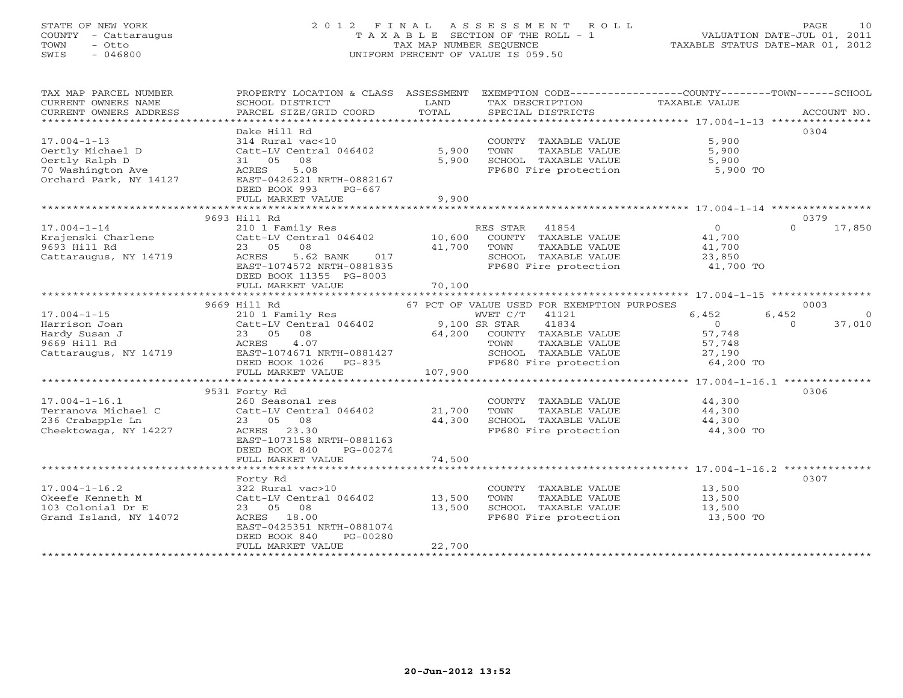# STATE OF NEW YORK 2 0 1 2 F I N A L A S S E S S M E N T R O L L PAGE 10 COUNTY - Cattaraugus T A X A B L E SECTION OF THE ROLL - 1 VALUATION DATE-JUL 01, 2011 TOWN - Otto TAX MAP NUMBER SEQUENCE TAXABLE STATUS DATE-MAR 01, 2012 SWIS - 046800 UNIFORM PERCENT OF VALUE IS 059.50UNIFORM PERCENT OF VALUE IS 059.50

| TAX MAP PARCEL NUMBER                                | PROPERTY LOCATION & CLASS ASSESSMENT EXEMPTION CODE---------------COUNTY-------TOWN------SCHOOL |                             |                                               |                     |                         |
|------------------------------------------------------|-------------------------------------------------------------------------------------------------|-----------------------------|-----------------------------------------------|---------------------|-------------------------|
| CURRENT OWNERS NAME                                  | SCHOOL DISTRICT                                                                                 | LAND                        | TAX DESCRIPTION                               | TAXABLE VALUE       |                         |
| CURRENT OWNERS ADDRESS<br>************************** | PARCEL SIZE/GRID COORD                                                                          | TOTAL                       | SPECIAL DISTRICTS                             |                     | ACCOUNT NO.             |
|                                                      | Dake Hill Rd                                                                                    |                             |                                               |                     | 0304                    |
| $17.004 - 1 - 13$                                    | 314 Rural vac<10                                                                                |                             | COUNTY TAXABLE VALUE                          | 5,900               |                         |
| Oertly Michael D                                     | Catt-LV Central 046402                                                                          | 5,900                       | TOWN<br>TAXABLE VALUE                         | 5,900               |                         |
| Oertly Ralph D                                       | 08<br>31 05                                                                                     | 5,900                       | SCHOOL TAXABLE VALUE                          | 5,900               |                         |
| 70 Washington Ave                                    | ACRES<br>5.08                                                                                   |                             | FP680 Fire protection                         | 5,900 TO            |                         |
| Orchard Park, NY 14127                               | EAST-0426221 NRTH-0882167                                                                       |                             |                                               |                     |                         |
|                                                      | DEED BOOK 993<br>$PG-667$                                                                       |                             |                                               |                     |                         |
|                                                      | FULL MARKET VALUE                                                                               | 9,900                       |                                               |                     |                         |
|                                                      | ***************************                                                                     | * * * * * * * * * * * * * * |                                               |                     |                         |
|                                                      | 9693 Hill Rd                                                                                    |                             |                                               |                     | 0379                    |
| $17.004 - 1 - 14$                                    | 210 1 Family Res                                                                                |                             | RES STAR<br>41854                             | $\overline{0}$      | 17,850<br>$\Omega$      |
| Krajenski Charlene                                   | Catt-LV Central 046402                                                                          | 10,600                      | COUNTY TAXABLE VALUE                          | 41,700              |                         |
| 9693 Hill Rd                                         | 23 05<br>08                                                                                     | 41,700                      | TOWN<br>TAXABLE VALUE                         | 41,700              |                         |
| Cattaraugus, NY 14719                                | ACRES<br>5.62 BANK<br>017<br>EAST-1074572 NRTH-0881835                                          |                             | SCHOOL TAXABLE VALUE<br>FP680 Fire protection | 23,850<br>41,700 TO |                         |
|                                                      | DEED BOOK 11355 PG-8003                                                                         |                             |                                               |                     |                         |
|                                                      | FULL MARKET VALUE                                                                               | 70,100                      |                                               |                     |                         |
|                                                      |                                                                                                 |                             |                                               |                     |                         |
|                                                      | 9669 Hill Rd                                                                                    |                             | 67 PCT OF VALUE USED FOR EXEMPTION PURPOSES   |                     | 0003                    |
| $17.004 - 1 - 15$                                    | 210 1 Family Res                                                                                |                             | WVET C/T<br>41121                             | 6,452               | 6,452<br>$\overline{0}$ |
| Harrison Joan                                        | Catt-LV Central 046402                                                                          |                             | 9,100 SR STAR<br>41834                        | $\overline{0}$      | 37,010<br>$\Omega$      |
| Hardy Susan J                                        | 08<br>23 05                                                                                     | 64,200                      | COUNTY TAXABLE VALUE                          | 57,748              |                         |
| 9669 Hill Rd                                         | <b>ACRES</b><br>4.07                                                                            |                             | TAXABLE VALUE<br>TOWN                         | 57,748              |                         |
| Cattaraugus, NY 14719                                | EAST-1074671 NRTH-0881427                                                                       |                             | SCHOOL TAXABLE VALUE                          | 27,190              |                         |
|                                                      | DEED BOOK 1026 PG-835                                                                           |                             | FP680 Fire protection                         | 64,200 TO           |                         |
|                                                      | FULL MARKET VALUE                                                                               | 107,900                     |                                               |                     |                         |
|                                                      |                                                                                                 |                             |                                               |                     |                         |
| $17.004 - 1 - 16.1$                                  | 9531 Forty Rd                                                                                   |                             | COUNTY TAXABLE VALUE                          | 44,300              | 0306                    |
| Terranova Michael C                                  | 260 Seasonal res<br>Catt-LV Central 046402                                                      | 21,700                      | TOWN<br>TAXABLE VALUE                         | 44,300              |                         |
| 236 Crabapple Ln                                     | 23 05<br>08                                                                                     | 44,300                      | SCHOOL TAXABLE VALUE                          | 44,300              |                         |
| Cheektowaga, NY 14227                                | ACRES<br>23.30                                                                                  |                             | FP680 Fire protection                         | 44,300 TO           |                         |
|                                                      | EAST-1073158 NRTH-0881163                                                                       |                             |                                               |                     |                         |
|                                                      | DEED BOOK 840<br>PG-00274                                                                       |                             |                                               |                     |                         |
|                                                      | FULL MARKET VALUE                                                                               | 74,500                      |                                               |                     |                         |
|                                                      |                                                                                                 |                             |                                               |                     |                         |
|                                                      | Forty Rd                                                                                        |                             |                                               |                     | 0307                    |
| $17.004 - 1 - 16.2$                                  | 322 Rural vac>10                                                                                |                             | COUNTY TAXABLE VALUE                          | 13,500              |                         |
| Okeefe Kenneth M                                     | Catt-LV Central 046402                                                                          | 13,500                      | TOWN<br>TAXABLE VALUE                         | 13,500              |                         |
| 103 Colonial Dr E                                    | 23 05<br>08                                                                                     | 13,500                      | SCHOOL TAXABLE VALUE                          | 13,500              |                         |
| Grand Island, NY 14072                               | ACRES 18.00                                                                                     |                             | FP680 Fire protection                         | 13,500 TO           |                         |
|                                                      | EAST-0425351 NRTH-0881074                                                                       |                             |                                               |                     |                         |
|                                                      | DEED BOOK 840<br>PG-00280<br>FULL MARKET VALUE                                                  | 22,700                      |                                               |                     |                         |
|                                                      |                                                                                                 |                             |                                               |                     |                         |
|                                                      |                                                                                                 |                             |                                               |                     |                         |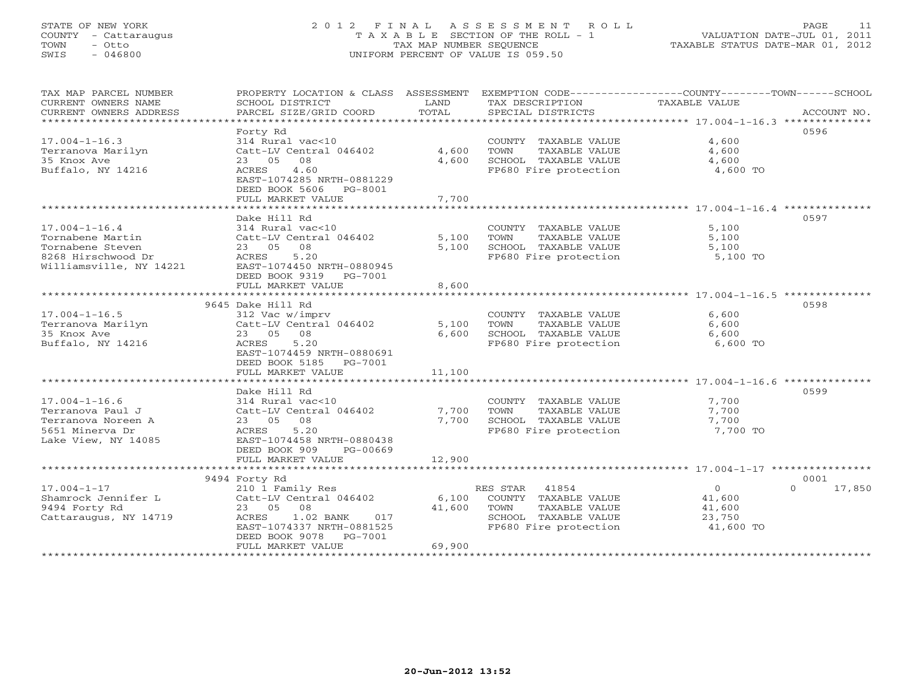# STATE OF NEW YORK 2 0 1 2 F I N A L A S S E S S M E N T R O L L PAGE 11 COUNTY - Cattaraugus T A X A B L E SECTION OF THE ROLL - 1 VALUATION DATE-JUL 01, 2011 TOWN - Otto TAX MAP NUMBER SEQUENCE TAXABLE STATUS DATE-MAR 01, 2012 SWIS - 046800 UNIFORM PERCENT OF VALUE IS 059.50UNIFORM PERCENT OF VALUE IS 059.50

| TAX MAP PARCEL NUMBER   | PROPERTY LOCATION & CLASS ASSESSMENT                   |        | EXEMPTION CODE-----------------COUNTY-------TOWN------SCHOOL |               |                    |
|-------------------------|--------------------------------------------------------|--------|--------------------------------------------------------------|---------------|--------------------|
| CURRENT OWNERS NAME     | SCHOOL DISTRICT                                        | LAND   | TAX DESCRIPTION                                              | TAXABLE VALUE |                    |
| CURRENT OWNERS ADDRESS  | PARCEL SIZE/GRID COORD                                 | TOTAL  | SPECIAL DISTRICTS                                            |               | ACCOUNT NO.        |
|                         | Forty Rd                                               |        |                                                              |               | 0596               |
| $17.004 - 1 - 16.3$     | 314 Rural vac<10                                       |        | COUNTY TAXABLE VALUE                                         | 4,600         |                    |
| Terranova Marilyn       | Catt-LV Central 046402                                 | 4,600  | TOWN<br>TAXABLE VALUE                                        | 4,600         |                    |
| 35 Knox Ave             | 08<br>23 05                                            | 4,600  | SCHOOL TAXABLE VALUE                                         | 4,600         |                    |
| Buffalo, NY 14216       | 4.60<br>ACRES                                          |        | FP680 Fire protection                                        | 4,600 TO      |                    |
|                         | EAST-1074285 NRTH-0881229                              |        |                                                              |               |                    |
|                         | DEED BOOK 5606<br>PG-8001                              |        |                                                              |               |                    |
|                         | FULL MARKET VALUE                                      | 7,700  |                                                              |               |                    |
|                         |                                                        |        |                                                              |               |                    |
|                         | Dake Hill Rd                                           |        |                                                              |               | 0597               |
| $17.004 - 1 - 16.4$     | 314 Rural vac<10                                       |        | COUNTY TAXABLE VALUE                                         | 5,100         |                    |
| Tornabene Martin        | Catt-LV Central 046402                                 | 5,100  | TOWN<br>TAXABLE VALUE                                        | 5,100         |                    |
| Tornabene Steven        | 23 05<br>08                                            | 5,100  | SCHOOL TAXABLE VALUE                                         | 5,100         |                    |
| 8268 Hirschwood Dr      | ACRES<br>5.20                                          |        | FP680 Fire protection                                        | 5,100 TO      |                    |
| Williamsville, NY 14221 | EAST-1074450 NRTH-0880945                              |        |                                                              |               |                    |
|                         | DEED BOOK 9319 PG-7001<br>FULL MARKET VALUE            | 8,600  |                                                              |               |                    |
|                         |                                                        |        |                                                              |               |                    |
|                         | 9645 Dake Hill Rd                                      |        |                                                              |               | 0598               |
| $17.004 - 1 - 16.5$     | 312 Vac w/imprv                                        |        | COUNTY TAXABLE VALUE                                         | 6,600         |                    |
| Terranova Marilyn       | Catt-LV Central 046402                                 | 5,100  | TOWN<br>TAXABLE VALUE                                        | 6,600         |                    |
| 35 Knox Ave             | 23 05 08                                               | 6,600  | SCHOOL TAXABLE VALUE                                         | 6,600         |                    |
| Buffalo, NY 14216       | 5.20<br>ACRES                                          |        | FP680 Fire protection                                        | 6,600 TO      |                    |
|                         | EAST-1074459 NRTH-0880691                              |        |                                                              |               |                    |
|                         | DEED BOOK 5185<br>PG-7001                              |        |                                                              |               |                    |
|                         | FULL MARKET VALUE                                      | 11,100 |                                                              |               |                    |
|                         | *************************                              |        |                                                              |               |                    |
|                         | Dake Hill Rd                                           |        |                                                              |               | 0599               |
| $17.004 - 1 - 16.6$     | 314 Rural vac<10                                       |        | COUNTY TAXABLE VALUE                                         | 7,700         |                    |
| Terranova Paul J        | Catt-LV Central 046402                                 | 7,700  | TAXABLE VALUE<br>TOWN                                        | 7,700         |                    |
| Terranova Noreen A      | 23 05 08                                               | 7,700  | SCHOOL TAXABLE VALUE                                         | 7,700         |                    |
| 5651 Minerva Dr         | 5.20<br>ACRES                                          |        | FP680 Fire protection                                        | 7,700 TO      |                    |
| Lake View, NY 14085     | EAST-1074458 NRTH-0880438<br>DEED BOOK 909<br>PG-00669 |        |                                                              |               |                    |
|                         | FULL MARKET VALUE                                      | 12,900 |                                                              |               |                    |
|                         |                                                        |        |                                                              |               |                    |
|                         | 9494 Forty Rd                                          |        |                                                              |               | 0001               |
| $17.004 - 1 - 17$       | 210 1 Family Res                                       |        | RES STAR 41854                                               | $\circ$       | $\Omega$<br>17,850 |
| Shamrock Jennifer L     | Catt-LV Central 046402                                 | 6,100  | COUNTY TAXABLE VALUE                                         | 41,600        |                    |
| 9494 Forty Rd           | 23 05 08                                               | 41,600 | TOWN<br>TAXABLE VALUE                                        | 41,600        |                    |
| Cattaraugus, NY 14719   | 1.02 BANK<br>ACRES<br>017                              |        | SCHOOL TAXABLE VALUE                                         | 23,750        |                    |
|                         | EAST-1074337 NRTH-0881525                              |        | FP680 Fire protection                                        | 41,600 TO     |                    |
|                         | DEED BOOK 9078<br>PG-7001                              |        |                                                              |               |                    |
|                         | FULL MARKET VALUE                                      | 69,900 |                                                              |               |                    |
|                         |                                                        |        |                                                              |               |                    |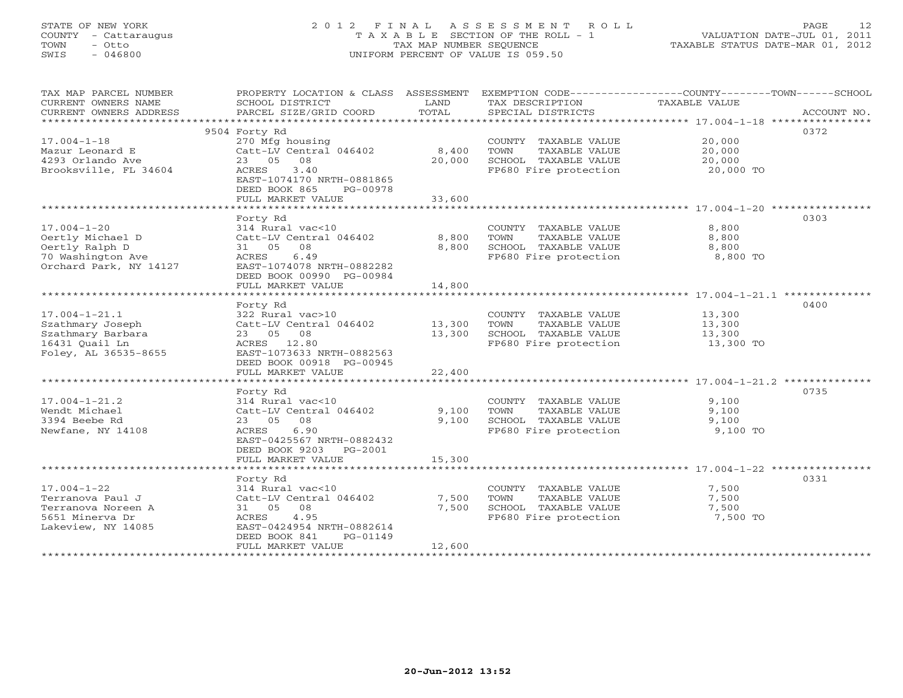# STATE OF NEW YORK 2 0 1 2 F I N A L A S S E S S M E N T R O L L PAGE 12 COUNTY - Cattaraugus T A X A B L E SECTION OF THE ROLL - 1 VALUATION DATE-JUL 01, 2011 TOWN - Otto TAX MAP NUMBER SEQUENCE TAXABLE STATUS DATE-MAR 01, 2012 SWIS - 046800 UNIFORM PERCENT OF VALUE IS 059.50UNIFORM PERCENT OF VALUE IS 059.50

| TAX MAP PARCEL NUMBER  | PROPERTY LOCATION & CLASS ASSESSMENT EXEMPTION CODE----------------COUNTY-------TOWN------SCHOOL |        |                                               |               |             |
|------------------------|--------------------------------------------------------------------------------------------------|--------|-----------------------------------------------|---------------|-------------|
| CURRENT OWNERS NAME    | SCHOOL DISTRICT                                                                                  | LAND   | TAX DESCRIPTION                               | TAXABLE VALUE |             |
| CURRENT OWNERS ADDRESS | PARCEL SIZE/GRID COORD                                                                           | TOTAL  | SPECIAL DISTRICTS                             |               | ACCOUNT NO. |
|                        |                                                                                                  |        |                                               |               |             |
|                        | 9504 Forty Rd                                                                                    |        |                                               |               | 0372        |
| $17.004 - 1 - 18$      | 270 Mfg housing                                                                                  |        | COUNTY TAXABLE VALUE                          | 20,000        |             |
| Mazur Leonard E        | Catt-LV Central 046402                                                                           | 8,400  | TOWN<br>TAXABLE VALUE                         | 20,000        |             |
| 4293 Orlando Ave       | 23 05<br>08                                                                                      | 20,000 | SCHOOL TAXABLE VALUE                          | 20,000        |             |
| Brooksville, FL 34604  | 3.40<br>ACRES                                                                                    |        | FP680 Fire protection 20,000 TO               |               |             |
|                        | EAST-1074170 NRTH-0881865                                                                        |        |                                               |               |             |
|                        | DEED BOOK 865<br>PG-00978                                                                        |        |                                               |               |             |
|                        | FULL MARKET VALUE                                                                                | 33,600 |                                               |               |             |
|                        |                                                                                                  |        |                                               |               |             |
|                        | Forty Rd                                                                                         |        |                                               |               | 0303        |
| $17.004 - 1 - 20$      | 314 Rural vac<10                                                                                 |        | COUNTY TAXABLE VALUE                          | 8,800         |             |
| Oertly Michael D       | Catt-LV Central 046402                                                                           | 8,800  | TOWN<br>TAXABLE VALUE                         | 8,800         |             |
| Oertly Ralph D         | 31 05 08                                                                                         | 8,800  | SCHOOL TAXABLE VALUE                          | 8,800         |             |
| 70 Washington Ave      | ACRES<br>6.49                                                                                    |        | FP680 Fire protection                         | 8,800 TO      |             |
| Orchard Park, NY 14127 | EAST-1074078 NRTH-0882282                                                                        |        |                                               |               |             |
|                        | DEED BOOK 00990 PG-00984                                                                         |        |                                               |               |             |
|                        | FULL MARKET VALUE                                                                                | 14,800 |                                               |               |             |
|                        |                                                                                                  |        |                                               |               |             |
|                        | Forty Rd                                                                                         |        |                                               |               | 0400        |
| $17.004 - 1 - 21.1$    | 322 Rural vac>10                                                                                 |        | COUNTY TAXABLE VALUE                          | 13,300        |             |
| Szathmary Joseph       | Catt-LV Central 046402 13,300                                                                    |        | TAXABLE VALUE<br>TOWN                         | 13,300        |             |
| Szathmary Barbara      | 23 05 08                                                                                         | 13,300 |                                               | 13,300        |             |
| 16431 Quail Ln         | ACRES 12.80                                                                                      |        | SCHOOL TAXABLE VALUE<br>FP680 Fire protection | $13,300$ TO   |             |
| Foley, AL 36535-8655   | EAST-1073633 NRTH-0882563                                                                        |        |                                               |               |             |
|                        | DEED BOOK 00918 PG-00945                                                                         |        |                                               |               |             |
|                        | FULL MARKET VALUE                                                                                | 22,400 |                                               |               |             |
|                        |                                                                                                  |        |                                               |               |             |
|                        | Forty Rd                                                                                         |        |                                               |               | 0735        |
| $17.004 - 1 - 21.2$    | 314 Rural vac<10                                                                                 |        | COUNTY TAXABLE VALUE                          | 9,100         |             |
| Wendt Michael          | Catt-LV Central 046402 9,100                                                                     |        | TOWN<br>TAXABLE VALUE                         | 9,100         |             |
| 3394 Beebe Rd          | 23 05 08                                                                                         | 9,100  | SCHOOL TAXABLE VALUE                          | 9,100         |             |
| Newfane, NY 14108      | 6.90<br>ACRES                                                                                    |        | FP680 Fire protection                         | 9,100 TO      |             |
|                        | EAST-0425567 NRTH-0882432                                                                        |        |                                               |               |             |
|                        | DEED BOOK 9203 PG-2001                                                                           |        |                                               |               |             |
|                        | FULL MARKET VALUE                                                                                | 15,300 |                                               |               |             |
|                        |                                                                                                  |        |                                               |               |             |
|                        | Forty Rd                                                                                         |        |                                               |               | 0331        |
| $17.004 - 1 - 22$      | 314 Rural vac<10                                                                                 |        | COUNTY TAXABLE VALUE                          | 7,500         |             |
| Terranova Paul J       | Catt-LV Central 046402                                                                           | 7,500  | TOWN<br>TAXABLE VALUE                         | 7,500         |             |
| Terranova Noreen A     | 31 05 08                                                                                         | 7,500  | SCHOOL TAXABLE VALUE                          | 7,500         |             |
| 5651 Minerva Dr        | 4.95<br>ACRES                                                                                    |        | FP680 Fire protection                         | 7,500 TO      |             |
| Lakeview, NY 14085     | EAST-0424954 NRTH-0882614                                                                        |        |                                               |               |             |
|                        | DEED BOOK 841<br>PG-01149                                                                        |        |                                               |               |             |
|                        | FULL MARKET VALUE                                                                                | 12,600 |                                               |               |             |
|                        |                                                                                                  |        |                                               |               |             |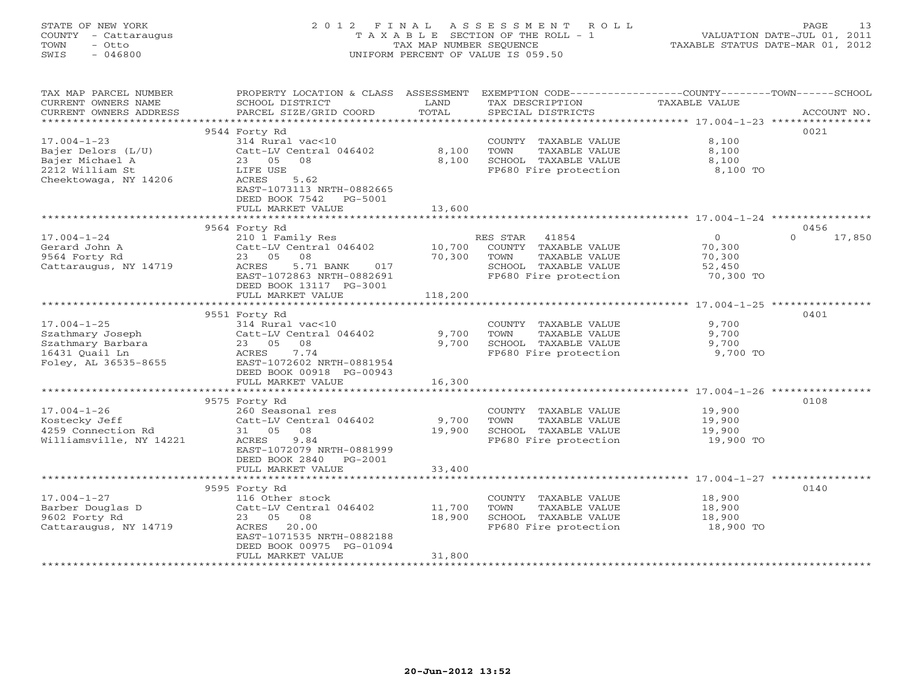# STATE OF NEW YORK 2 0 1 2 F I N A L A S S E S S M E N T R O L L PAGE 13 COUNTY - Cattaraugus T A X A B L E SECTION OF THE ROLL - 1 VALUATION DATE-JUL 01, 2011 TOWN - Otto TAX MAP NUMBER SEQUENCE TAXABLE STATUS DATE-MAR 01, 2012 SWIS - 046800 UNIFORM PERCENT OF VALUE IS 059.50UNIFORM PERCENT OF VALUE IS 059.50

| TAX MAP PARCEL NUMBER<br>CURRENT OWNERS NAME<br>CURRENT OWNERS ADDRESS | PROPERTY LOCATION & CLASS ASSESSMENT<br>SCHOOL DISTRICT<br>PARCEL SIZE/GRID COORD | LAND<br>TOTAL | EXEMPTION CODE-----------------COUNTY-------TOWN------SCHOOL<br>TAX DESCRIPTION<br>SPECIAL DISTRICTS | TAXABLE VALUE                                                | ACCOUNT NO.        |
|------------------------------------------------------------------------|-----------------------------------------------------------------------------------|---------------|------------------------------------------------------------------------------------------------------|--------------------------------------------------------------|--------------------|
| *************************                                              |                                                                                   |               |                                                                                                      |                                                              |                    |
|                                                                        | 9544 Forty Rd                                                                     |               |                                                                                                      |                                                              | 0021               |
| $17.004 - 1 - 23$                                                      | 314 Rural vac<10                                                                  |               | COUNTY TAXABLE VALUE                                                                                 | 8,100                                                        |                    |
| Bajer Delors (L/U)                                                     | Catt-LV Central 046402                                                            | 8,100         | TOWN<br>TAXABLE VALUE                                                                                | 8,100                                                        |                    |
| Bajer Michael A                                                        | 23 05<br>08                                                                       | 8,100         | SCHOOL TAXABLE VALUE                                                                                 | 8,100                                                        |                    |
| 2212 William St                                                        | LIFE USE                                                                          |               | FP680 Fire protection                                                                                | 8,100 TO                                                     |                    |
| Cheektowaga, NY 14206                                                  | 5.62<br>ACRES                                                                     |               |                                                                                                      |                                                              |                    |
|                                                                        | EAST-1073113 NRTH-0882665<br>PG-5001                                              |               |                                                                                                      |                                                              |                    |
|                                                                        | DEED BOOK 7542<br>FULL MARKET VALUE                                               | 13,600        |                                                                                                      |                                                              |                    |
|                                                                        |                                                                                   |               |                                                                                                      |                                                              |                    |
|                                                                        | 9564 Forty Rd                                                                     |               |                                                                                                      |                                                              | 0456               |
| $17.004 - 1 - 24$                                                      | 210 1 Family Res                                                                  |               | RES STAR<br>41854                                                                                    | $\overline{0}$                                               | $\Omega$<br>17,850 |
| Gerard John A                                                          | Catt-LV Central 046402                                                            | 10,700        | COUNTY TAXABLE VALUE                                                                                 | 70,300                                                       |                    |
| 9564 Forty Rd                                                          | 23 05<br>08                                                                       | 70,300        | TOWN<br>TAXABLE VALUE                                                                                | 70,300                                                       |                    |
| Cattaraugus, NY 14719                                                  | ACRES<br>5.71 BANK<br>017                                                         |               | SCHOOL TAXABLE VALUE                                                                                 | 52,450                                                       |                    |
|                                                                        | EAST-1072863 NRTH-0882691                                                         |               | FP680 Fire protection                                                                                | 70,300 TO                                                    |                    |
|                                                                        | DEED BOOK 13117 PG-3001                                                           |               |                                                                                                      |                                                              |                    |
|                                                                        | FULL MARKET VALUE                                                                 | 118,200       |                                                                                                      |                                                              |                    |
|                                                                        |                                                                                   |               |                                                                                                      |                                                              |                    |
|                                                                        | 9551 Forty Rd                                                                     |               |                                                                                                      |                                                              | 0401               |
| $17.004 - 1 - 25$                                                      | 314 Rural vac<10                                                                  |               | COUNTY TAXABLE VALUE                                                                                 | 9,700                                                        |                    |
| Szathmary Joseph                                                       | Catt-LV Central 046402                                                            | 9,700         | <b>TOWN</b><br>TAXABLE VALUE                                                                         | 9,700                                                        |                    |
| Szathmary Barbara                                                      | 23 05<br>08                                                                       | 9,700         | SCHOOL TAXABLE VALUE                                                                                 | 9,700                                                        |                    |
| 16431 Quail Ln                                                         | ACRES<br>7.74                                                                     |               | FP680 Fire protection                                                                                | 9,700 TO                                                     |                    |
| Foley, AL 36535-8655                                                   | EAST-1072602 NRTH-0881954<br>DEED BOOK 00918 PG-00943                             |               |                                                                                                      |                                                              |                    |
|                                                                        | FULL MARKET VALUE                                                                 | 16,300        |                                                                                                      |                                                              |                    |
|                                                                        | ***********************                                                           | ********      |                                                                                                      | ******************************* 17.004-1-26 **************** |                    |
|                                                                        | 9575 Forty Rd                                                                     |               |                                                                                                      |                                                              | 0108               |
| $17.004 - 1 - 26$                                                      | 260 Seasonal res                                                                  |               | COUNTY TAXABLE VALUE                                                                                 | 19,900                                                       |                    |
| Kostecky Jeff                                                          | Catt-LV Central 046402                                                            | 9,700         | TOWN<br>TAXABLE VALUE                                                                                | 19,900                                                       |                    |
| 4259 Connection Rd                                                     | 31 05<br>08                                                                       | 19,900        | SCHOOL TAXABLE VALUE                                                                                 | 19,900                                                       |                    |
| Williamsville, NY 14221                                                | ACRES<br>9.84                                                                     |               | FP680 Fire protection                                                                                | 19,900 TO                                                    |                    |
|                                                                        | EAST-1072079 NRTH-0881999                                                         |               |                                                                                                      |                                                              |                    |
|                                                                        | DEED BOOK 2840<br>PG-2001                                                         |               |                                                                                                      |                                                              |                    |
|                                                                        | FULL MARKET VALUE                                                                 | 33,400        |                                                                                                      |                                                              |                    |
|                                                                        |                                                                                   | ************* |                                                                                                      |                                                              |                    |
|                                                                        | 9595 Forty Rd                                                                     |               |                                                                                                      |                                                              | 0140               |
| $17.004 - 1 - 27$                                                      | 116 Other stock                                                                   |               | COUNTY TAXABLE VALUE                                                                                 | 18,900                                                       |                    |
| Barber Douglas D                                                       | Catt-LV Central 046402                                                            | 11,700        | TOWN<br>TAXABLE VALUE                                                                                | 18,900                                                       |                    |
| 9602 Forty Rd                                                          | 23 05<br>08<br>ACRES 20.00                                                        | 18,900        | SCHOOL TAXABLE VALUE                                                                                 | 18,900                                                       |                    |
| Cattaraugus, NY 14719                                                  | EAST-1071535 NRTH-0882188                                                         |               | FP680 Fire protection                                                                                | 18,900 TO                                                    |                    |
|                                                                        | DEED BOOK 00975 PG-01094                                                          |               |                                                                                                      |                                                              |                    |
|                                                                        | FULL MARKET VALUE                                                                 | 31,800        |                                                                                                      |                                                              |                    |
|                                                                        |                                                                                   |               |                                                                                                      |                                                              |                    |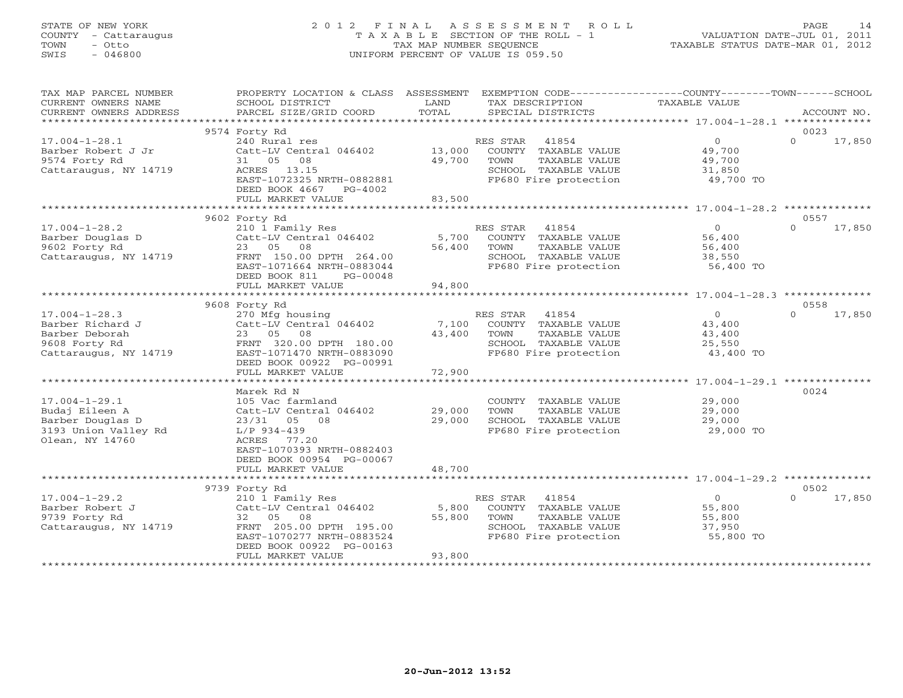# STATE OF NEW YORK 2 0 1 2 F I N A L A S S E S S M E N T R O L L PAGE 14 COUNTY - Cattaraugus T A X A B L E SECTION OF THE ROLL - 1 VALUATION DATE-JUL 01, 2011 TOWN - Otto TAX MAP NUMBER SEQUENCE TAXABLE STATUS DATE-MAR 01, 2012 SWIS - 046800 UNIFORM PERCENT OF VALUE IS 059.50UNIFORM PERCENT OF VALUE IS 059.50

| TAX MAP PARCEL NUMBER<br>CURRENT OWNERS NAME                                                         | PROPERTY LOCATION & CLASS ASSESSMENT<br>SCHOOL DISTRICT                                                                                                                             | LAND                      | EXEMPTION CODE-----------------COUNTY-------TOWN------SCHOOL<br>TAX DESCRIPTION                                     | <b>TAXABLE VALUE</b>                                      |                            |
|------------------------------------------------------------------------------------------------------|-------------------------------------------------------------------------------------------------------------------------------------------------------------------------------------|---------------------------|---------------------------------------------------------------------------------------------------------------------|-----------------------------------------------------------|----------------------------|
| CURRENT OWNERS ADDRESS<br>*************************                                                  | PARCEL SIZE/GRID COORD                                                                                                                                                              | TOTAL                     | SPECIAL DISTRICTS                                                                                                   |                                                           | ACCOUNT NO.                |
|                                                                                                      | 9574 Forty Rd                                                                                                                                                                       |                           |                                                                                                                     |                                                           | 0023                       |
| $17.004 - 1 - 28.1$<br>Barber Robert J Jr<br>9574 Forty Rd<br>Cattaraugus, NY 14719                  | 240 Rural res<br>Catt-LV Central 046402<br>31 05<br>08<br>ACRES 13.15<br>EAST-1072325 NRTH-0882881<br>DEED BOOK 4667<br>PG-4002                                                     | 13,000<br>49,700          | 41854<br>RES STAR<br>COUNTY TAXABLE VALUE<br>TAXABLE VALUE<br>TOWN<br>SCHOOL TAXABLE VALUE<br>FP680 Fire protection | $\overline{0}$<br>49,700<br>49,700<br>31,850<br>49,700 TO | $\Omega$<br>17,850         |
|                                                                                                      | FULL MARKET VALUE                                                                                                                                                                   | 83,500                    |                                                                                                                     |                                                           |                            |
|                                                                                                      |                                                                                                                                                                                     |                           |                                                                                                                     |                                                           |                            |
| $17.004 - 1 - 28.2$<br>Barber Douglas D<br>9602 Forty Rd<br>Cattaraugus, NY 14719                    | 9602 Forty Rd<br>210 1 Family Res<br>Catt-LV Central 046402<br>23 05<br>08<br>FRNT 150.00 DPTH 264.00<br>EAST-1071664 NRTH-0883044<br>DEED BOOK 811<br>PG-00048                     | 5,700<br>56,400           | 41854<br>RES STAR<br>COUNTY TAXABLE VALUE<br>TOWN<br>TAXABLE VALUE<br>SCHOOL TAXABLE VALUE<br>FP680 Fire protection | $\circ$<br>56,400<br>56,400<br>38,550<br>56,400 TO        | 0557<br>$\Omega$<br>17,850 |
|                                                                                                      | FULL MARKET VALUE                                                                                                                                                                   | 94,800                    |                                                                                                                     |                                                           |                            |
|                                                                                                      |                                                                                                                                                                                     |                           |                                                                                                                     |                                                           |                            |
| $17.004 - 1 - 28.3$<br>Barber Richard J<br>Barber Deborah<br>9608 Forty Rd<br>Cattaraugus, NY 14719  | 9608 Forty Rd<br>270 Mfg housing<br>Catt-LV Central 046402<br>23 05<br>08<br>FRNT 320.00 DPTH 180.00<br>EAST-1071470 NRTH-0883090<br>DEED BOOK 00922 PG-00991<br>FULL MARKET VALUE  | 7,100<br>43,400<br>72,900 | 41854<br>RES STAR<br>COUNTY TAXABLE VALUE<br>TOWN<br>TAXABLE VALUE<br>SCHOOL TAXABLE VALUE<br>FP680 Fire protection | $\circ$<br>43,400<br>43,400<br>25,550<br>43,400 TO        | 0558<br>$\Omega$<br>17,850 |
|                                                                                                      | Marek Rd N                                                                                                                                                                          |                           |                                                                                                                     |                                                           | 0024                       |
| $17.004 - 1 - 29.1$<br>Budaj Eileen A<br>Barber Douglas D<br>3193 Union Valley Rd<br>Olean, NY 14760 | 105 Vac farmland<br>Catt-LV Central 046402<br>23/31 05<br>08<br>$L/P$ 934-439<br>ACRES<br>77.20<br>EAST-1070393 NRTH-0882403<br>DEED BOOK 00954 PG-00067                            | 29,000<br>29,000          | COUNTY TAXABLE VALUE<br>TOWN<br>TAXABLE VALUE<br>SCHOOL TAXABLE VALUE<br>FP680 Fire protection                      | 29,000<br>29,000<br>29,000<br>29,000 TO                   |                            |
|                                                                                                      | FULL MARKET VALUE                                                                                                                                                                   | 48,700                    |                                                                                                                     |                                                           |                            |
|                                                                                                      |                                                                                                                                                                                     |                           |                                                                                                                     |                                                           |                            |
| $17.004 - 1 - 29.2$<br>Barber Robert J<br>9739 Forty Rd<br>Cattaraugus, NY 14719                     | 9739 Forty Rd<br>210 1 Family Res<br>Catt-LV Central 046402<br>08<br>32 05<br>FRNT 205.00 DPTH 195.00<br>EAST-1070277 NRTH-0883524<br>DEED BOOK 00922 PG-00163<br>FULL MARKET VALUE | 5,800<br>55,800<br>93,800 | 41854<br>RES STAR<br>COUNTY TAXABLE VALUE<br>TOWN<br>TAXABLE VALUE<br>SCHOOL TAXABLE VALUE<br>FP680 Fire protection | $\circ$<br>55,800<br>55,800<br>37,950<br>55,800 TO        | 0502<br>$\Omega$<br>17,850 |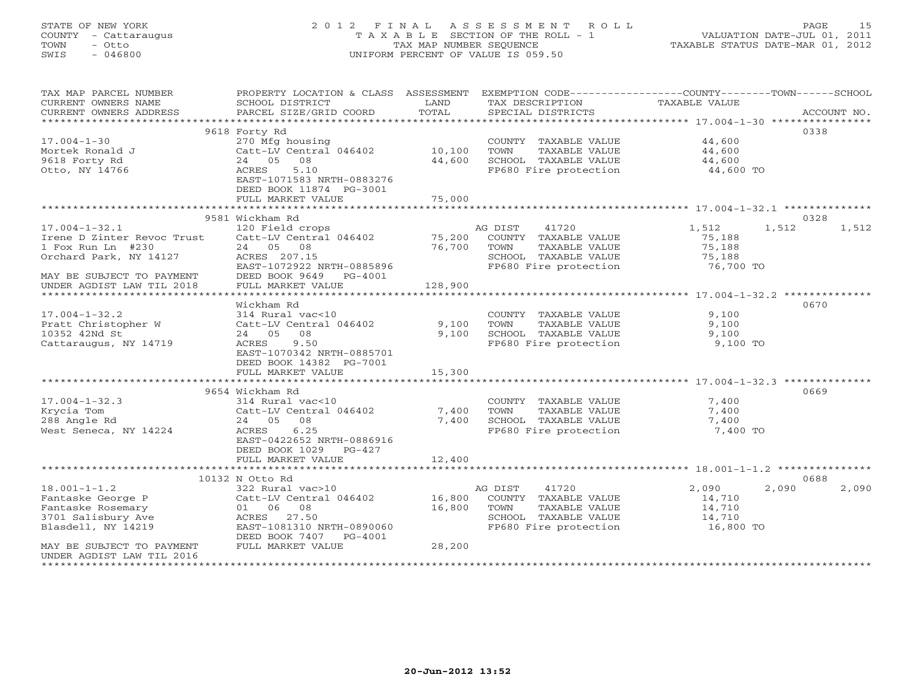# STATE OF NEW YORK 2 0 1 2 F I N A L A S S E S S M E N T R O L L PAGE 15 COUNTY - Cattaraugus T A X A B L E SECTION OF THE ROLL - 1 VALUATION DATE-JUL 01, 2011 TOWN - Otto TAX MAP NUMBER SEQUENCE TAXABLE STATUS DATE-MAR 01, 2012 SWIS - 046800 UNIFORM PERCENT OF VALUE IS 059.50UNIFORM PERCENT OF VALUE IS 059.50

| TAX MAP PARCEL NUMBER<br>CURRENT OWNERS NAME     | PROPERTY LOCATION & CLASS ASSESSMENT<br>SCHOOL DISTRICT | LAND                    | TAX DESCRIPTION       | EXEMPTION CODE-----------------COUNTY-------TOWN-----SCHOOL<br><b>TAXABLE VALUE</b> |             |
|--------------------------------------------------|---------------------------------------------------------|-------------------------|-----------------------|-------------------------------------------------------------------------------------|-------------|
| CURRENT OWNERS ADDRESS<br>********************** | PARCEL SIZE/GRID COORD                                  | TOTAL                   | SPECIAL DISTRICTS     |                                                                                     | ACCOUNT NO. |
|                                                  | 9618 Forty Rd                                           |                         |                       |                                                                                     | 0338        |
| $17.004 - 1 - 30$                                | 270 Mfg housing                                         |                         | COUNTY TAXABLE VALUE  | 44,600                                                                              |             |
| Mortek Ronald J                                  | Catt-LV Central 046402                                  | 10,100                  | TOWN<br>TAXABLE VALUE | 44,600                                                                              |             |
| 9618 Forty Rd                                    | 24 05 08                                                | 44,600                  | SCHOOL TAXABLE VALUE  | 44,600                                                                              |             |
| Otto, NY 14766                                   | 5.10<br>ACRES                                           |                         | FP680 Fire protection | 44,600 TO                                                                           |             |
|                                                  | EAST-1071583 NRTH-0883276                               |                         |                       |                                                                                     |             |
|                                                  | DEED BOOK 11874 PG-3001                                 |                         |                       |                                                                                     |             |
|                                                  | FULL MARKET VALUE                                       | 75,000<br>************* |                       |                                                                                     |             |
|                                                  | 9581 Wickham Rd                                         |                         |                       | ************************ 17.004-1-32.1 **************                               | 0328        |
| $17.004 - 1 - 32.1$                              | 120 Field crops                                         |                         | 41720<br>AG DIST      | 1,512<br>1,512                                                                      | 1,512       |
| Irene D Zinter Revoc Trust                       | Catt-LV Central 046402                                  | 75,200                  | COUNTY TAXABLE VALUE  | 75,188                                                                              |             |
| 1 Fox Run Ln #230                                | 24 05 08                                                | 76,700                  | TOWN<br>TAXABLE VALUE | 75,188                                                                              |             |
| Orchard Park, NY 14127                           | ACRES 207.15                                            |                         | SCHOOL TAXABLE VALUE  | 75,188                                                                              |             |
|                                                  | EAST-1072922 NRTH-0885896                               |                         | FP680 Fire protection | 76,700 TO                                                                           |             |
| MAY BE SUBJECT TO PAYMENT                        | DEED BOOK 9649 PG-4001                                  |                         |                       |                                                                                     |             |
| UNDER AGDIST LAW TIL 2018                        | FULL MARKET VALUE                                       | 128,900                 |                       |                                                                                     |             |
|                                                  |                                                         |                         |                       |                                                                                     |             |
|                                                  | Wickham Rd                                              |                         |                       |                                                                                     | 0670        |
| $17.004 - 1 - 32.2$                              | 314 Rural vac<10                                        |                         | COUNTY TAXABLE VALUE  | 9,100                                                                               |             |
| Pratt Christopher W                              | Catt-LV Central 046402                                  | 9,100                   | TOWN<br>TAXABLE VALUE | 9,100                                                                               |             |
| 10352 42Nd St                                    | 08<br>24 05                                             | 9,100                   | SCHOOL TAXABLE VALUE  | 9,100                                                                               |             |
| Cattaraugus, NY 14719                            | ACRES<br>9.50                                           |                         | FP680 Fire protection | 9,100 TO                                                                            |             |
|                                                  | EAST-1070342 NRTH-0885701<br>DEED BOOK 14382 PG-7001    |                         |                       |                                                                                     |             |
|                                                  | FULL MARKET VALUE                                       | 15,300                  |                       |                                                                                     |             |
|                                                  |                                                         |                         |                       |                                                                                     |             |
|                                                  | 9654 Wickham Rd                                         |                         |                       |                                                                                     | 0669        |
| $17.004 - 1 - 32.3$                              | 314 Rural vac<10                                        |                         | COUNTY TAXABLE VALUE  | 7,400                                                                               |             |
| Krycia Tom                                       | Catt-LV Central 046402                                  | 7,400                   | TOWN<br>TAXABLE VALUE | 7,400                                                                               |             |
| 288 Angle Rd                                     | 24 05 08                                                | 7,400                   | SCHOOL TAXABLE VALUE  | 7,400                                                                               |             |
| West Seneca, NY 14224                            | 6.25<br>ACRES                                           |                         | FP680 Fire protection | 7,400 TO                                                                            |             |
|                                                  | EAST-0422652 NRTH-0886916                               |                         |                       |                                                                                     |             |
|                                                  | DEED BOOK 1029<br>$PG-427$                              |                         |                       |                                                                                     |             |
|                                                  | FULL MARKET VALUE                                       | 12,400                  |                       |                                                                                     |             |
|                                                  | 10132 N Otto Rd                                         |                         |                       |                                                                                     | 0688        |
| $18.001 - 1 - 1.2$                               | 322 Rural vac>10                                        |                         | AG DIST<br>41720      | 2,090<br>2,090                                                                      | 2,090       |
| Fantaske George P                                | Catt-LV Central 046402                                  | 16,800                  | COUNTY TAXABLE VALUE  | 14,710                                                                              |             |
| Fantaske Rosemary                                | 01 06 08                                                | 16,800                  | TOWN<br>TAXABLE VALUE | 14,710                                                                              |             |
| 3701 Salisbury Ave                               | ACRES 27.50                                             |                         | SCHOOL TAXABLE VALUE  | 14,710                                                                              |             |
| Blasdell, NY 14219                               | EAST-1081310 NRTH-0890060                               |                         | FP680 Fire protection | 16,800 TO                                                                           |             |
|                                                  | DEED BOOK 7407<br>PG-4001                               |                         |                       |                                                                                     |             |
| MAY BE SUBJECT TO PAYMENT                        | FULL MARKET VALUE                                       | 28,200                  |                       |                                                                                     |             |
| UNDER AGDIST LAW TIL 2016                        |                                                         |                         |                       |                                                                                     |             |
| **********************                           |                                                         |                         |                       |                                                                                     |             |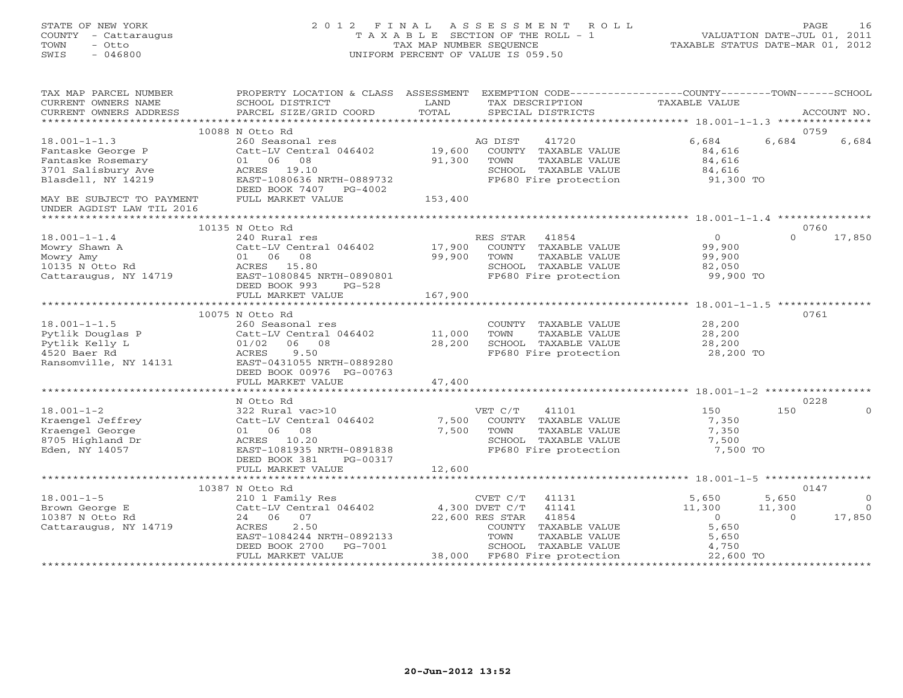# STATE OF NEW YORK 2 0 1 2 F I N A L A S S E S S M E N T R O L L PAGE 16 COUNTY - Cattaraugus T A X A B L E SECTION OF THE ROLL - 1 VALUATION DATE-JUL 01, 2011 TOWN - Otto TAX MAP NUMBER SEQUENCE TAXABLE STATUS DATE-MAR 01, 2012 SWIS - 046800 UNIFORM PERCENT OF VALUE IS 059.50UNIFORM PERCENT OF VALUE IS 059.50

| TAX MAP PARCEL NUMBER<br>CURRENT OWNERS NAME<br>CURRENT OWNERS ADDRESS                            | PROPERTY LOCATION & CLASS ASSESSMENT<br>SCHOOL DISTRICT<br>PARCEL SIZE/GRID COORD                                                                      | LAND<br>TOTAL    | EXEMPTION CODE-----------------COUNTY-------TOWN------SCHOOL<br>TAX DESCRIPTION<br>SPECIAL DISTRICTS                                                                              | TAXABLE VALUE                                                             | ACCOUNT NO.                                                        |
|---------------------------------------------------------------------------------------------------|--------------------------------------------------------------------------------------------------------------------------------------------------------|------------------|-----------------------------------------------------------------------------------------------------------------------------------------------------------------------------------|---------------------------------------------------------------------------|--------------------------------------------------------------------|
|                                                                                                   |                                                                                                                                                        |                  |                                                                                                                                                                                   |                                                                           |                                                                    |
|                                                                                                   | 10088 N Otto Rd                                                                                                                                        |                  |                                                                                                                                                                                   |                                                                           | 0759                                                               |
| $18.001 - 1 - 1.3$<br>Fantaske George P<br>Fantaske Rosemary                                      | 260 Seasonal res<br>Catt-LV Central 046402<br>01 06 08                                                                                                 | 19,600<br>91,300 | 41720<br>AG DIST<br>COUNTY TAXABLE VALUE<br>TOWN<br>TAXABLE VALUE                                                                                                                 | 6,684<br>84,616<br>84,616                                                 | 6,684<br>6,684                                                     |
| 3701 Salisbury Ave<br>Blasdell, NY 14219                                                          | ACRES 19.10<br>EAST-1080636 NRTH-0889732<br>DEED BOOK 7407 PG-4002                                                                                     |                  | SCHOOL TAXABLE VALUE<br>FP680 Fire protection                                                                                                                                     | 84,616<br>91,300 TO                                                       |                                                                    |
| MAY BE SUBJECT TO PAYMENT<br>UNDER AGDIST LAW TIL 2016                                            | FULL MARKET VALUE                                                                                                                                      | 153,400          |                                                                                                                                                                                   |                                                                           |                                                                    |
|                                                                                                   | 10135 N Otto Rd                                                                                                                                        |                  |                                                                                                                                                                                   |                                                                           | 0760                                                               |
| $18.001 - 1 - 1.4$<br>Mowry Shawn A<br>Mowry Amy<br>10135 N Otto Rd<br>Cattaraugus, NY 14719      | 240 Rural res<br>Catt-LV Central 046402<br>01 06 08<br>ACRES 15.80<br>EAST-1080845 NRTH-0890801<br>DEED BOOK 993<br>$PG-528$                           | 17,900<br>99,900 | RES STAR<br>41854<br>COUNTY TAXABLE VALUE<br>TOWN<br>TAXABLE VALUE<br>SCHOOL TAXABLE VALUE<br>FP680 Fire protection                                                               | $\Omega$<br>99,900<br>99,900<br>82,050<br>99,900 TO                       | $\Omega$<br>17,850                                                 |
|                                                                                                   | FULL MARKET VALUE                                                                                                                                      | 167,900          |                                                                                                                                                                                   |                                                                           |                                                                    |
|                                                                                                   |                                                                                                                                                        |                  |                                                                                                                                                                                   |                                                                           |                                                                    |
|                                                                                                   | 10075 N Otto Rd                                                                                                                                        |                  |                                                                                                                                                                                   |                                                                           | 0761                                                               |
| $18.001 - 1 - 1.5$<br>Pytlik Douglas P<br>Pytlik Kelly L<br>4520 Baer Rd<br>Ransomville, NY 14131 | 260 Seasonal res<br>Catt-LV Central 046402<br>$01/02$ 06 08<br>9.50<br>ACRES<br>EAST-0431055 NRTH-0889280<br>DEED BOOK 00976 PG-00763                  | 11,000<br>28,200 | COUNTY TAXABLE VALUE<br>TOWN<br>TAXABLE VALUE<br>SCHOOL TAXABLE VALUE<br>FP680 Fire protection                                                                                    | 28,200<br>28,200<br>28,200<br>28,200 TO                                   |                                                                    |
|                                                                                                   | FULL MARKET VALUE                                                                                                                                      | 47,400           |                                                                                                                                                                                   |                                                                           |                                                                    |
|                                                                                                   |                                                                                                                                                        |                  |                                                                                                                                                                                   |                                                                           |                                                                    |
|                                                                                                   | N Otto Rd                                                                                                                                              |                  |                                                                                                                                                                                   |                                                                           | 0228                                                               |
| $18.001 - 1 - 2$<br>Kraengel Jeffrey<br>Kraengel George<br>8705 Highland Dr<br>Eden, NY 14057     | 322 Rural vac>10<br>Catt-LV Central 046402<br>01 06 08<br>ACRES 10.20<br>EAST-1081935 NRTH-0891838<br>DEED BOOK 381<br>PG-00317<br>FULL MARKET VALUE   | 7,500<br>7,500   | 41101<br>VET C/T<br>COUNTY TAXABLE VALUE<br>TAXABLE VALUE<br>TOWN<br>SCHOOL TAXABLE VALUE<br>FP680 Fire protection                                                                | 150<br>7,350<br>7,350<br>7,500<br>7,500 TO                                | 150<br>$\Omega$                                                    |
|                                                                                                   |                                                                                                                                                        | 12,600           |                                                                                                                                                                                   |                                                                           |                                                                    |
|                                                                                                   | 10387 N Otto Rd                                                                                                                                        |                  |                                                                                                                                                                                   |                                                                           | 0147                                                               |
| $18.001 - 1 - 5$<br>Brown George E<br>10387 N Otto Rd<br>Cattaraugus, NY 14719                    | 210 1 Family Res<br>Catt-LV Central 046402<br>24 06 07<br>2.50<br>ACRES<br>EAST-1084244 NRTH-0892133<br>DEED BOOK 2700<br>PG-7001<br>FULL MARKET VALUE |                  | CVET C/T<br>41131<br>4,300 DVET C/T<br>41141<br>22,600 RES STAR<br>41854<br>COUNTY TAXABLE VALUE<br>TOWN<br>TAXABLE VALUE<br>SCHOOL TAXABLE VALUE<br>38,000 FP680 Fire protection | 5,650<br>11,300<br>$\overline{0}$<br>5,650<br>5,650<br>4,750<br>22,600 TO | 5,650<br>$\circ$<br>11,300<br>$\overline{0}$<br>17,850<br>$\Omega$ |
|                                                                                                   |                                                                                                                                                        |                  |                                                                                                                                                                                   |                                                                           |                                                                    |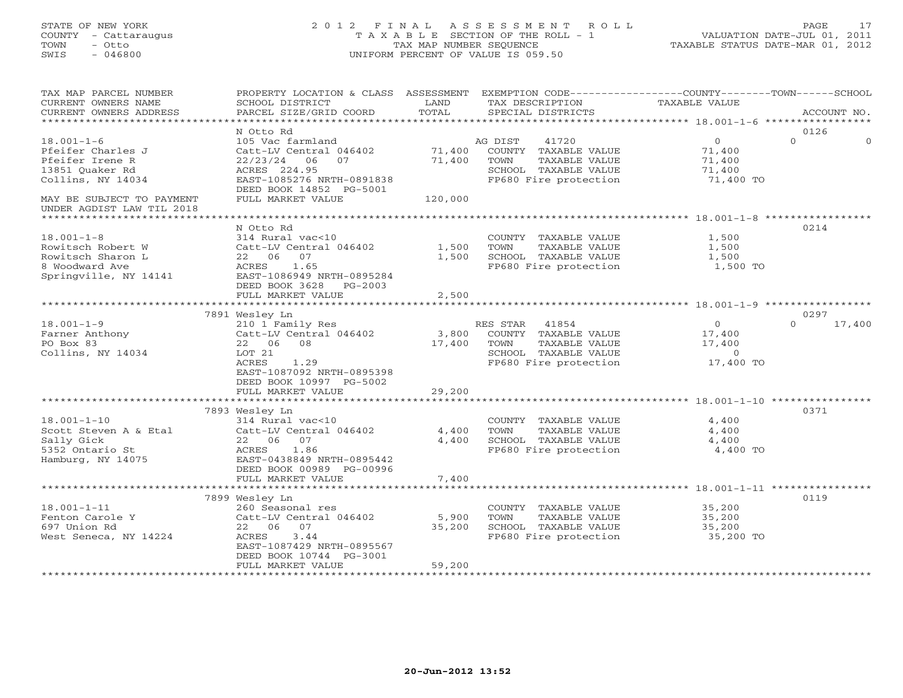# STATE OF NEW YORK 2 0 1 2 F I N A L A S S E S S M E N T R O L L PAGE 17 COUNTY - Cattaraugus T A X A B L E SECTION OF THE ROLL - 1 VALUATION DATE-JUL 01, 2011 TOWN - Otto TAX MAP NUMBER SEQUENCE TAXABLE STATUS DATE-MAR 01, 2012 SWIS - 046800 UNIFORM PERCENT OF VALUE IS 059.50UNIFORM PERCENT OF VALUE IS 059.50

| TAX MAP PARCEL NUMBER<br>CURRENT OWNERS NAME<br>CURRENT OWNERS ADDRESS                                                        | PROPERTY LOCATION & CLASS ASSESSMENT<br>SCHOOL DISTRICT<br>PARCEL SIZE/GRID COORD                                                                                                | LAND<br>TOTAL               | EXEMPTION CODE-----------------COUNTY-------TOWN------SCHOOL<br>TAX DESCRIPTION<br>SPECIAL DISTRICTS                | <b>TAXABLE VALUE</b>                                        | ACCOUNT NO.                |
|-------------------------------------------------------------------------------------------------------------------------------|----------------------------------------------------------------------------------------------------------------------------------------------------------------------------------|-----------------------------|---------------------------------------------------------------------------------------------------------------------|-------------------------------------------------------------|----------------------------|
| *********************                                                                                                         |                                                                                                                                                                                  |                             |                                                                                                                     |                                                             |                            |
| $18.001 - 1 - 6$<br>Pfeifer Charles J<br>Pfeifer Irene R<br>13851 Quaker Rd<br>Collins, NY 14034<br>MAY BE SUBJECT TO PAYMENT | N Otto Rd<br>105 Vac farmland<br>Catt-LV Central 046402<br>22/23/24<br>06<br>07<br>ACRES 224.95<br>EAST-1085276 NRTH-0891838<br>DEED BOOK 14852 PG-5001<br>FULL MARKET VALUE     | 71,400<br>71,400<br>120,000 | AG DIST<br>41720<br>COUNTY TAXABLE VALUE<br>TAXABLE VALUE<br>TOWN<br>SCHOOL TAXABLE VALUE<br>FP680 Fire protection  | $\circ$<br>71,400<br>71,400<br>71,400<br>71,400 TO          | 0126<br>$\Omega$           |
| UNDER AGDIST LAW TIL 2018                                                                                                     |                                                                                                                                                                                  |                             |                                                                                                                     |                                                             |                            |
| $18.001 - 1 - 8$<br>Rowitsch Robert W<br>Rowitsch Sharon L<br>8 Woodward Ave<br>Springville, NY 14141                         | N Otto Rd<br>314 Rural vac<10<br>Catt-LV Central 046402<br>22 06 07<br>1.65<br>ACRES<br>EAST-1086949 NRTH-0895284<br>DEED BOOK 3628<br>PG-2003                                   | 1,500<br>1,500              | COUNTY TAXABLE VALUE<br>TOWN<br>TAXABLE VALUE<br>SCHOOL TAXABLE VALUE<br>FP680 Fire protection                      | 1,500<br>1,500<br>1,500<br>1,500 TO                         | 0214                       |
|                                                                                                                               | FULL MARKET VALUE                                                                                                                                                                | 2,500                       |                                                                                                                     |                                                             |                            |
|                                                                                                                               | *********************                                                                                                                                                            | *********                   |                                                                                                                     | *********************** 18.001-1-9 ************             |                            |
| $18.001 - 1 - 9$<br>Farner Anthony<br>PO Box 83<br>Collins, NY 14034                                                          | 7891 Wesley Ln<br>210 1 Family Res<br>Catt-LV Central 046402<br>22 06 08<br>LOT 21<br>ACRES<br>1.29<br>EAST-1087092 NRTH-0895398<br>DEED BOOK 10997 PG-5002<br>FULL MARKET VALUE | 3,800<br>17,400<br>29,200   | RES STAR<br>41854<br>COUNTY TAXABLE VALUE<br>TOWN<br>TAXABLE VALUE<br>SCHOOL TAXABLE VALUE<br>FP680 Fire protection | $\overline{O}$<br>17,400<br>17,400<br>$\Omega$<br>17,400 TO | 0297<br>17,400<br>$\Omega$ |
|                                                                                                                               |                                                                                                                                                                                  |                             |                                                                                                                     |                                                             |                            |
| $18.001 - 1 - 10$<br>Scott Steven A & Etal<br>Sally Gick<br>5352 Ontario St<br>Hamburg, NY 14075                              | 7893 Wesley Ln<br>314 Rural vac<10<br>Catt-LV Central 046402<br>22 06 07<br>ACRES<br>1.86<br>EAST-0438849 NRTH-0895442<br>DEED BOOK 00989 PG-00996<br>FULL MARKET VALUE          | 4,400<br>4,400<br>7,400     | COUNTY TAXABLE VALUE<br>TOWN<br>TAXABLE VALUE<br>SCHOOL TAXABLE VALUE<br>FP680 Fire protection                      | 4,400<br>4,400<br>4,400<br>4,400 TO                         | 0371                       |
|                                                                                                                               |                                                                                                                                                                                  |                             |                                                                                                                     |                                                             |                            |
| $18.001 - 1 - 11$<br>Fenton Carole Y<br>697 Union Rd<br>West Seneca, NY 14224                                                 | 7899 Wesley Ln<br>260 Seasonal res<br>Catt-LV Central 046402<br>22 06 07<br>3.44<br>ACRES<br>EAST-1087429 NRTH-0895567<br>DEED BOOK 10744 PG-3001<br>FULL MARKET VALUE           | 5,900<br>35,200<br>59,200   | COUNTY TAXABLE VALUE<br>TOWN<br>TAXABLE VALUE<br>SCHOOL TAXABLE VALUE<br>FP680 Fire protection                      | 35,200<br>35,200<br>35,200<br>35,200 TO                     | 0119                       |
|                                                                                                                               |                                                                                                                                                                                  |                             |                                                                                                                     |                                                             |                            |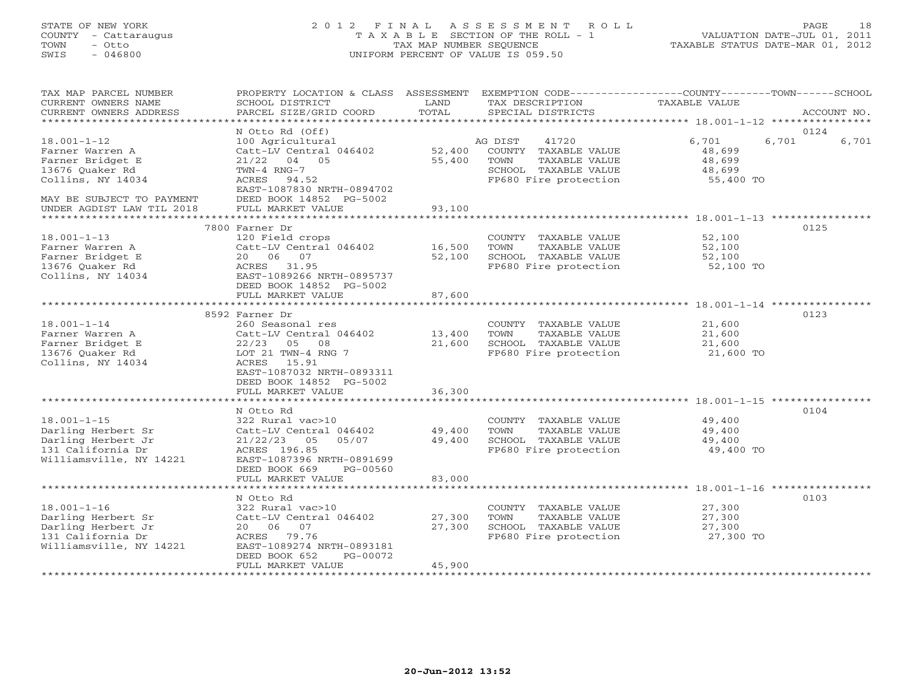# STATE OF NEW YORK 2 0 1 2 F I N A L A S S E S S M E N T R O L L PAGE 18 COUNTY - Cattaraugus T A X A B L E SECTION OF THE ROLL - 1 VALUATION DATE-JUL 01, 2011 TOWN - Otto TAX MAP NUMBER SEQUENCE TAXABLE STATUS DATE-MAR 01, 2012 SWIS - 046800 UNIFORM PERCENT OF VALUE IS 059.50UNIFORM PERCENT OF VALUE IS 059.50

| TAX MAP PARCEL NUMBER<br>CURRENT OWNERS NAME<br>CURRENT OWNERS ADDRESS                                                        | PROPERTY LOCATION & CLASS ASSESSMENT<br>SCHOOL DISTRICT<br>PARCEL SIZE/GRID COORD                                                                                 | LAND<br>TOTAL              | EXEMPTION CODE-----------------COUNTY-------TOWN------SCHOOL<br>TAX DESCRIPTION<br>SPECIAL DISTRICTS               | <b>TAXABLE VALUE</b>                                | ACCOUNT NO.    |
|-------------------------------------------------------------------------------------------------------------------------------|-------------------------------------------------------------------------------------------------------------------------------------------------------------------|----------------------------|--------------------------------------------------------------------------------------------------------------------|-----------------------------------------------------|----------------|
|                                                                                                                               | N Otto Rd (Off)                                                                                                                                                   |                            |                                                                                                                    |                                                     | 0124           |
| $18.001 - 1 - 12$<br>Farner Warren A<br>Farner Bridget E<br>13676 Quaker Rd<br>Collins, NY 14034<br>MAY BE SUBJECT TO PAYMENT | 100 Agricultural<br>Catt-LV Central 046402<br>$21/22$ 04 05<br>$TWN-4 RNG-7$<br>94.52<br>ACRES<br>EAST-1087830 NRTH-0894702<br>DEED BOOK 14852 PG-5002            | 52,400<br>55,400           | 41720<br>AG DIST<br>COUNTY TAXABLE VALUE<br>TOWN<br>TAXABLE VALUE<br>SCHOOL TAXABLE VALUE<br>FP680 Fire protection | 6,701<br>48,699<br>48,699<br>48,699<br>55,400 TO    | 6,701<br>6,701 |
| UNDER AGDIST LAW TIL 2018                                                                                                     | FULL MARKET VALUE                                                                                                                                                 | 93,100                     |                                                                                                                    |                                                     |                |
|                                                                                                                               |                                                                                                                                                                   |                            |                                                                                                                    |                                                     |                |
| $18.001 - 1 - 13$<br>Farner Warren A<br>Farner Bridget E<br>13676 Quaker Rd<br>Collins, NY 14034                              | 7800 Farner Dr<br>120 Field crops<br>Catt-LV Central 046402<br>20 06 07<br>ACRES<br>31.95<br>EAST-1089266 NRTH-0895737<br>DEED BOOK 14852 PG-5002                 | 16,500<br>52,100           | COUNTY TAXABLE VALUE<br>TOWN<br>TAXABLE VALUE<br>SCHOOL TAXABLE VALUE<br>FP680 Fire protection                     | 52,100<br>52,100<br>52,100<br>52,100 TO             | 0125           |
|                                                                                                                               | FULL MARKET VALUE                                                                                                                                                 | 87,600                     |                                                                                                                    |                                                     |                |
|                                                                                                                               | **************************                                                                                                                                        |                            |                                                                                                                    |                                                     |                |
|                                                                                                                               | 8592 Farner Dr                                                                                                                                                    |                            |                                                                                                                    |                                                     | 0123           |
| $18.001 - 1 - 14$<br>Farner Warren A<br>Farner Bridget E<br>13676 Quaker Rd<br>Collins, NY 14034                              | 260 Seasonal res<br>Catt-LV Central 046402<br>22/23<br>05<br>08<br>LOT 21 TWN-4 RNG 7<br>ACRES<br>15.91<br>EAST-1087032 NRTH-0893311<br>DEED BOOK 14852 PG-5002   | 13,400<br>21,600           | COUNTY TAXABLE VALUE<br>TOWN<br>TAXABLE VALUE<br>SCHOOL TAXABLE VALUE<br>FP680 Fire protection                     | 21,600<br>21,600<br>21,600<br>21,600 TO             |                |
|                                                                                                                               | FULL MARKET VALUE                                                                                                                                                 | 36,300                     |                                                                                                                    |                                                     |                |
| $18.001 - 1 - 15$<br>Darling Herbert Sr<br>Darling Herbert Jr<br>131 California Dr<br>Williamsville, NY 14221                 | N Otto Rd<br>322 Rural vac>10<br>Catt-LV Central 046402<br>21/22/23<br>05/07<br>05<br>ACRES 196.85<br>EAST-1087396 NRTH-0891699<br>DEED BOOK 669<br>PG-00560      | 49,400<br>49,400           | COUNTY TAXABLE VALUE<br>TAXABLE VALUE<br>TOWN<br>SCHOOL TAXABLE VALUE<br>FP680 Fire protection                     | 49,400<br>49,400<br>49,400<br>49,400 TO             | 0104           |
|                                                                                                                               | FULL MARKET VALUE<br>******************                                                                                                                           | 83,000<br>********         |                                                                                                                    | ********************** 18.001-1-16 **************** |                |
| $18.001 - 1 - 16$<br>Darling Herbert Sr<br>Darling Herbert Jr<br>131 California Dr<br>Williamsville, NY 14221                 | N Otto Rd<br>322 Rural vac>10<br>Catt-LV Central 046402<br>20 06 07<br>ACRES 79.76<br>EAST-1089274 NRTH-0893181<br>DEED BOOK 652<br>PG-00072<br>FULL MARKET VALUE | 27,300<br>27,300<br>45,900 | COUNTY TAXABLE VALUE<br>TOWN<br>TAXABLE VALUE<br>SCHOOL TAXABLE VALUE<br>FP680 Fire protection                     | 27,300<br>27,300<br>27,300<br>27,300 TO             | 0103           |
|                                                                                                                               |                                                                                                                                                                   |                            |                                                                                                                    |                                                     |                |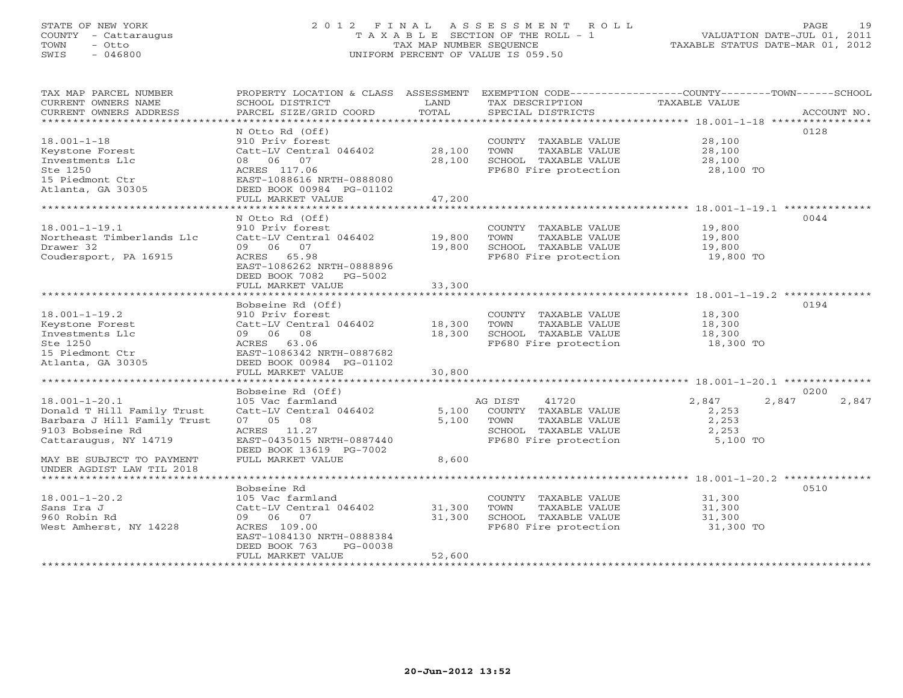# STATE OF NEW YORK 2 0 1 2 F I N A L A S S E S S M E N T R O L L PAGE 19 COUNTY - Cattaraugus T A X A B L E SECTION OF THE ROLL - 1 VALUATION DATE-JUL 01, 2011 TOWN - Otto TAX MAP NUMBER SEQUENCE TAXABLE STATUS DATE-MAR 01, 2012 SWIS - 046800 UNIFORM PERCENT OF VALUE IS 059.50UNIFORM PERCENT OF VALUE IS 059.50

| TAX MAP PARCEL NUMBER                                       | PROPERTY LOCATION & CLASS ASSESSMENT                  |        | EXEMPTION CODE-----------------COUNTY-------TOWN------SCHOOL |                  |                |
|-------------------------------------------------------------|-------------------------------------------------------|--------|--------------------------------------------------------------|------------------|----------------|
| CURRENT OWNERS NAME                                         | SCHOOL DISTRICT                                       | LAND   | TAX DESCRIPTION                                              | TAXABLE VALUE    |                |
| CURRENT OWNERS ADDRESS<br>*********************             | PARCEL SIZE/GRID COORD                                | TOTAL  | SPECIAL DISTRICTS                                            |                  | ACCOUNT NO.    |
|                                                             | N Otto Rd (Off)                                       |        |                                                              |                  | 0128           |
| $18.001 - 1 - 18$                                           | 910 Priv forest                                       |        | COUNTY TAXABLE VALUE                                         | 28,100           |                |
| Keystone Forest                                             | Catt-LV Central 046402                                | 28,100 | TAXABLE VALUE<br>TOWN                                        | 28,100           |                |
| Investments Llc                                             | 08 06 07                                              | 28,100 | SCHOOL TAXABLE VALUE                                         | 28,100           |                |
| Ste 1250                                                    | ACRES 117.06                                          |        | FP680 Fire protection                                        | 28,100 TO        |                |
| 15 Piedmont Ctr                                             | EAST-1088616 NRTH-0888080                             |        |                                                              |                  |                |
| Atlanta, GA 30305                                           | DEED BOOK 00984 PG-01102                              |        |                                                              |                  |                |
|                                                             | FULL MARKET VALUE                                     | 47,200 |                                                              |                  |                |
|                                                             |                                                       |        |                                                              |                  |                |
|                                                             | N Otto Rd (Off)                                       |        |                                                              |                  | 0044           |
| $18.001 - 1 - 19.1$<br>Northeast Timberlands Llc            | 910 Priv forest                                       | 19,800 | COUNTY TAXABLE VALUE<br>TAXABLE VALUE                        | 19,800           |                |
| Drawer 32                                                   | Catt-LV Central 046402<br>09 06 07                    | 19,800 | TOWN<br>SCHOOL TAXABLE VALUE                                 | 19,800<br>19,800 |                |
| Coudersport, PA 16915                                       | ACRES 65.98                                           |        | FP680 Fire protection                                        | 19,800 TO        |                |
|                                                             | EAST-1086262 NRTH-0888896                             |        |                                                              |                  |                |
|                                                             | DEED BOOK 7082 PG-5002                                |        |                                                              |                  |                |
|                                                             | FULL MARKET VALUE                                     | 33,300 |                                                              |                  |                |
|                                                             |                                                       |        |                                                              |                  |                |
|                                                             | Bobseine Rd (Off)                                     |        |                                                              |                  | 0194           |
| $18.001 - 1 - 19.2$                                         | 910 Priv forest                                       |        | COUNTY TAXABLE VALUE                                         | 18,300           |                |
| Keystone Forest                                             | Catt-LV Central 046402                                | 18,300 | TOWN<br>TAXABLE VALUE                                        | 18,300           |                |
| Investments Llc                                             | 09 06 08                                              | 18,300 | SCHOOL TAXABLE VALUE                                         | 18,300           |                |
| Ste 1250                                                    | ACRES 63.06                                           |        | FP680 Fire protection                                        | 18,300 TO        |                |
| 15 Piedmont Ctr<br>Atlanta, GA 30305                        | EAST-1086342 NRTH-0887682<br>DEED BOOK 00984 PG-01102 |        |                                                              |                  |                |
|                                                             | FULL MARKET VALUE                                     | 30,800 |                                                              |                  |                |
|                                                             | **************************                            |        |                                                              |                  |                |
|                                                             | Bobseine Rd (Off)                                     |        |                                                              |                  | 0200           |
| $18.001 - 1 - 20.1$                                         | 105 Vac farmland                                      |        | AG DIST<br>41720                                             | 2,847            | 2,847<br>2,847 |
| Donald T Hill Family Trust                                  | Catt-LV Central 046402                                | 5,100  | COUNTY TAXABLE VALUE                                         | 2,253            |                |
| Barbara J Hill Family Trust                                 | 07 05 08                                              | 5,100  | TOWN<br>TAXABLE VALUE                                        | 2,253            |                |
| 9103 Bobseine Rd                                            | ACRES 11.27                                           |        | SCHOOL TAXABLE VALUE                                         | 2,253            |                |
| Cattaraugus, NY 14719                                       | EAST-0435015 NRTH-0887440                             |        | FP680 Fire protection                                        | 5,100 TO         |                |
|                                                             | DEED BOOK 13619 PG-7002                               |        |                                                              |                  |                |
| MAY BE SUBJECT TO PAYMENT                                   | FULL MARKET VALUE                                     | 8,600  |                                                              |                  |                |
| UNDER AGDIST LAW TIL 2018<br>****************************** |                                                       |        |                                                              |                  |                |
|                                                             | Bobseine Rd                                           |        |                                                              |                  | 0510           |
| $18.001 - 1 - 20.2$                                         | 105 Vac farmland                                      |        | COUNTY TAXABLE VALUE                                         | 31,300           |                |
| Sans Ira J                                                  | Catt-LV Central 046402                                | 31,300 | TOWN<br>TAXABLE VALUE                                        | 31,300           |                |
| 960 Robin Rd                                                | 09 06 07                                              | 31,300 | SCHOOL TAXABLE VALUE                                         | 31,300           |                |
| West Amherst, NY 14228                                      | ACRES 109.00                                          |        | FP680 Fire protection                                        | 31,300 TO        |                |
|                                                             | EAST-1084130 NRTH-0888384                             |        |                                                              |                  |                |
|                                                             | DEED BOOK 763<br>PG-00038                             |        |                                                              |                  |                |
|                                                             | FULL MARKET VALUE                                     | 52,600 |                                                              |                  |                |
|                                                             |                                                       |        |                                                              |                  |                |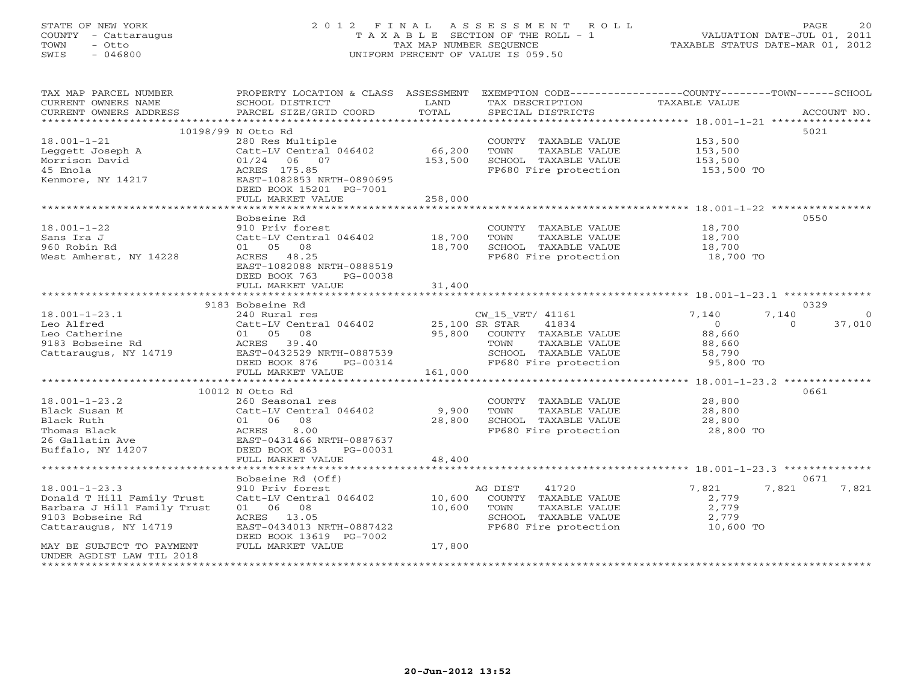# STATE OF NEW YORK 2 0 1 2 F I N A L A S S E S S M E N T R O L L PAGE 20 COUNTY - Cattaraugus T A X A B L E SECTION OF THE ROLL - 1 VALUATION DATE-JUL 01, 2011 TOWN - Otto TAX MAP NUMBER SEQUENCE TAXABLE STATUS DATE-MAR 01, 2012 SWIS - 046800 UNIFORM PERCENT OF VALUE IS 059.50UNIFORM PERCENT OF VALUE IS 059.50

| TAX MAP PARCEL NUMBER<br>CURRENT OWNERS NAME | PROPERTY LOCATION & CLASS ASSESSMENT<br>SCHOOL DISTRICT | LAND    | EXEMPTION CODE----------------COUNTY-------TOWN-----SCHOOL<br>TAX DESCRIPTION | <b>TAXABLE VALUE</b> |                    |
|----------------------------------------------|---------------------------------------------------------|---------|-------------------------------------------------------------------------------|----------------------|--------------------|
| CURRENT OWNERS ADDRESS                       | PARCEL SIZE/GRID COORD                                  | TOTAL   | SPECIAL DISTRICTS                                                             |                      | ACCOUNT NO.        |
|                                              |                                                         |         |                                                                               |                      |                    |
|                                              | 10198/99 N Otto Rd                                      |         |                                                                               |                      | 5021               |
| $18.001 - 1 - 21$                            | 280 Res Multiple                                        |         | COUNTY TAXABLE VALUE                                                          | 153,500              |                    |
| Leggett Joseph A                             | Catt-LV Central 046402                                  | 66,200  | TOWN<br>TAXABLE VALUE                                                         | 153,500              |                    |
| Morrison David                               | 01/24<br>06 07                                          | 153,500 | SCHOOL TAXABLE VALUE                                                          | 153,500              |                    |
| 45 Enola                                     | ACRES 175.85                                            |         | FP680 Fire protection                                                         | 153,500 TO           |                    |
| Kenmore, NY 14217                            | EAST-1082853 NRTH-0890695                               |         |                                                                               |                      |                    |
|                                              | DEED BOOK 15201 PG-7001                                 |         |                                                                               |                      |                    |
|                                              | FULL MARKET VALUE                                       | 258,000 |                                                                               |                      |                    |
|                                              | *****************************                           |         |                                                                               |                      |                    |
|                                              | Bobseine Rd                                             |         |                                                                               |                      | 0550               |
| $18.001 - 1 - 22$                            | 910 Priv forest                                         |         | COUNTY TAXABLE VALUE                                                          | 18,700               |                    |
| Sans Ira J                                   | Catt-LV Central 046402                                  | 18,700  | TAXABLE VALUE<br>TOWN                                                         | 18,700               |                    |
| 960 Robin Rd                                 | 01 05<br>08                                             | 18,700  | SCHOOL TAXABLE VALUE                                                          | 18,700               |                    |
| West Amherst, NY 14228                       | ACRES 48.25                                             |         | FP680 Fire protection                                                         | 18,700 TO            |                    |
|                                              | EAST-1082088 NRTH-0888519                               |         |                                                                               |                      |                    |
|                                              | DEED BOOK 763<br>PG-00038                               |         |                                                                               |                      |                    |
|                                              | FULL MARKET VALUE                                       | 31,400  |                                                                               |                      |                    |
|                                              | **************************                              |         |                                                                               |                      |                    |
|                                              | 9183 Bobseine Rd                                        |         |                                                                               |                      | 0329               |
| $18.001 - 1 - 23.1$                          | 240 Rural res                                           |         | CW_15_VET/ 41161                                                              | 7,140                | 7,140<br>$\circ$   |
| Leo Alfred                                   | Catt-LV Central 046402                                  |         | 25,100 SR STAR<br>41834                                                       | $\Omega$             | 37,010<br>$\Omega$ |
| Leo Catherine                                | 01 05<br>08                                             | 95,800  | COUNTY TAXABLE VALUE                                                          | 88,660               |                    |
| 9183 Bobseine Rd                             | ACRES 39.40                                             |         | TOWN<br>TAXABLE VALUE                                                         | 88,660               |                    |
| Cattaraugus, NY 14719                        | EAST-0432529 NRTH-0887539                               |         | SCHOOL TAXABLE VALUE                                                          | 58,790               |                    |
|                                              | DEED BOOK 876<br>PG-00314                               |         | FP680 Fire protection                                                         | 95,800 TO            |                    |
|                                              | FULL MARKET VALUE                                       | 161,000 |                                                                               |                      |                    |
|                                              | *************************                               |         |                                                                               |                      |                    |
|                                              | 10012 N Otto Rd                                         |         |                                                                               |                      | 0661               |
| $18.001 - 1 - 23.2$                          | 260 Seasonal res                                        |         | COUNTY TAXABLE VALUE                                                          | 28,800               |                    |
| Black Susan M                                | Catt-LV Central 046402                                  | 9,900   | TOWN<br>TAXABLE VALUE                                                         | 28,800               |                    |
| Black Ruth                                   | 01 06<br>08                                             | 28,800  | SCHOOL TAXABLE VALUE                                                          | 28,800               |                    |
| Thomas Black                                 | ACRES<br>8.00                                           |         | FP680 Fire protection                                                         | 28,800 TO            |                    |
| 26 Gallatin Ave                              | EAST-0431466 NRTH-0887637                               |         |                                                                               |                      |                    |
| Buffalo, NY 14207                            | DEED BOOK 863<br>PG-00031                               |         |                                                                               |                      |                    |
|                                              | FULL MARKET VALUE                                       | 48,400  |                                                                               |                      |                    |
|                                              |                                                         |         |                                                                               |                      |                    |
|                                              | Bobseine Rd (Off)                                       |         |                                                                               |                      | 0671               |
| $18.001 - 1 - 23.3$                          | 910 Priv forest                                         |         | 41720<br>AG DIST                                                              | 7,821                | 7,821<br>7,821     |
| Donald T Hill Family Trust                   | Catt-LV Central 046402                                  | 10,600  | COUNTY TAXABLE VALUE                                                          | 2,779                |                    |
| Barbara J Hill Family Trust                  | 01 06 08                                                | 10,600  | TOWN<br>TAXABLE VALUE                                                         | 2,779                |                    |
| 9103 Bobseine Rd                             | ACRES 13.05<br>EAST-0434013 NRTH-0887422                |         | SCHOOL TAXABLE VALUE<br>FP680 Fire protection                                 | 2,779<br>10,600 TO   |                    |
| Cattaraugus, NY 14719                        |                                                         |         |                                                                               |                      |                    |
| MAY BE SUBJECT TO PAYMENT                    | DEED BOOK 13619 PG-7002<br>FULL MARKET VALUE            | 17,800  |                                                                               |                      |                    |
| UNDER AGDIST LAW TIL 2018                    |                                                         |         |                                                                               |                      |                    |
| **********************                       |                                                         |         |                                                                               |                      |                    |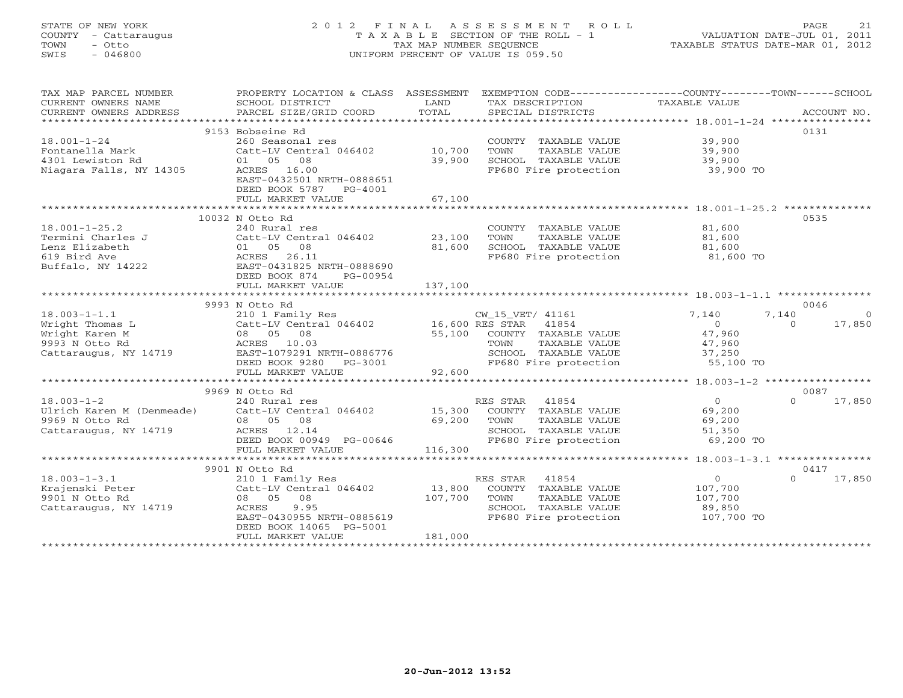# STATE OF NEW YORK 2 0 1 2 F I N A L A S S E S S M E N T R O L L PAGE 21 COUNTY - Cattaraugus T A X A B L E SECTION OF THE ROLL - 1 VALUATION DATE-JUL 01, 2011 TOWN - Otto TAX MAP NUMBER SEQUENCE TAXABLE STATUS DATE-MAR 01, 2012 SWIS - 046800 UNIFORM PERCENT OF VALUE IS 059.50UNIFORM PERCENT OF VALUE IS 059.50

| 0131<br>9153 Bobseine Rd<br>$18.001 - 1 - 24$<br>260 Seasonal res<br>COUNTY TAXABLE VALUE<br>39,900<br>Catt-LV Central 046402 10,700<br>39,900<br>Fontanella Mark<br>TOWN<br>TAXABLE VALUE<br>4301 Lewiston Rd<br>01 05 08<br>39,900<br>SCHOOL TAXABLE VALUE<br>39,900<br>ACRES 16.00<br>FP680 Fire protection<br>39,900 TO<br>Niagara Falls, NY 14305<br>EAST-0432501 NRTH-0888651<br>DEED BOOK 5787 PG-4001<br>67,100<br>FULL MARKET VALUE<br>0535<br>10032 N Otto Rd<br>$18.001 - 1 - 25.2$<br>81,600<br>240 Rural res<br>COUNTY TAXABLE VALUE<br>Termini Charles J<br>Catt-LV Central 046402<br>23,100<br>TAXABLE VALUE<br>81,600<br>TOWN<br>Lenz Elizabeth<br>81,600<br>SCHOOL TAXABLE VALUE<br>01 05 08<br>81,600<br>ACRES 26.11<br>619 Bird Ave<br>FP680 Fire protection<br>81,600 TO<br>Buffalo, NY 14222<br>EAST-0431825 NRTH-0888690<br>DEED BOOK 874<br>PG-00954<br>137,100<br>FULL MARKET VALUE<br>0046<br>9993 N Otto Rd<br>210 1 Family Res<br>Catt-LV Central 046402 16,600 RES STAR 41854<br>$18.003 - 1 - 1.1$<br>7,140<br>7,140<br>$\overline{0}$<br>Wright Thomas L<br>$\Omega$<br>$\Omega$<br>17,850<br>55,100 COUNTY TAXABLE VALUE<br>Wright Karen M<br>08 05 08<br>47,960<br>ACRES 10.03<br>TAXABLE VALUE<br>TOWN<br>47,960<br>ע כלכל מו Utto Kd<br>Cattaraugus, NY 14719<br>SCHOOL TAXABLE VALUE 37,250<br>EAST-1079291 NRTH-0886776<br>DEED BOOK 9280 PG-3001<br>FP680 Fire protection<br>55,100 TO<br>FULL MARKET VALUE<br>92,600<br>9969 N Otto Rd<br>0087<br>$\overline{0}$<br>$18.003 - 1 - 2$<br>RES STAR<br>41854<br>$\Omega$<br>17,850<br>240 Rural res<br>Ulrich Karen M (Denmeade)<br>Catt-LV Central 046402<br>15,300 COUNTY TAXABLE VALUE<br>69,200<br>9969 N Otto Rd<br>69,200<br>08 05 08<br>TOWN<br>TAXABLE VALUE<br>69,200<br>Cattaraugus, NY 14719<br>ACRES 12.14<br>SCHOOL TAXABLE VALUE<br>51,350<br>DEED BOOK 00949 PG-00646<br>FP680 Fire protection<br>69,200 TO<br>FULL MARKET VALUE<br>116,300<br>9901 N Otto Rd<br>0417<br>$\overline{0}$<br>$\Omega$<br>17,850<br>$18.003 - 1 - 3.1$<br>210 1 Family Res<br>RES STAR 41854<br>Catt-LV Central 046402 13,800<br>Krajenski Peter<br>COUNTY TAXABLE VALUE<br>107,700<br>08 05 08<br>107,700<br>107,700<br>9901 N Otto Rd<br>TOWN<br>TAXABLE VALUE<br>Cattaraugus, NY 14719<br>9.95<br>SCHOOL TAXABLE VALUE<br>89,850<br>ACRES<br>FP680 Fire protection<br>107,700 TO<br>EAST-0430955 NRTH-0885619<br>DEED BOOK 14065 PG-5001<br>181,000<br>FULL MARKET VALUE | TAX MAP PARCEL NUMBER<br>CURRENT OWNERS NAME<br>CURRENT OWNERS ADDRESS | PROPERTY LOCATION & CLASS ASSESSMENT<br>SCHOOL DISTRICT<br>PARCEL SIZE/GRID COORD | LAND<br>TOTAL | TAX DESCRIPTION<br>SPECIAL DISTRICTS | EXEMPTION CODE----------------COUNTY-------TOWN------SCHOOL<br>TAXABLE VALUE | ACCOUNT NO. |
|------------------------------------------------------------------------------------------------------------------------------------------------------------------------------------------------------------------------------------------------------------------------------------------------------------------------------------------------------------------------------------------------------------------------------------------------------------------------------------------------------------------------------------------------------------------------------------------------------------------------------------------------------------------------------------------------------------------------------------------------------------------------------------------------------------------------------------------------------------------------------------------------------------------------------------------------------------------------------------------------------------------------------------------------------------------------------------------------------------------------------------------------------------------------------------------------------------------------------------------------------------------------------------------------------------------------------------------------------------------------------------------------------------------------------------------------------------------------------------------------------------------------------------------------------------------------------------------------------------------------------------------------------------------------------------------------------------------------------------------------------------------------------------------------------------------------------------------------------------------------------------------------------------------------------------------------------------------------------------------------------------------------------------------------------------------------------------------------------------------------------------------------------------------------------------------------------------------------------------------------------------------------------------------------------------------------------------------------------------------------------------------------------------------------------------------------------------|------------------------------------------------------------------------|-----------------------------------------------------------------------------------|---------------|--------------------------------------|------------------------------------------------------------------------------|-------------|
|                                                                                                                                                                                                                                                                                                                                                                                                                                                                                                                                                                                                                                                                                                                                                                                                                                                                                                                                                                                                                                                                                                                                                                                                                                                                                                                                                                                                                                                                                                                                                                                                                                                                                                                                                                                                                                                                                                                                                                                                                                                                                                                                                                                                                                                                                                                                                                                                                                                            |                                                                        |                                                                                   |               |                                      |                                                                              |             |
|                                                                                                                                                                                                                                                                                                                                                                                                                                                                                                                                                                                                                                                                                                                                                                                                                                                                                                                                                                                                                                                                                                                                                                                                                                                                                                                                                                                                                                                                                                                                                                                                                                                                                                                                                                                                                                                                                                                                                                                                                                                                                                                                                                                                                                                                                                                                                                                                                                                            |                                                                        |                                                                                   |               |                                      |                                                                              |             |
|                                                                                                                                                                                                                                                                                                                                                                                                                                                                                                                                                                                                                                                                                                                                                                                                                                                                                                                                                                                                                                                                                                                                                                                                                                                                                                                                                                                                                                                                                                                                                                                                                                                                                                                                                                                                                                                                                                                                                                                                                                                                                                                                                                                                                                                                                                                                                                                                                                                            |                                                                        |                                                                                   |               |                                      |                                                                              |             |
|                                                                                                                                                                                                                                                                                                                                                                                                                                                                                                                                                                                                                                                                                                                                                                                                                                                                                                                                                                                                                                                                                                                                                                                                                                                                                                                                                                                                                                                                                                                                                                                                                                                                                                                                                                                                                                                                                                                                                                                                                                                                                                                                                                                                                                                                                                                                                                                                                                                            |                                                                        |                                                                                   |               |                                      |                                                                              |             |
|                                                                                                                                                                                                                                                                                                                                                                                                                                                                                                                                                                                                                                                                                                                                                                                                                                                                                                                                                                                                                                                                                                                                                                                                                                                                                                                                                                                                                                                                                                                                                                                                                                                                                                                                                                                                                                                                                                                                                                                                                                                                                                                                                                                                                                                                                                                                                                                                                                                            |                                                                        |                                                                                   |               |                                      |                                                                              |             |
|                                                                                                                                                                                                                                                                                                                                                                                                                                                                                                                                                                                                                                                                                                                                                                                                                                                                                                                                                                                                                                                                                                                                                                                                                                                                                                                                                                                                                                                                                                                                                                                                                                                                                                                                                                                                                                                                                                                                                                                                                                                                                                                                                                                                                                                                                                                                                                                                                                                            |                                                                        |                                                                                   |               |                                      |                                                                              |             |
|                                                                                                                                                                                                                                                                                                                                                                                                                                                                                                                                                                                                                                                                                                                                                                                                                                                                                                                                                                                                                                                                                                                                                                                                                                                                                                                                                                                                                                                                                                                                                                                                                                                                                                                                                                                                                                                                                                                                                                                                                                                                                                                                                                                                                                                                                                                                                                                                                                                            |                                                                        |                                                                                   |               |                                      |                                                                              |             |
|                                                                                                                                                                                                                                                                                                                                                                                                                                                                                                                                                                                                                                                                                                                                                                                                                                                                                                                                                                                                                                                                                                                                                                                                                                                                                                                                                                                                                                                                                                                                                                                                                                                                                                                                                                                                                                                                                                                                                                                                                                                                                                                                                                                                                                                                                                                                                                                                                                                            |                                                                        |                                                                                   |               |                                      |                                                                              |             |
|                                                                                                                                                                                                                                                                                                                                                                                                                                                                                                                                                                                                                                                                                                                                                                                                                                                                                                                                                                                                                                                                                                                                                                                                                                                                                                                                                                                                                                                                                                                                                                                                                                                                                                                                                                                                                                                                                                                                                                                                                                                                                                                                                                                                                                                                                                                                                                                                                                                            |                                                                        |                                                                                   |               |                                      |                                                                              |             |
|                                                                                                                                                                                                                                                                                                                                                                                                                                                                                                                                                                                                                                                                                                                                                                                                                                                                                                                                                                                                                                                                                                                                                                                                                                                                                                                                                                                                                                                                                                                                                                                                                                                                                                                                                                                                                                                                                                                                                                                                                                                                                                                                                                                                                                                                                                                                                                                                                                                            |                                                                        |                                                                                   |               |                                      |                                                                              |             |
|                                                                                                                                                                                                                                                                                                                                                                                                                                                                                                                                                                                                                                                                                                                                                                                                                                                                                                                                                                                                                                                                                                                                                                                                                                                                                                                                                                                                                                                                                                                                                                                                                                                                                                                                                                                                                                                                                                                                                                                                                                                                                                                                                                                                                                                                                                                                                                                                                                                            |                                                                        |                                                                                   |               |                                      |                                                                              |             |
|                                                                                                                                                                                                                                                                                                                                                                                                                                                                                                                                                                                                                                                                                                                                                                                                                                                                                                                                                                                                                                                                                                                                                                                                                                                                                                                                                                                                                                                                                                                                                                                                                                                                                                                                                                                                                                                                                                                                                                                                                                                                                                                                                                                                                                                                                                                                                                                                                                                            |                                                                        |                                                                                   |               |                                      |                                                                              |             |
|                                                                                                                                                                                                                                                                                                                                                                                                                                                                                                                                                                                                                                                                                                                                                                                                                                                                                                                                                                                                                                                                                                                                                                                                                                                                                                                                                                                                                                                                                                                                                                                                                                                                                                                                                                                                                                                                                                                                                                                                                                                                                                                                                                                                                                                                                                                                                                                                                                                            |                                                                        |                                                                                   |               |                                      |                                                                              |             |
|                                                                                                                                                                                                                                                                                                                                                                                                                                                                                                                                                                                                                                                                                                                                                                                                                                                                                                                                                                                                                                                                                                                                                                                                                                                                                                                                                                                                                                                                                                                                                                                                                                                                                                                                                                                                                                                                                                                                                                                                                                                                                                                                                                                                                                                                                                                                                                                                                                                            |                                                                        |                                                                                   |               |                                      |                                                                              |             |
|                                                                                                                                                                                                                                                                                                                                                                                                                                                                                                                                                                                                                                                                                                                                                                                                                                                                                                                                                                                                                                                                                                                                                                                                                                                                                                                                                                                                                                                                                                                                                                                                                                                                                                                                                                                                                                                                                                                                                                                                                                                                                                                                                                                                                                                                                                                                                                                                                                                            |                                                                        |                                                                                   |               |                                      |                                                                              |             |
|                                                                                                                                                                                                                                                                                                                                                                                                                                                                                                                                                                                                                                                                                                                                                                                                                                                                                                                                                                                                                                                                                                                                                                                                                                                                                                                                                                                                                                                                                                                                                                                                                                                                                                                                                                                                                                                                                                                                                                                                                                                                                                                                                                                                                                                                                                                                                                                                                                                            |                                                                        |                                                                                   |               |                                      |                                                                              |             |
|                                                                                                                                                                                                                                                                                                                                                                                                                                                                                                                                                                                                                                                                                                                                                                                                                                                                                                                                                                                                                                                                                                                                                                                                                                                                                                                                                                                                                                                                                                                                                                                                                                                                                                                                                                                                                                                                                                                                                                                                                                                                                                                                                                                                                                                                                                                                                                                                                                                            |                                                                        |                                                                                   |               |                                      |                                                                              |             |
|                                                                                                                                                                                                                                                                                                                                                                                                                                                                                                                                                                                                                                                                                                                                                                                                                                                                                                                                                                                                                                                                                                                                                                                                                                                                                                                                                                                                                                                                                                                                                                                                                                                                                                                                                                                                                                                                                                                                                                                                                                                                                                                                                                                                                                                                                                                                                                                                                                                            |                                                                        |                                                                                   |               |                                      |                                                                              |             |
|                                                                                                                                                                                                                                                                                                                                                                                                                                                                                                                                                                                                                                                                                                                                                                                                                                                                                                                                                                                                                                                                                                                                                                                                                                                                                                                                                                                                                                                                                                                                                                                                                                                                                                                                                                                                                                                                                                                                                                                                                                                                                                                                                                                                                                                                                                                                                                                                                                                            |                                                                        |                                                                                   |               |                                      |                                                                              |             |
|                                                                                                                                                                                                                                                                                                                                                                                                                                                                                                                                                                                                                                                                                                                                                                                                                                                                                                                                                                                                                                                                                                                                                                                                                                                                                                                                                                                                                                                                                                                                                                                                                                                                                                                                                                                                                                                                                                                                                                                                                                                                                                                                                                                                                                                                                                                                                                                                                                                            |                                                                        |                                                                                   |               |                                      |                                                                              |             |
|                                                                                                                                                                                                                                                                                                                                                                                                                                                                                                                                                                                                                                                                                                                                                                                                                                                                                                                                                                                                                                                                                                                                                                                                                                                                                                                                                                                                                                                                                                                                                                                                                                                                                                                                                                                                                                                                                                                                                                                                                                                                                                                                                                                                                                                                                                                                                                                                                                                            |                                                                        |                                                                                   |               |                                      |                                                                              |             |
|                                                                                                                                                                                                                                                                                                                                                                                                                                                                                                                                                                                                                                                                                                                                                                                                                                                                                                                                                                                                                                                                                                                                                                                                                                                                                                                                                                                                                                                                                                                                                                                                                                                                                                                                                                                                                                                                                                                                                                                                                                                                                                                                                                                                                                                                                                                                                                                                                                                            |                                                                        |                                                                                   |               |                                      |                                                                              |             |
|                                                                                                                                                                                                                                                                                                                                                                                                                                                                                                                                                                                                                                                                                                                                                                                                                                                                                                                                                                                                                                                                                                                                                                                                                                                                                                                                                                                                                                                                                                                                                                                                                                                                                                                                                                                                                                                                                                                                                                                                                                                                                                                                                                                                                                                                                                                                                                                                                                                            |                                                                        |                                                                                   |               |                                      |                                                                              |             |
|                                                                                                                                                                                                                                                                                                                                                                                                                                                                                                                                                                                                                                                                                                                                                                                                                                                                                                                                                                                                                                                                                                                                                                                                                                                                                                                                                                                                                                                                                                                                                                                                                                                                                                                                                                                                                                                                                                                                                                                                                                                                                                                                                                                                                                                                                                                                                                                                                                                            |                                                                        |                                                                                   |               |                                      |                                                                              |             |
|                                                                                                                                                                                                                                                                                                                                                                                                                                                                                                                                                                                                                                                                                                                                                                                                                                                                                                                                                                                                                                                                                                                                                                                                                                                                                                                                                                                                                                                                                                                                                                                                                                                                                                                                                                                                                                                                                                                                                                                                                                                                                                                                                                                                                                                                                                                                                                                                                                                            |                                                                        |                                                                                   |               |                                      |                                                                              |             |
|                                                                                                                                                                                                                                                                                                                                                                                                                                                                                                                                                                                                                                                                                                                                                                                                                                                                                                                                                                                                                                                                                                                                                                                                                                                                                                                                                                                                                                                                                                                                                                                                                                                                                                                                                                                                                                                                                                                                                                                                                                                                                                                                                                                                                                                                                                                                                                                                                                                            |                                                                        |                                                                                   |               |                                      |                                                                              |             |
|                                                                                                                                                                                                                                                                                                                                                                                                                                                                                                                                                                                                                                                                                                                                                                                                                                                                                                                                                                                                                                                                                                                                                                                                                                                                                                                                                                                                                                                                                                                                                                                                                                                                                                                                                                                                                                                                                                                                                                                                                                                                                                                                                                                                                                                                                                                                                                                                                                                            |                                                                        |                                                                                   |               |                                      |                                                                              |             |
|                                                                                                                                                                                                                                                                                                                                                                                                                                                                                                                                                                                                                                                                                                                                                                                                                                                                                                                                                                                                                                                                                                                                                                                                                                                                                                                                                                                                                                                                                                                                                                                                                                                                                                                                                                                                                                                                                                                                                                                                                                                                                                                                                                                                                                                                                                                                                                                                                                                            |                                                                        |                                                                                   |               |                                      |                                                                              |             |
|                                                                                                                                                                                                                                                                                                                                                                                                                                                                                                                                                                                                                                                                                                                                                                                                                                                                                                                                                                                                                                                                                                                                                                                                                                                                                                                                                                                                                                                                                                                                                                                                                                                                                                                                                                                                                                                                                                                                                                                                                                                                                                                                                                                                                                                                                                                                                                                                                                                            |                                                                        |                                                                                   |               |                                      |                                                                              |             |
|                                                                                                                                                                                                                                                                                                                                                                                                                                                                                                                                                                                                                                                                                                                                                                                                                                                                                                                                                                                                                                                                                                                                                                                                                                                                                                                                                                                                                                                                                                                                                                                                                                                                                                                                                                                                                                                                                                                                                                                                                                                                                                                                                                                                                                                                                                                                                                                                                                                            |                                                                        |                                                                                   |               |                                      |                                                                              |             |
|                                                                                                                                                                                                                                                                                                                                                                                                                                                                                                                                                                                                                                                                                                                                                                                                                                                                                                                                                                                                                                                                                                                                                                                                                                                                                                                                                                                                                                                                                                                                                                                                                                                                                                                                                                                                                                                                                                                                                                                                                                                                                                                                                                                                                                                                                                                                                                                                                                                            |                                                                        |                                                                                   |               |                                      |                                                                              |             |
|                                                                                                                                                                                                                                                                                                                                                                                                                                                                                                                                                                                                                                                                                                                                                                                                                                                                                                                                                                                                                                                                                                                                                                                                                                                                                                                                                                                                                                                                                                                                                                                                                                                                                                                                                                                                                                                                                                                                                                                                                                                                                                                                                                                                                                                                                                                                                                                                                                                            |                                                                        |                                                                                   |               |                                      |                                                                              |             |
|                                                                                                                                                                                                                                                                                                                                                                                                                                                                                                                                                                                                                                                                                                                                                                                                                                                                                                                                                                                                                                                                                                                                                                                                                                                                                                                                                                                                                                                                                                                                                                                                                                                                                                                                                                                                                                                                                                                                                                                                                                                                                                                                                                                                                                                                                                                                                                                                                                                            |                                                                        |                                                                                   |               |                                      |                                                                              |             |
|                                                                                                                                                                                                                                                                                                                                                                                                                                                                                                                                                                                                                                                                                                                                                                                                                                                                                                                                                                                                                                                                                                                                                                                                                                                                                                                                                                                                                                                                                                                                                                                                                                                                                                                                                                                                                                                                                                                                                                                                                                                                                                                                                                                                                                                                                                                                                                                                                                                            |                                                                        |                                                                                   |               |                                      |                                                                              |             |
|                                                                                                                                                                                                                                                                                                                                                                                                                                                                                                                                                                                                                                                                                                                                                                                                                                                                                                                                                                                                                                                                                                                                                                                                                                                                                                                                                                                                                                                                                                                                                                                                                                                                                                                                                                                                                                                                                                                                                                                                                                                                                                                                                                                                                                                                                                                                                                                                                                                            |                                                                        |                                                                                   |               |                                      |                                                                              |             |
|                                                                                                                                                                                                                                                                                                                                                                                                                                                                                                                                                                                                                                                                                                                                                                                                                                                                                                                                                                                                                                                                                                                                                                                                                                                                                                                                                                                                                                                                                                                                                                                                                                                                                                                                                                                                                                                                                                                                                                                                                                                                                                                                                                                                                                                                                                                                                                                                                                                            |                                                                        |                                                                                   |               |                                      |                                                                              |             |
|                                                                                                                                                                                                                                                                                                                                                                                                                                                                                                                                                                                                                                                                                                                                                                                                                                                                                                                                                                                                                                                                                                                                                                                                                                                                                                                                                                                                                                                                                                                                                                                                                                                                                                                                                                                                                                                                                                                                                                                                                                                                                                                                                                                                                                                                                                                                                                                                                                                            |                                                                        |                                                                                   |               |                                      |                                                                              |             |
|                                                                                                                                                                                                                                                                                                                                                                                                                                                                                                                                                                                                                                                                                                                                                                                                                                                                                                                                                                                                                                                                                                                                                                                                                                                                                                                                                                                                                                                                                                                                                                                                                                                                                                                                                                                                                                                                                                                                                                                                                                                                                                                                                                                                                                                                                                                                                                                                                                                            |                                                                        |                                                                                   |               |                                      |                                                                              |             |
|                                                                                                                                                                                                                                                                                                                                                                                                                                                                                                                                                                                                                                                                                                                                                                                                                                                                                                                                                                                                                                                                                                                                                                                                                                                                                                                                                                                                                                                                                                                                                                                                                                                                                                                                                                                                                                                                                                                                                                                                                                                                                                                                                                                                                                                                                                                                                                                                                                                            |                                                                        |                                                                                   |               |                                      |                                                                              |             |
|                                                                                                                                                                                                                                                                                                                                                                                                                                                                                                                                                                                                                                                                                                                                                                                                                                                                                                                                                                                                                                                                                                                                                                                                                                                                                                                                                                                                                                                                                                                                                                                                                                                                                                                                                                                                                                                                                                                                                                                                                                                                                                                                                                                                                                                                                                                                                                                                                                                            |                                                                        |                                                                                   |               |                                      |                                                                              |             |
|                                                                                                                                                                                                                                                                                                                                                                                                                                                                                                                                                                                                                                                                                                                                                                                                                                                                                                                                                                                                                                                                                                                                                                                                                                                                                                                                                                                                                                                                                                                                                                                                                                                                                                                                                                                                                                                                                                                                                                                                                                                                                                                                                                                                                                                                                                                                                                                                                                                            |                                                                        |                                                                                   |               |                                      |                                                                              |             |
|                                                                                                                                                                                                                                                                                                                                                                                                                                                                                                                                                                                                                                                                                                                                                                                                                                                                                                                                                                                                                                                                                                                                                                                                                                                                                                                                                                                                                                                                                                                                                                                                                                                                                                                                                                                                                                                                                                                                                                                                                                                                                                                                                                                                                                                                                                                                                                                                                                                            |                                                                        |                                                                                   |               |                                      |                                                                              |             |
|                                                                                                                                                                                                                                                                                                                                                                                                                                                                                                                                                                                                                                                                                                                                                                                                                                                                                                                                                                                                                                                                                                                                                                                                                                                                                                                                                                                                                                                                                                                                                                                                                                                                                                                                                                                                                                                                                                                                                                                                                                                                                                                                                                                                                                                                                                                                                                                                                                                            |                                                                        |                                                                                   |               |                                      |                                                                              |             |
|                                                                                                                                                                                                                                                                                                                                                                                                                                                                                                                                                                                                                                                                                                                                                                                                                                                                                                                                                                                                                                                                                                                                                                                                                                                                                                                                                                                                                                                                                                                                                                                                                                                                                                                                                                                                                                                                                                                                                                                                                                                                                                                                                                                                                                                                                                                                                                                                                                                            |                                                                        |                                                                                   |               |                                      |                                                                              |             |
|                                                                                                                                                                                                                                                                                                                                                                                                                                                                                                                                                                                                                                                                                                                                                                                                                                                                                                                                                                                                                                                                                                                                                                                                                                                                                                                                                                                                                                                                                                                                                                                                                                                                                                                                                                                                                                                                                                                                                                                                                                                                                                                                                                                                                                                                                                                                                                                                                                                            |                                                                        |                                                                                   |               |                                      |                                                                              |             |
|                                                                                                                                                                                                                                                                                                                                                                                                                                                                                                                                                                                                                                                                                                                                                                                                                                                                                                                                                                                                                                                                                                                                                                                                                                                                                                                                                                                                                                                                                                                                                                                                                                                                                                                                                                                                                                                                                                                                                                                                                                                                                                                                                                                                                                                                                                                                                                                                                                                            |                                                                        |                                                                                   |               |                                      |                                                                              |             |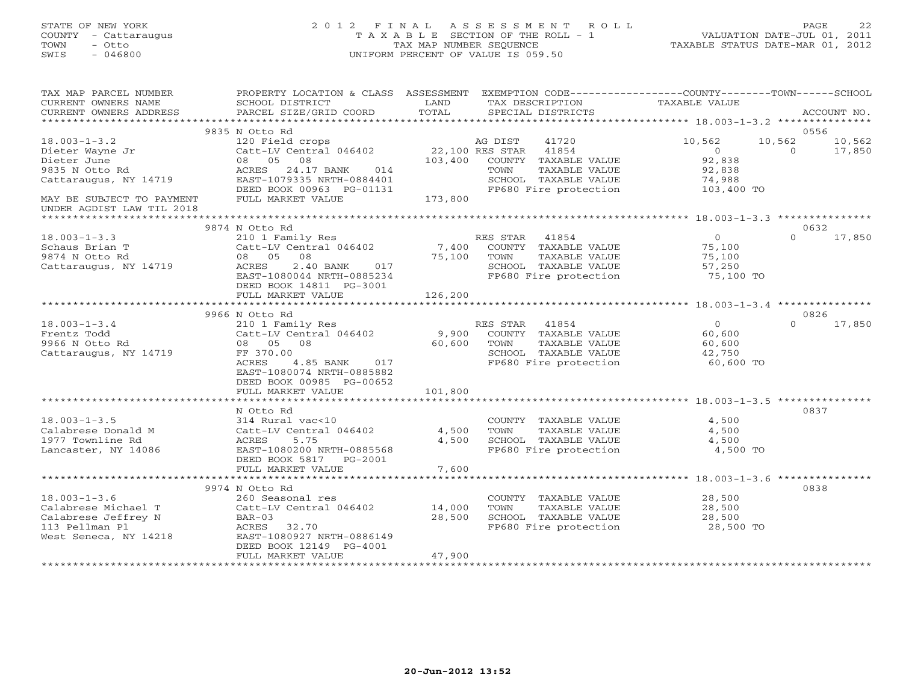# STATE OF NEW YORK 2 0 1 2 F I N A L A S S E S S M E N T R O L L PAGE 22 COUNTY - Cattaraugus T A X A B L E SECTION OF THE ROLL - 1 VALUATION DATE-JUL 01, 2011 TOWN - Otto TAX MAP NUMBER SEQUENCE TAXABLE STATUS DATE-MAR 01, 2012 SWIS - 046800 UNIFORM PERCENT OF VALUE IS 059.50UNIFORM PERCENT OF VALUE IS 059.50

| TAX MAP PARCEL NUMBER<br>CURRENT OWNERS NAME           | SCHOOL DISTRICT                                                                                                      | LAND    | PROPERTY LOCATION & CLASS ASSESSMENT EXEMPTION CODE---------------COUNTY-------TOWN------SCHOOL<br>TAX DESCRIPTION | TAXABLE VALUE  |                          |
|--------------------------------------------------------|----------------------------------------------------------------------------------------------------------------------|---------|--------------------------------------------------------------------------------------------------------------------|----------------|--------------------------|
| CURRENT OWNERS ADDRESS                                 | PARCEL SIZE/GRID COORD                                                                                               | TOTAL   | SPECIAL DISTRICTS                                                                                                  |                | ACCOUNT NO.              |
|                                                        |                                                                                                                      |         |                                                                                                                    |                |                          |
| $18.003 - 1 - 3.2$                                     | 9835 N Otto Rd<br>120 Field crops<br>Catt-LV Central 046402 22,100 RES STAR 41854<br>08 05 08 103,400 COUNTY TAXABLE |         |                                                                                                                    | 10,562         | 0556<br>10,562<br>10,562 |
| Dieter Wayne Jr                                        |                                                                                                                      |         |                                                                                                                    | $\overline{0}$ | $\overline{0}$<br>17,850 |
| Dieter June                                            |                                                                                                                      |         | COUNTY TAXABLE VALUE                                                                                               | 92,838         |                          |
| 9835 N Otto Rd                                         | ACRES 24.17 BANK 014                                                                                                 |         | TOWN<br>TAXABLE VALUE                                                                                              | 92,838         |                          |
| Cattaraugus, NY 14719                                  | EAST-1079335 NRTH-0884401                                                                                            |         | SCHOOL TAXABLE VALUE                                                                                               | 74,988         |                          |
|                                                        | DEED BOOK 00963 PG-01131                                                                                             | 173,800 | FP680 Fire protection                                                                                              | 103,400 TO     |                          |
| MAY BE SUBJECT TO PAYMENT<br>UNDER AGDIST LAW TIL 2018 | FULL MARKET VALUE                                                                                                    |         |                                                                                                                    |                |                          |
|                                                        |                                                                                                                      |         |                                                                                                                    |                |                          |
|                                                        | 9874 N Otto Rd                                                                                                       |         |                                                                                                                    |                | 0632                     |
| $18.003 - 1 - 3.3$                                     | 210 1 Family Res                                                                                                     |         | RES STAR 41854                                                                                                     | $\overline{0}$ | $\Omega$<br>17,850       |
|                                                        |                                                                                                                      |         | 7,400 COUNTY TAXABLE VALUE                                                                                         | 75,100         |                          |
| Schaus Brian T<br>9874 N Otto Rd<br>9874 N Otto Rd     | 08                                                                                                                   | 75,100  | TAXABLE VALUE<br>TOWN                                                                                              | 75,100         |                          |
| Cattaraugus, NY 14719                                  | 2.40 BANK 017<br>ACRES                                                                                               |         |                                                                                                                    | 57,250         |                          |
|                                                        | EAST-1080044 NRTH-0885234                                                                                            |         | SCHOOL TAXABLE VALUE<br>FP680 Fire protection                                                                      | 75,100 TO      |                          |
|                                                        | DEED BOOK 14811 PG-3001                                                                                              |         |                                                                                                                    |                |                          |
|                                                        | FULL MARKET VALUE                                                                                                    | 126,200 |                                                                                                                    |                |                          |
|                                                        |                                                                                                                      |         |                                                                                                                    |                |                          |
|                                                        | 9966 N Otto Rd                                                                                                       |         |                                                                                                                    |                | 0826                     |
| $18.003 - 1 - 3.4$                                     | 210 1 Family Res                                                                                                     |         | RES STAR 41854                                                                                                     | $\overline{0}$ | $\Omega$<br>17,850       |
| Frentz Todd                                            | Catt-LV Central 046402<br>Catt-LV Central 046402<br>08 05 08 60,600 TOWN TAXABLE VALUE                               |         |                                                                                                                    | 60,600         |                          |
| 9966 N Otto Rd                                         |                                                                                                                      |         |                                                                                                                    | 60,600         |                          |
| Cattaraugus, NY 14719                                  | FF 370.00                                                                                                            |         | SCHOOL TAXABLE VALUE                                                                                               | 42,750         |                          |
|                                                        | 4.85 BANK 017<br>ACRES<br>EAST-1080074 NRTH-0885882                                                                  |         | FP680 Fire protection                                                                                              | 60,600 TO      |                          |
|                                                        | DEED BOOK 00985 PG-00652                                                                                             |         |                                                                                                                    |                |                          |
|                                                        | FULL MARKET VALUE                                                                                                    | 101,800 |                                                                                                                    |                |                          |
|                                                        |                                                                                                                      |         |                                                                                                                    |                |                          |
|                                                        | N Otto Rd                                                                                                            |         |                                                                                                                    |                | 0837                     |
| $18.003 - 1 - 3.5$                                     | 314 Rural vac<10                                                                                                     |         | COUNTY TAXABLE VALUE                                                                                               | 4,500          |                          |
| Calabrese Donald M                                     | Catt-LV Central 046402                                                                                               | 4,500   | TAXABLE VALUE<br>TOWN                                                                                              | 4,500          |                          |
| 1977 Townline Rd                                       | ACRES<br>5.75                                                                                                        | 4,500   |                                                                                                                    | 4,500          |                          |
| Lancaster, NY 14086                                    | EAST-1080200 NRTH-0885568                                                                                            |         | SCHOOL TAXABLE VALUE<br>FP680 Fire protection                                                                      | 4,500 TO       |                          |
|                                                        | DEED BOOK 5817 PG-2001                                                                                               |         |                                                                                                                    |                |                          |
|                                                        | FULL MARKET VALUE                                                                                                    | 7,600   |                                                                                                                    |                |                          |
|                                                        |                                                                                                                      |         |                                                                                                                    |                |                          |
|                                                        | 9974 N Otto Rd                                                                                                       |         |                                                                                                                    |                | 0838                     |
| $18.003 - 1 - 3.6$                                     | 260 Seasonal res                                                                                                     |         | COUNTY TAXABLE VALUE                                                                                               | 28,500         |                          |
| Calabrese Michael T                                    | Catt-LV Central 046402 14,000                                                                                        |         | TAXABLE VALUE<br>TOWN                                                                                              | 28,500         |                          |
| Calabrese Jeffrey N                                    | $BAR-03$                                                                                                             | 28,500  | SCHOOL TAXABLE VALUE<br>SCHOOL TAXABLE VALUE 28,500<br>FP680 Fire protection 28,500 TO                             | 28,500         |                          |
| 113 Pellman Pl<br>West Seneca, NY 14218                | ACRES 32.70<br>EAST-1080927 NRTH-0886149                                                                             |         |                                                                                                                    |                |                          |
|                                                        | DEED BOOK 12149 PG-4001                                                                                              |         |                                                                                                                    |                |                          |
|                                                        | FULL MARKET VALUE                                                                                                    | 47,900  |                                                                                                                    |                |                          |
|                                                        |                                                                                                                      |         |                                                                                                                    |                |                          |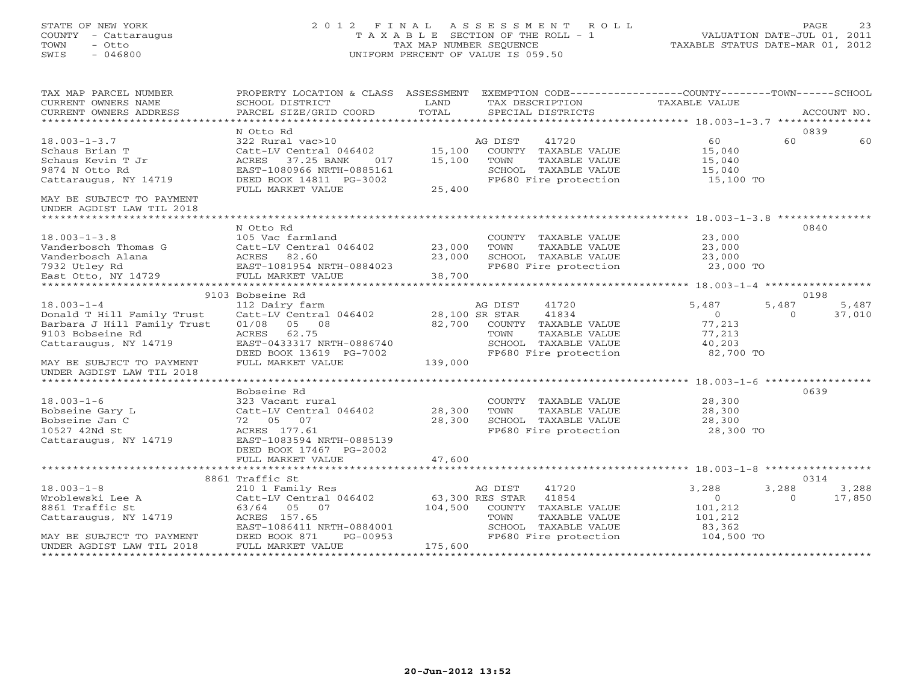# STATE OF NEW YORK 2 0 1 2 F I N A L A S S E S S M E N T R O L L PAGE 23 COUNTY - Cattaraugus T A X A B L E SECTION OF THE ROLL - 1 VALUATION DATE-JUL 01, 2011 TOWN - Otto TAX MAP NUMBER SEQUENCE TAXABLE STATUS DATE-MAR 01, 2012 SWIS - 046800 UNIFORM PERCENT OF VALUE IS 059.50UNIFORM PERCENT OF VALUE IS 059.50

| TAX MAP PARCEL NUMBER       | PROPERTY LOCATION & CLASS ASSESSMENT EXEMPTION CODE----------------COUNTY-------TOWN------SCHOOL |                 |                         |                |                    |
|-----------------------------|--------------------------------------------------------------------------------------------------|-----------------|-------------------------|----------------|--------------------|
| CURRENT OWNERS NAME         | SCHOOL DISTRICT                                                                                  | LAND            | TAX DESCRIPTION         | TAXABLE VALUE  |                    |
| CURRENT OWNERS ADDRESS      | PARCEL SIZE/GRID COORD                                                                           | TOTAL           | SPECIAL DISTRICTS       |                | ACCOUNT NO.        |
|                             |                                                                                                  |                 |                         |                |                    |
|                             | N Otto Rd                                                                                        |                 |                         |                | 0839               |
| $18.003 - 1 - 3.7$          | 322 Rural vac>10                                                                                 |                 | AG DIST<br>41720        | 60             | 60<br>60           |
| Schaus Brian T              | Catt-LV Central 046402                                                                           | 15,100          | COUNTY TAXABLE VALUE    | 15,040         |                    |
| Schaus Kevin T Jr           | ACRES 37.25 BANK<br>017                                                                          | 15,100          | TAXABLE VALUE<br>TOWN   | 15,040         |                    |
| 9874 N Otto Rd              | EAST-1080966 NRTH-0885161                                                                        |                 | SCHOOL TAXABLE VALUE    | 15,040         |                    |
| Cattaraugus, NY 14719       | DEED BOOK 14811 PG-3002                                                                          |                 | FP680 Fire protection   | 15,100 TO      |                    |
|                             | FULL MARKET VALUE                                                                                | 25,400          |                         |                |                    |
| MAY BE SUBJECT TO PAYMENT   |                                                                                                  |                 |                         |                |                    |
| UNDER AGDIST LAW TIL 2018   |                                                                                                  |                 |                         |                |                    |
|                             |                                                                                                  |                 |                         |                |                    |
|                             | N Otto Rd                                                                                        |                 |                         |                | 0840               |
| $18.003 - 1 - 3.8$          | 105 Vac farmland                                                                                 |                 | COUNTY TAXABLE VALUE    | 23,000         |                    |
| Vanderbosch Thomas G        | Catt-LV Central 046402                                                                           | 23,000          | TOWN<br>TAXABLE VALUE   | 23,000         |                    |
|                             |                                                                                                  |                 |                         |                |                    |
| Vanderbosch Alana           | ACRES 82.60                                                                                      | 23,000          | SCHOOL TAXABLE VALUE    | 23,000         |                    |
| 7932 Utley Rd               | EAST-1081954 NRTH-0884023                                                                        |                 | FP680 Fire protection   | 23,000 TO      |                    |
| East Otto, NY 14729         | FULL MARKET VALUE                                                                                | 38,700          |                         |                |                    |
|                             |                                                                                                  |                 |                         |                |                    |
|                             | 9103 Bobseine Rd                                                                                 |                 |                         |                | 0198               |
| $18.003 - 1 - 4$            | 112 Dairy farm                                                                                   |                 | 41720<br>AG DIST        | 5,487          | 5,487<br>5,487     |
| Donald T Hill Family Trust  | Catt-LV Central 046402                                                                           |                 | 41834<br>28,100 SR STAR | $\overline{0}$ | $\Omega$<br>37,010 |
| Barbara J Hill Family Trust | 01/08<br>05 08                                                                                   | 82,700          | COUNTY TAXABLE VALUE    | 77,213         |                    |
| 9103 Bobseine Rd            | ACRES 62.75                                                                                      |                 | TOWN<br>TAXABLE VALUE   | 77,213         |                    |
| Cattaraugus, NY 14719       | EAST-0433317 NRTH-0886740                                                                        |                 | SCHOOL TAXABLE VALUE    | 40,203         |                    |
|                             | DEED BOOK 13619 PG-7002                                                                          |                 | FP680 Fire protection   | 82,700 TO      |                    |
| MAY BE SUBJECT TO PAYMENT   | FULL MARKET VALUE                                                                                | 139,000         |                         |                |                    |
| UNDER AGDIST LAW TIL 2018   |                                                                                                  |                 |                         |                |                    |
|                             |                                                                                                  |                 |                         |                |                    |
|                             | Bobseine Rd                                                                                      |                 |                         |                | 0639               |
| $18.003 - 1 - 6$            | 323 Vacant rural                                                                                 |                 | COUNTY TAXABLE VALUE    | 28,300         |                    |
| Bobseine Gary L             | Catt-LV Central 046402                                                                           | 28,300          | TAXABLE VALUE<br>TOWN   | 28,300         |                    |
| Bobseine Jan C              | 72 05 07                                                                                         | 28,300          | SCHOOL TAXABLE VALUE    | 28,300         |                    |
|                             |                                                                                                  |                 |                         |                |                    |
| 10527 42Nd St               | ACRES 177.61                                                                                     |                 | FP680 Fire protection   | 28,300 TO      |                    |
| Cattaraugus, NY 14719       | EAST-1083594 NRTH-0885139                                                                        |                 |                         |                |                    |
|                             | DEED BOOK 17467 PG-2002                                                                          |                 |                         |                |                    |
|                             | FULL MARKET VALUE                                                                                | 47,600          |                         |                |                    |
|                             |                                                                                                  |                 |                         |                |                    |
|                             | 8861 Traffic St                                                                                  |                 |                         |                | 0314               |
| $18.003 - 1 - 8$            | 210 1 Family Res                                                                                 |                 | AG DIST<br>41720        | 3,288          | 3,288<br>3,288     |
| Wroblewski Lee A            | Catt-LV Central 046402                                                                           | 63,300 RES STAR | 41854                   | $\Omega$       | 17,850<br>$\Omega$ |
| 8861 Traffic St             | 63/64 05 07                                                                                      | 104,500         | COUNTY TAXABLE VALUE    | 101,212        |                    |
| Cattaraugus, NY 14719       | ACRES 157.65                                                                                     |                 | TOWN<br>TAXABLE VALUE   | 101,212        |                    |
|                             | EAST-1086411 NRTH-0884001                                                                        |                 | SCHOOL TAXABLE VALUE    | 83,362         |                    |
| MAY BE SUBJECT TO PAYMENT   | PG-00953<br>DEED BOOK 871                                                                        |                 | FP680 Fire protection   | 104,500 TO     |                    |
| UNDER AGDIST LAW TIL 2018   | FULL MARKET VALUE                                                                                | 175,600         |                         |                |                    |
|                             |                                                                                                  |                 |                         |                |                    |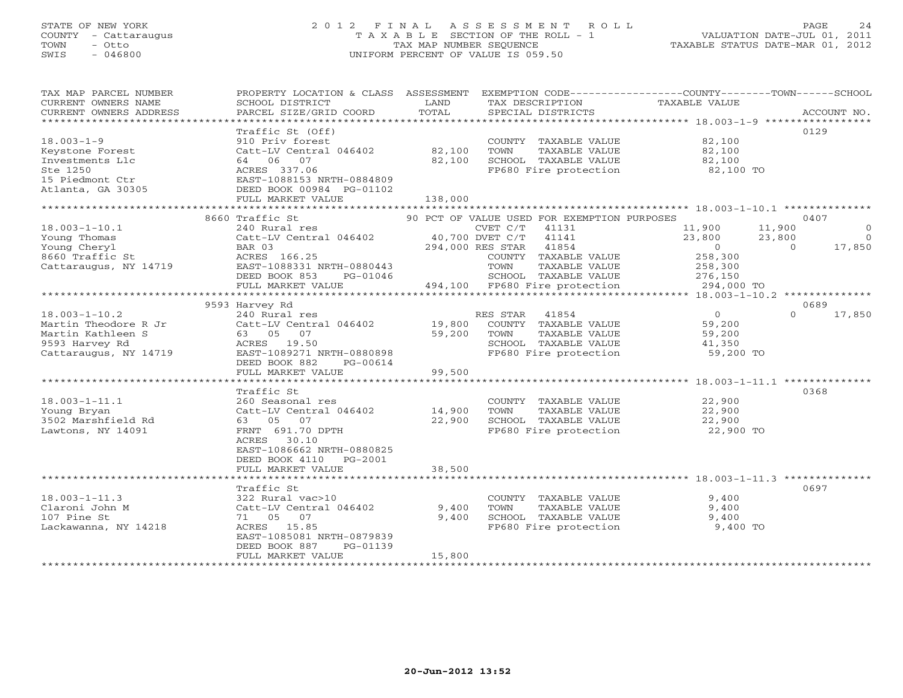# STATE OF NEW YORK 2 0 1 2 F I N A L A S S E S S M E N T R O L L PAGE 24 COUNTY - Cattaraugus T A X A B L E SECTION OF THE ROLL - 1 VALUATION DATE-JUL 01, 2011 TOWN - Otto TAX MAP NUMBER SEQUENCE TAXABLE STATUS DATE-MAR 01, 2012 SWIS - 046800 UNIFORM PERCENT OF VALUE IS 059.50UNIFORM PERCENT OF VALUE IS 059.50

| TAX MAP PARCEL NUMBER  | PROPERTY LOCATION & CLASS ASSESSMENT EXEMPTION CODE---------------COUNTY-------TOWN------SCHOOL |         |                                             |                       |          |             |
|------------------------|-------------------------------------------------------------------------------------------------|---------|---------------------------------------------|-----------------------|----------|-------------|
| CURRENT OWNERS NAME    | SCHOOL DISTRICT                                                                                 | LAND    | TAX DESCRIPTION                             | <b>TAXABLE VALUE</b>  |          |             |
| CURRENT OWNERS ADDRESS | PARCEL SIZE/GRID COORD                                                                          | TOTAL   | SPECIAL DISTRICTS                           |                       |          | ACCOUNT NO. |
|                        |                                                                                                 |         |                                             |                       |          |             |
|                        | Traffic St (Off)                                                                                |         |                                             |                       | 0129     |             |
| $18.003 - 1 - 9$       | 910 Priv forest                                                                                 |         | COUNTY TAXABLE VALUE                        | 82,100                |          |             |
| Keystone Forest        | Catt-LV Central 046402                                                                          | 82,100  | TOWN<br>TAXABLE VALUE                       | 82,100                |          |             |
| Investments Llc        | 64 06<br>07                                                                                     | 82,100  | SCHOOL TAXABLE VALUE                        | 82,100                |          |             |
| Ste 1250               | ACRES 337.06                                                                                    |         | FP680 Fire protection                       | 82,100 TO             |          |             |
| 15 Piedmont Ctr        | EAST-1088153 NRTH-0884809                                                                       |         |                                             |                       |          |             |
| Atlanta, GA 30305      | DEED BOOK 00984 PG-01102                                                                        |         |                                             |                       |          |             |
|                        | FULL MARKET VALUE                                                                               | 138,000 |                                             |                       |          |             |
|                        |                                                                                                 |         |                                             |                       |          |             |
|                        | 8660 Traffic St                                                                                 |         | 90 PCT OF VALUE USED FOR EXEMPTION PURPOSES |                       | 0407     |             |
| $18.003 - 1 - 10.1$    | 240 Rural res                                                                                   |         | $CVET C/T$ 41131                            | 11,900                | 11,900   | $\circ$     |
| Young Thomas           | Catt-LV Central 046402                                                                          |         | 40,700 DVET C/T<br>41141                    | 23,800                | 23,800   | $\bigcirc$  |
| Young Cheryl           | BAR 03                                                                                          |         | 294,000 RES STAR 41854                      | $\overline{0}$        | $\Omega$ | 17,850      |
| 8660 Traffic St        | ACRES 166.25                                                                                    |         | COUNTY TAXABLE VALUE                        | 258,300               |          |             |
| Cattaraugus, NY 14719  | EAST-1088331 NRTH-0880443                                                                       |         | TOWN<br>TAXABLE VALUE                       | 258,300               |          |             |
|                        | DEED BOOK 853<br>PG-01046                                                                       |         | SCHOOL TAXABLE VALUE                        | 276,150<br>294,000 TO |          |             |
|                        | FULL MARKET VALUE                                                                               |         | 494,100 FP680 Fire protection               |                       |          |             |
|                        |                                                                                                 |         |                                             |                       |          |             |
|                        | 9593 Harvey Rd                                                                                  |         |                                             |                       | 0689     |             |
| $18.003 - 1 - 10.2$    | 240 Rural res                                                                                   |         | RES STAR<br>41854                           | $\overline{0}$        | $\Omega$ | 17,850      |
| Martin Theodore R Jr   | Catt-LV Central 046402                                                                          | 19,800  | COUNTY TAXABLE VALUE                        | 59,200                |          |             |
| Martin Kathleen S      | 63 05 07                                                                                        | 59,200  | TOWN<br>TAXABLE VALUE                       | 59,200                |          |             |
| 9593 Harvey Rd         | ACRES 19.50                                                                                     |         | SCHOOL TAXABLE VALUE                        | 41,350                |          |             |
| Cattaraugus, NY 14719  | EAST-1089271 NRTH-0880898                                                                       |         | FP680 Fire protection                       | 59,200 TO             |          |             |
|                        | DEED BOOK 882<br>PG-00614<br>FULL MARKET VALUE                                                  | 99,500  |                                             |                       |          |             |
|                        |                                                                                                 |         |                                             |                       |          |             |
|                        | Traffic St                                                                                      |         |                                             |                       | 0368     |             |
| $18.003 - 1 - 11.1$    | 260 Seasonal res                                                                                |         | COUNTY TAXABLE VALUE                        | 22,900                |          |             |
| Young Bryan            | Catt-LV Central 046402                                                                          | 14,900  | TOWN<br>TAXABLE VALUE                       | 22,900                |          |             |
| 3502 Marshfield Rd     | 63 05 07                                                                                        | 22,900  | SCHOOL TAXABLE VALUE                        | 22,900                |          |             |
| Lawtons, NY 14091      | FRNT 691.70 DPTH                                                                                |         | FP680 Fire protection                       | 22,900 TO             |          |             |
|                        | 30.10<br>ACRES                                                                                  |         |                                             |                       |          |             |
|                        | EAST-1086662 NRTH-0880825                                                                       |         |                                             |                       |          |             |
|                        | DEED BOOK 4110<br>PG-2001                                                                       |         |                                             |                       |          |             |
|                        | FULL MARKET VALUE                                                                               | 38,500  |                                             |                       |          |             |
|                        |                                                                                                 |         |                                             |                       |          |             |
|                        | Traffic St                                                                                      |         |                                             |                       | 0697     |             |
| $18.003 - 1 - 11.3$    | 322 Rural vac>10                                                                                |         | COUNTY TAXABLE VALUE                        | 9,400                 |          |             |
| Claroni John M         | Catt-LV Central 046402                                                                          | 9,400   | TAXABLE VALUE<br>TOWN                       | 9,400                 |          |             |
| 107 Pine St            | 71 05 07                                                                                        | 9,400   | SCHOOL TAXABLE VALUE                        | 9,400                 |          |             |
| Lackawanna, NY 14218   | ACRES 15.85                                                                                     |         | FP680 Fire protection                       | 9,400 TO              |          |             |
|                        | EAST-1085081 NRTH-0879839                                                                       |         |                                             |                       |          |             |
|                        | DEED BOOK 887<br>PG-01139                                                                       |         |                                             |                       |          |             |
|                        | FULL MARKET VALUE                                                                               | 15,800  |                                             |                       |          |             |
|                        |                                                                                                 |         |                                             |                       |          |             |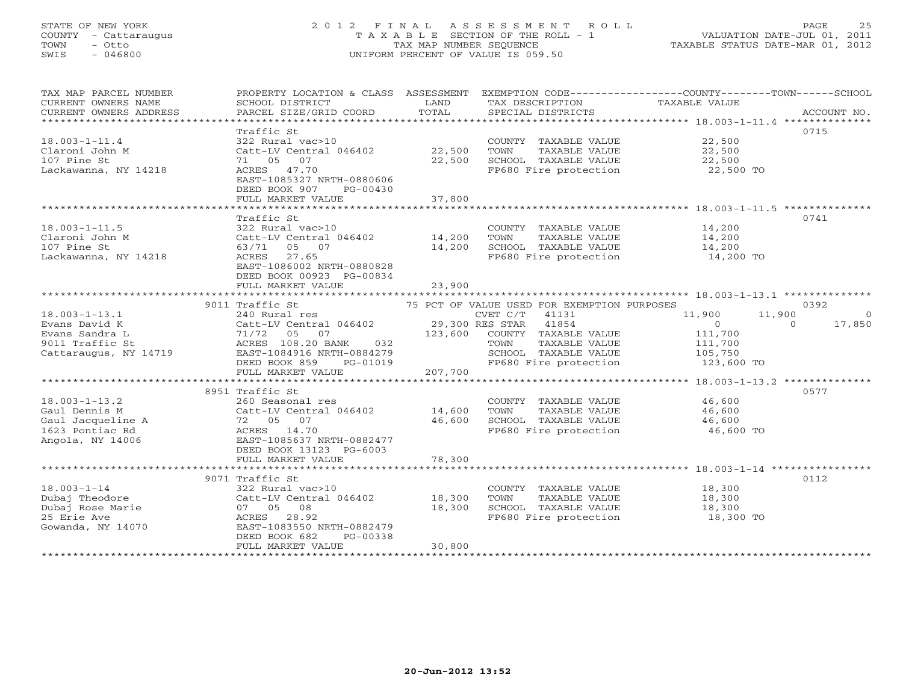# STATE OF NEW YORK 2 0 1 2 F I N A L A S S E S S M E N T R O L L PAGE 25 COUNTY - Cattaraugus T A X A B L E SECTION OF THE ROLL - 1 VALUATION DATE-JUL 01, 2011 TOWN - Otto TAX MAP NUMBER SEQUENCE TAX TAXABLE STATUS DATE-MAR 01, 2012<br>
SWIS - 046800<br>
TRIFORM PERCENT OF VALUE IS 059.50 SWIS - 046800 UNIFORM PERCENT OF VALUE IS 059.50

| TAX MAP PARCEL NUMBER<br>CURRENT OWNERS NAME   | PROPERTY LOCATION & CLASS ASSESSMENT EXEMPTION CODE---------------COUNTY-------TOWN------SCHOOL<br>SCHOOL DISTRICT | LAND             | TAX DESCRIPTION                                                       | TAXABLE VALUE              |                    |
|------------------------------------------------|--------------------------------------------------------------------------------------------------------------------|------------------|-----------------------------------------------------------------------|----------------------------|--------------------|
| CURRENT OWNERS ADDRESS                         | PARCEL SIZE/GRID COORD                                                                                             | TOTAL            | SPECIAL DISTRICTS                                                     |                            | ACCOUNT NO.        |
|                                                |                                                                                                                    |                  |                                                                       |                            |                    |
| 18.003-1-11.4<br>Claroni John M<br>107 Pine St | Traffic St<br>322 Rural vac>10<br>Catt-LV Central 046402<br>71 05 07                                               | 22,500<br>22,500 | COUNTY TAXABLE VALUE<br>TOWN<br>TAXABLE VALUE<br>SCHOOL TAXABLE VALUE | 22,500<br>22,500<br>22,500 | 0715               |
| Lackawanna, NY 14218                           | ACRES 47.70<br>EAST-1085327 NRTH-0880606<br>DEED BOOK 907<br>PG-00430<br>FULL MARKET VALUE                         | 37,800           | FP680 Fire protection                                                 | 22,500 TO                  |                    |
|                                                |                                                                                                                    |                  |                                                                       |                            |                    |
|                                                | Traffic St                                                                                                         |                  |                                                                       |                            | 0741               |
| 18.003-1-11.5                                  | 322 Rural vac>10                                                                                                   |                  | COUNTY TAXABLE VALUE                                                  | 14,200                     |                    |
| Claroni John M                                 | Catt-LV Central 046402                                                                                             | 14,200           | TOWN<br>TAXABLE VALUE                                                 | 14,200                     |                    |
| 107 Pine St                                    | 63/71 05 07                                                                                                        | 14,200           | SCHOOL TAXABLE VALUE                                                  | 14,200                     |                    |
| Lackawanna, NY 14218                           | ACRES 27.65<br>EAST-1086002 NRTH-0880828<br>DEED BOOK 00923 PG-00834                                               |                  | FP680 Fire protection                                                 | 14,200 TO                  |                    |
|                                                | FULL MARKET VALUE                                                                                                  | 23,900           |                                                                       |                            |                    |
|                                                | 9011 Traffic St                                                                                                    |                  | 75 PCT OF VALUE USED FOR EXEMPTION PURPOSES                           |                            | 0392               |
| $18.003 - 1 - 13.1$                            | 240 Rural res                                                                                                      |                  | $CVET C/T$ 41131                                                      | 11,900                     | $\Omega$<br>11,900 |
| Evans David K                                  | Catt-LV Central 046402<br>71/72 05 07<br>ACRES 108.20 BANK 032                                                     |                  | 29,300 RES STAR 41854                                                 | $\overline{O}$             | $\Omega$<br>17,850 |
| Evans Sandra L                                 |                                                                                                                    | 123,600          | COUNTY TAXABLE VALUE                                                  | 111,700                    |                    |
| 9011 Traffic St                                | 032                                                                                                                |                  | TAXABLE VALUE<br>TOWN                                                 | 111,700                    |                    |
| Cattaraugus, NY 14719                          | EAST-1084916 NRTH-0884279                                                                                          |                  | SCHOOL TAXABLE VALUE                                                  | 105,750                    |                    |
|                                                | DEED BOOK 859                                                                                                      | PG-01019         | FP680 Fire protection                                                 | 123,600 TO                 |                    |
|                                                | FULL MARKET VALUE                                                                                                  | 207,700          |                                                                       |                            |                    |
|                                                | 8951 Traffic St                                                                                                    |                  |                                                                       |                            | 0577               |
| $18.003 - 1 - 13.2$                            | 260 Seasonal res                                                                                                   |                  | COUNTY TAXABLE VALUE                                                  | 46,600                     |                    |
| Gaul Dennis M                                  | Catt-LV Central 046402                                                                                             | 14,600           | TAXABLE VALUE<br>TOWN                                                 | 46,600                     |                    |
| Gaul Jacqueline A                              | Catt-LV Centr<br>72    05    07                                                                                    | 46,600           | SCHOOL TAXABLE VALUE                                                  | 46,600                     |                    |
| 1623 Pontiac Rd                                | ACRES 14.70<br>EAST-1085637 NRTH-0882477                                                                           |                  | FP680 Fire protection                                                 | 46,600 TO                  |                    |
| Angola, NY 14006                               |                                                                                                                    |                  |                                                                       |                            |                    |
|                                                | DEED BOOK 13123 PG-6003                                                                                            |                  |                                                                       |                            |                    |
|                                                | FULL MARKET VALUE                                                                                                  | 78,300           |                                                                       |                            |                    |
|                                                | 9071 Traffic St                                                                                                    |                  |                                                                       |                            | 0112               |
| $18.003 - 1 - 14$                              | 322 Rural vac>10                                                                                                   |                  | COUNTY TAXABLE VALUE                                                  | 18,300                     |                    |
| Dubaj Theodore                                 | Catt-LV Central 046402                                                                                             | 18,300           | TOWN<br>TAXABLE VALUE                                                 | 18,300                     |                    |
| Dubaj Rose Marie                               | 07 05 08                                                                                                           | 18,300           | SCHOOL TAXABLE VALUE                                                  | 18,300                     |                    |
| 25 Erie Ave                                    | ACRES 28.92                                                                                                        |                  | FP680 Fire protection                                                 | 18,300 TO                  |                    |
| Gowanda, NY 14070                              | EAST-1083550 NRTH-0882479                                                                                          |                  |                                                                       |                            |                    |
|                                                | DEED BOOK 682<br>PG-00338                                                                                          |                  |                                                                       |                            |                    |
|                                                | FULL MARKET VALUE                                                                                                  | 30,800           |                                                                       |                            |                    |
|                                                |                                                                                                                    |                  |                                                                       |                            |                    |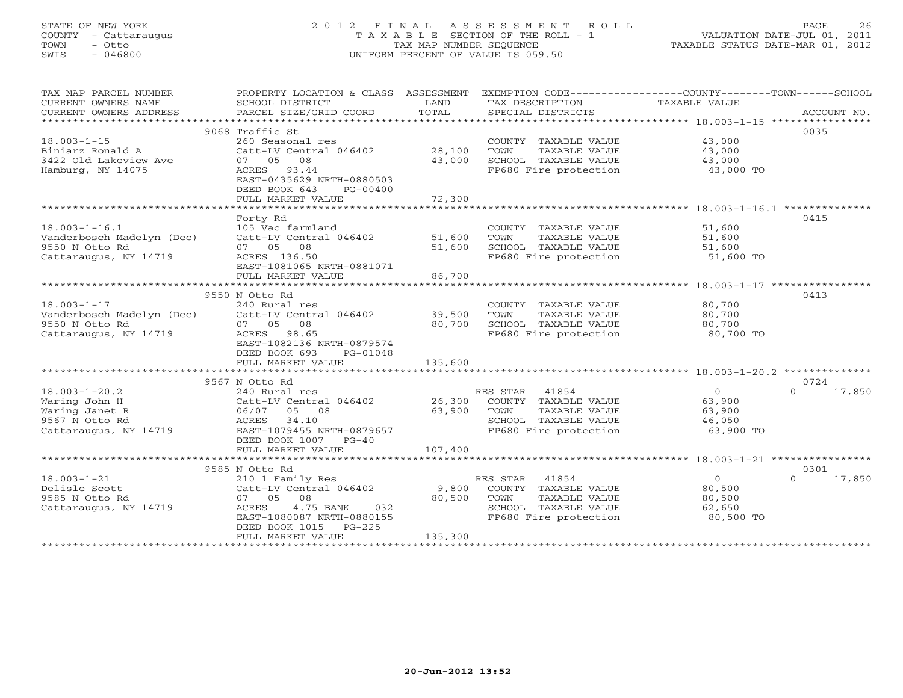# STATE OF NEW YORK 2 0 1 2 F I N A L A S S E S S M E N T R O L L PAGE 26 COUNTY - Cattaraugus T A X A B L E SECTION OF THE ROLL - 1 VALUATION DATE-JUL 01, 2011 TOWN - Otto TAX MAP NUMBER SEQUENCE TAXABLE STATUS DATE-MAR 01, 2012 SWIS - 046800 UNIFORM PERCENT OF VALUE IS 059.50UNIFORM PERCENT OF VALUE IS 059.50

| TAX MAP PARCEL NUMBER<br>CURRENT OWNERS NAME<br>CURRENT OWNERS ADDRESS | PROPERTY LOCATION & CLASS ASSESSMENT<br>SCHOOL DISTRICT<br>PARCEL SIZE/GRID COORD | LAND<br>TOTAL | EXEMPTION CODE-----------------COUNTY-------TOWN------SCHOOL<br>TAX DESCRIPTION<br>SPECIAL DISTRICTS | TAXABLE VALUE  | ACCOUNT NO.        |
|------------------------------------------------------------------------|-----------------------------------------------------------------------------------|---------------|------------------------------------------------------------------------------------------------------|----------------|--------------------|
|                                                                        |                                                                                   |               |                                                                                                      |                |                    |
|                                                                        | 9068 Traffic St                                                                   |               |                                                                                                      |                | 0035               |
| $18.003 - 1 - 15$                                                      | 260 Seasonal res                                                                  |               | COUNTY TAXABLE VALUE                                                                                 | 43,000         |                    |
| Biniarz Ronald A                                                       | Catt-LV Central 046402                                                            | 28,100        | TOWN<br>TAXABLE VALUE                                                                                | 43,000         |                    |
| 3422 Old Lakeview Ave                                                  | 07 05 08                                                                          | 43,000        | SCHOOL TAXABLE VALUE                                                                                 | 43,000         |                    |
| Hamburg, NY 14075                                                      | ACRES 93.44                                                                       |               | FP680 Fire protection                                                                                | 43,000 TO      |                    |
|                                                                        | EAST-0435629 NRTH-0880503                                                         |               |                                                                                                      |                |                    |
|                                                                        | DEED BOOK 643<br>PG-00400                                                         |               |                                                                                                      |                |                    |
|                                                                        | FULL MARKET VALUE                                                                 | 72,300        |                                                                                                      |                |                    |
|                                                                        |                                                                                   |               |                                                                                                      |                |                    |
|                                                                        | Forty Rd                                                                          |               |                                                                                                      |                | 0415               |
| $18.003 - 1 - 16.1$                                                    | 105 Vac farmland                                                                  |               | COUNTY TAXABLE VALUE                                                                                 | 51,600         |                    |
| Vanderbosch Madelyn (Dec)                                              | Catt-LV Central 046402                                                            | 51,600        | TAXABLE VALUE<br>TOWN                                                                                | 51,600         |                    |
| 9550 N Otto Rd                                                         | 07 05 08                                                                          | 51,600        | SCHOOL TAXABLE VALUE                                                                                 | 51,600         |                    |
| Cattaraugus, NY 14719                                                  | ACRES 136.50                                                                      |               | FP680 Fire protection                                                                                | 51,600 TO      |                    |
|                                                                        | EAST-1081065 NRTH-0881071                                                         |               |                                                                                                      |                |                    |
|                                                                        | FULL MARKET VALUE                                                                 | 86,700        |                                                                                                      |                |                    |
|                                                                        |                                                                                   |               |                                                                                                      |                |                    |
|                                                                        | 9550 N Otto Rd                                                                    |               |                                                                                                      |                | 0413               |
| $18.003 - 1 - 17$                                                      | 240 Rural res                                                                     |               | COUNTY TAXABLE VALUE                                                                                 | 80,700         |                    |
| Vanderbosch Madelyn (Dec)                                              | Catt-LV Central 046402                                                            | 39,500        | TAXABLE VALUE<br>TOWN                                                                                | 80,700         |                    |
| 9550 N Otto Rd                                                         | 07 05<br>08                                                                       | 80,700        | SCHOOL TAXABLE VALUE                                                                                 | 80,700         |                    |
| Cattaraugus, NY 14719                                                  | ACRES<br>98.65                                                                    |               | FP680 Fire protection                                                                                | 80,700 TO      |                    |
|                                                                        | EAST-1082136 NRTH-0879574                                                         |               |                                                                                                      |                |                    |
|                                                                        | DEED BOOK 693<br>PG-01048                                                         |               |                                                                                                      |                |                    |
|                                                                        | FULL MARKET VALUE                                                                 | 135,600       |                                                                                                      |                |                    |
|                                                                        |                                                                                   |               |                                                                                                      |                |                    |
|                                                                        | 9567 N Otto Rd                                                                    |               |                                                                                                      |                | 0724               |
| $18.003 - 1 - 20.2$                                                    | 240 Rural res                                                                     |               | 41854<br>RES STAR                                                                                    | $\overline{O}$ | 17,850<br>$\Omega$ |
| Waring John H                                                          | Catt-LV Central 046402                                                            | 26,300        | COUNTY TAXABLE VALUE                                                                                 | 63,900         |                    |
| Waring Janet R                                                         | 06/07<br>05 08                                                                    | 63,900        | TAXABLE VALUE<br>TOWN                                                                                | 63,900         |                    |
| 9567 N Otto Rd                                                         | 34.10<br>ACRES                                                                    |               | SCHOOL TAXABLE VALUE                                                                                 | 46,050         |                    |
| Cattaraugus, NY 14719                                                  | EAST-1079455 NRTH-0879657                                                         |               | FP680 Fire protection                                                                                | 63,900 TO      |                    |
|                                                                        | DEED BOOK 1007 PG-40                                                              |               |                                                                                                      |                |                    |
|                                                                        | FULL MARKET VALUE                                                                 | 107,400       |                                                                                                      |                |                    |
|                                                                        |                                                                                   |               |                                                                                                      |                |                    |
|                                                                        | 9585 N Otto Rd                                                                    |               |                                                                                                      |                | 0301               |
| $18.003 - 1 - 21$                                                      | 210 1 Family Res                                                                  |               | 41854<br>RES STAR                                                                                    | $\overline{0}$ | 17,850<br>$\Omega$ |
| Delisle Scott                                                          | Catt-LV Central 046402                                                            | 9,800         | COUNTY TAXABLE VALUE                                                                                 | 80,500         |                    |
| 9585 N Otto Rd                                                         | 07 05<br>08                                                                       | 80,500        | TOWN<br>TAXABLE VALUE                                                                                | 80,500         |                    |
| Cattaraugus, NY 14719                                                  | ACRES<br>4.75 BANK<br>032                                                         |               | SCHOOL TAXABLE VALUE                                                                                 | 62,650         |                    |
|                                                                        | EAST-1080087 NRTH-0880155                                                         |               | FP680 Fire protection                                                                                | 80,500 TO      |                    |
|                                                                        | DEED BOOK 1015 PG-225                                                             |               |                                                                                                      |                |                    |
|                                                                        | FULL MARKET VALUE                                                                 | 135,300       |                                                                                                      |                |                    |
|                                                                        |                                                                                   |               |                                                                                                      |                |                    |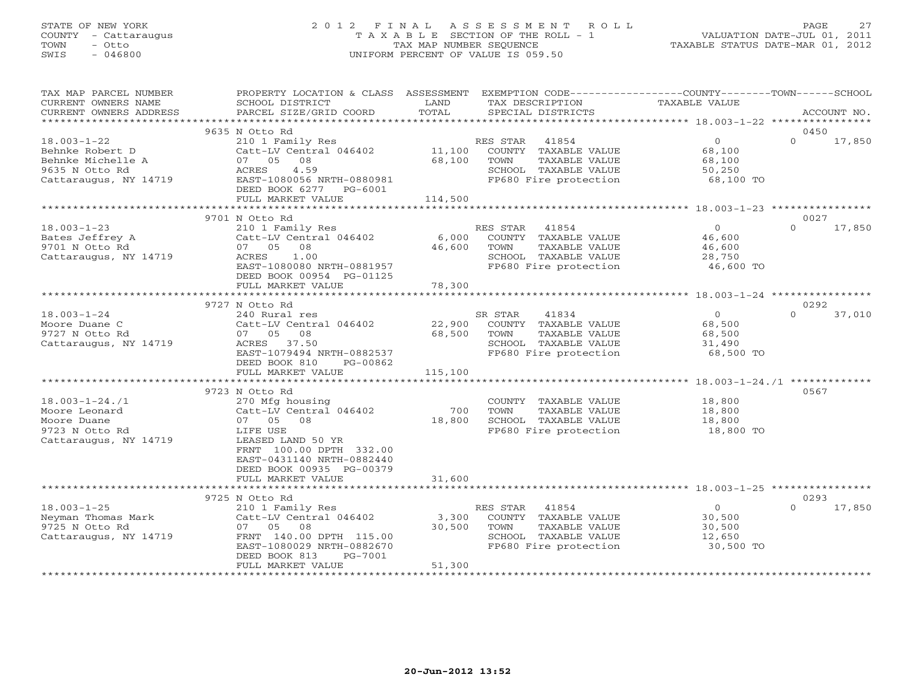# STATE OF NEW YORK 2 0 1 2 F I N A L A S S E S S M E N T R O L L PAGE 27 COUNTY - Cattaraugus T A X A B L E SECTION OF THE ROLL - 1 VALUATION DATE-JUL 01, 2011 TOWN - Otto TAX MAP NUMBER SEQUENCE TAXABLE STATUS DATE-MAR 01, 2012 SWIS - 046800 UNIFORM PERCENT OF VALUE IS 059.50UNIFORM PERCENT OF VALUE IS 059.50

| TAX MAP PARCEL NUMBER<br>CURRENT OWNERS NAME                                                         | PROPERTY LOCATION & CLASS ASSESSMENT<br>SCHOOL DISTRICT                                                                                                                                      | LAND                      | EXEMPTION CODE----------------COUNTY-------TOWN-----SCHOOL<br>TAX DESCRIPTION                                       | TAXABLE VALUE                                             |          |             |
|------------------------------------------------------------------------------------------------------|----------------------------------------------------------------------------------------------------------------------------------------------------------------------------------------------|---------------------------|---------------------------------------------------------------------------------------------------------------------|-----------------------------------------------------------|----------|-------------|
| CURRENT OWNERS ADDRESS<br>*************************                                                  | PARCEL SIZE/GRID COORD                                                                                                                                                                       | TOTAL                     | SPECIAL DISTRICTS                                                                                                   |                                                           |          | ACCOUNT NO. |
|                                                                                                      | 9635 N Otto Rd                                                                                                                                                                               |                           |                                                                                                                     |                                                           | 0450     |             |
| $18.003 - 1 - 22$<br>Behnke Robert D<br>Behnke Michelle A<br>9635 N Otto Rd<br>Cattaraugus, NY 14719 | 210 1 Family Res<br>Catt-LV Central 046402<br>07 05 08<br>4.59<br>ACRES<br>EAST-1080056 NRTH-0880981<br>DEED BOOK 6277 PG-6001                                                               | 11,100<br>68,100          | RES STAR<br>41854<br>COUNTY TAXABLE VALUE<br>TAXABLE VALUE<br>TOWN<br>SCHOOL TAXABLE VALUE<br>FP680 Fire protection | $\overline{O}$<br>68,100<br>68,100<br>50,250<br>68,100 TO | $\Omega$ | 17,850      |
|                                                                                                      | FULL MARKET VALUE                                                                                                                                                                            | 114,500                   |                                                                                                                     |                                                           |          |             |
|                                                                                                      | 9701 N Otto Rd                                                                                                                                                                               |                           |                                                                                                                     |                                                           | 0027     |             |
| $18.003 - 1 - 23$<br>Bates Jeffrey A<br>9701 N Otto Rd<br>Cattaraugus, NY 14719                      | 210 1 Family Res<br>Catt-LV Central 046402<br>07 05<br>08<br>1.00<br>ACRES<br>EAST-1080080 NRTH-0881957<br>DEED BOOK 00954 PG-01125<br>FULL MARKET VALUE                                     | 6,000<br>46,600<br>78,300 | RES STAR 41854<br>COUNTY TAXABLE VALUE<br>TOWN<br>TAXABLE VALUE<br>SCHOOL TAXABLE VALUE<br>FP680 Fire protection    | $\Omega$<br>46,600<br>46,600<br>28,750<br>46,600 TO       | $\Omega$ | 17,850      |
|                                                                                                      |                                                                                                                                                                                              |                           |                                                                                                                     |                                                           |          |             |
|                                                                                                      | 9727 N Otto Rd                                                                                                                                                                               |                           |                                                                                                                     |                                                           | 0292     |             |
| $18.003 - 1 - 24$<br>Moore Duane C<br>9727 N Otto Rd<br>Cattaraugus, NY 14719                        | 240 Rural res<br>Catt-LV Central 046402<br>07 05 08<br>ACRES 37.50<br>EAST-1079494 NRTH-0882537<br>DEED BOOK 810<br>PG-00862                                                                 | 22,900<br>68,500          | SR STAR<br>41834<br>COUNTY TAXABLE VALUE<br>TOWN<br>TAXABLE VALUE<br>SCHOOL TAXABLE VALUE<br>FP680 Fire protection  | $\overline{0}$<br>68,500<br>68,500<br>31,490<br>68,500 TO | $\Omega$ | 37,010      |
|                                                                                                      | FULL MARKET VALUE                                                                                                                                                                            | 115,100                   |                                                                                                                     |                                                           |          |             |
|                                                                                                      |                                                                                                                                                                                              |                           |                                                                                                                     |                                                           |          |             |
| $18.003 - 1 - 24.71$<br>Moore Leonard<br>Moore Duane<br>9723 N Otto Rd<br>Cattaraugus, NY 14719      | 9723 N Otto Rd<br>270 Mfg housing<br>Catt-LV Central 046402<br>07 05 08<br>LIFE USE<br>LEASED LAND 50 YR<br>FRNT 100.00 DPTH 332.00<br>EAST-0431140 NRTH-0882440<br>DEED BOOK 00935 PG-00379 | 700<br>18,800             | COUNTY TAXABLE VALUE<br>TOWN<br>TAXABLE VALUE<br>SCHOOL TAXABLE VALUE<br>FP680 Fire protection                      | 18,800<br>18,800<br>18,800<br>18,800 TO                   | 0567     |             |
|                                                                                                      | FULL MARKET VALUE                                                                                                                                                                            | 31,600                    |                                                                                                                     |                                                           |          |             |
|                                                                                                      |                                                                                                                                                                                              |                           |                                                                                                                     |                                                           |          |             |
|                                                                                                      | 9725 N Otto Rd                                                                                                                                                                               |                           |                                                                                                                     |                                                           | 0293     |             |
| $18.003 - 1 - 25$<br>Neyman Thomas Mark<br>9725 N Otto Rd<br>Cattaraugus, NY 14719                   | 210 1 Family Res<br>Catt-LV Central 046402<br>07 05<br>08<br>FRNT 140.00 DPTH 115.00<br>EAST-1080029 NRTH-0882670<br>DEED BOOK 813<br>PG-7001<br>FULL MARKET VALUE                           | 3,300<br>30,500<br>51,300 | RES STAR<br>41854<br>COUNTY TAXABLE VALUE<br>TAXABLE VALUE<br>TOWN<br>SCHOOL TAXABLE VALUE<br>FP680 Fire protection | $\overline{0}$<br>30,500<br>30,500<br>12,650<br>30,500 TO | $\Omega$ | 17,850      |
|                                                                                                      |                                                                                                                                                                                              |                           |                                                                                                                     |                                                           |          |             |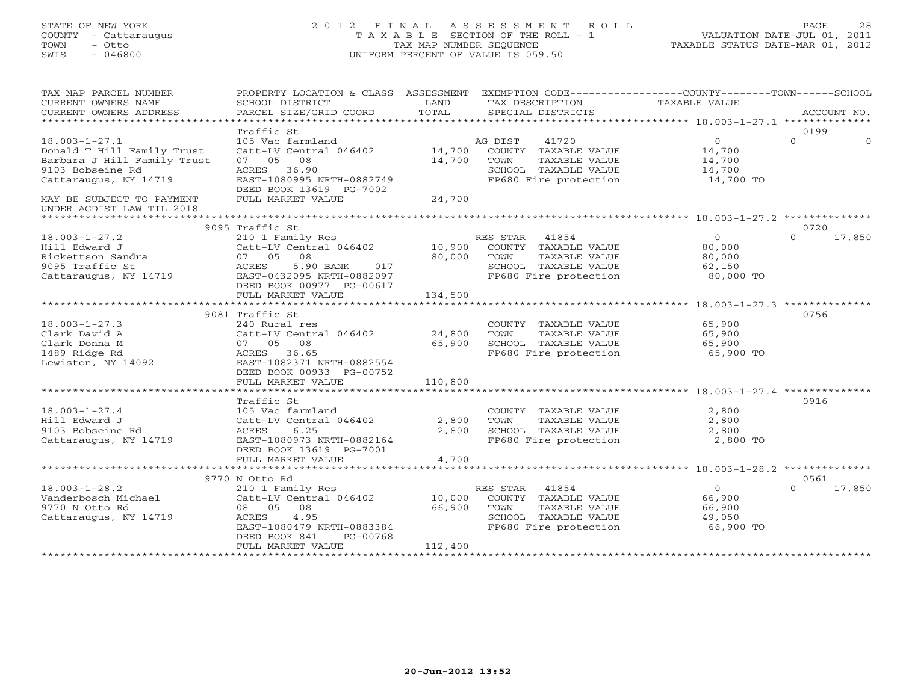# STATE OF NEW YORK 2 0 1 2 F I N A L A S S E S S M E N T R O L L PAGE 28 COUNTY - Cattaraugus T A X A B L E SECTION OF THE ROLL - 1 VALUATION DATE-JUL 01, 2011 TOWN - Otto TAX MAP NUMBER SEQUENCE TAXABLE STATUS DATE-MAR 01, 2012 SWIS - 046800 UNIFORM PERCENT OF VALUE IS 059.50UNIFORM PERCENT OF VALUE IS 059.50

| TAX MAP PARCEL NUMBER<br>CURRENT OWNERS NAME<br>CURRENT OWNERS ADDRESS   | PROPERTY LOCATION & CLASS ASSESSMENT<br>SCHOOL DISTRICT<br>PARCEL SIZE/GRID COORD | LAND<br>TOTAL | EXEMPTION CODE-----------------COUNTY-------TOWN-----SCHOOL<br>TAX DESCRIPTION TAXABLE VALUE<br>SPECIAL DISTRICTS |                               | ACCOUNT NO.                  |
|--------------------------------------------------------------------------|-----------------------------------------------------------------------------------|---------------|-------------------------------------------------------------------------------------------------------------------|-------------------------------|------------------------------|
| $18.003 - 1 - 27.1$<br>Donald T Hill Family Trust                        | Traffic St<br>105 Vac farmland<br>Catt-LV Central 046402                          | 14,700        | AG DIST<br>41720<br>COUNTY TAXABLE VALUE                                                                          | $\Omega$<br>14,700            | 0199<br>$\Omega$<br>$\Omega$ |
| Barbara J Hill Family Trust<br>9103 Bobseine Rd<br>Cattaraugus, NY 14719 | 07 05 08<br>ACRES 36.90<br>EAST-1080995 NRTH-0882749<br>DEED BOOK 13619 PG-7002   | 14,700        | TOWN<br>TAXABLE VALUE<br>SCHOOL TAXABLE VALUE<br>FP680 Fire protection                                            | 14,700<br>14,700<br>14,700 TO |                              |
| MAY BE SUBJECT TO PAYMENT<br>UNDER AGDIST LAW TIL 2018                   | FULL MARKET VALUE                                                                 | 24,700        |                                                                                                                   |                               |                              |
|                                                                          | 9095 Traffic St                                                                   |               |                                                                                                                   |                               | 0720                         |
| $18.003 - 1 - 27.2$                                                      |                                                                                   |               |                                                                                                                   | $0 \qquad$                    | $\Omega$<br>17,850           |
| Hill Edward J                                                            | 210 1 Family Res<br>Catt-LV Central 046402 10,900 COUNTY TAXABLE VALUE            |               |                                                                                                                   | 80,000                        |                              |
| Rickettson Sandra                                                        | 07 05 08                                                                          | 80,000        | TAXABLE VALUE<br>TOWN                                                                                             | 80,000                        |                              |
| 9095 Traffic St                                                          | ACRES<br>5.90 BANK<br>017                                                         |               | SCHOOL TAXABLE VALUE                                                                                              | 62,150                        |                              |
| Cattaraugus, NY 14719                                                    | EAST-0432095 NRTH-0882097                                                         |               | FP680 Fire protection                                                                                             | 80,000 TO                     |                              |
|                                                                          | DEED BOOK 00977 PG-00617                                                          |               |                                                                                                                   |                               |                              |
|                                                                          | FULL MARKET VALUE                                                                 | 134,500       |                                                                                                                   |                               |                              |
|                                                                          |                                                                                   |               |                                                                                                                   |                               |                              |
|                                                                          | 9081 Traffic St                                                                   |               |                                                                                                                   |                               | 0756                         |
| $18.003 - 1 - 27.3$                                                      | 240 Rural res                                                                     |               | COUNTY TAXABLE VALUE                                                                                              | 65,900                        |                              |
| Clark David A                                                            | Catt-LV Central 046402                                                            | 24,800        | TAXABLE VALUE<br>TOWN                                                                                             | 65,900                        |                              |
| Clark Donna M                                                            | 07 05 08                                                                          | 65,900        | SCHOOL TAXABLE VALUE                                                                                              | 65,900                        |                              |
| 1489 Ridge Rd                                                            | ACRES 36.65                                                                       |               | FP680 Fire protection                                                                                             | 65,900 TO                     |                              |
| Lewiston, NY 14092                                                       | EAST-1082371 NRTH-0882554                                                         |               |                                                                                                                   |                               |                              |
|                                                                          | DEED BOOK 00933 PG-00752                                                          |               |                                                                                                                   |                               |                              |
|                                                                          | FULL MARKET VALUE                                                                 | 110,800       |                                                                                                                   |                               |                              |
|                                                                          |                                                                                   |               |                                                                                                                   |                               |                              |
|                                                                          | Traffic St                                                                        |               |                                                                                                                   |                               | 0916                         |
| $18.003 - 1 - 27.4$                                                      | 105 Vac farmland                                                                  |               | COUNTY TAXABLE VALUE                                                                                              | 2,800                         |                              |
| Hill Edward J                                                            | Catt-LV Central 046402                                                            | 2,800         |                                                                                                                   | 2,800                         |                              |
| 9103 Bobseine Rd                                                         | 6.25<br>ACRES                                                                     | 2,800         |                                                                                                                   | 2,800                         |                              |
| Cattaraugus, NY 14719                                                    | EAST-1080973 NRTH-0882164                                                         |               | TOWN TAAADDD<br>SCHOOL TAXABLE VALUE                                                                              | 2,800 TO                      |                              |
|                                                                          | DEED BOOK 13619 PG-7001                                                           |               |                                                                                                                   |                               |                              |
|                                                                          | FULL MARKET VALUE                                                                 | 4,700         |                                                                                                                   |                               |                              |
|                                                                          |                                                                                   |               |                                                                                                                   |                               |                              |
|                                                                          | 9770 N Otto Rd                                                                    |               |                                                                                                                   |                               | 0561                         |
| $18.003 - 1 - 28.2$                                                      | 210 1 Family Res                                                                  |               | RES STAR 41854                                                                                                    | $\circ$                       | $\Omega$<br>17,850           |
| Vanderbosch Michael                                                      | Catt-LV Central 046402                                                            | 10,000        | COUNTY TAXABLE VALUE                                                                                              | 66,900                        |                              |
| 9770 N Otto Rd                                                           | 08 05 08                                                                          | 66,900        | TOWN<br>TAXABLE VALUE                                                                                             | 66,900                        |                              |
| Cattaraugus, NY 14719                                                    | 4.95<br>ACRES                                                                     |               | SCHOOL TAXABLE VALUE                                                                                              | 49,050                        |                              |
|                                                                          | EAST-1080479 NRTH-0883384                                                         |               | FP680 Fire protection                                                                                             | 66,900 TO                     |                              |
|                                                                          | DEED BOOK 841<br>PG-00768                                                         |               |                                                                                                                   |                               |                              |
|                                                                          | FULL MARKET VALUE                                                                 | 112,400       |                                                                                                                   |                               |                              |
| ************************                                                 |                                                                                   |               |                                                                                                                   |                               |                              |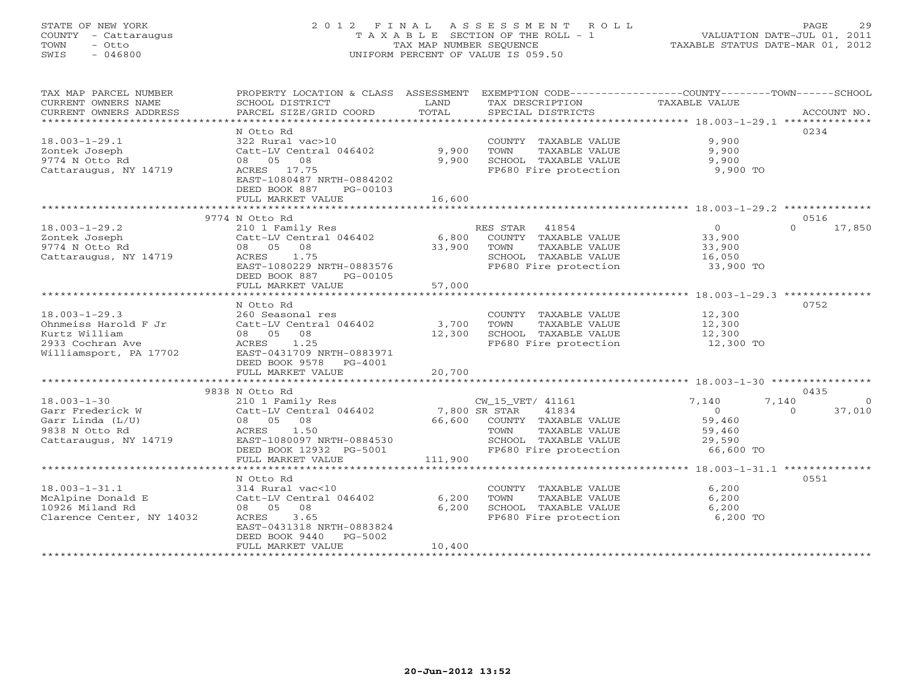# STATE OF NEW YORK 2 0 1 2 F I N A L A S S E S S M E N T R O L L PAGE 29 COUNTY - Cattaraugus T A X A B L E SECTION OF THE ROLL - 1 VALUATION DATE-JUL 01, 2011 TOWN - Otto TAX MAP NUMBER SEQUENCE TAXABLE STATUS DATE-MAR 01, 2012 SWIS - 046800 UNIFORM PERCENT OF VALUE IS 059.50UNIFORM PERCENT OF VALUE IS 059.50

| TAX MAP PARCEL NUMBER<br>CURRENT OWNERS NAME<br>CURRENT OWNERS ADDRESS | PROPERTY LOCATION & CLASS ASSESSMENT<br>SCHOOL DISTRICT<br>PARCEL SIZE/GRID COORD | LAND<br>TOTAL | EXEMPTION CODE-----------------COUNTY-------TOWN------SCHOOL<br>TAX DESCRIPTION<br>SPECIAL DISTRICTS | TAXABLE VALUE  | ACCOUNT NO.        |
|------------------------------------------------------------------------|-----------------------------------------------------------------------------------|---------------|------------------------------------------------------------------------------------------------------|----------------|--------------------|
|                                                                        |                                                                                   |               |                                                                                                      |                |                    |
|                                                                        | N Otto Rd                                                                         |               |                                                                                                      |                | 0234               |
| $18.003 - 1 - 29.1$                                                    | 322 Rural vac>10                                                                  |               | COUNTY TAXABLE VALUE                                                                                 | 9,900          |                    |
| Zontek Joseph                                                          | Catt-LV Central 046402                                                            | 9,900         | TAXABLE VALUE<br>TOWN                                                                                | 9,900          |                    |
| 9774 N Otto Rd                                                         | 08 05 08                                                                          | 9,900         | SCHOOL TAXABLE VALUE                                                                                 | 9,900          |                    |
| Cattaraugus, NY 14719                                                  | ACRES 17.75                                                                       |               | FP680 Fire protection                                                                                | 9,900 TO       |                    |
|                                                                        | EAST-1080487 NRTH-0884202                                                         |               |                                                                                                      |                |                    |
|                                                                        | DEED BOOK 887<br>PG-00103                                                         |               |                                                                                                      |                |                    |
|                                                                        | FULL MARKET VALUE                                                                 | 16,600        |                                                                                                      |                |                    |
|                                                                        |                                                                                   |               |                                                                                                      |                |                    |
|                                                                        | 9774 N Otto Rd                                                                    |               |                                                                                                      |                | 0516               |
| $18.003 - 1 - 29.2$                                                    | 210 1 Family Res                                                                  |               | RES STAR 41854                                                                                       | $\Omega$       | $\Omega$<br>17,850 |
| Zontek Joseph                                                          | Catt-LV Central 046402                                                            | 6,800         | COUNTY TAXABLE VALUE                                                                                 | 33,900         |                    |
| 9774 N Otto Rd                                                         | 08 05 08                                                                          | 33,900        | TOWN<br>TAXABLE VALUE                                                                                | 33,900         |                    |
|                                                                        | 1.75                                                                              |               |                                                                                                      |                |                    |
| Cattaraugus, NY 14719                                                  | ACRES                                                                             |               | SCHOOL TAXABLE VALUE                                                                                 | 16,050         |                    |
|                                                                        | EAST-1080229 NRTH-0883576                                                         |               | FP680 Fire protection                                                                                | 33,900 TO      |                    |
|                                                                        | DEED BOOK 887<br>PG-00105                                                         |               |                                                                                                      |                |                    |
|                                                                        | FULL MARKET VALUE                                                                 | 57,000        |                                                                                                      |                |                    |
|                                                                        |                                                                                   |               |                                                                                                      |                |                    |
|                                                                        | N Otto Rd                                                                         |               |                                                                                                      |                | 0752               |
| $18.003 - 1 - 29.3$                                                    | 260 Seasonal res                                                                  |               | COUNTY TAXABLE VALUE                                                                                 | 12,300         |                    |
| Ohnmeiss Harold F Jr                                                   | Catt-LV Central 046402                                                            | 3,700         | TOWN<br>TAXABLE VALUE                                                                                | 12,300         |                    |
| Kurtz William                                                          | 08 05<br>08                                                                       | 12,300        | SCHOOL TAXABLE VALUE                                                                                 | 12,300         |                    |
| 2933 Cochran Ave                                                       | ACRES<br>1.25                                                                     |               | FP680 Fire protection                                                                                | 12,300 TO      |                    |
| Williamsport, PA 17702                                                 | EAST-0431709 NRTH-0883971                                                         |               |                                                                                                      |                |                    |
|                                                                        | DEED BOOK 9578 PG-4001                                                            |               |                                                                                                      |                |                    |
|                                                                        | FULL MARKET VALUE                                                                 | 20,700        |                                                                                                      |                |                    |
|                                                                        |                                                                                   |               |                                                                                                      |                |                    |
|                                                                        | 9838 N Otto Rd                                                                    |               |                                                                                                      |                | 0435               |
| $18.003 - 1 - 30$                                                      | 210 1 Family Res                                                                  |               | CW_15_VET/ 41161                                                                                     | 7,140<br>7,140 | $\Omega$           |
| Garr Frederick W                                                       | Catt-LV Central 046402                                                            | 7,800 SR STAR | 41834                                                                                                | $\overline{O}$ | $\Omega$<br>37,010 |
| Garr Linda (L/U)                                                       | 08 05 08                                                                          | 66,600        | COUNTY TAXABLE VALUE                                                                                 | 59,460         |                    |
| 9838 N Otto Rd                                                         | 1.50<br>ACRES                                                                     |               | TAXABLE VALUE<br>TOWN                                                                                | 59,460         |                    |
| Cattaraugus, NY 14719                                                  | EAST-1080097 NRTH-0884530                                                         |               | SCHOOL TAXABLE VALUE                                                                                 | 29,590         |                    |
|                                                                        | DEED BOOK 12932 PG-5001                                                           |               | FP680 Fire protection                                                                                | 66,600 TO      |                    |
|                                                                        | FULL MARKET VALUE                                                                 | 111,900       |                                                                                                      |                |                    |
|                                                                        |                                                                                   |               |                                                                                                      |                |                    |
|                                                                        | N Otto Rd                                                                         |               |                                                                                                      |                | 0551               |
| $18.003 - 1 - 31.1$                                                    | 314 Rural vac<10                                                                  |               | COUNTY TAXABLE VALUE                                                                                 | 6,200          |                    |
| McAlpine Donald E                                                      | Catt-LV Central 046402                                                            | 6,200         | TOWN<br>TAXABLE VALUE                                                                                | 6,200          |                    |
| 10926 Miland Rd                                                        | 08 05<br>08                                                                       | 6,200         | SCHOOL TAXABLE VALUE                                                                                 | 6,200          |                    |
| Clarence Center, NY 14032                                              | 3.65<br><b>ACRES</b>                                                              |               | FP680 Fire protection                                                                                | 6,200 TO       |                    |
|                                                                        | EAST-0431318 NRTH-0883824                                                         |               |                                                                                                      |                |                    |
|                                                                        | DEED BOOK 9440<br>PG-5002                                                         |               |                                                                                                      |                |                    |
|                                                                        | FULL MARKET VALUE                                                                 | 10,400        |                                                                                                      |                |                    |
|                                                                        | ************************                                                          |               |                                                                                                      |                |                    |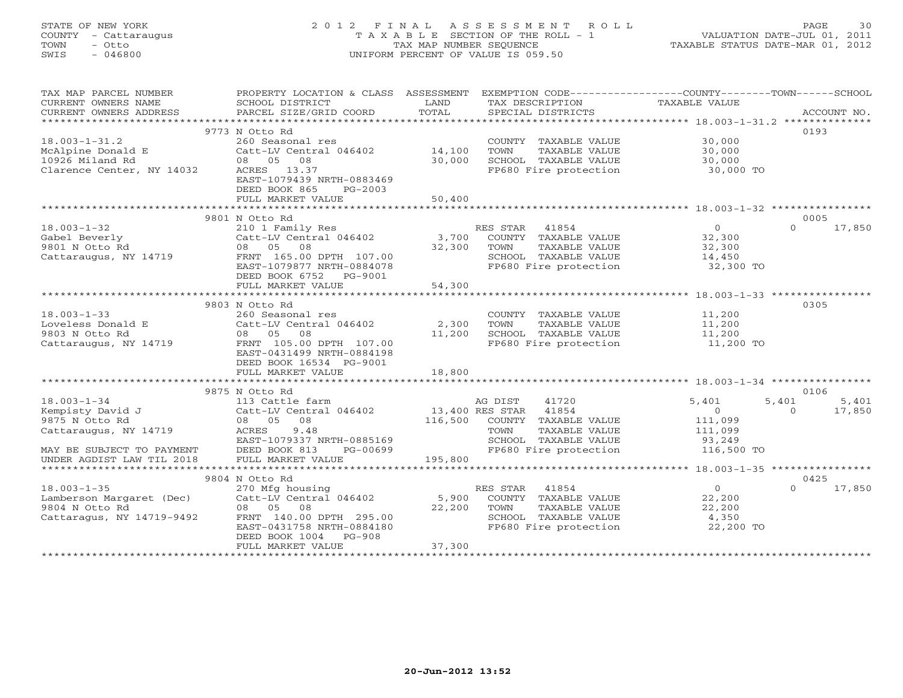# STATE OF NEW YORK 2 0 1 2 F I N A L A S S E S S M E N T R O L L PAGE 30 COUNTY - Cattaraugus T A X A B L E SECTION OF THE ROLL - 1 VALUATION DATE-JUL 01, 2011 TOWN - Otto TAX MAP NUMBER SEQUENCE TAXABLE STATUS DATE-MAR 01, 2012 SWIS - 046800 UNIFORM PERCENT OF VALUE IS 059.50UNIFORM PERCENT OF VALUE IS 059.50

| CURRENT OWNERS NAME<br>TAXABLE VALUE<br>SCHOOL DISTRICT<br>LAND<br>TAX DESCRIPTION<br>SCHOOL DISIRICI<br>PARCEL SIZE/GRID COORD<br>9773 N Otto Rd<br>0193<br>$18.003 - 1 - 31.2$<br>COUNTY TAXABLE VALUE 30,000<br>260 Seasonal res<br>Catt-LV Central 046402 14,100<br>TOWN<br>TAXABLE VALUE<br>30,000<br>McAlpine Donald E<br>10926 Miland Rd<br>Clarence Center, NY 14032<br>SCHOOL TAXABLE VALUE 30,000<br>08 05 08<br>30,000<br>FP680 Fire protection<br>ACRES 13.37<br>30,000 TO<br>EAST-1079439 NRTH-0883469<br>DEED BOOK 865<br>PG-2003<br>FULL MARKET VALUE<br>50,400<br>9801 N Otto Rd<br>0005<br>$\overline{0}$<br>RES STAR 41854<br>$\Omega$<br>17,850<br>18.003-1-32<br>Gabel Beverly<br>9801 N Otto Rd 2008<br>Catt-LV Central 046402<br>210 1 Family Res 210 1 Family Res 210 1 Family Res 210 1 Family Res 210 1 Family Res 210 1 Family Res 210 1 Family Res 210 1 Family Res 210 1 Family<br>COUNTY TAXABLE VALUE<br>32,300<br>TOWN<br>TAXABLE VALUE<br>32,300<br>SCHOOL TAXABLE VALUE<br>14,450<br>FP680 Fire protection 32,300 TO<br>EAST-1079877 NRTH-0884078<br>DEED BOOK 6752 PG-9001<br>FULL MARKET VALUE<br>54,300<br>0305<br>9803 N Otto Rd<br>$18.003 - 1 - 33$<br>11,200<br>11,200<br>260 Seasonal res<br>COUNTY TAXABLE VALUE<br>TAXABLE VALUE<br>TOWN<br>9803 N Otto Rd<br>08 05 08<br>11,200<br>SCHOOL TAXABLE VALUE<br>FP680 Fire protection<br>11,200<br>11,200 TO<br>EAST-0431499 NRTH-0884198<br>DEED BOOK 16534 PG-9001<br>FULL MARKET VALUE<br>18,800<br>0106<br>9875 N Otto Rd<br>$18.003 - 1 - 34$<br>AG DIST<br>41720<br>5,401<br>5,401 5,401<br>113 Cattle farm<br>$0 \t 17,850$<br>$\overline{0}$<br>116,500 COUNTY TAXABLE VALUE<br>9875 N Otto Rd<br>08 05 08<br>111,099<br>111,099<br>Cattaraugus, NY 14719 ACRES<br>9.48<br>TAXABLE VALUE<br>TOWN<br>EAST-1079337 NRTH-0885169<br>SCHOOL TAXABLE VALUE<br>FP680 Fire protection<br>93,249<br>116,500 TO<br>$PG-00699$<br>MAY BE SUBJECT TO PAYMENT<br>UNDER AGDIST LAW TIL 2018 FULL MARKET VALUE<br>195,800<br>9804 N Otto Rd<br>0425<br>$18.003 - 1 - 35$<br>$\overline{0}$<br>17,850<br>270 Mfg housing<br>RES STAR 41854<br>$\cap$<br>Lamberson Margaret (Dec) Catt-LV Central 046402 5,900<br>9804 N Otto Rd 08 05 08 22,200<br>COUNTY TAXABLE VALUE<br>22,200<br>9804 N Otto Rd<br>22,200<br>TOWN<br>TAXABLE VALUE<br>22,200<br>Cattaragus, NY 14719-9492 FRNT 140.00 DPTH 295.00<br>SCHOOL TAXABLE VALUE<br>4,350<br>EAST-0431758 NRTH-0884180<br>FP680 Fire protection<br>22,200 TO<br>DEED BOOK 1004<br>PG-908<br>37,300<br>FULL MARKET VALUE | TAX MAP PARCEL NUMBER | PROPERTY LOCATION & CLASS ASSESSMENT EXEMPTION CODE---------------COUNTY-------TOWN-----SCHOOL |  |  |
|------------------------------------------------------------------------------------------------------------------------------------------------------------------------------------------------------------------------------------------------------------------------------------------------------------------------------------------------------------------------------------------------------------------------------------------------------------------------------------------------------------------------------------------------------------------------------------------------------------------------------------------------------------------------------------------------------------------------------------------------------------------------------------------------------------------------------------------------------------------------------------------------------------------------------------------------------------------------------------------------------------------------------------------------------------------------------------------------------------------------------------------------------------------------------------------------------------------------------------------------------------------------------------------------------------------------------------------------------------------------------------------------------------------------------------------------------------------------------------------------------------------------------------------------------------------------------------------------------------------------------------------------------------------------------------------------------------------------------------------------------------------------------------------------------------------------------------------------------------------------------------------------------------------------------------------------------------------------------------------------------------------------------------------------------------------------------------------------------------------------------------------------------------------------------------------------------------------------------------------------------------------------------------------------------------------------------------------------------------------------------------------------------------------------------------------------------------------------------------------------------------------------------------------------------|-----------------------|------------------------------------------------------------------------------------------------|--|--|
|                                                                                                                                                                                                                                                                                                                                                                                                                                                                                                                                                                                                                                                                                                                                                                                                                                                                                                                                                                                                                                                                                                                                                                                                                                                                                                                                                                                                                                                                                                                                                                                                                                                                                                                                                                                                                                                                                                                                                                                                                                                                                                                                                                                                                                                                                                                                                                                                                                                                                                                                                      |                       |                                                                                                |  |  |
|                                                                                                                                                                                                                                                                                                                                                                                                                                                                                                                                                                                                                                                                                                                                                                                                                                                                                                                                                                                                                                                                                                                                                                                                                                                                                                                                                                                                                                                                                                                                                                                                                                                                                                                                                                                                                                                                                                                                                                                                                                                                                                                                                                                                                                                                                                                                                                                                                                                                                                                                                      |                       |                                                                                                |  |  |
|                                                                                                                                                                                                                                                                                                                                                                                                                                                                                                                                                                                                                                                                                                                                                                                                                                                                                                                                                                                                                                                                                                                                                                                                                                                                                                                                                                                                                                                                                                                                                                                                                                                                                                                                                                                                                                                                                                                                                                                                                                                                                                                                                                                                                                                                                                                                                                                                                                                                                                                                                      |                       |                                                                                                |  |  |
|                                                                                                                                                                                                                                                                                                                                                                                                                                                                                                                                                                                                                                                                                                                                                                                                                                                                                                                                                                                                                                                                                                                                                                                                                                                                                                                                                                                                                                                                                                                                                                                                                                                                                                                                                                                                                                                                                                                                                                                                                                                                                                                                                                                                                                                                                                                                                                                                                                                                                                                                                      |                       |                                                                                                |  |  |
|                                                                                                                                                                                                                                                                                                                                                                                                                                                                                                                                                                                                                                                                                                                                                                                                                                                                                                                                                                                                                                                                                                                                                                                                                                                                                                                                                                                                                                                                                                                                                                                                                                                                                                                                                                                                                                                                                                                                                                                                                                                                                                                                                                                                                                                                                                                                                                                                                                                                                                                                                      |                       |                                                                                                |  |  |
|                                                                                                                                                                                                                                                                                                                                                                                                                                                                                                                                                                                                                                                                                                                                                                                                                                                                                                                                                                                                                                                                                                                                                                                                                                                                                                                                                                                                                                                                                                                                                                                                                                                                                                                                                                                                                                                                                                                                                                                                                                                                                                                                                                                                                                                                                                                                                                                                                                                                                                                                                      |                       |                                                                                                |  |  |
|                                                                                                                                                                                                                                                                                                                                                                                                                                                                                                                                                                                                                                                                                                                                                                                                                                                                                                                                                                                                                                                                                                                                                                                                                                                                                                                                                                                                                                                                                                                                                                                                                                                                                                                                                                                                                                                                                                                                                                                                                                                                                                                                                                                                                                                                                                                                                                                                                                                                                                                                                      |                       |                                                                                                |  |  |
|                                                                                                                                                                                                                                                                                                                                                                                                                                                                                                                                                                                                                                                                                                                                                                                                                                                                                                                                                                                                                                                                                                                                                                                                                                                                                                                                                                                                                                                                                                                                                                                                                                                                                                                                                                                                                                                                                                                                                                                                                                                                                                                                                                                                                                                                                                                                                                                                                                                                                                                                                      |                       |                                                                                                |  |  |
|                                                                                                                                                                                                                                                                                                                                                                                                                                                                                                                                                                                                                                                                                                                                                                                                                                                                                                                                                                                                                                                                                                                                                                                                                                                                                                                                                                                                                                                                                                                                                                                                                                                                                                                                                                                                                                                                                                                                                                                                                                                                                                                                                                                                                                                                                                                                                                                                                                                                                                                                                      |                       |                                                                                                |  |  |
|                                                                                                                                                                                                                                                                                                                                                                                                                                                                                                                                                                                                                                                                                                                                                                                                                                                                                                                                                                                                                                                                                                                                                                                                                                                                                                                                                                                                                                                                                                                                                                                                                                                                                                                                                                                                                                                                                                                                                                                                                                                                                                                                                                                                                                                                                                                                                                                                                                                                                                                                                      |                       |                                                                                                |  |  |
|                                                                                                                                                                                                                                                                                                                                                                                                                                                                                                                                                                                                                                                                                                                                                                                                                                                                                                                                                                                                                                                                                                                                                                                                                                                                                                                                                                                                                                                                                                                                                                                                                                                                                                                                                                                                                                                                                                                                                                                                                                                                                                                                                                                                                                                                                                                                                                                                                                                                                                                                                      |                       |                                                                                                |  |  |
|                                                                                                                                                                                                                                                                                                                                                                                                                                                                                                                                                                                                                                                                                                                                                                                                                                                                                                                                                                                                                                                                                                                                                                                                                                                                                                                                                                                                                                                                                                                                                                                                                                                                                                                                                                                                                                                                                                                                                                                                                                                                                                                                                                                                                                                                                                                                                                                                                                                                                                                                                      |                       |                                                                                                |  |  |
|                                                                                                                                                                                                                                                                                                                                                                                                                                                                                                                                                                                                                                                                                                                                                                                                                                                                                                                                                                                                                                                                                                                                                                                                                                                                                                                                                                                                                                                                                                                                                                                                                                                                                                                                                                                                                                                                                                                                                                                                                                                                                                                                                                                                                                                                                                                                                                                                                                                                                                                                                      |                       |                                                                                                |  |  |
|                                                                                                                                                                                                                                                                                                                                                                                                                                                                                                                                                                                                                                                                                                                                                                                                                                                                                                                                                                                                                                                                                                                                                                                                                                                                                                                                                                                                                                                                                                                                                                                                                                                                                                                                                                                                                                                                                                                                                                                                                                                                                                                                                                                                                                                                                                                                                                                                                                                                                                                                                      |                       |                                                                                                |  |  |
|                                                                                                                                                                                                                                                                                                                                                                                                                                                                                                                                                                                                                                                                                                                                                                                                                                                                                                                                                                                                                                                                                                                                                                                                                                                                                                                                                                                                                                                                                                                                                                                                                                                                                                                                                                                                                                                                                                                                                                                                                                                                                                                                                                                                                                                                                                                                                                                                                                                                                                                                                      |                       |                                                                                                |  |  |
|                                                                                                                                                                                                                                                                                                                                                                                                                                                                                                                                                                                                                                                                                                                                                                                                                                                                                                                                                                                                                                                                                                                                                                                                                                                                                                                                                                                                                                                                                                                                                                                                                                                                                                                                                                                                                                                                                                                                                                                                                                                                                                                                                                                                                                                                                                                                                                                                                                                                                                                                                      |                       |                                                                                                |  |  |
|                                                                                                                                                                                                                                                                                                                                                                                                                                                                                                                                                                                                                                                                                                                                                                                                                                                                                                                                                                                                                                                                                                                                                                                                                                                                                                                                                                                                                                                                                                                                                                                                                                                                                                                                                                                                                                                                                                                                                                                                                                                                                                                                                                                                                                                                                                                                                                                                                                                                                                                                                      |                       |                                                                                                |  |  |
|                                                                                                                                                                                                                                                                                                                                                                                                                                                                                                                                                                                                                                                                                                                                                                                                                                                                                                                                                                                                                                                                                                                                                                                                                                                                                                                                                                                                                                                                                                                                                                                                                                                                                                                                                                                                                                                                                                                                                                                                                                                                                                                                                                                                                                                                                                                                                                                                                                                                                                                                                      |                       |                                                                                                |  |  |
|                                                                                                                                                                                                                                                                                                                                                                                                                                                                                                                                                                                                                                                                                                                                                                                                                                                                                                                                                                                                                                                                                                                                                                                                                                                                                                                                                                                                                                                                                                                                                                                                                                                                                                                                                                                                                                                                                                                                                                                                                                                                                                                                                                                                                                                                                                                                                                                                                                                                                                                                                      |                       |                                                                                                |  |  |
|                                                                                                                                                                                                                                                                                                                                                                                                                                                                                                                                                                                                                                                                                                                                                                                                                                                                                                                                                                                                                                                                                                                                                                                                                                                                                                                                                                                                                                                                                                                                                                                                                                                                                                                                                                                                                                                                                                                                                                                                                                                                                                                                                                                                                                                                                                                                                                                                                                                                                                                                                      |                       |                                                                                                |  |  |
|                                                                                                                                                                                                                                                                                                                                                                                                                                                                                                                                                                                                                                                                                                                                                                                                                                                                                                                                                                                                                                                                                                                                                                                                                                                                                                                                                                                                                                                                                                                                                                                                                                                                                                                                                                                                                                                                                                                                                                                                                                                                                                                                                                                                                                                                                                                                                                                                                                                                                                                                                      |                       |                                                                                                |  |  |
|                                                                                                                                                                                                                                                                                                                                                                                                                                                                                                                                                                                                                                                                                                                                                                                                                                                                                                                                                                                                                                                                                                                                                                                                                                                                                                                                                                                                                                                                                                                                                                                                                                                                                                                                                                                                                                                                                                                                                                                                                                                                                                                                                                                                                                                                                                                                                                                                                                                                                                                                                      |                       |                                                                                                |  |  |
|                                                                                                                                                                                                                                                                                                                                                                                                                                                                                                                                                                                                                                                                                                                                                                                                                                                                                                                                                                                                                                                                                                                                                                                                                                                                                                                                                                                                                                                                                                                                                                                                                                                                                                                                                                                                                                                                                                                                                                                                                                                                                                                                                                                                                                                                                                                                                                                                                                                                                                                                                      |                       |                                                                                                |  |  |
|                                                                                                                                                                                                                                                                                                                                                                                                                                                                                                                                                                                                                                                                                                                                                                                                                                                                                                                                                                                                                                                                                                                                                                                                                                                                                                                                                                                                                                                                                                                                                                                                                                                                                                                                                                                                                                                                                                                                                                                                                                                                                                                                                                                                                                                                                                                                                                                                                                                                                                                                                      |                       |                                                                                                |  |  |
|                                                                                                                                                                                                                                                                                                                                                                                                                                                                                                                                                                                                                                                                                                                                                                                                                                                                                                                                                                                                                                                                                                                                                                                                                                                                                                                                                                                                                                                                                                                                                                                                                                                                                                                                                                                                                                                                                                                                                                                                                                                                                                                                                                                                                                                                                                                                                                                                                                                                                                                                                      |                       |                                                                                                |  |  |
|                                                                                                                                                                                                                                                                                                                                                                                                                                                                                                                                                                                                                                                                                                                                                                                                                                                                                                                                                                                                                                                                                                                                                                                                                                                                                                                                                                                                                                                                                                                                                                                                                                                                                                                                                                                                                                                                                                                                                                                                                                                                                                                                                                                                                                                                                                                                                                                                                                                                                                                                                      |                       |                                                                                                |  |  |
|                                                                                                                                                                                                                                                                                                                                                                                                                                                                                                                                                                                                                                                                                                                                                                                                                                                                                                                                                                                                                                                                                                                                                                                                                                                                                                                                                                                                                                                                                                                                                                                                                                                                                                                                                                                                                                                                                                                                                                                                                                                                                                                                                                                                                                                                                                                                                                                                                                                                                                                                                      |                       |                                                                                                |  |  |
|                                                                                                                                                                                                                                                                                                                                                                                                                                                                                                                                                                                                                                                                                                                                                                                                                                                                                                                                                                                                                                                                                                                                                                                                                                                                                                                                                                                                                                                                                                                                                                                                                                                                                                                                                                                                                                                                                                                                                                                                                                                                                                                                                                                                                                                                                                                                                                                                                                                                                                                                                      |                       |                                                                                                |  |  |
|                                                                                                                                                                                                                                                                                                                                                                                                                                                                                                                                                                                                                                                                                                                                                                                                                                                                                                                                                                                                                                                                                                                                                                                                                                                                                                                                                                                                                                                                                                                                                                                                                                                                                                                                                                                                                                                                                                                                                                                                                                                                                                                                                                                                                                                                                                                                                                                                                                                                                                                                                      |                       |                                                                                                |  |  |
|                                                                                                                                                                                                                                                                                                                                                                                                                                                                                                                                                                                                                                                                                                                                                                                                                                                                                                                                                                                                                                                                                                                                                                                                                                                                                                                                                                                                                                                                                                                                                                                                                                                                                                                                                                                                                                                                                                                                                                                                                                                                                                                                                                                                                                                                                                                                                                                                                                                                                                                                                      |                       |                                                                                                |  |  |
|                                                                                                                                                                                                                                                                                                                                                                                                                                                                                                                                                                                                                                                                                                                                                                                                                                                                                                                                                                                                                                                                                                                                                                                                                                                                                                                                                                                                                                                                                                                                                                                                                                                                                                                                                                                                                                                                                                                                                                                                                                                                                                                                                                                                                                                                                                                                                                                                                                                                                                                                                      |                       |                                                                                                |  |  |
|                                                                                                                                                                                                                                                                                                                                                                                                                                                                                                                                                                                                                                                                                                                                                                                                                                                                                                                                                                                                                                                                                                                                                                                                                                                                                                                                                                                                                                                                                                                                                                                                                                                                                                                                                                                                                                                                                                                                                                                                                                                                                                                                                                                                                                                                                                                                                                                                                                                                                                                                                      |                       |                                                                                                |  |  |
|                                                                                                                                                                                                                                                                                                                                                                                                                                                                                                                                                                                                                                                                                                                                                                                                                                                                                                                                                                                                                                                                                                                                                                                                                                                                                                                                                                                                                                                                                                                                                                                                                                                                                                                                                                                                                                                                                                                                                                                                                                                                                                                                                                                                                                                                                                                                                                                                                                                                                                                                                      |                       |                                                                                                |  |  |
|                                                                                                                                                                                                                                                                                                                                                                                                                                                                                                                                                                                                                                                                                                                                                                                                                                                                                                                                                                                                                                                                                                                                                                                                                                                                                                                                                                                                                                                                                                                                                                                                                                                                                                                                                                                                                                                                                                                                                                                                                                                                                                                                                                                                                                                                                                                                                                                                                                                                                                                                                      |                       |                                                                                                |  |  |
|                                                                                                                                                                                                                                                                                                                                                                                                                                                                                                                                                                                                                                                                                                                                                                                                                                                                                                                                                                                                                                                                                                                                                                                                                                                                                                                                                                                                                                                                                                                                                                                                                                                                                                                                                                                                                                                                                                                                                                                                                                                                                                                                                                                                                                                                                                                                                                                                                                                                                                                                                      |                       |                                                                                                |  |  |
|                                                                                                                                                                                                                                                                                                                                                                                                                                                                                                                                                                                                                                                                                                                                                                                                                                                                                                                                                                                                                                                                                                                                                                                                                                                                                                                                                                                                                                                                                                                                                                                                                                                                                                                                                                                                                                                                                                                                                                                                                                                                                                                                                                                                                                                                                                                                                                                                                                                                                                                                                      |                       |                                                                                                |  |  |
|                                                                                                                                                                                                                                                                                                                                                                                                                                                                                                                                                                                                                                                                                                                                                                                                                                                                                                                                                                                                                                                                                                                                                                                                                                                                                                                                                                                                                                                                                                                                                                                                                                                                                                                                                                                                                                                                                                                                                                                                                                                                                                                                                                                                                                                                                                                                                                                                                                                                                                                                                      |                       |                                                                                                |  |  |
|                                                                                                                                                                                                                                                                                                                                                                                                                                                                                                                                                                                                                                                                                                                                                                                                                                                                                                                                                                                                                                                                                                                                                                                                                                                                                                                                                                                                                                                                                                                                                                                                                                                                                                                                                                                                                                                                                                                                                                                                                                                                                                                                                                                                                                                                                                                                                                                                                                                                                                                                                      |                       |                                                                                                |  |  |
|                                                                                                                                                                                                                                                                                                                                                                                                                                                                                                                                                                                                                                                                                                                                                                                                                                                                                                                                                                                                                                                                                                                                                                                                                                                                                                                                                                                                                                                                                                                                                                                                                                                                                                                                                                                                                                                                                                                                                                                                                                                                                                                                                                                                                                                                                                                                                                                                                                                                                                                                                      |                       |                                                                                                |  |  |
|                                                                                                                                                                                                                                                                                                                                                                                                                                                                                                                                                                                                                                                                                                                                                                                                                                                                                                                                                                                                                                                                                                                                                                                                                                                                                                                                                                                                                                                                                                                                                                                                                                                                                                                                                                                                                                                                                                                                                                                                                                                                                                                                                                                                                                                                                                                                                                                                                                                                                                                                                      |                       |                                                                                                |  |  |
|                                                                                                                                                                                                                                                                                                                                                                                                                                                                                                                                                                                                                                                                                                                                                                                                                                                                                                                                                                                                                                                                                                                                                                                                                                                                                                                                                                                                                                                                                                                                                                                                                                                                                                                                                                                                                                                                                                                                                                                                                                                                                                                                                                                                                                                                                                                                                                                                                                                                                                                                                      |                       |                                                                                                |  |  |
|                                                                                                                                                                                                                                                                                                                                                                                                                                                                                                                                                                                                                                                                                                                                                                                                                                                                                                                                                                                                                                                                                                                                                                                                                                                                                                                                                                                                                                                                                                                                                                                                                                                                                                                                                                                                                                                                                                                                                                                                                                                                                                                                                                                                                                                                                                                                                                                                                                                                                                                                                      |                       |                                                                                                |  |  |
|                                                                                                                                                                                                                                                                                                                                                                                                                                                                                                                                                                                                                                                                                                                                                                                                                                                                                                                                                                                                                                                                                                                                                                                                                                                                                                                                                                                                                                                                                                                                                                                                                                                                                                                                                                                                                                                                                                                                                                                                                                                                                                                                                                                                                                                                                                                                                                                                                                                                                                                                                      |                       |                                                                                                |  |  |
|                                                                                                                                                                                                                                                                                                                                                                                                                                                                                                                                                                                                                                                                                                                                                                                                                                                                                                                                                                                                                                                                                                                                                                                                                                                                                                                                                                                                                                                                                                                                                                                                                                                                                                                                                                                                                                                                                                                                                                                                                                                                                                                                                                                                                                                                                                                                                                                                                                                                                                                                                      |                       |                                                                                                |  |  |
|                                                                                                                                                                                                                                                                                                                                                                                                                                                                                                                                                                                                                                                                                                                                                                                                                                                                                                                                                                                                                                                                                                                                                                                                                                                                                                                                                                                                                                                                                                                                                                                                                                                                                                                                                                                                                                                                                                                                                                                                                                                                                                                                                                                                                                                                                                                                                                                                                                                                                                                                                      |                       |                                                                                                |  |  |
|                                                                                                                                                                                                                                                                                                                                                                                                                                                                                                                                                                                                                                                                                                                                                                                                                                                                                                                                                                                                                                                                                                                                                                                                                                                                                                                                                                                                                                                                                                                                                                                                                                                                                                                                                                                                                                                                                                                                                                                                                                                                                                                                                                                                                                                                                                                                                                                                                                                                                                                                                      |                       |                                                                                                |  |  |
|                                                                                                                                                                                                                                                                                                                                                                                                                                                                                                                                                                                                                                                                                                                                                                                                                                                                                                                                                                                                                                                                                                                                                                                                                                                                                                                                                                                                                                                                                                                                                                                                                                                                                                                                                                                                                                                                                                                                                                                                                                                                                                                                                                                                                                                                                                                                                                                                                                                                                                                                                      |                       |                                                                                                |  |  |
|                                                                                                                                                                                                                                                                                                                                                                                                                                                                                                                                                                                                                                                                                                                                                                                                                                                                                                                                                                                                                                                                                                                                                                                                                                                                                                                                                                                                                                                                                                                                                                                                                                                                                                                                                                                                                                                                                                                                                                                                                                                                                                                                                                                                                                                                                                                                                                                                                                                                                                                                                      |                       |                                                                                                |  |  |
|                                                                                                                                                                                                                                                                                                                                                                                                                                                                                                                                                                                                                                                                                                                                                                                                                                                                                                                                                                                                                                                                                                                                                                                                                                                                                                                                                                                                                                                                                                                                                                                                                                                                                                                                                                                                                                                                                                                                                                                                                                                                                                                                                                                                                                                                                                                                                                                                                                                                                                                                                      |                       |                                                                                                |  |  |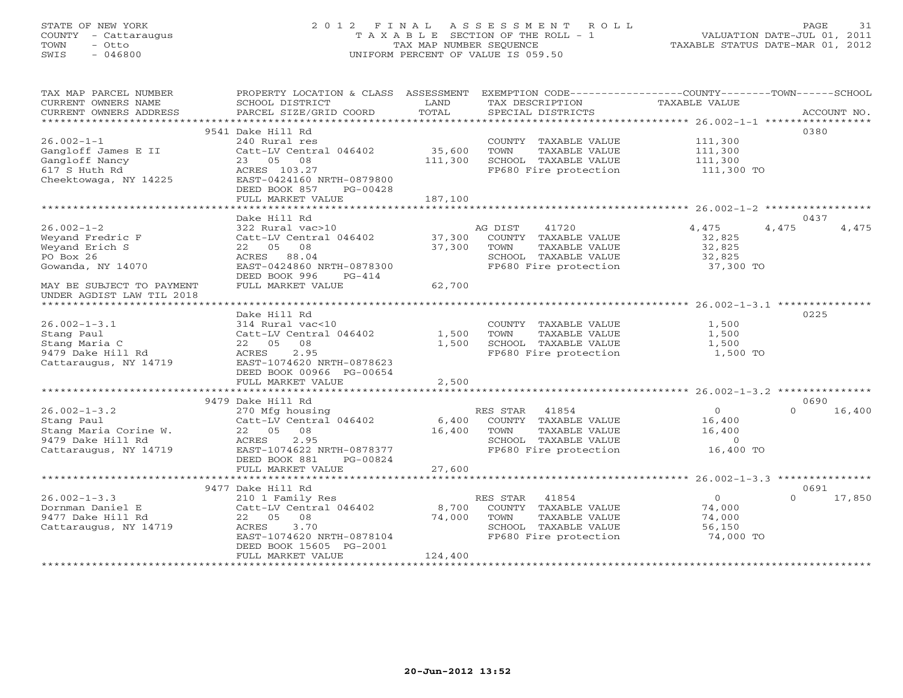# STATE OF NEW YORK 2 0 1 2 F I N A L A S S E S S M E N T R O L L PAGE 31 COUNTY - Cattaraugus T A X A B L E SECTION OF THE ROLL - 1 VALUATION DATE-JUL 01, 2011 TOWN - Otto TAX MAP NUMBER SEQUENCE TAXABLE STATUS DATE-MAR 01, 2012 SWIS - 046800 UNIFORM PERCENT OF VALUE IS 059.50UNIFORM PERCENT OF VALUE IS 059.50

| TAX MAP PARCEL NUMBER     | PROPERTY LOCATION & CLASS ASSESSMENT |         |                              | EXEMPTION CODE-----------------COUNTY-------TOWN------SCHOOL |                |
|---------------------------|--------------------------------------|---------|------------------------------|--------------------------------------------------------------|----------------|
| CURRENT OWNERS NAME       | SCHOOL DISTRICT                      | LAND    | TAX DESCRIPTION              | TAXABLE VALUE                                                |                |
| CURRENT OWNERS ADDRESS    | PARCEL SIZE/GRID COORD               | TOTAL   | SPECIAL DISTRICTS            |                                                              | ACCOUNT NO.    |
|                           |                                      |         |                              | ***************** 26.002-1-1 **********                      |                |
|                           | 9541 Dake Hill Rd                    |         |                              |                                                              | 0380           |
| $26.002 - 1 - 1$          | 240 Rural res                        |         | COUNTY TAXABLE VALUE         | 111,300                                                      |                |
|                           |                                      |         |                              |                                                              |                |
| Gangloff James E II       | Catt-LV Central 046402               | 35,600  | <b>TOWN</b><br>TAXABLE VALUE | 111,300                                                      |                |
| Gangloff Nancy            | 23 05 08                             | 111,300 | SCHOOL TAXABLE VALUE         | 111,300                                                      |                |
| 617 S Huth Rd             | ACRES 103.27                         |         | FP680 Fire protection        | 111,300 TO                                                   |                |
| Cheektowaga, NY 14225     | EAST-0424160 NRTH-0879800            |         |                              |                                                              |                |
|                           | DEED BOOK 857<br>PG-00428            |         |                              |                                                              |                |
|                           | FULL MARKET VALUE                    | 187,100 |                              |                                                              |                |
|                           |                                      |         |                              |                                                              |                |
|                           | Dake Hill Rd                         |         |                              |                                                              | 0437           |
| $26.002 - 1 - 2$          | 322 Rural vac>10                     |         | 41720<br>AG DIST             | 4,475                                                        | 4,475<br>4,475 |
|                           |                                      |         |                              |                                                              |                |
| Weyand Fredric F          | Catt-LV Central 046402               | 37,300  | COUNTY TAXABLE VALUE         | 32,825                                                       |                |
| Weyand Erich S            | 22 05 08                             | 37,300  | TOWN<br>TAXABLE VALUE        | 32,825                                                       |                |
| PO Box 26                 | ACRES 88.04                          |         | SCHOOL TAXABLE VALUE         | 32,825                                                       |                |
| Gowanda, NY 14070         | EAST-0424860 NRTH-0878300            |         | FP680 Fire protection        | 37,300 TO                                                    |                |
|                           | DEED BOOK 996<br>$PG-414$            |         |                              |                                                              |                |
| MAY BE SUBJECT TO PAYMENT | FULL MARKET VALUE                    | 62,700  |                              |                                                              |                |
| UNDER AGDIST LAW TIL 2018 |                                      |         |                              |                                                              |                |
|                           |                                      |         |                              |                                                              |                |
|                           | Dake Hill Rd                         |         |                              |                                                              | 0225           |
|                           |                                      |         |                              |                                                              |                |
| $26.002 - 1 - 3.1$        | 314 Rural vac<10                     |         | COUNTY TAXABLE VALUE         | 1,500                                                        |                |
| Stang Paul                | Catt-LV Central 046402               | 1,500   | TOWN<br>TAXABLE VALUE        | 1,500                                                        |                |
| Stang Maria C             | 22 05<br>08                          | 1,500   | SCHOOL TAXABLE VALUE         | 1,500                                                        |                |
| 9479 Dake Hill Rd         | 2.95<br>ACRES                        |         | FP680 Fire protection        | 1,500 TO                                                     |                |
| Cattaraugus, NY 14719     | EAST-1074620 NRTH-0878623            |         |                              |                                                              |                |
|                           | DEED BOOK 00966 PG-00654             |         |                              |                                                              |                |
|                           | FULL MARKET VALUE                    | 2,500   |                              |                                                              |                |
|                           | ************************             |         |                              |                                                              |                |
|                           | 9479 Dake Hill Rd                    |         |                              |                                                              | 0690           |
|                           |                                      |         |                              |                                                              | $\Omega$       |
| $26.002 - 1 - 3.2$        | 270 Mfg housing                      |         | RES STAR 41854               | $\overline{0}$                                               | 16,400         |
| Stang Paul                | Catt-LV Central 046402               | 6,400   | COUNTY TAXABLE VALUE         | 16,400                                                       |                |
| Stang Maria Corine W.     | 22 05 08                             | 16,400  | TAXABLE VALUE<br>TOWN        | 16,400                                                       |                |
| 9479 Dake Hill Rd         | ACRES<br>2.95                        |         | SCHOOL TAXABLE VALUE         | $\overline{0}$                                               |                |
| Cattaraugus, NY 14719     | EAST-1074622 NRTH-0878377            |         | FP680 Fire protection        | 16,400 TO                                                    |                |
|                           | DEED BOOK 881<br>PG-00824            |         |                              |                                                              |                |
|                           | FULL MARKET VALUE                    | 27,600  |                              |                                                              |                |
|                           |                                      |         |                              |                                                              |                |
|                           | 9477 Dake Hill Rd                    |         |                              |                                                              | 0691           |
| $26.002 - 1 - 3.3$        |                                      |         |                              | $\overline{O}$                                               | $\Omega$       |
|                           | 210 1 Family Res                     |         | 41854<br>RES STAR            |                                                              | 17,850         |
| Dornman Daniel E          | Catt-LV Central 046402               | 8,700   | COUNTY TAXABLE VALUE         | 74,000                                                       |                |
| 9477 Dake Hill Rd         | 22 05 08                             | 74,000  | TOWN<br>TAXABLE VALUE        | 74,000                                                       |                |
| Cattaraugus, NY 14719     | ACRES<br>3.70                        |         | SCHOOL TAXABLE VALUE         | 56,150                                                       |                |
|                           | EAST-1074620 NRTH-0878104            |         | FP680 Fire protection        | 74,000 TO                                                    |                |
|                           | DEED BOOK 15605 PG-2001              |         |                              |                                                              |                |
|                           | FULL MARKET VALUE                    | 124,400 |                              |                                                              |                |
|                           |                                      |         |                              |                                                              |                |
|                           |                                      |         |                              |                                                              |                |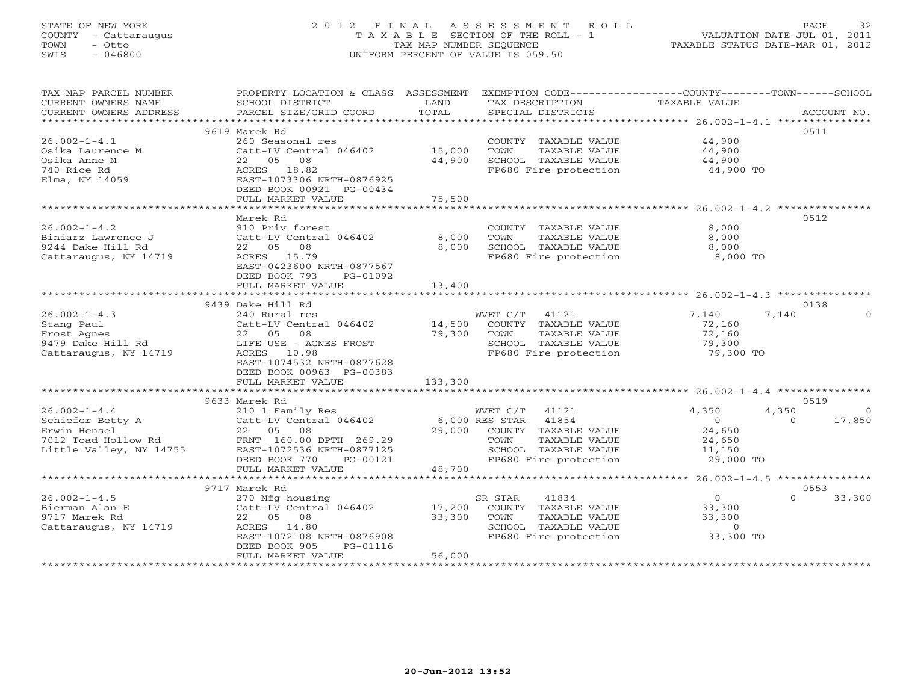# STATE OF NEW YORK 2 0 1 2 F I N A L A S S E S S M E N T R O L L PAGE 32 COUNTY - Cattaraugus T A X A B L E SECTION OF THE ROLL - 1 VALUATION DATE-JUL 01, 2011 TOWN - Otto TAX MAP NUMBER SEQUENCE TAXABLE STATUS DATE-MAR 01, 2012 SWIS - 046800 UNIFORM PERCENT OF VALUE IS 059.50

| TAX MAP PARCEL NUMBER                              | PROPERTY LOCATION & CLASS ASSESSMENT EXEMPTION CODE----------------COUNTY-------TOWN------SCHOOL |             |                                               |                  |                         |
|----------------------------------------------------|--------------------------------------------------------------------------------------------------|-------------|-----------------------------------------------|------------------|-------------------------|
| CURRENT OWNERS NAME                                | SCHOOL DISTRICT                                                                                  | LAND        | TAX DESCRIPTION                               | TAXABLE VALUE    |                         |
| CURRENT OWNERS ADDRESS<br>************************ | PARCEL SIZE/GRID COORD                                                                           | TOTAL       | SPECIAL DISTRICTS                             |                  | ACCOUNT NO.             |
|                                                    |                                                                                                  |             |                                               |                  | 0511                    |
| $26.002 - 1 - 4.1$                                 | 9619 Marek Rd                                                                                    |             |                                               | 44,900           |                         |
| Osika Laurence M                                   | 260 Seasonal res                                                                                 | 15,000      | COUNTY TAXABLE VALUE<br>TOWN                  |                  |                         |
| Osika Anne M                                       | Catt-LV Central 046402<br>22 05 08                                                               | 44,900      | TAXABLE VALUE<br>SCHOOL TAXABLE VALUE         | 44,900<br>44,900 |                         |
| 740 Rice Rd                                        | ACRES 18.82                                                                                      |             | FP680 Fire protection                         | 44,900 TO        |                         |
| Elma, NY 14059                                     | EAST-1073306 NRTH-0876925                                                                        |             |                                               |                  |                         |
|                                                    | DEED BOOK 00921 PG-00434                                                                         |             |                                               |                  |                         |
|                                                    | FULL MARKET VALUE                                                                                | 75,500      |                                               |                  |                         |
|                                                    | **********************************                                                               |             |                                               |                  |                         |
|                                                    | Marek Rd                                                                                         |             |                                               |                  | 0512                    |
| $26.002 - 1 - 4.2$                                 | 910 Priv forest                                                                                  |             | COUNTY TAXABLE VALUE                          | 8,000            |                         |
| Biniarz Lawrence J                                 | Catt-LV Central 046402                                                                           | 8,000       | TOWN<br>TAXABLE VALUE                         | 8,000            |                         |
| 9244 Dake Hill Rd                                  | 22 05 08                                                                                         | 8,000       | SCHOOL TAXABLE VALUE                          | 8,000            |                         |
| Cattaraugus, NY 14719                              | ACRES 15.79                                                                                      |             | FP680 Fire protection                         | 8,000 TO         |                         |
|                                                    | EAST-0423600 NRTH-0877567                                                                        |             |                                               |                  |                         |
|                                                    | DEED BOOK 793<br>PG-01092                                                                        |             |                                               |                  |                         |
|                                                    | FULL MARKET VALUE                                                                                | 13,400      |                                               |                  |                         |
|                                                    |                                                                                                  |             |                                               |                  |                         |
|                                                    | 9439 Dake Hill Rd                                                                                |             |                                               |                  | 0138                    |
| $26.002 - 1 - 4.3$                                 | 240 Rural res                                                                                    |             | WVET C/T 41121                                | 7,140            | 7,140<br>$\Omega$       |
| Stang Paul                                         | Catt-LV Central 046402                                                                           |             | 14,500 COUNTY TAXABLE VALUE                   | 72,160           |                         |
|                                                    | 22 05 08                                                                                         | 79,300 TOWN | TAXABLE VALUE                                 | 72,160           |                         |
| suu aynes<br>9479 Dake Hill Rd<br>Cattaraucus      | LIFE USE - AGNES FROST                                                                           |             | SCHOOL TAXABLE VALUE<br>FP680 Fire protection | 79,300           |                         |
| Cattaraugus, NY 14719                              | ACRES 10.98<br>EAST-1074532 NRTH-0877628                                                         |             |                                               | 79,300 TO        |                         |
|                                                    | DEED BOOK 00963 PG-00383                                                                         |             |                                               |                  |                         |
|                                                    | FULL MARKET VALUE                                                                                | 133,300     |                                               |                  |                         |
|                                                    |                                                                                                  |             |                                               |                  |                         |
|                                                    | 9633 Marek Rd                                                                                    |             |                                               |                  | 0519                    |
| $26.002 - 1 - 4.4$                                 | 210 1 Family Res                                                                                 |             | WVET C/T 41121                                | 4,350            | 4,350<br>$\overline{0}$ |
| Schiefer Betty A                                   | Catt-LV Central 046402 6,000 RES STAR 41854                                                      |             |                                               | $\overline{0}$   | 17,850<br>$\Omega$      |
| Erwin Hensel                                       | 22 05 08                                                                                         |             | 29,000 COUNTY TAXABLE VALUE                   | 24,650           |                         |
| 7012 Toad Hollow Rd                                | FRNT 160.00 DPTH 269.29                                                                          |             | TAXABLE VALUE<br>TOWN                         | 24,650           |                         |
| Little Valley, NY 14755                            | EAST-1072536 NRTH-0877125                                                                        |             | SCHOOL TAXABLE VALUE                          | 11,150           |                         |
|                                                    | DEED BOOK 770<br>PG-00121                                                                        |             | FP680 Fire protection                         | 29,000 TO        |                         |
|                                                    | FULL MARKET VALUE                                                                                | 48,700      |                                               |                  |                         |
|                                                    |                                                                                                  |             |                                               |                  |                         |
|                                                    | 9717 Marek Rd                                                                                    |             |                                               |                  | 0553                    |
| $26.002 - 1 - 4.5$                                 | 270 Mfg housing                                                                                  |             | SR STAR<br>41834                              | $\overline{0}$   | $\Omega$<br>33,300      |
| Bierman Alan E                                     | Catt-LV Central 046402                                                                           | 17,200      | COUNTY TAXABLE VALUE                          | 33,300           |                         |
| 9717 Marek Rd                                      | 22 05 08                                                                                         | 33,300      | TOWN<br>TAXABLE VALUE                         | 33,300           |                         |
| Cattaraugus, NY 14719                              | ACRES 14.80                                                                                      |             | SCHOOL TAXABLE VALUE                          | $\overline{0}$   |                         |
|                                                    | EAST-1072108 NRTH-0876908                                                                        |             | FP680 Fire protection                         | 33,300 TO        |                         |
|                                                    | DEED BOOK 905<br>PG-01116                                                                        | 56,000      |                                               |                  |                         |
|                                                    | FULL MARKET VALUE                                                                                |             |                                               |                  |                         |
|                                                    |                                                                                                  |             |                                               |                  |                         |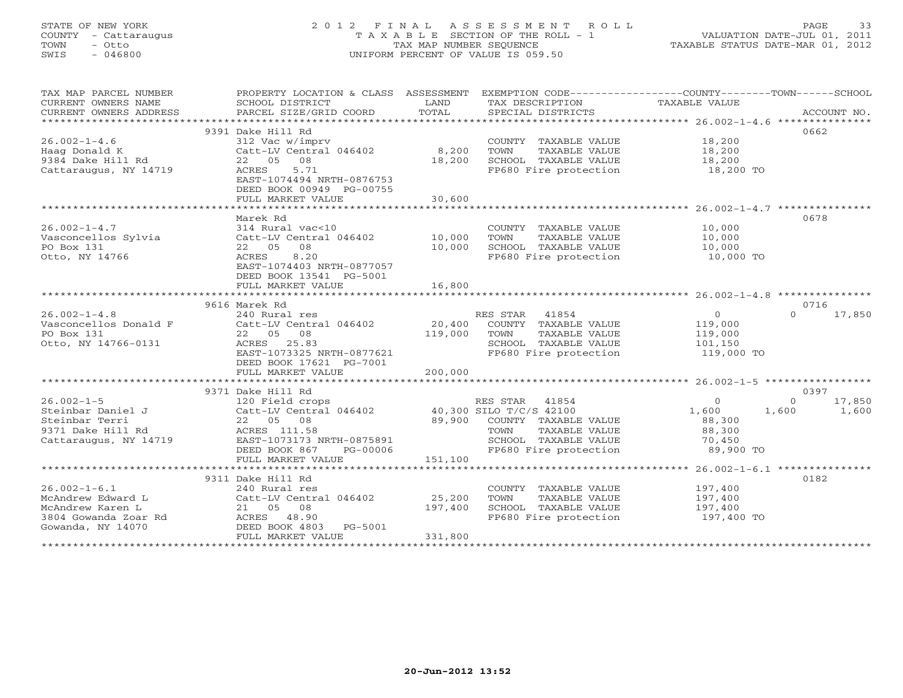# STATE OF NEW YORK 2 0 1 2 F I N A L A S S E S S M E N T R O L L PAGE 33 COUNTY - Cattaraugus T A X A B L E SECTION OF THE ROLL - 1 VALUATION DATE-JUL 01, 2011 TOWN - Otto TAX MAP NUMBER SEQUENCE TAXABLE STATUS DATE-MAR 01, 2012 SWIS - 046800 UNIFORM PERCENT OF VALUE IS 059.50UNIFORM PERCENT OF VALUE IS 059.50

| TAX MAP PARCEL NUMBER  | PROPERTY LOCATION & CLASS ASSESSMENT           |              | EXEMPTION CODE-----------------COUNTY-------TOWN------SCHOOL   |                |                    |
|------------------------|------------------------------------------------|--------------|----------------------------------------------------------------|----------------|--------------------|
| CURRENT OWNERS NAME    | SCHOOL DISTRICT                                | LAND         | TAX DESCRIPTION                                                | TAXABLE VALUE  |                    |
| CURRENT OWNERS ADDRESS | PARCEL SIZE/GRID COORD                         | TOTAL        | SPECIAL DISTRICTS                                              |                | ACCOUNT NO.        |
|                        |                                                |              |                                                                |                |                    |
|                        | 9391 Dake Hill Rd                              |              |                                                                |                | 0662               |
| $26.002 - 1 - 4.6$     | 312 Vac w/imprv                                |              | COUNTY TAXABLE VALUE 18,200                                    |                |                    |
| Haag Donald K          | Catt-LV Central 046402 8,200                   |              | TOWN<br>TAXABLE VALUE                                          | 18,200         |                    |
| 9384 Dake Hill Rd      | 22 05 08                                       | 18,200       | SCHOOL TAXABLE VALUE                                           | 18,200         |                    |
| Cattaraugus, NY 14719  | 5.71<br>ACRES                                  |              | FP680 Fire protection                                          | 18,200 TO      |                    |
|                        | EAST-1074494 NRTH-0876753                      |              |                                                                |                |                    |
|                        | DEED BOOK 00949 PG-00755                       |              |                                                                |                |                    |
|                        | FULL MARKET VALUE                              | 30,600       |                                                                |                |                    |
|                        | Marek Rd                                       |              |                                                                |                | 0678               |
| $26.002 - 1 - 4.7$     | 314 Rural vac<10                               |              | COUNTY TAXABLE VALUE                                           | 10,000         |                    |
| Vasconcellos Sylvia    | Catt-LV Central 046402                         | 10,000       | TOWN<br>TAXABLE VALUE                                          | 10,000         |                    |
| PO Box 131             | 22 05 08                                       | 10,000       |                                                                | 10,000         |                    |
| Otto, NY 14766         | 8.20<br>ACRES                                  |              | SCHOOL TAXABLE VALUE<br>FP680 Fire protection                  | 10,000 TO      |                    |
|                        | EAST-1074403 NRTH-0877057                      |              |                                                                |                |                    |
|                        | DEED BOOK 13541 PG-5001                        |              |                                                                |                |                    |
|                        | FULL MARKET VALUE                              | 16,800       |                                                                |                |                    |
|                        |                                                |              |                                                                |                |                    |
|                        | 9616 Marek Rd                                  |              |                                                                |                | 0716               |
| $26.002 - 1 - 4.8$     | 240 Rural res                                  |              | RES STAR 41854                                                 | $\overline{0}$ | $\Omega$<br>17,850 |
| Vasconcellos Donald F  | Catt-LV Central 046402                         | 20,400       | COUNTY TAXABLE VALUE                                           | 119,000        |                    |
| PO Box 131             | 22 05 08                                       | 119,000 TOWN | TAXABLE VALUE                                                  | 119,000        |                    |
| Otto, NY 14766-0131    | ACRES 25.83                                    |              | SCHOOL TAXABLE VALUE                                           | 101,150        |                    |
|                        | EAST-1073325 NRTH-0877621                      |              | FP680 Fire protection                                          | 119,000 TO     |                    |
|                        | DEED BOOK 17621 PG-7001                        |              |                                                                |                |                    |
|                        | FULL MARKET VALUE                              | 200,000      |                                                                |                |                    |
|                        |                                                |              |                                                                |                |                    |
|                        | 9371 Dake Hill Rd                              |              |                                                                |                | 0397               |
| $26.002 - 1 - 5$       | 120 Field crops                                |              | RES STAR 41854                                                 | $\Omega$       | $\Omega$<br>17,850 |
| Steinbar Daniel J      | Catt-LV Central 046402 40,300 SILO T/C/S 42100 |              |                                                                | 1,600          | 1,600<br>1,600     |
| Steinbar Terri         | 22 05 08                                       |              | 89,900 COUNTY TAXABLE VALUE<br>יסוז זיגזי קודמגיגיה היו ההוראו | 88,300         |                    |
| 9371 Dake Hill Rd      | ACRES 111.58                                   |              | TOWN<br>TAXABLE VALUE                                          | 88,300         |                    |
| Cattaraugus, NY 14719  | EAST-1073173 NRTH-0875891                      |              | SCHOOL TAXABLE VALUE                                           | 70,450         |                    |
|                        | DEED BOOK 867<br>PG-00006                      |              | FP680 Fire protection                                          | 89,900 TO      |                    |
|                        | FULL MARKET VALUE                              | 151,100      |                                                                |                |                    |
|                        | 9311 Dake Hill Rd                              |              |                                                                |                | 0182               |
| $26.002 - 1 - 6.1$     | 240 Rural res                                  |              | COUNTY TAXABLE VALUE                                           | 197,400        |                    |
| McAndrew Edward L      | Catt-LV Central 046402                         | 25,200       | TAXABLE VALUE<br>TOWN                                          | 197,400        |                    |
| McAndrew Karen L       | 21 05 08                                       | 197,400      | SCHOOL TAXABLE VALUE                                           | 197,400        |                    |
| 3804 Gowanda Zoar Rd   | ACRES 48.90                                    |              | FP680 Fire protection                                          | 197,400 TO     |                    |
| Gowanda, NY 14070      | DEED BOOK 4803<br>PG-5001                      |              |                                                                |                |                    |
|                        | FULL MARKET VALUE                              | 331,800      |                                                                |                |                    |
|                        |                                                |              |                                                                |                |                    |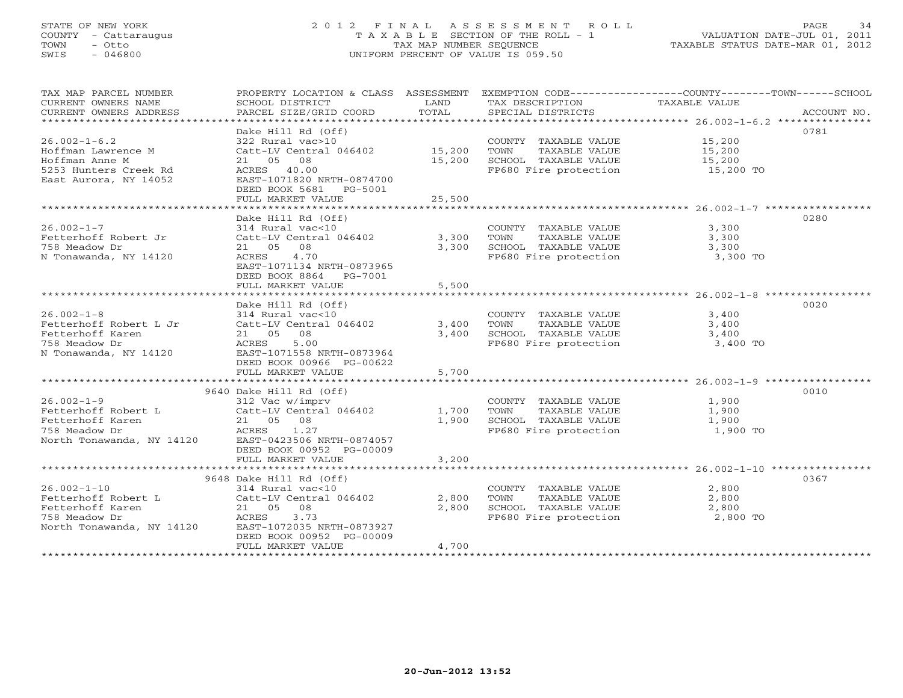# STATE OF NEW YORK 2 0 1 2 F I N A L A S S E S S M E N T R O L L PAGE 34 COUNTY - Cattaraugus T A X A B L E SECTION OF THE ROLL - 1 VALUATION DATE-JUL 01, 2011 TOWN - Otto TAX MAP NUMBER SEQUENCE TAXABLE STATUS DATE-MAR 01, 2012 SWIS - 046800 UNIFORM PERCENT OF VALUE IS 059.50UNIFORM PERCENT OF VALUE IS 059.50

| TAX MAP PARCEL NUMBER<br>CURRENT OWNERS NAME<br>CURRENT OWNERS ADDRESS<br>***********************            | PROPERTY LOCATION & CLASS ASSESSMENT<br>SCHOOL DISTRICT<br>PARCEL SIZE/GRID COORD                                                                                                                            | LAND<br>TOTAL              | TAX DESCRIPTION<br>SPECIAL DISTRICTS                                                           | EXEMPTION CODE-----------------COUNTY-------TOWN------SCHOOL<br>TAXABLE VALUE<br>ACCOUNT NO. |
|--------------------------------------------------------------------------------------------------------------|--------------------------------------------------------------------------------------------------------------------------------------------------------------------------------------------------------------|----------------------------|------------------------------------------------------------------------------------------------|----------------------------------------------------------------------------------------------|
| $26.002 - 1 - 6.2$<br>Hoffman Lawrence M<br>Hoffman Anne M<br>5253 Hunters Creek Rd<br>East Aurora, NY 14052 | Dake Hill Rd (Off)<br>322 Rural vac>10<br>Catt-LV Central 046402<br>21 05 08<br>ACRES 40.00<br>EAST-1071820 NRTH-0874700<br>DEED BOOK 5681<br>PG-5001<br>FULL MARKET VALUE                                   | 15,200<br>15,200<br>25,500 | COUNTY TAXABLE VALUE<br>TOWN<br>TAXABLE VALUE<br>SCHOOL TAXABLE VALUE<br>FP680 Fire protection | 0781<br>15,200<br>15,200<br>15,200<br>15,200 TO                                              |
| $26.002 - 1 - 7$<br>Fetterhoff Robert Jr<br>758 Meadow Dr<br>N Tonawanda, NY 14120                           | Dake Hill Rd (Off)<br>314 Rural vac<10<br>Catt-LV Central 046402<br>21 05<br>08<br>4.70<br>ACRES<br>EAST-1071134 NRTH-0873965<br>DEED BOOK 8864<br>PG-7001<br>FULL MARKET VALUE                              | 3,300<br>3,300<br>5,500    | COUNTY TAXABLE VALUE<br>TOWN<br>TAXABLE VALUE<br>SCHOOL TAXABLE VALUE<br>FP680 Fire protection | 0280<br>3,300<br>3,300<br>3,300<br>3,300 TO                                                  |
| $26.002 - 1 - 8$<br>Fetterhoff Robert L Jr<br>Fetterhoff Karen<br>758 Meadow Dr<br>N Tonawanda, NY 14120     | Dake Hill Rd (Off)<br>314 Rural vac<10<br>Catt-LV Central 046402<br>21 05<br>08<br>ACRES<br>5.00<br>EAST-1071558 NRTH-0873964<br>DEED BOOK 00966 PG-00622<br>FULL MARKET VALUE                               | 3,400<br>3,400<br>5,700    | COUNTY TAXABLE VALUE<br>TOWN<br>TAXABLE VALUE<br>SCHOOL TAXABLE VALUE<br>FP680 Fire protection | 0020<br>3,400<br>3,400<br>3,400<br>3,400 TO                                                  |
| $26.002 - 1 - 9$<br>Fetterhoff Robert L<br>Fetterhoff Karen<br>758 Meadow Dr<br>North Tonawanda, NY 14120    | 9640 Dake Hill Rd (Off)<br>312 Vac w/imprv<br>Catt-LV Central 046402<br>21 05 08<br>ACRES<br>1.27<br>EAST-0423506 NRTH-0874057<br>DEED BOOK 00952 PG-00009<br>FULL MARKET VALUE                              | 1,700<br>1,900<br>3,200    | COUNTY TAXABLE VALUE<br>TOWN<br>TAXABLE VALUE<br>SCHOOL TAXABLE VALUE<br>FP680 Fire protection | 0010<br>1,900<br>1,900<br>1,900<br>1,900 TO                                                  |
| $26.002 - 1 - 10$<br>Fetterhoff Robert L<br>Fetterhoff Karen<br>758 Meadow Dr<br>North Tonawanda, NY 14120   | 9648 Dake Hill Rd (Off)<br>314 Rural vac<10<br>Catt-LV Central 046402<br>08<br>21 05<br>ACRES<br>3.73<br>EAST-1072035 NRTH-0873927<br>DEED BOOK 00952 PG-00009<br>FULL MARKET VALUE<br>********************* | 2,800<br>2,800<br>4,700    | COUNTY TAXABLE VALUE<br>TOWN<br>TAXABLE VALUE<br>SCHOOL TAXABLE VALUE<br>FP680 Fire protection | 0367<br>2,800<br>2,800<br>2,800<br>2,800 TO                                                  |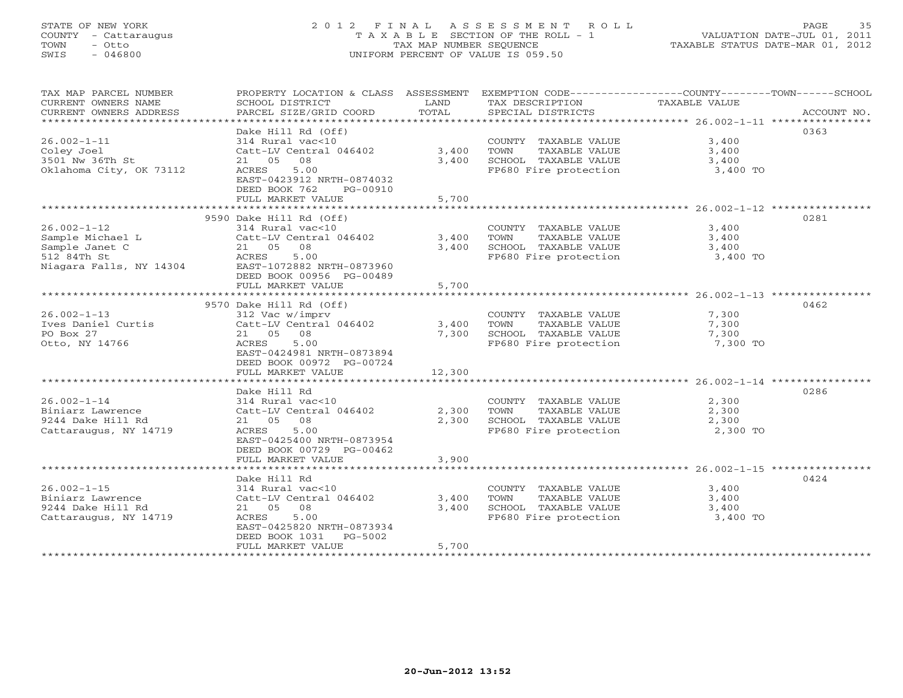# STATE OF NEW YORK 2 0 1 2 F I N A L A S S E S S M E N T R O L L PAGE 35 COUNTY - Cattaraugus T A X A B L E SECTION OF THE ROLL - 1 VALUATION DATE-JUL 01, 2011 TOWN - Otto TAX MAP NUMBER SEQUENCE TAXABLE STATUS DATE-MAR 01, 2012 SWIS - 046800 UNIFORM PERCENT OF VALUE IS 059.50UNIFORM PERCENT OF VALUE IS 059.50

| TAX MAP PARCEL NUMBER<br>CURRENT OWNERS NAME<br>CURRENT OWNERS ADDRESS              | SCHOOL DISTRICT<br>PARCEL SIZE/GRID COORD                                                                                                                                    | LAND<br>TOTAL           | TAX DESCRIPTION<br>SPECIAL DISTRICTS                                                           | PROPERTY LOCATION & CLASS ASSESSMENT EXEMPTION CODE---------------COUNTY-------TOWN------SCHOOL<br>TAXABLE VALUE<br>ACCOUNT NO. |
|-------------------------------------------------------------------------------------|------------------------------------------------------------------------------------------------------------------------------------------------------------------------------|-------------------------|------------------------------------------------------------------------------------------------|---------------------------------------------------------------------------------------------------------------------------------|
| $26.002 - 1 - 11$<br>Coley Joel<br>3501 Nw 36Th St<br>Oklahoma City, OK 73112       | Dake Hill Rd (Off)<br>314 Rural vac<10<br>Catt-LV Central 046402<br>21 05 08<br>5.00<br>ACRES<br>EAST-0423912 NRTH-0874032<br>DEED BOOK 762<br>PG-00910<br>FULL MARKET VALUE | 3,400<br>3,400<br>5,700 | COUNTY TAXABLE VALUE<br>TOWN<br>TAXABLE VALUE<br>SCHOOL TAXABLE VALUE<br>FP680 Fire protection | 0363<br>3,400<br>3,400<br>3,400<br>3,400 TO                                                                                     |
|                                                                                     | 9590 Dake Hill Rd (Off)                                                                                                                                                      |                         |                                                                                                | 0281                                                                                                                            |
| $26.002 - 1 - 12$<br>Sample Michael L<br>Sample Janet C<br>512 84Th St              | 314 Rural vac<10<br>Catt-LV Central 046402<br>21 05 08<br>5.00<br>ACRES<br>DEED BOOK 00956 PG-00489<br>FULL MARKET VALUE                                                     | 3,400<br>3,400<br>5,700 | COUNTY TAXABLE VALUE<br>TOWN<br>TAXABLE VALUE<br>SCHOOL TAXABLE VALUE<br>FP680 Fire protection | 3,400<br>3,400<br>3,400<br>3,400 TO                                                                                             |
|                                                                                     |                                                                                                                                                                              |                         |                                                                                                |                                                                                                                                 |
| $26.002 - 1 - 13$<br>Ives Daniel Curtis<br>PO Box 27<br>Otto, NY 14766              | 9570 Dake Hill Rd (Off)<br>312 Vac w/imprv<br>Catt-LV Central 046402<br>21 05 08<br>ACRES<br>5.00<br>EAST-0424981 NRTH-0873894<br>DEED BOOK 00972 PG-00724                   | 3,400<br>7,300          | COUNTY TAXABLE VALUE<br>TOWN<br>TAXABLE VALUE<br>SCHOOL TAXABLE VALUE<br>FP680 Fire protection | 0462<br>7,300<br>7,300<br>7,300<br>7,300 TO                                                                                     |
|                                                                                     | FULL MARKET VALUE                                                                                                                                                            | 12,300                  |                                                                                                |                                                                                                                                 |
| $26.002 - 1 - 14$<br>Biniarz Lawrence<br>9244 Dake Hill Rd<br>Cattaraugus, NY 14719 | Dake Hill Rd<br>314 Rural vac<10<br>Catt-LV Central 046402<br>21 05 08<br>5.00<br>ACRES<br>EAST-0425400 NRTH-0873954<br>DEED BOOK 00729 PG-00462<br>FULL MARKET VALUE        | 2,300<br>2,300<br>3,900 | COUNTY TAXABLE VALUE<br>TAXABLE VALUE<br>TOWN<br>SCHOOL TAXABLE VALUE<br>FP680 Fire protection | 0286<br>2,300<br>2,300<br>2,300<br>2,300 TO                                                                                     |
|                                                                                     | Dake Hill Rd                                                                                                                                                                 |                         |                                                                                                | 0424                                                                                                                            |
| $26.002 - 1 - 15$<br>Biniarz Lawrence<br>9244 Dake Hill Rd<br>Cattaraugus, NY 14719 | 314 Rural vac<10<br>Catt-LV Central 046402<br>21 05 08<br>5.00<br>ACRES<br>EAST-0425820 NRTH-0873934<br>DEED BOOK 1031 PG-5002<br>FULL MARKET VALUE                          | 3,400<br>3,400<br>5,700 | COUNTY TAXABLE VALUE<br>TOWN<br>TAXABLE VALUE<br>SCHOOL TAXABLE VALUE<br>FP680 Fire protection | 3,400<br>3,400<br>3,400<br>3,400 TO                                                                                             |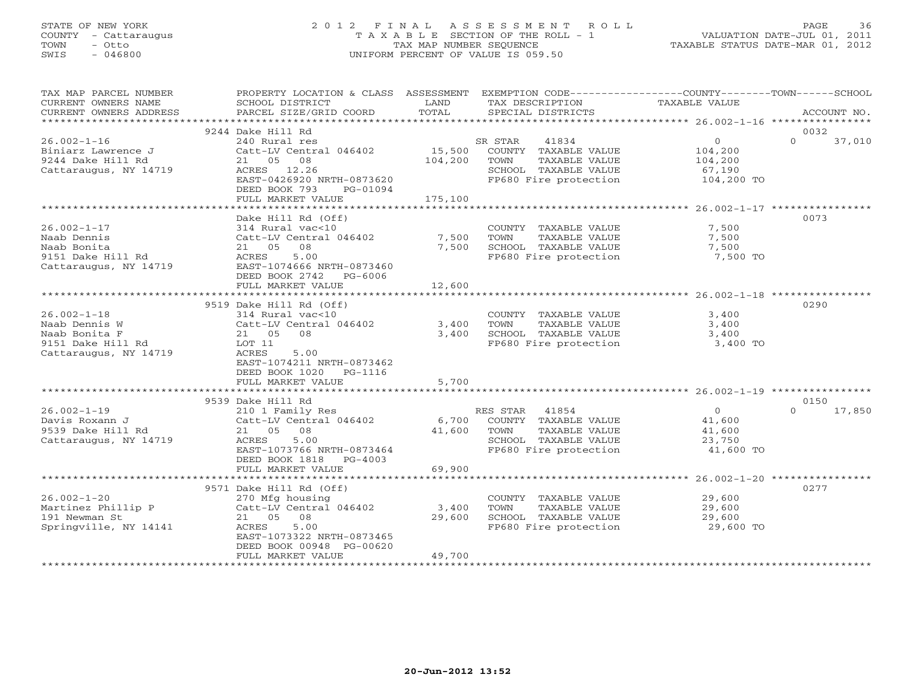# STATE OF NEW YORK 2 0 1 2 F I N A L A S S E S S M E N T R O L L PAGE 36 COUNTY - Cattaraugus T A X A B L E SECTION OF THE ROLL - 1 VALUATION DATE-JUL 01, 2011 TOWN - Otto TAX MAP NUMBER SEQUENCE TAXABLE STATUS DATE-MAR 01, 2012 SWIS - 046800 UNIFORM PERCENT OF VALUE IS 059.50UNIFORM PERCENT OF VALUE IS 059.50

| TAX MAP PARCEL NUMBER<br>CURRENT OWNERS NAME<br>CURRENT OWNERS ADDRESS                            | PROPERTY LOCATION & CLASS ASSESSMENT<br>SCHOOL DISTRICT<br>PARCEL SIZE/GRID COORD                                                                                               | LAND<br>TOTAL                | EXEMPTION CODE-----------------COUNTY-------TOWN------SCHOOL<br>TAX DESCRIPTION<br>SPECIAL DISTRICTS                      | TAXABLE VALUE                                                | ACCOUNT NO.                |
|---------------------------------------------------------------------------------------------------|---------------------------------------------------------------------------------------------------------------------------------------------------------------------------------|------------------------------|---------------------------------------------------------------------------------------------------------------------------|--------------------------------------------------------------|----------------------------|
|                                                                                                   |                                                                                                                                                                                 |                              |                                                                                                                           |                                                              |                            |
| $26.002 - 1 - 16$<br>Biniarz Lawrence J<br>9244 Dake Hill Rd<br>Cattaraugus, NY 14719             | 9244 Dake Hill Rd<br>240 Rural res<br>Catt-LV Central 046402<br>21 05<br>08<br>ACRES 12.26<br>EAST-0426920 NRTH-0873620<br>DEED BOOK 793<br>PG-01094<br>FULL MARKET VALUE       | 15,500<br>104,200<br>175,100 | 41834<br>SR STAR<br>COUNTY TAXABLE VALUE<br>TOWN<br>TAXABLE VALUE<br>SCHOOL TAXABLE VALUE<br>FP680 Fire protection        | $\overline{0}$<br>104,200<br>104,200<br>67,190<br>104,200 TO | 0032<br>$\Omega$<br>37,010 |
|                                                                                                   |                                                                                                                                                                                 |                              |                                                                                                                           |                                                              |                            |
| $26.002 - 1 - 17$<br>Naab Dennis<br>Naab Bonita<br>9151 Dake Hill Rd<br>Cattaraugus, NY 14719     | Dake Hill Rd (Off)<br>314 Rural vac<10<br>Catt-LV Central 046402<br>21 05 08<br>5.00<br>ACRES<br>EAST-1074666 NRTH-0873460<br>DEED BOOK 2742 PG-6006<br>FULL MARKET VALUE       | 7,500<br>7,500<br>12,600     | COUNTY TAXABLE VALUE<br>TOWN<br>TAXABLE VALUE<br>SCHOOL TAXABLE VALUE<br>FP680 Fire protection                            | 7,500<br>7,500<br>7,500<br>7,500 TO                          | 0073                       |
|                                                                                                   |                                                                                                                                                                                 |                              |                                                                                                                           |                                                              |                            |
| $26.002 - 1 - 18$<br>Naab Dennis W<br>Naab Bonita F<br>9151 Dake Hill Rd<br>Cattaraugus, NY 14719 | 9519 Dake Hill Rd (Off)<br>314 Rural vac<10<br>Catt-LV Central 046402<br>21 05<br>08<br>LOT 11<br>ACRES<br>5.00<br>EAST-1074211 NRTH-0873462<br>DEED BOOK 1020<br>PG-1116       | 3,400<br>3,400               | COUNTY TAXABLE VALUE<br>TAXABLE VALUE<br>TOWN<br>SCHOOL TAXABLE VALUE<br>FP680 Fire protection                            | 3,400<br>3,400<br>3,400<br>3,400 TO                          | 0290                       |
|                                                                                                   | FULL MARKET VALUE                                                                                                                                                               | 5,700                        |                                                                                                                           |                                                              |                            |
| $26.002 - 1 - 19$<br>Davis Roxann J<br>9539 Dake Hill Rd<br>Cattaraugus, NY 14719                 | 9539 Dake Hill Rd<br>210 1 Family Res<br>Catt-LV Central 046402<br>21 05<br>08<br>5.00<br>ACRES<br>EAST-1073766 NRTH-0873464<br>DEED BOOK 1818 PG-4003                          | 41,600                       | 41854<br>RES STAR<br>6,700 COUNTY TAXABLE VALUE<br>TAXABLE VALUE<br>TOWN<br>SCHOOL TAXABLE VALUE<br>FP680 Fire protection | $\overline{0}$<br>41,600<br>41,600<br>23,750<br>41,600 TO    | 0150<br>17,850<br>$\Omega$ |
|                                                                                                   | FULL MARKET VALUE                                                                                                                                                               | 69,900                       |                                                                                                                           |                                                              |                            |
| $26.002 - 1 - 20$<br>Martinez Phillip P<br>191 Newman St<br>Springville, NY 14141                 | 9571 Dake Hill Rd (Off)<br>270 Mfg housing<br>Catt-LV Central 046402<br>21 05 08<br>5.00<br>ACRES<br>EAST-1073322 NRTH-0873465<br>DEED BOOK 00948 PG-00620<br>FULL MARKET VALUE | 3,400<br>29,600<br>49,700    | COUNTY TAXABLE VALUE<br>TOWN<br>TAXABLE VALUE<br>SCHOOL TAXABLE VALUE<br>FP680 Fire protection                            | 29,600<br>29,600<br>29,600<br>29,600 TO                      | 0277                       |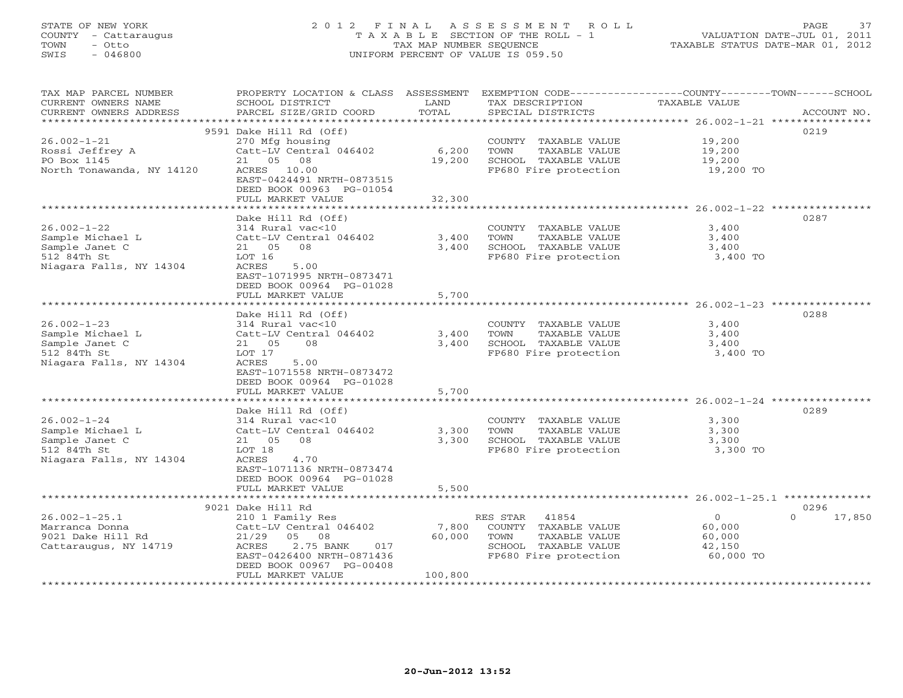### STATE OF NEW YORK 2 0 1 2 F I N A L A S S E S S M E N T R O L L PAGE 37 COUNTY - Cattaraugus T A X A B L E SECTION OF THE ROLL - 1 VALUATION DATE-JUL 01, 2011 TOWN - Otto TAX MAP NUMBER SEQUENCE TAXABLE STATUS DATE-MAR 01, 2012 SWIS - 046800 UNIFORM PERCENT OF VALUE IS 059.50UNIFORM PERCENT OF VALUE IS 059.50

| TAX MAP PARCEL NUMBER     | PROPERTY LOCATION & CLASS ASSESSMENT     |                | EXEMPTION CODE-----------------COUNTY-------TOWN------SCHOOL |                      |                    |
|---------------------------|------------------------------------------|----------------|--------------------------------------------------------------|----------------------|--------------------|
| CURRENT OWNERS NAME       | SCHOOL DISTRICT                          | LAND           | TAX DESCRIPTION                                              | <b>TAXABLE VALUE</b> |                    |
| CURRENT OWNERS ADDRESS    | PARCEL SIZE/GRID COORD                   | TOTAL          | SPECIAL DISTRICTS                                            |                      | ACCOUNT NO.        |
| **********************    |                                          |                |                                                              |                      |                    |
|                           | 9591 Dake Hill Rd (Off)                  |                |                                                              |                      | 0219               |
| $26.002 - 1 - 21$         | 270 Mfg housing                          |                | COUNTY TAXABLE VALUE                                         | 19,200               |                    |
| Rossi Jeffrey A           | Catt-LV Central 046402                   | 6,200          | TOWN<br>TAXABLE VALUE                                        | 19,200               |                    |
| PO Box 1145               | 21 05 08                                 | 19,200         | SCHOOL TAXABLE VALUE                                         | 19,200               |                    |
| North Tonawanda, NY 14120 | ACRES 10.00<br>EAST-0424491 NRTH-0873515 |                | FP680 Fire protection                                        | 19,200 TO            |                    |
|                           | DEED BOOK 00963 PG-01054                 |                |                                                              |                      |                    |
|                           | FULL MARKET VALUE                        | 32,300         |                                                              |                      |                    |
|                           |                                          |                |                                                              |                      |                    |
|                           | Dake Hill Rd (Off)                       |                |                                                              |                      | 0287               |
| $26.002 - 1 - 22$         | 314 Rural vac<10                         |                | COUNTY TAXABLE VALUE                                         | 3,400                |                    |
| Sample Michael L          | Catt-LV Central 046402                   | 3,400          | TAXABLE VALUE<br>TOWN                                        | 3,400                |                    |
| Sample Janet C            | 21  05  08                               | 3,400          | SCHOOL TAXABLE VALUE                                         | 3,400                |                    |
| 512 84Th St               | LOT 16                                   |                | FP680 Fire protection                                        | 3,400 TO             |                    |
| Niagara Falls, NY 14304   | 5.00<br>ACRES                            |                |                                                              |                      |                    |
|                           | EAST-1071995 NRTH-0873471                |                |                                                              |                      |                    |
|                           | DEED BOOK 00964 PG-01028                 |                |                                                              |                      |                    |
|                           | FULL MARKET VALUE                        | 5,700          |                                                              |                      |                    |
|                           | *******************************          | ************** |                                                              |                      |                    |
|                           | Dake Hill Rd (Off)                       |                |                                                              |                      | 0288               |
| $26.002 - 1 - 23$         | 314 Rural vac<10                         |                | COUNTY TAXABLE VALUE                                         | 3,400                |                    |
| Sample Michael L          | Catt-LV Central 046402                   | 3,400          | TOWN<br>TAXABLE VALUE                                        | 3,400                |                    |
| Sample Janet C            | 21 05<br>08                              | 3,400          | SCHOOL TAXABLE VALUE                                         | 3,400                |                    |
| 512 84Th St               | LOT 17                                   |                | FP680 Fire protection                                        | 3,400 TO             |                    |
| Niagara Falls, NY 14304   | ACRES<br>5.00                            |                |                                                              |                      |                    |
|                           | EAST-1071558 NRTH-0873472                |                |                                                              |                      |                    |
|                           | DEED BOOK 00964 PG-01028                 |                |                                                              |                      |                    |
|                           | FULL MARKET VALUE                        | 5,700          |                                                              |                      |                    |
|                           |                                          |                |                                                              |                      |                    |
|                           | Dake Hill Rd (Off)                       |                |                                                              |                      | 0289               |
| $26.002 - 1 - 24$         | 314 Rural vac<10                         |                | COUNTY TAXABLE VALUE                                         | 3,300                |                    |
| Sample Michael L          | Catt-LV Central 046402                   | 3,300          | TOWN<br>TAXABLE VALUE                                        | 3,300                |                    |
| Sample Janet C            | 21 05 08                                 | 3,300          | SCHOOL TAXABLE VALUE                                         | 3,300                |                    |
| 512 84Th St               | LOT 18                                   |                | FP680 Fire protection                                        | 3,300 TO             |                    |
| Niagara Falls, NY 14304   | ACRES<br>4.70                            |                |                                                              |                      |                    |
|                           | EAST-1071136 NRTH-0873474                |                |                                                              |                      |                    |
|                           | DEED BOOK 00964 PG-01028                 |                |                                                              |                      |                    |
|                           | FULL MARKET VALUE                        | 5,500          |                                                              |                      |                    |
|                           | 9021 Dake Hill Rd                        |                |                                                              |                      | 0296               |
| $26.002 - 1 - 25.1$       | 210 1 Family Res                         |                | RES STAR 41854                                               | $\overline{0}$       | $\Omega$<br>17,850 |
| Marranca Donna            | Catt-LV Central 046402                   | 7,800          | COUNTY TAXABLE VALUE                                         | 60,000               |                    |
| 9021 Dake Hill Rd         | 21/29<br>05<br>08                        | 60,000         | TOWN<br>TAXABLE VALUE                                        | 60,000               |                    |
| Cattaraugus, NY 14719     | ACRES<br>2.75 BANK<br>017                |                | SCHOOL TAXABLE VALUE                                         | 42,150               |                    |
|                           | EAST-0426400 NRTH-0871436                |                | FP680 Fire protection                                        | 60,000 TO            |                    |
|                           | DEED BOOK 00967 PG-00408                 |                |                                                              |                      |                    |
|                           | FULL MARKET VALUE                        | 100,800        |                                                              |                      |                    |
| ************************* |                                          |                |                                                              |                      |                    |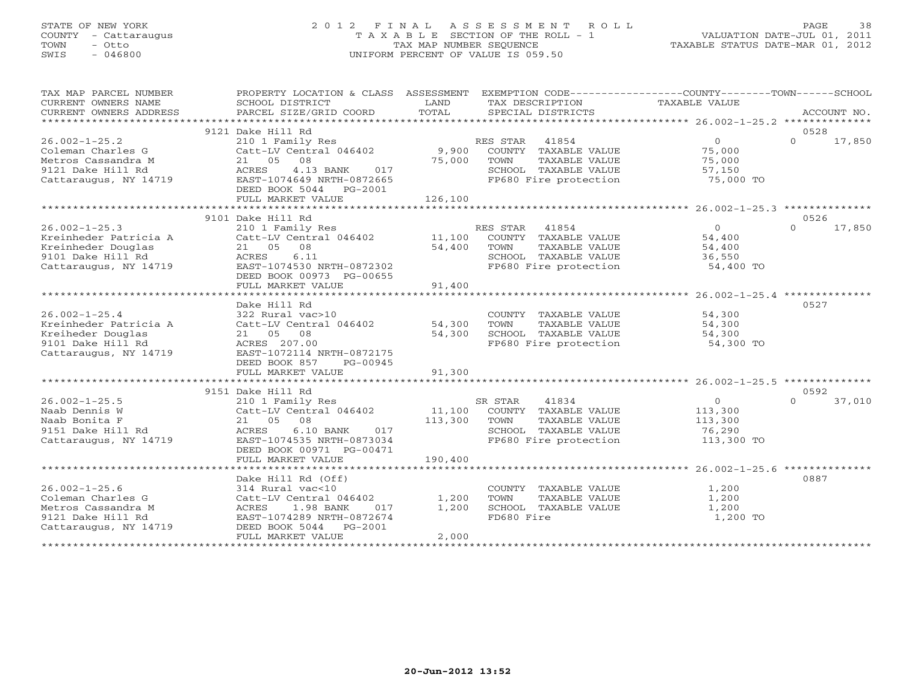### STATE OF NEW YORK 2 0 1 2 F I N A L A S S E S S M E N T R O L L PAGE 38 COUNTY - Cattaraugus T A X A B L E SECTION OF THE ROLL - 1 VALUATION DATE-JUL 01, 2011 TOWN - Otto TAX MAP NUMBER SEQUENCE TAXABLE STATUS DATE-MAR 01, 2012<br>
TOWN - Otto TAXABLE STATUS DATE-MAR 01, 2012<br>
SWIS - 046800 SWIS - 046800 UNIFORM PERCENT OF VALUE IS 059.50

| 9121 Dake Hill Rd<br>0528<br>$\overline{0}$<br>$\Omega$<br>17,850<br>$26.002 - 1 - 25.2$<br>210 1 Family Res<br>RES STAR<br>41854<br>Catt-LV Central 046402 9,900<br>75,000<br>Coleman Charles G<br>COUNTY TAXABLE VALUE<br>75,000<br>Metros Cassandra M<br>21 05 08<br>TOWN<br>TAXABLE VALUE<br>75,000<br>9121 Dake Hill Rd<br>ACRES<br>4.13 BANK<br>017<br>SCHOOL TAXABLE VALUE<br>57,150<br>Cattaraugus, NY 14719<br>EAST-1074649 NRTH-0872665<br>FP680 Fire protection<br>75,000 TO<br>DEED BOOK 5044 PG-2001<br>126,100<br>FULL MARKET VALUE<br>9101 Dake Hill Rd<br>0526<br>$26.002 - 1 - 25.3$<br>RES STAR<br>41854<br>0<br>$\Omega$<br>17,850<br>210 1 Family Res<br>$\begin{bmatrix} 210 & 1 \\ -11 & 100 \end{bmatrix}$ $\begin{bmatrix} 210 & 1 \\ -11 & 100 \end{bmatrix}$<br>COUNTY TAXABLE VALUE<br>Kreinheder Patricia A<br>54,400<br>Kreinheder Douglas<br>21 05 08<br>54,400<br>TOWN<br>TAXABLE VALUE<br>54,400<br>ACRES<br>6.11<br>SCHOOL TAXABLE VALUE<br>FP680 Fire protection<br>9101 Dake Hill Rd<br>36,550<br>Cattaraugus, NY 14719<br>EAST-1074530 NRTH-0872302<br>54,400 TO<br>DEED BOOK 00973 PG-00655<br>91,400<br>FULL MARKET VALUE<br>Dake Hill Rd<br>0527<br>$26.002 - 1 - 25.4$<br>322 Rural vac>10<br>COUNTY TAXABLE VALUE<br>54,300<br>Kreinheder Patricia A<br>Catt-LV Central 046402<br>54,300<br>TOWN<br>TAXABLE VALUE<br>54,300<br>SCHOOL TAXABLE VALUE<br>54,300<br>54,300<br>Kreiheder Douglas<br>21 05 08<br>9101 Dake Hill Rd<br>ACRES 207.00<br>FP680 Fire protection<br>54,300 TO<br>Cattaraugus, NY 14719<br>EAST-1072114 NRTH-0872175<br>DEED BOOK 857<br>PG-00945<br>91,300<br>FULL MARKET VALUE<br>9151 Dake Hill Rd<br>0592<br>$\overline{0}$<br>$26.002 - 1 - 25.5$<br>SR STAR<br>41834<br>$\Omega$<br>37,010<br>210 1 Family Res<br>Naab Dennis W<br>11,100<br>Catt-LV Central 046402<br>COUNTY TAXABLE VALUE<br>113,300<br>Naab Bonita F<br>08<br>113,300<br>21 05<br>TOWN<br>TAXABLE VALUE<br>113,300<br>SCHOOL TAXABLE VALUE<br>9151 Dake Hill Rd<br>ACRES<br>$6.10$ BANK<br>017<br>76,290<br>EAST-1074535 NRTH-0873034<br>FP680 Fire protection<br>113,300 TO<br>Cattaraugus, NY 14719<br>DEED BOOK 00971 PG-00471<br>190,400<br>FULL MARKET VALUE<br>0887<br>Dake Hill Rd (Off)<br>$26.002 - 1 - 25.6$<br>314 Rural vac<10<br>1,200<br>COUNTY TAXABLE VALUE<br>Coleman Charles G<br>1,200<br>1,200<br>Catt-LV Central 046402<br>TOWN<br>TAXABLE VALUE<br>Metros Cassandra M<br>1.98 BANK<br>1,200<br>SCHOOL TAXABLE VALUE<br>1,200<br>ACRES<br>017<br>FD680 Fire<br>9121 Dake Hill Rd<br>EAST-1074289 NRTH-0872674<br>1,200 TO<br>Cattaraugus, NY 14719<br>DEED BOOK 5044 PG-2001<br>2,000<br>FULL MARKET VALUE<br>****************** | TAX MAP PARCEL NUMBER<br>CURRENT OWNERS NAME<br>CURRENT OWNERS ADDRESS | PROPERTY LOCATION & CLASS ASSESSMENT<br>SCHOOL DISTRICT<br>PARCEL SIZE/GRID COORD | LAND<br>TOTAL | TAX DESCRIPTION<br>SPECIAL DISTRICTS | EXEMPTION CODE-----------------COUNTY-------TOWN------SCHOOL<br>TAXABLE VALUE | ACCOUNT NO. |
|----------------------------------------------------------------------------------------------------------------------------------------------------------------------------------------------------------------------------------------------------------------------------------------------------------------------------------------------------------------------------------------------------------------------------------------------------------------------------------------------------------------------------------------------------------------------------------------------------------------------------------------------------------------------------------------------------------------------------------------------------------------------------------------------------------------------------------------------------------------------------------------------------------------------------------------------------------------------------------------------------------------------------------------------------------------------------------------------------------------------------------------------------------------------------------------------------------------------------------------------------------------------------------------------------------------------------------------------------------------------------------------------------------------------------------------------------------------------------------------------------------------------------------------------------------------------------------------------------------------------------------------------------------------------------------------------------------------------------------------------------------------------------------------------------------------------------------------------------------------------------------------------------------------------------------------------------------------------------------------------------------------------------------------------------------------------------------------------------------------------------------------------------------------------------------------------------------------------------------------------------------------------------------------------------------------------------------------------------------------------------------------------------------------------------------------------------------------------------------------------------------------------------------------------------------------------------------------------------------------------------------------------------------------------------------------------|------------------------------------------------------------------------|-----------------------------------------------------------------------------------|---------------|--------------------------------------|-------------------------------------------------------------------------------|-------------|
|                                                                                                                                                                                                                                                                                                                                                                                                                                                                                                                                                                                                                                                                                                                                                                                                                                                                                                                                                                                                                                                                                                                                                                                                                                                                                                                                                                                                                                                                                                                                                                                                                                                                                                                                                                                                                                                                                                                                                                                                                                                                                                                                                                                                                                                                                                                                                                                                                                                                                                                                                                                                                                                                                              |                                                                        |                                                                                   |               |                                      |                                                                               |             |
|                                                                                                                                                                                                                                                                                                                                                                                                                                                                                                                                                                                                                                                                                                                                                                                                                                                                                                                                                                                                                                                                                                                                                                                                                                                                                                                                                                                                                                                                                                                                                                                                                                                                                                                                                                                                                                                                                                                                                                                                                                                                                                                                                                                                                                                                                                                                                                                                                                                                                                                                                                                                                                                                                              |                                                                        |                                                                                   |               |                                      |                                                                               |             |
|                                                                                                                                                                                                                                                                                                                                                                                                                                                                                                                                                                                                                                                                                                                                                                                                                                                                                                                                                                                                                                                                                                                                                                                                                                                                                                                                                                                                                                                                                                                                                                                                                                                                                                                                                                                                                                                                                                                                                                                                                                                                                                                                                                                                                                                                                                                                                                                                                                                                                                                                                                                                                                                                                              |                                                                        |                                                                                   |               |                                      |                                                                               |             |
|                                                                                                                                                                                                                                                                                                                                                                                                                                                                                                                                                                                                                                                                                                                                                                                                                                                                                                                                                                                                                                                                                                                                                                                                                                                                                                                                                                                                                                                                                                                                                                                                                                                                                                                                                                                                                                                                                                                                                                                                                                                                                                                                                                                                                                                                                                                                                                                                                                                                                                                                                                                                                                                                                              |                                                                        |                                                                                   |               |                                      |                                                                               |             |
|                                                                                                                                                                                                                                                                                                                                                                                                                                                                                                                                                                                                                                                                                                                                                                                                                                                                                                                                                                                                                                                                                                                                                                                                                                                                                                                                                                                                                                                                                                                                                                                                                                                                                                                                                                                                                                                                                                                                                                                                                                                                                                                                                                                                                                                                                                                                                                                                                                                                                                                                                                                                                                                                                              |                                                                        |                                                                                   |               |                                      |                                                                               |             |
|                                                                                                                                                                                                                                                                                                                                                                                                                                                                                                                                                                                                                                                                                                                                                                                                                                                                                                                                                                                                                                                                                                                                                                                                                                                                                                                                                                                                                                                                                                                                                                                                                                                                                                                                                                                                                                                                                                                                                                                                                                                                                                                                                                                                                                                                                                                                                                                                                                                                                                                                                                                                                                                                                              |                                                                        |                                                                                   |               |                                      |                                                                               |             |
|                                                                                                                                                                                                                                                                                                                                                                                                                                                                                                                                                                                                                                                                                                                                                                                                                                                                                                                                                                                                                                                                                                                                                                                                                                                                                                                                                                                                                                                                                                                                                                                                                                                                                                                                                                                                                                                                                                                                                                                                                                                                                                                                                                                                                                                                                                                                                                                                                                                                                                                                                                                                                                                                                              |                                                                        |                                                                                   |               |                                      |                                                                               |             |
|                                                                                                                                                                                                                                                                                                                                                                                                                                                                                                                                                                                                                                                                                                                                                                                                                                                                                                                                                                                                                                                                                                                                                                                                                                                                                                                                                                                                                                                                                                                                                                                                                                                                                                                                                                                                                                                                                                                                                                                                                                                                                                                                                                                                                                                                                                                                                                                                                                                                                                                                                                                                                                                                                              |                                                                        |                                                                                   |               |                                      |                                                                               |             |
|                                                                                                                                                                                                                                                                                                                                                                                                                                                                                                                                                                                                                                                                                                                                                                                                                                                                                                                                                                                                                                                                                                                                                                                                                                                                                                                                                                                                                                                                                                                                                                                                                                                                                                                                                                                                                                                                                                                                                                                                                                                                                                                                                                                                                                                                                                                                                                                                                                                                                                                                                                                                                                                                                              |                                                                        |                                                                                   |               |                                      |                                                                               |             |
|                                                                                                                                                                                                                                                                                                                                                                                                                                                                                                                                                                                                                                                                                                                                                                                                                                                                                                                                                                                                                                                                                                                                                                                                                                                                                                                                                                                                                                                                                                                                                                                                                                                                                                                                                                                                                                                                                                                                                                                                                                                                                                                                                                                                                                                                                                                                                                                                                                                                                                                                                                                                                                                                                              |                                                                        |                                                                                   |               |                                      |                                                                               |             |
|                                                                                                                                                                                                                                                                                                                                                                                                                                                                                                                                                                                                                                                                                                                                                                                                                                                                                                                                                                                                                                                                                                                                                                                                                                                                                                                                                                                                                                                                                                                                                                                                                                                                                                                                                                                                                                                                                                                                                                                                                                                                                                                                                                                                                                                                                                                                                                                                                                                                                                                                                                                                                                                                                              |                                                                        |                                                                                   |               |                                      |                                                                               |             |
|                                                                                                                                                                                                                                                                                                                                                                                                                                                                                                                                                                                                                                                                                                                                                                                                                                                                                                                                                                                                                                                                                                                                                                                                                                                                                                                                                                                                                                                                                                                                                                                                                                                                                                                                                                                                                                                                                                                                                                                                                                                                                                                                                                                                                                                                                                                                                                                                                                                                                                                                                                                                                                                                                              |                                                                        |                                                                                   |               |                                      |                                                                               |             |
|                                                                                                                                                                                                                                                                                                                                                                                                                                                                                                                                                                                                                                                                                                                                                                                                                                                                                                                                                                                                                                                                                                                                                                                                                                                                                                                                                                                                                                                                                                                                                                                                                                                                                                                                                                                                                                                                                                                                                                                                                                                                                                                                                                                                                                                                                                                                                                                                                                                                                                                                                                                                                                                                                              |                                                                        |                                                                                   |               |                                      |                                                                               |             |
|                                                                                                                                                                                                                                                                                                                                                                                                                                                                                                                                                                                                                                                                                                                                                                                                                                                                                                                                                                                                                                                                                                                                                                                                                                                                                                                                                                                                                                                                                                                                                                                                                                                                                                                                                                                                                                                                                                                                                                                                                                                                                                                                                                                                                                                                                                                                                                                                                                                                                                                                                                                                                                                                                              |                                                                        |                                                                                   |               |                                      |                                                                               |             |
|                                                                                                                                                                                                                                                                                                                                                                                                                                                                                                                                                                                                                                                                                                                                                                                                                                                                                                                                                                                                                                                                                                                                                                                                                                                                                                                                                                                                                                                                                                                                                                                                                                                                                                                                                                                                                                                                                                                                                                                                                                                                                                                                                                                                                                                                                                                                                                                                                                                                                                                                                                                                                                                                                              |                                                                        |                                                                                   |               |                                      |                                                                               |             |
|                                                                                                                                                                                                                                                                                                                                                                                                                                                                                                                                                                                                                                                                                                                                                                                                                                                                                                                                                                                                                                                                                                                                                                                                                                                                                                                                                                                                                                                                                                                                                                                                                                                                                                                                                                                                                                                                                                                                                                                                                                                                                                                                                                                                                                                                                                                                                                                                                                                                                                                                                                                                                                                                                              |                                                                        |                                                                                   |               |                                      |                                                                               |             |
|                                                                                                                                                                                                                                                                                                                                                                                                                                                                                                                                                                                                                                                                                                                                                                                                                                                                                                                                                                                                                                                                                                                                                                                                                                                                                                                                                                                                                                                                                                                                                                                                                                                                                                                                                                                                                                                                                                                                                                                                                                                                                                                                                                                                                                                                                                                                                                                                                                                                                                                                                                                                                                                                                              |                                                                        |                                                                                   |               |                                      |                                                                               |             |
|                                                                                                                                                                                                                                                                                                                                                                                                                                                                                                                                                                                                                                                                                                                                                                                                                                                                                                                                                                                                                                                                                                                                                                                                                                                                                                                                                                                                                                                                                                                                                                                                                                                                                                                                                                                                                                                                                                                                                                                                                                                                                                                                                                                                                                                                                                                                                                                                                                                                                                                                                                                                                                                                                              |                                                                        |                                                                                   |               |                                      |                                                                               |             |
|                                                                                                                                                                                                                                                                                                                                                                                                                                                                                                                                                                                                                                                                                                                                                                                                                                                                                                                                                                                                                                                                                                                                                                                                                                                                                                                                                                                                                                                                                                                                                                                                                                                                                                                                                                                                                                                                                                                                                                                                                                                                                                                                                                                                                                                                                                                                                                                                                                                                                                                                                                                                                                                                                              |                                                                        |                                                                                   |               |                                      |                                                                               |             |
|                                                                                                                                                                                                                                                                                                                                                                                                                                                                                                                                                                                                                                                                                                                                                                                                                                                                                                                                                                                                                                                                                                                                                                                                                                                                                                                                                                                                                                                                                                                                                                                                                                                                                                                                                                                                                                                                                                                                                                                                                                                                                                                                                                                                                                                                                                                                                                                                                                                                                                                                                                                                                                                                                              |                                                                        |                                                                                   |               |                                      |                                                                               |             |
|                                                                                                                                                                                                                                                                                                                                                                                                                                                                                                                                                                                                                                                                                                                                                                                                                                                                                                                                                                                                                                                                                                                                                                                                                                                                                                                                                                                                                                                                                                                                                                                                                                                                                                                                                                                                                                                                                                                                                                                                                                                                                                                                                                                                                                                                                                                                                                                                                                                                                                                                                                                                                                                                                              |                                                                        |                                                                                   |               |                                      |                                                                               |             |
|                                                                                                                                                                                                                                                                                                                                                                                                                                                                                                                                                                                                                                                                                                                                                                                                                                                                                                                                                                                                                                                                                                                                                                                                                                                                                                                                                                                                                                                                                                                                                                                                                                                                                                                                                                                                                                                                                                                                                                                                                                                                                                                                                                                                                                                                                                                                                                                                                                                                                                                                                                                                                                                                                              |                                                                        |                                                                                   |               |                                      |                                                                               |             |
|                                                                                                                                                                                                                                                                                                                                                                                                                                                                                                                                                                                                                                                                                                                                                                                                                                                                                                                                                                                                                                                                                                                                                                                                                                                                                                                                                                                                                                                                                                                                                                                                                                                                                                                                                                                                                                                                                                                                                                                                                                                                                                                                                                                                                                                                                                                                                                                                                                                                                                                                                                                                                                                                                              |                                                                        |                                                                                   |               |                                      |                                                                               |             |
|                                                                                                                                                                                                                                                                                                                                                                                                                                                                                                                                                                                                                                                                                                                                                                                                                                                                                                                                                                                                                                                                                                                                                                                                                                                                                                                                                                                                                                                                                                                                                                                                                                                                                                                                                                                                                                                                                                                                                                                                                                                                                                                                                                                                                                                                                                                                                                                                                                                                                                                                                                                                                                                                                              |                                                                        |                                                                                   |               |                                      |                                                                               |             |
|                                                                                                                                                                                                                                                                                                                                                                                                                                                                                                                                                                                                                                                                                                                                                                                                                                                                                                                                                                                                                                                                                                                                                                                                                                                                                                                                                                                                                                                                                                                                                                                                                                                                                                                                                                                                                                                                                                                                                                                                                                                                                                                                                                                                                                                                                                                                                                                                                                                                                                                                                                                                                                                                                              |                                                                        |                                                                                   |               |                                      |                                                                               |             |
|                                                                                                                                                                                                                                                                                                                                                                                                                                                                                                                                                                                                                                                                                                                                                                                                                                                                                                                                                                                                                                                                                                                                                                                                                                                                                                                                                                                                                                                                                                                                                                                                                                                                                                                                                                                                                                                                                                                                                                                                                                                                                                                                                                                                                                                                                                                                                                                                                                                                                                                                                                                                                                                                                              |                                                                        |                                                                                   |               |                                      |                                                                               |             |
|                                                                                                                                                                                                                                                                                                                                                                                                                                                                                                                                                                                                                                                                                                                                                                                                                                                                                                                                                                                                                                                                                                                                                                                                                                                                                                                                                                                                                                                                                                                                                                                                                                                                                                                                                                                                                                                                                                                                                                                                                                                                                                                                                                                                                                                                                                                                                                                                                                                                                                                                                                                                                                                                                              |                                                                        |                                                                                   |               |                                      |                                                                               |             |
|                                                                                                                                                                                                                                                                                                                                                                                                                                                                                                                                                                                                                                                                                                                                                                                                                                                                                                                                                                                                                                                                                                                                                                                                                                                                                                                                                                                                                                                                                                                                                                                                                                                                                                                                                                                                                                                                                                                                                                                                                                                                                                                                                                                                                                                                                                                                                                                                                                                                                                                                                                                                                                                                                              |                                                                        |                                                                                   |               |                                      |                                                                               |             |
|                                                                                                                                                                                                                                                                                                                                                                                                                                                                                                                                                                                                                                                                                                                                                                                                                                                                                                                                                                                                                                                                                                                                                                                                                                                                                                                                                                                                                                                                                                                                                                                                                                                                                                                                                                                                                                                                                                                                                                                                                                                                                                                                                                                                                                                                                                                                                                                                                                                                                                                                                                                                                                                                                              |                                                                        |                                                                                   |               |                                      |                                                                               |             |
|                                                                                                                                                                                                                                                                                                                                                                                                                                                                                                                                                                                                                                                                                                                                                                                                                                                                                                                                                                                                                                                                                                                                                                                                                                                                                                                                                                                                                                                                                                                                                                                                                                                                                                                                                                                                                                                                                                                                                                                                                                                                                                                                                                                                                                                                                                                                                                                                                                                                                                                                                                                                                                                                                              |                                                                        |                                                                                   |               |                                      |                                                                               |             |
|                                                                                                                                                                                                                                                                                                                                                                                                                                                                                                                                                                                                                                                                                                                                                                                                                                                                                                                                                                                                                                                                                                                                                                                                                                                                                                                                                                                                                                                                                                                                                                                                                                                                                                                                                                                                                                                                                                                                                                                                                                                                                                                                                                                                                                                                                                                                                                                                                                                                                                                                                                                                                                                                                              |                                                                        |                                                                                   |               |                                      |                                                                               |             |
|                                                                                                                                                                                                                                                                                                                                                                                                                                                                                                                                                                                                                                                                                                                                                                                                                                                                                                                                                                                                                                                                                                                                                                                                                                                                                                                                                                                                                                                                                                                                                                                                                                                                                                                                                                                                                                                                                                                                                                                                                                                                                                                                                                                                                                                                                                                                                                                                                                                                                                                                                                                                                                                                                              |                                                                        |                                                                                   |               |                                      |                                                                               |             |
|                                                                                                                                                                                                                                                                                                                                                                                                                                                                                                                                                                                                                                                                                                                                                                                                                                                                                                                                                                                                                                                                                                                                                                                                                                                                                                                                                                                                                                                                                                                                                                                                                                                                                                                                                                                                                                                                                                                                                                                                                                                                                                                                                                                                                                                                                                                                                                                                                                                                                                                                                                                                                                                                                              |                                                                        |                                                                                   |               |                                      |                                                                               |             |
|                                                                                                                                                                                                                                                                                                                                                                                                                                                                                                                                                                                                                                                                                                                                                                                                                                                                                                                                                                                                                                                                                                                                                                                                                                                                                                                                                                                                                                                                                                                                                                                                                                                                                                                                                                                                                                                                                                                                                                                                                                                                                                                                                                                                                                                                                                                                                                                                                                                                                                                                                                                                                                                                                              |                                                                        |                                                                                   |               |                                      |                                                                               |             |
|                                                                                                                                                                                                                                                                                                                                                                                                                                                                                                                                                                                                                                                                                                                                                                                                                                                                                                                                                                                                                                                                                                                                                                                                                                                                                                                                                                                                                                                                                                                                                                                                                                                                                                                                                                                                                                                                                                                                                                                                                                                                                                                                                                                                                                                                                                                                                                                                                                                                                                                                                                                                                                                                                              |                                                                        |                                                                                   |               |                                      |                                                                               |             |
|                                                                                                                                                                                                                                                                                                                                                                                                                                                                                                                                                                                                                                                                                                                                                                                                                                                                                                                                                                                                                                                                                                                                                                                                                                                                                                                                                                                                                                                                                                                                                                                                                                                                                                                                                                                                                                                                                                                                                                                                                                                                                                                                                                                                                                                                                                                                                                                                                                                                                                                                                                                                                                                                                              |                                                                        |                                                                                   |               |                                      |                                                                               |             |
|                                                                                                                                                                                                                                                                                                                                                                                                                                                                                                                                                                                                                                                                                                                                                                                                                                                                                                                                                                                                                                                                                                                                                                                                                                                                                                                                                                                                                                                                                                                                                                                                                                                                                                                                                                                                                                                                                                                                                                                                                                                                                                                                                                                                                                                                                                                                                                                                                                                                                                                                                                                                                                                                                              |                                                                        |                                                                                   |               |                                      |                                                                               |             |
|                                                                                                                                                                                                                                                                                                                                                                                                                                                                                                                                                                                                                                                                                                                                                                                                                                                                                                                                                                                                                                                                                                                                                                                                                                                                                                                                                                                                                                                                                                                                                                                                                                                                                                                                                                                                                                                                                                                                                                                                                                                                                                                                                                                                                                                                                                                                                                                                                                                                                                                                                                                                                                                                                              |                                                                        |                                                                                   |               |                                      |                                                                               |             |
|                                                                                                                                                                                                                                                                                                                                                                                                                                                                                                                                                                                                                                                                                                                                                                                                                                                                                                                                                                                                                                                                                                                                                                                                                                                                                                                                                                                                                                                                                                                                                                                                                                                                                                                                                                                                                                                                                                                                                                                                                                                                                                                                                                                                                                                                                                                                                                                                                                                                                                                                                                                                                                                                                              |                                                                        |                                                                                   |               |                                      |                                                                               |             |
|                                                                                                                                                                                                                                                                                                                                                                                                                                                                                                                                                                                                                                                                                                                                                                                                                                                                                                                                                                                                                                                                                                                                                                                                                                                                                                                                                                                                                                                                                                                                                                                                                                                                                                                                                                                                                                                                                                                                                                                                                                                                                                                                                                                                                                                                                                                                                                                                                                                                                                                                                                                                                                                                                              |                                                                        |                                                                                   |               |                                      |                                                                               |             |
|                                                                                                                                                                                                                                                                                                                                                                                                                                                                                                                                                                                                                                                                                                                                                                                                                                                                                                                                                                                                                                                                                                                                                                                                                                                                                                                                                                                                                                                                                                                                                                                                                                                                                                                                                                                                                                                                                                                                                                                                                                                                                                                                                                                                                                                                                                                                                                                                                                                                                                                                                                                                                                                                                              |                                                                        |                                                                                   |               |                                      |                                                                               |             |
|                                                                                                                                                                                                                                                                                                                                                                                                                                                                                                                                                                                                                                                                                                                                                                                                                                                                                                                                                                                                                                                                                                                                                                                                                                                                                                                                                                                                                                                                                                                                                                                                                                                                                                                                                                                                                                                                                                                                                                                                                                                                                                                                                                                                                                                                                                                                                                                                                                                                                                                                                                                                                                                                                              |                                                                        |                                                                                   |               |                                      |                                                                               |             |
|                                                                                                                                                                                                                                                                                                                                                                                                                                                                                                                                                                                                                                                                                                                                                                                                                                                                                                                                                                                                                                                                                                                                                                                                                                                                                                                                                                                                                                                                                                                                                                                                                                                                                                                                                                                                                                                                                                                                                                                                                                                                                                                                                                                                                                                                                                                                                                                                                                                                                                                                                                                                                                                                                              |                                                                        |                                                                                   |               |                                      |                                                                               |             |
|                                                                                                                                                                                                                                                                                                                                                                                                                                                                                                                                                                                                                                                                                                                                                                                                                                                                                                                                                                                                                                                                                                                                                                                                                                                                                                                                                                                                                                                                                                                                                                                                                                                                                                                                                                                                                                                                                                                                                                                                                                                                                                                                                                                                                                                                                                                                                                                                                                                                                                                                                                                                                                                                                              |                                                                        |                                                                                   |               |                                      |                                                                               |             |
|                                                                                                                                                                                                                                                                                                                                                                                                                                                                                                                                                                                                                                                                                                                                                                                                                                                                                                                                                                                                                                                                                                                                                                                                                                                                                                                                                                                                                                                                                                                                                                                                                                                                                                                                                                                                                                                                                                                                                                                                                                                                                                                                                                                                                                                                                                                                                                                                                                                                                                                                                                                                                                                                                              |                                                                        |                                                                                   |               |                                      |                                                                               |             |
|                                                                                                                                                                                                                                                                                                                                                                                                                                                                                                                                                                                                                                                                                                                                                                                                                                                                                                                                                                                                                                                                                                                                                                                                                                                                                                                                                                                                                                                                                                                                                                                                                                                                                                                                                                                                                                                                                                                                                                                                                                                                                                                                                                                                                                                                                                                                                                                                                                                                                                                                                                                                                                                                                              |                                                                        |                                                                                   |               |                                      |                                                                               |             |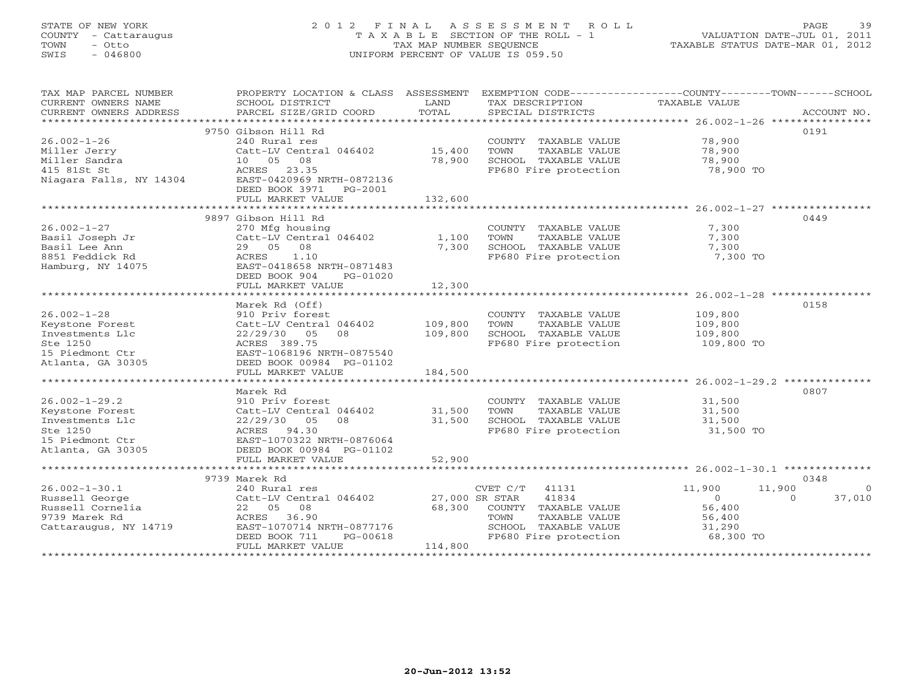#### STATE OF NEW YORK 2 0 1 2 F I N A L A S S E S S M E N T R O L L PAGE 39 COUNTY - Cattaraugus T A X A B L E SECTION OF THE ROLL - 1 VALUATION DATE-JUL 01, 2011 TOWN - Otto TAX MAP NUMBER SEQUENCE TAXABLE STATUS DATE-MAR 01, 2012 SWIS - 046800 UNIFORM PERCENT OF VALUE IS 059.50UNIFORM PERCENT OF VALUE IS 059.50

| TAX MAP PARCEL NUMBER<br>CURRENT OWNERS NAME<br>CURRENT OWNERS ADDRESS | PROPERTY LOCATION & CLASS ASSESSMENT<br>SCHOOL DISTRICT<br>PARCEL SIZE/GRID COORD | LAND<br>TOTAL  | EXEMPTION CODE-----------------COUNTY-------TOWN------SCHOOL<br>TAX DESCRIPTION<br>SPECIAL DISTRICTS | TAXABLE VALUE | ACCOUNT NO.        |
|------------------------------------------------------------------------|-----------------------------------------------------------------------------------|----------------|------------------------------------------------------------------------------------------------------|---------------|--------------------|
|                                                                        |                                                                                   |                |                                                                                                      |               |                    |
|                                                                        | 9750 Gibson Hill Rd                                                               |                |                                                                                                      |               | 0191               |
| $26.002 - 1 - 26$                                                      | 240 Rural res                                                                     |                | COUNTY TAXABLE VALUE                                                                                 | 78,900        |                    |
| Miller Jerry                                                           | Catt-LV Central 046402                                                            | 15,400         | TOWN<br>TAXABLE VALUE                                                                                | 78,900        |                    |
| Miller Sandra                                                          | 10 05 08                                                                          | 78,900         | SCHOOL TAXABLE VALUE                                                                                 | 78,900        |                    |
| 415 81St St                                                            | ACRES 23.35                                                                       |                | FP680 Fire protection                                                                                | 78,900 TO     |                    |
| Niagara Falls, NY 14304                                                | EAST-0420969 NRTH-0872136                                                         |                |                                                                                                      |               |                    |
|                                                                        | DEED BOOK 3971<br>PG-2001                                                         |                |                                                                                                      |               |                    |
|                                                                        | FULL MARKET VALUE                                                                 | 132,600        |                                                                                                      |               |                    |
|                                                                        |                                                                                   |                |                                                                                                      |               |                    |
|                                                                        | 9897 Gibson Hill Rd                                                               |                |                                                                                                      |               | 0449               |
| $26.002 - 1 - 27$                                                      | 270 Mfg housing                                                                   |                | COUNTY TAXABLE VALUE                                                                                 | 7,300         |                    |
| Basil Joseph Jr                                                        | Catt-LV Central 046402                                                            | 1,100          | TOWN<br>TAXABLE VALUE                                                                                | 7,300         |                    |
| Basil Lee Ann                                                          | 08<br>29 05                                                                       | 7,300          | SCHOOL TAXABLE VALUE                                                                                 | 7,300         |                    |
| 8851 Feddick Rd                                                        | <b>ACRES</b><br>1.10                                                              |                | FP680 Fire protection                                                                                | 7,300 TO      |                    |
| Hamburg, NY 14075                                                      | EAST-0418658 NRTH-0871483                                                         |                |                                                                                                      |               |                    |
|                                                                        |                                                                                   |                |                                                                                                      |               |                    |
|                                                                        | DEED BOOK 904<br>PG-01020                                                         | 12,300         |                                                                                                      |               |                    |
|                                                                        | FULL MARKET VALUE                                                                 |                |                                                                                                      |               |                    |
|                                                                        |                                                                                   |                |                                                                                                      |               |                    |
|                                                                        | Marek Rd (Off)                                                                    |                |                                                                                                      |               | 0158               |
| $26.002 - 1 - 28$                                                      | 910 Priv forest                                                                   |                | COUNTY TAXABLE VALUE                                                                                 | 109,800       |                    |
| Keystone Forest                                                        | Catt-LV Central 046402                                                            | 109,800        | TOWN<br>TAXABLE VALUE                                                                                | 109,800       |                    |
| Investments Llc                                                        | 22/29/30<br>05<br>08                                                              | 109,800        | SCHOOL TAXABLE VALUE                                                                                 | 109,800       |                    |
| Ste 1250                                                               | ACRES 389.75                                                                      |                | FP680 Fire protection                                                                                | 109,800 TO    |                    |
| 15 Piedmont Ctr                                                        | EAST-1068196 NRTH-0875540                                                         |                |                                                                                                      |               |                    |
| Atlanta, GA 30305                                                      | DEED BOOK 00984 PG-01102                                                          |                |                                                                                                      |               |                    |
|                                                                        | FULL MARKET VALUE                                                                 | 184,500        |                                                                                                      |               |                    |
|                                                                        |                                                                                   |                |                                                                                                      |               |                    |
|                                                                        | Marek Rd                                                                          |                |                                                                                                      |               | 0807               |
| $26.002 - 1 - 29.2$                                                    | 910 Priv forest                                                                   |                | COUNTY TAXABLE VALUE                                                                                 | 31,500        |                    |
| Keystone Forest                                                        | Catt-LV Central 046402                                                            | 31,500         | TOWN<br>TAXABLE VALUE                                                                                | 31,500        |                    |
| Investments Llc                                                        | 22/29/30<br>08<br>05                                                              | 31,500         | SCHOOL TAXABLE VALUE                                                                                 | 31,500        |                    |
| Ste 1250                                                               | ACRES 94.30                                                                       |                | FP680 Fire protection                                                                                | 31,500 TO     |                    |
| 15 Piedmont Ctr                                                        | EAST-1070322 NRTH-0876064                                                         |                |                                                                                                      |               |                    |
| Atlanta, GA 30305                                                      | DEED BOOK 00984 PG-01102                                                          |                |                                                                                                      |               |                    |
|                                                                        | FULL MARKET VALUE                                                                 | 52,900         |                                                                                                      |               |                    |
|                                                                        |                                                                                   |                |                                                                                                      |               |                    |
|                                                                        | 9739 Marek Rd                                                                     |                |                                                                                                      |               | 0348               |
| $26.002 - 1 - 30.1$                                                    | 240 Rural res                                                                     |                | CVET C/T<br>41131                                                                                    | 11,900        | 11,900<br>$\Omega$ |
| Russell George                                                         | Catt-LV Central 046402                                                            | 27,000 SR STAR | 41834                                                                                                | $\Omega$      | 37,010<br>$\Omega$ |
| Russell Cornelia                                                       | 22 05<br>08                                                                       | 68,300         | COUNTY TAXABLE VALUE                                                                                 | 56,400        |                    |
| 9739 Marek Rd                                                          | ACRES<br>36.90                                                                    |                | TOWN<br>TAXABLE VALUE                                                                                | 56,400        |                    |
| Cattaraugus, NY 14719                                                  | EAST-1070714 NRTH-0877176                                                         |                | SCHOOL TAXABLE VALUE                                                                                 | 31,290        |                    |
|                                                                        | DEED BOOK 711<br>PG-00618                                                         |                | FP680 Fire protection                                                                                | 68,300 TO     |                    |
|                                                                        | FULL MARKET VALUE                                                                 | 114,800        |                                                                                                      |               |                    |
|                                                                        |                                                                                   |                |                                                                                                      |               |                    |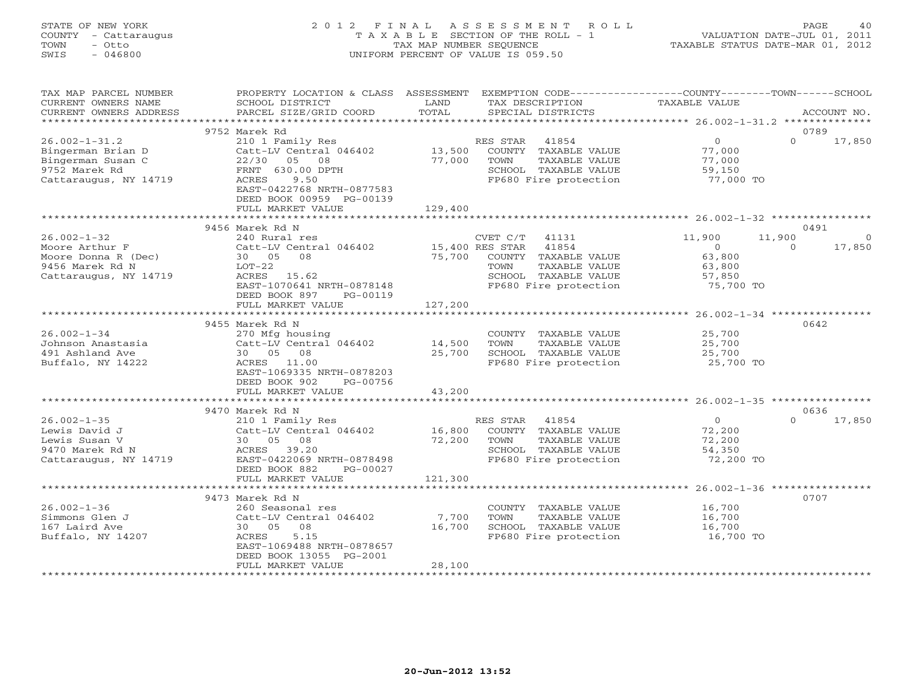#### STATE OF NEW YORK 2 0 1 2 F I N A L A S S E S S M E N T R O L L PAGE 40COUNTY - Cattaraugus T A X A B L E SECTION OF THE ROLL - 1 VALUATION DATE-JUL 01, 2011 TOWN - Otto 1999 - TAX MAP NUMBER SEQUENCE TAXABLE STATUS DATE-MAR 01, 2012<br>TAXABLE STATUS DATE-MAR 01, 2012 SWIS - 046800 UNIFORM PERCENT OF VALUE IS 059.50

| TAX MAP PARCEL NUMBER<br>CURRENT OWNERS NAME<br>CURRENT OWNERS ADDRESS                                  | PROPERTY LOCATION & CLASS<br>SCHOOL DISTRICT<br>PARCEL SIZE/GRID COORD                                                                                                                              | ASSESSMENT<br>LAND<br>TOTAL | EXEMPTION CODE-----------------COUNTY-------TOWN------SCHOOL<br>TAX DESCRIPTION<br>SPECIAL DISTRICTS                                            | TAXABLE VALUE                                                | ACCOUNT NO.                  |
|---------------------------------------------------------------------------------------------------------|-----------------------------------------------------------------------------------------------------------------------------------------------------------------------------------------------------|-----------------------------|-------------------------------------------------------------------------------------------------------------------------------------------------|--------------------------------------------------------------|------------------------------|
| *************************                                                                               |                                                                                                                                                                                                     |                             |                                                                                                                                                 |                                                              |                              |
| $26.002 - 1 - 31.2$<br>Bingerman Brian D<br>Bingerman Susan C<br>9752 Marek Rd<br>Cattaraugus, NY 14719 | 9752 Marek Rd<br>210 1 Family Res<br>Catt-LV Central 046402<br>22/30<br>05<br>08<br>FRNT 630.00 DPTH<br>ACRES<br>9.50<br>EAST-0422768 NRTH-0877583<br>DEED BOOK 00959 PG-00139<br>FULL MARKET VALUE | 13,500<br>77,000<br>129,400 | 41854<br>RES STAR<br>COUNTY TAXABLE VALUE<br>TOWN<br>TAXABLE VALUE<br>SCHOOL TAXABLE VALUE<br>FP680 Fire protection                             | $\overline{0}$<br>77,000<br>77,000<br>59,150<br>77,000 TO    | 0789<br>$\Omega$<br>17,850   |
|                                                                                                         | 9456 Marek Rd N                                                                                                                                                                                     |                             |                                                                                                                                                 |                                                              | 0491                         |
| $26.002 - 1 - 32$<br>Moore Arthur F<br>Moore Donna R (Dec)<br>9456 Marek Rd N<br>Cattaraugus, NY 14719  | 240 Rural res<br>Catt-LV Central 046402<br>30 05<br>08<br>$LOT-22$<br>ACRES<br>15.62<br>EAST-1070641 NRTH-0878148<br>DEED BOOK 897<br>PG-00119                                                      | 75,700                      | CVET C/T<br>41131<br>41854<br>15,400 RES STAR<br>COUNTY TAXABLE VALUE<br>TAXABLE VALUE<br>TOWN<br>SCHOOL TAXABLE VALUE<br>FP680 Fire protection | 11,900<br>$\circ$<br>63,800<br>63,800<br>57,850<br>75,700 TO | 11,900<br>17,850<br>$\Omega$ |
|                                                                                                         | FULL MARKET VALUE                                                                                                                                                                                   | 127,200                     |                                                                                                                                                 |                                                              |                              |
| $26.002 - 1 - 34$<br>Johnson Anastasia<br>491 Ashland Ave<br>Buffalo, NY 14222                          | 9455 Marek Rd N<br>270 Mfg housing<br>Catt-LV Central 046402<br>30 05<br>08<br>11.00<br>ACRES<br>EAST-1069335 NRTH-0878203<br>DEED BOOK 902<br>PG-00756<br>FULL MARKET VALUE                        | 14,500<br>25,700<br>43,200  | COUNTY TAXABLE VALUE<br>TOWN<br>TAXABLE VALUE<br>SCHOOL TAXABLE VALUE<br>FP680 Fire protection                                                  | 25,700<br>25,700<br>25,700<br>25,700 TO                      | 0642                         |
|                                                                                                         |                                                                                                                                                                                                     |                             |                                                                                                                                                 |                                                              |                              |
| $26.002 - 1 - 35$<br>Lewis David J<br>Lewis Susan V<br>9470 Marek Rd N<br>Cattaraugus, NY 14719         | 9470 Marek Rd N<br>210 1 Family Res<br>Catt-LV Central 046402<br>30 05<br>08<br>ACRES<br>39.20<br>EAST-0422069 NRTH-0878498<br>DEED BOOK 882<br>PG-00027                                            | 16,800<br>72,200            | RES STAR<br>41854<br>COUNTY TAXABLE VALUE<br>TAXABLE VALUE<br>TOWN<br>SCHOOL TAXABLE VALUE<br>FP680 Fire protection                             | $\circ$<br>72,200<br>72,200<br>54,350<br>72,200 TO           | 0636<br>$\Omega$<br>17,850   |
|                                                                                                         | FULL MARKET VALUE                                                                                                                                                                                   | 121,300                     |                                                                                                                                                 |                                                              |                              |
| $26.002 - 1 - 36$<br>Simmons Glen J<br>167 Laird Ave<br>Buffalo, NY 14207                               | 9473 Marek Rd N<br>260 Seasonal res<br>Catt-LV Central 046402<br>30 05<br>08<br>ACRES<br>5.15<br>EAST-1069488 NRTH-0878657<br>DEED BOOK 13055 PG-2001                                               | 7,700<br>16,700             | COUNTY TAXABLE VALUE<br>TOWN<br>TAXABLE VALUE<br>SCHOOL TAXABLE VALUE<br>FP680 Fire protection                                                  | 16,700<br>16,700<br>16,700<br>16,700 TO                      | 0707                         |
|                                                                                                         | FULL MARKET VALUE                                                                                                                                                                                   | 28,100                      |                                                                                                                                                 |                                                              |                              |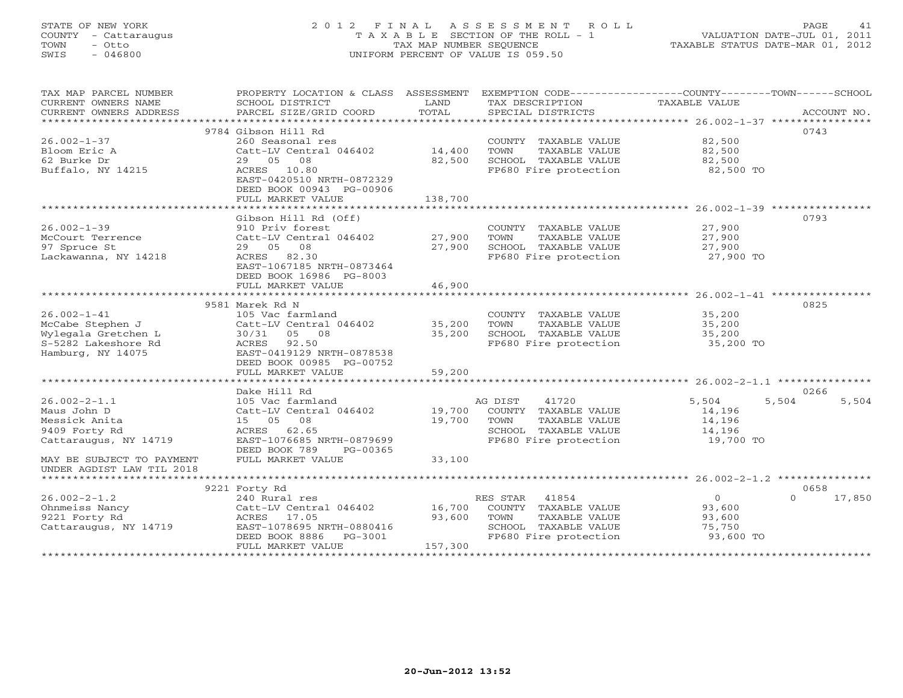### STATE OF NEW YORK 2 0 1 2 F I N A L A S S E S S M E N T R O L L PAGE 41 COUNTY - Cattaraugus T A X A B L E SECTION OF THE ROLL - 1 VALUATION DATE-JUL 01, 2011 TOWN - Otto TAX MAP NUMBER SEQUENCE TAXABLE STATUS DATE-MAR 01, 2012 SWIS - 046800 UNIFORM PERCENT OF VALUE IS 059.50UNIFORM PERCENT OF VALUE IS 059.50

| TAX MAP PARCEL NUMBER     | PROPERTY LOCATION & CLASS ASSESSMENT                                   |         | EXEMPTION CODE-----------------COUNTY-------TOWN------SCHOOL   |                  |                    |
|---------------------------|------------------------------------------------------------------------|---------|----------------------------------------------------------------|------------------|--------------------|
| CURRENT OWNERS NAME       | SCHOOL DISTRICT                                                        | LAND    | TAX DESCRIPTION                                                | TAXABLE VALUE    |                    |
|                           |                                                                        |         |                                                                |                  |                    |
|                           |                                                                        |         |                                                                |                  |                    |
|                           | 9784 Gibson Hill Rd                                                    |         |                                                                |                  | 0743               |
| $26.002 - 1 - 37$         | 260 Seasonal res                                                       |         | COUNTY TAXABLE VALUE 82,500                                    |                  |                    |
| Bloom Eric A              | Catt-LV Central 046402 14,400                                          |         | TOWN<br>TAXABLE VALUE                                          | 82,500           |                    |
| 62 Burke Dr               | 29 05<br>08                                                            | 82,500  | SCHOOL TAXABLE VALUE                                           | 82,500           |                    |
| Buffalo, NY 14215         | ACRES 10.80                                                            |         | FP680 Fire protection                                          | 82,500 TO        |                    |
|                           | EAST-0420510 NRTH-0872329                                              |         |                                                                |                  |                    |
|                           | DEED BOOK 00943 PG-00906                                               |         |                                                                |                  |                    |
|                           | FULL MARKET VALUE                                                      | 138,700 |                                                                |                  |                    |
|                           |                                                                        |         |                                                                |                  |                    |
|                           | Gibson Hill Rd (Off)                                                   |         |                                                                |                  | 0793               |
| $26.002 - 1 - 39$         | 910 Priv forest                                                        |         | COUNTY TAXABLE VALUE                                           | 27,900           |                    |
| McCourt Terrence          | $Cat$ -LV Central 046402                                               | 27,900  | TAXABLE VALUE<br>TOWN                                          | 27,900           |                    |
| 97 Spruce St              | 29 05 08                                                               | 27,900  |                                                                |                  |                    |
| Lackawanna, NY 14218      | ACRES 82.30                                                            |         |                                                                |                  |                    |
|                           | EAST-1067185 NRTH-0873464                                              |         |                                                                |                  |                    |
|                           | DEED BOOK 16986 PG-8003                                                |         |                                                                |                  |                    |
|                           | FULL MARKET VALUE                                                      | 46,900  |                                                                |                  |                    |
|                           |                                                                        |         |                                                                |                  |                    |
|                           | 9581 Marek Rd N                                                        |         |                                                                |                  | 0825               |
| $26.002 - 1 - 41$         |                                                                        |         | COUNTY TAXABLE VALUE                                           |                  |                    |
| McCabe Stephen J          | 105 Vac farmland<br>Catt-LV Central 046402 35,200                      |         | TOWN<br>TAXABLE VALUE                                          | 35,200<br>35,200 |                    |
| Wylegala Gretchen L       | 30/31 05 08                                                            | 35,200  |                                                                |                  |                    |
| S-5282 Lakeshore Rd       | ACRES 92.50                                                            |         | SCHOOL TAXABLE VALUE 35,200<br>FP680 Fire protection 35,200 TO |                  |                    |
| Hamburg, NY 14075         | EAST-0419129 NRTH-0878538                                              |         |                                                                |                  |                    |
|                           | DEED BOOK 00985 PG-00752                                               |         |                                                                |                  |                    |
|                           | FULL MARKET VALUE                                                      | 59,200  |                                                                |                  |                    |
|                           |                                                                        |         |                                                                |                  |                    |
|                           |                                                                        |         |                                                                |                  |                    |
|                           | Dake Hill Rd                                                           |         |                                                                |                  | 0266               |
| $26.002 - 2 - 1.1$        | 105 Vac farmland<br>Catt-LV Central 046402 19,700 COUNTY TAXABLE VALUE |         | AG DIST<br>41720                                               | 5,504            | 5,504<br>5,504     |
| Maus John D               |                                                                        |         |                                                                | 14,196           |                    |
| Messick Anita             | 15 05 08                                                               | 19,700  | TAXABLE VALUE<br>TOWN                                          | 14,196           |                    |
| 9409 Forty Rd             | ACRES 62.65                                                            |         | SCHOOL TAXABLE VALUE                                           | 14, 196          |                    |
| Cattaraugus, NY 14719     | EAST-1076685 NRTH-0879699                                              |         | FP680 Fire protection 19,700 TO                                |                  |                    |
|                           | DEED BOOK 789<br>PG-00365                                              |         |                                                                |                  |                    |
| MAY BE SUBJECT TO PAYMENT | FULL MARKET VALUE                                                      | 33,100  |                                                                |                  |                    |
| UNDER AGDIST LAW TIL 2018 |                                                                        |         |                                                                |                  |                    |
|                           |                                                                        |         |                                                                |                  |                    |
|                           | 9221 Forty Rd                                                          |         |                                                                |                  | 0658               |
| $26.002 - 2 - 1.2$        | 240 Rural res                                                          |         | 41854<br>RES STAR                                              | $\overline{0}$   | 17,850<br>$\Omega$ |
| Ohnmeiss Nancy            | Catt-LV Central 046402 16,700 COUNTY TAXABLE VALUE                     |         |                                                                | 93,600           |                    |
| 9221 Forty Rd             | ACRES 17.05                                                            | 93,600  | TAXABLE VALUE<br>TOWN                                          | 93,600           |                    |
| Cattaraugus, NY 14719     | EAST-1078695 NRTH-0880416                                              |         | SCHOOL TAXABLE VALUE<br>FP680 Fire protection                  | 75,750           |                    |
|                           | DEED BOOK 8886    PG-3001                                              |         |                                                                | 93,600 TO        |                    |
|                           | FULL MARKET VALUE                                                      | 157,300 |                                                                |                  |                    |
|                           |                                                                        |         |                                                                |                  |                    |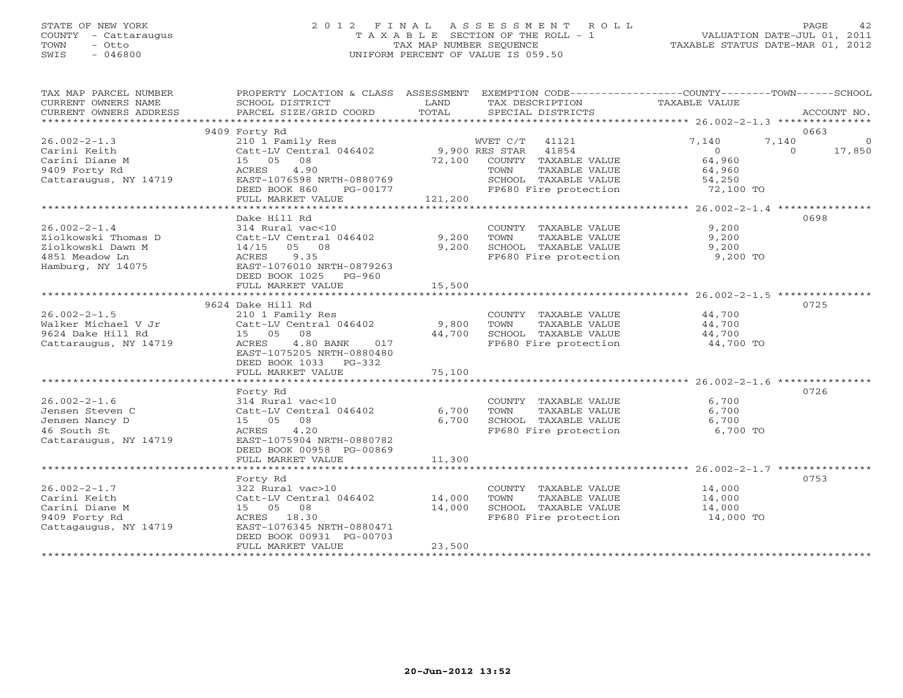# STATE OF NEW YORK 2 0 1 2 F I N A L A S S E S S M E N T R O L L PAGE 42 COUNTY - Cattaraugus T A X A B L E SECTION OF THE ROLL - 1 VALUATION DATE-JUL 01, 2011 TOWN - Otto TAX MAP NUMBER SEQUENCE TAXABLE STATUS DATE-MAR 01, 2012 SWIS - 046800 UNIFORM PERCENT OF VALUE IS 059.50

| TAX MAP PARCEL NUMBER<br>CURRENT OWNERS NAME<br>CURRENT OWNERS ADDRESS | PROPERTY LOCATION & CLASS ASSESSMENT<br>SCHOOL DISTRICT<br>PARCEL SIZE/GRID COORD | LAND<br>TOTAL | EXEMPTION CODE----------------COUNTY-------TOWN------SCHOOL<br>TAX DESCRIPTION<br>SPECIAL DISTRICTS | TAXABLE VALUE           | ACCOUNT NO.                     |
|------------------------------------------------------------------------|-----------------------------------------------------------------------------------|---------------|-----------------------------------------------------------------------------------------------------|-------------------------|---------------------------------|
|                                                                        |                                                                                   |               |                                                                                                     |                         |                                 |
|                                                                        | 9409 Forty Rd                                                                     |               |                                                                                                     |                         | 0663<br>7,140<br>$\overline{0}$ |
| $26.002 - 2 - 1.3$<br>Carini Keith                                     | 210 1 Family Res<br>Catt-LV Central 046402 9,900 RES STAR                         |               | WVET C/T 41121<br>41854                                                                             | 7,140<br>$\overline{0}$ | $\Omega$<br>17,850              |
| Carini Diane M                                                         | 15 05 08                                                                          |               | 72,100 COUNTY TAXABLE VALUE                                                                         | 64,960                  |                                 |
| 9409 Forty Rd                                                          | 4.90<br>ACRES                                                                     |               | TOWN<br>TAXABLE VALUE                                                                               | 64,960                  |                                 |
| Cattaraugus, NY 14719                                                  | EAST-1076598 NRTH-0880769                                                         |               |                                                                                                     | 54,250                  |                                 |
|                                                                        | DEED BOOK 860<br>PG-00177                                                         |               | SCHOOL TAXABLE VALUE<br>FP680 Fire protection                                                       | 72,100 TO               |                                 |
|                                                                        | FULL MARKET VALUE                                                                 | 121,200       |                                                                                                     |                         |                                 |
|                                                                        |                                                                                   |               |                                                                                                     |                         |                                 |
|                                                                        | Dake Hill Rd                                                                      |               |                                                                                                     |                         | 0698                            |
| $26.002 - 2 - 1.4$                                                     | 314 Rural vac<10                                                                  |               | COUNTY TAXABLE VALUE                                                                                | 9,200                   |                                 |
| Ziolkowski Thomas D                                                    | Catt-LV Central 046402                                                            | 9,200         | TOWN<br>TAXABLE VALUE                                                                               | 9,200                   |                                 |
| Ziolkowski Dawn M                                                      | $14/15$ 05 08                                                                     | 9,200         | SCHOOL TAXABLE VALUE                                                                                | 9,200                   |                                 |
| 4851 Meadow Ln                                                         | ACRES<br>9.35                                                                     |               | FP680 Fire protection 9,200 TO                                                                      |                         |                                 |
| Hamburg, NY 14075                                                      | EAST-1076010 NRTH-0879263                                                         |               |                                                                                                     |                         |                                 |
|                                                                        | DEED BOOK 1025 PG-960<br>FULL MARKET VALUE                                        | 15,500        |                                                                                                     |                         |                                 |
|                                                                        |                                                                                   |               |                                                                                                     |                         |                                 |
|                                                                        | 9624 Dake Hill Rd                                                                 |               |                                                                                                     |                         | 0725                            |
| $26.002 - 2 - 1.5$                                                     | 210 1 Family Res                                                                  |               | COUNTY TAXABLE VALUE 44,700                                                                         |                         |                                 |
| Walker Michael V Jr                                                    | Catt-LV Central 046402                                                            | 9,800         | TOWN<br>TAXABLE VALUE                                                                               | 44,700                  |                                 |
| 9624 Dake Hill Rd                                                      | 08<br>15 05                                                                       | 44,700        | SCHOOL TAXABLE VALUE                                                                                | 44,700                  |                                 |
| Cattaraugus, NY 14719                                                  | 4.80 BANK<br>ACRES<br>017                                                         |               | FP680 Fire protection                                                                               | 44,700 TO               |                                 |
|                                                                        | EAST-1075205 NRTH-0880480                                                         |               |                                                                                                     |                         |                                 |
|                                                                        | DEED BOOK 1033 PG-332                                                             |               |                                                                                                     |                         |                                 |
|                                                                        | FULL MARKET VALUE                                                                 | 75,100        |                                                                                                     |                         |                                 |
|                                                                        |                                                                                   |               |                                                                                                     |                         |                                 |
|                                                                        | Forty Rd                                                                          |               |                                                                                                     |                         | 0726                            |
| $26.002 - 2 - 1.6$                                                     | 314 Rural vac<10                                                                  |               | COUNTY TAXABLE VALUE                                                                                | 6,700                   |                                 |
| Jensen Steven C                                                        | Catt-LV Central 046402                                                            | 6,700         | TOWN<br>TAXABLE VALUE                                                                               | 6,700                   |                                 |
| Jensen Nancy D<br>46 South St                                          | 15 05 08<br>4.20<br>ACRES                                                         | 6,700         | SCHOOL TAXABLE VALUE<br>FP680 Fire protection                                                       | 6,700<br>6,700 TO       |                                 |
| Cattaraugus, NY 14719                                                  | EAST-1075904 NRTH-0880782                                                         |               |                                                                                                     |                         |                                 |
|                                                                        | DEED BOOK 00958 PG-00869                                                          |               |                                                                                                     |                         |                                 |
|                                                                        | FULL MARKET VALUE                                                                 | 11,300        |                                                                                                     |                         |                                 |
|                                                                        |                                                                                   |               |                                                                                                     |                         |                                 |
|                                                                        | Forty Rd                                                                          |               |                                                                                                     |                         | 0753                            |
| $26.002 - 2 - 1.7$                                                     | 322 Rural vac>10                                                                  |               | COUNTY TAXABLE VALUE                                                                                | 14,000                  |                                 |
| Carini Keith                                                           | Catt-LV Central 046402                                                            | 14,000        | TOWN<br>TAXABLE VALUE                                                                               | 14,000                  |                                 |
| Carini Diane M                                                         | 15 05 08                                                                          | 14,000        | SCHOOL TAXABLE VALUE                                                                                | 14,000                  |                                 |
| 9409 Forty Rd                                                          | ACRES 18.30                                                                       |               | FP680 Fire protection                                                                               | $14,000$ TO             |                                 |
| Cattagaugus, NY 14719                                                  | EAST-1076345 NRTH-0880471                                                         |               |                                                                                                     |                         |                                 |
|                                                                        | DEED BOOK 00931 PG-00703                                                          |               |                                                                                                     |                         |                                 |
|                                                                        | FULL MARKET VALUE                                                                 | 23,500        |                                                                                                     |                         |                                 |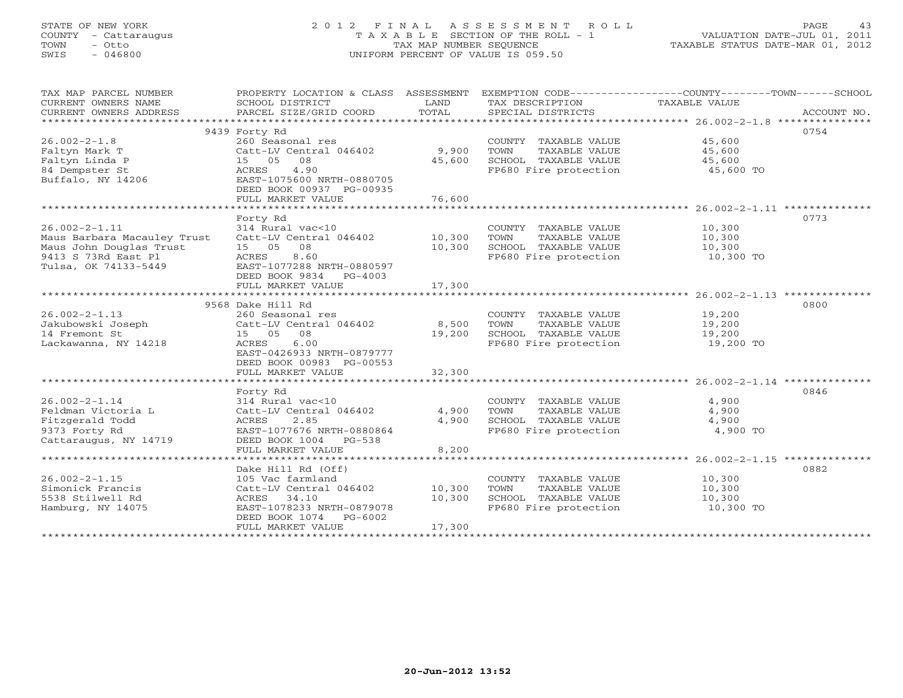# STATE OF NEW YORK 2 0 1 2 F I N A L A S S E S S M E N T R O L L PAGE 43 COUNTY - Cattaraugus T A X A B L E SECTION OF THE ROLL - 1 VALUATION DATE-JUL 01, 2011 TOWN - Otto TAX MAP NUMBER SEQUENCE TAXABLE STATUS DATE-MAR 01, 2012 SWIS - 046800 UNIFORM PERCENT OF VALUE IS 059.50

| TAX MAP PARCEL NUMBER<br>CURRENT OWNERS NAME<br>CURRENT OWNERS ADDRESS | PROPERTY LOCATION & CLASS ASSESSMENT<br>SCHOOL DISTRICT<br>PARCEL SIZE/GRID COORD | LAND<br>TOTAL  | TAX DESCRIPTION<br>SPECIAL DISTRICTS | EXEMPTION CODE----------------COUNTY-------TOWN------SCHOOL<br>TAXABLE VALUE<br>ACCOUNT NO. |
|------------------------------------------------------------------------|-----------------------------------------------------------------------------------|----------------|--------------------------------------|---------------------------------------------------------------------------------------------|
|                                                                        |                                                                                   |                |                                      |                                                                                             |
|                                                                        | 9439 Forty Rd                                                                     |                |                                      | 0754                                                                                        |
| $26.002 - 2 - 1.8$                                                     | 260 Seasonal res                                                                  |                | COUNTY TAXABLE VALUE                 | 45,600                                                                                      |
| Faltyn Mark T                                                          | Catt-LV Central 046402                                                            | 9,900          | TOWN<br>TAXABLE VALUE                | 45,600                                                                                      |
| Faltyn Linda P                                                         | 08<br>15 05                                                                       | 45,600         | SCHOOL TAXABLE VALUE                 | 45,600                                                                                      |
| 84 Dempster St                                                         | 4.90<br>ACRES                                                                     |                | FP680 Fire protection                | 45,600 TO                                                                                   |
| Buffalo, NY 14206                                                      | EAST-1075600 NRTH-0880705                                                         |                |                                      |                                                                                             |
|                                                                        | DEED BOOK 00937 PG-00935                                                          |                |                                      |                                                                                             |
|                                                                        | FULL MARKET VALUE                                                                 | 76,600         |                                      |                                                                                             |
|                                                                        |                                                                                   |                |                                      |                                                                                             |
|                                                                        | Forty Rd                                                                          |                |                                      | 0773                                                                                        |
| $26.002 - 2 - 1.11$                                                    | 314 Rural vac<10                                                                  |                | COUNTY TAXABLE VALUE                 | 10,300                                                                                      |
| Maus Barbara Macauley Trust                                            | Catt-LV Central 046402                                                            | 10,300         | TOWN<br>TAXABLE VALUE                | 10,300                                                                                      |
| Maus John Douglas Trust                                                | 15 05<br>08                                                                       | 10,300         | SCHOOL TAXABLE VALUE                 | 10,300                                                                                      |
| 9413 S 73Rd East Pl                                                    | ACRES<br>8.60                                                                     |                | FP680 Fire protection                | 10,300 TO                                                                                   |
| Tulsa, OK 74133-5449                                                   | EAST-1077288 NRTH-0880597                                                         |                |                                      |                                                                                             |
|                                                                        | DEED BOOK 9834 PG-4003                                                            |                |                                      |                                                                                             |
|                                                                        | FULL MARKET VALUE                                                                 | 17,300         |                                      |                                                                                             |
|                                                                        |                                                                                   |                |                                      |                                                                                             |
|                                                                        | 9568 Dake Hill Rd                                                                 |                |                                      | 0800                                                                                        |
| $26.002 - 2 - 1.13$                                                    | 260 Seasonal res                                                                  |                | COUNTY TAXABLE VALUE                 | 19,200                                                                                      |
| Jakubowski Joseph                                                      | Catt-LV Central 046402                                                            | 8,500          | TAXABLE VALUE<br>TOWN                | 19,200                                                                                      |
| 14 Fremont St                                                          | 08<br>15 05                                                                       | 19,200         | SCHOOL TAXABLE VALUE                 | 19,200                                                                                      |
| Lackawanna, NY 14218                                                   | ACRES<br>6.00                                                                     |                | FP680 Fire protection                | 19,200 TO                                                                                   |
|                                                                        | EAST-0426933 NRTH-0879777                                                         |                |                                      |                                                                                             |
|                                                                        | DEED BOOK 00983 PG-00553                                                          |                |                                      |                                                                                             |
|                                                                        | FULL MARKET VALUE                                                                 | 32,300         |                                      |                                                                                             |
|                                                                        |                                                                                   |                |                                      |                                                                                             |
|                                                                        | Forty Rd                                                                          |                |                                      | 0846                                                                                        |
| $26.002 - 2 - 1.14$                                                    | 314 Rural vac<10                                                                  |                | COUNTY TAXABLE VALUE                 | 4,900                                                                                       |
| Feldman Victoria L                                                     | Catt-LV Central 046402                                                            | 4,900          | TOWN<br>TAXABLE VALUE                | 4,900                                                                                       |
| Fitzgerald Todd                                                        | ACRES<br>2.85                                                                     | 4,900          | SCHOOL TAXABLE VALUE                 | 4,900                                                                                       |
| 9373 Forty Rd                                                          | EAST-1077676 NRTH-0880864                                                         |                | FP680 Fire protection                | 4,900 TO                                                                                    |
| Cattaraugus, NY 14719                                                  | DEED BOOK 1004 PG-538                                                             |                |                                      |                                                                                             |
|                                                                        | FULL MARKET VALUE                                                                 | 8,200          |                                      |                                                                                             |
|                                                                        |                                                                                   |                |                                      |                                                                                             |
|                                                                        | Dake Hill Rd (Off)                                                                |                |                                      | 0882                                                                                        |
| $26.002 - 2 - 1.15$                                                    | 105 Vac farmland                                                                  |                | COUNTY TAXABLE VALUE                 | 10,300                                                                                      |
| Simonick Francis                                                       | Catt-LV Central 046402                                                            | 10,300         | TOWN<br>TAXABLE VALUE                | 10,300                                                                                      |
| 5538 Stilwell Rd                                                       | ACRES 34.10                                                                       | 10,300         | SCHOOL TAXABLE VALUE                 | 10,300                                                                                      |
| Hamburg, NY 14075                                                      | EAST-1078233 NRTH-0879078                                                         |                | FP680 Fire protection                | 10,300 TO                                                                                   |
|                                                                        | DEED BOOK 1074<br>PG-6002                                                         |                |                                      |                                                                                             |
|                                                                        | FULL MARKET VALUE                                                                 | 17,300         |                                      |                                                                                             |
|                                                                        | **********************                                                            | ************** |                                      |                                                                                             |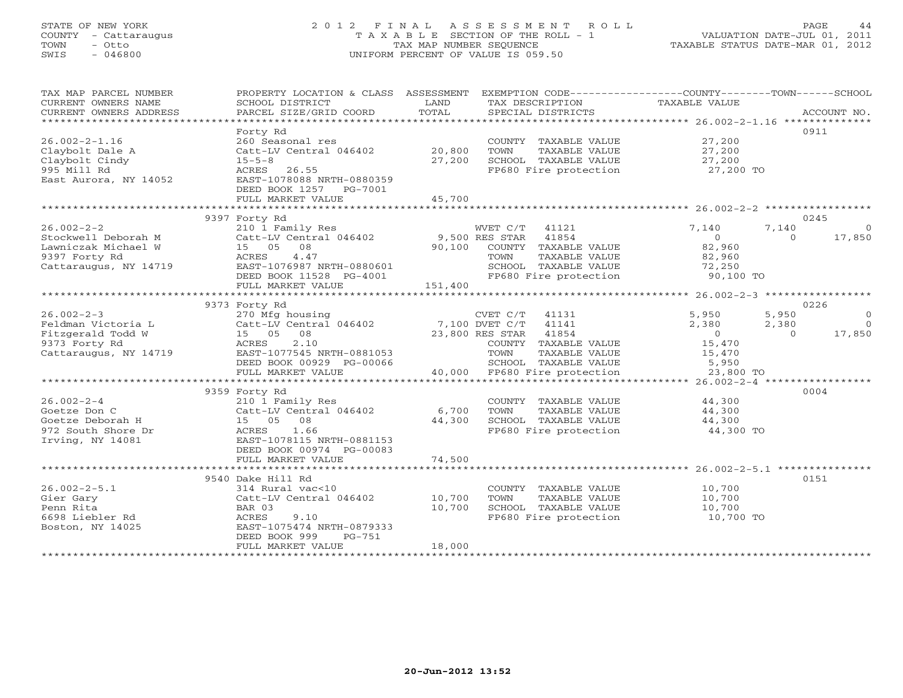#### STATE OF NEW YORK 2 0 1 2 F I N A L A S S E S S M E N T R O L L PAGE 44 COUNTY - Cattaraugus T A X A B L E SECTION OF THE ROLL - 1 VALUATION DATE-JUL 01, 2011 TOWN - Otto TAX MAP NUMBER SEQUENCE TAXABLE STATUS DATE-MAR 01, 2012 SWIS - 046800 UNIFORM PERCENT OF VALUE IS 059.50UNIFORM PERCENT OF VALUE IS 059.50

TAX MAP PARCEL NUMBER PROPERTY LOCATION & CLASS ASSESSMENT EXEMPTION CODE----------------COUNTY-------TOWN------SCHOOL

| CURRENT OWNERS NAME    | SCHOOL DISTRICT           | LAND              | TAX DESCRIPTION          | TAXABLE VALUE                                   |             |
|------------------------|---------------------------|-------------------|--------------------------|-------------------------------------------------|-------------|
| CURRENT OWNERS ADDRESS | PARCEL SIZE/GRID COORD    | TOTAL             | SPECIAL DISTRICTS        |                                                 | ACCOUNT NO. |
|                        |                           | ***************** |                          | ****************** 26.002-2-1.16 ************** |             |
|                        | Forty Rd                  |                   |                          |                                                 | 0911        |
| $26.002 - 2 - 1.16$    | 260 Seasonal res          |                   | COUNTY TAXABLE VALUE     | 27,200                                          |             |
| Claybolt Dale A        | Catt-LV Central 046402    | 20,800            | TOWN<br>TAXABLE VALUE    | 27,200                                          |             |
| Claybolt Cindy         | $15 - 5 - 8$              | 27,200            | SCHOOL TAXABLE VALUE     | 27,200                                          |             |
| 995 Mill Rd            | 26.55<br>ACRES            |                   | FP680 Fire protection    | 27,200 TO                                       |             |
| East Aurora, NY 14052  | EAST-1078088 NRTH-0880359 |                   |                          |                                                 |             |
|                        | DEED BOOK 1257<br>PG-7001 |                   |                          |                                                 |             |
|                        | FULL MARKET VALUE         | 45,700            |                          |                                                 |             |
|                        |                           |                   |                          |                                                 |             |
|                        | 9397 Forty Rd             |                   |                          |                                                 | 0245        |
| $26.002 - 2 - 2$       | 210 1 Family Res          |                   | WVET C/T<br>41121        | 7,140<br>7,140                                  | $\Omega$    |
| Stockwell Deborah M    | Catt-LV Central 046402    |                   | 9,500 RES STAR<br>41854  | $\circ$<br>$\Omega$                             | 17,850      |
| Lawniczak Michael W    | 15 05<br>08               | 90,100            | COUNTY TAXABLE VALUE     | 82,960                                          |             |
| 9397 Forty Rd          | 4.47<br><b>ACRES</b>      |                   | TOWN<br>TAXABLE VALUE    | 82,960                                          |             |
| Cattaraugus, NY 14719  | EAST-1076987 NRTH-0880601 |                   | SCHOOL TAXABLE VALUE     | 72,250                                          |             |
|                        | DEED BOOK 11528 PG-4001   |                   | FP680 Fire protection    | 90,100 TO                                       |             |
|                        | FULL MARKET VALUE         | 151,400           |                          |                                                 |             |
|                        |                           |                   |                          |                                                 |             |
|                        | 9373 Forty Rd             |                   |                          |                                                 | 0226        |
| $26.002 - 2 - 3$       | 270 Mfg housing           |                   | CVET C/T<br>41131        | 5,950<br>5,950                                  | $\Omega$    |
| Feldman Victoria L     | Catt-LV Central 046402    |                   | 7,100 DVET C/T<br>41141  | 2,380<br>2,380                                  | $\Omega$    |
| Fitzgerald Todd W      | 15 05<br>08               |                   | 23,800 RES STAR<br>41854 | $\circ$<br>$\Omega$                             | 17,850      |
| 9373 Forty Rd          | 2.10<br>ACRES             |                   | COUNTY TAXABLE VALUE     | 15,470                                          |             |
| Cattaraugus, NY 14719  | EAST-1077545 NRTH-0881053 |                   | TOWN<br>TAXABLE VALUE    | 15,470                                          |             |
|                        | DEED BOOK 00929 PG-00066  |                   | SCHOOL TAXABLE VALUE     | 5,950                                           |             |
|                        | FULL MARKET VALUE         | 40,000            | FP680 Fire protection    | 23,800 TO                                       |             |
|                        |                           |                   |                          |                                                 |             |
|                        |                           |                   |                          | $26.002 - 2 - 4$ *****************              | 0004        |
| $26.002 - 2 - 4$       | 9359 Forty Rd             |                   |                          |                                                 |             |
|                        | 210 1 Family Res          |                   | COUNTY TAXABLE VALUE     | 44,300                                          |             |
| Goetze Don C           | Catt-LV Central 046402    | 6,700             | TOWN<br>TAXABLE VALUE    | 44,300                                          |             |
| Goetze Deborah H       | 15 05<br>08               | 44,300            | SCHOOL TAXABLE VALUE     | 44,300                                          |             |
| 972 South Shore Dr     | 1.66<br>ACRES             |                   | FP680 Fire protection    | 44,300 TO                                       |             |
| Irving, NY 14081       | EAST-1078115 NRTH-0881153 |                   |                          |                                                 |             |
|                        | DEED BOOK 00974 PG-00083  |                   |                          |                                                 |             |
|                        | FULL MARKET VALUE         | 74,500            |                          |                                                 |             |
|                        |                           |                   |                          |                                                 |             |
|                        | 9540 Dake Hill Rd         |                   |                          |                                                 | 0151        |
| $26.002 - 2 - 5.1$     | 314 Rural vac<10          |                   | COUNTY TAXABLE VALUE     | 10,700                                          |             |
| Gier Gary              | Catt-LV Central 046402    | 10,700            | TOWN<br>TAXABLE VALUE    | 10,700                                          |             |
| Penn Rita              | BAR 03                    | 10,700            | SCHOOL TAXABLE VALUE     | 10,700                                          |             |
| 6698 Liebler Rd        | 9.10<br>ACRES             |                   | FP680 Fire protection    | 10,700 TO                                       |             |
| Boston, NY 14025       | EAST-1075474 NRTH-0879333 |                   |                          |                                                 |             |
|                        | DEED BOOK 999<br>$PG-751$ |                   |                          |                                                 |             |
|                        | FULL MARKET VALUE         | 18,000            |                          |                                                 |             |
|                        |                           |                   |                          |                                                 |             |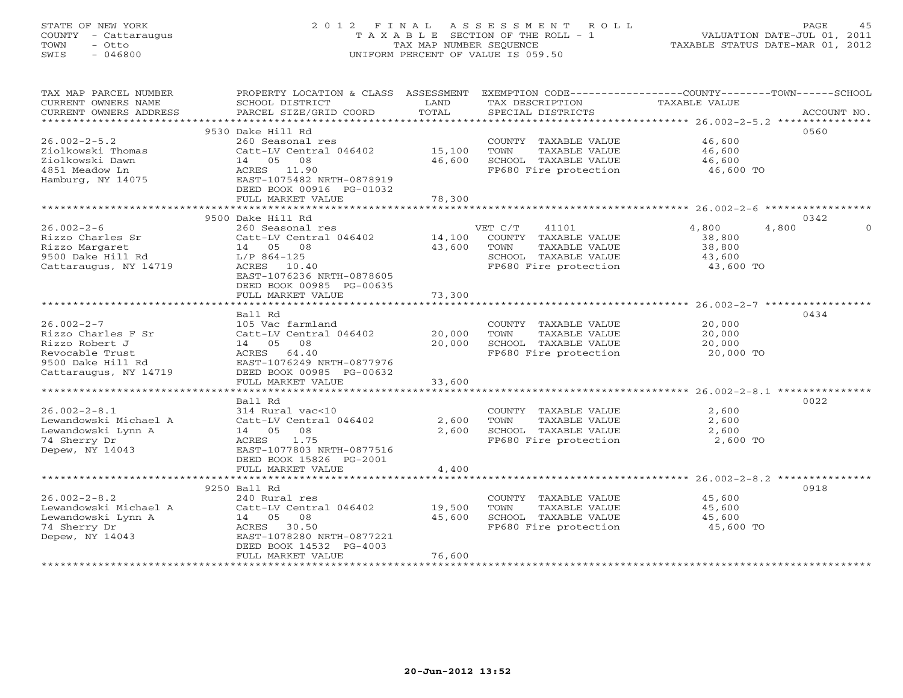# STATE OF NEW YORK 2 0 1 2 F I N A L A S S E S S M E N T R O L L PAGE 45 COUNTY - Cattaraugus T A X A B L E SECTION OF THE ROLL - 1 VALUATION DATE-JUL 01, 2011 TOWN - Otto TAX MAP NUMBER SEQUENCE TAXABLE STATUS DATE-MAR 01, 2012 SWIS - 046800 UNIFORM PERCENT OF VALUE IS 059.50

| TAX MAP PARCEL NUMBER  | PROPERTY LOCATION & CLASS ASSESSMENT |        |                       | EXEMPTION CODE----------------COUNTY-------TOWN------SCHOOL |             |
|------------------------|--------------------------------------|--------|-----------------------|-------------------------------------------------------------|-------------|
| CURRENT OWNERS NAME    | SCHOOL DISTRICT                      | LAND   | TAX DESCRIPTION       | TAXABLE VALUE                                               |             |
| CURRENT OWNERS ADDRESS | PARCEL SIZE/GRID COORD               | TOTAL  | SPECIAL DISTRICTS     |                                                             | ACCOUNT NO. |
| *******************    |                                      |        |                       |                                                             |             |
|                        | 9530 Dake Hill Rd                    |        |                       |                                                             | 0560        |
| $26.002 - 2 - 5.2$     | 260 Seasonal res                     |        | COUNTY TAXABLE VALUE  | 46,600                                                      |             |
| Ziolkowski Thomas      | Catt-LV Central 046402               | 15,100 | TOWN<br>TAXABLE VALUE | 46,600                                                      |             |
| Ziolkowski Dawn        | 14 05<br>08                          | 46,600 | SCHOOL TAXABLE VALUE  | 46,600                                                      |             |
| 4851 Meadow Ln         | ACRES<br>11.90                       |        | FP680 Fire protection | 46,600 TO                                                   |             |
| Hamburg, NY 14075      | EAST-1075482 NRTH-0878919            |        |                       |                                                             |             |
|                        | DEED BOOK 00916 PG-01032             |        |                       |                                                             |             |
|                        | FULL MARKET VALUE                    | 78,300 |                       |                                                             |             |
|                        |                                      |        |                       |                                                             |             |
|                        | 9500 Dake Hill Rd                    |        |                       |                                                             | 0342        |
| $26.002 - 2 - 6$       | 260 Seasonal res                     |        | VET C/T<br>41101      | 4,800<br>4,800                                              | $\Omega$    |
| Rizzo Charles Sr       | Catt-LV Central 046402               | 14,100 | COUNTY TAXABLE VALUE  | 38,800                                                      |             |
| Rizzo Margaret         | 14 05 08                             | 43,600 | TOWN<br>TAXABLE VALUE | 38,800                                                      |             |
| 9500 Dake Hill Rd      | L/P 864-125                          |        | SCHOOL TAXABLE VALUE  | 43,600                                                      |             |
| Cattaraugus, NY 14719  | ACRES 10.40                          |        | FP680 Fire protection | 43,600 TO                                                   |             |
|                        | EAST-1076236 NRTH-0878605            |        |                       |                                                             |             |
|                        | DEED BOOK 00985 PG-00635             |        |                       |                                                             |             |
|                        | FULL MARKET VALUE                    | 73,300 |                       |                                                             |             |
|                        |                                      |        |                       |                                                             |             |
|                        | Ball Rd                              |        |                       |                                                             | 0434        |
| $26.002 - 2 - 7$       | 105 Vac farmland                     |        | COUNTY TAXABLE VALUE  | 20,000                                                      |             |
| Rizzo Charles F Sr     | Catt-LV Central 046402               | 20,000 | TOWN<br>TAXABLE VALUE | 20,000                                                      |             |
| Rizzo Robert J         | 14 05<br>08                          | 20,000 | SCHOOL TAXABLE VALUE  | 20,000                                                      |             |
| Revocable Trust        | 64.40<br>ACRES                       |        | FP680 Fire protection | 20,000 TO                                                   |             |
| 9500 Dake Hill Rd      | EAST-1076249 NRTH-0877976            |        |                       |                                                             |             |
| Cattaraugus, NY 14719  | DEED BOOK 00985 PG-00632             |        |                       |                                                             |             |
|                        | FULL MARKET VALUE                    | 33,600 |                       |                                                             |             |
|                        |                                      |        |                       |                                                             |             |
|                        | Ball Rd                              |        |                       |                                                             | 0022        |
| $26.002 - 2 - 8.1$     | 314 Rural vac<10                     |        | COUNTY TAXABLE VALUE  | 2,600                                                       |             |
| Lewandowski Michael A  | Catt-LV Central 046402               | 2,600  | TOWN<br>TAXABLE VALUE | 2,600                                                       |             |
| Lewandowski Lynn A     | 08<br>14 05                          | 2,600  | SCHOOL TAXABLE VALUE  | 2,600                                                       |             |
| 74 Sherry Dr           | 1.75<br>ACRES                        |        | FP680 Fire protection | 2,600 TO                                                    |             |
| Depew, NY 14043        | EAST-1077803 NRTH-0877516            |        |                       |                                                             |             |
|                        | DEED BOOK 15826 PG-2001              |        |                       |                                                             |             |
|                        | FULL MARKET VALUE                    | 4,400  |                       |                                                             |             |
|                        |                                      |        |                       |                                                             |             |
|                        | 9250 Ball Rd                         |        |                       |                                                             | 0918        |
| $26.002 - 2 - 8.2$     | 240 Rural res                        |        | COUNTY TAXABLE VALUE  | 45,600                                                      |             |
| Lewandowski Michael A  | Catt-LV Central 046402               | 19,500 | TAXABLE VALUE<br>TOWN | 45,600                                                      |             |
| Lewandowski Lynn A     | 08<br>14 05                          | 45,600 | SCHOOL TAXABLE VALUE  | 45,600                                                      |             |
| 74 Sherry Dr           | 30.50<br>ACRES                       |        | FP680 Fire protection | 45,600 TO                                                   |             |
| Depew, NY 14043        | EAST-1078280 NRTH-0877221            |        |                       |                                                             |             |
|                        | DEED BOOK 14532 PG-4003              |        |                       |                                                             |             |
|                        | FULL MARKET VALUE                    | 76,600 |                       |                                                             |             |
|                        |                                      |        |                       |                                                             |             |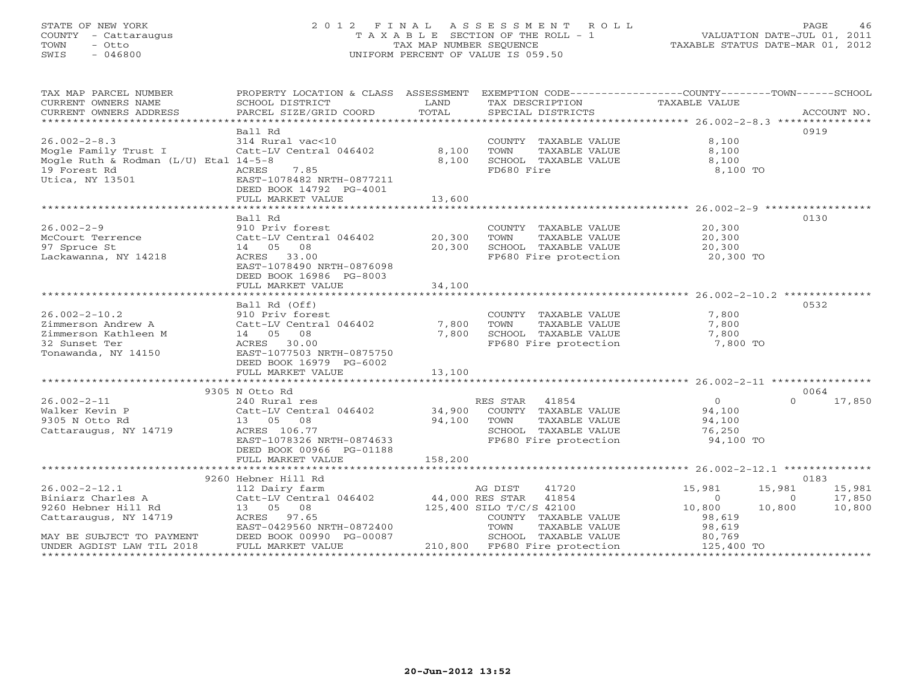#### STATE OF NEW YORK 2 0 1 2 F I N A L A S S E S S M E N T R O L L PAGE 46 COUNTY - Cattaraugus T A X A B L E SECTION OF THE ROLL - 1 VALUATION DATE-JUL 01, 2011 TOWN - Otto TAX MAP NUMBER SEQUENCE TAXABLE STATUS DATE-MAR 01, 2012 SWIS - 046800 UNIFORM PERCENT OF VALUE IS 059.50UNIFORM PERCENT OF VALUE IS 059.50

| TAX MAP PARCEL NUMBER<br>CURRENT OWNERS NAME<br>CURRENT OWNERS ADDRESS                                                                            | PROPERTY LOCATION & CLASS ASSESSMENT EXEMPTION CODE----------------COUNTY-------TOWN------SCHOOL<br>SCHOOL DISTRICT<br>PARCEL SIZE/GRID COORD                              | LAND<br>TOTAL            | TAX DESCRIPTION TAXABLE VALUE<br>SPECIAL DISTRICTS                                                                                 |                                                                                              | ACCOUNT NO.                |
|---------------------------------------------------------------------------------------------------------------------------------------------------|----------------------------------------------------------------------------------------------------------------------------------------------------------------------------|--------------------------|------------------------------------------------------------------------------------------------------------------------------------|----------------------------------------------------------------------------------------------|----------------------------|
| $26.002 - 2 - 8.3$<br>Mogle Family Trust I Catt-LV Central 046402<br>Mogle Ruth & Rodman ( $L/U$ ) Etal 14-5-8<br>19 Forest Rd<br>Utica, NY 13501 | Ball Rd<br>314 Rural vac<10<br>7.85<br>ACRES<br>EAST-1078482 NRTH-0877211<br>DEED BOOK 14792 PG-4001<br>FULL MARKET VALUE                                                  | 8,100<br>8,100<br>13,600 | COUNTY TAXABLE VALUE<br>TOWN<br>TAXABLE VALUE<br>SCHOOL TAXABLE VALUE<br>FD680 Fire                                                | 8,100<br>8,100<br>8,100<br>8,100 TO                                                          | 0919                       |
|                                                                                                                                                   |                                                                                                                                                                            |                          |                                                                                                                                    |                                                                                              |                            |
| $26.002 - 2 - 9$<br>McCourt Terrence<br>97 Spruce St<br>Lackawanna, NY 14218                                                                      | Ball Rd<br>910 Priv forest<br>Catt-LV Central 046402<br>14  05  08<br>ACRES 33.00<br>EAST-1078490 NRTH-0876098<br>DEED BOOK 16986 PG-8003                                  | 20,300<br>20,300         | COUNTY TAXABLE VALUE<br>TAXABLE VALUE<br>TOWN<br>SCHOOL TAXABLE VALUE 20,300<br>FP680 Fire protection 20,300 TO                    | 20,300<br>20,300                                                                             | 0130                       |
|                                                                                                                                                   | FULL MARKET VALUE                                                                                                                                                          | 34,100                   |                                                                                                                                    |                                                                                              |                            |
|                                                                                                                                                   |                                                                                                                                                                            |                          |                                                                                                                                    |                                                                                              |                            |
| $26.002 - 2 - 10.2$<br>Zimmerson Andrew A<br>Zimmerson Kathleen M<br>32 Sunset Ter<br>Tonawanda, NY 14150                                         | Ball Rd (Off)<br>910 Priv forest<br>Catt-LV Central 046402<br>Catt-LV Centr<br>14 05 08<br>ACRES 30.00<br>EAST-1077503 NRTH-0875750<br>DEED BOOK 16979 PG-6002             | 7,800<br>7,800           | COUNTY TAXABLE VALUE 7,800<br>TOWN<br>TAXABLE VALUE<br>SCHOOL TAXABLE VALUE<br>FP680 Fire Thinks<br>FP680 Fire protection 7,800 TO | 7,800<br>7,800                                                                               | 0532                       |
|                                                                                                                                                   | FULL MARKET VALUE                                                                                                                                                          | 13,100                   |                                                                                                                                    |                                                                                              |                            |
|                                                                                                                                                   |                                                                                                                                                                            |                          |                                                                                                                                    |                                                                                              |                            |
| $26.002 - 2 - 11$<br>Walker Kevin P<br>9305 N Otto Rd<br>Cattaraugus, NY 14719                                                                    | 9305 N Otto Rd<br>240 Rural res<br>Catt-LV Central 046402 34,900 COUNTY TAXABLE VALUE<br>13 05 08<br>ACRES 106.77<br>EAST-1078326 NRTH-0874633<br>DEED BOOK 00966 PG-01188 | 94,100                   | RES STAR 41854<br>TAXABLE VALUE<br>TOWN<br>SCHOOL TAXABLE VALUE 76,250<br>FP680 Fire protection 94,100 TO                          | $\overline{0}$<br>$\Omega$<br>94,100<br>94,100                                               | 0064<br>17,850             |
|                                                                                                                                                   | FULL MARKET VALUE                                                                                                                                                          | 158,200                  |                                                                                                                                    |                                                                                              |                            |
|                                                                                                                                                   |                                                                                                                                                                            |                          |                                                                                                                                    |                                                                                              |                            |
|                                                                                                                                                   | 9260 Hebner Hill Rd                                                                                                                                                        |                          |                                                                                                                                    |                                                                                              | 0183                       |
| $26.002 - 2 - 12.1$<br>Biniarz Charles A<br>9260 Hebner Hill Rd<br>Cattaraugus, NY 14719                                                          | 112 Dairy farm<br>Catt-LV Central 046402 44,000 RES STAR 41854<br>13 05 08<br>ACRES 97.65<br>EAST-0429560 NRTH-0872400                                                     |                          | AG DIST<br>41720<br>$125,400$ SILO T/C/S 42100<br>COUNTY TAXABLE VALUE<br>TOWN<br>TAXABLE VALUE<br>TAXABLE VALUE                   | 15,981<br>15,981<br>$\overline{O}$<br>$\overline{0}$<br>10,800<br>10,800<br>98,619<br>98,619 | 15,981<br>17,850<br>10,800 |
| MAY BE SUBJECT TO PAYMENT<br>UNDER AGDIST LAW TIL 2018                                                                                            | DEED BOOK 00990 PG-00087<br>FULL MARKET VALUE                                                                                                                              |                          | SCHOOL TAXABLE VALUE<br>210,800 FP680 Fire protection                                                                              | 80,769<br>125,400 TO                                                                         |                            |
|                                                                                                                                                   |                                                                                                                                                                            |                          |                                                                                                                                    |                                                                                              |                            |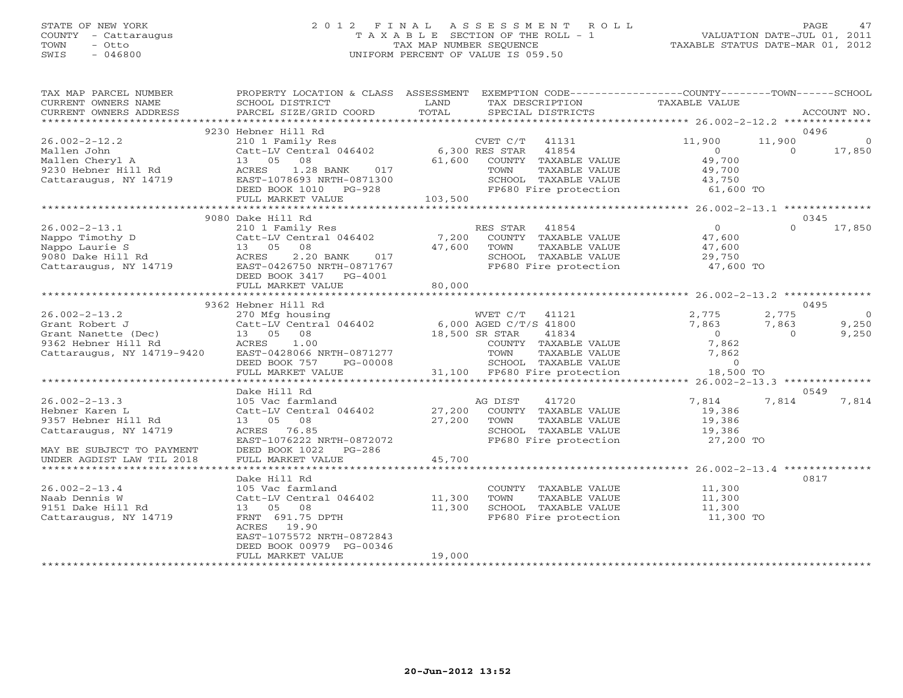#### STATE OF NEW YORK 2 0 1 2 F I N A L A S S E S S M E N T R O L L PAGE 47 COUNTY - Cattaraugus T A X A B L E SECTION OF THE ROLL - 1 VALUATION DATE-JUL 01, 2011 TOWN - Otto TAX MAP NUMBER SEQUENCE TAXABLE STATUS DATE-MAR 01, 2012 SWIS - 046800 UNIFORM PERCENT OF VALUE IS 059.50UNIFORM PERCENT OF VALUE IS 059.50

| TAX MAP PARCEL NUMBER<br>CURRENT OWNERS NAME<br>CURRENT OWNERS ADDRESS | PROPERTY LOCATION & CLASS ASSESSMENT EXEMPTION CODE---------------COUNTY-------TOWN------SCHOOL<br>SCHOOL DISTRICT<br>PARCEL SIZE/GRID COORD | LAND<br>TOTAL    | TAX DESCRIPTION<br>SPECIAL DISTRICTS<br>SPECIAL DISTRICTS                                                                                                                                                                                                                                                    |                  |                | ACCOUNT NO.    |
|------------------------------------------------------------------------|----------------------------------------------------------------------------------------------------------------------------------------------|------------------|--------------------------------------------------------------------------------------------------------------------------------------------------------------------------------------------------------------------------------------------------------------------------------------------------------------|------------------|----------------|----------------|
|                                                                        |                                                                                                                                              |                  |                                                                                                                                                                                                                                                                                                              |                  |                |                |
|                                                                        | 9230 Hebner Hill Rd                                                                                                                          |                  |                                                                                                                                                                                                                                                                                                              |                  | 0496           |                |
| $26.002 - 2 - 12.2$                                                    | 210 1 Family Res                                                                                                                             |                  | CVET C/T<br>41131                                                                                                                                                                                                                                                                                            | 11,900           | 11,900         | $\overline{0}$ |
| Mallen John                                                            | Catt-LV Central 046402 6,300 RES STAR                                                                                                        |                  | 41854                                                                                                                                                                                                                                                                                                        | $\Omega$         | $\Omega$       | 17,850         |
| Mallen Cheryl A                                                        | 13 05 08                                                                                                                                     |                  | 61,600 COUNTY TAXABLE VALUE                                                                                                                                                                                                                                                                                  | 49,700           |                |                |
| 9230 Hebner Hill Rd                                                    | 1.28 BANK<br>ACRES<br>017                                                                                                                    |                  | TAXABLE VALUE<br>TOWN                                                                                                                                                                                                                                                                                        | 49,700           |                |                |
| Cattaraugus, NY 14719                                                  | EAST-1078693 NRTH-0871300                                                                                                                    |                  | SCHOOL TAXABLE VALUE                                                                                                                                                                                                                                                                                         | 43,750           |                |                |
|                                                                        | DEED BOOK 1010 PG-928                                                                                                                        |                  | FP680 Fire protection                                                                                                                                                                                                                                                                                        | $61,600$ TO      |                |                |
|                                                                        | FULL MARKET VALUE<br>***************************                                                                                             | 103,500          |                                                                                                                                                                                                                                                                                                              |                  |                |                |
|                                                                        | 9080 Dake Hill Rd                                                                                                                            |                  |                                                                                                                                                                                                                                                                                                              |                  | 0345           |                |
| $26.002 - 2 - 13.1$                                                    |                                                                                                                                              |                  | RES STAR<br>41854                                                                                                                                                                                                                                                                                            | $\overline{0}$   | $\Omega$       | 17,850         |
| Nappo Timothy D                                                        | 210 1 Family Res<br>Catt-LV Central 046402 7,200                                                                                             |                  | COUNTY TAXABLE VALUE                                                                                                                                                                                                                                                                                         | 47,600           |                |                |
| Nappo Laurie S                                                         | 13 05 08                                                                                                                                     | 47,600           | TOWN<br>TAXABLE VALUE                                                                                                                                                                                                                                                                                        |                  |                |                |
| 9080 Dake Hill Rd                                                      | ACRES<br>$2.20$ BANK<br>017                                                                                                                  |                  | SCHOOL TAXABLE VALUE                                                                                                                                                                                                                                                                                         | 47,600<br>29.750 |                |                |
| Cattaraugus, NY 14719                                                  | EAST-0426750 NRTH-0871767                                                                                                                    |                  | FP680 Fire protection                                                                                                                                                                                                                                                                                        | 47,600 TO        |                |                |
|                                                                        | DEED BOOK 3417 PG-4001                                                                                                                       |                  |                                                                                                                                                                                                                                                                                                              |                  |                |                |
|                                                                        | FULL MARKET VALUE                                                                                                                            | 80,000           |                                                                                                                                                                                                                                                                                                              |                  |                |                |
|                                                                        |                                                                                                                                              |                  |                                                                                                                                                                                                                                                                                                              |                  |                |                |
|                                                                        | 9362 Hebner Hill Rd                                                                                                                          |                  |                                                                                                                                                                                                                                                                                                              |                  | 0495           |                |
| $26.002 - 2 - 13.2$                                                    | 270 Mfg housing                                                                                                                              |                  | WVET C/T<br>41121                                                                                                                                                                                                                                                                                            | 2,775            | 2,775          | $\overline{0}$ |
| Grant Robert J                                                         | Catt-LV Central 046402 6,000 AGED C/T/S 41800<br>Catt-LV Centi<br>13     05     08                                                           |                  |                                                                                                                                                                                                                                                                                                              | 7,863            | 7,863          | 9,250          |
| Grant Nanette (Dec)                                                    |                                                                                                                                              | 18,500 SR STAR   |                                                                                                                                                                                                                                                                                                              | $\overline{0}$   | $\overline{0}$ | 9,250          |
| 9362 Hebner Hill Rd                                                    | ACRES 1.00                                                                                                                                   |                  |                                                                                                                                                                                                                                                                                                              | 7,862            |                |                |
| Cattaraugus, NY 14719-9420                                             | EAST-0428066 NRTH-0871277                                                                                                                    |                  |                                                                                                                                                                                                                                                                                                              | 7,862            |                |                |
|                                                                        | DEED BOOK 757<br>PG-00008                                                                                                                    |                  |                                                                                                                                                                                                                                                                                                              | $\Omega$         |                |                |
|                                                                        | FULL MARKET VALUE                                                                                                                            |                  | $\begin{tabular}{ll} $\Gamma$ C/T\\ \hline \texttt{.5TAR} & 41800\\ $\texttt{. STAR} & 41834\\ \texttt{COUNTY} & \texttt{TAXABLE VALUE}\\ $\texttt{TOWN}$ & \texttt{TAXABLE VALUE}\\ $\texttt{.4T} & \texttt{01} & \texttt{01} & \texttt{01} & \texttt{01} \\ \end{tabular}$<br>31,100 FP680 Fire protection | 18,500 TO        |                |                |
|                                                                        |                                                                                                                                              |                  |                                                                                                                                                                                                                                                                                                              |                  |                |                |
| $26.002 - 2 - 13.3$                                                    | Dake Hill Rd<br>105 Vac farmland                                                                                                             |                  | AG DIST<br>41720                                                                                                                                                                                                                                                                                             | 7,814            | 0549<br>7,814  | 7,814          |
| Hebner Karen L                                                         | Catt-LV Central 046402                                                                                                                       | 27,200           | COUNTY TAXABLE VALUE                                                                                                                                                                                                                                                                                         | 19,386           |                |                |
| 9357 Hebner Hill Rd                                                    | 13 05 08                                                                                                                                     | 27,200           | TOWN<br>TAXABLE VALUE                                                                                                                                                                                                                                                                                        | 19,386           |                |                |
| Cattaraugus, NY 14719                                                  | ACRES 76.85                                                                                                                                  |                  | SCHOOL TAXABLE VALUE                                                                                                                                                                                                                                                                                         | 19,386           |                |                |
|                                                                        | EAST-1076222 NRTH-0872072                                                                                                                    |                  | FP680 Fire protection                                                                                                                                                                                                                                                                                        | 27,200 TO        |                |                |
| MAY BE SUBJECT TO PAYMENT                                              | DEED BOOK 1022<br>$PG-286$                                                                                                                   |                  |                                                                                                                                                                                                                                                                                                              |                  |                |                |
| UNDER AGDIST LAW TIL 2018                                              | FULL MARKET VALUE                                                                                                                            | 45,700           |                                                                                                                                                                                                                                                                                                              |                  |                |                |
|                                                                        |                                                                                                                                              |                  |                                                                                                                                                                                                                                                                                                              |                  |                |                |
|                                                                        | Dake Hill Rd                                                                                                                                 |                  |                                                                                                                                                                                                                                                                                                              |                  | 0817           |                |
| $26.002 - 2 - 13.4$                                                    | 105 Vac farmland                                                                                                                             |                  | COUNTY TAXABLE VALUE 11,300                                                                                                                                                                                                                                                                                  |                  |                |                |
| Naab Dennis W                                                          | Catt-LV Central 046402                                                                                                                       | 11,300<br>11,300 | TAXABLE VALUE<br>TOWN                                                                                                                                                                                                                                                                                        | 11,300           |                |                |
| 9151 Dake Hill Rd                                                      | 13 05<br>08                                                                                                                                  |                  | SCHOOL TAXABLE VALUE                                                                                                                                                                                                                                                                                         | 11,300<br>11,300 |                |                |
| Cattaraugus, NY 14719                                                  | FRNT 691.75 DPTH                                                                                                                             |                  | FP680 Fire protection 11,300 TO                                                                                                                                                                                                                                                                              |                  |                |                |
|                                                                        | ACRES<br>19.90                                                                                                                               |                  |                                                                                                                                                                                                                                                                                                              |                  |                |                |
|                                                                        | EAST-1075572 NRTH-0872843                                                                                                                    |                  |                                                                                                                                                                                                                                                                                                              |                  |                |                |
|                                                                        | DEED BOOK 00979 PG-00346                                                                                                                     |                  |                                                                                                                                                                                                                                                                                                              |                  |                |                |
|                                                                        | FULL MARKET VALUE                                                                                                                            | 19,000           | **********************************                                                                                                                                                                                                                                                                           |                  |                |                |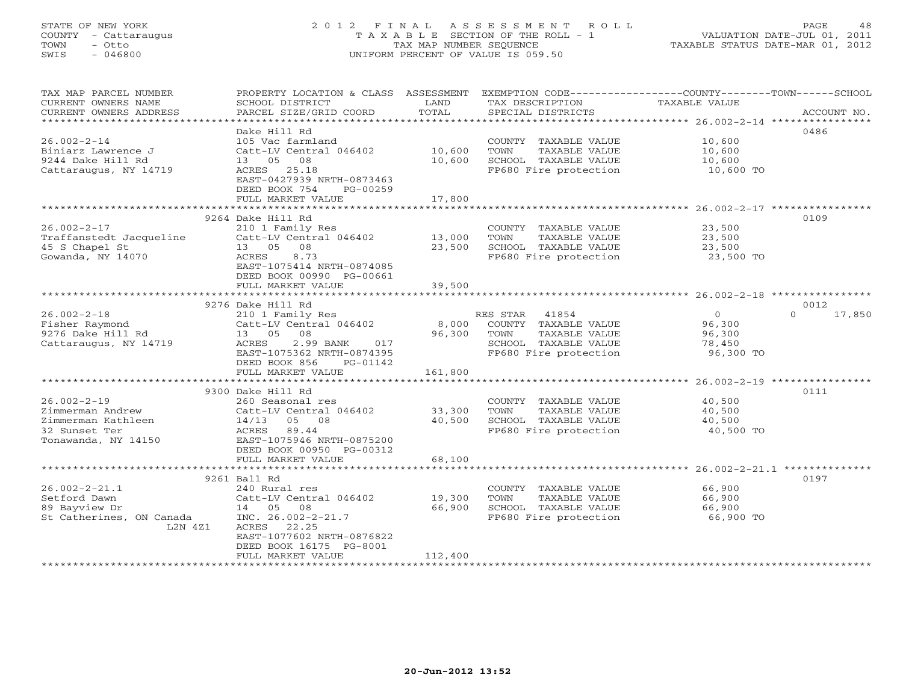### STATE OF NEW YORK 2 0 1 2 F I N A L A S S E S S M E N T R O L L PAGE 48 COUNTY - Cattaraugus T A X A B L E SECTION OF THE ROLL - 1 VALUATION DATE-JUL 01, 2011 TOWN - Otto TAX MAP NUMBER SEQUENCE TAXABLE STATUS DATE-MAR 01, 2012 SWIS - 046800 UNIFORM PERCENT OF VALUE IS 059.50UNIFORM PERCENT OF VALUE IS 059.50

| TAX MAP PARCEL NUMBER<br>CURRENT OWNERS NAME<br>CURRENT OWNERS ADDRESS<br>************************ | PROPERTY LOCATION & CLASS ASSESSMENT<br>SCHOOL DISTRICT<br>PARCEL SIZE/GRID COORD | LAND<br>TOTAL    | EXEMPTION CODE-----------------COUNTY-------TOWN------SCHOOL<br>TAX DESCRIPTION<br>SPECIAL DISTRICTS | <b>TAXABLE VALUE</b> | ACCOUNT NO.        |
|----------------------------------------------------------------------------------------------------|-----------------------------------------------------------------------------------|------------------|------------------------------------------------------------------------------------------------------|----------------------|--------------------|
|                                                                                                    |                                                                                   |                  |                                                                                                      |                      |                    |
| $26.002 - 2 - 14$                                                                                  | Dake Hill Rd<br>105 Vac farmland                                                  |                  |                                                                                                      |                      | 0486               |
| Biniarz Lawrence J                                                                                 | Catt-LV Central 046402                                                            | 10,600           | COUNTY TAXABLE VALUE<br>TOWN                                                                         | 10,600<br>10,600     |                    |
| 9244 Dake Hill Rd                                                                                  | 13 05 08                                                                          | 10,600           | TAXABLE VALUE<br>SCHOOL TAXABLE VALUE                                                                | 10,600               |                    |
| Cattaraugus, NY 14719                                                                              | ACRES 25.18                                                                       |                  | FP680 Fire protection                                                                                | 10,600 TO            |                    |
|                                                                                                    | EAST-0427939 NRTH-0873463                                                         |                  |                                                                                                      |                      |                    |
|                                                                                                    | DEED BOOK 754<br>PG-00259                                                         |                  |                                                                                                      |                      |                    |
|                                                                                                    | FULL MARKET VALUE                                                                 | 17,800           |                                                                                                      |                      |                    |
|                                                                                                    |                                                                                   |                  |                                                                                                      |                      |                    |
|                                                                                                    | 9264 Dake Hill Rd                                                                 |                  |                                                                                                      |                      | 0109               |
| $26.002 - 2 - 17$                                                                                  | 210 1 Family Res                                                                  |                  | COUNTY TAXABLE VALUE                                                                                 | 23,500               |                    |
| Traffanstedt Jacqueline                                                                            | Catt-LV Central 046402                                                            | 13,000           | TOWN<br>TAXABLE VALUE                                                                                | 23,500               |                    |
| 45 S Chapel St                                                                                     | 13 05 08                                                                          | 23,500           | SCHOOL TAXABLE VALUE                                                                                 | 23,500               |                    |
| Gowanda, NY 14070                                                                                  | 8.73<br>ACRES                                                                     |                  | FP680 Fire protection                                                                                | 23,500 TO            |                    |
|                                                                                                    | EAST-1075414 NRTH-0874085                                                         |                  |                                                                                                      |                      |                    |
|                                                                                                    | DEED BOOK 00990 PG-00661                                                          |                  |                                                                                                      |                      |                    |
|                                                                                                    | FULL MARKET VALUE                                                                 | 39,500           |                                                                                                      |                      |                    |
|                                                                                                    |                                                                                   |                  |                                                                                                      |                      |                    |
|                                                                                                    | 9276 Dake Hill Rd                                                                 |                  |                                                                                                      |                      | 0012               |
| $26.002 - 2 - 18$                                                                                  | 210 1 Family Res                                                                  |                  | RES STAR 41854                                                                                       | $\circ$              | $\Omega$<br>17,850 |
| Fisher Raymond                                                                                     | Catt-LV Central 046402                                                            | 8,000            | COUNTY TAXABLE VALUE                                                                                 | 96,300               |                    |
| 9276 Dake Hill Rd                                                                                  | 13 05<br>08                                                                       | 96,300           | TOWN<br>TAXABLE VALUE                                                                                | 96,300               |                    |
| Cattaraugus, NY 14719                                                                              | ACRES<br>2.99 BANK<br>017                                                         |                  | SCHOOL TAXABLE VALUE                                                                                 | 78,450               |                    |
|                                                                                                    | EAST-1075362 NRTH-0874395                                                         |                  | FP680 Fire protection                                                                                | 96,300 TO            |                    |
|                                                                                                    | DEED BOOK 856<br>PG-01142                                                         |                  |                                                                                                      |                      |                    |
|                                                                                                    | FULL MARKET VALUE                                                                 | 161,800          |                                                                                                      |                      |                    |
|                                                                                                    |                                                                                   |                  |                                                                                                      |                      |                    |
|                                                                                                    | 9300 Dake Hill Rd                                                                 |                  |                                                                                                      |                      | 0111               |
| $26.002 - 2 - 19$                                                                                  | 260 Seasonal res                                                                  |                  | COUNTY TAXABLE VALUE                                                                                 | 40,500               |                    |
| Zimmerman Andrew                                                                                   | Catt-LV Central 046402                                                            | 33,300           | TOWN<br>TAXABLE VALUE                                                                                | 40,500               |                    |
| Zimmerman Kathleen                                                                                 | $14/13$ 05 08                                                                     | 40,500           | SCHOOL TAXABLE VALUE                                                                                 | 40,500               |                    |
| 32 Sunset Ter                                                                                      | 89.44<br>ACRES                                                                    |                  | FP680 Fire protection                                                                                | 40,500 TO            |                    |
| Tonawanda, NY 14150                                                                                | EAST-1075946 NRTH-0875200                                                         |                  |                                                                                                      |                      |                    |
|                                                                                                    | DEED BOOK 00950 PG-00312                                                          |                  |                                                                                                      |                      |                    |
|                                                                                                    | FULL MARKET VALUE                                                                 | 68,100           |                                                                                                      |                      |                    |
|                                                                                                    |                                                                                   |                  |                                                                                                      |                      |                    |
|                                                                                                    | 9261 Ball Rd                                                                      |                  |                                                                                                      |                      | 0197               |
| $26.002 - 2 - 21.1$                                                                                | 240 Rural res                                                                     |                  | COUNTY TAXABLE VALUE                                                                                 | 66,900               |                    |
| Setford Dawn<br>89 Bayview Dr                                                                      | Catt-LV Central 046402<br>14 05 08                                                | 19,300<br>66,900 | TOWN<br>TAXABLE VALUE<br>SCHOOL TAXABLE VALUE                                                        | 66,900<br>66,900     |                    |
| St Catherines, ON Canada                                                                           | INC. $26.002 - 2 - 21.7$                                                          |                  | FP680 Fire protection                                                                                |                      |                    |
| L2N 4Z1                                                                                            | ACRES<br>22.25                                                                    |                  |                                                                                                      | 66,900 TO            |                    |
|                                                                                                    | EAST-1077602 NRTH-0876822                                                         |                  |                                                                                                      |                      |                    |
|                                                                                                    | DEED BOOK 16175 PG-8001                                                           |                  |                                                                                                      |                      |                    |
|                                                                                                    | FULL MARKET VALUE                                                                 | 112,400          |                                                                                                      |                      |                    |
|                                                                                                    |                                                                                   |                  |                                                                                                      |                      |                    |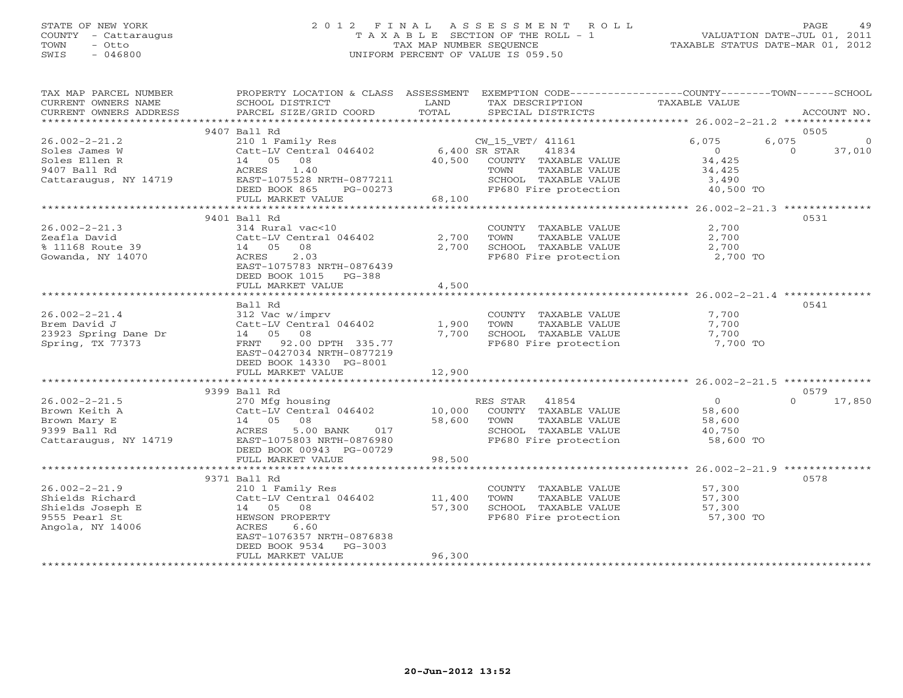## STATE OF NEW YORK 2 0 1 2 F I N A L A S S E S S M E N T R O L L PAGE 49 COUNTY - Cattaraugus T A X A B L E SECTION OF THE ROLL - 1 VALUATION DATE-JUL 01, 2011 TOWN - Otto TAX MAP NUMBER SEQUENCE TAXABLE STATUS DATE-MAR 01, 2012 SWIS - 046800 UNIFORM PERCENT OF VALUE IS 059.50

| TAX MAP PARCEL NUMBER  | PROPERTY LOCATION & CLASS ASSESSMENT |               | EXEMPTION CODE-----------------COUNTY-------TOWN------SCHOOL |                |                    |
|------------------------|--------------------------------------|---------------|--------------------------------------------------------------|----------------|--------------------|
| CURRENT OWNERS NAME    | SCHOOL DISTRICT                      | LAND          | TAX DESCRIPTION                                              | TAXABLE VALUE  |                    |
| CURRENT OWNERS ADDRESS | PARCEL SIZE/GRID COORD               | TOTAL         | SPECIAL DISTRICTS                                            |                | ACCOUNT NO.        |
|                        |                                      |               |                                                              |                |                    |
|                        | 9407 Ball Rd                         |               |                                                              |                | 0505               |
| $26.002 - 2 - 21.2$    | 210 1 Family Res                     |               | CW_15_VET/ 41161                                             | 6,075          | 6,075<br>$\circ$   |
| Soles James W          | Catt-LV Central 046402               | 6,400 SR STAR | 41834                                                        | $\Omega$       | $\Omega$<br>37,010 |
| Soles Ellen R          | 14 05 08                             | 40,500        | COUNTY TAXABLE VALUE                                         | 34,425         |                    |
| 9407 Ball Rd           | ACRES<br>1.40                        |               | TOWN<br>TAXABLE VALUE                                        | 34,425         |                    |
| Cattaraugus, NY 14719  | EAST-1075528 NRTH-0877211            |               | SCHOOL TAXABLE VALUE                                         | 3,490          |                    |
|                        | DEED BOOK 865<br>PG-00273            |               | FP680 Fire protection                                        | 40,500 TO      |                    |
|                        | FULL MARKET VALUE                    | 68,100        |                                                              |                |                    |
|                        |                                      |               |                                                              |                |                    |
|                        | 9401 Ball Rd                         |               |                                                              |                | 0531               |
| $26.002 - 2 - 21.3$    | 314 Rural vac<10                     |               | COUNTY TAXABLE VALUE                                         | 2,700          |                    |
| Zeafla David           | Catt-LV Central 046402               | 2,700         | TAXABLE VALUE<br>TOWN                                        | 2,700          |                    |
| % 11168 Route 39       | 14 05<br>08                          | 2,700         | SCHOOL TAXABLE VALUE                                         | 2,700          |                    |
| Gowanda, NY 14070      | ACRES<br>2.03                        |               | FP680 Fire protection                                        | 2,700 TO       |                    |
|                        | EAST-1075783 NRTH-0876439            |               |                                                              |                |                    |
|                        |                                      |               |                                                              |                |                    |
|                        | DEED BOOK 1015 PG-388                | 4,500         |                                                              |                |                    |
|                        | FULL MARKET VALUE                    |               |                                                              |                |                    |
|                        |                                      |               |                                                              |                |                    |
|                        | Ball Rd                              |               |                                                              |                | 0541               |
| $26.002 - 2 - 21.4$    | 312 Vac w/imprv                      |               | COUNTY TAXABLE VALUE                                         | 7,700          |                    |
| Brem David J           | Catt-LV Central 046402               | 1,900         | TAXABLE VALUE<br>TOWN                                        | 7,700          |                    |
| 23923 Spring Dane Dr   | 14 05 08                             | 7,700         | SCHOOL TAXABLE VALUE                                         | 7,700          |                    |
| Spring, TX 77373       | FRNT 92.00 DPTH 335.77               |               | FP680 Fire protection                                        | 7,700 TO       |                    |
|                        | EAST-0427034 NRTH-0877219            |               |                                                              |                |                    |
|                        | DEED BOOK 14330 PG-8001              |               |                                                              |                |                    |
|                        | FULL MARKET VALUE                    | 12,900        |                                                              |                |                    |
|                        |                                      |               |                                                              |                |                    |
|                        | 9399 Ball Rd                         |               |                                                              |                | 0579               |
| $26.002 - 2 - 21.5$    | 270 Mfg housing                      |               | RES STAR<br>41854                                            | $\overline{0}$ | 17,850<br>$\Omega$ |
| Brown Keith A          | Catt-LV Central 046402               | 10,000        | COUNTY TAXABLE VALUE                                         | 58,600         |                    |
| Brown Mary E           | 14 05<br>08                          | 58,600        | TAXABLE VALUE<br>TOWN                                        | 58,600         |                    |
| 9399 Ball Rd           | 017<br>ACRES<br>5.00 BANK            |               | SCHOOL TAXABLE VALUE                                         | 40,750         |                    |
| Cattaraugus, NY 14719  | EAST-1075803 NRTH-0876980            |               | FP680 Fire protection                                        | 58,600 TO      |                    |
|                        | DEED BOOK 00943 PG-00729             |               |                                                              |                |                    |
|                        | FULL MARKET VALUE                    | 98,500        |                                                              |                |                    |
|                        |                                      |               |                                                              |                |                    |
|                        | 9371 Ball Rd                         |               |                                                              |                | 0578               |
| $26.002 - 2 - 21.9$    | 210 1 Family Res                     |               | COUNTY TAXABLE VALUE                                         | 57,300         |                    |
| Shields Richard        | Catt-LV Central 046402               | 11,400        | TOWN<br>TAXABLE VALUE                                        | 57,300         |                    |
| Shields Joseph E       | 14 05 08                             | 57,300        | SCHOOL TAXABLE VALUE                                         | 57,300         |                    |
| 9555 Pearl St          | HEWSON PROPERTY                      |               | FP680 Fire protection                                        | 57,300 TO      |                    |
| Angola, NY 14006       | ACRES<br>6.60                        |               |                                                              |                |                    |
|                        | EAST-1076357 NRTH-0876838            |               |                                                              |                |                    |
|                        | DEED BOOK 9534<br>PG-3003            |               |                                                              |                |                    |
|                        | FULL MARKET VALUE                    | 96,300        |                                                              |                |                    |
|                        |                                      |               |                                                              |                |                    |
|                        |                                      |               |                                                              |                |                    |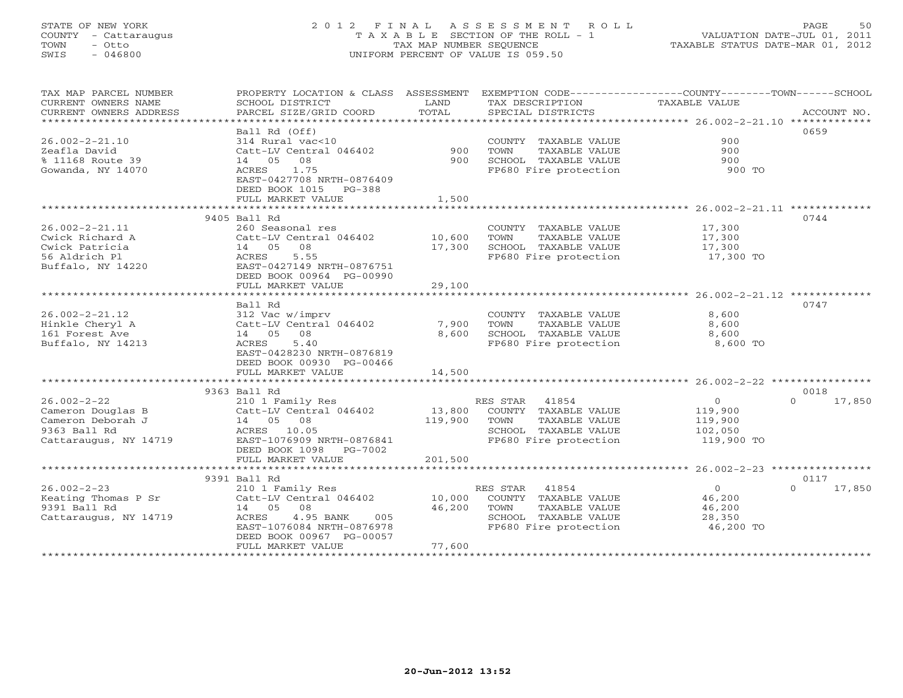### STATE OF NEW YORK 2 0 1 2 F I N A L A S S E S S M E N T R O L L PAGE 50 COUNTY - Cattaraugus T A X A B L E SECTION OF THE ROLL - 1 VALUATION DATE-JUL 01, 2011 TOWN - Otto TAX MAP NUMBER SEQUENCE TAXABLE STATUS DATE-MAR 01, 2012 SWIS - 046800 UNIFORM PERCENT OF VALUE IS 059.50

TAX MAP PARCEL NUMBER PROPERTY LOCATION & CLASS ASSESSMENT EXEMPTION CODE------------------COUNTY--------TOWN------SCHOOL

| CURRENT OWNERS NAME       | SCHOOL DISTRICT           | LAND       | TAX DESCRIPTION       | TAXABLE VALUE                                   |                  |
|---------------------------|---------------------------|------------|-----------------------|-------------------------------------------------|------------------|
| CURRENT OWNERS ADDRESS    | PARCEL SIZE/GRID COORD    | TOTAL      | SPECIAL DISTRICTS     |                                                 | ACCOUNT NO.      |
| * * * * * * * * * * * * * |                           |            |                       |                                                 |                  |
|                           | Ball Rd (Off)             |            |                       |                                                 | 0659             |
| $26.002 - 2 - 21.10$      | 314 Rural vac<10          |            | COUNTY TAXABLE VALUE  | 900                                             |                  |
| Zeafla David              | Catt-LV Central 046402    | 900        | TOWN<br>TAXABLE VALUE | 900                                             |                  |
| % 11168 Route 39          | 08<br>14 05               | 900        | SCHOOL TAXABLE VALUE  | 900                                             |                  |
| Gowanda, NY 14070         | ACRES<br>1.75             |            | FP680 Fire protection | 900 TO                                          |                  |
|                           | EAST-0427708 NRTH-0876409 |            |                       |                                                 |                  |
|                           | DEED BOOK 1015<br>PG-388  |            |                       |                                                 |                  |
|                           | FULL MARKET VALUE         | 1,500      |                       |                                                 |                  |
|                           | **********************    |            |                       | ***************** 26.002-2-21.11 **********     |                  |
|                           | 9405 Ball Rd              |            |                       |                                                 | 0744             |
| $26.002 - 2 - 21.11$      | 260 Seasonal res          |            | COUNTY TAXABLE VALUE  | 17,300                                          |                  |
| Cwick Richard A           | Catt-LV Central 046402    | 10,600     | TOWN<br>TAXABLE VALUE | 17,300                                          |                  |
| Cwick Patricia            | 08<br>14 05               | 17,300     | SCHOOL TAXABLE VALUE  | 17,300                                          |                  |
| 56 Aldrich Pl             | 5.55<br>ACRES             |            | FP680 Fire protection | 17,300 TO                                       |                  |
| Buffalo, NY 14220         | EAST-0427149 NRTH-0876751 |            |                       |                                                 |                  |
|                           | DEED BOOK 00964 PG-00990  |            |                       |                                                 |                  |
|                           | FULL MARKET VALUE         | 29,100     |                       |                                                 |                  |
|                           | ********************      | ********** |                       | ********************* 26.002-2-21.12 ********** |                  |
|                           | Ball Rd                   |            |                       |                                                 | 0747             |
| $26.002 - 2 - 21.12$      | 312 Vac w/imprv           |            | COUNTY TAXABLE VALUE  | 8,600                                           |                  |
| Hinkle Cheryl A           | Catt-LV Central 046402    | 7,900      | TOWN<br>TAXABLE VALUE | 8,600                                           |                  |
| 161 Forest Ave            | 14 05<br>08               | 8,600      | SCHOOL TAXABLE VALUE  | 8,600                                           |                  |
| Buffalo, NY 14213         | 5.40<br>ACRES             |            | FP680 Fire protection | 8,600 TO                                        |                  |
|                           | EAST-0428230 NRTH-0876819 |            |                       |                                                 |                  |
|                           |                           |            |                       |                                                 |                  |
|                           | DEED BOOK 00930 PG-00466  |            |                       |                                                 |                  |
|                           | FULL MARKET VALUE         | 14,500     |                       |                                                 |                  |
|                           |                           |            |                       |                                                 |                  |
|                           | 9363 Ball Rd              |            |                       |                                                 | 0018<br>$\cap$   |
| $26.002 - 2 - 22$         | 210 1 Family Res          |            | RES STAR<br>41854     | $\Omega$                                        | 17,850           |
| Cameron Douglas B         | Catt-LV Central 046402    | 13,800     | COUNTY TAXABLE VALUE  | 119,900                                         |                  |
| Cameron Deborah J         | 14 05<br>08               | 119,900    | TAXABLE VALUE<br>TOWN | 119,900                                         |                  |
| 9363 Ball Rd              | 10.05<br>ACRES            |            | SCHOOL TAXABLE VALUE  | 102,050                                         |                  |
| Cattaraugus, NY 14719     | EAST-1076909 NRTH-0876841 |            | FP680 Fire protection | 119,900 TO                                      |                  |
|                           | DEED BOOK 1098 PG-7002    |            |                       |                                                 |                  |
|                           | FULL MARKET VALUE         | 201,500    |                       |                                                 |                  |
|                           | *********************     |            |                       |                                                 |                  |
|                           | 9391 Ball Rd              |            |                       |                                                 | 0117             |
| $26.002 - 2 - 23$         | 210 1 Family Res          |            | RES STAR<br>41854     | $\circ$                                         | 17,850<br>$\cap$ |
| Keating Thomas P Sr       | Catt-LV Central 046402    | 10,000     | COUNTY TAXABLE VALUE  | 46,200                                          |                  |
| 9391 Ball Rd              | 14 05<br>08               | 46,200     | TAXABLE VALUE<br>TOWN | 46,200                                          |                  |
| Cattaraugus, NY 14719     | ACRES<br>4.95 BANK<br>005 |            | SCHOOL TAXABLE VALUE  | 28,350                                          |                  |
|                           | EAST-1076084 NRTH-0876978 |            | FP680 Fire protection | 46,200 TO                                       |                  |
|                           | DEED BOOK 00967 PG-00057  |            |                       |                                                 |                  |
|                           | FULL MARKET VALUE         | 77,600     |                       |                                                 |                  |
|                           |                           |            |                       |                                                 |                  |
|                           |                           |            |                       |                                                 |                  |

#### **20-Jun-2012 13:52**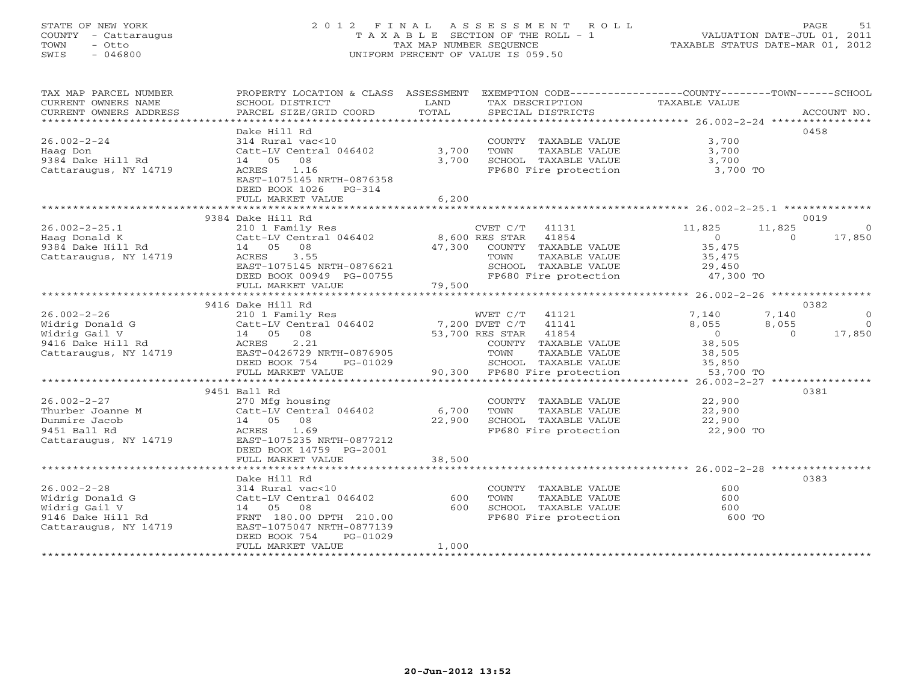#### STATE OF NEW YORK 2 0 1 2 F I N A L A S S E S S M E N T R O L L PAGE 51 COUNTY - Cattaraugus T A X A B L E SECTION OF THE ROLL - 1 VALUATION DATE-JUL 01, 2011 TOWN - Otto TAX MAP NUMBER SEQUENCE TAXABLE STATUS DATE-MAR 01, 2012 SWIS - 046800 UNIFORM PERCENT OF VALUE IS 059.50UNIFORM PERCENT OF VALUE IS 059.50

| SCHOOL DISTRICT<br>PARCEL SIZE/GRID COORD                                                                                                                                        | LAND<br>TOTAL                                                                       | TAX DESCRIPTION<br>SPECIAL DISTRICTS                                                           | TAXABLE VALUE                                                                                                                                                                                                 |                            | ACCOUNT NO.                                                                                                                                                            |
|----------------------------------------------------------------------------------------------------------------------------------------------------------------------------------|-------------------------------------------------------------------------------------|------------------------------------------------------------------------------------------------|---------------------------------------------------------------------------------------------------------------------------------------------------------------------------------------------------------------|----------------------------|------------------------------------------------------------------------------------------------------------------------------------------------------------------------|
| Dake Hill Rd<br>314 Rural vac<10<br>14 05 08<br>ACRES<br>1.16<br>EAST-1075145 NRTH-0876358<br>DEED BOOK 1026<br>$PG-314$<br>FULL MARKET VALUE                                    | 3,700<br>3,700<br>6,200                                                             | COUNTY TAXABLE VALUE<br>TOWN<br>TAXABLE VALUE<br>SCHOOL TAXABLE VALUE<br>FP680 Fire protection | 3,700<br>3,700<br>3,700                                                                                                                                                                                       |                            | 0458                                                                                                                                                                   |
|                                                                                                                                                                                  |                                                                                     |                                                                                                |                                                                                                                                                                                                               |                            | 0019                                                                                                                                                                   |
| 210 1 Family Res<br>14 05<br>08<br>3.55<br>ACRES<br>EAST-1075145 NRTH-0876621<br>DEED BOOK 00949 PG-00755<br>FULL MARKET VALUE                                                   | 79,500                                                                              | 41854<br>TOWN<br>TAXABLE VALUE<br>SCHOOL TAXABLE VALUE<br>FP680 Fire protection                | 11,825<br>$\overline{0}$<br>35,475<br>35,475<br>29,450                                                                                                                                                        | $\Omega$                   | $\overline{0}$<br>17,850                                                                                                                                               |
|                                                                                                                                                                                  |                                                                                     |                                                                                                |                                                                                                                                                                                                               |                            | 0382                                                                                                                                                                   |
| 210 1 Family Res<br>Catt-LV Central 046402<br>14  05  08<br>ACRES<br>2.21<br>EAST-0426729 NRTH-0876905                                                                           |                                                                                     | 41141<br>COUNTY TAXABLE VALUE<br>TOWN<br>TAXABLE VALUE                                         | 7,140<br>8,055<br>$\overline{0}$<br>38,505<br>38,505                                                                                                                                                          | 7,140<br>8,055<br>$\Omega$ | $\overline{0}$<br>$\bigcirc$<br>17,850                                                                                                                                 |
| FULL MARKET VALUE                                                                                                                                                                |                                                                                     |                                                                                                |                                                                                                                                                                                                               |                            |                                                                                                                                                                        |
|                                                                                                                                                                                  |                                                                                     |                                                                                                |                                                                                                                                                                                                               |                            |                                                                                                                                                                        |
| 270 Mfg housing<br>Catt-LV Central 046402<br>14 05 08<br>ACRES 1.69<br>EAST-1075235 NRTH-0877212<br>DEED BOOK 14759 PG-2001                                                      | 6,700<br>22,900                                                                     | COUNTY TAXABLE VALUE<br>TAXABLE VALUE<br>TOWN<br>SCHOOL TAXABLE VALUE<br>FP680 Fire protection | 22,900<br>22,900<br>22,900                                                                                                                                                                                    |                            | 0381                                                                                                                                                                   |
| FULL MARKET VALUE                                                                                                                                                                | 38,500                                                                              |                                                                                                |                                                                                                                                                                                                               |                            |                                                                                                                                                                        |
| Dake Hill Rd<br>314 Rural vac<10<br>Catt-LV Central 046402<br>14 05 08<br>FRNT 180.00 DPTH 210.00<br>EAST-1075047 NRTH-0877139<br>DEED BOOK 754<br>PG-01029<br>FULL MARKET VALUE | 600<br>600<br>1,000                                                                 | COUNTY TAXABLE VALUE<br>TOWN<br>TAXABLE VALUE<br>SCHOOL TAXABLE VALUE<br>FP680 Fire protection | 600<br>600<br>600                                                                                                                                                                                             |                            | 0383                                                                                                                                                                   |
|                                                                                                                                                                                  | 9384 Dake Hill Rd<br>9416 Dake Hill Rd<br>DEED BOOK 754<br>PG-01029<br>9451 Ball Rd | Catt-LV Central 046402                                                                         | $CVET C/T$ 41131<br>Catt-LV Central 046402 8,600 RES STAR<br>47,300 COUNTY TAXABLE VALUE<br>WVET C/T 41121<br>7,200 DVET C/T<br>53,700 RES STAR 41854<br>SCHOOL TAXABLE VALUE<br>90,300 FP680 Fire protection | 35,850                     | PROPERTY LOCATION & CLASS ASSESSMENT EXEMPTION CODE---------------COUNTY-------TOWN------SCHOOL<br>3,700 TO<br>11,825<br>47,300 TO<br>53,700 TO<br>22,900 TO<br>600 TO |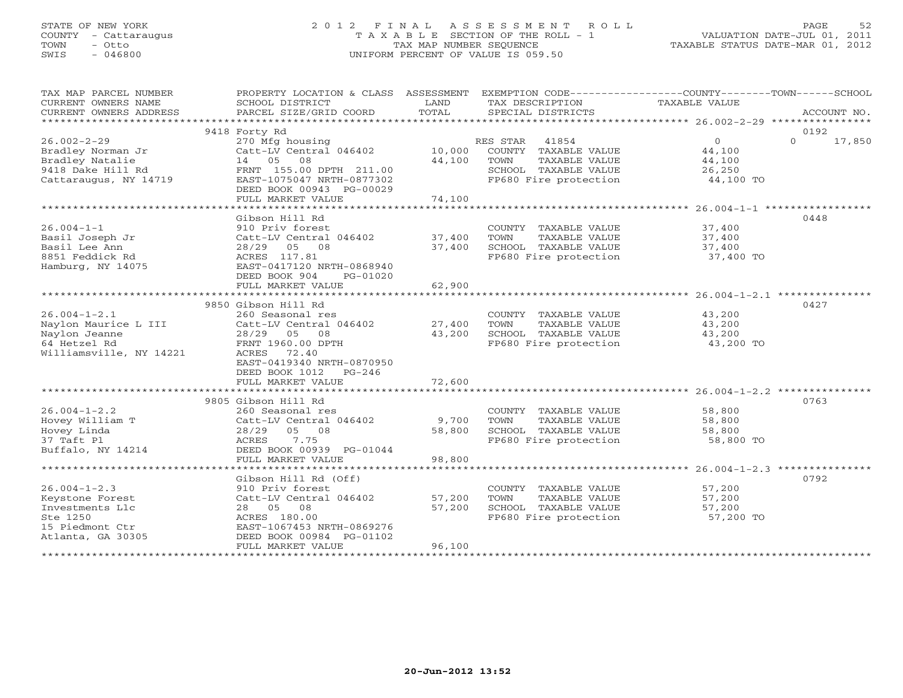### STATE OF NEW YORK 2 0 1 2 F I N A L A S S E S S M E N T R O L L PAGE 52 COUNTY - Cattaraugus T A X A B L E SECTION OF THE ROLL - 1 VALUATION DATE-JUL 01, 2011 TOWN - Otto TAX MAP NUMBER SEQUENCE TAXABLE STATUS DATE-MAR 01, 2012 SWIS - 046800 UNIFORM PERCENT OF VALUE IS 059.50UNIFORM PERCENT OF VALUE IS 059.50

| TAX MAP PARCEL NUMBER           | PROPERTY LOCATION & CLASS ASSESSMENT EXEMPTION CODE---------------COUNTY-------TOWN------SCHOOL |                |                                               |                |                    |
|---------------------------------|-------------------------------------------------------------------------------------------------|----------------|-----------------------------------------------|----------------|--------------------|
| CURRENT OWNERS NAME             | SCHOOL DISTRICT                                                                                 | LAND<br>TOTAL  | TAX DESCRIPTION                               | TAXABLE VALUE  |                    |
| CURRENT OWNERS ADDRESS          | PARCEL SIZE/GRID COORD                                                                          |                | SPECIAL DISTRICTS                             |                | ACCOUNT NO.        |
|                                 | 9418 Forty Rd                                                                                   |                |                                               |                | 0192               |
| $26.002 - 2 - 29$               | 270 Mfg housing                                                                                 |                | RES STAR<br>41854                             | $\overline{0}$ | $\Omega$<br>17,850 |
| Bradley Norman Jr               | Catt-LV Central 046402                                                                          | 10,000         | COUNTY TAXABLE VALUE                          | 44,100         |                    |
| Bradley Natalie                 | 14 05<br>08                                                                                     | 44,100         | TOWN<br>TAXABLE VALUE                         | 44,100         |                    |
| 9418 Dake Hill Rd               | FRNT 155.00 DPTH 211.00                                                                         |                | SCHOOL TAXABLE VALUE                          | 26,250         |                    |
| Cattaraugus, NY 14719           | EAST-1075047 NRTH-0877302                                                                       |                | FP680 Fire protection                         | 44,100 TO      |                    |
|                                 | DEED BOOK 00943 PG-00029                                                                        |                |                                               |                |                    |
|                                 | FULL MARKET VALUE                                                                               | 74,100         |                                               |                |                    |
|                                 | *****************************                                                                   | ************** |                                               |                |                    |
|                                 | Gibson Hill Rd                                                                                  |                |                                               |                | 0448               |
| $26.004 - 1 - 1$                | 910 Priv forest                                                                                 |                | COUNTY TAXABLE VALUE                          | 37,400         |                    |
| Basil Joseph Jr                 | Catt-LV Central 046402                                                                          | 37,400         | TOWN<br>TAXABLE VALUE                         | 37,400         |                    |
| Basil Lee Ann                   | 28/29 05 08                                                                                     | 37,400         | SCHOOL TAXABLE VALUE                          | 37,400         |                    |
| 8851 Feddick Rd                 | ACRES 117.81                                                                                    |                | FP680 Fire protection                         | 37,400 TO      |                    |
| Hamburg, NY 14075               | EAST-0417120 NRTH-0868940                                                                       |                |                                               |                |                    |
|                                 | DEED BOOK 904<br>PG-01020<br>FULL MARKET VALUE                                                  | 62,900         |                                               |                |                    |
|                                 |                                                                                                 |                |                                               |                |                    |
|                                 | 9850 Gibson Hill Rd                                                                             |                |                                               |                | 0427               |
| $26.004 - 1 - 2.1$              | 260 Seasonal res                                                                                |                | COUNTY TAXABLE VALUE                          | 43,200         |                    |
| Naylon Maurice L III            | Catt-LV Central 046402                                                                          | 27,400         | TAXABLE VALUE<br>TOWN                         | 43,200         |                    |
| Naylon Jeanne                   | 28/29<br>05<br>08                                                                               | 43,200         | SCHOOL TAXABLE VALUE                          | 43,200         |                    |
| 64 Hetzel Rd                    | FRNT 1960.00 DPTH                                                                               |                | FP680 Fire protection                         | 43,200 TO      |                    |
| Williamsville, NY 14221         | ACRES 72.40                                                                                     |                |                                               |                |                    |
|                                 | EAST-0419340 NRTH-0870950                                                                       |                |                                               |                |                    |
|                                 | DEED BOOK 1012<br>$PG-246$                                                                      |                |                                               |                |                    |
|                                 | FULL MARKET VALUE                                                                               | 72,600         |                                               |                |                    |
|                                 |                                                                                                 |                |                                               |                |                    |
|                                 | 9805 Gibson Hill Rd                                                                             |                |                                               |                | 0763               |
| $26.004 - 1 - 2.2$              | 260 Seasonal res                                                                                |                | COUNTY TAXABLE VALUE                          | 58,800         |                    |
| Hovey William T                 | Catt-LV Central 046402                                                                          | 9,700          | TOWN<br>TAXABLE VALUE                         | 58,800         |                    |
| Hovey Linda                     | 28/29<br>05 08                                                                                  | 58,800         | SCHOOL TAXABLE VALUE<br>FP680 Fire protection | 58,800         |                    |
| 37 Taft Pl<br>Buffalo, NY 14214 | ACRES<br>7.75<br>DEED BOOK 00939 PG-01044                                                       |                |                                               | 58,800 TO      |                    |
|                                 | FULL MARKET VALUE                                                                               | 98,800         |                                               |                |                    |
|                                 |                                                                                                 |                |                                               |                |                    |
|                                 | Gibson Hill Rd (Off)                                                                            |                |                                               |                | 0792               |
| $26.004 - 1 - 2.3$              | 910 Priv forest                                                                                 |                | COUNTY TAXABLE VALUE                          | 57,200         |                    |
| Keystone Forest                 | Catt-LV Central 046402                                                                          | 57,200         | TOWN<br>TAXABLE VALUE                         | 57,200         |                    |
| Investments Llc                 | 28 05<br>08                                                                                     | 57,200         | SCHOOL TAXABLE VALUE                          | 57,200         |                    |
| Ste 1250                        | ACRES 180.00                                                                                    |                | FP680 Fire protection                         | 57,200 TO      |                    |
| 15 Piedmont Ctr                 | EAST-1067453 NRTH-0869276                                                                       |                |                                               |                |                    |
| Atlanta, GA 30305               | DEED BOOK 00984 PG-01102                                                                        |                |                                               |                |                    |
|                                 | FULL MARKET VALUE                                                                               | 96,100         |                                               |                |                    |
|                                 | ********************************                                                                |                |                                               |                |                    |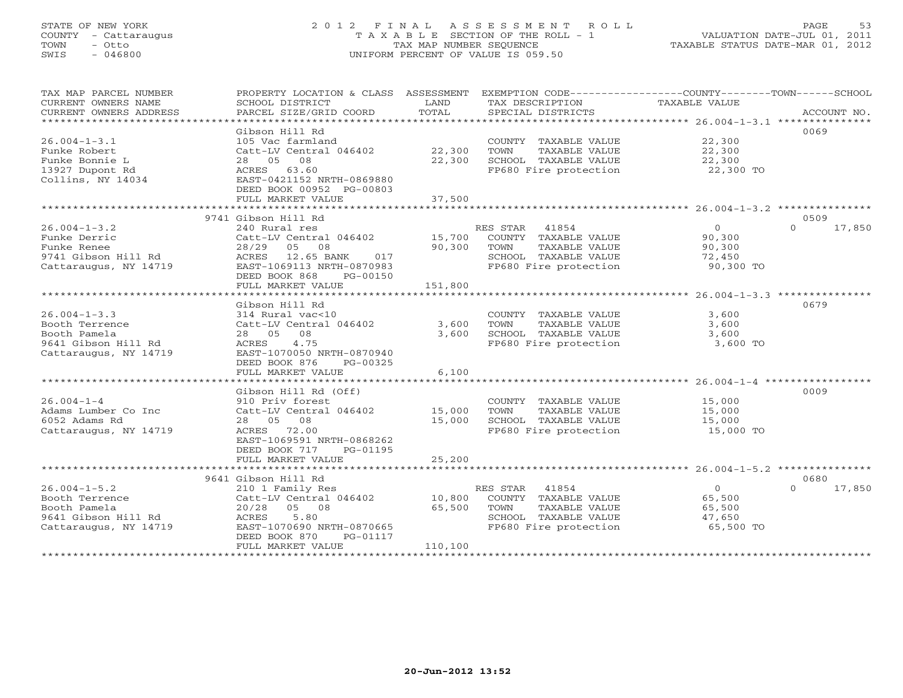### STATE OF NEW YORK 2 0 1 2 F I N A L A S S E S S M E N T R O L L PAGE 53 COUNTY - Cattaraugus T A X A B L E SECTION OF THE ROLL - 1 VALUATION DATE-JUL 01, 2011 TOWN - Otto TAX MAP NUMBER SEQUENCE TAXABLE STATUS DATE-MAR 01, 2012 SWIS - 046800 UNIFORM PERCENT OF VALUE IS 059.50UNIFORM PERCENT OF VALUE IS 059.50

| TAX MAP PARCEL NUMBER<br>CURRENT OWNERS NAME<br>CURRENT OWNERS ADDRESS                               | PROPERTY LOCATION & CLASS ASSESSMENT EXEMPTION CODE----------------COUNTY-------TOWN------SCHOOL<br>SCHOOL DISTRICT<br>PARCEL SIZE/GRID COORD                           | LAND<br>TOTAL               | TAX DESCRIPTION<br>SPECIAL DISTRICTS                                                                             | TAXABLE VALUE                                             | ACCOUNT NO.                |
|------------------------------------------------------------------------------------------------------|-------------------------------------------------------------------------------------------------------------------------------------------------------------------------|-----------------------------|------------------------------------------------------------------------------------------------------------------|-----------------------------------------------------------|----------------------------|
| $26.004 - 1 - 3.1$<br>Funke Robert<br>Funke Bonnie L<br>13927 Dupont Rd<br>Collins, NY 14034         | Gibson Hill Rd<br>105 Vac farmland<br>Catt-LV Central 046402<br>28  05  08<br>ACRES 63.60<br>EAST-0421152 NRTH-0869880<br>DEED BOOK 00952 PG-00803<br>FULL MARKET VALUE | 22,300<br>22,300<br>37,500  | COUNTY TAXABLE VALUE<br>TOWN<br>TAXABLE VALUE<br>SCHOOL TAXABLE VALUE<br>FP680 Fire protection                   | 22,300<br>22,300<br>22,300<br>22,300 TO                   | 0069                       |
|                                                                                                      | 9741 Gibson Hill Rd                                                                                                                                                     |                             |                                                                                                                  |                                                           | 0509                       |
| $26.004 - 1 - 3.2$<br>Funke Derric<br>Funke Renee<br>9741 Gibson Hill Rd<br>Cattaraugus, NY 14719    | 240 Rural res<br>Catt-LV Central 046402<br>28/29 05 08<br>ACRES 12.65 BANK<br>017<br>EAST-1069113 NRTH-0870983<br>DEED BOOK 868<br>PG-00150<br>FULL MARKET VALUE        | 15,700<br>90,300<br>151,800 | RES STAR 41854<br>COUNTY TAXABLE VALUE<br>TOWN<br>TAXABLE VALUE<br>SCHOOL TAXABLE VALUE<br>FP680 Fire protection | $\overline{0}$<br>90,300<br>90,300<br>72,450<br>90,300 TO | $\Omega$<br>17,850         |
|                                                                                                      | Gibson Hill Rd                                                                                                                                                          |                             |                                                                                                                  |                                                           | 0679                       |
| $26.004 - 1 - 3.3$<br>Booth Terrence<br>Booth Pamela<br>9641 Gibson Hill Rd<br>Cattaraugus, NY 14719 | 314 Rural vac<10<br>Catt-LV Central 046402<br>28 05<br>08<br>4.75<br>ACRES<br>EAST-1070050 NRTH-0870940<br>DEED BOOK 876<br>PG-00325                                    | 3,600<br>3,600              | COUNTY TAXABLE VALUE<br>TOWN<br>TAXABLE VALUE<br>SCHOOL TAXABLE VALUE<br>FP680 Fire protection                   | 3,600<br>3,600<br>3,600<br>3,600 TO                       |                            |
|                                                                                                      | FULL MARKET VALUE                                                                                                                                                       | 6,100                       |                                                                                                                  |                                                           |                            |
| $26.004 - 1 - 4$<br>Adams Lumber Co Inc<br>6052 Adams Rd<br>Cattaraugus, NY 14719                    | Gibson Hill Rd (Off)<br>910 Priv forest<br>Catt-LV Central 046402<br>28 05 08<br>ACRES 72.00<br>EAST-1069591 NRTH-0868262<br>DEED BOOK 717<br>PG-01195                  | 15,000<br>15,000            | COUNTY TAXABLE VALUE<br>TOWN<br>TAXABLE VALUE<br>SCHOOL TAXABLE VALUE<br>FP680 Fire protection                   | 15,000<br>15,000<br>15,000<br>15,000 TO                   | 0009                       |
|                                                                                                      | FULL MARKET VALUE                                                                                                                                                       | 25,200                      |                                                                                                                  |                                                           |                            |
| $26.004 - 1 - 5.2$<br>Booth Terrence<br>Booth Pamela<br>9641 Gibson Hill Rd<br>Cattaraugus, NY 14719 | 9641 Gibson Hill Rd<br>210 1 Family Res<br>Catt-LV Central 046402<br>20/28 05 08<br>5.80<br>ACRES<br>EAST-1070690 NRTH-0870665<br>DEED BOOK 870<br>PG-01117             | 10,800<br>65,500            | RES STAR 41854<br>COUNTY TAXABLE VALUE<br>TOWN<br>TAXABLE VALUE<br>SCHOOL TAXABLE VALUE<br>FP680 Fire protection | $\overline{O}$<br>65,500<br>65,500<br>47,650<br>65,500 TO | 0680<br>$\Omega$<br>17,850 |
|                                                                                                      | FULL MARKET VALUE<br>************************                                                                                                                           | 110,100                     |                                                                                                                  |                                                           |                            |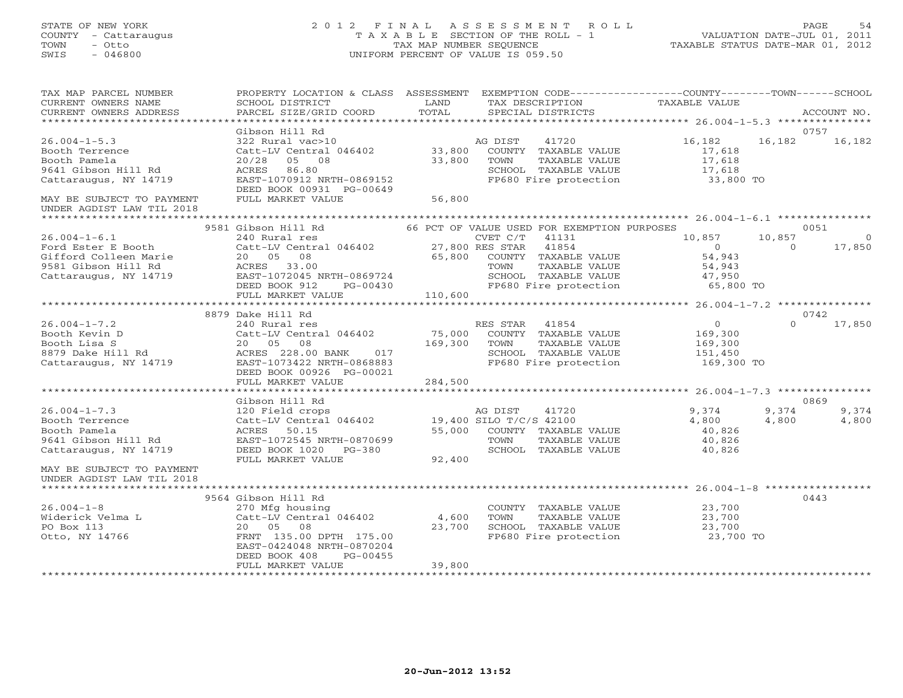#### STATE OF NEW YORK 2 0 1 2 F I N A L A S S E S S M E N T R O L L PAGE 54 COUNTY - Cattaraugus T A X A B L E SECTION OF THE ROLL - 1 VALUATION DATE-JUL 01, 2011 TOWN - Otto TAX MAP NUMBER SEQUENCE TAXABLE STATUS DATE-MAR 01, 2012 SWIS - 046800 UNIFORM PERCENT OF VALUE IS 059.50UNIFORM PERCENT OF VALUE IS 059.50

| TAX MAP PARCEL NUMBER<br>CURRENT OWNERS NAME<br>CURRENT OWNERS ADDRESS                                | PROPERTY LOCATION & CLASS ASSESSMENT EXEMPTION CODE---------------COUNTY-------TOWN------SCHOOL<br>SCHOOL DISTRICT<br>PARCEL SIZE/GRID COORD                                                                    | LAND<br>TOTAL | TAX DESCRIPTION TAXABLE VALUE<br>SPECIAL DISTRICTS                                                                         |                                             |                    | ACCOUNT NO.              |
|-------------------------------------------------------------------------------------------------------|-----------------------------------------------------------------------------------------------------------------------------------------------------------------------------------------------------------------|---------------|----------------------------------------------------------------------------------------------------------------------------|---------------------------------------------|--------------------|--------------------------|
|                                                                                                       |                                                                                                                                                                                                                 |               |                                                                                                                            |                                             |                    |                          |
|                                                                                                       | Gibson Hill Rd                                                                                                                                                                                                  |               |                                                                                                                            |                                             |                    | 0757                     |
| $26.004 - 1 - 5.3$<br>Booth Terrence<br>Booth Pamela<br>9641 Gibson Hill Rd<br>Cattaraugus, NY 14719  | 322 Rural vac>10<br>Catt-LV Central 046402 33,800 COUNTY TAXABLE VALUE<br>20/28 05 08 33,800 TOWN TAXABLE VALUE<br>ACRES 86.80<br>EAST-1070912 NRTH-0869152<br>DEED BOOK 00931 PG-00649                         |               | AG DIST 41720<br>SCHOOL TAXABLE VALUE 17,618<br>FP680 Fire protection 33,800 TO                                            | 16,182<br>17,618<br>17,618                  | 16,182             | 16,182                   |
| MAY BE SUBJECT TO PAYMENT                                                                             | FULL MARKET VALUE                                                                                                                                                                                               | 56,800        |                                                                                                                            |                                             |                    |                          |
| UNDER AGDIST LAW TIL 2018                                                                             |                                                                                                                                                                                                                 |               |                                                                                                                            |                                             |                    |                          |
|                                                                                                       | 9581 Gibson Hill Rd 66 PCT OF VALUE USED FOR EXEMPTION PURPOSES                                                                                                                                                 |               |                                                                                                                            |                                             |                    | 0051                     |
| $26.004 - 1 - 6.1$                                                                                    | 240 Rural res                                                                                                                                                                                                   |               | CVET C/T<br>41131                                                                                                          | 10,857                                      | 10,857<br>$\sim$ 0 | $\overline{0}$<br>17,850 |
|                                                                                                       | FULL MARKET VALUE                                                                                                                                                                                               | 110,600       |                                                                                                                            |                                             |                    |                          |
|                                                                                                       |                                                                                                                                                                                                                 |               |                                                                                                                            |                                             |                    |                          |
| $26.004 - 1 - 7.2$                                                                                    | 8879 Dake Hill Rd                                                                                                                                                                                               |               |                                                                                                                            | $\begin{array}{c} 0 \\ 169,300 \end{array}$ | $\Omega$           | 0742<br>17,850           |
| Booth Kevin D<br>Booth Lisa S<br>8879 Dake Hill Rd<br>Cattaraugus, NY 14719 EAST-1073422 NRTH-0868883 | 240 RES STAR 41854<br>240 RES STAR 41854<br>Catt-LV Central 046402 75,000 COUNTY TAXABLE VALUE<br>20 05 08 169,300 TOWN TAXABLE VALUE<br>ACRES 228.00 BANK 017 SCHOOL TAXABLE VALUE<br>DEED BOOK 00926 PG-00021 |               | TAXABLE VALUE<br>SCHOOL TAXABLE VALUE 151,450<br>FP680 Fire protection 169,300 TO                                          | 169,300<br>151,450                          |                    |                          |
|                                                                                                       | FULL MARKET VALUE                                                                                                                                                                                               | 284,500       |                                                                                                                            |                                             |                    |                          |
|                                                                                                       | Gibson Hill Rd                                                                                                                                                                                                  |               |                                                                                                                            |                                             |                    | 0869                     |
| $26.004 - 1 - 7.3$<br>26.004-1<br>Booth Terrence<br>Booth Pamela<br>9641 Gibson Hill Rd               | GIDSON MILL<br>120 Field crops<br>Catt-LV Central 046402 19,400 SILO T/C/S 42100<br>200 TOUNTY TAXABLE VALUE<br>200 TOUNTY TAXABLE VALUE<br>EAST-1072545 NRTH-0870699<br>FULL MARKET VALUE                      | 92,400        | SCHOOL TAXABLE VALUE 40,826                                                                                                | 9,374<br>4,800<br>40,826<br>40,826          | 9,374<br>4,800     | 9,374<br>4,800           |
| MAY BE SUBJECT TO PAYMENT<br>UNDER AGDIST LAW TIL 2018                                                |                                                                                                                                                                                                                 |               |                                                                                                                            |                                             |                    |                          |
| ******************                                                                                    | ***************                                                                                                                                                                                                 |               |                                                                                                                            |                                             |                    |                          |
| $26.004 - 1 - 8$<br>Widerick Velma L<br>PO Box 113<br>Otto, NY 14766                                  | 9564 Gibson Hill Rd<br>270 Mfg housing<br>Catt-LV Central 046402 4,600<br>20 05 08 23,700<br>FRNT 135.00 DPTH 175.00<br>EAST-0424048 NRTH-0870204<br>DEED BOOK 408<br>PG-00455<br>FULL MARKET VALUE             | 39,800        | COUNTY TAXABLE VALUE 23,700<br>TOWN TAXABLE VALUE 23,700<br>SCHOOL TAXABLE VALUE 23,700<br>FP680 Fire protection 23,700 TO |                                             |                    | 0443                     |
|                                                                                                       |                                                                                                                                                                                                                 |               |                                                                                                                            |                                             |                    |                          |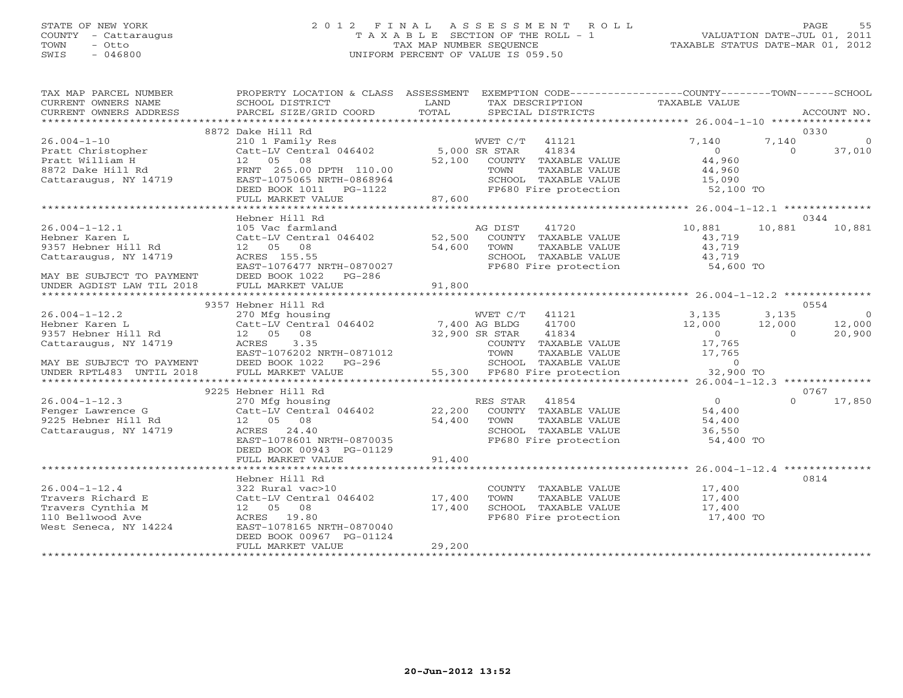### STATE OF NEW YORK 2 0 1 2 F I N A L A S S E S S M E N T R O L L PAGE 55 COUNTY - Cattaraugus T A X A B L E SECTION OF THE ROLL - 1 VALUATION DATE-JUL 01, 2011 TOWN - Otto TAX MAP NUMBER SEQUENCE TAXABLE STATUS DATE-MAR 01, 2012 SWIS - 046800 UNIFORM PERCENT OF VALUE IS 059.50UNIFORM PERCENT OF VALUE IS 059.50

| TAX MAP PARCEL NUMBER<br>CURRENT OWNERS NAME<br>CURRENT OWNERS ADDRESS | PROPERTY LOCATION & CLASS ASSESSMENT<br>SCHOOL DISTRICT<br>PARCEL SIZE/GRID COORD           | LAND<br>TOTAL | EXEMPTION CODE-----------------COUNTY-------TOWN------SCHOOL<br>TAX DESCRIPTION TAXABLE VALUE<br>SPECIAL DISTRICTS |                     |          | ACCOUNT NO.    |
|------------------------------------------------------------------------|---------------------------------------------------------------------------------------------|---------------|--------------------------------------------------------------------------------------------------------------------|---------------------|----------|----------------|
|                                                                        |                                                                                             |               |                                                                                                                    |                     |          |                |
|                                                                        | 8872 Dake Hill Rd                                                                           |               |                                                                                                                    |                     |          | 0330           |
| $26.004 - 1 - 10$                                                      | 210 1 Family Res<br>Catt-LV Central 046402 5,000 SR STAR                                    |               | WVET C/T 41121                                                                                                     | 7,140               | 7,140    | $\Omega$       |
| Pratt Christopher                                                      |                                                                                             |               | 41834                                                                                                              | $\overline{0}$      | $\Omega$ | 37,010         |
| Pratt William H                                                        | 12  05  08                                                                                  |               | 52,100 COUNTY TAXABLE VALUE                                                                                        | 44,960              |          |                |
| 8872 Dake Hill Rd                                                      | FRNT 265.00 DPTH 110.00                                                                     |               | TAXABLE VALUE<br>TOWN                                                                                              | 44,960              |          |                |
| Cattaraugus, NY 14719                                                  | EAST-1075065 NRTH-0868964                                                                   |               | SCHOOL TAXABLE VALUE<br>SCHOOL TAXABLE VALUE<br>FP680 Fire protection                                              | 15,090<br>52,100 TO |          |                |
|                                                                        | DEED BOOK 1011    PG-1122                                                                   |               |                                                                                                                    |                     |          |                |
|                                                                        | FULL MARKET VALUE                                                                           | 87,600        |                                                                                                                    |                     |          |                |
|                                                                        |                                                                                             |               |                                                                                                                    |                     |          |                |
|                                                                        | Hebner Hill Rd                                                                              |               |                                                                                                                    |                     |          | 0344           |
| $26.004 - 1 - 12.1$                                                    | 105 Vac farmland                                                                            |               | AG DIST<br>41720                                                                                                   | 10,881              | 10,881   | 10,881         |
| Hebner Karen L                                                         | Catt-LV Central 046402 52,500 COUNTY TAXABLE VALUE                                          |               |                                                                                                                    | 43,719              |          |                |
| 9357 Hebner Hill Rd                                                    | 12  05  08                                                                                  | 54,600        | TOWN<br>TAXABLE VALUE                                                                                              | 43,719              |          |                |
| Cattaraugus, NY 14719                                                  | ACRES 155.55                                                                                |               | SCHOOL TAXABLE VALUE<br>FP680 Fire protection                                                                      | 43,719<br>54,600 TO |          |                |
|                                                                        | EAST-1076477 NRTH-0870027                                                                   |               |                                                                                                                    |                     |          |                |
| MAY BE SUBJECT TO PAYMENT                                              | DEED BOOK 1022<br>PG-286                                                                    |               |                                                                                                                    |                     |          |                |
| UNDER AGDIST LAW TIL 2018                                              | FULL MARKET VALUE                                                                           | 91,800        |                                                                                                                    |                     |          |                |
|                                                                        |                                                                                             |               |                                                                                                                    |                     |          |                |
|                                                                        | 9357 Hebner Hill Rd                                                                         |               |                                                                                                                    |                     |          | 0554           |
| $26.004 - 1 - 12.2$                                                    | 270 Mfg housing WVET C/T<br>Catt-LV Central 046402 7,400 AG BLDG<br>12 05 08 32,900 SR STAR |               | WVET C/T 41121 3,135                                                                                               |                     | 3,135    | $\overline{0}$ |
| Hebner Karen L                                                         |                                                                                             |               | 41700                                                                                                              | 12,000              | 12,000   | 12,000         |
| 9357 Hebner Hill Rd                                                    |                                                                                             |               | 41834                                                                                                              | $\overline{0}$      | $\cap$   | 20,900         |
| Cattaraugus, NY 14719                                                  | 3.35<br>ACRES                                                                               |               | COUNTY TAXABLE VALUE                                                                                               | 17,765              |          |                |
|                                                                        | EAST-1076202 NRTH-0871012                                                                   |               | TOWN<br>TAXABLE VALUE                                                                                              | 17,765              |          |                |
| MAY BE SUBJECT TO PAYMENT                                              | DEED BOOK 1022 PG-296                                                                       |               | SCHOOL TAXABLE VALUE                                                                                               | $\overline{0}$      |          |                |
| UNDER RPTL483 UNTIL 2018                                               | FULL MARKET VALUE                                                                           |               | 55,300 FP680 Fire protection                                                                                       | 32,900 TO           |          |                |
|                                                                        |                                                                                             |               |                                                                                                                    |                     |          |                |
|                                                                        | 9225 Hebner Hill Rd                                                                         |               |                                                                                                                    |                     |          | 0767           |
| $26.004 - 1 - 12.3$                                                    | 270 Mfg housing<br>Catt-LV Central 046402 22,200                                            |               | RES STAR<br>41854                                                                                                  | $\overline{0}$      | $\Omega$ | 17,850         |
| Fenger Lawrence G                                                      |                                                                                             |               | COUNTY TAXABLE VALUE                                                                                               | 54,400              |          |                |
| 9225 Hebner Hill Rd                                                    | 12  05  08                                                                                  | 54,400        | TOWN<br>TAXABLE VALUE                                                                                              | 54,400              |          |                |
| Cattaraugus, NY 14719                                                  | ACRES 24.40                                                                                 |               | SCHOOL TAXABLE VALUE                                                                                               | 36,550              |          |                |
|                                                                        | EAST-1078601 NRTH-0870035                                                                   |               | FP680 Fire protection                                                                                              | 54,400 TO           |          |                |
|                                                                        | DEED BOOK 00943 PG-01129                                                                    |               |                                                                                                                    |                     |          |                |
|                                                                        | FULL MARKET VALUE                                                                           | 91,400        |                                                                                                                    |                     |          |                |
|                                                                        |                                                                                             |               |                                                                                                                    |                     |          |                |
| $26.004 - 1 - 12.4$                                                    | Hebner Hill Rd<br>322 Rural vac>10                                                          |               | COUNTY TAXABLE VALUE                                                                                               | 17,400              |          | 0814           |
| Travers Richard E                                                      | Catt-LV Central 046402 17,400                                                               |               | TOWN<br>TAXABLE VALUE                                                                                              |                     |          |                |
| Travers Cynthia M                                                      | 12 05 08                                                                                    | 17,400        | SCHOOL TAXABLE VALUE                                                                                               | 17,400              |          |                |
| 110 Bellwood Ave                                                       | ACRES 19.80                                                                                 |               | FP680 Fire protection                                                                                              | 17,400<br>17,400 TO |          |                |
| West Seneca, NY 14224                                                  | EAST-1078165 NRTH-0870040                                                                   |               |                                                                                                                    |                     |          |                |
|                                                                        | DEED BOOK 00967 PG-01124                                                                    |               |                                                                                                                    |                     |          |                |
|                                                                        | FULL MARKET VALUE                                                                           | 29,200        |                                                                                                                    |                     |          |                |
|                                                                        |                                                                                             |               |                                                                                                                    |                     |          |                |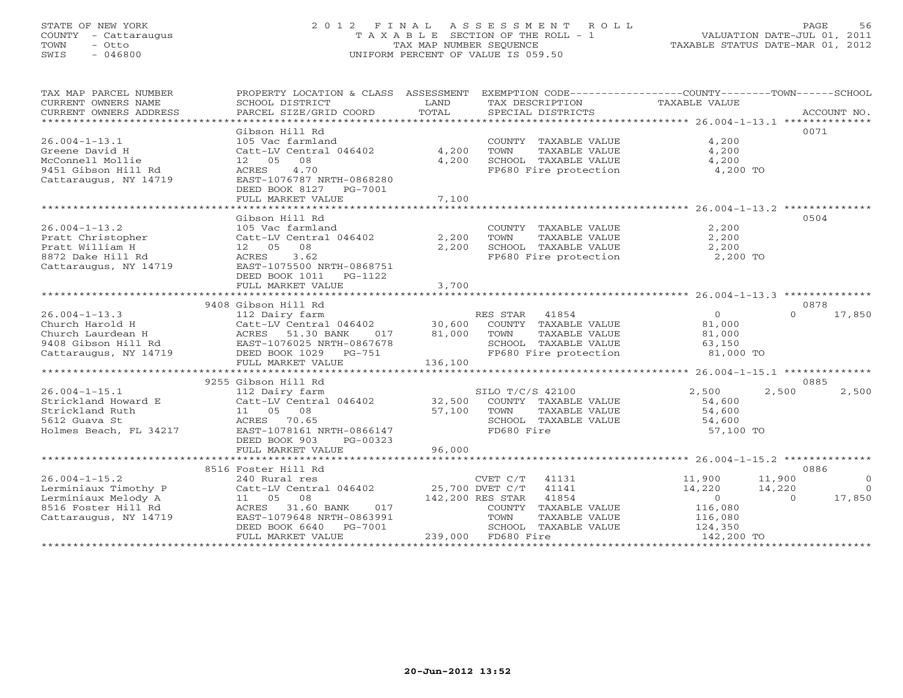#### STATE OF NEW YORK 2 0 1 2 F I N A L A S S E S S M E N T R O L L PAGE 56 COUNTY - Cattaraugus T A X A B L E SECTION OF THE ROLL - 1 VALUATION DATE-JUL 01, 2011 TOWN - Otto TAX MAP NUMBER SEQUENCE TAXABLE STATUS DATE-MAR 01, 2012 SWIS - 046800 UNIFORM PERCENT OF VALUE IS 059.50UNIFORM PERCENT OF VALUE IS 059.50

| TAX MAP PARCEL NUMBER<br>CURRENT OWNERS NAME<br>CURRENT OWNERS ADDRESS                                             | PROPERTY LOCATION & CLASS ASSESSMENT<br>SCHOOL DISTRICT<br>PARCEL SIZE/GRID COORD                                                                                | LAND<br>TOTAL           | EXEMPTION CODE----------------COUNTY-------TOWN------SCHOOL<br>TAX DESCRIPTION TAXABLE VALUE<br>SPECIAL DISTRICTS |                                                                     | ACCOUNT NO.                                                    |
|--------------------------------------------------------------------------------------------------------------------|------------------------------------------------------------------------------------------------------------------------------------------------------------------|-------------------------|-------------------------------------------------------------------------------------------------------------------|---------------------------------------------------------------------|----------------------------------------------------------------|
|                                                                                                                    | Gibson Hill Rd                                                                                                                                                   |                         |                                                                                                                   |                                                                     | 0071                                                           |
| $26.004 - 1 - 13.1$<br>Greene David H<br>McConnell Mollie<br>9451 Gibson Hill Rd<br>Cattaraugus, NY 14719          | 105 Vac farmland<br>Catt-LV Central 046402<br>12  05  08<br>4.70<br>ACRES<br>EAST-1076787 NRTH-0868280<br>DEED BOOK 8127 PG-7001                                 | 4,200<br>4,200          | COUNTY TAXABLE VALUE<br>TOWN<br>TAXABLE VALUE<br>SCHOOL TAXABLE VALUE<br>FP680 Fire protection                    | 4,200<br>4,200<br>4,200<br>4,200 TO                                 |                                                                |
|                                                                                                                    | FULL MARKET VALUE                                                                                                                                                | 7,100                   |                                                                                                                   |                                                                     |                                                                |
|                                                                                                                    | Gibson Hill Rd                                                                                                                                                   |                         |                                                                                                                   |                                                                     | 0504                                                           |
| $26.004 - 1 - 13.2$<br>Pratt Christopher<br>Pratt William H<br>8872 Dake Hill Rd<br>Cattaraugus, NY 14719          | 105 Vac farmland<br>Catt-LV Central 046402<br>12  05  08<br>ACRES<br>3.62<br>EAST-1075500 NRTH-0868751<br>DEED BOOK 1011    PG-1122<br>FULL MARKET VALUE         | 2,200<br>2,200<br>3,700 | COUNTY TAXABLE VALUE<br>TAXABLE VALUE<br>TOWN<br>SCHOOL TAXABLE VALUE<br>FP680 Fire protection                    | 2,200<br>2,200<br>2,200<br>2,200 TO                                 |                                                                |
|                                                                                                                    |                                                                                                                                                                  |                         |                                                                                                                   |                                                                     |                                                                |
| $26.004 - 1 - 13.3$<br>Church Harold H<br>Church Laurdean H<br>attaraugus, NY 14719<br>Cattaraugus, NY 14719       | 9408 Gibson Hill Rd<br>ACRES 51.30 BANK<br>017<br>EAST-1076025 NRTH-0867678<br>DEED BOOK 1029 PG-751                                                             | 81,000                  | TOWN<br>TAXABLE VALUE<br>SCHOOL TAXABLE VALUE<br>SCHOOL TAXABLE VALUE 63,150<br>FP680 Fire protection 61,000 TO   | $\Omega$<br>81,000<br>81,000                                        | 0878<br>$\Omega$<br>17,850                                     |
|                                                                                                                    | FULL MARKET VALUE                                                                                                                                                | 136,100                 |                                                                                                                   |                                                                     |                                                                |
|                                                                                                                    | 9255 Gibson Hill Rd                                                                                                                                              |                         |                                                                                                                   |                                                                     | 0885                                                           |
| $26.004 - 1 - 15.1$<br>Strickland Howard E<br>Strickland Ruth<br>5612 Guava St<br>Holmes Beach, FL 34217           | SI 112 Dairy farm<br>Catt-LV Central 046402 32,500<br>11  05  08<br>ACRES<br>70.65<br>EAST-1078161 NRTH-0866147<br>DEED BOOK 903<br>PG-00323                     | 57,100                  | SILO T/C/S 42100<br>COUNTY TAXABLE VALUE<br>TAXABLE VALUE<br>TOWN<br>SCHOOL TAXABLE VALUE 54,600<br>FD680 Fire    | 2,500<br>54,600<br>54,600<br>57,100 TO                              | 2,500<br>2,500                                                 |
|                                                                                                                    | FULL MARKET VALUE                                                                                                                                                | 96,000                  |                                                                                                                   |                                                                     |                                                                |
|                                                                                                                    | 8516 Foster Hill Rd                                                                                                                                              |                         |                                                                                                                   |                                                                     | 0886                                                           |
| $26.004 - 1 - 15.2$<br>Lerminiaux Timothy P<br>Lerminiaux Melody A<br>8516 Foster Hill Rd<br>Cattaraugus, NY 14719 | 240 Rural res<br>Catt-LV Central 046402 25,700 DVET C/T 41141<br>11  05  08<br>017<br>ACRES<br>31.60 BANK<br>EAST-1079648 NRTH-0863991<br>DEED BOOK 6640 PG-7001 |                         | CVET C/T 41131<br>142,200 RES STAR 41854<br>COUNTY TAXABLE VALUE<br>TOWN<br>TAXABLE VALUE<br>SCHOOL TAXABLE VALUE | 11,900<br>14,220<br>$\overline{0}$<br>116,080<br>116,080<br>124,350 | 11,900<br>$\circ$<br>14,220<br>$\bigcap$<br>$\Omega$<br>17,850 |
|                                                                                                                    | FULL MARKET VALUE                                                                                                                                                |                         | 239,000 FD680 Fire                                                                                                | 142,200 TO                                                          |                                                                |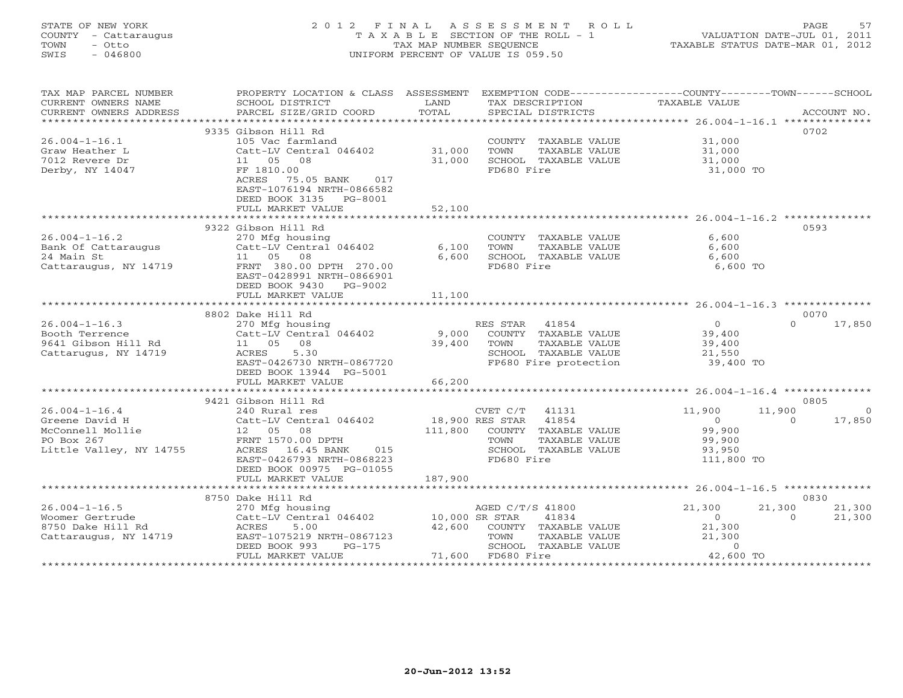#### STATE OF NEW YORK 2 0 1 2 F I N A L A S S E S S M E N T R O L L PAGE 57 COUNTY - Cattaraugus T A X A B L E SECTION OF THE ROLL - 1 VALUATION DATE-JUL 01, 2011 TOWN - Otto TAX MAP NUMBER SEQUENCE TAXABLE STATUS DATE-MAR 01, 2012 SWIS - 046800 UNIFORM PERCENT OF VALUE IS 059.50UNIFORM PERCENT OF VALUE IS 059.50

| TAX MAP PARCEL NUMBER<br>CURRENT OWNERS NAME<br>CURRENT OWNERS ADDRESS | PROPERTY LOCATION & CLASS ASSESSMENT<br>SCHOOL DISTRICT<br>PARCEL SIZE/GRID COORD                                       | LAND<br>TOTAL   | TAX DESCRIPTION<br>SPECIAL DISTRICTS | EXEMPTION CODE-----------------COUNTY-------TOWN-----SCHOOL<br><b>TAXABLE VALUE</b> | ACCOUNT NO.        |
|------------------------------------------------------------------------|-------------------------------------------------------------------------------------------------------------------------|-----------------|--------------------------------------|-------------------------------------------------------------------------------------|--------------------|
|                                                                        |                                                                                                                         |                 |                                      |                                                                                     |                    |
|                                                                        | 9335 Gibson Hill Rd                                                                                                     |                 |                                      |                                                                                     | 0702               |
| $26.004 - 1 - 16.1$                                                    | 105 Vac farmland                                                                                                        |                 | COUNTY TAXABLE VALUE                 | 31,000                                                                              |                    |
| Graw Heather L                                                         | Catt-LV Central 046402                                                                                                  | 31,000          | TOWN<br>TAXABLE VALUE                | 31,000                                                                              |                    |
| 7012 Revere Dr                                                         | 11  05  08                                                                                                              | 31,000          | SCHOOL TAXABLE VALUE                 | 31,000                                                                              |                    |
| Derby, NY 14047                                                        | FF 1810.00<br>ACRES<br>75.05 BANK<br>017<br>EAST-1076194 NRTH-0866582<br>DEED BOOK 3135<br>PG-8001<br>FULL MARKET VALUE | 52,100          | FD680 Fire                           | 31,000 TO                                                                           |                    |
|                                                                        |                                                                                                                         |                 |                                      |                                                                                     |                    |
|                                                                        | 9322 Gibson Hill Rd                                                                                                     |                 |                                      |                                                                                     | 0593               |
| $26.004 - 1 - 16.2$                                                    | 270 Mfg housing                                                                                                         |                 | COUNTY TAXABLE VALUE                 | 6,600                                                                               |                    |
| Bank Of Cattaraugus                                                    | Catt-LV Central 046402                                                                                                  | 6,100           | TOWN<br>TAXABLE VALUE                | 6,600                                                                               |                    |
| 24 Main St                                                             | 11 05 08                                                                                                                | 6,600           | SCHOOL TAXABLE VALUE                 | 6,600                                                                               |                    |
| Cattaraugus, NY 14719                                                  | FRNT 380.00 DPTH 270.00<br>EAST-0428991 NRTH-0866901<br>DEED BOOK 9430<br>PG-9002                                       |                 | FD680 Fire                           | 6,600 TO                                                                            |                    |
|                                                                        | FULL MARKET VALUE                                                                                                       | 11,100          |                                      |                                                                                     |                    |
|                                                                        |                                                                                                                         |                 |                                      |                                                                                     | 0070               |
| $26.004 - 1 - 16.3$                                                    | 8802 Dake Hill Rd<br>270 Mfg housing                                                                                    |                 | RES STAR<br>41854                    | $\Omega$                                                                            | $\Omega$<br>17,850 |
| Booth Terrence                                                         | Catt-LV Central 046402                                                                                                  | 9,000           | COUNTY TAXABLE VALUE                 | 39,400                                                                              |                    |
| 9641 Gibson Hill Rd                                                    | 08<br>11 05                                                                                                             | 39,400          | TAXABLE VALUE<br>TOWN                | 39,400                                                                              |                    |
| Cattarugus, NY 14719                                                   | 5.30<br>ACRES                                                                                                           |                 | SCHOOL TAXABLE VALUE                 | 21,550                                                                              |                    |
|                                                                        | EAST-0426730 NRTH-0867720                                                                                               |                 | FP680 Fire protection                | 39,400 TO                                                                           |                    |
|                                                                        | DEED BOOK 13944 PG-5001                                                                                                 |                 |                                      |                                                                                     |                    |
|                                                                        | FULL MARKET VALUE                                                                                                       | 66,200          |                                      |                                                                                     |                    |
|                                                                        | *************************                                                                                               |                 |                                      |                                                                                     |                    |
|                                                                        | 9421 Gibson Hill Rd                                                                                                     |                 |                                      |                                                                                     | 0805               |
| $26.004 - 1 - 16.4$                                                    | 240 Rural res                                                                                                           |                 | CVET C/T<br>41131                    | 11,900<br>11,900                                                                    | $\Omega$           |
| Greene David H                                                         | Catt-LV Central 046402                                                                                                  | 18,900 RES STAR | 41854                                | $\Omega$                                                                            | 17,850<br>$\Omega$ |
| McConnell Mollie                                                       | 12  05  08                                                                                                              | 111,800         | COUNTY TAXABLE VALUE                 | 99,900                                                                              |                    |
| PO Box 267                                                             | FRNT 1570.00 DPTH                                                                                                       |                 | TAXABLE VALUE<br>TOWN                | 99,900                                                                              |                    |
| Little Valley, NY 14755                                                | ACRES 16.45 BANK<br>015                                                                                                 |                 | SCHOOL TAXABLE VALUE                 | 93,950                                                                              |                    |
|                                                                        | EAST-0426793 NRTH-0868223                                                                                               |                 | FD680 Fire                           | 111,800 TO                                                                          |                    |
|                                                                        | DEED BOOK 00975 PG-01055                                                                                                |                 |                                      |                                                                                     |                    |
|                                                                        | FULL MARKET VALUE                                                                                                       | 187,900         |                                      |                                                                                     |                    |
|                                                                        |                                                                                                                         |                 |                                      |                                                                                     |                    |
|                                                                        | 8750 Dake Hill Rd                                                                                                       |                 |                                      |                                                                                     | 0830               |
| $26.004 - 1 - 16.5$                                                    | 270 Mfg housing                                                                                                         |                 | AGED C/T/S 41800                     | 21,300<br>21,300                                                                    | 21,300             |
| Woomer Gertrude                                                        | Catt-LV Central 046402                                                                                                  | 10,000 SR STAR  | 41834                                | $\Omega$                                                                            | $\Omega$<br>21,300 |
| 8750 Dake Hill Rd                                                      | ACRES<br>5.00                                                                                                           | 42,600          | COUNTY TAXABLE VALUE                 | 21,300                                                                              |                    |
| Cattaraugus, NY 14719                                                  | EAST-1075219 NRTH-0867123                                                                                               |                 | TOWN<br>TAXABLE VALUE                | 21,300                                                                              |                    |
|                                                                        | DEED BOOK 993<br>$PG-175$                                                                                               |                 | SCHOOL TAXABLE VALUE                 | $\Omega$                                                                            |                    |
|                                                                        | FULL MARKET VALUE                                                                                                       | 71,600          | FD680 Fire                           | 42,600 TO                                                                           |                    |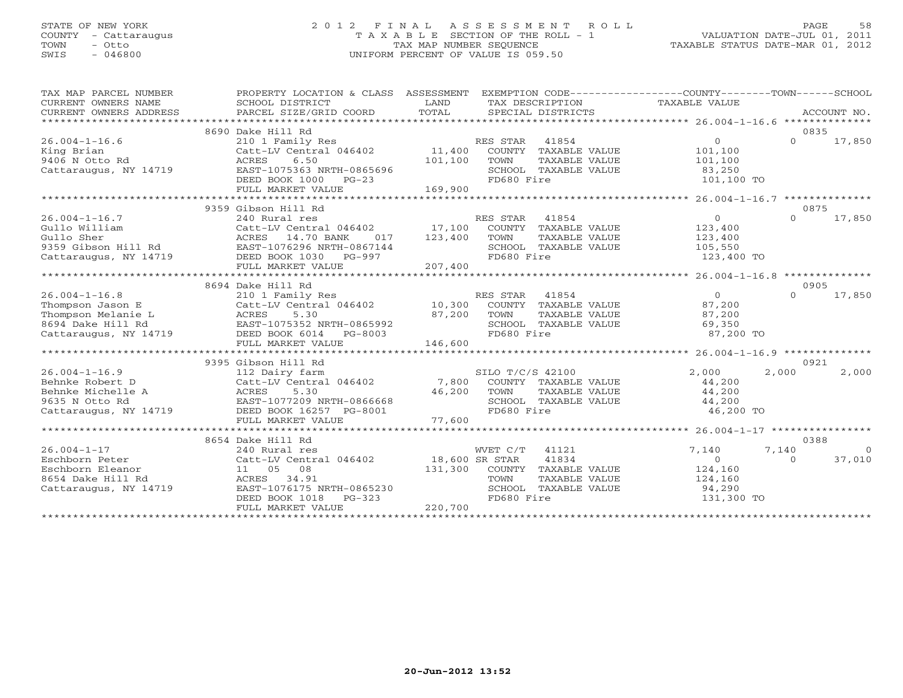#### STATE OF NEW YORK 2 0 1 2 F I N A L A S S E S S M E N T R O L L PAGE 58 COUNTY - Cattaraugus T A X A B L E SECTION OF THE ROLL - 1 VALUATION DATE-JUL 01, 2011 TOWN - Otto TAX MAP NUMBER SEQUENCE TAXABLE STATUS DATE-MAR 01, 2012 SWIS - 046800 UNIFORM PERCENT OF VALUE IS 059.50UNIFORM PERCENT OF VALUE IS 059.50

| TAX MAP PARCEL NUMBER<br>CURRENT OWNERS NAME<br>CURRENT OWNERS ADDRESS | PROPERTY LOCATION & CLASS ASSESSMENT<br>SCHOOL DISTRICT<br>PARCEL SIZE/GRID COORD | LAND<br>TOTAL |                  | TAX DESCRIPTION<br>SPECIAL DISTRICTS | EXEMPTION CODE-----------------COUNTY-------TOWN------SCHOOL<br>TAXABLE VALUE |          | ACCOUNT NO. |
|------------------------------------------------------------------------|-----------------------------------------------------------------------------------|---------------|------------------|--------------------------------------|-------------------------------------------------------------------------------|----------|-------------|
|                                                                        |                                                                                   |               |                  |                                      |                                                                               |          |             |
|                                                                        | 8690 Dake Hill Rd                                                                 |               |                  |                                      |                                                                               | 0835     |             |
| $26.004 - 1 - 16.6$                                                    | 210 1 Family Res                                                                  |               | RES STAR         | 41854                                | $\overline{0}$                                                                | $\Omega$ | 17,850      |
| King Brian                                                             | $Cat$ -LV Central 046402 $11,400$                                                 |               |                  | COUNTY TAXABLE VALUE                 | 101,100                                                                       |          |             |
| 9406 N Otto Rd                                                         | ACRES<br>6.50                                                                     | 101,100       | TOWN             | TAXABLE VALUE                        | 101,100                                                                       |          |             |
| Cattaraugus, NY 14719                                                  | EAST-1075363 NRTH-0865696                                                         |               |                  | SCHOOL TAXABLE VALUE                 | 83,250                                                                        |          |             |
|                                                                        | DEED BOOK 1000<br>$PG-23$                                                         |               | FD680 Fire       |                                      | 101,100 TO                                                                    |          |             |
|                                                                        | FULL MARKET VALUE                                                                 | 169,900       |                  |                                      |                                                                               |          |             |
|                                                                        |                                                                                   |               |                  |                                      |                                                                               |          |             |
|                                                                        | 9359 Gibson Hill Rd                                                               |               |                  |                                      |                                                                               | 0875     |             |
| $26.004 - 1 - 16.7$                                                    | 240 Rural res                                                                     |               | RES STAR         | 41854                                | $\overline{0}$                                                                | $\Omega$ | 17,850      |
| Gullo William                                                          | Catt-LV Central 046402 17,100                                                     |               |                  | COUNTY TAXABLE VALUE                 | 123,400                                                                       |          |             |
|                                                                        | ACRES 14.70 BANK<br>017                                                           | 123,400       | TOWN             | TAXABLE VALUE                        | 123,400                                                                       |          |             |
| Gullo Sher<br>9359 Gibson Hill Rd                                      | EAST-1076296 NRTH-0867144                                                         |               |                  | SCHOOL TAXABLE VALUE                 | 105,550                                                                       |          |             |
| Cattaraugus, NY 14719 DEED BOOK 1030 PG-997                            |                                                                                   |               | FD680 Fire       |                                      | 123,400 TO                                                                    |          |             |
|                                                                        | FULL MARKET VALUE                                                                 | 207,400       |                  |                                      |                                                                               |          |             |
|                                                                        |                                                                                   |               |                  |                                      |                                                                               |          |             |
|                                                                        | 8694 Dake Hill Rd                                                                 |               |                  |                                      |                                                                               | 0905     |             |
| $26.004 - 1 - 16.8$                                                    |                                                                                   |               |                  |                                      | $\overline{0}$                                                                | $\Omega$ | 17,850      |
| Thompson Jason E                                                       |                                                                                   |               |                  |                                      | 87,200                                                                        |          |             |
| Thompson Melanie L ACRES                                               | 5.30                                                                              | 87,200        | TOWN             | TAXABLE VALUE                        | 87,200                                                                        |          |             |
|                                                                        |                                                                                   |               |                  | SCHOOL TAXABLE VALUE                 | 69,350                                                                        |          |             |
|                                                                        |                                                                                   |               | FD680 Fire       |                                      | 87,200 TO                                                                     |          |             |
|                                                                        | FULL MARKET VALUE                                                                 | 146,600       |                  |                                      |                                                                               |          |             |
|                                                                        |                                                                                   |               |                  |                                      |                                                                               |          |             |
|                                                                        | 9395 Gibson Hill Rd                                                               |               |                  |                                      |                                                                               | 0921     |             |
| $26.004 - 1 - 16.9$                                                    | 112 Dairy farm                                                                    |               | SILO T/C/S 42100 |                                      | 2,000                                                                         | 2,000    | 2,000       |
| Behnke Robert D                                                        | Catt-LV Central 046402 7,800                                                      |               |                  | COUNTY TAXABLE VALUE                 | 44,200                                                                        |          |             |
| Behnke Michelle A                                                      | 5.30<br>ACRES                                                                     | 46,200        | TOWN             | TAXABLE VALUE                        | 44,200                                                                        |          |             |
| 9635 N Otto Rd                                                         | EAST-1077209 NRTH-0866668                                                         |               |                  | SCHOOL TAXABLE VALUE                 | 44,200                                                                        |          |             |
| Cattaraugus, NY 14719 DEED BOOK 16257 PG-8001                          |                                                                                   |               | FD680 Fire       |                                      | 46,200 TO                                                                     |          |             |
|                                                                        | FULL MARKET VALUE                                                                 | 77,600        |                  |                                      |                                                                               |          |             |
|                                                                        |                                                                                   |               |                  |                                      |                                                                               |          |             |
|                                                                        | 8654 Dake Hill Rd                                                                 |               |                  |                                      |                                                                               | 0388     |             |
| $26.004 - 1 - 17$                                                      | 240 Rural res                                                                     |               | WVET C/T 41121   |                                      | 7,140                                                                         | 7,140    | $\bigcirc$  |
| Eschborn Peter                                                         | Catt-LV Central 046402 18,600 SR STAR                                             |               |                  | 41834                                | $\overline{0}$                                                                | $\cap$   | 37,010      |
| Eschborn Eleanor                                                       | 11 05 08                                                                          |               |                  | 131,300 COUNTY TAXABLE VALUE         | 124,160                                                                       |          |             |
| 8654 Dake Hill Rd                                                      | 34.91<br>ACRES                                                                    |               | TOWN             | TAXABLE VALUE                        | 124,160                                                                       |          |             |
| Cattaraugus, NY 14719                                                  | EAST-1076175 NRTH-0865230                                                         |               |                  | SCHOOL TAXABLE VALUE                 | 94,290                                                                        |          |             |
|                                                                        | $PG-323$<br>DEED BOOK 1018                                                        |               | FD680 Fire       |                                      | 131,300 TO                                                                    |          |             |
|                                                                        | FULL MARKET VALUE                                                                 | 220,700       |                  |                                      |                                                                               |          |             |
|                                                                        |                                                                                   |               |                  |                                      |                                                                               |          |             |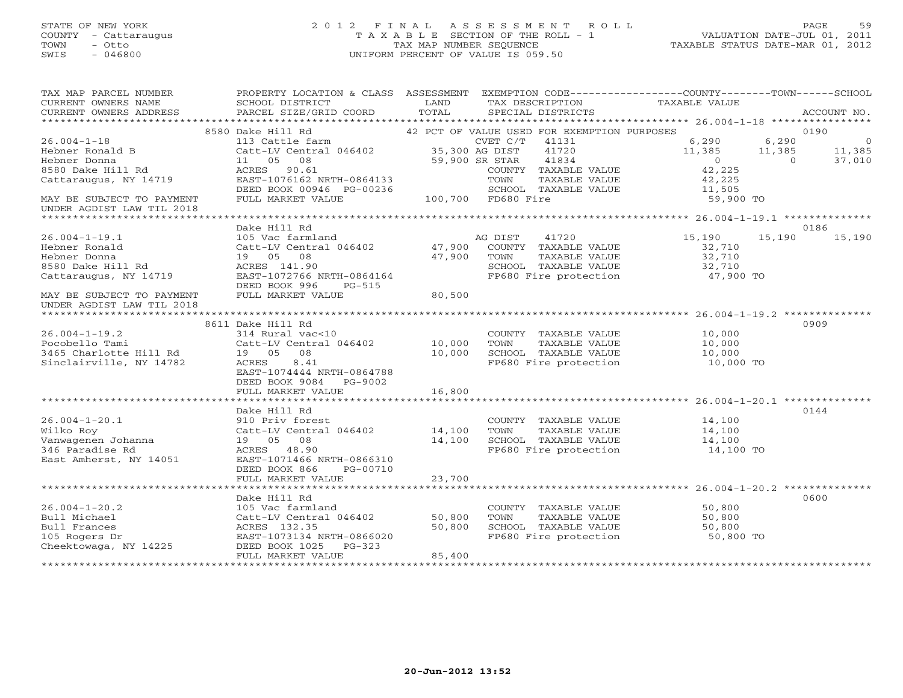#### STATE OF NEW YORK 2 0 1 2 F I N A L A S S E S S M E N T R O L L PAGE 59 COUNTY - Cattaraugus T A X A B L E SECTION OF THE ROLL - 1 VALUATION DATE-JUL 01, 2011 TOWN - Otto TAX MAP NUMBER SEQUENCE TAXABLE STATUS DATE-MAR 01, 2012 SWIS - 046800 UNIFORM PERCENT OF VALUE IS 059.50UNIFORM PERCENT OF VALUE IS 059.50

| TAX MAP PARCEL NUMBER<br>CURRENT OWNERS NAME<br>CURRENT OWNERS ADDRESS | PROPERTY LOCATION & CLASS ASSESSMENT<br>SCHOOL DISTRICT<br>PARCEL SIZE/GRID COORD | LAND<br>TOTAL  | EXEMPTION CODE-----------------COUNTY-------TOWN------SCHOOL<br>TAX DESCRIPTION<br>SPECIAL DISTRICTS | TAXABLE VALUE  | ACCOUNT NO.             |
|------------------------------------------------------------------------|-----------------------------------------------------------------------------------|----------------|------------------------------------------------------------------------------------------------------|----------------|-------------------------|
|                                                                        |                                                                                   |                |                                                                                                      |                |                         |
|                                                                        | 8580 Dake Hill Rd                                                                 |                | 42 PCT OF VALUE USED FOR EXEMPTION PURPOSES                                                          |                | 0190                    |
| $26.004 - 1 - 18$                                                      | 113 Cattle farm                                                                   |                | CVET C/T<br>41131                                                                                    | 6,290          | 6,290<br>$\overline{0}$ |
| Hebner Ronald B                                                        | Catt-LV Central 046402                                                            | 35,300 AG DIST | 41720                                                                                                | 11,385         | 11,385<br>11,385        |
| Hebner Donna                                                           | 11  05  08                                                                        |                | 41834<br>59,900 SR STAR                                                                              | $\overline{0}$ | 37,010<br>$\Omega$      |
| 8580 Dake Hill Rd                                                      | ACRES 90.61                                                                       |                | COUNTY TAXABLE VALUE                                                                                 | 42,225         |                         |
| Cattaraugus, NY 14719                                                  | EAST-1076162 NRTH-0864133                                                         |                | TOWN<br>TAXABLE VALUE                                                                                | 42,225         |                         |
|                                                                        | DEED BOOK 00946 PG-00236                                                          |                | SCHOOL TAXABLE VALUE                                                                                 | 11,505         |                         |
| MAY BE SUBJECT TO PAYMENT                                              | FULL MARKET VALUE                                                                 |                | 100,700 FD680 Fire                                                                                   | 59,900 TO      |                         |
| UNDER AGDIST LAW TIL 2018                                              |                                                                                   |                |                                                                                                      |                |                         |
|                                                                        |                                                                                   |                |                                                                                                      |                |                         |
|                                                                        | Dake Hill Rd                                                                      |                |                                                                                                      |                | 0186                    |
| $26.004 - 1 - 19.1$                                                    | 105 Vac farmland                                                                  |                | 41720<br>AG DIST                                                                                     | 15,190         | 15,190<br>15,190        |
| Hebner Ronald                                                          | Catt-LV Central 046402                                                            | 47,900         | COUNTY TAXABLE VALUE                                                                                 | 32,710         |                         |
| Hebner Donna                                                           | 19  05  08                                                                        | 47,900         | TAXABLE VALUE<br>TOWN                                                                                | 32,710         |                         |
| 8580 Dake Hill Rd                                                      | ACRES 141.90                                                                      |                | SCHOOL TAXABLE VALUE                                                                                 | 32,710         |                         |
| Cattaraugus, NY 14719                                                  | EAST-1072766 NRTH-0864164<br>DEED BOOK 996<br>PG-515                              |                | FP680 Fire protection                                                                                | 47,900 TO      |                         |
|                                                                        | FULL MARKET VALUE                                                                 | 80,500         |                                                                                                      |                |                         |
| MAY BE SUBJECT TO PAYMENT<br>UNDER AGDIST LAW TIL 2018                 |                                                                                   |                |                                                                                                      |                |                         |
|                                                                        |                                                                                   |                |                                                                                                      |                |                         |
|                                                                        | 8611 Dake Hill Rd                                                                 |                |                                                                                                      |                | 0909                    |
| $26.004 - 1 - 19.2$                                                    | 314 Rural vac<10                                                                  |                | COUNTY TAXABLE VALUE                                                                                 | 10,000         |                         |
| Pocobello Tami                                                         | Catt-LV Central 046402                                                            | 10,000         | TOWN<br>TAXABLE VALUE                                                                                | 10,000         |                         |
| 3465 Charlotte Hill Rd                                                 | 19 05<br>08                                                                       | 10,000         | SCHOOL TAXABLE VALUE                                                                                 | 10,000         |                         |
| Sinclairville, NY 14782                                                | ACRES<br>8.41                                                                     |                | FP680 Fire protection                                                                                | 10,000 TO      |                         |
|                                                                        | EAST-1074444 NRTH-0864788                                                         |                |                                                                                                      |                |                         |
|                                                                        | DEED BOOK 9084<br>PG-9002                                                         |                |                                                                                                      |                |                         |
|                                                                        | FULL MARKET VALUE                                                                 | 16,800         |                                                                                                      |                |                         |
|                                                                        |                                                                                   |                |                                                                                                      |                |                         |
|                                                                        | Dake Hill Rd                                                                      |                |                                                                                                      |                | 0144                    |
| $26.004 - 1 - 20.1$                                                    | 910 Priv forest                                                                   |                | COUNTY TAXABLE VALUE                                                                                 | 14,100         |                         |
| Wilko Roy                                                              | Catt-LV Central 046402                                                            | 14,100         | TOWN<br>TAXABLE VALUE                                                                                | 14,100         |                         |
| Vanwagenen Johanna                                                     | 19  05  08                                                                        | 14,100         | SCHOOL TAXABLE VALUE                                                                                 | 14,100         |                         |
| 346 Paradise Rd                                                        | ACRES 48.90                                                                       |                | FP680 Fire protection                                                                                | 14,100 TO      |                         |
| East Amherst, NY 14051                                                 | EAST-1071466 NRTH-0866310                                                         |                |                                                                                                      |                |                         |
|                                                                        | DEED BOOK 866<br>PG-00710                                                         |                |                                                                                                      |                |                         |
|                                                                        | FULL MARKET VALUE                                                                 | 23,700         |                                                                                                      |                |                         |
|                                                                        |                                                                                   |                |                                                                                                      |                |                         |
|                                                                        | Dake Hill Rd                                                                      |                |                                                                                                      |                | 0600                    |
| $26.004 - 1 - 20.2$                                                    | 105 Vac farmland                                                                  |                | COUNTY TAXABLE VALUE                                                                                 | 50,800         |                         |
| Bull Michael                                                           | Catt-LV Central 046402                                                            | 50,800         | TOWN<br>TAXABLE VALUE                                                                                | 50,800         |                         |
| Bull Frances                                                           | ACRES 132.35                                                                      | 50,800         | SCHOOL TAXABLE VALUE                                                                                 | 50,800         |                         |
| 105 Rogers Dr                                                          | EAST-1073134 NRTH-0866020                                                         |                | FP680 Fire protection                                                                                | 50,800 TO      |                         |
| Cheektowaga, NY 14225                                                  | DEED BOOK 1025<br>$PG-323$                                                        |                |                                                                                                      |                |                         |
|                                                                        | FULL MARKET VALUE                                                                 | 85,400         |                                                                                                      |                |                         |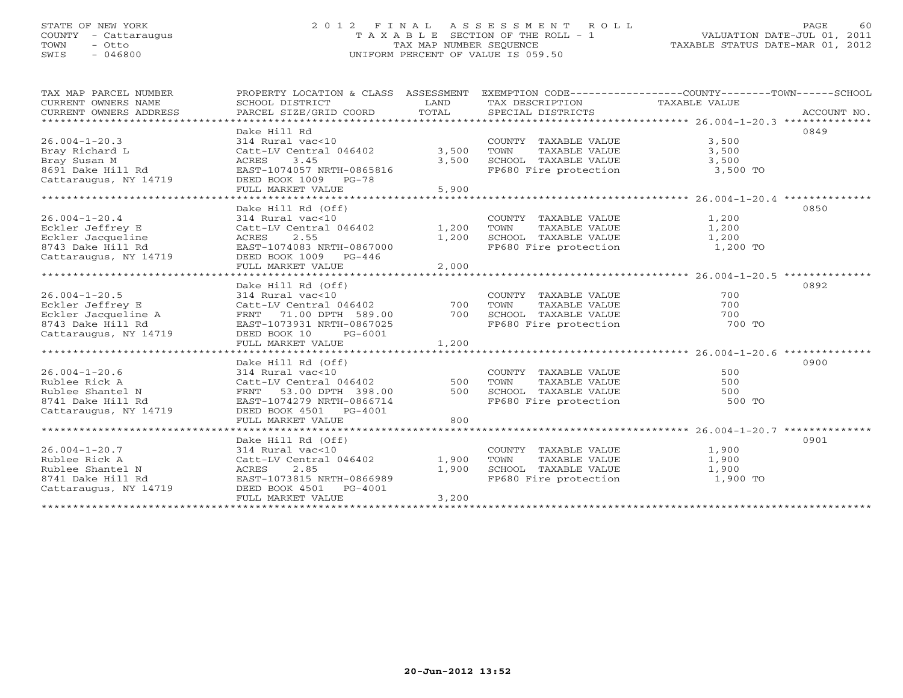#### STATE OF NEW YORK 2 0 1 2 F I N A L A S S E S S M E N T R O L L PAGE 60 COUNTY - Cattaraugus T A X A B L E SECTION OF THE ROLL - 1 VALUATION DATE-JUL 01, 2011 TOWN - Otto TAX MAP NUMBER SEQUENCE TAXABLE STATUS DATE-MAR 01, 2012 SWIS - 046800 UNIFORM PERCENT OF VALUE IS 059.50UNIFORM PERCENT OF VALUE IS 059.50

| TAX MAP PARCEL NUMBER<br>CURRENT OWNERS NAME<br>CURRENT OWNERS ADDRESS                                       | PROPERTY LOCATION & CLASS ASSESSMENT<br>SCHOOL DISTRICT<br>PARCEL SIZE/GRID COORD                                                                                             | LAND<br>TOTAL           | TAX DESCRIPTION TAXABLE VALUE<br>SPECIAL DISTRICTS                                                            | EXEMPTION CODE-----------------COUNTY-------TOWN------SCHOOL<br>ACCOUNT NO. |
|--------------------------------------------------------------------------------------------------------------|-------------------------------------------------------------------------------------------------------------------------------------------------------------------------------|-------------------------|---------------------------------------------------------------------------------------------------------------|-----------------------------------------------------------------------------|
| $26.004 - 1 - 20.3$<br>Bray Richard L<br>Bray Susan M<br>8691 Dake Hill Rd<br>Cattaraugus, NY 14719          | Dake Hill Rd<br>314 Rural vac<10<br>Catt-LV Central 046402 3,500<br>3.45<br>ACRES<br>EAST-1074057 NRTH-0865816<br>DEED BOOK 1009 PG-78<br>FULL MARKET VALUE                   | 3,500<br>5,900          | COUNTY TAXABLE VALUE<br>TAXABLE VALUE<br>TOWN<br>SCHOOL TAXABLE VALUE<br>FP680 Fire protection 3,500 TO       | 0849<br>3,500<br>3,500<br>3,500                                             |
| $26.004 - 1 - 20.4$<br>Eckler Jeffrey E<br>Eckler Jacqueline<br>8743 Dake Hill Rd<br>Cattaraugus, NY 14719   | Dake Hill Rd (Off)<br>314 Rural vac<10<br>Catt-LV Central 046402 1,200<br>2.55<br>ACRES<br>EAST-1074083 NRTH-0867000<br>DEED BOOK 1009 PG-446<br>FULL MARKET VALUE            | 1,200<br>2,000          | COUNTY TAXABLE VALUE<br>TOWN<br>TAXABLE VALUE<br>SCHOOL TAXABLE VALUE 1,200<br>FP680 Fire protection 1,200 TO | 0850<br>1,200<br>1,200                                                      |
| $26.004 - 1 - 20.5$<br>Eckler Jeffrey E<br>Eckler Jacqueline A<br>8743 Dake Hill Rd<br>Cattaraugus, NY 14719 | Dake Hill Rd (Off)<br>314 Rural vac<10<br>Catt-LV Central 046402<br>FRNT 71.00 DPTH 589.00<br>EAST-1073931 NRTH-0867025<br>DEED BOOK 10<br>PG-6001<br>FULL MARKET VALUE       | 700<br>700<br>1,200     | COUNTY TAXABLE VALUE<br>TOWN<br>TAXABLE VALUE<br>SCHOOL TAXABLE VALUE<br>FP680 Fire protection                | 0892<br>700<br>700<br>700<br>700 TO                                         |
| $26.004 - 1 - 20.6$<br>Rublee Rick A<br>Rublee Shantel N<br>8741 Dake Hill Rd<br>Cattaraugus, NY 14719       | Dake Hill Rd (Off)<br>314 Rural vac<10<br>Catt-LV Central 046402 500<br>FRNT<br>53.00 DPTH 398.00<br>EAST-1074279 NRTH-0866714<br>DEED BOOK 4501 PG-4001<br>FULL MARKET VALUE | 500<br>800              | COUNTY TAXABLE VALUE<br>TOWN<br>TAXABLE VALUE<br>SCHOOL TAXABLE VALUE<br>FP680 Fire protection                | 0900<br>500<br>500<br>500<br>500 TO                                         |
| $26.004 - 1 - 20.7$<br>Rublee Rick A<br>Rublee Shantel N<br>8741 Dake Hill Rd<br>Cattaraugus, NY 14719       | Dake Hill Rd (Off)<br>314 Rural vac<10<br>Catt-LV Central 046402<br>2.85<br>ACRES<br>EAST-1073815 NRTH-0866989<br>DEED BOOK 4501<br>PG-4001<br>FULL MARKET VALUE              | 1,900<br>1,900<br>3,200 | COUNTY TAXABLE VALUE<br>TOWN     TAXABLE VALUE<br>SCHOOL   TAXABLE VALUE<br>FP680 Fire protection             | 0901<br>1,900<br>1,900<br>1,900<br>1,900 TO                                 |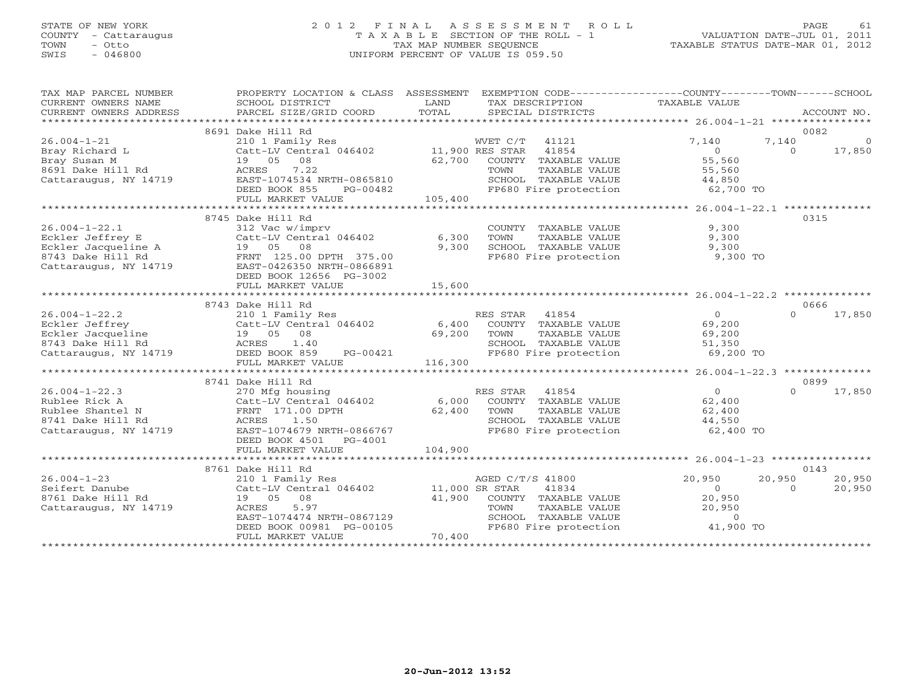#### STATE OF NEW YORK 2 0 1 2 F I N A L A S S E S S M E N T R O L L PAGE 61 COUNTY - Cattaraugus T A X A B L E SECTION OF THE ROLL - 1 VALUATION DATE-JUL 01, 2011 TOWN - Otto TAX MAP NUMBER SEQUENCE TAXABLE STATUS DATE-MAR 01, 2012 SWIS - 046800 UNIFORM PERCENT OF VALUE IS 059.50UNIFORM PERCENT OF VALUE IS 059.50

| TAX MAP PARCEL NUMBER<br>CURRENT OWNERS NAME                    | PROPERTY LOCATION & CLASS ASSESSMENT EXEMPTION CODE----------------COUNTY-------TOWN------SCHOOL<br>SCHOOL DISTRICT | LAND    | TAX DESCRIPTION                                                                                | TAXABLE VALUE       |          |             |
|-----------------------------------------------------------------|---------------------------------------------------------------------------------------------------------------------|---------|------------------------------------------------------------------------------------------------|---------------------|----------|-------------|
| CURRENT OWNERS ADDRESS                                          | PARCEL SIZE/GRID COORD                                                                                              | TOTAL   | SPECIAL DISTRICTS                                                                              |                     |          | ACCOUNT NO. |
|                                                                 | 8691 Dake Hill Rd                                                                                                   |         |                                                                                                |                     | 0082     |             |
| $26.004 - 1 - 21$                                               | 210 1 Family Res                                                                                                    |         | WVET C/T 41121                                                                                 | 7,140               | 7,140    | $\Omega$    |
| Bray Richard L                                                  | Catt-LV Central 046402 11,900 RES STAR                                                                              |         | 41854                                                                                          | $\overline{0}$      | $\Omega$ | 17,850      |
| Bray Susan M                                                    | 19  05  08                                                                                                          |         | 62,700 COUNTY TAXABLE VALUE                                                                    | 55,560              |          |             |
| 8691 Dake Hill Rd                                               | 7.22<br>ACRES                                                                                                       |         | TOWN<br>TAXABLE VALUE                                                                          | 55,560              |          |             |
| Cattaraugus, NY 14719                                           | EAST-1074534 NRTH-0865810                                                                                           |         | SCHOOL TAXABLE VALUE                                                                           |                     |          |             |
|                                                                 | DEED BOOK 855<br>PG-00482                                                                                           |         |                                                                                                | 44,850<br>62,700 TO |          |             |
|                                                                 | FULL MARKET VALUE                                                                                                   | 105,400 | FP680 Fire protection                                                                          |                     |          |             |
|                                                                 |                                                                                                                     |         |                                                                                                |                     |          |             |
|                                                                 | 8745 Dake Hill Rd                                                                                                   |         |                                                                                                |                     | 0315     |             |
| $26.004 - 1 - 22.1$                                             | 312 Vac w/imprv                                                                                                     |         | COUNTY TAXABLE VALUE                                                                           | 9,300               |          |             |
|                                                                 | Catt-LV Central 046402                                                                                              |         |                                                                                                |                     |          |             |
| Eckler Jeffrey E                                                |                                                                                                                     | 6,300   | TOWN<br>TAXABLE VALUE                                                                          | 9,300               |          |             |
| Eckler Jacqueline A                                             | 19  05  08                                                                                                          | 9,300   | SCHOOL TAXABLE VALUE                                                                           | 9,300               |          |             |
| 8743 Dake Hill Rd                                               | FRNT 125.00 DPTH 375.00                                                                                             |         | FP680 Fire protection                                                                          | 9,300 TO            |          |             |
| Cattaraugus, NY 14719                                           | EAST-0426350 NRTH-0866891                                                                                           |         |                                                                                                |                     |          |             |
|                                                                 | DEED BOOK 12656 PG-3002                                                                                             |         |                                                                                                |                     |          |             |
|                                                                 | FULL MARKET VALUE                                                                                                   | 15,600  |                                                                                                |                     |          |             |
|                                                                 |                                                                                                                     |         |                                                                                                |                     |          |             |
|                                                                 | 8743 Dake Hill Rd                                                                                                   |         |                                                                                                |                     | 0666     |             |
| $26.004 - 1 - 22.2$                                             | 210 1 Family Res                                                                                                    |         | RES STAR<br>41854                                                                              | $0 \qquad \qquad$   | $\Omega$ | 17,850      |
| Eckler Jeffrey                                                  | Catt-LV Central 046402 6,400 COUNTY TAXABLE VALUE                                                                   |         |                                                                                                | 69,200              |          |             |
|                                                                 | 19  05  08                                                                                                          | 69,200  | TOWN<br>TAXABLE VALUE                                                                          | 69,200              |          |             |
|                                                                 | ACRES<br>1.40                                                                                                       |         | SCHOOL TAXABLE VALUE<br>FP680 Fire protection                                                  | 51,350              |          |             |
| Eckler Jacqueline<br>8743 Dake Hill Rd<br>Cattaraugus, NY 14719 | DEED BOOK 859<br>PG-00421                                                                                           |         |                                                                                                | 69,200 TO           |          |             |
|                                                                 | FULL MARKET VALUE                                                                                                   | 116,300 |                                                                                                |                     |          |             |
|                                                                 |                                                                                                                     |         |                                                                                                |                     |          |             |
|                                                                 | 8741 Dake Hill Rd                                                                                                   |         |                                                                                                |                     | 0899     |             |
| $26.004 - 1 - 22.3$                                             | 270 Mfg housing                                                                                                     |         | RES STAR 41854                                                                                 | $\Omega$            | $\Omega$ | 17,850      |
| Rublee Rick A                                                   | Catt-LV Central 046402                                                                                              | 6,000   | COUNTY TAXABLE VALUE                                                                           | 62,400              |          |             |
| Rublee Shantel N                                                | FRNT 171.00 DPTH                                                                                                    | 62,400  | TOWN<br>TAXABLE VALUE                                                                          | 62,400              |          |             |
| 8741 Dake Hill Rd                                               | 1.50<br>ACRES                                                                                                       |         | SCHOOL TAXABLE VALUE                                                                           | 44,550              |          |             |
| Cattaraugus, NY 14719                                           | EAST-1074679 NRTH-0866767                                                                                           |         | FP680 Fire protection                                                                          | 62,400 TO           |          |             |
|                                                                 | DEED BOOK 4501 PG-4001                                                                                              |         |                                                                                                |                     |          |             |
|                                                                 | FULL MARKET VALUE                                                                                                   | 104,900 |                                                                                                |                     |          |             |
|                                                                 |                                                                                                                     |         |                                                                                                |                     |          |             |
|                                                                 | 8761 Dake Hill Rd                                                                                                   |         |                                                                                                |                     | 0143     |             |
| $26.004 - 1 - 23$                                               | 210 1 Family Res                                                                                                    |         | AGED C/T/S 41800                                                                               | 20,950              | 20,950   | 20,950      |
| Seifert Danube                                                  | Catt-LV Central 046402 11,000 SR STAR                                                                               |         | 41834                                                                                          | $\overline{0}$      | $\Omega$ | 20,950      |
| 8761 Dake Hill Rd                                               | 19 05 08                                                                                                            | 41,900  | COUNTY TAXABLE VALUE                                                                           | 20,950              |          |             |
| Cattaraugus, NY 14719                                           | ACRES<br>5.97                                                                                                       |         | TOWN<br>TAXABLE VALUE                                                                          | 20,950              |          |             |
|                                                                 | EAST-1074474 NRTH-0867129                                                                                           |         |                                                                                                |                     |          |             |
|                                                                 | DEED BOOK 00981 PG-00105                                                                                            |         | SCHOOL TAXABLE VALUE $\begin{array}{ccc} 0 & 0 \\ 0 & 1,900 \end{array}$ TP680 Fire protection |                     |          |             |
|                                                                 | FULL MARKET VALUE                                                                                                   | 70,400  |                                                                                                |                     |          |             |
|                                                                 |                                                                                                                     |         |                                                                                                |                     |          |             |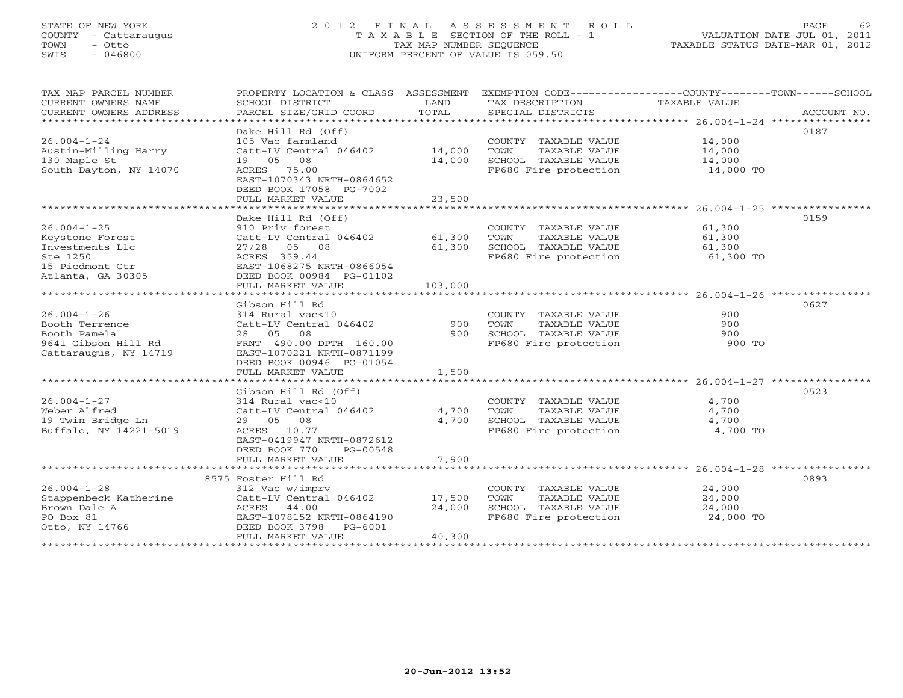### STATE OF NEW YORK 2 0 1 2 F I N A L A S S E S S M E N T R O L L PAGE 62 COUNTY - Cattaraugus T A X A B L E SECTION OF THE ROLL - 1 VALUATION DATE-JUL 01, 2011 TOWN - Otto TAX MAP NUMBER SEQUENCE TAXABLE STATUS DATE-MAR 01, 2012<br>
TOWN - Otto TAXABLE STATUS DATE-MAR 01, 2012<br>
SWIS - 046800 SWIS - 046800 UNIFORM PERCENT OF VALUE IS 059.50

| TAX MAP PARCEL NUMBER<br>CURRENT OWNERS NAME<br>CURRENT OWNERS ADDRESS | PROPERTY LOCATION & CLASS ASSESSMENT<br>SCHOOL DISTRICT<br>PARCEL SIZE/GRID COORD | LAND<br>TOTAL | EXEMPTION CODE-----------------COUNTY-------TOWN------SCHOOL<br>TAX DESCRIPTION<br>SPECIAL DISTRICTS | TAXABLE VALUE | ACCOUNT NO. |
|------------------------------------------------------------------------|-----------------------------------------------------------------------------------|---------------|------------------------------------------------------------------------------------------------------|---------------|-------------|
|                                                                        |                                                                                   |               |                                                                                                      |               |             |
|                                                                        | Dake Hill Rd (Off)                                                                |               |                                                                                                      |               | 0187        |
| $26.004 - 1 - 24$                                                      | 105 Vac farmland                                                                  |               | COUNTY TAXABLE VALUE                                                                                 | 14,000        |             |
| Austin-Milling Harry                                                   | Catt-LV Central 046402                                                            | 14,000        | TOWN<br>TAXABLE VALUE                                                                                | 14,000        |             |
| 130 Maple St                                                           | 19 05<br>08                                                                       | 14,000        | SCHOOL TAXABLE VALUE                                                                                 | 14,000        |             |
| South Dayton, NY 14070                                                 | ACRES<br>75.00                                                                    |               | FP680 Fire protection                                                                                | 14,000 TO     |             |
|                                                                        | EAST-1070343 NRTH-0864652                                                         |               |                                                                                                      |               |             |
|                                                                        | DEED BOOK 17058 PG-7002                                                           |               |                                                                                                      |               |             |
|                                                                        | FULL MARKET VALUE                                                                 | 23,500        |                                                                                                      |               |             |
|                                                                        |                                                                                   |               |                                                                                                      |               |             |
|                                                                        | Dake Hill Rd (Off)                                                                |               |                                                                                                      |               | 0159        |
| $26.004 - 1 - 25$                                                      | 910 Priv forest                                                                   |               | COUNTY TAXABLE VALUE                                                                                 | 61,300        |             |
| Keystone Forest                                                        | Catt-LV Central 046402                                                            | 61,300        | TOWN<br>TAXABLE VALUE                                                                                | 61,300        |             |
| Investments Llc                                                        | $27/28$ 05 08                                                                     | 61,300        | SCHOOL TAXABLE VALUE                                                                                 | 61,300        |             |
| Ste 1250                                                               | ACRES 359.44                                                                      |               | FP680 Fire protection                                                                                | 61,300 TO     |             |
| 15 Piedmont Ctr                                                        | EAST-1068275 NRTH-0866054                                                         |               |                                                                                                      |               |             |
| Atlanta, GA 30305                                                      | DEED BOOK 00984 PG-01102                                                          |               |                                                                                                      |               |             |
|                                                                        | FULL MARKET VALUE                                                                 | 103,000       |                                                                                                      |               |             |
|                                                                        |                                                                                   |               |                                                                                                      |               |             |
|                                                                        | Gibson Hill Rd                                                                    |               |                                                                                                      |               | 0627        |
| $26.004 - 1 - 26$                                                      | 314 Rural vac<10                                                                  |               | COUNTY TAXABLE VALUE                                                                                 | 900           |             |
| Booth Terrence                                                         | Catt-LV Central 046402                                                            | 900           | TAXABLE VALUE<br>TOWN                                                                                | 900           |             |
| Booth Pamela                                                           | 08<br>28 05                                                                       | 900           | SCHOOL TAXABLE VALUE                                                                                 | 900           |             |
| 9641 Gibson Hill Rd                                                    | FRNT 490.00 DPTH 160.00                                                           |               | FP680 Fire protection                                                                                | 900 TO        |             |
| Cattaraugus, NY 14719                                                  | EAST-1070221 NRTH-0871199                                                         |               |                                                                                                      |               |             |
|                                                                        | DEED BOOK 00946 PG-01054                                                          |               |                                                                                                      |               |             |
|                                                                        | FULL MARKET VALUE                                                                 | 1,500         |                                                                                                      |               |             |
|                                                                        |                                                                                   |               |                                                                                                      |               |             |
|                                                                        | Gibson Hill Rd (Off)                                                              |               |                                                                                                      |               | 0523        |
| $26.004 - 1 - 27$                                                      | 314 Rural vac<10                                                                  |               | COUNTY TAXABLE VALUE                                                                                 | 4,700         |             |
| Weber Alfred                                                           | Catt-LV Central 046402                                                            | 4,700         | TOWN<br>TAXABLE VALUE                                                                                | 4,700         |             |
| 19 Twin Bridge Ln                                                      | 29 05<br>08                                                                       | 4,700         | SCHOOL TAXABLE VALUE                                                                                 | 4,700         |             |
| Buffalo, NY 14221-5019                                                 | ACRES<br>10.77                                                                    |               | FP680 Fire protection                                                                                | 4,700 TO      |             |
|                                                                        | EAST-0419947 NRTH-0872612                                                         |               |                                                                                                      |               |             |
|                                                                        | DEED BOOK 770<br>PG-00548                                                         |               |                                                                                                      |               |             |
|                                                                        | FULL MARKET VALUE                                                                 | 7,900         |                                                                                                      |               |             |
|                                                                        |                                                                                   |               |                                                                                                      |               |             |
|                                                                        | 8575 Foster Hill Rd                                                               |               |                                                                                                      |               | 0893        |
| $26.004 - 1 - 28$                                                      | 312 Vac w/imprv                                                                   |               | COUNTY TAXABLE VALUE                                                                                 | 24,000        |             |
| Stappenbeck Katherine                                                  | Catt-LV Central 046402                                                            | 17,500        | TOWN<br>TAXABLE VALUE                                                                                | 24,000        |             |
| Brown Dale A                                                           | ACRES<br>44.00                                                                    | 24,000        | SCHOOL TAXABLE VALUE                                                                                 | 24,000        |             |
| PO Box 81                                                              | EAST-1078152 NRTH-0864190                                                         |               | FP680 Fire protection                                                                                | 24,000 TO     |             |
| Otto, NY 14766                                                         | DEED BOOK 3798 PG-6001                                                            |               |                                                                                                      |               |             |
|                                                                        | FULL MARKET VALUE                                                                 | 40,300        |                                                                                                      |               |             |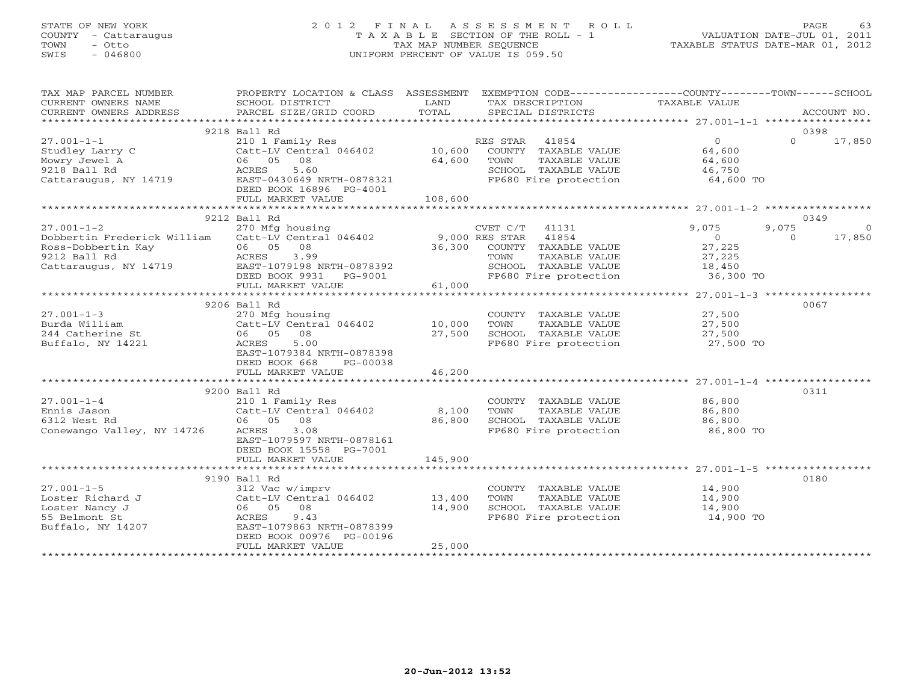### STATE OF NEW YORK 2 0 1 2 F I N A L A S S E S S M E N T R O L L PAGE 63 COUNTY - Cattaraugus T A X A B L E SECTION OF THE ROLL - 1 VALUATION DATE-JUL 01, 2011 TOWN - Otto TAX MAP NUMBER SEQUENCE TAXABLE STATUS DATE-MAR 01, 2012 SWIS - 046800 UNIFORM PERCENT OF VALUE IS 059.50UNIFORM PERCENT OF VALUE IS 059.50

| TAX MAP PARCEL NUMBER                           | PROPERTY LOCATION & CLASS ASSESSMENT EXEMPTION CODE---------------COUNTY-------TOWN------SCHOOL |         |                                               |                |          |                |
|-------------------------------------------------|-------------------------------------------------------------------------------------------------|---------|-----------------------------------------------|----------------|----------|----------------|
| CURRENT OWNERS NAME                             | SCHOOL DISTRICT                                                                                 | LAND    | TAX DESCRIPTION                               | TAXABLE VALUE  |          |                |
| CURRENT OWNERS ADDRESS                          | PARCEL SIZE/GRID COORD                                                                          | TOTAL   | SPECIAL DISTRICTS                             |                |          | ACCOUNT NO.    |
|                                                 |                                                                                                 |         |                                               |                |          |                |
|                                                 | 9218 Ball Rd                                                                                    |         |                                               |                | 0398     |                |
| $27.001 - 1 - 1$                                | 210 1 Family Res                                                                                |         | RES STAR 41854                                | $\overline{0}$ | $\Omega$ | 17,850         |
| Studley Larry C                                 | Catt-LV Central 046402                                                                          | 10,600  | COUNTY TAXABLE VALUE                          | 64,600         |          |                |
| Mowry Jewel A                                   | 06 05 08                                                                                        | 64,600  | TOWN<br>TAXABLE VALUE                         | 64,600         |          |                |
| 9218 Ball Rd                                    | ACRES<br>5.60                                                                                   |         | SCHOOL TAXABLE VALUE<br>FP680 Fire protection | 46,750         |          |                |
| Cattaraugus, NY 14719                           | EAST-0430649 NRTH-0878321<br>DEED BOOK 16896 PG-4001                                            |         |                                               | 64,600 TO      |          |                |
|                                                 | FULL MARKET VALUE                                                                               | 108,600 |                                               |                |          |                |
|                                                 |                                                                                                 |         |                                               |                |          |                |
|                                                 | 9212 Ball Rd                                                                                    |         |                                               |                | 0349     |                |
| $27.001 - 1 - 2$                                | 270 Mfg housing                                                                                 |         | CVET C/T<br>41131                             | 9,075          | 9,075    | $\overline{0}$ |
| Dobbertin Frederick William                     | Catt-LV Central 046402                                                                          |         | 9,000 RES STAR 41854                          | $\overline{0}$ | $\Omega$ | 17,850         |
| Ross-Dobbertin Kay                              | 06 05 08                                                                                        | 36,300  | COUNTY TAXABLE VALUE                          | 27,225         |          |                |
| 9212 Ball Rd                                    | ACRES 3.99                                                                                      |         | TOWN<br>TAXABLE VALUE                         | 27,225         |          |                |
| Cattaraugus, NY 14719 EAST-1079198 NRTH-0878392 |                                                                                                 |         | SCHOOL TAXABLE VALUE                          | 18,450         |          |                |
|                                                 | DEED BOOK 9931 PG-9001                                                                          |         | FP680 Fire protection                         | 36,300 TO      |          |                |
|                                                 | FULL MARKET VALUE                                                                               | 61,000  |                                               |                |          |                |
|                                                 |                                                                                                 |         |                                               |                |          |                |
|                                                 | 9206 Ball Rd                                                                                    |         |                                               |                | 0067     |                |
| $27.001 - 1 - 3$                                | 270 Mfg housing                                                                                 |         | COUNTY TAXABLE VALUE                          | 27,500         |          |                |
| Burda William                                   | Catt-LV Central 046402 10,000                                                                   |         | TOWN<br>TAXABLE VALUE                         | 27,500         |          |                |
| 244 Catherine St                                | 06 05 08                                                                                        | 27,500  | SCHOOL TAXABLE VALUE                          | 27,500         |          |                |
| Buffalo, NY 14221                               | ACRES<br>5.00                                                                                   |         | FP680 Fire protection                         | 27,500 TO      |          |                |
|                                                 | EAST-1079384 NRTH-0878398                                                                       |         |                                               |                |          |                |
|                                                 | DEED BOOK 668<br>PG-00038                                                                       |         |                                               |                |          |                |
|                                                 | FULL MARKET VALUE                                                                               | 46,200  |                                               |                |          |                |
|                                                 |                                                                                                 |         |                                               |                |          |                |
|                                                 | 9200 Ball Rd                                                                                    |         |                                               |                | 0311     |                |
| $27.001 - 1 - 4$                                | 210 1 Family Res                                                                                |         | COUNTY TAXABLE VALUE                          | 86,800         |          |                |
| Ennis Jason                                     | Catt-LV Central 046402                                                                          | 8,100   | TOWN<br>TAXABLE VALUE                         | 86,800         |          |                |
| 6312 West Rd                                    | 06 05 08                                                                                        | 86,800  | SCHOOL TAXABLE VALUE                          | 86,800         |          |                |
| Conewango Valley, NY 14726                      | ACRES<br>3.08<br>EAST-1079597 NRTH-0878161                                                      |         | FP680 Fire protection                         | 86,800 TO      |          |                |
|                                                 | DEED BOOK 15558 PG-7001                                                                         |         |                                               |                |          |                |
|                                                 | FULL MARKET VALUE                                                                               | 145,900 |                                               |                |          |                |
|                                                 |                                                                                                 |         |                                               |                |          |                |
|                                                 | 9190 Ball Rd                                                                                    |         |                                               |                | 0180     |                |
| $27.001 - 1 - 5$                                | 312 Vac w/imprv                                                                                 |         | COUNTY TAXABLE VALUE                          | 14,900         |          |                |
| Loster Richard J                                | Catt-LV Central 046402                                                                          | 13,400  | TAXABLE VALUE<br>TOWN                         | 14,900         |          |                |
| Loster Nancy J                                  | 06 05 08                                                                                        | 14,900  | SCHOOL TAXABLE VALUE                          | 14,900         |          |                |
| 55 Belmont St                                   | ACRES<br>9.43                                                                                   |         | FP680 Fire protection                         | 14,900 TO      |          |                |
| Buffalo, NY 14207                               | EAST-1079863 NRTH-0878399                                                                       |         |                                               |                |          |                |
|                                                 | DEED BOOK 00976 PG-00196                                                                        |         |                                               |                |          |                |
|                                                 | FULL MARKET VALUE                                                                               | 25,000  |                                               |                |          |                |
|                                                 |                                                                                                 |         |                                               |                |          |                |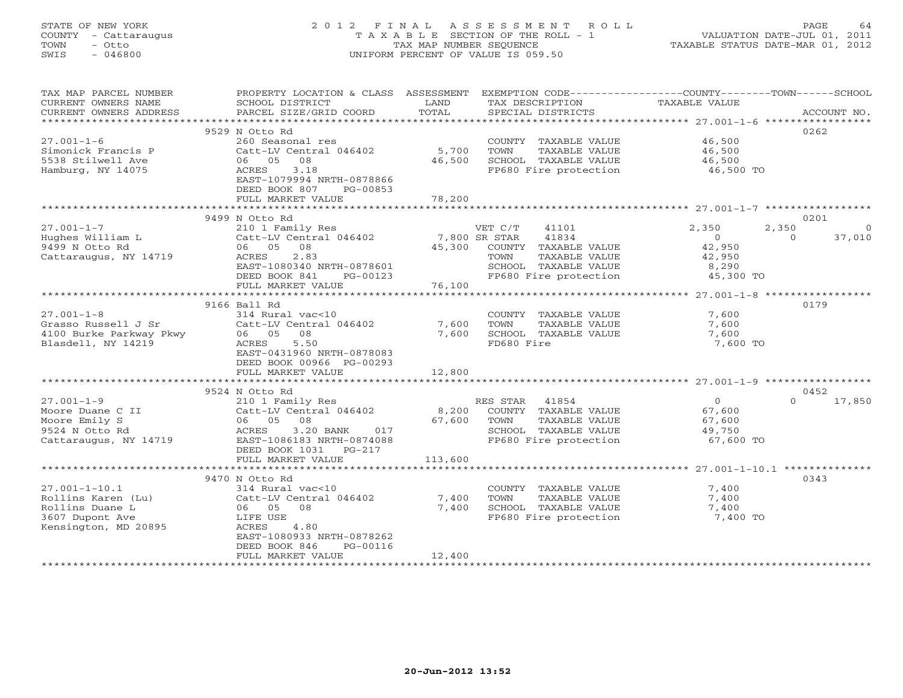#### STATE OF NEW YORK 2 0 1 2 F I N A L A S S E S S M E N T R O L L PAGE 64 COUNTY - Cattaraugus T A X A B L E SECTION OF THE ROLL - 1 VALUATION DATE-JUL 01, 2011 TOWN - Otto TAX MAP NUMBER SEQUENCE TAXABLE STATUS DATE-MAR 01, 2012 SWIS - 046800 UNIFORM PERCENT OF VALUE IS 059.50UNIFORM PERCENT OF VALUE IS 059.50

| TAX MAP PARCEL NUMBER            | PROPERTY LOCATION & CLASS ASSESSMENT EXEMPTION CODE---------------COUNTY-------TOWN------SCHOOL |             |                            |                  |                    |
|----------------------------------|-------------------------------------------------------------------------------------------------|-------------|----------------------------|------------------|--------------------|
| CURRENT OWNERS NAME              | SCHOOL DISTRICT                                                                                 | LAND        | TAX DESCRIPTION            | TAXABLE VALUE    |                    |
| CURRENT OWNERS ADDRESS           | PARCEL SIZE/GRID COORD                                                                          | TOTAL       | SPECIAL DISTRICTS          |                  | ACCOUNT NO.        |
| ***********************          |                                                                                                 |             |                            |                  |                    |
|                                  | 9529 N Otto Rd                                                                                  |             |                            |                  | 0262               |
| $27.001 - 1 - 6$                 | 260 Seasonal res                                                                                |             | COUNTY TAXABLE VALUE       | 46,500           |                    |
| Simonick Francis P               | Catt-LV Central 046402                                                                          | 5,700       | TOWN<br>TAXABLE VALUE      | 46,500           |                    |
| 5538 Stilwell Ave                | 06 05 08                                                                                        | 46,500      | SCHOOL TAXABLE VALUE       | 46,500           |                    |
| Hamburg, NY 14075                | ACRES 3.18                                                                                      |             | FP680 Fire protection      | 46,500 TO        |                    |
|                                  | EAST-1079994 NRTH-0878866                                                                       |             |                            |                  |                    |
|                                  | DEED BOOK 807<br>PG-00853                                                                       |             |                            |                  |                    |
|                                  | FULL MARKET VALUE                                                                               | 78,200      |                            |                  |                    |
|                                  |                                                                                                 |             |                            |                  |                    |
|                                  | 9499 N Otto Rd                                                                                  |             |                            |                  | 0201               |
| $27.001 - 1 - 7$                 | 210 1 Family Res                                                                                |             | VET C/T<br>41101           | 2,350<br>2,350   | $\overline{0}$     |
| Hughes William L                 | Catt-LV Central 046402                                                                          |             | 7,800 SR STAR 41834        | $\overline{0}$   | $\Omega$<br>37,010 |
| 9499 N Otto Rd                   | 06 05 08                                                                                        | 45,300      | COUNTY TAXABLE VALUE       | 42,950           |                    |
| Cattaraugus, NY 14719            | ACRES 2.83                                                                                      |             | TOWN<br>TAXABLE VALUE      | 42,950           |                    |
|                                  | EAST-1080340 NRTH-0878601                                                                       |             | SCHOOL TAXABLE VALUE       | 8,290            |                    |
|                                  | DEED BOOK 841<br>PG-00123                                                                       |             | FP680 Fire protection      | 45,300 TO        |                    |
|                                  | FULL MARKET VALUE                                                                               | 76,100      |                            |                  |                    |
|                                  |                                                                                                 |             |                            |                  |                    |
|                                  | 9166 Ball Rd                                                                                    |             |                            |                  | 0179               |
| $27.001 - 1 - 8$                 | 314 Rural vac<10                                                                                |             | COUNTY TAXABLE VALUE       | 7,600            |                    |
| Grasso Russell J Sr              | Catt-LV Central 046402                                                                          | 7,600       | TAXABLE VALUE<br>TOWN      | 7,600            |                    |
| 4100 Burke Parkway Pkwy 06 05 08 |                                                                                                 |             | 7,600 SCHOOL TAXABLE VALUE | 7,600            |                    |
| Blasdell, NY 14219               | ACRES<br>5.50                                                                                   |             | FD680 Fire                 | 7,600 TO         |                    |
|                                  | EAST-0431960 NRTH-0878083                                                                       |             |                            |                  |                    |
|                                  | DEED BOOK 00966 PG-00293                                                                        |             |                            |                  |                    |
|                                  | FULL MARKET VALUE                                                                               | 12,800      |                            |                  |                    |
|                                  |                                                                                                 |             |                            |                  |                    |
|                                  | 9524 N Otto Rd                                                                                  |             |                            |                  | 0452               |
| $27.001 - 1 - 9$                 | 210 1 Family Res                                                                                |             | RES STAR 41854             | $\overline{0}$   | 17,850<br>$\Omega$ |
| Moore Duane C II                 | Catt-LV Central 046402                                                                          |             | 8,200 COUNTY TAXABLE VALUE |                  |                    |
| Moore Emily S                    | 06 05 08                                                                                        | 67,600 TOWN | TAXABLE VALUE              | 67,600<br>67,600 |                    |
| 9524 N Otto Rd                   | 3.20 BANK 017<br>ACRES                                                                          |             | SCHOOL TAXABLE VALUE       | 49,750           |                    |
| Cattaraugus, NY 14719            | EAST-1086183 NRTH-0874088                                                                       |             | FP680 Fire protection      | 67,600 TO        |                    |
|                                  | DEED BOOK 1031    PG-217                                                                        |             |                            |                  |                    |
|                                  | FULL MARKET VALUE                                                                               | 113,600     |                            |                  |                    |
|                                  |                                                                                                 |             |                            |                  |                    |
|                                  | 9470 N Otto Rd                                                                                  |             |                            |                  | 0343               |
| $27.001 - 1 - 10.1$              | 314 Rural vac<10                                                                                |             | COUNTY TAXABLE VALUE       | 7,400            |                    |
| Rollins Karen (Lu)               | Catt-LV Central 046402                                                                          | 7,400       | TOWN<br>TAXABLE VALUE      | 7,400            |                    |
| Rollins Duane L                  | 06 05 08                                                                                        | 7,400       | SCHOOL TAXABLE VALUE       | 7,400            |                    |
| 3607 Dupont Ave                  | LIFE USE                                                                                        |             | FP680 Fire protection      | 7,400 TO         |                    |
| Kensington, MD 20895             | ACRES 4.80                                                                                      |             |                            |                  |                    |
|                                  | EAST-1080933 NRTH-0878262                                                                       |             |                            |                  |                    |
|                                  | DEED BOOK 846<br>PG-00116                                                                       |             |                            |                  |                    |
|                                  | FULL MARKET VALUE                                                                               | 12,400      |                            |                  |                    |
|                                  |                                                                                                 |             |                            |                  |                    |
|                                  |                                                                                                 |             |                            |                  |                    |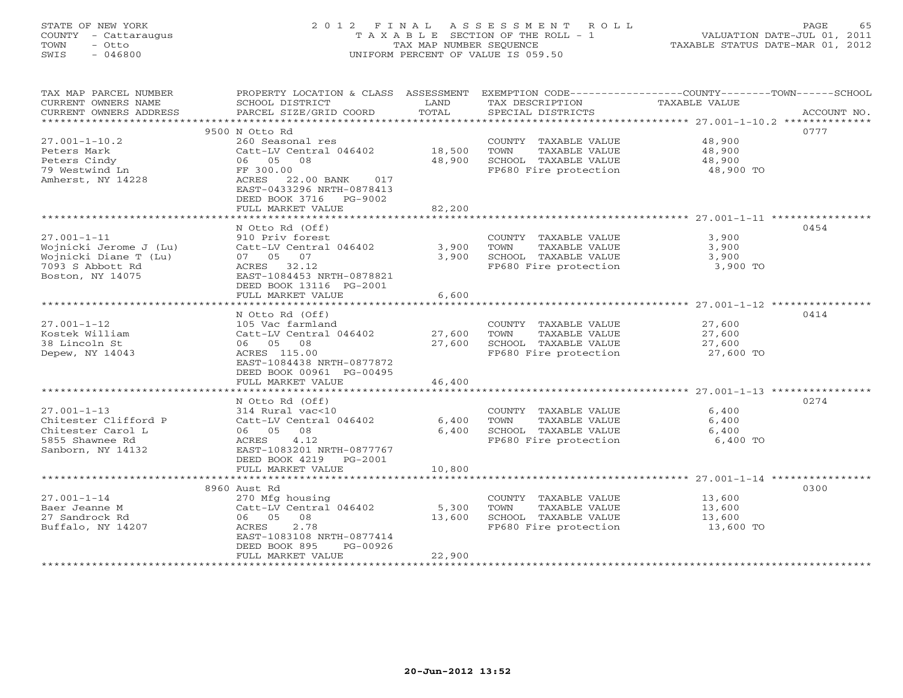### STATE OF NEW YORK 2 0 1 2 F I N A L A S S E S S M E N T R O L L PAGE 65 COUNTY - Cattaraugus T A X A B L E SECTION OF THE ROLL - 1 VALUATION DATE-JUL 01, 2011 TOWN - Otto TAX MAP NUMBER SEQUENCE TAXABLE STATUS DATE-MAR 01, 2012 SWIS - 046800 UNIFORM PERCENT OF VALUE IS 059.50UNIFORM PERCENT OF VALUE IS 059.50

| TAX MAP PARCEL NUMBER<br>CURRENT OWNERS NAME<br>CURRENT OWNERS ADDRESS | PROPERTY LOCATION & CLASS ASSESSMENT<br>SCHOOL DISTRICT<br>PARCEL SIZE/GRID COORD                 | LAND<br>TOTAL | TAX DESCRIPTION<br>SPECIAL DISTRICTS | EXEMPTION CODE-----------------COUNTY-------TOWN------SCHOOL<br>TAXABLE VALUE | ACCOUNT NO. |
|------------------------------------------------------------------------|---------------------------------------------------------------------------------------------------|---------------|--------------------------------------|-------------------------------------------------------------------------------|-------------|
|                                                                        |                                                                                                   |               |                                      |                                                                               |             |
|                                                                        | 9500 N Otto Rd                                                                                    |               |                                      |                                                                               | 0777        |
| $27.001 - 1 - 10.2$                                                    | 260 Seasonal res                                                                                  |               | COUNTY TAXABLE VALUE                 | 48,900                                                                        |             |
| Peters Mark                                                            | Catt-LV Central 046402                                                                            | 18,500        | TOWN<br>TAXABLE VALUE                | 48,900                                                                        |             |
| Peters Cindy                                                           | 06 05 08                                                                                          | 48,900        | SCHOOL TAXABLE VALUE                 | 48,900                                                                        |             |
| 79 Westwind Ln<br>Amherst, NY 14228                                    | FF 300.00<br>22.00 BANK<br>ACRES<br>017<br>EAST-0433296 NRTH-0878413<br>DEED BOOK 3716<br>PG-9002 |               | FP680 Fire protection                | 48,900 TO                                                                     |             |
|                                                                        | FULL MARKET VALUE                                                                                 | 82,200        |                                      |                                                                               |             |
|                                                                        |                                                                                                   |               |                                      |                                                                               |             |
|                                                                        | N Otto Rd (Off)                                                                                   |               |                                      |                                                                               | 0454        |
| $27.001 - 1 - 11$                                                      | 910 Priv forest                                                                                   |               | COUNTY TAXABLE VALUE                 | 3,900                                                                         |             |
| Wojnicki Jerome J (Lu)                                                 | Catt-LV Central 046402                                                                            | 3,900         | TOWN<br>TAXABLE VALUE                | 3,900                                                                         |             |
| Wojnicki Diane T (Lu)                                                  | 07 05 07                                                                                          | 3,900         | SCHOOL TAXABLE VALUE                 | 3,900                                                                         |             |
| 7093 S Abbott Rd<br>Boston, NY 14075                                   | ACRES 32.12<br>EAST-1084453 NRTH-0878821<br>DEED BOOK 13116 PG-2001<br>FULL MARKET VALUE          | 6,600         | FP680 Fire protection                | 3,900 TO                                                                      |             |
|                                                                        |                                                                                                   |               |                                      | ************************ 27.001-1-12 *****                                    |             |
|                                                                        | N Otto Rd (Off)                                                                                   |               |                                      |                                                                               | 0414        |
| $27.001 - 1 - 12$                                                      | 105 Vac farmland                                                                                  |               | COUNTY TAXABLE VALUE                 | 27,600                                                                        |             |
| Kostek William                                                         | Catt-LV Central 046402                                                                            | 27,600        | TOWN<br>TAXABLE VALUE                | 27,600                                                                        |             |
| 38 Lincoln St                                                          | 06 05 08                                                                                          | 27,600        | SCHOOL TAXABLE VALUE                 | 27,600                                                                        |             |
| Depew, NY 14043                                                        | ACRES 115.00<br>EAST-1084438 NRTH-0877872<br>DEED BOOK 00961 PG-00495                             |               | FP680 Fire protection                | 27,600 TO                                                                     |             |
|                                                                        | FULL MARKET VALUE                                                                                 | 46,400        |                                      |                                                                               |             |
|                                                                        | ***************************                                                                       | ***********   |                                      |                                                                               |             |
|                                                                        | N Otto Rd (Off)                                                                                   |               |                                      |                                                                               | 0274        |
| $27.001 - 1 - 13$                                                      | 314 Rural vac<10                                                                                  |               | COUNTY TAXABLE VALUE                 | 6,400                                                                         |             |
| Chitester Clifford P                                                   | Catt-LV Central 046402                                                                            | 6,400         | TOWN<br>TAXABLE VALUE                | 6,400                                                                         |             |
| Chitester Carol L                                                      | 06 05<br>08                                                                                       | 6,400         | SCHOOL TAXABLE VALUE                 | 6,400                                                                         |             |
| 5855 Shawnee Rd<br>Sanborn, NY 14132                                   | ACRES<br>4.12<br>EAST-1083201 NRTH-0877767<br>DEED BOOK 4219<br>PG-2001                           |               | FP680 Fire protection                | 6,400 TO                                                                      |             |
|                                                                        | FULL MARKET VALUE                                                                                 | 10,800        |                                      |                                                                               |             |
|                                                                        | 8960 Aust Rd                                                                                      |               |                                      |                                                                               | 0300        |
| $27.001 - 1 - 14$                                                      | 270 Mfg housing                                                                                   |               | COUNTY TAXABLE VALUE                 | 13,600                                                                        |             |
| Baer Jeanne M                                                          | Catt-LV Central 046402                                                                            | 5,300         | TOWN<br>TAXABLE VALUE                | 13,600                                                                        |             |
| 27 Sandrock Rd                                                         | 06 05<br>08                                                                                       | 13,600        | SCHOOL TAXABLE VALUE                 | 13,600                                                                        |             |
| Buffalo, NY 14207                                                      | 2.78<br>ACRES<br>EAST-1083108 NRTH-0877414                                                        |               | FP680 Fire protection                | 13,600 TO                                                                     |             |
|                                                                        | DEED BOOK 895<br>PG-00926                                                                         | 22,900        |                                      |                                                                               |             |
|                                                                        | FULL MARKET VALUE                                                                                 |               |                                      |                                                                               |             |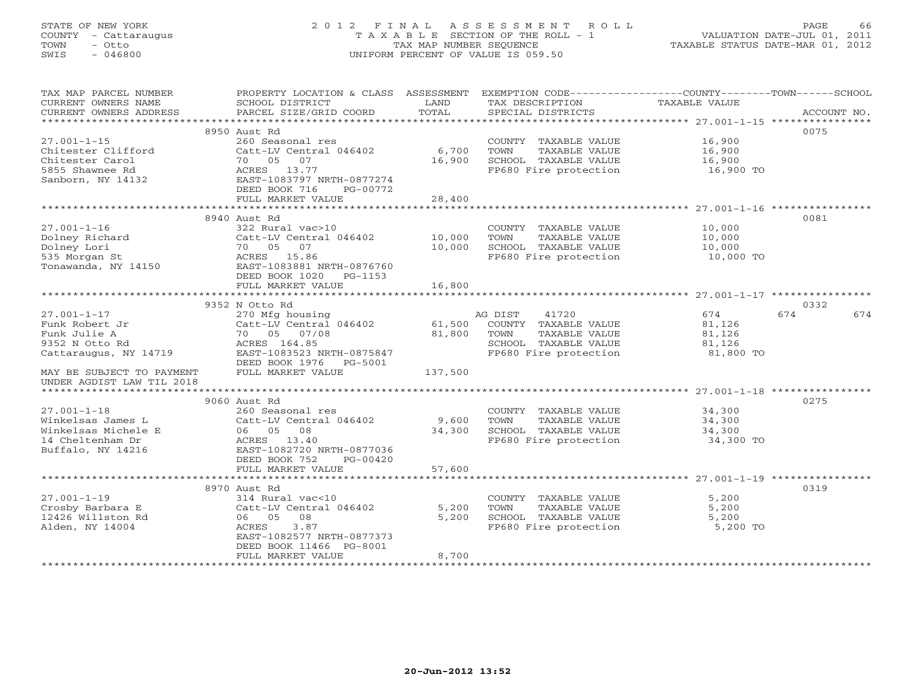### STATE OF NEW YORK 2 0 1 2 F I N A L A S S E S S M E N T R O L L PAGE 66 COUNTY - Cattaraugus T A X A B L E SECTION OF THE ROLL - 1 VALUATION DATE-JUL 01, 2011 TOWN - Otto TAX MAP NUMBER SEQUENCE TAXABLE STATUS DATE-MAR 01, 2012 SWIS - 046800 UNIFORM PERCENT OF VALUE IS 059.50UNIFORM PERCENT OF VALUE IS 059.50

| TAX MAP PARCEL NUMBER<br>CURRENT OWNERS NAME<br>CURRENT OWNERS ADDRESS<br>*********************** | PROPERTY LOCATION & CLASS ASSESSMENT<br>SCHOOL DISTRICT<br>PARCEL SIZE/GRID COORD | LAND<br>TOTAL | EXEMPTION CODE-----------------COUNTY-------TOWN------SCHOOL<br>TAX DESCRIPTION<br>SPECIAL DISTRICTS | TAXABLE VALUE                                | ACCOUNT NO. |
|---------------------------------------------------------------------------------------------------|-----------------------------------------------------------------------------------|---------------|------------------------------------------------------------------------------------------------------|----------------------------------------------|-------------|
|                                                                                                   |                                                                                   |               |                                                                                                      |                                              |             |
| $27.001 - 1 - 15$<br>Chitester Clifford                                                           | 8950 Aust Rd<br>260 Seasonal res<br>Catt-LV Central 046402                        | 6,700         | COUNTY TAXABLE VALUE<br>TOWN<br>TAXABLE VALUE                                                        | 16,900<br>16,900                             | 0075        |
| Chitester Carol                                                                                   | 70 05 07                                                                          | 16,900        | SCHOOL TAXABLE VALUE                                                                                 | 16,900                                       |             |
| 5855 Shawnee Rd<br>Sanborn, NY 14132                                                              | ACRES 13.77<br>EAST-1083797 NRTH-0877274<br>DEED BOOK 716<br>PG-00772             |               | FP680 Fire protection                                                                                | 16,900 TO                                    |             |
|                                                                                                   | FULL MARKET VALUE                                                                 | 28,400        |                                                                                                      |                                              |             |
|                                                                                                   |                                                                                   | **********    |                                                                                                      | ******************** 27.001-1-16 *********** |             |
|                                                                                                   | 8940 Aust Rd                                                                      |               |                                                                                                      |                                              | 0081        |
| $27.001 - 1 - 16$                                                                                 | 322 Rural vac>10                                                                  |               | COUNTY TAXABLE VALUE                                                                                 | 10,000                                       |             |
| Dolney Richard                                                                                    | Catt-LV Central 046402                                                            | 10,000        | TOWN<br>TAXABLE VALUE                                                                                | 10,000                                       |             |
| Dolney Lori                                                                                       | 70 05 07                                                                          | 10,000        | SCHOOL TAXABLE VALUE                                                                                 | 10,000                                       |             |
| 535 Morgan St<br>Tonawanda, NY 14150                                                              | ACRES 15.86<br>EAST-1083881 NRTH-0876760                                          |               | FP680 Fire protection                                                                                | 10,000 TO                                    |             |
|                                                                                                   | DEED BOOK 1020 PG-1153                                                            |               |                                                                                                      |                                              |             |
|                                                                                                   | FULL MARKET VALUE<br>**************************                                   | 16,800        |                                                                                                      |                                              |             |
|                                                                                                   | 9352 N Otto Rd                                                                    |               |                                                                                                      |                                              | 0332        |
| $27.001 - 1 - 17$                                                                                 | 270 Mfg housing                                                                   |               | AG DIST<br>41720                                                                                     | 674                                          | 674<br>674  |
| Funk Robert Jr                                                                                    | Catt-LV Central 046402                                                            | 61,500        | COUNTY TAXABLE VALUE                                                                                 | 81,126                                       |             |
| Funk Julie A                                                                                      | 70 05 07/08                                                                       | 81,800        | TOWN<br>TAXABLE VALUE                                                                                | 81,126                                       |             |
| 9352 N Otto Rd                                                                                    | ACRES 164.85                                                                      |               | SCHOOL TAXABLE VALUE                                                                                 | 81,126                                       |             |
| Cattaraugus, NY 14719                                                                             | EAST-1083523 NRTH-0875847<br>DEED BOOK 1976<br>PG-5001                            |               | FP680 Fire protection                                                                                | 81,800 TO                                    |             |
| MAY BE SUBJECT TO PAYMENT<br>UNDER AGDIST LAW TIL 2018                                            | FULL MARKET VALUE                                                                 | 137,500       |                                                                                                      |                                              |             |
|                                                                                                   |                                                                                   |               |                                                                                                      |                                              |             |
|                                                                                                   | 9060 Aust Rd                                                                      |               |                                                                                                      |                                              | 0275        |
| $27.001 - 1 - 18$                                                                                 | 260 Seasonal res                                                                  |               | COUNTY TAXABLE VALUE                                                                                 | 34,300                                       |             |
| Winkelsas James L                                                                                 | Catt-LV Central 046402                                                            | 9,600         | TOWN<br>TAXABLE VALUE                                                                                | 34,300                                       |             |
| Winkelsas Michele E                                                                               | 06 05<br>08                                                                       | 34,300        | SCHOOL TAXABLE VALUE                                                                                 | 34,300                                       |             |
| 14 Cheltenham Dr                                                                                  | ACRES 13.40                                                                       |               | FP680 Fire protection                                                                                | 34,300 TO                                    |             |
| Buffalo, NY 14216                                                                                 | EAST-1082720 NRTH-0877036<br>DEED BOOK 752<br>$PG-00420$                          |               |                                                                                                      |                                              |             |
|                                                                                                   | FULL MARKET VALUE                                                                 | 57,600        |                                                                                                      |                                              |             |
|                                                                                                   | 8970 Aust Rd                                                                      |               |                                                                                                      |                                              | 0319        |
| $27.001 - 1 - 19$                                                                                 | 314 Rural vac<10                                                                  |               | COUNTY TAXABLE VALUE                                                                                 | 5,200                                        |             |
| Crosby Barbara E                                                                                  | Catt-LV Central 046402                                                            | 5,200         | TOWN<br>TAXABLE VALUE                                                                                | 5,200                                        |             |
| 12426 Willston Rd                                                                                 | 06 05<br>08                                                                       | 5,200         | SCHOOL TAXABLE VALUE                                                                                 | 5,200                                        |             |
| Alden, NY 14004                                                                                   | ACRES<br>3.87                                                                     |               | FP680 Fire protection                                                                                | 5,200 TO                                     |             |
|                                                                                                   | EAST-1082577 NRTH-0877373                                                         |               |                                                                                                      |                                              |             |
|                                                                                                   | DEED BOOK 11466 PG-8001                                                           |               |                                                                                                      |                                              |             |
|                                                                                                   | FULL MARKET VALUE                                                                 | 8,700         |                                                                                                      |                                              |             |
|                                                                                                   |                                                                                   |               |                                                                                                      |                                              |             |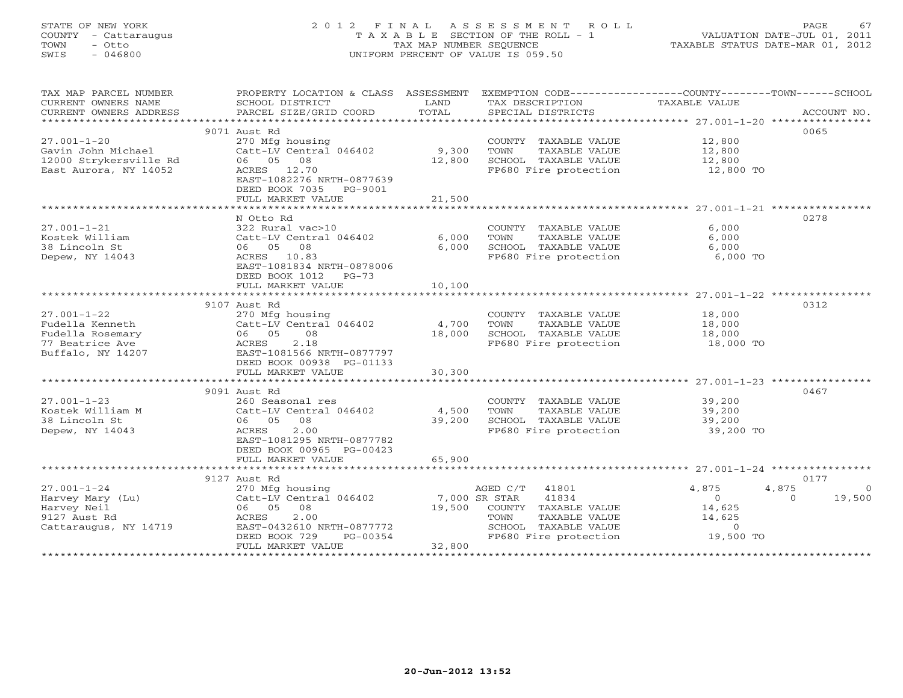### STATE OF NEW YORK 2 0 1 2 F I N A L A S S E S S M E N T R O L L PAGE 67 COUNTY - Cattaraugus T A X A B L E SECTION OF THE ROLL - 1 VALUATION DATE-JUL 01, 2011 TOWN - Otto TAX MAP NUMBER SEQUENCE TAXABLE STATUS DATE-MAR 01, 2012 SWIS - 046800 UNIFORM PERCENT OF VALUE IS 059.50UNIFORM PERCENT OF VALUE IS 059.50

| TAX MAP PARCEL NUMBER<br>CURRENT OWNERS NAME<br>CURRENT OWNERS ADDRESS | PROPERTY LOCATION & CLASS ASSESSMENT<br>SCHOOL DISTRICT<br>PARCEL SIZE/GRID COORD | LAND<br>TOTAL | EXEMPTION CODE-----------------COUNTY-------TOWN-----SCHOOL<br>TAX DESCRIPTION<br>SPECIAL DISTRICTS | TAXABLE VALUE  | ACCOUNT NO.        |
|------------------------------------------------------------------------|-----------------------------------------------------------------------------------|---------------|-----------------------------------------------------------------------------------------------------|----------------|--------------------|
|                                                                        |                                                                                   |               |                                                                                                     |                |                    |
|                                                                        | 9071 Aust Rd                                                                      |               |                                                                                                     |                | 0065               |
| $27.001 - 1 - 20$                                                      | 270 Mfg housing                                                                   |               | COUNTY TAXABLE VALUE                                                                                | 12,800         |                    |
| Gavin John Michael                                                     | Catt-LV Central 046402                                                            | 9,300         | TOWN<br>TAXABLE VALUE                                                                               | 12,800         |                    |
| 12000 Strykersville Rd                                                 | 06 05 08                                                                          | 12,800        | SCHOOL TAXABLE VALUE                                                                                | 12,800         |                    |
| East Aurora, NY 14052                                                  | ACRES 12.70                                                                       |               | FP680 Fire protection                                                                               | 12,800 TO      |                    |
|                                                                        | EAST-1082276 NRTH-0877639                                                         |               |                                                                                                     |                |                    |
|                                                                        | DEED BOOK 7035 PG-9001                                                            |               |                                                                                                     |                |                    |
|                                                                        | FULL MARKET VALUE                                                                 | 21,500        |                                                                                                     |                |                    |
|                                                                        |                                                                                   |               |                                                                                                     |                |                    |
|                                                                        | N Otto Rd                                                                         |               |                                                                                                     |                | 0278               |
| $27.001 - 1 - 21$                                                      | 322 Rural vac>10                                                                  |               | COUNTY TAXABLE VALUE                                                                                | 6,000          |                    |
| Kostek William                                                         | Catt-LV Central 046402                                                            | 6,000         | TOWN<br>TAXABLE VALUE                                                                               | 6,000          |                    |
| 38 Lincoln St                                                          | 06 05 08                                                                          | 6,000         | SCHOOL TAXABLE VALUE                                                                                | 6,000          |                    |
| Depew, NY 14043                                                        | ACRES 10.83                                                                       |               | FP680 Fire protection                                                                               | 6,000 TO       |                    |
|                                                                        | EAST-1081834 NRTH-0878006                                                         |               |                                                                                                     |                |                    |
|                                                                        | DEED BOOK 1012<br>$PG-73$                                                         |               |                                                                                                     |                |                    |
|                                                                        | FULL MARKET VALUE                                                                 | 10,100        |                                                                                                     |                |                    |
|                                                                        |                                                                                   |               |                                                                                                     |                |                    |
|                                                                        | 9107 Aust Rd                                                                      |               |                                                                                                     |                | 0312               |
| $27.001 - 1 - 22$                                                      | 270 Mfg housing                                                                   |               | COUNTY TAXABLE VALUE                                                                                | 18,000         |                    |
| Fudella Kenneth                                                        | Catt-LV Central 046402                                                            | 4,700         | TOWN<br>TAXABLE VALUE                                                                               | 18,000         |                    |
| Fudella Rosemary                                                       | 06 05<br>08                                                                       | 18,000        | SCHOOL TAXABLE VALUE                                                                                | 18,000         |                    |
| 77 Beatrice Ave                                                        | 2.18<br>ACRES                                                                     |               | FP680 Fire protection                                                                               | 18,000 TO      |                    |
| Buffalo, NY 14207                                                      | EAST-1081566 NRTH-0877797                                                         |               |                                                                                                     |                |                    |
|                                                                        | DEED BOOK 00938 PG-01133                                                          |               |                                                                                                     |                |                    |
|                                                                        | FULL MARKET VALUE                                                                 | 30,300        |                                                                                                     |                |                    |
|                                                                        |                                                                                   |               |                                                                                                     |                |                    |
|                                                                        |                                                                                   |               |                                                                                                     |                | 0467               |
| $27.001 - 1 - 23$                                                      | 9091 Aust Rd                                                                      |               |                                                                                                     |                |                    |
|                                                                        | 260 Seasonal res                                                                  |               | COUNTY TAXABLE VALUE                                                                                | 39,200         |                    |
| Kostek William M                                                       | Catt-LV Central 046402                                                            | 4,500         | TOWN<br>TAXABLE VALUE                                                                               | 39,200         |                    |
| 38 Lincoln St                                                          | 06 05 08                                                                          | 39,200        | SCHOOL TAXABLE VALUE                                                                                | 39,200         |                    |
| Depew, NY 14043                                                        | 2.00<br>ACRES                                                                     |               | FP680 Fire protection                                                                               | 39,200 TO      |                    |
|                                                                        | EAST-1081295 NRTH-0877782                                                         |               |                                                                                                     |                |                    |
|                                                                        | DEED BOOK 00965 PG-00423                                                          |               |                                                                                                     |                |                    |
|                                                                        | FULL MARKET VALUE                                                                 | 65,900        |                                                                                                     |                |                    |
|                                                                        |                                                                                   |               |                                                                                                     |                |                    |
|                                                                        | 9127 Aust Rd                                                                      |               |                                                                                                     |                | 0177               |
| $27.001 - 1 - 24$                                                      | 270 Mfg housing                                                                   |               | AGED C/T 41801                                                                                      | 4,875          | 4,875<br>$\circ$   |
| Harvey Mary (Lu)                                                       | Catt-LV Central 046402                                                            | 7,000 SR STAR | 41834                                                                                               | $\circ$        | 19,500<br>$\Omega$ |
| Harvey Neil                                                            | 06 05<br>08                                                                       | 19,500        | COUNTY TAXABLE VALUE                                                                                | 14,625         |                    |
| 9127 Aust Rd                                                           | 2.00<br>ACRES                                                                     |               | TAXABLE VALUE<br>TOWN                                                                               | 14,625         |                    |
| Cattaraugus, NY 14719                                                  | EAST-0432610 NRTH-0877772                                                         |               | SCHOOL TAXABLE VALUE                                                                                | $\overline{O}$ |                    |
|                                                                        | DEED BOOK 729<br>PG-00354                                                         |               | FP680 Fire protection                                                                               | 19,500 TO      |                    |
|                                                                        | FULL MARKET VALUE                                                                 | 32,800        |                                                                                                     |                |                    |
|                                                                        |                                                                                   |               |                                                                                                     |                |                    |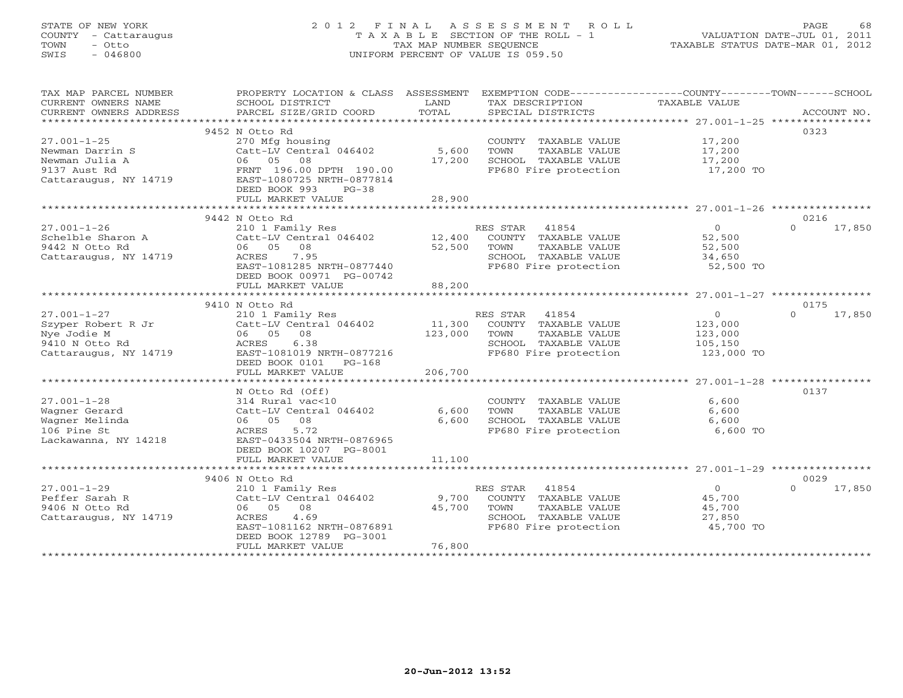### STATE OF NEW YORK 2 0 1 2 F I N A L A S S E S S M E N T R O L L PAGE 68 COUNTY - Cattaraugus T A X A B L E SECTION OF THE ROLL - 1 VALUATION DATE-JUL 01, 2011 TOWN - Otto TAX MAP NUMBER SEQUENCE TAXABLE STATUS DATE-MAR 01, 2012 SWIS - 046800 UNIFORM PERCENT OF VALUE IS 059.50UNIFORM PERCENT OF VALUE IS 059.50

| TAX MAP PARCEL NUMBER  | PROPERTY LOCATION & CLASS ASSESSMENT EXEMPTION CODE---------------COUNTY-------TOWN-----SCHOOL |         |                       |                |                    |
|------------------------|------------------------------------------------------------------------------------------------|---------|-----------------------|----------------|--------------------|
| CURRENT OWNERS NAME    | SCHOOL DISTRICT                                                                                | LAND    | TAX DESCRIPTION       | TAXABLE VALUE  |                    |
| CURRENT OWNERS ADDRESS | PARCEL SIZE/GRID COORD                                                                         | TOTAL   | SPECIAL DISTRICTS     |                | ACCOUNT NO.        |
|                        |                                                                                                |         |                       |                |                    |
|                        | 9452 N Otto Rd                                                                                 |         |                       |                | 0323               |
| $27.001 - 1 - 25$      | 270 Mfg housing                                                                                |         | COUNTY TAXABLE VALUE  | 17,200         |                    |
| Newman Darrin S        | Catt-LV Central 046402 5,600                                                                   |         | TOWN<br>TAXABLE VALUE | 17,200         |                    |
| Newman Julia A         | 06 05<br>08                                                                                    | 17,200  | SCHOOL TAXABLE VALUE  | 17,200         |                    |
| 9137 Aust Rd           | FRNT 196.00 DPTH 190.00                                                                        |         | FP680 Fire protection | 17,200 TO      |                    |
| Cattaraugus, NY 14719  | EAST-1080725 NRTH-0877814                                                                      |         |                       |                |                    |
|                        | DEED BOOK 993<br>$PG-38$                                                                       |         |                       |                |                    |
|                        | FULL MARKET VALUE                                                                              | 28,900  |                       |                |                    |
|                        |                                                                                                |         |                       |                |                    |
|                        |                                                                                                |         |                       |                |                    |
|                        | 9442 N Otto Rd                                                                                 |         |                       |                | 0216               |
| $27.001 - 1 - 26$      | 210 1 Family Res<br>Catt-LV Central 046402 12,400                                              |         | RES STAR 41854        | $\overline{0}$ | $\Omega$<br>17,850 |
| Schelble Sharon A      |                                                                                                |         | COUNTY TAXABLE VALUE  | 52,500         |                    |
| 9442 N Otto Rd         | 06 05 08                                                                                       | 52,500  | TOWN<br>TAXABLE VALUE | 52,500         |                    |
| Cattaraugus, NY 14719  | 7.95<br>ACRES                                                                                  |         | SCHOOL TAXABLE VALUE  | 34,650         |                    |
|                        | EAST-1081285 NRTH-0877440                                                                      |         | FP680 Fire protection | 52,500 TO      |                    |
|                        | DEED BOOK 00971 PG-00742                                                                       |         |                       |                |                    |
|                        | FULL MARKET VALUE                                                                              | 88,200  |                       |                |                    |
|                        |                                                                                                |         |                       |                |                    |
|                        | 9410 N Otto Rd                                                                                 |         |                       |                | 0175               |
| $27.001 - 1 - 27$      | 210 1 Family Res                                                                               |         | RES STAR 41854        | $\overline{0}$ | $\Omega$<br>17,850 |
| Szyper Robert R Jr     | Catt-LV Central 046402                                                                         | 11,300  | COUNTY TAXABLE VALUE  | 123,000        |                    |
| Nye Jodie M            | 06 05 08                                                                                       | 123,000 | TOWN<br>TAXABLE VALUE | 123,000        |                    |
| 9410 N Otto Rd         | ACRES<br>6.38                                                                                  |         | SCHOOL TAXABLE VALUE  | 105,150        |                    |
| Cattaraugus, NY 14719  | EAST-1081019 NRTH-0877216                                                                      |         | FP680 Fire protection | 123,000 TO     |                    |
|                        | DEED BOOK 0101 PG-168                                                                          |         |                       |                |                    |
|                        | FULL MARKET VALUE                                                                              | 206,700 |                       |                |                    |
|                        |                                                                                                |         |                       |                |                    |
|                        | N Otto Rd (Off)                                                                                |         |                       |                | 0137               |
| $27.001 - 1 - 28$      | 314 Rural vac<10                                                                               |         | COUNTY TAXABLE VALUE  | 6,600          |                    |
|                        |                                                                                                | 6,600   | TAXABLE VALUE<br>TOWN | 6,600          |                    |
| Wagner Gerard          | Catt-LV Central 046402                                                                         |         |                       |                |                    |
| Wagner Melinda         | 06 05 08                                                                                       | 6,600   | SCHOOL TAXABLE VALUE  | 6,600          |                    |
| 106 Pine St            | ACRES<br>5.72                                                                                  |         | FP680 Fire protection | 6,600 TO       |                    |
| Lackawanna, NY 14218   | EAST-0433504 NRTH-0876965                                                                      |         |                       |                |                    |
|                        | DEED BOOK 10207 PG-8001                                                                        |         |                       |                |                    |
|                        | FULL MARKET VALUE                                                                              | 11,100  |                       |                |                    |
|                        |                                                                                                |         |                       |                |                    |
|                        | 9406 N Otto Rd                                                                                 |         |                       |                | 0029               |
| $27.001 - 1 - 29$      | 210 1 Family Res                                                                               |         | RES STAR<br>41854     | $\overline{0}$ | $\Omega$<br>17,850 |
| Peffer Sarah R         | Catt-LV Central 046402                                                                         | 9,700   | COUNTY TAXABLE VALUE  | 45,700         |                    |
| 9406 N Otto Rd         | 06 05 08                                                                                       | 45,700  | TOWN<br>TAXABLE VALUE | 45,700         |                    |
| Cattaraugus, NY 14719  | 4.69<br>ACRES                                                                                  |         | SCHOOL TAXABLE VALUE  | 27,850         |                    |
|                        | EAST-1081162 NRTH-0876891                                                                      |         | FP680 Fire protection | 45,700 TO      |                    |
|                        | DEED BOOK 12789 PG-3001                                                                        |         |                       |                |                    |
|                        | FULL MARKET VALUE                                                                              | 76,800  |                       |                |                    |
|                        |                                                                                                |         |                       |                |                    |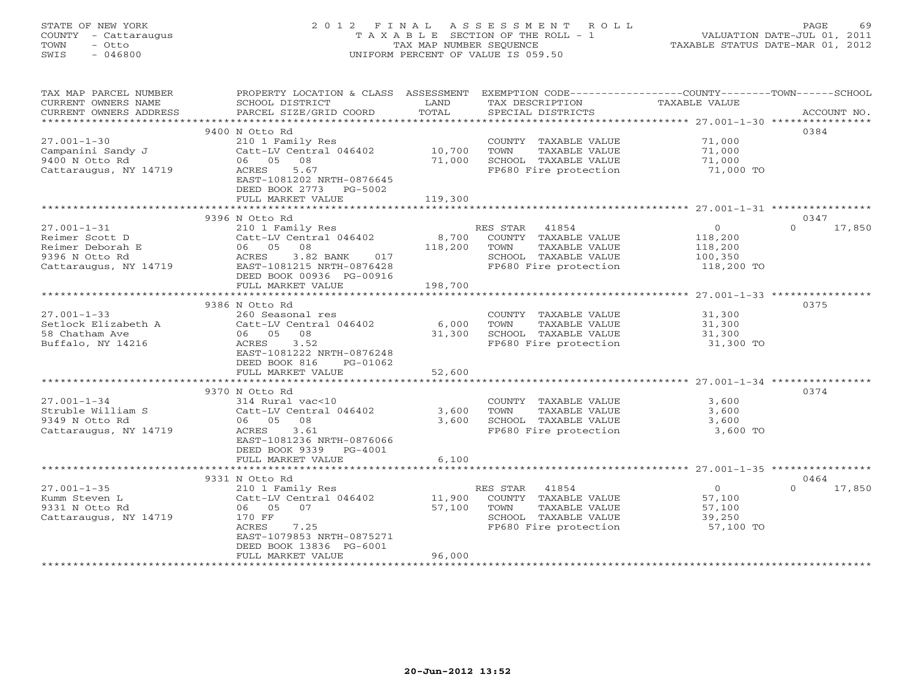### STATE OF NEW YORK 2 0 1 2 F I N A L A S S E S S M E N T R O L L PAGE 69 COUNTY - Cattaraugus T A X A B L E SECTION OF THE ROLL - 1 VALUATION DATE-JUL 01, 2011 TOWN - Otto TAX MAP NUMBER SEQUENCE TAXABLE STATUS DATE-MAR 01, 2012 SWIS - 046800 UNIFORM PERCENT OF VALUE IS 059.50UNIFORM PERCENT OF VALUE IS 059.50

| TAX MAP PARCEL NUMBER<br>CURRENT OWNERS NAME | PROPERTY LOCATION & CLASS ASSESSMENT EXEMPTION CODE----------------COUNTY-------TOWN------SCHOOL<br>SCHOOL DISTRICT | LAND    | TAX DESCRIPTION       | TAXABLE VALUE  |                    |
|----------------------------------------------|---------------------------------------------------------------------------------------------------------------------|---------|-----------------------|----------------|--------------------|
| CURRENT OWNERS ADDRESS                       | PARCEL SIZE/GRID COORD                                                                                              | TOTAL   | SPECIAL DISTRICTS     |                | ACCOUNT NO.        |
|                                              | 9400 N Otto Rd                                                                                                      |         |                       |                | 0384               |
| $27.001 - 1 - 30$                            | 210 1 Family Res                                                                                                    |         | COUNTY TAXABLE VALUE  | 71,000         |                    |
| Campanini Sandy J                            | Catt-LV Central 046402                                                                                              | 10,700  | TOWN<br>TAXABLE VALUE | 71,000         |                    |
| 9400 N Otto Rd                               | 06 05<br>08                                                                                                         | 71,000  | SCHOOL TAXABLE VALUE  | 71,000         |                    |
| Cattaraugus, NY 14719                        | 5.67<br>ACRES<br>EAST-1081202 NRTH-0876645<br>DEED BOOK 2773 PG-5002                                                |         | FP680 Fire protection | 71,000 TO      |                    |
|                                              | FULL MARKET VALUE                                                                                                   | 119,300 |                       |                |                    |
|                                              |                                                                                                                     |         |                       |                |                    |
|                                              | 9396 N Otto Rd                                                                                                      |         |                       |                | 0347               |
| $27.001 - 1 - 31$                            | 210 1 Family Res                                                                                                    |         | RES STAR<br>41854     | $\circ$        | $\Omega$<br>17,850 |
| Reimer Scott D                               | Catt-LV Central 046402                                                                                              | 8,700   | COUNTY TAXABLE VALUE  | 118,200        |                    |
| Reimer Deborah E                             | 06 05 08                                                                                                            | 118,200 | TOWN<br>TAXABLE VALUE | 118,200        |                    |
| 9396 N Otto Rd                               | ACRES<br>3.82 BANK<br>017                                                                                           |         | SCHOOL TAXABLE VALUE  | 100,350        |                    |
| Cattaraugus, NY 14719                        | EAST-1081215 NRTH-0876428                                                                                           |         | FP680 Fire protection | 118,200 TO     |                    |
|                                              | DEED BOOK 00936 PG-00916<br>FULL MARKET VALUE                                                                       | 198,700 |                       |                |                    |
|                                              |                                                                                                                     |         |                       |                |                    |
|                                              | 9386 N Otto Rd                                                                                                      |         |                       |                | 0375               |
| $27.001 - 1 - 33$                            | 260 Seasonal res                                                                                                    |         | COUNTY TAXABLE VALUE  | 31,300         |                    |
| Setlock Elizabeth A                          | Catt-LV Central 046402                                                                                              | 6,000   | TAXABLE VALUE<br>TOWN | 31,300         |                    |
| 58 Chatham Ave                               | 06 05<br>08                                                                                                         | 31,300  | SCHOOL TAXABLE VALUE  | 31,300         |                    |
| Buffalo, NY 14216                            | ACRES<br>3.52                                                                                                       |         | FP680 Fire protection | 31,300 TO      |                    |
|                                              | EAST-1081222 NRTH-0876248                                                                                           |         |                       |                |                    |
|                                              | DEED BOOK 816<br>PG-01062<br>FULL MARKET VALUE                                                                      | 52,600  |                       |                |                    |
|                                              |                                                                                                                     |         |                       |                |                    |
|                                              | 9370 N Otto Rd                                                                                                      |         |                       |                | 0374               |
| $27.001 - 1 - 34$                            | 314 Rural vac<10                                                                                                    |         | COUNTY TAXABLE VALUE  | 3,600          |                    |
| Struble William S                            | Catt-LV Central 046402                                                                                              | 3,600   | TAXABLE VALUE<br>TOWN | 3,600          |                    |
| 9349 N Otto Rd                               | 06 05 08                                                                                                            | 3,600   | SCHOOL TAXABLE VALUE  | 3,600          |                    |
| Cattaraugus, NY 14719                        | 3.61<br>ACRES                                                                                                       |         | FP680 Fire protection | 3,600 TO       |                    |
|                                              | EAST-1081236 NRTH-0876066                                                                                           |         |                       |                |                    |
|                                              | DEED BOOK 9339<br>$PG-4001$<br>FULL MARKET VALUE                                                                    | 6,100   |                       |                |                    |
|                                              |                                                                                                                     |         |                       |                |                    |
|                                              | 9331 N Otto Rd                                                                                                      |         |                       |                | 0464               |
| $27.001 - 1 - 35$                            | 210 1 Family Res                                                                                                    |         | RES STAR<br>41854     | $\overline{0}$ | $\Omega$<br>17,850 |
| Kumm Steven L                                | Catt-LV Central 046402                                                                                              | 11,900  | COUNTY TAXABLE VALUE  | 57,100         |                    |
| 9331 N Otto Rd                               | 06 05<br>07                                                                                                         | 57,100  | TOWN<br>TAXABLE VALUE | 57,100         |                    |
| Cattaraugus, NY 14719                        | 170 FF                                                                                                              |         | SCHOOL TAXABLE VALUE  | 39,250         |                    |
|                                              | ACRES<br>7.25                                                                                                       |         | FP680 Fire protection | 57,100 TO      |                    |
|                                              | EAST-1079853 NRTH-0875271                                                                                           |         |                       |                |                    |
|                                              | DEED BOOK 13836 PG-6001                                                                                             | 96,000  |                       |                |                    |
|                                              | FULL MARKET VALUE                                                                                                   |         |                       |                |                    |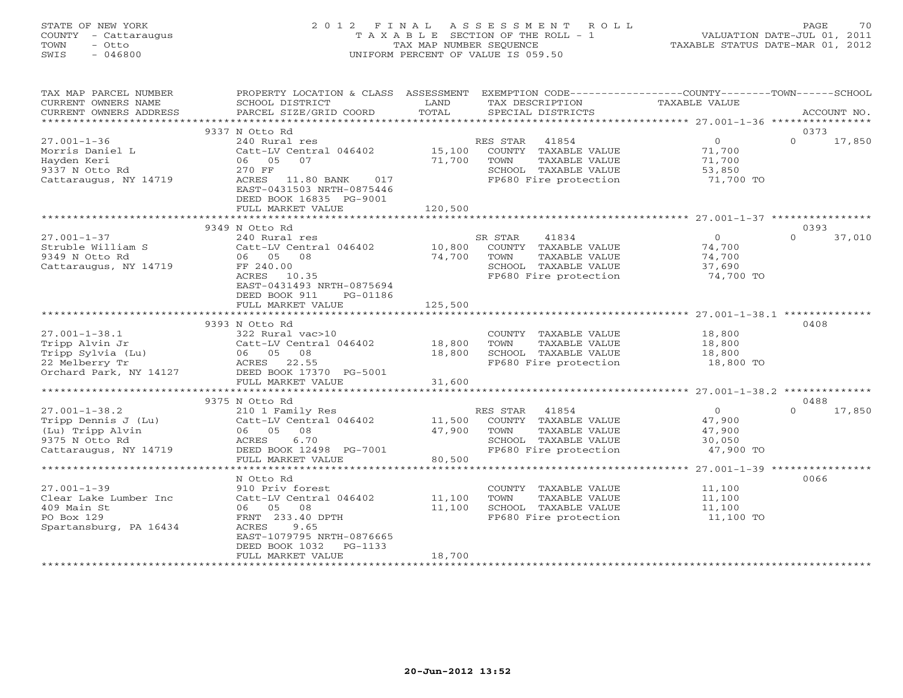#### STATE OF NEW YORK 2 0 1 2 F I N A L A S S E S S M E N T R O L L PAGE 70 COUNTY - Cattaraugus T A X A B L E SECTION OF THE ROLL - 1 VALUATION DATE-JUL 01, 2011 TOWN - Otto TAX MAP NUMBER SEQUENCE TAXABLE STATUS DATE-MAR 01, 2012 SWIS - 046800 UNIFORM PERCENT OF VALUE IS 059.50UNIFORM PERCENT OF VALUE IS 059.50

| TAX MAP PARCEL NUMBER<br>CURRENT OWNERS NAME<br>CURRENT OWNERS ADDRESS                                    | PROPERTY LOCATION & CLASS ASSESSMENT<br>SCHOOL DISTRICT<br>PARCEL SIZE/GRID COORD                                                                                 | LAND<br>TOTAL              | EXEMPTION CODE-----------------COUNTY-------TOWN------SCHOOL<br>TAX DESCRIPTION<br>SPECIAL DISTRICTS                | TAXABLE VALUE                                             | ACCOUNT NO.                |
|-----------------------------------------------------------------------------------------------------------|-------------------------------------------------------------------------------------------------------------------------------------------------------------------|----------------------------|---------------------------------------------------------------------------------------------------------------------|-----------------------------------------------------------|----------------------------|
| *************************                                                                                 |                                                                                                                                                                   |                            |                                                                                                                     |                                                           |                            |
| $27.001 - 1 - 36$<br>Morris Daniel L<br>Hayden Keri<br>9337 N Otto Rd                                     | 9337 N Otto Rd<br>240 Rural res<br>Catt-LV Central 046402<br>06 05<br>07<br>270 FF                                                                                | 15,100<br>71,700           | 41854<br>RES STAR<br>COUNTY TAXABLE VALUE<br>TOWN<br>TAXABLE VALUE<br>SCHOOL TAXABLE VALUE                          | $\overline{O}$<br>71,700<br>71,700<br>53,850              | 0373<br>$\Omega$<br>17,850 |
| Cattaraugus, NY 14719                                                                                     | ACRES<br>11.80 BANK<br>017<br>EAST-0431503 NRTH-0875446<br>DEED BOOK 16835 PG-9001<br>FULL MARKET VALUE                                                           | 120,500                    | FP680 Fire protection                                                                                               | 71,700 TO                                                 |                            |
|                                                                                                           |                                                                                                                                                                   |                            |                                                                                                                     |                                                           |                            |
| $27.001 - 1 - 37$<br>Struble William S<br>9349 N Otto Rd<br>Cattaraugus, NY 14719                         | 9349 N Otto Rd<br>240 Rural res<br>Catt-LV Central 046402<br>06 05<br>08<br>FF 240.00<br>ACRES<br>10.35<br>EAST-0431493 NRTH-0875694<br>DEED BOOK 911<br>PG-01186 | 10,800<br>74,700           | SR STAR<br>41834<br>COUNTY TAXABLE VALUE<br>TAXABLE VALUE<br>TOWN<br>SCHOOL TAXABLE VALUE<br>FP680 Fire protection  | $\overline{0}$<br>74,700<br>74,700<br>37,690<br>74,700 TO | 0393<br>$\Omega$<br>37,010 |
|                                                                                                           | FULL MARKET VALUE                                                                                                                                                 | 125,500                    |                                                                                                                     |                                                           |                            |
|                                                                                                           | ***************************<br>9393 N Otto Rd                                                                                                                     |                            |                                                                                                                     |                                                           | 0408                       |
| $27.001 - 1 - 38.1$<br>Tripp Alvin Jr<br>Tripp Sylvia (Lu)<br>22 Melberry Tr<br>Orchard Park, NY 14127    | 322 Rural vac>10<br>Catt-LV Central 046402<br>08<br>06 05<br>ACRES 22.55<br>DEED BOOK 17370 PG-5001                                                               | 18,800<br>18,800           | COUNTY TAXABLE VALUE<br>TAXABLE VALUE<br>TOWN<br>SCHOOL TAXABLE VALUE<br>FP680 Fire protection                      | 18,800<br>18,800<br>18,800<br>18,800 TO                   |                            |
|                                                                                                           | FULL MARKET VALUE                                                                                                                                                 | 31,600                     |                                                                                                                     |                                                           |                            |
|                                                                                                           |                                                                                                                                                                   |                            |                                                                                                                     |                                                           |                            |
|                                                                                                           | 9375 N Otto Rd                                                                                                                                                    |                            |                                                                                                                     |                                                           | 0488                       |
| $27.001 - 1 - 38.2$<br>Tripp Dennis J (Lu)<br>(Lu) Tripp Alvin<br>9375 N Otto Rd<br>Cattaraugus, NY 14719 | 210 1 Family Res<br>Catt-LV Central 046402<br>06 05<br>08<br>ACRES<br>6.70<br>DEED BOOK 12498 PG-7001<br>FULL MARKET VALUE                                        | 11,500<br>47,900<br>80,500 | 41854<br>RES STAR<br>COUNTY TAXABLE VALUE<br>TOWN<br>TAXABLE VALUE<br>SCHOOL TAXABLE VALUE<br>FP680 Fire protection | $\overline{O}$<br>47,900<br>47,900<br>30,050<br>47,900 TO | 17,850<br>$\Omega$         |
|                                                                                                           |                                                                                                                                                                   |                            |                                                                                                                     |                                                           |                            |
|                                                                                                           | N Otto Rd                                                                                                                                                         |                            |                                                                                                                     |                                                           | 0066                       |
| $27.001 - 1 - 39$<br>Clear Lake Lumber Inc<br>409 Main St<br>PO Box 129<br>Spartansburg, PA 16434         | 910 Priv forest<br>Catt-LV Central 046402<br>05<br>08<br>06<br>FRNT 233.40 DPTH<br>ACRES<br>9.65<br>EAST-1079795 NRTH-0876665<br>DEED BOOK 1032<br>PG-1133        | 11,100<br>11,100           | COUNTY TAXABLE VALUE<br>TOWN<br>TAXABLE VALUE<br>SCHOOL TAXABLE VALUE<br>FP680 Fire protection                      | 11,100<br>11,100<br>11,100<br>11,100 TO                   |                            |
|                                                                                                           | FULL MARKET VALUE                                                                                                                                                 | 18,700                     |                                                                                                                     |                                                           |                            |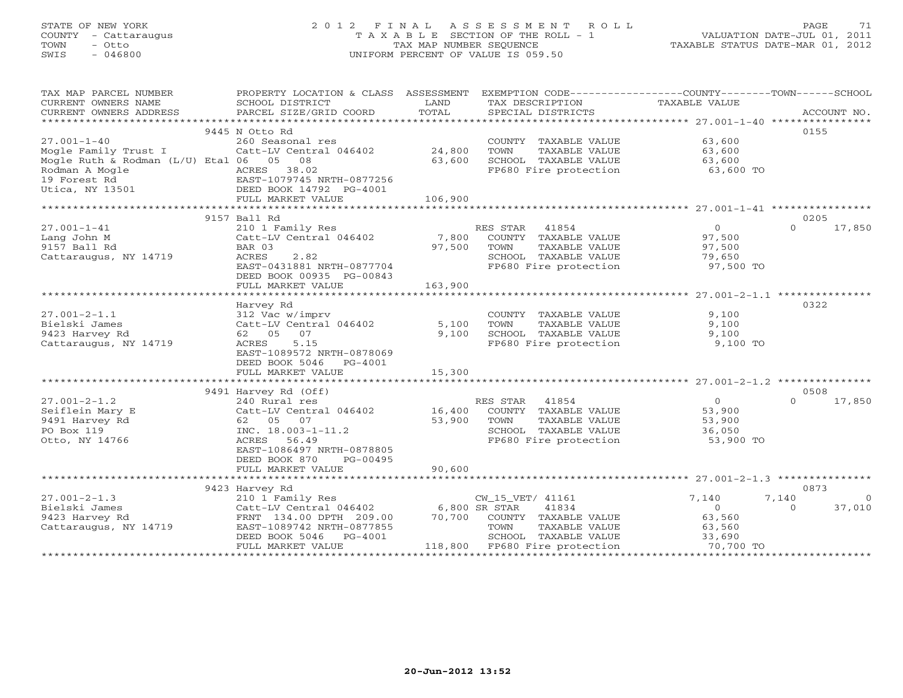### STATE OF NEW YORK 2 0 1 2 F I N A L A S S E S S M E N T R O L L PAGE 71 COUNTY - Cattaraugus T A X A B L E SECTION OF THE ROLL - 1 VALUATION DATE-JUL 01, 2011 TOWN - Otto TAX MAP NUMBER SEQUENCE TAXABLE STATUS DATE-MAR 01, 2012 SWIS - 046800 UNIFORM PERCENT OF VALUE IS 059.50UNIFORM PERCENT OF VALUE IS 059.50

| TAX MAP PARCEL NUMBER                  | PROPERTY LOCATION & CLASS ASSESSMENT EXEMPTION CODE---------------COUNTY-------TOWN------SCHOOL |               |                                                                               |                |                    |
|----------------------------------------|-------------------------------------------------------------------------------------------------|---------------|-------------------------------------------------------------------------------|----------------|--------------------|
| CURRENT OWNERS NAME                    | SCHOOL DISTRICT                                                                                 | LAND          | TAX DESCRIPTION                                                               | TAXABLE VALUE  |                    |
|                                        |                                                                                                 |               |                                                                               |                |                    |
|                                        |                                                                                                 |               |                                                                               |                |                    |
|                                        | 9445 N Otto Rd                                                                                  |               |                                                                               |                | 0155               |
| $27.001 - 1 - 40$                      | 260 Seasonal res                                                                                |               | COUNTY TAXABLE VALUE                                                          | 63,600         |                    |
| Mogle Family Trust I                   | Catt-LV Central 046402                                                                          | 24,800        | TOWN<br>TAXABLE VALUE                                                         | 63,600         |                    |
| Mogle Ruth & Rodman $(L/U)$ Etal 06 05 | 08                                                                                              | 63,600        | SCHOOL TAXABLE VALUE                                                          | 63,600         |                    |
| Rodman A Mogle                         | EXERED 38.02<br>EAST-1079745 NRTH-0877256<br>01 DEED BOOK 14792 PG-4001                         |               | FP680 Fire protection                                                         | 63,600 TO      |                    |
| 19 Forest Rd                           |                                                                                                 |               |                                                                               |                |                    |
| Utica, NY 13501                        |                                                                                                 |               |                                                                               |                |                    |
|                                        | FULL MARKET VALUE                                                                               | 106,900       |                                                                               |                |                    |
|                                        |                                                                                                 |               |                                                                               |                |                    |
|                                        | 9157 Ball Rd                                                                                    |               |                                                                               |                | 0205               |
| $27.001 - 1 - 41$                      | 210 1 Family Res                                                                                |               | RES STAR<br>41854                                                             | $\overline{0}$ | 17,850<br>$\Omega$ |
| Lang John M                            | Catt-LV Central 046402                                                                          | 7,800         | COUNTY TAXABLE VALUE                                                          | 97,500         |                    |
| 9157 Ball Rd                           | BAR 03                                                                                          | 97,500        | TOWN<br>TAXABLE VALUE                                                         | 97,500         |                    |
| Cattaraugus, NY 14719                  | ACRES<br>2.82                                                                                   |               | SCHOOL TAXABLE VALUE                                                          | 79,650         |                    |
|                                        | EAST-0431881 NRTH-0877704                                                                       |               | FP680 Fire protection                                                         | 97,500 TO      |                    |
|                                        | DEED BOOK 00935 PG-00843                                                                        |               |                                                                               |                |                    |
|                                        | FULL MARKET VALUE                                                                               | 163,900       |                                                                               |                |                    |
|                                        |                                                                                                 |               |                                                                               |                |                    |
|                                        | Harvey Rd                                                                                       |               |                                                                               |                | 0322               |
| $27.001 - 2 - 1.1$                     | 312 Vac w/imprv                                                                                 |               | COUNTY TAXABLE VALUE                                                          | 9,100          |                    |
| Bielski James                          | Catt-LV Central 046402                                                                          | 5,100         | TAXABLE VALUE<br>TOWN                                                         | 9,100          |                    |
| 9423 Harvey Rd                         | 62 05 07                                                                                        | 9,100         | SCHOOL TAXABLE VALUE                                                          | 9,100          |                    |
|                                        | ACRES 5.15                                                                                      |               | FP680 Fire protection                                                         | 9,100 TO       |                    |
| Cattaraugus, NY 14719                  | EAST-1089572 NRTH-0878069                                                                       |               |                                                                               |                |                    |
|                                        |                                                                                                 |               |                                                                               |                |                    |
|                                        | DEED BOOK 5046<br>PG-4001                                                                       |               |                                                                               |                |                    |
|                                        | FULL MARKET VALUE                                                                               | 15,300        |                                                                               |                |                    |
|                                        |                                                                                                 |               |                                                                               |                |                    |
|                                        | 9491 Harvey Rd (Off)                                                                            |               |                                                                               |                | 0508               |
| $27.001 - 2 - 1.2$                     | 240 Rural res                                                                                   |               | RES STAR 41854                                                                | $\overline{0}$ | 17,850<br>$\cap$   |
| Seiflein Mary E                        | Catt-LV Central 046402                                                                          | 16,400        | COUNTY TAXABLE VALUE                                                          | 53,900         |                    |
| 9491 Harvey Rd                         | 62 05 07                                                                                        | 53,900        | TOWN<br>TAXABLE VALUE                                                         | 53,900         |                    |
| PO Box 119                             | $INC. 18.003-1-11.2$                                                                            |               | SCHOOL TAXABLE VALUE                                                          | 36,050         |                    |
| Otto, NY 14766                         | ACRES 56.49                                                                                     |               | FP680 Fire protection                                                         | 53,900 TO      |                    |
|                                        | EAST-1086497 NRTH-0878805                                                                       |               |                                                                               |                |                    |
|                                        | DEED BOOK 870<br>PG-00495                                                                       |               |                                                                               |                |                    |
|                                        | FULL MARKET VALUE                                                                               | 90,600        |                                                                               |                |                    |
|                                        |                                                                                                 |               |                                                                               |                |                    |
|                                        | 9423 Harvey Rd                                                                                  |               |                                                                               |                | 0873               |
| $27.001 - 2 - 1.3$                     | 210 1 Family Res<br>Catt-LV Central 046402                                                      |               | CW 15 VET/ 41161                                                              | 7,140          | 7,140<br>$\circ$   |
| Bielski James                          |                                                                                                 | 6,800 SR STAR | 41834                                                                         | $\overline{0}$ | 37,010<br>$\Omega$ |
| 9423 Harvey Rd                         | FRNT 134.00 DPTH 209.00<br>FRNT 134.00 DPTH 209.00<br>EAST-1089742 NRTH-0877855                 |               | 70,700 COUNTY TAXABLE VALUE                                                   | 63,560         |                    |
| Cattaraugus, NY 14719                  |                                                                                                 |               | TOWN<br>TAXABLE VALUE                                                         | 63,560         |                    |
|                                        | DEED BOOK 5046<br>PG-4001                                                                       |               | SCHOOL TAXABLE VALUE                                                          | 33,690         |                    |
|                                        | FULL MARKET VALUE                                                                               |               | ------<br>118,800 FP680 Fire protection<br>---------------------------------- | 70,700 TO      |                    |
|                                        |                                                                                                 |               |                                                                               |                |                    |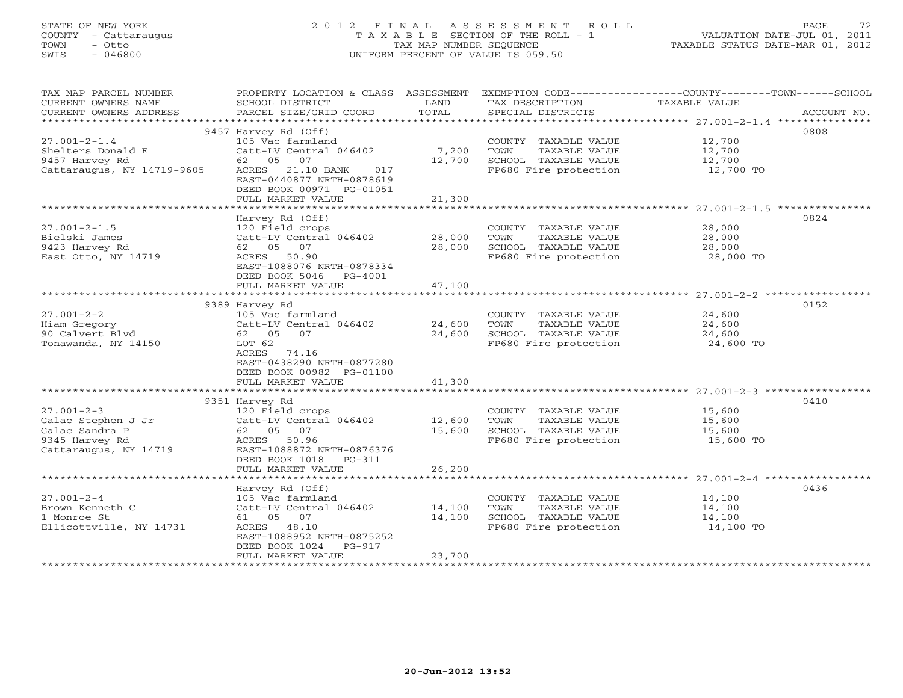#### STATE OF NEW YORK 2 0 1 2 F I N A L A S S E S S M E N T R O L L PAGE 72 COUNTY - Cattaraugus T A X A B L E SECTION OF THE ROLL - 1 VALUATION DATE-JUL 01, 2011 TOWN - Otto TAX MAP NUMBER SEQUENCE TAXABLE STATUS DATE-MAR 01, 2012 SWIS - 046800 UNIFORM PERCENT OF VALUE IS 059.50UNIFORM PERCENT OF VALUE IS 059.50

| TAX MAP PARCEL NUMBER<br>CURRENT OWNERS NAME<br>CURRENT OWNERS ADDRESS | PROPERTY LOCATION & CLASS ASSESSMENT<br>SCHOOL DISTRICT<br>PARCEL SIZE/GRID COORD | LAND<br>TOTAL | TAX DESCRIPTION<br>SPECIAL DISTRICTS                                  | EXEMPTION CODE-----------------COUNTY-------TOWN------SCHOOL<br>TAXABLE VALUE<br>ACCOUNT NO. |
|------------------------------------------------------------------------|-----------------------------------------------------------------------------------|---------------|-----------------------------------------------------------------------|----------------------------------------------------------------------------------------------|
|                                                                        |                                                                                   |               |                                                                       |                                                                                              |
|                                                                        | 9457 Harvey Rd (Off)                                                              |               |                                                                       | 0808                                                                                         |
| $27.001 - 2 - 1.4$                                                     | 105 Vac farmland                                                                  |               | COUNTY TAXABLE VALUE 12,700                                           |                                                                                              |
| Shelters Donald E                                                      | Catt-LV Central 046402                                                            | 7,200         | TOWN<br>TAXABLE VALUE                                                 | 12,700<br>12,700                                                                             |
| 9457 Harvey Rd                                                         | 62 05 07                                                                          | 12,700        | SCHOOL TAXABLE VALUE<br>FP680 Fire protection 12,700 TO               |                                                                                              |
| Cattaraugus, NY 14719-9605                                             | ACRES 21.10 BANK<br>017<br>EAST-0440877 NRTH-0878619<br>DEED BOOK 00971 PG-01051  |               |                                                                       |                                                                                              |
|                                                                        | FULL MARKET VALUE                                                                 | 21,300        |                                                                       |                                                                                              |
|                                                                        | Harvey Rd (Off)                                                                   |               |                                                                       | 0824                                                                                         |
| $27.001 - 2 - 1.5$                                                     | 120 Field crops                                                                   |               | COUNTY TAXABLE VALUE                                                  | 28,000                                                                                       |
| Bielski James                                                          | Catt-LV Central 046402                                                            | 28,000        | TOWN<br>TAXABLE VALUE                                                 | 28,000                                                                                       |
| 9423 Harvey Rd                                                         | 62 05 07                                                                          | 28,000        | SCHOOL TAXABLE VALUE                                                  | 28,000                                                                                       |
| East Otto, NY 14719                                                    | ACRES 50.90                                                                       |               | FP680 Fire protection                                                 | $^{28}$ , $000$ TO<br>$28$ , 000 TO                                                          |
|                                                                        | EAST-1088076 NRTH-0878334<br>DEED BOOK 5046 PG-4001                               |               |                                                                       |                                                                                              |
|                                                                        | FULL MARKET VALUE                                                                 | 47,100        |                                                                       |                                                                                              |
|                                                                        |                                                                                   |               |                                                                       |                                                                                              |
|                                                                        | 9389 Harvey Rd                                                                    |               |                                                                       | 0152                                                                                         |
| $27.001 - 2 - 2$                                                       | 105 Vac farmland                                                                  |               | COUNTY TAXABLE VALUE                                                  | 24,600                                                                                       |
| Hiam Gregory                                                           | Catt-LV Central 046402                                                            | 24,600        | TOWN<br>TAXABLE VALUE                                                 | 24,600                                                                                       |
| 90 Calvert Blvd                                                        | 62 05<br>07                                                                       | 24,600        | SCHOOL TAXABLE VALUE                                                  | 24,600                                                                                       |
| Tonawanda, NY 14150                                                    | LOT 62                                                                            |               | FP680 Fire protection                                                 | 24,600 TO                                                                                    |
|                                                                        | ACRES<br>74.16                                                                    |               |                                                                       |                                                                                              |
|                                                                        | EAST-0438290 NRTH-0877280                                                         |               |                                                                       |                                                                                              |
|                                                                        | DEED BOOK 00982 PG-01100                                                          |               |                                                                       |                                                                                              |
|                                                                        | FULL MARKET VALUE                                                                 | 41,300        |                                                                       |                                                                                              |
|                                                                        |                                                                                   |               |                                                                       | 0410                                                                                         |
| $27.001 - 2 - 3$                                                       | 9351 Harvey Rd<br>120 Field crops                                                 |               | COUNTY TAXABLE VALUE                                                  | 15,600                                                                                       |
| Galac Stephen J Jr                                                     | Catt-LV Central 046402                                                            | 12,600        | TAXABLE VALUE<br>TOWN                                                 | 15,600                                                                                       |
| Galac Sandra P                                                         | 62 05 07                                                                          | 15,600        | SCHOOL TAXABLE VALUE                                                  | 15,600                                                                                       |
| 9345 Harvey Rd                                                         | ACRES 50.96                                                                       |               | FP680 Fire protection                                                 | 15,600 TO                                                                                    |
| Cattaraugus, NY 14719                                                  | EAST-1088872 NRTH-0876376                                                         |               |                                                                       |                                                                                              |
|                                                                        | DEED BOOK 1018 PG-311                                                             |               |                                                                       |                                                                                              |
|                                                                        | FULL MARKET VALUE                                                                 | 26,200        |                                                                       |                                                                                              |
|                                                                        |                                                                                   |               |                                                                       |                                                                                              |
|                                                                        | Harvey Rd (Off)                                                                   |               |                                                                       | 0436                                                                                         |
| $27.001 - 2 - 4$                                                       | 105 Vac farmland                                                                  |               | COUNTY TAXABLE VALUE                                                  | 14,100                                                                                       |
| Brown Kenneth C                                                        | Catt-LV Central 046402 14,100                                                     |               | TOWN<br>TAXABLE VALUE                                                 | 14,100                                                                                       |
| 1 Monroe St                                                            | 61 05 07                                                                          | 14,100        | SCHOOL TAXABLE VALUE<br>SCHOOL TAXABLE VALUE<br>FP680 Fire protection | 14,100                                                                                       |
| Ellicottville, NY 14731                                                | ACRES 48.10                                                                       |               |                                                                       | 14,100 TO                                                                                    |
|                                                                        | EAST-1088952 NRTH-0875252                                                         |               |                                                                       |                                                                                              |
|                                                                        | DEED BOOK 1024 PG-917                                                             |               |                                                                       |                                                                                              |
|                                                                        | FULL MARKET VALUE                                                                 | 23,700        |                                                                       |                                                                                              |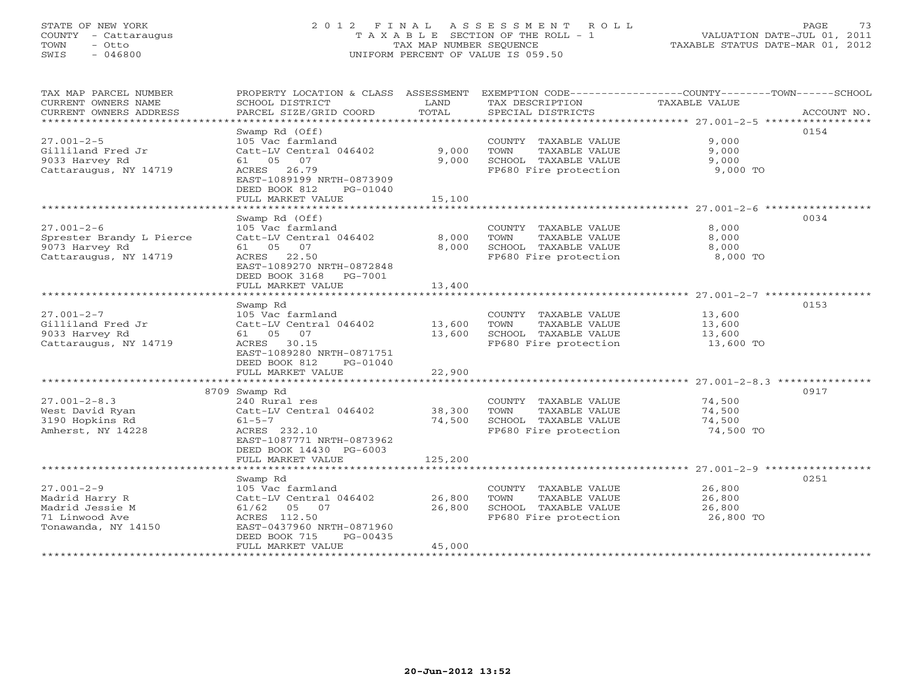### STATE OF NEW YORK 2 0 1 2 F I N A L A S S E S S M E N T R O L L PAGE 73 COUNTY - Cattaraugus T A X A B L E SECTION OF THE ROLL - 1 VALUATION DATE-JUL 01, 2011 TOWN - Otto TAX MAP NUMBER SEQUENCE TAXABLE STATUS DATE-MAR 01, 2012 SWIS - 046800 UNIFORM PERCENT OF VALUE IS 059.50UNIFORM PERCENT OF VALUE IS 059.50

| TAX MAP PARCEL NUMBER<br>CURRENT OWNERS NAME<br>CURRENT OWNERS ADDRESS<br>******************************           | PROPERTY LOCATION & CLASS ASSESSMENT<br>SCHOOL DISTRICT<br>PARCEL SIZE/GRID COORD                                                                                      | LAND<br>TOTAL              | TAX DESCRIPTION<br>SPECIAL DISTRICTS                                                           | EXEMPTION CODE-----------------COUNTY-------TOWN------SCHOOL<br>TAXABLE VALUE | ACCOUNT NO. |
|--------------------------------------------------------------------------------------------------------------------|------------------------------------------------------------------------------------------------------------------------------------------------------------------------|----------------------------|------------------------------------------------------------------------------------------------|-------------------------------------------------------------------------------|-------------|
| $27.001 - 2 - 5$<br>Gilliland Fred Jr<br>9033 Harvey Rd<br>Cattaraugus, NY 14719<br>****************************** | Swamp Rd (Off)<br>105 Vac farmland<br>Catt-LV Central 046402<br>61 05 07<br>ACRES 26.79<br>EAST-1089199 NRTH-0873909<br>DEED BOOK 812<br>PG-01040<br>FULL MARKET VALUE | 9,000<br>9,000<br>15,100   | COUNTY TAXABLE VALUE<br>TOWN<br>TAXABLE VALUE<br>SCHOOL TAXABLE VALUE<br>FP680 Fire protection | 9,000<br>9,000<br>9,000<br>9,000 TO                                           | 0154        |
|                                                                                                                    |                                                                                                                                                                        |                            |                                                                                                |                                                                               | 0034        |
| $27.001 - 2 - 6$<br>Sprester Brandy L Pierce<br>9073 Harvey Rd<br>Cattaraugus, NY 14719                            | Swamp Rd (Off)<br>105 Vac farmland<br>Catt-LV Central 046402<br>61  05  07<br>ACRES 22.50<br>EAST-1089270 NRTH-0872848<br>DEED BOOK 3168 PG-7001<br>FULL MARKET VALUE  | 8,000<br>8,000<br>13,400   | COUNTY TAXABLE VALUE<br>TOWN<br>TAXABLE VALUE<br>SCHOOL TAXABLE VALUE<br>FP680 Fire protection | 8,000<br>8,000<br>8,000<br>8,000 TO                                           |             |
|                                                                                                                    |                                                                                                                                                                        |                            |                                                                                                |                                                                               |             |
| $27.001 - 2 - 7$<br>Gilliland Fred Jr<br>9033 Harvey Rd<br>Cattaraugus, NY 14719                                   | Swamp Rd<br>105 Vac farmland<br>Catt-LV Central 046402<br>61 05 07<br>ACRES 30.15<br>EAST-1089280 NRTH-0871751<br>DEED BOOK 812<br>PG-01040                            | 13,600<br>13,600           | COUNTY TAXABLE VALUE<br>TOWN<br>TAXABLE VALUE<br>SCHOOL TAXABLE VALUE<br>FP680 Fire protection | 13,600<br>13,600<br>13,600<br>13,600 TO                                       | 0153        |
|                                                                                                                    | FULL MARKET VALUE                                                                                                                                                      | 22,900                     |                                                                                                |                                                                               |             |
|                                                                                                                    |                                                                                                                                                                        |                            |                                                                                                |                                                                               |             |
| $27.001 - 2 - 8.3$<br>West David Ryan<br>3190 Hopkins Rd<br>Amherst, NY 14228                                      | 8709 Swamp Rd<br>240 Rural res<br>Catt-LV Central 046402<br>$61 - 5 - 7$<br>ACRES 232.10<br>EAST-1087771 NRTH-0873962<br>DEED BOOK 14430 PG-6003                       | 38,300<br>74,500           | COUNTY TAXABLE VALUE<br>TOWN<br>TAXABLE VALUE<br>SCHOOL TAXABLE VALUE<br>FP680 Fire protection | 74,500<br>74,500<br>74,500<br>74,500 TO                                       | 0917        |
|                                                                                                                    | FULL MARKET VALUE                                                                                                                                                      | 125,200                    |                                                                                                |                                                                               |             |
|                                                                                                                    | Swamp Rd                                                                                                                                                               |                            |                                                                                                |                                                                               | 0251        |
| $27.001 - 2 - 9$<br>Madrid Harry R<br>Madrid Jessie M<br>71 Linwood Ave<br>Tonawanda, NY 14150                     | 105 Vac farmland<br>Catt-LV Central 046402<br>61/62 05 07<br>ACRES 112.50<br>EAST-0437960 NRTH-0871960<br>DEED BOOK 715<br>PG-00435<br>FULL MARKET VALUE               | 26,800<br>26,800<br>45,000 | COUNTY TAXABLE VALUE<br>TOWN<br>TAXABLE VALUE<br>SCHOOL TAXABLE VALUE<br>FP680 Fire protection | 26,800<br>26,800<br>26,800<br>26,800 TO                                       |             |
|                                                                                                                    | *************************                                                                                                                                              |                            |                                                                                                |                                                                               |             |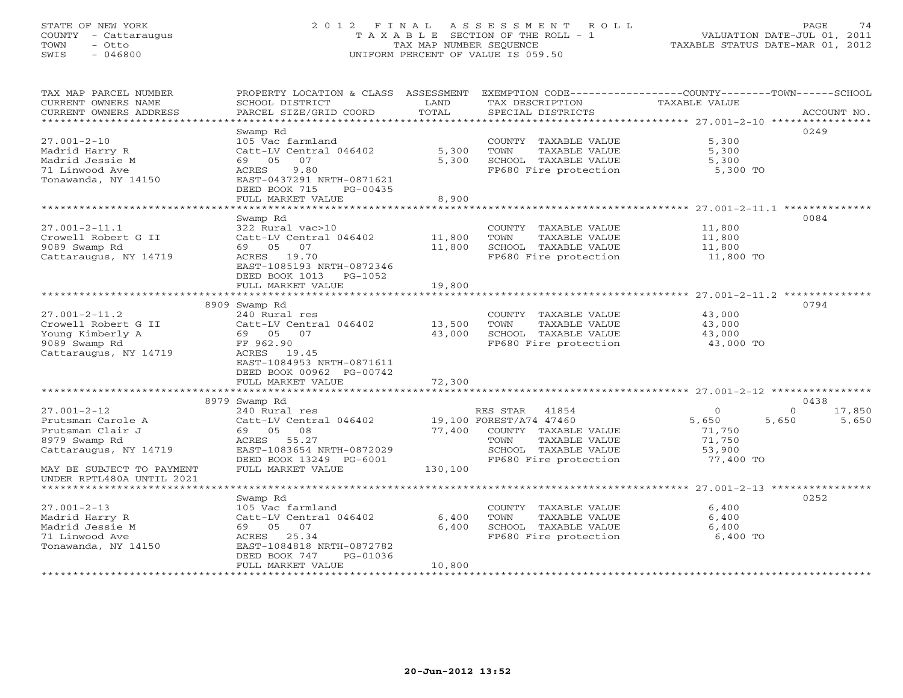### STATE OF NEW YORK 2 0 1 2 F I N A L A S S E S S M E N T R O L L PAGE 74 COUNTY - Cattaraugus T A X A B L E SECTION OF THE ROLL - 1 VALUATION DATE-JUL 01, 2011 TOWN - Otto TAX MAP NUMBER SEQUENCE TAXABLE STATUS DATE-MAR 01, 2012 SWIS - 046800 UNIFORM PERCENT OF VALUE IS 059.50UNIFORM PERCENT OF VALUE IS 059.50

| **********************<br>0249<br>Swamp Rd<br>$27.001 - 2 - 10$<br>105 Vac farmland<br>COUNTY TAXABLE VALUE<br>5,300<br>5,300<br>5,300<br>Madrid Harry R<br>Catt-LV Central 046402<br>TOWN<br>TAXABLE VALUE<br>Madrid Jessie M<br>5,300<br>5,300<br>69 05<br>07<br>SCHOOL TAXABLE VALUE<br>9.80<br>71 Linwood Ave<br>ACRES<br>FP680 Fire protection<br>5,300 TO<br>Tonawanda, NY 14150<br>EAST-0437291 NRTH-0871621<br>DEED BOOK 715<br>PG-00435<br>FULL MARKET VALUE<br>8,900<br>0084<br>Swamp Rd<br>$27.001 - 2 - 11.1$<br>322 Rural vac>10<br>COUNTY TAXABLE VALUE<br>11,800<br>Crowell Robert G II<br>Catt-LV Central 046402<br>11,800<br>TOWN<br>TAXABLE VALUE<br>11,800<br>9089 Swamp Rd<br>69 05 07<br>11,800<br>SCHOOL TAXABLE VALUE<br>11,800<br>Cattaraugus, NY 14719<br>ACRES 19.70<br>FP680 Fire protection<br>11,800 TO<br>EAST-1085193 NRTH-0872346<br>DEED BOOK 1013 PG-1052<br>19,800<br>FULL MARKET VALUE<br>0794<br>8909 Swamp Rd<br>$27.001 - 2 - 11.2$<br>240 Rural res<br>43,000<br>COUNTY TAXABLE VALUE<br>Crowell Robert G II<br>Catt-LV Central 046402<br>13,500<br>TOWN<br>TAXABLE VALUE<br>43,000<br>Young Kimberly A<br>43,000<br>SCHOOL TAXABLE VALUE<br>69 05 07<br>43,000<br>9089 Swamp Rd<br>FF 962.90<br>FP680 Fire protection<br>43,000 TO<br>Cattaraugus, NY 14719<br>ACRES 19.45<br>EAST-1084953 NRTH-0871611<br>DEED BOOK 00962 PG-00742<br>72,300<br>FULL MARKET VALUE<br>8979 Swamp Rd<br>0438<br>$27.001 - 2 - 12$<br>17,850<br>240 Rural res<br>RES STAR<br>$\Omega$<br>$\Omega$<br>41854<br>19,100 FOREST/A74 47460<br>5,650<br>Prutsman Carole A<br>Catt-LV Central 046402<br>5,650<br>5,650<br>Prutsman Clair J<br>08<br>77,400<br>COUNTY TAXABLE VALUE<br>71,750<br>69 05<br>8979 Swamp Rd<br>ACRES 55.27<br>TOWN<br>TAXABLE VALUE<br>71,750<br>Cattaraugus, NY 14719<br>EAST-1083654 NRTH-0872029<br>SCHOOL TAXABLE VALUE<br>53,900<br>DEED BOOK 13249 PG-6001<br>FP680 Fire protection<br>77,400 TO<br>FULL MARKET VALUE<br>130,100<br>MAY BE SUBJECT TO PAYMENT<br>UNDER RPTL480A UNTIL 2021<br>*************************<br>0252<br>Swamp Rd<br>$27.001 - 2 - 13$<br>105 Vac farmland<br>6,400<br>COUNTY TAXABLE VALUE<br>6,400<br>Madrid Harry R<br>Catt-LV Central 046402<br>TOWN<br>TAXABLE VALUE<br>6,400<br>Madrid Jessie M<br>69 05 07<br>6,400<br>SCHOOL TAXABLE VALUE<br>6,400<br>71 Linwood Ave<br>ACRES 25.34<br>FP680 Fire protection<br>6,400 TO<br>Tonawanda, NY 14150<br>EAST-1084818 NRTH-0872782<br>DEED BOOK 747<br>PG-01036<br>FULL MARKET VALUE<br>10,800 | TAX MAP PARCEL NUMBER<br>CURRENT OWNERS NAME<br>CURRENT OWNERS ADDRESS | PROPERTY LOCATION & CLASS ASSESSMENT<br>SCHOOL DISTRICT<br>PARCEL SIZE/GRID COORD | LAND<br>TOTAL | EXEMPTION CODE-----------------COUNTY-------TOWN------SCHOOL<br>TAX DESCRIPTION<br>SPECIAL DISTRICTS | TAXABLE VALUE | ACCOUNT NO. |
|------------------------------------------------------------------------------------------------------------------------------------------------------------------------------------------------------------------------------------------------------------------------------------------------------------------------------------------------------------------------------------------------------------------------------------------------------------------------------------------------------------------------------------------------------------------------------------------------------------------------------------------------------------------------------------------------------------------------------------------------------------------------------------------------------------------------------------------------------------------------------------------------------------------------------------------------------------------------------------------------------------------------------------------------------------------------------------------------------------------------------------------------------------------------------------------------------------------------------------------------------------------------------------------------------------------------------------------------------------------------------------------------------------------------------------------------------------------------------------------------------------------------------------------------------------------------------------------------------------------------------------------------------------------------------------------------------------------------------------------------------------------------------------------------------------------------------------------------------------------------------------------------------------------------------------------------------------------------------------------------------------------------------------------------------------------------------------------------------------------------------------------------------------------------------------------------------------------------------------------------------------------------------------------------------------------------------------------------------------------------------------------------------------------------------------------------------------------------------------------------------------------------------|------------------------------------------------------------------------|-----------------------------------------------------------------------------------|---------------|------------------------------------------------------------------------------------------------------|---------------|-------------|
|                                                                                                                                                                                                                                                                                                                                                                                                                                                                                                                                                                                                                                                                                                                                                                                                                                                                                                                                                                                                                                                                                                                                                                                                                                                                                                                                                                                                                                                                                                                                                                                                                                                                                                                                                                                                                                                                                                                                                                                                                                                                                                                                                                                                                                                                                                                                                                                                                                                                                                                              |                                                                        |                                                                                   |               |                                                                                                      |               |             |
|                                                                                                                                                                                                                                                                                                                                                                                                                                                                                                                                                                                                                                                                                                                                                                                                                                                                                                                                                                                                                                                                                                                                                                                                                                                                                                                                                                                                                                                                                                                                                                                                                                                                                                                                                                                                                                                                                                                                                                                                                                                                                                                                                                                                                                                                                                                                                                                                                                                                                                                              |                                                                        |                                                                                   |               |                                                                                                      |               |             |
|                                                                                                                                                                                                                                                                                                                                                                                                                                                                                                                                                                                                                                                                                                                                                                                                                                                                                                                                                                                                                                                                                                                                                                                                                                                                                                                                                                                                                                                                                                                                                                                                                                                                                                                                                                                                                                                                                                                                                                                                                                                                                                                                                                                                                                                                                                                                                                                                                                                                                                                              |                                                                        |                                                                                   |               |                                                                                                      |               |             |
|                                                                                                                                                                                                                                                                                                                                                                                                                                                                                                                                                                                                                                                                                                                                                                                                                                                                                                                                                                                                                                                                                                                                                                                                                                                                                                                                                                                                                                                                                                                                                                                                                                                                                                                                                                                                                                                                                                                                                                                                                                                                                                                                                                                                                                                                                                                                                                                                                                                                                                                              |                                                                        |                                                                                   |               |                                                                                                      |               |             |
|                                                                                                                                                                                                                                                                                                                                                                                                                                                                                                                                                                                                                                                                                                                                                                                                                                                                                                                                                                                                                                                                                                                                                                                                                                                                                                                                                                                                                                                                                                                                                                                                                                                                                                                                                                                                                                                                                                                                                                                                                                                                                                                                                                                                                                                                                                                                                                                                                                                                                                                              |                                                                        |                                                                                   |               |                                                                                                      |               |             |
|                                                                                                                                                                                                                                                                                                                                                                                                                                                                                                                                                                                                                                                                                                                                                                                                                                                                                                                                                                                                                                                                                                                                                                                                                                                                                                                                                                                                                                                                                                                                                                                                                                                                                                                                                                                                                                                                                                                                                                                                                                                                                                                                                                                                                                                                                                                                                                                                                                                                                                                              |                                                                        |                                                                                   |               |                                                                                                      |               |             |
|                                                                                                                                                                                                                                                                                                                                                                                                                                                                                                                                                                                                                                                                                                                                                                                                                                                                                                                                                                                                                                                                                                                                                                                                                                                                                                                                                                                                                                                                                                                                                                                                                                                                                                                                                                                                                                                                                                                                                                                                                                                                                                                                                                                                                                                                                                                                                                                                                                                                                                                              |                                                                        |                                                                                   |               |                                                                                                      |               |             |
|                                                                                                                                                                                                                                                                                                                                                                                                                                                                                                                                                                                                                                                                                                                                                                                                                                                                                                                                                                                                                                                                                                                                                                                                                                                                                                                                                                                                                                                                                                                                                                                                                                                                                                                                                                                                                                                                                                                                                                                                                                                                                                                                                                                                                                                                                                                                                                                                                                                                                                                              |                                                                        |                                                                                   |               |                                                                                                      |               |             |
|                                                                                                                                                                                                                                                                                                                                                                                                                                                                                                                                                                                                                                                                                                                                                                                                                                                                                                                                                                                                                                                                                                                                                                                                                                                                                                                                                                                                                                                                                                                                                                                                                                                                                                                                                                                                                                                                                                                                                                                                                                                                                                                                                                                                                                                                                                                                                                                                                                                                                                                              |                                                                        |                                                                                   |               |                                                                                                      |               |             |
|                                                                                                                                                                                                                                                                                                                                                                                                                                                                                                                                                                                                                                                                                                                                                                                                                                                                                                                                                                                                                                                                                                                                                                                                                                                                                                                                                                                                                                                                                                                                                                                                                                                                                                                                                                                                                                                                                                                                                                                                                                                                                                                                                                                                                                                                                                                                                                                                                                                                                                                              |                                                                        |                                                                                   |               |                                                                                                      |               |             |
|                                                                                                                                                                                                                                                                                                                                                                                                                                                                                                                                                                                                                                                                                                                                                                                                                                                                                                                                                                                                                                                                                                                                                                                                                                                                                                                                                                                                                                                                                                                                                                                                                                                                                                                                                                                                                                                                                                                                                                                                                                                                                                                                                                                                                                                                                                                                                                                                                                                                                                                              |                                                                        |                                                                                   |               |                                                                                                      |               |             |
|                                                                                                                                                                                                                                                                                                                                                                                                                                                                                                                                                                                                                                                                                                                                                                                                                                                                                                                                                                                                                                                                                                                                                                                                                                                                                                                                                                                                                                                                                                                                                                                                                                                                                                                                                                                                                                                                                                                                                                                                                                                                                                                                                                                                                                                                                                                                                                                                                                                                                                                              |                                                                        |                                                                                   |               |                                                                                                      |               |             |
|                                                                                                                                                                                                                                                                                                                                                                                                                                                                                                                                                                                                                                                                                                                                                                                                                                                                                                                                                                                                                                                                                                                                                                                                                                                                                                                                                                                                                                                                                                                                                                                                                                                                                                                                                                                                                                                                                                                                                                                                                                                                                                                                                                                                                                                                                                                                                                                                                                                                                                                              |                                                                        |                                                                                   |               |                                                                                                      |               |             |
|                                                                                                                                                                                                                                                                                                                                                                                                                                                                                                                                                                                                                                                                                                                                                                                                                                                                                                                                                                                                                                                                                                                                                                                                                                                                                                                                                                                                                                                                                                                                                                                                                                                                                                                                                                                                                                                                                                                                                                                                                                                                                                                                                                                                                                                                                                                                                                                                                                                                                                                              |                                                                        |                                                                                   |               |                                                                                                      |               |             |
|                                                                                                                                                                                                                                                                                                                                                                                                                                                                                                                                                                                                                                                                                                                                                                                                                                                                                                                                                                                                                                                                                                                                                                                                                                                                                                                                                                                                                                                                                                                                                                                                                                                                                                                                                                                                                                                                                                                                                                                                                                                                                                                                                                                                                                                                                                                                                                                                                                                                                                                              |                                                                        |                                                                                   |               |                                                                                                      |               |             |
|                                                                                                                                                                                                                                                                                                                                                                                                                                                                                                                                                                                                                                                                                                                                                                                                                                                                                                                                                                                                                                                                                                                                                                                                                                                                                                                                                                                                                                                                                                                                                                                                                                                                                                                                                                                                                                                                                                                                                                                                                                                                                                                                                                                                                                                                                                                                                                                                                                                                                                                              |                                                                        |                                                                                   |               |                                                                                                      |               |             |
|                                                                                                                                                                                                                                                                                                                                                                                                                                                                                                                                                                                                                                                                                                                                                                                                                                                                                                                                                                                                                                                                                                                                                                                                                                                                                                                                                                                                                                                                                                                                                                                                                                                                                                                                                                                                                                                                                                                                                                                                                                                                                                                                                                                                                                                                                                                                                                                                                                                                                                                              |                                                                        |                                                                                   |               |                                                                                                      |               |             |
|                                                                                                                                                                                                                                                                                                                                                                                                                                                                                                                                                                                                                                                                                                                                                                                                                                                                                                                                                                                                                                                                                                                                                                                                                                                                                                                                                                                                                                                                                                                                                                                                                                                                                                                                                                                                                                                                                                                                                                                                                                                                                                                                                                                                                                                                                                                                                                                                                                                                                                                              |                                                                        |                                                                                   |               |                                                                                                      |               |             |
|                                                                                                                                                                                                                                                                                                                                                                                                                                                                                                                                                                                                                                                                                                                                                                                                                                                                                                                                                                                                                                                                                                                                                                                                                                                                                                                                                                                                                                                                                                                                                                                                                                                                                                                                                                                                                                                                                                                                                                                                                                                                                                                                                                                                                                                                                                                                                                                                                                                                                                                              |                                                                        |                                                                                   |               |                                                                                                      |               |             |
|                                                                                                                                                                                                                                                                                                                                                                                                                                                                                                                                                                                                                                                                                                                                                                                                                                                                                                                                                                                                                                                                                                                                                                                                                                                                                                                                                                                                                                                                                                                                                                                                                                                                                                                                                                                                                                                                                                                                                                                                                                                                                                                                                                                                                                                                                                                                                                                                                                                                                                                              |                                                                        |                                                                                   |               |                                                                                                      |               |             |
|                                                                                                                                                                                                                                                                                                                                                                                                                                                                                                                                                                                                                                                                                                                                                                                                                                                                                                                                                                                                                                                                                                                                                                                                                                                                                                                                                                                                                                                                                                                                                                                                                                                                                                                                                                                                                                                                                                                                                                                                                                                                                                                                                                                                                                                                                                                                                                                                                                                                                                                              |                                                                        |                                                                                   |               |                                                                                                      |               |             |
|                                                                                                                                                                                                                                                                                                                                                                                                                                                                                                                                                                                                                                                                                                                                                                                                                                                                                                                                                                                                                                                                                                                                                                                                                                                                                                                                                                                                                                                                                                                                                                                                                                                                                                                                                                                                                                                                                                                                                                                                                                                                                                                                                                                                                                                                                                                                                                                                                                                                                                                              |                                                                        |                                                                                   |               |                                                                                                      |               |             |
|                                                                                                                                                                                                                                                                                                                                                                                                                                                                                                                                                                                                                                                                                                                                                                                                                                                                                                                                                                                                                                                                                                                                                                                                                                                                                                                                                                                                                                                                                                                                                                                                                                                                                                                                                                                                                                                                                                                                                                                                                                                                                                                                                                                                                                                                                                                                                                                                                                                                                                                              |                                                                        |                                                                                   |               |                                                                                                      |               |             |
|                                                                                                                                                                                                                                                                                                                                                                                                                                                                                                                                                                                                                                                                                                                                                                                                                                                                                                                                                                                                                                                                                                                                                                                                                                                                                                                                                                                                                                                                                                                                                                                                                                                                                                                                                                                                                                                                                                                                                                                                                                                                                                                                                                                                                                                                                                                                                                                                                                                                                                                              |                                                                        |                                                                                   |               |                                                                                                      |               |             |
|                                                                                                                                                                                                                                                                                                                                                                                                                                                                                                                                                                                                                                                                                                                                                                                                                                                                                                                                                                                                                                                                                                                                                                                                                                                                                                                                                                                                                                                                                                                                                                                                                                                                                                                                                                                                                                                                                                                                                                                                                                                                                                                                                                                                                                                                                                                                                                                                                                                                                                                              |                                                                        |                                                                                   |               |                                                                                                      |               |             |
|                                                                                                                                                                                                                                                                                                                                                                                                                                                                                                                                                                                                                                                                                                                                                                                                                                                                                                                                                                                                                                                                                                                                                                                                                                                                                                                                                                                                                                                                                                                                                                                                                                                                                                                                                                                                                                                                                                                                                                                                                                                                                                                                                                                                                                                                                                                                                                                                                                                                                                                              |                                                                        |                                                                                   |               |                                                                                                      |               |             |
|                                                                                                                                                                                                                                                                                                                                                                                                                                                                                                                                                                                                                                                                                                                                                                                                                                                                                                                                                                                                                                                                                                                                                                                                                                                                                                                                                                                                                                                                                                                                                                                                                                                                                                                                                                                                                                                                                                                                                                                                                                                                                                                                                                                                                                                                                                                                                                                                                                                                                                                              |                                                                        |                                                                                   |               |                                                                                                      |               |             |
|                                                                                                                                                                                                                                                                                                                                                                                                                                                                                                                                                                                                                                                                                                                                                                                                                                                                                                                                                                                                                                                                                                                                                                                                                                                                                                                                                                                                                                                                                                                                                                                                                                                                                                                                                                                                                                                                                                                                                                                                                                                                                                                                                                                                                                                                                                                                                                                                                                                                                                                              |                                                                        |                                                                                   |               |                                                                                                      |               |             |
|                                                                                                                                                                                                                                                                                                                                                                                                                                                                                                                                                                                                                                                                                                                                                                                                                                                                                                                                                                                                                                                                                                                                                                                                                                                                                                                                                                                                                                                                                                                                                                                                                                                                                                                                                                                                                                                                                                                                                                                                                                                                                                                                                                                                                                                                                                                                                                                                                                                                                                                              |                                                                        |                                                                                   |               |                                                                                                      |               |             |
|                                                                                                                                                                                                                                                                                                                                                                                                                                                                                                                                                                                                                                                                                                                                                                                                                                                                                                                                                                                                                                                                                                                                                                                                                                                                                                                                                                                                                                                                                                                                                                                                                                                                                                                                                                                                                                                                                                                                                                                                                                                                                                                                                                                                                                                                                                                                                                                                                                                                                                                              |                                                                        |                                                                                   |               |                                                                                                      |               |             |
|                                                                                                                                                                                                                                                                                                                                                                                                                                                                                                                                                                                                                                                                                                                                                                                                                                                                                                                                                                                                                                                                                                                                                                                                                                                                                                                                                                                                                                                                                                                                                                                                                                                                                                                                                                                                                                                                                                                                                                                                                                                                                                                                                                                                                                                                                                                                                                                                                                                                                                                              |                                                                        |                                                                                   |               |                                                                                                      |               |             |
|                                                                                                                                                                                                                                                                                                                                                                                                                                                                                                                                                                                                                                                                                                                                                                                                                                                                                                                                                                                                                                                                                                                                                                                                                                                                                                                                                                                                                                                                                                                                                                                                                                                                                                                                                                                                                                                                                                                                                                                                                                                                                                                                                                                                                                                                                                                                                                                                                                                                                                                              |                                                                        |                                                                                   |               |                                                                                                      |               |             |
|                                                                                                                                                                                                                                                                                                                                                                                                                                                                                                                                                                                                                                                                                                                                                                                                                                                                                                                                                                                                                                                                                                                                                                                                                                                                                                                                                                                                                                                                                                                                                                                                                                                                                                                                                                                                                                                                                                                                                                                                                                                                                                                                                                                                                                                                                                                                                                                                                                                                                                                              |                                                                        |                                                                                   |               |                                                                                                      |               |             |
|                                                                                                                                                                                                                                                                                                                                                                                                                                                                                                                                                                                                                                                                                                                                                                                                                                                                                                                                                                                                                                                                                                                                                                                                                                                                                                                                                                                                                                                                                                                                                                                                                                                                                                                                                                                                                                                                                                                                                                                                                                                                                                                                                                                                                                                                                                                                                                                                                                                                                                                              |                                                                        |                                                                                   |               |                                                                                                      |               |             |
|                                                                                                                                                                                                                                                                                                                                                                                                                                                                                                                                                                                                                                                                                                                                                                                                                                                                                                                                                                                                                                                                                                                                                                                                                                                                                                                                                                                                                                                                                                                                                                                                                                                                                                                                                                                                                                                                                                                                                                                                                                                                                                                                                                                                                                                                                                                                                                                                                                                                                                                              |                                                                        |                                                                                   |               |                                                                                                      |               |             |
|                                                                                                                                                                                                                                                                                                                                                                                                                                                                                                                                                                                                                                                                                                                                                                                                                                                                                                                                                                                                                                                                                                                                                                                                                                                                                                                                                                                                                                                                                                                                                                                                                                                                                                                                                                                                                                                                                                                                                                                                                                                                                                                                                                                                                                                                                                                                                                                                                                                                                                                              |                                                                        |                                                                                   |               |                                                                                                      |               |             |
|                                                                                                                                                                                                                                                                                                                                                                                                                                                                                                                                                                                                                                                                                                                                                                                                                                                                                                                                                                                                                                                                                                                                                                                                                                                                                                                                                                                                                                                                                                                                                                                                                                                                                                                                                                                                                                                                                                                                                                                                                                                                                                                                                                                                                                                                                                                                                                                                                                                                                                                              |                                                                        |                                                                                   |               |                                                                                                      |               |             |
|                                                                                                                                                                                                                                                                                                                                                                                                                                                                                                                                                                                                                                                                                                                                                                                                                                                                                                                                                                                                                                                                                                                                                                                                                                                                                                                                                                                                                                                                                                                                                                                                                                                                                                                                                                                                                                                                                                                                                                                                                                                                                                                                                                                                                                                                                                                                                                                                                                                                                                                              |                                                                        |                                                                                   |               |                                                                                                      |               |             |
|                                                                                                                                                                                                                                                                                                                                                                                                                                                                                                                                                                                                                                                                                                                                                                                                                                                                                                                                                                                                                                                                                                                                                                                                                                                                                                                                                                                                                                                                                                                                                                                                                                                                                                                                                                                                                                                                                                                                                                                                                                                                                                                                                                                                                                                                                                                                                                                                                                                                                                                              |                                                                        |                                                                                   |               |                                                                                                      |               |             |
|                                                                                                                                                                                                                                                                                                                                                                                                                                                                                                                                                                                                                                                                                                                                                                                                                                                                                                                                                                                                                                                                                                                                                                                                                                                                                                                                                                                                                                                                                                                                                                                                                                                                                                                                                                                                                                                                                                                                                                                                                                                                                                                                                                                                                                                                                                                                                                                                                                                                                                                              |                                                                        |                                                                                   |               |                                                                                                      |               |             |
|                                                                                                                                                                                                                                                                                                                                                                                                                                                                                                                                                                                                                                                                                                                                                                                                                                                                                                                                                                                                                                                                                                                                                                                                                                                                                                                                                                                                                                                                                                                                                                                                                                                                                                                                                                                                                                                                                                                                                                                                                                                                                                                                                                                                                                                                                                                                                                                                                                                                                                                              |                                                                        |                                                                                   |               |                                                                                                      |               |             |
|                                                                                                                                                                                                                                                                                                                                                                                                                                                                                                                                                                                                                                                                                                                                                                                                                                                                                                                                                                                                                                                                                                                                                                                                                                                                                                                                                                                                                                                                                                                                                                                                                                                                                                                                                                                                                                                                                                                                                                                                                                                                                                                                                                                                                                                                                                                                                                                                                                                                                                                              |                                                                        |                                                                                   |               |                                                                                                      |               |             |
|                                                                                                                                                                                                                                                                                                                                                                                                                                                                                                                                                                                                                                                                                                                                                                                                                                                                                                                                                                                                                                                                                                                                                                                                                                                                                                                                                                                                                                                                                                                                                                                                                                                                                                                                                                                                                                                                                                                                                                                                                                                                                                                                                                                                                                                                                                                                                                                                                                                                                                                              |                                                                        |                                                                                   |               |                                                                                                      |               |             |
|                                                                                                                                                                                                                                                                                                                                                                                                                                                                                                                                                                                                                                                                                                                                                                                                                                                                                                                                                                                                                                                                                                                                                                                                                                                                                                                                                                                                                                                                                                                                                                                                                                                                                                                                                                                                                                                                                                                                                                                                                                                                                                                                                                                                                                                                                                                                                                                                                                                                                                                              |                                                                        |                                                                                   |               |                                                                                                      |               |             |
|                                                                                                                                                                                                                                                                                                                                                                                                                                                                                                                                                                                                                                                                                                                                                                                                                                                                                                                                                                                                                                                                                                                                                                                                                                                                                                                                                                                                                                                                                                                                                                                                                                                                                                                                                                                                                                                                                                                                                                                                                                                                                                                                                                                                                                                                                                                                                                                                                                                                                                                              |                                                                        |                                                                                   |               |                                                                                                      |               |             |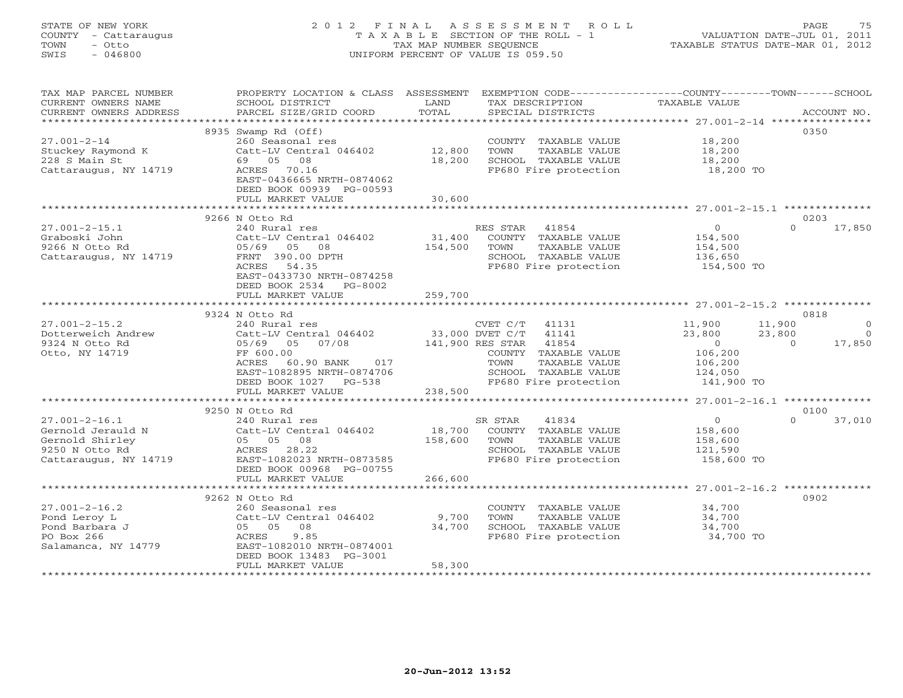### STATE OF NEW YORK 2 0 1 2 F I N A L A S S E S S M E N T R O L L PAGE 75 COUNTY - Cattaraugus T A X A B L E SECTION OF THE ROLL - 1 VALUATION DATE-JUL 01, 2011 TOWN - Otto TAX MAP NUMBER SEQUENCE TAXABLE STATUS DATE-MAR 01, 2012 SWIS - 046800 UNIFORM PERCENT OF VALUE IS 059.50UNIFORM PERCENT OF VALUE IS 059.50

| TAX MAP PARCEL NUMBER<br>CURRENT OWNERS NAME<br>CURRENT OWNERS ADDRESS | PROPERTY LOCATION & CLASS ASSESSMENT<br>SCHOOL DISTRICT<br>PARCEL SIZE/GRID COORD | LAND<br>TOTAL | EXEMPTION CODE-----------------COUNTY-------TOWN------SCHOOL<br>TAX DESCRIPTION<br>SPECIAL DISTRICTS | TAXABLE VALUE      | ACCOUNT NO.                |
|------------------------------------------------------------------------|-----------------------------------------------------------------------------------|---------------|------------------------------------------------------------------------------------------------------|--------------------|----------------------------|
| ***********************                                                |                                                                                   |               |                                                                                                      |                    |                            |
|                                                                        | 8935 Swamp Rd (Off)                                                               |               |                                                                                                      |                    | 0350                       |
| $27.001 - 2 - 14$                                                      | 260 Seasonal res                                                                  |               | COUNTY TAXABLE VALUE                                                                                 | 18,200             |                            |
| Stuckey Raymond K                                                      | Catt-LV Central 046402                                                            | 12,800        | TOWN<br>TAXABLE VALUE                                                                                | 18,200             |                            |
| 228 S Main St                                                          | 08<br>69 05                                                                       | 18,200        | SCHOOL TAXABLE VALUE                                                                                 | 18,200             |                            |
| Cattaraugus, NY 14719                                                  | ACRES 70.16                                                                       |               | FP680 Fire protection                                                                                | 18,200 TO          |                            |
|                                                                        | EAST-0436665 NRTH-0874062                                                         |               |                                                                                                      |                    |                            |
|                                                                        | DEED BOOK 00939 PG-00593                                                          |               |                                                                                                      |                    |                            |
|                                                                        | FULL MARKET VALUE                                                                 | 30,600        |                                                                                                      |                    |                            |
|                                                                        |                                                                                   |               |                                                                                                      |                    |                            |
| $27.001 - 2 - 15.1$                                                    | 9266 N Otto Rd<br>240 Rural res                                                   |               | RES STAR 41854                                                                                       | $\circ$            | 0203<br>$\Omega$<br>17,850 |
| Graboski John                                                          | Catt-LV Central 046402                                                            | 31,400        | COUNTY TAXABLE VALUE                                                                                 | 154,500            |                            |
| 9266 N Otto Rd                                                         | 05/69<br>05<br>08                                                                 | 154,500       | TOWN<br>TAXABLE VALUE                                                                                | 154,500            |                            |
| Cattaraugus, NY 14719                                                  | FRNT 390.00 DPTH                                                                  |               | SCHOOL TAXABLE VALUE                                                                                 | 136,650            |                            |
|                                                                        | ACRES<br>54.35                                                                    |               | FP680 Fire protection                                                                                | 154,500 TO         |                            |
|                                                                        | EAST-0433730 NRTH-0874258                                                         |               |                                                                                                      |                    |                            |
|                                                                        | DEED BOOK 2534<br>PG-8002                                                         |               |                                                                                                      |                    |                            |
|                                                                        | FULL MARKET VALUE                                                                 | 259,700       |                                                                                                      |                    |                            |
|                                                                        |                                                                                   | ************* |                                                                                                      |                    |                            |
|                                                                        | 9324 N Otto Rd                                                                    |               |                                                                                                      |                    | 0818                       |
| $27.001 - 2 - 15.2$                                                    | 240 Rural res                                                                     |               | CVET C/T<br>41131                                                                                    | 11,900             | 11,900<br>$\circ$          |
| Dotterweich Andrew                                                     | Catt-LV Central 046402                                                            |               | 33,000 DVET C/T<br>41141                                                                             | 23,800             | 23,800<br>$\Omega$         |
| 9324 N Otto Rd                                                         | 05/69 05 07/08                                                                    |               | 141,900 RES STAR<br>41854                                                                            | $\Omega$           | 17,850<br>$\Omega$         |
| Otto, NY 14719                                                         | FF 600.00                                                                         |               | COUNTY TAXABLE VALUE                                                                                 | 106,200            |                            |
|                                                                        | ACRES<br>60.90 BANK<br>017<br>EAST-1082895 NRTH-0874706                           |               | TOWN<br>TAXABLE VALUE<br>SCHOOL TAXABLE VALUE                                                        | 106,200<br>124,050 |                            |
|                                                                        | DEED BOOK 1027 PG-538                                                             |               | FP680 Fire protection                                                                                | 141,900 TO         |                            |
|                                                                        | FULL MARKET VALUE                                                                 | 238,500       |                                                                                                      |                    |                            |
|                                                                        | ****************************                                                      |               |                                                                                                      |                    |                            |
|                                                                        | 9250 N Otto Rd                                                                    |               |                                                                                                      |                    | 0100                       |
| $27.001 - 2 - 16.1$                                                    | 240 Rural res                                                                     |               | 41834<br>SR STAR                                                                                     | $\circ$            | $\Omega$<br>37,010         |
| Gernold Jerauld N                                                      | Catt-LV Central 046402                                                            | 18,700        | COUNTY TAXABLE VALUE                                                                                 | 158,600            |                            |
| Gernold Shirley                                                        | 05 05 08                                                                          | 158,600       | TAXABLE VALUE<br>TOWN                                                                                | 158,600            |                            |
| 9250 N Otto Rd                                                         | ACRES 28.22                                                                       |               | SCHOOL TAXABLE VALUE                                                                                 | 121,590            |                            |
| Cattaraugus, NY 14719                                                  | EAST-1082023 NRTH-0873585                                                         |               | FP680 Fire protection                                                                                | 158,600 TO         |                            |
|                                                                        | DEED BOOK 00968 PG-00755                                                          |               |                                                                                                      |                    |                            |
| **********************                                                 | FULL MARKET VALUE                                                                 | 266,600       |                                                                                                      |                    |                            |
|                                                                        | 9262 N Otto Rd                                                                    |               |                                                                                                      |                    | 0902                       |
| $27.001 - 2 - 16.2$                                                    | 260 Seasonal res                                                                  |               | COUNTY TAXABLE VALUE                                                                                 | 34,700             |                            |
| Pond Leroy L                                                           | Catt-LV Central 046402                                                            | 9,700         | TOWN<br>TAXABLE VALUE                                                                                | 34,700             |                            |
| Pond Barbara J                                                         | 05 05<br>08                                                                       | 34,700        | SCHOOL TAXABLE VALUE                                                                                 | 34,700             |                            |
| PO Box 266                                                             | ACRES<br>9.85                                                                     |               | FP680 Fire protection                                                                                | 34,700 TO          |                            |
| Salamanca, NY 14779                                                    | EAST-1082010 NRTH-0874001                                                         |               |                                                                                                      |                    |                            |
|                                                                        | DEED BOOK 13483 PG-3001                                                           |               |                                                                                                      |                    |                            |
|                                                                        | FULL MARKET VALUE                                                                 | 58,300        |                                                                                                      |                    |                            |
|                                                                        |                                                                                   |               |                                                                                                      |                    |                            |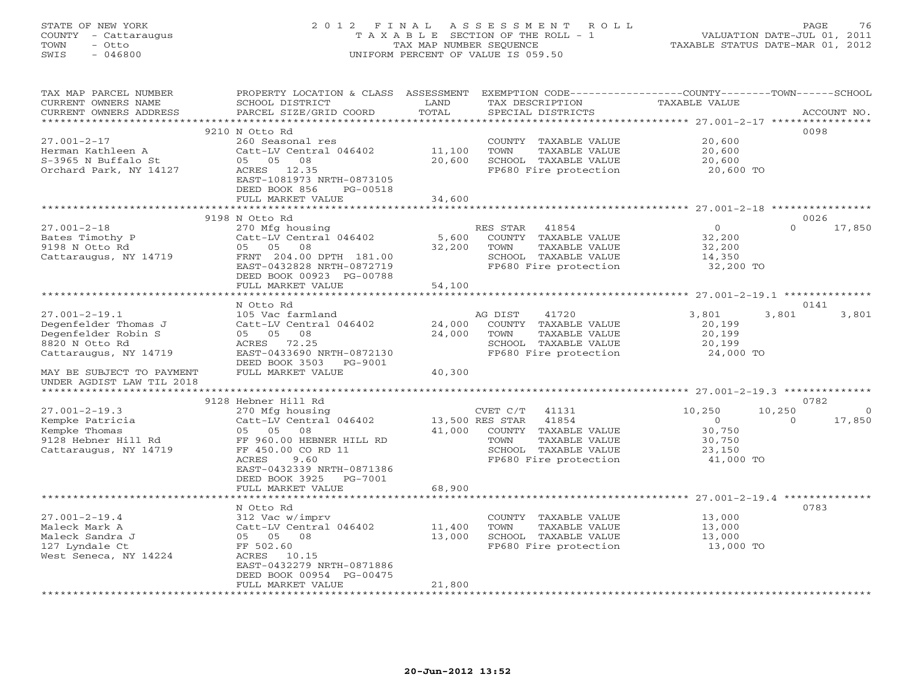### STATE OF NEW YORK 2 0 1 2 F I N A L A S S E S S M E N T R O L L PAGE 76 COUNTY - Cattaraugus T A X A B L E SECTION OF THE ROLL - 1 VALUATION DATE-JUL 01, 2011 TOWN - Otto TAX MAP NUMBER SEQUENCE TAXABLE STATUS DATE-MAR 01, 2012 SWIS - 046800 UNIFORM PERCENT OF VALUE IS 059.50UNIFORM PERCENT OF VALUE IS 059.50

| TAX MAP PARCEL NUMBER<br>CURRENT OWNERS NAME<br>CURRENT OWNERS ADDRESS                                        | PROPERTY LOCATION & CLASS ASSESSMENT<br>SCHOOL DISTRICT<br>PARCEL SIZE/GRID COORD                                                                                                     | LAND<br>TOTAL             | EXEMPTION CODE----------------COUNTY-------TOWN------SCHOOL<br>TAX DESCRIPTION<br>SPECIAL DISTRICTS                                             | <b>TAXABLE VALUE</b>                                          |                    | ACCOUNT NO.              |
|---------------------------------------------------------------------------------------------------------------|---------------------------------------------------------------------------------------------------------------------------------------------------------------------------------------|---------------------------|-------------------------------------------------------------------------------------------------------------------------------------------------|---------------------------------------------------------------|--------------------|--------------------------|
| *********************                                                                                         |                                                                                                                                                                                       |                           |                                                                                                                                                 |                                                               |                    |                          |
| $27.001 - 2 - 17$<br>Herman Kathleen A<br>S-3965 N Buffalo St<br>Orchard Park, NY 14127                       | 9210 N Otto Rd<br>260 Seasonal res<br>Catt-LV Central 046402<br>05 05<br>08<br>ACRES 12.35<br>EAST-1081973 NRTH-0873105<br>DEED BOOK 856<br>PG-00518                                  | 11,100<br>20,600          | COUNTY TAXABLE VALUE<br>TOWN<br>TAXABLE VALUE<br>SCHOOL TAXABLE VALUE<br>FP680 Fire protection                                                  | 20,600<br>20,600<br>20,600<br>20,600 TO                       |                    | 0098                     |
|                                                                                                               | FULL MARKET VALUE                                                                                                                                                                     | 34,600                    |                                                                                                                                                 |                                                               |                    |                          |
|                                                                                                               |                                                                                                                                                                                       |                           |                                                                                                                                                 |                                                               |                    |                          |
|                                                                                                               | 9198 N Otto Rd                                                                                                                                                                        |                           |                                                                                                                                                 |                                                               |                    | 0026                     |
| $27.001 - 2 - 18$<br>Bates Timothy P<br>9198 N Otto Rd<br>Cattaraugus, NY 14719                               | 270 Mfg housing<br>Catt-LV Central 046402<br>05 05 08<br>FRNT 204.00 DPTH 181.00<br>EAST-0432828 NRTH-0872719<br>DEED BOOK 00923 PG-00788<br>FULL MARKET VALUE                        | 5,600<br>32,200<br>54,100 | RES STAR<br>41854<br>COUNTY TAXABLE VALUE<br>TOWN<br>TAXABLE VALUE<br>SCHOOL TAXABLE VALUE<br>FP680 Fire protection                             | $\Omega$<br>32,200<br>32,200<br>14,350<br>32,200 TO           | $\Omega$           | 17,850                   |
|                                                                                                               |                                                                                                                                                                                       |                           |                                                                                                                                                 |                                                               |                    |                          |
|                                                                                                               | N Otto Rd                                                                                                                                                                             |                           |                                                                                                                                                 |                                                               |                    | 0141                     |
| $27.001 - 2 - 19.1$<br>Degenfelder Thomas J<br>Degenfelder Robin S<br>8820 N Otto Rd<br>Cattaraugus, NY 14719 | 105 Vac farmland<br>Catt-LV Central 046402<br>05 05<br>08<br>ACRES<br>72.25<br>EAST-0433690 NRTH-0872130<br>DEED BOOK 3503 PG-9001                                                    | 24,000<br>24,000          | 41720<br>AG DIST<br>COUNTY TAXABLE VALUE<br>TOWN<br>TAXABLE VALUE<br>SCHOOL TAXABLE VALUE<br>FP680 Fire protection                              | 3,801<br>20,199<br>20,199<br>20,199<br>24,000 TO              | 3,801              | 3,801                    |
| MAY BE SUBJECT TO PAYMENT<br>UNDER AGDIST LAW TIL 2018                                                        | FULL MARKET VALUE                                                                                                                                                                     | 40,300                    |                                                                                                                                                 |                                                               |                    |                          |
|                                                                                                               | 9128 Hebner Hill Rd                                                                                                                                                                   |                           |                                                                                                                                                 |                                                               |                    | 0782                     |
| $27.001 - 2 - 19.3$<br>Kempke Patricia<br>Kempke Thomas<br>9128 Hebner Hill Rd<br>Cattaraugus, NY 14719       | 270 Mfg housing<br>Catt-LV Central 046402<br>05 05<br>08<br>FF 960.00 HEBNER HILL RD<br>FF 450.00 CO RD 11<br>ACRES<br>9.60<br>EAST-0432339 NRTH-0871386<br>DEED BOOK 3925<br>PG-7001 | 41,000                    | CVET C/T<br>41131<br>13,500 RES STAR<br>41854<br>COUNTY TAXABLE VALUE<br>TOWN<br>TAXABLE VALUE<br>SCHOOL TAXABLE VALUE<br>FP680 Fire protection | 10,250<br>$\Omega$<br>30,750<br>30,750<br>23,150<br>41,000 TO | 10,250<br>$\Omega$ | $\overline{0}$<br>17,850 |
|                                                                                                               | FULL MARKET VALUE                                                                                                                                                                     | 68,900                    |                                                                                                                                                 |                                                               |                    |                          |
| $27.001 - 2 - 19.4$<br>Maleck Mark A<br>Maleck Sandra J                                                       | ********************<br>N Otto Rd<br>312 Vac w/imprv<br>Catt-LV Central 046402<br>05 05 08                                                                                            | 11,400<br>13,000          | COUNTY TAXABLE VALUE<br>TOWN<br>TAXABLE VALUE<br>SCHOOL TAXABLE VALUE                                                                           | 13,000<br>13,000<br>13,000                                    |                    | 0783                     |
| 127 Lyndale Ct<br>West Seneca, NY 14224                                                                       | FF 502.60<br>ACRES 10.15<br>EAST-0432279 NRTH-0871886<br>DEED BOOK 00954 PG-00475<br>FULL MARKET VALUE                                                                                | 21,800                    | FP680 Fire protection                                                                                                                           | 13,000 TO                                                     |                    |                          |
|                                                                                                               |                                                                                                                                                                                       |                           |                                                                                                                                                 |                                                               |                    |                          |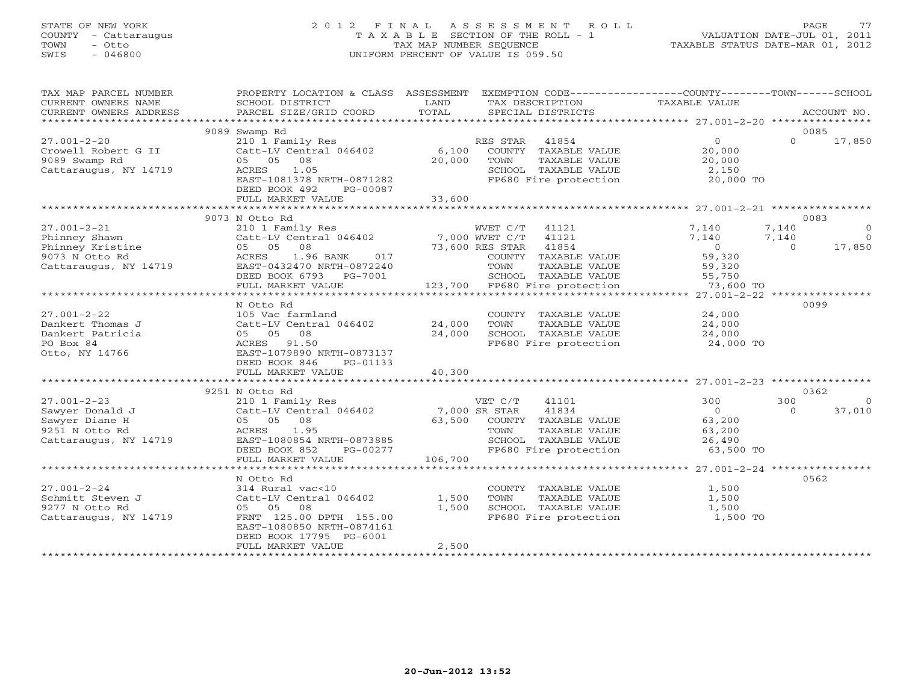### STATE OF NEW YORK 2 0 1 2 F I N A L A S S E S S M E N T R O L L PAGE 77 COUNTY - Cattaraugus T A X A B L E SECTION OF THE ROLL - 1 VALUATION DATE-JUL 01, 2011 TOWN - Otto TAX MAP NUMBER SEQUENCE TAXABLE STATUS DATE-MAR 01, 2012 SWIS - 046800 UNIFORM PERCENT OF VALUE IS 059.50UNIFORM PERCENT OF VALUE IS 059.50

| TAX MAP PARCEL NUMBER<br>CURRENT OWNERS NAME<br>CURRENT OWNERS ADDRESS | PROPERTY LOCATION & CLASS ASSESSMENT<br>SCHOOL DISTRICT<br>PARCEL SIZE/GRID COORD                                | LAND<br>TOTAL   | TAX DESCRIPTION<br>SPECIAL DISTRICTS                                                           | EXEMPTION CODE-----------------COUNTY-------TOWN------SCHOOL<br>TAXABLE VALUE | ACCOUNT NO.                |
|------------------------------------------------------------------------|------------------------------------------------------------------------------------------------------------------|-----------------|------------------------------------------------------------------------------------------------|-------------------------------------------------------------------------------|----------------------------|
|                                                                        |                                                                                                                  |                 |                                                                                                |                                                                               |                            |
| $27.001 - 2 - 20$                                                      | 9089 Swamp Rd<br>210 1 Family Res                                                                                |                 | RES STAR<br>41854                                                                              | $\Omega$                                                                      | 0085<br>$\Omega$<br>17,850 |
| Crowell Robert G II<br>9089 Swamp Rd<br>Cattaraugus, NY 14719          | Catt-LV Central 046402<br>08<br>05 05<br>1.05<br>ACRES<br>EAST-1081378 NRTH-0871282<br>DEED BOOK 492<br>PG-00087 | 6,100<br>20,000 | COUNTY TAXABLE VALUE<br>TOWN<br>TAXABLE VALUE<br>SCHOOL TAXABLE VALUE<br>FP680 Fire protection | 20,000<br>20,000<br>2,150<br>20,000 TO                                        |                            |
|                                                                        | FULL MARKET VALUE                                                                                                | 33,600          |                                                                                                |                                                                               |                            |
|                                                                        |                                                                                                                  |                 |                                                                                                |                                                                               |                            |
|                                                                        | 9073 N Otto Rd                                                                                                   |                 |                                                                                                |                                                                               | 0083                       |
| $27.001 - 2 - 21$                                                      | 210 1 Family Res                                                                                                 |                 | WVET C/T 41121                                                                                 | 7,140                                                                         | 7,140<br>$\overline{0}$    |
| Phinney Shawn                                                          | Catt-LV Central 046402                                                                                           |                 | 7,000 WVET C/T<br>41121                                                                        | 7,140                                                                         | 7,140<br>$\overline{0}$    |
| Phinney Kristine                                                       | 05 05 08                                                                                                         |                 | 73,600 RES STAR 41854                                                                          | $\circ$                                                                       | $\Omega$<br>17,850         |
| 9073 N Otto Rd                                                         | ACRES<br>1.96 BANK<br>017                                                                                        |                 | COUNTY TAXABLE VALUE                                                                           | 59,320                                                                        |                            |
| Cattaraugus, NY 14719                                                  | EAST-0432470 NRTH-0872240                                                                                        |                 | TOWN<br>TAXABLE VALUE                                                                          | 59,320                                                                        |                            |
|                                                                        | DEED BOOK 6793 PG-7001                                                                                           |                 | SCHOOL TAXABLE VALUE                                                                           | 55,750                                                                        |                            |
|                                                                        | FULL MARKET VALUE                                                                                                |                 | 123,700 FP680 Fire protection                                                                  | 73,600 TO                                                                     |                            |
|                                                                        |                                                                                                                  |                 |                                                                                                |                                                                               |                            |
|                                                                        | N Otto Rd                                                                                                        |                 |                                                                                                |                                                                               | 0099                       |
| $27.001 - 2 - 22$                                                      | 105 Vac farmland                                                                                                 |                 | COUNTY TAXABLE VALUE                                                                           | 24,000                                                                        |                            |
| Dankert Thomas J                                                       | Catt-LV Central 046402                                                                                           | 24,000          | TOWN<br>TAXABLE VALUE                                                                          | 24,000                                                                        |                            |
| Dankert Patricia                                                       | 05 05<br>08                                                                                                      | 24,000          | SCHOOL TAXABLE VALUE                                                                           | 24,000                                                                        |                            |
| PO Box 84                                                              | ACRES 91.50                                                                                                      |                 | FP680 Fire protection                                                                          | 24,000 TO                                                                     |                            |
| Otto, NY 14766                                                         | EAST-1079890 NRTH-0873137                                                                                        |                 |                                                                                                |                                                                               |                            |
|                                                                        | DEED BOOK 846<br>PG-01133                                                                                        |                 |                                                                                                |                                                                               |                            |
|                                                                        | FULL MARKET VALUE                                                                                                | 40,300          |                                                                                                |                                                                               |                            |
|                                                                        | *************************                                                                                        |                 |                                                                                                |                                                                               |                            |
|                                                                        | 9251 N Otto Rd                                                                                                   |                 |                                                                                                |                                                                               | 0362                       |
| $27.001 - 2 - 23$                                                      | 210 1 Family Res                                                                                                 |                 | VET C/T<br>41101                                                                               | 300                                                                           | 300<br>$\Omega$            |
| Sawyer Donald J                                                        | Catt-LV Central 046402                                                                                           |                 | 7,000 SR STAR<br>41834                                                                         | $\Omega$                                                                      | 37,010<br>$\Omega$         |
| Sawyer Diane H                                                         | 05 05<br>08                                                                                                      | 63,500          | COUNTY TAXABLE VALUE                                                                           | 63,200                                                                        |                            |
| 9251 N Otto Rd                                                         | 1.95<br>ACRES                                                                                                    |                 | TOWN<br>TAXABLE VALUE                                                                          | 63,200                                                                        |                            |
| Cattaraugus, NY 14719                                                  | EAST-1080854 NRTH-0873885                                                                                        |                 | SCHOOL TAXABLE VALUE                                                                           | 26,490                                                                        |                            |
|                                                                        | DEED BOOK 852<br>PG-00277                                                                                        |                 | FP680 Fire protection                                                                          | 63,500 TO                                                                     |                            |
|                                                                        | FULL MARKET VALUE                                                                                                | 106,700         |                                                                                                |                                                                               |                            |
|                                                                        |                                                                                                                  |                 |                                                                                                |                                                                               |                            |
|                                                                        | N Otto Rd                                                                                                        |                 |                                                                                                |                                                                               | 0562                       |
| $27.001 - 2 - 24$                                                      | 314 Rural vac<10                                                                                                 |                 | COUNTY TAXABLE VALUE                                                                           | 1,500                                                                         |                            |
| Schmitt Steven J                                                       | Catt-LV Central 046402                                                                                           | 1,500           | TOWN<br>TAXABLE VALUE                                                                          | 1,500                                                                         |                            |
| 9277 N Otto Rd                                                         | 05 05<br>08                                                                                                      | 1,500           | SCHOOL TAXABLE VALUE                                                                           | 1,500                                                                         |                            |
| Cattaraugus, NY 14719                                                  | FRNT 125.00 DPTH 155.00                                                                                          |                 | FP680 Fire protection                                                                          | 1,500 TO                                                                      |                            |
|                                                                        | EAST-1080850 NRTH-0874161                                                                                        |                 |                                                                                                |                                                                               |                            |
|                                                                        | DEED BOOK 17795 PG-6001                                                                                          |                 |                                                                                                |                                                                               |                            |
|                                                                        | FULL MARKET VALUE                                                                                                | 2,500           |                                                                                                |                                                                               |                            |
|                                                                        |                                                                                                                  |                 |                                                                                                |                                                                               |                            |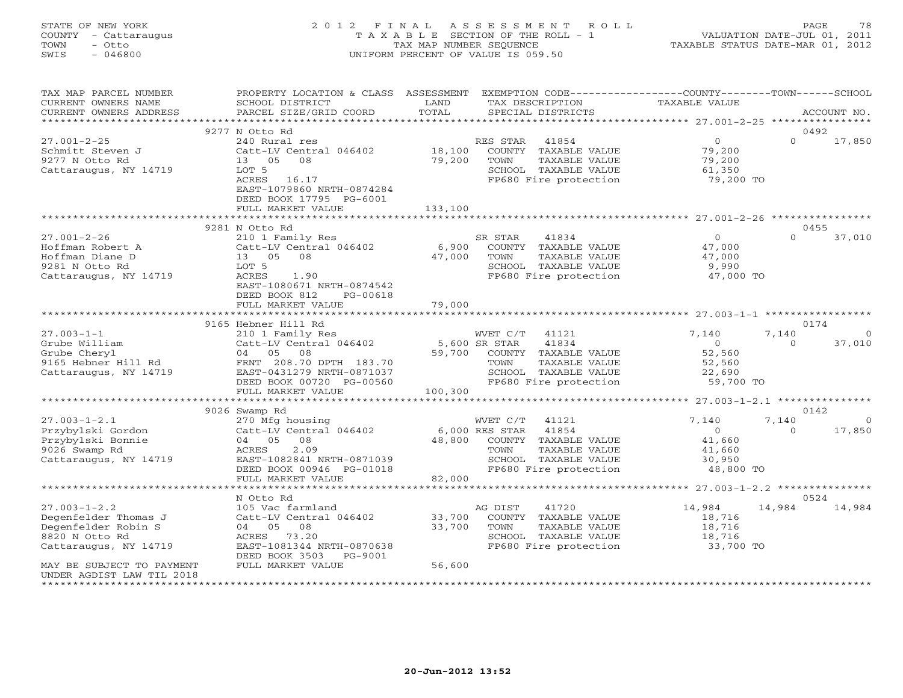### STATE OF NEW YORK 2 0 1 2 F I N A L A S S E S S M E N T R O L L PAGE 78 COUNTY - Cattaraugus T A X A B L E SECTION OF THE ROLL - 1 VALUATION DATE-JUL 01, 2011 TOWN - Otto TAX MAP NUMBER SEQUENCE TAXABLE STATUS DATE-MAR 01, 2012 SWIS - 046800 UNIFORM PERCENT OF VALUE IS 059.50UNIFORM PERCENT OF VALUE IS 059.50

| TAX MAP PARCEL NUMBER<br>CURRENT OWNERS NAME<br>CURRENT OWNERS ADDRESS                                       | PROPERTY LOCATION & CLASS ASSESSMENT<br>SCHOOL DISTRICT<br>PARCEL SIZE/GRID COORD                                                                                          | LAND<br>TOTAL               | EXEMPTION CODE-----------------COUNTY-------TOWN------SCHOOL<br>TAX DESCRIPTION<br>SPECIAL DISTRICTS                                           | TAXABLE VALUE                                                      | ACCOUNT NO.                             |
|--------------------------------------------------------------------------------------------------------------|----------------------------------------------------------------------------------------------------------------------------------------------------------------------------|-----------------------------|------------------------------------------------------------------------------------------------------------------------------------------------|--------------------------------------------------------------------|-----------------------------------------|
|                                                                                                              |                                                                                                                                                                            |                             |                                                                                                                                                |                                                                    |                                         |
| $27.001 - 2 - 25$<br>Schmitt Steven J<br>9277 N Otto Rd<br>Cattaraugus, NY 14719                             | 9277 N Otto Rd<br>240 Rural res<br>Catt-LV Central 046402<br>13 05 08<br>LOT 5<br>ACRES 16.17<br>EAST-1079860 NRTH-0874284<br>DEED BOOK 17795 PG-6001<br>FULL MARKET VALUE | 18,100<br>79,200<br>133,100 | RES STAR<br>41854<br>COUNTY TAXABLE VALUE<br>TAXABLE VALUE<br>TOWN<br>SCHOOL TAXABLE VALUE<br>FP680 Fire protection                            | $\overline{0}$<br>79,200<br>79,200<br>61,350<br>79,200 TO          | 0492<br>$\Omega$<br>17,850              |
|                                                                                                              |                                                                                                                                                                            |                             |                                                                                                                                                |                                                                    |                                         |
|                                                                                                              | 9281 N Otto Rd                                                                                                                                                             |                             |                                                                                                                                                |                                                                    | 0455                                    |
| $27.001 - 2 - 26$<br>Hoffman Robert A<br>Hoffman Diane D<br>9281 N Otto Rd<br>Cattaraugus, NY 14719          | 210 1 Family Res<br>Catt-LV Central 046402<br>13 05 08<br>LOT 5<br>ACRES<br>1.90<br>EAST-1080671 NRTH-0874542<br>DEED BOOK 812<br>PG-00618                                 | 6,900<br>47,000             | SR STAR<br>41834<br>COUNTY TAXABLE VALUE<br>TOWN<br>TAXABLE VALUE<br>SCHOOL TAXABLE VALUE<br>FP680 Fire protection                             | $\overline{0}$<br>47,000<br>47,000<br>9,990<br>47,000 TO           | $\Omega$<br>37,010                      |
|                                                                                                              | FULL MARKET VALUE                                                                                                                                                          | 79,000                      |                                                                                                                                                |                                                                    |                                         |
|                                                                                                              |                                                                                                                                                                            |                             |                                                                                                                                                |                                                                    |                                         |
|                                                                                                              | 9165 Hebner Hill Rd                                                                                                                                                        |                             |                                                                                                                                                |                                                                    | 0174                                    |
| $27.003 - 1 - 1$<br>Grube William<br>Grube Cheryl<br>9165 Hebner Hill Rd<br>Cattaraugus, NY 14719            | 210 1 Family Res<br>Catt-LV Central 046402<br>04 05 08<br>FRNT 208.70 DPTH 183.70<br>EAST-0431279 NRTH-0871037<br>DEED BOOK 00720 PG-00560                                 | 5,600 SR STAR               | WVET C/T<br>41121<br>41834<br>59,700 COUNTY TAXABLE VALUE<br>TOWN<br>TAXABLE VALUE<br>SCHOOL TAXABLE VALUE<br>FP680 Fire protection            | 7,140<br>$\Omega$<br>52,560<br>52,560<br>22,690<br>59,700 TO       | 7,140<br>$\Omega$<br>$\Omega$<br>37,010 |
|                                                                                                              | FULL MARKET VALUE                                                                                                                                                          | 100,300                     |                                                                                                                                                |                                                                    |                                         |
|                                                                                                              |                                                                                                                                                                            |                             |                                                                                                                                                |                                                                    |                                         |
|                                                                                                              | 9026 Swamp Rd                                                                                                                                                              |                             |                                                                                                                                                |                                                                    | 0142                                    |
| $27.003 - 1 - 2.1$<br>Przybylski Gordon<br>Przybylski Bonnie<br>9026 Swamp Rd<br>Cattaraugus, NY 14719       | 270 Mfg housing<br>Catt-LV Central 046402<br>04 05 08<br>2.09<br>ACRES<br>EAST-1082841 NRTH-0871039<br>DEED BOOK 00946 PG-01018                                            | 48,800                      | WVET C/T<br>41121<br>6,000 RES STAR<br>41854<br>COUNTY TAXABLE VALUE<br>TOWN<br>TAXABLE VALUE<br>SCHOOL TAXABLE VALUE<br>FP680 Fire protection | 7,140<br>$\overline{0}$<br>41,660<br>41,660<br>30,950<br>48,800 TO | 7,140<br>$\circ$<br>$\Omega$<br>17,850  |
|                                                                                                              | FULL MARKET VALUE<br>******************                                                                                                                                    | 82,000                      |                                                                                                                                                |                                                                    |                                         |
|                                                                                                              | N Otto Rd                                                                                                                                                                  |                             |                                                                                                                                                |                                                                    | 0524                                    |
| $27.003 - 1 - 2.2$<br>Degenfelder Thomas J<br>Degenfelder Robin S<br>8820 N Otto Rd<br>Cattaraugus, NY 14719 | 105 Vac farmland<br>Catt-LV Central 046402<br>04 05 08<br>73.20<br>ACRES<br>EAST-1081344 NRTH-0870638<br>DEED BOOK 3503 PG-9001                                            | 33,700<br>33,700            | AG DIST<br>41720<br>COUNTY TAXABLE VALUE<br>TOWN<br>TAXABLE VALUE<br>SCHOOL TAXABLE VALUE<br>FP680 Fire protection                             | 14,984<br>18,716<br>18,716<br>18,716<br>33,700 TO                  | 14,984<br>14,984                        |
| MAY BE SUBJECT TO PAYMENT<br>UNDER AGDIST LAW TIL 2018                                                       | FULL MARKET VALUE                                                                                                                                                          | 56,600                      |                                                                                                                                                |                                                                    |                                         |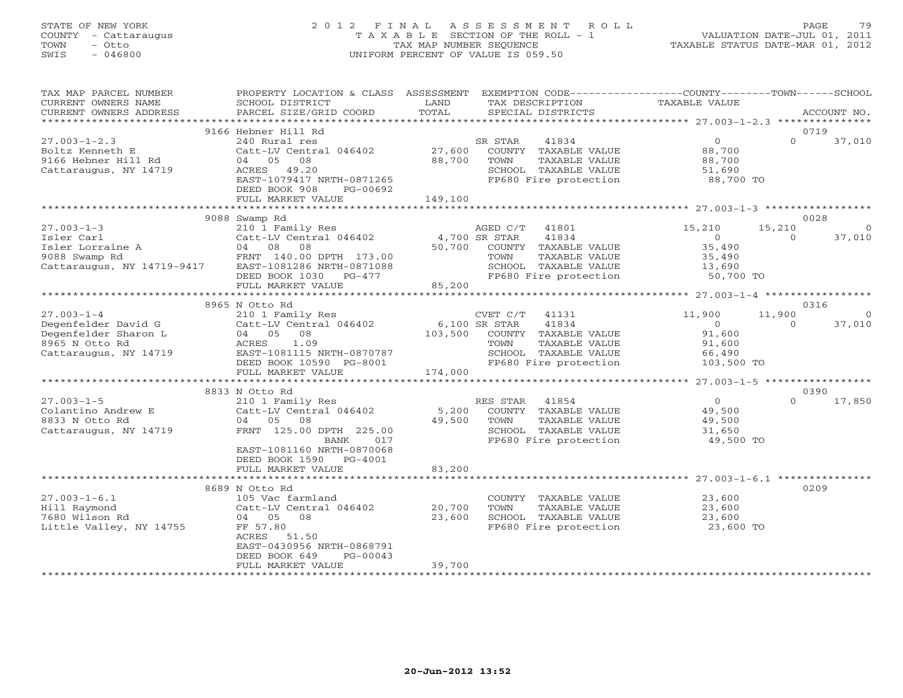#### STATE OF NEW YORK 2 0 1 2 F I N A L A S S E S S M E N T R O L L PAGE 79 COUNTY - Cattaraugus T A X A B L E SECTION OF THE ROLL - 1 VALUATION DATE-JUL 01, 2011 TOWN - Otto TAX MAP NUMBER SEQUENCE TAXABLE STATUS DATE-MAR 01, 2012 SWIS - 046800 UNIFORM PERCENT OF VALUE IS 059.50UNIFORM PERCENT OF VALUE IS 059.50

| TAX MAP PARCEL NUMBER<br>CURRENT OWNERS NAME<br>CURRENT OWNERS ADDRESS                                     | PROPERTY LOCATION & CLASS ASSESSMENT<br>SCHOOL DISTRICT<br>PARCEL SIZE/GRID COORD                                                                                      | LAND<br>TOTAL            | EXEMPTION CODE-----------------COUNTY-------TOWN------SCHOOL<br>TAX DESCRIPTION<br>SPECIAL DISTRICTS                      | TAXABLE VALUE                                                         |                    | ACCOUNT NO.               |
|------------------------------------------------------------------------------------------------------------|------------------------------------------------------------------------------------------------------------------------------------------------------------------------|--------------------------|---------------------------------------------------------------------------------------------------------------------------|-----------------------------------------------------------------------|--------------------|---------------------------|
|                                                                                                            |                                                                                                                                                                        |                          |                                                                                                                           |                                                                       |                    |                           |
|                                                                                                            | 9166 Hebner Hill Rd                                                                                                                                                    |                          |                                                                                                                           |                                                                       |                    | 0719                      |
| $27.003 - 1 - 2.3$<br>Boltz Kenneth E<br>9166 Hebner Hill Rd<br>Cattaraugus, NY 14719                      | 240 Rural res<br>Catt-LV Central 046402<br>04 05<br>08<br>ACRES 49.20<br>EAST-1079417 NRTH-0871265<br>DEED BOOK 908<br>PG-00692                                        | 27,600<br>88,700         | SR STAR<br>41834<br>COUNTY TAXABLE VALUE<br>TAXABLE VALUE<br>TOWN<br>SCHOOL TAXABLE VALUE<br>FP680 Fire protection        | $\overline{0}$<br>88,700<br>88,700<br>51,690<br>88,700 TO             | $\Omega$           | 37,010                    |
|                                                                                                            | FULL MARKET VALUE                                                                                                                                                      | 149,100                  |                                                                                                                           |                                                                       |                    |                           |
|                                                                                                            |                                                                                                                                                                        |                          |                                                                                                                           |                                                                       |                    |                           |
| $27.003 - 1 - 3$<br>Isler Carl<br>Isler Lorraine A<br>9088 Swamp Rd<br>Cattaraugus, NY 14719-9417          | 9088 Swamp Rd<br>210 1 Family Res<br>Catt-LV Central 046402 4,700 SR STAR<br>04 08 08<br>FRNT 140.00 DPTH 173.00<br>EAST-1081286 NRTH-0871088<br>DEED BOOK 1030 PG-477 | 50,700                   | AGED C/T 41801<br>41834<br>COUNTY TAXABLE VALUE<br>TOWN<br>TAXABLE VALUE<br>SCHOOL TAXABLE VALUE<br>FP680 Fire protection | 15,210<br>$\overline{0}$<br>35,490<br>35,490<br>13,690<br>$50,700$ TO | 15,210<br>$\Omega$ | 0028<br>$\circ$<br>37,010 |
|                                                                                                            | FULL MARKET VALUE                                                                                                                                                      | 85,200                   |                                                                                                                           |                                                                       |                    |                           |
|                                                                                                            | 8965 N Otto Rd                                                                                                                                                         |                          |                                                                                                                           |                                                                       |                    | 0316                      |
| $27.003 - 1 - 4$<br>Degenfelder David G<br>Degenfelder Sharon L<br>8965 N Otto Rd<br>Cattaraugus, NY 14719 | 210 1 Family Res<br>Catt-LV Central 046402<br>04 05<br>08<br>ACRES<br>1.09<br>EAST-1081115 NRTH-0870787                                                                | 6,100 SR STAR<br>103,500 | CVET C/T<br>41131<br>41834<br>COUNTY TAXABLE VALUE<br>TOWN<br>TAXABLE VALUE<br>SCHOOL TAXABLE VALUE                       | 11,900<br>$\overline{0}$<br>91,600<br>91,600<br>66,490                | 11,900<br>$\Omega$ | $\Omega$<br>37,010        |
|                                                                                                            | DEED BOOK 10590 PG-8001<br>FULL MARKET VALUE                                                                                                                           | 174,000                  | FP680 Fire protection                                                                                                     | 103,500 TO                                                            |                    |                           |
|                                                                                                            |                                                                                                                                                                        |                          |                                                                                                                           |                                                                       |                    |                           |
| $27.003 - 1 - 5$<br>Colantino Andrew E<br>8833 N Otto Rd<br>Cattaraugus, NY 14719                          | 8833 N Otto Rd<br>210 1 Family Res<br>Catt-LV Central 046402<br>04 05 08<br>FRNT 125.00 DPTH 225.00<br>BANK<br>017<br>EAST-1081160 NRTH-0870068                        | 5,200<br>49,500          | RES STAR<br>41854<br>COUNTY TAXABLE VALUE<br>TOWN<br>TAXABLE VALUE<br>SCHOOL TAXABLE VALUE<br>FP680 Fire protection       | $\overline{0}$<br>49,500<br>49,500<br>31,650<br>49,500 TO             | $\Omega$           | 0390<br>17,850            |
|                                                                                                            | DEED BOOK 1590 PG-4001<br>FULL MARKET VALUE                                                                                                                            | 83,200                   |                                                                                                                           |                                                                       |                    |                           |
|                                                                                                            |                                                                                                                                                                        |                          |                                                                                                                           |                                                                       |                    |                           |
| $27.003 - 1 - 6.1$<br>Hill Raymond<br>7680 Wilson Rd<br>Little Valley, NY 14755                            | 8689 N Otto Rd<br>105 Vac farmland<br>Catt-LV Central 046402<br>04 05 08<br>FF 57.80<br>ACRES 51.50<br>EAST-0430956 NRTH-0868791<br>$PG-00043$<br>DEED BOOK 649        | 20,700<br>23,600         | COUNTY TAXABLE VALUE<br>TOWN<br>TAXABLE VALUE<br>SCHOOL TAXABLE VALUE<br>FP680 Fire protection                            | 23,600<br>23,600<br>23,600<br>23,600 TO                               |                    | 0209                      |
|                                                                                                            | FULL MARKET VALUE                                                                                                                                                      | 39,700                   |                                                                                                                           |                                                                       |                    |                           |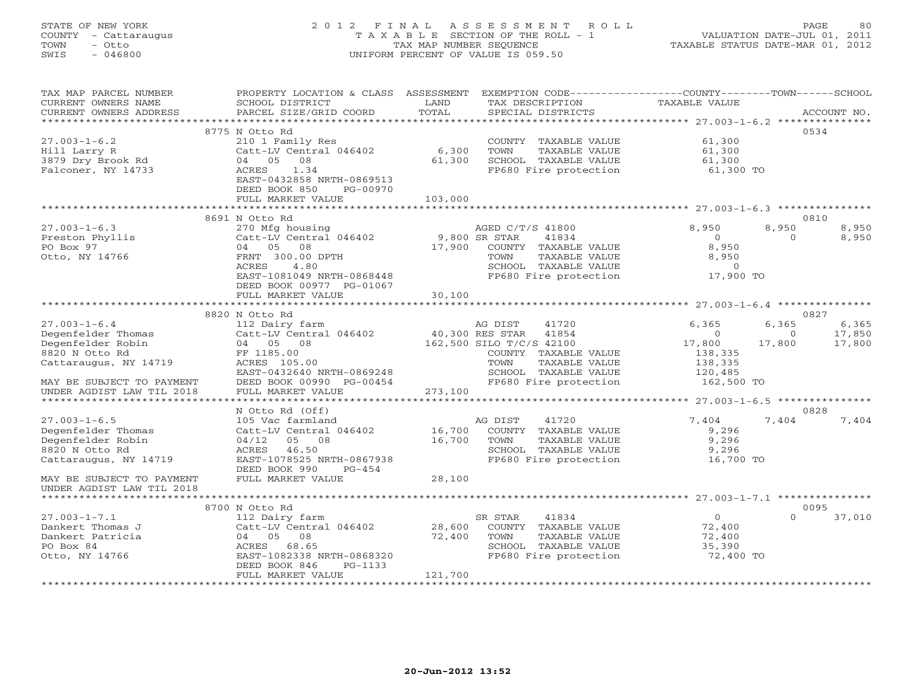### STATE OF NEW YORK 2 0 1 2 F I N A L A S S E S S M E N T R O L L PAGE 80 COUNTY - Cattaraugus T A X A B L E SECTION OF THE ROLL - 1 VALUATION DATE-JUL 01, 2011 TOWN - Otto TAX MAP NUMBER SEQUENCE TAXABLE STATUS DATE-MAR 01, 2012 SWIS - 046800 UNIFORM PERCENT OF VALUE IS 059.50UNIFORM PERCENT OF VALUE IS 059.50

| TAX MAP PARCEL NUMBER<br>CURRENT OWNERS NAME      | PROPERTY LOCATION & CLASS ASSESSMENT<br>SCHOOL DISTRICT | LAND                            | EXEMPTION CODE-----------------COUNTY-------TOWN------SCHOOL<br>TAX DESCRIPTION | TAXABLE VALUE                                |          |             |
|---------------------------------------------------|---------------------------------------------------------|---------------------------------|---------------------------------------------------------------------------------|----------------------------------------------|----------|-------------|
| CURRENT OWNERS ADDRESS<br>*********************** | PARCEL SIZE/GRID COORD                                  | TOTAL                           | SPECIAL DISTRICTS                                                               |                                              |          | ACCOUNT NO. |
|                                                   | 8775 N Otto Rd                                          |                                 |                                                                                 |                                              | 0534     |             |
| $27.003 - 1 - 6.2$                                | 210 1 Family Res                                        |                                 | COUNTY TAXABLE VALUE                                                            | 61,300                                       |          |             |
| Hill Larry R                                      | Catt-LV Central 046402                                  | 6,300                           | TOWN<br>TAXABLE VALUE                                                           | 61,300                                       |          |             |
| 3879 Dry Brook Rd                                 | 08<br>04<br>05                                          | 61,300                          | SCHOOL TAXABLE VALUE                                                            | 61,300                                       |          |             |
| Falconer, NY 14733                                | 1.34<br>ACRES                                           |                                 | FP680 Fire protection                                                           | 61,300 TO                                    |          |             |
|                                                   | EAST-0432858 NRTH-0869513                               |                                 |                                                                                 |                                              |          |             |
|                                                   | DEED BOOK 850<br>PG-00970                               |                                 |                                                                                 |                                              |          |             |
|                                                   | FULL MARKET VALUE                                       | 103,000                         |                                                                                 |                                              |          |             |
|                                                   |                                                         |                                 |                                                                                 |                                              |          |             |
|                                                   | 8691 N Otto Rd                                          |                                 |                                                                                 |                                              | 0810     |             |
| $27.003 - 1 - 6.3$                                | 270 Mfg housing                                         |                                 | AGED C/T/S 41800                                                                | 8,950                                        | 8,950    | 8,950       |
| Preston Phyllis                                   | Catt-LV Central 046402                                  |                                 | 9,800 SR STAR<br>41834                                                          | $\Omega$                                     | $\Omega$ | 8,950       |
| PO Box 97                                         | 04 05<br>08                                             | 17,900                          | COUNTY TAXABLE VALUE                                                            | 8,950                                        |          |             |
| Otto, NY 14766                                    | FRNT 300.00 DPTH                                        |                                 | TOWN<br>TAXABLE VALUE                                                           | 8,950                                        |          |             |
|                                                   | ACRES<br>4.80                                           |                                 | SCHOOL TAXABLE VALUE                                                            | $\Omega$                                     |          |             |
|                                                   | EAST-1081049 NRTH-0868448                               |                                 | FP680 Fire protection                                                           | 17,900 TO                                    |          |             |
|                                                   | DEED BOOK 00977 PG-01067                                |                                 |                                                                                 |                                              |          |             |
|                                                   | FULL MARKET VALUE                                       | 30,100                          |                                                                                 |                                              |          |             |
|                                                   | *************************                               |                                 |                                                                                 |                                              |          |             |
|                                                   | 8820 N Otto Rd                                          |                                 |                                                                                 |                                              | 0827     |             |
| $27.003 - 1 - 6.4$                                | 112 Dairy farm                                          |                                 | AG DIST<br>41720                                                                | 6,365                                        | 6,365    | 6,365       |
| Degenfelder Thomas                                | Catt-LV Central 046402                                  |                                 | 40,300 RES STAR<br>41854                                                        | $\Omega$                                     | $\Omega$ | 17,850      |
| Degenfelder Robin                                 | 04 05 08                                                |                                 | 162,500 SILO T/C/S 42100                                                        | 17,800                                       | 17,800   | 17,800      |
| 8820 N Otto Rd                                    | FF 1185.00                                              |                                 | COUNTY TAXABLE VALUE                                                            | 138,335                                      |          |             |
| Cattaraugus, NY 14719                             | ACRES 105.00<br>EAST-0432640 NRTH-0869248               |                                 | TAXABLE VALUE<br>TOWN<br>SCHOOL TAXABLE VALUE                                   | 138,335<br>120,485                           |          |             |
| MAY BE SUBJECT TO PAYMENT                         | DEED BOOK 00990 PG-00454                                |                                 | FP680 Fire protection                                                           | 162,500 TO                                   |          |             |
| UNDER AGDIST LAW TIL 2018                         | FULL MARKET VALUE                                       | 273,100                         |                                                                                 |                                              |          |             |
| *********************                             |                                                         |                                 |                                                                                 | ************** 27.003-1-6.5 **************** |          |             |
|                                                   | N Otto Rd (Off)                                         |                                 |                                                                                 |                                              | 0828     |             |
| $27.003 - 1 - 6.5$                                | 105 Vac farmland                                        |                                 | AG DIST<br>41720                                                                | 7,404                                        | 7,404    | 7,404       |
| Degenfelder Thomas                                | Catt-LV Central 046402                                  | 16,700                          | COUNTY TAXABLE VALUE                                                            | 9,296                                        |          |             |
| Degenfelder Robin                                 | 04/12<br>05 08                                          | 16,700                          | TOWN<br>TAXABLE VALUE                                                           | 9,296                                        |          |             |
| 8820 N Otto Rd                                    | 46.50<br>ACRES                                          |                                 | SCHOOL TAXABLE VALUE                                                            | 9,296                                        |          |             |
| Cattaraugus, NY 14719                             | EAST-1078525 NRTH-0867938                               |                                 | FP680 Fire protection                                                           | 16,700 TO                                    |          |             |
|                                                   | DEED BOOK 990<br>PG-454                                 |                                 |                                                                                 |                                              |          |             |
| MAY BE SUBJECT TO PAYMENT                         | FULL MARKET VALUE                                       | 28,100                          |                                                                                 |                                              |          |             |
| UNDER AGDIST LAW TIL 2018                         |                                                         |                                 |                                                                                 |                                              |          |             |
|                                                   |                                                         |                                 |                                                                                 |                                              |          |             |
|                                                   | 8700 N Otto Rd                                          |                                 |                                                                                 |                                              | 0095     |             |
| $27.003 - 1 - 7.1$                                | 112 Dairy farm                                          |                                 | SR STAR<br>41834                                                                | $\Omega$                                     | $\Omega$ | 37,010      |
| Dankert Thomas J                                  | Catt-LV Central 046402                                  | 28,600                          | COUNTY TAXABLE VALUE                                                            | 72,400                                       |          |             |
| Dankert Patricia                                  | 04 05<br>08                                             | 72,400                          | TOWN<br>TAXABLE VALUE                                                           | 72,400                                       |          |             |
| PO Box 84                                         | 68.65<br>ACRES                                          |                                 | SCHOOL TAXABLE VALUE                                                            | 35,390                                       |          |             |
| Otto, NY 14766                                    | EAST-1082338 NRTH-0868320                               |                                 | FP680 Fire protection                                                           | 72,400 TO                                    |          |             |
|                                                   | DEED BOOK 846<br>PG-1133                                |                                 |                                                                                 |                                              |          |             |
|                                                   | FULL MARKET VALUE                                       | 121,700<br>******************** |                                                                                 |                                              |          |             |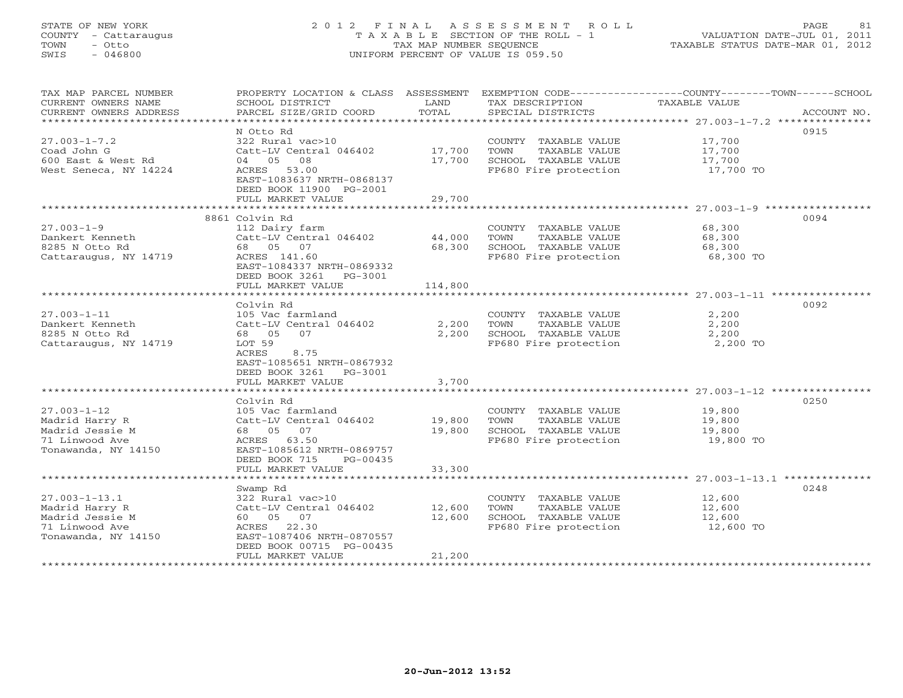### STATE OF NEW YORK 2 0 1 2 F I N A L A S S E S S M E N T R O L L PAGE 81 COUNTY - Cattaraugus T A X A B L E SECTION OF THE ROLL - 1 VALUATION DATE-JUL 01, 2011 TOWN - Otto TAX MAP NUMBER SEQUENCE TAXABLE STATUS DATE-MAR 01, 2012 SWIS - 046800 UNIFORM PERCENT OF VALUE IS 059.50UNIFORM PERCENT OF VALUE IS 059.50

| TAX MAP PARCEL NUMBER<br>CURRENT OWNERS NAME<br>CURRENT OWNERS ADDRESS<br>*********************** | PROPERTY LOCATION & CLASS ASSESSMENT<br>SCHOOL DISTRICT<br>PARCEL SIZE/GRID COORD                                                                                                | LAND<br>TOTAL              | EXEMPTION CODE-----------------COUNTY-------TOWN------SCHOOL<br>TAX DESCRIPTION<br>SPECIAL DISTRICTS | TAXABLE VALUE                           | ACCOUNT NO. |
|---------------------------------------------------------------------------------------------------|----------------------------------------------------------------------------------------------------------------------------------------------------------------------------------|----------------------------|------------------------------------------------------------------------------------------------------|-----------------------------------------|-------------|
| $27.003 - 1 - 7.2$<br>Coad John G<br>600 East & West Rd<br>West Seneca, NY 14224                  | N Otto Rd<br>322 Rural vac>10<br>Catt-LV Central 046402<br>04 05 08<br>ACRES 53.00<br>EAST-1083637 NRTH-0868137<br>DEED BOOK 11900 PG-2001<br>FULL MARKET VALUE                  | 17,700<br>17,700<br>29,700 | COUNTY TAXABLE VALUE<br>TAXABLE VALUE<br>TOWN<br>SCHOOL TAXABLE VALUE<br>FP680 Fire protection       | 17,700<br>17,700<br>17,700<br>17,700 TO | 0915        |
|                                                                                                   | 8861 Colvin Rd                                                                                                                                                                   | ************               |                                                                                                      |                                         | 0094        |
| $27.003 - 1 - 9$<br>Dankert Kenneth<br>8285 N Otto Rd<br>Cattaraugus, NY 14719                    | 112 Dairy farm<br>Catt-LV Central 046402<br>68 05 07<br>ACRES 141.60<br>EAST-1084337 NRTH-0869332<br>DEED BOOK 3261 PG-3001                                                      | 44,000<br>68,300           | COUNTY TAXABLE VALUE<br>TOWN<br>TAXABLE VALUE<br>SCHOOL TAXABLE VALUE<br>FP680 Fire protection       | 68,300<br>68,300<br>68,300<br>68,300 TO |             |
|                                                                                                   | FULL MARKET VALUE                                                                                                                                                                | 114,800                    |                                                                                                      |                                         |             |
| $27.003 - 1 - 11$<br>Dankert Kenneth<br>8285 N Otto Rd<br>Cattaraugus, NY 14719                   | Colvin Rd<br>105 Vac farmland<br>Catt-LV Central 046402<br>68 05<br>07<br>LOT 59<br>8.75<br>ACRES<br>EAST-1085651 NRTH-0867932<br>DEED BOOK 3261<br>PG-3001<br>FULL MARKET VALUE | 2,200<br>2,200<br>3,700    | COUNTY TAXABLE VALUE<br>TOWN<br>TAXABLE VALUE<br>SCHOOL TAXABLE VALUE<br>FP680 Fire protection       | 2,200<br>2,200<br>2,200<br>2,200 TO     | 0092        |
|                                                                                                   | Colvin Rd                                                                                                                                                                        |                            |                                                                                                      |                                         | 0250        |
| $27.003 - 1 - 12$<br>Madrid Harry R<br>Madrid Jessie M<br>71 Linwood Ave<br>Tonawanda, NY 14150   | 105 Vac farmland<br>Catt-LV Central 046402<br>68 05<br>07<br>ACRES 63.50<br>EAST-1085612 NRTH-0869757<br>DEED BOOK 715<br>PG-00435                                               | 19,800<br>19,800           | COUNTY TAXABLE VALUE<br>TOWN<br>TAXABLE VALUE<br>SCHOOL TAXABLE VALUE<br>FP680 Fire protection       | 19,800<br>19,800<br>19,800<br>19,800 TO |             |
|                                                                                                   | FULL MARKET VALUE                                                                                                                                                                | 33,300                     |                                                                                                      |                                         |             |
| $27.003 - 1 - 13.1$<br>Madrid Harry R<br>Madrid Jessie M<br>71 Linwood Ave<br>Tonawanda, NY 14150 | Swamp Rd<br>322 Rural vac>10<br>Catt-LV Central 046402<br>60 05 07<br>22.30<br>ACRES<br>EAST-1087406 NRTH-0870557<br>DEED BOOK 00715 PG-00435<br>FULL MARKET VALUE               | 12,600<br>12,600<br>21,200 | COUNTY TAXABLE VALUE<br>TAXABLE VALUE<br>TOWN<br>SCHOOL TAXABLE VALUE<br>FP680 Fire protection       | 12,600<br>12,600<br>12,600<br>12,600 TO | 0248        |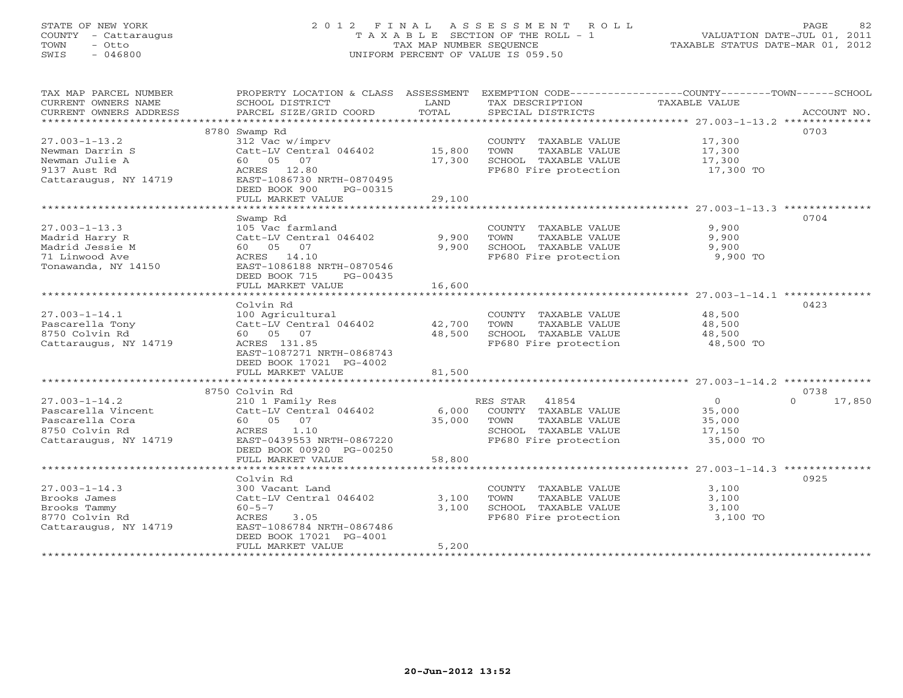### STATE OF NEW YORK 2 0 1 2 F I N A L A S S E S S M E N T R O L L PAGE 82 COUNTY - Cattaraugus T A X A B L E SECTION OF THE ROLL - 1 VALUATION DATE-JUL 01, 2011 TOWN - Otto TAX MAP NUMBER SEQUENCE TAXABLE STATUS DATE-MAR 01, 2012 SWIS - 046800 UNIFORM PERCENT OF VALUE IS 059.50UNIFORM PERCENT OF VALUE IS 059.50

| TAX MAP PARCEL NUMBER<br>CURRENT OWNERS NAME<br>CURRENT OWNERS ADDRESS                                  | PROPERTY LOCATION & CLASS ASSESSMENT<br>SCHOOL DISTRICT<br>PARCEL SIZE/GRID COORD                                                                                                        | LAND<br>TOTAL                          | TAX DESCRIPTION<br>SPECIAL DISTRICTS                                                                             | EXEMPTION CODE-----------------COUNTY-------TOWN------SCHOOL<br>TAXABLE VALUE<br>ACCOUNT NO. |
|---------------------------------------------------------------------------------------------------------|------------------------------------------------------------------------------------------------------------------------------------------------------------------------------------------|----------------------------------------|------------------------------------------------------------------------------------------------------------------|----------------------------------------------------------------------------------------------|
| $27.003 - 1 - 13.2$<br>Newman Darrin S<br>Newman Julie A<br>9137 Aust Rd<br>Cattaraugus, NY 14719       | 8780 Swamp Rd<br>312 Vac w/imprv<br>Catt-LV Central 046402<br>60  05  07<br>ACRES 12.80<br>EAST-1086730 NRTH-0870495<br>DEED BOOK 900<br>$PG-00315$<br>FULL MARKET VALUE                 | 15,800<br>17,300<br>29,100             | COUNTY TAXABLE VALUE<br>TAXABLE VALUE<br>TOWN<br>SCHOOL TAXABLE VALUE<br>FP680 Fire protection                   | 0703<br>17,300<br>17,300<br>17,300<br>17,300 TO                                              |
| $27.003 - 1 - 13.3$<br>Madrid Harry R<br>Madrid Jessie M<br>71 Linwood Ave<br>Tonawanda, NY 14150       | Swamp Rd<br>105 Vac farmland<br>Catt-LV Central 046402<br>60 05 07<br>ACRES 14.10<br>EAST-1086188 NRTH-0870546<br>DEED BOOK 715<br>PG-00435<br>FULL MARKET VALUE<br>******************** | 9,900<br>9,900<br>16,600<br>********** | COUNTY TAXABLE VALUE<br>TOWN<br>TAXABLE VALUE<br>SCHOOL TAXABLE VALUE<br>FP680 Fire protection                   | 0704<br>9,900<br>9,900<br>9,900<br>9,900 TO                                                  |
| $27.003 - 1 - 14.1$<br>Pascarella Tony<br>8750 Colvin Rd<br>Cattaraugus, NY 14719                       | Colvin Rd<br>100 Agricultural<br>Catt-LV Central 046402<br>60  05  07<br>ACRES 131.85<br>EAST-1087271 NRTH-0868743<br>DEED BOOK 17021 PG-4002<br>FULL MARKET VALUE                       | 42,700<br>48,500<br>81,500             | COUNTY TAXABLE VALUE<br>TOWN<br>TAXABLE VALUE<br>SCHOOL TAXABLE VALUE<br>FP680 Fire protection                   | 0423<br>48,500<br>48,500<br>48,500<br>48,500 TO                                              |
| $27.003 - 1 - 14.2$<br>Pascarella Vincent<br>Pascarella Cora<br>8750 Colvin Rd<br>Cattaraugus, NY 14719 | 8750 Colvin Rd<br>210 1 Family Res<br>Catt-LV Central 046402<br>60 05 07<br>ACRES<br>1.10<br>EAST-0439553 NRTH-0867220<br>DEED BOOK 00920 PG-00250<br>FULL MARKET VALUE                  | 6,000<br>35,000<br>58,800              | RES STAR 41854<br>COUNTY TAXABLE VALUE<br>TAXABLE VALUE<br>TOWN<br>SCHOOL TAXABLE VALUE<br>FP680 Fire protection | 0738<br>$\circ$<br>$\Omega$<br>17,850<br>35,000<br>35,000<br>17,150<br>35,000 TO             |
| $27.003 - 1 - 14.3$<br>Brooks James<br>Brooks Tammy<br>8770 Colvin Rd<br>Cattaraugus, NY 14719          | Colvin Rd<br>300 Vacant Land<br>Catt-LV Central 046402<br>$60 - 5 - 7$<br>3.05<br>ACRES<br>EAST-1086784 NRTH-0867486<br>DEED BOOK 17021 PG-4001<br>FULL MARKET VALUE                     | 3,100<br>3.100<br>5,200                | COUNTY TAXABLE VALUE<br>TOWN<br>TAXABLE VALUE<br>SCHOOL TAXABLE VALUE<br>FP680 Fire protection                   | 0925<br>3,100<br>3.100<br>3,100<br>3,100 TO                                                  |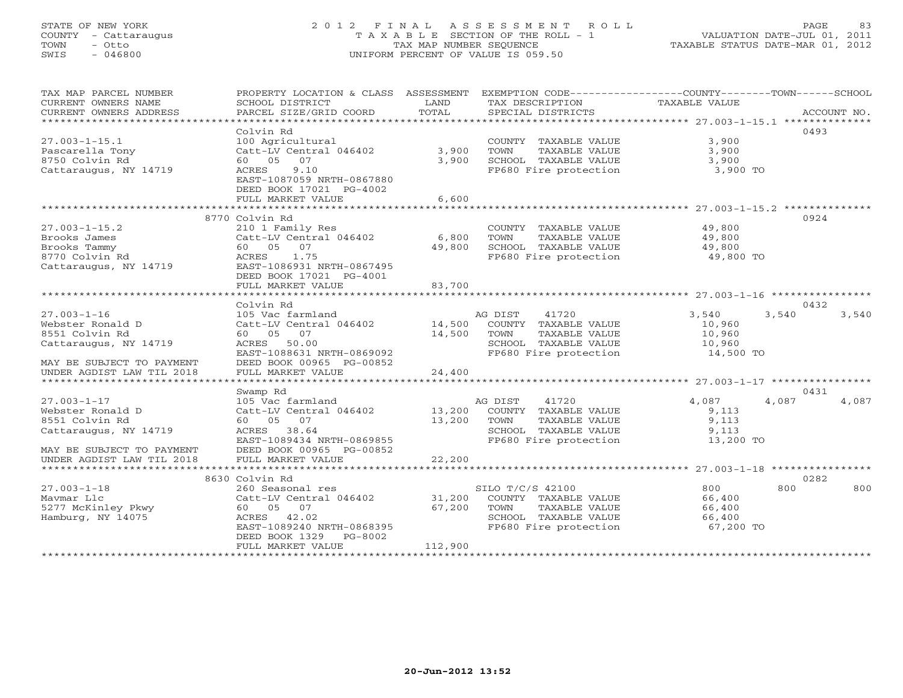### STATE OF NEW YORK 2 0 1 2 F I N A L A S S E S S M E N T R O L L PAGE 83 COUNTY - Cattaraugus T A X A B L E SECTION OF THE ROLL - 1 VALUATION DATE-JUL 01, 2011 TOWN - Otto TAX MAP NUMBER SEQUENCE TAXABLE STATUS DATE-MAR 01, 2012 SWIS - 046800 UNIFORM PERCENT OF VALUE IS 059.50UNIFORM PERCENT OF VALUE IS 059.50

| TAX MAP PARCEL NUMBER          | PROPERTY LOCATION & CLASS ASSESSMENT EXEMPTION CODE---------------COUNTY-------TOWN------SCHOOL |               |                                            |                     |                |
|--------------------------------|-------------------------------------------------------------------------------------------------|---------------|--------------------------------------------|---------------------|----------------|
| CURRENT OWNERS NAME            | SCHOOL DISTRICT                                                                                 | LAND          | TAX DESCRIPTION                            | TAXABLE VALUE       |                |
| CURRENT OWNERS ADDRESS         | PARCEL SIZE/GRID COORD                                                                          | TOTAL         | SPECIAL DISTRICTS                          |                     | ACCOUNT NO.    |
| ****************************** |                                                                                                 |               |                                            |                     |                |
|                                | Colvin Rd                                                                                       |               |                                            |                     | 0493           |
| $27.003 - 1 - 15.1$            | 100 Agricultural                                                                                |               | COUNTY TAXABLE VALUE                       | 3,900               |                |
| Pascarella Tony                | Catt-LV Central 046402                                                                          | 3,900         | TOWN<br>TAXABLE VALUE                      | 3,900               |                |
|                                |                                                                                                 |               | SCHOOL TAXABLE VALUE                       |                     |                |
| 8750 Colvin Rd                 | 60  05  07                                                                                      | 3,900         |                                            | 3,900               |                |
| Cattaraugus, NY 14719          | 9.10<br>ACRES                                                                                   |               | FP680 Fire protection                      | 3,900 TO            |                |
|                                | EAST-1087059 NRTH-0867880                                                                       |               |                                            |                     |                |
|                                | DEED BOOK 17021 PG-4002                                                                         |               |                                            |                     |                |
|                                | FULL MARKET VALUE                                                                               | 6,600         |                                            |                     |                |
|                                |                                                                                                 |               |                                            |                     |                |
|                                | 8770 Colvin Rd                                                                                  |               |                                            |                     | 0924           |
| $27.003 - 1 - 15.2$            | 210 1 Family Res                                                                                |               | COUNTY TAXABLE VALUE                       | 49,800              |                |
| Brooks James                   | $Catt-LV$ Central 046402 6,800                                                                  |               | TOWN<br>TAXABLE VALUE                      | 49,800              |                |
| Brooks Tammy                   | 60 05 07                                                                                        | 49,800        |                                            |                     |                |
| 8770 Colvin Rd                 | ACRES 1.75                                                                                      |               | FP680 Fire protection                      |                     |                |
| Cattaraugus, NY 14719          | EAST-1086931 NRTH-0867495                                                                       |               |                                            |                     |                |
|                                |                                                                                                 |               |                                            |                     |                |
|                                | DEED BOOK 17021 PG-4001                                                                         |               |                                            |                     |                |
|                                | FULL MARKET VALUE                                                                               | 83,700        |                                            |                     |                |
|                                |                                                                                                 |               |                                            |                     |                |
|                                | Colvin Rd                                                                                       |               |                                            |                     | 0432           |
| $27.003 - 1 - 16$              | 105 Vac farmland                                                                                |               | AG DIST 41720                              | 3,540               | 3,540<br>3,540 |
| Webster Ronald D               |                                                                                                 |               |                                            | 10,960              |                |
| 8551 Colvin Rd                 | 60 05 07                                                                                        | $14,500$ TOWN | TAXABLE VALUE                              |                     |                |
| Cattaraugus, NY 14719          | ACRES 50.00                                                                                     |               | SCHOOL TAXABLE VALUE                       | 10,960<br>10,960    |                |
|                                | EAST-1088631 NRTH-0869092                                                                       |               | FP680 Fire protection 14,500 TO            |                     |                |
| MAY BE SUBJECT TO PAYMENT      | DEED BOOK 00965 PG-00852                                                                        |               |                                            |                     |                |
| UNDER AGDIST LAW TIL 2018      | FULL MARKET VALUE                                                                               | 24,400        |                                            |                     |                |
|                                |                                                                                                 |               |                                            |                     |                |
|                                | Swamp Rd                                                                                        |               |                                            |                     | 0431           |
| $27.003 - 1 - 17$              | 105 Vac farmland                                                                                |               | AG DIST 41720                              | 4,087               | 4,087<br>4,087 |
|                                | Catt-LV Central 046402 13,200 COUNTY TAXABLE VALUE                                              |               |                                            |                     |                |
| Webster Ronald D               |                                                                                                 |               |                                            | 9,113               |                |
| 8551 Colvin Rd                 | 60 05 07                                                                                        | 13,200 TOWN   |                                            | 9,113<br>$9', -113$ |                |
| Cattaraugus, NY 14719          | ACRES 38.64                                                                                     |               | TOWN TAXABLE VALUE<br>SCHOOL TAXABLE VALUE |                     |                |
|                                | EAST-1089434 NRTH-0869855                                                                       |               | FP680 Fire protection                      | 13,200 TO           |                |
| MAY BE SUBJECT TO PAYMENT      | DEED BOOK 00965 PG-00852                                                                        |               |                                            |                     |                |
| UNDER AGDIST LAW TIL 2018      | FULL MARKET VALUE                                                                               | 22,200        |                                            |                     |                |
|                                |                                                                                                 |               |                                            |                     |                |
|                                | 8630 Colvin Rd                                                                                  |               |                                            |                     | 0282           |
| $27.003 - 1 - 18$              |                                                                                                 |               | SILO T/C/S 42100                           | 800 -               | 800<br>800     |
| Maymar Llc                     | 260 Seasonal res 51,200 Silent-LV Central 046402                                                |               | COUNTY TAXABLE VALUE 66,400                |                     |                |
| 5277 McKinley Pkwy             | 60  05  07                                                                                      | 67,200        | TOWN<br>TAXABLE VALUE                      | 66,400              |                |
| Hamburg, NY 14075              | ACRES 42.02                                                                                     |               | SCHOOL TAXABLE VALUE 66,400                |                     |                |
|                                | EAST-1089240 NRTH-0868395                                                                       |               | FP680 Fire protection                      | 67,200 TO           |                |
|                                | DEED BOOK 1329 PG-8002                                                                          |               |                                            |                     |                |
|                                | FULL MARKET VALUE                                                                               | 112,900       |                                            |                     |                |
|                                |                                                                                                 |               |                                            |                     |                |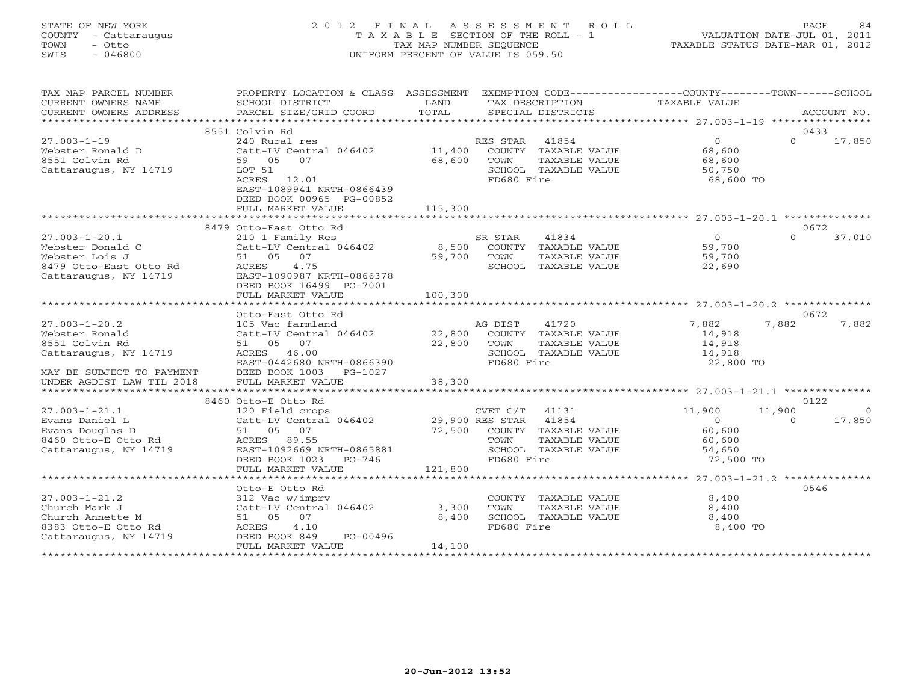# STATE OF NEW YORK 2 0 1 2 F I N A L A S S E S S M E N T R O L L PAGE 84 COUNTY - Cattaraugus T A X A B L E SECTION OF THE ROLL - 1 VALUATION DATE-JUL 01, 2011 TOWN - Otto TAX MAP NUMBER SEQUENCE TAXABLE STATUS DATE-MAR 01, 2012 SWIS - 046800 UNIFORM PERCENT OF VALUE IS 059.50

| TAX MAP PARCEL NUMBER<br>CURRENT OWNERS NAME<br>CURRENT OWNERS ADDRESS           | PROPERTY LOCATION & CLASS ASSESSMENT EXEMPTION CODE---------------COUNTY-------TOWN------SCHOOL<br>SCHOOL DISTRICT<br>PARCEL SIZE/GRID COORD | LAND<br>TOTAL    |                        | TAX DESCRIPTION<br>SPECIAL DISTRICTS                          | TAXABLE VALUE                                |                | ACCOUNT NO.    |
|----------------------------------------------------------------------------------|----------------------------------------------------------------------------------------------------------------------------------------------|------------------|------------------------|---------------------------------------------------------------|----------------------------------------------|----------------|----------------|
|                                                                                  |                                                                                                                                              |                  |                        |                                                               |                                              |                |                |
|                                                                                  | 8551 Colvin Rd                                                                                                                               |                  |                        |                                                               |                                              | 0433           |                |
| $27.003 - 1 - 19$<br>Webster Ronald D<br>8551 Colvin Rd<br>Cattaraugus, NY 14719 | 240 Rural res<br>Catt-LV Central 046402<br>59 05 07<br>LOT 51                                                                                | 11,400<br>68,600 | RES STAR 41854<br>TOWN | COUNTY TAXABLE VALUE<br>TAXABLE VALUE<br>SCHOOL TAXABLE VALUE | $\overline{0}$<br>68,600<br>68,600<br>50,750 | $\Omega$       | 17,850         |
|                                                                                  | ACRES 12.01<br>EAST-1089941 NRTH-0866439<br>DEED BOOK 00965 PG-00852<br>FULL MARKET VALUE                                                    | 115,300          | FD680 Fire             |                                                               | 68,600 TO                                    |                |                |
|                                                                                  |                                                                                                                                              |                  |                        |                                                               |                                              |                |                |
|                                                                                  | 8479 Otto-East Otto Rd                                                                                                                       |                  |                        |                                                               |                                              | 0672           |                |
| $27.003 - 1 - 20.1$                                                              | 210 1 Family Res                                                                                                                             |                  | SR STAR                | 41834                                                         | $\overline{0}$                               | $\cap$         | 37,010         |
| Webster Donald C                                                                 | Catt-LV Central 046402                                                                                                                       | 8,500            |                        | COUNTY TAXABLE VALUE                                          | 59,700                                       |                |                |
| Webster Lois J                                                                   | 51 05 07                                                                                                                                     | 59,700           | TOWN                   | TAXABLE VALUE                                                 | 59,700                                       |                |                |
| 8479 Otto-East Otto Rd                                                           | 4.75<br>ACRES                                                                                                                                |                  |                        | SCHOOL TAXABLE VALUE                                          | 22,690                                       |                |                |
| Cattaraugus, NY 14719                                                            | EAST-1090987 NRTH-0866378                                                                                                                    |                  |                        |                                                               |                                              |                |                |
|                                                                                  | DEED BOOK 16499 PG-7001                                                                                                                      |                  |                        |                                                               |                                              |                |                |
|                                                                                  | FULL MARKET VALUE                                                                                                                            | 100,300          |                        |                                                               |                                              |                |                |
|                                                                                  |                                                                                                                                              |                  |                        |                                                               |                                              |                |                |
| $27.003 - 1 - 20.2$                                                              | Otto-East Otto Rd<br>105 Vac farmland                                                                                                        |                  | AG DIST                | 41720                                                         | 7,882                                        | 0672<br>7,882  | 7,882          |
| Webster Ronald                                                                   | Catt-LV Central 046402                                                                                                                       | 22,800           |                        | COUNTY TAXABLE VALUE                                          | 14,918                                       |                |                |
| 8551 Colvin Rd                                                                   | 51 05 07                                                                                                                                     | 22,800           | TOWN                   | TAXABLE VALUE                                                 | 14,918                                       |                |                |
| Cattaraugus, NY 14719                                                            | ACRES 46.00                                                                                                                                  |                  |                        | SCHOOL TAXABLE VALUE                                          | 14,918                                       |                |                |
|                                                                                  | EAST-0442680 NRTH-0866390                                                                                                                    |                  | FD680 Fire             |                                                               | 22,800 TO                                    |                |                |
| MAY BE SUBJECT TO PAYMENT                                                        | DEED BOOK 1003 PG-1027                                                                                                                       |                  |                        |                                                               |                                              |                |                |
| UNDER AGDIST LAW TIL 2018                                                        | FULL MARKET VALUE                                                                                                                            | 38,300           |                        |                                                               |                                              |                |                |
|                                                                                  |                                                                                                                                              |                  |                        |                                                               |                                              |                |                |
|                                                                                  | 8460 Otto-E Otto Rd                                                                                                                          |                  |                        |                                                               |                                              | 0122           |                |
| $27.003 - 1 - 21.1$                                                              | 120 Field crops                                                                                                                              |                  | CVET C/T               | 41131                                                         | 11,900                                       | 11,900         | $\overline{0}$ |
| Evans Daniel L                                                                   | Catt-LV Central 046402                                                                                                                       | 29,900 RES STAR  |                        | 41854                                                         | $\overline{0}$                               | $\overline{a}$ | 17,850         |
| Evans Douglas D                                                                  | 51 05 07                                                                                                                                     | 72,500           |                        | COUNTY TAXABLE VALUE                                          | 60,600                                       |                |                |
| 8460 Otto-E Otto Rd                                                              | ACRES 89.55                                                                                                                                  |                  | TOWN                   | TAXABLE VALUE                                                 | 60,600                                       |                |                |
| Cattaraugus, NY 14719                                                            | EAST-1092669 NRTH-0865881                                                                                                                    |                  |                        | SCHOOL TAXABLE VALUE                                          | 54,650                                       |                |                |
|                                                                                  | DEED BOOK 1023<br>PG-746                                                                                                                     |                  | FD680 Fire             |                                                               | 72,500 TO                                    |                |                |
|                                                                                  | FULL MARKET VALUE                                                                                                                            | 121,800          |                        |                                                               |                                              |                |                |
|                                                                                  | **************************                                                                                                                   |                  |                        |                                                               |                                              |                |                |
|                                                                                  | Otto-E Otto Rd                                                                                                                               |                  |                        |                                                               |                                              | 0546           |                |
| $27.003 - 1 - 21.2$                                                              | 312 Vac w/imprv                                                                                                                              |                  |                        | COUNTY TAXABLE VALUE                                          | 8,400                                        |                |                |
| Church Mark J                                                                    | Catt-LV Central 046402                                                                                                                       | 3,300            | TOWN                   | TAXABLE VALUE                                                 | 8,400                                        |                |                |
| Church Annette M                                                                 | 51 05 07                                                                                                                                     | 8,400            |                        | SCHOOL TAXABLE VALUE                                          | 8,400                                        |                |                |
| 8383 Otto-E Otto Rd                                                              | ACRES<br>4.10                                                                                                                                |                  | FD680 Fire             |                                                               | 8,400 TO                                     |                |                |
| Cattaraugus, NY 14719                                                            | DEED BOOK 849<br>PG-00496<br>FULL MARKET VALUE                                                                                               | 14,100           |                        |                                                               |                                              |                |                |
|                                                                                  | ***********************                                                                                                                      |                  |                        |                                                               |                                              |                |                |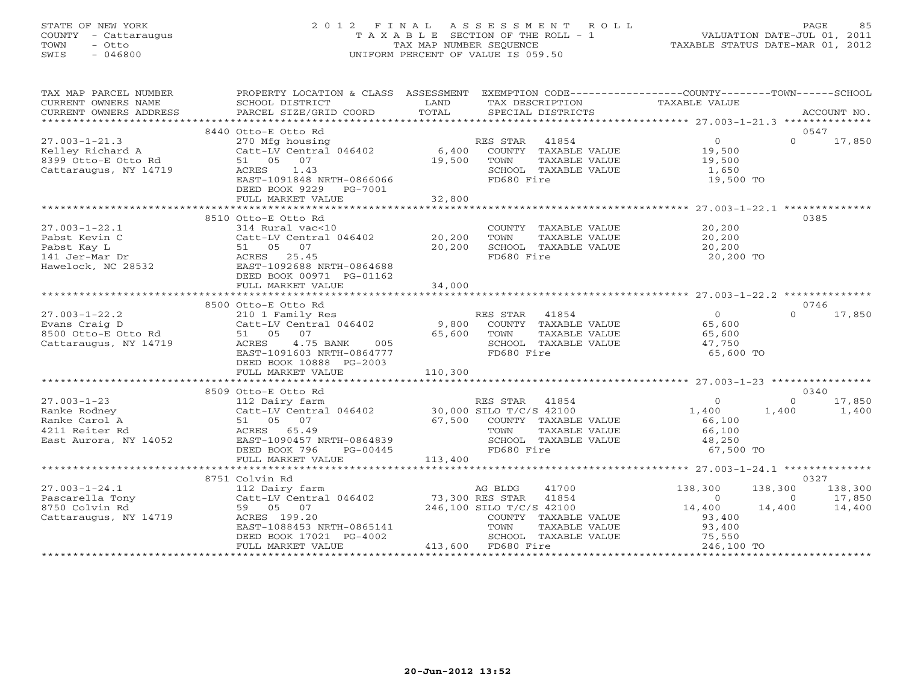#### STATE OF NEW YORK 2 0 1 2 F I N A L A S S E S S M E N T R O L L PAGE 85COUNTY - Cattaraugus T A X A B L E SECTION OF THE ROLL - 1 VALUATION DATE-JUL 01, 2011 TOWN - Otto 1999 - TAX MAP NUMBER SEQUENCE TAXABLE STATUS DATE-MAR OL, 2012<br>TAXABLE STATUS DATE-MAR OL, 2012 SWIS - 046800 UNIFORM PERCENT OF VALUE IS 059.50

| TAX MAP PARCEL NUMBER<br>CURRENT OWNERS NAME<br>CURRENT OWNERS ADDRESS                                                                            | PROPERTY LOCATION & CLASS ASSESSMENT<br>SCHOOL DISTRICT<br>PARCEL SIZE/GRID COORD                                                                                                    | LAND<br>TOTAL                             | TAX DESCRIPTION TAXABLE VALUE SPECIAL DISTRICTS                                                                                           | EXEMPTION CODE-----------------COUNTY-------TOWN------SCHOOL                                                     | ACCOUNT NO.                         |
|---------------------------------------------------------------------------------------------------------------------------------------------------|--------------------------------------------------------------------------------------------------------------------------------------------------------------------------------------|-------------------------------------------|-------------------------------------------------------------------------------------------------------------------------------------------|------------------------------------------------------------------------------------------------------------------|-------------------------------------|
|                                                                                                                                                   |                                                                                                                                                                                      |                                           |                                                                                                                                           |                                                                                                                  | 0547                                |
| $27.003 - 1 - 21.3$<br>Kelley Richard A<br>8399 Otto-E Otto Rd<br>Cattaraugus, NY 14719                                                           | 8440 Otto-E Otto Rd<br>270 Mfg housing<br>$Cat$ -LV Central 046402 6,400<br>51 05 07<br>1.43<br>ACRES<br>EAST-1091848 NRTH-0866066<br>DEED BOOK 9229<br>PG-7001<br>FULL MARKET VALUE | 19,500<br>32,800                          | RES STAR<br>41854<br>COUNTY TAXABLE VALUE<br>TOWN<br>TAXABLE VALUE<br>SCHOOL TAXABLE VALUE<br>FD680 Fire                                  | $\overline{0}$<br>$\Omega$<br>19,500<br>19,500<br>1,650<br>19,500 TO                                             | 17,850                              |
|                                                                                                                                                   |                                                                                                                                                                                      |                                           |                                                                                                                                           |                                                                                                                  |                                     |
| $27.003 - 1 - 22.1$<br>Pabst Kevin C<br>Pabst Kay L<br>141 Jer-Mar Dr<br>Hawelock, NC 28532                                                       | 8510 Otto-E Otto Rd<br>314 Rural vac<10<br>Catt-LV Central 046402 20,200<br>51 05 07<br>ACRES 25.45<br>EAST-1092688 NRTH-0864688<br>DEED BOOK 00971 PG-01162<br>FULL MARKET VALUE    | 20,200<br>34,000                          | COUNTY TAXABLE VALUE 20,200<br>TOWN<br>TAXABLE VALUE<br>SCHOOL TAXABLE VALUE<br>FD680 Fire                                                | 20,200<br>20,200<br>20,200 TO                                                                                    | 0385                                |
|                                                                                                                                                   |                                                                                                                                                                                      |                                           |                                                                                                                                           |                                                                                                                  |                                     |
|                                                                                                                                                   | 8500 Otto-E Otto Rd                                                                                                                                                                  |                                           |                                                                                                                                           |                                                                                                                  | 0746                                |
| 27.003-1-22.2<br>Evans Craig D<br>8500 Otto-E Otto Rd                                                                                             | 210 1 Family Res<br>Catt-LV Central 046402<br>51 05 07<br>4.75 BANK 005<br>ACRES<br>EAST-1091603 NRTH-0864777<br>DEED BOOK 10888 PG-2003                                             | 9,800<br>65,600                           | RES STAR 41854<br>ES STAR 41854<br>COUNTY TAXABLE VALUE<br>TAXABLE VALUE<br>TOWN<br>SCHOOL TAXABLE VALUE<br>FD680 Fire                    | $\overline{0}$<br>$\Omega$<br>65,600<br>65,600<br>47,750<br>65,600 TO                                            | 17,850                              |
|                                                                                                                                                   | FULL MARKET VALUE                                                                                                                                                                    | 110,300                                   |                                                                                                                                           |                                                                                                                  |                                     |
|                                                                                                                                                   |                                                                                                                                                                                      |                                           |                                                                                                                                           |                                                                                                                  |                                     |
| $27.003 - 1 - 23$<br>$\begin{array}{c}\n11050 \\ \hline\n\end{array}$<br>Ranke Rodney<br>Ranke Carol A<br>4211 Reiter Rd<br>East Aurora, NY 14052 | 8509 Otto-E Otto Rd<br>112 Dairy farm<br>Catt-LV Central 046402 30,000 SILO T/C/S 42100<br>51 05 07<br>ACRES 65.49<br>EAST-1090457 NRTH-0864839<br>DEED BOOK 796<br>PG-00445         | 67,500                                    | RES STAR 41854<br>COUNTY TAXABLE VALUE<br>TOWN<br>TAXABLE VALUE<br>SCHOOL TAXABLE VALUE<br>FD680 Fire                                     | $\Omega$<br>$\Omega$<br>1,400<br>1,400<br>66,100<br>66,100<br>48,250<br>67,500 TO                                | 0340<br>17,850<br>1,400             |
|                                                                                                                                                   | FULL MARKET VALUE                                                                                                                                                                    | 113,400                                   |                                                                                                                                           |                                                                                                                  |                                     |
|                                                                                                                                                   |                                                                                                                                                                                      |                                           |                                                                                                                                           |                                                                                                                  |                                     |
| $27.003 - 1 - 24.1$<br>Pascarella Tony<br>8750 Colvin Rd<br>Cattaraugus, NY 14719                                                                 | 8751 Colvin Rd<br>112 Dairy farm<br>Catt-LV Central 046402<br>59 05 07<br>ACRES 199.20<br>EAST-1088453 NRTH-0865141<br>DEED BOOK 17021 PG-4002<br>FULL MARKET VALUE                  | AG BLDG<br>73,300 RES STAR<br>246 100 CTT | 41700<br>41854<br>246,100 SILO T/C/S 42100<br>COUNTY TAXABLE VALUE<br>TOWN<br>TAXABLE VALUE<br>SCHOOL TAXABLE VALUE<br>413,600 FD680 Fire | 138,300<br>138,300<br>$\overline{0}$<br>$\Omega$<br>14,400<br>14,400<br>93,400<br>93,400<br>75,550<br>246,100 TO | 0327<br>138,300<br>17,850<br>14,400 |
|                                                                                                                                                   |                                                                                                                                                                                      |                                           |                                                                                                                                           |                                                                                                                  |                                     |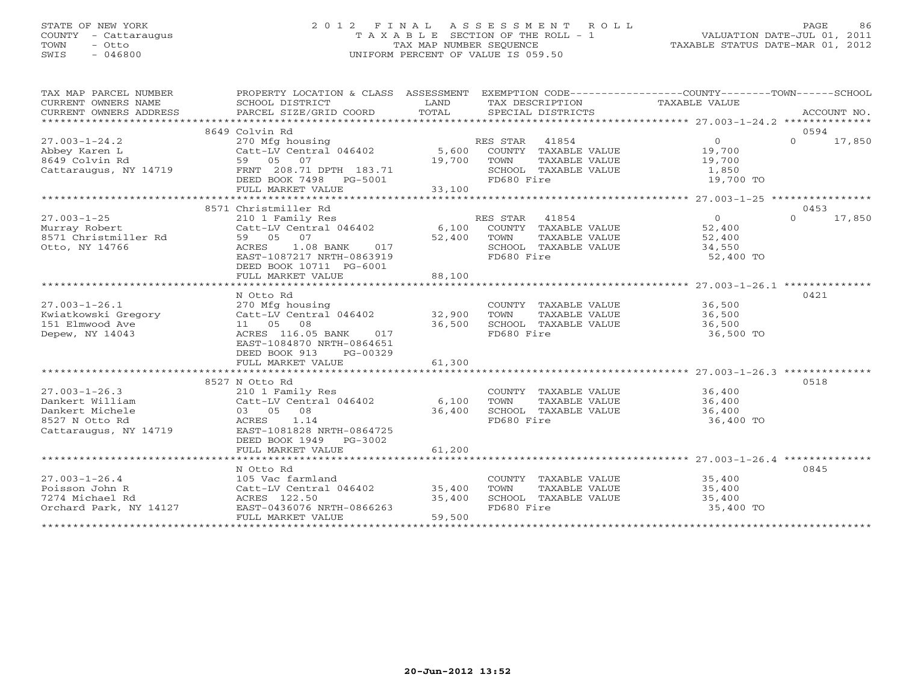### STATE OF NEW YORK 2 0 1 2 F I N A L A S S E S S M E N T R O L L PAGE 86 COUNTY - Cattaraugus T A X A B L E SECTION OF THE ROLL - 1 VALUATION DATE-JUL 01, 2011 TOWN - Otto TAX MAP NUMBER SEQUENCE TAXABLE STATUS DATE-MAR 01, 2012 SWIS - 046800 UNIFORM PERCENT OF VALUE IS 059.50UNIFORM PERCENT OF VALUE IS 059.50

| TAX MAP PARCEL NUMBER  | PROPERTY LOCATION & CLASS ASSESSMENT EXEMPTION CODE---------------COUNTY-------TOWN------SCHOOL           |             |                             |                  |                    |
|------------------------|-----------------------------------------------------------------------------------------------------------|-------------|-----------------------------|------------------|--------------------|
| CURRENT OWNERS NAME    | SCHOOL DISTRICT                                                                                           | LAND        | TAX DESCRIPTION             | TAXABLE VALUE    |                    |
| CURRENT OWNERS ADDRESS |                                                                                                           |             |                             |                  |                    |
|                        |                                                                                                           |             |                             |                  |                    |
|                        | 8649 Colvin Rd                                                                                            |             |                             |                  | 0594               |
| $27.003 - 1 - 24.2$    | 270 Mfg housing 196402 MES STAR 20054 RES STAR 41854<br>Catt-LV Central 046402 5,600 COUNTY TAXABLE VALUE |             |                             | $\overline{0}$   | $0 \t 17,850$      |
| Abbey Karen L          |                                                                                                           |             |                             | 19,700           |                    |
| 8649 Colvin Rd         | 59 05 07                                                                                                  | 19,700 TOWN | TAXABLE VALUE               | 19,700           |                    |
| Cattaraugus, NY 14719  | FRNT 208.71 DPTH 183.71                                                                                   |             | SCHOOL TAXABLE VALUE        | 1,850            |                    |
|                        | DEED BOOK 7498    PG-5001                                                                                 |             | FD680 Fire                  | 19,700 TO        |                    |
|                        | FULL MARKET VALUE                                                                                         | 33,100      |                             |                  |                    |
|                        |                                                                                                           |             |                             |                  |                    |
|                        | 8571 Christmiller Rd                                                                                      |             |                             |                  | 0453               |
| $27.003 - 1 - 25$      | 210 1 Family Res                                                                                          |             | RES STAR 41854              | $\overline{0}$   | $\Omega$<br>17,850 |
| Murray Robert          |                                                                                                           |             |                             | 52,400           |                    |
| 8571 Christmiller Rd   | 59 05 07                                                                                                  | 52,400      | TAXABLE VALUE<br>TOWN       | 52,400           |                    |
| Otto, NY 14766         | 1.08 BANK<br>ACRES<br>017                                                                                 |             | SCHOOL TAXABLE VALUE        | 34,550           |                    |
|                        | EAST-1087217 NRTH-0863919                                                                                 |             | FD680 Fire                  | 52,400 TO        |                    |
|                        | DEED BOOK 10711 PG-6001                                                                                   |             |                             |                  |                    |
|                        | FULL MARKET VALUE                                                                                         | 88,100      |                             |                  |                    |
|                        |                                                                                                           |             |                             |                  |                    |
|                        | N Otto Rd                                                                                                 |             |                             |                  | 0421               |
| $27.003 - 1 - 26.1$    | 270 Mfg housing                                                                                           |             | COUNTY TAXABLE VALUE 36,500 |                  |                    |
|                        |                                                                                                           |             | TAXABLE VALUE<br>TOWN       | 36,500           |                    |
|                        |                                                                                                           |             | SCHOOL TAXABLE VALUE        | 36,500           |                    |
| Depew, NY 14043        | ACRES 116.05 BANK<br>017                                                                                  |             | FD680 Fire                  | 36,500 TO        |                    |
|                        | EAST-1084870 NRTH-0864651                                                                                 |             |                             |                  |                    |
|                        | DEED BOOK 913<br>PG-00329                                                                                 |             |                             |                  |                    |
|                        | FULL MARKET VALUE                                                                                         | 61,300      |                             |                  |                    |
|                        |                                                                                                           |             |                             |                  |                    |
|                        | 8527 N Otto Rd                                                                                            |             |                             |                  | 0518               |
| $27.003 - 1 - 26.3$    | 210 1 Family Res                                                                                          |             | COUNTY TAXABLE VALUE 36,400 |                  |                    |
| Dankert William        | Catt-LV Central 046402                                                                                    | 6,100       | TOWN<br>TAXABLE VALUE       |                  |                    |
| Dankert Michele        | 03 05 08                                                                                                  | 36,400      | SCHOOL TAXABLE VALUE        | 36,400<br>36,400 |                    |
| 8527 N Otto Rd         | 1.14<br>ACRES                                                                                             |             | FD680 Fire                  | 36,400 TO        |                    |
| Cattaraugus, NY 14719  | EAST-1081828 NRTH-0864725                                                                                 |             |                             |                  |                    |
|                        | DEED BOOK 1949 PG-3002                                                                                    |             |                             |                  |                    |
|                        | FULL MARKET VALUE                                                                                         | 61,200      |                             |                  |                    |
|                        |                                                                                                           |             |                             |                  |                    |
|                        | N Otto Rd                                                                                                 |             |                             |                  | 0845               |
| $27.003 - 1 - 26.4$    | 105 Vac farmland                                                                                          |             | COUNTY TAXABLE VALUE        |                  |                    |
| Poisson John R         | 105 Vac farmiana<br>Catt-LV Central 046402 35,400                                                         |             | TOWN<br>TAXABLE VALUE       | 35,400<br>35,400 |                    |
| 7274 Michael Rd        |                                                                                                           | 35,400      | SCHOOL TAXABLE VALUE        | 35,400           |                    |
| Orchard Park, NY 14127 | ACRES 122.50<br>14127 EAST-0436076 I<br>EAST-0436076 NRTH-0866263                                         |             | FD680 Fire                  | 35,400 TO        |                    |
|                        | FULL MARKET VALUE                                                                                         | 59,500      |                             |                  |                    |
|                        |                                                                                                           |             |                             |                  |                    |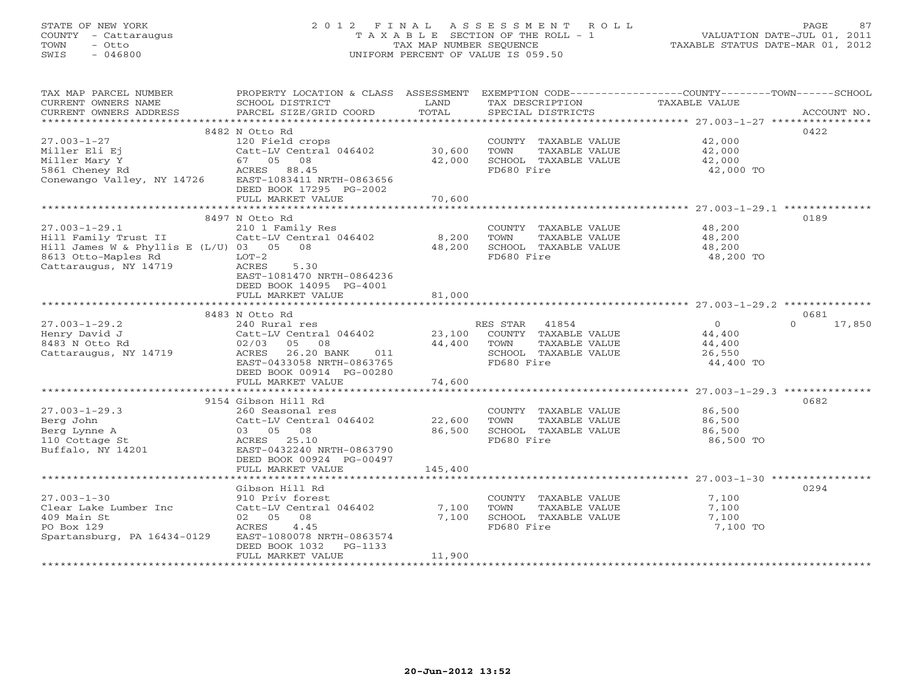### STATE OF NEW YORK 2 0 1 2 F I N A L A S S E S S M E N T R O L L PAGE 87 COUNTY - Cattaraugus T A X A B L E SECTION OF THE ROLL - 1 VALUATION DATE-JUL 01, 2011 TOWN - Otto TAX MAP NUMBER SEQUENCE TAXABLE STATUS DATE-MAR 01, 2012 SWIS - 046800 UNIFORM PERCENT OF VALUE IS 059.50UNIFORM PERCENT OF VALUE IS 059.50

| TAX MAP PARCEL NUMBER<br>CURRENT OWNERS NAME | PROPERTY LOCATION & CLASS ASSESSMENT<br>SCHOOL DISTRICT | LAND        | TAX DESCRIPTION             | EXEMPTION CODE-----------------COUNTY-------TOWN------SCHOOL<br>TAXABLE VALUE |                    |
|----------------------------------------------|---------------------------------------------------------|-------------|-----------------------------|-------------------------------------------------------------------------------|--------------------|
| CURRENT OWNERS ADDRESS                       | PARCEL SIZE/GRID COORD                                  | TOTAL       | SPECIAL DISTRICTS           |                                                                               | ACCOUNT NO.        |
|                                              | 8482 N Otto Rd                                          |             |                             |                                                                               | 0422               |
| $27.003 - 1 - 27$                            | 120 Field crops                                         |             | COUNTY TAXABLE VALUE 42,000 |                                                                               |                    |
| Miller Eli Ej                                | Catt-LV Central 046402 30,600                           |             | TOWN<br>TAXABLE VALUE       |                                                                               |                    |
| Miller Mary Y                                | 67 05 08                                                | 42,000      | SCHOOL TAXABLE VALUE        | 42,000<br>42,000                                                              |                    |
|                                              |                                                         |             | FD680 Fire                  | 42,000 TO                                                                     |                    |
|                                              |                                                         |             |                             |                                                                               |                    |
|                                              | DEED BOOK 17295 PG-2002                                 |             |                             |                                                                               |                    |
|                                              | FULL MARKET VALUE                                       | 70,600      |                             |                                                                               |                    |
|                                              |                                                         |             |                             |                                                                               |                    |
|                                              | 8497 N Otto Rd                                          |             |                             |                                                                               | 0189               |
| $27.003 - 1 - 29.1$                          | 210 1 Family Res                                        |             | COUNTY TAXABLE VALUE        | 48,200                                                                        |                    |
| Hill Family Trust II                         | Catt-LV Central 046402                                  | 8,200       | TAXABLE VALUE<br>TOWN       | 48,200                                                                        |                    |
| Hill James W & Phyllis E (L/U) 03 05 08      |                                                         | 48,200      | SCHOOL TAXABLE VALUE        | 48,200                                                                        |                    |
| 8613 Otto-Maples Rd<br>Cattaraugus, NY 14719 | $LOT-2$<br>ACRES<br>5.30                                |             | FD680 Fire                  | 48,200 TO                                                                     |                    |
|                                              | EAST-1081470 NRTH-0864236                               |             |                             |                                                                               |                    |
|                                              | DEED BOOK 14095 PG-4001                                 |             |                             |                                                                               |                    |
|                                              | FULL MARKET VALUE                                       | 81,000      |                             |                                                                               |                    |
|                                              |                                                         |             |                             |                                                                               |                    |
|                                              | 8483 N Otto Rd                                          |             |                             |                                                                               | 0681               |
| $27.003 - 1 - 29.2$                          | 240 Rural res                                           |             | RES STAR 41854              | $\overline{0}$                                                                | 17,850<br>$\Omega$ |
| Henry David J                                | Catt-LV Central 046402 23,100 COUNTY TAXABLE VALUE      |             |                             | 44,400                                                                        |                    |
| 8483 N Otto Rd                               | 02/03 05 08                                             | 44,400 TOWN | TAXABLE VALUE               | 44,400                                                                        |                    |
| Cattaraugus, NY 14719                        | ACRES<br>26.20 BANK<br>011                              |             | SCHOOL TAXABLE VALUE        | 26,550                                                                        |                    |
|                                              | EAST-0433058 NRTH-0863765                               |             | FD680 Fire                  | 44,400 TO                                                                     |                    |
|                                              | DEED BOOK 00914 PG-00280                                |             |                             |                                                                               |                    |
|                                              | FULL MARKET VALUE                                       | 74,600      |                             |                                                                               |                    |
|                                              | 9154 Gibson Hill Rd                                     |             |                             |                                                                               | 0682               |
| $27.003 - 1 - 29.3$                          | 260 Seasonal res                                        |             | COUNTY TAXABLE VALUE        | 86,500                                                                        |                    |
| Berg John                                    | $200$ Seasonal res<br>Catt-LV Central 046402 22,600     |             | TOWN<br>TAXABLE VALUE       | 86,500                                                                        |                    |
| Berg Lynne A                                 | 03 05 08                                                | 86,500      | SCHOOL TAXABLE VALUE        | 86,500                                                                        |                    |
| 110 Cottage St                               | ACRES 25.10                                             |             | FD680 Fire                  | 86,500 TO                                                                     |                    |
| Buffalo, NY 14201                            | EAST-0432240 NRTH-0863790                               |             |                             |                                                                               |                    |
|                                              | DEED BOOK 00924 PG-00497                                |             |                             |                                                                               |                    |
|                                              | FULL MARKET VALUE                                       | 145,400     |                             |                                                                               |                    |
|                                              |                                                         |             |                             |                                                                               |                    |
|                                              | Gibson Hill Rd                                          |             |                             |                                                                               | 0294               |
| $27.003 - 1 - 30$                            | 910 Priv forest                                         |             | COUNTY TAXABLE VALUE        | 7,100                                                                         |                    |
| Clear Lake Lumber Inc                        | Catt-LV Central 046402                                  | 7,100       | TOWN<br>TAXABLE VALUE       | 7,100                                                                         |                    |
| 409 Main St                                  | 02 05 08                                                | 7,100       | SCHOOL TAXABLE VALUE        | 7,100                                                                         |                    |
| PO Box 129<br>Spartansburg, PA 16434-0129    | 4.45<br>ACRES<br>EAST-1080078 NRTH-0863574              |             | FD680 Fire                  | 7,100 TO                                                                      |                    |
|                                              | DEED BOOK 1032<br>PG-1133                               |             |                             |                                                                               |                    |
|                                              | FULL MARKET VALUE                                       | 11,900      |                             |                                                                               |                    |
|                                              |                                                         |             |                             |                                                                               |                    |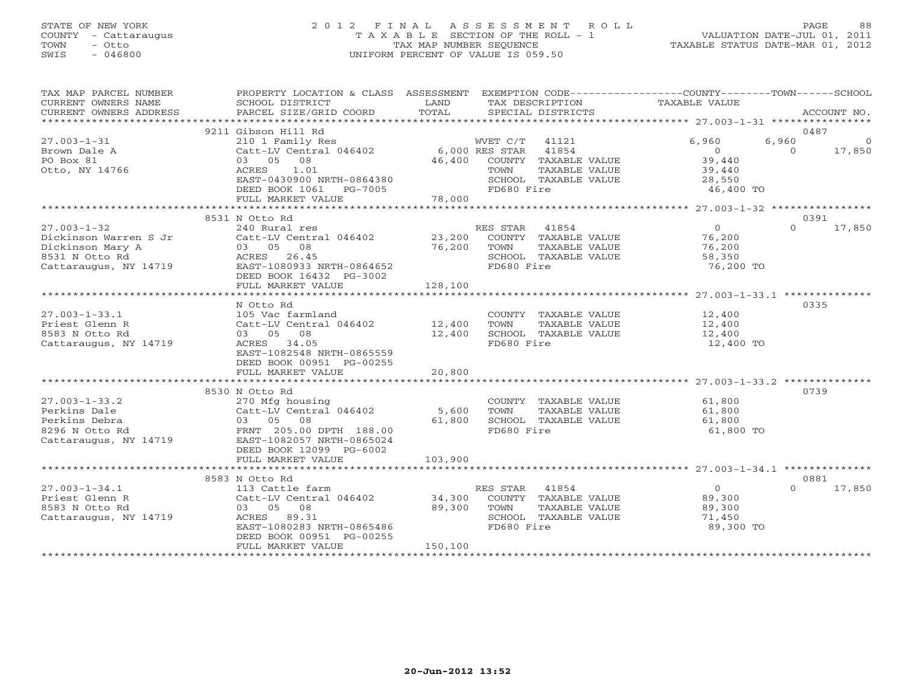#### STATE OF NEW YORK 2 0 1 2 F I N A L A S S E S S M E N T R O L L PAGE 88 COUNTY - Cattaraugus T A X A B L E SECTION OF THE ROLL - 1 VALUATION DATE-JUL 01, 2011 TOWN - Otto TAX MAP NUMBER SEQUENCE TAXABLE STATUS DATE-MAR 01, 2012 SWIS - 046800 UNIFORM PERCENT OF VALUE IS 059.50UNIFORM PERCENT OF VALUE IS 059.50

| TAX MAP PARCEL NUMBER<br>CURRENT OWNERS NAME<br>CURRENT OWNERS ADDRESS                                    | PROPERTY LOCATION & CLASS ASSESSMENT EXEMPTION CODE----------------COUNTY-------TOWN------SCHOOL<br>SCHOOL DISTRICT<br>and the state of the LAND<br>PARCEL SIZE/GRID COORD                   | TOTAL                       |                                      | SPECIAL DISTRICTS                                                    | TAX DESCRIPTION TAXABLE VALUE                                      | ACCOUNT NO.                                           |
|-----------------------------------------------------------------------------------------------------------|----------------------------------------------------------------------------------------------------------------------------------------------------------------------------------------------|-----------------------------|--------------------------------------|----------------------------------------------------------------------|--------------------------------------------------------------------|-------------------------------------------------------|
|                                                                                                           |                                                                                                                                                                                              |                             |                                      |                                                                      |                                                                    |                                                       |
| $27.003 - 1 - 31$<br>Brown Dale A<br>PO Box 81<br>Otto, NY 14766                                          | 9211 Gibson Hill Rd<br>210 1 Family Res<br>Catt-LV Central 046402 6,000 RES STAR 41854<br>03 05 08<br>ACRES 1.01<br>EAST-0430900 NRTH-0864380<br>DEED BOOK 1061 PG-7005<br>FULL MARKET VALUE | 78,000                      | WVET C/T 41121<br>TOWN<br>FD680 Fire | 46,400 COUNTY TAXABLE VALUE<br>TAXABLE VALUE<br>SCHOOL TAXABLE VALUE | 6,960<br>$\overline{O}$<br>39,440<br>39,440<br>28,550<br>46,400 TO | 0487<br>6,960<br>$\overline{0}$<br>17,850<br>$\Omega$ |
|                                                                                                           |                                                                                                                                                                                              |                             |                                      |                                                                      |                                                                    |                                                       |
| $27.003 - 1 - 32$<br>Dickinson Warren S Jr<br>Dickinson Mary A<br>8531 N Otto Rd<br>Cattaraugus, NY 14719 | 8531 N Otto Rd<br>240 Rural res<br>Catt-LV Central 046402 23,200<br>03 05 08<br>05 05<br>ACRES 26.45<br>EAST-1080933 NRTH-0864652<br>DEED BOOK 16432 PG-3002<br>FULL MARKET VALUE            | 76,200<br>128,100           | RES STAR 41854<br>TOWN<br>FD680 Fire | COUNTY TAXABLE VALUE<br>TAXABLE VALUE<br>SCHOOL TAXABLE VALUE        | $\bigcirc$<br>76,200<br>76,200<br>58,350<br>76,200 TO              | 0391<br>$\Omega$<br>17,850                            |
|                                                                                                           |                                                                                                                                                                                              |                             |                                      |                                                                      |                                                                    |                                                       |
| 27.003-1-33.1 105 Vac farmland<br>Priest Glenn R<br>8583 N Otto Rd<br>Cattaraugus, NY 14719               | N Otto Rd<br>Catt-LV Central 046402 12,400<br>03 05 08<br>ACRES 34.05<br>EAST-1082548 NRTH-0865559<br>DEED BOOK 00951 PG-00255                                                               | 12,400                      | TOWN<br>FD680 Fire                   | TAXABLE VALUE<br>SCHOOL TAXABLE VALUE                                | COUNTY TAXABLE VALUE 12,400<br>12,400<br>12,400<br>12,400 TO       | 0335                                                  |
|                                                                                                           | FULL MARKET VALUE                                                                                                                                                                            | 20,800                      |                                      |                                                                      |                                                                    |                                                       |
| $27.003 - 1 - 33.2$                                                                                       | 8530 N Otto Rd                                                                                                                                                                               |                             |                                      | COUNTY TAXABLE VALUE                                                 | 61,800                                                             | 0739                                                  |
| Perkins Dale<br>Perkins Debra<br>8296 N Otto Rd<br>Cattaraugus, NY 14719                                  | Catt-Lv ---<br>03 05 08<br>FRNT 205.00 DPTH 188.00<br>****-1082057 NRTH-0865024<br>DEED BOOK 12099 PG-6002                                                                                   | 61,800                      | TOWN<br>FD680 Fire                   | TAXABLE VALUE<br>SCHOOL TAXABLE VALUE                                | 61,800<br>61,800<br>61,800 TO                                      |                                                       |
|                                                                                                           | FULL MARKET VALUE                                                                                                                                                                            | 103,900                     |                                      |                                                                      |                                                                    |                                                       |
|                                                                                                           | 8583 N Otto Rd                                                                                                                                                                               |                             |                                      |                                                                      |                                                                    | 0881                                                  |
| $27.003 - 1 - 34.1$<br>Priest Glenn R<br>8583 N Otto Rd<br>Cattaraugus, NY 14719                          | 113 Cattle farm<br>113 Cattle farm<br>Catt-LV Central 046402<br>03 05 08<br>ACRES 89.31<br>EAST-1080283 NRTH-0865486<br>DEED BOOK 00951 PG-00255<br>FULL MARKET VALUE                        | 34,300<br>89,300<br>150,100 | RES STAR 41854<br>TOWN<br>FD680 Fire | COUNTY TAXABLE VALUE<br>TAXABLE VALUE<br>SCHOOL TAXABLE VALUE        | $\overline{0}$<br>89,300<br>89,300<br>71,450<br>89,300 TO          | $\Omega$<br>17,850                                    |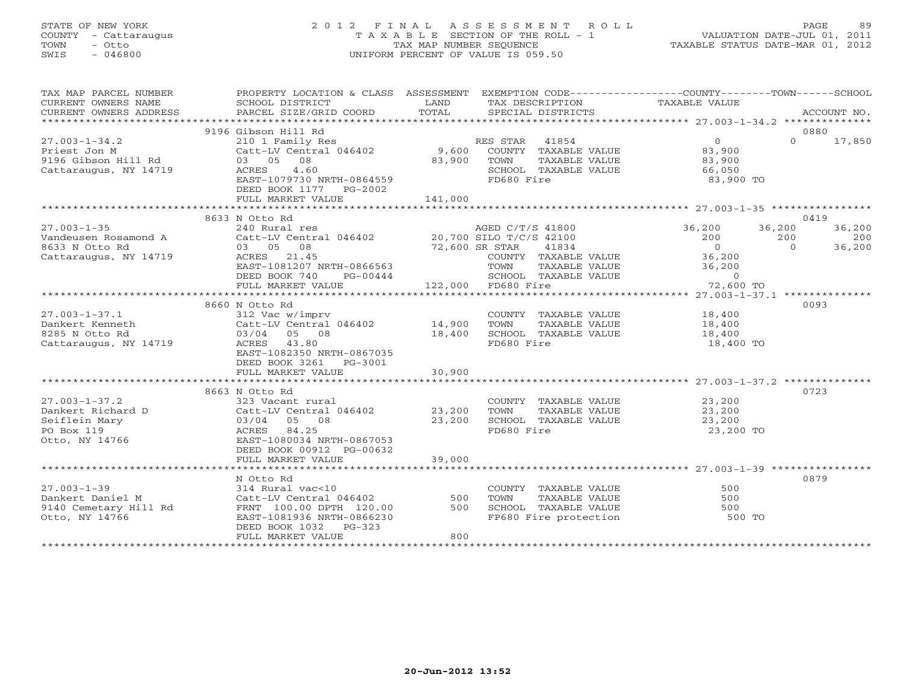### STATE OF NEW YORK 2 0 1 2 F I N A L A S S E S S M E N T R O L L PAGE 89 COUNTY - Cattaraugus T A X A B L E SECTION OF THE ROLL - 1 VALUATION DATE-JUL 01, 2011 TOWN - Otto TAX MAP NUMBER SEQUENCE TAXABLE STATUS DATE-MAR 01, 2012 SWIS - 046800 UNIFORM PERCENT OF VALUE IS 059.50UNIFORM PERCENT OF VALUE IS 059.50

| TAX MAP PARCEL NUMBER<br>CURRENT OWNERS NAME                                              | PROPERTY LOCATION & CLASS ASSESSMENT<br>SCHOOL DISTRICT                                                                                                                        | LAND                       | EXEMPTION CODE-----------------COUNTY-------TOWN------SCHOOL<br>TAX DESCRIPTION                          | TAXABLE VALUE                                                                                                                                                |                           |                         |
|-------------------------------------------------------------------------------------------|--------------------------------------------------------------------------------------------------------------------------------------------------------------------------------|----------------------------|----------------------------------------------------------------------------------------------------------|--------------------------------------------------------------------------------------------------------------------------------------------------------------|---------------------------|-------------------------|
| CURRENT OWNERS ADDRESS                                                                    | PARCEL SIZE/GRID COORD                                                                                                                                                         | TOTAL                      | SPECIAL DISTRICTS                                                                                        |                                                                                                                                                              |                           | ACCOUNT NO.             |
|                                                                                           | 9196 Gibson Hill Rd                                                                                                                                                            |                            |                                                                                                          |                                                                                                                                                              |                           | 0880                    |
| $27.003 - 1 - 34.2$<br>Priest Jon M<br>9196 Gibson Hill Rd<br>Cattaraugus, NY 14719       | 210 1 Family Res<br>Catt-LV Central 046402 9,600<br>03 05 08<br>4.60<br>ACRES<br>EAST-1079730 NRTH-0864559<br>DEED BOOK 1177 PG-2002<br>FULL MARKET VALUE                      | 83,900<br>141,000          | RES STAR<br>41854<br>COUNTY TAXABLE VALUE<br>TOWN<br>TAXABLE VALUE<br>SCHOOL TAXABLE VALUE<br>FD680 Fire | $\overline{0}$<br>83,900<br>83,900<br>66,050<br>83,900 TO                                                                                                    | $\Omega$                  | 17,850                  |
|                                                                                           |                                                                                                                                                                                |                            |                                                                                                          |                                                                                                                                                              |                           |                         |
|                                                                                           | 8633 N Otto Rd                                                                                                                                                                 |                            |                                                                                                          |                                                                                                                                                              |                           | 0419                    |
| $27.003 - 1 - 35$<br>Vandeusen Rosamond A<br>8633 N Otto Rd<br>Cattaraugus, NY 14719      | 240 Rural res<br>Catt-LV Central 046402 20,700 SILO T/C/S 42100<br>03 05 08<br>ACRES 21.45<br>EAST-1081207 NRTH-0866563<br>DEED BOOK 740<br>PG-00444<br>FULL MARKET VALUE      | 72,600 SR STAR             | AGED C/T/S 41800<br>41834<br>COUNTY TAXABLE VALUE<br>TOWN<br>SCHOOL TAXABLE VALUE<br>122,000 FD680 Fire  | 36,200<br>200<br>$\overline{0}$<br>36,200<br>TAXABLE VALUE 36,200<br>VALUE $\begin{bmatrix} 72 & 72 \\ 72 & 12 \end{bmatrix}$<br>$\overline{0}$<br>72,600 TO | 36,200<br>200<br>$\Omega$ | 36,200<br>200<br>36,200 |
|                                                                                           |                                                                                                                                                                                |                            |                                                                                                          |                                                                                                                                                              |                           |                         |
| $27.003 - 1 - 37.1$<br>Dankert Kenneth<br>8285 N Otto Rd<br>Cattaraugus, NY 14719         | 8660 N Otto Rd<br>312 Vac w/imprv<br>Catt-LV Central 046402<br>03/04 05 08<br>ACRES 43.80<br>EAST-1082350 NRTH-0867035<br>DEED BOOK 3261 PG-3001<br>FULL MARKET VALUE          | 14,900<br>18,400<br>30,900 | COUNTY TAXABLE VALUE<br>TOWN<br>TAXABLE VALUE<br>SCHOOL TAXABLE VALUE 18,400<br>FD680 Fire               | 18,400<br>18,400<br>18,400 TO                                                                                                                                |                           | 0093                    |
|                                                                                           |                                                                                                                                                                                |                            |                                                                                                          |                                                                                                                                                              |                           |                         |
| $27.003 - 1 - 37.2$<br>Dankert Richard D<br>Seiflein Mary<br>PO Box 119<br>Otto, NY 14766 | 8663 N Otto Rd<br>323 Vacant rural<br>Catt-LV Central 046402<br>03/04<br>05 08<br>84.25<br>ACRES<br>EAST-1080034 NRTH-0867053<br>DEED BOOK 00912 PG-00632<br>FULL MARKET VALUE | 23,200<br>23,200<br>39,000 | COUNTY TAXABLE VALUE<br>TOWN<br>TAXABLE VALUE<br>SCHOOL TAXABLE VALUE<br>FD680 Fire                      | 23,200<br>23,200<br>23,200<br>23,200 TO                                                                                                                      |                           | 0723                    |
|                                                                                           | *********************************                                                                                                                                              |                            |                                                                                                          |                                                                                                                                                              |                           |                         |
| $27.003 - 1 - 39$<br>Dankert Daniel M<br>9140 Cemetary Hill Rd<br>Otto, NY 14766          | N Otto Rd<br>314 Rural vac<10<br>Catt-LV Central 046402<br>FRNT 100.00 DPTH 120.00<br>EAST-1081936 NRTH-0866230<br>$PG-323$<br>DEED BOOK 1032<br>FULL MARKET VALUE             | 500<br>500<br>800          | COUNTY TAXABLE VALUE<br>TOWN<br>TAXABLE VALUE<br>SCHOOL TAXABLE VALUE<br>FP680 Fire protection           | 500<br>500<br>500<br>500 TO                                                                                                                                  |                           | 0879                    |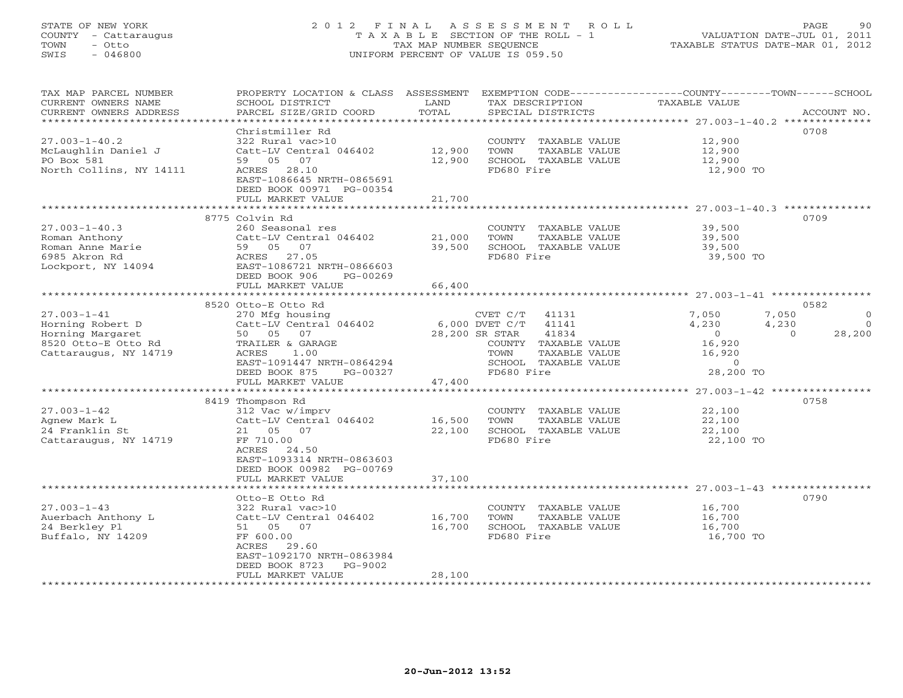### STATE OF NEW YORK 2 0 1 2 F I N A L A S S E S S M E N T R O L L PAGE 90 COUNTY - Cattaraugus T A X A B L E SECTION OF THE ROLL - 1 VALUATION DATE-JUL 01, 2011 TOWN - Otto TAX MAP NUMBER SEQUENCE TAXABLE STATUS DATE-MAR 01, 2012 SWIS - 046800 UNIFORM PERCENT OF VALUE IS 059.50UNIFORM PERCENT OF VALUE IS 059.50

| TAX MAP PARCEL NUMBER<br>CURRENT OWNERS NAME<br>CURRENT OWNERS ADDRESS | PROPERTY LOCATION & CLASS ASSESSMENT<br>SCHOOL DISTRICT<br>PARCEL SIZE/GRID COORD | LAND<br>TOTAL      | EXEMPTION CODE-----------------COUNTY-------TOWN------SCHOOL<br>TAX DESCRIPTION<br>SPECIAL DISTRICTS | TAXABLE VALUE                                       | ACCOUNT NO.        |
|------------------------------------------------------------------------|-----------------------------------------------------------------------------------|--------------------|------------------------------------------------------------------------------------------------------|-----------------------------------------------------|--------------------|
| ************************                                               |                                                                                   |                    |                                                                                                      |                                                     |                    |
|                                                                        | Christmiller Rd                                                                   |                    |                                                                                                      |                                                     | 0708               |
| $27.003 - 1 - 40.2$                                                    | 322 Rural vac>10                                                                  |                    | COUNTY TAXABLE VALUE                                                                                 | 12,900                                              |                    |
| McLaughlin Daniel J                                                    | Catt-LV Central 046402                                                            | 12,900             | TOWN<br>TAXABLE VALUE                                                                                | 12,900                                              |                    |
| PO Box 581                                                             | 59 05 07                                                                          | 12,900             | SCHOOL TAXABLE VALUE                                                                                 | 12,900                                              |                    |
| North Collins, NY 14111                                                | ACRES 28.10                                                                       |                    | FD680 Fire                                                                                           | 12,900 TO                                           |                    |
|                                                                        | EAST-1086645 NRTH-0865691                                                         |                    |                                                                                                      |                                                     |                    |
|                                                                        | DEED BOOK 00971 PG-00354                                                          |                    |                                                                                                      |                                                     |                    |
|                                                                        | FULL MARKET VALUE                                                                 | 21,700             |                                                                                                      |                                                     |                    |
|                                                                        |                                                                                   |                    |                                                                                                      |                                                     |                    |
|                                                                        | 8775 Colvin Rd                                                                    |                    |                                                                                                      |                                                     | 0709               |
| $27.003 - 1 - 40.3$                                                    | 260 Seasonal res                                                                  |                    | COUNTY TAXABLE VALUE                                                                                 | 39,500                                              |                    |
| Roman Anthony                                                          | Catt-LV Central 046402                                                            | 21,000             | TOWN<br>TAXABLE VALUE                                                                                | 39,500                                              |                    |
| Roman Anne Marie                                                       | 59 05 07                                                                          | 39,500             | SCHOOL TAXABLE VALUE                                                                                 | 39,500                                              |                    |
| 6985 Akron Rd                                                          | ACRES 27.05                                                                       |                    | FD680 Fire                                                                                           | 39,500 TO                                           |                    |
| Lockport, NY 14094                                                     | EAST-1086721 NRTH-0866603                                                         |                    |                                                                                                      |                                                     |                    |
|                                                                        | DEED BOOK 906<br>PG-00269                                                         |                    |                                                                                                      |                                                     |                    |
|                                                                        | FULL MARKET VALUE<br>**********************                                       | 66,400<br>******** |                                                                                                      | ********************* 27.003-1-41 ***************** |                    |
|                                                                        | 8520 Otto-E Otto Rd                                                               |                    |                                                                                                      |                                                     | 0582               |
| $27.003 - 1 - 41$                                                      | 270 Mfg housing                                                                   |                    | CVET C/T<br>41131                                                                                    | 7,050<br>7,050                                      | $\circ$            |
| Horning Robert D                                                       | Catt-LV Central 046402                                                            |                    | 6,000 DVET C/T<br>41141                                                                              | 4,230<br>4,230                                      | $\Omega$           |
| Horning Margaret                                                       | 50 05 07                                                                          |                    | 28,200 SR STAR<br>41834                                                                              | $\overline{0}$                                      | 28,200<br>$\Omega$ |
| 8520 Otto-E Otto Rd                                                    | TRAILER & GARAGE                                                                  |                    | COUNTY TAXABLE VALUE                                                                                 | 16,920                                              |                    |
| Cattaraugus, NY 14719                                                  | ACRES<br>1.00                                                                     |                    | TOWN<br>TAXABLE VALUE                                                                                | 16,920                                              |                    |
|                                                                        | EAST-1091447 NRTH-0864294                                                         |                    | SCHOOL TAXABLE VALUE                                                                                 | $\Omega$                                            |                    |
|                                                                        | DEED BOOK 875<br>PG-00327                                                         |                    | FD680 Fire                                                                                           | 28,200 TO                                           |                    |
|                                                                        | FULL MARKET VALUE                                                                 | 47,400             |                                                                                                      |                                                     |                    |
|                                                                        |                                                                                   |                    |                                                                                                      |                                                     |                    |
|                                                                        | 8419 Thompson Rd                                                                  |                    |                                                                                                      |                                                     | 0758               |
| $27.003 - 1 - 42$                                                      | 312 Vac w/imprv                                                                   |                    | COUNTY TAXABLE VALUE                                                                                 | 22,100                                              |                    |
| Agnew Mark L                                                           | Catt-LV Central 046402                                                            | 16,500             | TOWN<br>TAXABLE VALUE                                                                                | 22,100                                              |                    |
| 24 Franklin St                                                         | 21 05 07                                                                          | 22,100             | SCHOOL TAXABLE VALUE                                                                                 | 22,100                                              |                    |
| Cattaraugus, NY 14719                                                  | FF 710.00                                                                         |                    | FD680 Fire                                                                                           | 22,100 TO                                           |                    |
|                                                                        | ACRES<br>24.50<br>EAST-1093314 NRTH-0863603                                       |                    |                                                                                                      |                                                     |                    |
|                                                                        | DEED BOOK 00982 PG-00769                                                          |                    |                                                                                                      |                                                     |                    |
|                                                                        | FULL MARKET VALUE                                                                 | 37,100             |                                                                                                      |                                                     |                    |
|                                                                        |                                                                                   |                    |                                                                                                      |                                                     |                    |
|                                                                        | Otto-E Otto Rd                                                                    |                    |                                                                                                      |                                                     | 0790               |
| $27.003 - 1 - 43$                                                      | 322 Rural vac>10                                                                  |                    | COUNTY TAXABLE VALUE                                                                                 | 16,700                                              |                    |
| Auerbach Anthony L                                                     | Catt-LV Central 046402                                                            | 16,700             | TOWN<br>TAXABLE VALUE                                                                                | 16,700                                              |                    |
| 24 Berkley Pl                                                          | 51 05 07                                                                          | 16,700             | SCHOOL TAXABLE VALUE                                                                                 | 16,700                                              |                    |
| Buffalo, NY 14209                                                      | FF 600.00                                                                         |                    | FD680 Fire                                                                                           | 16,700 TO                                           |                    |
|                                                                        | ACRES<br>29.60                                                                    |                    |                                                                                                      |                                                     |                    |
|                                                                        | EAST-1092170 NRTH-0863984                                                         |                    |                                                                                                      |                                                     |                    |
|                                                                        | DEED BOOK 8723<br>PG-9002                                                         |                    |                                                                                                      |                                                     |                    |
|                                                                        | FULL MARKET VALUE<br>*******************                                          | 28,100             |                                                                                                      |                                                     |                    |
|                                                                        |                                                                                   |                    |                                                                                                      |                                                     |                    |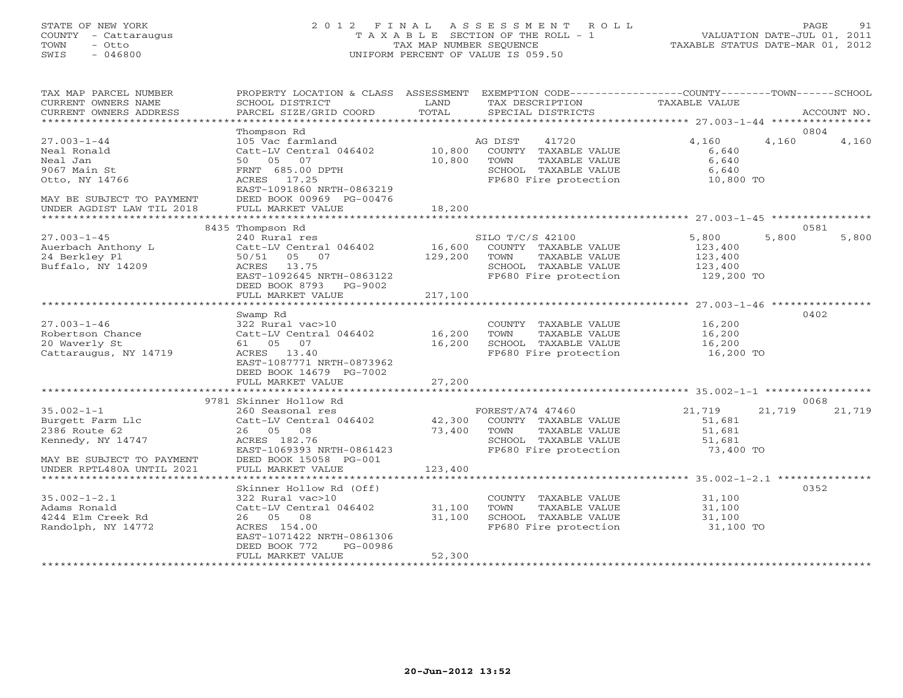### STATE OF NEW YORK 2 0 1 2 F I N A L A S S E S S M E N T R O L L PAGE 91 COUNTY - Cattaraugus T A X A B L E SECTION OF THE ROLL - 1 VALUATION DATE-JUL 01, 2011 TOWN - Otto TAX MAP NUMBER SEQUENCE TAXABLE STATUS DATE-MAR 01, 2012 SWIS - 046800 UNIFORM PERCENT OF VALUE IS 059.50UNIFORM PERCENT OF VALUE IS 059.50

| TAX MAP PARCEL NUMBER<br>CURRENT OWNERS NAME<br>CURRENT OWNERS ADDRESS                                      | PROPERTY LOCATION & CLASS ASSESSMENT<br>SCHOOL DISTRICT<br>PARCEL SIZE/GRID COORD                                                                                                | LAND<br>TOTAL                | EXEMPTION CODE-----------------COUNTY-------TOWN------SCHOOL<br>TAX DESCRIPTION<br>SPECIAL DISTRICTS               | TAXABLE VALUE                                        |        | ACCOUNT NO.    |
|-------------------------------------------------------------------------------------------------------------|----------------------------------------------------------------------------------------------------------------------------------------------------------------------------------|------------------------------|--------------------------------------------------------------------------------------------------------------------|------------------------------------------------------|--------|----------------|
|                                                                                                             |                                                                                                                                                                                  |                              |                                                                                                                    |                                                      |        |                |
| $27.003 - 1 - 44$<br>Neal Ronald<br>Neal Jan<br>9067 Main St<br>Otto, NY 14766<br>MAY BE SUBJECT TO PAYMENT | Thompson Rd<br>105 Vac farmland<br>Catt-LV Central 046402<br>50 05 07<br>FRNT 685.00 DPTH<br>ACRES 17.25<br>EAST-1091860 NRTH-0863219<br>DEED BOOK 00969 PG-00476                | 10,800<br>10,800             | 41720<br>AG DIST<br>COUNTY TAXABLE VALUE<br>TAXABLE VALUE<br>TOWN<br>SCHOOL TAXABLE VALUE<br>FP680 Fire protection | 4,160<br>6,640<br>6,640<br>6,640<br>10,800 TO        | 4,160  | 0804<br>4,160  |
| UNDER AGDIST LAW TIL 2018                                                                                   | FULL MARKET VALUE                                                                                                                                                                | 18,200                       |                                                                                                                    |                                                      |        |                |
|                                                                                                             | ****************************                                                                                                                                                     |                              |                                                                                                                    |                                                      |        |                |
| $27.003 - 1 - 45$<br>Auerbach Anthony L<br>24 Berkley Pl<br>Buffalo, NY 14209                               | 8435 Thompson Rd<br>240 Rural res<br>Catt-LV Central 046402<br>05 07<br>50/51<br>ACRES 13.75<br>EAST-1092645 NRTH-0863122<br>DEED BOOK 8793<br>PG-9002<br>FULL MARKET VALUE      | 16,600<br>129,200<br>217,100 | SILO T/C/S 42100<br>COUNTY TAXABLE VALUE<br>TOWN<br>TAXABLE VALUE<br>SCHOOL TAXABLE VALUE<br>FP680 Fire protection | 5,800<br>123,400<br>123,400<br>123,400<br>129,200 TO | 5,800  | 0581<br>5,800  |
|                                                                                                             |                                                                                                                                                                                  |                              |                                                                                                                    |                                                      |        |                |
| $27.003 - 1 - 46$<br>Robertson Chance<br>20 Waverly St<br>Cattaraugus, NY 14719                             | Swamp Rd<br>322 Rural vac>10<br>Catt-LV Central 046402<br>61 05 07<br>ACRES 13.40<br>EAST-1087771 NRTH-0873962<br>DEED BOOK 14679 PG-7002                                        | 16,200<br>16,200             | COUNTY TAXABLE VALUE<br>TOWN<br>TAXABLE VALUE<br>SCHOOL TAXABLE VALUE<br>FP680 Fire protection                     | 16,200<br>16,200<br>16,200<br>16,200 TO              |        | 0402           |
|                                                                                                             | FULL MARKET VALUE                                                                                                                                                                | 27,200                       |                                                                                                                    |                                                      |        |                |
| $35.002 - 1 - 1$<br>Burgett Farm Llc<br>2386 Route 62<br>Kennedy, NY 14747                                  | 9781 Skinner Hollow Rd<br>260 Seasonal res<br>Catt-LV Central 046402<br>26 05 08<br>ACRES 182.76<br>EAST-1069393 NRTH-0861423                                                    | 42,300<br>73,400             | FOREST/A74 47460<br>COUNTY TAXABLE VALUE<br>TAXABLE VALUE<br>TOWN<br>SCHOOL TAXABLE VALUE<br>FP680 Fire protection | 21,719<br>51,681<br>51,681<br>51,681<br>73,400 TO    | 21,719 | 0068<br>21,719 |
| MAY BE SUBJECT TO PAYMENT<br>UNDER RPTL480A UNTIL 2021                                                      | DEED BOOK 15058 PG-001<br>FULL MARKET VALUE                                                                                                                                      | 123,400                      |                                                                                                                    |                                                      |        |                |
| $35.002 - 1 - 2.1$<br>Adams Ronald<br>4244 Elm Creek Rd<br>Randolph, NY 14772                               | Skinner Hollow Rd (Off)<br>322 Rural vac>10<br>Catt-LV Central 046402<br>26 05 08<br>ACRES 154.00<br>EAST-1071422 NRTH-0861306<br>DEED BOOK 772<br>PG-00986<br>FULL MARKET VALUE | 31,100<br>31,100<br>52,300   | COUNTY TAXABLE VALUE<br>TOWN<br>TAXABLE VALUE<br>SCHOOL TAXABLE VALUE<br>FP680 Fire protection                     | 31,100<br>31,100<br>31,100<br>31,100 TO              |        | 0352           |
|                                                                                                             |                                                                                                                                                                                  |                              |                                                                                                                    |                                                      |        |                |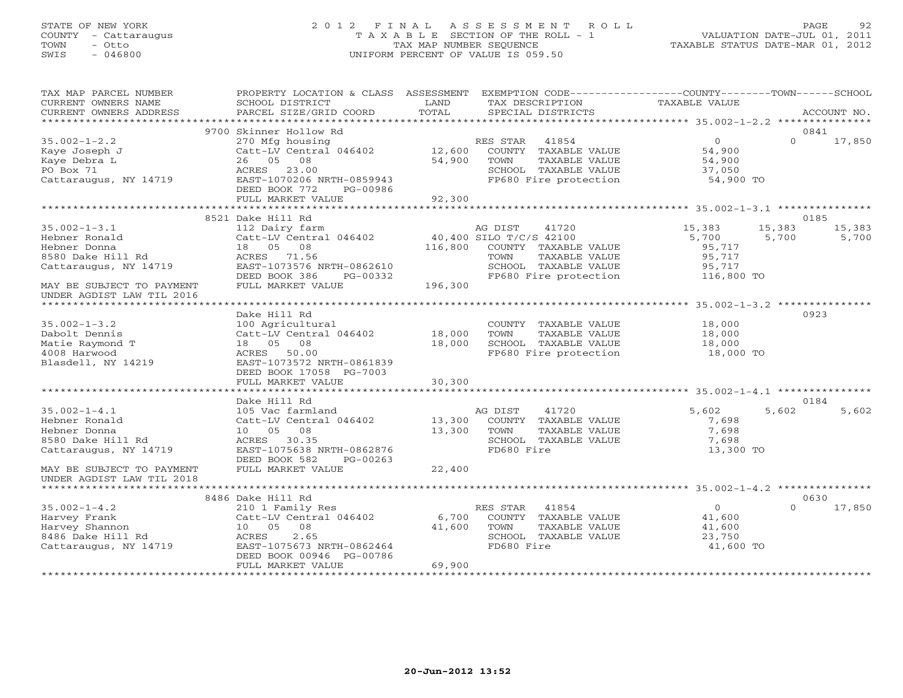### STATE OF NEW YORK 2 0 1 2 F I N A L A S S E S S M E N T R O L L PAGE 92 COUNTY - Cattaraugus T A X A B L E SECTION OF THE ROLL - 1 VALUATION DATE-JUL 01, 2011 TOWN - Otto TAX MAP NUMBER SEQUENCE TAXABLE STATUS DATE-MAR 01, 2012 SWIS - 046800 UNIFORM PERCENT OF VALUE IS 059.50UNIFORM PERCENT OF VALUE IS 059.50

| TAX MAP PARCEL NUMBER<br>CURRENT OWNERS NAME<br>CURRENT OWNERS ADDRESS | PROPERTY LOCATION & CLASS ASSESSMENT<br>SCHOOL DISTRICT<br>PARCEL SIZE/GRID COORD       | LAND<br>TOTAL | EXEMPTION CODE-----------------COUNTY-------TOWN------SCHOOL<br>TAX DESCRIPTION<br>SPECIAL DISTRICTS | TAXABLE VALUE                 | ACCOUNT NO.                |
|------------------------------------------------------------------------|-----------------------------------------------------------------------------------------|---------------|------------------------------------------------------------------------------------------------------|-------------------------------|----------------------------|
|                                                                        |                                                                                         |               |                                                                                                      |                               |                            |
| $35.002 - 1 - 2.2$<br>Kaye Joseph J                                    | 9700 Skinner Hollow Rd<br>270 Mfg housing<br>Catt-LV Central 046402                     | 12,600        | RES STAR<br>41854<br>COUNTY TAXABLE VALUE                                                            | $\overline{0}$<br>54,900      | 0841<br>$\Omega$<br>17,850 |
| Kaye Debra L<br>PO Box 71<br>Cattaraugus, NY 14719                     | 26 05<br>08<br>ACRES<br>23.00<br>EAST-1070206 NRTH-0859943<br>DEED BOOK 772<br>PG-00986 | 54,900        | TOWN<br>TAXABLE VALUE<br>SCHOOL TAXABLE VALUE<br>FP680 Fire protection                               | 54,900<br>37,050<br>54,900 TO |                            |
|                                                                        | FULL MARKET VALUE                                                                       | 92,300        |                                                                                                      |                               |                            |
|                                                                        |                                                                                         |               |                                                                                                      |                               |                            |
|                                                                        | 8521 Dake Hill Rd                                                                       |               |                                                                                                      |                               | 0185                       |
| $35.002 - 1 - 3.1$                                                     | 112 Dairy farm                                                                          |               | AG DIST<br>41720                                                                                     | 15,383                        | 15,383<br>15,383           |
| Hebner Ronald                                                          | Catt-LV Central 046402                                                                  |               | 40,400 SILO T/C/S 42100                                                                              | 5,700                         | 5,700<br>5,700             |
| Hebner Donna                                                           | 18 05 08                                                                                | 116,800       | COUNTY TAXABLE VALUE                                                                                 | 95,717                        |                            |
| 8580 Dake Hill Rd                                                      | ACRES 71.56                                                                             |               | TOWN<br>TAXABLE VALUE                                                                                | 95,717                        |                            |
| Cattaraugus, NY 14719                                                  | EAST-1073576 NRTH-0862610                                                               |               | SCHOOL TAXABLE VALUE                                                                                 | 95,717                        |                            |
| MAY BE SUBJECT TO PAYMENT                                              | DEED BOOK 386<br>PG-00332<br>FULL MARKET VALUE                                          | 196,300       | FP680 Fire protection                                                                                | 116,800 TO                    |                            |
| UNDER AGDIST LAW TIL 2016                                              |                                                                                         |               |                                                                                                      |                               |                            |
|                                                                        |                                                                                         |               |                                                                                                      |                               |                            |
|                                                                        | Dake Hill Rd                                                                            |               |                                                                                                      |                               | 0923                       |
| $35.002 - 1 - 3.2$                                                     | 100 Agricultural                                                                        |               | COUNTY TAXABLE VALUE                                                                                 | 18,000                        |                            |
| Dabolt Dennis                                                          | Catt-LV Central 046402                                                                  | 18,000        | TOWN<br>TAXABLE VALUE                                                                                | 18,000                        |                            |
| Matie Raymond T                                                        | 18  05  08                                                                              | 18,000        | SCHOOL TAXABLE VALUE                                                                                 | 18,000                        |                            |
| 4008 Harwood                                                           | ACRES 50.00                                                                             |               | FP680 Fire protection                                                                                | 18,000 TO                     |                            |
| Blasdell, NY 14219                                                     | EAST-1073572 NRTH-0861839                                                               |               |                                                                                                      |                               |                            |
|                                                                        | DEED BOOK 17058 PG-7003                                                                 |               |                                                                                                      |                               |                            |
|                                                                        | FULL MARKET VALUE                                                                       | 30,300        |                                                                                                      |                               |                            |
|                                                                        |                                                                                         |               |                                                                                                      |                               |                            |
|                                                                        | Dake Hill Rd                                                                            |               |                                                                                                      |                               | 0184                       |
| $35.002 - 1 - 4.1$                                                     | 105 Vac farmland                                                                        |               | AG DIST<br>41720                                                                                     | 5,602                         | 5,602<br>5,602             |
| Hebner Ronald                                                          | Catt-LV Central 046402                                                                  | 13,300        | COUNTY TAXABLE VALUE                                                                                 | 7,698                         |                            |
| Hebner Donna                                                           | 08<br>10 05                                                                             | 13,300        | TOWN<br>TAXABLE VALUE                                                                                | 7,698                         |                            |
| 8580 Dake Hill Rd                                                      | ACRES 30.35                                                                             |               | SCHOOL TAXABLE VALUE                                                                                 | 7,698                         |                            |
| Cattaraugus, NY 14719                                                  | EAST-1075638 NRTH-0862876                                                               |               | FD680 Fire                                                                                           | 13,300 TO                     |                            |
|                                                                        | DEED BOOK 582<br>PG-00263<br>FULL MARKET VALUE                                          | 22,400        |                                                                                                      |                               |                            |
| MAY BE SUBJECT TO PAYMENT<br>UNDER AGDIST LAW TIL 2018                 |                                                                                         |               |                                                                                                      |                               |                            |
|                                                                        |                                                                                         |               |                                                                                                      |                               |                            |
|                                                                        | 8486 Dake Hill Rd                                                                       |               |                                                                                                      |                               | 0630                       |
| $35.002 - 1 - 4.2$                                                     | 210 1 Family Res                                                                        |               | RES STAR<br>41854                                                                                    | $\overline{O}$                | $\Omega$<br>17,850         |
| Harvey Frank                                                           | Catt-LV Central 046402                                                                  | 6,700         | COUNTY TAXABLE VALUE                                                                                 | 41,600                        |                            |
| Harvey Shannon                                                         | 10 05<br>08                                                                             | 41,600        | TOWN<br>TAXABLE VALUE                                                                                | 41,600                        |                            |
| 8486 Dake Hill Rd                                                      | 2.65<br>ACRES                                                                           |               | SCHOOL TAXABLE VALUE                                                                                 | 23,750                        |                            |
| Cattaraugus, NY 14719                                                  | EAST-1075673 NRTH-0862464                                                               |               | FD680 Fire                                                                                           | 41,600 TO                     |                            |
|                                                                        | DEED BOOK 00946 PG-00786                                                                |               |                                                                                                      |                               |                            |
|                                                                        | FULL MARKET VALUE                                                                       | 69,900        |                                                                                                      |                               |                            |
|                                                                        |                                                                                         |               |                                                                                                      |                               |                            |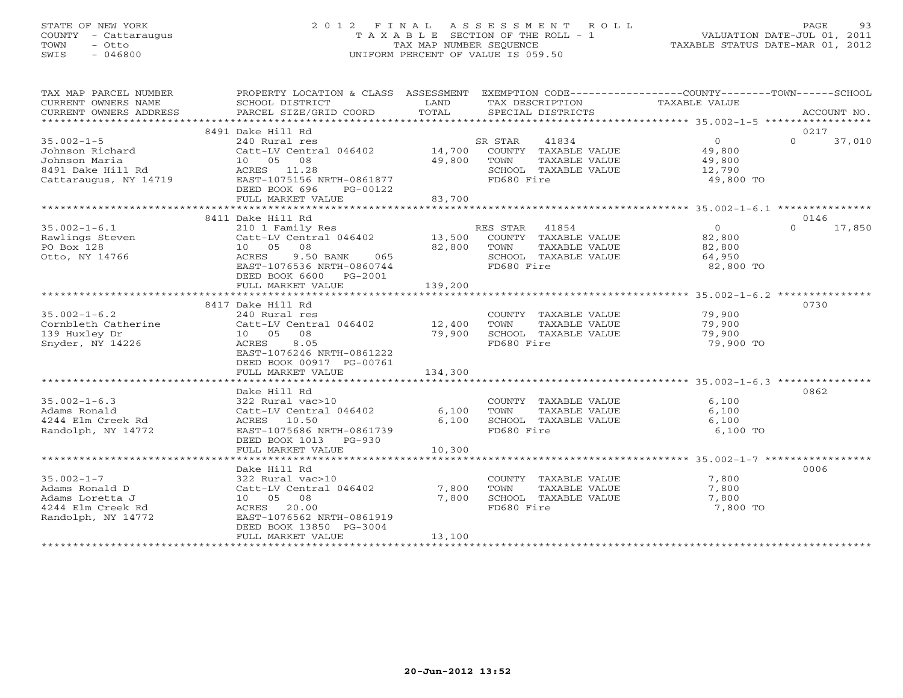### STATE OF NEW YORK 2 0 1 2 F I N A L A S S E S S M E N T R O L L PAGE 93 COUNTY - Cattaraugus T A X A B L E SECTION OF THE ROLL - 1 VALUATION DATE-JUL 01, 2011 TOWN - Otto TAX MAP NUMBER SEQUENCE TAXABLE STATUS DATE-MAR 01, 2012 SWIS - 046800 UNIFORM PERCENT OF VALUE IS 059.50UNIFORM PERCENT OF VALUE IS 059.50

| TAX MAP PARCEL NUMBER<br>CURRENT OWNERS NAME<br>CURRENT OWNERS ADDRESS | PROPERTY LOCATION & CLASS ASSESSMENT<br>SCHOOL DISTRICT<br>PARCEL SIZE/GRID COORD | LAND<br>TOTAL | EXEMPTION CODE-----------------COUNTY-------TOWN------SCHOOL<br>TAX DESCRIPTION TAXABLE VALUE<br>SPECIAL DISTRICTS |                            | ACCOUNT NO. |
|------------------------------------------------------------------------|-----------------------------------------------------------------------------------|---------------|--------------------------------------------------------------------------------------------------------------------|----------------------------|-------------|
|                                                                        |                                                                                   |               |                                                                                                                    |                            |             |
|                                                                        | 8491 Dake Hill Rd                                                                 |               |                                                                                                                    |                            | 0217        |
| $35.002 - 1 - 5$                                                       | 240 Rural res                                                                     |               | SR STAR<br>41834                                                                                                   | 0<br>$\Omega$              | 37,010      |
| Johnson Richard                                                        | Catt-LV Central 046402 14,700                                                     |               | COUNTY TAXABLE VALUE                                                                                               | 49,800                     |             |
| Johnson Maria                                                          | 10 05 08                                                                          | 49,800        | TOWN<br>TAXABLE VALUE                                                                                              | 49,800                     |             |
| 8491 Dake Hill Rd                                                      | ACRES 11.28                                                                       |               | SCHOOL TAXABLE VALUE                                                                                               | 12,790                     |             |
| Cattaraugus, NY 14719                                                  | EAST-1075156 NRTH-0861877                                                         |               | FD680 Fire                                                                                                         | 49,800 TO                  |             |
|                                                                        | DEED BOOK 696<br>PG-00122                                                         |               |                                                                                                                    |                            |             |
|                                                                        | FULL MARKET VALUE                                                                 | 83,700        |                                                                                                                    |                            |             |
|                                                                        |                                                                                   |               |                                                                                                                    |                            |             |
|                                                                        | 8411 Dake Hill Rd                                                                 |               |                                                                                                                    |                            | 0146        |
| $35.002 - 1 - 6.1$                                                     | 210 1 Family Res                                                                  |               | RES STAR 41854                                                                                                     | $\overline{0}$<br>$\Omega$ | 17,850      |
| Rawlings Steven                                                        | Catt-LV Central 046402                                                            | 13,500        | COUNTY TAXABLE VALUE                                                                                               | 82,800                     |             |
| PO Box 128                                                             | 10 05 08                                                                          | 82,800        | TOWN<br>TAXABLE VALUE                                                                                              | 82,800                     |             |
| Otto, NY 14766                                                         | ACRES<br>9.50 BANK<br>065                                                         |               | SCHOOL TAXABLE VALUE                                                                                               | 64,950                     |             |
|                                                                        | EAST-1076536 NRTH-0860744                                                         |               | FD680 Fire                                                                                                         | 82,800 TO                  |             |
|                                                                        | DEED BOOK 6600 PG-2001                                                            |               |                                                                                                                    |                            |             |
|                                                                        | FULL MARKET VALUE                                                                 | 139,200       |                                                                                                                    |                            |             |
|                                                                        |                                                                                   |               |                                                                                                                    |                            |             |
|                                                                        | 8417 Dake Hill Rd                                                                 |               |                                                                                                                    |                            | 0730        |
| $35.002 - 1 - 6.2$                                                     | 240 Rural res                                                                     |               | COUNTY TAXABLE VALUE                                                                                               | 79,900                     |             |
| Cornbleth Catherine                                                    | Catt-LV Central 046402                                                            | 12,400        | TOWN<br>TAXABLE VALUE                                                                                              | 79,900                     |             |
| 139 Huxley Dr                                                          | 10 05 08                                                                          | 79,900        | SCHOOL TAXABLE VALUE                                                                                               | 79,900                     |             |
| Snyder, NY 14226                                                       | 8.05<br>ACRES                                                                     |               | FD680 Fire                                                                                                         | 79,900 TO                  |             |
|                                                                        | EAST-1076246 NRTH-0861222                                                         |               |                                                                                                                    |                            |             |
|                                                                        | DEED BOOK 00917 PG-00761                                                          |               |                                                                                                                    |                            |             |
|                                                                        | FULL MARKET VALUE                                                                 | 134,300       |                                                                                                                    |                            |             |
|                                                                        |                                                                                   |               |                                                                                                                    |                            |             |
|                                                                        | Dake Hill Rd                                                                      |               |                                                                                                                    |                            | 0862        |
| $35.002 - 1 - 6.3$                                                     | 322 Rural vac>10                                                                  |               | COUNTY TAXABLE VALUE                                                                                               | 6,100                      |             |
| Adams Ronald                                                           | Catt-LV Central 046402                                                            | 6,100         | TAXABLE VALUE<br>TOWN                                                                                              | 6,100                      |             |
| 4244 Elm Creek Rd                                                      | ACRES 10.50                                                                       | 6,100         | SCHOOL TAXABLE VALUE                                                                                               | 6,100                      |             |
| Randolph, NY 14772                                                     | EAST-1075686 NRTH-0861739                                                         |               | FD680 Fire                                                                                                         | 6,100 TO                   |             |
|                                                                        | DEED BOOK 1013 PG-930                                                             |               |                                                                                                                    |                            |             |
|                                                                        | FULL MARKET VALUE                                                                 | 10,300        |                                                                                                                    |                            |             |
|                                                                        |                                                                                   |               |                                                                                                                    |                            |             |
|                                                                        | Dake Hill Rd                                                                      |               |                                                                                                                    |                            | 0006        |
| $35.002 - 1 - 7$                                                       |                                                                                   |               |                                                                                                                    |                            |             |
| Adams Ronald D                                                         | 322 Rural vac>10<br>Catt-LV Central 046402                                        | 7,800         | COUNTY TAXABLE VALUE<br>TOWN<br>TAXABLE VALUE                                                                      | 7,800<br>7,800             |             |
|                                                                        | 10 05 08                                                                          | 7,800         | SCHOOL TAXABLE VALUE                                                                                               | 7,800                      |             |
| Adams Loretta J<br>4244 Elm Creek Rd                                   | 20.00<br>ACRES                                                                    |               | FD680 Fire                                                                                                         | 7,800 TO                   |             |
|                                                                        | EAST-1076562 NRTH-0861919                                                         |               |                                                                                                                    |                            |             |
| Randolph, NY 14772                                                     |                                                                                   |               |                                                                                                                    |                            |             |
|                                                                        | DEED BOOK 13850 PG-3004                                                           |               |                                                                                                                    |                            |             |
|                                                                        | FULL MARKET VALUE                                                                 | 13,100        |                                                                                                                    |                            |             |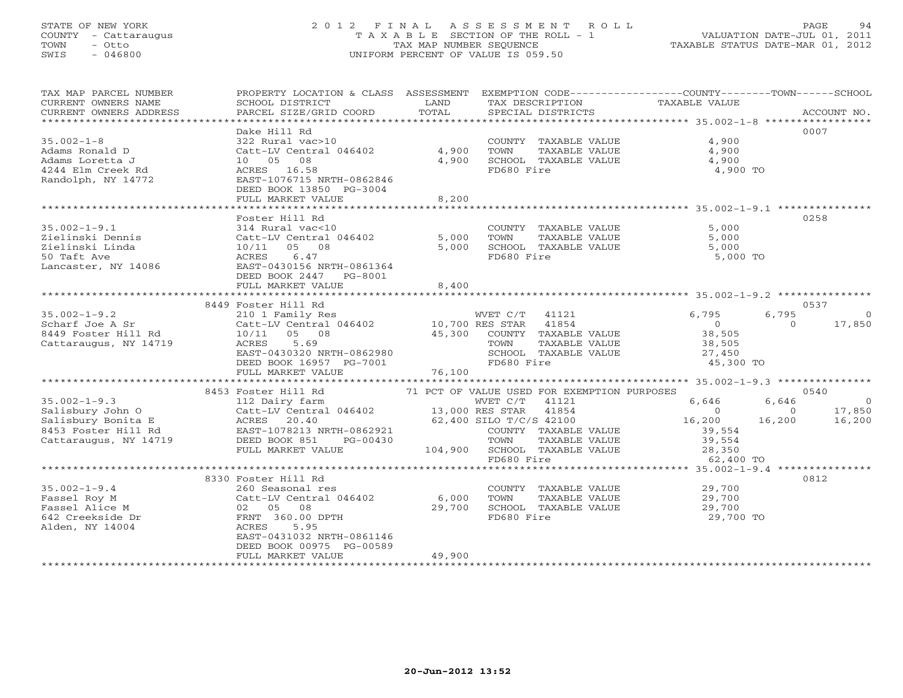# STATE OF NEW YORK 2 0 1 2 F I N A L A S S E S S M E N T R O L L PAGE 94 COUNTY - Cattaraugus T A X A B L E SECTION OF THE ROLL - 1 VALUATION DATE-JUL 01, 2011 TOWN - Otto TAX MAP NUMBER SEQUENCE TAXABLE STATUS DATE-MAR 01, 2012 SWIS - 046800 UNIFORM PERCENT OF VALUE IS 059.50

| TAX MAP PARCEL NUMBER<br>CURRENT OWNERS NAME | PROPERTY LOCATION & CLASS ASSESSMENT<br>SCHOOL DISTRICT | LAND<br>TOTAL   | TAX DESCRIPTION                               | EXEMPTION CODE----------------COUNTY-------TOWN------SCHOOL<br>TAXABLE VALUE | ACCOUNT NO. |
|----------------------------------------------|---------------------------------------------------------|-----------------|-----------------------------------------------|------------------------------------------------------------------------------|-------------|
| CURRENT OWNERS ADDRESS                       | PARCEL SIZE/GRID COORD                                  |                 | SPECIAL DISTRICTS                             |                                                                              |             |
|                                              | Dake Hill Rd                                            |                 |                                               |                                                                              | 0007        |
| $35.002 - 1 - 8$                             | 322 Rural vac>10                                        |                 | COUNTY TAXABLE VALUE                          | 4,900                                                                        |             |
| Adams Ronald D                               | Catt-LV Central 046402                                  | 4,900           | TOWN<br>TAXABLE VALUE                         | 4,900                                                                        |             |
| Adams Loretta J                              | 10 05 08                                                | 4,900           | SCHOOL TAXABLE VALUE                          | 4,900                                                                        |             |
| 4244 Elm Creek Rd                            | ACRES 16.58                                             |                 | FD680 Fire                                    | 4,900 TO                                                                     |             |
| Randolph, NY 14772                           | EAST-1076715 NRTH-0862846                               |                 |                                               |                                                                              |             |
|                                              | DEED BOOK 13850 PG-3004                                 |                 |                                               |                                                                              |             |
|                                              | FULL MARKET VALUE                                       | 8,200           |                                               |                                                                              |             |
|                                              | *********************************                       |                 |                                               |                                                                              |             |
|                                              | Foster Hill Rd                                          |                 |                                               |                                                                              | 0258        |
| $35.002 - 1 - 9.1$                           | 314 Rural vac<10                                        |                 | COUNTY TAXABLE VALUE                          | 5,000                                                                        |             |
| Zielinski Dennis<br>Zielinski Linda          | Catt-LV Central 046402<br>$10/11$ 05<br>08              | 5,000<br>5,000  | TAXABLE VALUE<br>TOWN<br>SCHOOL TAXABLE VALUE | 5,000<br>5,000                                                               |             |
| 50 Taft Ave                                  | 6.47<br>ACRES                                           |                 | FD680 Fire                                    | 5,000 TO                                                                     |             |
| Lancaster, NY 14086                          | EAST-0430156 NRTH-0861364                               |                 |                                               |                                                                              |             |
|                                              | DEED BOOK 2447<br>PG-8001                               |                 |                                               |                                                                              |             |
|                                              | FULL MARKET VALUE                                       | 8,400           |                                               |                                                                              |             |
|                                              |                                                         |                 |                                               |                                                                              |             |
|                                              | 8449 Foster Hill Rd                                     |                 |                                               |                                                                              | 0537        |
| $35.002 - 1 - 9.2$                           | 210 1 Family Res                                        |                 | WVET C/T<br>41121                             | 6,795<br>6,795                                                               | $\circ$     |
| Scharf Joe A Sr                              | Catt-LV Central 046402                                  | 10,700 RES STAR | 41854                                         | $\circ$<br>$\Omega$                                                          | 17,850      |
| 8449 Foster Hill Rd                          | 10/11<br>05 08                                          | 45,300          | COUNTY TAXABLE VALUE                          | 38,505                                                                       |             |
| Cattaraugus, NY 14719                        | ACRES<br>5.69                                           |                 | TOWN<br>TAXABLE VALUE                         | 38,505                                                                       |             |
|                                              | EAST-0430320 NRTH-0862980                               |                 | SCHOOL TAXABLE VALUE                          | 27,450                                                                       |             |
|                                              | DEED BOOK 16957 PG-7001<br>FULL MARKET VALUE            | 76,100          | FD680 Fire                                    | 45,300 TO                                                                    |             |
|                                              | *****************************                           |                 |                                               |                                                                              |             |
|                                              | 8453 Foster Hill Rd                                     |                 | 71 PCT OF VALUE USED FOR EXEMPTION PURPOSES   |                                                                              | 0540        |
| $35.002 - 1 - 9.3$                           | 112 Dairy farm                                          |                 | WVET C/T<br>41121                             | 6,646<br>6,646                                                               | $\bigcirc$  |
| Salisbury John O                             | Catt-LV Central 046402                                  | 13,000 RES STAR | 41854                                         | $\Omega$<br>$\Omega$                                                         | 17,850      |
| Salisbury Bonita E                           | ACRES 20.40                                             |                 | 62,400 SILO T/C/S 42100                       | 16,200<br>16,200                                                             | 16,200      |
| 8453 Foster Hill Rd                          | EAST-1078213 NRTH-0862921                               |                 | COUNTY TAXABLE VALUE                          | 39,554                                                                       |             |
| Cattaraugus, NY 14719                        | DEED BOOK 851<br>PG-00430                               |                 | TOWN<br>TAXABLE VALUE                         | 39,554                                                                       |             |
|                                              | FULL MARKET VALUE                                       |                 | 104,900 SCHOOL TAXABLE VALUE                  | 28,350                                                                       |             |
|                                              |                                                         |                 | FD680 Fire                                    | 62,400 TO                                                                    |             |
|                                              | ***************                                         |                 | *************                                 | ********* 35.002-1-9.4 ***************                                       |             |
|                                              | 8330 Foster Hill Rd                                     |                 |                                               |                                                                              | 0812        |
| $35.002 - 1 - 9.4$                           | 260 Seasonal res                                        |                 | COUNTY TAXABLE VALUE                          | 29,700                                                                       |             |
| Fassel Roy M<br>Fassel Alice M               | Catt-LV Central 046402<br>02 05 08                      | 6,000<br>29,700 | TOWN<br>TAXABLE VALUE<br>SCHOOL TAXABLE VALUE | 29,700<br>29,700                                                             |             |
| 642 Creekside Dr                             | FRNT 360.00 DPTH                                        |                 | FD680 Fire                                    | 29,700 TO                                                                    |             |
| Alden, NY 14004                              | ACRES<br>5.95                                           |                 |                                               |                                                                              |             |
|                                              | EAST-0431032 NRTH-0861146                               |                 |                                               |                                                                              |             |
|                                              | DEED BOOK 00975 PG-00589                                |                 |                                               |                                                                              |             |
|                                              | FULL MARKET VALUE                                       | 49,900          |                                               |                                                                              |             |
|                                              |                                                         |                 |                                               |                                                                              |             |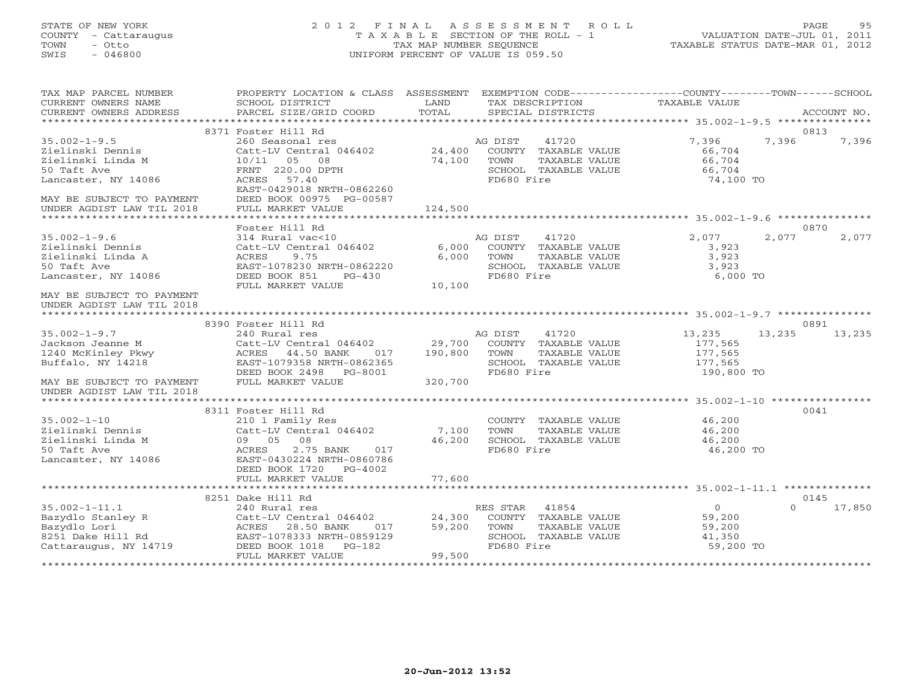### STATE OF NEW YORK 2 0 1 2 F I N A L A S S E S S M E N T R O L L PAGE 95 COUNTY - Cattaraugus T A X A B L E SECTION OF THE ROLL - 1 VALUATION DATE-JUL 01, 2011 TOWN - Otto TAX MAP NUMBER SEQUENCE TAXABLE STATUS DATE-MAR 01, 2012 SWIS - 046800 UNIFORM PERCENT OF VALUE IS 059.50UNIFORM PERCENT OF VALUE IS 059.50

| TAX MAP PARCEL NUMBER<br>CURRENT OWNERS NAME<br>CURRENT OWNERS ADDRESS                                                                                      | PROPERTY LOCATION & CLASS ASSESSMENT EXEMPTION CODE---------------COUNTY-------TOWN------SCHOOL<br>SCHOOL DISTRICT<br>PARCEL SIZE/GRID COORD                                                      | LAND<br>TOTAL               | TAX DESCRIPTION TAXABLE VALUE SPECIAL DISTRICTS                                                         |                                                                 | ACCOUNT NO.   |
|-------------------------------------------------------------------------------------------------------------------------------------------------------------|---------------------------------------------------------------------------------------------------------------------------------------------------------------------------------------------------|-----------------------------|---------------------------------------------------------------------------------------------------------|-----------------------------------------------------------------|---------------|
|                                                                                                                                                             |                                                                                                                                                                                                   |                             |                                                                                                         |                                                                 |               |
| $35.002 - 1 - 9.5$<br>Zielinski Dennis<br>Zielinski Linda M<br>50 Taft Ave<br>Lancaster, NY 14086<br>MAY BE SUBJECT TO PAYMENT<br>UNDER AGDIST LAW TIL 2018 | 8371 Foster Hill Rd<br>260 Seasonal res<br>Catt-LV Central 046402<br>10/11 05 08<br>FRNT 220.00 DPTH<br>ACRES 57.40<br>EAST-0429018 NRTH-0862260<br>DEED BOOK 00975 PG-00587<br>FULL MARKET VALUE | 24,400<br>74,100<br>124,500 | 41720<br>AG DIST<br>COUNTY TAXABLE VALUE<br>TOWN<br>TAXABLE VALUE<br>SCHOOL TAXABLE VALUE<br>FD680 Fire | 7,396<br>7,396<br>66,704<br>66,704<br>66,704<br>74,100 TO       | 0813<br>7,396 |
|                                                                                                                                                             |                                                                                                                                                                                                   |                             |                                                                                                         |                                                                 |               |
| $35.002 - 1 - 9.6$<br>Zielinski Dennis<br>Zielinski Linda A<br>50 Taft Ave<br>Lancaster, NY 14086                                                           | Foster Hill Rd<br>314 Rural vac<10<br>Catt-LV Central 046402<br>ACRES<br>9.75<br>EAST-1078230 NRTH-0862220<br>DEED BOOK 851<br>PG-430<br>FULL MARKET VALUE                                        | 6,000<br>6.000<br>10,100    | AG DIST<br>41720<br>COUNTY TAXABLE VALUE<br>TAXABLE VALUE<br>TOWN<br>SCHOOL TAXABLE VALUE<br>FD680 Fire | 2,077<br>2,077<br>3,923<br>3,923<br>3,923<br>6,000 TO           | 0870<br>2,077 |
| MAY BE SUBJECT TO PAYMENT<br>UNDER AGDIST LAW TIL 2018                                                                                                      |                                                                                                                                                                                                   |                             |                                                                                                         |                                                                 |               |
|                                                                                                                                                             | 8390 Foster Hill Rd                                                                                                                                                                               |                             |                                                                                                         |                                                                 | 0891          |
| $35.002 - 1 - 9.7$<br>Jackson Jeanne M<br>1240 McKinley Pkwy<br>Buffalo, NY 14218                                                                           | 240 Rural res<br>Catt-LV Central 046402 29,700<br>ACRES 44.50 BANK<br>EAST-1079358 NRTH-0862365<br>DEED BOOK 2498    PG-8001                                                                      | 017 190,800                 | 41720<br>AG DIST<br>COUNTY TAXABLE VALUE<br>TOWN<br>TAXABLE VALUE<br>SCHOOL TAXABLE VALUE<br>FD680 Fire | 13,235<br>13,235<br>177,565<br>177,565<br>177,565<br>190,800 TO | 13,235        |
| MAY BE SUBJECT TO PAYMENT<br>UNDER AGDIST LAW TIL 2018                                                                                                      | FULL MARKET VALUE                                                                                                                                                                                 | 320,700                     |                                                                                                         |                                                                 |               |
|                                                                                                                                                             |                                                                                                                                                                                                   |                             |                                                                                                         |                                                                 |               |
| $35.002 - 1 - 10$<br>Zielinski Dennıs<br>Zielinski Linda M<br>50 Taft Ave<br>Lancaster, NY 14086                                                            | 8311 Foster Hill Rd<br>rosser niir ku<br>210 1 Family Res<br>Catt-LV Central 046402 7,100<br>09 05 08<br>2.75 BANK<br>ACRES<br>017<br>EAST-0430224 NRTH-0860786<br>DEED BOOK 1720 PG-4002         | 7,100<br>46,200             | COUNTY TAXABLE VALUE<br>TOWN<br>TAXABLE VALUE<br>SCHOOL TAXABLE VALUE<br>FD680 Fire                     | 46,200<br>46,200<br>46,200<br>46,200 TO                         | 0041          |
|                                                                                                                                                             | FULL MARKET VALUE                                                                                                                                                                                 | 77,600                      |                                                                                                         |                                                                 |               |
|                                                                                                                                                             | 8251 Dake Hill Rd                                                                                                                                                                                 |                             |                                                                                                         |                                                                 | 0145          |
| $35.002 - 1 - 11.1$<br>Cattaraugus, NY 14719                                                                                                                | 240 Rural res<br>Catt-LV Central 046402 24,300<br>DEED BOOK 1018 PG-182<br>FULL MARKET VALUE                                                                                                      | 017 59,200<br>99,500        | RES STAR 41854<br>COUNTY TAXABLE VALUE<br>TOWN<br>TAXABLE VALUE<br>SCHOOL TAXABLE VALUE<br>FD680 Fire   | $\circ$<br>$\Omega$<br>59,200<br>59,200<br>41,350<br>59,200 TO  | 17,850        |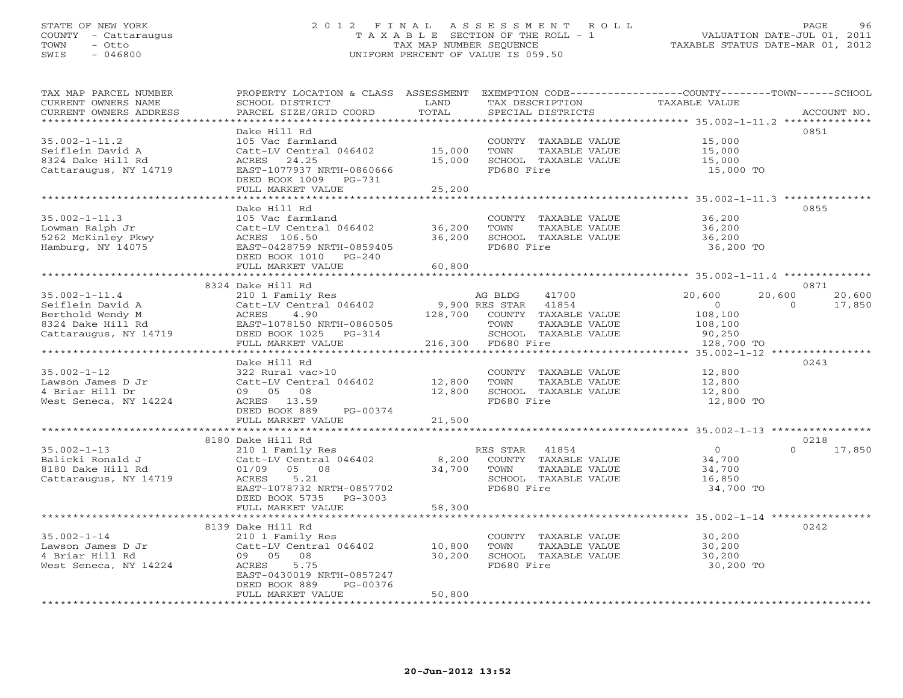#### STATE OF NEW YORK 2 0 1 2 F I N A L A S S E S S M E N T R O L L PAGE 96 COUNTY - Cattaraugus T A X A B L E SECTION OF THE ROLL - 1 VALUATION DATE-JUL 01, 2011 TOWN - Otto TAX MAP NUMBER SEQUENCE TAXABLE STATUS DATE-MAR 01, 2012 SWIS - 046800 UNIFORM PERCENT OF VALUE IS 059.50UNIFORM PERCENT OF VALUE IS 059.50

| TAX MAP PARCEL NUMBER<br>CURRENT OWNERS NAME<br>CURRENT OWNERS ADDRESS                                                                                                                                                                                            | PROPERTY LOCATION & CLASS ASSESSMENT<br>SCHOOL DISTRICT<br>PARCEL SIZE/GRID COORD                                                                                  | LAND<br>TOTAL                | EXEMPTION CODE-----------------COUNTY-------TOWN------SCHOOL<br>TAX DESCRIPTION<br>SPECIAL DISTRICTS | TAXABLE VALUE                                              | ACCOUNT NO.                            |
|-------------------------------------------------------------------------------------------------------------------------------------------------------------------------------------------------------------------------------------------------------------------|--------------------------------------------------------------------------------------------------------------------------------------------------------------------|------------------------------|------------------------------------------------------------------------------------------------------|------------------------------------------------------------|----------------------------------------|
| **********************                                                                                                                                                                                                                                            |                                                                                                                                                                    |                              |                                                                                                      |                                                            |                                        |
| $35.002 - 1 - 11.2$<br>Seiflein David A<br>8324 Dake Hill Rd<br>Cattaraugus, NY 14719                                                                                                                                                                             | Dake Hill Rd<br>105 Vac farmland<br>Catt-LV Central 046402 15,000<br>ACRES 24.25<br>EAST-1077937 NRTH-0860666<br>DEED BOOK 1009 PG-731                             | 15,000                       | COUNTY TAXABLE VALUE<br>TOWN<br>TAXABLE VALUE<br>SCHOOL TAXABLE VALUE<br>FD680 Fire                  | 15,000<br>15,000<br>15,000<br>15,000 TO                    | 0851                                   |
|                                                                                                                                                                                                                                                                   | FULL MARKET VALUE                                                                                                                                                  | 25,200                       |                                                                                                      |                                                            |                                        |
|                                                                                                                                                                                                                                                                   |                                                                                                                                                                    |                              |                                                                                                      | ****************************** 35.002-1-11.3 ************* |                                        |
| $35.002 - 1 - 11.3$<br>Lowman Ralph Jr<br>5262 McKinley Pkwy<br>Hamburg, NY 14075                                                                                                                                                                                 | Dake Hill Rd<br>105 Vac farmland<br>Catt-LV Central 046402<br>ACRES 106.50<br>EAST-0428759 NRTH-0859405<br>DEED BOOK 1010 PG-240                                   | 36,200<br>36,200             | COUNTY TAXABLE VALUE<br>TAXABLE VALUE<br>TOWN<br>SCHOOL TAXABLE VALUE<br>FD680 Fire                  | 36,200<br>36,200<br>36,200<br>36,200 TO                    | 0855                                   |
|                                                                                                                                                                                                                                                                   | FULL MARKET VALUE                                                                                                                                                  | 60,800                       |                                                                                                      |                                                            |                                        |
|                                                                                                                                                                                                                                                                   | 8324 Dake Hill Rd                                                                                                                                                  |                              |                                                                                                      |                                                            | 0871                                   |
| $35.002 - 1 - 11.4$<br>35.002-1-11.4<br>Seiflein David A Catt-LV Central 040402<br>Berthold Wendy M ACRES 4.90 128,700<br>8324 Dake Hill Rd EAST-1078150 NRTH-0860505<br>NY 14719 DEED BOOK 1025 PG-314<br>The MY 14719 DEED BOOK 1025 PG-314<br>The MY 14719 CEE | Catt-LV Central 046402 9,900 RES STAR 41854                                                                                                                        |                              | 41700<br>AG BLDG<br>128,700 COUNTY TAXABLE VALUE<br>TOWN<br>TAXABLE VALUE                            | 20,600<br>$\sim$ 0<br>108,100<br>108,100                   | 20,600<br>20,600<br>$\Omega$<br>17,850 |
|                                                                                                                                                                                                                                                                   |                                                                                                                                                                    |                              | SCHOOL TAXABLE VALUE                                                                                 | 90,250                                                     |                                        |
|                                                                                                                                                                                                                                                                   |                                                                                                                                                                    |                              | 216,300 FD680 Fire                                                                                   | 128,700 TO                                                 |                                        |
|                                                                                                                                                                                                                                                                   |                                                                                                                                                                    |                              |                                                                                                      |                                                            |                                        |
| $35.002 - 1 - 12$<br>Lawson James D Jr<br>4 Briar Hill Dr<br>West Seneca, NY 14224                                                                                                                                                                                | Dake Hill Rd<br>322 Rural vac>10<br>Catt-LV Central 046402 12,800<br>09 05 08<br>ACRES 13.59<br>DEED BOOK 889 PG-00374                                             | 12,800                       | COUNTY TAXABLE VALUE<br>TOWN<br>TAXABLE VALUE<br>SCHOOL TAXABLE VALUE<br>FD680 Fire                  | 12,800<br>12,800<br>12,800<br>12,800 TO                    | 0243                                   |
|                                                                                                                                                                                                                                                                   | FULL MARKET VALUE                                                                                                                                                  | 21,500                       |                                                                                                      |                                                            |                                        |
|                                                                                                                                                                                                                                                                   | 8180 Dake Hill Rd                                                                                                                                                  |                              |                                                                                                      |                                                            | 0218                                   |
| $35.002 - 1 - 13$<br>Balicki Ronald J<br>8180 Dake Hill Rd<br>Cattaraugus, NY 14719                                                                                                                                                                               | 210 1 Family Res<br>Catt-LV Central 046402<br>01/09 05 08<br>ACRES<br>5.21<br>EAST-1078732 NRTH-0857702<br>DEED BOOK 5735 PG-3003                                  | $0,200$ COUNT<br>34,700 TOWN | RES STAR 41854<br>8,200 COUNTY TAXABLE VALUE<br>TAXABLE VALUE<br>SCHOOL TAXABLE VALUE<br>FD680 Fire  | $\overline{0}$<br>34,700<br>34,700<br>16,850<br>34,700 TO  | 17,850<br>$\Omega$                     |
|                                                                                                                                                                                                                                                                   | FULL MARKET VALUE                                                                                                                                                  | 58,300                       |                                                                                                      |                                                            |                                        |
|                                                                                                                                                                                                                                                                   | 8139 Dake Hill Rd                                                                                                                                                  |                              |                                                                                                      |                                                            | 0242                                   |
| $35.002 - 1 - 14$<br>Lawson James D Jr<br>4 Briar Hill Rd<br>West Seneca, NY 14224                                                                                                                                                                                | 210 1 Family Res<br>Catt-LV Central $046402$ 10,800<br>09 05<br>08<br>5.75<br>ACRES<br>EAST-0430019 NRTH-0857247<br>DEED BOOK 889<br>PG-00376<br>FULL MARKET VALUE | 30,200<br>50,800             | COUNTY TAXABLE VALUE<br>TOWN<br>TAXABLE VALUE<br>SCHOOL TAXABLE VALUE<br>FD680 Fire                  | 30,200<br>30,200<br>30,200<br>30,200 TO                    |                                        |
|                                                                                                                                                                                                                                                                   |                                                                                                                                                                    |                              |                                                                                                      |                                                            |                                        |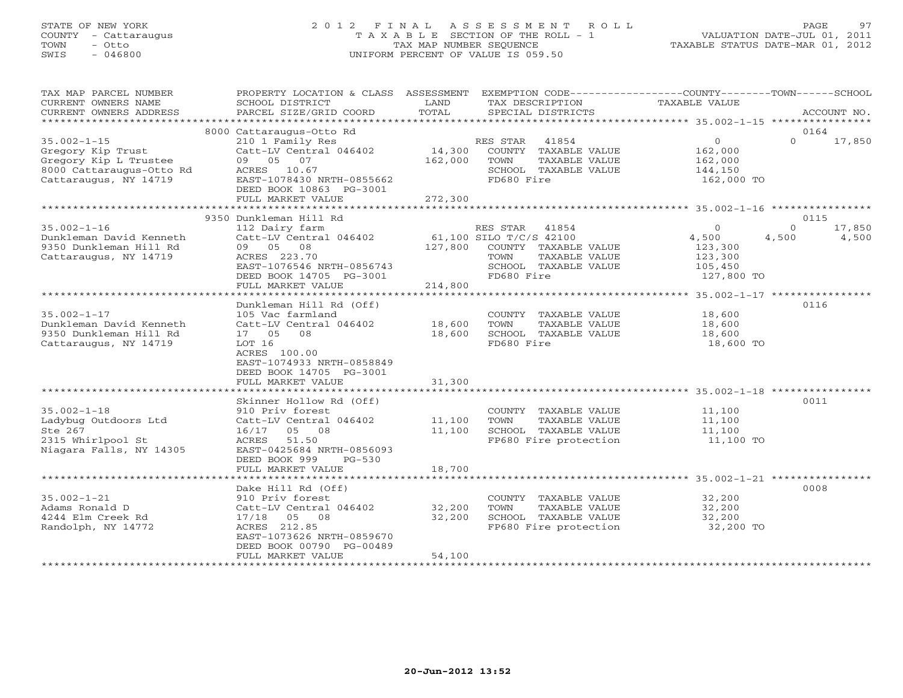### STATE OF NEW YORK 2 0 1 2 F I N A L A S S E S S M E N T R O L L PAGE 97 COUNTY - Cattaraugus T A X A B L E SECTION OF THE ROLL - 1 VALUATION DATE-JUL 01, 2011 TOWN - Otto TAX MAP NUMBER SEQUENCE TAXABLE STATUS DATE-MAR 01, 2012 SWIS - 046800 UNIFORM PERCENT OF VALUE IS 059.50UNIFORM PERCENT OF VALUE IS 059.50

| TAX MAP PARCEL NUMBER<br>CURRENT OWNERS NAME<br>CURRENT OWNERS ADDRESS                                               | PROPERTY LOCATION & CLASS ASSESSMENT<br>SCHOOL DISTRICT<br>PARCEL SIZE/GRID COORD                                                                                                           | LAND<br>TOTAL                | EXEMPTION CODE-----------------COUNTY-------TOWN------SCHOOL<br>TAX DESCRIPTION<br>SPECIAL DISTRICTS                                | TAXABLE VALUE                                                   | ACCOUNT NO.                                  |
|----------------------------------------------------------------------------------------------------------------------|---------------------------------------------------------------------------------------------------------------------------------------------------------------------------------------------|------------------------------|-------------------------------------------------------------------------------------------------------------------------------------|-----------------------------------------------------------------|----------------------------------------------|
|                                                                                                                      |                                                                                                                                                                                             |                              |                                                                                                                                     |                                                                 |                                              |
| $35.002 - 1 - 15$<br>Gregory Kip Trust<br>Gregory Kip L Trustee<br>8000 Cattaraugus-Otto Rd<br>Cattaraugus, NY 14719 | 8000 Cattaraugus-Otto Rd<br>210 1 Family Res<br>Catt-LV Central 046402<br>09 05 07<br>ACRES 10.67<br>EAST-1078430 NRTH-0855662<br>DEED BOOK 10863 PG-3001<br>FULL MARKET VALUE              | 14,300<br>162,000<br>272,300 | RES STAR<br>41854<br>COUNTY TAXABLE VALUE<br>TOWN<br>TAXABLE VALUE<br>SCHOOL TAXABLE VALUE<br>FD680 Fire                            | $\overline{0}$<br>162,000<br>162,000<br>144,150<br>162,000 TO   | 0164<br>$\Omega$<br>17,850                   |
|                                                                                                                      |                                                                                                                                                                                             |                              |                                                                                                                                     |                                                                 |                                              |
| $35.002 - 1 - 16$<br>Dunkleman David Kenneth<br>9350 Dunkleman Hill Rd<br>Cattaraugus, NY 14719                      | 9350 Dunkleman Hill Rd<br>112 Dairy farm<br>Catt-LV Central 046402<br>09 05 08<br>ACRES 223.70<br>EAST-1076546 NRTH-0856743<br>DEED BOOK 14705 PG-3001                                      | 127,800                      | RES STAR<br>41854<br>61,100 SILO T/C/S 42100<br>COUNTY TAXABLE VALUE<br>TOWN<br>TAXABLE VALUE<br>SCHOOL TAXABLE VALUE<br>FD680 Fire | $\circ$<br>4,500<br>123,300<br>123,300<br>105,450<br>127,800 TO | 0115<br>$\Omega$<br>17,850<br>4,500<br>4,500 |
|                                                                                                                      | FULL MARKET VALUE                                                                                                                                                                           | 214,800                      |                                                                                                                                     |                                                                 |                                              |
| $35.002 - 1 - 17$<br>Dunkleman David Kenneth<br>9350 Dunkleman Hill Rd<br>Cattaraugus, NY 14719                      | Dunkleman Hill Rd (Off)<br>105 Vac farmland<br>Catt-LV Central 046402<br>17 05<br>08<br>LOT 16<br>ACRES 100.00<br>EAST-1074933 NRTH-0858849<br>DEED BOOK 14705 PG-3001<br>FULL MARKET VALUE | 18,600<br>18,600<br>31,300   | COUNTY TAXABLE VALUE<br>TOWN<br>TAXABLE VALUE<br>SCHOOL TAXABLE VALUE<br>FD680 Fire                                                 | 18,600<br>18,600<br>18,600<br>18,600 TO                         | 0116                                         |
|                                                                                                                      |                                                                                                                                                                                             |                              |                                                                                                                                     |                                                                 |                                              |
| $35.002 - 1 - 18$<br>Ladybug Outdoors Ltd<br>Ste 267<br>2315 Whirlpool St<br>Niagara Falls, NY 14305                 | Skinner Hollow Rd (Off)<br>910 Priv forest<br>Catt-LV Central 046402<br>16/17 05 08<br>ACRES<br>51.50<br>EAST-0425684 NRTH-0856093<br>$PG-530$                                              | 11,100<br>11,100             | COUNTY TAXABLE VALUE<br>TOWN<br>TAXABLE VALUE<br>SCHOOL TAXABLE VALUE<br>FP680 Fire protection                                      | 11,100<br>11,100<br>11,100<br>11,100 TO                         | 0011                                         |
|                                                                                                                      | DEED BOOK 999<br>FULL MARKET VALUE                                                                                                                                                          | 18,700                       |                                                                                                                                     |                                                                 |                                              |
| *************************                                                                                            |                                                                                                                                                                                             |                              |                                                                                                                                     |                                                                 |                                              |
| $35.002 - 1 - 21$<br>Adams Ronald D<br>4244 Elm Creek Rd<br>Randolph, NY 14772                                       | Dake Hill Rd (Off)<br>910 Priv forest<br>Catt-LV Central 046402<br>17/18 05 08<br>ACRES 212.85<br>EAST-1073626 NRTH-0859670<br>DEED BOOK 00790 PG-00489<br>FULL MARKET VALUE                | 32,200<br>32,200<br>54,100   | COUNTY TAXABLE VALUE<br>TOWN<br>TAXABLE VALUE<br>SCHOOL TAXABLE VALUE<br>FP680 Fire protection                                      | 32,200<br>32,200<br>32,200<br>32,200 TO                         | 0008                                         |
|                                                                                                                      |                                                                                                                                                                                             |                              |                                                                                                                                     |                                                                 |                                              |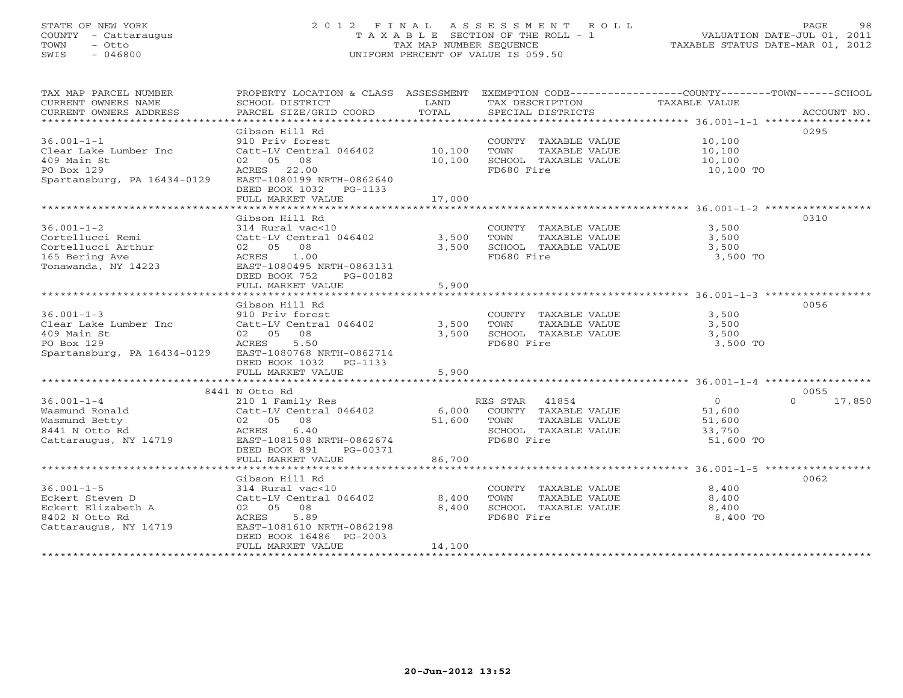### STATE OF NEW YORK 2 0 1 2 F I N A L A S S E S S M E N T R O L L PAGE 98 COUNTY - Cattaraugus T A X A B L E SECTION OF THE ROLL - 1 VALUATION DATE-JUL 01, 2011 TOWN - Otto TAX MAP NUMBER SEQUENCE TAXABLE STATUS DATE-MAR 01, 2012 SWIS - 046800 UNIFORM PERCENT OF VALUE IS 059.50UNIFORM PERCENT OF VALUE IS 059.50

| TAX MAP PARCEL NUMBER<br>CURRENT OWNERS NAME<br>CURRENT OWNERS ADDRESS                                | SCHOOL DISTRICT<br>PARCEL SIZE/GRID COORD                                                                                                                                 | LAND<br>TOTAL    | TAX DESCRIPTION TAXABLE VALUE<br>SPECIAL DISTRICTS                                                    | PROPERTY LOCATION & CLASS ASSESSMENT EXEMPTION CODE---------------COUNTY-------TOWN------SCHOOL<br>ACCOUNT NO. |  |
|-------------------------------------------------------------------------------------------------------|---------------------------------------------------------------------------------------------------------------------------------------------------------------------------|------------------|-------------------------------------------------------------------------------------------------------|----------------------------------------------------------------------------------------------------------------|--|
| $36.001 - 1 - 1$<br>Clear Lake Lumber Inc<br>409 Main St<br>PO Box 129<br>Spartansburg, PA 16434-0129 | Gibson Hill Rd<br>910 Priv forest<br>Catt-LV Central 046402 10,100<br>02 05 08<br>ACRES 22.00<br>EAST-1080199 NRTH-0862640<br>DEED BOOK 1032 PG-1133<br>FULL MARKET VALUE | 10,100<br>17,000 | COUNTY TAXABLE VALUE<br>TAXABLE VALUE<br>TOWN<br>SCHOOL TAXABLE VALUE<br>FD680 Fire                   | 0295<br>10,100<br>10, 100<br>10,100<br>10,100 TO                                                               |  |
|                                                                                                       |                                                                                                                                                                           |                  |                                                                                                       |                                                                                                                |  |
| $36.001 - 1 - 2$<br>Cortellucci Remi<br>Cortellucci Arthur<br>165 Bering Ave<br>Tonawanda, NY 14223   | Gibson Hill Rd<br>314 Rural vac<10<br>Catt-LV Central 046402<br>02 05 08<br>1.00<br>ACRES<br>EAST-1080495 NRTH-0863131<br>DEED BOOK 752<br>PG-00182                       | 3,500<br>3,500   | COUNTY TAXABLE VALUE<br>TOWN<br>TAXABLE VALUE<br>SCHOOL TAXABLE VALUE<br>FD680 Fire                   | 0310<br>3,500<br>3,500<br>3,500<br>3,500 TO                                                                    |  |
|                                                                                                       | FULL MARKET VALUE                                                                                                                                                         | 5,900            |                                                                                                       |                                                                                                                |  |
|                                                                                                       | Gibson Hill Rd                                                                                                                                                            |                  |                                                                                                       | 0056                                                                                                           |  |
| $36.001 - 1 - 3$<br>Clear Lake Lumber Inc<br>409 Main St<br>PO Box 129<br>Spartansburg, PA 16434-0129 | 910 Priv forest<br>Catt-LV Central 046402<br>02 05 08<br>ACRES<br>5.50<br>EAST-1080768 NRTH-0862714<br>DEED BOOK 1032 PG-1133                                             | 3,500<br>3,500   | COUNTY TAXABLE VALUE<br>TOWN<br>TAXABLE VALUE<br>SCHOOL TAXABLE VALUE<br>FD680 Fire                   | 3,500<br>3,500<br>3,500<br>3,500 TO                                                                            |  |
|                                                                                                       | FULL MARKET VALUE                                                                                                                                                         | 5,900            |                                                                                                       |                                                                                                                |  |
|                                                                                                       |                                                                                                                                                                           |                  |                                                                                                       |                                                                                                                |  |
| $36.001 - 1 - 4$<br>Wasmund Ronald<br>Wasmund Betty<br>8441 N Otto Rd<br>Cattaraugus, NY 14719        | 8441 N Otto Rd<br>210 1 Family Res<br>Catt-LV Central 046402<br>02 05 08<br>ACRES 6.40<br>EAST-1081508 NRTH-0862674<br>DEED BOOK 891<br>PG-00371                          | 6,000<br>51,600  | RES STAR 41854<br>COUNTY TAXABLE VALUE<br>TOWN<br>TAXABLE VALUE<br>SCHOOL TAXABLE VALUE<br>FD680 Fire | 0055<br>$\overline{O}$<br>$\Omega$<br>17,850<br>51,600<br>51,600<br>33,750<br>51,600 TO                        |  |
|                                                                                                       | FULL MARKET VALUE                                                                                                                                                         | 86,700           |                                                                                                       |                                                                                                                |  |
|                                                                                                       |                                                                                                                                                                           |                  |                                                                                                       |                                                                                                                |  |
| $36.001 - 1 - 5$<br>Eckert Steven D<br>Eckert Elizabeth A<br>8402 N Otto Rd<br>Cattaraugus, NY 14719  | Gibson Hill Rd<br>314 Rural vac<10<br>Catt-LV Central 046402<br>02 05 08<br>5.89<br>ACRES<br>EAST-1081610 NRTH-0862198<br>DEED BOOK 16486 PG-2003                         | 8,400<br>8,400   | COUNTY TAXABLE VALUE<br>TAXABLE VALUE<br>TOWN<br>SCHOOL TAXABLE VALUE<br>FD680 Fire                   | 0062<br>8,400<br>8,400<br>8,400<br>8,400 TO                                                                    |  |
|                                                                                                       | FULL MARKET VALUE                                                                                                                                                         | 14,100           |                                                                                                       |                                                                                                                |  |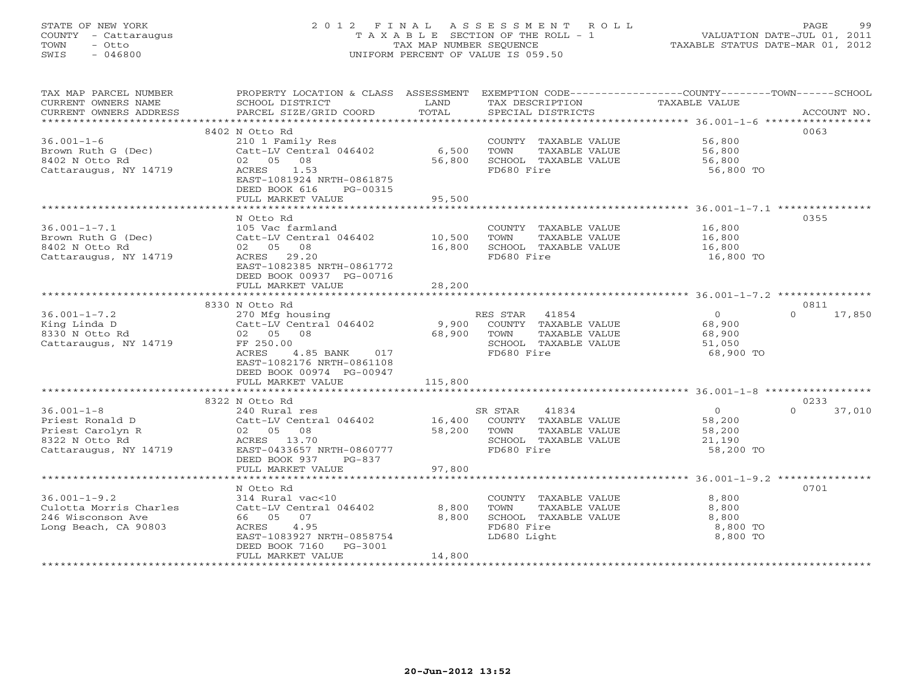### STATE OF NEW YORK 2 0 1 2 F I N A L A S S E S S M E N T R O L L PAGE 99 COUNTY - Cattaraugus T A X A B L E SECTION OF THE ROLL - 1 VALUATION DATE-JUL 01, 2011 TOWN - Otto TAX MAP NUMBER SEQUENCE TAXABLE STATUS DATE-MAR 01, 2012 SWIS - 046800 UNIFORM PERCENT OF VALUE IS 059.50UNIFORM PERCENT OF VALUE IS 059.50

| TAX MAP PARCEL NUMBER<br>CURRENT OWNERS NAME<br>CURRENT OWNERS ADDRESS    | <b>EXAMPLE SERVICE SERVICE SERVICE SERVICE SERVICE SERVICE SERVICE SERVICE SERVICE SERVICE SERVICE SERVICE SERVICE</b><br>SCHOOL DISTRICT<br>PARCEL SIZE/GRID COORD | TOTAL       | TAX DESCRIPTION<br>SPECIAL DISTRICTS          | PROPERTY LOCATION & CLASS ASSESSMENT EXEMPTION CODE---------------COUNTY-------TOWN------SCHOOL<br>TAXABLE VALUE<br>ACCOUNT NO. |
|---------------------------------------------------------------------------|---------------------------------------------------------------------------------------------------------------------------------------------------------------------|-------------|-----------------------------------------------|---------------------------------------------------------------------------------------------------------------------------------|
|                                                                           |                                                                                                                                                                     |             |                                               |                                                                                                                                 |
|                                                                           | 8402 N Otto Rd                                                                                                                                                      |             |                                               | 0063                                                                                                                            |
| $36.001 - 1 - 6$                                                          | 210 1 Family Res                                                                                                                                                    |             | COUNTY TAXABLE VALUE 56,800                   |                                                                                                                                 |
| Brown Ruth G (Dec)                                                        | Catt-LV Central 046402                                                                                                                                              | 6,500       | TOWN<br>TAXABLE VALUE                         | 56,800<br>56,800                                                                                                                |
| 8402 N Otto Rd                                                            | 02 05 08                                                                                                                                                            | 56,800      | SCHOOL TAXABLE VALUE                          |                                                                                                                                 |
| Cattaraugus, NY 14719                                                     | 1.53<br>ACRES<br>EAST-1081924 NRTH-0861875<br>DEED BOOK 616<br>PG-00315                                                                                             |             | FD680 Fire                                    | 56,800 TO                                                                                                                       |
|                                                                           | FULL MARKET VALUE                                                                                                                                                   | 95,500      |                                               |                                                                                                                                 |
|                                                                           |                                                                                                                                                                     |             |                                               |                                                                                                                                 |
|                                                                           | N Otto Rd                                                                                                                                                           |             |                                               | 0355                                                                                                                            |
| $36.001 - 1 - 7.1$                                                        | 105 Vac farmland<br>Catt-LV Central 046402 10,500                                                                                                                   |             | COUNTY TAXABLE VALUE                          | 16,800<br>16,800                                                                                                                |
| Brown Ruth G (Dec)                                                        |                                                                                                                                                                     |             | TOWN<br>TAXABLE VALUE<br>SCHOOL TAXABLE VALUE |                                                                                                                                 |
| 8402 N Otto Rd<br>Cattaraugus, NY 14719                                   | 02 05 08<br>ACRES 29.20                                                                                                                                             | 16,800      | FD680 Fire                                    | 16,800<br>16,800 TO                                                                                                             |
|                                                                           | EAST-1082385 NRTH-0861772<br>DEED BOOK 00937 PG-00716<br>FULL MARKET VALUE                                                                                          | 28,200      |                                               |                                                                                                                                 |
|                                                                           |                                                                                                                                                                     |             |                                               |                                                                                                                                 |
|                                                                           | 8330 N Otto Rd                                                                                                                                                      |             |                                               | 0811                                                                                                                            |
| $36.001 - 1 - 7.2$                                                        | 270 Mfg housing<br>Catt-LV Central 046402<br>02 05 08                                                                                                               |             | RES STAR 41854                                | $0 \t 17,850$<br>$\overline{0}$                                                                                                 |
| $\mathbf{a}$<br>King Linda D                                              |                                                                                                                                                                     | 9,900       | COUNTY TAXABLE VALUE                          | 68,900                                                                                                                          |
| 8330 N Otto Rd                                                            |                                                                                                                                                                     | 68,900 TOWN | TAXABLE VALUE                                 | 68,900                                                                                                                          |
| Cattaraugus, NY 14719                                                     | FF 250.00                                                                                                                                                           |             | SCHOOL TAXABLE VALUE                          | 51,050                                                                                                                          |
|                                                                           | ACRES<br>4.85 BANK 017                                                                                                                                              |             | FD680 Fire                                    | 68,900 TO                                                                                                                       |
|                                                                           | EAST-1082176 NRTH-0861108                                                                                                                                           |             |                                               |                                                                                                                                 |
|                                                                           | DEED BOOK 00974 PG-00947                                                                                                                                            |             |                                               |                                                                                                                                 |
|                                                                           | FULL MARKET VALUE                                                                                                                                                   | 115,800     |                                               |                                                                                                                                 |
|                                                                           | 8322 N Otto Rd                                                                                                                                                      |             |                                               | 0233                                                                                                                            |
| $36.001 - 1 - 8$                                                          | 240 Rural res                                                                                                                                                       |             | 41834<br>SR STAR                              | $\Omega$<br>37,010                                                                                                              |
| Priest Ronald D                                                           |                                                                                                                                                                     |             |                                               | $\begin{array}{c} 0 \\ 58,200 \end{array}$<br>58,200                                                                            |
| Priest Carolyn R                                                          | Catt-LV Central 046402 16,400 COUNTY TAXABLE VALUE<br>02 05 08 58,200 TOWN TAXABLE VALUE                                                                            |             | TAXABLE VALUE                                 | 58,200                                                                                                                          |
| 8322 N Otto Rd                                                            | ACRES 13.70                                                                                                                                                         |             | SCHOOL TAXABLE VALUE                          | 21,190                                                                                                                          |
| Cattaraugus, NY 14719                                                     | EAST-0433657 NRTH-0860777<br>DEED BOOK 937 PG-837                                                                                                                   |             | FD680 Fire                                    | 58,200 TO                                                                                                                       |
|                                                                           | FULL MARKET VALUE                                                                                                                                                   | 97,800      |                                               |                                                                                                                                 |
|                                                                           |                                                                                                                                                                     |             |                                               |                                                                                                                                 |
|                                                                           | N Otto Rd                                                                                                                                                           |             |                                               | 0701                                                                                                                            |
| $36.001 - 1 - 9.2$<br>Culotta Morris Charles Catt-LV Central 046402 8,800 | 314 Rural vac<10                                                                                                                                                    |             | COUNTY TAXABLE VALUE                          | 8,800                                                                                                                           |
| 246 Wisconson Ave                                                         | 66 05 07                                                                                                                                                            | 8,800       | TOWN<br>TAXABLE VALUE<br>SCHOOL TAXABLE VALUE | 8,800<br>8,800                                                                                                                  |
| Long Beach, CA 90803                                                      | ACRES 4.95                                                                                                                                                          |             | FD680 Fire                                    | 8,800 TO                                                                                                                        |
|                                                                           | EAST-1083927 NRTH-0858754                                                                                                                                           |             | LD680 Light                                   | 8,800 TO                                                                                                                        |
|                                                                           | DEED BOOK 7160 PG-3001                                                                                                                                              |             |                                               |                                                                                                                                 |
|                                                                           | FULL MARKET VALUE                                                                                                                                                   | 14,800      |                                               |                                                                                                                                 |
|                                                                           |                                                                                                                                                                     |             |                                               |                                                                                                                                 |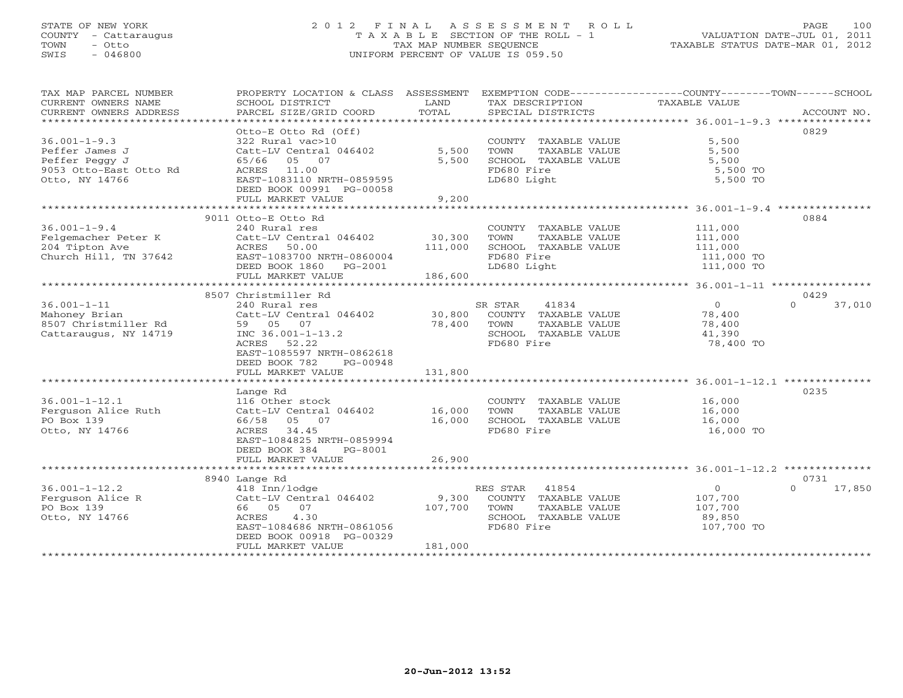### STATE OF NEW YORK 2 0 1 2 F I N A L A S S E S S M E N T R O L L PAGE 100 COUNTY - Cattaraugus T A X A B L E SECTION OF THE ROLL - 1 VALUATION DATE-JUL 01, 2011 TOWN - Otto TAX MAP NUMBER SEQUENCE TAXABLE STATUS DATE-MAR 01, 2012 SWIS - 046800 UNIFORM PERCENT OF VALUE IS 059.50UNIFORM PERCENT OF VALUE IS 059.50

| TAX MAP PARCEL NUMBER<br>CURRENT OWNERS NAME<br>CURRENT OWNERS ADDRESS                             | PROPERTY LOCATION & CLASS ASSESSMENT<br>SCHOOL DISTRICT<br>PARCEL SIZE/GRID COORD                                                                                              | LAND<br>TOTAL                | TAX DESCRIPTION<br>SPECIAL DISTRICTS                                                                    | EXEMPTION CODE-----------------COUNTY-------TOWN------SCHOOL<br>TAXABLE VALUE | ACCOUNT NO.                |
|----------------------------------------------------------------------------------------------------|--------------------------------------------------------------------------------------------------------------------------------------------------------------------------------|------------------------------|---------------------------------------------------------------------------------------------------------|-------------------------------------------------------------------------------|----------------------------|
| $36.001 - 1 - 9.3$<br>Peffer James J<br>Peffer Peggy J<br>9053 Otto-East Otto Rd<br>Otto, NY 14766 | Otto-E Otto Rd (Off)<br>322 Rural vac>10<br>Catt-LV Central 046402<br>65/66 05 07<br>ACRES 11.00<br>EAST-1083110 NRTH-0859595<br>DEED BOOK 00991 PG-00058<br>FULL MARKET VALUE | 5,500<br>5,500<br>9,200      | COUNTY TAXABLE VALUE<br>TOWN<br>TAXABLE VALUE<br>SCHOOL TAXABLE VALUE<br>FD680 Fire<br>LD680 Light      | 5,500<br>5,500<br>5,500<br>5,500 TO<br>5,500 TO                               | 0829                       |
| $36.001 - 1 - 9.4$<br>Felgemacher Peter K<br>204 Tipton Ave<br>Church Hill, TN 37642               | 9011 Otto-E Otto Rd<br>240 Rural res<br>Catt-LV Central 046402<br>ACRES 50.00<br>EAST-1083700 NRTH-0860004<br>DEED BOOK 1860<br>PG-2001<br>FULL MARKET VALUE                   | 30,300<br>111,000<br>186,600 | COUNTY TAXABLE VALUE<br>TOWN<br>TAXABLE VALUE<br>SCHOOL TAXABLE VALUE<br>FD680 Fire<br>LD680 Light      | 111,000<br>111,000<br>111,000<br>111,000 TO<br>111,000 TO                     | 0884                       |
| $36.001 - 1 - 11$<br>Mahoney Brian<br>8507 Christmiller Rd<br>Cattaraugus, NY 14719                | 8507 Christmiller Rd<br>240 Rural res<br>Catt-LV Central 046402<br>59 05 07<br>INC 36.001-1-13.2<br>ACRES 52.22<br>EAST-1085597 NRTH-0862618<br>DEED BOOK 782<br>PG-00948      | 30,800<br>78,400             | SR STAR<br>41834<br>COUNTY TAXABLE VALUE<br>TOWN<br>TAXABLE VALUE<br>SCHOOL TAXABLE VALUE<br>FD680 Fire | $\circ$<br>78,400<br>78,400<br>41,390<br>78,400 TO                            | 0429<br>37,010<br>$\Omega$ |
|                                                                                                    | FULL MARKET VALUE                                                                                                                                                              | 131,800                      |                                                                                                         |                                                                               |                            |
| $36.001 - 1 - 12.1$<br>Ferguson Alice Ruth<br>PO Box 139<br>Otto, NY 14766                         | Lange Rd<br>116 Other stock<br>Catt-LV Central 046402<br>66/58 05 07<br>ACRES 34.45<br>EAST-1084825 NRTH-0859994<br>DEED BOOK 384<br>PG-8001                                   | 16,000<br>16,000             | COUNTY TAXABLE VALUE<br>TOWN<br>TAXABLE VALUE<br>SCHOOL TAXABLE VALUE<br>FD680 Fire                     | 16,000<br>16,000<br>16,000<br>16,000 TO                                       | 0235                       |
|                                                                                                    | FULL MARKET VALUE                                                                                                                                                              | 26,900                       |                                                                                                         |                                                                               |                            |
| $36.001 - 1 - 12.2$<br>Ferguson Alice R<br>PO Box 139<br>Otto, NY 14766                            | 8940 Lange Rd<br>418 Inn/lodge<br>Catt-LV Central 046402<br>66 05 07<br>ACRES<br>4.30<br>EAST-1084686 NRTH-0861056<br>DEED BOOK 00918 PG-00329<br>FULL MARKET VALUE            | 9,300<br>107,700<br>181,000  | RES STAR 41854<br>COUNTY TAXABLE VALUE<br>TOWN<br>TAXABLE VALUE<br>SCHOOL TAXABLE VALUE<br>FD680 Fire   | $\circ$<br>107,700<br>107,700<br>89,850<br>107,700 TO                         | 0731<br>$\Omega$<br>17,850 |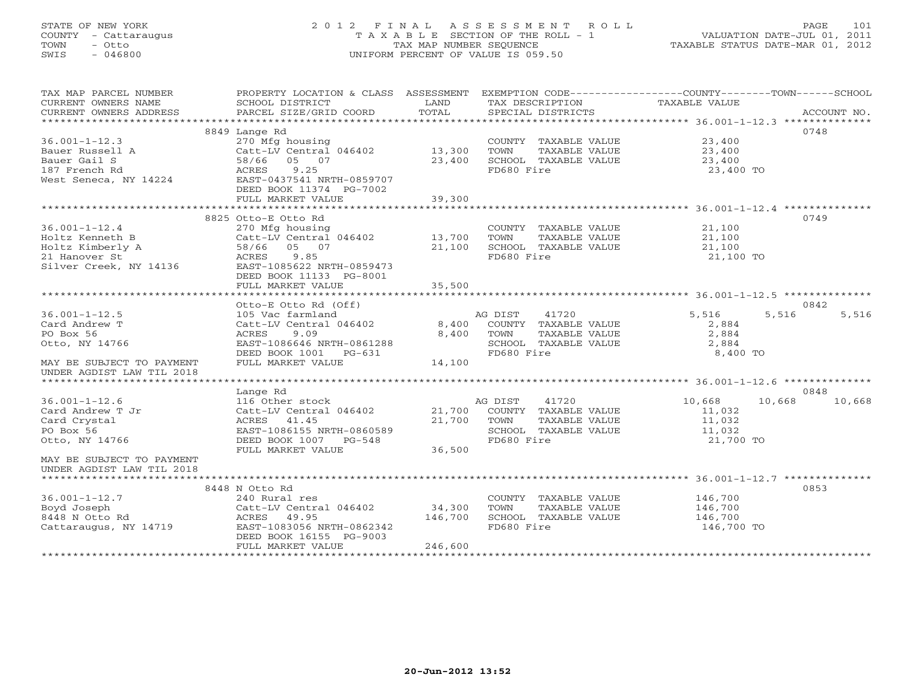### STATE OF NEW YORK 2 0 1 2 F I N A L A S S E S S M E N T R O L L PAGE 101COUNTY - Cattaraugus T A X A B L E SECTION OF THE ROLL - 1 VALUATION DATE-JUL 01, 2011 SWIS - 046800 UNIFORM PERCENT OF VALUE IS 059.50

| TAX MAP PARCEL NUMBER                   | PROPERTY LOCATION & CLASS ASSESSMENT  |         | EXEMPTION CODE-----------------COUNTY-------TOWN------SCHOOL |                  |             |
|-----------------------------------------|---------------------------------------|---------|--------------------------------------------------------------|------------------|-------------|
| CURRENT OWNERS NAME                     | SCHOOL DISTRICT                       | LAND    | TAX DESCRIPTION                                              | TAXABLE VALUE    |             |
| CURRENT OWNERS ADDRESS                  | PARCEL SIZE/GRID COORD                | TOTAL   | SPECIAL DISTRICTS                                            |                  | ACCOUNT NO. |
|                                         |                                       |         |                                                              |                  |             |
|                                         | 8849 Lange Rd                         |         |                                                              |                  | 0748        |
| $36.001 - 1 - 12.3$                     | 270 Mfg housing                       |         | COUNTY TAXABLE VALUE                                         | 23,400           |             |
| Bauer Russell A<br>Bauer Gail S         | Catt-LV Central 046402<br>58/66 05 07 | 13,300  | TOWN<br>TAXABLE VALUE                                        | 23,400           |             |
| 187 French Rd                           | ACRES<br>9.25                         | 23,400  | SCHOOL TAXABLE VALUE<br>FD680 Fire                           | 23,400           |             |
| West Seneca, NY 14224                   | EAST-0437541 NRTH-0859707             |         |                                                              | 23,400 TO        |             |
|                                         | DEED BOOK 11374 PG-7002               |         |                                                              |                  |             |
|                                         | FULL MARKET VALUE                     | 39,300  |                                                              |                  |             |
|                                         |                                       |         |                                                              |                  |             |
|                                         | 8825 Otto-E Otto Rd                   |         |                                                              |                  | 0749        |
| $36.001 - 1 - 12.4$                     | 270 Mfg housing                       |         | COUNTY TAXABLE VALUE                                         | 21,100           |             |
| Holtz Kenneth B                         | Catt-LV Central 046402                | 13,700  | TAXABLE VALUE<br>TOWN                                        | 21,100           |             |
| Holtz Kimberly A                        | 58/66<br>05 07                        | 21,100  | SCHOOL TAXABLE VALUE                                         | 21,100           |             |
| 21 Hanover St                           | ACRES<br>9.85                         |         | FD680 Fire                                                   | 21,100 TO        |             |
| Silver Creek, NY 14136                  | EAST-1085622 NRTH-0859473             |         |                                                              |                  |             |
|                                         | DEED BOOK 11133 PG-8001               |         |                                                              |                  |             |
|                                         | FULL MARKET VALUE                     | 35,500  |                                                              |                  |             |
|                                         |                                       |         |                                                              |                  |             |
|                                         | Otto-E Otto Rd (Off)                  |         |                                                              |                  | 0842        |
| $36.001 - 1 - 12.5$                     | 105 Vac farmland                      |         | 41720<br>AG DIST                                             | 5,516<br>5,516   | 5,516       |
| Card Andrew T                           | Catt-LV Central 046402                | 8,400   | COUNTY TAXABLE VALUE                                         | 2,884            |             |
| PO Box 56                               | ACRES<br>9.09                         | 8,400   | TOWN<br>TAXABLE VALUE                                        | 2,884            |             |
| Otto, NY 14766                          | EAST-1086646 NRTH-0861288             |         | SCHOOL TAXABLE VALUE                                         | 2,884            |             |
|                                         | DEED BOOK 1001 PG-631                 |         | FD680 Fire                                                   | 8,400 TO         |             |
| MAY BE SUBJECT TO PAYMENT               | FULL MARKET VALUE                     | 14,100  |                                                              |                  |             |
| UNDER AGDIST LAW TIL 2018               |                                       |         |                                                              |                  |             |
|                                         |                                       |         |                                                              |                  |             |
|                                         | Lange Rd                              |         | 41720                                                        | 10,668<br>10,668 | 0848        |
| $36.001 - 1 - 12.6$<br>Card Andrew T Jr | 116 Other stock                       | 21,700  | AG DIST<br>COUNTY TAXABLE VALUE                              |                  | 10,668      |
| Card Crystal                            | Catt-LV Central 046402<br>ACRES 41.45 | 21,700  | TOWN<br>TAXABLE VALUE                                        | 11,032<br>11,032 |             |
| PO Box 56                               | EAST-1086155 NRTH-0860589             |         | SCHOOL TAXABLE VALUE                                         | 11,032           |             |
| Otto, NY 14766                          | DEED BOOK 1007 PG-548                 |         | FD680 Fire                                                   | 21,700 TO        |             |
|                                         | FULL MARKET VALUE                     | 36,500  |                                                              |                  |             |
| MAY BE SUBJECT TO PAYMENT               |                                       |         |                                                              |                  |             |
| UNDER AGDIST LAW TIL 2018               |                                       |         |                                                              |                  |             |
|                                         |                                       |         |                                                              |                  |             |
|                                         | 8448 N Otto Rd                        |         |                                                              |                  | 0853        |
| $36.001 - 1 - 12.7$                     | 240 Rural res                         |         | COUNTY TAXABLE VALUE                                         | 146,700          |             |
| Boyd Joseph                             | Catt-LV Central 046402                | 34,300  | TAXABLE VALUE<br>TOWN                                        | 146,700          |             |
| 8448 N Otto Rd                          | ACRES<br>49.95                        | 146,700 | SCHOOL TAXABLE VALUE                                         | 146,700          |             |
| Cattaraugus, NY 14719                   | EAST-1083056 NRTH-0862342             |         | FD680 Fire                                                   | 146,700 TO       |             |
|                                         | DEED BOOK 16155 PG-9003               |         |                                                              |                  |             |
|                                         | FULL MARKET VALUE                     | 246,600 |                                                              |                  |             |
|                                         |                                       |         |                                                              |                  |             |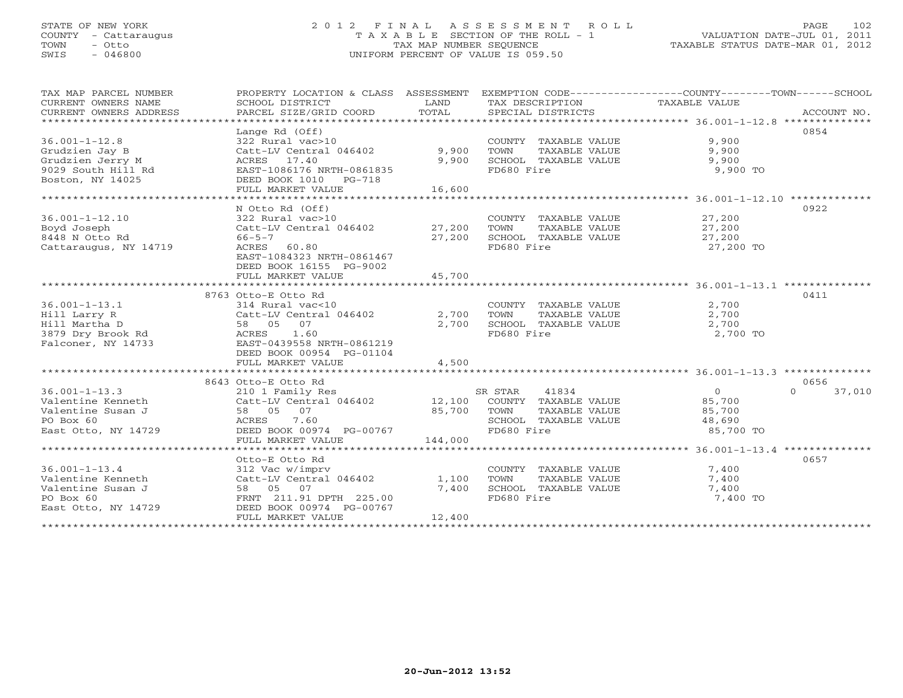### STATE OF NEW YORK 2 0 1 2 F I N A L A S S E S S M E N T R O L L PAGE 102 COUNTY - Cattaraugus T A X A B L E SECTION OF THE ROLL - 1 VALUATION DATE-JUL 01, 2011 TOWN - Otto TAX MAP NUMBER SEQUENCE TAXABLE STATUS DATE-MAR 01, 2012 SWIS - 046800 UNIFORM PERCENT OF VALUE IS 059.50UNIFORM PERCENT OF VALUE IS 059.50

| TAX MAP PARCEL NUMBER<br>CURRENT OWNERS NAME<br>CURRENT OWNERS ADDRESS<br>**********************    | PROPERTY LOCATION & CLASS ASSESSMENT<br>SCHOOL DISTRICT<br>PARCEL SIZE/GRID COORD                                                                                                   | LAND<br>TOTAL            | TAX DESCRIPTION<br>SPECIAL DISTRICTS                                                                    | EXEMPTION CODE-----------------COUNTY-------TOWN------SCHOOL<br>TAXABLE VALUE<br>ACCOUNT NO. |
|-----------------------------------------------------------------------------------------------------|-------------------------------------------------------------------------------------------------------------------------------------------------------------------------------------|--------------------------|---------------------------------------------------------------------------------------------------------|----------------------------------------------------------------------------------------------|
| $36.001 - 1 - 12.8$<br>Grudzien Jay B<br>Grudzien Jerry M<br>9029 South Hill Rd<br>Boston, NY 14025 | Lange Rd (Off)<br>322 Rural vac>10<br>Catt-LV Central 046402<br>ACRES 17.40<br>EAST-1086176 NRTH-0861835<br>DEED BOOK 1010 PG-718<br>FULL MARKET VALUE                              | 9,900<br>9,900<br>16,600 | COUNTY TAXABLE VALUE<br>TOWN<br>TAXABLE VALUE<br>SCHOOL TAXABLE VALUE<br>FD680 Fire                     | 0854<br>9,900<br>9,900<br>9,900<br>9,900 TO                                                  |
| $36.001 - 1 - 12.10$<br>Boyd Joseph<br>8448 N Otto Rd<br>Cattaraugus, NY 14719                      | N Otto Rd (Off)<br>322 Rural vac>10<br>Catt-LV Central 046402 27,200<br>$66 - 5 - 7$<br>ACRES<br>60.80<br>EAST-1084323 NRTH-0861467<br>DEED BOOK 16155 PG-9002<br>FULL MARKET VALUE | 27,200<br>45,700         | COUNTY TAXABLE VALUE<br>TOWN<br>TAXABLE VALUE<br>SCHOOL TAXABLE VALUE<br>FD680 Fire                     | 0922<br>27,200<br>27,200<br>27,200<br>27,200 TO                                              |
|                                                                                                     |                                                                                                                                                                                     |                          |                                                                                                         |                                                                                              |
| $36.001 - 1 - 13.1$<br>Hill Larry R<br>Hill Martha D<br>3879 Dry Brook Rd<br>Falconer, NY 14733     | 8763 Otto-E Otto Rd<br>314 Rural vac<10<br>Catt-LV Central 046402<br>58 05 07<br>ACRES 1.60<br>EAST-0439558 NRTH-0861219<br>DEED BOOK 00954 PG-01104<br>FULL MARKET VALUE           | 2,700<br>2,700<br>4,500  | COUNTY TAXABLE VALUE<br>TOWN<br>TAXABLE VALUE<br>SCHOOL TAXABLE VALUE<br>FD680 Fire                     | 0411<br>2,700<br>2,700<br>2,700<br>2,700 TO                                                  |
|                                                                                                     | 8643 Otto-E Otto Rd                                                                                                                                                                 |                          |                                                                                                         | 0656                                                                                         |
| $36.001 - 1 - 13.3$<br>Valentine Kenneth<br>Valentine Susan J<br>PO Box 60<br>East Otto, NY 14729   | 210 1 Family Res<br>Catt-LV Central 046402 12,100<br>58 05 07<br>7.60<br>ACRES<br>DEED BOOK 00974 PG-00767<br>FULL MARKET VALUE                                                     | 85,700<br>144,000        | SR STAR<br>41834<br>COUNTY TAXABLE VALUE<br>TOWN<br>TAXABLE VALUE<br>SCHOOL TAXABLE VALUE<br>FD680 Fire | $\Omega$<br>$\overline{0}$<br>37,010<br>85,700<br>85,700<br>48,690<br>85,700 TO              |
|                                                                                                     |                                                                                                                                                                                     |                          |                                                                                                         |                                                                                              |
| $36.001 - 1 - 13.4$<br>Valentine Kenneth<br>Valentine Susan J<br>PO Box 60<br>East Otto, NY 14729   | Otto-E Otto Rd<br>312 Vac w/imprv<br>Catt-LV Central 046402<br>58 05 07<br>FRNT 211.91 DPTH 225.00<br>DEED BOOK 00974 PG-00767<br>FULL MARKET VALUE                                 | 1,100<br>7,400<br>12,400 | COUNTY TAXABLE VALUE<br>TOWN<br>TAXABLE VALUE<br>SCHOOL TAXABLE VALUE<br>FD680 Fire                     | 0657<br>7,400<br>7,400<br>7,400<br>7,400 TO                                                  |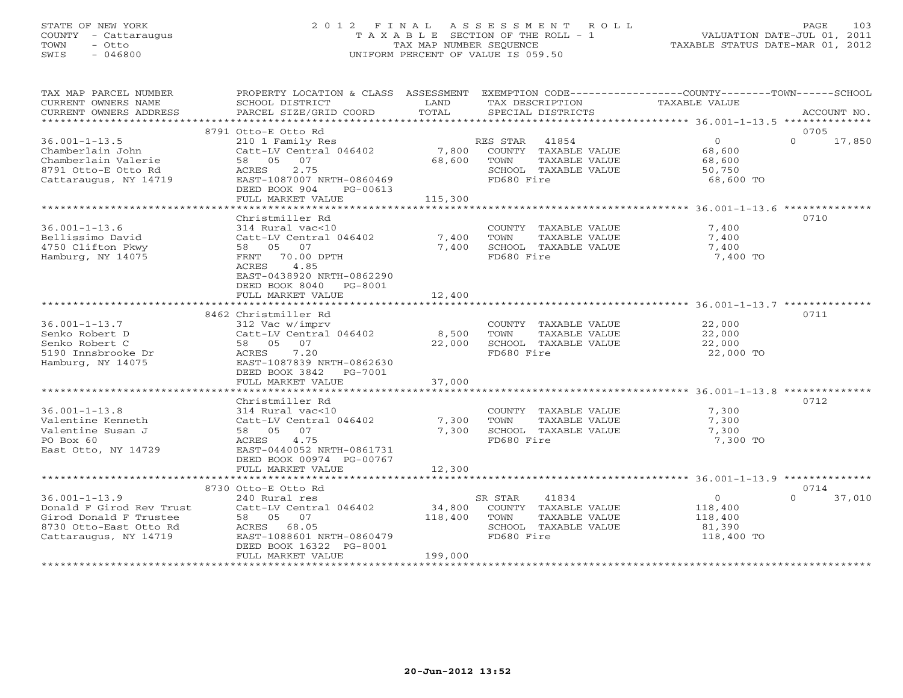### STATE OF NEW YORK 2 0 1 2 F I N A L A S S E S S M E N T R O L L PAGE 103 COUNTY - Cattaraugus T A X A B L E SECTION OF THE ROLL - 1 VALUATION DATE-JUL 01, 2011 TOWN - Otto TAX MAP NUMBER SEQUENCE TAXABLE STATUS DATE-MAR 01, 2012 SWIS - 046800 UNIFORM PERCENT OF VALUE IS 059.50UNIFORM PERCENT OF VALUE IS 059.50

| TAX MAP PARCEL NUMBER<br>CURRENT OWNERS NAME<br>CURRENT OWNERS ADDRESS                                                       | PROPERTY LOCATION & CLASS ASSESSMENT EXEMPTION CODE----------------COUNTY-------TOWN------SCHOOL<br>SCHOOL DISTRICT<br>PARCEL SIZE/GRID COORD                                 | LAND<br>TOTAL                | TAX DESCRIPTION<br>SPECIAL DISTRICTS                                                                    | <b>TAXABLE VALUE</b>                                         | ACCOUNT NO.                |
|------------------------------------------------------------------------------------------------------------------------------|-------------------------------------------------------------------------------------------------------------------------------------------------------------------------------|------------------------------|---------------------------------------------------------------------------------------------------------|--------------------------------------------------------------|----------------------------|
|                                                                                                                              |                                                                                                                                                                               |                              |                                                                                                         |                                                              |                            |
| $36.001 - 1 - 13.5$<br>Chamberlain John<br>Chamberlain Valerie<br>8791 Otto-E Otto Rd<br>Cattaraugus, NY 14719               | 8791 Otto-E Otto Rd<br>210 1 Family Res<br>Catt-LV Central 046402<br>58 05 07<br>2.75<br>ACRES<br>EAST-1087007 NRTH-0860469<br>DEED BOOK 904<br>PG-00613<br>FULL MARKET VALUE | 7,800<br>68,600<br>115,300   | RES STAR 41854<br>COUNTY TAXABLE VALUE<br>TOWN<br>TAXABLE VALUE<br>SCHOOL TAXABLE VALUE<br>FD680 Fire   | $\overline{0}$<br>68,600<br>68,600<br>50,750<br>68,600 TO    | 0705<br>$\Omega$<br>17,850 |
|                                                                                                                              |                                                                                                                                                                               |                              |                                                                                                         |                                                              |                            |
| $36.001 - 1 - 13.6$<br>Bellissimo David<br>4750 Clifton Pkwy<br>Hamburg, NY 14075                                            | Christmiller Rd<br>314 Rural vac<10<br>Catt-LV Central 046402<br>58 05<br>07<br>FRNT 70.00 DPTH<br>ACRES<br>4.85<br>EAST-0438920 NRTH-0862290<br>DEED BOOK 8040 PG-8001       | 7,400<br>7,400               | COUNTY TAXABLE VALUE<br>TOWN<br>TAXABLE VALUE<br>SCHOOL TAXABLE VALUE<br>FD680 Fire                     | 7,400<br>7,400<br>7,400<br>7,400 TO                          | 0710                       |
|                                                                                                                              | FULL MARKET VALUE                                                                                                                                                             | 12,400                       |                                                                                                         |                                                              |                            |
|                                                                                                                              |                                                                                                                                                                               |                              |                                                                                                         |                                                              |                            |
| $36.001 - 1 - 13.7$<br>Senko Robert D<br>Senko Robert C<br>5190 Innsbrooke Dr<br>Hamburg, NY 14075                           | 8462 Christmiller Rd<br>312 Vac w/imprv<br>Catt-LV Central 046402<br>58 05 07<br>ACRES 7.20<br>EAST-1087839 NRTH-0862630<br>DEED BOOK 3842 PG-7001<br>FULL MARKET VALUE       | 8,500<br>22,000<br>37,000    | COUNTY TAXABLE VALUE<br>TOWN<br>TAXABLE VALUE<br>SCHOOL TAXABLE VALUE<br>FD680 Fire                     | 22,000<br>22,000<br>22,000<br>22,000 TO                      | 0711                       |
|                                                                                                                              |                                                                                                                                                                               |                              |                                                                                                         |                                                              |                            |
| $36.001 - 1 - 13.8$<br>Valentine Kenneth<br>Valentine Susan J<br>PO Box 60<br>East Otto, NY 14729                            | Christmiller Rd<br>314 Rural vac<10<br>Catt-LV Central 046402<br>58 05 07<br>ACRES<br>4.75<br>EAST-0440052 NRTH-0861731<br>DEED BOOK 00974 PG-00767                           | 7,300<br>7,300<br>12,300     | COUNTY TAXABLE VALUE<br>TOWN<br>TAXABLE VALUE<br>SCHOOL TAXABLE VALUE<br>FD680 Fire                     | 7,300<br>7,300<br>7,300<br>7,300 TO                          | 0712                       |
| *********************                                                                                                        | FULL MARKET VALUE<br>*********************************                                                                                                                        |                              |                                                                                                         |                                                              |                            |
|                                                                                                                              | 8730 Otto-E Otto Rd                                                                                                                                                           |                              |                                                                                                         |                                                              | 0714                       |
| $36.001 - 1 - 13.9$<br>Donald F Girod Rev Trust<br>Girod Donald F Trustee<br>8730 Otto-East Otto Rd<br>Cattaraugus, NY 14719 | 240 Rural res<br>Catt-LV Central 046402<br>58 05 07<br>ACRES 68.05<br>EAST-1088601 NRTH-0860479<br>DEED BOOK 16322 PG-8001<br>FULL MARKET VALUE                               | 34,800<br>118,400<br>199,000 | SR STAR<br>41834<br>COUNTY TAXABLE VALUE<br>TOWN<br>TAXABLE VALUE<br>SCHOOL TAXABLE VALUE<br>FD680 Fire | $\overline{0}$<br>118,400<br>118,400<br>81,390<br>118,400 TO | $\Omega$<br>37,010         |
|                                                                                                                              |                                                                                                                                                                               |                              |                                                                                                         |                                                              |                            |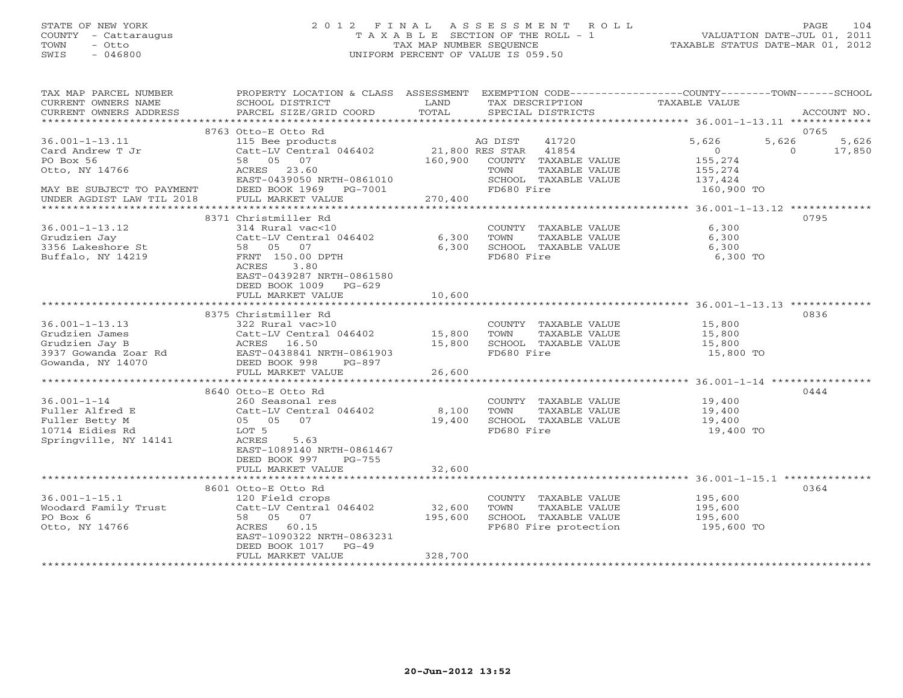### STATE OF NEW YORK 2 0 1 2 F I N A L A S S E S S M E N T R O L L PAGE 104 COUNTY - Cattaraugus T A X A B L E SECTION OF THE ROLL - 1 VALUATION DATE-JUL 01, 2011 TOWN - Otto TAX MAP NUMBER SEQUENCE TAXABLE STATUS DATE-MAR 01, 2012 SWIS - 046800 UNIFORM PERCENT OF VALUE IS 059.50UNIFORM PERCENT OF VALUE IS 059.50

| TAX MAP PARCEL NUMBER<br>CURRENT OWNERS NAME<br>CURRENT OWNERS ADDRESS | PROPERTY LOCATION & CLASS ASSESSMENT<br>SCHOOL DISTRICT<br>PARCEL SIZE/GRID COORD | LAND<br>TOTAL                     | EXEMPTION CODE-----------------COUNTY-------TOWN------SCHOOL<br>TAX DESCRIPTION<br>SPECIAL DISTRICTS | TAXABLE VALUE                                                      | ACCOUNT NO.        |
|------------------------------------------------------------------------|-----------------------------------------------------------------------------------|-----------------------------------|------------------------------------------------------------------------------------------------------|--------------------------------------------------------------------|--------------------|
| ***********************                                                |                                                                                   |                                   |                                                                                                      |                                                                    |                    |
|                                                                        | 8763 Otto-E Otto Rd                                                               |                                   |                                                                                                      |                                                                    | 0765               |
| $36.001 - 1 - 13.11$                                                   | 115 Bee products                                                                  |                                   | AG DIST<br>41720                                                                                     | 5,626<br>5,626                                                     | 5,626              |
| Card Andrew T Jr                                                       | Catt-LV Central 046402                                                            |                                   | 21,800 RES STAR<br>41854                                                                             | $\circ$                                                            | $\Omega$<br>17,850 |
| PO Box 56                                                              | 58 05 07                                                                          | 160,900                           | COUNTY TAXABLE VALUE                                                                                 | 155,274                                                            |                    |
| Otto, NY 14766                                                         | ACRES<br>23.60                                                                    |                                   | TAXABLE VALUE<br>TOWN                                                                                | 155,274                                                            |                    |
|                                                                        | EAST-0439050 NRTH-0861010                                                         |                                   | SCHOOL TAXABLE VALUE                                                                                 | 137,424                                                            |                    |
| MAY BE SUBJECT TO PAYMENT                                              | DEED BOOK 1969<br>PG-7001                                                         |                                   | FD680 Fire                                                                                           | 160,900 TO                                                         |                    |
| UNDER AGDIST LAW TIL 2018                                              | FULL MARKET VALUE                                                                 | 270,400<br>************           |                                                                                                      |                                                                    |                    |
|                                                                        |                                                                                   |                                   |                                                                                                      | ********* 36.001-1-13.12 *************                             |                    |
|                                                                        | 8371 Christmiller Rd                                                              |                                   |                                                                                                      |                                                                    | 0795               |
| $36.001 - 1 - 13.12$                                                   | 314 Rural vac<10                                                                  |                                   | COUNTY TAXABLE VALUE                                                                                 | 6,300                                                              |                    |
| Grudzien Jay                                                           | Catt-LV Central 046402                                                            | 6,300                             | TOWN<br>TAXABLE VALUE                                                                                | 6,300                                                              |                    |
| 3356 Lakeshore St                                                      | 58 05<br>07                                                                       | 6,300                             | SCHOOL TAXABLE VALUE                                                                                 | 6,300                                                              |                    |
| Buffalo, NY 14219                                                      | FRNT 150.00 DPTH                                                                  |                                   | FD680 Fire                                                                                           | 6,300 TO                                                           |                    |
|                                                                        | ACRES<br>3.80                                                                     |                                   |                                                                                                      |                                                                    |                    |
|                                                                        | EAST-0439287 NRTH-0861580                                                         |                                   |                                                                                                      |                                                                    |                    |
|                                                                        | DEED BOOK 1009 PG-629                                                             |                                   |                                                                                                      |                                                                    |                    |
|                                                                        | FULL MARKET VALUE<br>****************************                                 | 10,600<br>************            |                                                                                                      | ************************************ 36.001-1-13.13 ************** |                    |
|                                                                        |                                                                                   |                                   |                                                                                                      |                                                                    |                    |
|                                                                        | 8375 Christmiller Rd                                                              |                                   |                                                                                                      |                                                                    | 0836               |
| $36.001 - 1 - 13.13$                                                   | 322 Rural vac>10                                                                  |                                   | COUNTY TAXABLE VALUE                                                                                 | 15,800                                                             |                    |
| Grudzien James                                                         | Catt-LV Central 046402                                                            | 15,800                            | TOWN<br>TAXABLE VALUE                                                                                | 15,800                                                             |                    |
| Grudzien Jay B                                                         | ACRES 16.50                                                                       | 15,800                            | SCHOOL TAXABLE VALUE                                                                                 | 15,800                                                             |                    |
| 3937 Gowanda Zoar Rd                                                   | EAST-0438841 NRTH-0861903                                                         |                                   | FD680 Fire                                                                                           | 15,800 TO                                                          |                    |
| Gowanda, NY 14070                                                      | DEED BOOK 998<br>PG-897                                                           |                                   |                                                                                                      |                                                                    |                    |
|                                                                        | FULL MARKET VALUE<br>************************                                     | 26,600<br>* * * * * * * * * * * * |                                                                                                      | ********************************* 36.001-1-14 ************         |                    |
|                                                                        |                                                                                   |                                   |                                                                                                      |                                                                    |                    |
|                                                                        | 8640 Otto-E Otto Rd                                                               |                                   |                                                                                                      |                                                                    | 0444               |
| $36.001 - 1 - 14$                                                      | 260 Seasonal res                                                                  |                                   | COUNTY TAXABLE VALUE                                                                                 | 19,400                                                             |                    |
| Fuller Alfred E                                                        | Catt-LV Central 046402                                                            | 8,100                             | TOWN<br>TAXABLE VALUE                                                                                | 19,400                                                             |                    |
| Fuller Betty M                                                         | 05 05 07                                                                          | 19,400                            | SCHOOL TAXABLE VALUE<br>FD680 Fire                                                                   | 19,400                                                             |                    |
| 10714 Eidies Rd                                                        | LOT 5                                                                             |                                   |                                                                                                      | 19,400 TO                                                          |                    |
| Springville, NY 14141                                                  | ACRES<br>5.63                                                                     |                                   |                                                                                                      |                                                                    |                    |
|                                                                        | EAST-1089140 NRTH-0861467<br>$PG-755$                                             |                                   |                                                                                                      |                                                                    |                    |
|                                                                        | DEED BOOK 997                                                                     |                                   |                                                                                                      |                                                                    |                    |
|                                                                        | FULL MARKET VALUE<br>************************                                     | 32,600<br>**********              |                                                                                                      | ******************** 36.001-1-15.1 *************                   |                    |
|                                                                        |                                                                                   |                                   |                                                                                                      |                                                                    | 0364               |
|                                                                        | 8601 Otto-E Otto Rd                                                               |                                   |                                                                                                      |                                                                    |                    |
| $36.001 - 1 - 15.1$                                                    | 120 Field crops                                                                   |                                   | COUNTY TAXABLE VALUE                                                                                 | 195,600                                                            |                    |
| Woodard Family Trust<br>PO Box 6                                       | Catt-LV Central 046402<br>58 05 07                                                | 32,600<br>195,600                 | TOWN<br>TAXABLE VALUE<br>SCHOOL TAXABLE VALUE                                                        | 195,600<br>195,600                                                 |                    |
|                                                                        | ACRES<br>60.15                                                                    |                                   |                                                                                                      |                                                                    |                    |
| Otto, NY 14766                                                         | EAST-1090322 NRTH-0863231                                                         |                                   | FP680 Fire protection                                                                                | 195,600 TO                                                         |                    |
|                                                                        | DEED BOOK 1017                                                                    |                                   |                                                                                                      |                                                                    |                    |
|                                                                        | $PG-49$<br>FULL MARKET VALUE                                                      | 328,700                           |                                                                                                      |                                                                    |                    |
|                                                                        |                                                                                   |                                   |                                                                                                      |                                                                    |                    |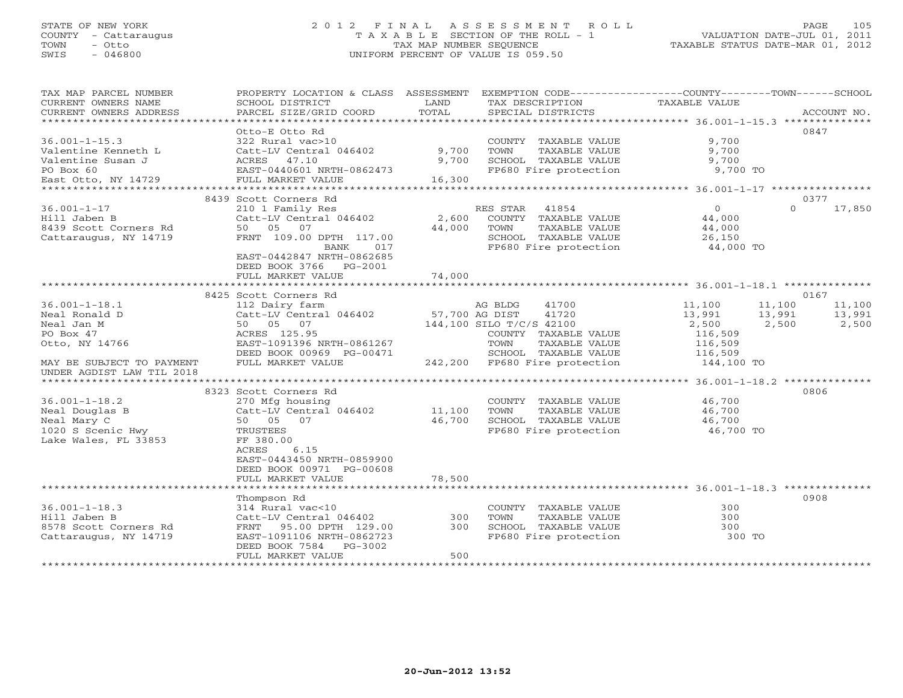#### STATE OF NEW YORK 2 0 1 2 F I N A L A S S E S S M E N T R O L L PAGE 105 COUNTY - Cattaraugus T A X A B L E SECTION OF THE ROLL - 1 VALUATION DATE-JUL 01, 2011 TOWN - Otto TAX MAP NUMBER SEQUENCE TAXABLE STATUS DATE-MAR 01, 2012 SWIS - 046800 UNIFORM PERCENT OF VALUE IS 059.50UNIFORM PERCENT OF VALUE IS 059.50

| TAX MAP PARCEL NUMBER<br>CURRENT OWNERS NAME<br>CURRENT OWNERS ADDRESS              | PROPERTY LOCATION & CLASS ASSESSMENT EXEMPTION CODE---------------COUNTY-------TOWN------SCHOOL<br>SCHOOL DISTRICT<br>PARCEL SIZE/GRID COORD | LAND<br>TOTAL   | TAX DESCRIPTION<br>SPECIAL DISTRICTS                                                                                | TAXABLE VALUE                                             |          | ACCOUNT NO. |
|-------------------------------------------------------------------------------------|----------------------------------------------------------------------------------------------------------------------------------------------|-----------------|---------------------------------------------------------------------------------------------------------------------|-----------------------------------------------------------|----------|-------------|
| $36.001 - 1 - 15.3$                                                                 | Otto-E Otto Rd<br>322 Rural vac>10                                                                                                           |                 | COUNTY TAXABLE VALUE                                                                                                | 9,700                                                     | 0847     |             |
| Valentine Kenneth L<br>Valentine Susan J<br>PO Box 60                               | Catt-LV Central 046402<br>ACRES 47.10<br>EAST-0440601 NRTH-0862473                                                                           | 9,700<br>9,700  | TOWN<br>TAXABLE VALUE<br>SCHOOL TAXABLE VALUE<br>FP680 Fire protection                                              | 9,700<br>9,700<br>9,700 TO                                |          |             |
| East Otto, NY 14729                                                                 | FULL MARKET VALUE                                                                                                                            | 16,300          |                                                                                                                     |                                                           |          |             |
|                                                                                     | 8439 Scott Corners Rd                                                                                                                        |                 |                                                                                                                     |                                                           | 0377     |             |
| $36.001 - 1 - 17$<br>Hill Jaben B<br>8439 Scott Corners Rd<br>Cattaraugus, NY 14719 | 210 1 Family Res<br>Catt-LV Central 046402<br>50 05 07<br>FRNT 109.00 DPTH 117.00<br><b>BANK</b><br>017<br>EAST-0442847 NRTH-0862685         | 2,600<br>44,000 | RES STAR<br>41854<br>COUNTY TAXABLE VALUE<br>TAXABLE VALUE<br>TOWN<br>SCHOOL TAXABLE VALUE<br>FP680 Fire protection | $\overline{0}$<br>44,000<br>44,000<br>26,150<br>44,000 TO | $\Omega$ | 17,850      |
|                                                                                     | DEED BOOK 3766 PG-2001<br>FULL MARKET VALUE                                                                                                  | 74,000          |                                                                                                                     |                                                           |          |             |
|                                                                                     | 8425 Scott Corners Rd                                                                                                                        |                 |                                                                                                                     |                                                           | 0167     |             |
| $36.001 - 1 - 18.1$                                                                 | 112 Dairy farm                                                                                                                               |                 | 41700<br>AG BLDG                                                                                                    | 11,100                                                    | 11,100   | 11,100      |
| Neal Ronald D                                                                       | Catt-LV Central 046402                                                                                                                       | 57,700 AG DIST  | 41720                                                                                                               | 13,991                                                    | 13,991   | 13,991      |
| Neal Jan M                                                                          | 50 05 07                                                                                                                                     |                 | 144,100 SILO T/C/S 42100                                                                                            | 2,500                                                     | 2,500    | 2,500       |
| PO Box 47                                                                           | ACRES 125.95                                                                                                                                 |                 | COUNTY TAXABLE VALUE                                                                                                | 116,509                                                   |          |             |
| Otto, NY 14766                                                                      | EAST-1091396 NRTH-0861267                                                                                                                    |                 | TOWN<br>TAXABLE VALUE                                                                                               | 116,509                                                   |          |             |
|                                                                                     | DEED BOOK 00969 PG-00471                                                                                                                     |                 | SCHOOL TAXABLE VALUE                                                                                                | 116,509                                                   |          |             |
| MAY BE SUBJECT TO PAYMENT<br>UNDER AGDIST LAW TIL 2018                              | FULL MARKET VALUE                                                                                                                            |                 | 242,200 FP680 Fire protection                                                                                       | 144,100 TO                                                |          |             |
|                                                                                     |                                                                                                                                              |                 |                                                                                                                     | ************************* 36.001-1-18.2 **************    |          |             |
| $36.001 - 1 - 18.2$                                                                 | 8323 Scott Corners Rd<br>270 Mfg housing                                                                                                     |                 | COUNTY TAXABLE VALUE                                                                                                | 46,700                                                    | 0806     |             |
| Neal Douglas B                                                                      | Catt-LV Central 046402                                                                                                                       | 11,100          | TOWN<br>TAXABLE VALUE                                                                                               | 46,700                                                    |          |             |
| Neal Mary C                                                                         | 50 05 07                                                                                                                                     | 46,700          | SCHOOL TAXABLE VALUE                                                                                                | 46,700                                                    |          |             |
| 1020 S Scenic Hwy<br>Lake Wales, FL 33853                                           | TRUSTEES<br>FF 380.00<br>6.15<br>ACRES<br>EAST-0443450 NRTH-0859900                                                                          |                 | FP680 Fire protection                                                                                               | 46,700 TO                                                 |          |             |
|                                                                                     | DEED BOOK 00971 PG-00608                                                                                                                     |                 |                                                                                                                     |                                                           |          |             |
|                                                                                     | FULL MARKET VALUE                                                                                                                            | 78,500          |                                                                                                                     |                                                           |          |             |
|                                                                                     | Thompson Rd                                                                                                                                  |                 |                                                                                                                     |                                                           | 0908     |             |
| $36.001 - 1 - 18.3$                                                                 | 314 Rural vac<10                                                                                                                             |                 | COUNTY TAXABLE VALUE                                                                                                | 300                                                       |          |             |
| Hill Jaben B                                                                        | Catt-LV Central 046402                                                                                                                       | 300             | TOWN<br>TAXABLE VALUE                                                                                               | 300                                                       |          |             |
| 8578 Scott Corners Rd                                                               | 95.00 DPTH 129.00<br>FRNT                                                                                                                    | 300             | SCHOOL TAXABLE VALUE                                                                                                | 300                                                       |          |             |
| Cattaraugus, NY 14719                                                               | EAST-1091106 NRTH-0862723<br>DEED BOOK 7584<br>PG-3002                                                                                       |                 | FP680 Fire protection                                                                                               | 300 TO                                                    |          |             |
|                                                                                     | FULL MARKET VALUE                                                                                                                            | 500             |                                                                                                                     |                                                           |          |             |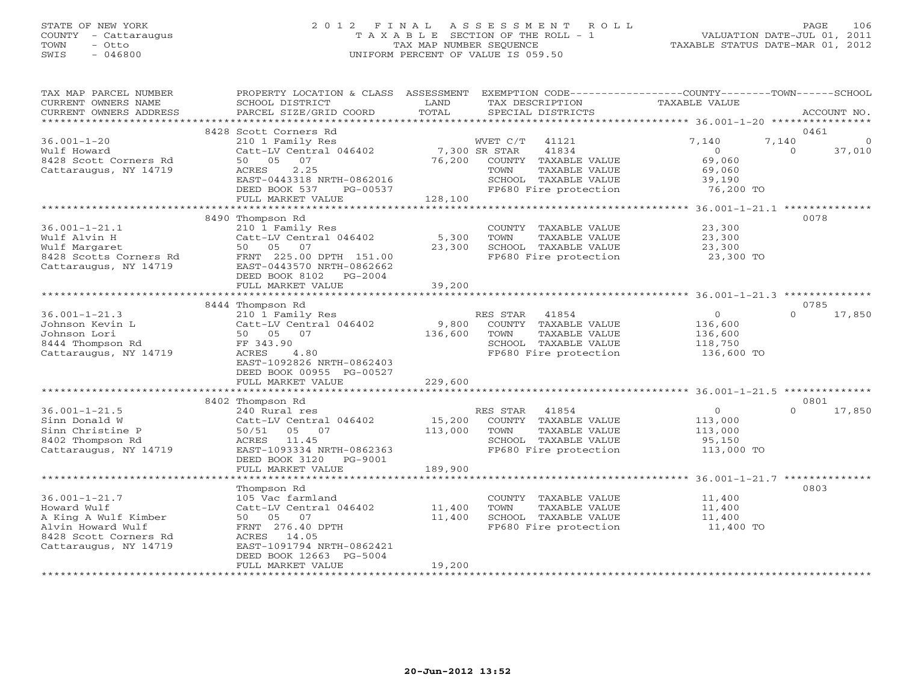### STATE OF NEW YORK 2 0 1 2 F I N A L A S S E S S M E N T R O L L PAGE 106 COUNTY - Cattaraugus T A X A B L E SECTION OF THE ROLL - 1 VALUATION DATE-JUL 01, 2011 TOWN - Otto TAX MAP NUMBER SEQUENCE TAXABLE STATUS DATE-MAR 01, 2012 SWIS - 046800 UNIFORM PERCENT OF VALUE IS 059.50UNIFORM PERCENT OF VALUE IS 059.50

| TAX MAP PARCEL NUMBER<br>CURRENT OWNERS NAME<br>CURRENT OWNERS ADDRESS                                                            | PROPERTY LOCATION & CLASS ASSESSMENT EXEMPTION CODE----------------COUNTY-------TOWN------SCHOOL<br>SCHOOL DISTRICT<br>PARCEL SIZE/GRID COORD     | LAND<br>TOTAL           | TAX DESCRIPTION<br>SPECIAL DISTRICTS                                                                             | TAXABLE VALUE                                                 | ACCOUNT NO.                             |
|-----------------------------------------------------------------------------------------------------------------------------------|---------------------------------------------------------------------------------------------------------------------------------------------------|-------------------------|------------------------------------------------------------------------------------------------------------------|---------------------------------------------------------------|-----------------------------------------|
|                                                                                                                                   |                                                                                                                                                   |                         |                                                                                                                  |                                                               |                                         |
|                                                                                                                                   | 8428 Scott Corners Rd                                                                                                                             |                         |                                                                                                                  |                                                               | 0461                                    |
| $36.001 - 1 - 20$<br>Wulf Howard<br>8428 Scott Corners Rd<br>Cattaraugus, NY 14719                                                | 210 1 Family Res<br>Catt-LV Central 046402<br>50 05<br>07<br>2.25<br>ACRES                                                                        | 7,300 SR STAR<br>76,200 | WVET C/T<br>41121<br>41834<br>COUNTY TAXABLE VALUE<br>TAXABLE VALUE<br>TOWN                                      | 7,140<br>$\Omega$<br>69,060<br>69,060                         | 7,140<br>$\Omega$<br>$\Omega$<br>37,010 |
|                                                                                                                                   | EAST-0443318 NRTH-0862016<br>DEED BOOK 537<br>PG-00537                                                                                            |                         | SCHOOL TAXABLE VALUE<br>FP680 Fire protection                                                                    | 39,190<br>76,200 TO                                           |                                         |
|                                                                                                                                   | FULL MARKET VALUE                                                                                                                                 | 128,100                 |                                                                                                                  |                                                               |                                         |
|                                                                                                                                   | 8490 Thompson Rd                                                                                                                                  |                         |                                                                                                                  |                                                               | 0078                                    |
| $36.001 - 1 - 21.1$<br>Wulf Alvin H<br>Wulf Margaret<br>8428 Scotts Corners Rd<br>Cattaraugus, NY 14719                           | 210 1 Family Res<br>Catt-LV Central 046402<br>50 05 07<br>FRNT 225.00 DPTH 151.00<br>EAST-0443570 NRTH-0862662<br>DEED BOOK 8102 PG-2004          | 5,300<br>23,300         | COUNTY TAXABLE VALUE<br><b>TOWN</b><br>TAXABLE VALUE<br>SCHOOL TAXABLE VALUE<br>FP680 Fire protection            | 23,300<br>23,300<br>23,300<br>23,300 TO                       |                                         |
|                                                                                                                                   | FULL MARKET VALUE                                                                                                                                 | 39,200                  |                                                                                                                  |                                                               |                                         |
|                                                                                                                                   |                                                                                                                                                   |                         |                                                                                                                  |                                                               |                                         |
|                                                                                                                                   | 8444 Thompson Rd                                                                                                                                  |                         |                                                                                                                  |                                                               | 0785                                    |
| $36.001 - 1 - 21.3$<br>Johnson Kevin L<br>Johnson Lori<br>8444 Thompson Rd<br>Cattaraugus, NY 14719                               | 210 1 Family Res<br>Catt-LV Central 046402<br>50 05 07<br>FF 343.90<br>ACRES<br>4.80<br>EAST-1092826 NRTH-0862403<br>DEED BOOK 00955 PG-00527     | 9,800<br>136,600        | RES STAR 41854<br>COUNTY TAXABLE VALUE<br>TOWN<br>TAXABLE VALUE<br>SCHOOL TAXABLE VALUE<br>FP680 Fire protection | $\overline{0}$<br>136,600<br>136,600<br>118,750<br>136,600 TO | $\Omega$<br>17,850                      |
|                                                                                                                                   | FULL MARKET VALUE                                                                                                                                 | 229,600                 |                                                                                                                  |                                                               |                                         |
|                                                                                                                                   | 8402 Thompson Rd                                                                                                                                  |                         |                                                                                                                  |                                                               | 0801                                    |
| $36.001 - 1 - 21.5$                                                                                                               | 240 Rural res                                                                                                                                     |                         | RES STAR 41854                                                                                                   | $\overline{O}$                                                | 17,850<br>$\Omega$                      |
| Sinn Donald W<br>Sinn Christine P<br>8402 Thompson Rd<br>Cattaraugus, NY 14719                                                    | Catt-LV Central 046402<br>50/51<br>05 07<br>ACRES<br>11.45<br>EAST-1093334 NRTH-0862363<br>DEED BOOK 3120 PG-9001                                 | 15,200<br>113,000       | COUNTY TAXABLE VALUE<br>TOWN<br>TAXABLE VALUE<br>SCHOOL TAXABLE VALUE<br>FP680 Fire protection                   | 113,000<br>113,000<br>95,150<br>113,000 TO                    |                                         |
|                                                                                                                                   | FULL MARKET VALUE                                                                                                                                 | 189,900                 |                                                                                                                  |                                                               |                                         |
|                                                                                                                                   | Thompson Rd                                                                                                                                       |                         |                                                                                                                  |                                                               | 0803                                    |
| $36.001 - 1 - 21.7$<br>Howard Wulf<br>A King A Wulf Kimber<br>Alvin Howard Wulf<br>8428 Scott Corners Rd<br>Cattaraugus, NY 14719 | 105 Vac farmland<br>Catt-LV Central 046402<br>50 05 07<br>FRNT 276.40 DPTH<br>ACRES 14.05<br>EAST-1091794 NRTH-0862421<br>DEED BOOK 12663 PG-5004 | 11,400<br>11,400        | COUNTY TAXABLE VALUE<br>TOWN<br>TAXABLE VALUE<br>SCHOOL TAXABLE VALUE<br>FP680 Fire protection                   | 11,400<br>11,400<br>11,400<br>11,400 TO                       |                                         |
| *********************                                                                                                             | FULL MARKET VALUE                                                                                                                                 | 19,200                  | *******************************                                                                                  |                                                               |                                         |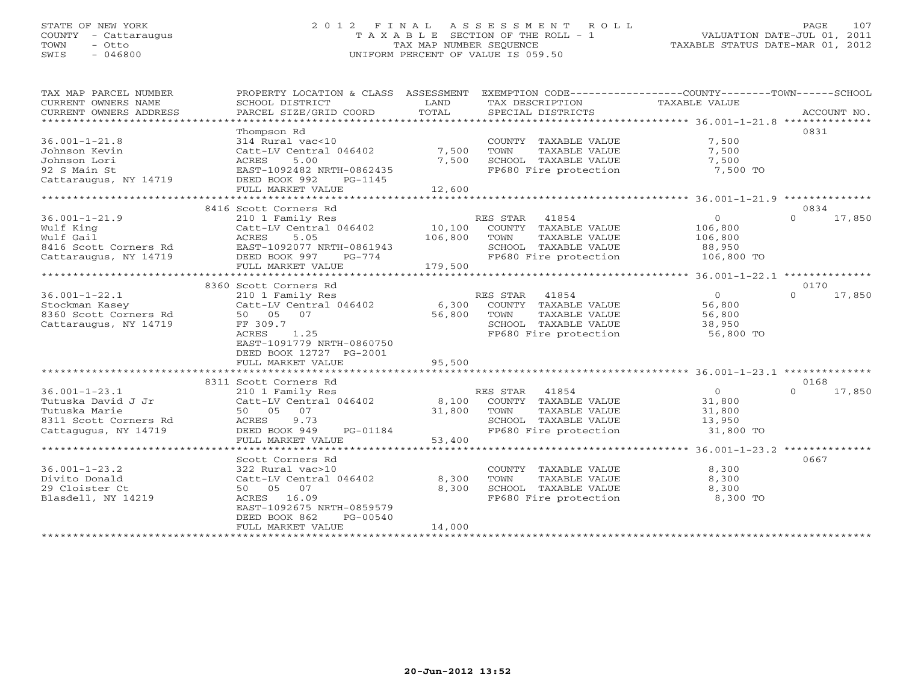#### STATE OF NEW YORK 2 0 1 2 F I N A L A S S E S S M E N T R O L L PAGE 107 COUNTY - Cattaraugus T A X A B L E SECTION OF THE ROLL - 1 VALUATION DATE-JUL 01, 2011 TOWN - Otto TAX MAP NUMBER SEQUENCE TAXABLE STATUS DATE-MAR 01, 2012 SWIS - 046800 UNIFORM PERCENT OF VALUE IS 059.50UNIFORM PERCENT OF VALUE IS 059.50

| TAX MAP PARCEL NUMBER<br>CURRENT OWNERS NAME | PROPERTY LOCATION & CLASS ASSESSMENT<br>SCHOOL DISTRICT | LAND    | TAX DESCRIPTION                               | EXEMPTION CODE-----------------COUNTY-------TOWN------SCHOOL<br>TAXABLE VALUE |                    |
|----------------------------------------------|---------------------------------------------------------|---------|-----------------------------------------------|-------------------------------------------------------------------------------|--------------------|
| CURRENT OWNERS ADDRESS                       | PARCEL SIZE/GRID COORD                                  | TOTAL   | SPECIAL DISTRICTS                             |                                                                               | ACCOUNT NO.        |
| ***********************                      |                                                         |         |                                               |                                                                               |                    |
|                                              | Thompson Rd                                             |         |                                               |                                                                               | 0831               |
| $36.001 - 1 - 21.8$                          | 314 Rural vac<10                                        |         | COUNTY TAXABLE VALUE                          | 7,500                                                                         |                    |
| Johnson Kevin                                | Catt-LV Central 046402                                  | 7,500   | TAXABLE VALUE<br>TOWN                         | 7,500                                                                         |                    |
| Johnson Lori                                 | 5.00<br>ACRES                                           | 7,500   | SCHOOL TAXABLE VALUE                          | 7,500                                                                         |                    |
| 92 S Main St                                 | EAST-1092482 NRTH-0862435                               |         | FP680 Fire protection                         | 7,500 TO                                                                      |                    |
| Cattaraugus, NY 14719                        | DEED BOOK 992<br>PG-1145                                |         |                                               |                                                                               |                    |
|                                              | FULL MARKET VALUE                                       | 12,600  |                                               |                                                                               |                    |
|                                              |                                                         |         |                                               |                                                                               |                    |
|                                              | 8416 Scott Corners Rd                                   |         |                                               |                                                                               | 0834               |
| $36.001 - 1 - 21.9$                          | 210 1 Family Res                                        |         | RES STAR 41854                                | $\overline{0}$                                                                | $\Omega$<br>17,850 |
| Wulf King                                    | Catt-LV Central 046402                                  | 10,100  | COUNTY TAXABLE VALUE                          | 106,800                                                                       |                    |
| Wulf Gail                                    | ACRES<br>5.05                                           | 106,800 | TOWN<br>TAXABLE VALUE                         | 106,800                                                                       |                    |
| 8416 Scott Corners Rd                        | EAST-1092077 NRTH-0861943                               |         | SCHOOL TAXABLE VALUE                          | 88,950                                                                        |                    |
| Cattaraugus, NY 14719                        | DEED BOOK 997<br>PG-774                                 |         | FP680 Fire protection                         | 106,800 TO                                                                    |                    |
|                                              | FULL MARKET VALUE                                       | 179,500 |                                               |                                                                               |                    |
|                                              |                                                         |         |                                               |                                                                               |                    |
|                                              | 8360 Scott Corners Rd                                   |         |                                               |                                                                               | 0170               |
| $36.001 - 1 - 22.1$                          | 210 1 Family Res                                        |         | RES STAR 41854                                | $\overline{0}$                                                                | $\Omega$<br>17,850 |
| Stockman Kasey                               | Catt-LV Central 046402                                  | 6,300   | COUNTY TAXABLE VALUE                          | 56,800                                                                        |                    |
| 8360 Scott Corners Rd                        | 50 05 07                                                | 56,800  | TOWN<br>TAXABLE VALUE                         | 56,800                                                                        |                    |
| Cattaraugus, NY 14719                        | FF 309.7                                                |         | SCHOOL TAXABLE VALUE                          | 38,950                                                                        |                    |
|                                              | ACRES<br>1.25                                           |         | FP680 Fire protection                         | 56,800 TO                                                                     |                    |
|                                              | EAST-1091779 NRTH-0860750                               |         |                                               |                                                                               |                    |
|                                              | DEED BOOK 12727 PG-2001                                 |         |                                               |                                                                               |                    |
|                                              | FULL MARKET VALUE                                       | 95,500  |                                               |                                                                               |                    |
|                                              |                                                         |         |                                               |                                                                               |                    |
|                                              | 8311 Scott Corners Rd                                   |         |                                               |                                                                               | 0168               |
| $36.001 - 1 - 23.1$                          |                                                         |         | RES STAR 41854                                | $\overline{0}$                                                                | $\Omega$<br>17,850 |
|                                              | 210 1 Family Res                                        |         | COUNTY TAXABLE VALUE                          |                                                                               |                    |
| Tutuska David J Jr                           | Catt-LV Central 046402<br>50 05 07                      | 8,100   |                                               | 31,800                                                                        |                    |
| Tutuska Marie                                | 9.73                                                    | 31,800  | TOWN<br>TAXABLE VALUE<br>SCHOOL TAXABLE VALUE | 31,800<br>13,950                                                              |                    |
| 8311 Scott Corners Rd                        | ACRES                                                   |         | FP680 Fire protection                         |                                                                               |                    |
| Cattagugus, NY 14719                         | DEED BOOK 949<br>PG-01184                               |         |                                               | 31,800 TO                                                                     |                    |
|                                              | FULL MARKET VALUE                                       | 53,400  |                                               |                                                                               |                    |
|                                              |                                                         |         |                                               |                                                                               |                    |
|                                              | Scott Corners Rd                                        |         |                                               |                                                                               | 0667               |
| $36.001 - 1 - 23.2$                          | 322 Rural vac>10                                        |         | COUNTY TAXABLE VALUE                          | 8,300                                                                         |                    |
| Divito Donald                                | Catt-LV Central 046402                                  | 8,300   | TOWN<br>TAXABLE VALUE                         | 8,300                                                                         |                    |
| 29 Cloister Ct                               | 50 05 07                                                | 8,300   | SCHOOL TAXABLE VALUE                          | 8,300                                                                         |                    |
| Blasdell, NY 14219                           | ACRES 16.09                                             |         | FP680 Fire protection                         | 8,300 TO                                                                      |                    |
|                                              | EAST-1092675 NRTH-0859579                               |         |                                               |                                                                               |                    |
|                                              | DEED BOOK 862<br>PG-00540                               |         |                                               |                                                                               |                    |
|                                              | FULL MARKET VALUE<br>***********************            | 14,000  |                                               |                                                                               |                    |
|                                              |                                                         |         |                                               |                                                                               |                    |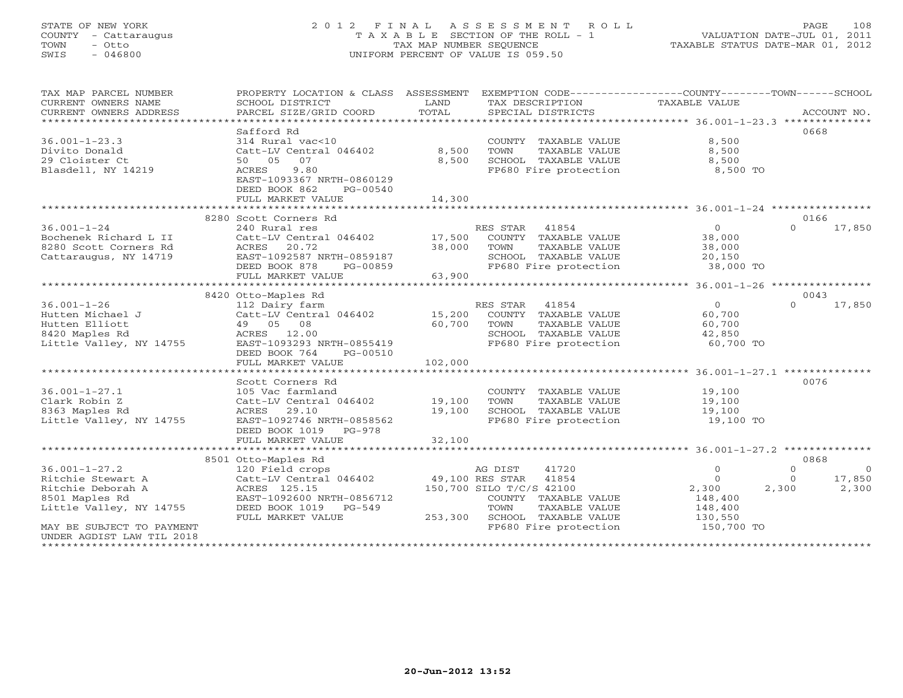### STATE OF NEW YORK 2 0 1 2 F I N A L A S S E S S M E N T R O L L PAGE 108 COUNTY - Cattaraugus T A X A B L E SECTION OF THE ROLL - 1 VALUATION DATE-JUL 01, 2011 TOWN - Otto TAX MAP NUMBER SEQUENCE TAXABLE STATUS DATE-MAR 01, 2012 SWIS - 046800 UNIFORM PERCENT OF VALUE IS 059.50UNIFORM PERCENT OF VALUE IS 059.50

| 0668<br>Safford Rd<br>314 Rural vac<10<br>COUNTY TAXABLE VALUE<br>8,500<br>8,500<br>Divito Donald<br>Catt-LV Central 046402<br>TOWN<br>TAXABLE VALUE<br>8,500<br>8,500<br>SCHOOL TAXABLE VALUE<br>8,500<br>50 05 07<br>Blasdell, NY 14219<br>9.80<br>FP680 Fire protection<br>8,500 TO<br>ACRES<br>EAST-1093367 NRTH-0860129<br>DEED BOOK 862<br>PG-00540<br>14,300<br>FULL MARKET VALUE<br>8280 Scott Corners Rd<br>0166<br>$36.001 - 1 - 24$<br>41854<br>$\circ$<br>$\Omega$<br>240 Rural res<br>RES STAR<br>17,850<br>17,500<br>Bochenek Richard L II<br>Catt-LV Central 046402<br>COUNTY TAXABLE VALUE<br>38,000<br>38,000<br>8280 Scott Corners Rd<br>20.72<br>TOWN<br>TAXABLE VALUE<br>ACRES<br>38,000<br>Cattaraugus, NY 14719<br>EAST-1092587 NRTH-0859187<br>SCHOOL TAXABLE VALUE<br>20,150<br>DEED BOOK 878<br>FP680 Fire protection<br>38,000 TO<br>PG-00859<br>FULL MARKET VALUE<br>63,900<br>*********************** 36.001-1-26 ****************<br>8420 Otto-Maples Rd<br>0043<br>$36.001 - 1 - 26$<br>41854<br>$\circ$<br>17,850<br>112 Dairy farm<br>RES STAR<br>$\Omega$<br>Hutten Michael J<br>Catt-LV Central 046402<br>15,200<br>COUNTY TAXABLE VALUE<br>60,700<br>Hutten Elliott<br>49 05 08<br>60,700<br>TOWN<br>TAXABLE VALUE<br>60,700<br>8420 Maples Rd<br>ACRES<br>12.00<br>SCHOOL TAXABLE VALUE<br>42,850<br>Little Valley, NY 14755<br>EAST-1093293 NRTH-0855419<br>FP680 Fire protection<br>60,700 TO<br>DEED BOOK 764<br>PG-00510<br>FULL MARKET VALUE<br>102,000<br>0076<br>Scott Corners Rd<br>$36.001 - 1 - 27.1$<br>19,100<br>105 Vac farmland<br>COUNTY TAXABLE VALUE<br>Clark Robin Z<br>Catt-LV Central 046402<br>19,100<br>TOWN<br>TAXABLE VALUE<br>19,100<br>8363 Maples Rd<br>29.10<br>19,100<br>SCHOOL TAXABLE VALUE<br>19,100<br>ACRES<br>EAST-1092746 NRTH-0858562<br>Little Valley, NY 14755<br>FP680 Fire protection<br>19,100 TO<br>DEED BOOK 1019<br>PG-978<br>32,100<br>FULL MARKET VALUE<br>**************************<br>0868<br>8501 Otto-Maples Rd<br>41720<br>$\mathbf 0$<br>120 Field crops<br>AG DIST<br>$\mathbf{0}$<br>$\overline{O}$<br>Ritchie Stewart A<br>Catt-LV Central 046402<br>49,100 RES STAR<br>41854<br>$\circ$<br>$\Omega$<br>17,850<br>ACRES 125.15<br>150,700 SILO T/C/S 42100<br>2,300<br>2,300<br>2,300<br>EAST-1092600 NRTH-0856712<br>148,400<br>COUNTY TAXABLE VALUE<br>TOWN<br>TAXABLE VALUE<br>148,400<br>DEED BOOK 1019<br>$PG-549$<br>SCHOOL TAXABLE VALUE<br>FULL MARKET VALUE<br>253,300<br>130,550<br>FP680 Fire protection<br>150,700 TO<br>MAY BE SUBJECT TO PAYMENT<br>UNDER AGDIST LAW TIL 2018 | TAX MAP PARCEL NUMBER<br>CURRENT OWNERS NAME<br>CURRENT OWNERS ADDRESS | PROPERTY LOCATION & CLASS ASSESSMENT<br>SCHOOL DISTRICT<br>PARCEL SIZE/GRID COORD | LAND<br>TOTAL | EXEMPTION CODE-----------------COUNTY-------TOWN------SCHOOL<br>TAX DESCRIPTION<br>SPECIAL DISTRICTS | TAXABLE VALUE | ACCOUNT NO. |
|------------------------------------------------------------------------------------------------------------------------------------------------------------------------------------------------------------------------------------------------------------------------------------------------------------------------------------------------------------------------------------------------------------------------------------------------------------------------------------------------------------------------------------------------------------------------------------------------------------------------------------------------------------------------------------------------------------------------------------------------------------------------------------------------------------------------------------------------------------------------------------------------------------------------------------------------------------------------------------------------------------------------------------------------------------------------------------------------------------------------------------------------------------------------------------------------------------------------------------------------------------------------------------------------------------------------------------------------------------------------------------------------------------------------------------------------------------------------------------------------------------------------------------------------------------------------------------------------------------------------------------------------------------------------------------------------------------------------------------------------------------------------------------------------------------------------------------------------------------------------------------------------------------------------------------------------------------------------------------------------------------------------------------------------------------------------------------------------------------------------------------------------------------------------------------------------------------------------------------------------------------------------------------------------------------------------------------------------------------------------------------------------------------------------------------------------------------------------------------------------------------------------------------------------------------------------------------------|------------------------------------------------------------------------|-----------------------------------------------------------------------------------|---------------|------------------------------------------------------------------------------------------------------|---------------|-------------|
|                                                                                                                                                                                                                                                                                                                                                                                                                                                                                                                                                                                                                                                                                                                                                                                                                                                                                                                                                                                                                                                                                                                                                                                                                                                                                                                                                                                                                                                                                                                                                                                                                                                                                                                                                                                                                                                                                                                                                                                                                                                                                                                                                                                                                                                                                                                                                                                                                                                                                                                                                                                          |                                                                        |                                                                                   |               |                                                                                                      |               |             |
|                                                                                                                                                                                                                                                                                                                                                                                                                                                                                                                                                                                                                                                                                                                                                                                                                                                                                                                                                                                                                                                                                                                                                                                                                                                                                                                                                                                                                                                                                                                                                                                                                                                                                                                                                                                                                                                                                                                                                                                                                                                                                                                                                                                                                                                                                                                                                                                                                                                                                                                                                                                          |                                                                        |                                                                                   |               |                                                                                                      |               |             |
|                                                                                                                                                                                                                                                                                                                                                                                                                                                                                                                                                                                                                                                                                                                                                                                                                                                                                                                                                                                                                                                                                                                                                                                                                                                                                                                                                                                                                                                                                                                                                                                                                                                                                                                                                                                                                                                                                                                                                                                                                                                                                                                                                                                                                                                                                                                                                                                                                                                                                                                                                                                          | $36.001 - 1 - 23.3$                                                    |                                                                                   |               |                                                                                                      |               |             |
|                                                                                                                                                                                                                                                                                                                                                                                                                                                                                                                                                                                                                                                                                                                                                                                                                                                                                                                                                                                                                                                                                                                                                                                                                                                                                                                                                                                                                                                                                                                                                                                                                                                                                                                                                                                                                                                                                                                                                                                                                                                                                                                                                                                                                                                                                                                                                                                                                                                                                                                                                                                          |                                                                        |                                                                                   |               |                                                                                                      |               |             |
|                                                                                                                                                                                                                                                                                                                                                                                                                                                                                                                                                                                                                                                                                                                                                                                                                                                                                                                                                                                                                                                                                                                                                                                                                                                                                                                                                                                                                                                                                                                                                                                                                                                                                                                                                                                                                                                                                                                                                                                                                                                                                                                                                                                                                                                                                                                                                                                                                                                                                                                                                                                          | 29 Cloister Ct                                                         |                                                                                   |               |                                                                                                      |               |             |
|                                                                                                                                                                                                                                                                                                                                                                                                                                                                                                                                                                                                                                                                                                                                                                                                                                                                                                                                                                                                                                                                                                                                                                                                                                                                                                                                                                                                                                                                                                                                                                                                                                                                                                                                                                                                                                                                                                                                                                                                                                                                                                                                                                                                                                                                                                                                                                                                                                                                                                                                                                                          |                                                                        |                                                                                   |               |                                                                                                      |               |             |
|                                                                                                                                                                                                                                                                                                                                                                                                                                                                                                                                                                                                                                                                                                                                                                                                                                                                                                                                                                                                                                                                                                                                                                                                                                                                                                                                                                                                                                                                                                                                                                                                                                                                                                                                                                                                                                                                                                                                                                                                                                                                                                                                                                                                                                                                                                                                                                                                                                                                                                                                                                                          |                                                                        |                                                                                   |               |                                                                                                      |               |             |
|                                                                                                                                                                                                                                                                                                                                                                                                                                                                                                                                                                                                                                                                                                                                                                                                                                                                                                                                                                                                                                                                                                                                                                                                                                                                                                                                                                                                                                                                                                                                                                                                                                                                                                                                                                                                                                                                                                                                                                                                                                                                                                                                                                                                                                                                                                                                                                                                                                                                                                                                                                                          |                                                                        |                                                                                   |               |                                                                                                      |               |             |
|                                                                                                                                                                                                                                                                                                                                                                                                                                                                                                                                                                                                                                                                                                                                                                                                                                                                                                                                                                                                                                                                                                                                                                                                                                                                                                                                                                                                                                                                                                                                                                                                                                                                                                                                                                                                                                                                                                                                                                                                                                                                                                                                                                                                                                                                                                                                                                                                                                                                                                                                                                                          |                                                                        |                                                                                   |               |                                                                                                      |               |             |
|                                                                                                                                                                                                                                                                                                                                                                                                                                                                                                                                                                                                                                                                                                                                                                                                                                                                                                                                                                                                                                                                                                                                                                                                                                                                                                                                                                                                                                                                                                                                                                                                                                                                                                                                                                                                                                                                                                                                                                                                                                                                                                                                                                                                                                                                                                                                                                                                                                                                                                                                                                                          |                                                                        |                                                                                   |               |                                                                                                      |               |             |
|                                                                                                                                                                                                                                                                                                                                                                                                                                                                                                                                                                                                                                                                                                                                                                                                                                                                                                                                                                                                                                                                                                                                                                                                                                                                                                                                                                                                                                                                                                                                                                                                                                                                                                                                                                                                                                                                                                                                                                                                                                                                                                                                                                                                                                                                                                                                                                                                                                                                                                                                                                                          |                                                                        |                                                                                   |               |                                                                                                      |               |             |
|                                                                                                                                                                                                                                                                                                                                                                                                                                                                                                                                                                                                                                                                                                                                                                                                                                                                                                                                                                                                                                                                                                                                                                                                                                                                                                                                                                                                                                                                                                                                                                                                                                                                                                                                                                                                                                                                                                                                                                                                                                                                                                                                                                                                                                                                                                                                                                                                                                                                                                                                                                                          |                                                                        |                                                                                   |               |                                                                                                      |               |             |
|                                                                                                                                                                                                                                                                                                                                                                                                                                                                                                                                                                                                                                                                                                                                                                                                                                                                                                                                                                                                                                                                                                                                                                                                                                                                                                                                                                                                                                                                                                                                                                                                                                                                                                                                                                                                                                                                                                                                                                                                                                                                                                                                                                                                                                                                                                                                                                                                                                                                                                                                                                                          |                                                                        |                                                                                   |               |                                                                                                      |               |             |
|                                                                                                                                                                                                                                                                                                                                                                                                                                                                                                                                                                                                                                                                                                                                                                                                                                                                                                                                                                                                                                                                                                                                                                                                                                                                                                                                                                                                                                                                                                                                                                                                                                                                                                                                                                                                                                                                                                                                                                                                                                                                                                                                                                                                                                                                                                                                                                                                                                                                                                                                                                                          |                                                                        |                                                                                   |               |                                                                                                      |               |             |
|                                                                                                                                                                                                                                                                                                                                                                                                                                                                                                                                                                                                                                                                                                                                                                                                                                                                                                                                                                                                                                                                                                                                                                                                                                                                                                                                                                                                                                                                                                                                                                                                                                                                                                                                                                                                                                                                                                                                                                                                                                                                                                                                                                                                                                                                                                                                                                                                                                                                                                                                                                                          |                                                                        |                                                                                   |               |                                                                                                      |               |             |
|                                                                                                                                                                                                                                                                                                                                                                                                                                                                                                                                                                                                                                                                                                                                                                                                                                                                                                                                                                                                                                                                                                                                                                                                                                                                                                                                                                                                                                                                                                                                                                                                                                                                                                                                                                                                                                                                                                                                                                                                                                                                                                                                                                                                                                                                                                                                                                                                                                                                                                                                                                                          |                                                                        |                                                                                   |               |                                                                                                      |               |             |
|                                                                                                                                                                                                                                                                                                                                                                                                                                                                                                                                                                                                                                                                                                                                                                                                                                                                                                                                                                                                                                                                                                                                                                                                                                                                                                                                                                                                                                                                                                                                                                                                                                                                                                                                                                                                                                                                                                                                                                                                                                                                                                                                                                                                                                                                                                                                                                                                                                                                                                                                                                                          |                                                                        |                                                                                   |               |                                                                                                      |               |             |
|                                                                                                                                                                                                                                                                                                                                                                                                                                                                                                                                                                                                                                                                                                                                                                                                                                                                                                                                                                                                                                                                                                                                                                                                                                                                                                                                                                                                                                                                                                                                                                                                                                                                                                                                                                                                                                                                                                                                                                                                                                                                                                                                                                                                                                                                                                                                                                                                                                                                                                                                                                                          |                                                                        |                                                                                   |               |                                                                                                      |               |             |
|                                                                                                                                                                                                                                                                                                                                                                                                                                                                                                                                                                                                                                                                                                                                                                                                                                                                                                                                                                                                                                                                                                                                                                                                                                                                                                                                                                                                                                                                                                                                                                                                                                                                                                                                                                                                                                                                                                                                                                                                                                                                                                                                                                                                                                                                                                                                                                                                                                                                                                                                                                                          |                                                                        |                                                                                   |               |                                                                                                      |               |             |
|                                                                                                                                                                                                                                                                                                                                                                                                                                                                                                                                                                                                                                                                                                                                                                                                                                                                                                                                                                                                                                                                                                                                                                                                                                                                                                                                                                                                                                                                                                                                                                                                                                                                                                                                                                                                                                                                                                                                                                                                                                                                                                                                                                                                                                                                                                                                                                                                                                                                                                                                                                                          |                                                                        |                                                                                   |               |                                                                                                      |               |             |
|                                                                                                                                                                                                                                                                                                                                                                                                                                                                                                                                                                                                                                                                                                                                                                                                                                                                                                                                                                                                                                                                                                                                                                                                                                                                                                                                                                                                                                                                                                                                                                                                                                                                                                                                                                                                                                                                                                                                                                                                                                                                                                                                                                                                                                                                                                                                                                                                                                                                                                                                                                                          |                                                                        |                                                                                   |               |                                                                                                      |               |             |
|                                                                                                                                                                                                                                                                                                                                                                                                                                                                                                                                                                                                                                                                                                                                                                                                                                                                                                                                                                                                                                                                                                                                                                                                                                                                                                                                                                                                                                                                                                                                                                                                                                                                                                                                                                                                                                                                                                                                                                                                                                                                                                                                                                                                                                                                                                                                                                                                                                                                                                                                                                                          |                                                                        |                                                                                   |               |                                                                                                      |               |             |
|                                                                                                                                                                                                                                                                                                                                                                                                                                                                                                                                                                                                                                                                                                                                                                                                                                                                                                                                                                                                                                                                                                                                                                                                                                                                                                                                                                                                                                                                                                                                                                                                                                                                                                                                                                                                                                                                                                                                                                                                                                                                                                                                                                                                                                                                                                                                                                                                                                                                                                                                                                                          |                                                                        |                                                                                   |               |                                                                                                      |               |             |
|                                                                                                                                                                                                                                                                                                                                                                                                                                                                                                                                                                                                                                                                                                                                                                                                                                                                                                                                                                                                                                                                                                                                                                                                                                                                                                                                                                                                                                                                                                                                                                                                                                                                                                                                                                                                                                                                                                                                                                                                                                                                                                                                                                                                                                                                                                                                                                                                                                                                                                                                                                                          |                                                                        |                                                                                   |               |                                                                                                      |               |             |
|                                                                                                                                                                                                                                                                                                                                                                                                                                                                                                                                                                                                                                                                                                                                                                                                                                                                                                                                                                                                                                                                                                                                                                                                                                                                                                                                                                                                                                                                                                                                                                                                                                                                                                                                                                                                                                                                                                                                                                                                                                                                                                                                                                                                                                                                                                                                                                                                                                                                                                                                                                                          |                                                                        |                                                                                   |               |                                                                                                      |               |             |
|                                                                                                                                                                                                                                                                                                                                                                                                                                                                                                                                                                                                                                                                                                                                                                                                                                                                                                                                                                                                                                                                                                                                                                                                                                                                                                                                                                                                                                                                                                                                                                                                                                                                                                                                                                                                                                                                                                                                                                                                                                                                                                                                                                                                                                                                                                                                                                                                                                                                                                                                                                                          |                                                                        |                                                                                   |               |                                                                                                      |               |             |
|                                                                                                                                                                                                                                                                                                                                                                                                                                                                                                                                                                                                                                                                                                                                                                                                                                                                                                                                                                                                                                                                                                                                                                                                                                                                                                                                                                                                                                                                                                                                                                                                                                                                                                                                                                                                                                                                                                                                                                                                                                                                                                                                                                                                                                                                                                                                                                                                                                                                                                                                                                                          |                                                                        |                                                                                   |               |                                                                                                      |               |             |
|                                                                                                                                                                                                                                                                                                                                                                                                                                                                                                                                                                                                                                                                                                                                                                                                                                                                                                                                                                                                                                                                                                                                                                                                                                                                                                                                                                                                                                                                                                                                                                                                                                                                                                                                                                                                                                                                                                                                                                                                                                                                                                                                                                                                                                                                                                                                                                                                                                                                                                                                                                                          |                                                                        |                                                                                   |               |                                                                                                      |               |             |
|                                                                                                                                                                                                                                                                                                                                                                                                                                                                                                                                                                                                                                                                                                                                                                                                                                                                                                                                                                                                                                                                                                                                                                                                                                                                                                                                                                                                                                                                                                                                                                                                                                                                                                                                                                                                                                                                                                                                                                                                                                                                                                                                                                                                                                                                                                                                                                                                                                                                                                                                                                                          |                                                                        |                                                                                   |               |                                                                                                      |               |             |
|                                                                                                                                                                                                                                                                                                                                                                                                                                                                                                                                                                                                                                                                                                                                                                                                                                                                                                                                                                                                                                                                                                                                                                                                                                                                                                                                                                                                                                                                                                                                                                                                                                                                                                                                                                                                                                                                                                                                                                                                                                                                                                                                                                                                                                                                                                                                                                                                                                                                                                                                                                                          |                                                                        |                                                                                   |               |                                                                                                      |               |             |
|                                                                                                                                                                                                                                                                                                                                                                                                                                                                                                                                                                                                                                                                                                                                                                                                                                                                                                                                                                                                                                                                                                                                                                                                                                                                                                                                                                                                                                                                                                                                                                                                                                                                                                                                                                                                                                                                                                                                                                                                                                                                                                                                                                                                                                                                                                                                                                                                                                                                                                                                                                                          |                                                                        |                                                                                   |               |                                                                                                      |               |             |
|                                                                                                                                                                                                                                                                                                                                                                                                                                                                                                                                                                                                                                                                                                                                                                                                                                                                                                                                                                                                                                                                                                                                                                                                                                                                                                                                                                                                                                                                                                                                                                                                                                                                                                                                                                                                                                                                                                                                                                                                                                                                                                                                                                                                                                                                                                                                                                                                                                                                                                                                                                                          |                                                                        |                                                                                   |               |                                                                                                      |               |             |
|                                                                                                                                                                                                                                                                                                                                                                                                                                                                                                                                                                                                                                                                                                                                                                                                                                                                                                                                                                                                                                                                                                                                                                                                                                                                                                                                                                                                                                                                                                                                                                                                                                                                                                                                                                                                                                                                                                                                                                                                                                                                                                                                                                                                                                                                                                                                                                                                                                                                                                                                                                                          |                                                                        |                                                                                   |               |                                                                                                      |               |             |
|                                                                                                                                                                                                                                                                                                                                                                                                                                                                                                                                                                                                                                                                                                                                                                                                                                                                                                                                                                                                                                                                                                                                                                                                                                                                                                                                                                                                                                                                                                                                                                                                                                                                                                                                                                                                                                                                                                                                                                                                                                                                                                                                                                                                                                                                                                                                                                                                                                                                                                                                                                                          |                                                                        |                                                                                   |               |                                                                                                      |               |             |
|                                                                                                                                                                                                                                                                                                                                                                                                                                                                                                                                                                                                                                                                                                                                                                                                                                                                                                                                                                                                                                                                                                                                                                                                                                                                                                                                                                                                                                                                                                                                                                                                                                                                                                                                                                                                                                                                                                                                                                                                                                                                                                                                                                                                                                                                                                                                                                                                                                                                                                                                                                                          |                                                                        |                                                                                   |               |                                                                                                      |               |             |
|                                                                                                                                                                                                                                                                                                                                                                                                                                                                                                                                                                                                                                                                                                                                                                                                                                                                                                                                                                                                                                                                                                                                                                                                                                                                                                                                                                                                                                                                                                                                                                                                                                                                                                                                                                                                                                                                                                                                                                                                                                                                                                                                                                                                                                                                                                                                                                                                                                                                                                                                                                                          | $36.001 - 1 - 27.2$                                                    |                                                                                   |               |                                                                                                      |               |             |
|                                                                                                                                                                                                                                                                                                                                                                                                                                                                                                                                                                                                                                                                                                                                                                                                                                                                                                                                                                                                                                                                                                                                                                                                                                                                                                                                                                                                                                                                                                                                                                                                                                                                                                                                                                                                                                                                                                                                                                                                                                                                                                                                                                                                                                                                                                                                                                                                                                                                                                                                                                                          |                                                                        |                                                                                   |               |                                                                                                      |               |             |
|                                                                                                                                                                                                                                                                                                                                                                                                                                                                                                                                                                                                                                                                                                                                                                                                                                                                                                                                                                                                                                                                                                                                                                                                                                                                                                                                                                                                                                                                                                                                                                                                                                                                                                                                                                                                                                                                                                                                                                                                                                                                                                                                                                                                                                                                                                                                                                                                                                                                                                                                                                                          | Ritchie Deborah A                                                      |                                                                                   |               |                                                                                                      |               |             |
|                                                                                                                                                                                                                                                                                                                                                                                                                                                                                                                                                                                                                                                                                                                                                                                                                                                                                                                                                                                                                                                                                                                                                                                                                                                                                                                                                                                                                                                                                                                                                                                                                                                                                                                                                                                                                                                                                                                                                                                                                                                                                                                                                                                                                                                                                                                                                                                                                                                                                                                                                                                          | 8501 Maples Rd                                                         |                                                                                   |               |                                                                                                      |               |             |
|                                                                                                                                                                                                                                                                                                                                                                                                                                                                                                                                                                                                                                                                                                                                                                                                                                                                                                                                                                                                                                                                                                                                                                                                                                                                                                                                                                                                                                                                                                                                                                                                                                                                                                                                                                                                                                                                                                                                                                                                                                                                                                                                                                                                                                                                                                                                                                                                                                                                                                                                                                                          | Little Valley, NY 14755                                                |                                                                                   |               |                                                                                                      |               |             |
|                                                                                                                                                                                                                                                                                                                                                                                                                                                                                                                                                                                                                                                                                                                                                                                                                                                                                                                                                                                                                                                                                                                                                                                                                                                                                                                                                                                                                                                                                                                                                                                                                                                                                                                                                                                                                                                                                                                                                                                                                                                                                                                                                                                                                                                                                                                                                                                                                                                                                                                                                                                          |                                                                        |                                                                                   |               |                                                                                                      |               |             |
|                                                                                                                                                                                                                                                                                                                                                                                                                                                                                                                                                                                                                                                                                                                                                                                                                                                                                                                                                                                                                                                                                                                                                                                                                                                                                                                                                                                                                                                                                                                                                                                                                                                                                                                                                                                                                                                                                                                                                                                                                                                                                                                                                                                                                                                                                                                                                                                                                                                                                                                                                                                          |                                                                        |                                                                                   |               |                                                                                                      |               |             |
|                                                                                                                                                                                                                                                                                                                                                                                                                                                                                                                                                                                                                                                                                                                                                                                                                                                                                                                                                                                                                                                                                                                                                                                                                                                                                                                                                                                                                                                                                                                                                                                                                                                                                                                                                                                                                                                                                                                                                                                                                                                                                                                                                                                                                                                                                                                                                                                                                                                                                                                                                                                          | * * * * * * * * * * * * * * * * *                                      |                                                                                   |               |                                                                                                      |               |             |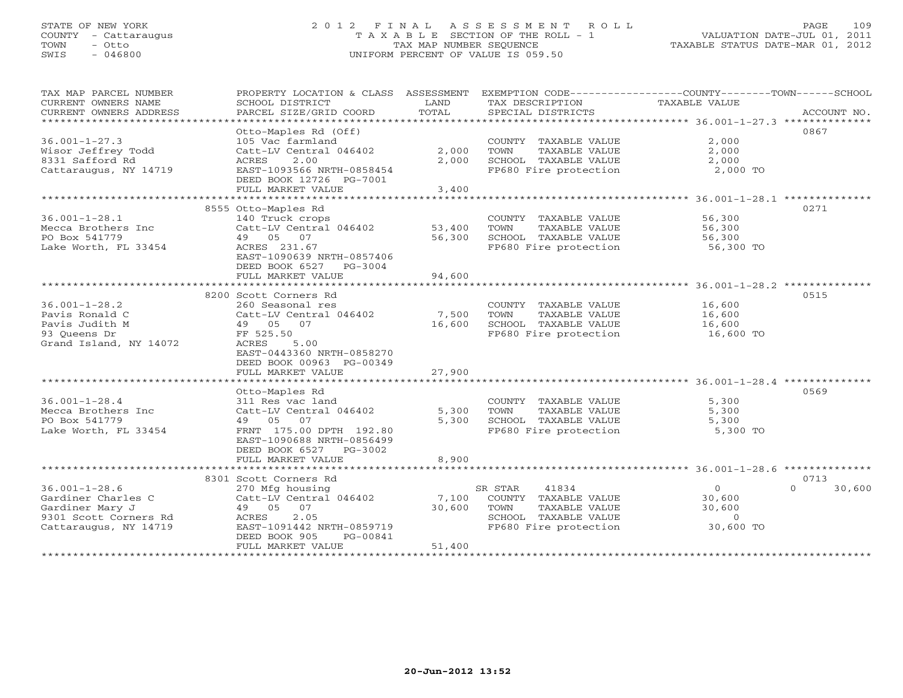# STATE OF NEW YORK 2 0 1 2 F I N A L A S S E S S M E N T R O L L PAGE 109 COUNTY - Cattaraugus T A X A B L E SECTION OF THE ROLL - 1 VALUATION DATE-JUL 01, 2011 TOWN - Otto TAX MAP NUMBER SEQUENCE TAXABLE STATUS DATE-MAR 01, 2012 SWIS - 046800 UNIFORM PERCENT OF VALUE IS 059.50UNIFORM PERCENT OF VALUE IS 059.50

| TAX MAP PARCEL NUMBER<br>CURRENT OWNERS NAME<br>CURRENT OWNERS ADDRESS<br>************************ | PROPERTY LOCATION & CLASS ASSESSMENT<br>SCHOOL DISTRICT<br>PARCEL SIZE/GRID COORD<br>*************** | LAND<br>TOTAL | TAX DESCRIPTION<br>SPECIAL DISTRICTS | EXEMPTION CODE-----------------COUNTY-------TOWN------SCHOOL<br>TAXABLE VALUE | ACCOUNT NO.        |
|----------------------------------------------------------------------------------------------------|------------------------------------------------------------------------------------------------------|---------------|--------------------------------------|-------------------------------------------------------------------------------|--------------------|
|                                                                                                    |                                                                                                      |               |                                      |                                                                               |                    |
|                                                                                                    | Otto-Maples Rd (Off)                                                                                 |               |                                      |                                                                               | 0867               |
| $36.001 - 1 - 27.3$                                                                                | 105 Vac farmland                                                                                     |               | COUNTY TAXABLE VALUE                 | 2,000                                                                         |                    |
| Wisor Jeffrey Todd                                                                                 | Catt-LV Central 046402                                                                               | 2,000         | TOWN<br>TAXABLE VALUE                | 2,000                                                                         |                    |
| 8331 Safford Rd                                                                                    | 2.00<br>ACRES                                                                                        | 2,000         | SCHOOL TAXABLE VALUE                 | 2,000                                                                         |                    |
| Cattaraugus, NY 14719                                                                              | EAST-1093566 NRTH-0858454                                                                            |               | FP680 Fire protection                | 2,000 TO                                                                      |                    |
|                                                                                                    | DEED BOOK 12726 PG-7001                                                                              |               |                                      |                                                                               |                    |
|                                                                                                    | FULL MARKET VALUE                                                                                    | 3,400         |                                      |                                                                               |                    |
|                                                                                                    | 8555 Otto-Maples Rd                                                                                  |               |                                      |                                                                               | 0271               |
| $36.001 - 1 - 28.1$                                                                                | 140 Truck crops                                                                                      |               | COUNTY TAXABLE VALUE                 | 56,300                                                                        |                    |
| Mecca Brothers Inc                                                                                 | Catt-LV Central 046402                                                                               | 53,400        | TOWN<br>TAXABLE VALUE                | 56,300                                                                        |                    |
| PO Box 541779                                                                                      | 49 05 07                                                                                             | 56,300        | SCHOOL TAXABLE VALUE                 | 56,300                                                                        |                    |
| Lake Worth, FL 33454                                                                               | ACRES 231.67                                                                                         |               | FP680 Fire protection                | 56,300 TO                                                                     |                    |
|                                                                                                    | EAST-1090639 NRTH-0857406                                                                            |               |                                      |                                                                               |                    |
|                                                                                                    | DEED BOOK 6527 PG-3004                                                                               |               |                                      |                                                                               |                    |
|                                                                                                    | FULL MARKET VALUE                                                                                    | 94,600        |                                      |                                                                               |                    |
|                                                                                                    | *******************************                                                                      |               |                                      |                                                                               |                    |
|                                                                                                    | 8200 Scott Corners Rd                                                                                |               |                                      |                                                                               | 0515               |
| $36.001 - 1 - 28.2$                                                                                | 260 Seasonal res                                                                                     |               | COUNTY TAXABLE VALUE                 | 16,600                                                                        |                    |
| Pavis Ronald C                                                                                     | Catt-LV Central 046402                                                                               | 7,500         | TOWN<br>TAXABLE VALUE                | 16,600                                                                        |                    |
| Pavis Judith M                                                                                     | 49 05 07                                                                                             | 16,600        | SCHOOL TAXABLE VALUE                 | 16,600                                                                        |                    |
|                                                                                                    | FF 525.50                                                                                            |               | FP680 Fire protection                | 16,600 TO                                                                     |                    |
| 93 Queens Dr                                                                                       | ACRES                                                                                                |               |                                      |                                                                               |                    |
| Grand Island, NY 14072                                                                             | 5.00<br>EAST-0443360 NRTH-0858270                                                                    |               |                                      |                                                                               |                    |
|                                                                                                    | DEED BOOK 00963 PG-00349                                                                             |               |                                      |                                                                               |                    |
|                                                                                                    | FULL MARKET VALUE                                                                                    | 27,900        |                                      |                                                                               |                    |
|                                                                                                    |                                                                                                      |               |                                      |                                                                               |                    |
|                                                                                                    | Otto-Maples Rd                                                                                       |               |                                      |                                                                               | 0569               |
| $36.001 - 1 - 28.4$                                                                                | 311 Res vac land                                                                                     |               | COUNTY TAXABLE VALUE                 | 5,300                                                                         |                    |
| Mecca Brothers Inc                                                                                 | Catt-LV Central 046402                                                                               | 5,300         | TOWN<br>TAXABLE VALUE                | 5,300                                                                         |                    |
| PO Box 541779                                                                                      | 49 05 07                                                                                             | 5,300         | SCHOOL TAXABLE VALUE                 | 5,300                                                                         |                    |
| Lake Worth, FL 33454                                                                               | FRNT 175.00 DPTH 192.80                                                                              |               | FP680 Fire protection                | 5,300 TO                                                                      |                    |
|                                                                                                    | EAST-1090688 NRTH-0856499                                                                            |               |                                      |                                                                               |                    |
|                                                                                                    | DEED BOOK 6527<br>PG-3002                                                                            |               |                                      |                                                                               |                    |
|                                                                                                    | FULL MARKET VALUE                                                                                    | 8,900         |                                      |                                                                               |                    |
|                                                                                                    |                                                                                                      |               |                                      |                                                                               |                    |
|                                                                                                    | 8301 Scott Corners Rd                                                                                |               |                                      |                                                                               | 0713               |
| $36.001 - 1 - 28.6$                                                                                | 270 Mfg housing                                                                                      |               | SR STAR<br>41834                     | $\circ$                                                                       | $\Omega$<br>30,600 |
| Gardiner Charles C                                                                                 | Catt-LV Central 046402                                                                               | 7,100         | COUNTY TAXABLE VALUE                 | 30,600                                                                        |                    |
| Gardiner Mary J                                                                                    | 49 05 07                                                                                             | 30,600        | TOWN<br>TAXABLE VALUE                | 30,600                                                                        |                    |
| 9301 Scott Corners Rd                                                                              | 2.05<br>ACRES                                                                                        |               | SCHOOL TAXABLE VALUE                 | $\circ$                                                                       |                    |
| Cattaraugus, NY 14719                                                                              | EAST-1091442 NRTH-0859719                                                                            |               | FP680 Fire protection                | 30,600 TO                                                                     |                    |
|                                                                                                    | DEED BOOK 905<br>PG-00841                                                                            |               |                                      |                                                                               |                    |
|                                                                                                    | FULL MARKET VALUE                                                                                    | 51,400        |                                      |                                                                               |                    |
|                                                                                                    |                                                                                                      |               |                                      |                                                                               |                    |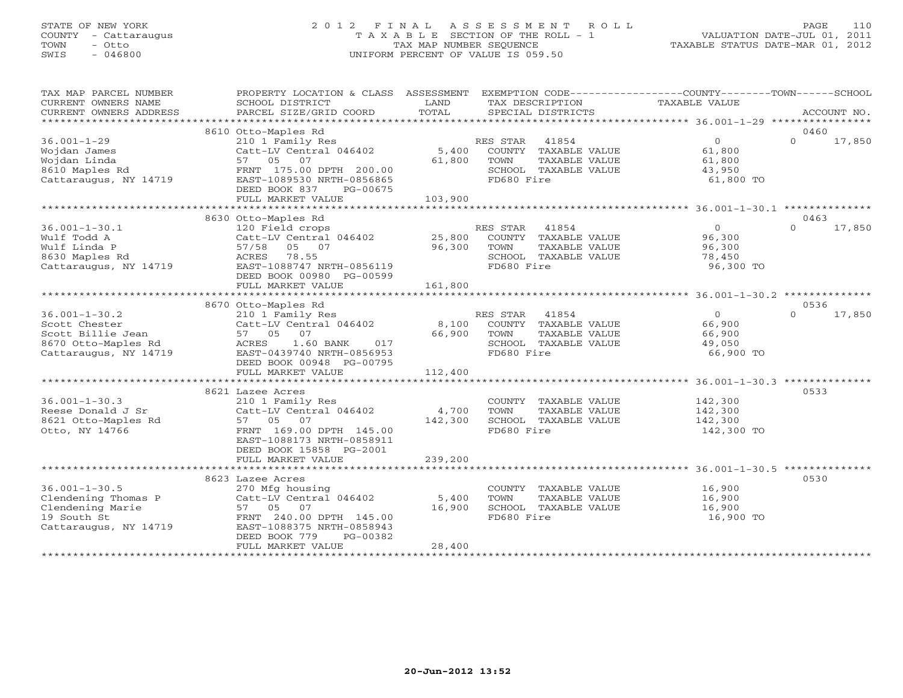# STATE OF NEW YORK 2 0 1 2 F I N A L A S S E S S M E N T R O L L PAGE 110 COUNTY - Cattaraugus T A X A B L E SECTION OF THE ROLL - 1 VALUATION DATE-JUL 01, 2011 TOWN - Otto TAX MAP NUMBER SEQUENCE TAXABLE STATUS DATE-MAR 01, 2012 SWIS - 046800 UNIFORM PERCENT OF VALUE IS 059.50UNIFORM PERCENT OF VALUE IS 059.50

| TAX MAP PARCEL NUMBER<br>CURRENT OWNERS NAME<br>CURRENT OWNERS ADDRESS                                                                                                                        | PROPERTY LOCATION & CLASS ASSESSMENT EXEMPTION CODE---------------COUNTY-------TOWN------SCHOOL<br>SCHOOL DISTRICT<br>PARCEL SIZE/GRID COORD                                                                       | LAND<br>TOTAL                   | TAX DESCRIPTION<br>SPECIAL DISTRICTS                                                | TAXABLE VALUE                                                       | ACCOUNT NO.                |
|-----------------------------------------------------------------------------------------------------------------------------------------------------------------------------------------------|--------------------------------------------------------------------------------------------------------------------------------------------------------------------------------------------------------------------|---------------------------------|-------------------------------------------------------------------------------------|---------------------------------------------------------------------|----------------------------|
|                                                                                                                                                                                               |                                                                                                                                                                                                                    |                                 |                                                                                     |                                                                     |                            |
| $36.001 - 1 - 29$<br>Wojdan James<br>Wojdan Linda<br>14719<br>8610 Maples Rd<br>Cattaraugus, NY 14719                                                                                         | 8610 Otto-Maples Rd<br>210 1 Family Res<br>Catt-LV Central 046402 5,400 COUNTY TAXABLE VALUE<br>57 05 07<br>FRNT 175.00 DPTH 200.00<br>EAST-1089530 NRTH-0856865<br>DEED BOOK 837<br>PG-00675<br>FULL MARKET VALUE | 61,800 TOWN<br>SCHOO<br>103,900 | RES STAR 41854<br>TAXABLE VALUE<br>SCHOOL TAXABLE VALUE<br>FD680 Fire               | $\overline{0}$<br>61,800<br>61,800<br>43,950<br>61,800 TO           | 0460<br>$\Omega$<br>17,850 |
|                                                                                                                                                                                               | 8630 Otto-Maples Rd                                                                                                                                                                                                |                                 |                                                                                     |                                                                     | 0463                       |
| $36.001 - 1 - 30.1$<br>waii Toud A<br>Wulf Linda P<br>8630 Maples Rd<br>Cattaraugus, NY 14719                                                                                                 | 120 Field crops<br>Catt-LV Central 046402 25,800 COUNTY TAXABLE VALUE<br>57/58 05 07 96,300 TOWN TAXABLE VALUE<br>ACRES 78.55<br>EAST-1088747 NRTH-0856119<br>DEED BOOK 00980 PG-00599<br>FULL MARKET VALUE        | 161,800                         | RES STAR 41854<br>TAXABLE VALUE<br>SCHOOL TAXABLE VALUE<br>FD680 Fire               | $\overline{0}$<br>96,300<br>96.300<br>96,300<br>78,450<br>96,300 TO | 17,850<br>$\Omega$         |
|                                                                                                                                                                                               |                                                                                                                                                                                                                    |                                 |                                                                                     |                                                                     | 0536                       |
| $36.001 - 1 - 30.2$<br>Scott Chester<br>Profile Jean 2012<br>Scott Billie Jean 2012<br>8670 Otto-Maples Rd 2012<br>Cattaraugus, NY 14719 2018 2019 2019<br>2019 2019 2019 2019 2019 2019 2019 | 8670 Otto-Maples Rd<br>210 1 Family Res<br>Catt-LV Central 046402 8,100 COUNTY TAXABLE VALUE<br>DEED BOOK 00948 PG-00795                                                                                           | 66,900 TOWN<br>SCHOO            | TAXABLE VALUE<br>SCHOOL TAXABLE VALUE<br>FD680 Fire                                 | $\overline{0}$<br>66,900<br>66,900<br>49,050<br>66,900 TO           | $\Omega$<br>17,850         |
|                                                                                                                                                                                               | FULL MARKET VALUE                                                                                                                                                                                                  | 112,400                         |                                                                                     |                                                                     |                            |
| $36.001 - 1 - 30.3$<br>Reese Donald J Sr<br>8621 Otto-Maples Rd<br>Otto, NY 14766                                                                                                             | 8621 Lazee Acres<br>210 1 Family Res<br>Catt-LV Central $046402$ 4,700<br>57 05 07<br>FRNT 169.00 DPTH 145.00<br>EAST-1088173 NRTH-0858911<br>DEED BOOK 15858 PG-2001<br>FULL MARKET VALUE                         | 142,300<br>239,200              | COUNTY TAXABLE VALUE<br>TOWN<br>TAXABLE VALUE<br>SCHOOL TAXABLE VALUE<br>FD680 Fire | 142,300<br>142,300<br>142,300<br>142,300 TO                         | 0533                       |
|                                                                                                                                                                                               | 8623 Lazee Acres                                                                                                                                                                                                   |                                 |                                                                                     |                                                                     | 0530                       |
| $36.001 - 1 - 30.5$<br>P<br>Clendening Thomas P<br>Clendening Marie<br>Clendening Marie<br>19 South St<br>Cattaraugus, NY 14719                                                               | 270 Mfg housing<br>Catt-LV Central 046402 5,400<br>57 05 07<br>FRNT 240.00 DPTH 145.00<br>EAST-1088375 NRTH-0858943<br>DEED BOOK 779<br>PG-00382<br>FULL MARKET VALUE                                              | 16,900<br>28,400                | COUNTY TAXABLE VALUE<br>TOWN<br>TAXABLE VALUE<br>SCHOOL TAXABLE VALUE<br>FD680 Fire | 16,900<br>16,900<br>16,900<br>16,900 TO                             |                            |
|                                                                                                                                                                                               |                                                                                                                                                                                                                    |                                 |                                                                                     |                                                                     |                            |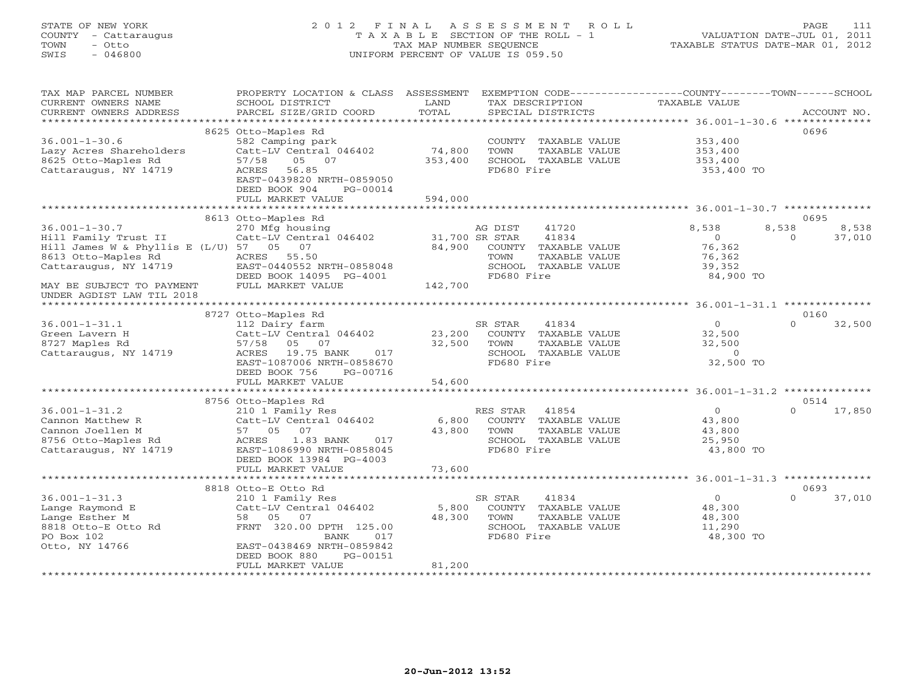# STATE OF NEW YORK 2 0 1 2 F I N A L A S S E S S M E N T R O L L PAGE 111 COUNTY - Cattaraugus T A X A B L E SECTION OF THE ROLL - 1 VALUATION DATE-JUL 01, 2011 TOWN - Otto TAX MAP NUMBER SEQUENCE TAXABLE STATUS DATE-MAR 01, 2012 SWIS - 046800 UNIFORM PERCENT OF VALUE IS 059.50UNIFORM PERCENT OF VALUE IS 059.50

| TAX MAP PARCEL NUMBER<br>CURRENT OWNERS NAME        | PROPERTY LOCATION & CLASS ASSESSMENT<br>SCHOOL DISTRICT                  | LAND                 | EXEMPTION CODE-----------------COUNTY-------TOWN------SCHOOL<br>TAX DESCRIPTION | <b>TAXABLE VALUE</b> |                        |
|-----------------------------------------------------|--------------------------------------------------------------------------|----------------------|---------------------------------------------------------------------------------|----------------------|------------------------|
| CURRENT OWNERS ADDRESS<br>************************* | PARCEL SIZE/GRID COORD                                                   | TOTAL                | SPECIAL DISTRICTS                                                               |                      | ACCOUNT NO.            |
|                                                     | 8625 Otto-Maples Rd                                                      |                      |                                                                                 |                      | 0696                   |
| $36.001 - 1 - 30.6$<br>Lazy Acres Shareholders      | 582 Camping park<br>Catt-LV Central 046402                               | 74,800               | COUNTY TAXABLE VALUE<br>TOWN<br>TAXABLE VALUE                                   | 353,400<br>353,400   |                        |
| 8625 Otto-Maples Rd                                 | 57/58<br>05 07                                                           | 353,400              | SCHOOL TAXABLE VALUE                                                            | 353,400              |                        |
| Cattaraugus, NY 14719                               | ACRES<br>56.85<br>EAST-0439820 NRTH-0859050<br>DEED BOOK 904<br>PG-00014 |                      | FD680 Fire                                                                      | 353,400 TO           |                        |
|                                                     | FULL MARKET VALUE<br>**************************                          | 594,000              |                                                                                 |                      |                        |
|                                                     |                                                                          | ******************** |                                                                                 |                      |                        |
| $36.001 - 1 - 30.7$                                 | 8613 Otto-Maples Rd<br>270 Mfg housing                                   |                      | 41720<br>AG DIST                                                                | 8,538                | 0695<br>8,538<br>8,538 |
| Hill Family Trust II                                | Catt-LV Central 046402                                                   | 31,700 SR STAR       | 41834                                                                           | $\Omega$             | 37,010<br>$\Omega$     |
| Hill James W & Phyllis E $(L/U)$ 57 05              | 07                                                                       | 84,900               | COUNTY TAXABLE VALUE                                                            | 76,362               |                        |
| 8613 Otto-Maples Rd                                 | ACRES 55.50                                                              |                      | TAXABLE VALUE<br>TOWN                                                           | 76,362               |                        |
| Cattaraugus, NY 14719                               | EAST-0440552 NRTH-0858048                                                |                      | SCHOOL TAXABLE VALUE                                                            | 39,352               |                        |
|                                                     | DEED BOOK 14095 PG-4001                                                  |                      | FD680 Fire                                                                      | 84,900 TO            |                        |
| MAY BE SUBJECT TO PAYMENT                           | FULL MARKET VALUE                                                        | 142,700              |                                                                                 |                      |                        |
| UNDER AGDIST LAW TIL 2018                           |                                                                          |                      |                                                                                 |                      |                        |
|                                                     |                                                                          |                      |                                                                                 |                      |                        |
|                                                     | 8727 Otto-Maples Rd                                                      |                      |                                                                                 |                      | 0160                   |
| $36.001 - 1 - 31.1$                                 | 112 Dairy farm                                                           |                      | SR STAR<br>41834                                                                | $\Omega$             | $\Omega$<br>32,500     |
| Green Lavern H                                      | Catt-LV Central 046402                                                   | 23,200               | COUNTY TAXABLE VALUE                                                            | 32,500               |                        |
| 8727 Maples Rd                                      | 57/58<br>05 07                                                           | 32,500               | TOWN<br>TAXABLE VALUE                                                           | 32,500               |                        |
| Cattaraugus, NY 14719                               | 19.75 BANK<br>ACRES<br>017                                               |                      | SCHOOL TAXABLE VALUE                                                            | $\circ$              |                        |
|                                                     | EAST-1087006 NRTH-0858670<br>DEED BOOK 756<br>PG-00716                   |                      | FD680 Fire                                                                      | 32,500 TO            |                        |
|                                                     | FULL MARKET VALUE                                                        | 54,600               |                                                                                 |                      |                        |
|                                                     |                                                                          |                      |                                                                                 |                      |                        |
|                                                     | 8756 Otto-Maples Rd                                                      |                      |                                                                                 |                      | 0514                   |
| $36.001 - 1 - 31.2$                                 | 210 1 Family Res                                                         |                      | RES STAR<br>41854                                                               | $\circ$              | $\Omega$<br>17,850     |
| Cannon Matthew R                                    | Catt-LV Central 046402                                                   | 6,800                | COUNTY TAXABLE VALUE                                                            | 43,800               |                        |
| Cannon Joellen M                                    | 07<br>57 05                                                              | 43,800               | TAXABLE VALUE<br>TOWN                                                           | 43,800               |                        |
| 8756 Otto-Maples Rd                                 | ACRES<br>1.83 BANK<br>017                                                |                      | SCHOOL TAXABLE VALUE                                                            | 25,950               |                        |
| Cattaraugus, NY 14719                               | EAST-1086990 NRTH-0858045                                                |                      | FD680 Fire                                                                      | 43,800 TO            |                        |
|                                                     | DEED BOOK 13984 PG-4003                                                  |                      |                                                                                 |                      |                        |
|                                                     | FULL MARKET VALUE<br>******************************                      | 73,600               |                                                                                 |                      |                        |
|                                                     | 8818 Otto-E Otto Rd                                                      |                      |                                                                                 |                      | 0693                   |
| $36.001 - 1 - 31.3$                                 | 210 1 Family Res                                                         |                      | SR STAR<br>41834                                                                | $\overline{O}$       | $\Omega$<br>37,010     |
| Lange Raymond E                                     | Catt-LV Central 046402                                                   | 5,800                | COUNTY TAXABLE VALUE                                                            | 48,300               |                        |
| Lange Esther M                                      | 58 05<br>07                                                              | 48,300               | TAXABLE VALUE<br>TOWN                                                           | 48,300               |                        |
| 8818 Otto-E Otto Rd                                 | FRNT 320.00 DPTH 125.00                                                  |                      | SCHOOL TAXABLE VALUE                                                            | 11,290               |                        |
| PO Box 102                                          | BANK<br>017                                                              |                      | FD680 Fire                                                                      | 48,300 TO            |                        |
| Otto, NY 14766                                      | EAST-0438469 NRTH-0859842                                                |                      |                                                                                 |                      |                        |
|                                                     | DEED BOOK 880<br>PG-00151                                                |                      |                                                                                 |                      |                        |
|                                                     | FULL MARKET VALUE                                                        | 81,200               |                                                                                 |                      |                        |
|                                                     |                                                                          |                      |                                                                                 |                      |                        |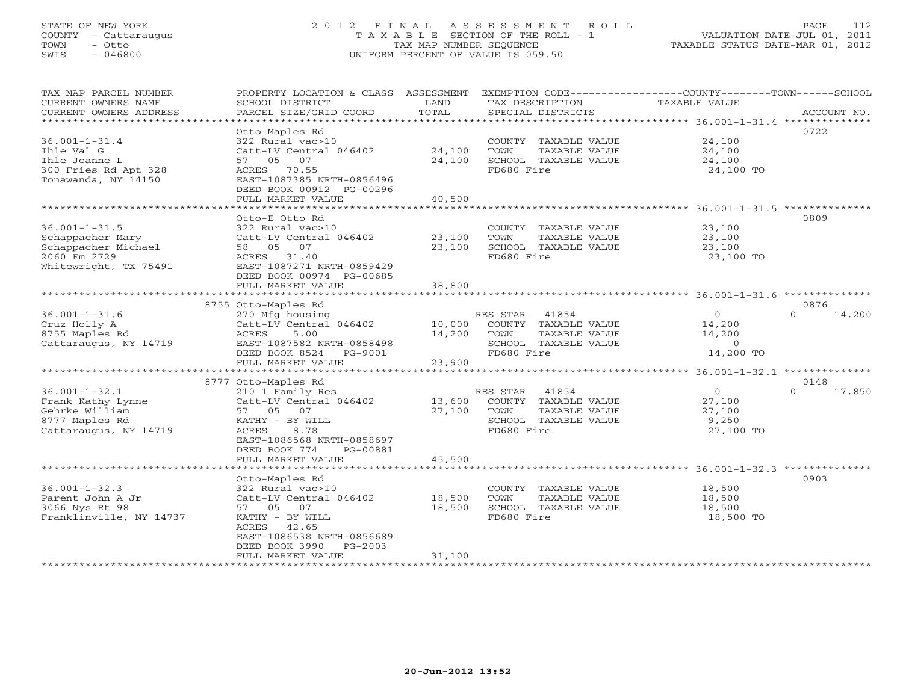# STATE OF NEW YORK 2 0 1 2 F I N A L A S S E S S M E N T R O L L PAGE 112 COUNTY - Cattaraugus T A X A B L E SECTION OF THE ROLL - 1 VALUATION DATE-JUL 01, 2011 TOWN - Otto TAX MAP NUMBER SEQUENCE TAXABLE STATUS DATE-MAR 01, 2012 SWIS - 046800 UNIFORM PERCENT OF VALUE IS 059.50UNIFORM PERCENT OF VALUE IS 059.50

| CURRENT OWNERS NAME<br>SCHOOL DISTRICT<br>LAND<br>TAX DESCRIPTION<br>TAXABLE VALUE<br>TOTAL<br>PARCEL SIZE/GRID COORD<br>CURRENT OWNERS ADDRESS<br>SPECIAL DISTRICTS<br>ACCOUNT NO.<br>0722<br>Otto-Maples Rd<br>$36.001 - 1 - 31.4$<br>322 Rural vac>10<br>24,100<br>COUNTY TAXABLE VALUE<br>24,100<br>Ihle Val G<br>TOWN<br>TAXABLE VALUE<br>24,100<br>Catt-LV Central 046402<br>24,100<br>SCHOOL TAXABLE VALUE<br>Ihle Joanne L<br>57 05 07<br>24,100<br>300 Fries Rd Apt 328<br>ACRES 70.55<br>FD680 Fire<br>24,100 TO<br>Tonawanda, NY 14150<br>EAST-1087385 NRTH-0856496<br>DEED BOOK 00912 PG-00296<br>40,500<br>FULL MARKET VALUE<br>0809<br>Otto-E Otto Rd<br>$36.001 - 1 - 31.5$<br>322 Rural vac>10<br>COUNTY TAXABLE VALUE<br>23,100<br>Schappacher Mary<br>Catt-LV Central 046402<br>23,100<br>TOWN<br>TAXABLE VALUE<br>23,100<br>Schappacher Michael<br>23,100<br>SCHOOL TAXABLE VALUE<br>23,100<br>58 05 07<br>2060 Fm 2729<br>FD680 Fire<br>ACRES 31.40<br>23,100 TO<br>Whitewright, TX 75491<br>EAST-1087271 NRTH-0859429<br>DEED BOOK 00974 PG-00685<br>38,800<br>FULL MARKET VALUE<br>0876<br>8755 Otto-Maples Rd<br>$\overline{O}$<br>$\Omega$<br>$36.001 - 1 - 31.6$<br>270 Mfg housing<br>RES STAR 41854<br>14,200<br>Catt-LV Central 046402<br>Cruz Holly A<br>10,000<br>COUNTY TAXABLE VALUE<br>14,200<br>8755 Maples Rd<br>14,200<br>ACRES<br>5.00<br>TOWN<br>TAXABLE VALUE<br>14,200<br>Cattaraugus, NY 14719<br>EAST-1087582 NRTH-0858498<br>SCHOOL TAXABLE VALUE<br>$\circ$<br>FD680 Fire<br>14,200 TO<br>DEED BOOK 8524 PG-9001<br>23,900<br>FULL MARKET VALUE<br>8777 Otto-Maples Rd<br>0148<br>$\Omega$<br>$36.001 - 1 - 32.1$<br>41854<br>$\overline{0}$<br>17,850<br>210 1 Family Res<br>RES STAR<br>COUNTY TAXABLE VALUE<br>Frank Kathy Lynne<br>Catt-LV Central 046402<br>13,600<br>27,100<br>27,100<br>Gehrke William<br>TOWN<br>TAXABLE VALUE<br>57 05 07<br>27,100<br>8777 Maples Rd<br>9,250<br>KATHY - BY WILL<br>SCHOOL TAXABLE VALUE<br>FD680 Fire<br>Cattaraugus, NY 14719<br>ACRES<br>8.78<br>27,100 TO<br>EAST-1086568 NRTH-0858697<br>DEED BOOK 774<br>PG-00881<br>45,500<br>FULL MARKET VALUE<br>0903<br>Otto-Maples Rd<br>$36.001 - 1 - 32.3$<br>322 Rural vac>10<br>COUNTY TAXABLE VALUE<br>18,500<br>Parent John A Jr<br>18,500<br>TOWN<br>TAXABLE VALUE<br>18,500<br>Catt-LV Central 046402<br>18,500<br>SCHOOL TAXABLE VALUE<br>3066 Nys Rt 98<br>57 05 07<br>18,500<br>Franklinville, NY 14737<br>FD680 Fire<br>18,500 TO<br>KATHY - BY WILL<br>ACRES 42.65<br>EAST-1086538 NRTH-0856689<br>DEED BOOK 3990 PG-2003<br>31,100<br>FULL MARKET VALUE<br>********************************* | TAX MAP PARCEL NUMBER | PROPERTY LOCATION & CLASS ASSESSMENT EXEMPTION CODE----------------COUNTY-------TOWN------SCHOOL |  |  |
|---------------------------------------------------------------------------------------------------------------------------------------------------------------------------------------------------------------------------------------------------------------------------------------------------------------------------------------------------------------------------------------------------------------------------------------------------------------------------------------------------------------------------------------------------------------------------------------------------------------------------------------------------------------------------------------------------------------------------------------------------------------------------------------------------------------------------------------------------------------------------------------------------------------------------------------------------------------------------------------------------------------------------------------------------------------------------------------------------------------------------------------------------------------------------------------------------------------------------------------------------------------------------------------------------------------------------------------------------------------------------------------------------------------------------------------------------------------------------------------------------------------------------------------------------------------------------------------------------------------------------------------------------------------------------------------------------------------------------------------------------------------------------------------------------------------------------------------------------------------------------------------------------------------------------------------------------------------------------------------------------------------------------------------------------------------------------------------------------------------------------------------------------------------------------------------------------------------------------------------------------------------------------------------------------------------------------------------------------------------------------------------------------------------------------------------------------------------------------------------------------------------------------------------------------------------------------------------------------------------------------------------------|-----------------------|--------------------------------------------------------------------------------------------------|--|--|
|                                                                                                                                                                                                                                                                                                                                                                                                                                                                                                                                                                                                                                                                                                                                                                                                                                                                                                                                                                                                                                                                                                                                                                                                                                                                                                                                                                                                                                                                                                                                                                                                                                                                                                                                                                                                                                                                                                                                                                                                                                                                                                                                                                                                                                                                                                                                                                                                                                                                                                                                                                                                                                             |                       |                                                                                                  |  |  |
|                                                                                                                                                                                                                                                                                                                                                                                                                                                                                                                                                                                                                                                                                                                                                                                                                                                                                                                                                                                                                                                                                                                                                                                                                                                                                                                                                                                                                                                                                                                                                                                                                                                                                                                                                                                                                                                                                                                                                                                                                                                                                                                                                                                                                                                                                                                                                                                                                                                                                                                                                                                                                                             |                       |                                                                                                  |  |  |
|                                                                                                                                                                                                                                                                                                                                                                                                                                                                                                                                                                                                                                                                                                                                                                                                                                                                                                                                                                                                                                                                                                                                                                                                                                                                                                                                                                                                                                                                                                                                                                                                                                                                                                                                                                                                                                                                                                                                                                                                                                                                                                                                                                                                                                                                                                                                                                                                                                                                                                                                                                                                                                             |                       |                                                                                                  |  |  |
|                                                                                                                                                                                                                                                                                                                                                                                                                                                                                                                                                                                                                                                                                                                                                                                                                                                                                                                                                                                                                                                                                                                                                                                                                                                                                                                                                                                                                                                                                                                                                                                                                                                                                                                                                                                                                                                                                                                                                                                                                                                                                                                                                                                                                                                                                                                                                                                                                                                                                                                                                                                                                                             |                       |                                                                                                  |  |  |
|                                                                                                                                                                                                                                                                                                                                                                                                                                                                                                                                                                                                                                                                                                                                                                                                                                                                                                                                                                                                                                                                                                                                                                                                                                                                                                                                                                                                                                                                                                                                                                                                                                                                                                                                                                                                                                                                                                                                                                                                                                                                                                                                                                                                                                                                                                                                                                                                                                                                                                                                                                                                                                             |                       |                                                                                                  |  |  |
|                                                                                                                                                                                                                                                                                                                                                                                                                                                                                                                                                                                                                                                                                                                                                                                                                                                                                                                                                                                                                                                                                                                                                                                                                                                                                                                                                                                                                                                                                                                                                                                                                                                                                                                                                                                                                                                                                                                                                                                                                                                                                                                                                                                                                                                                                                                                                                                                                                                                                                                                                                                                                                             |                       |                                                                                                  |  |  |
|                                                                                                                                                                                                                                                                                                                                                                                                                                                                                                                                                                                                                                                                                                                                                                                                                                                                                                                                                                                                                                                                                                                                                                                                                                                                                                                                                                                                                                                                                                                                                                                                                                                                                                                                                                                                                                                                                                                                                                                                                                                                                                                                                                                                                                                                                                                                                                                                                                                                                                                                                                                                                                             |                       |                                                                                                  |  |  |
|                                                                                                                                                                                                                                                                                                                                                                                                                                                                                                                                                                                                                                                                                                                                                                                                                                                                                                                                                                                                                                                                                                                                                                                                                                                                                                                                                                                                                                                                                                                                                                                                                                                                                                                                                                                                                                                                                                                                                                                                                                                                                                                                                                                                                                                                                                                                                                                                                                                                                                                                                                                                                                             |                       |                                                                                                  |  |  |
|                                                                                                                                                                                                                                                                                                                                                                                                                                                                                                                                                                                                                                                                                                                                                                                                                                                                                                                                                                                                                                                                                                                                                                                                                                                                                                                                                                                                                                                                                                                                                                                                                                                                                                                                                                                                                                                                                                                                                                                                                                                                                                                                                                                                                                                                                                                                                                                                                                                                                                                                                                                                                                             |                       |                                                                                                  |  |  |
|                                                                                                                                                                                                                                                                                                                                                                                                                                                                                                                                                                                                                                                                                                                                                                                                                                                                                                                                                                                                                                                                                                                                                                                                                                                                                                                                                                                                                                                                                                                                                                                                                                                                                                                                                                                                                                                                                                                                                                                                                                                                                                                                                                                                                                                                                                                                                                                                                                                                                                                                                                                                                                             |                       |                                                                                                  |  |  |
|                                                                                                                                                                                                                                                                                                                                                                                                                                                                                                                                                                                                                                                                                                                                                                                                                                                                                                                                                                                                                                                                                                                                                                                                                                                                                                                                                                                                                                                                                                                                                                                                                                                                                                                                                                                                                                                                                                                                                                                                                                                                                                                                                                                                                                                                                                                                                                                                                                                                                                                                                                                                                                             |                       |                                                                                                  |  |  |
|                                                                                                                                                                                                                                                                                                                                                                                                                                                                                                                                                                                                                                                                                                                                                                                                                                                                                                                                                                                                                                                                                                                                                                                                                                                                                                                                                                                                                                                                                                                                                                                                                                                                                                                                                                                                                                                                                                                                                                                                                                                                                                                                                                                                                                                                                                                                                                                                                                                                                                                                                                                                                                             |                       |                                                                                                  |  |  |
|                                                                                                                                                                                                                                                                                                                                                                                                                                                                                                                                                                                                                                                                                                                                                                                                                                                                                                                                                                                                                                                                                                                                                                                                                                                                                                                                                                                                                                                                                                                                                                                                                                                                                                                                                                                                                                                                                                                                                                                                                                                                                                                                                                                                                                                                                                                                                                                                                                                                                                                                                                                                                                             |                       |                                                                                                  |  |  |
|                                                                                                                                                                                                                                                                                                                                                                                                                                                                                                                                                                                                                                                                                                                                                                                                                                                                                                                                                                                                                                                                                                                                                                                                                                                                                                                                                                                                                                                                                                                                                                                                                                                                                                                                                                                                                                                                                                                                                                                                                                                                                                                                                                                                                                                                                                                                                                                                                                                                                                                                                                                                                                             |                       |                                                                                                  |  |  |
|                                                                                                                                                                                                                                                                                                                                                                                                                                                                                                                                                                                                                                                                                                                                                                                                                                                                                                                                                                                                                                                                                                                                                                                                                                                                                                                                                                                                                                                                                                                                                                                                                                                                                                                                                                                                                                                                                                                                                                                                                                                                                                                                                                                                                                                                                                                                                                                                                                                                                                                                                                                                                                             |                       |                                                                                                  |  |  |
|                                                                                                                                                                                                                                                                                                                                                                                                                                                                                                                                                                                                                                                                                                                                                                                                                                                                                                                                                                                                                                                                                                                                                                                                                                                                                                                                                                                                                                                                                                                                                                                                                                                                                                                                                                                                                                                                                                                                                                                                                                                                                                                                                                                                                                                                                                                                                                                                                                                                                                                                                                                                                                             |                       |                                                                                                  |  |  |
|                                                                                                                                                                                                                                                                                                                                                                                                                                                                                                                                                                                                                                                                                                                                                                                                                                                                                                                                                                                                                                                                                                                                                                                                                                                                                                                                                                                                                                                                                                                                                                                                                                                                                                                                                                                                                                                                                                                                                                                                                                                                                                                                                                                                                                                                                                                                                                                                                                                                                                                                                                                                                                             |                       |                                                                                                  |  |  |
|                                                                                                                                                                                                                                                                                                                                                                                                                                                                                                                                                                                                                                                                                                                                                                                                                                                                                                                                                                                                                                                                                                                                                                                                                                                                                                                                                                                                                                                                                                                                                                                                                                                                                                                                                                                                                                                                                                                                                                                                                                                                                                                                                                                                                                                                                                                                                                                                                                                                                                                                                                                                                                             |                       |                                                                                                  |  |  |
|                                                                                                                                                                                                                                                                                                                                                                                                                                                                                                                                                                                                                                                                                                                                                                                                                                                                                                                                                                                                                                                                                                                                                                                                                                                                                                                                                                                                                                                                                                                                                                                                                                                                                                                                                                                                                                                                                                                                                                                                                                                                                                                                                                                                                                                                                                                                                                                                                                                                                                                                                                                                                                             |                       |                                                                                                  |  |  |
|                                                                                                                                                                                                                                                                                                                                                                                                                                                                                                                                                                                                                                                                                                                                                                                                                                                                                                                                                                                                                                                                                                                                                                                                                                                                                                                                                                                                                                                                                                                                                                                                                                                                                                                                                                                                                                                                                                                                                                                                                                                                                                                                                                                                                                                                                                                                                                                                                                                                                                                                                                                                                                             |                       |                                                                                                  |  |  |
|                                                                                                                                                                                                                                                                                                                                                                                                                                                                                                                                                                                                                                                                                                                                                                                                                                                                                                                                                                                                                                                                                                                                                                                                                                                                                                                                                                                                                                                                                                                                                                                                                                                                                                                                                                                                                                                                                                                                                                                                                                                                                                                                                                                                                                                                                                                                                                                                                                                                                                                                                                                                                                             |                       |                                                                                                  |  |  |
|                                                                                                                                                                                                                                                                                                                                                                                                                                                                                                                                                                                                                                                                                                                                                                                                                                                                                                                                                                                                                                                                                                                                                                                                                                                                                                                                                                                                                                                                                                                                                                                                                                                                                                                                                                                                                                                                                                                                                                                                                                                                                                                                                                                                                                                                                                                                                                                                                                                                                                                                                                                                                                             |                       |                                                                                                  |  |  |
|                                                                                                                                                                                                                                                                                                                                                                                                                                                                                                                                                                                                                                                                                                                                                                                                                                                                                                                                                                                                                                                                                                                                                                                                                                                                                                                                                                                                                                                                                                                                                                                                                                                                                                                                                                                                                                                                                                                                                                                                                                                                                                                                                                                                                                                                                                                                                                                                                                                                                                                                                                                                                                             |                       |                                                                                                  |  |  |
|                                                                                                                                                                                                                                                                                                                                                                                                                                                                                                                                                                                                                                                                                                                                                                                                                                                                                                                                                                                                                                                                                                                                                                                                                                                                                                                                                                                                                                                                                                                                                                                                                                                                                                                                                                                                                                                                                                                                                                                                                                                                                                                                                                                                                                                                                                                                                                                                                                                                                                                                                                                                                                             |                       |                                                                                                  |  |  |
|                                                                                                                                                                                                                                                                                                                                                                                                                                                                                                                                                                                                                                                                                                                                                                                                                                                                                                                                                                                                                                                                                                                                                                                                                                                                                                                                                                                                                                                                                                                                                                                                                                                                                                                                                                                                                                                                                                                                                                                                                                                                                                                                                                                                                                                                                                                                                                                                                                                                                                                                                                                                                                             |                       |                                                                                                  |  |  |
|                                                                                                                                                                                                                                                                                                                                                                                                                                                                                                                                                                                                                                                                                                                                                                                                                                                                                                                                                                                                                                                                                                                                                                                                                                                                                                                                                                                                                                                                                                                                                                                                                                                                                                                                                                                                                                                                                                                                                                                                                                                                                                                                                                                                                                                                                                                                                                                                                                                                                                                                                                                                                                             |                       |                                                                                                  |  |  |
|                                                                                                                                                                                                                                                                                                                                                                                                                                                                                                                                                                                                                                                                                                                                                                                                                                                                                                                                                                                                                                                                                                                                                                                                                                                                                                                                                                                                                                                                                                                                                                                                                                                                                                                                                                                                                                                                                                                                                                                                                                                                                                                                                                                                                                                                                                                                                                                                                                                                                                                                                                                                                                             |                       |                                                                                                  |  |  |
|                                                                                                                                                                                                                                                                                                                                                                                                                                                                                                                                                                                                                                                                                                                                                                                                                                                                                                                                                                                                                                                                                                                                                                                                                                                                                                                                                                                                                                                                                                                                                                                                                                                                                                                                                                                                                                                                                                                                                                                                                                                                                                                                                                                                                                                                                                                                                                                                                                                                                                                                                                                                                                             |                       |                                                                                                  |  |  |
|                                                                                                                                                                                                                                                                                                                                                                                                                                                                                                                                                                                                                                                                                                                                                                                                                                                                                                                                                                                                                                                                                                                                                                                                                                                                                                                                                                                                                                                                                                                                                                                                                                                                                                                                                                                                                                                                                                                                                                                                                                                                                                                                                                                                                                                                                                                                                                                                                                                                                                                                                                                                                                             |                       |                                                                                                  |  |  |
|                                                                                                                                                                                                                                                                                                                                                                                                                                                                                                                                                                                                                                                                                                                                                                                                                                                                                                                                                                                                                                                                                                                                                                                                                                                                                                                                                                                                                                                                                                                                                                                                                                                                                                                                                                                                                                                                                                                                                                                                                                                                                                                                                                                                                                                                                                                                                                                                                                                                                                                                                                                                                                             |                       |                                                                                                  |  |  |
|                                                                                                                                                                                                                                                                                                                                                                                                                                                                                                                                                                                                                                                                                                                                                                                                                                                                                                                                                                                                                                                                                                                                                                                                                                                                                                                                                                                                                                                                                                                                                                                                                                                                                                                                                                                                                                                                                                                                                                                                                                                                                                                                                                                                                                                                                                                                                                                                                                                                                                                                                                                                                                             |                       |                                                                                                  |  |  |
|                                                                                                                                                                                                                                                                                                                                                                                                                                                                                                                                                                                                                                                                                                                                                                                                                                                                                                                                                                                                                                                                                                                                                                                                                                                                                                                                                                                                                                                                                                                                                                                                                                                                                                                                                                                                                                                                                                                                                                                                                                                                                                                                                                                                                                                                                                                                                                                                                                                                                                                                                                                                                                             |                       |                                                                                                  |  |  |
|                                                                                                                                                                                                                                                                                                                                                                                                                                                                                                                                                                                                                                                                                                                                                                                                                                                                                                                                                                                                                                                                                                                                                                                                                                                                                                                                                                                                                                                                                                                                                                                                                                                                                                                                                                                                                                                                                                                                                                                                                                                                                                                                                                                                                                                                                                                                                                                                                                                                                                                                                                                                                                             |                       |                                                                                                  |  |  |
|                                                                                                                                                                                                                                                                                                                                                                                                                                                                                                                                                                                                                                                                                                                                                                                                                                                                                                                                                                                                                                                                                                                                                                                                                                                                                                                                                                                                                                                                                                                                                                                                                                                                                                                                                                                                                                                                                                                                                                                                                                                                                                                                                                                                                                                                                                                                                                                                                                                                                                                                                                                                                                             |                       |                                                                                                  |  |  |
|                                                                                                                                                                                                                                                                                                                                                                                                                                                                                                                                                                                                                                                                                                                                                                                                                                                                                                                                                                                                                                                                                                                                                                                                                                                                                                                                                                                                                                                                                                                                                                                                                                                                                                                                                                                                                                                                                                                                                                                                                                                                                                                                                                                                                                                                                                                                                                                                                                                                                                                                                                                                                                             |                       |                                                                                                  |  |  |
|                                                                                                                                                                                                                                                                                                                                                                                                                                                                                                                                                                                                                                                                                                                                                                                                                                                                                                                                                                                                                                                                                                                                                                                                                                                                                                                                                                                                                                                                                                                                                                                                                                                                                                                                                                                                                                                                                                                                                                                                                                                                                                                                                                                                                                                                                                                                                                                                                                                                                                                                                                                                                                             |                       |                                                                                                  |  |  |
|                                                                                                                                                                                                                                                                                                                                                                                                                                                                                                                                                                                                                                                                                                                                                                                                                                                                                                                                                                                                                                                                                                                                                                                                                                                                                                                                                                                                                                                                                                                                                                                                                                                                                                                                                                                                                                                                                                                                                                                                                                                                                                                                                                                                                                                                                                                                                                                                                                                                                                                                                                                                                                             |                       |                                                                                                  |  |  |
|                                                                                                                                                                                                                                                                                                                                                                                                                                                                                                                                                                                                                                                                                                                                                                                                                                                                                                                                                                                                                                                                                                                                                                                                                                                                                                                                                                                                                                                                                                                                                                                                                                                                                                                                                                                                                                                                                                                                                                                                                                                                                                                                                                                                                                                                                                                                                                                                                                                                                                                                                                                                                                             |                       |                                                                                                  |  |  |
|                                                                                                                                                                                                                                                                                                                                                                                                                                                                                                                                                                                                                                                                                                                                                                                                                                                                                                                                                                                                                                                                                                                                                                                                                                                                                                                                                                                                                                                                                                                                                                                                                                                                                                                                                                                                                                                                                                                                                                                                                                                                                                                                                                                                                                                                                                                                                                                                                                                                                                                                                                                                                                             |                       |                                                                                                  |  |  |
|                                                                                                                                                                                                                                                                                                                                                                                                                                                                                                                                                                                                                                                                                                                                                                                                                                                                                                                                                                                                                                                                                                                                                                                                                                                                                                                                                                                                                                                                                                                                                                                                                                                                                                                                                                                                                                                                                                                                                                                                                                                                                                                                                                                                                                                                                                                                                                                                                                                                                                                                                                                                                                             |                       |                                                                                                  |  |  |
|                                                                                                                                                                                                                                                                                                                                                                                                                                                                                                                                                                                                                                                                                                                                                                                                                                                                                                                                                                                                                                                                                                                                                                                                                                                                                                                                                                                                                                                                                                                                                                                                                                                                                                                                                                                                                                                                                                                                                                                                                                                                                                                                                                                                                                                                                                                                                                                                                                                                                                                                                                                                                                             |                       |                                                                                                  |  |  |
|                                                                                                                                                                                                                                                                                                                                                                                                                                                                                                                                                                                                                                                                                                                                                                                                                                                                                                                                                                                                                                                                                                                                                                                                                                                                                                                                                                                                                                                                                                                                                                                                                                                                                                                                                                                                                                                                                                                                                                                                                                                                                                                                                                                                                                                                                                                                                                                                                                                                                                                                                                                                                                             |                       |                                                                                                  |  |  |
|                                                                                                                                                                                                                                                                                                                                                                                                                                                                                                                                                                                                                                                                                                                                                                                                                                                                                                                                                                                                                                                                                                                                                                                                                                                                                                                                                                                                                                                                                                                                                                                                                                                                                                                                                                                                                                                                                                                                                                                                                                                                                                                                                                                                                                                                                                                                                                                                                                                                                                                                                                                                                                             |                       |                                                                                                  |  |  |
|                                                                                                                                                                                                                                                                                                                                                                                                                                                                                                                                                                                                                                                                                                                                                                                                                                                                                                                                                                                                                                                                                                                                                                                                                                                                                                                                                                                                                                                                                                                                                                                                                                                                                                                                                                                                                                                                                                                                                                                                                                                                                                                                                                                                                                                                                                                                                                                                                                                                                                                                                                                                                                             |                       |                                                                                                  |  |  |
|                                                                                                                                                                                                                                                                                                                                                                                                                                                                                                                                                                                                                                                                                                                                                                                                                                                                                                                                                                                                                                                                                                                                                                                                                                                                                                                                                                                                                                                                                                                                                                                                                                                                                                                                                                                                                                                                                                                                                                                                                                                                                                                                                                                                                                                                                                                                                                                                                                                                                                                                                                                                                                             |                       |                                                                                                  |  |  |
|                                                                                                                                                                                                                                                                                                                                                                                                                                                                                                                                                                                                                                                                                                                                                                                                                                                                                                                                                                                                                                                                                                                                                                                                                                                                                                                                                                                                                                                                                                                                                                                                                                                                                                                                                                                                                                                                                                                                                                                                                                                                                                                                                                                                                                                                                                                                                                                                                                                                                                                                                                                                                                             |                       |                                                                                                  |  |  |
|                                                                                                                                                                                                                                                                                                                                                                                                                                                                                                                                                                                                                                                                                                                                                                                                                                                                                                                                                                                                                                                                                                                                                                                                                                                                                                                                                                                                                                                                                                                                                                                                                                                                                                                                                                                                                                                                                                                                                                                                                                                                                                                                                                                                                                                                                                                                                                                                                                                                                                                                                                                                                                             |                       |                                                                                                  |  |  |
|                                                                                                                                                                                                                                                                                                                                                                                                                                                                                                                                                                                                                                                                                                                                                                                                                                                                                                                                                                                                                                                                                                                                                                                                                                                                                                                                                                                                                                                                                                                                                                                                                                                                                                                                                                                                                                                                                                                                                                                                                                                                                                                                                                                                                                                                                                                                                                                                                                                                                                                                                                                                                                             |                       |                                                                                                  |  |  |
|                                                                                                                                                                                                                                                                                                                                                                                                                                                                                                                                                                                                                                                                                                                                                                                                                                                                                                                                                                                                                                                                                                                                                                                                                                                                                                                                                                                                                                                                                                                                                                                                                                                                                                                                                                                                                                                                                                                                                                                                                                                                                                                                                                                                                                                                                                                                                                                                                                                                                                                                                                                                                                             |                       |                                                                                                  |  |  |
|                                                                                                                                                                                                                                                                                                                                                                                                                                                                                                                                                                                                                                                                                                                                                                                                                                                                                                                                                                                                                                                                                                                                                                                                                                                                                                                                                                                                                                                                                                                                                                                                                                                                                                                                                                                                                                                                                                                                                                                                                                                                                                                                                                                                                                                                                                                                                                                                                                                                                                                                                                                                                                             |                       |                                                                                                  |  |  |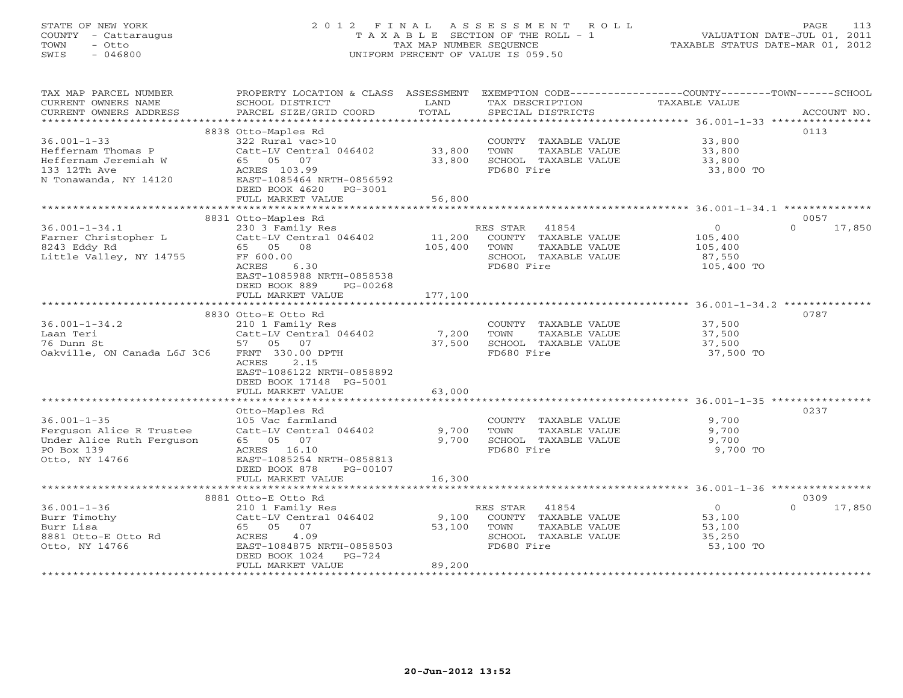# STATE OF NEW YORK 2 0 1 2 F I N A L A S S E S S M E N T R O L L PAGE 113 COUNTY - Cattaraugus T A X A B L E SECTION OF THE ROLL - 1 VALUATION DATE-JUL 01, 2011 TOWN - Otto TAX MAP NUMBER SEQUENCE TAXABLE STATUS DATE-MAR 01, 2012 SWIS - 046800 UNIFORM PERCENT OF VALUE IS 059.50UNIFORM PERCENT OF VALUE IS 059.50

| TAX MAP PARCEL NUMBER<br>CURRENT OWNERS NAME<br>CURRENT OWNERS ADDRESS | PROPERTY LOCATION & CLASS ASSESSMENT<br>SCHOOL DISTRICT<br>PARCEL SIZE/GRID COORD | LAND<br>TOTAL   | TAX DESCRIPTION<br>SPECIAL DISTRICTS          | EXEMPTION CODE-----------------COUNTY-------TOWN------SCHOOL<br><b>TAXABLE VALUE</b><br>ACCOUNT NO. |  |
|------------------------------------------------------------------------|-----------------------------------------------------------------------------------|-----------------|-----------------------------------------------|-----------------------------------------------------------------------------------------------------|--|
|                                                                        |                                                                                   |                 |                                               |                                                                                                     |  |
|                                                                        | 8838 Otto-Maples Rd                                                               |                 |                                               | 0113                                                                                                |  |
| $36.001 - 1 - 33$                                                      | 322 Rural vac>10                                                                  |                 | COUNTY TAXABLE VALUE                          | 33,800                                                                                              |  |
| Heffernam Thomas P                                                     | Catt-LV Central 046402                                                            | 33,800          | TOWN<br>TAXABLE VALUE                         | 33,800                                                                                              |  |
| Heffernam Jeremiah W                                                   | 65 05 07                                                                          | 33,800          | SCHOOL TAXABLE VALUE                          | 33,800                                                                                              |  |
| 133 12Th Ave                                                           | ACRES 103.99                                                                      |                 | FD680 Fire                                    | 33,800 TO                                                                                           |  |
| N Tonawanda, NY 14120                                                  | EAST-1085464 NRTH-0856592                                                         |                 |                                               |                                                                                                     |  |
|                                                                        | DEED BOOK 4620<br>PG-3001                                                         |                 |                                               |                                                                                                     |  |
|                                                                        | FULL MARKET VALUE                                                                 | 56,800          |                                               |                                                                                                     |  |
|                                                                        | 8831 Otto-Maples Rd                                                               |                 |                                               | 0057                                                                                                |  |
| $36.001 - 1 - 34.1$                                                    | 230 3 Family Res                                                                  |                 | RES STAR<br>41854                             | $\mathbf{O}$<br>$\Omega$<br>17,850                                                                  |  |
| Farner Christopher L                                                   | Catt-LV Central 046402                                                            | 11,200          | COUNTY TAXABLE VALUE                          | 105,400                                                                                             |  |
| 8243 Eddy Rd                                                           | 65 05<br>08                                                                       | 105,400         | TOWN<br>TAXABLE VALUE                         | 105,400                                                                                             |  |
| Little Valley, NY 14755                                                | FF 600.00                                                                         |                 | SCHOOL TAXABLE VALUE                          | 87,550                                                                                              |  |
|                                                                        | 6.30<br>ACRES                                                                     |                 | FD680 Fire                                    | 105,400 TO                                                                                          |  |
|                                                                        | EAST-1085988 NRTH-0858538                                                         |                 |                                               |                                                                                                     |  |
|                                                                        | DEED BOOK 889<br>PG-00268                                                         |                 |                                               |                                                                                                     |  |
|                                                                        | FULL MARKET VALUE                                                                 | 177,100         |                                               |                                                                                                     |  |
|                                                                        | *******************************                                                   |                 |                                               |                                                                                                     |  |
|                                                                        | 8830 Otto-E Otto Rd                                                               |                 |                                               | 0787                                                                                                |  |
| $36.001 - 1 - 34.2$                                                    | 210 1 Family Res                                                                  |                 | COUNTY TAXABLE VALUE                          | 37,500                                                                                              |  |
| Laan Teri<br>76 Dunn St                                                | Catt-LV Central 046402<br>57 05 07                                                | 7,200<br>37,500 | TOWN<br>TAXABLE VALUE<br>SCHOOL TAXABLE VALUE | 37,500<br>37,500                                                                                    |  |
| Oakville, ON Canada L6J 3C6                                            | FRNT 330.00 DPTH                                                                  |                 | FD680 Fire                                    | 37,500 TO                                                                                           |  |
|                                                                        | <b>ACRES</b><br>2.15                                                              |                 |                                               |                                                                                                     |  |
|                                                                        | EAST-1086122 NRTH-0858892                                                         |                 |                                               |                                                                                                     |  |
|                                                                        | DEED BOOK 17148 PG-5001                                                           |                 |                                               |                                                                                                     |  |
|                                                                        | FULL MARKET VALUE                                                                 | 63,000          |                                               |                                                                                                     |  |
|                                                                        |                                                                                   |                 |                                               | ************************************ 36.001-1-35 *****                                              |  |
|                                                                        | Otto-Maples Rd                                                                    |                 |                                               | 0237                                                                                                |  |
| $36.001 - 1 - 35$                                                      | 105 Vac farmland                                                                  |                 | COUNTY TAXABLE VALUE                          | 9,700                                                                                               |  |
| Ferguson Alice R Trustee                                               | Catt-LV Central 046402                                                            | 9,700           | TAXABLE VALUE<br>TOWN                         | 9,700                                                                                               |  |
| Under Alice Ruth Ferguson<br>PO Box 139                                | 65 05 07<br>ACRES 16.10                                                           | 9,700           | SCHOOL TAXABLE VALUE<br>FD680 Fire            | 9,700<br>9,700 TO                                                                                   |  |
| Otto, NY 14766                                                         | EAST-1085254 NRTH-0858813                                                         |                 |                                               |                                                                                                     |  |
|                                                                        | DEED BOOK 878<br>PG-00107                                                         |                 |                                               |                                                                                                     |  |
|                                                                        | FULL MARKET VALUE                                                                 | 16,300          |                                               |                                                                                                     |  |
|                                                                        |                                                                                   |                 |                                               |                                                                                                     |  |
|                                                                        | 8881 Otto-E Otto Rd                                                               |                 |                                               | 0309                                                                                                |  |
| $36.001 - 1 - 36$                                                      | 210 1 Family Res                                                                  |                 | RES STAR<br>41854                             | $0 \qquad$<br>17,850<br>$\Omega$                                                                    |  |
| Burr Timothy                                                           | Catt-LV Central 046402                                                            | 9,100           | COUNTY TAXABLE VALUE                          | 53,100                                                                                              |  |
| Burr Lisa                                                              | 65 05 07                                                                          | 53,100          | TAXABLE VALUE<br>TOWN                         | 53,100                                                                                              |  |
| 8881 Otto-E Otto Rd                                                    | 4.09<br>ACRES                                                                     |                 | SCHOOL TAXABLE VALUE                          | 35,250                                                                                              |  |
| Otto, NY 14766                                                         | EAST-1084875 NRTH-0858503<br>PG-724                                               |                 | FD680 Fire                                    | 53,100 TO                                                                                           |  |
|                                                                        | DEED BOOK 1024<br>FULL MARKET VALUE                                               | 89,200          |                                               |                                                                                                     |  |
|                                                                        |                                                                                   |                 |                                               |                                                                                                     |  |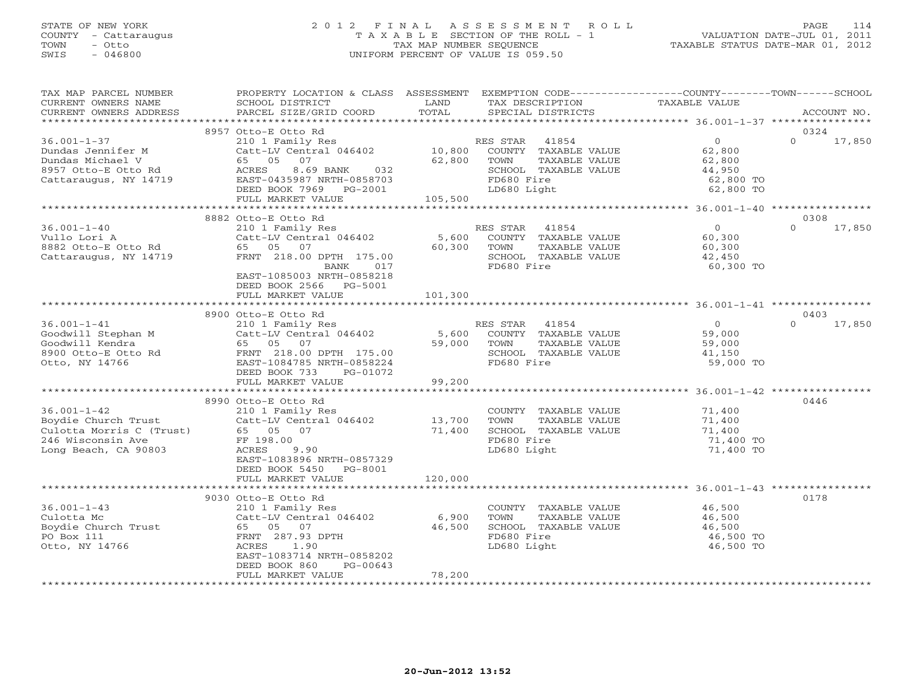# STATE OF NEW YORK 2 0 1 2 F I N A L A S S E S S M E N T R O L L PAGE 114 COUNTY - Cattaraugus T A X A B L E SECTION OF THE ROLL - 1 VALUATION DATE-JUL 01, 2011 TOWN - Otto TAX MAP NUMBER SEQUENCE TAXABLE STATUS DATE-MAR 01, 2012 SWIS - 046800 UNIFORM PERCENT OF VALUE IS 059.50UNIFORM PERCENT OF VALUE IS 059.50

| TAX MAP PARCEL NUMBER<br>CURRENT OWNERS NAME<br>CURRENT OWNERS ADDRESS                                                                                                                | PROPERTY LOCATION & CLASS ASSESSMENT EXEMPTION CODE----------------COUNTY-------TOWN------SCHOOL<br>SCHOOL DISTRICT<br>PARCEL SIZE/GRID COORD                                                                           | LAND<br>TOTAL   | TAX DESCRIPTION<br>SPECIAL DISTRICTS                                                                  | TAXABLE VALUE                                                          | ACCOUNT NO.                |
|---------------------------------------------------------------------------------------------------------------------------------------------------------------------------------------|-------------------------------------------------------------------------------------------------------------------------------------------------------------------------------------------------------------------------|-----------------|-------------------------------------------------------------------------------------------------------|------------------------------------------------------------------------|----------------------------|
|                                                                                                                                                                                       |                                                                                                                                                                                                                         |                 |                                                                                                       |                                                                        |                            |
| $36.001 - 1 - 37$<br>Dundas Jennifer M<br>Dundas Michael V<br>8957 Otto-E Otto Rd<br>Cattaraugus, NY 14719                                                                            | 8957 Otto-E Otto Rd<br>210 1 Family Res<br>Catt-LV Central 046402 10,800 COUNTY TAXABLE VALUE<br>65 05 07<br>8.69 BANK 032<br>ACRES<br>EAST-0435987 NRTH-0858703<br>DEED BOOK 7969 PG-2001<br>FULL MARKET VALUE 105,500 | 62,800          | TOWN<br>TAXABLE VALUE<br>SCHOOL TAXABLE VALUE<br>FD680 Fire<br>LD680 Light                            | $\overline{0}$<br>62,800<br>62,800<br>44,950<br>62,800 TO<br>62,800 TO | 0324<br>$\Omega$<br>17,850 |
|                                                                                                                                                                                       |                                                                                                                                                                                                                         |                 |                                                                                                       |                                                                        |                            |
| $36.001 - 1 - 40$                                                                                                                                                                     | 8882 Otto-E Otto Rd<br>210 1 Family Res<br>Catt-LV Central 046402 5,600<br>$\pm$ versus $\pm$<br>FRNT 218.00 DPTH 175.00<br>017<br>BANK<br>EAST-1085003 NRTH-0858218<br>DEED BOOK 2566 PG-5001                          | 60,300 TOWN     | RES STAR 41854<br>COUNTY TAXABLE VALUE<br>TAXABLE VALUE<br>SCHOOL TAXABLE VALUE<br>FD680 Fire         | $\overline{0}$<br>60,300<br>60,300<br>42,450<br>60,300 TO              | 0308<br>$\Omega$<br>17,850 |
|                                                                                                                                                                                       | FULL MARKET VALUE                                                                                                                                                                                                       | 101,300         |                                                                                                       |                                                                        |                            |
| $36.001 - 1 - 41$<br>So.001-1-41<br>Goodwill Stephan M<br>Goodwill Kendra<br>8900 Otto-E otto Rd<br>Otto, NY 14766                                                                    | 8900 Otto-E Otto Rd<br>0tto-E ULLU ALL<br>210 1 Family Res<br>Catt-LV Central 046402 5,600<br>2010 59,000<br>FRNT 218.00 DPTH 175.00<br>EAST-1084785 NRTH-0858224<br>DEED BOOK 733<br>PG-01072<br>FULL MARKET VALUE     | 99,200          | RES STAR 41854<br>COUNTY TAXABLE VALUE<br>TOWN<br>TAXABLE VALUE<br>SCHOOL TAXABLE VALUE<br>FD680 Fire | $\overline{0}$<br>59,000<br>59,000<br>41,150<br>59,000 TO              | 0403<br>$\Omega$<br>17,850 |
|                                                                                                                                                                                       |                                                                                                                                                                                                                         |                 |                                                                                                       |                                                                        | 0446                       |
| 36.001-1-42<br>Boydie Church Trust<br>Culotta Morris C (Trust) 65 05 07<br>Culotta Morris C (Trust) 65 05 07<br>CAC Misconsin Ave FF 198.00<br>CACRES 9.9<br>CACRES 9.9<br>CACRES 9.9 | 8990 Otto-E Otto Rd<br>210 1 Family Res<br>Catt-LV Central 046402 13,700<br>65 05 07 71,400<br>9.90<br>EAST-1083896 NRTH-0857329<br>DEED BOOK 5450 PG-8001                                                              |                 | COUNTY TAXABLE VALUE<br>TAXABLE VALUE<br>TOWN<br>SCHOOL TAXABLE VALUE<br>FD680 Fire<br>LD680 Light    | 71,400<br>$71, 400$<br>$71, 400$<br>$71, 40$<br>71,400 TO<br>71,400 TO |                            |
|                                                                                                                                                                                       | FULL MARKET VALUE                                                                                                                                                                                                       | 120,000         |                                                                                                       |                                                                        |                            |
| $36.001 - 1 - 43$<br>Culotta Mc<br>Boydie Church Trust<br>PO Box 111<br>Otto, NY 14766                                                                                                | ***************************<br>9030 Otto-E Otto Rd<br>210 1 Family Res<br>Catt-LV Central 046402<br>65 05 07<br>FRNT 287.93 DPTH<br>ACRES<br>1.90<br>EAST-1083714 NRTH-0858202<br>DEED BOOK 860<br>PG-00643             | 6,900<br>46,500 | COUNTY TAXABLE VALUE<br>TOWN<br>TAXABLE VALUE<br>SCHOOL TAXABLE VALUE<br>FD680 Fire<br>LD680 Light    | 46,500<br>46.500<br>46,500<br>46,500 TO<br>46,500 TO                   | 0178                       |
|                                                                                                                                                                                       | FULL MARKET VALUE                                                                                                                                                                                                       | 78,200          |                                                                                                       |                                                                        |                            |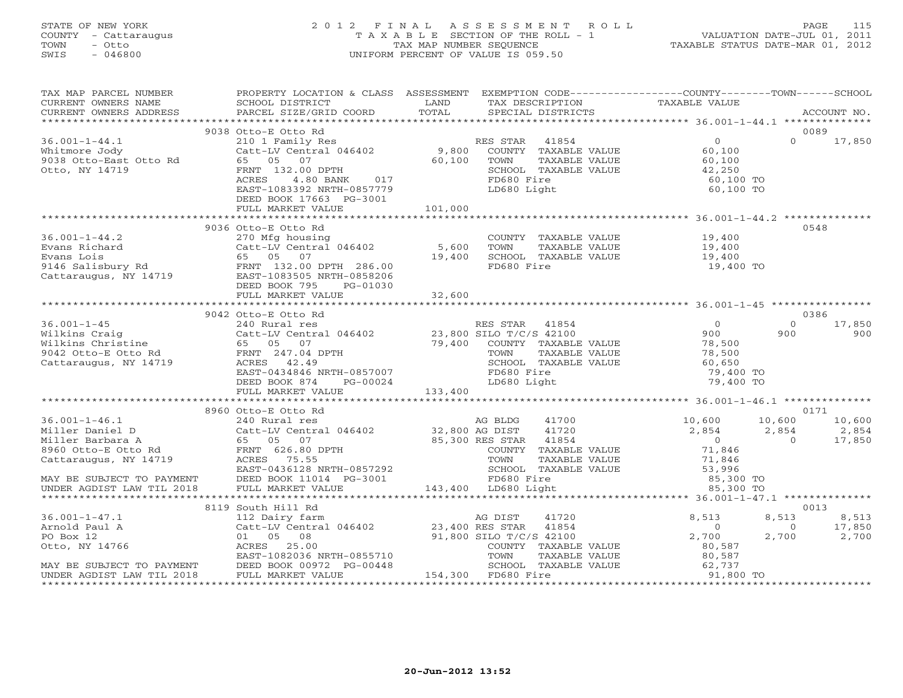## STATE OF NEW YORK 2 0 1 2 F I N A L A S S E S S M E N T R O L L PAGE 115 COUNTY - Cattaraugus T A X A B L E SECTION OF THE ROLL - 1 VALUATION DATE-JUL 01, 2011 TOWN - Otto TAX MAP NUMBER SEQUENCE TAXABLE STATUS DATE-MAR 01, 2012 SWIS - 046800 UNIFORM PERCENT OF VALUE IS 059.50UNIFORM PERCENT OF VALUE IS 059.50

| CURRENT OWNERS NAME SCHOOL DISTRICT CORD IN TAXABLE VALUE TRANSPORT OWNERS ADDRESS FRACEL SIZE/GRID COORD TOTAL SPECIAL DISTRICTS ACCOUNT NO.<br>CURRENT OWNERS ADDRESS PARCEL SIZE/GRID COORD TOTAL SPECIAL DISTRICTS ACCOUNT NO<br>9038 Otto-E Otto Rd<br>0089<br>$0 \t 17,850$<br>DEED BOOK 17663 PG-3001<br>101,000<br>FULL MARKET VALUE<br>0548<br>0386<br>9042 Otto-E Otto Rd<br>$0 \t 17,850$<br>0171<br>8960 Otto-E Otto Rd | TAX MAP PARCEL NUMBER | PROPERTY LOCATION & CLASS ASSESSMENT EXEMPTION CODE----------------COUNTY-------TOWN------SCHOOL |  |  |
|-------------------------------------------------------------------------------------------------------------------------------------------------------------------------------------------------------------------------------------------------------------------------------------------------------------------------------------------------------------------------------------------------------------------------------------|-----------------------|--------------------------------------------------------------------------------------------------|--|--|
|                                                                                                                                                                                                                                                                                                                                                                                                                                     |                       |                                                                                                  |  |  |
|                                                                                                                                                                                                                                                                                                                                                                                                                                     |                       |                                                                                                  |  |  |
|                                                                                                                                                                                                                                                                                                                                                                                                                                     |                       |                                                                                                  |  |  |
|                                                                                                                                                                                                                                                                                                                                                                                                                                     |                       |                                                                                                  |  |  |
|                                                                                                                                                                                                                                                                                                                                                                                                                                     |                       |                                                                                                  |  |  |
|                                                                                                                                                                                                                                                                                                                                                                                                                                     |                       |                                                                                                  |  |  |
|                                                                                                                                                                                                                                                                                                                                                                                                                                     |                       |                                                                                                  |  |  |
|                                                                                                                                                                                                                                                                                                                                                                                                                                     |                       |                                                                                                  |  |  |
|                                                                                                                                                                                                                                                                                                                                                                                                                                     |                       |                                                                                                  |  |  |
|                                                                                                                                                                                                                                                                                                                                                                                                                                     |                       |                                                                                                  |  |  |
|                                                                                                                                                                                                                                                                                                                                                                                                                                     |                       |                                                                                                  |  |  |
|                                                                                                                                                                                                                                                                                                                                                                                                                                     |                       |                                                                                                  |  |  |
|                                                                                                                                                                                                                                                                                                                                                                                                                                     |                       |                                                                                                  |  |  |
|                                                                                                                                                                                                                                                                                                                                                                                                                                     |                       |                                                                                                  |  |  |
|                                                                                                                                                                                                                                                                                                                                                                                                                                     |                       |                                                                                                  |  |  |
|                                                                                                                                                                                                                                                                                                                                                                                                                                     |                       |                                                                                                  |  |  |
|                                                                                                                                                                                                                                                                                                                                                                                                                                     |                       |                                                                                                  |  |  |
|                                                                                                                                                                                                                                                                                                                                                                                                                                     |                       |                                                                                                  |  |  |
|                                                                                                                                                                                                                                                                                                                                                                                                                                     |                       |                                                                                                  |  |  |
|                                                                                                                                                                                                                                                                                                                                                                                                                                     |                       |                                                                                                  |  |  |
|                                                                                                                                                                                                                                                                                                                                                                                                                                     |                       |                                                                                                  |  |  |
|                                                                                                                                                                                                                                                                                                                                                                                                                                     |                       |                                                                                                  |  |  |
|                                                                                                                                                                                                                                                                                                                                                                                                                                     |                       |                                                                                                  |  |  |
|                                                                                                                                                                                                                                                                                                                                                                                                                                     |                       |                                                                                                  |  |  |
|                                                                                                                                                                                                                                                                                                                                                                                                                                     |                       |                                                                                                  |  |  |
|                                                                                                                                                                                                                                                                                                                                                                                                                                     |                       |                                                                                                  |  |  |
|                                                                                                                                                                                                                                                                                                                                                                                                                                     |                       |                                                                                                  |  |  |
|                                                                                                                                                                                                                                                                                                                                                                                                                                     |                       |                                                                                                  |  |  |
|                                                                                                                                                                                                                                                                                                                                                                                                                                     |                       |                                                                                                  |  |  |
|                                                                                                                                                                                                                                                                                                                                                                                                                                     |                       |                                                                                                  |  |  |
|                                                                                                                                                                                                                                                                                                                                                                                                                                     |                       |                                                                                                  |  |  |
|                                                                                                                                                                                                                                                                                                                                                                                                                                     |                       |                                                                                                  |  |  |
|                                                                                                                                                                                                                                                                                                                                                                                                                                     |                       |                                                                                                  |  |  |
|                                                                                                                                                                                                                                                                                                                                                                                                                                     |                       |                                                                                                  |  |  |
|                                                                                                                                                                                                                                                                                                                                                                                                                                     |                       |                                                                                                  |  |  |
|                                                                                                                                                                                                                                                                                                                                                                                                                                     |                       |                                                                                                  |  |  |
|                                                                                                                                                                                                                                                                                                                                                                                                                                     |                       |                                                                                                  |  |  |
|                                                                                                                                                                                                                                                                                                                                                                                                                                     |                       |                                                                                                  |  |  |
|                                                                                                                                                                                                                                                                                                                                                                                                                                     |                       |                                                                                                  |  |  |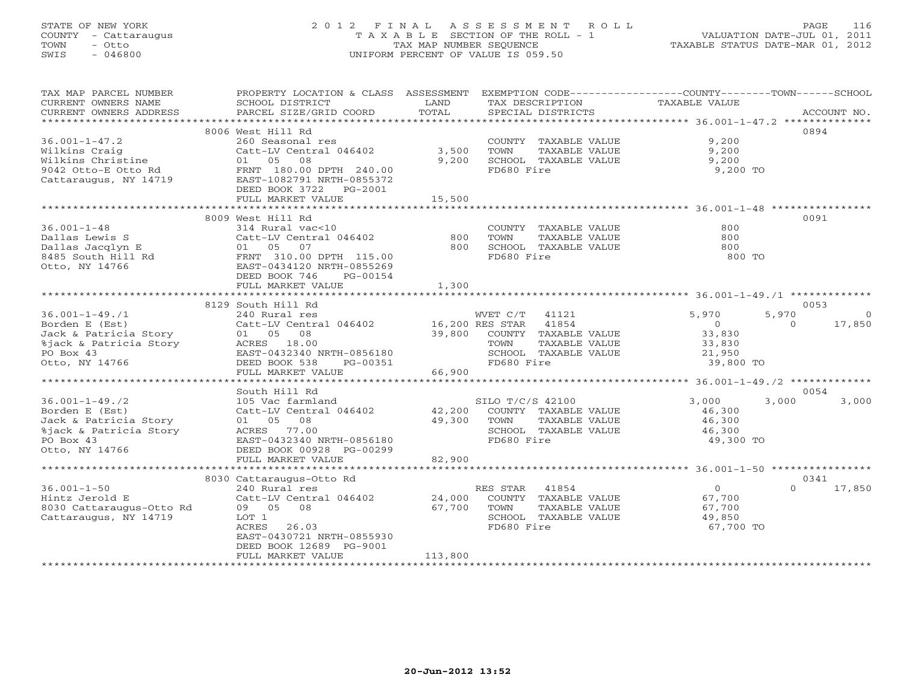# STATE OF NEW YORK 2 0 1 2 F I N A L A S S E S S M E N T R O L L PAGE 116 COUNTY - Cattaraugus T A X A B L E SECTION OF THE ROLL - 1 VALUATION DATE-JUL 01, 2011 TOWN - Otto TAX MAP NUMBER SEQUENCE TAXABLE STATUS DATE-MAR 01, 2012 SWIS - 046800 UNIFORM PERCENT OF VALUE IS 059.50UNIFORM PERCENT OF VALUE IS 059.50

| TAX MAP PARCEL NUMBER<br>CURRENT OWNERS NAME                          | PROPERTY LOCATION & CLASS ASSESSMENT<br>SCHOOL DISTRICT                                                                                                        | LAND    | EXEMPTION CODE----------------COUNTY-------TOWN------SCHOOL<br>TAX DESCRIPTION | TAXABLE VALUE                    |                    |
|-----------------------------------------------------------------------|----------------------------------------------------------------------------------------------------------------------------------------------------------------|---------|--------------------------------------------------------------------------------|----------------------------------|--------------------|
| CURRENT OWNERS ADDRESS                                                | PARCEL SIZE/GRID COORD                                                                                                                                         | TOTAL   | SPECIAL DISTRICTS                                                              |                                  | ACCOUNT NO.        |
|                                                                       |                                                                                                                                                                |         |                                                                                |                                  |                    |
|                                                                       | 8006 West Hill Rd                                                                                                                                              |         |                                                                                |                                  | 0894               |
| $36.001 - 1 - 47.2$                                                   | 260 Seasonal res                                                                                                                                               |         | COUNTY TAXABLE VALUE                                                           | 9,200                            |                    |
| Wilkins Craig                                                         | Catt-LV Central 046402                                                                                                                                         | 3,500   | TOWN<br>TAXABLE VALUE                                                          | 9,200                            |                    |
| Wilkins Christine                                                     | 01 05 08                                                                                                                                                       | 9,200   | SCHOOL TAXABLE VALUE                                                           | 9,200                            |                    |
| 9042 Otto-E Otto Rd<br>Cattaraugus, NY 14719<br>Cattaraugus, NY 14719 | FRNT 180.00 DPTH 240.00<br>EAST-1082791 NRTH-0855372                                                                                                           |         | FD680 Fire                                                                     | 9,200 TO                         |                    |
|                                                                       | DEED BOOK 3722 PG-2001                                                                                                                                         |         |                                                                                |                                  |                    |
|                                                                       | FULL MARKET VALUE                                                                                                                                              | 15,500  |                                                                                |                                  |                    |
|                                                                       |                                                                                                                                                                |         |                                                                                |                                  |                    |
|                                                                       | 8009 West Hill Rd                                                                                                                                              |         |                                                                                |                                  | 0091               |
|                                                                       |                                                                                                                                                                |         | COUNTY TAXABLE VALUE                                                           | 800                              |                    |
|                                                                       | Catt-LV Central 046402 800                                                                                                                                     |         | TAXABLE VALUE<br>TOWN                                                          | 800                              |                    |
|                                                                       |                                                                                                                                                                | 800     | SCHOOL TAXABLE VALUE                                                           | 800                              |                    |
|                                                                       |                                                                                                                                                                |         | FD680 Fire                                                                     | 800 TO                           |                    |
|                                                                       |                                                                                                                                                                |         |                                                                                |                                  |                    |
|                                                                       |                                                                                                                                                                |         |                                                                                |                                  |                    |
|                                                                       |                                                                                                                                                                | 1,300   |                                                                                |                                  |                    |
|                                                                       |                                                                                                                                                                |         |                                                                                |                                  |                    |
|                                                                       | 8129 South Hill Rd                                                                                                                                             |         |                                                                                |                                  | 0053<br>$\Omega$   |
| $36.001 - 1 - 49.71$<br>Borden E (Est)                                | 240 Rural res                                                                                                                                                  |         | WVET C/T 41121                                                                 | 5,970<br>5,970<br>$\overline{0}$ | 17,850<br>$\Omega$ |
|                                                                       | Catt-LV Central 046402 16,200 RES STAR 41854                                                                                                                   | 39,800  | COUNTY TAXABLE VALUE                                                           | 33,830                           |                    |
|                                                                       |                                                                                                                                                                |         | TOWN<br>TAXABLE VALUE                                                          | 33,830                           |                    |
|                                                                       |                                                                                                                                                                |         | SCHOOL TAXABLE VALUE                                                           | 21,950                           |                    |
|                                                                       |                                                                                                                                                                |         | FD680 Fire                                                                     | 39,800 TO                        |                    |
|                                                                       | Borden - .<br>Jack & Patricia Story<br>8jack & Patricia Story<br>PO Box 43<br>PO Box 43<br>CHEO BOOK 538<br>PO-00351<br>PULL MARKET VALUE<br>FULL MARKET VALUE | 66,900  |                                                                                |                                  |                    |
|                                                                       |                                                                                                                                                                |         |                                                                                |                                  |                    |
|                                                                       | South Hill Rd                                                                                                                                                  |         |                                                                                |                                  | 0054               |
| $36.001 - 1 - 49.72$                                                  | $105 \text{ Vac farml}$                                                                                                                                        |         | SILO T/C/S 42100                                                               | 3,000<br>3,000                   | 3,000              |
| Borden E (Est)                                                        | Catt-LV Central 046402 42,200                                                                                                                                  |         | COUNTY TAXABLE VALUE                                                           | 46,300                           |                    |
| Jack & Patricia Story                                                 |                                                                                                                                                                | 49,300  | TOWN<br>TAXABLE VALUE                                                          | 46,300                           |                    |
| %jack & Patricia Story                                                |                                                                                                                                                                |         | SCHOOL TAXABLE VALUE                                                           | 46,300                           |                    |
| PO Box 43                                                             | EAST-0432340 NRTH-0856180                                                                                                                                      |         | FD680 Fire                                                                     | 49,300 TO                        |                    |
| Otto, NY 14766                                                        | DEED BOOK 00928 PG-00299                                                                                                                                       | 82,900  |                                                                                |                                  |                    |
|                                                                       | FULL MARKET VALUE                                                                                                                                              |         |                                                                                |                                  |                    |
|                                                                       | 8030 Cattaraugus-Otto Rd                                                                                                                                       |         |                                                                                |                                  | 0341               |
| $36.001 - 1 - 50$                                                     | 240 Rural res                                                                                                                                                  |         | RES STAR<br>41854                                                              | $\overline{0}$                   | $\Omega$<br>17,850 |
| Hintz Jerold E                                                        | Catt-LV Central 046402                                                                                                                                         | 24,000  | COUNTY TAXABLE VALUE                                                           | 67,700                           |                    |
| 111102 00101a 1<br>8030 Cattaraugus-Otto Rd                           | 09 05 08                                                                                                                                                       | 67,700  | TOWN<br>TAXABLE VALUE                                                          | 67,700                           |                    |
| Cattaraugus, NY 14719                                                 | LOT 1                                                                                                                                                          |         | SCHOOL TAXABLE VALUE                                                           | 49,850                           |                    |
|                                                                       | ACRES<br>26.03                                                                                                                                                 |         | FD680 Fire                                                                     | 67,700 TO                        |                    |
|                                                                       | EAST-0430721 NRTH-0855930                                                                                                                                      |         |                                                                                |                                  |                    |
|                                                                       | DEED BOOK 12689 PG-9001                                                                                                                                        |         |                                                                                |                                  |                    |
|                                                                       | FULL MARKET VALUE                                                                                                                                              | 113,800 |                                                                                |                                  |                    |
|                                                                       |                                                                                                                                                                |         |                                                                                |                                  |                    |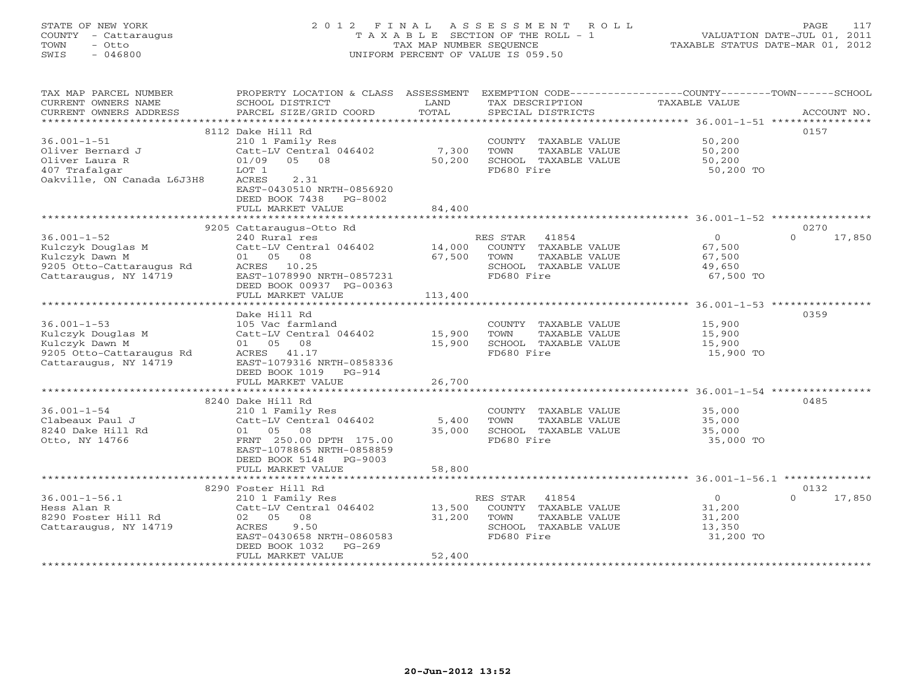# STATE OF NEW YORK 2 0 1 2 F I N A L A S S E S S M E N T R O L L PAGE 117 COUNTY - Cattaraugus T A X A B L E SECTION OF THE ROLL - 1 VALUATION DATE-JUL 01, 2011 TOWN - Otto TAX MAP NUMBER SEQUENCE TAXABLE STATUS DATE-MAR 01, 2012 SWIS - 046800 UNIFORM PERCENT OF VALUE IS 059.50UNIFORM PERCENT OF VALUE IS 059.50

| SCHOOL DISTRICT<br>PARCEL SIZE/GRID COORD                                                                                                               | LAND<br>TOTAL                                                                                                                                                                                                                                          | SPECIAL DISTRICTS                                                                            |                                                                                                                     | ACCOUNT NO.                                                                                                       |
|---------------------------------------------------------------------------------------------------------------------------------------------------------|--------------------------------------------------------------------------------------------------------------------------------------------------------------------------------------------------------------------------------------------------------|----------------------------------------------------------------------------------------------|---------------------------------------------------------------------------------------------------------------------|-------------------------------------------------------------------------------------------------------------------|
| 210 1 Family Res                                                                                                                                        |                                                                                                                                                                                                                                                        | COUNTY TAXABLE VALUE                                                                         | 50,200                                                                                                              | 0157                                                                                                              |
| $01/09$ 05 08<br>LOT 1<br>ACRES<br>2.31<br>EAST-0430510 NRTH-0856920<br>DEED BOOK 7438 PG-8002                                                          | 50,200                                                                                                                                                                                                                                                 | SCHOOL TAXABLE VALUE<br>FD680 Fire                                                           | 50,200<br>50,200 TO                                                                                                 |                                                                                                                   |
|                                                                                                                                                         |                                                                                                                                                                                                                                                        |                                                                                              |                                                                                                                     |                                                                                                                   |
| 240 Rural res<br>Catt-LV Central 046402<br>01 05 08<br>ACRES 10.25<br>EAST-1078990 NRTH-0857231                                                         | 14,000<br>67,500                                                                                                                                                                                                                                       | COUNTY TAXABLE VALUE<br>TOWN<br>TAXABLE VALUE<br>SCHOOL TAXABLE VALUE<br>FD680 Fire          | $\Omega$<br>67,500<br>67,500<br>49,650<br>67,500 TO                                                                 | 0270<br>$\Omega$<br>17,850                                                                                        |
| FULL MARKET VALUE                                                                                                                                       | 113,400                                                                                                                                                                                                                                                |                                                                                              |                                                                                                                     |                                                                                                                   |
|                                                                                                                                                         |                                                                                                                                                                                                                                                        |                                                                                              |                                                                                                                     |                                                                                                                   |
| 105 Vac farmland<br>Catt-LV Central 046402<br>01 05 08<br>ACRES 41.17<br>EAST-1079316 NRTH-0858336                                                      | 15,900<br>15,900                                                                                                                                                                                                                                       | COUNTY TAXABLE VALUE<br>TOWN<br>TAXABLE VALUE<br>SCHOOL TAXABLE VALUE<br>FD680 Fire          | 15,900<br>15,900<br>15,900<br>15,900 TO                                                                             | 0359                                                                                                              |
|                                                                                                                                                         | 26,700                                                                                                                                                                                                                                                 |                                                                                              |                                                                                                                     |                                                                                                                   |
|                                                                                                                                                         |                                                                                                                                                                                                                                                        |                                                                                              |                                                                                                                     | 0485                                                                                                              |
| Catt-LV Central 046402<br>01 05 08<br>FRNT 250.00 DPTH 175.00<br>EAST-1078865 NRTH-0858859<br>DEED BOOK 5148<br>PG-9003                                 | 5,400<br>35,000                                                                                                                                                                                                                                        | TOWN<br>TAXABLE VALUE<br>SCHOOL TAXABLE VALUE<br>FD680 Fire                                  | 35,000<br>35,000<br>35,000 TO                                                                                       |                                                                                                                   |
| FULL MARKET VALUE                                                                                                                                       | 58,800                                                                                                                                                                                                                                                 |                                                                                              |                                                                                                                     |                                                                                                                   |
|                                                                                                                                                         |                                                                                                                                                                                                                                                        |                                                                                              |                                                                                                                     | 0132                                                                                                              |
| 210 1 Family Res<br>Catt-LV Central 046402<br>02 05 08<br>9.50<br>ACRES<br>EAST-0430658 NRTH-0860583<br>DEED BOOK 1032<br>$PG-269$<br>FULL MARKET VALUE | 13,500<br>31,200<br>52,400                                                                                                                                                                                                                             | 41854<br>COUNTY TAXABLE VALUE<br>TAXABLE VALUE<br>TOWN<br>SCHOOL TAXABLE VALUE<br>FD680 Fire | $\overline{O}$<br>31,200<br>31,200<br>13,350<br>31,200 TO                                                           | $\Omega$<br>17,850                                                                                                |
|                                                                                                                                                         | 8112 Dake Hill Rd<br>Catt-LV Central 046402<br>FULL MARKET VALUE<br>9205 Cattaraugus-Otto Rd<br>DEED BOOK 00937 PG-00363<br>Dake Hill Rd<br>DEED BOOK 1019 PG-914<br>FULL MARKET VALUE<br>8240 Dake Hill Rd<br>210 1 Family Res<br>8290 Foster Hill Rd | 7,300<br>84,400                                                                              | PROPERTY LOCATION & CLASS ASSESSMENT<br>TOWN<br>TAXABLE VALUE<br>RES STAR 41854<br>COUNTY TAXABLE VALUE<br>RES STAR | EXEMPTION CODE-----------------COUNTY-------TOWN------SCHOOL<br>TAX DESCRIPTION TAXABLE VALUE<br>50,200<br>35,000 |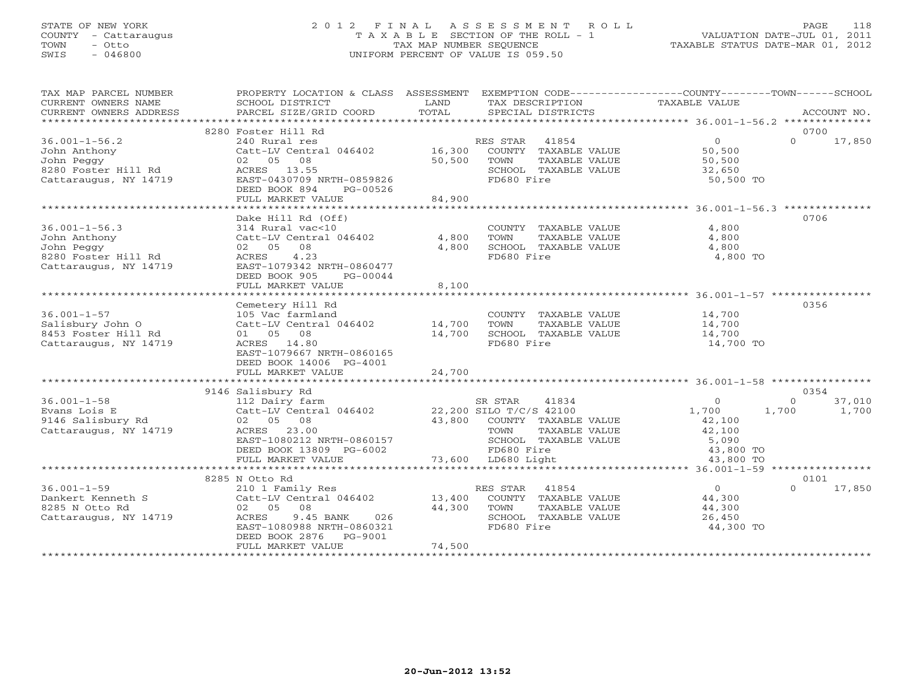# STATE OF NEW YORK 2 0 1 2 F I N A L A S S E S S M E N T R O L L PAGE 118 COUNTY - Cattaraugus T A X A B L E SECTION OF THE ROLL - 1 VALUATION DATE-JUL 01, 2011 TOWN - Otto TAX MAP NUMBER SEQUENCE TAXABLE STATUS DATE-MAR 01, 2012 SWIS - 046800 UNIFORM PERCENT OF VALUE IS 059.50UNIFORM PERCENT OF VALUE IS 059.50

| TAX MAP PARCEL NUMBER<br>CURRENT OWNERS NAME                                                                    | PROPERTY LOCATION & CLASS ASSESSMENT EXEMPTION CODE----------------COUNTY-------TOWN------SCHOOL<br>SCHOOL DISTRICT                                                                                    | LAND                                | TAX DESCRIPTION                                                                                                               | TAXABLE VALUE                                                           |                                              |
|-----------------------------------------------------------------------------------------------------------------|--------------------------------------------------------------------------------------------------------------------------------------------------------------------------------------------------------|-------------------------------------|-------------------------------------------------------------------------------------------------------------------------------|-------------------------------------------------------------------------|----------------------------------------------|
| CURRENT OWNERS ADDRESS                                                                                          | PARCEL SIZE/GRID COORD                                                                                                                                                                                 | TOTAL                               | SPECIAL DISTRICTS                                                                                                             |                                                                         | ACCOUNT NO.                                  |
|                                                                                                                 |                                                                                                                                                                                                        |                                     |                                                                                                                               |                                                                         |                                              |
| $36.001 - 1 - 56.2$<br>John Anthony<br>John Peggy                                                               | 8280 Foster Hill Rd<br>240 Rural res<br>Catt-LV Central 046402 16,300<br>02 05 08<br>DEED BOOK 894<br>PG-00526<br>FULL MARKET VALUE                                                                    | 50,500<br>84,900                    | RES STAR 41854<br>ES STAR 41854<br>COUNTY TAXABLE VALUE<br>TOWN<br>TAXABLE VALUE<br>SCHOOL TAXABLE VALUE<br>FD680 Fire        | $\overline{0}$<br>50,500<br>50,500<br>32,650<br>50,500 TO               | 0700<br>17,850<br>$\Omega$                   |
|                                                                                                                 |                                                                                                                                                                                                        |                                     |                                                                                                                               |                                                                         |                                              |
| $36.001 - 1 - 56.3$<br>John Anthony<br>John Peggy<br>8280 Foster Hill Rd<br>Cattaraugus, NY 14719               | Dake Hill Rd (Off)<br>314 Rural vac<10<br>Catt-LV Central 046402<br>02 05 08<br>ACRES 4.23<br>EAST-1079342 NRTH-0860477<br>DEED BOOK 905<br>PG-00044<br>FULL MARKET VALUE                              | 4,800<br>4,800<br>8,100             | COUNTY TAXABLE VALUE<br>TOWN<br>TAXABLE VALUE<br>SCHOOL TAXABLE VALUE<br>FD680 Fire                                           | 4,800<br>4,800<br>4,800<br>4,800 TO                                     | 0706                                         |
|                                                                                                                 |                                                                                                                                                                                                        |                                     |                                                                                                                               |                                                                         |                                              |
| $36.001 - 1 - 57$<br>Salisbury John O<br>8453 Foster Hill Rd<br>Cattaraugus, NY 14719                           | Cemetery Hill Rd<br>105 Vac farmland<br>Catt-LV Central 046402 14,700<br>01 05 08<br>ACRES 14.80<br>EAST-1079667 NRTH-0860165<br>DEED BOOK 14006 PG-4001<br>FULL MARKET VALUE                          | 14,700<br>24,700                    | COUNTY TAXABLE VALUE<br>TOWN<br>TAXABLE VALUE<br>SCHOOL TAXABLE VALUE<br>FD680 Fire                                           | 14,700<br>14,700<br>14,700<br>14,700 TO                                 | 0356                                         |
|                                                                                                                 |                                                                                                                                                                                                        |                                     |                                                                                                                               |                                                                         |                                              |
| $36.001 - 1 - 58$<br>Evans Lois E<br>9146 Salisbury Rd<br>Cattaraugus, NY 14719                                 | 9146 Salisbury Rd<br>112 Dairy farm<br>02 05 08<br>ACRES 23.00<br>EAST-1080212 NRTH-0860157<br>EAST-1080212 NRIH-0800137<br>DEED BOOK 13809 PG-6002 FD680 Fire<br>FULL MARKET VALUE 73,600 LD680 Light |                                     | SR STAR<br>41834<br>43,800 COUNTY TAXABLE VALUE<br>TOWN<br>TAXABLE VALUE<br>SCHOOL TAXABLE VALUE<br>FD680 Fire<br>LD680 Light | $\circ$<br>1,700<br>42,100<br>42,100<br>5,090<br>43,800 TO<br>43,800 TO | 0354<br>$\Omega$<br>37,010<br>1,700<br>1,700 |
|                                                                                                                 | 8285 N Otto Rd                                                                                                                                                                                         |                                     |                                                                                                                               |                                                                         | 0101                                         |
| $36.001 - 1 - 59$<br>Dankert Kenneth S Catt-LV Central 046402 13,400<br>8285 N Otto Rd<br>Cattaraugus, NY 14719 | 210 1 Family Res<br>02 05 08<br>ACRES<br>9.45 BANK<br>EAST-1080988 NRTH-0860321<br>DEED BOOK 2876    PG-9001<br>FULL MARKET VALUE                                                                      | 44,300<br>$026$<br>860321<br>74,500 | RES STAR 41854<br>COUNTY TAXABLE VALUE<br>TOWN<br>TAXABLE VALUE<br>SCHOOL TAXABLE VALUE<br>FD680 Fire                         | $\overline{0}$<br>44,300<br>44,300<br>26,450<br>44,300 TO               | 17,850<br>$\Omega$                           |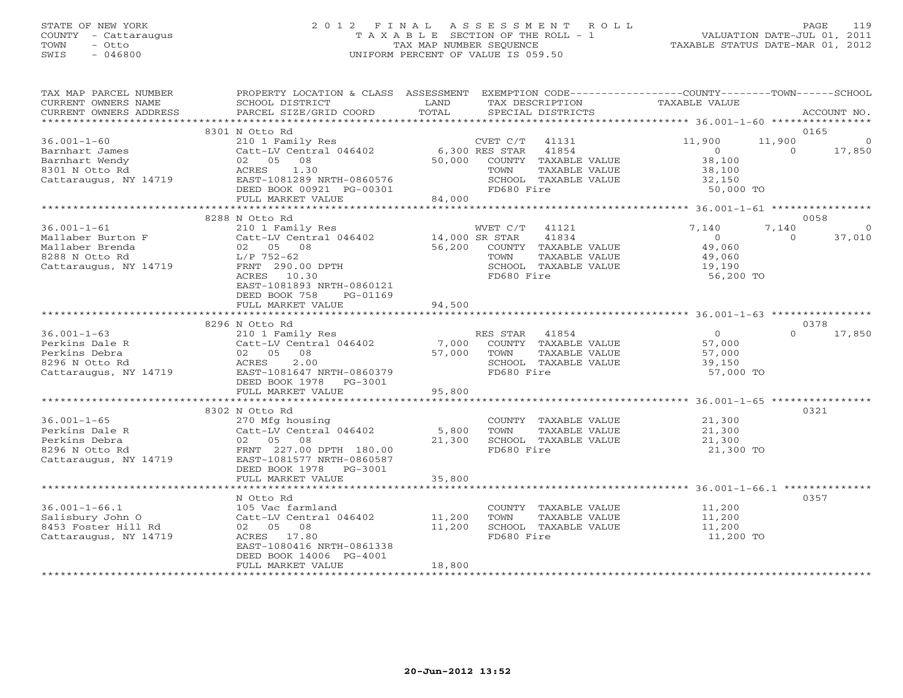## STATE OF NEW YORK 2 0 1 2 F I N A L A S S E S S M E N T R O L L PAGE 119 COUNTY - Cattaraugus T A X A B L E SECTION OF THE ROLL - 1 VALUATION DATE-JUL 01, 2011 TOWN - Otto TAX MAP NUMBER SEQUENCE TAXABLE STATUS DATE-MAR 01, 2012 SWIS - 046800 UNIFORM PERCENT OF VALUE IS 059.50UNIFORM PERCENT OF VALUE IS 059.50

| TAX MAP PARCEL NUMBER<br>CURRENT OWNERS NAME<br>CURRENT OWNERS ADDRESS                                                                                                                                                                                                       | PROPERTY LOCATION & CLASS ASSESSMENT EXEMPTION CODE----------------COUNTY-------TOWN------SCHOOL<br>SCHOOL DISTRICT<br>PARCEL SIZE/GRID COORD | LAND<br>TOTAL   | TAX DESCRIPTION<br>SPECIAL DISTRICTS<br>SPECIAL DISTRICTS                                              |                                                                    | ACCOUNT NO.                                          |
|------------------------------------------------------------------------------------------------------------------------------------------------------------------------------------------------------------------------------------------------------------------------------|-----------------------------------------------------------------------------------------------------------------------------------------------|-----------------|--------------------------------------------------------------------------------------------------------|--------------------------------------------------------------------|------------------------------------------------------|
|                                                                                                                                                                                                                                                                              | 8301 N Otto Rd                                                                                                                                |                 |                                                                                                        |                                                                    | 0165                                                 |
| $36.001 - 1 - 60$<br>Barnhart James<br>Barnhart Wendy                                                                                                                                                                                                                        | 210 1 Family Res<br>Catt-LV Central 046402 6,300 RES STAR 41854<br>02 05 08                                                                   | 50,000          | CVET C/T 41131<br>COUNTY TAXABLE VALUE                                                                 | 11,900<br>$\overline{0}$<br>38,100                                 | 11,900<br>$\overline{0}$<br>17,850<br>$\overline{O}$ |
| 8301 N Otto Rd<br>Cattaraugus, NY 14719                                                                                                                                                                                                                                      | ACRES 1.30<br>EAST-1081289 NRTH-0860576<br>DEED BOOK 00921 PG-00301<br>FULL MARKET VALUE                                                      | 84,000          | TAXABLE VALUE<br>TOWN<br>SCHOOL TAXABLE VALUE<br>FD680 Fire                                            | 38,100<br>32,150<br>50,000 TO                                      |                                                      |
|                                                                                                                                                                                                                                                                              |                                                                                                                                               |                 |                                                                                                        |                                                                    |                                                      |
|                                                                                                                                                                                                                                                                              | 8288 N Otto Rd                                                                                                                                |                 |                                                                                                        |                                                                    | 0058                                                 |
| $36.001 - 1 - 61$<br>Cattle Mailaber Burton F<br>Mailaber Brenda (2009) Cattle Digital Cattle Digital Activity Central 046402<br>Mailaber Brenda (2009) COUNTY<br>8288 N Otto Rd (2009) L/P 752-62<br>Cattaraugus, NY 14719 FRNT 290.00 DPTH SCHOOL<br>Cattaraugus, NY 14719 | 210 1 Family Res<br>FRNT 290.00 DPTH<br>ACRES 10.30<br>EAST-1081893 NRTH-0860121                                                              |                 | WVET C/T 41121<br>41834<br>COUNTY TAXABLE VALUE<br>TAXABLE VALUE<br>SCHOOL TAXABLE VALUE<br>FD680 Fire | 7,140<br>$\overline{0}$<br>49,060<br>49,060<br>19,190<br>56,200 TO | 7,140<br>$\overline{0}$<br>37,010<br>$\Omega$        |
|                                                                                                                                                                                                                                                                              | DEED BOOK 758<br>PG-01169                                                                                                                     |                 |                                                                                                        |                                                                    |                                                      |
|                                                                                                                                                                                                                                                                              | FULL MARKET VALUE                                                                                                                             | 94,500          |                                                                                                        |                                                                    |                                                      |
|                                                                                                                                                                                                                                                                              | 8296 N Otto Rd                                                                                                                                |                 |                                                                                                        |                                                                    | 0378                                                 |
| $36.001 - 1 - 63$                                                                                                                                                                                                                                                            | 210 1 Family Res                                                                                                                              |                 | RES STAR 41854                                                                                         | $\overline{0}$                                                     | $\Omega$<br>17,850                                   |
|                                                                                                                                                                                                                                                                              |                                                                                                                                               |                 | COUNTY TAXABLE VALUE                                                                                   | 57,000                                                             |                                                      |
|                                                                                                                                                                                                                                                                              |                                                                                                                                               |                 | TOWN<br>TAXABLE VALUE                                                                                  | 57,000                                                             |                                                      |
|                                                                                                                                                                                                                                                                              |                                                                                                                                               |                 | SCHOOL TAXABLE VALUE                                                                                   | 39,150                                                             |                                                      |
| Perkins Dale R<br>Perkins Debra<br>Perkins Debra<br>8296 N Otto Rd<br>Cattaraugus, NY 14719<br>Recres 2.00<br>Cattaraugus, NY 14719<br>Recres 2.00<br>Cattaraugus, NY 14719<br>Recres 2.00<br>Recres 2.00<br>Recres 2.00<br>Recres 2.00<br>Recres 2.00<br>                   | DEED BOOK 1978    PG-3001                                                                                                                     |                 | FD680 Fire                                                                                             | 57,000 TO                                                          |                                                      |
|                                                                                                                                                                                                                                                                              |                                                                                                                                               |                 |                                                                                                        |                                                                    |                                                      |
|                                                                                                                                                                                                                                                                              | 8302 N Otto Rd                                                                                                                                |                 |                                                                                                        |                                                                    | 0321                                                 |
| $36.001 - 1 - 65$<br>36.001-1-65<br>Perkins Dale R<br>Perkins Debra<br>8296 N Otto Rd<br>Cattaraugus, NY 14719<br>ERNT 227.00 DPTH 180.00<br>Cattaraugus, NY 14719<br>ERNT 227.00 DPTH 180.00<br>ERNT 227.00 DPTH 180.00<br>ERST-1081577 NRTH-0860587                        | 270 Mfg housing                                                                                                                               | 5,800<br>21,300 | COUNTY TAXABLE VALUE<br>TAXABLE VALUE<br>TOWN<br>SCHOOL TAXABLE VALUE                                  | 21,300<br>21,300<br>21,300                                         |                                                      |
|                                                                                                                                                                                                                                                                              |                                                                                                                                               |                 | FD680 Fire                                                                                             | 21,300 TO                                                          |                                                      |
|                                                                                                                                                                                                                                                                              | DEED BOOK 1978 PG-3001<br>FULL MARKET VALUE                                                                                                   | 35,800          |                                                                                                        |                                                                    |                                                      |
|                                                                                                                                                                                                                                                                              |                                                                                                                                               |                 |                                                                                                        |                                                                    |                                                      |
|                                                                                                                                                                                                                                                                              | N Otto Rd                                                                                                                                     |                 |                                                                                                        |                                                                    | 0357                                                 |
| $36.001 - 1 - 66.1$                                                                                                                                                                                                                                                          | 105 Vac farmland                                                                                                                              |                 | COUNTY TAXABLE VALUE 11,200                                                                            |                                                                    |                                                      |
| Salisbury John O                                                                                                                                                                                                                                                             | Catt-LV Central 046402 11,200                                                                                                                 |                 | TAXABLE VALUE<br>TOWN                                                                                  | 11,200                                                             |                                                      |
| 8453 Foster Hill Rd                                                                                                                                                                                                                                                          | 02 05 08                                                                                                                                      | 11,200          | SCHOOL TAXABLE VALUE                                                                                   | 11,200                                                             |                                                      |
| Cattaraugus, NY 14719                                                                                                                                                                                                                                                        | ACRES 17.80<br>EAST-1080416 NRTH-0861338<br>DEED BOOK 14006 PG-4001                                                                           |                 | FD680 Fire                                                                                             | 11,200 TO                                                          |                                                      |
|                                                                                                                                                                                                                                                                              | FULL MARKET VALUE                                                                                                                             | 18,800          |                                                                                                        |                                                                    |                                                      |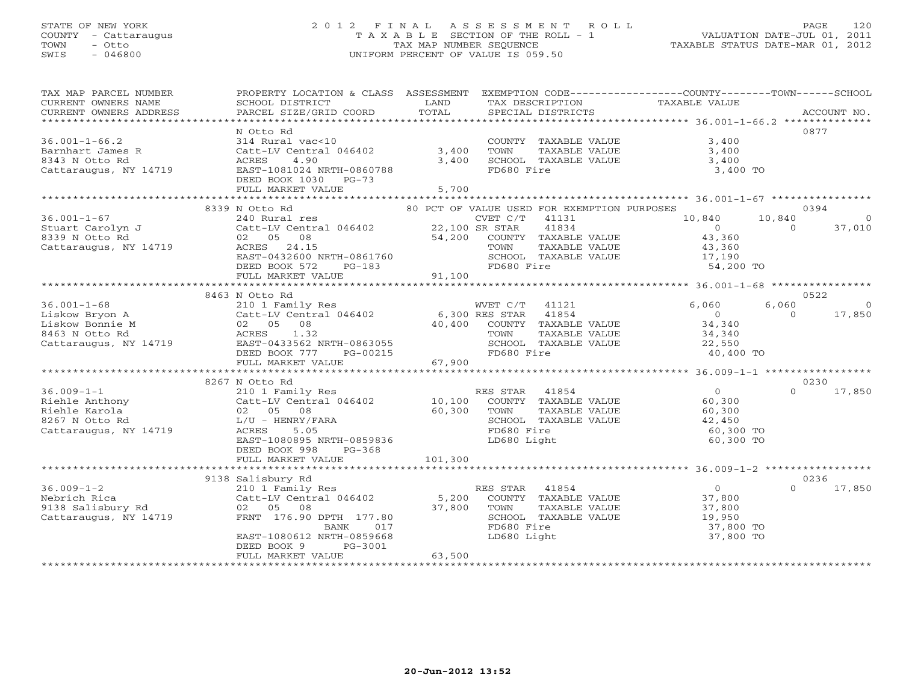# STATE OF NEW YORK 2 0 1 2 F I N A L A S S E S S M E N T R O L L PAGE 120 COUNTY - Cattaraugus T A X A B L E SECTION OF THE ROLL - 1 VALUATION DATE-JUL 01, 2011 TOWN - Otto TAX MAP NUMBER SEQUENCE TAXABLE STATUS DATE-MAR 01, 2012 SWIS - 046800 UNIFORM PERCENT OF VALUE IS 059.50UNIFORM PERCENT OF VALUE IS 059.50

| TAX MAP PARCEL NUMBER<br>CURRENT OWNERS NAME         | PROPERTY LOCATION & CLASS ASSESSMENT EXEMPTION CODE---------------COUNTY-------TOWN------SCHOOL<br>SCHOOL DISTRICT | <b>EXAMPLE SERVICE SERVICE SERVICE SERVICE SERVICE SERVICE SERVICE SERVICE SERVICE SERVICE SERVICE SERVICE SERVICE</b> |                | TAX DESCRIPTION                                                  | TAXABLE VALUE     |                |                |
|------------------------------------------------------|--------------------------------------------------------------------------------------------------------------------|------------------------------------------------------------------------------------------------------------------------|----------------|------------------------------------------------------------------|-------------------|----------------|----------------|
| CURRENT OWNERS ADDRESS                               | PARCEL SIZE/GRID COORD                                                                                             | TOTAL                                                                                                                  |                | SPECIAL DISTRICTS                                                |                   |                | ACCOUNT NO.    |
|                                                      |                                                                                                                    |                                                                                                                        |                |                                                                  |                   |                |                |
|                                                      | N Otto Rd                                                                                                          |                                                                                                                        |                |                                                                  |                   |                | 0877           |
| $36.001 - 1 - 66.2$                                  | 314 Rural vac<10                                                                                                   |                                                                                                                        |                | COUNTY TAXABLE VALUE                                             | 3,400             |                |                |
| Barnhart James R                                     | Catt-LV Central 046402                                                                                             | 3,400                                                                                                                  | TOWN           | TAXABLE VALUE                                                    | 3,400             |                |                |
| 8343 N Otto Rd<br>Cattaraugus, NY 14719              | ACRES<br>4.90<br>EAST-1081024 NRTH-0860788                                                                         | 3,400                                                                                                                  | FD680 Fire     | SCHOOL TAXABLE VALUE                                             | 3,400<br>3,400 TO |                |                |
|                                                      | DEED BOOK 1030 PG-73                                                                                               |                                                                                                                        |                |                                                                  |                   |                |                |
|                                                      | FULL MARKET VALUE                                                                                                  | 5,700                                                                                                                  |                |                                                                  |                   |                |                |
|                                                      | 8339 N Otto Rd                                                                                                     |                                                                                                                        |                |                                                                  |                   |                | 0394           |
| $36.001 - 1 - 67$                                    |                                                                                                                    |                                                                                                                        |                | 80 PCT OF VALUE USED FOR EXEMPTION PURPOSES                      | 10,840            | 10,840         | - 0            |
|                                                      |                                                                                                                    |                                                                                                                        |                |                                                                  | $\overline{0}$    | $\overline{0}$ | 37,010         |
| Stuart Carolyn J<br>8339 N Otto Rd<br>8339 N Otto Rd |                                                                                                                    |                                                                                                                        |                |                                                                  | 43,360            |                |                |
| Cattaraugus, NY 14719                                |                                                                                                                    |                                                                                                                        |                |                                                                  | 43,360            |                |                |
|                                                      | EAST-0432600 NRTH-0861760                                                                                          |                                                                                                                        |                | SCHOOL TAXABLE VALUE                                             | 17,190            |                |                |
|                                                      | DEED BOOK 572<br>$PG-183$                                                                                          |                                                                                                                        | FD680 Fire     |                                                                  | 54,200 TO         |                |                |
|                                                      | FULL MARKET VALUE                                                                                                  | 91,100                                                                                                                 |                |                                                                  |                   |                |                |
|                                                      |                                                                                                                    |                                                                                                                        |                |                                                                  |                   |                |                |
|                                                      | 8463 N Otto Rd                                                                                                     |                                                                                                                        |                |                                                                  |                   |                | 0522           |
| $36.001 - 1 - 68$                                    | 210 1 Family Res                                                                                                   |                                                                                                                        | WVET C/T 41121 |                                                                  | 6,060             | 6,060          | $\overline{0}$ |
| Liskow Bryon A                                       | Catt-LV Central 046402 6,300 RES STAR 41854                                                                        |                                                                                                                        |                |                                                                  | $\overline{0}$    | $\Omega$       | 17,850         |
| Liskow Bonnie M                                      | 02 05 08                                                                                                           |                                                                                                                        |                | 40,400 COUNTY TAXABLE VALUE                                      |                   |                |                |
| 8463 N Otto Rd                                       | ACRES 1.32                                                                                                         |                                                                                                                        | TOWN           | TAXABLE VALUE                                                    | 34,340<br>34,340  |                |                |
| Cattaraugus, NY 14719                                | EAST-0433562 NRTH-0863055                                                                                          |                                                                                                                        |                | SCHOOL TAXABLE VALUE                                             | 22,550            |                |                |
|                                                      | DEED BOOK 777 PG-00215                                                                                             |                                                                                                                        | FD680 Fire     |                                                                  | 40,400 TO         |                |                |
|                                                      | FULL MARKET VALUE                                                                                                  |                                                                                                                        |                |                                                                  |                   |                |                |
|                                                      |                                                                                                                    |                                                                                                                        |                |                                                                  |                   |                |                |
|                                                      | 8267 N Otto Rd                                                                                                     |                                                                                                                        |                |                                                                  |                   |                | 0230           |
| $36.009 - 1 - 1$                                     | 210 1 Family Res                                                                                                   |                                                                                                                        | RES STAR 41854 |                                                                  | $\bigcirc$        | $\Omega$       | 17,850         |
| Riehle Anthony                                       | Catt-LV Central 046402 10,100 COUNTY TAXABLE VALUE                                                                 |                                                                                                                        |                |                                                                  | 60,300            |                |                |
| Riehle Karola                                        | 02 05 08                                                                                                           |                                                                                                                        | TOWN           | TAXABLE VALUE                                                    | 60,300            |                |                |
| 8267 N Otto Rd                                       | L/U - HENRY/FARA                                                                                                   | 60, 300                                                                                                                |                | SCHOOL TAXABLE VALUE                                             | 42,450            |                |                |
| Cattaraugus, NY 14719                                | 5.05<br>ACRES                                                                                                      |                                                                                                                        | FD680 Fire     |                                                                  | 60,300 TO         |                |                |
|                                                      | EAST-1080895 NRTH-0859836                                                                                          |                                                                                                                        | LD680 Light    |                                                                  | 60,300 TO         |                |                |
|                                                      | DEED BOOK 998<br>$PG-368$                                                                                          |                                                                                                                        |                |                                                                  |                   |                |                |
|                                                      | FULL MARKET VALUE                                                                                                  | 101,300                                                                                                                |                |                                                                  |                   |                |                |
|                                                      |                                                                                                                    |                                                                                                                        |                |                                                                  |                   |                |                |
|                                                      | 9138 Salisbury Rd                                                                                                  |                                                                                                                        |                |                                                                  |                   |                | 0236           |
| $36.009 - 1 - 2$                                     | 210 1 Family Res                                                                                                   |                                                                                                                        | RES STAR 41854 |                                                                  | $\overline{0}$    | $\Omega$       | 17,850         |
| Nebrich Rica<br>9138 Salisbury Rd                    | Catt-LV Central 046402                                                                                             |                                                                                                                        |                | +1094<br>5,200 COUNTY TAXABLE VALUE<br>37,800 TOWN TAXABLE VALUE | 37,800<br>37,800  |                |                |
|                                                      | 02 05 08                                                                                                           |                                                                                                                        |                |                                                                  |                   |                |                |
| Cattaraugus, NY 14719                                | FRNT 176.90 DPTH 177.80                                                                                            |                                                                                                                        |                | SCHOOL TAXABLE VALUE                                             | 19,950            |                |                |
|                                                      | BANK<br>017                                                                                                        |                                                                                                                        | FD680 Fire     |                                                                  | 37,800 TO         |                |                |
|                                                      | EAST-1080612 NRTH-0859668                                                                                          |                                                                                                                        | LD680 Light    |                                                                  | 37,800 TO         |                |                |
|                                                      | DEED BOOK 9<br>PG-3001                                                                                             |                                                                                                                        |                |                                                                  |                   |                |                |
|                                                      | FULL MARKET VALUE                                                                                                  | 63,500                                                                                                                 |                |                                                                  |                   |                |                |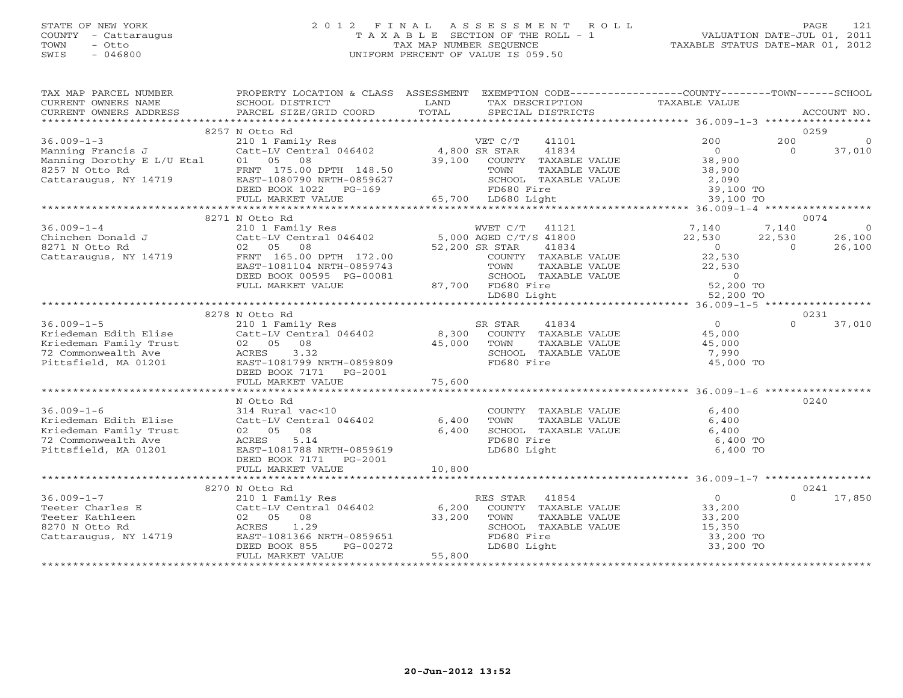## STATE OF NEW YORK 2 0 1 2 F I N A L A S S E S S M E N T R O L L PAGE 121 COUNTY - Cattaraugus T A X A B L E SECTION OF THE ROLL - 1 VALUATION DATE-JUL 01, 2011 TOWN - Otto TAX MAP NUMBER SEQUENCE TAXABLE STATUS DATE-MAR 01, 2012 SWIS - 046800 UNIFORM PERCENT OF VALUE IS 059.50UNIFORM PERCENT OF VALUE IS 059.50

| TAX MAP PARCEL NUMBER<br>CURRENT OWNERS NAME<br>CURRENT OWNERS ADDRESS | PROPERTY LOCATION & CLASS ASSESSMENT EXEMPTION CODE---------------COUNTY-------TOWN------SCHOOL<br>SCHOOL DISTRICT<br>PARCEL SIZE/GRID COORD                                                                                         | LAND<br>TOTAL  | TAX DESCRIPTION<br>SPECIAL DISTRICTS                             | TAXABLE VALUE       |          | ACCOUNT NO.    |
|------------------------------------------------------------------------|--------------------------------------------------------------------------------------------------------------------------------------------------------------------------------------------------------------------------------------|----------------|------------------------------------------------------------------|---------------------|----------|----------------|
|                                                                        |                                                                                                                                                                                                                                      |                |                                                                  |                     |          |                |
|                                                                        | 8257 N Otto Rd                                                                                                                                                                                                                       |                |                                                                  |                     |          | 0259           |
| $36.009 - 1 - 3$                                                       | 210 1 Family Res                                                                                                                                                                                                                     |                | VET C/T<br>41101                                                 | 200                 | 200      | $\overline{0}$ |
| Manning Francis J                                                      | Catt-LV Central 046402 4,800 SR STAR                                                                                                                                                                                                 |                | 41834                                                            | $\overline{0}$      | $\Omega$ | 37,010         |
| Manning Dorothy E L/U Etal                                             | 01 05 08                                                                                                                                                                                                                             |                | 39,100 COUNTY TAXABLE VALUE                                      | 38,900              |          |                |
| $8257$ N Otto Rd<br>Cattaraugus, NY 14719 EAST-1080790 NRTH-0859627    |                                                                                                                                                                                                                                      |                | TOWN<br>TAXABLE VALUE                                            | 38,900              |          |                |
|                                                                        | DEED BOOK 1022 PG-169                                                                                                                                                                                                                |                | SCHOOL TAXABLE VALUE<br>FD680 Fire                               | 2,090<br>39,100 TO  |          |                |
|                                                                        | FULL MARKET VALUE                                                                                                                                                                                                                    |                | 65,700 LD680 Light                                               | 39,100 TO           |          |                |
|                                                                        | ***************************                                                                                                                                                                                                          |                |                                                                  |                     |          |                |
|                                                                        | 8271 N Otto Rd                                                                                                                                                                                                                       |                |                                                                  |                     |          | 0074           |
| $36.009 - 1 - 4$                                                       |                                                                                                                                                                                                                                      |                |                                                                  | 7,140               | 7,140    | $\overline{0}$ |
| Chinchen Donald J                                                      | $\begin{tabular}{lllllllllllll} \textbf{210} & \textbf{1} & \textbf{Family} & \textbf{Res} & & & & & & & & \textbf{WVET} & C/T & 41121 \\ \textbf{Catt-LV Central} & 046402 & & & & & 5,000 & AGED & C/T/S & 41800 \\ \end{tabular}$ |                |                                                                  | 22,530              | 22,530   | 26,100         |
| 8271 N Otto Rd                                                         | 02 05<br>08                                                                                                                                                                                                                          |                | 52,200 SR STAR<br>41834                                          | $\overline{O}$      | $\Omega$ | 26,100         |
| Cattaraugus, NY 14719                                                  | FRNT 165.00 DPTH 172.00                                                                                                                                                                                                              |                | COUNTY TAXABLE VALUE                                             | 22,530              |          |                |
|                                                                        | EAST-1081104 NRTH-0859743                                                                                                                                                                                                            |                | TOWN<br>TAXABLE VALUE                                            | 22,530              |          |                |
|                                                                        | DEED BOOK 00595 PG-00081                                                                                                                                                                                                             |                |                                                                  | $\overline{0}$      |          |                |
|                                                                        | FULL MARKET VALUE                                                                                                                                                                                                                    |                | 87,700 FD680 Fire                                                | 52,200 TO           |          |                |
|                                                                        |                                                                                                                                                                                                                                      |                | SCHOOL TAXABLE VALUE<br>FD680 Fire<br>LD680 Light<br>LD680 Light | 52,200 TO           |          |                |
|                                                                        |                                                                                                                                                                                                                                      |                |                                                                  |                     |          |                |
|                                                                        | 8278 N Otto Rd                                                                                                                                                                                                                       |                |                                                                  |                     |          | 0231           |
| $36.009 - 1 - 5$                                                       | 210 1 Family Res                                                                                                                                                                                                                     |                | SR STAR<br>41834                                                 | $\overline{0}$      | $\Omega$ | 37,010         |
| Kriedeman Edith Elise                                                  | 210 1 Family Res<br>Catt-LV Central 046402                8,300   COUNTY  TAXABLE VALUE                                                                                                                                              |                |                                                                  | 45,000              |          |                |
| Kriedeman Family Trust                                                 | 02  05  08<br>ACRES  3.32                                                                                                                                                                                                            | 45,000 TOWN    | TAXABLE VALUE                                                    | 45,000              |          |                |
| 72 Commonwealth Ave                                                    | 3.32                                                                                                                                                                                                                                 |                | SCHOOL TAXABLE VALUE                                             | 7,990               |          |                |
| Pittsfield, MA 01201                                                   | EAST-1081799 NRTH-0859809                                                                                                                                                                                                            |                | FD680 Fire                                                       | 45,000 TO           |          |                |
|                                                                        | DEED BOOK 7171 PG-2001                                                                                                                                                                                                               |                |                                                                  |                     |          |                |
|                                                                        | FULL MARKET VALUE                                                                                                                                                                                                                    | 75,600         |                                                                  |                     |          |                |
|                                                                        |                                                                                                                                                                                                                                      |                |                                                                  |                     |          |                |
|                                                                        | N Otto Rd                                                                                                                                                                                                                            |                |                                                                  |                     |          | 0240           |
| $36.009 - 1 - 6$                                                       | 314 Rural vac<10                                                                                                                                                                                                                     |                | COUNTY TAXABLE VALUE                                             | 6,400               |          |                |
| Kriedeman Edith Elise<br>Kriedeman Family Trust                        | Catt-LV Central 046402<br>02 05<br>08                                                                                                                                                                                                | 6,400<br>6,400 | TOWN<br>TAXABLE VALUE<br>SCHOOL TAXABLE VALUE                    | 6,400<br>6,400      |          |                |
| 72 Commonwealth Ave                                                    | 5.14<br>ACRES                                                                                                                                                                                                                        |                | FD680 Fire                                                       | 6,400 TO            |          |                |
| Pittsfield, MA 01201                                                   | EAST-1081788 NRTH-0859619                                                                                                                                                                                                            |                | LD680 Light                                                      | 6,400 TO            |          |                |
|                                                                        | DEED BOOK 7171<br>PG-2001                                                                                                                                                                                                            |                |                                                                  |                     |          |                |
|                                                                        | FULL MARKET VALUE                                                                                                                                                                                                                    | 10,800         |                                                                  |                     |          |                |
|                                                                        |                                                                                                                                                                                                                                      |                |                                                                  |                     |          |                |
|                                                                        | 8270 N Otto Rd                                                                                                                                                                                                                       |                |                                                                  |                     |          | 0241           |
| $36.009 - 1 - 7$                                                       |                                                                                                                                                                                                                                      |                | RES STAR<br>41854                                                | 0                   | $\Omega$ | 17,850         |
| Teeter Charles E                                                       | 210 1 Family Res<br>Catt-LV Central 046402 6,200                                                                                                                                                                                     |                | COUNTY TAXABLE VALUE                                             | 33,200              |          |                |
| Teeter Kathleen                                                        | 02 05 08                                                                                                                                                                                                                             | 33,200         | TOWN<br>TAXABLE VALUE                                            | $33, 22$<br>15, 350 |          |                |
| 8270 N Otto Rd                                                         | 1.29<br>ACRES                                                                                                                                                                                                                        |                | SCHOOL TAXABLE VALUE                                             |                     |          |                |
| Cattaraugus, NY 14719                                                  | EAST-1081366 NRTH-0859651                                                                                                                                                                                                            |                | FD680 Fire                                                       | 33,200 TO           |          |                |
|                                                                        | DEED BOOK 855<br>PG-00272                                                                                                                                                                                                            |                | LD680 Light                                                      | 33,200 TO           |          |                |
|                                                                        | FULL MARKET VALUE                                                                                                                                                                                                                    | 55,800         |                                                                  |                     |          |                |
|                                                                        |                                                                                                                                                                                                                                      |                |                                                                  |                     |          |                |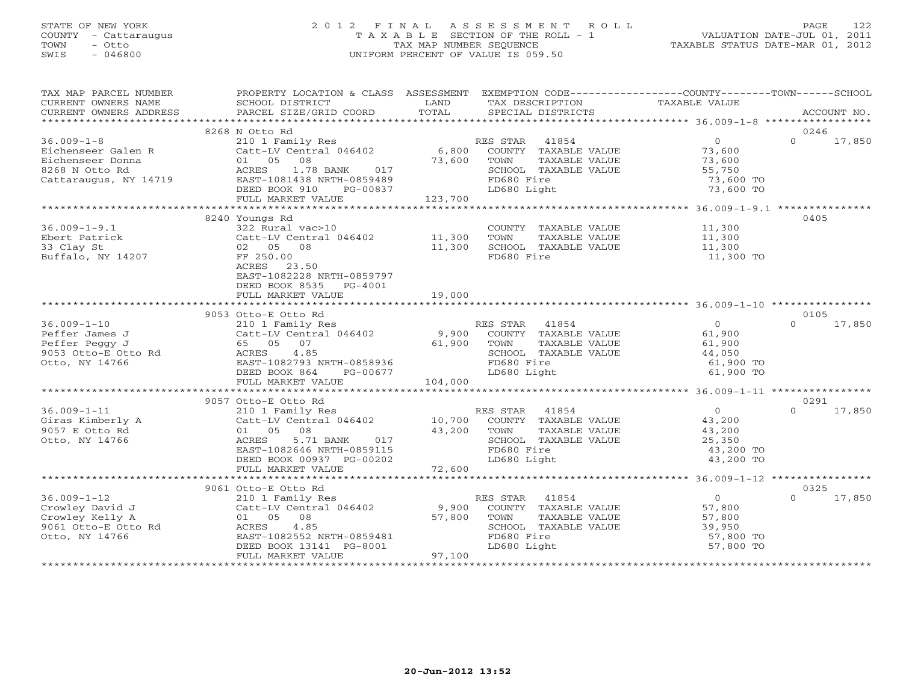# STATE OF NEW YORK 2 0 1 2 F I N A L A S S E S S M E N T R O L L PAGE 122 COUNTY - Cattaraugus T A X A B L E SECTION OF THE ROLL - 1 VALUATION DATE-JUL 01, 2011 TOWN - Otto TAX MAP NUMBER SEQUENCE TAXABLE STATUS DATE-MAR 01, 2012 SWIS - 046800 UNIFORM PERCENT OF VALUE IS 059.50UNIFORM PERCENT OF VALUE IS 059.50

| TAX MAP PARCEL NUMBER                                                                                                                                                  | PROPERTY LOCATION & CLASS ASSESSMENT EXEMPTION CODE---------------COUNTY-------TOWN------SCHOOL                                                         |             |                                                                                  |                                            |          |        |
|------------------------------------------------------------------------------------------------------------------------------------------------------------------------|---------------------------------------------------------------------------------------------------------------------------------------------------------|-------------|----------------------------------------------------------------------------------|--------------------------------------------|----------|--------|
| CURRENT OWNERS NAME                                                                                                                                                    | SCHOOL DISTRICT                                                                                                                                         | LAND        | TAX DESCRIPTION                                                                  | TAXABLE VALUE                              |          |        |
|                                                                                                                                                                        |                                                                                                                                                         | TOTAL       |                                                                                  |                                            |          |        |
|                                                                                                                                                                        | 8268 N Otto Rd                                                                                                                                          |             |                                                                                  |                                            | 0246     |        |
| $36.009 - 1 - 8$                                                                                                                                                       |                                                                                                                                                         |             |                                                                                  | $\overline{0}$                             | $\Omega$ | 17,850 |
|                                                                                                                                                                        | 210 1 Family Res<br>Catt-LV Central 046402 6,800 COUNTY TAXABLE VALUE<br>01 05 08 73,600 TOWN TAXABLE VALUE<br>ACRES 1.78 BANK 017 5CHOOL TAXABLE VALUE |             |                                                                                  | 73,600                                     |          |        |
|                                                                                                                                                                        |                                                                                                                                                         |             |                                                                                  | 73,600                                     |          |        |
|                                                                                                                                                                        |                                                                                                                                                         |             |                                                                                  | 55,750                                     |          |        |
| Eichenseer Galen R (Catt-LV Central 046402)<br>Eichenseer Donna (1 05 08)<br>8268 N Otto Rd (ACRES 1.78 BANK 017)<br>Cattaraugus, NY 14719 (EAST-1081438 NRTH-0859489) |                                                                                                                                                         |             | FD680 Fire                                                                       | 73,600 TO                                  |          |        |
|                                                                                                                                                                        | DEED BOOK 910 PG-00837                                                                                                                                  |             | LD680 Light                                                                      | 73,600 TO                                  |          |        |
|                                                                                                                                                                        | FULL MARKET VALUE                                                                                                                                       | 123,700     |                                                                                  |                                            |          |        |
|                                                                                                                                                                        |                                                                                                                                                         |             |                                                                                  |                                            |          |        |
|                                                                                                                                                                        | 8240 Youngs Rd                                                                                                                                          |             |                                                                                  |                                            | 0405     |        |
| $36.009 - 1 - 9.1$                                                                                                                                                     | 322 Rural vac>10                                                                                                                                        |             | COUNTY TAXABLE VALUE 11,300                                                      |                                            |          |        |
| Ebert Patrick                                                                                                                                                          | Catt-LV Central 046402 11,300                                                                                                                           |             | TOWN<br>TAXABLE VALUE                                                            | 11,300                                     |          |        |
| 33 Clay St                                                                                                                                                             | 02 05 08                                                                                                                                                | 11,300      | SCHOOL TAXABLE VALUE                                                             | 11,300                                     |          |        |
| Buffalo, NY 14207                                                                                                                                                      | FF 250.00                                                                                                                                               |             | FD680 Fire                                                                       | 11,300 TO                                  |          |        |
|                                                                                                                                                                        | ACRES 23.50                                                                                                                                             |             |                                                                                  |                                            |          |        |
|                                                                                                                                                                        | EAST-1082228 NRTH-0859797                                                                                                                               |             |                                                                                  |                                            |          |        |
|                                                                                                                                                                        | DEED BOOK 8535 PG-4001                                                                                                                                  |             |                                                                                  |                                            |          |        |
|                                                                                                                                                                        | FULL MARKET VALUE                                                                                                                                       | 19,000      |                                                                                  |                                            |          |        |
|                                                                                                                                                                        |                                                                                                                                                         |             |                                                                                  |                                            |          |        |
|                                                                                                                                                                        | 9053 Otto-E Otto Rd                                                                                                                                     |             |                                                                                  |                                            | 0105     |        |
| $36.009 - 1 - 10$                                                                                                                                                      |                                                                                                                                                         |             |                                                                                  |                                            | $\Omega$ | 17,850 |
| Peffer James J                                                                                                                                                         |                                                                                                                                                         |             |                                                                                  | 61,900                                     |          |        |
|                                                                                                                                                                        | 65 05 07                                                                                                                                                | 61,900 TOWN | TAXABLE VALUE                                                                    | 61,900                                     |          |        |
| Petter vance<br>Peffer Peggy J<br>9053 Otto-E Otto Rd<br>-----------------                                                                                             | 4.85<br>ACRES                                                                                                                                           |             | SCHOOL TAXABLE VALUE                                                             | 44,050<br>61,900 TO                        |          |        |
|                                                                                                                                                                        | EAST-1082793 NRTH-0858936                                                                                                                               |             | FD680 Fire                                                                       |                                            |          |        |
|                                                                                                                                                                        | DEED BOOK 864<br>PG-00677                                                                                                                               |             | LD680 Light                                                                      | 61,900 TO                                  |          |        |
|                                                                                                                                                                        | FULL MARKET VALUE                                                                                                                                       | 104,000     |                                                                                  |                                            |          |        |
|                                                                                                                                                                        |                                                                                                                                                         |             |                                                                                  |                                            |          |        |
| 36.009-1-11<br>Giras Kimberly A<br>0057 E Otto Rd                                                                                                                      | 9057 Otto-E Otto Rd                                                                                                                                     |             |                                                                                  |                                            | 0291     |        |
|                                                                                                                                                                        | 210 1 Family Res<br>Catt-LV Central 046402 10,700 COUNTY TAXABLE VALUE                                                                                  |             |                                                                                  | $\begin{array}{c} 0 \\ 43,200 \end{array}$ | $\Omega$ | 17,850 |
|                                                                                                                                                                        |                                                                                                                                                         |             |                                                                                  |                                            |          |        |
| Otto, NY 14766                                                                                                                                                         | 08<br>5.71 BANK 017<br>5.71 BANK 017<br>01 05 08<br>ACRES                                                                                               |             | TAXABLE VALUE<br>TOWN<br>SCHOOL TAXABLE VALUE                                    | 43,200<br>25,350                           |          |        |
|                                                                                                                                                                        | EAST-1082646 NRTH-0859115                                                                                                                               |             | FD680 Fire                                                                       | 43,200 TO                                  |          |        |
|                                                                                                                                                                        | DEED BOOK 00937 PG-00202                                                                                                                                |             | LD680 Light                                                                      | 43,200 TO                                  |          |        |
|                                                                                                                                                                        |                                                                                                                                                         |             |                                                                                  |                                            |          |        |
|                                                                                                                                                                        |                                                                                                                                                         |             |                                                                                  |                                            |          |        |
|                                                                                                                                                                        | 9061 Otto-E Otto Rd                                                                                                                                     |             |                                                                                  |                                            | 0325     |        |
| $36.009 - 1 - 12$                                                                                                                                                      | 210 1 Family Res                                                                                                                                        |             | RES STAR 41854                                                                   | $\overline{0}$                             | $\Omega$ | 17,850 |
|                                                                                                                                                                        | Catt-LV Central 046402 9,900                                                                                                                            |             | ES STAR 41854<br>COUNTY TAXABLE VALUE 57,800<br>- 2007 - EL MANARLE VALUE 57,800 |                                            |          |        |
|                                                                                                                                                                        | 01 05 08                                                                                                                                                |             |                                                                                  |                                            |          |        |
| Crowley David J<br>Crowley Kelly A<br>9061 Otto-E Otto Rd                                                                                                              | 4.85<br>ACRES                                                                                                                                           | 57,800      | SCHOOL TAXABLE VALUE                                                             | 39,950                                     |          |        |
| Otto, NY 14766                                                                                                                                                         | EAST-1082552 NRTH-0859481                                                                                                                               |             | FD680 Fire                                                                       | 57,800 TO                                  |          |        |
|                                                                                                                                                                        | DEED BOOK 13141 PG-8001                                                                                                                                 |             | LD680 Light                                                                      | 57,800 TO                                  |          |        |
|                                                                                                                                                                        | FULL MARKET VALUE                                                                                                                                       | 97,100      |                                                                                  |                                            |          |        |
|                                                                                                                                                                        |                                                                                                                                                         |             |                                                                                  |                                            |          |        |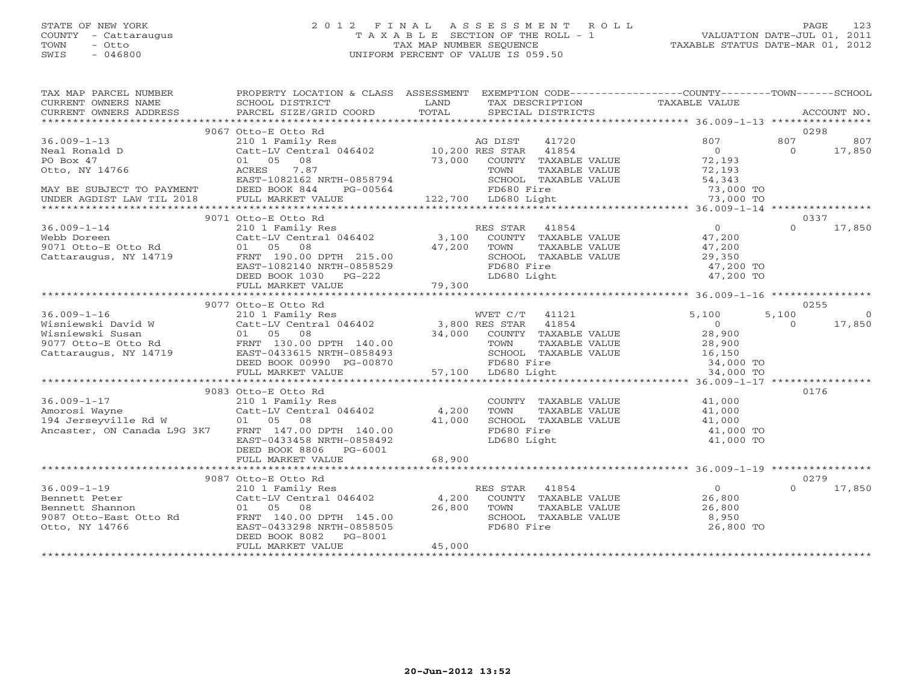# STATE OF NEW YORK 2 0 1 2 F I N A L A S S E S S M E N T R O L L PAGE 123 COUNTY - Cattaraugus T A X A B L E SECTION OF THE ROLL - 1 VALUATION DATE-JUL 01, 2011 TOWN - Otto TAX MAP NUMBER SEQUENCE TAXABLE STATUS DATE-MAR 01, 2012 SWIS - 046800 UNIFORM PERCENT OF VALUE IS 059.50UNIFORM PERCENT OF VALUE IS 059.50

| TAX MAP PARCEL NUMBER<br>CURRENT OWNERS NAME<br>CURRENT OWNERS ADDRESS                                                                                                   | PROPERTY LOCATION & CLASS ASSESSMENT EXEMPTION CODE---------------COUNTY-------TOWN------SCHOOL<br>SCHOOL DISTRICT<br><b>EXAMPLE SERVICE SERVICE SERVICE SERVICE SERVICE SERVICE SERVICE SERVICE SERVICE SERVICE SERVICE SERVICE SERVICE</b><br>PARCEL SIZE/GRID COORD | TOTAL                   | TAX DESCRIPTION                         TAXABLE VALUE<br>SPECIAL DISTRICTS<br>SPECIAL DISTRICTS |                           | ACCOUNT NO.             |
|--------------------------------------------------------------------------------------------------------------------------------------------------------------------------|------------------------------------------------------------------------------------------------------------------------------------------------------------------------------------------------------------------------------------------------------------------------|-------------------------|-------------------------------------------------------------------------------------------------|---------------------------|-------------------------|
|                                                                                                                                                                          |                                                                                                                                                                                                                                                                        |                         |                                                                                                 |                           |                         |
|                                                                                                                                                                          | 9067 Otto-E Otto Rd                                                                                                                                                                                                                                                    |                         |                                                                                                 |                           | 0298                    |
| $36.009 - 1 - 13$                                                                                                                                                        |                                                                                                                                                                                                                                                                        |                         |                                                                                                 | 807                       | 807<br>807              |
| Neal Ronald D                                                                                                                                                            |                                                                                                                                                                                                                                                                        |                         |                                                                                                 | $\overline{0}$            | $\Omega$<br>17,850      |
| PO Box 47                                                                                                                                                                | 01 05 08                                                                                                                                                                                                                                                               |                         | 73,000 COUNTY TAXABLE VALUE                                                                     | 72,193                    |                         |
| Otto, NY 14766                                                                                                                                                           | 7.87<br>ACRES                                                                                                                                                                                                                                                          |                         | TAXABLE VALUE<br>TOWN                                                                           | 72,193                    |                         |
|                                                                                                                                                                          | EAST-1082162 NRTH-0858794                                                                                                                                                                                                                                              |                         | SCHOOL TAXABLE VALUE                                                                            | 54,343<br>73,000 TO       |                         |
| MAY BE SUBJECT TO PAYMENT DEED BOOK 844                                                                                                                                  | PG-00564                                                                                                                                                                                                                                                               |                         | FD680 Fire                                                                                      |                           |                         |
| UNDER AGDIST LAW TIL 2018                                                                                                                                                | FULL MARKET VALUE                                                                                                                                                                                                                                                      |                         | 122,700 LD680 Light                                                                             | 73,000 TO                 |                         |
|                                                                                                                                                                          |                                                                                                                                                                                                                                                                        |                         |                                                                                                 |                           |                         |
|                                                                                                                                                                          | 9071 Otto-E Otto Rd                                                                                                                                                                                                                                                    |                         |                                                                                                 |                           | 0337                    |
| $36.009 - 1 - 14$                                                                                                                                                        |                                                                                                                                                                                                                                                                        |                         |                                                                                                 |                           | 17,850<br>$\Omega$      |
| Webb Doreen<br>9071 Otto-E Otto Rd                                                                                                                                       |                                                                                                                                                                                                                                                                        |                         |                                                                                                 |                           |                         |
|                                                                                                                                                                          |                                                                                                                                                                                                                                                                        | $47,200$ TOWN<br>SCHOOL |                                                                                                 |                           |                         |
| Cattaraugus, NY 14719                                                                                                                                                    | FRNT 190.00 DPTH 215.00                                                                                                                                                                                                                                                |                         | SCHOOL TAXABLE VALUE                                                                            | 29,350                    |                         |
|                                                                                                                                                                          | EAST-1082140 NRTH-0858529                                                                                                                                                                                                                                              |                         | FD680 Fire                                                                                      | 47,200 TO                 |                         |
|                                                                                                                                                                          | DEED BOOK 1030 PG-222                                                                                                                                                                                                                                                  |                         | LD680 Light                                                                                     | 47,200 TO                 |                         |
|                                                                                                                                                                          | FULL MARKET VALUE                                                                                                                                                                                                                                                      | 79,300                  |                                                                                                 |                           |                         |
|                                                                                                                                                                          |                                                                                                                                                                                                                                                                        |                         |                                                                                                 |                           |                         |
|                                                                                                                                                                          | 9077 Otto-E Otto Rd                                                                                                                                                                                                                                                    |                         |                                                                                                 |                           | 0255                    |
| $36.009 - 1 - 16$                                                                                                                                                        | Otto-EUCLORUM MVET C/T 41121<br>210 1 Family Res MVET C/T 41121<br>Catt-LV Central 046402 3,800 RES STAR 41854<br>01 05 08 ----- 110 00 34,000 COUNTY TAXABLE VALUE                                                                                                    |                         | WVET C/T 41121                                                                                  | 5,100                     | 5,100<br>$\overline{0}$ |
| Wisniewski David W Catt-LV Central 046402<br>Wisniewski Susan 01 05 08<br>9077 Otto-E Otto Rd FRNT 130.00 DPTH 140.00<br>Cattaraugus, NY 14719 EAST-0433615 NRTH-0858493 |                                                                                                                                                                                                                                                                        |                         |                                                                                                 | $\overline{0}$            | 17,850<br>$\Omega$      |
|                                                                                                                                                                          |                                                                                                                                                                                                                                                                        |                         |                                                                                                 | 28,900                    |                         |
|                                                                                                                                                                          |                                                                                                                                                                                                                                                                        |                         | TOWN TAXABLE VALUE<br>SCHOOL TAXABLE VALUE                                                      | 28,900                    |                         |
|                                                                                                                                                                          |                                                                                                                                                                                                                                                                        |                         |                                                                                                 | 28,900<br>16,150          |                         |
|                                                                                                                                                                          | DEED BOOK 00990 PG-00870                                                                                                                                                                                                                                               |                         | FD680 Fire                                                                                      | $-34,000$ TO<br>34,000 TO |                         |
|                                                                                                                                                                          | FULL MARKET VALUE                                                                                                                                                                                                                                                      | 57,100                  | 57,100 LD680 Light                                                                              | 34,000 TO                 |                         |
|                                                                                                                                                                          |                                                                                                                                                                                                                                                                        |                         |                                                                                                 |                           |                         |
|                                                                                                                                                                          | 9083 Otto-E Otto Rd                                                                                                                                                                                                                                                    |                         |                                                                                                 |                           | 0176                    |
| $36.009 - 1 - 17$                                                                                                                                                        | 210 1 Family Res<br>Catt-LV Central 046402 4,200                                                                                                                                                                                                                       |                         | COUNTY TAXABLE VALUE                                                                            | 41,000                    |                         |
| Amorosi Wayne                                                                                                                                                            |                                                                                                                                                                                                                                                                        |                         | TOWN<br>TAXABLE VALUE                                                                           | 41,000                    |                         |
| 194 Jerseyville Rd W 01 05 08                                                                                                                                            |                                                                                                                                                                                                                                                                        | 41,000                  | SCHOOL TAXABLE VALUE                                                                            | 41,000                    |                         |
| Ancaster, ON Canada L9G 3K7                                                                                                                                              | FRNT 147.00 DPTH 140.00                                                                                                                                                                                                                                                |                         | FD680 Fire                                                                                      | 41,000 TO                 |                         |
|                                                                                                                                                                          | EAST-0433458 NRTH-0858492                                                                                                                                                                                                                                              |                         | LD680 Light                                                                                     | 41,000 TO                 |                         |
|                                                                                                                                                                          | DEED BOOK 8806 PG-6001                                                                                                                                                                                                                                                 |                         |                                                                                                 |                           |                         |
|                                                                                                                                                                          | FULL MARKET VALUE                                                                                                                                                                                                                                                      | 68,900                  |                                                                                                 |                           |                         |
|                                                                                                                                                                          |                                                                                                                                                                                                                                                                        |                         |                                                                                                 |                           |                         |
|                                                                                                                                                                          | 9087 Otto-E Otto Rd                                                                                                                                                                                                                                                    |                         |                                                                                                 |                           | 0279<br>$\Omega$        |
| $36.009 - 1 - 19$                                                                                                                                                        | 210 1 Family Res<br>Catt-LV Central 046402 4,200                                                                                                                                                                                                                       |                         | ES STAR 41854<br>COUNTY TAXABLE VALUE<br>RES STAR 41854                                         | $\overline{0}$            | 17,850                  |
| Bennett Peter                                                                                                                                                            |                                                                                                                                                                                                                                                                        | 26,800                  |                                                                                                 | 26,800                    |                         |
| Bennett Shannon                                                                                                                                                          | 01 05 08                                                                                                                                                                                                                                                               |                         | TOWN                                                                                            | 26,800<br>8,950           |                         |
|                                                                                                                                                                          |                                                                                                                                                                                                                                                                        |                         | TAXABLE VALUE<br>TAXABLE VALUE<br>TAXABLE VALUE<br>SCHOOL TAXABLE VALUE                         |                           |                         |
|                                                                                                                                                                          |                                                                                                                                                                                                                                                                        |                         | FD680 Fire                                                                                      | 26,800 TO                 |                         |
|                                                                                                                                                                          | DEED BOOK 8082<br>PG-8001                                                                                                                                                                                                                                              |                         |                                                                                                 |                           |                         |
|                                                                                                                                                                          | FULL MARKET VALUE                                                                                                                                                                                                                                                      | 45,000                  |                                                                                                 |                           |                         |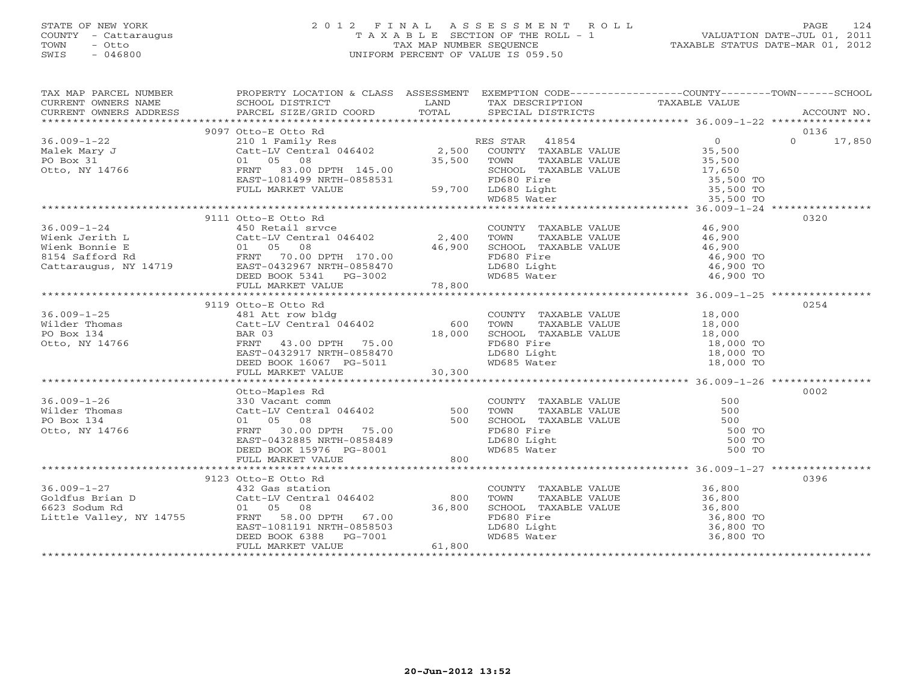### STATE OF NEW YORK 2 0 1 2 F I N A L A S S E S S M E N T R O L L PAGE 124 COUNTY - Cattaraugus T A X A B L E SECTION OF THE ROLL - 1 VALUATION DATE-JUL 01, 2011 TOWN - Otto TAX MAP NUMBER SEQUENCE TAXABLE STATUS DATE-MAR 01, 2012 SWIS - 046800 UNIFORM PERCENT OF VALUE IS 059.50UNIFORM PERCENT OF VALUE IS 059.50

| $\begin{tabular}{lllllllll} \textsc{rank} & \textsc{rank} & \textsc{rank} & \textsc{rank} & \textsc{rank} & \textsc{rank} \\ \textsc{rank} & \textsc{rank} & \textsc{rank} & \textsc{rank} & \textsc{rank} \\ \textsc{rank} & \textsc{rank} & \textsc{rank} & \textsc{rank} & \textsc{rank} \\ \textsc{rank} & \textsc{rank} & \textsc{rank} & \textsc{rank} & \textsc{rank} \\ \textsc{rank} & \textsc{rank} & \textsc{rank} & \textsc{rank} & \textsc{rank} \\ \textsc{rank} & \textsc{rank} & \textsc{rank} & \textsc{rank$ |                     |  |                  |               |
|--------------------------------------------------------------------------------------------------------------------------------------------------------------------------------------------------------------------------------------------------------------------------------------------------------------------------------------------------------------------------------------------------------------------------------------------------------------------------------------------------------------------------------|---------------------|--|------------------|---------------|
|                                                                                                                                                                                                                                                                                                                                                                                                                                                                                                                                |                     |  |                  |               |
|                                                                                                                                                                                                                                                                                                                                                                                                                                                                                                                                |                     |  |                  |               |
|                                                                                                                                                                                                                                                                                                                                                                                                                                                                                                                                |                     |  |                  | $0 \t 17,850$ |
|                                                                                                                                                                                                                                                                                                                                                                                                                                                                                                                                |                     |  |                  |               |
|                                                                                                                                                                                                                                                                                                                                                                                                                                                                                                                                |                     |  |                  |               |
|                                                                                                                                                                                                                                                                                                                                                                                                                                                                                                                                |                     |  |                  |               |
|                                                                                                                                                                                                                                                                                                                                                                                                                                                                                                                                |                     |  |                  |               |
|                                                                                                                                                                                                                                                                                                                                                                                                                                                                                                                                |                     |  |                  |               |
|                                                                                                                                                                                                                                                                                                                                                                                                                                                                                                                                |                     |  |                  |               |
|                                                                                                                                                                                                                                                                                                                                                                                                                                                                                                                                |                     |  |                  |               |
|                                                                                                                                                                                                                                                                                                                                                                                                                                                                                                                                | 9111 Otto-E Otto Rd |  |                  | 0320          |
|                                                                                                                                                                                                                                                                                                                                                                                                                                                                                                                                |                     |  |                  |               |
|                                                                                                                                                                                                                                                                                                                                                                                                                                                                                                                                |                     |  |                  |               |
|                                                                                                                                                                                                                                                                                                                                                                                                                                                                                                                                |                     |  |                  |               |
|                                                                                                                                                                                                                                                                                                                                                                                                                                                                                                                                |                     |  |                  |               |
|                                                                                                                                                                                                                                                                                                                                                                                                                                                                                                                                |                     |  |                  |               |
|                                                                                                                                                                                                                                                                                                                                                                                                                                                                                                                                |                     |  |                  |               |
|                                                                                                                                                                                                                                                                                                                                                                                                                                                                                                                                |                     |  |                  |               |
|                                                                                                                                                                                                                                                                                                                                                                                                                                                                                                                                |                     |  |                  |               |
|                                                                                                                                                                                                                                                                                                                                                                                                                                                                                                                                | 9119 Otto-E Otto Rd |  |                  | 0254          |
|                                                                                                                                                                                                                                                                                                                                                                                                                                                                                                                                |                     |  |                  |               |
|                                                                                                                                                                                                                                                                                                                                                                                                                                                                                                                                |                     |  |                  |               |
|                                                                                                                                                                                                                                                                                                                                                                                                                                                                                                                                |                     |  |                  |               |
|                                                                                                                                                                                                                                                                                                                                                                                                                                                                                                                                |                     |  |                  |               |
|                                                                                                                                                                                                                                                                                                                                                                                                                                                                                                                                |                     |  |                  |               |
|                                                                                                                                                                                                                                                                                                                                                                                                                                                                                                                                |                     |  |                  |               |
|                                                                                                                                                                                                                                                                                                                                                                                                                                                                                                                                |                     |  |                  |               |
|                                                                                                                                                                                                                                                                                                                                                                                                                                                                                                                                | Otto-Maples Rd      |  |                  | 0002          |
| 36.009-1-26<br>Wilder Thomas 330 Vacant comm<br>Wilder Thomas Catt-LV Central 046402 500 TOWN TAXABLE VALUE 500<br>PO Box 134 01 05 08 500 500 SCHOOL TAXABLE VALUE 500<br>Otto, NY 14766 FIRNT 30.00 DPTH 75.00 FD680 Fire 500<br>DEE                                                                                                                                                                                                                                                                                         |                     |  |                  |               |
|                                                                                                                                                                                                                                                                                                                                                                                                                                                                                                                                |                     |  |                  |               |
|                                                                                                                                                                                                                                                                                                                                                                                                                                                                                                                                |                     |  |                  |               |
|                                                                                                                                                                                                                                                                                                                                                                                                                                                                                                                                |                     |  | 500 TO           |               |
|                                                                                                                                                                                                                                                                                                                                                                                                                                                                                                                                |                     |  |                  |               |
|                                                                                                                                                                                                                                                                                                                                                                                                                                                                                                                                |                     |  | 500 TO<br>500 TO |               |
|                                                                                                                                                                                                                                                                                                                                                                                                                                                                                                                                |                     |  |                  |               |
|                                                                                                                                                                                                                                                                                                                                                                                                                                                                                                                                |                     |  |                  |               |
|                                                                                                                                                                                                                                                                                                                                                                                                                                                                                                                                |                     |  |                  | 0396          |
|                                                                                                                                                                                                                                                                                                                                                                                                                                                                                                                                |                     |  |                  |               |
|                                                                                                                                                                                                                                                                                                                                                                                                                                                                                                                                |                     |  |                  |               |
|                                                                                                                                                                                                                                                                                                                                                                                                                                                                                                                                |                     |  |                  |               |
|                                                                                                                                                                                                                                                                                                                                                                                                                                                                                                                                |                     |  |                  |               |
|                                                                                                                                                                                                                                                                                                                                                                                                                                                                                                                                |                     |  |                  |               |
|                                                                                                                                                                                                                                                                                                                                                                                                                                                                                                                                |                     |  |                  |               |
|                                                                                                                                                                                                                                                                                                                                                                                                                                                                                                                                |                     |  |                  |               |
|                                                                                                                                                                                                                                                                                                                                                                                                                                                                                                                                |                     |  |                  |               |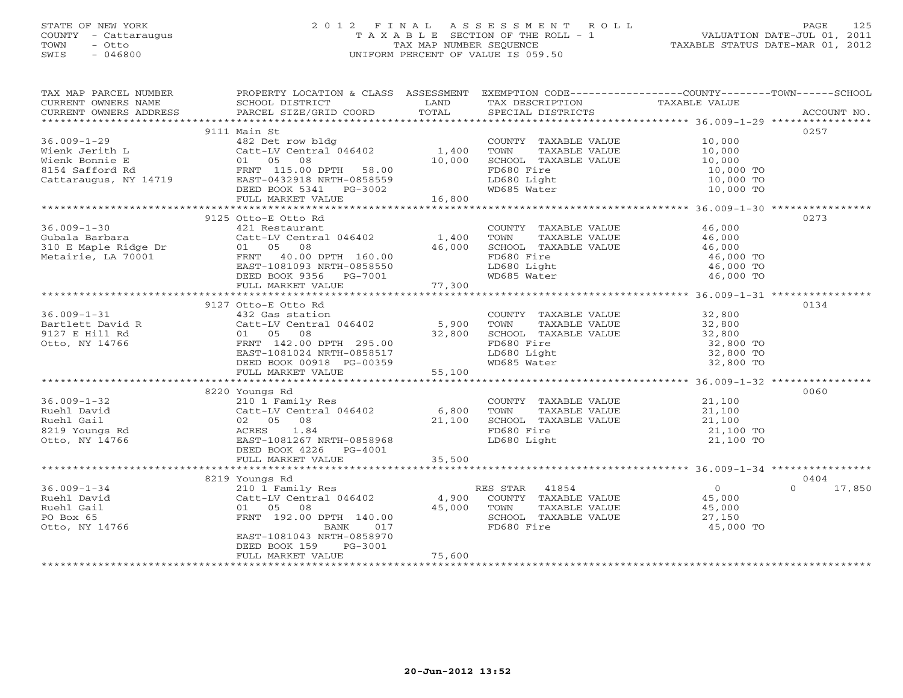# STATE OF NEW YORK 2 0 1 2 F I N A L A S S E S S M E N T R O L L PAGE 125 COUNTY - Cattaraugus T A X A B L E SECTION OF THE ROLL - 1 VALUATION DATE-JUL 01, 2011 TOWN - Otto TAX MAP NUMBER SEQUENCE TAXABLE STATUS DATE-MAR 01, 2012 SWIS - 046800 UNIFORM PERCENT OF VALUE IS 059.50UNIFORM PERCENT OF VALUE IS 059.50

|                   | TAX MAP PARCEL NUMBER FROPERTY LOCATION & CLASS ASSESSMENT EXEMPTION CODE--------------COUNTY-------TOWN------SCHOOL                                                                                                                       |        |                                                                        |                                                                 |                    |
|-------------------|--------------------------------------------------------------------------------------------------------------------------------------------------------------------------------------------------------------------------------------------|--------|------------------------------------------------------------------------|-----------------------------------------------------------------|--------------------|
|                   |                                                                                                                                                                                                                                            |        |                                                                        |                                                                 |                    |
|                   |                                                                                                                                                                                                                                            |        |                                                                        |                                                                 |                    |
|                   |                                                                                                                                                                                                                                            |        |                                                                        |                                                                 |                    |
|                   | 9111 Main St                                                                                                                                                                                                                               |        |                                                                        |                                                                 | 0257               |
|                   |                                                                                                                                                                                                                                            |        | COUNTY TAXABLE VALUE 10,000                                            |                                                                 |                    |
|                   |                                                                                                                                                                                                                                            |        |                                                                        |                                                                 |                    |
|                   | 36.009-1-29<br>Wienk Jerith L<br>Wienk Bonnie E Catt-LV Central 046402 1,400 TOWN TAXABLE VALUE<br>Wienk Bonnie E 01 05 08<br>8154 Safford Rd<br>Cattaraugus, NY 14719 EAST-0432918 NRTH-0858559<br>DEED BOOK 5341 _______________________ |        | TOWN TAXABLE VALUE<br>SCHOOL TAXABLE VALUE 10,000 TO<br>10,000 TO      |                                                                 |                    |
|                   |                                                                                                                                                                                                                                            |        |                                                                        |                                                                 |                    |
|                   |                                                                                                                                                                                                                                            |        |                                                                        |                                                                 |                    |
|                   |                                                                                                                                                                                                                                            |        |                                                                        | 10,000 TO<br>10,000 TO<br>10,000 TO                             |                    |
|                   | FULL MARKET VALUE                                                                                                                                                                                                                          | 16,800 |                                                                        |                                                                 |                    |
|                   |                                                                                                                                                                                                                                            |        |                                                                        |                                                                 |                    |
|                   | 9125 Otto-E Otto Rd                                                                                                                                                                                                                        |        |                                                                        |                                                                 | 0273               |
| $36.009 - 1 - 30$ | 421 Restaurant                                                                                                                                                                                                                             |        | COUNTY TAXABLE VALUE 46,000                                            |                                                                 |                    |
|                   |                                                                                                                                                                                                                                            |        |                                                                        |                                                                 |                    |
|                   |                                                                                                                                                                                                                                            |        |                                                                        |                                                                 |                    |
|                   |                                                                                                                                                                                                                                            |        |                                                                        |                                                                 |                    |
|                   |                                                                                                                                                                                                                                            |        |                                                                        |                                                                 |                    |
|                   |                                                                                                                                                                                                                                            |        |                                                                        |                                                                 |                    |
|                   |                                                                                                                                                                                                                                            |        |                                                                        |                                                                 |                    |
|                   | 9127 Otto-E Otto Rd                                                                                                                                                                                                                        |        |                                                                        |                                                                 | 0134               |
|                   |                                                                                                                                                                                                                                            |        | COUNTY TAXABLE VALUE 32,800                                            |                                                                 |                    |
|                   |                                                                                                                                                                                                                                            |        |                                                                        |                                                                 |                    |
|                   |                                                                                                                                                                                                                                            |        | TOWN TAXABLE VALUE 32,800<br>SCHOOL TAXABLE VALUE 32,800<br>TRESS TIME |                                                                 |                    |
|                   |                                                                                                                                                                                                                                            |        |                                                                        |                                                                 |                    |
|                   |                                                                                                                                                                                                                                            |        |                                                                        |                                                                 |                    |
|                   |                                                                                                                                                                                                                                            |        | FD680 Fire 32,800 TO<br>LD680 Light 32,800 TO<br>WD685 Water 32,800 TO |                                                                 |                    |
|                   | 432 Gas station<br>Catt-LV Central 046402 5,900<br>01 05 08 32,800<br>FRNT 142.00 DPTH 295.00<br>EAST-1081024 NRTH-0858517<br>DEED BOOK 00918 PG-00359<br>FULL MARKET VALUE                                                                |        |                                                                        |                                                                 |                    |
|                   |                                                                                                                                                                                                                                            |        |                                                                        |                                                                 |                    |
|                   | 8220 Youngs Rd                                                                                                                                                                                                                             |        |                                                                        |                                                                 | 0060               |
| $36.009 - 1 - 32$ | 210 1 Family Res                                                                                                                                                                                                                           |        | COUNTY TAXABLE VALUE 21,100                                            |                                                                 |                    |
| Ruehl David       | Catt-LV Central 046402 6,800<br>02 05 08 21,100<br>ACRES 1.84                                                                                                                                                                              |        | TOWN                                                                   | TAXABLE VALUE<br>TAXABLE VALUE 21,100<br>L TAXABLE VALUE 21,100 |                    |
| Ruehl Gail        |                                                                                                                                                                                                                                            |        | TOWN TAAADDE<br>SCHOOL TAXABLE VALUE                                   |                                                                 |                    |
| 8219 Youngs Rd    |                                                                                                                                                                                                                                            |        | FD680 Fire                                                             | 21,100 TO                                                       |                    |
| Otto, NY 14766    | EAST-1081267 NRTH-0858968                                                                                                                                                                                                                  |        | LD680 Light                                                            | 21,100 TO                                                       |                    |
|                   | DEED BOOK 4226    PG-4001                                                                                                                                                                                                                  |        |                                                                        |                                                                 |                    |
|                   |                                                                                                                                                                                                                                            |        |                                                                        |                                                                 |                    |
|                   |                                                                                                                                                                                                                                            |        |                                                                        |                                                                 |                    |
|                   | 8219 Youngs Rd                                                                                                                                                                                                                             |        |                                                                        |                                                                 | 0404               |
| $36.009 - 1 - 34$ |                                                                                                                                                                                                                                            |        |                                                                        |                                                                 | $\Omega$<br>17,850 |
| Ruehl David       |                                                                                                                                                                                                                                            |        |                                                                        |                                                                 |                    |
| Ruehl Gail        | USING THE STAR 41854<br>Catt-LV Central 046402 (4,900 COUNTY TAXABLE VALUE 45,000<br>01 05 08 45,000 TOWN TAXABLE VALUE 45,000<br>FRNT 192.00 DPTH 140.00 (SCHOOL TAXABLE VALUE 27,150                                                     |        |                                                                        |                                                                 |                    |
| PO Box 65         |                                                                                                                                                                                                                                            |        | SCHOOL TAXABLE VALUE<br>FD680 Fire                                     |                                                                 |                    |
| Otto, NY 14766    | BANK 017                                                                                                                                                                                                                                   |        |                                                                        | 45,000 TO                                                       |                    |
|                   | EAST-1081043 NRTH-0858970                                                                                                                                                                                                                  |        |                                                                        |                                                                 |                    |
|                   | DEED BOOK 159<br>PG-3001<br>FULL MARKET VALUE                                                                                                                                                                                              | 75,600 |                                                                        |                                                                 |                    |
|                   |                                                                                                                                                                                                                                            |        |                                                                        |                                                                 |                    |
|                   |                                                                                                                                                                                                                                            |        |                                                                        |                                                                 |                    |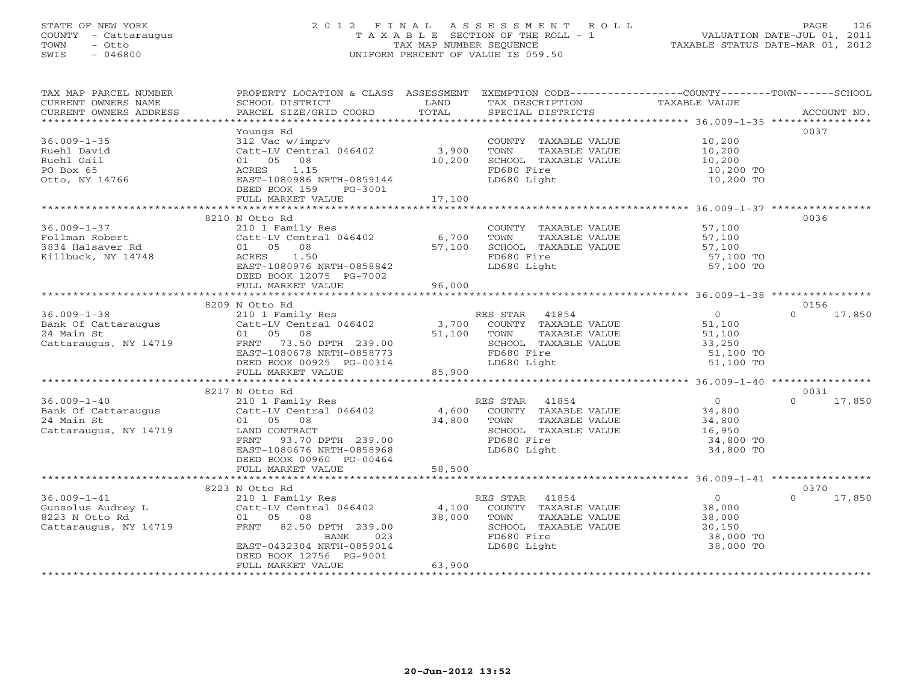### STATE OF NEW YORK 2 0 1 2 F I N A L A S S E S S M E N T R O L L PAGE 126 COUNTY - Cattaraugus T A X A B L E SECTION OF THE ROLL - 1 VALUATION DATE-JUL 01, 2011 TOWN - Otto TAX MAP NUMBER SEQUENCE TAXABLE STATUS DATE-MAR 01, 2012 SWIS - 046800 UNIFORM PERCENT OF VALUE IS 059.50UNIFORM PERCENT OF VALUE IS 059.50

| TAX MAP PARCEL NUMBER<br>CURRENT OWNERS NAME<br>CURRENT OWNERS ADDRESS    | PROPERTY LOCATION & CLASS ASSESSMENT EXEMPTION CODE---------------COUNTY-------TOWN------SCHOOL<br>SCHOOL DISTRICT<br>PARCEL SIZE/GRID COORD | LAND<br>TOTAL                     | TAX DESCRIPTION TAXABLE VALUE SPECIAL DISTRICTS |                                                               | ACCOUNT NO.        |
|---------------------------------------------------------------------------|----------------------------------------------------------------------------------------------------------------------------------------------|-----------------------------------|-------------------------------------------------|---------------------------------------------------------------|--------------------|
|                                                                           |                                                                                                                                              |                                   |                                                 |                                                               |                    |
|                                                                           | Youngs Rd                                                                                                                                    |                                   |                                                 |                                                               | 0037               |
| $36.009 - 1 - 35$                                                         | 312 Vac w/imprv                                                                                                                              |                                   | COUNTY TAXABLE VALUE 10,200                     |                                                               |                    |
| Ruehl David                                                               | Catt-LV Central $046402$ 3,900                                                                                                               |                                   | TOWN<br>TAXABLE VALUE                           | 10,200<br>10,200                                              |                    |
| Ruehl Gail                                                                | 01 05 08                                                                                                                                     | 10,200                            | SCHOOL TAXABLE VALUE                            |                                                               |                    |
| PO Box 65                                                                 | 1.15<br>ACRES                                                                                                                                |                                   | FD680 Fire                                      | 10,200 TO<br>10,200 TO                                        |                    |
| Otto, NY 14766                                                            | EAST-1080986 NRTH-0859144<br>DEED BOOK 159<br>PG-3001                                                                                        |                                   | LD680 Light                                     |                                                               |                    |
|                                                                           | FULL MARKET VALUE                                                                                                                            | 17,100                            |                                                 |                                                               |                    |
|                                                                           |                                                                                                                                              |                                   |                                                 |                                                               |                    |
|                                                                           | 8210 N Otto Rd                                                                                                                               |                                   |                                                 |                                                               | 0036               |
| $36.009 - 1 - 37$                                                         | 210 1 Family Res                                                                                                                             |                                   | COUNTY TAXABLE VALUE 57,100                     |                                                               |                    |
| Follman Robert                                                            | Catt-LV Central 046402 6,700                                                                                                                 |                                   | TOWN                                            |                                                               |                    |
| 3834 Halsaver Rd                                                          | 01 05 08                                                                                                                                     | 57,100                            |                                                 | TAXABLE VALUE<br>TAXABLE VALUE 57,100<br>TAXABLE VALUE 57,100 |                    |
| Killbuck, NY 14748                                                        | ACRES 1.50                                                                                                                                   |                                   | FD680 Fire                                      | 57,100 TO                                                     |                    |
|                                                                           | EAST-1080976 NRTH-0858842                                                                                                                    |                                   | LD680 Light                                     | 57,100 TO                                                     |                    |
|                                                                           | DEED BOOK 12075 PG-7002                                                                                                                      |                                   |                                                 |                                                               |                    |
|                                                                           | FULL MARKET VALUE                                                                                                                            | 96,000                            |                                                 |                                                               |                    |
|                                                                           |                                                                                                                                              |                                   |                                                 |                                                               |                    |
|                                                                           | 8209 N Otto Rd                                                                                                                               |                                   |                                                 |                                                               | 0156               |
| $36.009 - 1 - 38$                                                         | 210 1 Family Res<br>Catt-LV Central 046402 3,700                                                                                             |                                   | RES STAR 41854                                  | $\overline{0}$                                                | $\Omega$<br>17,850 |
|                                                                           |                                                                                                                                              |                                   | COUNTY TAXABLE VALUE 51,100                     |                                                               |                    |
| Jo.UU9-1-30<br>Bank Of Cattaraugus<br>24 Main St<br>Cattaraugus, NY 14719 | 01 05 08                                                                                                                                     | 51,100 TOWN                       | TAXABLE VALUE                                   | 51,100                                                        |                    |
|                                                                           | FRNT 73.50 DPTH 239.00<br>EAST-1080678 NRTH-0858773                                                                                          |                                   | SCHOOL TAXABLE VALUE 33,250<br>FD680 Fire       | 51,100 TO                                                     |                    |
|                                                                           | DEED BOOK 00925 PG-00314                                                                                                                     |                                   | LD680 Light                                     | 51,100 TO                                                     |                    |
|                                                                           | FULL MARKET VALUE                                                                                                                            | $-00314$<br>85.900                |                                                 |                                                               |                    |
|                                                                           |                                                                                                                                              |                                   |                                                 |                                                               |                    |
|                                                                           | 8217 N Otto Rd                                                                                                                               |                                   |                                                 |                                                               | 0031               |
| $36.009 - 1 - 40$                                                         |                                                                                                                                              |                                   | RES STAR 41854                                  | $\overline{0}$                                                | 17,850<br>$\Omega$ |
|                                                                           | 210 1 Family Res<br>Catt-LV Central 046402 4,600                                                                                             |                                   | ES STAR 41854<br>COUNTY TAXABLE VALUE           | 34,800                                                        |                    |
| Bank Of Cattaraugus<br>24 Main St                                         | 01 05 08                                                                                                                                     |                                   | TAXABLE VALUE<br>TOWN                           | 34,800                                                        |                    |
| Cattaraugus, NY 14719                                                     | LAND CONTRACT                                                                                                                                | $\frac{34,800}{34,800}$ TH 239.00 | SCHOOL TAXABLE VALUE                            | 34,800<br>16,950                                              |                    |
|                                                                           | FRNT 93.70 DPTH 239.00                                                                                                                       |                                   | FD680 Fire                                      | 34,800 TO                                                     |                    |
|                                                                           | EAST-1080676 NRTH-0858968                                                                                                                    |                                   | LD680 Light                                     | 34,800 TO                                                     |                    |
|                                                                           | DEED BOOK 00960 PG-00464                                                                                                                     |                                   |                                                 |                                                               |                    |
|                                                                           | FULL MARKET VALUE                                                                                                                            | 58,500                            |                                                 |                                                               |                    |
|                                                                           | 8223 N Otto Rd                                                                                                                               |                                   |                                                 |                                                               | 0370               |
| $36.009 - 1 - 41$                                                         | 210 1 Family Res                                                                                                                             |                                   | RES STAR 41854                                  | $\overline{0}$                                                | $\Omega$<br>17,850 |
|                                                                           |                                                                                                                                              |                                   |                                                 |                                                               |                    |
| Gunsolus Audrey L<br>8223 N Otto Rd                                       | Catt-LV Central 046402<br>01 05 08 38,000 TOWN TAXABLE VALUE                                                                                 |                                   |                                                 | 38,000<br>38,000                                              |                    |
| Cattaraugus, NY 14719                                                     | FRNT 82.50 DPTH 239.00                                                                                                                       |                                   | SCHOOL TAXABLE VALUE                            | 20,150                                                        |                    |
|                                                                           | 023<br>BANK                                                                                                                                  |                                   | FD680 Fire                                      | 38,000 TO                                                     |                    |
|                                                                           | EAST-0432304 NRTH-0859014                                                                                                                    |                                   | LD680 Light                                     | 38,000 TO                                                     |                    |
|                                                                           | DEED BOOK 12756 PG-9001                                                                                                                      |                                   |                                                 |                                                               |                    |
|                                                                           | FULL MARKET VALUE                                                                                                                            | 63,900                            |                                                 |                                                               |                    |
|                                                                           |                                                                                                                                              |                                   |                                                 |                                                               |                    |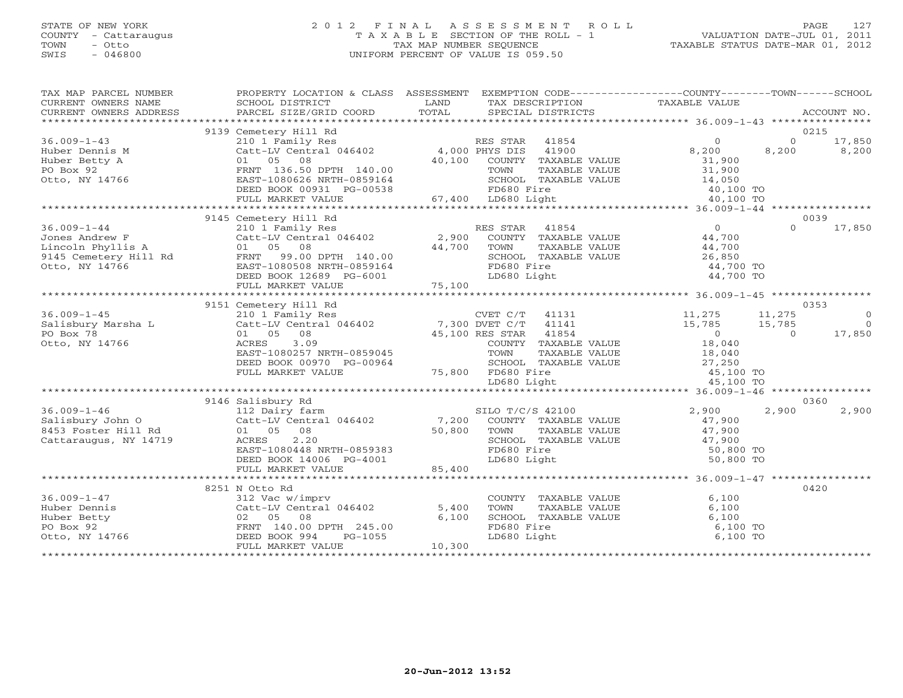# STATE OF NEW YORK 2 0 1 2 F I N A L A S S E S S M E N T R O L L PAGE 127 COUNTY - Cattaraugus T A X A B L E SECTION OF THE ROLL - 1 VALUATION DATE-JUL 01, 2011 TOWN - Otto TAX MAP NUMBER SEQUENCE TAXABLE STATUS DATE-MAR 01, 2012 SWIS - 046800 UNIFORM PERCENT OF VALUE IS 059.50

| TAX MAP PARCEL NUMBER<br>CURRENT OWNERS NAME<br>CURRENT OWNERS ADDRESS | PROPERTY LOCATION & CLASS ASSESSMENT EXEMPTION CODE----------------COUNTY-------TOWN------SCHOOL<br>SCHOOL DISTRICT<br>PARCEL SIZE/GRID COORD | LAND<br>TOTAL | TAX DESCRIPTION TAXABLE VALUE<br>SPECIAL DISTRICTS                                                                |                        |                | ACCOUNT NO.    |
|------------------------------------------------------------------------|-----------------------------------------------------------------------------------------------------------------------------------------------|---------------|-------------------------------------------------------------------------------------------------------------------|------------------------|----------------|----------------|
|                                                                        |                                                                                                                                               |               |                                                                                                                   |                        |                |                |
|                                                                        | 9139 Cemetery Hill Rd                                                                                                                         |               |                                                                                                                   |                        | 0215           |                |
| $36.009 - 1 - 43$                                                      | 210 1 Family Res<br>Catt-LV Central 046402 4,000 PHYS DIS                                                                                     |               | RES STAR<br>41854                                                                                                 | $\overline{0}$         | $\overline{0}$ | 17,850         |
| Huber Dennis M<br>Huber Betty A<br>PO Box 92                           |                                                                                                                                               |               | 41900                                                                                                             | 8,200                  | 8,200          | 8,200          |
|                                                                        | 01 05 08                                                                                                                                      | 40,100        | COUNTY TAXABLE VALUE                                                                                              | 31,900                 |                |                |
|                                                                        | FRNT 136.50 DPTH 140.00                                                                                                                       |               | TOWN<br>TAXABLE VALUE                                                                                             | 31,900                 |                |                |
| Otto, NY 14766                                                         | EAST-1080626 NRTH-0859164                                                                                                                     |               | SCHOOL TAXABLE VALUE                                                                                              | 14,050                 |                |                |
|                                                                        | DEED BOOK 00931 PG-00538                                                                                                                      |               | FD680 Fire                                                                                                        | 40,100 TO              |                |                |
|                                                                        | FULL MARKET VALUE                                                                                                                             |               | 67,400 LD680 Light                                                                                                | 40,100 TO              |                |                |
|                                                                        |                                                                                                                                               |               |                                                                                                                   |                        |                |                |
|                                                                        | 9145 Cemetery Hill Rd                                                                                                                         |               |                                                                                                                   |                        | 0039           |                |
| $36.009 - 1 - 44$                                                      |                                                                                                                                               |               | RES STAR 41854                                                                                                    | $\overline{0}$         | $\Omega$       | 17,850         |
| Jones Andrew F                                                         |                                                                                                                                               |               | COUNTY TAXABLE VALUE                                                                                              | 44,700                 |                |                |
| Lincoln Phyllis A                                                      | 01 05 08                                                                                                                                      | 44,700        | TOWN<br>TAXABLE VALUE                                                                                             | 44,700                 |                |                |
| 9145 Cemetery Hill Rd FRNT 99.00 DPTH 140.00                           |                                                                                                                                               |               | SCHOOL TAXABLE VALUE                                                                                              | 26,850                 |                |                |
| Otto, NY 14766                                                         | EAST-1080508 NRTH-0859164                                                                                                                     |               | FD680 Fire                                                                                                        | 44,700 TO              |                |                |
|                                                                        | DEED BOOK 12689 PG-6001                                                                                                                       |               | LD680 Light                                                                                                       | 44,700 TO              |                |                |
|                                                                        |                                                                                                                                               |               |                                                                                                                   |                        |                |                |
|                                                                        |                                                                                                                                               |               |                                                                                                                   |                        |                |                |
|                                                                        | 9151 Cemetery Hill Rd                                                                                                                         |               |                                                                                                                   |                        | 0353           |                |
| $36.009 - 1 - 45$                                                      | 210 1 Family Res                                                                                                                              |               | CVET C/T 41131 11,275                                                                                             |                        | 11,275         | $\overline{0}$ |
| Salisbury Marsha L                                                     | Catt-LV Central 046402 7,300 DVET C/T 41141<br>01 05 08 45,100 RES STAR 41854                                                                 |               |                                                                                                                   | 15,785                 | 15,785         | $\bigcirc$     |
| PO Box 78                                                              |                                                                                                                                               |               |                                                                                                                   | $\overline{0}$         | $\Omega$       | 17,850         |
| Otto, NY 14766                                                         | ACRES<br>3.09                                                                                                                                 |               | COUNTY TAXABLE VALUE                                                                                              | 18,040<br>18,040       |                |                |
|                                                                        | EAST-1080257 NRTH-0859045                                                                                                                     |               | TOWN<br>TAXABLE VALUE                                                                                             |                        |                |                |
|                                                                        | DEED BOOK 00970 PG-00964                                                                                                                      |               | SCHOOL TAXABLE VALUE 27, 250                                                                                      |                        |                |                |
|                                                                        | FULL MARKET VALUE                                                                                                                             |               | 75,800 FD680 Fire                                                                                                 | 45,100 TO              |                |                |
|                                                                        |                                                                                                                                               |               | LD680 Light                                                                                                       | 45,100 TO              |                |                |
|                                                                        |                                                                                                                                               |               |                                                                                                                   |                        |                |                |
| $36.009 - 1 - 46$                                                      | 9146 Salisbury Rd                                                                                                                             |               |                                                                                                                   |                        | 0360           |                |
|                                                                        | 112 Dairy farm<br>Catt-LV Central $046402$ 7,200                                                                                              |               | SILO T/C/S 42100                                                                                                  | 2,900                  | 2,900          | 2,900          |
| Salisbury John O                                                       | 01 05 08                                                                                                                                      | 50,800        | COUNTY TAXABLE VALUE                                                                                              | 47,900                 |                |                |
| 8453 Foster Hill Rd<br>Cattaraugus, NY 14719                           | 2.20<br>ACRES                                                                                                                                 |               | TOWN TAXABLE VALUE $47,900$<br>SCHOOL TAXABLE VALUE $47,900$<br>FD680 Fire 50,800<br>LD680 Light 50,800<br>50,800 |                        |                |                |
|                                                                        | EAST-1080448 NRTH-0859383                                                                                                                     |               |                                                                                                                   |                        |                |                |
|                                                                        | DEED BOOK 14006 PG-4001                                                                                                                       |               |                                                                                                                   | 50,800 TO<br>50,800 TO |                |                |
|                                                                        | FULL MARKET VALUE                                                                                                                             | 85,400        |                                                                                                                   |                        |                |                |
|                                                                        |                                                                                                                                               |               |                                                                                                                   |                        |                |                |
|                                                                        | 8251 N Otto Rd                                                                                                                                |               |                                                                                                                   |                        | 0420           |                |
| $36.009 - 1 - 47$                                                      | 312 Vac w/imprv                                                                                                                               |               | COUNTY TAXABLE VALUE                                                                                              | 6,100                  |                |                |
| Huber Dennis                                                           | Catt-LV Central 046402                                                                                                                        | 5,400         | TOWN<br>TAXABLE VALUE                                                                                             | 6,100                  |                |                |
| Huber Betty                                                            | 02 05 08                                                                                                                                      | 6,100         | SCHOOL TAXABLE VALUE                                                                                              | 6,100                  |                |                |
| PO Box 92                                                              | FRNT 140.00 DPTH 245.00                                                                                                                       |               | FD680 Fire                                                                                                        | 6,100 TO               |                |                |
| Otto, NY 14766                                                         | DEED BOOK 994<br>PG-1055                                                                                                                      |               | LD680 Light                                                                                                       | 6,100 TO               |                |                |
|                                                                        | FULL MARKET VALUE                                                                                                                             | 10,300        |                                                                                                                   |                        |                |                |
|                                                                        |                                                                                                                                               |               |                                                                                                                   |                        |                |                |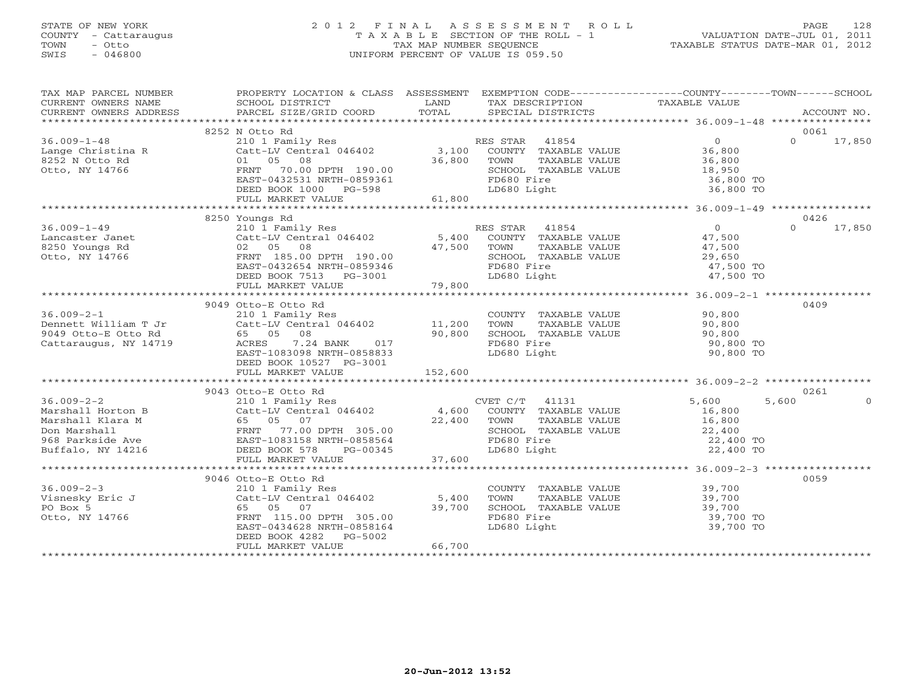# STATE OF NEW YORK 2 0 1 2 F I N A L A S S E S S M E N T R O L L PAGE 128 COUNTY - Cattaraugus T A X A B L E SECTION OF THE ROLL - 1 VALUATION DATE-JUL 01, 2011 TOWN - Otto TAX MAP NUMBER SEQUENCE TAXABLE STATUS DATE-MAR 01, 2012 SWIS - 046800 UNIFORM PERCENT OF VALUE IS 059.50

| TAX MAP PARCEL NUMBER                                       | PROPERTY LOCATION & CLASS ASSESSMENT EXEMPTION CODE----------------COUNTY-------TOWN------SCHOOL                                                                                                                                                           |         |             |                           |                                                                |          |               |
|-------------------------------------------------------------|------------------------------------------------------------------------------------------------------------------------------------------------------------------------------------------------------------------------------------------------------------|---------|-------------|---------------------------|----------------------------------------------------------------|----------|---------------|
| CURRENT OWNERS NAME                                         | SCHOOL DISTRICT                                                                                                                                                                                                                                            |         |             | LAND TAX DESCRIPTION      | TAXABLE VALUE                                                  |          |               |
| CURRENT OWNERS ADDRESS                                      | PARCEL SIZE/GRID COORD TOTAL SPECIAL DISTRICTS                                                                                                                                                                                                             |         |             |                           |                                                                |          | ACCOUNT NO.   |
|                                                             |                                                                                                                                                                                                                                                            |         |             |                           |                                                                |          |               |
|                                                             | 8252 N Otto Rd<br>N Otto Rd<br>210 1 Family Res<br>Catt-LV Central 046402 3,100 COUNTY TAXABLE VALUE 36,800<br>01 05 08 36,800 36,800 TOWN TAXABLE VALUE 36,800<br>FRNT 70.00 DPTH 190.00 SCHOOL TAXABLE VALUE 18,950<br>FRNT 70.00 DPTH 190.00 SCHOOL TAX |         |             |                           |                                                                |          | 0061          |
| $36.009 - 1 - 48$                                           |                                                                                                                                                                                                                                                            |         |             |                           |                                                                |          | $0 \t 17,850$ |
|                                                             |                                                                                                                                                                                                                                                            |         |             |                           |                                                                |          |               |
|                                                             | Lange Christina R<br>8252 N Otto Rd 8252 N Otto Rd 8252 N Otto Rd 8252 N Otto Rd 8252 N Otto Rd 8252 N Otto Rd 8252 N Otto Rd 8252 N Otto Rd 8252 N Otto Rd 8252 N Otto Rd 8252 N Otto Rd 8252 N Otto Rd 8252 N Otto Rd 8252 N O                           |         |             |                           | TOWN TAXABLE VALUE<br>SCHOOL TAXABLE VALUE 18,950<br>36,800 TO |          |               |
|                                                             | EAST-0432531 NRTH-0859361                                                                                                                                                                                                                                  |         | FD680 Fire  |                           |                                                                |          |               |
|                                                             |                                                                                                                                                                                                                                                            |         |             |                           | 36,800 TO                                                      |          |               |
|                                                             | DEED BOOK $1000$ PG-598                                                                                                                                                                                                                                    |         | LD680 Light |                           |                                                                |          |               |
|                                                             |                                                                                                                                                                                                                                                            |         |             |                           |                                                                |          |               |
|                                                             | 8250 Youngs Rd                                                                                                                                                                                                                                             |         |             |                           |                                                                |          | 0426          |
| $36.009 - 1 - 49$                                           | Foungs Rd<br>210 1 Family Res<br>210 1 Family Res<br>22 05 08 47,500<br>23 05 08 47,500<br>29,650<br>29,650<br>29,650<br>29,650<br>29,650<br>29,650<br>29,650<br>27,500<br>29,650<br>29,650<br>27,500                                                      |         |             |                           |                                                                | $\Omega$ | 17,850        |
|                                                             |                                                                                                                                                                                                                                                            |         |             |                           |                                                                |          |               |
| Lancaster Janet<br>8250 Youngs Rd<br>Otto, NY 14766         |                                                                                                                                                                                                                                                            |         |             |                           |                                                                |          |               |
|                                                             |                                                                                                                                                                                                                                                            |         |             |                           |                                                                |          |               |
|                                                             |                                                                                                                                                                                                                                                            |         |             |                           | SCHOOL TAXABLE VALUE 29,650<br>FD680 Fire 2016 17,500 TO       |          |               |
|                                                             |                                                                                                                                                                                                                                                            |         |             |                           | 47,500 TO<br>47,500 TO                                         |          |               |
|                                                             |                                                                                                                                                                                                                                                            |         |             |                           |                                                                |          |               |
|                                                             |                                                                                                                                                                                                                                                            |         |             |                           |                                                                |          |               |
|                                                             | 9049 Otto-E Otto Rd                                                                                                                                                                                                                                        |         |             |                           |                                                                | 0409     |               |
|                                                             |                                                                                                                                                                                                                                                            |         |             |                           |                                                                |          |               |
|                                                             |                                                                                                                                                                                                                                                            |         |             |                           |                                                                |          |               |
|                                                             |                                                                                                                                                                                                                                                            |         |             |                           |                                                                |          |               |
|                                                             | 9049 Otto-E Otto ka<br>210 1 Family Res<br>210 1 Family Res<br>210 1 Family Res<br>210 1 Family Res<br>210 1 Family Res<br>210 1 Family Res<br>210 1 Family Res<br>210 1 Family Res<br>210 1 Family Res<br>210 1 Family Res<br>210 1 Family Res<br>210     |         |             |                           | 90,800 TO                                                      |          |               |
|                                                             |                                                                                                                                                                                                                                                            |         |             |                           | 90,800 TO                                                      |          |               |
|                                                             | DEED BOOK 10527 PG-3001                                                                                                                                                                                                                                    |         |             |                           |                                                                |          |               |
|                                                             | FULL MARKET VALUE                                                                                                                                                                                                                                          | 152,600 |             |                           |                                                                |          |               |
|                                                             |                                                                                                                                                                                                                                                            |         |             |                           |                                                                |          |               |
|                                                             | 9043 Otto-E Otto Rd                                                                                                                                                                                                                                        |         |             |                           |                                                                |          | 0261          |
|                                                             |                                                                                                                                                                                                                                                            |         |             |                           |                                                                |          |               |
|                                                             |                                                                                                                                                                                                                                                            |         |             |                           |                                                                |          |               |
|                                                             |                                                                                                                                                                                                                                                            |         |             |                           |                                                                |          |               |
|                                                             |                                                                                                                                                                                                                                                            |         |             |                           |                                                                |          |               |
|                                                             |                                                                                                                                                                                                                                                            |         |             |                           |                                                                |          |               |
|                                                             |                                                                                                                                                                                                                                                            |         |             |                           |                                                                |          |               |
|                                                             |                                                                                                                                                                                                                                                            |         |             |                           |                                                                |          |               |
|                                                             |                                                                                                                                                                                                                                                            |         |             |                           |                                                                |          |               |
|                                                             | 9046 Otto-E Otto Rd                                                                                                                                                                                                                                        |         |             |                           |                                                                |          | 0059          |
|                                                             | 210 1 Family Res<br>COUNT Catt-LV Central 046402<br>Call 102 2020                                                                                                                                                                                          |         |             |                           | COUNTY TAXABLE VALUE 39,700<br>TOWN TAXABLE VALUE 39,700       |          |               |
|                                                             |                                                                                                                                                                                                                                                            |         |             |                           |                                                                |          |               |
| 36.009-2-3<br>Visnesky Eric J<br>PO Box 5<br>Otto, NY 14766 | 65 05 07 39,700<br>FRNT 115.00 DPTH 305.00                                                                                                                                                                                                                 |         |             |                           |                                                                |          |               |
|                                                             |                                                                                                                                                                                                                                                            |         |             | FD680 Fire<br>LD680 Light |                                                                |          |               |
|                                                             | EAST-0434628 NRTH-0858164                                                                                                                                                                                                                                  |         |             |                           | 39,700 TO                                                      |          |               |
|                                                             | DEED BOOK 4282 PG-5002                                                                                                                                                                                                                                     |         |             |                           |                                                                |          |               |
|                                                             | FULL MARKET VALUE                                                                                                                                                                                                                                          | 66,700  |             |                           |                                                                |          |               |
|                                                             |                                                                                                                                                                                                                                                            |         |             |                           |                                                                |          |               |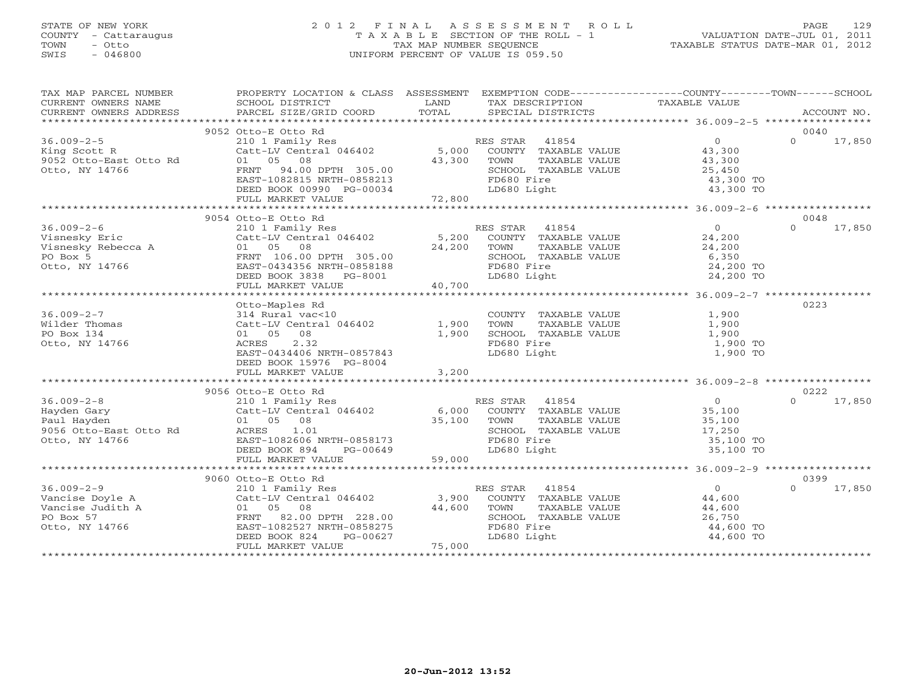# STATE OF NEW YORK 2 0 1 2 F I N A L A S S E S S M E N T R O L L PAGE 129 COUNTY - Cattaraugus T A X A B L E SECTION OF THE ROLL - 1 VALUATION DATE-JUL 01, 2011 TOWN - Otto TAX MAP NUMBER SEQUENCE TAXABLE STATUS DATE-MAR 01, 2012 SWIS - 046800 UNIFORM PERCENT OF VALUE IS 059.50

| TAX MAP PARCEL NUMBER               | PROPERTY LOCATION & CLASS ASSESSMENT EXEMPTION CODE---------------COUNTY-------TOWN------SCHOOL |                  |                |                      |                                                   |          |             |
|-------------------------------------|-------------------------------------------------------------------------------------------------|------------------|----------------|----------------------|---------------------------------------------------|----------|-------------|
| CURRENT OWNERS NAME                 | SCHOOL DISTRICT                                                                                 | LAND             |                | TAX DESCRIPTION      | TAXABLE VALUE                                     |          |             |
| CURRENT OWNERS ADDRESS              | PARCEL SIZE/GRID COORD                                                                          | TOTAL            |                | SPECIAL DISTRICTS    |                                                   |          | ACCOUNT NO. |
|                                     | 9052 Otto-E Otto Rd                                                                             |                  |                |                      |                                                   | 0040     |             |
| $36.009 - 2 - 5$                    | 210 1 Family Res                                                                                |                  | RES STAR 41854 |                      | $\overline{0}$                                    | $\Omega$ | 17,850      |
| King Scott R                        | Catt-LV Central 046402                                                                          | 5,000            |                | COUNTY TAXABLE VALUE | 43,300                                            |          |             |
| 9052 Otto-East Otto Rd              | 01 05 08                                                                                        | 43,300           | TOWN           | TAXABLE VALUE        | 43,300                                            |          |             |
| Otto, NY 14766                      | FRNT<br>94.00 DPTH 305.00                                                                       |                  |                | SCHOOL TAXABLE VALUE | 25,450                                            |          |             |
|                                     | EAST-1082815 NRTH-0858213                                                                       |                  | FD680 Fire     |                      | 43,300 TO                                         |          |             |
|                                     | DEED BOOK 00990 PG-00034                                                                        |                  | LD680 Light    |                      | 43,300 TO                                         |          |             |
|                                     | FULL MARKET VALUE                                                                               | 72,800           |                |                      |                                                   |          |             |
|                                     |                                                                                                 |                  |                |                      |                                                   |          |             |
|                                     | 9054 Otto-E Otto Rd                                                                             |                  |                |                      |                                                   | 0048     |             |
| $36.009 - 2 - 6$                    | 210 1 Family Res                                                                                |                  | RES STAR       | 41854                | $\overline{O}$                                    | $\Omega$ | 17,850      |
| Visnesky Eric                       | Catt-LV Central 046402                                                                          | 5,200            |                | COUNTY TAXABLE VALUE | 24,200                                            |          |             |
| visnesку вітс<br>Visnesky Rebecca A | 01 05 08                                                                                        | 24,200           | TOWN           | TAXABLE VALUE        | 24,200                                            |          |             |
| PO Box 5                            | FRNT 106.00 DPTH 305.00                                                                         |                  |                | SCHOOL TAXABLE VALUE | 6,350                                             |          |             |
| Otto, NY 14766                      | EAST-0434356 NRTH-0858188                                                                       |                  | FD680 Fire     |                      | 24,200 TO                                         |          |             |
|                                     | DEED BOOK 3838 PG-8001                                                                          |                  | LD680 Light    |                      | 24,200 TO                                         |          |             |
|                                     | FULL MARKET VALUE                                                                               | 40,700           |                |                      |                                                   |          |             |
|                                     | ************************                                                                        | **************** |                |                      | ********************* 36.009-2-7 **************** |          |             |
|                                     | Otto-Maples Rd                                                                                  |                  |                |                      |                                                   | 0223     |             |
| $36.009 - 2 - 7$                    | 314 Rural vac<10                                                                                |                  |                | COUNTY TAXABLE VALUE | 1,900                                             |          |             |
| Wilder Thomas                       | Catt-LV Central 046402                                                                          | 1,900            | TOWN           | TAXABLE VALUE        | 1,900                                             |          |             |
| PO Box 134                          | 08<br>01 05                                                                                     | 1,900            |                | SCHOOL TAXABLE VALUE | 1,900                                             |          |             |
| Otto, NY 14766                      | 2.32<br>ACRES                                                                                   |                  | FD680 Fire     |                      | 1,900 TO                                          |          |             |
|                                     | EAST-0434406 NRTH-0857843                                                                       |                  | LD680 Light    |                      | 1,900 TO                                          |          |             |
|                                     | DEED BOOK 15976 PG-8004                                                                         |                  |                |                      |                                                   |          |             |
|                                     | FULL MARKET VALUE                                                                               | 3,200            |                |                      |                                                   |          |             |
|                                     | 9056 Otto-E Otto Rd                                                                             |                  |                |                      |                                                   | 0222     |             |
| $36.009 - 2 - 8$                    | 210 1 Family Res                                                                                |                  | RES STAR       | 41854                | $\overline{0}$                                    | $\Omega$ | 17,850      |
| Hayden Gary                         | Catt-LV Central 046402                                                                          | 6,000            |                | COUNTY TAXABLE VALUE | 35,100                                            |          |             |
| Paul Hayden                         | 01 05 08                                                                                        | 35,100           | TOWN           | TAXABLE VALUE        | 35,100                                            |          |             |
| 9056 Otto-East Otto Rd              | ACRES<br>1.01                                                                                   |                  |                | SCHOOL TAXABLE VALUE | 17,250                                            |          |             |
| Otto, NY 14766                      | EAST-1082606 NRTH-0858173                                                                       |                  | FD680 Fire     |                      | 35,100 TO                                         |          |             |
|                                     | DEED BOOK 894<br>PG-00649                                                                       |                  | LD680 Light    |                      | 35,100 TO                                         |          |             |
|                                     | FULL MARKET VALUE                                                                               | 59,000           |                |                      |                                                   |          |             |
|                                     |                                                                                                 |                  |                |                      |                                                   |          |             |
|                                     | 9060 Otto-E Otto Rd                                                                             |                  |                |                      |                                                   | 0399     |             |
| $36.009 - 2 - 9$                    | 210 1 Family Res                                                                                |                  | RES STAR       | 41854                | $\Omega$                                          | $\Omega$ | 17,850      |
| Vancise Doyle A                     | Catt-LV Central 046402                                                                          | 3,900            |                | COUNTY TAXABLE VALUE | 44,600                                            |          |             |
| Vancise Judith A                    | 01 05 08                                                                                        | 44,600           | TOWN           | TAXABLE VALUE        | 44,600                                            |          |             |
| PO Box 57                           | 82.00 DPTH 228.00<br>FRNT                                                                       |                  |                | SCHOOL TAXABLE VALUE | 26,750                                            |          |             |
| Otto, NY 14766                      | EAST-1082527 NRTH-0858275                                                                       |                  | FD680 Fire     |                      | 44,600 TO                                         |          |             |
|                                     | DEED BOOK 824<br>PG-00627                                                                       |                  | LD680 Light    |                      | 44,600 TO                                         |          |             |
|                                     | FULL MARKET VALUE                                                                               | 75,000           |                |                      |                                                   |          |             |
|                                     |                                                                                                 |                  |                |                      |                                                   |          |             |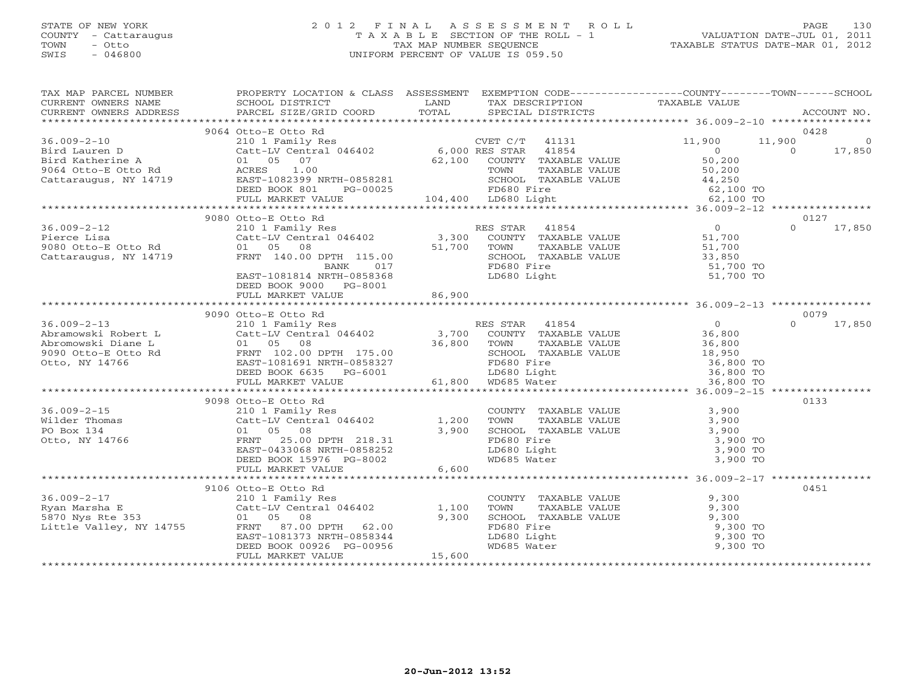## STATE OF NEW YORK 2 0 1 2 F I N A L A S S E S S M E N T R O L L PAGE 130 COUNTY - Cattaraugus T A X A B L E SECTION OF THE ROLL - 1 VALUATION DATE-JUL 01, 2011 TOWN - Otto TAX MAP NUMBER SEQUENCE TAXABLE STATUS DATE-MAR 01, 2012 SWIS - 046800 UNIFORM PERCENT OF VALUE IS 059.50UNIFORM PERCENT OF VALUE IS 059.50

| TAX MAP PARCEL NUMBER                                                                                                                                                                                                                                                                                                                                                                                         | PROPERTY LOCATION & CLASS ASSESSMENT EXEMPTION CODE----------------COUNTY-------TOWN------SCHOOL                                                                                                                                           |        |                                                                                                                                                                                        |        |                    |
|---------------------------------------------------------------------------------------------------------------------------------------------------------------------------------------------------------------------------------------------------------------------------------------------------------------------------------------------------------------------------------------------------------------|--------------------------------------------------------------------------------------------------------------------------------------------------------------------------------------------------------------------------------------------|--------|----------------------------------------------------------------------------------------------------------------------------------------------------------------------------------------|--------|--------------------|
|                                                                                                                                                                                                                                                                                                                                                                                                               |                                                                                                                                                                                                                                            |        |                                                                                                                                                                                        |        |                    |
| $36.009 - 2 - 10$                                                                                                                                                                                                                                                                                                                                                                                             | 9064 Otto-E Otto Rd                                                                                                                                                                                                                        |        |                                                                                                                                                                                        | 11,900 | 0428<br>11,900 0   |
|                                                                                                                                                                                                                                                                                                                                                                                                               |                                                                                                                                                                                                                                            |        |                                                                                                                                                                                        |        |                    |
|                                                                                                                                                                                                                                                                                                                                                                                                               |                                                                                                                                                                                                                                            |        |                                                                                                                                                                                        |        |                    |
|                                                                                                                                                                                                                                                                                                                                                                                                               |                                                                                                                                                                                                                                            |        |                                                                                                                                                                                        |        |                    |
|                                                                                                                                                                                                                                                                                                                                                                                                               |                                                                                                                                                                                                                                            |        |                                                                                                                                                                                        |        |                    |
|                                                                                                                                                                                                                                                                                                                                                                                                               |                                                                                                                                                                                                                                            |        |                                                                                                                                                                                        |        |                    |
|                                                                                                                                                                                                                                                                                                                                                                                                               |                                                                                                                                                                                                                                            |        |                                                                                                                                                                                        |        |                    |
|                                                                                                                                                                                                                                                                                                                                                                                                               |                                                                                                                                                                                                                                            |        |                                                                                                                                                                                        |        |                    |
|                                                                                                                                                                                                                                                                                                                                                                                                               | 9080 Otto-E Otto Rd                                                                                                                                                                                                                        |        |                                                                                                                                                                                        |        | 0127               |
| $36.009 - 2 - 12$                                                                                                                                                                                                                                                                                                                                                                                             | 210 1 Family Res<br>210 1 Family Res<br>Catt-LV Central 046402 3,300 COUNTY TAXABLE VALUE<br>01 05 08 51,700 TOWN TAXABLE VALUE 51,700<br>FRNT 140.00 DPTH 115.00 51,700 SCHOOL TAXABLE VALUE 51,700<br>BANK 017 FD680 Fire 51,700<br>EAST |        |                                                                                                                                                                                        |        | 17,850<br>$\Omega$ |
|                                                                                                                                                                                                                                                                                                                                                                                                               |                                                                                                                                                                                                                                            |        |                                                                                                                                                                                        |        |                    |
| Pierce Lisa (Catt-LV Central Pierce Lisa (Catt-LV Central Pierce Central Pierce Central Pierce Central Pierce Central Pierce Central Central Pierce Central Central Pierce Central Central Pierce Central Central Pierce Centr                                                                                                                                                                                |                                                                                                                                                                                                                                            |        |                                                                                                                                                                                        |        |                    |
| Cattaraugus, NY 14719                                                                                                                                                                                                                                                                                                                                                                                         |                                                                                                                                                                                                                                            |        | TOWN TAXABLE VALUE<br>SCHOOL TAXABLE VALUE<br>FD680 Fire<br>LD680 Light<br>LD680 Light<br>LD680 Light<br>The S1,700 TO                                                                 |        |                    |
|                                                                                                                                                                                                                                                                                                                                                                                                               |                                                                                                                                                                                                                                            |        |                                                                                                                                                                                        |        |                    |
|                                                                                                                                                                                                                                                                                                                                                                                                               |                                                                                                                                                                                                                                            |        |                                                                                                                                                                                        |        |                    |
|                                                                                                                                                                                                                                                                                                                                                                                                               | DEED BOOK 9000 PG-8001                                                                                                                                                                                                                     |        |                                                                                                                                                                                        |        |                    |
|                                                                                                                                                                                                                                                                                                                                                                                                               |                                                                                                                                                                                                                                            |        |                                                                                                                                                                                        |        |                    |
|                                                                                                                                                                                                                                                                                                                                                                                                               |                                                                                                                                                                                                                                            |        |                                                                                                                                                                                        |        |                    |
|                                                                                                                                                                                                                                                                                                                                                                                                               | 9090 Otto-E Otto Rd                                                                                                                                                                                                                        |        |                                                                                                                                                                                        |        | 0079               |
|                                                                                                                                                                                                                                                                                                                                                                                                               |                                                                                                                                                                                                                                            |        |                                                                                                                                                                                        |        |                    |
|                                                                                                                                                                                                                                                                                                                                                                                                               |                                                                                                                                                                                                                                            |        |                                                                                                                                                                                        |        |                    |
|                                                                                                                                                                                                                                                                                                                                                                                                               |                                                                                                                                                                                                                                            |        |                                                                                                                                                                                        |        |                    |
|                                                                                                                                                                                                                                                                                                                                                                                                               |                                                                                                                                                                                                                                            |        |                                                                                                                                                                                        |        |                    |
|                                                                                                                                                                                                                                                                                                                                                                                                               |                                                                                                                                                                                                                                            |        |                                                                                                                                                                                        |        |                    |
|                                                                                                                                                                                                                                                                                                                                                                                                               |                                                                                                                                                                                                                                            |        |                                                                                                                                                                                        |        |                    |
| $\begin{tabular}{lllllllllllllllllllll} \hline 36.009-2-13 & 9090& 0 \, \text{C10-18} & \text{RES STAR} & 41854 & 0 & 0079 \\ \text{Abramowski Robert L} & 210 & 1 & \text{Family Res} & \text{RES STAR} & 41854 & 0 & 079 \\ \text{Abromowski Robert L} & 210 & 1 & \text{Emily Res} & 3,700 & \text{COUNTY} & \text{TAXABLE VALUE} & 36,800 & 0 & 17,850 \\ \text{Abromowski Diane L} & 01 & 05 & 08 & 36,$ |                                                                                                                                                                                                                                            |        |                                                                                                                                                                                        |        |                    |
|                                                                                                                                                                                                                                                                                                                                                                                                               | 9098 Otto-E Otto Rd                                                                                                                                                                                                                        |        |                                                                                                                                                                                        |        | 0133               |
| $36.009 - 2 - 15$                                                                                                                                                                                                                                                                                                                                                                                             | Otto-E Otto Rd<br>210 1 Family Res<br>Catt-LV Central 046402 1,200                                                                                                                                                                         |        |                                                                                                                                                                                        |        |                    |
|                                                                                                                                                                                                                                                                                                                                                                                                               |                                                                                                                                                                                                                                            |        |                                                                                                                                                                                        |        |                    |
|                                                                                                                                                                                                                                                                                                                                                                                                               |                                                                                                                                                                                                                                            | 3,900  |                                                                                                                                                                                        |        |                    |
| Wilder Thomas<br>PO Box 134<br>Otto, NY 14766                                                                                                                                                                                                                                                                                                                                                                 | 3,90<br>FRNT 25.00 DPTH 218.31<br>EAST-0433068 NRTH-0858252<br>DEED BOOK 15976 DC 0000                                                                                                                                                     |        | COUNTY TAXABLE VALUE<br>TOWN TAXABLE VALUE<br>SCHOOL TAXABLE VALUE<br>FD680 Fire<br>LD680 Light<br>WD685 Water<br>COUNTY 1,900 TO<br>ND685 Water<br>COUNTY 3,900 TO<br>COUNTY 3,900 TO |        |                    |
|                                                                                                                                                                                                                                                                                                                                                                                                               |                                                                                                                                                                                                                                            |        |                                                                                                                                                                                        |        |                    |
|                                                                                                                                                                                                                                                                                                                                                                                                               |                                                                                                                                                                                                                                            |        |                                                                                                                                                                                        |        |                    |
|                                                                                                                                                                                                                                                                                                                                                                                                               |                                                                                                                                                                                                                                            |        |                                                                                                                                                                                        |        |                    |
| سلم سے میں سے بین میں سے سے میں سے سے میں سے سے سے میں سے سے میں سے میں سے میں سے میں سے میں سے میں سے میں سے<br>DEED BOOK 15976 PG-8002<br>FULL MARKET VALUE 6,600 6600 6,600 FOREER 1997 6,600 FOREER 1997 6,600 FOREER 1997 6,60                                                                                                                                                                           |                                                                                                                                                                                                                                            |        |                                                                                                                                                                                        |        |                    |
|                                                                                                                                                                                                                                                                                                                                                                                                               | 9106 Otto-E Otto Rd                                                                                                                                                                                                                        |        |                                                                                                                                                                                        |        | 0451               |
| 36.009-2-17<br>210 1 Family Res<br>Ryan Marsha E<br>5870 Nys Rte 353<br>Little Valley, NY 14755<br>210 1 Family Res<br>Catt-LV Central 046402<br>27.00 DPTH<br>27.00 DPTH<br>27.00 DPTH<br>27.00 DPTH<br>27.00                                                                                                                                                                                                |                                                                                                                                                                                                                                            |        | COUNTY TAXABLE VALUE<br>TOWN TAXABLE VALUE 9,300<br>SCHOOL TAXABLE VALUE 9,300                                                                                                         |        |                    |
|                                                                                                                                                                                                                                                                                                                                                                                                               |                                                                                                                                                                                                                                            |        |                                                                                                                                                                                        |        |                    |
|                                                                                                                                                                                                                                                                                                                                                                                                               |                                                                                                                                                                                                                                            |        |                                                                                                                                                                                        |        |                    |
|                                                                                                                                                                                                                                                                                                                                                                                                               |                                                                                                                                                                                                                                            |        |                                                                                                                                                                                        |        |                    |
|                                                                                                                                                                                                                                                                                                                                                                                                               | EAST-1081373 NRTH-0858344                                                                                                                                                                                                                  |        |                                                                                                                                                                                        |        |                    |
|                                                                                                                                                                                                                                                                                                                                                                                                               | DEED BOOK 00926 PG-00956                                                                                                                                                                                                                   |        |                                                                                                                                                                                        |        |                    |
|                                                                                                                                                                                                                                                                                                                                                                                                               | FULL MARKET VALUE                                                                                                                                                                                                                          | 15,600 |                                                                                                                                                                                        |        |                    |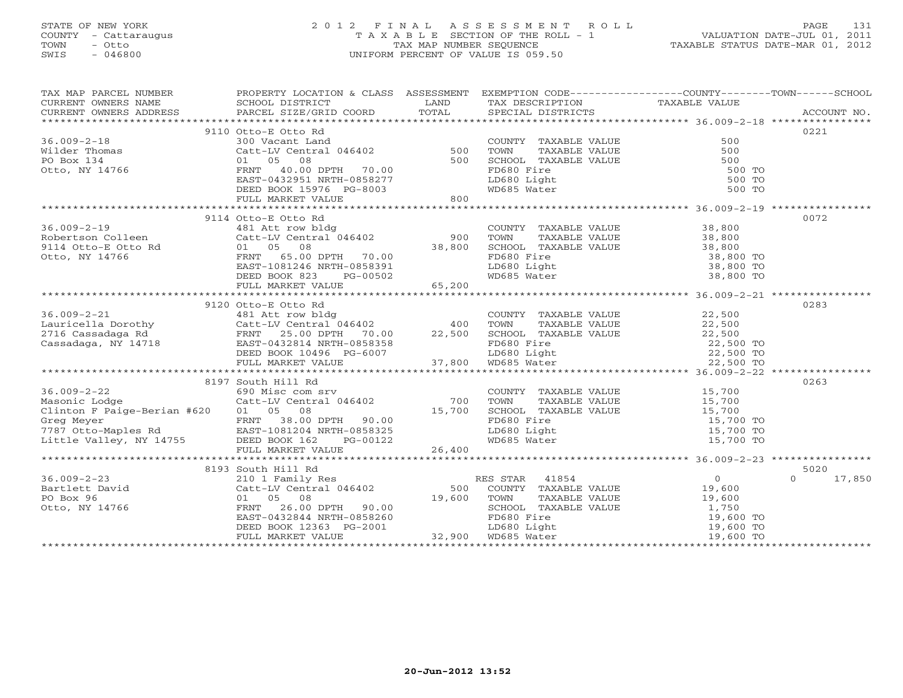# STATE OF NEW YORK 2 0 1 2 F I N A L A S S E S S M E N T R O L L PAGE 131 COUNTY - Cattaraugus T A X A B L E SECTION OF THE ROLL - 1 VALUATION DATE-JUL 01, 2011 TOWN - Otto TAX MAP NUMBER SEQUENCE TAXABLE STATUS DATE-MAR 01, 2012 SWIS - 046800 UNIFORM PERCENT OF VALUE IS 059.50UNIFORM PERCENT OF VALUE IS 059.50

| TAX MAP PARCEL NUMBER                                                                                                                                                                                                                                                                                                                                                                                                                                                                                                                                                                                                                 | PROPERTY LOCATION & CLASS ASSESSMENT EXEMPTION CODE----------------COUNTY-------TOWN------SCHOOL                                  |                                                                                                                        |                                                                                                                                                                                              |               |
|---------------------------------------------------------------------------------------------------------------------------------------------------------------------------------------------------------------------------------------------------------------------------------------------------------------------------------------------------------------------------------------------------------------------------------------------------------------------------------------------------------------------------------------------------------------------------------------------------------------------------------------|-----------------------------------------------------------------------------------------------------------------------------------|------------------------------------------------------------------------------------------------------------------------|----------------------------------------------------------------------------------------------------------------------------------------------------------------------------------------------|---------------|
| CURRENT OWNERS NAME SCHOOL DISTRICT CURRENT OWNERS NAME SCHOOL DISTRICT CURRENT OWNERS ADDRESS PARCEL SIZE/GRIL                                                                                                                                                                                                                                                                                                                                                                                                                                                                                                                       |                                                                                                                                   | <b>EXAMPLE SERVICE SERVICE SERVICE SERVICE SERVICE SERVICE SERVICE SERVICE SERVICE SERVICE SERVICE SERVICE SERVICE</b> | TAX DESCRIPTION TAXABLE VALUE SPECIAL DISTRICTS                                                                                                                                              |               |
| - CURRENT OWNERS TODERS TO BE STATE COORD TOTAL SPECIAL DISTRICTS ACCOUNT NO.<br>- TARCEL SIZE/GRID COORD TOTAL SPECIAL DISTRICTS ACCOUNT MO.                                                                                                                                                                                                                                                                                                                                                                                                                                                                                         |                                                                                                                                   |                                                                                                                        |                                                                                                                                                                                              |               |
|                                                                                                                                                                                                                                                                                                                                                                                                                                                                                                                                                                                                                                       | 9110 Otto-E Otto Rd                                                                                                               |                                                                                                                        |                                                                                                                                                                                              | 0221          |
| $36.009 - 2 - 18$                                                                                                                                                                                                                                                                                                                                                                                                                                                                                                                                                                                                                     | Otto-E Otto Rd<br>300 Vacant Land<br>Catt-LV Central 046402 500<br>01 05 08 500<br>FRNT 40.00 DPTH 70.00                          |                                                                                                                        |                                                                                                                                                                                              |               |
|                                                                                                                                                                                                                                                                                                                                                                                                                                                                                                                                                                                                                                       |                                                                                                                                   |                                                                                                                        |                                                                                                                                                                                              |               |
|                                                                                                                                                                                                                                                                                                                                                                                                                                                                                                                                                                                                                                       |                                                                                                                                   |                                                                                                                        |                                                                                                                                                                                              |               |
| Wilder Thomas<br>PO Box 134<br>Otto, NY 14766                                                                                                                                                                                                                                                                                                                                                                                                                                                                                                                                                                                         |                                                                                                                                   |                                                                                                                        |                                                                                                                                                                                              |               |
|                                                                                                                                                                                                                                                                                                                                                                                                                                                                                                                                                                                                                                       |                                                                                                                                   |                                                                                                                        |                                                                                                                                                                                              |               |
|                                                                                                                                                                                                                                                                                                                                                                                                                                                                                                                                                                                                                                       |                                                                                                                                   |                                                                                                                        |                                                                                                                                                                                              |               |
|                                                                                                                                                                                                                                                                                                                                                                                                                                                                                                                                                                                                                                       | EAST-0432951 NRTH-0858277<br>DEED BOOK 15976 PG-8003<br>FULL MARKET VALUE                                                         |                                                                                                                        |                                                                                                                                                                                              |               |
|                                                                                                                                                                                                                                                                                                                                                                                                                                                                                                                                                                                                                                       |                                                                                                                                   |                                                                                                                        |                                                                                                                                                                                              |               |
| $\begin{tabular}{lllllllllllll} 36.009-2-19 & 9114& {\tt Otto-E&otto~Rd} & \\ & & 481& {\tt Att~row~bldg} & \\ \text{Robertson Colleen} & & {\tt Get-LW~Central~046402} & 900 & \\ 9114& {\tt Otto-E& Otto~Rd} & 01& 05& 08 & & 38,800 \\ \text{Otto, NY~14766} & & & \text{FRNTI} & 65.00 DPTH & 70.00 & \\ & & & \text{EAST-1081246 NRTH-0858391} & \\ & & \text{DEED BOOK $                                                                                                                                                                                                                                                        | 9114 Otto-E Otto Rd                                                                                                               |                                                                                                                        |                                                                                                                                                                                              | 0072          |
|                                                                                                                                                                                                                                                                                                                                                                                                                                                                                                                                                                                                                                       |                                                                                                                                   |                                                                                                                        |                                                                                                                                                                                              |               |
|                                                                                                                                                                                                                                                                                                                                                                                                                                                                                                                                                                                                                                       |                                                                                                                                   |                                                                                                                        |                                                                                                                                                                                              |               |
|                                                                                                                                                                                                                                                                                                                                                                                                                                                                                                                                                                                                                                       |                                                                                                                                   |                                                                                                                        |                                                                                                                                                                                              |               |
|                                                                                                                                                                                                                                                                                                                                                                                                                                                                                                                                                                                                                                       |                                                                                                                                   |                                                                                                                        |                                                                                                                                                                                              |               |
|                                                                                                                                                                                                                                                                                                                                                                                                                                                                                                                                                                                                                                       |                                                                                                                                   |                                                                                                                        |                                                                                                                                                                                              |               |
|                                                                                                                                                                                                                                                                                                                                                                                                                                                                                                                                                                                                                                       |                                                                                                                                   |                                                                                                                        | COUNTY TAXABLE VALUE<br>TOWN TAXABLE VALUE<br>SCHOOL TAXABLE VALUE<br>SCHOOL TAXABLE VALUE<br>TD680 Fire<br>LD680 Light<br>LD685 Water<br>WD685 Water<br>S8,800 TO<br>38,800 TO<br>38,800 TO |               |
|                                                                                                                                                                                                                                                                                                                                                                                                                                                                                                                                                                                                                                       |                                                                                                                                   |                                                                                                                        |                                                                                                                                                                                              |               |
|                                                                                                                                                                                                                                                                                                                                                                                                                                                                                                                                                                                                                                       |                                                                                                                                   |                                                                                                                        |                                                                                                                                                                                              |               |
|                                                                                                                                                                                                                                                                                                                                                                                                                                                                                                                                                                                                                                       |                                                                                                                                   |                                                                                                                        |                                                                                                                                                                                              |               |
|                                                                                                                                                                                                                                                                                                                                                                                                                                                                                                                                                                                                                                       |                                                                                                                                   |                                                                                                                        |                                                                                                                                                                                              |               |
|                                                                                                                                                                                                                                                                                                                                                                                                                                                                                                                                                                                                                                       |                                                                                                                                   |                                                                                                                        |                                                                                                                                                                                              |               |
|                                                                                                                                                                                                                                                                                                                                                                                                                                                                                                                                                                                                                                       |                                                                                                                                   |                                                                                                                        |                                                                                                                                                                                              |               |
|                                                                                                                                                                                                                                                                                                                                                                                                                                                                                                                                                                                                                                       |                                                                                                                                   |                                                                                                                        |                                                                                                                                                                                              |               |
|                                                                                                                                                                                                                                                                                                                                                                                                                                                                                                                                                                                                                                       |                                                                                                                                   |                                                                                                                        |                                                                                                                                                                                              |               |
|                                                                                                                                                                                                                                                                                                                                                                                                                                                                                                                                                                                                                                       |                                                                                                                                   |                                                                                                                        |                                                                                                                                                                                              |               |
|                                                                                                                                                                                                                                                                                                                                                                                                                                                                                                                                                                                                                                       |                                                                                                                                   |                                                                                                                        | COUNTY TAXABLE VALUE<br>TOWN TAXABLE VALUE<br>SCHOOL TAXABLE VALUE<br>FD680 Fire<br>LD680 Light<br>WD685 Water<br>COUNTY 15,700 TO<br>TO 15,700 TO<br>TO 15,700 TO<br>15,700 TO              | 0263          |
|                                                                                                                                                                                                                                                                                                                                                                                                                                                                                                                                                                                                                                       |                                                                                                                                   |                                                                                                                        |                                                                                                                                                                                              |               |
|                                                                                                                                                                                                                                                                                                                                                                                                                                                                                                                                                                                                                                       |                                                                                                                                   |                                                                                                                        |                                                                                                                                                                                              |               |
|                                                                                                                                                                                                                                                                                                                                                                                                                                                                                                                                                                                                                                       |                                                                                                                                   |                                                                                                                        |                                                                                                                                                                                              |               |
|                                                                                                                                                                                                                                                                                                                                                                                                                                                                                                                                                                                                                                       |                                                                                                                                   |                                                                                                                        |                                                                                                                                                                                              |               |
|                                                                                                                                                                                                                                                                                                                                                                                                                                                                                                                                                                                                                                       |                                                                                                                                   |                                                                                                                        |                                                                                                                                                                                              |               |
|                                                                                                                                                                                                                                                                                                                                                                                                                                                                                                                                                                                                                                       |                                                                                                                                   |                                                                                                                        |                                                                                                                                                                                              |               |
| 690 Misc com srv<br>Catt-LV Central 046402 700<br>Clinton F Paige-Berian #620 01 05 08 15,700<br>Greg Meyer FRNT 38.00 DPTH 90.00 15,700<br>7787 Otto-Maples Rd EAST-1081204 IRTH-0858325<br>Little Valley, NY 14755 DEED BOOK 162 PG-00<br>$\begin{array}{r} 1707 \text{ OCCO-maples} \text{ Na} \\ 15700 \text{ TO} \\ 15700 \text{ TO} \\ 15700 \text{ TO} \\ 15700 \text{ TO} \\ 15700 \text{ TO} \\ 15700 \text{ TO} \\ 15700 \text{ TO} \\ 15700 \text{ TO} \\ 15700 \text{ TO} \\ 15700 \text{ TO} \\ 15700 \text{ TO} \\ 15700 \text{ TO} \\ 15700 \text{ TO} \\ 15700 \text{ TO} \\ 15700 \text{ TO} \\ 15700 \text{ TO} \\$ |                                                                                                                                   |                                                                                                                        |                                                                                                                                                                                              |               |
|                                                                                                                                                                                                                                                                                                                                                                                                                                                                                                                                                                                                                                       | 8193 South Hill Rd                                                                                                                |                                                                                                                        |                                                                                                                                                                                              | 5020          |
|                                                                                                                                                                                                                                                                                                                                                                                                                                                                                                                                                                                                                                       |                                                                                                                                   |                                                                                                                        | RES STAR 41854                                                                                                                                                                               | $0 \t 17,850$ |
| 36.009-2-23<br>Bartlett David<br>PO Box 96<br>Otto, NY 14766                                                                                                                                                                                                                                                                                                                                                                                                                                                                                                                                                                          | South Hill ka<br>210 1 Family Res<br>Catt-LV Central 046402 500<br>01 05 08 33.33 19,600                                          |                                                                                                                        | ES STAR 41854 0<br>COUNTY TAXABLE VALUE 19,600                                                                                                                                               |               |
|                                                                                                                                                                                                                                                                                                                                                                                                                                                                                                                                                                                                                                       |                                                                                                                                   |                                                                                                                        |                                                                                                                                                                                              |               |
|                                                                                                                                                                                                                                                                                                                                                                                                                                                                                                                                                                                                                                       |                                                                                                                                   |                                                                                                                        |                                                                                                                                                                                              |               |
|                                                                                                                                                                                                                                                                                                                                                                                                                                                                                                                                                                                                                                       |                                                                                                                                   |                                                                                                                        |                                                                                                                                                                                              |               |
|                                                                                                                                                                                                                                                                                                                                                                                                                                                                                                                                                                                                                                       | FRNT 26.00 DPTH 90.00<br>EAST-0432844 NRTH-0858260<br>DEED BOOK 12363 PG-2001 LD680 Light<br>FULL MARKET VALUE 32,900 WD685 Water |                                                                                                                        | TOWN TAXABLE VALUE<br>TOWN TAXABLE VALUE<br>SCHOOL TAXABLE VALUE<br>FD680 Fire<br>LD680 Light<br>MD685 Water<br>MD685 Water<br>19,600 TO<br>19,600 TO<br>19,600 TO<br>19,600 TO              |               |
|                                                                                                                                                                                                                                                                                                                                                                                                                                                                                                                                                                                                                                       |                                                                                                                                   |                                                                                                                        |                                                                                                                                                                                              |               |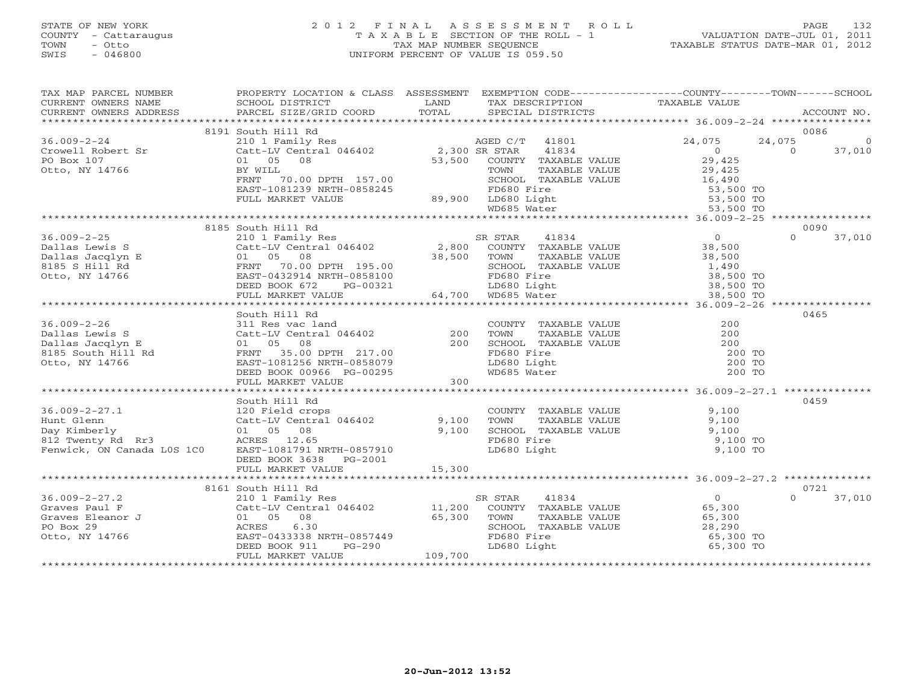## STATE OF NEW YORK 2 0 1 2 F I N A L A S S E S S M E N T R O L L PAGE 132 COUNTY - Cattaraugus T A X A B L E SECTION OF THE ROLL - 1 VALUATION DATE-JUL 01, 2011 TOWN - Otto TAX MAP NUMBER SEQUENCE TAXABLE STATUS DATE-MAR 01, 2012 SWIS - 046800 UNIFORM PERCENT OF VALUE IS 059.50UNIFORM PERCENT OF VALUE IS 059.50

| TAX MAP PARCEL NUMBER                                                                                                                                                                                                                                                                                                                                                             | PROPERTY LOCATION & CLASS ASSESSMENT EXEMPTION CODE---------------COUNTY-------TOWN------SCHOOL                                                                                                                                                                            |         |                                                                                                           |          |                |          |
|-----------------------------------------------------------------------------------------------------------------------------------------------------------------------------------------------------------------------------------------------------------------------------------------------------------------------------------------------------------------------------------|----------------------------------------------------------------------------------------------------------------------------------------------------------------------------------------------------------------------------------------------------------------------------|---------|-----------------------------------------------------------------------------------------------------------|----------|----------------|----------|
|                                                                                                                                                                                                                                                                                                                                                                                   |                                                                                                                                                                                                                                                                            |         |                                                                                                           |          |                |          |
|                                                                                                                                                                                                                                                                                                                                                                                   |                                                                                                                                                                                                                                                                            |         |                                                                                                           |          |                |          |
|                                                                                                                                                                                                                                                                                                                                                                                   |                                                                                                                                                                                                                                                                            |         |                                                                                                           |          | 0086           |          |
| $36.009 - 2 - 24$                                                                                                                                                                                                                                                                                                                                                                 | 8191 South Hill Rd<br>9, 10 1 Family Res<br>Catt-LV Central 046402<br>Catt-LV Central 046402<br>2,300 SR STAR 41834<br>29,425<br>ERNTLL TOM TAXABLE VALUE<br>FRNT 70.00 DPTH 157.00<br>TAXABLE VALUE<br>29,425<br>FRNT 70.00 DPTH 157.00<br>TOMN TAXABLE VALUE<br>SCHOOL T |         |                                                                                                           |          | 24,075         | $\Omega$ |
|                                                                                                                                                                                                                                                                                                                                                                                   |                                                                                                                                                                                                                                                                            |         |                                                                                                           |          | $\overline{0}$ | 37,010   |
| Crowell Robert Sr<br>PO Box 107                                                                                                                                                                                                                                                                                                                                                   |                                                                                                                                                                                                                                                                            |         |                                                                                                           |          |                |          |
|                                                                                                                                                                                                                                                                                                                                                                                   |                                                                                                                                                                                                                                                                            |         |                                                                                                           |          |                |          |
| Otto, NY 14766                                                                                                                                                                                                                                                                                                                                                                    |                                                                                                                                                                                                                                                                            |         |                                                                                                           |          |                |          |
|                                                                                                                                                                                                                                                                                                                                                                                   |                                                                                                                                                                                                                                                                            |         |                                                                                                           |          |                |          |
|                                                                                                                                                                                                                                                                                                                                                                                   |                                                                                                                                                                                                                                                                            |         |                                                                                                           |          |                |          |
|                                                                                                                                                                                                                                                                                                                                                                                   |                                                                                                                                                                                                                                                                            |         |                                                                                                           |          |                |          |
| 14766 BY WILL TOWN TAXABLE VALUE<br>ERNT 70.00 DPTH 157.00<br>EAST-1081239 NRTH-0858245 PROGOL TAXABLE VALUE 53,500 TO<br>FULL MARKET VALUE 89,900 LD680 Light 53,500 TO<br>FULL MARKET VALUE 89,900 LD680 Light 53,500 TO<br>FULL MARKE                                                                                                                                          |                                                                                                                                                                                                                                                                            |         |                                                                                                           |          |                |          |
|                                                                                                                                                                                                                                                                                                                                                                                   | 8185 South Hill Rd                                                                                                                                                                                                                                                         |         |                                                                                                           |          | 0090           |          |
|                                                                                                                                                                                                                                                                                                                                                                                   |                                                                                                                                                                                                                                                                            |         |                                                                                                           |          |                |          |
|                                                                                                                                                                                                                                                                                                                                                                                   |                                                                                                                                                                                                                                                                            |         |                                                                                                           |          |                |          |
|                                                                                                                                                                                                                                                                                                                                                                                   |                                                                                                                                                                                                                                                                            |         |                                                                                                           |          |                |          |
|                                                                                                                                                                                                                                                                                                                                                                                   |                                                                                                                                                                                                                                                                            |         |                                                                                                           |          |                |          |
|                                                                                                                                                                                                                                                                                                                                                                                   |                                                                                                                                                                                                                                                                            |         |                                                                                                           |          |                |          |
|                                                                                                                                                                                                                                                                                                                                                                                   |                                                                                                                                                                                                                                                                            |         |                                                                                                           |          |                |          |
|                                                                                                                                                                                                                                                                                                                                                                                   |                                                                                                                                                                                                                                                                            |         |                                                                                                           |          |                |          |
| $\begin{array}{cccccccc} 36.009-2-25 & 8185& 800th & H111~\text{R4} & 0& 0090\\ \text{Dallas Lewis S} & 2101~\text{Family Res} & 2,800& \text{COUNTY} & TAXABLE VALUE & 38,500 & 0& 37,010\\ \text{Dallas Lewis S} & 2101~\text{Family Res} & 2,800& \text{COUNTY} & TAXABLE VALUE & 38,500\\ \text{Dalls JacJup E} & 01& 05& 08& 38,500 & 37,010\\ \text{B185 S Hill Rd} & 01& $ |                                                                                                                                                                                                                                                                            |         |                                                                                                           |          |                |          |
|                                                                                                                                                                                                                                                                                                                                                                                   | South Hill Rd                                                                                                                                                                                                                                                              |         |                                                                                                           |          | 0465           |          |
|                                                                                                                                                                                                                                                                                                                                                                                   |                                                                                                                                                                                                                                                                            |         |                                                                                                           |          |                |          |
|                                                                                                                                                                                                                                                                                                                                                                                   |                                                                                                                                                                                                                                                                            |         |                                                                                                           |          |                |          |
|                                                                                                                                                                                                                                                                                                                                                                                   |                                                                                                                                                                                                                                                                            |         |                                                                                                           |          |                |          |
|                                                                                                                                                                                                                                                                                                                                                                                   |                                                                                                                                                                                                                                                                            |         |                                                                                                           | 200 TO   |                |          |
|                                                                                                                                                                                                                                                                                                                                                                                   |                                                                                                                                                                                                                                                                            |         |                                                                                                           | $200$ TO |                |          |
|                                                                                                                                                                                                                                                                                                                                                                                   |                                                                                                                                                                                                                                                                            |         |                                                                                                           | 200 TO   |                |          |
|                                                                                                                                                                                                                                                                                                                                                                                   |                                                                                                                                                                                                                                                                            |         |                                                                                                           |          |                |          |
|                                                                                                                                                                                                                                                                                                                                                                                   |                                                                                                                                                                                                                                                                            |         |                                                                                                           |          |                |          |
| 36.009-2-27.1<br>Hunt Glenn<br>Hunt Glenn<br>Day Kimberly<br>Day Kimberly<br>South Hill Rd<br>20 Field crops<br>COUNTY TAXABLE VALUE<br>9,100<br>20 Find 120 Field crops<br>20 Find 146402<br>20 9,100<br>20 9,100<br>20 9,100<br>20 9,100<br>20 9,100<br>20 9                                                                                                                    | South Hill Rd                                                                                                                                                                                                                                                              |         |                                                                                                           |          | 0459           |          |
|                                                                                                                                                                                                                                                                                                                                                                                   |                                                                                                                                                                                                                                                                            |         |                                                                                                           |          |                |          |
|                                                                                                                                                                                                                                                                                                                                                                                   |                                                                                                                                                                                                                                                                            |         |                                                                                                           |          |                |          |
|                                                                                                                                                                                                                                                                                                                                                                                   |                                                                                                                                                                                                                                                                            |         |                                                                                                           |          |                |          |
|                                                                                                                                                                                                                                                                                                                                                                                   |                                                                                                                                                                                                                                                                            |         |                                                                                                           |          |                |          |
|                                                                                                                                                                                                                                                                                                                                                                                   |                                                                                                                                                                                                                                                                            |         |                                                                                                           |          |                |          |
|                                                                                                                                                                                                                                                                                                                                                                                   | DEED BOOK 3638 PG-2001                                                                                                                                                                                                                                                     |         |                                                                                                           |          |                |          |
|                                                                                                                                                                                                                                                                                                                                                                                   |                                                                                                                                                                                                                                                                            |         |                                                                                                           |          |                |          |
|                                                                                                                                                                                                                                                                                                                                                                                   |                                                                                                                                                                                                                                                                            |         |                                                                                                           |          |                |          |
|                                                                                                                                                                                                                                                                                                                                                                                   | 8161 South Hill Rd                                                                                                                                                                                                                                                         |         |                                                                                                           |          | 0721           |          |
|                                                                                                                                                                                                                                                                                                                                                                                   |                                                                                                                                                                                                                                                                            |         |                                                                                                           |          | $\Omega$       | 37,010   |
| 36.009-2-27.2<br>Graves Paul F<br>Graves Eleanor J<br>For Detail of the Catt-LV Central 046402<br>For Box 29<br>PO Box 29<br>Otto, NY 14766<br>CACRES 65,300<br>PO Box 29<br>CACRES 65,300<br>EAST-043338 NRTH-0857449<br>FOR CHOOL TAXABLE VALUE<br>F                                                                                                                            |                                                                                                                                                                                                                                                                            |         |                                                                                                           |          |                |          |
|                                                                                                                                                                                                                                                                                                                                                                                   |                                                                                                                                                                                                                                                                            |         |                                                                                                           |          |                |          |
|                                                                                                                                                                                                                                                                                                                                                                                   |                                                                                                                                                                                                                                                                            |         |                                                                                                           |          |                |          |
|                                                                                                                                                                                                                                                                                                                                                                                   | 01 05 08 65,300 TOWN<br>ACRES 6.30 65,300 TOWN<br>EAST-0433338 NRTH-0857449 FD680<br>DEED BOOK 911 PG-290 LD680                                                                                                                                                            |         |                                                                                                           |          |                |          |
|                                                                                                                                                                                                                                                                                                                                                                                   |                                                                                                                                                                                                                                                                            | 109,700 | TOWN TAXABLE VALUE 65,300<br>SCHOOL TAXABLE VALUE 65,300<br>FD680 Fire 65,300 TO<br>LD680 Light 65,300 TO |          |                |          |
|                                                                                                                                                                                                                                                                                                                                                                                   | FULL MARKET VALUE                                                                                                                                                                                                                                                          |         |                                                                                                           |          |                |          |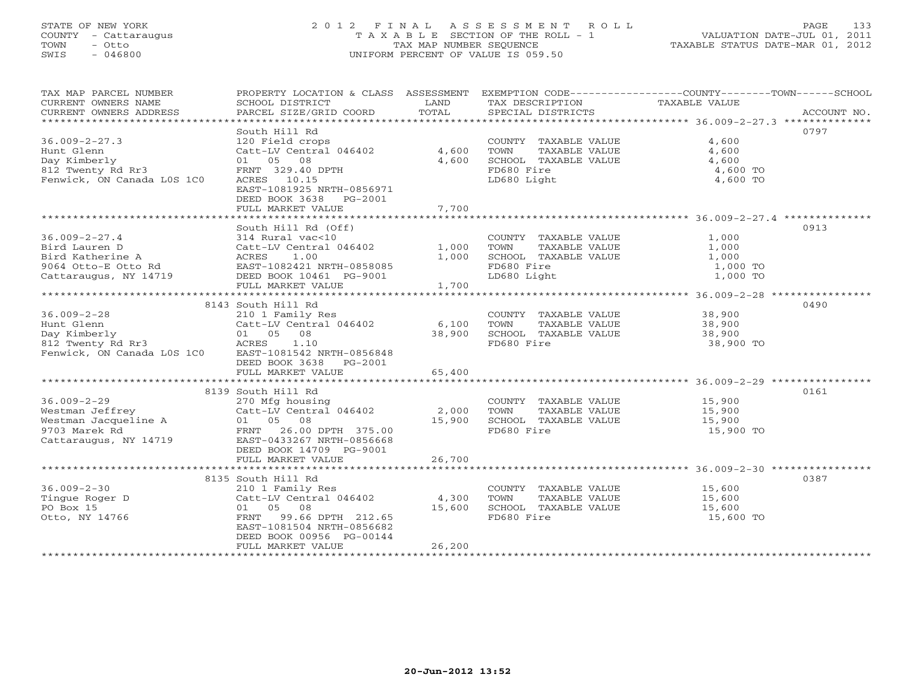# STATE OF NEW YORK 2 0 1 2 F I N A L A S S E S S M E N T R O L L PAGE 133 COUNTY - Cattaraugus T A X A B L E SECTION OF THE ROLL - 1 VALUATION DATE-JUL 01, 2011 TOWN - Otto TAX MAP NUMBER SEQUENCE TAXABLE STATUS DATE-MAR 01, 2012 SWIS - 046800 UNIFORM PERCENT OF VALUE IS 059.50UNIFORM PERCENT OF VALUE IS 059.50

| TAX MAP PARCEL NUMBER<br>CURRENT OWNERS NAME<br>CURRENT OWNERS ADDRESS                                   | PROPERTY LOCATION & CLASS ASSESSMENT<br>SCHOOL DISTRICT<br>PARCEL SIZE/GRID COORD                                                                                                        | LAND<br>TOTAL             | TAX DESCRIPTION<br>SPECIAL DISTRICTS                                                               | EXEMPTION CODE-----------------COUNTY-------TOWN------SCHOOL<br>TAXABLE VALUE<br>ACCOUNT NO. |
|----------------------------------------------------------------------------------------------------------|------------------------------------------------------------------------------------------------------------------------------------------------------------------------------------------|---------------------------|----------------------------------------------------------------------------------------------------|----------------------------------------------------------------------------------------------|
| $36.009 - 2 - 27.3$<br>Hunt Glenn<br>Day Kimberly<br>812 Twenty Rd Rr3<br>Fenwick, ON Canada LOS 1CO     | South Hill Rd<br>120 Field crops<br>Catt-LV Central 046402<br>01 05 08<br>FRNT 329.40 DPTH<br>ACRES 10.15<br>EAST-1081925 NRTH-0856971<br>DEED BOOK 3638<br>PG-2001<br>FULL MARKET VALUE | 4,600<br>4,600<br>7,700   | COUNTY TAXABLE VALUE<br>TOWN<br>TAXABLE VALUE<br>SCHOOL TAXABLE VALUE<br>FD680 Fire<br>LD680 Light | 0797<br>4,600<br>4,600<br>4,600<br>4,600 TO<br>4,600 TO                                      |
| ************************                                                                                 |                                                                                                                                                                                          |                           |                                                                                                    | *********************************** 36.009-2-27.4 ***************                            |
| $36.009 - 2 - 27.4$<br>Bird Lauren D<br>Bird Katherine A<br>9064 Otto-E Otto Rd<br>Cattaraugus, NY 14719 | South Hill Rd (Off)<br>314 Rural vac<10<br>Catt-LV Central 046402<br>1.00<br>ACRES<br>EAST-1082421 NRTH-0858085<br>DEED BOOK 10461 PG-9001<br>FULL MARKET VALUE                          | 1,000<br>1,000<br>1,700   | COUNTY TAXABLE VALUE<br>TOWN<br>TAXABLE VALUE<br>SCHOOL TAXABLE VALUE<br>FD680 Fire<br>LD680 Light | 0913<br>1,000<br>1,000<br>1,000<br>1,000 TO<br>1,000 TO                                      |
|                                                                                                          | 8143 South Hill Rd                                                                                                                                                                       |                           |                                                                                                    | 0490                                                                                         |
| $36.009 - 2 - 28$<br>Hunt Glenn<br>Day Kimberly<br>812 Twenty Rd Rr3<br>Fenwick, ON Canada LOS 1CO       | 210 1 Family Res<br>Catt-LV Central 046402<br>01 05<br>08<br>1.10<br>ACRES<br>EAST-1081542 NRTH-0856848<br>DEED BOOK 3638<br>PG-2001                                                     | 6,100<br>38,900           | COUNTY TAXABLE VALUE<br>TOWN<br>TAXABLE VALUE<br>SCHOOL TAXABLE VALUE<br>FD680 Fire                | 38,900<br>38,900<br>38,900<br>38,900 TO                                                      |
|                                                                                                          | FULL MARKET VALUE                                                                                                                                                                        | 65,400                    |                                                                                                    |                                                                                              |
| $36.009 - 2 - 29$<br>Westman Jeffrey                                                                     | 8139 South Hill Rd<br>270 Mfg housing<br>Catt-LV Central 046402                                                                                                                          | 2,000                     | COUNTY TAXABLE VALUE<br>TOWN<br>TAXABLE VALUE                                                      | 0161<br>15,900<br>15,900                                                                     |
| Westman Jacqueline A<br>9703 Marek Rd<br>Cattaraugus, NY 14719                                           | 01 05 08<br>FRNT 26.00 DPTH 375.00<br>EAST-0433267 NRTH-0856668<br>DEED BOOK 14709 PG-9001                                                                                               | 15,900                    | SCHOOL TAXABLE VALUE<br>FD680 Fire                                                                 | 15,900<br>15,900 TO                                                                          |
|                                                                                                          | FULL MARKET VALUE                                                                                                                                                                        | 26,700                    |                                                                                                    |                                                                                              |
| $36.009 - 2 - 30$<br>Tingue Roger D<br>PO Box 15<br>Otto, NY 14766                                       | 8135 South Hill Rd<br>210 1 Family Res<br>Catt-LV Central 046402<br>01 05 08<br>99.66 DPTH 212.65<br>FRNT<br>EAST-1081504 NRTH-0856682<br>DEED BOOK 00956 PG-00144<br>FULL MARKET VALUE  | 4,300<br>15,600<br>26,200 | COUNTY TAXABLE VALUE<br>TOWN<br>TAXABLE VALUE<br>SCHOOL TAXABLE VALUE<br>FD680 Fire                | 0387<br>15,600<br>15,600<br>15,600<br>15,600 TO                                              |
|                                                                                                          |                                                                                                                                                                                          |                           |                                                                                                    |                                                                                              |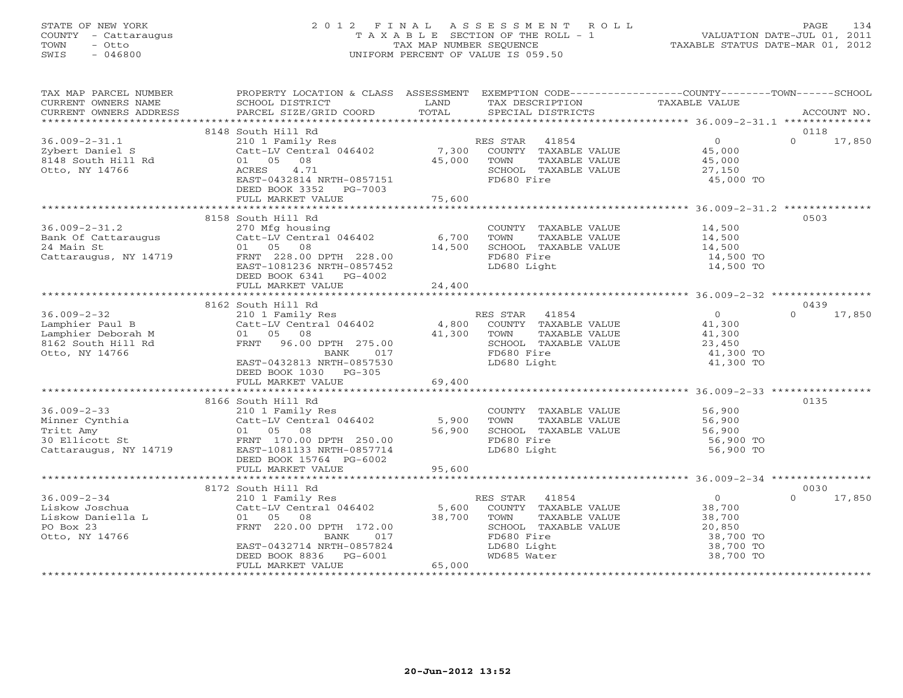### STATE OF NEW YORK 2 0 1 2 F I N A L A S S E S S M E N T R O L L PAGE 134 COUNTY - Cattaraugus T A X A B L E SECTION OF THE ROLL - 1 VALUATION DATE-JUL 01, 2011 TOWN - Otto TAX MAP NUMBER SEQUENCE TAXABLE STATUS DATE-MAR 01, 2012 SWIS - 046800 UNIFORM PERCENT OF VALUE IS 059.50UNIFORM PERCENT OF VALUE IS 059.50

| TAX MAP PARCEL NUMBER                                                                                  | PROPERTY LOCATION & CLASS ASSESSMENT EXEMPTION CODE---------------COUNTY-------TOWN------SCHOOL<br>TA PIAN DESCRIPTION AND TRIX DESCRIPTION TAXABLE VALUE<br>CURRENT OWNERS NAME SCHOOL DISTRICT DAND TAX DESCRIPTION TAXABLE VALUE<br>CURRENT OWNERS ADDRESS PARCEL SIZE/GRID COORD TOTAL SPECIAL DISTRICTS ACCOUNT NO.<br>************** |        |                                                                                                                                                 |                                                                                                                                                                                                               |                  |
|--------------------------------------------------------------------------------------------------------|--------------------------------------------------------------------------------------------------------------------------------------------------------------------------------------------------------------------------------------------------------------------------------------------------------------------------------------------|--------|-------------------------------------------------------------------------------------------------------------------------------------------------|---------------------------------------------------------------------------------------------------------------------------------------------------------------------------------------------------------------|------------------|
|                                                                                                        |                                                                                                                                                                                                                                                                                                                                            |        |                                                                                                                                                 |                                                                                                                                                                                                               |                  |
|                                                                                                        | 8148 South Hill Rd                                                                                                                                                                                                                                                                                                                         |        |                                                                                                                                                 |                                                                                                                                                                                                               | 0118             |
| $36.009 - 2 - 31.1$<br>Zybert Daniel S<br>8148 South Hill Rd<br>Otto, NY 14766                         | ACRES 4.71<br>EAST-0432814 NRTH-0857151<br>DEED BOOK 3352 PG-7003                                                                                                                                                                                                                                                                          |        | SCHOOL TAXABLE VALUE<br>FD680 Fire                                                                                                              | 27,150<br>45,000 TO                                                                                                                                                                                           | $\cap$<br>17,850 |
|                                                                                                        |                                                                                                                                                                                                                                                                                                                                            |        |                                                                                                                                                 |                                                                                                                                                                                                               |                  |
|                                                                                                        |                                                                                                                                                                                                                                                                                                                                            |        |                                                                                                                                                 |                                                                                                                                                                                                               |                  |
|                                                                                                        | 8158 South Hill Rd<br>36.009-2-31.2<br>Bank Of Cattaraugus Catt-LV Central 046402 6,700<br>24 Main St 01 05 08 14,500<br>Cattaraugus, NY 14719 FRNT 228.00 DPTH 228.00 14,500<br>DEED BOOK 6341 PG-4002<br>FULL MARKET VALUE                                                                                                               | 24,400 | COUNTY TAXABLE VALUE 14,500<br>TOWN TAXABLE VALUE<br>SCHOOL TAXABLE VALUE 14,500<br>FD680 Fire 14,500<br>LD680 Light 14,500<br>14,500<br>14,500 | 14,500 TO<br>14,500 TO                                                                                                                                                                                        | 0503             |
|                                                                                                        |                                                                                                                                                                                                                                                                                                                                            |        |                                                                                                                                                 |                                                                                                                                                                                                               |                  |
|                                                                                                        |                                                                                                                                                                                                                                                                                                                                            |        |                                                                                                                                                 |                                                                                                                                                                                                               | 0439             |
|                                                                                                        | EAST-0432813 NRTH-0857530<br>DEED BOOK 1030 PG-305                                                                                                                                                                                                                                                                                         |        | LD680 Light                                                                                                                                     | 41,300 TO<br>41,300 TO                                                                                                                                                                                        | $\cap$<br>17,850 |
|                                                                                                        |                                                                                                                                                                                                                                                                                                                                            |        |                                                                                                                                                 |                                                                                                                                                                                                               |                  |
|                                                                                                        | 8166 South Hill Rd<br>36.009-2-33<br>Minner Cynthia Catt-LV Central 046402 5,900<br>Tritt Amy 01 05 08 56,900<br>Cattaraugus, NY 14719 EAST-1081133 NRTH-0857714<br>DEED BOOK 15764 PG-6002                                                                                                                                                |        | COUNTY TAXABLE VALUE<br>TOWN TAXABLE VALUE 56,900<br>SCHOOL TAXABLE VALUE 56,900<br>FD680 Fire 56,900<br>LD680 Light 56,900<br>56,900           | 56,900 TO<br>56,900 TO                                                                                                                                                                                        | 0135             |
|                                                                                                        |                                                                                                                                                                                                                                                                                                                                            |        |                                                                                                                                                 |                                                                                                                                                                                                               |                  |
|                                                                                                        | 8172 South Hill Rd                                                                                                                                                                                                                                                                                                                         |        |                                                                                                                                                 |                                                                                                                                                                                                               | 0030             |
| $36.009 - 2 - 34$<br>36.009-2-34<br>Liskow Joschua<br>Liskow Daniella L<br>PO Box 23<br>Otto, NY 14766 | South Hill Rd<br>210 1 Family Res<br>Catt-LV Central 046402 5,600 COUNTY TAXABLE VALUE 38,700<br>01 05 08 38,700 TOWN TAXABLE VALUE 38,700<br>FRNT 220.00 DPTH 172.00 38,700 SCHOOL TAXABLE VALUE 20,850<br>FRNT 220.00 DPTH 172.00 38,7<br>BANK 017<br>EAST-0432714 NRTH-0857824<br>DEED BOOK 8836 PG-6001<br>FULL MARKET VALUE           | 65,000 | FD680 Fire<br>LD680 Light<br>WD685 Water                                                                                                        | $\begin{tabular}{lllllllll} TAXABLE & value\_\\ \hline TAXABLE & VALUE & & & & & & & & & \\ \hline & - & - & 1 & 1 & 20, 850 \\ & & 38, 70 & & & & & \\ \end{tabular}$<br>38,700 TO<br>38,700 TO<br>38,700 TO | $\cap$<br>17,850 |
|                                                                                                        |                                                                                                                                                                                                                                                                                                                                            |        |                                                                                                                                                 |                                                                                                                                                                                                               |                  |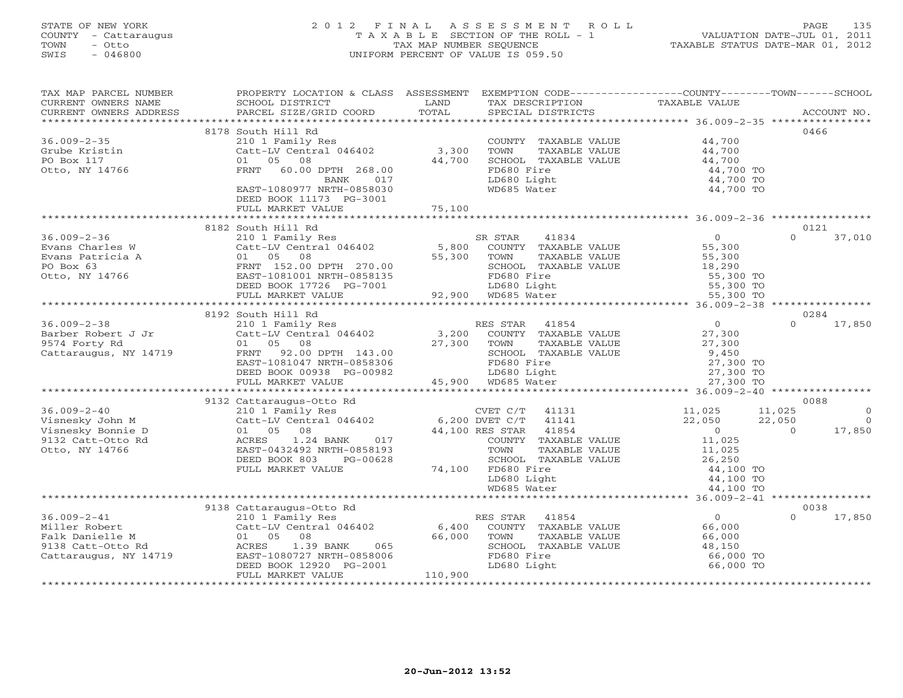# STATE OF NEW YORK 2 0 1 2 F I N A L A S S E S S M E N T R O L L PAGE 135 COUNTY - Cattaraugus T A X A B L E SECTION OF THE ROLL - 1 VALUATION DATE-JUL 01, 2011 TOWN - Otto TAX MAP NUMBER SEQUENCE TAXABLE STATUS DATE-MAR 01, 2012 SWIS - 046800 UNIFORM PERCENT OF VALUE IS 059.50UNIFORM PERCENT OF VALUE IS 059.50

| TAX MAP PARCEL NUMBER<br>CURRENT OWNERS NAME | PROPERTY LOCATION & CLASS ASSESSMENT EXEMPTION CODE---------------COUNTY-------TOWN------SCHOOL<br>SCHOOL DISTRICT | LAND           | TAX DESCRIPTION              | TAXABLE VALUE  |                          |
|----------------------------------------------|--------------------------------------------------------------------------------------------------------------------|----------------|------------------------------|----------------|--------------------------|
| CURRENT OWNERS ADDRESS                       | PARCEL SIZE/GRID COORD                                                                                             | TOTAL          | SPECIAL DISTRICTS            |                | ACCOUNT NO.              |
|                                              |                                                                                                                    |                |                              |                | 0466                     |
|                                              | 8178 South Hill Rd                                                                                                 |                |                              |                |                          |
| $36.009 - 2 - 35$                            | 210 1 Family Res                                                                                                   |                | COUNTY TAXABLE VALUE<br>TOWN | 44,700         |                          |
| Grube Kristin                                | Catt-LV Central 046402                                                                                             | 3,300          | TAXABLE VALUE                | 44,700         |                          |
| PO Box 117                                   | 01<br>05 08                                                                                                        | 44,700         | SCHOOL TAXABLE VALUE         | 44,700         |                          |
| Otto, NY 14766                               | FRNT 60.00 DPTH 268.00                                                                                             |                | FD680 Fire                   | 44,700 TO      |                          |
|                                              | BANK<br>017                                                                                                        |                | LD680 Light                  | 44,700 TO      |                          |
|                                              | EAST-1080977 NRTH-0858030                                                                                          |                | WD685 Water                  | 44,700 TO      |                          |
|                                              | DEED BOOK 11173 PG-3001                                                                                            |                |                              |                |                          |
|                                              | FULL MARKET VALUE                                                                                                  | 75,100         |                              |                |                          |
|                                              |                                                                                                                    |                |                              |                | 0121                     |
|                                              | 8182 South Hill Rd                                                                                                 |                |                              |                | $\Omega$                 |
| $36.009 - 2 - 36$                            | 210 1 Family Res                                                                                                   |                | SR STAR<br>41834             | $\overline{0}$ | 37,010                   |
| Evans Charles W                              | Catt-LV Central 046402                                                                                             | 5,800          | COUNTY TAXABLE VALUE         | 55,300         |                          |
| Evans Patricia A                             | 01 05 08                                                                                                           | 55,300         | TOWN<br>TAXABLE VALUE        | 55,300         |                          |
| PO Box 63                                    | FRNT 152.00 DPTH 270.00                                                                                            |                | SCHOOL TAXABLE VALUE         | 18,290         |                          |
| Otto, NY 14766                               | EAST-1081001 NRTH-0858135                                                                                          |                | FD680 Fire                   | 55,300 TO      |                          |
|                                              | DEED BOOK 17726 PG-7001                                                                                            |                | LD680 Light                  | 55,300 TO      |                          |
|                                              | FULL MARKET VALUE<br>****************************                                                                  |                | 92,900 WD685 Water           | 55,300 TO      |                          |
|                                              |                                                                                                                    |                |                              |                |                          |
|                                              | 8192 South Hill Rd                                                                                                 |                |                              |                | 0284                     |
| $36.009 - 2 - 38$                            | 210 1 Family Res                                                                                                   |                | RES STAR 41854               | $\overline{0}$ | $\cap$<br>17,850         |
| Barber Robert J Jr<br>9574 Forty Rd          | Catt-LV Central 046402                                                                                             | 3,200          | COUNTY TAXABLE VALUE         | 27,300         |                          |
| 9574 Forty Rd                                | 01 05 08                                                                                                           | 27,300         | TOWN<br>TAXABLE VALUE        | 27,300         |                          |
| Cattaraugus, NY 14719                        | FRNT 92.00 DPTH 143.00                                                                                             |                | SCHOOL TAXABLE VALUE         | 9,450          |                          |
|                                              | EAST-1081047 NRTH-0858306                                                                                          |                | FD680 Fire                   | 27,300 TO      |                          |
|                                              | DEED BOOK 00938 PG-00982                                                                                           |                | LD680 Light                  | 27,300 TO      |                          |
|                                              | FULL MARKET VALUE                                                                                                  |                | 45,900 WD685 Water           | 27,300 TO      |                          |
|                                              |                                                                                                                    |                |                              |                |                          |
|                                              | 9132 Cattaraugus-Otto Rd                                                                                           |                |                              |                | 0088                     |
| $36.009 - 2 - 40$                            | 210 1 Family Res                                                                                                   |                | CVET $C/T$ 41131             | 11,025         | 11,025<br>$\overline{0}$ |
| Visnesky John M                              | Catt-LV Central 046402                                                                                             | 6,200 DVET C/T | 41141                        | 22,050         | 22,050<br>$\overline{0}$ |
| Visnesky Bonnie D                            | 01 05<br>08                                                                                                        |                | 41854<br>44,100 RES STAR     | $\overline{0}$ | 17,850<br>$\Omega$       |
| 9132 Catt-Otto Rd                            | ACRES<br>1.24 BANK<br>017                                                                                          |                | COUNTY TAXABLE VALUE         | 11,025         |                          |
| Otto, NY 14766                               | EAST-0432492 NRTH-0858193                                                                                          |                | TAXABLE VALUE<br>TOWN        | 11,025         |                          |
|                                              | DEED BOOK 803<br>PG-00628                                                                                          |                | SCHOOL TAXABLE VALUE         | 26,250         |                          |
|                                              | FULL MARKET VALUE                                                                                                  | 74,100         | FD680 Fire                   | 44,100 TO      |                          |
|                                              |                                                                                                                    |                | LD680 Light                  | 44,100 TO      |                          |
|                                              |                                                                                                                    |                | WD685 Water                  | 44,100 TO      |                          |
|                                              |                                                                                                                    |                |                              |                |                          |
|                                              | 9138 Cattaraugus-Otto Rd                                                                                           |                |                              |                | 0038                     |
| $36.009 - 2 - 41$                            | 210 1 Family Res                                                                                                   |                | 41854<br>RES STAR            | $\overline{0}$ | $\Omega$<br>17,850       |
| Miller Robert                                | Catt-LV Central 046402                                                                                             | 6,400          | COUNTY TAXABLE VALUE         | 66,000         |                          |
| Falk Danielle M                              | 01 05<br>08                                                                                                        | 66,000         | TOWN<br>TAXABLE VALUE        | 66,000         |                          |
| 9138 Catt-Otto Rd                            | ACRES<br>1.39 BANK<br>065                                                                                          |                | SCHOOL TAXABLE VALUE         | 48,150         |                          |
| Cattaraugus, NY 14719                        | EAST-1080727 NRTH-0858006                                                                                          |                | FD680 Fire                   | 66,000 TO      |                          |
|                                              | DEED BOOK 12920 PG-2001                                                                                            |                | LD680 Light                  | 66,000 TO      |                          |
|                                              | FULL MARKET VALUE                                                                                                  | 110,900        |                              |                |                          |
|                                              |                                                                                                                    |                |                              |                |                          |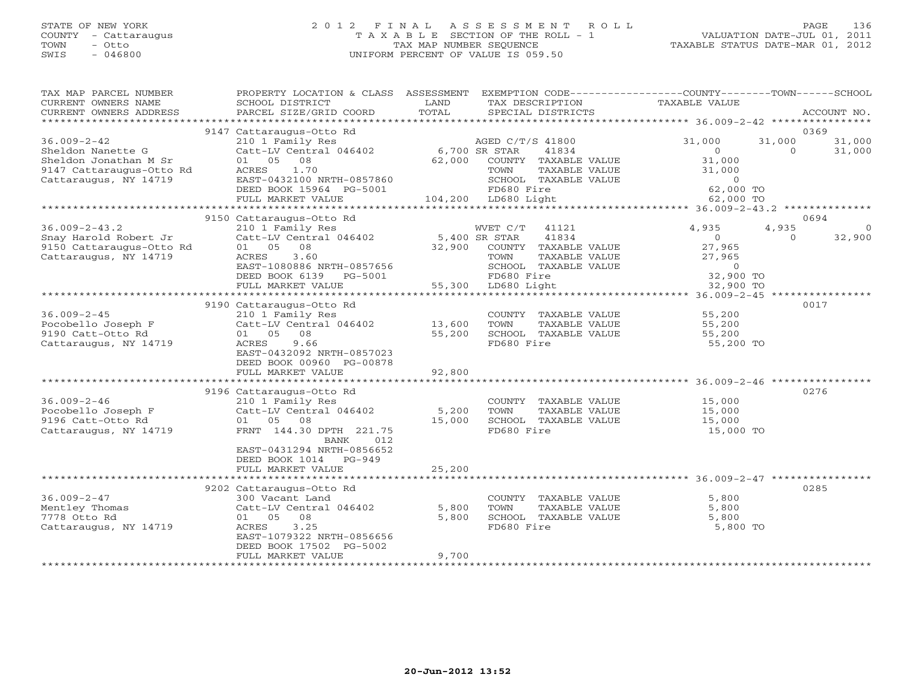# STATE OF NEW YORK 2 0 1 2 F I N A L A S S E S S M E N T R O L L PAGE 136 COUNTY - Cattaraugus T A X A B L E SECTION OF THE ROLL - 1 VALUATION DATE-JUL 01, 2011 TOWN - Otto TAX MAP NUMBER SEQUENCE TAXABLE STATUS DATE-MAR 01, 2012 SWIS - 046800 UNIFORM PERCENT OF VALUE IS 059.50UNIFORM PERCENT OF VALUE IS 059.50

| TAX MAP PARCEL NUMBER<br>CURRENT OWNERS NAME<br>CURRENT OWNERS ADDRESS                                                            | PROPERTY LOCATION & CLASS ASSESSMENT EXEMPTION CODE---------------COUNTY-------TOWN------SCHOOL<br>SCHOOL DISTRICT<br>PARCEL SIZE/GRID COORD | LAND<br>TOTAL | TAX DESCRIPTION<br>SPECIAL DISTRICTS                                                                                                                                                                                                                                                                                                                                                                                                                   | TAXABLE VALUE                                                     |          | ACCOUNT NO.    |
|-----------------------------------------------------------------------------------------------------------------------------------|----------------------------------------------------------------------------------------------------------------------------------------------|---------------|--------------------------------------------------------------------------------------------------------------------------------------------------------------------------------------------------------------------------------------------------------------------------------------------------------------------------------------------------------------------------------------------------------------------------------------------------------|-------------------------------------------------------------------|----------|----------------|
|                                                                                                                                   |                                                                                                                                              |               |                                                                                                                                                                                                                                                                                                                                                                                                                                                        |                                                                   |          |                |
| $36.009 - 2 - 42$                                                                                                                 | 9147 Cattaraugus-Otto Rd<br>210 1 Family Res                                                                                                 |               | AGED C/T/S 41800                                                                                                                                                                                                                                                                                                                                                                                                                                       | 31,000                                                            | 31,000   | 0369<br>31,000 |
| Sheldon Nanette G<br>Sheldon Jonathan M Sr<br>Sheldon Jonathan $\frac{1}{2}$<br>9147 Cattaraugus-Otto Rd<br>Cattaraugus, NY 14719 | Catt-LV Central 046402 6,700 SR STAR<br>01 05 08<br>ACRES<br>1.70<br>EAST-0432100 NRTH-0857860<br>DEED BOOK 15964 PG-5001                    |               | 41834<br>$62,000$ $\overline{3}$ $\overline{1}$ $\overline{1}$ $\overline{1}$ $\overline{1}$ $\overline{1}$ $\overline{1}$ $\overline{1}$ $\overline{1}$ $\overline{1}$ $\overline{1}$ $\overline{1}$ $\overline{1}$ $\overline{1}$ $\overline{1}$ $\overline{1}$ $\overline{1}$ $\overline{1}$ $\overline{1}$ $\overline{1}$ $\overline{1}$ $\overline{1}$ $\overline{1}$ $\overline{$<br>TAXABLE VALUE<br>TOWN<br>SCHOOL TAXABLE VALUE<br>FD680 Fire | $\overline{0}$<br>31,000<br>31,000<br>$\overline{0}$<br>62,000 TO | $\Omega$ | 31,000         |
|                                                                                                                                   | FULL MARKET VALUE                                                                                                                            |               | $104,200$ LD680 Light                                                                                                                                                                                                                                                                                                                                                                                                                                  | 62,000 TO                                                         |          |                |
|                                                                                                                                   |                                                                                                                                              |               |                                                                                                                                                                                                                                                                                                                                                                                                                                                        |                                                                   |          |                |
|                                                                                                                                   | 9150 Cattaraugus-Otto Rd                                                                                                                     |               |                                                                                                                                                                                                                                                                                                                                                                                                                                                        |                                                                   |          | 0694           |
| $36.009 - 2 - 43.2$                                                                                                               | 210 1 Family Res                                                                                                                             |               | WVET C/T<br>41121                                                                                                                                                                                                                                                                                                                                                                                                                                      | 4,935                                                             | 4,935    | $\Omega$       |
| Snay Harold Robert Jr<br>9150 Cattaraugus-Otto Rd                                                                                 | 01 05 08                                                                                                                                     |               | 41834                                                                                                                                                                                                                                                                                                                                                                                                                                                  | $\overline{0}$<br>27,965                                          | $\Omega$ | 32,900         |
| Cattaraugus, NY 14719                                                                                                             | 3.60<br>ACRES                                                                                                                                |               | 32,900 COUNTY TAXABLE VALUE<br>TOWN<br>TAXABLE VALUE<br>TAXABLE VALUE<br>TARE VALUE                                                                                                                                                                                                                                                                                                                                                                    |                                                                   |          |                |
|                                                                                                                                   |                                                                                                                                              |               | SCHOOL TAXABLE VALUE                                                                                                                                                                                                                                                                                                                                                                                                                                   | 27,965<br>$\overline{0}$                                          |          |                |
|                                                                                                                                   | EAST-1080886 NRTH-0857656<br>DEED BOOK 6139 PG-5001                                                                                          |               | FD680 Fire                                                                                                                                                                                                                                                                                                                                                                                                                                             | 32,900 TO                                                         |          |                |
|                                                                                                                                   | FULL MARKET VALUE                                                                                                                            |               | 55,300 LD680 Light                                                                                                                                                                                                                                                                                                                                                                                                                                     | 32,900 TO                                                         |          |                |
|                                                                                                                                   |                                                                                                                                              |               |                                                                                                                                                                                                                                                                                                                                                                                                                                                        |                                                                   |          |                |
|                                                                                                                                   | 9190 Cattaraugus-Otto Rd                                                                                                                     |               |                                                                                                                                                                                                                                                                                                                                                                                                                                                        |                                                                   |          | 0017           |
| $36.009 - 2 - 45$                                                                                                                 | 210 1 Family Res                                                                                                                             |               | COUNTY TAXABLE VALUE                                                                                                                                                                                                                                                                                                                                                                                                                                   | 55,200                                                            |          |                |
| Pocobello Joseph F                                                                                                                | Catt-LV Central 046402 13,600                                                                                                                |               | TOWN<br>TAXABLE VALUE                                                                                                                                                                                                                                                                                                                                                                                                                                  | 55,200                                                            |          |                |
| 9190 Catt-Otto Rd                                                                                                                 | 01 05 08                                                                                                                                     | 55,200        | SCHOOL TAXABLE VALUE                                                                                                                                                                                                                                                                                                                                                                                                                                   | 55,200                                                            |          |                |
| Cattaraugus, NY 14719                                                                                                             | ACRES<br>9.66                                                                                                                                |               | FD680 Fire                                                                                                                                                                                                                                                                                                                                                                                                                                             | 55,200 TO                                                         |          |                |
|                                                                                                                                   | EAST-0432092 NRTH-0857023                                                                                                                    |               |                                                                                                                                                                                                                                                                                                                                                                                                                                                        |                                                                   |          |                |
|                                                                                                                                   | DEED BOOK 00960 PG-00878                                                                                                                     |               |                                                                                                                                                                                                                                                                                                                                                                                                                                                        |                                                                   |          |                |
|                                                                                                                                   | FULL MARKET VALUE                                                                                                                            | 92,800        |                                                                                                                                                                                                                                                                                                                                                                                                                                                        |                                                                   |          |                |
|                                                                                                                                   |                                                                                                                                              |               |                                                                                                                                                                                                                                                                                                                                                                                                                                                        |                                                                   |          |                |
|                                                                                                                                   | 9196 Cattaraugus-Otto Rd                                                                                                                     |               |                                                                                                                                                                                                                                                                                                                                                                                                                                                        |                                                                   |          | 0276           |
| $36.009 - 2 - 46$                                                                                                                 | 210 1 Family Res<br>$Cat-LV$ Central $046402$ 5,200                                                                                          |               | COUNTY TAXABLE VALUE                                                                                                                                                                                                                                                                                                                                                                                                                                   | 15,000<br>15,000                                                  |          |                |
| Pocobello Joseph F<br>$9196$ Catt-Otto Rd                                                                                         | 01 05 08                                                                                                                                     | 15,000        | TOWN<br>TAXABLE VALUE<br>SCHOOL TAXABLE VALUE                                                                                                                                                                                                                                                                                                                                                                                                          |                                                                   |          |                |
| Cattaraugus, NY 14719                                                                                                             | FRNT 144.30 DPTH 221.75                                                                                                                      |               | FD680 Fire                                                                                                                                                                                                                                                                                                                                                                                                                                             | 15,000<br>15,000 TO                                               |          |                |
|                                                                                                                                   | BANK<br>012                                                                                                                                  |               |                                                                                                                                                                                                                                                                                                                                                                                                                                                        |                                                                   |          |                |
|                                                                                                                                   | EAST-0431294 NRTH-0856652                                                                                                                    |               |                                                                                                                                                                                                                                                                                                                                                                                                                                                        |                                                                   |          |                |
|                                                                                                                                   | DEED BOOK 1014 PG-949                                                                                                                        |               |                                                                                                                                                                                                                                                                                                                                                                                                                                                        |                                                                   |          |                |
|                                                                                                                                   | FULL MARKET VALUE                                                                                                                            | 25,200        |                                                                                                                                                                                                                                                                                                                                                                                                                                                        |                                                                   |          |                |
|                                                                                                                                   |                                                                                                                                              |               |                                                                                                                                                                                                                                                                                                                                                                                                                                                        |                                                                   |          |                |
|                                                                                                                                   | 9202 Cattaraugus-Otto Rd                                                                                                                     |               |                                                                                                                                                                                                                                                                                                                                                                                                                                                        |                                                                   |          | 0285           |
| $36.009 - 2 - 47$                                                                                                                 | 300 Vacant Land                                                                                                                              |               | COUNTY TAXABLE VALUE                                                                                                                                                                                                                                                                                                                                                                                                                                   | 5,800                                                             |          |                |
| Mentley Thomas                                                                                                                    | Catt-LV Central 046402                                                                                                                       | 5,800         | TOWN<br>TAXABLE VALUE                                                                                                                                                                                                                                                                                                                                                                                                                                  | 5,800                                                             |          |                |
| 7778 Otto Rd                                                                                                                      | 01 05 08                                                                                                                                     | 5,800         | SCHOOL TAXABLE VALUE                                                                                                                                                                                                                                                                                                                                                                                                                                   | 5,800                                                             |          |                |
| Cattaraugus, NY 14719                                                                                                             | 3.25<br>ACRES                                                                                                                                |               | FD680 Fire                                                                                                                                                                                                                                                                                                                                                                                                                                             | 5,800 TO                                                          |          |                |
|                                                                                                                                   | EAST-1079322 NRTH-0856656                                                                                                                    |               |                                                                                                                                                                                                                                                                                                                                                                                                                                                        |                                                                   |          |                |
|                                                                                                                                   | DEED BOOK 17502 PG-5002                                                                                                                      |               |                                                                                                                                                                                                                                                                                                                                                                                                                                                        |                                                                   |          |                |
|                                                                                                                                   | FULL MARKET VALUE                                                                                                                            | 9,700         |                                                                                                                                                                                                                                                                                                                                                                                                                                                        |                                                                   |          |                |
|                                                                                                                                   |                                                                                                                                              |               |                                                                                                                                                                                                                                                                                                                                                                                                                                                        |                                                                   |          |                |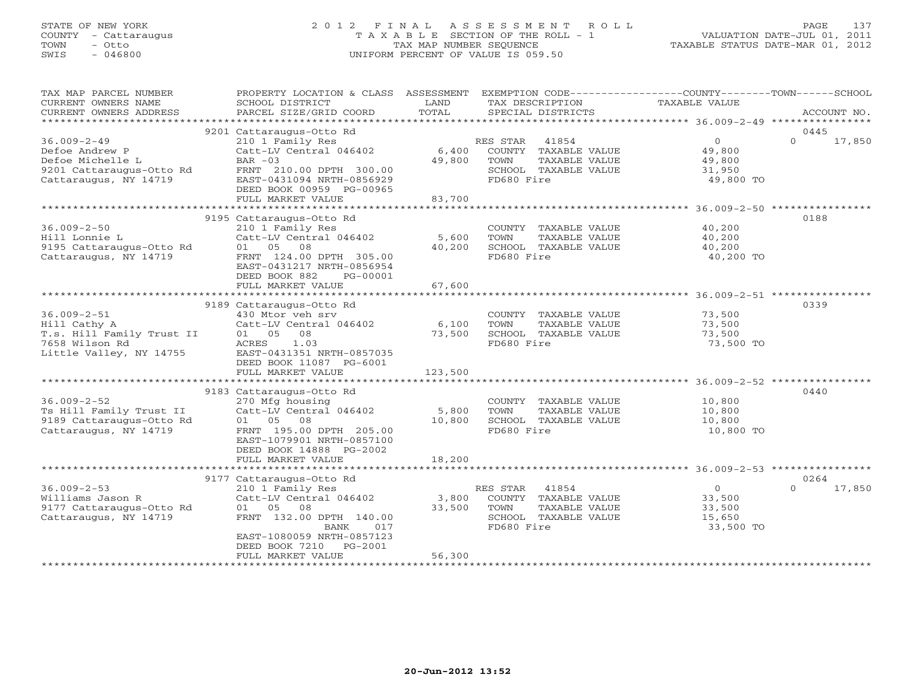# STATE OF NEW YORK 2 0 1 2 F I N A L A S S E S S M E N T R O L L PAGE 137 COUNTY - Cattaraugus T A X A B L E SECTION OF THE ROLL - 1 VALUATION DATE-JUL 01, 2011 TOWN - Otto TAX MAP NUMBER SEQUENCE TAXABLE STATUS DATE-MAR 01, 2012 SWIS - 046800 UNIFORM PERCENT OF VALUE IS 059.50UNIFORM PERCENT OF VALUE IS 059.50

| TAX MAP PARCEL NUMBER<br>CURRENT OWNERS NAME<br>CURRENT OWNERS ADDRESS                                       | PROPERTY LOCATION & CLASS ASSESSMENT<br>SCHOOL DISTRICT<br>PARCEL SIZE/GRID COORD                                                                                                                        | LAND<br>TOTAL              | EXEMPTION CODE-----------------COUNTY-------TOWN------SCHOOL<br>TAX DESCRIPTION<br>SPECIAL DISTRICTS     | TAXABLE VALUE                                             | ACCOUNT NO.                |
|--------------------------------------------------------------------------------------------------------------|----------------------------------------------------------------------------------------------------------------------------------------------------------------------------------------------------------|----------------------------|----------------------------------------------------------------------------------------------------------|-----------------------------------------------------------|----------------------------|
|                                                                                                              |                                                                                                                                                                                                          |                            |                                                                                                          |                                                           |                            |
|                                                                                                              | 9201 Cattaraugus-Otto Rd                                                                                                                                                                                 |                            |                                                                                                          |                                                           | 0445                       |
| $36.009 - 2 - 49$<br>Defoe Andrew P<br>Defoe Michelle L<br>9201 Cattaraugus-Otto Rd<br>Cattaraugus, NY 14719 | 210 1 Family Res<br>Catt-LV Central 046402<br>BAR $-03$<br>FRNT 210.00 DPTH 300.00<br>EAST-0431094 NRTH-0856929<br>DEED BOOK 00959 PG-00965                                                              | 6,400<br>49,800            | 41854<br>RES STAR<br>COUNTY TAXABLE VALUE<br>TAXABLE VALUE<br>TOWN<br>SCHOOL TAXABLE VALUE<br>FD680 Fire | $\overline{0}$<br>49,800<br>49,800<br>31,950<br>49,800 TO | $\Omega$<br>17,850         |
|                                                                                                              | FULL MARKET VALUE                                                                                                                                                                                        | 83,700                     |                                                                                                          |                                                           |                            |
|                                                                                                              |                                                                                                                                                                                                          |                            |                                                                                                          |                                                           |                            |
| $36.009 - 2 - 50$<br>Hill Lonnie L<br>9195 Cattaraugus-Otto Rd<br>Cattaraugus, NY 14719                      | 9195 Cattaraugus-Otto Rd<br>210 1 Family Res<br>Catt-LV Central 046402<br>01 05<br>08<br>FRNT 124.00 DPTH 305.00<br>EAST-0431217 NRTH-0856954<br>DEED BOOK 882<br>PG-00001                               | 5,600<br>40,200            | COUNTY TAXABLE VALUE<br>TAXABLE VALUE<br>TOWN<br>SCHOOL TAXABLE VALUE<br>FD680 Fire                      | 40,200<br>40,200<br>40,200<br>40,200 TO                   | 0188                       |
|                                                                                                              | FULL MARKET VALUE                                                                                                                                                                                        | 67,600                     |                                                                                                          |                                                           |                            |
|                                                                                                              | 9189 Cattaraugus-Otto Rd                                                                                                                                                                                 |                            |                                                                                                          |                                                           | 0339                       |
| $36.009 - 2 - 51$<br>Hill Cathy A<br>T.s. Hill Family Trust II<br>7658 Wilson Rd<br>Little Valley, NY 14755  | 430 Mtor veh srv<br>Catt-LV Central 046402<br>08<br>01 05<br>ACRES<br>1.03<br>EAST-0431351 NRTH-0857035<br>DEED BOOK 11087 PG-6001<br>FULL MARKET VALUE                                                  | 6,100<br>73,500<br>123,500 | COUNTY TAXABLE VALUE<br>TOWN<br>TAXABLE VALUE<br>SCHOOL TAXABLE VALUE<br>FD680 Fire                      | 73,500<br>73,500<br>73,500<br>73,500 TO                   |                            |
|                                                                                                              |                                                                                                                                                                                                          |                            |                                                                                                          |                                                           |                            |
| $36.009 - 2 - 52$<br>Ts Hill Family Trust II<br>9189 Cattaraugus-Otto Rd<br>Cattaraugus, NY 14719            | 9183 Cattaraugus-Otto Rd<br>270 Mfg housing<br>Catt-LV Central 046402<br>01 05 08<br>FRNT 195.00 DPTH 205.00<br>EAST-1079901 NRTH-0857100<br>DEED BOOK 14888 PG-2002                                     | 5,800<br>10,800            | COUNTY TAXABLE VALUE<br>TOWN<br>TAXABLE VALUE<br>SCHOOL TAXABLE VALUE<br>FD680 Fire                      | 10,800<br>10,800<br>10,800<br>10,800 TO                   | 0440                       |
|                                                                                                              | FULL MARKET VALUE                                                                                                                                                                                        | 18,200                     |                                                                                                          |                                                           |                            |
|                                                                                                              |                                                                                                                                                                                                          |                            |                                                                                                          |                                                           |                            |
| $36.009 - 2 - 53$<br>Williams Jason R<br>9177 Cattaraugus-Otto Rd<br>Cattaraugus, NY 14719                   | 9177 Cattaraugus-Otto Rd<br>210 1 Family Res<br>Catt-LV Central 046402<br>01 05 08<br>FRNT 132.00 DPTH 140.00<br>BANK<br>017<br>EAST-1080059 NRTH-0857123<br>DEED BOOK 7210 PG-2001<br>FULL MARKET VALUE | 3,800<br>33,500<br>56,300  | RES STAR<br>41854<br>COUNTY TAXABLE VALUE<br>TOWN<br>TAXABLE VALUE<br>SCHOOL TAXABLE VALUE<br>FD680 Fire | $\overline{0}$<br>33,500<br>33,500<br>15,650<br>33,500 TO | 0264<br>17,850<br>$\Omega$ |
|                                                                                                              |                                                                                                                                                                                                          |                            |                                                                                                          |                                                           |                            |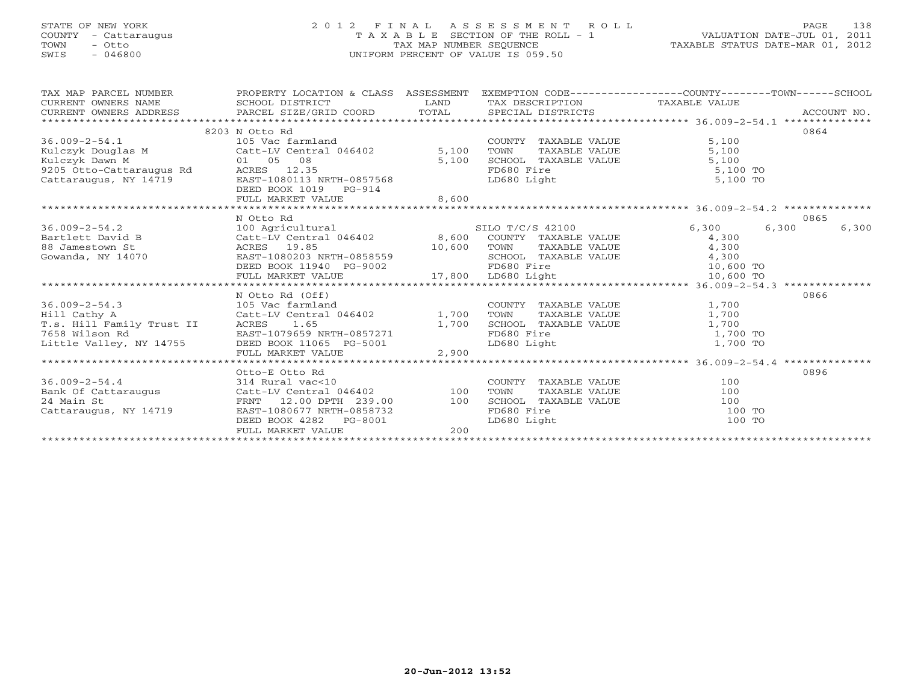# STATE OF NEW YORK 2 0 1 2 F I N A L A S S E S S M E N T R O L L PAGE 138 COUNTY - Cattaraugus T A X A B L E SECTION OF THE ROLL - 1 VALUATION DATE-JUL 01, 2011 TOWN - Otto TAX MAP NUMBER SEQUENCE TAXABLE STATUS DATE-MAR 01, 2012 SWIS - 046800 UNIFORM PERCENT OF VALUE IS 059.50

| TAX MAP PARCEL NUMBER                                                                                                                                                                                                                | PROPERTY LOCATION & CLASS ASSESSMENT |                                                                                                                                                                                                                                      |                                                   | EXEMPTION CODE-----------------COUNTY-------TOWN------SCHOOL |       |
|--------------------------------------------------------------------------------------------------------------------------------------------------------------------------------------------------------------------------------------|--------------------------------------|--------------------------------------------------------------------------------------------------------------------------------------------------------------------------------------------------------------------------------------|---------------------------------------------------|--------------------------------------------------------------|-------|
| CURRENT OWNERS NAME SCHOOL DISTRICT                                                                                                                                                                                                  |                                      | <b>EXAMPLE EXAMPLE EXAMPLE EXAMPLE EXAMPLE EXAMPLE EXAMPLE EXAMPLE EXAMPLE EXAMPLE EXAMPLE EXAMPLE EXAMPLE EXAMPLE EXAMPLE EXAMPLE EXAMPLE EXAMPLE EXAMPLE EXAMPLE EXAMPLE EXAMPLE EXAMPLE EXAMPLE EXAMPLE EXAMPLE EXAMPLE EXAMP</b> | TAX DESCRIPTION TAXABLE VALUE                     |                                                              |       |
|                                                                                                                                                                                                                                      |                                      |                                                                                                                                                                                                                                      |                                                   |                                                              |       |
|                                                                                                                                                                                                                                      |                                      |                                                                                                                                                                                                                                      |                                                   |                                                              |       |
|                                                                                                                                                                                                                                      | 8203 N Otto Rd                       |                                                                                                                                                                                                                                      |                                                   |                                                              | 0864  |
|                                                                                                                                                                                                                                      |                                      |                                                                                                                                                                                                                                      | COUNTY TAXABLE VALUE                              | 5,100                                                        |       |
|                                                                                                                                                                                                                                      |                                      |                                                                                                                                                                                                                                      | TAXABLE VALUE<br>TOWN                             | 5,100                                                        |       |
|                                                                                                                                                                                                                                      |                                      |                                                                                                                                                                                                                                      |                                                   | 5,100                                                        |       |
|                                                                                                                                                                                                                                      |                                      |                                                                                                                                                                                                                                      |                                                   | 5,100 TO                                                     |       |
|                                                                                                                                                                                                                                      |                                      |                                                                                                                                                                                                                                      | SCHOOL TAXABLE VALUE<br>FD680 Fire<br>LD680 Light | 5,100 TO                                                     |       |
| Xulczyk Douglas M<br>Kulczyk Dawn M<br>State Direct Death (105 Ventral 046402 5,100<br>State Direct Direct Direct Direct Direct State of State State<br>2005 Otto-Cattaraugus Rd<br>Cattaraugus, NY 14719 EAST-1080113 NRTH-0857568  |                                      |                                                                                                                                                                                                                                      |                                                   |                                                              |       |
|                                                                                                                                                                                                                                      | FULL MARKET VALUE                    | 8,600                                                                                                                                                                                                                                |                                                   |                                                              |       |
|                                                                                                                                                                                                                                      |                                      |                                                                                                                                                                                                                                      |                                                   |                                                              |       |
|                                                                                                                                                                                                                                      | N Otto Rd                            |                                                                                                                                                                                                                                      |                                                   |                                                              | 0865  |
| 36.009-2-54.2 100 Agricultural SILO T/C/S 42100<br>Bartlett David B Catt-LV Central 046402 8,600 COUNTY TAXABLE VALUE<br>88 Jamestown St ACRES 19.85 10,600 TOWN TAXABLE VALUE                                                       |                                      |                                                                                                                                                                                                                                      |                                                   | 6,300<br>6,300                                               | 6,300 |
|                                                                                                                                                                                                                                      |                                      |                                                                                                                                                                                                                                      |                                                   | 4,300                                                        |       |
|                                                                                                                                                                                                                                      |                                      |                                                                                                                                                                                                                                      |                                                   |                                                              |       |
|                                                                                                                                                                                                                                      |                                      |                                                                                                                                                                                                                                      |                                                   |                                                              |       |
|                                                                                                                                                                                                                                      |                                      |                                                                                                                                                                                                                                      |                                                   |                                                              |       |
|                                                                                                                                                                                                                                      |                                      |                                                                                                                                                                                                                                      |                                                   |                                                              |       |
| BACK AND MORE CONSULTER THE CONSULTING CONSULTING A SURVEY OF THE CONSULTING A SURVEY AND TAXABLE VALUE<br>SURVEY A SURVEY DESS UP SANTH-0858559<br>CHOOL TAXABLE VALUE 4,300<br>DEED BOOK 11940 PG-9002 17,800 LD680 Light 10,600 T |                                      |                                                                                                                                                                                                                                      |                                                   |                                                              |       |
|                                                                                                                                                                                                                                      | N Otto Rd (Off)                      |                                                                                                                                                                                                                                      |                                                   |                                                              | 0866  |
| 36.009-2-54.3 105 Vac farmland                                                                                                                                                                                                       |                                      |                                                                                                                                                                                                                                      | COUNTY TAXABLE VALUE                              | 1,700                                                        |       |
| Hill Cathy A                                                                                                                                                                                                                         |                                      |                                                                                                                                                                                                                                      | TAXABLE VALUE                                     | 1,700                                                        |       |
|                                                                                                                                                                                                                                      |                                      |                                                                                                                                                                                                                                      | SCHOOL TAXABLE VALUE                              | 1,700                                                        |       |
| T.s. Hill Family Trust II ACRES 1.65 1.65 1,700<br>7658 Wilson Rd EAST-1079659 NRTH-0857271                                                                                                                                          |                                      |                                                                                                                                                                                                                                      | FD680 Fire                                        | 1,700 TO                                                     |       |
| Little Valley, NY 14755                                                                                                                                                                                                              | DEED BOOK 11065 PG-5001              |                                                                                                                                                                                                                                      | LD680 Light                                       | 1,700 TO                                                     |       |
|                                                                                                                                                                                                                                      |                                      |                                                                                                                                                                                                                                      |                                                   |                                                              |       |
|                                                                                                                                                                                                                                      |                                      |                                                                                                                                                                                                                                      |                                                   |                                                              |       |
|                                                                                                                                                                                                                                      | Otto-E Otto Rd                       |                                                                                                                                                                                                                                      |                                                   |                                                              | 0896  |
| $36.009 - 2 - 54.4$                                                                                                                                                                                                                  | 314 Rural vac<10                     |                                                                                                                                                                                                                                      | COUNTY TAXABLE VALUE                              | 100                                                          |       |
| Bank Of Cattaraugus<br>24 Main St                                                                                                                                                                                                    | Catt-LV Central 046402 100           |                                                                                                                                                                                                                                      | TOWN<br>TAXABLE VALUE                             | 100                                                          |       |
| 24 Main St                                                                                                                                                                                                                           | FRNT 12.00 DPTH 239.00 100           |                                                                                                                                                                                                                                      | SCHOOL TAXABLE VALUE                              | 100                                                          |       |
| Cattaraugus, NY 14719                                                                                                                                                                                                                | EAST-1080677 NRTH-0858732            |                                                                                                                                                                                                                                      | FD680 Fire                                        | 100 TO                                                       |       |
|                                                                                                                                                                                                                                      | DEED BOOK 4282 PG-8001               |                                                                                                                                                                                                                                      | LD680 Light                                       | 100 TO                                                       |       |
|                                                                                                                                                                                                                                      | FULL MARKET VALUE                    | 200                                                                                                                                                                                                                                  |                                                   |                                                              |       |
|                                                                                                                                                                                                                                      |                                      |                                                                                                                                                                                                                                      |                                                   |                                                              |       |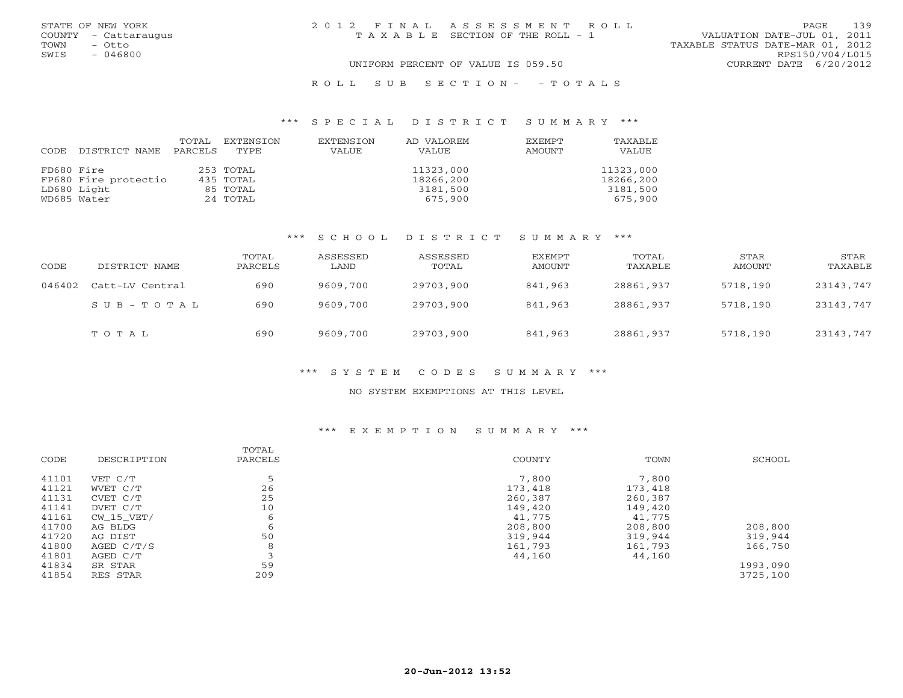|      | STATE OF NEW YORK    | 2012 FINAL ASSESSMENT ROLL |                                       |                                  |                        | PAGE | 139 |
|------|----------------------|----------------------------|---------------------------------------|----------------------------------|------------------------|------|-----|
|      | COUNTY - Cattaraugus |                            | T A X A B L E SECTION OF THE ROLL - 1 | VALUATION DATE-JUL 01, 2011      |                        |      |     |
| TOWN | - Otto               |                            |                                       | TAXABLE STATUS DATE-MAR 01, 2012 |                        |      |     |
| SWIS | $-046800$            |                            |                                       |                                  | RPS150/V04/L015        |      |     |
|      |                      |                            | UNIFORM PERCENT OF VALUE IS 059.50    |                                  | CURRENT DATE 6/20/2012 |      |     |
|      |                      |                            |                                       |                                  |                        |      |     |

#### R O L L S U B S E C T I O N - - T O T A L S

#### \*\*\* S P E C I A L D I S T R I C T S U M M A R Y \*\*\*

|            |                       | TOTAL | EXTENSION | EXTENSION | AD VALOREM | <b>EXEMPT</b> | <b>TAXABLF</b> |
|------------|-----------------------|-------|-----------|-----------|------------|---------------|----------------|
| CODE       | DISTRICT NAME PARCELS |       | TYPE.     | VALUE     | VALUE      | AMOUNT        | VALUE          |
|            |                       |       |           |           |            |               |                |
| FD680 Fire |                       |       | 253 TOTAL |           | 11323,000  |               | 11323,000      |
|            | FP680 Fire protectio  |       | 435 TOTAL |           | 18266,200  |               | 18266,200      |
|            | LD680 Light           |       | 85 TOTAL  |           | 3181,500   |               | 3181,500       |
|            | WD685 Water           |       | 24 TOTAL  |           | 675,900    |               | 675,900        |

#### \*\*\* S C H O O L D I S T R I C T S U M M A R Y \*\*\*

| CODE   | DISTRICT NAME   | TOTAL<br>PARCELS | ASSESSED<br>LAND | ASSESSED<br>TOTAL | EXEMPT<br>AMOUNT | TOTAL<br>TAXABLE | STAR<br>AMOUNT | STAR<br>TAXABLE |
|--------|-----------------|------------------|------------------|-------------------|------------------|------------------|----------------|-----------------|
| 046402 | Catt-LV Central | 690              | 9609,700         | 29703,900         | 841,963          | 28861,937        | 5718,190       | 23143,747       |
|        | SUB-TOTAL       | 690              | 9609,700         | 29703,900         | 841,963          | 28861,937        | 5718,190       | 23143,747       |
|        | TOTAL           | 690              | 9609,700         | 29703,900         | 841,963          | 28861,937        | 5718,190       | 23143,747       |

#### \*\*\* S Y S T E M C O D E S S U M M A R Y \*\*\*

#### NO SYSTEM EXEMPTIONS AT THIS LEVEL

#### \*\*\* E X E M P T I O N S U M M A R Y \*\*\*

| CODE  | DESCRIPTION  | TOTAL<br>PARCELS | <b>COUNTY</b> | TOWN    | SCHOOL   |
|-------|--------------|------------------|---------------|---------|----------|
| 41101 | VET C/T      | 5                | 7,800         | 7,800   |          |
| 41121 | WVET C/T     | 26               | 173,418       | 173,418 |          |
| 41131 | CVET C/T     | 25               | 260,387       | 260,387 |          |
| 41141 | DVET C/T     | 10               | 149,420       | 149,420 |          |
| 41161 | CW 15 VET/   | 6                | 41,775        | 41,775  |          |
| 41700 | AG BLDG      | 6                | 208,800       | 208,800 | 208,800  |
| 41720 | AG DIST      | 50               | 319,944       | 319,944 | 319,944  |
| 41800 | AGED $C/T/S$ | 8                | 161,793       | 161,793 | 166,750  |
| 41801 | AGED C/T     |                  | 44,160        | 44,160  |          |
| 41834 | SR STAR      | 59               |               |         | 1993,090 |
| 41854 | RES STAR     | 209              |               |         | 3725,100 |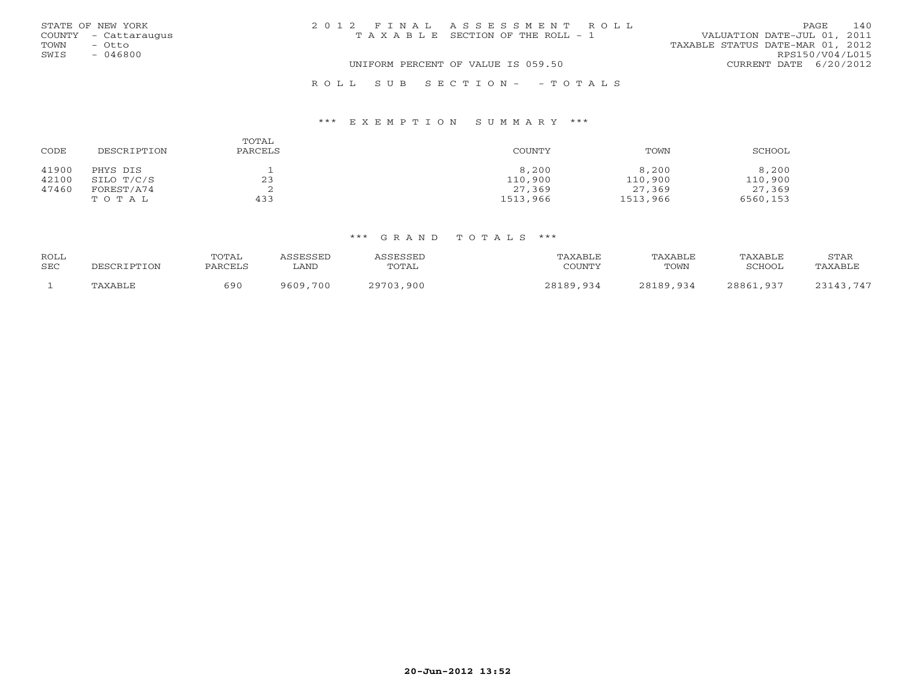| STATE OF NEW YORK    | 2012 FINAL ASSESSMENT ROLL            | 140<br>PAGE.                     |
|----------------------|---------------------------------------|----------------------------------|
| COUNTY - Cattaraugus | T A X A B L E SECTION OF THE ROLL - 1 | VALUATION DATE-JUL 01, 2011      |
| TOWN<br>- Otto       |                                       | TAXABLE STATUS DATE-MAR 01, 2012 |
| SWIS<br>- 046800     |                                       | RPS150/V04/L015                  |
|                      | UNIFORM PERCENT OF VALUE IS 059.50    | CURRENT DATE $6/20/2012$         |
|                      | ROLL SUB SECTION- - TOTALS            |                                  |

#### \*\*\* E X E M P T I O N S U M M A R Y \*\*\*

| CODE  | DESCRIPTION | TOTAL<br>PARCELS | COUNTY   | TOWN     | SCHOOL   |
|-------|-------------|------------------|----------|----------|----------|
| 41900 | PHYS DIS    |                  | 8,200    | 8,200    | 8,200    |
| 42100 | SILO T/C/S  | 23               | 110,900  | 110,900  | 110,900  |
| 47460 | FOREST/A74  |                  | 27,369   | 27,369   | 27,369   |
|       | TOTAL       | 433              | 1513,966 | 1513,966 | 6560,153 |

#### \*\*\* G R A N D T O T A L S \*\*\*

|            | DESCRIPTION |         |          |                 |               |           |             |         |
|------------|-------------|---------|----------|-----------------|---------------|-----------|-------------|---------|
| ROLL       |             | TOTAL   | SSESSED  | <b>ASSESSED</b> | TAXABLE       | TAXABLE   | TAXABLE     | STAR    |
| <b>SEC</b> |             | PARCELS | LAND     | TOTAL           | COUNTY        | TOWN      | SCHOOL      | "AXABLE |
|            | TAXABLE     | 69 C    | 9609,700 | ,900<br>29703   | 28189<br>,934 | 28189,934 | 28861<br>QZ |         |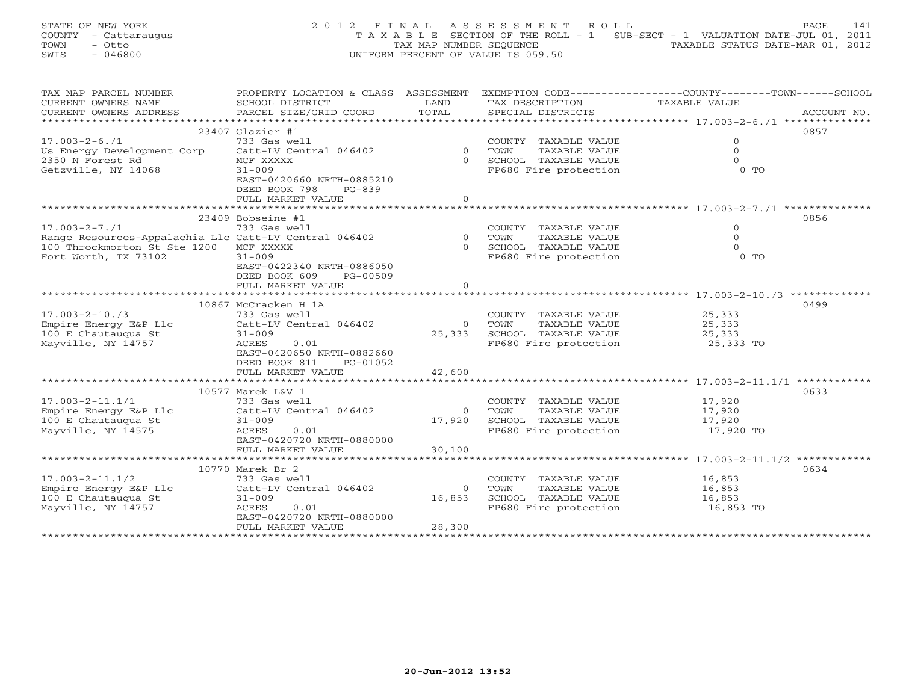STATE OF NEW YORK 2 0 1 2 F I N A L A S S E S S M E N T R O L L PAGE 141 COUNTY - Cattaraugus T A X A B L E SECTION OF THE ROLL - 1 SUB-SECT - 1 VALUATION DATE-JUL 01, 2011 TOWN - Otto TAX MAP NUMBER SEQUENCE TAXABLE STATUS DATE-MAR 01, 2012 SWIS - 046800 UNIFORM PERCENT OF VALUE IS 059.50

| TAX MAP PARCEL NUMBER                                 | PROPERTY LOCATION & CLASS ASSESSMENT |                | EXEMPTION CODE-----------------COUNTY-------TOWN------SCHOOL |               |             |  |  |
|-------------------------------------------------------|--------------------------------------|----------------|--------------------------------------------------------------|---------------|-------------|--|--|
| CURRENT OWNERS NAME                                   | SCHOOL DISTRICT                      | LAND           | TAX DESCRIPTION                                              | TAXABLE VALUE |             |  |  |
| CURRENT OWNERS ADDRESS                                | PARCEL SIZE/GRID COORD               | TOTAL          | SPECIAL DISTRICTS                                            |               | ACCOUNT NO. |  |  |
| ***********************************                   |                                      |                |                                                              |               |             |  |  |
|                                                       | $23407$ Glazier #1                   |                |                                                              |               | 0857        |  |  |
| $17.003 - 2 - 6.71$                                   | 733 Gas well                         |                | COUNTY TAXABLE VALUE                                         | $\circ$       |             |  |  |
| Us Energy Development Corp                            | Catt-LV Central 046402               | $\overline{0}$ | TOWN<br>TAXABLE VALUE                                        | $\Omega$      |             |  |  |
| 2350 N Forest Rd                                      | MCF XXXXX                            | $\Omega$       | SCHOOL TAXABLE VALUE                                         | $\Omega$      |             |  |  |
| Getzville, NY 14068                                   | $31 - 009$                           |                | FP680 Fire protection                                        | $0$ TO        |             |  |  |
|                                                       | EAST-0420660 NRTH-0885210            |                |                                                              |               |             |  |  |
|                                                       |                                      |                |                                                              |               |             |  |  |
|                                                       | DEED BOOK 798<br>$PG-839$            |                |                                                              |               |             |  |  |
|                                                       | FULL MARKET VALUE                    | $\Omega$       |                                                              |               |             |  |  |
|                                                       |                                      |                |                                                              |               |             |  |  |
|                                                       | 23409 Bobseine #1                    |                |                                                              |               | 0856        |  |  |
| $17.003 - 2 - 7.71$                                   | 733 Gas well                         |                | COUNTY TAXABLE VALUE                                         | $\circ$       |             |  |  |
| Range Resources-Appalachia Llc Catt-LV Central 046402 |                                      |                | 0 TOWN<br>TAXABLE VALUE                                      | $\Omega$      |             |  |  |
| 100 Throckmorton St Ste 1200                          | MCF XXXXX                            | $\Omega$       | SCHOOL TAXABLE VALUE                                         | $\Omega$      |             |  |  |
| Fort Worth, TX 73102                                  | $31 - 009$                           |                | FP680 Fire protection                                        | $0$ TO        |             |  |  |
|                                                       | EAST-0422340 NRTH-0886050            |                |                                                              |               |             |  |  |
|                                                       | DEED BOOK 609<br>PG-00509            |                |                                                              |               |             |  |  |
|                                                       | FULL MARKET VALUE                    | $\circ$        |                                                              |               |             |  |  |
|                                                       |                                      |                |                                                              |               |             |  |  |
|                                                       | 10867 McCracken H 1A                 |                |                                                              |               | 0499        |  |  |
| $17.003 - 2 - 10.73$                                  | 733 Gas well                         |                | COUNTY TAXABLE VALUE                                         | 25,333        |             |  |  |
| Empire Energy E&P Llc                                 | Catt-LV Central 046402               | $\Omega$       | TAXABLE VALUE<br>TOWN                                        | 25,333        |             |  |  |
| 100 E Chautauqua St                                   | $31 - 009$                           | 25,333         | SCHOOL TAXABLE VALUE                                         | 25,333        |             |  |  |
| Mayville, NY 14757                                    | ACRES<br>0.01                        |                | FP680 Fire protection                                        | 25,333 TO     |             |  |  |
|                                                       | EAST-0420650 NRTH-0882660            |                |                                                              |               |             |  |  |
|                                                       | DEED BOOK 811<br>PG-01052            |                |                                                              |               |             |  |  |
|                                                       | FULL MARKET VALUE                    | 42,600         |                                                              |               |             |  |  |
|                                                       |                                      |                |                                                              |               |             |  |  |
|                                                       | 10577 Marek L&V 1                    |                |                                                              |               |             |  |  |
| $17.003 - 2 - 11.1/1$                                 |                                      |                | COUNTY TAXABLE VALUE                                         | 17,920        | 0633        |  |  |
|                                                       | 733 Gas well                         |                |                                                              |               |             |  |  |
| Empire Energy E&P Llc                                 | Catt-LV Central 046402               | $\Omega$       | TAXABLE VALUE<br>TOWN                                        | 17,920        |             |  |  |
| 100 E Chautaugua St                                   | $31 - 009$                           | 17,920         | SCHOOL TAXABLE VALUE                                         | 17,920        |             |  |  |
| Mayville, NY 14575                                    | 0.01<br>ACRES                        |                | FP680 Fire protection                                        | 17,920 TO     |             |  |  |
|                                                       | EAST-0420720 NRTH-0880000            |                |                                                              |               |             |  |  |
|                                                       | FULL MARKET VALUE                    | 30,100         |                                                              |               |             |  |  |
|                                                       |                                      |                |                                                              |               |             |  |  |
|                                                       | 10770 Marek Br 2                     |                |                                                              |               | 0634        |  |  |
| $17.003 - 2 - 11.1/2$                                 | 733 Gas well                         |                | COUNTY TAXABLE VALUE                                         | 16,853        |             |  |  |
| Empire Energy E&P Llc                                 | Catt-LV Central 046402               | $\circ$        | TOWN<br>TAXABLE VALUE                                        | 16,853        |             |  |  |
| 100 E Chautauqua St                                   | $31 - 009$                           | 16,853         | SCHOOL TAXABLE VALUE                                         | 16,853        |             |  |  |
| Mayville, NY 14757                                    | 0.01<br>ACRES                        |                | FP680 Fire protection                                        | 16,853 TO     |             |  |  |
|                                                       | EAST-0420720 NRTH-0880000            |                |                                                              |               |             |  |  |
|                                                       | FULL MARKET VALUE                    | 28,300         |                                                              |               |             |  |  |
|                                                       |                                      |                |                                                              |               |             |  |  |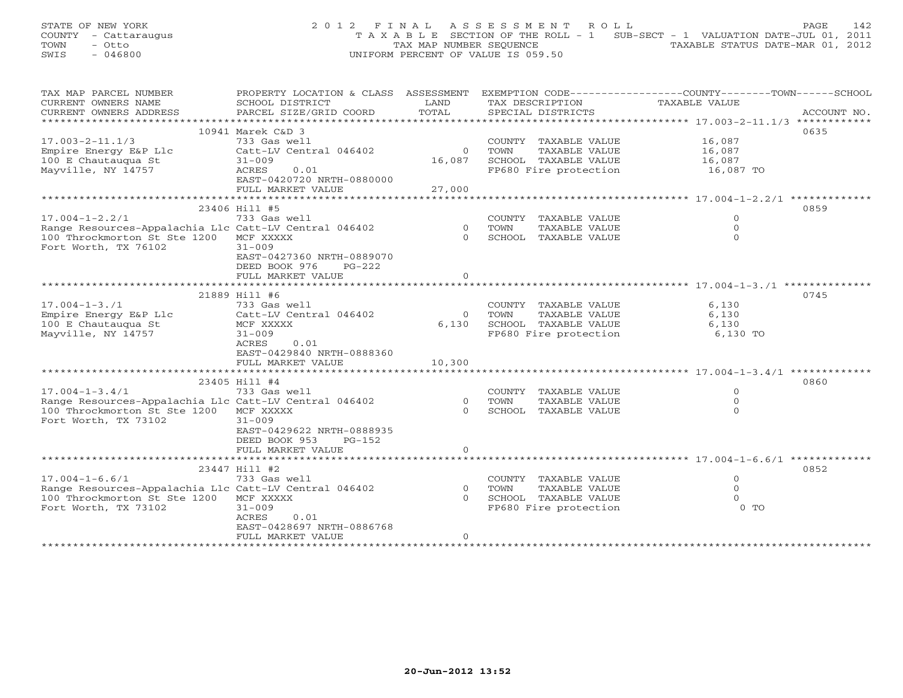STATE OF NEW YORK 2012 FINAL ASSESSMENT ROLL PAGE 142 COUNTY - Cattaraugus T A X A B L E SECTION OF THE ROLL - 1 SUB-SECT - 1 VALUATION DATE-JUL 01, 2011 TOWN - Otto TAX MAP NUMBER SEQUENCE TAXABLE STATUS DATE-MAR 01, 2012 SWIS - 046800 UNIFORM PERCENT OF VALUE IS 059.50

| TAX MAP PARCEL NUMBER                                 | PROPERTY LOCATION & CLASS ASSESSMENT |                |                            | EXEMPTION CODE-----------------COUNTY-------TOWN------SCHOOL |             |  |  |
|-------------------------------------------------------|--------------------------------------|----------------|----------------------------|--------------------------------------------------------------|-------------|--|--|
| CURRENT OWNERS NAME                                   | SCHOOL DISTRICT                      | LAND           | TAX DESCRIPTION            | TAXABLE VALUE                                                |             |  |  |
| CURRENT OWNERS ADDRESS                                | PARCEL SIZE/GRID COORD               | TOTAL          | SPECIAL DISTRICTS          |                                                              | ACCOUNT NO. |  |  |
|                                                       |                                      |                |                            |                                                              |             |  |  |
| 10941 Marek C&D 3<br>0635                             |                                      |                |                            |                                                              |             |  |  |
| $17.003 - 2 - 11.1/3$                                 | 733 Gas well                         |                | COUNTY TAXABLE VALUE       | 16,087                                                       |             |  |  |
| Empire Energy E&P Llc                                 | Catt-LV Central 046402               | $\overline{0}$ | TOWN<br>TAXABLE VALUE      | 16,087                                                       |             |  |  |
| 100 E Chautaugua St                                   | $31 - 009$                           | 16,087         | SCHOOL TAXABLE VALUE       | 16,087                                                       |             |  |  |
| Mayville, NY 14757                                    | ACRES<br>0.01                        |                | FP680 Fire protection      |                                                              |             |  |  |
|                                                       | EAST-0420720 NRTH-0880000            |                |                            | 16,087 TO                                                    |             |  |  |
|                                                       |                                      |                |                            |                                                              |             |  |  |
|                                                       | FULL MARKET VALUE                    | 27,000         |                            |                                                              |             |  |  |
|                                                       |                                      |                |                            |                                                              |             |  |  |
|                                                       | 23406 Hill #5                        |                |                            |                                                              | 0859        |  |  |
| $17.004 - 1 - 2.2/1$                                  | 733 Gas well                         |                | COUNTY TAXABLE VALUE       | $\Omega$                                                     |             |  |  |
| Range Resources-Appalachia Llc Catt-LV Central 046402 |                                      | $\overline{0}$ | TOWN<br>TAXABLE VALUE      | $\Omega$                                                     |             |  |  |
| 100 Throckmorton St Ste 1200 MCF XXXXX                |                                      | $\cap$         | SCHOOL TAXABLE VALUE       | $\Omega$                                                     |             |  |  |
| Fort Worth, TX 76102                                  | $31 - 009$                           |                |                            |                                                              |             |  |  |
|                                                       | EAST-0427360 NRTH-0889070            |                |                            |                                                              |             |  |  |
|                                                       | DEED BOOK 976<br>$PG-222$            |                |                            |                                                              |             |  |  |
|                                                       | FULL MARKET VALUE                    | $\Omega$       |                            |                                                              |             |  |  |
|                                                       |                                      |                |                            |                                                              |             |  |  |
|                                                       | 21889 Hill #6                        |                |                            |                                                              | 0745        |  |  |
| $17.004 - 1 - 3.71$                                   | 733 Gas well                         |                | COUNTY TAXABLE VALUE       | 6,130                                                        |             |  |  |
| Empire Energy E&P Llc                                 | Catt-LV Central 046402               | $\overline{0}$ | TAXABLE VALUE<br>TOWN      | 6,130                                                        |             |  |  |
| 100 E Chautauqua St                                   | MCF XXXXX                            |                | 6,130 SCHOOL TAXABLE VALUE | 6,130                                                        |             |  |  |
| Mayville, NY 14757                                    | $31 - 009$                           |                | FP680 Fire protection      |                                                              |             |  |  |
|                                                       |                                      |                |                            | 6,130 TO                                                     |             |  |  |
|                                                       | ACRES<br>0.01                        |                |                            |                                                              |             |  |  |
|                                                       | EAST-0429840 NRTH-0888360            |                |                            |                                                              |             |  |  |
|                                                       | FULL MARKET VALUE                    | 10,300         |                            |                                                              |             |  |  |
|                                                       |                                      |                |                            |                                                              |             |  |  |
|                                                       | 23405 Hill #4                        |                |                            |                                                              | 0860        |  |  |
| $17.004 - 1 - 3.4/1$                                  | 733 Gas well                         |                | COUNTY TAXABLE VALUE       | $\Omega$                                                     |             |  |  |
| Range Resources-Appalachia Llc Catt-LV Central 046402 |                                      |                | 0 TOWN<br>TAXABLE VALUE    | $\Omega$                                                     |             |  |  |
| 100 Throckmorton St Ste 1200 MCF XXXXX                |                                      | $\Omega$       | SCHOOL TAXABLE VALUE       | $\Omega$                                                     |             |  |  |
| Fort Worth, TX 73102                                  | $31 - 009$                           |                |                            |                                                              |             |  |  |
|                                                       | EAST-0429622 NRTH-0888935            |                |                            |                                                              |             |  |  |
|                                                       | DEED BOOK 953<br>PG-152              |                |                            |                                                              |             |  |  |
|                                                       | FULL MARKET VALUE                    | $\circ$        |                            |                                                              |             |  |  |
|                                                       |                                      |                |                            |                                                              |             |  |  |
|                                                       | 23447 Hill #2                        |                |                            |                                                              | 0852        |  |  |
| $17.004 - 1 - 6.6/1$                                  |                                      |                | COUNTY TAXABLE VALUE       | $\circ$                                                      |             |  |  |
|                                                       | 733 Gas well                         |                | 0 TOWN                     | $\Omega$                                                     |             |  |  |
| Range Resources-Appalachia Llc Catt-LV Central 046402 |                                      |                | TAXABLE VALUE              |                                                              |             |  |  |
| 100 Throckmorton St Ste 1200 MCF XXXXX                |                                      |                | 0 SCHOOL TAXABLE VALUE     | $\Omega$                                                     |             |  |  |
| Fort Worth, TX 73102                                  | $31 - 009$                           |                | FP680 Fire protection      | $0$ TO                                                       |             |  |  |
|                                                       | 0.01<br>ACRES                        |                |                            |                                                              |             |  |  |
|                                                       | EAST-0428697 NRTH-0886768            |                |                            |                                                              |             |  |  |
|                                                       | FULL MARKET VALUE                    | $\circ$        |                            |                                                              |             |  |  |
|                                                       |                                      |                |                            |                                                              |             |  |  |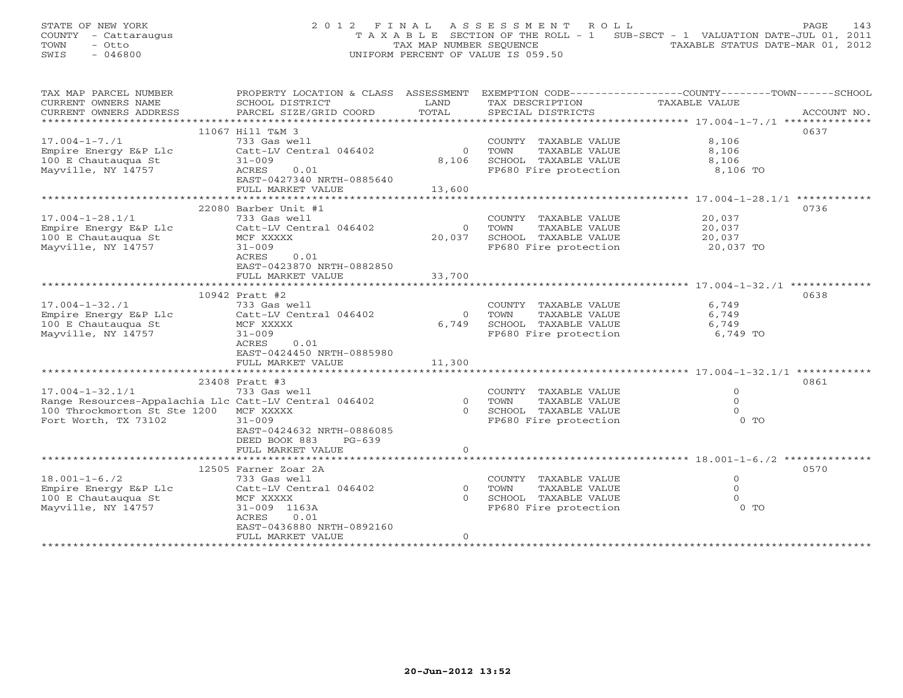STATE OF NEW YORK 2 0 1 2 F I N A L A S S E S S M E N T R O L L PAGE 143 COUNTY - Cattaraugus T A X A B L E SECTION OF THE ROLL - 1 SUB-SECT - 1 VALUATION DATE-JUL 01, 2011 TOWN - Otto TAX MAP NUMBER SEQUENCE TAXABLE STATUS DATE-MAR 01, 2012 SWIS - 046800 UNIFORM PERCENT OF VALUE IS 059.50

| TAX MAP PARCEL NUMBER                                 | PROPERTY LOCATION & CLASS ASSESSMENT EXEMPTION CODE---------------COUNTY-------TOWN------SCHOOL |            |                                |                               |      |  |  |
|-------------------------------------------------------|-------------------------------------------------------------------------------------------------|------------|--------------------------------|-------------------------------|------|--|--|
| CURRENT OWNERS NAME                                   | SCHOOL DISTRICT                                                                                 | LAND       | TAX DESCRIPTION                | TAXABLE VALUE                 |      |  |  |
|                                                       |                                                                                                 |            |                                |                               |      |  |  |
|                                                       |                                                                                                 |            |                                |                               |      |  |  |
|                                                       | 11067 Hill T&M 3                                                                                |            |                                |                               | 0637 |  |  |
| $17.004 - 1 - 7.71$                                   | 733 Gas well                                                                                    |            | COUNTY TAXABLE VALUE           | 8,106                         |      |  |  |
| Empire Energy E&P Llc                                 | Catt-LV Central 046402                                                                          | $\bigcirc$ | TOWN<br>TAXABLE VALUE          | 8,106                         |      |  |  |
| 100 E Chautauqua St                                   | $31 - 009$                                                                                      | 8,106      | SCHOOL TAXABLE VALUE           | 8,106                         |      |  |  |
| Mayville, NY 14757                                    | ACRES<br>0.01                                                                                   |            | FP680 Fire protection 8,106 TO |                               |      |  |  |
|                                                       | EAST-0427340 NRTH-0885640                                                                       |            |                                |                               |      |  |  |
|                                                       | FULL MARKET VALUE                                                                               | 13,600     |                                |                               |      |  |  |
|                                                       |                                                                                                 |            |                                |                               |      |  |  |
|                                                       | 22080 Barber Unit #1                                                                            |            |                                |                               | 0736 |  |  |
| $17.004 - 1 - 28.1/1$                                 | 733 Gas well                                                                                    |            | COUNTY TAXABLE VALUE           | 20,037                        |      |  |  |
| Empire Energy E&P Llc                                 | Catt-LV Central 046402                                                                          |            | 0 TOWN<br>TAXABLE VALUE        | 20,037                        |      |  |  |
| 100 E Chautauqua St                                   | MCF XXXXX                                                                                       | 20,037     | SCHOOL TAXABLE VALUE           |                               |      |  |  |
| Mayville, NY 14757                                    | $31 - 009$                                                                                      |            | FP680 Fire protection          | 20,037<br>רבח חל<br>20,037 TO |      |  |  |
|                                                       | ACRES<br>0.01                                                                                   |            |                                |                               |      |  |  |
|                                                       | EAST-0423870 NRTH-0882850                                                                       |            |                                |                               |      |  |  |
|                                                       | FULL MARKET VALUE                                                                               | 33,700     |                                |                               |      |  |  |
|                                                       |                                                                                                 |            |                                |                               |      |  |  |
|                                                       | 10942 Pratt #2                                                                                  |            |                                |                               | 0638 |  |  |
| $17.004 - 1 - 32.71$                                  | 733 Gas well                                                                                    |            | COUNTY TAXABLE VALUE           | 6,749                         |      |  |  |
|                                                       |                                                                                                 |            | TAXABLE VALUE                  | 6,749                         |      |  |  |
| Empire Energy E&P Llc                                 | Catt-LV Central 046402                                                                          | 6,749      | 0 TOWN                         |                               |      |  |  |
| 100 E Chautauqua St                                   | MCF XXXXX                                                                                       |            | SCHOOL TAXABLE VALUE           | 6,749                         |      |  |  |
| Mayville, NY 14757                                    | $31 - 009$                                                                                      |            | FP680 Fire protection          | 6,749 TO                      |      |  |  |
|                                                       | ACRES<br>0.01                                                                                   |            |                                |                               |      |  |  |
|                                                       | EAST-0424450 NRTH-0885980                                                                       |            |                                |                               |      |  |  |
|                                                       | FULL MARKET VALUE                                                                               | 11,300     |                                |                               |      |  |  |
|                                                       |                                                                                                 |            |                                |                               |      |  |  |
|                                                       | 23408 Pratt #3                                                                                  |            |                                |                               | 0861 |  |  |
| $17.004 - 1 - 32.1/1$                                 | 733 Gas well                                                                                    |            | COUNTY TAXABLE VALUE           | $\overline{O}$                |      |  |  |
| Range Resources-Appalachia Llc Catt-LV Central 046402 |                                                                                                 | 0 TOWN     | TAXABLE VALUE                  | $\Omega$                      |      |  |  |
| 100 Throckmorton St Ste 1200                          | MCF XXXXX                                                                                       |            | 0 SCHOOL TAXABLE VALUE         | $\Omega$                      |      |  |  |
| Fort Worth, TX 73102                                  | $31 - 009$                                                                                      |            | FP680 Fire protection          | $0$ TO                        |      |  |  |
|                                                       | EAST-0424632 NRTH-0886085                                                                       |            |                                |                               |      |  |  |
|                                                       | DEED BOOK 883<br>$PG-639$                                                                       |            |                                |                               |      |  |  |
|                                                       | FULL MARKET VALUE                                                                               | $\Omega$   |                                |                               |      |  |  |
|                                                       |                                                                                                 |            |                                |                               |      |  |  |
|                                                       | 12505 Farner Zoar 2A                                                                            |            |                                |                               | 0570 |  |  |
| $18.001 - 1 - 6.72$                                   | 733 Gas well                                                                                    |            | COUNTY TAXABLE VALUE           | $\overline{O}$                |      |  |  |
| Empire Energy E&P Llc                                 | Catt-LV Central 046402                                                                          | 0 TOWN     | TAXABLE VALUE                  | $\circ$                       |      |  |  |
| 100 E Chautauqua St                                   | MCF XXXXX                                                                                       |            | 0 SCHOOL TAXABLE VALUE         | $\Omega$                      |      |  |  |
| Mayville, NY 14757                                    | 31-009 1163A                                                                                    |            | FP680 Fire protection          | $0$ TO                        |      |  |  |
|                                                       | 0.01<br>ACRES                                                                                   |            |                                |                               |      |  |  |
|                                                       | EAST-0436880 NRTH-0892160                                                                       |            |                                |                               |      |  |  |
|                                                       | FULL MARKET VALUE                                                                               | $\Omega$   |                                |                               |      |  |  |
|                                                       |                                                                                                 |            |                                |                               |      |  |  |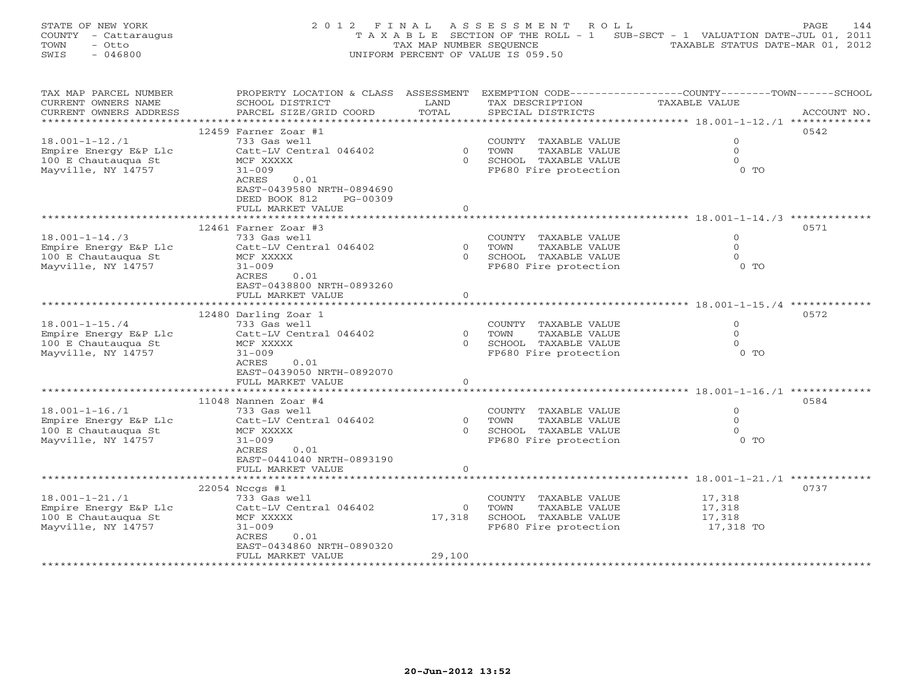STATE OF NEW YORK 2 0 1 2 F I N A L A S S E S S M E N T R O L L PAGE 144 COUNTY - Cattaraugus T A X A B L E SECTION OF THE ROLL - 1 SUB-SECT - 1 VALUATION DATE-JUL 01, 2011 TOWN - Otto TAX MAP NUMBER SEQUENCE TAXABLE STATUS DATE-MAR 01, 2012 SWIS - 046800 UNIFORM PERCENT OF VALUE IS 059.50

| TAX MAP PARCEL NUMBER  | PROPERTY LOCATION & CLASS ASSESSMENT |                | EXEMPTION CODE-----------------COUNTY-------TOWN------SCHOOL |                                             |             |
|------------------------|--------------------------------------|----------------|--------------------------------------------------------------|---------------------------------------------|-------------|
| CURRENT OWNERS NAME    | SCHOOL DISTRICT                      | LAND           | TAX DESCRIPTION                                              | TAXABLE VALUE                               |             |
| CURRENT OWNERS ADDRESS | PARCEL SIZE/GRID COORD               | TOTAL          | SPECIAL DISTRICTS                                            |                                             | ACCOUNT NO. |
|                        |                                      |                |                                                              |                                             |             |
|                        | 12459 Farner Zoar #1                 |                |                                                              |                                             | 0542        |
| $18.001 - 1 - 12.71$   | 733 Gas well                         |                | COUNTY TAXABLE VALUE                                         | $\mathbf 0$                                 |             |
| Empire Energy E&P Llc  | Catt-LV Central 046402               | $\Omega$       | TAXABLE VALUE<br>TOWN                                        | $\Omega$                                    |             |
| 100 E Chautauqua St    | MCF XXXXX                            | $\Omega$       | SCHOOL TAXABLE VALUE                                         | $\Omega$                                    |             |
| Mayville, NY 14757     | $31 - 009$                           |                | FP680 Fire protection                                        | $0$ TO                                      |             |
|                        | ACRES<br>0.01                        |                |                                                              |                                             |             |
|                        |                                      |                |                                                              |                                             |             |
|                        | EAST-0439580 NRTH-0894690            |                |                                                              |                                             |             |
|                        | DEED BOOK 812<br>PG-00309            |                |                                                              |                                             |             |
|                        | FULL MARKET VALUE                    | $\Omega$       |                                                              |                                             |             |
|                        |                                      |                |                                                              |                                             |             |
|                        | 12461 Farner Zoar #3                 |                |                                                              |                                             | 0571        |
| $18.001 - 1 - 14.73$   | 733 Gas well                         |                | COUNTY TAXABLE VALUE                                         | $\circ$                                     |             |
| Empire Energy E&P Llc  | Catt-LV Central 046402               | $\Omega$       | TAXABLE VALUE<br>TOWN                                        | $\Omega$                                    |             |
| 100 E Chautauqua St    | MCF XXXXX                            | $\Omega$       | SCHOOL TAXABLE VALUE                                         | $\Omega$                                    |             |
| Mayville, NY 14757     | $31 - 009$                           |                | FP680 Fire protection                                        | $0$ TO                                      |             |
|                        | 0.01<br>ACRES                        |                |                                                              |                                             |             |
|                        | EAST-0438800 NRTH-0893260            |                |                                                              |                                             |             |
|                        | FULL MARKET VALUE                    | $\Omega$       |                                                              |                                             |             |
|                        |                                      |                | **********************                                       | ****************** 18.001-1-15./4 ********* |             |
|                        | 12480 Darling Zoar 1                 |                |                                                              |                                             | 0572        |
| $18.001 - 1 - 15.74$   | 733 Gas well                         |                | COUNTY TAXABLE VALUE                                         | $\Omega$                                    |             |
| Empire Energy E&P Llc  | Catt-LV Central 046402               | $\overline{O}$ | TOWN<br>TAXABLE VALUE                                        | $\circ$                                     |             |
| 100 E Chautauqua St    | MCF XXXXX                            |                | 0 SCHOOL TAXABLE VALUE                                       | $\Omega$                                    |             |
| Mayville, NY 14757     | $31 - 009$                           |                | FP680 Fire protection                                        | $0$ TO                                      |             |
|                        | ACRES<br>0.01                        |                |                                                              |                                             |             |
|                        |                                      |                |                                                              |                                             |             |
|                        | EAST-0439050 NRTH-0892070            |                |                                                              |                                             |             |
|                        | FULL MARKET VALUE                    | $\Omega$       |                                                              |                                             |             |
|                        |                                      |                |                                                              |                                             |             |
|                        | 11048 Nannen Zoar #4                 |                |                                                              |                                             | 0584        |
| $18.001 - 1 - 16.71$   | 733 Gas well                         |                | COUNTY TAXABLE VALUE                                         | $\circ$                                     |             |
| Empire Energy E&P Llc  | Catt-LV Central 046402               | $\Omega$       | TAXABLE VALUE<br>TOWN                                        | $\Omega$                                    |             |
| 100 E Chautauqua St    | MCF XXXXX                            | $\Omega$       | SCHOOL TAXABLE VALUE                                         | $\Omega$                                    |             |
| Mayville, NY 14757     | $31 - 009$                           |                | FP680 Fire protection                                        | 0 <sub>T</sub>                              |             |
|                        | ACRES<br>0.01                        |                |                                                              |                                             |             |
|                        | EAST-0441040 NRTH-0893190            |                |                                                              |                                             |             |
|                        | FULL MARKET VALUE                    | $\circ$        |                                                              |                                             |             |
|                        |                                      |                |                                                              |                                             |             |
|                        | 22054 Nccgs #1                       |                |                                                              |                                             | 0737        |
| $18.001 - 1 - 21.71$   | 733 Gas well                         |                | COUNTY TAXABLE VALUE                                         | 17,318                                      |             |
| Empire Energy E&P Llc  | Catt-LV Central 046402               | $\Omega$       | TOWN<br>TAXABLE VALUE                                        | 17,318                                      |             |
| 100 E Chautaugua St    | MCF XXXXX                            | 17,318         | SCHOOL TAXABLE VALUE                                         | 17,318                                      |             |
| Mayville, NY 14757     | $31 - 009$                           |                | FP680 Fire protection                                        | 17,318 TO                                   |             |
|                        | ACRES<br>0.01                        |                |                                                              |                                             |             |
|                        |                                      |                |                                                              |                                             |             |
|                        | EAST-0434860 NRTH-0890320            |                |                                                              |                                             |             |
|                        | FULL MARKET VALUE                    | 29,100         |                                                              |                                             |             |
|                        |                                      |                |                                                              |                                             |             |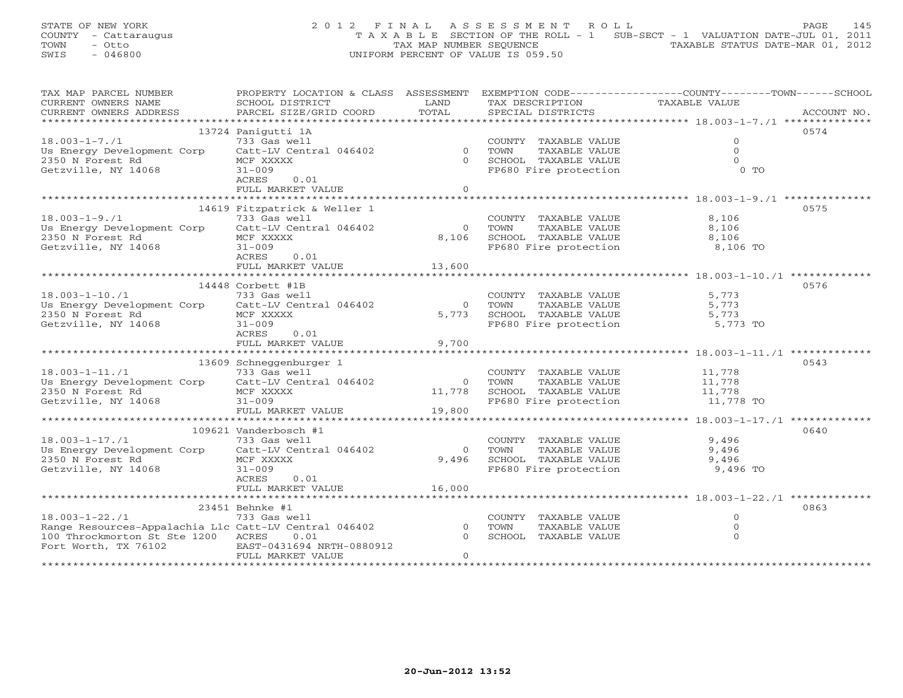# STATE OF NEW YORK 2 0 1 2 F I N A L A S S E S S M E N T R O L L PAGE 145 COUNTY - Cattaraugus T A X A B L E SECTION OF THE ROLL - 1 SUB-SECT - 1 VALUATION DATE-JUL 01, 2011 TOWN - Otto TAX MAP NUMBER SEQUENCE TAXABLE STATUS DATE-MAR 01, 2012 SWIS - 046800 UNIFORM PERCENT OF VALUE IS 059.50

| TAX MAP PARCEL NUMBER                                 | PROPERTY LOCATION & CLASS ASSESSMENT EXEMPTION CODE---------------COUNTY-------TOWN------SCHOOL |                |                                                                       |                |             |
|-------------------------------------------------------|-------------------------------------------------------------------------------------------------|----------------|-----------------------------------------------------------------------|----------------|-------------|
| CURRENT OWNERS NAME                                   | SCHOOL DISTRICT                                                                                 | LAND           | TAX DESCRIPTION                                                       | TAXABLE VALUE  |             |
| CURRENT OWNERS ADDRESS                                | PARCEL SIZE/GRID COORD                                                                          | TOTAL          | SPECIAL DISTRICTS                                                     |                | ACCOUNT NO. |
|                                                       |                                                                                                 |                |                                                                       |                |             |
|                                                       | 13724 Panigutti 1A                                                                              |                |                                                                       |                | 0574        |
| $18.003 - 1 - 7.71$                                   |                                                                                                 |                | COUNTY TAXABLE VALUE                                                  | $\overline{O}$ |             |
| Us Energy Development Corp                            | COUNT (35 GAS Well COUNT)<br>Catt-LV Central 046402 0 TOWN<br>MCE YYYYY                         |                | TAXABLE VALUE                                                         | $\Omega$       |             |
| 2350 N Forest Rd                                      | MCF XXXXX                                                                                       |                | 0 SCHOOL TAXABLE VALUE                                                | $\Omega$       |             |
| Getzville, NY 14068                                   | $31 - 009$                                                                                      |                | FP680 Fire protection                                                 | $0$ TO         |             |
|                                                       | ACRES<br>0.01                                                                                   |                |                                                                       |                |             |
|                                                       | FULL MARKET VALUE                                                                               | $\Omega$       |                                                                       |                |             |
|                                                       |                                                                                                 |                |                                                                       |                |             |
|                                                       | 14619 Fitzpatrick & Weller 1                                                                    |                |                                                                       |                | 0575        |
| $18.003 - 1 - 9.71$                                   | 733 Gas well                                                                                    |                | COUNTY TAXABLE VALUE                                                  | 8,106          |             |
| Us Energy Development Corp                            | Catt-LV Central 046402                                                                          |                | 0 TOWN<br>TAXABLE VALUE                                               | 8,106          |             |
| 2350 N Forest Rd                                      | MCF XXXXX                                                                                       |                | 8,106 SCHOOL TAXABLE VALUE                                            | 8,106          |             |
| Getzville, NY 14068                                   | $31 - 009$                                                                                      |                | FP680 Fire protection                                                 | 8,106 TO       |             |
|                                                       | ACRES<br>0.01                                                                                   |                |                                                                       |                |             |
|                                                       | FULL MARKET VALUE 13,600                                                                        |                |                                                                       |                |             |
|                                                       |                                                                                                 |                |                                                                       |                |             |
|                                                       | 14448 Corbett #1B                                                                               |                |                                                                       |                | 0576        |
| $18.003 - 1 - 10.71$                                  | 733 Gas well                                                                                    |                | COUNTY TAXABLE VALUE 5,773                                            |                |             |
| Us Energy Development Corp Catt-LV Central 046402     |                                                                                                 |                | 0 TOWN<br>TAXABLE VALUE                                               | 5,773          |             |
| 2350 N Forest Rd                                      | MCF XXXXX                                                                                       |                | 5,773 SCHOOL TAXABLE VALUE 5,773                                      |                |             |
| Getzville, NY 14068                                   | $31 - 009$                                                                                      |                | FP680 Fire protection 5,773 TO                                        |                |             |
|                                                       | ACRES<br>0.01                                                                                   |                |                                                                       |                |             |
|                                                       | FULL MARKET VALUE                                                                               | 9,700          |                                                                       |                |             |
|                                                       |                                                                                                 |                |                                                                       |                |             |
|                                                       | 13609 Schneggenburger 1                                                                         |                |                                                                       |                | 0543        |
| $18.003 - 1 - 11.71$                                  | 733 Gas well                                                                                    |                | COUNTY TAXABLE VALUE 11,778                                           |                |             |
| Us Energy Development Corp Catt-LV Central 046402     |                                                                                                 | 0 TOWN         | TAXABLE VALUE                                                         | 11,778         |             |
|                                                       | MCF XXXXX                                                                                       |                |                                                                       |                |             |
| 2350 N Forest Rd<br>Getzville, NY 14068               | $31 - 009$                                                                                      |                | 11,778 SCHOOL TAXABLE VALUE 11,778<br>FP680 Fire protection 11,778 TO |                |             |
|                                                       | FULL MARKET VALUE                                                                               | 19,800         |                                                                       |                |             |
|                                                       |                                                                                                 |                |                                                                       |                |             |
|                                                       | 109621 Vanderbosch #1                                                                           |                |                                                                       |                | 0640        |
| $18.003 - 1 - 17.71$                                  | 733 Gas well                                                                                    |                | COUNTY TAXABLE VALUE                                                  | 9,496          |             |
| Us Energy Development Corp Catt-LV Central 046402     |                                                                                                 | $\Omega$       | TAXABLE VALUE<br>TOWN                                                 | 9,496          |             |
| 2350 N Forest Rd                                      | MCF XXXXX                                                                                       | 9,496          |                                                                       |                |             |
| Getzville, NY 14068                                   | $31 - 009$                                                                                      |                | SCHOOL TAXABLE VALUE 9,496<br>FP680 Fire protection 9,496 TO          |                |             |
|                                                       | ACRES<br>0.01                                                                                   |                |                                                                       |                |             |
|                                                       | FULL MARKET VALUE                                                                               | 16,000         |                                                                       |                |             |
|                                                       |                                                                                                 |                |                                                                       |                |             |
|                                                       | 23451 Behnke #1                                                                                 |                |                                                                       |                | 0863        |
| $18.003 - 1 - 22.71$                                  | 733 Gas well                                                                                    |                | COUNTY TAXABLE VALUE                                                  | $\mathbf{0}$   |             |
| Range Resources-Appalachia Llc Catt-LV Central 046402 |                                                                                                 | $\overline{0}$ | TOWN<br>TAXABLE VALUE                                                 | $\Omega$       |             |
| 100 Throckmorton St Ste 1200 ACRES 0.01               |                                                                                                 | $\Omega$       | SCHOOL TAXABLE VALUE                                                  | $\Omega$       |             |
| Fort Worth, TX 76102 EAST-0431694 NRTH-0880912        |                                                                                                 |                |                                                                       |                |             |
|                                                       | FULL MARKET VALUE                                                                               | $\Omega$       |                                                                       |                |             |
|                                                       |                                                                                                 |                |                                                                       |                |             |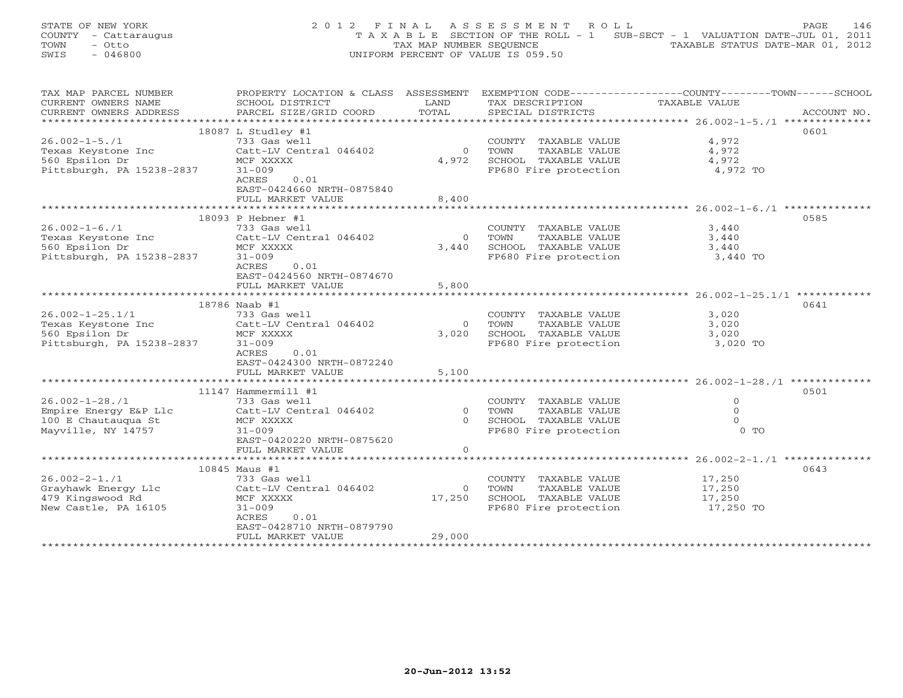STATE OF NEW YORK 2 0 1 2 F I N A L A S S E S S M E N T R O L L PAGE 146 COUNTY - Cattaraugus T A X A B L E SECTION OF THE ROLL - 1 SUB-SECT - 1 VALUATION DATE-JUL 01, 2011 TOWN - Otto TAX MAP NUMBER SEQUENCE TAXABLE STATUS DATE-MAR 01, 2012 SWIS - 046800 UNIFORM PERCENT OF VALUE IS 059.50

| TAX MAP PARCEL NUMBER     | PROPERTY LOCATION & CLASS | ASSESSMENT     |                       | EXEMPTION CODE-----------------COUNTY-------TOWN------SCHOOL |  |
|---------------------------|---------------------------|----------------|-----------------------|--------------------------------------------------------------|--|
| CURRENT OWNERS NAME       | SCHOOL DISTRICT           | LAND           | TAX DESCRIPTION       | TAXABLE VALUE                                                |  |
| CURRENT OWNERS ADDRESS    | PARCEL SIZE/GRID COORD    | TOTAL          | SPECIAL DISTRICTS     | ACCOUNT NO.                                                  |  |
| *******************       | ************************* |                |                       |                                                              |  |
|                           | 18087 L Studley #1        |                |                       | 0601                                                         |  |
| $26.002 - 1 - 5.71$       | 733 Gas well              |                | COUNTY TAXABLE VALUE  | 4,972                                                        |  |
| Texas Keystone Inc        | Catt-LV Central 046402    | $\circ$        | TOWN<br>TAXABLE VALUE | 4,972                                                        |  |
| 560 Epsilon Dr            | MCF XXXXX                 | 4,972          | SCHOOL TAXABLE VALUE  | 4,972                                                        |  |
| Pittsburgh, PA 15238-2837 | $31 - 009$                |                | FP680 Fire protection | 4,972 TO                                                     |  |
|                           | ACRES<br>0.01             |                |                       |                                                              |  |
|                           |                           |                |                       |                                                              |  |
|                           | EAST-0424660 NRTH-0875840 |                |                       |                                                              |  |
|                           | FULL MARKET VALUE         | 8,400          |                       |                                                              |  |
|                           | ***********************   |                |                       | ******************* 26.002-1-6./1 *********                  |  |
|                           | 18093 P Hebner #1         |                |                       | 0585                                                         |  |
| $26.002 - 1 - 6.71$       | 733 Gas well              |                | COUNTY TAXABLE VALUE  | 3,440                                                        |  |
| Texas Keystone Inc        | Catt-LV Central 046402    | $\Omega$       | TOWN<br>TAXABLE VALUE | 3,440                                                        |  |
| 560 Epsilon Dr            | MCF XXXXX                 | 3,440          | SCHOOL TAXABLE VALUE  | 3,440                                                        |  |
| Pittsburgh, PA 15238-2837 | $31 - 009$                |                | FP680 Fire protection | 3,440 TO                                                     |  |
|                           | 0.01<br>ACRES             |                |                       |                                                              |  |
|                           | EAST-0424560 NRTH-0874670 |                |                       |                                                              |  |
|                           | FULL MARKET VALUE         | 5,800          |                       |                                                              |  |
|                           |                           |                |                       |                                                              |  |
|                           | 18786 Naab #1             |                |                       | 0641                                                         |  |
| $26.002 - 1 - 25.1/1$     | 733 Gas well              |                | COUNTY TAXABLE VALUE  | 3,020                                                        |  |
|                           |                           | $\circ$        | TOWN<br>TAXABLE VALUE | 3,020                                                        |  |
| Texas Keystone Inc        | Catt-LV Central 046402    |                |                       |                                                              |  |
| 560 Epsilon Dr            | MCF XXXXX                 | 3,020          | SCHOOL TAXABLE VALUE  | 3,020                                                        |  |
| Pittsburgh, PA 15238-2837 | $31 - 009$                |                | FP680 Fire protection | 3,020 TO                                                     |  |
|                           | ACRES<br>0.01             |                |                       |                                                              |  |
|                           | EAST-0424300 NRTH-0872240 |                |                       |                                                              |  |
|                           | FULL MARKET VALUE         | 5,100          |                       |                                                              |  |
|                           |                           |                |                       |                                                              |  |
|                           | $11147$ Hammermill #1     |                |                       | 0501                                                         |  |
| $26.002 - 1 - 28.71$      | 733 Gas well              |                | COUNTY TAXABLE VALUE  | $\Omega$                                                     |  |
| Empire Energy E&P Llc     | Catt-LV Central 046402    | $\circ$        | TOWN<br>TAXABLE VALUE | $\Omega$                                                     |  |
| 100 E Chautauqua St       | MCF XXXXX                 | $\cap$         | SCHOOL TAXABLE VALUE  | $\Omega$                                                     |  |
| Mayville, NY 14757        | $31 - 009$                |                | FP680 Fire protection | $0$ TO                                                       |  |
|                           | EAST-0420220 NRTH-0875620 |                |                       |                                                              |  |
|                           | FULL MARKET VALUE         | $\Omega$       |                       |                                                              |  |
|                           |                           |                |                       |                                                              |  |
|                           | 10845 Maus #1             |                |                       | 0643                                                         |  |
| $26.002 - 2 - 1.71$       | 733 Gas well              |                | COUNTY TAXABLE VALUE  | 17,250                                                       |  |
| Grayhawk Energy Llc       | Catt-LV Central 046402    | $\overline{0}$ | TOWN<br>TAXABLE VALUE | 17,250                                                       |  |
|                           |                           |                |                       |                                                              |  |
| 479 Kingswood Rd          | MCF XXXXX                 | 17,250         | SCHOOL TAXABLE VALUE  | 17,250                                                       |  |
| New Castle, PA 16105      | $31 - 009$                |                | FP680 Fire protection | 17,250 TO                                                    |  |
|                           | ACRES<br>0.01             |                |                       |                                                              |  |
|                           | EAST-0428710 NRTH-0879790 |                |                       |                                                              |  |
|                           | FULL MARKET VALUE         | 29,000         |                       |                                                              |  |
|                           |                           |                |                       |                                                              |  |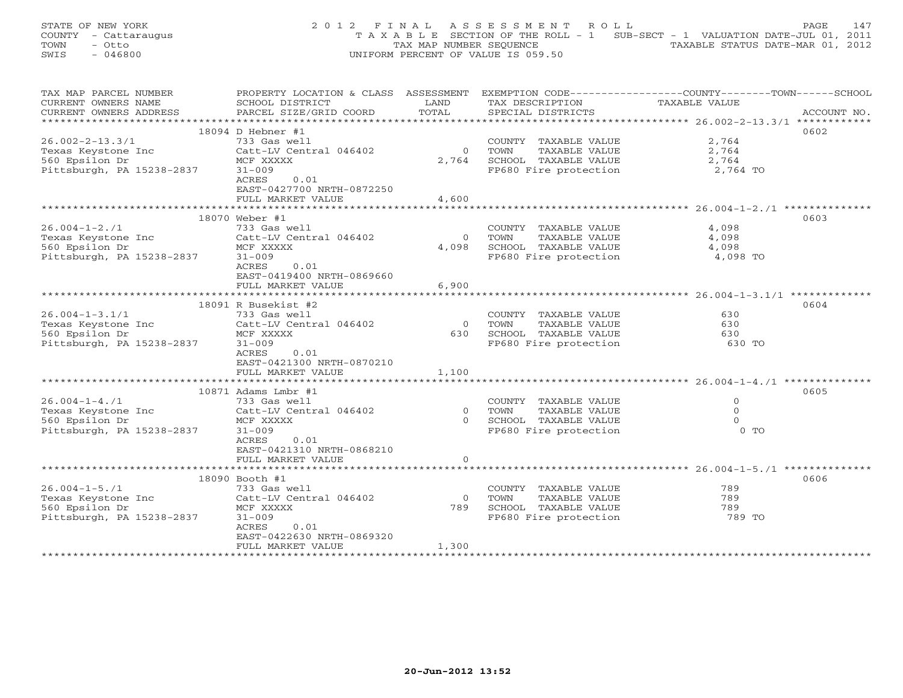STATE OF NEW YORK 2 0 1 2 F I N A L A S S E S S M E N T R O L L PAGE 147 COUNTY - Cattaraugus T A X A B L E SECTION OF THE ROLL - 1 SUB-SECT - 1 VALUATION DATE-JUL 01, 2011 TOWN - Otto TAX MAP NUMBER SEQUENCE TAXABLE STATUS DATE-MAR 01, 2012 SWIS - 046800 UNIFORM PERCENT OF VALUE IS 059.50

| TAX MAP PARCEL NUMBER     | PROPERTY LOCATION & CLASS ASSESSMENT |                | EXEMPTION CODE-----------------COUNTY-------TOWN------SCHOOL |               |             |
|---------------------------|--------------------------------------|----------------|--------------------------------------------------------------|---------------|-------------|
| CURRENT OWNERS NAME       | SCHOOL DISTRICT                      | LAND           | TAX DESCRIPTION                                              | TAXABLE VALUE |             |
| CURRENT OWNERS ADDRESS    | PARCEL SIZE/GRID COORD               | TOTAL          | SPECIAL DISTRICTS                                            |               | ACCOUNT NO. |
| ***********************   |                                      |                |                                                              |               |             |
|                           | 18094 D Hebner #1                    |                |                                                              |               | 0602        |
| $26.002 - 2 - 13.3/1$     | 733 Gas well                         |                | COUNTY TAXABLE VALUE                                         | 2,764         |             |
| Texas Keystone Inc        | Catt-LV Central 046402               | $\overline{0}$ | TOWN<br>TAXABLE VALUE                                        | 2,764         |             |
| 560 Epsilon Dr            | MCF XXXXX                            | 2,764          | SCHOOL TAXABLE VALUE                                         | 2,764         |             |
| Pittsburgh, PA 15238-2837 | $31 - 009$                           |                | FP680 Fire protection                                        | 2,764 TO      |             |
|                           | 0.01<br>ACRES                        |                |                                                              |               |             |
|                           | EAST-0427700 NRTH-0872250            |                |                                                              |               |             |
|                           | FULL MARKET VALUE                    | 4,600          |                                                              |               |             |
|                           |                                      |                |                                                              |               |             |
|                           | 18070 Weber #1                       |                |                                                              |               | 0603        |
| $26.004 - 1 - 2.71$       | 733 Gas well                         |                | COUNTY TAXABLE VALUE                                         | 4,098         |             |
|                           |                                      |                |                                                              |               |             |
| Texas Keystone Inc        | Catt-LV Central 046402               | $\overline{0}$ | TOWN<br>TAXABLE VALUE                                        | 4,098         |             |
| 560 Epsilon Dr            | MCF XXXXX                            | 4,098          | SCHOOL TAXABLE VALUE                                         | 4,098         |             |
| Pittsburgh, PA 15238-2837 | $31 - 009$                           |                | FP680 Fire protection                                        | 4,098 TO      |             |
|                           | ACRES<br>0.01                        |                |                                                              |               |             |
|                           | EAST-0419400 NRTH-0869660            |                |                                                              |               |             |
|                           | FULL MARKET VALUE                    | 6,900          |                                                              |               |             |
|                           | ***************************          |                |                                                              |               |             |
|                           | 18091 R Busekist #2                  |                |                                                              |               | 0604        |
| $26.004 - 1 - 3.1/1$      | 733 Gas well                         |                | COUNTY TAXABLE VALUE                                         | 630           |             |
| Texas Keystone Inc        | Catt-LV Central 046402               | $\overline{0}$ | TOWN<br>TAXABLE VALUE                                        | 630           |             |
| 560 Epsilon Dr            | MCF XXXXX                            | 630            | SCHOOL TAXABLE VALUE                                         | 630           |             |
| Pittsburgh, PA 15238-2837 | $31 - 009$                           |                | FP680 Fire protection                                        | 630 TO        |             |
|                           | ACRES<br>0.01                        |                |                                                              |               |             |
|                           | EAST-0421300 NRTH-0870210            |                |                                                              |               |             |
|                           | FULL MARKET VALUE                    | 1,100          |                                                              |               |             |
|                           |                                      |                |                                                              |               |             |
|                           | 10871 Adams Lmbr #1                  |                |                                                              |               | 0605        |
| $26.004 - 1 - 4.71$       | 733 Gas well                         |                | COUNTY TAXABLE VALUE                                         | $\Omega$      |             |
| Texas Keystone Inc        | Catt-LV Central 046402               | $\overline{0}$ | TOWN<br>TAXABLE VALUE                                        | $\circ$       |             |
| 560 Epsilon Dr            | MCF XXXXX                            | $\Omega$       | SCHOOL TAXABLE VALUE                                         | $\Omega$      |             |
| Pittsburgh, PA 15238-2837 | $31 - 009$                           |                | FP680 Fire protection                                        | $0$ TO        |             |
|                           | ACRES<br>0.01                        |                |                                                              |               |             |
|                           |                                      |                |                                                              |               |             |
|                           | EAST-0421310 NRTH-0868210            |                |                                                              |               |             |
|                           | FULL MARKET VALUE                    | $\circ$        |                                                              |               |             |
|                           |                                      |                |                                                              |               |             |
|                           | 18090 Booth #1                       |                |                                                              |               | 0606        |
| $26.004 - 1 - 5.71$       | 733 Gas well                         |                | COUNTY TAXABLE VALUE                                         | 789           |             |
| Texas Keystone Inc        | Catt-LV Central 046402               | $\overline{0}$ | TAXABLE VALUE<br>TOWN                                        | 789           |             |
| 560 Epsilon Dr            | MCF XXXXX                            | 789            | SCHOOL TAXABLE VALUE                                         | 789           |             |
| Pittsburgh, PA 15238-2837 | $31 - 009$                           |                | FP680 Fire protection                                        | 789 TO        |             |
|                           | ACRES<br>0.01                        |                |                                                              |               |             |
|                           | EAST-0422630 NRTH-0869320            |                |                                                              |               |             |
|                           | FULL MARKET VALUE                    | 1,300          |                                                              |               |             |
|                           |                                      |                |                                                              |               |             |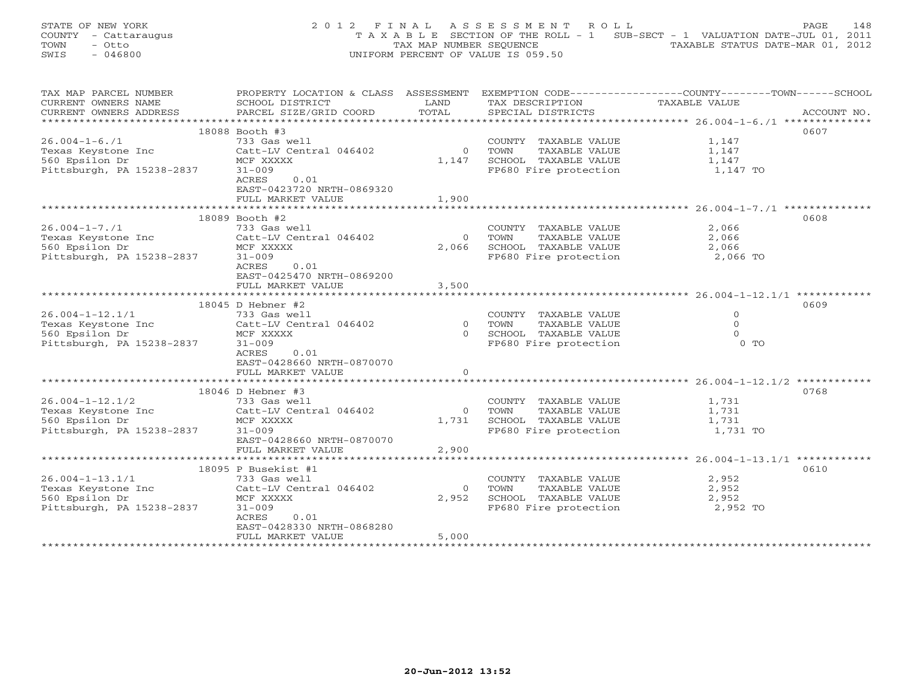STATE OF NEW YORK 2 0 1 2 F I N A L A S S E S S M E N T R O L L PAGE 148 COUNTY - Cattaraugus T A X A B L E SECTION OF THE ROLL - 1 SUB-SECT - 1 VALUATION DATE-JUL 01, 2011 TOWN - Otto TAX MAP NUMBER SEQUENCE TAXABLE STATUS DATE-MAR 01, 2012 SWIS - 046800 UNIFORM PERCENT OF VALUE IS 059.50

| TAX MAP PARCEL NUMBER                | PROPERTY LOCATION & CLASS ASSESSMENT |                | EXEMPTION CODE-----------------COUNTY-------TOWN------SCHOOL |               |             |
|--------------------------------------|--------------------------------------|----------------|--------------------------------------------------------------|---------------|-------------|
| CURRENT OWNERS NAME                  | SCHOOL DISTRICT                      | LAND           | TAX DESCRIPTION                                              | TAXABLE VALUE |             |
| CURRENT OWNERS ADDRESS               | PARCEL SIZE/GRID COORD               | TOTAL          | SPECIAL DISTRICTS                                            |               | ACCOUNT NO. |
| ************************************ |                                      |                |                                                              |               |             |
|                                      | 18088 Booth #3                       |                |                                                              |               | 0607        |
| $26.004 - 1 - 6.71$                  | 733 Gas well                         |                | COUNTY TAXABLE VALUE                                         | 1,147         |             |
| Texas Keystone Inc                   | Catt-LV Central 046402               | $\circ$        | TOWN<br>TAXABLE VALUE                                        | 1,147         |             |
| 560 Epsilon Dr                       | MCF XXXXX                            | 1,147          | SCHOOL TAXABLE VALUE                                         | 1,147         |             |
| Pittsburgh, PA 15238-2837            | $31 - 009$                           |                | FP680 Fire protection                                        | 1,147 TO      |             |
|                                      | 0.01<br>ACRES                        |                |                                                              |               |             |
|                                      | EAST-0423720 NRTH-0869320            |                |                                                              |               |             |
|                                      | FULL MARKET VALUE                    | 1,900          |                                                              |               |             |
| ***********************************  |                                      |                |                                                              |               |             |
|                                      | 18089 Booth #2                       |                |                                                              |               | 0608        |
| $26.004 - 1 - 7.71$                  | 733 Gas well                         |                | COUNTY TAXABLE VALUE                                         | 2,066         |             |
| Texas Keystone Inc                   | Catt-LV Central 046402               | $\Omega$       | TOWN<br>TAXABLE VALUE                                        | 2,066         |             |
| 560 Epsilon Dr                       | MCF XXXXX                            | 2,066          |                                                              | 2,066         |             |
| Pittsburgh, PA 15238-2837            | $31 - 009$                           |                | SCHOOL TAXABLE VALUE<br>FP680 Fire protection                | 2,066 TO      |             |
|                                      | ACRES<br>0.01                        |                |                                                              |               |             |
|                                      | EAST-0425470 NRTH-0869200            |                |                                                              |               |             |
|                                      | FULL MARKET VALUE                    | 3,500          |                                                              |               |             |
|                                      |                                      |                |                                                              |               |             |
|                                      | 18045 D Hebner #2                    |                |                                                              |               | 0609        |
| $26.004 - 1 - 12.1/1$                | 733 Gas well                         |                | COUNTY TAXABLE VALUE                                         | $\Omega$      |             |
| Texas Keystone Inc                   | Catt-LV Central 046402               | $\overline{0}$ | TOWN<br>TAXABLE VALUE                                        | $\Omega$      |             |
| 560 Epsilon Dr                       | MCF XXXXX                            | $\Omega$       | SCHOOL TAXABLE VALUE                                         | $\Omega$      |             |
| Pittsburgh, PA 15238-2837            | $31 - 009$                           |                | FP680 Fire protection                                        | $0$ TO        |             |
|                                      | ACRES<br>0.01                        |                |                                                              |               |             |
|                                      | EAST-0428660 NRTH-0870070            |                |                                                              |               |             |
|                                      | FULL MARKET VALUE                    | $\Omega$       |                                                              |               |             |
|                                      |                                      |                |                                                              |               |             |
|                                      | 18046 D Hebner #3                    |                |                                                              |               | 0768        |
| $26.004 - 1 - 12.1/2$                | 733 Gas well                         |                | COUNTY TAXABLE VALUE                                         | 1,731         |             |
| Texas Keystone Inc                   | Catt-LV Central 046402               | $\Omega$       | TOWN<br>TAXABLE VALUE                                        | 1,731         |             |
| 560 Epsilon Dr                       | MCF XXXXX                            | 1,731          | SCHOOL TAXABLE VALUE                                         | 1,731         |             |
| Pittsburgh, PA 15238-2837            | $31 - 009$                           |                | FP680 Fire protection                                        | 1,731 TO      |             |
|                                      | EAST-0428660 NRTH-0870070            |                |                                                              |               |             |
|                                      | FULL MARKET VALUE                    | 2,900          |                                                              |               |             |
|                                      |                                      |                |                                                              |               |             |
|                                      | 18095 P Busekist #1                  |                |                                                              |               | 0610        |
| $26.004 - 1 - 13.1/1$                | 733 Gas well                         |                | COUNTY TAXABLE VALUE                                         | 2,952         |             |
| Texas Keystone Inc                   | Catt-LV Central 046402               | $\overline{0}$ | TOWN<br>TAXABLE VALUE                                        | 2,952         |             |
| 560 Epsilon Dr                       | MCF XXXXX                            | 2,952          | SCHOOL TAXABLE VALUE                                         | 2,952         |             |
| Pittsburgh, PA 15238-2837            | $31 - 009$                           |                | FP680 Fire protection                                        | 2,952 TO      |             |
|                                      | ACRES<br>0.01                        |                |                                                              |               |             |
|                                      | EAST-0428330 NRTH-0868280            |                |                                                              |               |             |
|                                      | FULL MARKET VALUE                    | 5,000          |                                                              |               |             |
|                                      |                                      |                |                                                              |               |             |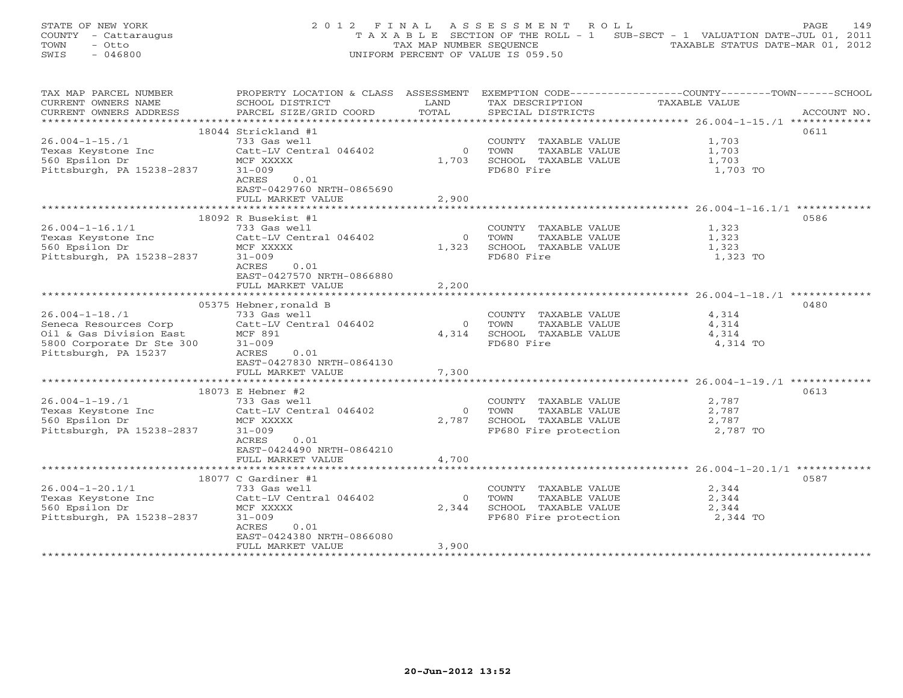|      | STATE OF NEW YORK    | 2012 FINAL ASSESSMENT ROLL                                                     | PAGE | 149 |
|------|----------------------|--------------------------------------------------------------------------------|------|-----|
|      | COUNTY - Cattaraugus | T A X A B L E SECTION OF THE ROLL - 1 SUB-SECT - 1 VALUATION DATE-JUL 01, 2011 |      |     |
| TOWN | - Otto               | TAXABLE STATUS DATE-MAR 01, 2012<br>TAX MAP NUMBER SEOUENCE                    |      |     |
| SWIS | - 046800             | UNIFORM PERCENT OF VALUE IS 059.50                                             |      |     |

| TAX MAP PARCEL NUMBER     | PROPERTY LOCATION & CLASS ASSESSMENT |                | EXEMPTION CODE-----------------COUNTY-------TOWN-----SCHOOL |               |             |
|---------------------------|--------------------------------------|----------------|-------------------------------------------------------------|---------------|-------------|
| CURRENT OWNERS NAME       | SCHOOL DISTRICT                      | LAND           | TAX DESCRIPTION                                             | TAXABLE VALUE |             |
| CURRENT OWNERS ADDRESS    | PARCEL SIZE/GRID COORD               | TOTAL          | SPECIAL DISTRICTS                                           |               | ACCOUNT NO. |
|                           |                                      |                |                                                             |               |             |
|                           | 18044 Strickland #1                  |                |                                                             |               | 0611        |
| $26.004 - 1 - 15.71$      | 733 Gas well                         |                | COUNTY TAXABLE VALUE                                        | 1,703         |             |
| Texas Keystone Inc        | Catt-LV Central 046402               | $\overline{0}$ | TOWN<br>TAXABLE VALUE                                       | 1,703         |             |
| 560 Epsilon Dr            | MCF XXXXX                            | 1,703          | SCHOOL TAXABLE VALUE                                        | 1,703         |             |
| Pittsburgh, PA 15238-2837 | $31 - 009$                           |                | FD680 Fire                                                  | 1,703 TO      |             |
|                           | <b>ACRES</b><br>0.01                 |                |                                                             |               |             |
|                           | EAST-0429760 NRTH-0865690            |                |                                                             |               |             |
|                           | FULL MARKET VALUE                    | 2,900          |                                                             |               |             |
|                           |                                      |                |                                                             |               |             |
|                           | 18092 R Busekist #1                  |                |                                                             |               | 0586        |
| $26.004 - 1 - 16.1/1$     | 733 Gas well                         |                | COUNTY TAXABLE VALUE                                        | 1,323         |             |
| Texas Keystone Inc        | Catt-LV Central 046402               | $\Omega$       | TAXABLE VALUE<br>TOWN                                       | 1,323         |             |
| 560 Epsilon Dr            | MCF XXXXX                            | 1,323          | SCHOOL TAXABLE VALUE                                        | 1,323         |             |
| Pittsburgh, PA 15238-2837 | $31 - 009$                           |                | FD680 Fire                                                  | 1,323 TO      |             |
|                           | <b>ACRES</b><br>0.01                 |                |                                                             |               |             |
|                           | EAST-0427570 NRTH-0866880            |                |                                                             |               |             |
|                           | FULL MARKET VALUE                    | 2,200          |                                                             |               |             |
|                           |                                      |                |                                                             |               |             |
|                           | 05375 Hebner, ronald B               |                |                                                             |               | 0480        |
| $26.004 - 1 - 18.71$      | 733 Gas well                         |                | COUNTY TAXABLE VALUE                                        | 4,314         |             |
| Seneca Resources Corp     | Catt-LV Central 046402               | $\Omega$       | TOWN<br>TAXABLE VALUE                                       | 4,314         |             |
| Oil & Gas Division East   | MCF 891                              | 4,314          | SCHOOL TAXABLE VALUE                                        | 4,314         |             |
| 5800 Corporate Dr Ste 300 | $31 - 009$                           |                | FD680 Fire                                                  | 4,314 TO      |             |
| Pittsburgh, PA 15237      | ACRES<br>0.01                        |                |                                                             |               |             |
|                           | EAST-0427830 NRTH-0864130            |                |                                                             |               |             |
|                           | FULL MARKET VALUE                    | 7,300          |                                                             |               |             |
|                           |                                      |                |                                                             |               |             |
|                           | 18073 E Hebner #2                    |                |                                                             |               | 0613        |
| $26.004 - 1 - 19.71$      | 733 Gas well                         |                | COUNTY TAXABLE VALUE                                        | 2,787         |             |
| Texas Keystone Inc        | Catt-LV Central 046402               | $\Omega$       | TOWN<br>TAXABLE VALUE                                       | 2,787         |             |
| 560 Epsilon Dr            | MCF XXXXX                            | 2,787          | SCHOOL TAXABLE VALUE                                        | 2,787         |             |
| Pittsburgh, PA 15238-2837 | $31 - 009$                           |                | FP680 Fire protection                                       | 2,787 TO      |             |
|                           | ACRES<br>0.01                        |                |                                                             |               |             |
|                           | EAST-0424490 NRTH-0864210            |                |                                                             |               |             |
|                           | FULL MARKET VALUE                    | 4,700          |                                                             |               |             |
|                           |                                      |                |                                                             |               |             |
|                           | 18077 C Gardiner #1                  |                |                                                             |               | 0587        |
| $26.004 - 1 - 20.1/1$     | 733 Gas well                         |                | COUNTY TAXABLE VALUE                                        | 2,344         |             |
| Texas Keystone Inc        | Catt-LV Central 046402               | $\circ$        | TAXABLE VALUE<br>TOWN                                       | 2,344         |             |
| 560 Epsilon Dr            | MCF XXXXX                            | 2,344          | SCHOOL TAXABLE VALUE                                        | 2,344         |             |
| Pittsburgh, PA 15238-2837 | $31 - 009$                           |                | FP680 Fire protection                                       | 2,344 TO      |             |
|                           | ACRES<br>0.01                        |                |                                                             |               |             |
|                           | EAST-0424380 NRTH-0866080            |                |                                                             |               |             |
|                           | FULL MARKET VALUE                    | 3,900          |                                                             |               |             |
|                           |                                      |                |                                                             |               |             |
|                           |                                      |                |                                                             |               |             |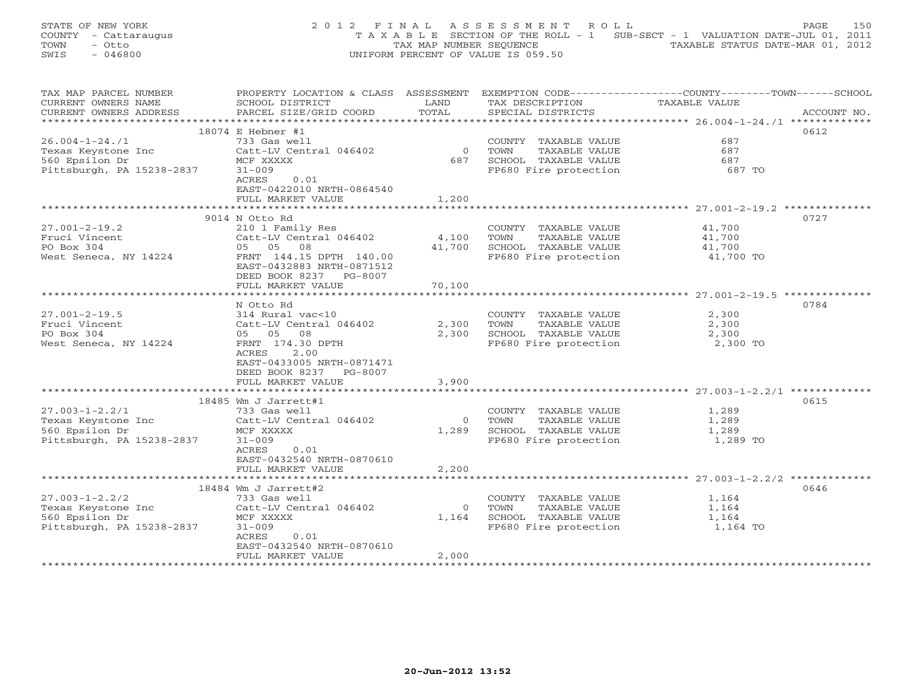STATE OF NEW YORK 2 0 1 2 F I N A L A S S E S S M E N T R O L L PAGE 150 COUNTY - Cattaraugus T A X A B L E SECTION OF THE ROLL - 1 SUB-SECT - 1 VALUATION DATE-JUL 01, 2011 TOWN - Otto TAX MAP NUMBER SEQUENCE TAXABLE STATUS DATE-MAR 01, 2012 SWIS - 046800 UNIFORM PERCENT OF VALUE IS 059.50

| TAX MAP PARCEL NUMBER                      | PROPERTY LOCATION & CLASS ASSESSMENT   |                | EXEMPTION CODE-----------------COUNTY-------TOWN-----SCHOOL |                |             |
|--------------------------------------------|----------------------------------------|----------------|-------------------------------------------------------------|----------------|-------------|
| CURRENT OWNERS NAME                        | SCHOOL DISTRICT                        | LAND           | TAX DESCRIPTION                                             | TAXABLE VALUE  |             |
| CURRENT OWNERS ADDRESS                     | PARCEL SIZE/GRID COORD                 | TOTAL          | SPECIAL DISTRICTS                                           |                | ACCOUNT NO. |
| **********************                     |                                        |                |                                                             |                |             |
|                                            | 18074 E Hebner #1                      |                |                                                             |                | 0612        |
| $26.004 - 1 - 24.71$                       | 733 Gas well                           |                | COUNTY TAXABLE VALUE                                        | 687            |             |
| Texas Keystone Inc                         | Catt-LV Central 046402                 | $\overline{0}$ | TOWN<br>TAXABLE VALUE                                       | 687            |             |
| 560 Epsilon Dr                             | MCF XXXXX                              | 687            | SCHOOL TAXABLE VALUE                                        | 687            |             |
| Pittsburgh, PA 15238-2837                  | $31 - 009$                             |                | FP680 Fire protection                                       | 687 TO         |             |
|                                            | 0.01<br>ACRES                          |                |                                                             |                |             |
|                                            | EAST-0422010 NRTH-0864540              |                |                                                             |                |             |
|                                            | FULL MARKET VALUE                      | 1,200          |                                                             |                |             |
|                                            |                                        |                |                                                             |                | 0727        |
|                                            | 9014 N Otto Rd<br>210 1 Family Res     |                |                                                             | 41,700         |             |
| $27.001 - 2 - 19.2$<br>Fruci Vincent       | Catt-LV Central 046402                 | 4,100          | COUNTY TAXABLE VALUE<br>TOWN<br>TAXABLE VALUE               | 41,700         |             |
| PO Box 304                                 | 05 05 08                               | 41,700         | SCHOOL TAXABLE VALUE                                        | 41,700         |             |
| West Seneca, NY 14224                      | FRNT 144.15 DPTH 140.00                |                | FP680 Fire protection                                       | 41,700 TO      |             |
|                                            | EAST-0432883 NRTH-0871512              |                |                                                             |                |             |
|                                            | DEED BOOK 8237 PG-8007                 |                |                                                             |                |             |
|                                            | FULL MARKET VALUE                      | 70,100         |                                                             |                |             |
|                                            |                                        |                |                                                             |                |             |
|                                            | N Otto Rd                              |                |                                                             |                | 0784        |
| $27.001 - 2 - 19.5$                        | 314 Rural vac<10                       |                | COUNTY TAXABLE VALUE                                        | 2,300          |             |
| Fruci Vincent                              | Catt-LV Central 046402                 | 2,300          | TOWN<br>TAXABLE VALUE                                       | 2,300          |             |
| PO Box 304                                 | 05 05 08                               |                | 2,300 SCHOOL TAXABLE VALUE                                  | 2,300          |             |
| West Seneca, NY 14224                      | FRNT 174.30 DPTH                       |                | FP680 Fire protection                                       | 2,300 TO       |             |
|                                            | ACRES<br>2.00                          |                |                                                             |                |             |
|                                            | EAST-0433005 NRTH-0871471              |                |                                                             |                |             |
|                                            | DEED BOOK 8237 PG-8007                 |                |                                                             |                |             |
|                                            | FULL MARKET VALUE                      | 3,900          |                                                             |                |             |
|                                            | *****************************          | ************** |                                                             |                |             |
|                                            | 18485 Wm J Jarrett#1                   |                |                                                             |                | 0615        |
| $27.003 - 1 - 2.2/1$                       | 733 Gas well                           |                | COUNTY TAXABLE VALUE                                        | 1,289          |             |
| Texas Keystone Inc                         | Catt-LV Central 046402                 | $\bigcirc$     | TOWN<br>TAXABLE VALUE                                       | 1,289          |             |
| 560 Epsilon Dr                             | MCF XXXXX                              | 1,289          | SCHOOL TAXABLE VALUE                                        | 1,289          |             |
| Pittsburgh, PA 15238-2837                  | $31 - 009$                             |                | FP680 Fire protection                                       | 1,289 TO       |             |
|                                            | ACRES<br>0.01                          |                |                                                             |                |             |
|                                            | EAST-0432540 NRTH-0870610              |                |                                                             |                |             |
|                                            | FULL MARKET VALUE                      | 2,200          |                                                             |                |             |
|                                            |                                        |                |                                                             |                |             |
|                                            | 18484 Wm J Jarrett#2                   |                |                                                             |                | 0646        |
| $27.003 - 1 - 2.2/2$<br>Texas Keystone Inc | 733 Gas well<br>Catt-LV Central 046402 | $\Omega$       | COUNTY TAXABLE VALUE<br>TOWN<br>TAXABLE VALUE               | 1,164<br>1,164 |             |
| 560 Epsilon Dr                             | MCF XXXXX                              | 1,164          | SCHOOL TAXABLE VALUE                                        | 1,164          |             |
| Pittsburgh, PA 15238-2837                  | $31 - 009$                             |                | FP680 Fire protection                                       | 1,164 TO       |             |
|                                            | ACRES<br>0.01                          |                |                                                             |                |             |
|                                            | EAST-0432540 NRTH-0870610              |                |                                                             |                |             |
|                                            | FULL MARKET VALUE                      | 2,000          |                                                             |                |             |
|                                            |                                        |                |                                                             |                |             |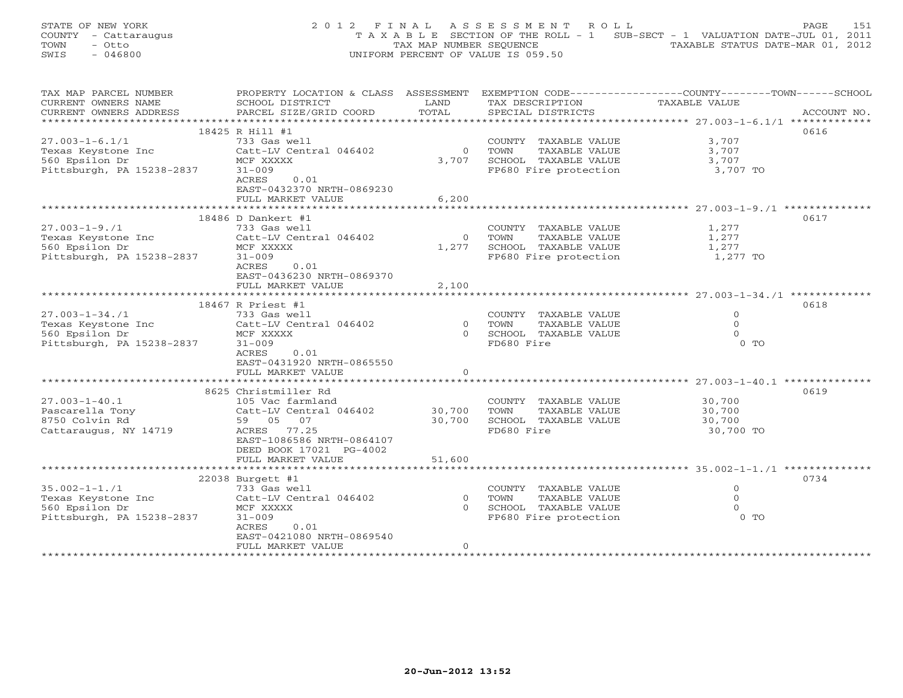|      | STATE OF NEW YORK    | 2012 FINAL ASSESSMENT ROLL                                                     | PAGE | 151 |
|------|----------------------|--------------------------------------------------------------------------------|------|-----|
|      | COUNTY - Cattaraugus | T A X A B L E SECTION OF THE ROLL - 1 SUB-SECT - 1 VALUATION DATE-JUL 01, 2011 |      |     |
| TOWN | - Otto               | TAXABLE STATUS DATE-MAR 01, 2012<br>TAX MAP NUMBER SEOUENCE                    |      |     |
| SWIS | - 046800             | UNIFORM PERCENT OF VALUE IS 059.50                                             |      |     |

| TAX MAP PARCEL NUMBER     | PROPERTY LOCATION & CLASS ASSESSMENT EXEMPTION CODE----------------COUNTY-------TOWN------SCHOOL |                |                                               |               |             |
|---------------------------|--------------------------------------------------------------------------------------------------|----------------|-----------------------------------------------|---------------|-------------|
| CURRENT OWNERS NAME       | SCHOOL DISTRICT                                                                                  | LAND           | TAX DESCRIPTION                               | TAXABLE VALUE |             |
| CURRENT OWNERS ADDRESS    | PARCEL SIZE/GRID COORD                                                                           | TOTAL          | SPECIAL DISTRICTS                             |               | ACCOUNT NO. |
|                           |                                                                                                  |                |                                               |               |             |
|                           | 18425 R Hill #1                                                                                  |                |                                               |               | 0616        |
| $27.003 - 1 - 6.1/1$      | 733 Gas well                                                                                     |                | COUNTY TAXABLE VALUE                          | 3,707         |             |
| Texas Keystone Inc        | Catt-LV Central 046402                                                                           | $\Omega$       | TAXABLE VALUE<br>TOWN                         | 3,707         |             |
| 560 Epsilon Dr            | MCF XXXXX                                                                                        | 3,707          | SCHOOL TAXABLE VALUE                          | 3,707         |             |
| Pittsburgh, PA 15238-2837 | $31 - 009$                                                                                       |                | FP680 Fire protection                         | 3,707 TO      |             |
|                           | 0.01                                                                                             |                |                                               |               |             |
|                           | ACRES                                                                                            |                |                                               |               |             |
|                           | EAST-0432370 NRTH-0869230                                                                        |                |                                               |               |             |
|                           | FULL MARKET VALUE                                                                                | 6,200          |                                               |               |             |
|                           |                                                                                                  |                |                                               |               |             |
|                           | 18486 D Dankert #1                                                                               |                |                                               |               | 0617        |
| $27.003 - 1 - 9.71$       | 733 Gas well                                                                                     |                | COUNTY TAXABLE VALUE                          | 1,277         |             |
| Texas Keystone Inc        | Catt-LV Central 046402                                                                           | $\overline{0}$ | TOWN<br>TAXABLE VALUE                         | 1,277         |             |
| 560 Epsilon Dr            | MCF XXXXX                                                                                        | 1,277          |                                               | 1,277         |             |
| Pittsburgh, PA 15238-2837 | $31 - 009$                                                                                       |                | SCHOOL TAXABLE VALUE<br>FP680 Fire protection | 1,277 TO      |             |
|                           | ACRES<br>0.01                                                                                    |                |                                               |               |             |
|                           | EAST-0436230 NRTH-0869370                                                                        |                |                                               |               |             |
|                           | FULL MARKET VALUE                                                                                | 2,100          |                                               |               |             |
|                           |                                                                                                  |                |                                               |               |             |
|                           | 18467 R Priest #1                                                                                |                |                                               |               | 0618        |
| $27.003 - 1 - 34.71$      | 733 Gas well                                                                                     |                | COUNTY TAXABLE VALUE                          | $\mathbf{0}$  |             |
| Texas Keystone Inc        | Catt-LV Central 046402                                                                           | $\overline{O}$ | TOWN<br>TAXABLE VALUE                         | $\mathbf{0}$  |             |
| 560 Epsilon Dr            | MCF XXXXX                                                                                        | $\Omega$       | SCHOOL TAXABLE VALUE                          | $\mathbf{0}$  |             |
|                           |                                                                                                  |                |                                               |               |             |
| Pittsburgh, PA 15238-2837 | $31 - 009$                                                                                       |                | FD680 Fire                                    | $0$ TO        |             |
|                           | ACRES<br>0.01                                                                                    |                |                                               |               |             |
|                           | EAST-0431920 NRTH-0865550                                                                        |                |                                               |               |             |
|                           | FULL MARKET VALUE                                                                                | $\circ$        |                                               |               |             |
|                           |                                                                                                  |                |                                               |               |             |
|                           | 8625 Christmiller Rd                                                                             |                |                                               |               | 0619        |
| $27.003 - 1 - 40.1$       | 105 Vac farmland                                                                                 |                | COUNTY TAXABLE VALUE                          | 30,700        |             |
| Pascarella Tony           | Catt-LV Central 046402                                                                           | 30,700         | TAXABLE VALUE<br>TOWN                         | 30,700        |             |
| 8750 Colvin Rd            | 59 05<br>07                                                                                      | 30,700         | SCHOOL TAXABLE VALUE                          | 30,700        |             |
| Cattaraugus, NY 14719     | ACRES 77.25                                                                                      |                | FD680 Fire                                    | 30,700 TO     |             |
|                           | EAST-1086586 NRTH-0864107                                                                        |                |                                               |               |             |
|                           | DEED BOOK 17021 PG-4002                                                                          |                |                                               |               |             |
|                           | FULL MARKET VALUE                                                                                | 51,600         |                                               |               |             |
|                           |                                                                                                  |                |                                               |               |             |
|                           | 22038 Burgett #1                                                                                 |                |                                               |               | 0734        |
| $35.002 - 1 - 1.71$       | 733 Gas well                                                                                     |                | COUNTY TAXABLE VALUE                          | $\mathbf{0}$  |             |
| Texas Keystone Inc        | Catt-LV Central 046402                                                                           | $\overline{0}$ | TAXABLE VALUE<br>TOWN                         | $\mathbf{O}$  |             |
| 560 Epsilon Dr            | MCF XXXXX                                                                                        | $\cap$         | SCHOOL TAXABLE VALUE                          | $\Omega$      |             |
| Pittsburgh, PA 15238-2837 |                                                                                                  |                | FP680 Fire protection                         | $0$ TO        |             |
|                           | $31 - 009$                                                                                       |                |                                               |               |             |
|                           | ACRES<br>0.01                                                                                    |                |                                               |               |             |
|                           | EAST-0421080 NRTH-0869540                                                                        |                |                                               |               |             |
|                           | FULL MARKET VALUE                                                                                | $\Omega$       |                                               |               |             |
|                           |                                                                                                  |                |                                               |               |             |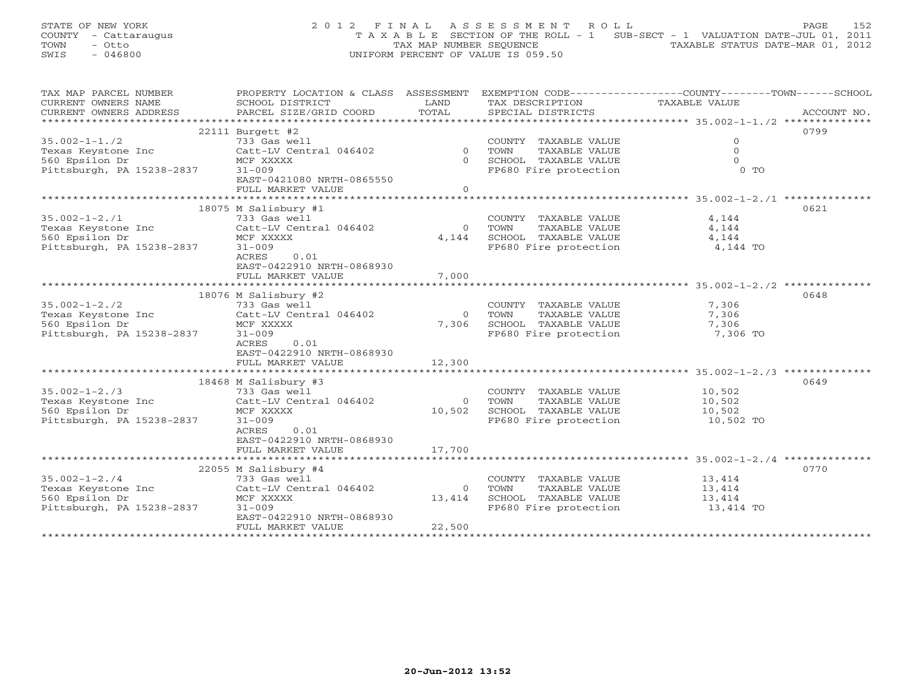STATE OF NEW YORK 2012 FINAL ASSESSMENT ROLL PAGE 152 COUNTY - Cattaraugus T A X A B L E SECTION OF THE ROLL - 1 SUB-SECT - 1 VALUATION DATE-JUL 01, 2011 TOWN - Otto TAX MAP NUMBER SEQUENCE TAXABLE STATUS DATE-MAR 01, 2012 SWIS - 046800 UNIFORM PERCENT OF VALUE IS 059.50

| TAX MAP PARCEL NUMBER     |                           |                |                             | PROPERTY LOCATION & CLASS ASSESSMENT EXEMPTION CODE---------------COUNTY-------TOWN------SCHOOL |
|---------------------------|---------------------------|----------------|-----------------------------|-------------------------------------------------------------------------------------------------|
| CURRENT OWNERS NAME       | SCHOOL DISTRICT           | LAND           | TAX DESCRIPTION             | TAXABLE VALUE                                                                                   |
| CURRENT OWNERS ADDRESS    | PARCEL SIZE/GRID COORD    | TOTAL          | SPECIAL DISTRICTS           | ACCOUNT NO.                                                                                     |
|                           |                           |                |                             |                                                                                                 |
|                           | $22111$ Burgett #2        |                |                             | 0799                                                                                            |
| $35.002 - 1 - 1.72$       | 733 Gas well              |                | COUNTY TAXABLE VALUE        | $\Omega$                                                                                        |
| Texas Keystone Inc        | Catt-LV Central 046402    | $\overline{0}$ | TOWN<br>TAXABLE VALUE       | $\Omega$                                                                                        |
| 560 Epsilon Dr            | MCF XXXXX                 |                | 0 SCHOOL TAXABLE VALUE      | $\Omega$                                                                                        |
| Pittsburgh, PA 15238-2837 | $31 - 009$                |                | FP680 Fire protection       | $0$ TO                                                                                          |
|                           | EAST-0421080 NRTH-0865550 |                |                             |                                                                                                 |
|                           | FULL MARKET VALUE         | $\Omega$       |                             |                                                                                                 |
|                           |                           |                |                             |                                                                                                 |
|                           | 18075 M Salisbury #1      |                |                             | 0621                                                                                            |
| $35.002 - 1 - 2.71$       | 733 Gas well              |                | COUNTY TAXABLE VALUE        | 4,144                                                                                           |
| Texas Keystone Inc        | Catt-LV Central 046402    | $\Omega$       | TOWN<br>TAXABLE VALUE       | 4,144                                                                                           |
| 560 Epsilon Dr            | MCF XXXXX                 | 4,144          | SCHOOL TAXABLE VALUE        | 4,144                                                                                           |
| Pittsburgh, PA 15238-2837 | $31 - 009$                |                | FP680 Fire protection       | 4,144 TO                                                                                        |
|                           | ACRES<br>0.01             |                |                             |                                                                                                 |
|                           | EAST-0422910 NRTH-0868930 |                |                             |                                                                                                 |
|                           | FULL MARKET VALUE         | 7,000          |                             |                                                                                                 |
|                           |                           |                |                             |                                                                                                 |
|                           | 18076 M Salisbury #2      |                |                             | 0648                                                                                            |
| $35.002 - 1 - 2.72$       | 733 Gas well              |                | COUNTY TAXABLE VALUE        | 7,306                                                                                           |
| Texas Keystone Inc        | Catt-LV Central 046402    | $\Omega$       | TAXABLE VALUE<br>TOWN       | 7,306                                                                                           |
| 560 Epsilon Dr            | MCF XXXXX                 | 7,306          | SCHOOL TAXABLE VALUE        | 7,306                                                                                           |
| Pittsburgh, PA 15238-2837 | $31 - 009$                |                | FP680 Fire protection       | 7,306 TO                                                                                        |
|                           | ACRES<br>0.01             |                |                             |                                                                                                 |
|                           | EAST-0422910 NRTH-0868930 |                |                             |                                                                                                 |
|                           | FULL MARKET VALUE         | 12,300         |                             |                                                                                                 |
|                           |                           |                |                             |                                                                                                 |
|                           | 18468 M Salisbury #3      |                |                             | 0649                                                                                            |
| $35.002 - 1 - 2.73$       | 733 Gas well              |                | COUNTY TAXABLE VALUE        | 10,502                                                                                          |
| Texas Keystone Inc        | Catt-LV Central 046402    |                | 0 TOWN<br>TAXABLE VALUE     | 10,502                                                                                          |
| 560 Epsilon Dr            | MCF XXXXX                 | 10,502         | SCHOOL TAXABLE VALUE        | 10,502                                                                                          |
| Pittsburgh, PA 15238-2837 | $31 - 009$                |                | FP680 Fire protection       | 10,502 TO                                                                                       |
|                           | 0.01<br>ACRES             |                |                             |                                                                                                 |
|                           | EAST-0422910 NRTH-0868930 |                |                             |                                                                                                 |
|                           | FULL MARKET VALUE         | 17,700         |                             |                                                                                                 |
|                           |                           |                |                             |                                                                                                 |
|                           | 22055 M Salisbury #4      |                |                             | 0770                                                                                            |
| $35.002 - 1 - 2.74$       | 733 Gas well              |                | COUNTY TAXABLE VALUE 13,414 |                                                                                                 |
| Texas Keystone Inc        | Catt-LV Central 046402    | $\overline{O}$ | TOWN<br>TAXABLE VALUE       | 13,414                                                                                          |
| 560 Epsilon Dr            | MCF XXXXX                 | 13,414         | SCHOOL TAXABLE VALUE        | 13,414                                                                                          |
| Pittsburgh, PA 15238-2837 | $31 - 009$                |                | FP680 Fire protection       | 13,414 TO                                                                                       |
|                           | EAST-0422910 NRTH-0868930 |                |                             |                                                                                                 |
|                           | FULL MARKET VALUE         | 22,500         |                             |                                                                                                 |
|                           |                           |                |                             |                                                                                                 |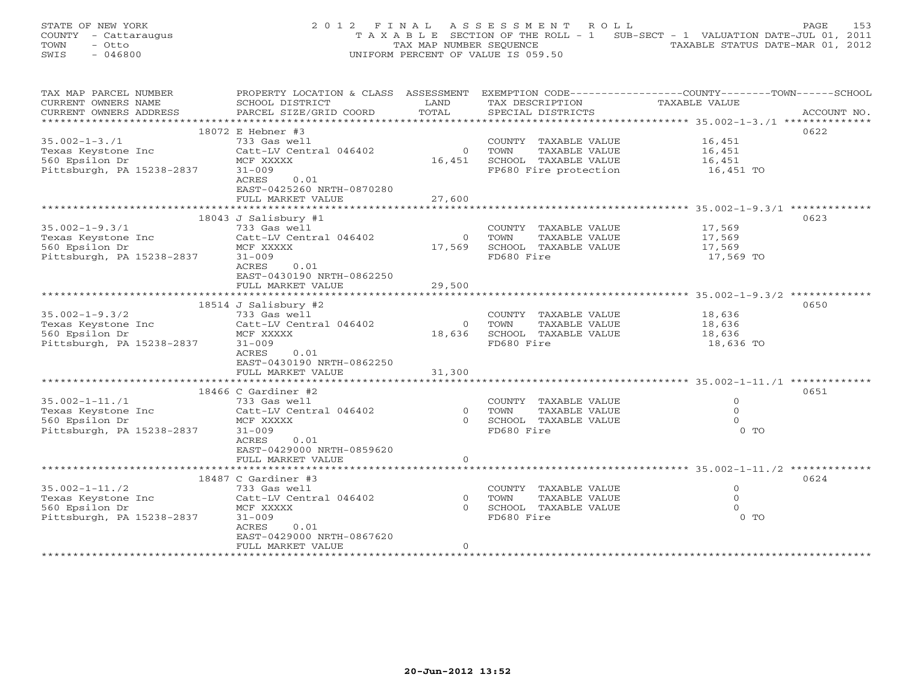STATE OF NEW YORK 2 0 1 2 F I N A L A S S E S S M E N T R O L L PAGE 153 COUNTY - Cattaraugus T A X A B L E SECTION OF THE ROLL - 1 SUB-SECT - 1 VALUATION DATE-JUL 01, 2011 TOWN - Otto TAX MAP NUMBER SEQUENCE TAXABLE STATUS DATE-MAR 01, 2012 SWIS - 046800 UNIFORM PERCENT OF VALUE IS 059.50

| TAX MAP PARCEL NUMBER                | PROPERTY LOCATION & CLASS ASSESSMENT |                | EXEMPTION CODE-----------------COUNTY-------TOWN------SCHOOL |               |             |
|--------------------------------------|--------------------------------------|----------------|--------------------------------------------------------------|---------------|-------------|
| CURRENT OWNERS NAME                  | SCHOOL DISTRICT                      | LAND           | TAX DESCRIPTION                                              | TAXABLE VALUE |             |
| CURRENT OWNERS ADDRESS               | PARCEL SIZE/GRID COORD               | TOTAL          | SPECIAL DISTRICTS                                            |               | ACCOUNT NO. |
|                                      |                                      |                |                                                              |               |             |
|                                      | 18072 E Hebner #3                    |                |                                                              |               | 0622        |
| $35.002 - 1 - 3.71$                  | 733 Gas well                         |                | COUNTY TAXABLE VALUE                                         | 16,451        |             |
| Texas Keystone Inc                   | Catt-LV Central 046402               | $\overline{0}$ | TOWN<br>TAXABLE VALUE                                        | 16,451        |             |
| 560 Epsilon Dr                       | MCF XXXXX                            | 16,451         | SCHOOL TAXABLE VALUE                                         | 16,451        |             |
| Pittsburgh, PA 15238-2837            | $31 - 009$                           |                | FP680 Fire protection                                        | 16,451 TO     |             |
|                                      | 0.01<br>ACRES                        |                |                                                              |               |             |
|                                      | EAST-0425260 NRTH-0870280            |                |                                                              |               |             |
|                                      | FULL MARKET VALUE                    | 27,600         |                                                              |               |             |
|                                      |                                      |                |                                                              |               |             |
|                                      | 18043 J Salisbury #1                 |                |                                                              |               | 0623        |
| $35.002 - 1 - 9.3/1$                 | 733 Gas well                         |                | COUNTY TAXABLE VALUE                                         | 17,569        |             |
| Texas Keystone Inc                   | Catt-LV Central 046402               | $\overline{0}$ | TOWN<br>TAXABLE VALUE                                        | 17,569        |             |
| 560 Epsilon Dr                       | MCF XXXXX                            | 17,569         | SCHOOL TAXABLE VALUE                                         | 17,569        |             |
| Pittsburgh, PA 15238-2837            | $31 - 009$                           |                | FD680 Fire                                                   | 17,569 TO     |             |
|                                      | 0.01<br>ACRES                        |                |                                                              |               |             |
|                                      | EAST-0430190 NRTH-0862250            |                |                                                              |               |             |
|                                      | FULL MARKET VALUE                    | 29,500         |                                                              |               |             |
|                                      | **************************           |                |                                                              |               |             |
|                                      | 18514 J Salisbury #2                 |                |                                                              |               | 0650        |
| $35.002 - 1 - 9.3/2$                 | 733 Gas well                         |                | COUNTY TAXABLE VALUE                                         | 18,636        |             |
|                                      | Catt-LV Central 046402               | $\Omega$       | TOWN<br>TAXABLE VALUE                                        | 18,636        |             |
| Texas Keystone Inc<br>560 Epsilon Dr | MCF XXXXX                            | 18,636         | SCHOOL TAXABLE VALUE                                         | 18,636        |             |
|                                      |                                      |                | FD680 Fire                                                   | 18,636 TO     |             |
| Pittsburgh, PA 15238-2837            | $31 - 009$                           |                |                                                              |               |             |
|                                      | ACRES<br>0.01                        |                |                                                              |               |             |
|                                      | EAST-0430190 NRTH-0862250            |                |                                                              |               |             |
|                                      | FULL MARKET VALUE                    | 31,300         |                                                              |               |             |
|                                      |                                      |                |                                                              |               |             |
|                                      | $18466$ C Gardiner #2                |                |                                                              |               | 0651        |
| $35.002 - 1 - 11.71$                 | 733 Gas well                         |                | COUNTY TAXABLE VALUE                                         | $\Omega$      |             |
| Texas Keystone Inc                   | Catt-LV Central 046402               | $\circ$        | TOWN<br>TAXABLE VALUE                                        | $\Omega$      |             |
| 560 Epsilon Dr                       | MCF XXXXX                            | $\Omega$       | SCHOOL TAXABLE VALUE                                         | $\Omega$      |             |
| Pittsburgh, PA 15238-2837            | $31 - 009$                           |                | FD680 Fire                                                   | $0$ TO        |             |
|                                      | ACRES<br>0.01                        |                |                                                              |               |             |
|                                      | EAST-0429000 NRTH-0859620            |                |                                                              |               |             |
|                                      | FULL MARKET VALUE                    | $\circ$        |                                                              |               |             |
|                                      |                                      |                |                                                              |               |             |
|                                      | 18487 C Gardiner #3                  |                |                                                              |               | 0624        |
| $35.002 - 1 - 11.72$                 | 733 Gas well                         |                | COUNTY TAXABLE VALUE                                         | $\circ$       |             |
| Texas Keystone Inc                   | Catt-LV Central 046402               | $\overline{O}$ | TOWN<br>TAXABLE VALUE                                        | $\mathbf{0}$  |             |
| 560 Epsilon Dr                       | MCF XXXXX                            | $\Omega$       | SCHOOL TAXABLE VALUE                                         |               |             |
| Pittsburgh, PA 15238-2837            | $31 - 009$                           |                | FD680 Fire                                                   | $0$ TO        |             |
|                                      | ACRES<br>0.01                        |                |                                                              |               |             |
|                                      | EAST-0429000 NRTH-0867620            |                |                                                              |               |             |
|                                      | FULL MARKET VALUE                    | $\Omega$       |                                                              |               |             |
|                                      |                                      |                |                                                              |               |             |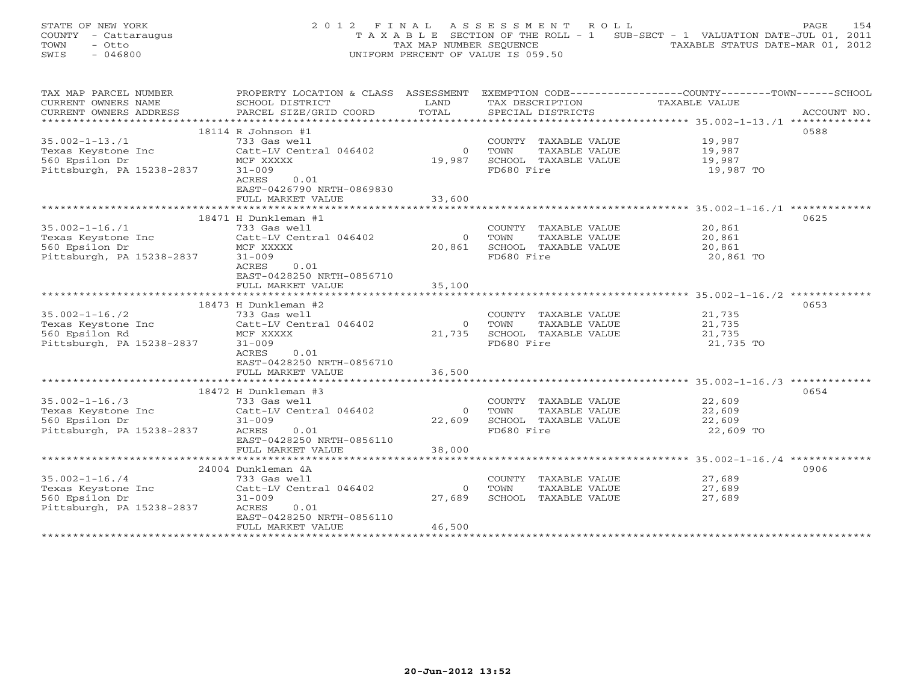STATE OF NEW YORK 2 0 1 2 F I N A L A S S E S S M E N T R O L L PAGE 154 COUNTY - Cattaraugus T A X A B L E SECTION OF THE ROLL - 1 SUB-SECT - 1 VALUATION DATE-JUL 01, 2011 TOWN - Otto TAX MAP NUMBER SEQUENCE TAXABLE STATUS DATE-MAR 01, 2012 SWIS - 046800 UNIFORM PERCENT OF VALUE IS 059.50

| TAX MAP PARCEL NUMBER     | PROPERTY LOCATION & CLASS ASSESSMENT |                | EXEMPTION CODE-----------------COUNTY-------TOWN------SCHOOL |               |             |
|---------------------------|--------------------------------------|----------------|--------------------------------------------------------------|---------------|-------------|
| CURRENT OWNERS NAME       | SCHOOL DISTRICT                      | LAND           | TAX DESCRIPTION                                              | TAXABLE VALUE |             |
| CURRENT OWNERS ADDRESS    | PARCEL SIZE/GRID COORD               | TOTAL          | SPECIAL DISTRICTS                                            |               | ACCOUNT NO. |
|                           |                                      |                |                                                              |               |             |
|                           | 18114 R Johnson #1                   |                |                                                              |               | 0588        |
| $35.002 - 1 - 13.71$      | 733 Gas well                         |                | COUNTY TAXABLE VALUE                                         | 19,987        |             |
| Texas Keystone Inc        | Catt-LV Central 046402               | $\Omega$       | TOWN<br>TAXABLE VALUE                                        | 19,987        |             |
| 560 Epsilon Dr            | MCF XXXXX                            | 19,987         | SCHOOL TAXABLE VALUE                                         | 19,987        |             |
| Pittsburgh, PA 15238-2837 | $31 - 009$                           |                | FD680 Fire                                                   | 19,987 TO     |             |
|                           | 0.01<br>ACRES                        |                |                                                              |               |             |
|                           | EAST-0426790 NRTH-0869830            |                |                                                              |               |             |
|                           | FULL MARKET VALUE                    | 33,600         |                                                              |               |             |
|                           |                                      |                |                                                              |               |             |
|                           | 18471 H Dunkleman #1                 |                |                                                              |               | 0625        |
|                           |                                      |                |                                                              |               |             |
| $35.002 - 1 - 16.71$      | 733 Gas well                         |                | COUNTY TAXABLE VALUE                                         | 20,861        |             |
| Texas Keystone Inc        | Catt-LV Central 046402               | $\overline{0}$ | TOWN<br>TAXABLE VALUE                                        | 20,861        |             |
| 560 Epsilon Dr            | MCF XXXXX                            | 20,861         | SCHOOL TAXABLE VALUE                                         | 20,861        |             |
| Pittsburgh, PA 15238-2837 | $31 - 009$                           |                | FD680 Fire                                                   | 20,861 TO     |             |
|                           | ACRES<br>0.01                        |                |                                                              |               |             |
|                           | EAST-0428250 NRTH-0856710            |                |                                                              |               |             |
|                           | FULL MARKET VALUE                    | 35,100         |                                                              |               |             |
|                           |                                      |                |                                                              |               |             |
|                           | 18473 H Dunkleman #2                 |                |                                                              |               | 0653        |
| $35.002 - 1 - 16.72$      | 733 Gas well                         |                | COUNTY TAXABLE VALUE                                         | 21,735        |             |
| Texas Keystone Inc        | Catt-LV Central 046402               | $\overline{0}$ | TOWN<br>TAXABLE VALUE                                        | 21,735        |             |
| 560 Epsilon Rd            | MCF XXXXX                            | 21,735         | SCHOOL TAXABLE VALUE                                         | 21,735        |             |
| Pittsburgh, PA 15238-2837 | $31 - 009$                           |                | FD680 Fire                                                   | 21,735 TO     |             |
|                           | 0.01<br>ACRES                        |                |                                                              |               |             |
|                           | EAST-0428250 NRTH-0856710            |                |                                                              |               |             |
|                           | FULL MARKET VALUE                    | 36,500         |                                                              |               |             |
|                           |                                      |                |                                                              |               |             |
|                           | 18472 H Dunkleman #3                 |                |                                                              |               | 0654        |
| $35.002 - 1 - 16.73$      | 733 Gas well                         |                | COUNTY TAXABLE VALUE                                         | 22,609        |             |
| Texas Keystone Inc        | Catt-LV Central 046402               | $\Omega$       | TOWN<br>TAXABLE VALUE                                        | 22,609        |             |
| 560 Epsilon Dr            | $31 - 009$                           | 22,609         | SCHOOL TAXABLE VALUE                                         | 22,609        |             |
| Pittsburgh, PA 15238-2837 | ACRES<br>0.01                        |                | FD680 Fire                                                   | 22,609 TO     |             |
|                           | EAST-0428250 NRTH-0856110            |                |                                                              |               |             |
|                           | FULL MARKET VALUE                    | 38,000         |                                                              |               |             |
|                           |                                      |                |                                                              |               |             |
|                           | 24004 Dunkleman 4A                   |                |                                                              |               | 0906        |
| $35.002 - 1 - 16.74$      | 733 Gas well                         |                | COUNTY TAXABLE VALUE                                         | 27,689        |             |
| Texas Keystone Inc        | Catt-LV Central 046402               | $\circ$        | TOWN<br>TAXABLE VALUE                                        | 27,689        |             |
|                           |                                      | 27,689         |                                                              |               |             |
| 560 Epsilon Dr            | $31 - 009$                           |                | SCHOOL TAXABLE VALUE                                         | 27,689        |             |
| Pittsburgh, PA 15238-2837 | 0.01<br>ACRES                        |                |                                                              |               |             |
|                           | EAST-0428250 NRTH-0856110            |                |                                                              |               |             |
|                           | FULL MARKET VALUE                    | 46,500         |                                                              |               |             |
|                           |                                      |                |                                                              |               |             |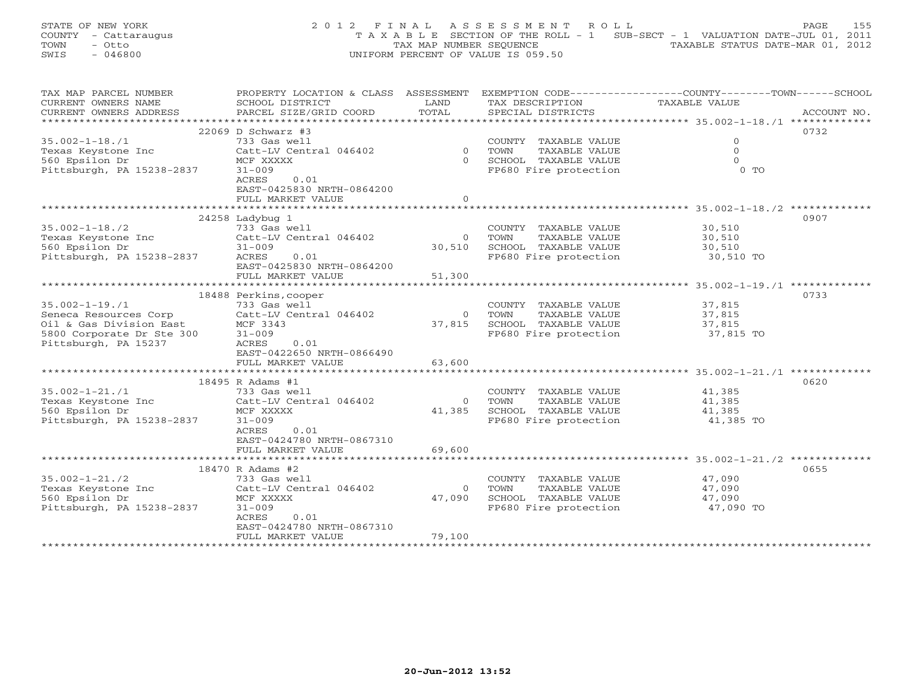STATE OF NEW YORK 2 0 1 2 F I N A L A S S E S S M E N T R O L L PAGE 155 COUNTY - Cattaraugus T A X A B L E SECTION OF THE ROLL - 1 SUB-SECT - 1 VALUATION DATE-JUL 01, 2011 TOWN - Otto TAX MAP NUMBER SEQUENCE TAXABLE STATUS DATE-MAR 01, 2012 SWIS - 046800 UNIFORM PERCENT OF VALUE IS 059.50

| TAX MAP PARCEL NUMBER     | PROPERTY LOCATION & CLASS ASSESSMENT         |          |                         | EXEMPTION CODE-----------------COUNTY-------TOWN------SCHOOL |
|---------------------------|----------------------------------------------|----------|-------------------------|--------------------------------------------------------------|
| CURRENT OWNERS NAME       | SCHOOL DISTRICT                              | LAND     | TAX DESCRIPTION         | TAXABLE VALUE                                                |
| CURRENT OWNERS ADDRESS    | PARCEL SIZE/GRID COORD                       | TOTAL    | SPECIAL DISTRICTS       | ACCOUNT NO.                                                  |
| *******************       |                                              |          |                         |                                                              |
|                           | $22069$ D Schwarz #3                         |          |                         | 0732                                                         |
| $35.002 - 1 - 18.71$      | 733 Gas well                                 |          | COUNTY TAXABLE VALUE    | $\mathbf{0}$                                                 |
| Texas Keystone Inc        | Catt-LV Central 046402                       |          | 0 TOWN<br>TAXABLE VALUE | $\Omega$                                                     |
| 560 Epsilon Dr            | MCF XXXXX                                    | $\Omega$ | SCHOOL TAXABLE VALUE    | $\Omega$                                                     |
| Pittsburgh, PA 15238-2837 | $31 - 009$                                   |          | FP680 Fire protection   | $0$ TO                                                       |
|                           | ACRES<br>0.01                                |          |                         |                                                              |
|                           | EAST-0425830 NRTH-0864200                    |          |                         |                                                              |
|                           | FULL MARKET VALUE                            | $\Omega$ |                         |                                                              |
|                           |                                              |          |                         |                                                              |
|                           |                                              |          |                         |                                                              |
|                           | $24258$ Ladybug 1                            |          |                         | 0907                                                         |
| $35.002 - 1 - 18.72$      | 733 Gas well                                 |          | COUNTY TAXABLE VALUE    | 30,510                                                       |
| Texas Keystone Inc        | Catt-LV Central 046402                       |          | 0 TOWN<br>TAXABLE VALUE | 30,510                                                       |
| 560 Epsilon Dr            | $31 - 009$                                   | 30,510   | SCHOOL TAXABLE VALUE    | 30,510                                                       |
| Pittsburgh, PA 15238-2837 | ACRES<br>0.01                                |          | FP680 Fire protection   | 30,510 TO                                                    |
|                           | EAST-0425830 NRTH-0864200                    |          |                         |                                                              |
|                           | FULL MARKET VALUE                            | 51,300   |                         |                                                              |
|                           |                                              |          |                         |                                                              |
|                           | 18488 Perkins, cooper                        |          |                         | 0733                                                         |
| $35.002 - 1 - 19.71$      | 733 Gas well                                 |          | COUNTY TAXABLE VALUE    | 37,815                                                       |
| Seneca Resources Corp     | Catt-LV Central 046402                       |          | 0 TOWN<br>TAXABLE VALUE | 37,815                                                       |
| Oil & Gas Division East   | MCF 3343                                     | 37,815   | SCHOOL TAXABLE VALUE    | 37,815                                                       |
| 5800 Corporate Dr Ste 300 | $31 - 009$                                   |          | FP680 Fire protection   | 37,815 TO                                                    |
| Pittsburgh, PA 15237      | 0.01<br>ACRES                                |          |                         |                                                              |
|                           | EAST-0422650 NRTH-0866490                    |          |                         |                                                              |
|                           | FULL MARKET VALUE                            | 63,600   |                         |                                                              |
|                           |                                              |          |                         |                                                              |
|                           | 18495 R Adams #1                             |          |                         | 0620                                                         |
| $35.002 - 1 - 21.71$      | 733 Gas well                                 |          | COUNTY TAXABLE VALUE    | 41,385                                                       |
| Texas Keystone Inc        | Catt-LV Central 046402                       | $\Omega$ | TOWN<br>TAXABLE VALUE   | 41,385                                                       |
| 560 Epsilon Dr            | MCF XXXXX                                    | 41,385   | SCHOOL TAXABLE VALUE    | 41,385                                                       |
| Pittsburgh, PA 15238-2837 | $31 - 009$                                   |          | FP680 Fire protection   | 41,385 TO                                                    |
|                           | ACRES<br>0.01                                |          |                         |                                                              |
|                           |                                              |          |                         |                                                              |
|                           | EAST-0424780 NRTH-0867310                    |          |                         |                                                              |
|                           | FULL MARKET VALUE<br>*********************** | 69,600   |                         |                                                              |
|                           |                                              |          |                         |                                                              |
|                           | 18470 R Adams #2                             |          |                         | 0655                                                         |
| $35.002 - 1 - 21.72$      | 733 Gas well                                 |          | COUNTY TAXABLE VALUE    | 47,090                                                       |
| Texas Keystone Inc        | Catt-LV Central 046402                       | $\circ$  | TOWN<br>TAXABLE VALUE   | 47,090                                                       |
| 560 Epsilon Dr            | MCF XXXXX                                    | 47,090   | SCHOOL TAXABLE VALUE    | 47,090                                                       |
| Pittsburgh, PA 15238-2837 | $31 - 009$                                   |          | FP680 Fire protection   | 47,090 TO                                                    |
|                           | ACRES<br>0.01                                |          |                         |                                                              |
|                           | EAST-0424780 NRTH-0867310                    |          |                         |                                                              |
|                           | FULL MARKET VALUE                            | 79,100   |                         |                                                              |
|                           |                                              |          |                         |                                                              |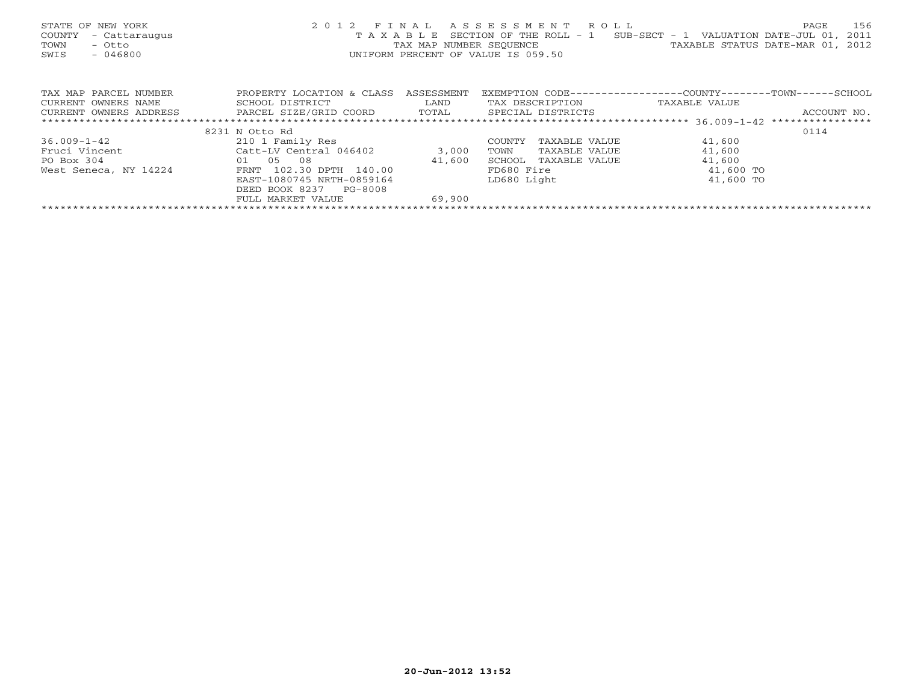| STATE OF NEW YORK<br>COUNTY<br>- Cattaraugus<br>TOWN<br>- Otto<br>SWIS<br>$-046800$ |                                                |            | 2012 FINAL ASSESSMENT ROLL<br>T A X A B L E SECTION OF THE ROLL - 1<br>UNIFORM PERCENT OF VALUE IS 059.50 | 156<br>PAGE<br>SUB-SECT - 1 VALUATION DATE-JUL 01, 2011<br>TAX MAP NUMBER SEQUENCE TAXABLE STATUS DATE-MAR 01, 2012 |
|-------------------------------------------------------------------------------------|------------------------------------------------|------------|-----------------------------------------------------------------------------------------------------------|---------------------------------------------------------------------------------------------------------------------|
| TAX MAP PARCEL NUMBER                                                               | PROPERTY LOCATION & CLASS                      | ASSESSMENT |                                                                                                           | EXEMPTION CODE-----------------COUNTY-------TOWN------SCHOOL                                                        |
| CURRENT OWNERS NAME                                                                 | SCHOOL DISTRICT                                | LAND       | TAX DESCRIPTION                                                                                           | TAXABLE VALUE                                                                                                       |
| CURRENT OWNERS ADDRESS                                                              | PARCEL SIZE/GRID COORD TOTAL SPECIAL DISTRICTS |            |                                                                                                           | ACCOUNT NO.                                                                                                         |
|                                                                                     |                                                |            |                                                                                                           |                                                                                                                     |
|                                                                                     | 8231 N Otto Rd                                 |            |                                                                                                           | 0114                                                                                                                |
| $36.009 - 1 - 42$                                                                   | 210 1 Family Res                               |            | COUNTY<br>TAXABLE VALUE                                                                                   | 41,600                                                                                                              |
| Fruci Vincent                                                                       | Catt-LV Central 046402                         | 3,000      | TOWN<br>TAXABLE VALUE                                                                                     | 41,600                                                                                                              |
| 01 05<br>PO Box 304                                                                 | 08                                             | 41,600     | SCHOOL TAXABLE VALUE                                                                                      | 41,600                                                                                                              |
| West Seneca, NY 14224                                                               | FRNT 102.30 DPTH 140.00                        |            | FD680 Fire                                                                                                | 41,600 TO                                                                                                           |
|                                                                                     | EAST-1080745 NRTH-0859164                      |            | LD680 Light                                                                                               | 41,600 TO                                                                                                           |
|                                                                                     | DEED BOOK 8237<br>PG-8008                      |            |                                                                                                           |                                                                                                                     |
|                                                                                     | FULL MARKET VALUE                              | 69,900     |                                                                                                           |                                                                                                                     |
|                                                                                     |                                                |            |                                                                                                           |                                                                                                                     |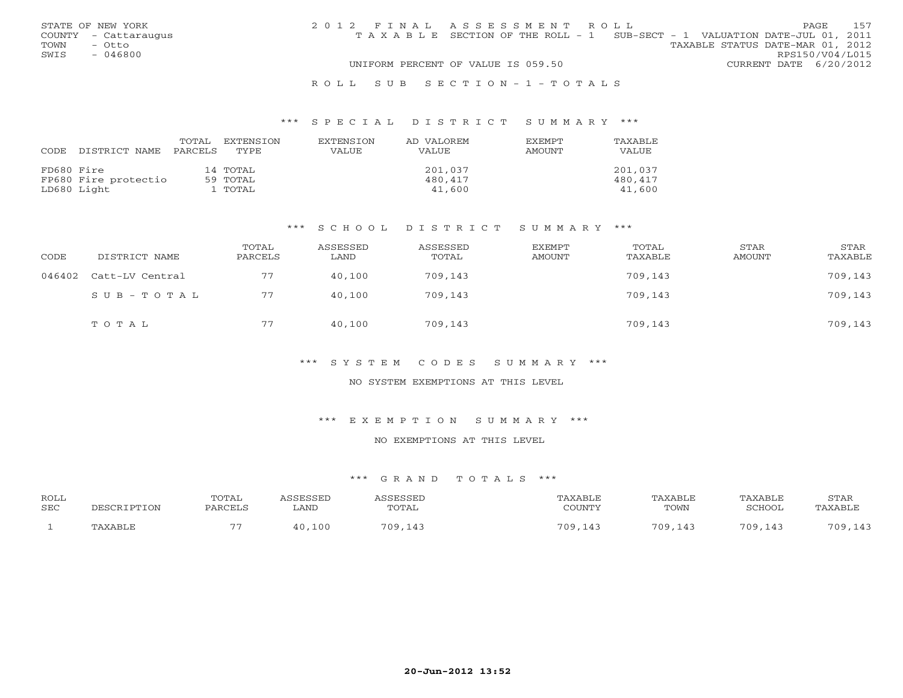|      | STATE OF NEW YORK    | 2012 FINAL ASSESSMENT ROLL |                                                                                |  |                                  | <b>PAGE</b>     | 157 |
|------|----------------------|----------------------------|--------------------------------------------------------------------------------|--|----------------------------------|-----------------|-----|
|      | COUNTY - Cattaraugus |                            | T A X A B L E SECTION OF THE ROLL - 1 SUB-SECT - 1 VALUATION DATE-JUL 01, 2011 |  |                                  |                 |     |
| TOWN | - Otto               |                            |                                                                                |  | TAXABLE STATUS DATE-MAR 01, 2012 |                 |     |
| SWIS | $-046800$            |                            |                                                                                |  |                                  | RPS150/V04/L015 |     |
|      |                      |                            | UNIFORM PERCENT OF VALUE IS 059.50                                             |  | CURRENT DATE 6/20/2012           |                 |     |
|      |                      |                            |                                                                                |  |                                  |                 |     |

#### R O L L S U B S E C T I O N - 1 - T O T A L S

#### \*\*\* S P E C I A L D I S T R I C T S U M M A R Y \*\*\*

| CODE       | DISTRICT NAME        | TOTAL<br>PARCELS | EXTENSTON<br>TYPE. | <b>EXTENSION</b><br>VALUE | AD VALOREM<br>VALUE | EXEMPT<br>AMOUNT | TAXABLE<br>VALUE |
|------------|----------------------|------------------|--------------------|---------------------------|---------------------|------------------|------------------|
| FD680 Fire |                      |                  | 14 TOTAL           |                           | 201,037             |                  | 201,037          |
|            | FP680 Fire protectio |                  | 59 TOTAL           |                           | 480,417             |                  | 480,417          |
|            | LD680 Light          |                  | L TOTAL            |                           | 41,600              |                  | 41,600           |

#### \*\*\* S C H O O L D I S T R I C T S U M M A R Y \*\*\*

| CODE   | DISTRICT NAME   | TOTAL<br>PARCELS | ASSESSED<br>LAND | ASSESSED<br>TOTAL | EXEMPT<br>AMOUNT | TOTAL<br>TAXABLE | STAR<br>AMOUNT | STAR<br>TAXABLE |
|--------|-----------------|------------------|------------------|-------------------|------------------|------------------|----------------|-----------------|
| 046402 | Catt-LV Central | 77               | 40,100           | 709,143           |                  | 709,143          |                | 709,143         |
|        | SUB-TOTAL       | 77               | 40,100           | 709,143           |                  | 709,143          |                | 709,143         |
|        | TOTAL           | 77               | 40,100           | 709,143           |                  | 709,143          |                | 709,143         |

#### \*\*\* S Y S T E M C O D E S S U M M A R Y \*\*\*

## NO SYSTEM EXEMPTIONS AT THIS LEVEL

#### \*\*\* E X E M P T I O N S U M M A R Y \*\*\*

# NO EXEMPTIONS AT THIS LEVEL

| <b>ROLL</b><br><b>SEC</b> | DESCRIPTION | TOTAL<br>PARCELS | <i><b>\SSESSED</b></i><br>∟AND | <i>\SSESSED</i><br>TOTAL | TAXABLE<br>COUNTY | TAXABLE<br>TOWN | TAXABLE<br>SCHOOL | STAR<br>TAXABLE |
|---------------------------|-------------|------------------|--------------------------------|--------------------------|-------------------|-----------------|-------------------|-----------------|
|                           | TAXABLE     | --               | 40,100                         | 709,143                  | 709,143           | 709,143         | 70Q               | 709,143         |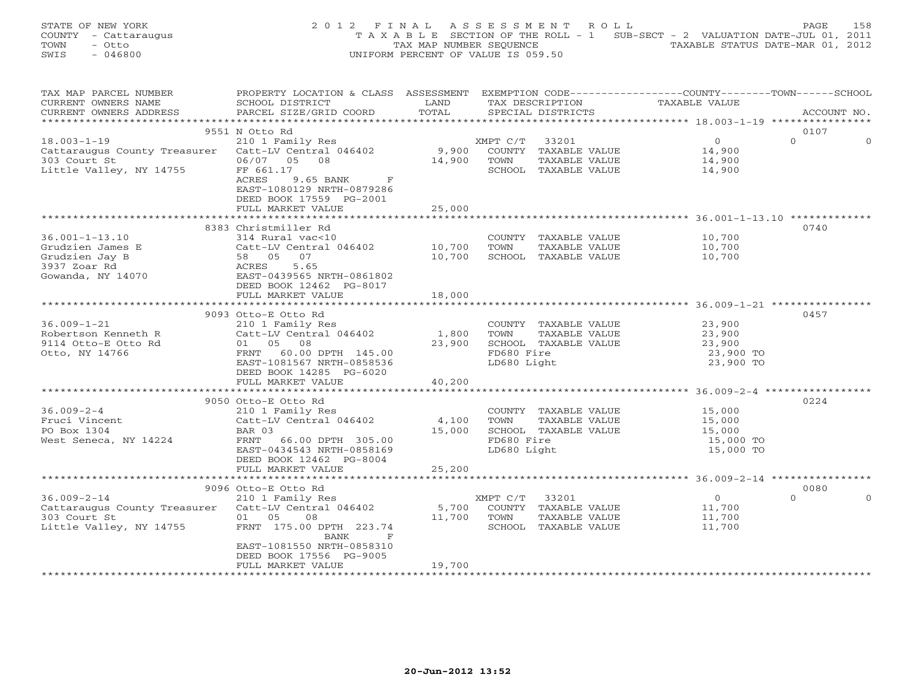STATE OF NEW YORK 2 0 1 2 F I N A L A S S E S S M E N T R O L L PAGE 158 COUNTY - Cattaraugus T A X A B L E SECTION OF THE ROLL - 1 SUB-SECT - 2 VALUATION DATE-JUL 01, 2011 TOWN - Otto TAX MAP NUMBER SEQUENCE TAXABLE STATUS DATE-MAR 01, 2012 SWIS - 046800 UNIFORM PERCENT OF VALUE IS 059.50

| TAX MAP PARCEL NUMBER                               | PROPERTY LOCATION & CLASS ASSESSMENT EXEMPTION CODE----------------COUNTY-------TOWN------SCHOOL |        |                       |                                           |                     |
|-----------------------------------------------------|--------------------------------------------------------------------------------------------------|--------|-----------------------|-------------------------------------------|---------------------|
| CURRENT OWNERS NAME                                 | SCHOOL DISTRICT                                                                                  | LAND   | TAX DESCRIPTION       | TAXABLE VALUE                             |                     |
| CURRENT OWNERS ADDRESS                              | PARCEL SIZE/GRID COORD                                                                           | TOTAL  | SPECIAL DISTRICTS     |                                           | ACCOUNT NO.         |
|                                                     |                                                                                                  |        |                       |                                           |                     |
|                                                     | 9551 N Otto Rd                                                                                   |        |                       |                                           | 0107                |
| $18.003 - 1 - 19$                                   | 210 1 Family Res                                                                                 |        | XMPT C/T<br>33201     | $\Omega$                                  | $\circ$<br>$\Omega$ |
| Cattaraugus County Treasurer                        | Catt-LV Central 046402                                                                           | 9,900  | COUNTY TAXABLE VALUE  | 14,900                                    |                     |
| 303 Court St                                        | 06/07 05 08                                                                                      | 14,900 | TOWN<br>TAXABLE VALUE | 14,900                                    |                     |
|                                                     |                                                                                                  |        |                       |                                           |                     |
| Little Valley, NY 14755                             | FF 661.17                                                                                        |        | SCHOOL TAXABLE VALUE  | 14,900                                    |                     |
|                                                     | <b>ACRES</b><br>9.65 BANK<br>$\mathbf{F}$                                                        |        |                       |                                           |                     |
|                                                     | EAST-1080129 NRTH-0879286                                                                        |        |                       |                                           |                     |
|                                                     | DEED BOOK 17559 PG-2001                                                                          |        |                       |                                           |                     |
|                                                     | FULL MARKET VALUE                                                                                | 25,000 |                       |                                           |                     |
|                                                     |                                                                                                  |        |                       |                                           |                     |
|                                                     | 8383 Christmiller Rd                                                                             |        |                       |                                           | 0740                |
| $36.001 - 1 - 13.10$                                | 314 Rural vac<10                                                                                 |        | COUNTY TAXABLE VALUE  | 10,700                                    |                     |
| Grudzien James E                                    | Catt-LV Central 046402                                                                           | 10,700 | TOWN<br>TAXABLE VALUE | 10,700                                    |                     |
| Grudzien Jay B                                      | 58 05<br>07                                                                                      | 10,700 | SCHOOL TAXABLE VALUE  | 10,700                                    |                     |
| 3937 Zoar Rd                                        | ACRES<br>5.65                                                                                    |        |                       |                                           |                     |
|                                                     |                                                                                                  |        |                       |                                           |                     |
| Gowanda, NY 14070                                   | EAST-0439565 NRTH-0861802                                                                        |        |                       |                                           |                     |
|                                                     | DEED BOOK 12462 PG-8017                                                                          |        |                       |                                           |                     |
|                                                     | FULL MARKET VALUE                                                                                | 18,000 |                       |                                           |                     |
|                                                     | **************************                                                                       |        |                       |                                           |                     |
|                                                     | 9093 Otto-E Otto Rd                                                                              |        |                       |                                           | 0457                |
| $36.009 - 1 - 21$                                   | 210 1 Family Res                                                                                 |        | COUNTY TAXABLE VALUE  | 23,900                                    |                     |
| Robertson Kenneth R                                 | Catt-LV Central 046402                                                                           | 1,800  | TOWN<br>TAXABLE VALUE | 23,900                                    |                     |
| 9114 Otto-E Otto Rd                                 | 01 05 08                                                                                         | 23,900 | SCHOOL TAXABLE VALUE  | 23,900                                    |                     |
| Otto, NY 14766                                      | FRNT 60.00 DPTH 145.00                                                                           |        | FD680 Fire            | 23,900 TO                                 |                     |
|                                                     | EAST-1081567 NRTH-0858536                                                                        |        | LD680 Light           | 23,900 TO                                 |                     |
|                                                     |                                                                                                  |        |                       |                                           |                     |
|                                                     | DEED BOOK 14285 PG-6020                                                                          |        |                       |                                           |                     |
|                                                     | FULL MARKET VALUE                                                                                | 40,200 |                       |                                           |                     |
|                                                     |                                                                                                  |        |                       |                                           |                     |
|                                                     | 9050 Otto-E Otto Rd                                                                              |        |                       |                                           | 0224                |
| $36.009 - 2 - 4$                                    | 210 1 Family Res                                                                                 |        | COUNTY TAXABLE VALUE  | 15,000                                    |                     |
| Fruci Vincent                                       | Catt-LV Central 046402                                                                           | 4,100  | TAXABLE VALUE<br>TOWN | 15,000                                    |                     |
| PO Box 1304                                         | BAR 03                                                                                           | 15,000 | SCHOOL TAXABLE VALUE  | 15,000                                    |                     |
| West Seneca, NY 14224                               | FRNT 66.00 DPTH 305.00                                                                           |        | FD680 Fire            | 15,000 TO                                 |                     |
|                                                     | EAST-0434543 NRTH-0858169                                                                        |        | LD680 Light           | 15,000 TO                                 |                     |
|                                                     | DEED BOOK 12462 PG-8004                                                                          |        |                       |                                           |                     |
|                                                     |                                                                                                  |        |                       |                                           |                     |
|                                                     | FULL MARKET VALUE<br>*********************                                                       | 25,200 |                       |                                           |                     |
|                                                     |                                                                                                  |        |                       | *************** 36.009-2-14 ************* |                     |
|                                                     | 9096 Otto-E Otto Rd                                                                              |        |                       |                                           | 0080                |
| $36.009 - 2 - 14$                                   | 210 1 Family Res                                                                                 |        | XMPT C/T<br>33201     | $\overline{0}$                            | $\Omega$            |
| Cattaraugus County Treasurer Catt-LV Central 046402 |                                                                                                  | 5,700  | COUNTY TAXABLE VALUE  | 11,700                                    |                     |
| 303 Court St                                        | 01 05<br>08                                                                                      | 11,700 | TOWN<br>TAXABLE VALUE | 11,700                                    |                     |
| Little Valley, NY 14755                             | FRNT 175.00 DPTH 223.74                                                                          |        | SCHOOL TAXABLE VALUE  | 11,700                                    |                     |
|                                                     | BANK<br>$\mathbf F$                                                                              |        |                       |                                           |                     |
|                                                     | EAST-1081550 NRTH-0858310                                                                        |        |                       |                                           |                     |
|                                                     | DEED BOOK 17556 PG-9005                                                                          |        |                       |                                           |                     |
|                                                     | FULL MARKET VALUE                                                                                | 19,700 |                       |                                           |                     |
|                                                     |                                                                                                  |        |                       |                                           |                     |
|                                                     |                                                                                                  |        |                       |                                           |                     |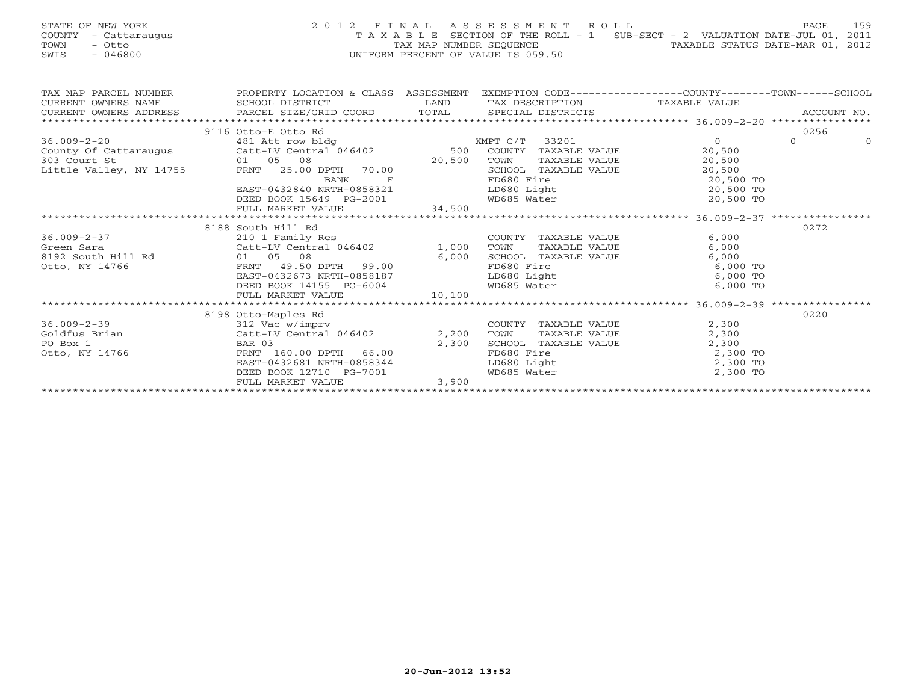| STATE OF NEW YORK    | 2012 FINAL ASSESSMENT ROLL                                                     | 159<br>PAGE                      |
|----------------------|--------------------------------------------------------------------------------|----------------------------------|
| COUNTY - Cattaraugus | T A X A B L E SECTION OF THE ROLL - 1 SUB-SECT - 2 VALUATION DATE-JUL 01, 2011 |                                  |
| TOWN<br>– Otto       | TAX MAP NUMBER SEOUENCE                                                        | TAXABLE STATUS DATE-MAR 01, 2012 |
| $-046800$<br>SWIS    | UNIFORM PERCENT OF VALUE IS 059.50                                             |                                  |

| TAX MAP PARCEL NUMBER | PROPERTY LOCATION & CLASS ASSESSMENT                                                                    |       |                                                 |            |          |          |
|-----------------------|---------------------------------------------------------------------------------------------------------|-------|-------------------------------------------------|------------|----------|----------|
| CURRENT OWNERS NAME   | SCHOOL DISTRICT                                                                                         |       | LAND TAX DESCRIPTION TAXABLE VALUE              |            |          |          |
|                       |                                                                                                         |       |                                                 |            |          |          |
|                       |                                                                                                         |       |                                                 |            |          |          |
|                       | 9116 Otto-E Otto Rd                                                                                     |       |                                                 |            | 0256     |          |
| $36.009 - 2 - 20$     | 481 Att row bldg Natural March 2010 XMPT C/T 33201                                                      |       |                                                 | $\Omega$   | $\Omega$ | $\Omega$ |
|                       | County Of Cattaraugus Catt-LV Central 046402 500 COUNTY TAXABLE VALUE                                   |       |                                                 | 20,500     |          |          |
|                       |                                                                                                         |       | TAXABLE VALUE<br>TOWN                           | 20,500     |          |          |
|                       | County Of Cattaraugus<br>303 Court St 01 05 08<br>Little Valley, NY 14755 FRNT 25.00 DPTH 70.00<br>BANK |       | SCHOOL TAXABLE VALUE 20,500                     |            |          |          |
|                       |                                                                                                         |       | FD680 Fire                                      | 20,500 TO  |          |          |
|                       | EAST-0432840 NRTH-0858321                                                                               |       | LD680 Light 20,500 TO                           |            |          |          |
|                       |                                                                                                         |       |                                                 |            |          |          |
|                       |                                                                                                         |       |                                                 |            |          |          |
|                       |                                                                                                         |       |                                                 |            |          |          |
|                       | 8188 South Hill Rd                                                                                      |       |                                                 |            | 0272     |          |
| $36.009 - 2 - 37$     | 210 1 Family Res                                                                                        |       | COUNTY TAXABLE VALUE                            | 6,000      |          |          |
|                       |                                                                                                         |       |                                                 | 6,000      |          |          |
|                       |                                                                                                         |       |                                                 | 6,000      |          |          |
|                       |                                                                                                         |       |                                                 | $6,000$ TO |          |          |
|                       | EAST-0432673 NRTH-0858187                                                                               |       | LD680 Light 6,000 TO<br>WD685 Water 6,000 TO    |            |          |          |
|                       | DEED BOOK 14155 PG-6004                                                                                 |       |                                                 |            |          |          |
|                       | FULL MARKET VALUE 10,100                                                                                |       |                                                 |            |          |          |
|                       |                                                                                                         |       |                                                 |            |          |          |
|                       | 8198 Otto-Maples Rd                                                                                     |       |                                                 |            | 0220     |          |
| $36.009 - 2 - 39$     |                                                                                                         |       | COUNTY TAXABLE VALUE<br>TOWN      TAXABLE VALUE | 2,300      |          |          |
| Goldfus Brian         |                                                                                                         |       |                                                 | 2,300      |          |          |
| PO Box 1              | BAR 03                                                                                                  | 2,300 | SCHOOL TAXABLE VALUE                            | 2,300      |          |          |
| Otto, NY 14766        | BAR 03<br>FRNT 160.00 DPTH 66.00<br>FRNT 160.00 DPTH 66.00<br>EAST-0432681 NRTH-0858344                 |       | FD680 Fire                                      | 2,300 TO   |          |          |
|                       |                                                                                                         |       | LD680 Light 2,300 TO<br>WD685 Water 2,300 TO    |            |          |          |
|                       | DEED BOOK 12710 PG-7001                                                                                 |       |                                                 |            |          |          |
|                       | FULL MARKET VALUE                                                                                       | 3,900 |                                                 |            |          |          |
|                       |                                                                                                         |       |                                                 |            |          |          |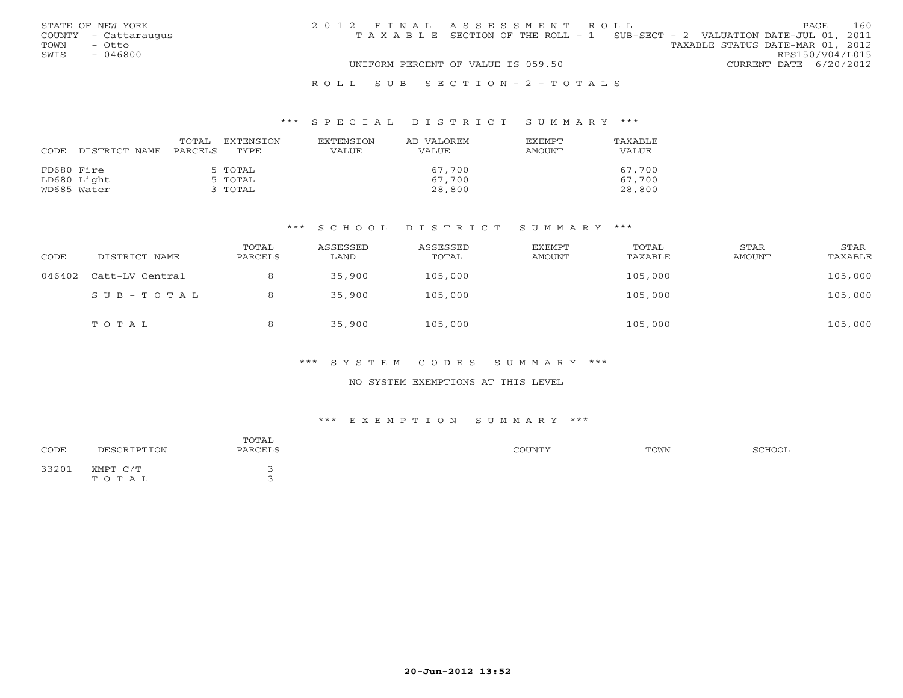|      | STATE OF NEW YORK    | 2012 FINAL ASSESSMENT ROLL |                                                                                |  |                                  |                        | <b>PAGE</b> | 160 |
|------|----------------------|----------------------------|--------------------------------------------------------------------------------|--|----------------------------------|------------------------|-------------|-----|
|      | COUNTY - Cattaraugus |                            | T A X A B L E SECTION OF THE ROLL - 1 SUB-SECT - 2 VALUATION DATE-JUL 01, 2011 |  |                                  |                        |             |     |
| TOWN | - Otto               |                            |                                                                                |  | TAXABLE STATUS DATE-MAR 01, 2012 |                        |             |     |
| SWIS | $-046800$            |                            |                                                                                |  |                                  | RPS150/V04/L015        |             |     |
|      |                      |                            | UNIFORM PERCENT OF VALUE IS 059.50                                             |  |                                  | CURRENT DATE 6/20/2012 |             |     |
|      |                      |                            |                                                                                |  |                                  |                        |             |     |

#### R O L L S U B S E C T I O N - 2 - T O T A L S

#### \*\*\* S P E C I A L D I S T R I C T S U M M A R Y \*\*\*

| CODE       | DISTRICT NAME | TOTAL<br>PARCELS | EXTENSTON<br>TYPE. | <b>EXTENSION</b><br>VALUE | AD VALOREM<br>VALUE | EXEMPT<br><b>AMOUNT</b> | TAXABLE<br>VALUE |
|------------|---------------|------------------|--------------------|---------------------------|---------------------|-------------------------|------------------|
| FD680 Fire |               |                  | 5 TOTAL            |                           | 67,700              |                         | 67,700           |
|            | LD680 Light   |                  | 5 TOTAL            |                           | 67,700              |                         | 67,700           |
|            | WD685 Water   |                  | 3 ТОТАL            |                           | 28,800              |                         | 28,800           |

#### \*\*\* S C H O O L D I S T R I C T S U M M A R Y \*\*\*

| CODE   | DISTRICT NAME   | TOTAL<br>PARCELS | ASSESSED<br>LAND | ASSESSED<br>TOTAL | EXEMPT<br>AMOUNT | TOTAL<br>TAXABLE | STAR<br>AMOUNT | STAR<br>TAXABLE |
|--------|-----------------|------------------|------------------|-------------------|------------------|------------------|----------------|-----------------|
| 046402 | Catt-LV Central | 8                | 35,900           | 105,000           |                  | 105,000          |                | 105,000         |
|        | SUB-TOTAL       | 8                | 35,900           | 105,000           |                  | 105,000          |                | 105,000         |
|        | TOTAL           | 8                | 35,900           | 105,000           |                  | 105,000          |                | 105,000         |

#### \*\*\* S Y S T E M C O D E S S U M M A R Y \*\*\*

## NO SYSTEM EXEMPTIONS AT THIS LEVEL

#### \*\*\* E X E M P T I O N S U M M A R Y \*\*\*

| CODE  | DESCRIPTION       | TOTAL<br>PARCELS | COUNTY | TOWN | SCHOOL |
|-------|-------------------|------------------|--------|------|--------|
| 33201 | XMPT C/T<br>TOTAL |                  |        |      |        |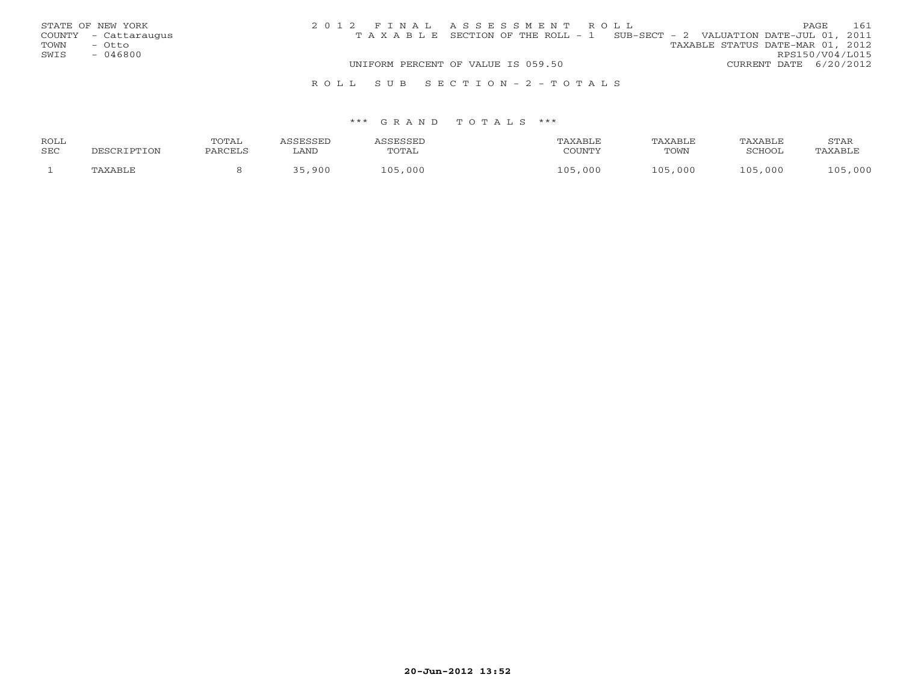| STATE OF NEW YORK    | 2012 FINAL ASSESSMENT ROLL                                                     | 161<br>PAGE                      |
|----------------------|--------------------------------------------------------------------------------|----------------------------------|
| COUNTY - Cattaraugus | T A X A B L E SECTION OF THE ROLL - 1 SUB-SECT - 2 VALUATION DATE-JUL 01, 2011 |                                  |
| TOWN<br>– Otto       |                                                                                | TAXABLE STATUS DATE-MAR 01, 2012 |
| SWIS<br>- 046800     |                                                                                | RPS150/V04/L015                  |
|                      | UNIFORM PERCENT OF VALUE IS 059.50                                             | CURRENT DATE 6/20/2012           |
|                      | ROLL SUB SECTION-2-TOTALS                                                      |                                  |

| ROLL |             | TOTAL   | ASSESSED | ASSESSED | TAXABLE        | TAXABLE | TAXABLE | STAR    |
|------|-------------|---------|----------|----------|----------------|---------|---------|---------|
| SEC  | DESCRIPTION | PARCELS | AND      | TOTAL    | COUNTY         | TOWN    | SCHOOL  | TAXABLE |
|      | TAXABLE     |         | 35,900   | 105,000  | L 0 5<br>, 000 | 105,000 | 105,000 | 105,000 |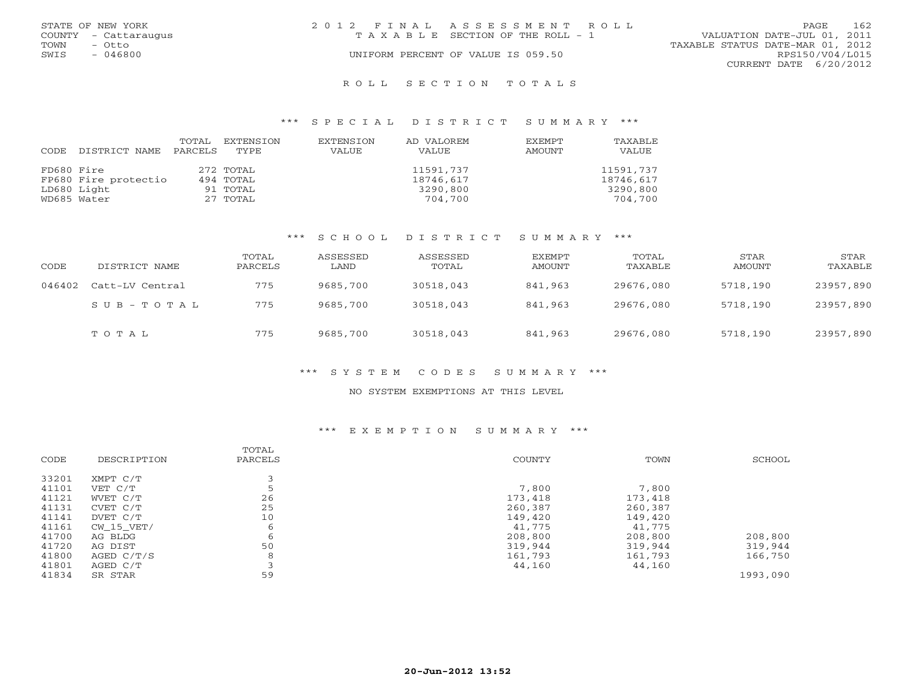| STATE OF NEW YORK |                      | 2012 FINAL ASSESSMENT ROLL |                                    |                                  |                        | PAGE | 162 |
|-------------------|----------------------|----------------------------|------------------------------------|----------------------------------|------------------------|------|-----|
|                   | COUNTY - Cattaraugus |                            | TAXABLE SECTION OF THE ROLL - 1    | VALUATION DATE-JUL 01, 2011      |                        |      |     |
| TOWN              | - Otto               |                            |                                    | TAXABLE STATUS DATE-MAR 01, 2012 |                        |      |     |
| SWIS              | - 046800             |                            | UNIFORM PERCENT OF VALUE IS 059.50 |                                  | RPS150/V04/L015        |      |     |
|                   |                      |                            |                                    |                                  | CURRENT DATE 6/20/2012 |      |     |
|                   |                      |                            |                                    |                                  |                        |      |     |

#### R O L L S E C T I O N T O T A L S

#### \*\*\* S P E C I A L D I S T R I C T S U M M A R Y \*\*\*

| CODE       | DISTRICT NAME        | TOTAL<br>PARCELS | EXTENSION<br>TYPE | EXTENSION<br>VALUE | AD VALOREM<br><b>VALUE</b> | <b>EXEMPT</b><br>AMOUNT | TAXABLE<br>VALUE |
|------------|----------------------|------------------|-------------------|--------------------|----------------------------|-------------------------|------------------|
| FD680 Fire |                      |                  | 272 TOTAL         |                    | 11591,737                  |                         | 11591,737        |
|            | FP680 Fire protectio |                  | 494 TOTAL         |                    | 18746,617                  |                         | 18746,617        |
|            | LD680 Light          |                  | 91 TOTAL          |                    | 3290,800                   |                         | 3290,800         |
|            | WD685 Water          |                  | 27 TOTAL          |                    | 704,700                    |                         | 704,700          |

# \*\*\* S C H O O L D I S T R I C T S U M M A R Y \*\*\*

| CODE   | DISTRICT NAME           | TOTAL<br>PARCELS | ASSESSED<br>LAND | ASSESSED<br>TOTAL | EXEMPT<br>AMOUNT | TOTAL<br>TAXABLE | <b>STAR</b><br>AMOUNT | STAR<br>TAXABLE |
|--------|-------------------------|------------------|------------------|-------------------|------------------|------------------|-----------------------|-----------------|
| 046402 | Catt-LV Central         | 775              | 9685,700         | 30518,043         | 841,963          | 29676,080        | 5718,190              | 23957,890       |
|        | $S \cup B - T \cup T A$ | 775              | 9685,700         | 30518,043         | 841,963          | 29676,080        | 5718,190              | 23957,890       |
|        | TOTAL                   | 775              | 9685,700         | 30518,043         | 841,963          | 29676,080        | 5718,190              | 23957,890       |

# \*\*\* S Y S T E M C O D E S S U M M A R Y \*\*\*

#### NO SYSTEM EXEMPTIONS AT THIS LEVEL

#### \*\*\* E X E M P T I O N S U M M A R Y \*\*\*

| CODE  | DESCRIPTION  | TOTAL<br>PARCELS | COUNTY  | TOWN    | SCHOOL   |
|-------|--------------|------------------|---------|---------|----------|
| 33201 | XMPT C/T     |                  |         |         |          |
| 41101 | VET C/T      |                  | 7,800   | 7,800   |          |
| 41121 | WVET C/T     | 26               | 173,418 | 173,418 |          |
| 41131 | CVET C/T     | 25               | 260,387 | 260,387 |          |
| 41141 | DVET C/T     | 10               | 149,420 | 149,420 |          |
| 41161 | $CW_15_VET/$ | 6                | 41,775  | 41,775  |          |
| 41700 | AG BLDG      | 6                | 208,800 | 208,800 | 208,800  |
| 41720 | AG DIST      | 50               | 319,944 | 319,944 | 319,944  |
| 41800 | AGED C/T/S   | 8                | 161,793 | 161,793 | 166,750  |
| 41801 | AGED C/T     |                  | 44,160  | 44,160  |          |
| 41834 | SR STAR      | 59               |         |         | 1993,090 |
|       |              |                  |         |         |          |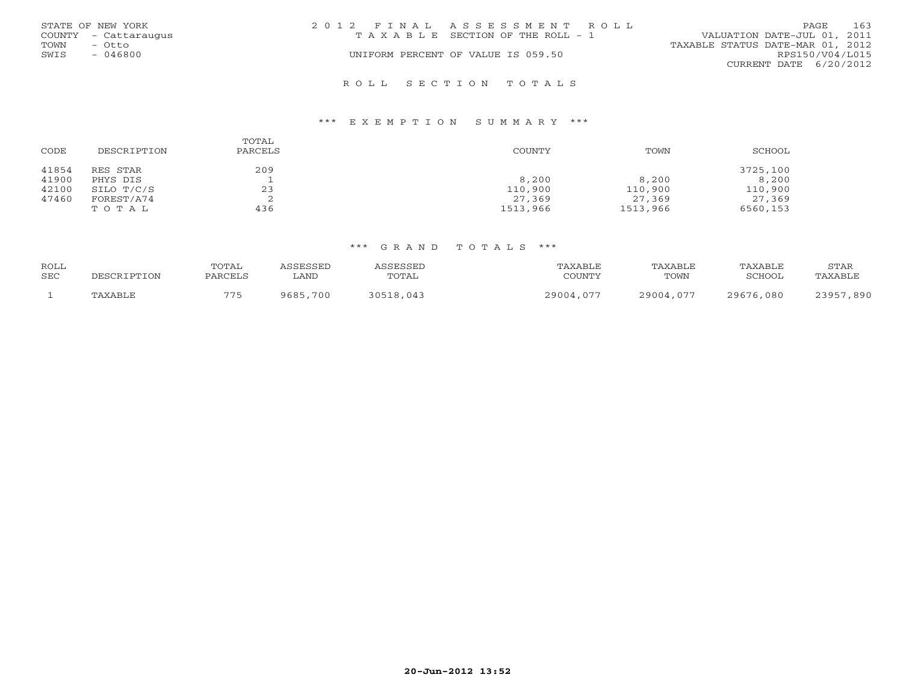|      | STATE OF NEW YORK    | 2012 FINAL ASSESSMENT ROLL |                                       |                                  | PAGE            | 163 |
|------|----------------------|----------------------------|---------------------------------------|----------------------------------|-----------------|-----|
|      | COUNTY - Cattaraugus |                            | T A X A B L E SECTION OF THE ROLL - 1 | VALUATION DATE-JUL 01, 2011      |                 |     |
| TOWN | - Otto               |                            |                                       | TAXABLE STATUS DATE-MAR 01, 2012 |                 |     |
| SWIS | $-046800$            |                            | UNIFORM PERCENT OF VALUE IS 059.50    |                                  | RPS150/V04/L015 |     |
|      |                      |                            |                                       | CURRENT DATE 6/20/2012           |                 |     |
|      |                      |                            |                                       |                                  |                 |     |

#### R O L L S E C T I O N T O T A L S

#### \*\*\* E X E M P T I O N S U M M A R Y \*\*\*

| CODE  | DESCRIPTION | TOTAL<br>PARCELS | <b>COUNTY</b> | TOWN     | SCHOOL   |
|-------|-------------|------------------|---------------|----------|----------|
| 41854 | RES STAR    | 209              |               |          | 3725,100 |
| 41900 | PHYS DIS    |                  | 8,200         | 8,200    | 8,200    |
| 42100 | SILO T/C/S  | 23               | 110,900       | 110,900  | 110,900  |
| 47460 | FOREST/A74  | ▵                | 27,369        | 27,369   | 27,369   |
|       | TOTAL       | 436              | 1513,966      | 1513,966 | 6560,153 |

| <b>ROLL</b> |             | TOTAL   | ASSESSED | ASSESSED  | TAXABLE   | TAXABLE   | TAXABLE   | STAR      |
|-------------|-------------|---------|----------|-----------|-----------|-----------|-----------|-----------|
| <b>SEC</b>  | DESCRIPTION | PARCELS | . AND    | TOTAL     | COUNTY    | TOWN      | SCHOOL    | TAXABLE   |
|             | TAXABLE     | 775     | 9685,700 | 30518,043 | 29004,077 | 29004,077 | 29676,080 | 23957,890 |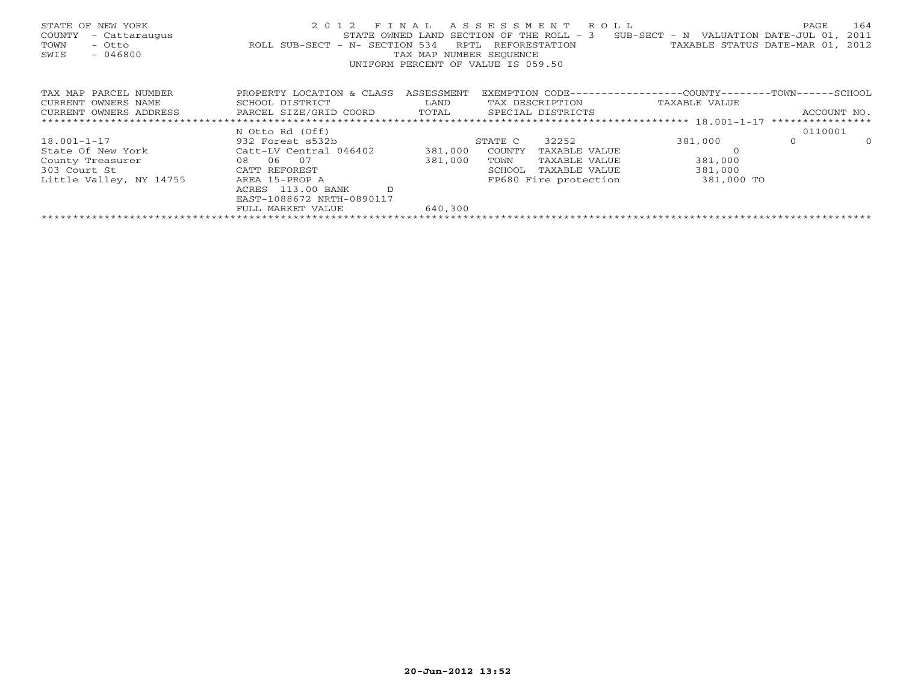| STATE OF NEW YORK<br>COUNTY<br>- Cattaraugus<br>TOWN<br>- Otto<br>$-046800$<br>SWIS | 2 0 1 2<br>STATE OWNED LAND<br>ROLL SUB-SECT - N- SECTION 534 | FINAL<br>RPTL<br>TAX MAP NUMBER SEOUENCE | ASSESSMENT ROLL<br>SECTION OF THE ROLL - 3<br>REFORESTATION<br>UNIFORM PERCENT OF VALUE IS 059.50 | $SUB-SECTION - N$ VALUATION DATE-JUL 01,<br>TAXABLE STATUS DATE-MAR 01, | PAGE        | 164<br>2011<br>2012 |
|-------------------------------------------------------------------------------------|---------------------------------------------------------------|------------------------------------------|---------------------------------------------------------------------------------------------------|-------------------------------------------------------------------------|-------------|---------------------|
| TAX MAP PARCEL NUMBER                                                               | PROPERTY LOCATION & CLASS                                     | ASSESSMENT                               | EXEMPTION CODE-----------------COUNTY-------TOWN------SCHOOL                                      |                                                                         |             |                     |
| CURRENT OWNERS NAME                                                                 | SCHOOL DISTRICT                                               | LAND                                     | TAX DESCRIPTION                                                                                   | TAXABLE VALUE                                                           |             |                     |
| CURRENT OWNERS ADDRESS                                                              | PARCEL SIZE/GRID COORD                                        | TOTAL                                    | SPECIAL DISTRICTS                                                                                 |                                                                         | ACCOUNT NO. |                     |
|                                                                                     |                                                               |                                          |                                                                                                   |                                                                         |             |                     |
|                                                                                     | N Otto Rd (Off)                                               |                                          |                                                                                                   |                                                                         | 0110001     |                     |
| $18.001 - 1 - 17$                                                                   | 932 Forest s532b                                              |                                          | 32252<br>STATE C                                                                                  | 381,000                                                                 | $\Omega$    | $\Omega$            |
| State Of New York                                                                   | Catt-LV Central 046402                                        | 381,000                                  | COUNTY<br>TAXABLE VALUE                                                                           |                                                                         |             |                     |
| County Treasurer                                                                    | 08 06 07                                                      | 381,000                                  | TOWN<br>TAXABLE VALUE                                                                             | 381,000                                                                 |             |                     |
| 303 Court St                                                                        | CATT REFOREST                                                 |                                          | SCHOOL<br>TAXABLE VALUE                                                                           | 381,000                                                                 |             |                     |
| Little Valley, NY 14755                                                             | AREA 15-PROP A                                                |                                          | FP680 Fire protection                                                                             | 381,000 TO                                                              |             |                     |
|                                                                                     | $\mathcal{D}$<br>113.00 BANK<br>ACRES                         |                                          |                                                                                                   |                                                                         |             |                     |
|                                                                                     | EAST-1088672 NRTH-0890117                                     |                                          |                                                                                                   |                                                                         |             |                     |
|                                                                                     | FULL MARKET VALUE                                             | 640,300                                  |                                                                                                   |                                                                         |             |                     |
|                                                                                     |                                                               |                                          |                                                                                                   |                                                                         |             |                     |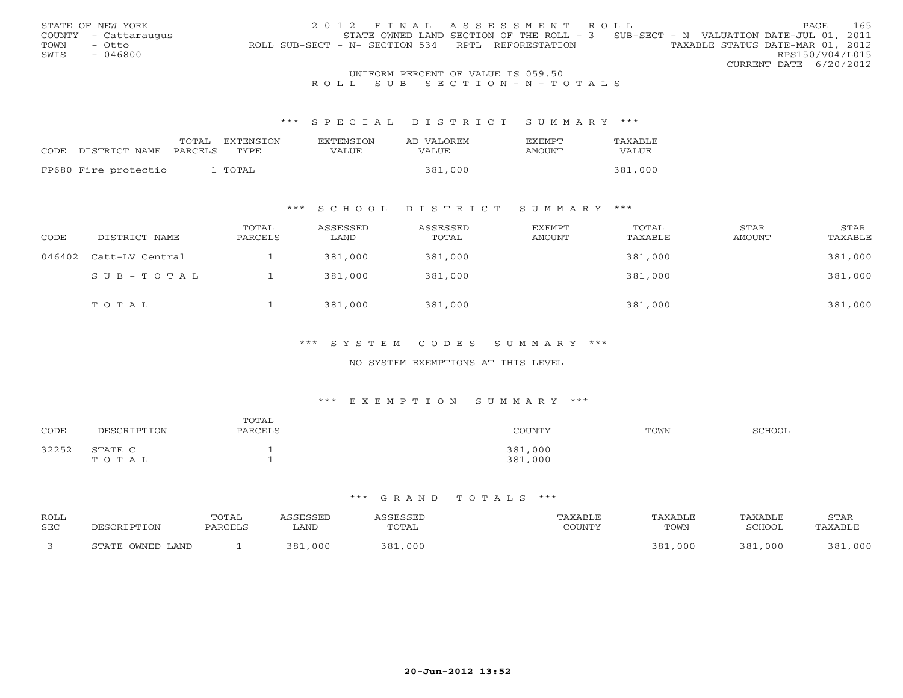|                                    | STATE OF NEW YORK    | 2012 FINAL ASSESSMENT ROLL                                                            | PAGE.                  |  | 165 |  |
|------------------------------------|----------------------|---------------------------------------------------------------------------------------|------------------------|--|-----|--|
|                                    | COUNTY - Cattaraugus | STATE OWNED LAND SECTION OF THE ROLL - 3 SUB-SECT - N VALUATION DATE-JUL 01, 2011     |                        |  |     |  |
| TOWN                               | – Otto               | TAXABLE STATUS DATE-MAR 01, 2012<br>ROLL SUB-SECT - N- SECTION 534 RPTL REFORESTATION |                        |  |     |  |
| SWIS                               | $-046800$            |                                                                                       | RPS150/V04/L015        |  |     |  |
|                                    |                      |                                                                                       | CURRENT DATE 6/20/2012 |  |     |  |
| UNIFORM PERCENT OF VALUE IS 059.50 |                      |                                                                                       |                        |  |     |  |

# R O L L S U B S E C T I O N - N - T O T A L S

#### \*\*\* S P E C I A L D I S T R I C T S U M M A R Y \*\*\*

|      |                      | TOTAL   | EXTENSTON | <b>EXTENSION</b> | AD VALOREM | <b>FXEMPT</b> | TAXABLE |
|------|----------------------|---------|-----------|------------------|------------|---------------|---------|
| CODE | DISTRICT NAME        | PARCELS | TYPE      | VALUE            | VALUE      | AMOUNT        | VALUE   |
|      |                      |         |           |                  |            |               |         |
|      | FP680 Fire protectio |         | TOTAL     |                  | 381,000    |               | 381,000 |

## \*\*\* S C H O O L D I S T R I C T S U M M A R Y \*\*\*

| CODE   | DISTRICT NAME   | TOTAL<br>PARCELS | ASSESSED<br>LAND | ASSESSED<br>TOTAL | EXEMPT<br>AMOUNT | TOTAL<br>TAXABLE | STAR<br>AMOUNT | STAR<br>TAXABLE |
|--------|-----------------|------------------|------------------|-------------------|------------------|------------------|----------------|-----------------|
| 046402 | Catt-LV Central |                  | 381,000          | 381,000           |                  | 381,000          |                | 381,000         |
|        | SUB-TOTAL       |                  | 381,000          | 381,000           |                  | 381,000          |                | 381,000         |
|        | TOTAL           |                  | 381,000          | 381,000           |                  | 381,000          |                | 381,000         |

# \*\*\* S Y S T E M C O D E S S U M M A R Y \*\*\*

#### NO SYSTEM EXEMPTIONS AT THIS LEVEL

#### \*\*\* E X E M P T I O N S U M M A R Y \*\*\*

| CODE  | DESCRIPTION      | TOTAL<br>PARCELS | COUNTY             | TOWN | SCHOOL |
|-------|------------------|------------------|--------------------|------|--------|
| 32252 | STATE C<br>TOTAL |                  | 381,000<br>381,000 |      |        |

| ROLL<br>SEC |                  | <b>COTAL</b><br>PARCEI. | SSED<br>LAND | ESSED<br>TOTAL | $\gamma$ of tatifies | TOWN        | TAXABLE<br>SCHOOL | <b>STAR</b><br>'AXABL <sup>r</sup> |
|-------------|------------------|-------------------------|--------------|----------------|----------------------|-------------|-------------------|------------------------------------|
|             | STATE OWNED LAND |                         | 201<br>000   | ວ ດ 1<br>, 000 |                      | ּ ספ<br>000 | 381<br>. 000      | 000<br>ວ ດ 1                       |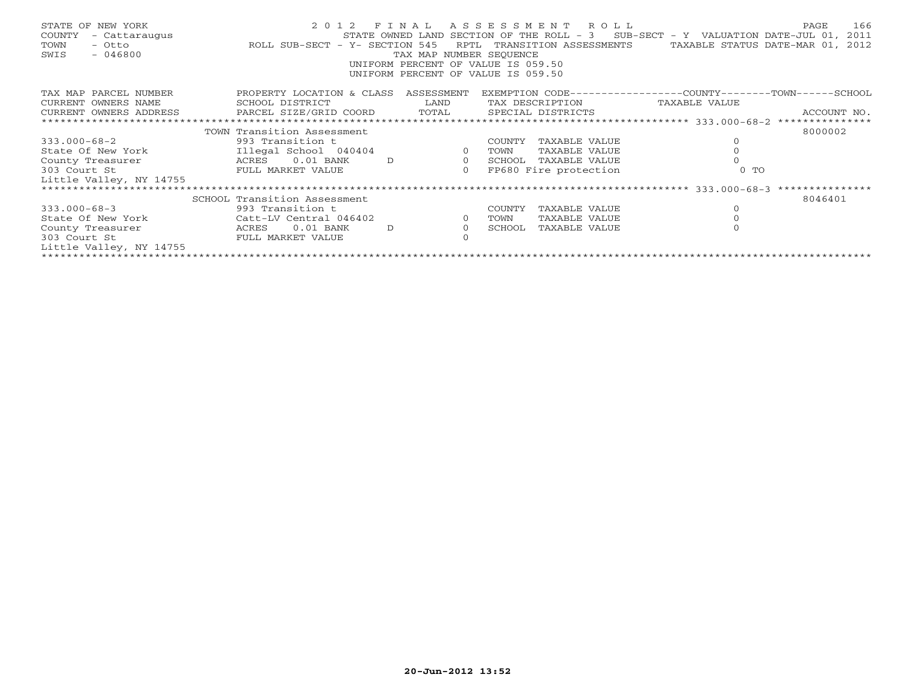| STATE OF NEW YORK<br>COUNTY<br>TOWN<br>$-046800$<br>SWIS |                              | TAX MAP NUMBER SEQUENCE<br>UNIFORM PERCENT OF VALUE IS 059.50<br>UNIFORM PERCENT OF VALUE IS 059.50 |                |        | 2012 FINAL ASSESSMENT ROLL<br>STATE OWNED LAND SECTION OF THE ROLL - $3$ SUB-SECT - Y VALUATION DATE-JUL 01, 2011<br>RPTL TRANSITION ASSESSMENTS TAXABLE STATUS DATE-MAR 01, 2012 |          | 166<br>PAGE |
|----------------------------------------------------------|------------------------------|-----------------------------------------------------------------------------------------------------|----------------|--------|-----------------------------------------------------------------------------------------------------------------------------------------------------------------------------------|----------|-------------|
| TAX MAP PARCEL NUMBER                                    | PROPERTY LOCATION & CLASS    | ASSESSMENT                                                                                          |                |        | EXEMPTION CODE-----------------COUNTY-------TOWN------SCHOOL                                                                                                                      |          |             |
| CURRENT OWNERS NAME                                      | SCHOOL DISTRICT              | LAND                                                                                                |                |        | TAX DESCRIPTION TAXABLE VALUE                                                                                                                                                     |          |             |
| CURRENT OWNERS ADDRESS                                   |                              |                                                                                                     |                |        |                                                                                                                                                                                   |          |             |
|                                                          |                              |                                                                                                     |                |        |                                                                                                                                                                                   |          |             |
|                                                          | TOWN Transition Assessment   |                                                                                                     |                |        |                                                                                                                                                                                   |          | 8000002     |
| $333.000 - 68 - 2$                                       | 993 Transition t             |                                                                                                     |                | COUNTY | TAXABLE VALUE                                                                                                                                                                     | $\Omega$ |             |
| State Of New York                                        | Illegal School 040404        | $\sim$ 0 $\sim$ 0 $\sim$ 0 $\sim$                                                                   |                | TOWN   | TAXABLE VALUE                                                                                                                                                                     | $\circ$  |             |
| County Treasurer                                         | ACRES 0.01 BANK              | $\overline{0}$<br>D                                                                                 |                |        | SCHOOL TAXABLE VALUE                                                                                                                                                              |          |             |
| 303 Court St                                             | FULL MARKET VALUE            |                                                                                                     | $\circ$        |        | FP680 Fire protection                                                                                                                                                             | $0$ TO   |             |
| Little Valley, NY 14755                                  |                              |                                                                                                     |                |        |                                                                                                                                                                                   |          |             |
|                                                          |                              |                                                                                                     |                |        |                                                                                                                                                                                   |          |             |
|                                                          | SCHOOL Transition Assessment |                                                                                                     |                |        |                                                                                                                                                                                   |          | 8046401     |
| $333.000 - 68 - 3$                                       | 993 Transition t             |                                                                                                     |                | COUNTY | TAXABLE VALUE                                                                                                                                                                     | $\circ$  |             |
| State Of New York                                        | Catt-LV Central 046402       |                                                                                                     | $\overline{0}$ | TOWN   | TAXABLE VALUE                                                                                                                                                                     |          |             |
| County Treasurer                                         | ACRES 0.01 BANK              | D                                                                                                   | $\circ$        | SCHOOL | TAXABLE VALUE                                                                                                                                                                     |          |             |
| 303 Court St                                             | FULL MARKET VALUE            |                                                                                                     |                |        |                                                                                                                                                                                   |          |             |
| Little Valley, NY 14755                                  |                              |                                                                                                     |                |        |                                                                                                                                                                                   |          |             |
|                                                          |                              |                                                                                                     |                |        |                                                                                                                                                                                   |          |             |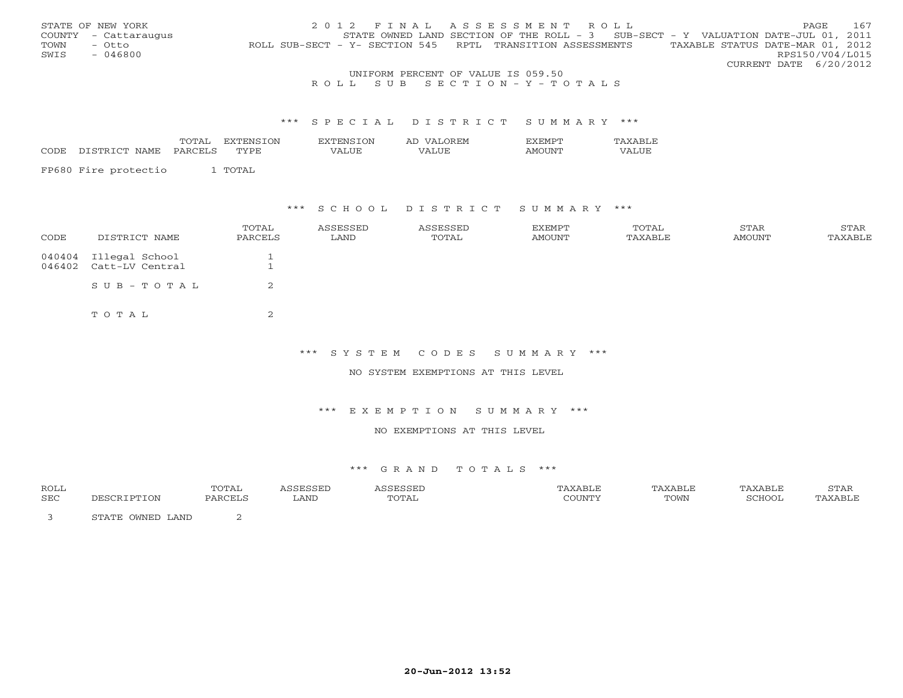|                                    | STATE OF NEW YORK    | 2012 FINAL ASSESSMENT ROLL                                                                     | PAGE.                  | 167 |  |  |
|------------------------------------|----------------------|------------------------------------------------------------------------------------------------|------------------------|-----|--|--|
|                                    | COUNTY - Cattaraugus | STATE OWNED LAND SECTION OF THE ROLL - $3$ SUB-SECT - Y VALUATION DATE-JUL 01, 2011            |                        |     |  |  |
| TOWN                               | – Otto               | TAXABLE STATUS DATE-MAR 01, 2012<br>ROLL SUB-SECT - Y- SECTION 545 RPTL TRANSITION ASSESSMENTS |                        |     |  |  |
| SWIS                               | $-046800$            |                                                                                                | RPS150/V04/L015        |     |  |  |
|                                    |                      |                                                                                                | CURRENT DATE 6/20/2012 |     |  |  |
| UNIFORM PERCENT OF VALUE IS 059.50 |                      |                                                                                                |                        |     |  |  |

# R O L L S U B S E C T I O N - Y - T O T A L S

#### \*\*\* S P E C I A L D I S T R I C T S U M M A R Y \*\*\*

|      |                             | m <sub>c</sub><br><u>.</u> | ′ ∩N⊾     |                                     | -EN.<br>$\lambda$<br>୵ℷ |       |  |
|------|-----------------------------|----------------------------|-----------|-------------------------------------|-------------------------|-------|--|
| CODE | ∩m<br>$\cap$ m<br>NAMH<br>. |                            | `DT<br>᠇᠇ | $- - - -$<br>$\mathbf{H}$ . The set | $- - -$                 | I N I |  |

|  | FP680 Fire protectio |  | 1 TOTAL |
|--|----------------------|--|---------|
|--|----------------------|--|---------|

# \*\*\* S C H O O L D I S T R I C T S U M M A R Y \*\*\*

| CODE | DISTRICT NAME                                   | TOTAL<br>PARCELS | ASSESSED<br>LAND | ASSESSED<br>TOTAL | EXEMPT<br>AMOUNT | TOTAL<br>TAXABLE | STAR<br>AMOUNT | STAR<br>TAXABLE |
|------|-------------------------------------------------|------------------|------------------|-------------------|------------------|------------------|----------------|-----------------|
|      | 040404 Illegal School<br>046402 Catt-LV Central |                  |                  |                   |                  |                  |                |                 |
|      | SUB-TOTAL                                       | 2                |                  |                   |                  |                  |                |                 |
|      | TOTAL                                           | $\sim$<br>╱.     |                  |                   |                  |                  |                |                 |

\*\*\* S Y S T E M C O D E S S U M M A R Y \*\*\*

NO SYSTEM EXEMPTIONS AT THIS LEVEL

\*\*\* E X E M P T I O N S U M M A R Y \*\*\*

NO EXEMPTIONS AT THIS LEVEL

| <b>ROLL</b> |                                    | TOTAL         |      |       | 'AXABLE | 'AXABLE | STAR     |
|-------------|------------------------------------|---------------|------|-------|---------|---------|----------|
| SEC         | <b>PTON</b>                        | <b>DARCEL</b> | LAND | TOTAL | TOWN    | "CHOOL, | TAYARI.F |
|             | T.AND<br><b>OMNED</b><br>. Im a mm |               |      |       |         |         |          |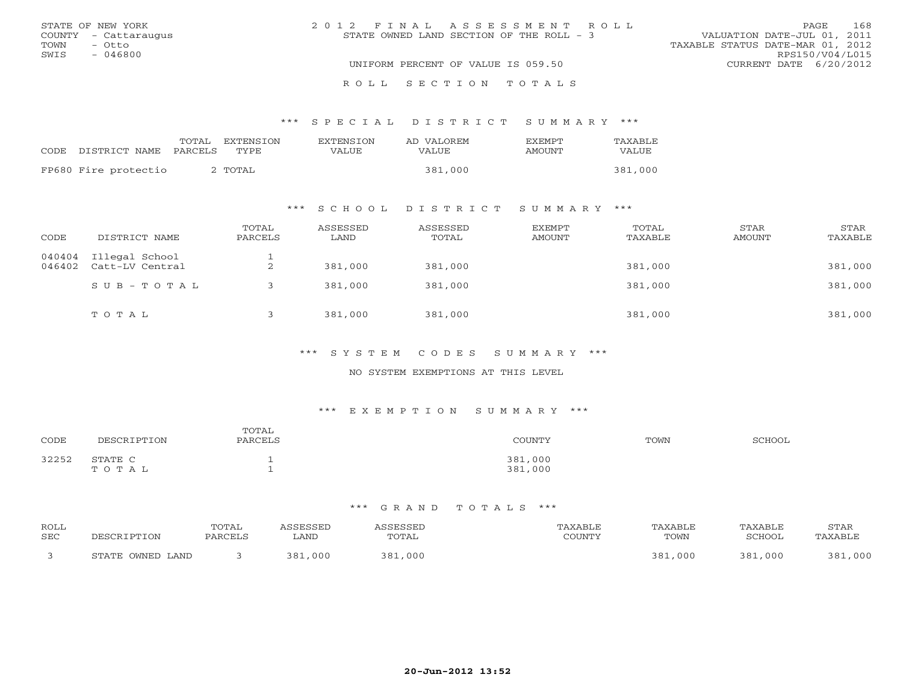| STATE OF NEW YORK    | 2012 FINAL ASSESSMENT ROLL                | 168<br><b>PAGE</b>               |
|----------------------|-------------------------------------------|----------------------------------|
| COUNTY - Cattaraugus | STATE OWNED LAND SECTION OF THE ROLL $-3$ | VALUATION DATE-JUL 01, 2011      |
| TOWN<br>- Otto       |                                           | TAXABLE STATUS DATE-MAR 01, 2012 |
| SWIS<br>- 046800     |                                           | RPS150/V04/L015                  |
|                      | UNIFORM PERCENT OF VALUE IS 059.50        | CURRENT DATE 6/20/2012           |
|                      | ROLL SECTION TOTALS                       |                                  |

#### \*\*\* S P E C I A L D I S T R I C T S U M M A R Y \*\*\*

|                      | TOTAL   | EXTENSTON          | EXTENSION | AD VALOREM | <b>EXEMPT</b> | TAXABLE |
|----------------------|---------|--------------------|-----------|------------|---------------|---------|
| CODE DISTRICT NAME   | PARCELS | TYPE.              | VALUE     | VALUE      | AMOUNT        | VALUE   |
| FP680 Fire protectio |         | TOTAL <sup>c</sup> |           | 381,000    |               | 381,000 |

# \*\*\* S C H O O L D I S T R I C T S U M M A R Y \*\*\*

| CODE             | DISTRICT NAME                     | TOTAL<br>PARCELS | ASSESSED<br>LAND | ASSESSED<br>TOTAL | <b>EXEMPT</b><br>AMOUNT | TOTAL<br>TAXABLE | STAR<br><b>AMOUNT</b> | STAR<br>TAXABLE |
|------------------|-----------------------------------|------------------|------------------|-------------------|-------------------------|------------------|-----------------------|-----------------|
| 040404<br>046402 | Illegal School<br>Catt-LV Central | ∠                | 381,000          | 381,000           |                         | 381,000          |                       | 381,000         |
|                  | $SUB - TO T AL$                   |                  | 381,000          | 381,000           |                         | 381,000          |                       | 381,000         |
|                  | TOTAL                             |                  | 381,000          | 381,000           |                         | 381,000          |                       | 381,000         |

#### \*\*\* S Y S T E M C O D E S S U M M A R Y \*\*\*

## NO SYSTEM EXEMPTIONS AT THIS LEVEL

# \*\*\* E X E M P T I O N S U M M A R Y \*\*\*

| CODE  | MRSCRIPTON       | TOTAL<br>PARCELS | $\cdot$ $\cap$ TINTITI $\vee$<br>UNT. | TOWN | COUOOT |
|-------|------------------|------------------|---------------------------------------|------|--------|
| 32252 | STATE C<br>тотац |                  | 381,000<br>381,000                    |      |        |

| ROLL       |                  | TOTAL   | ASSESSED    | ASSESSED | TAXABLE | TAXABLE | TAXABLE | STAR    |
|------------|------------------|---------|-------------|----------|---------|---------|---------|---------|
| <b>SEC</b> | PESCRIPTION      | PARCELS | <b>LAND</b> | TOTAL    | COUNTY  | TOWN    | SCHOOL  | TAXABLE |
|            | STATE OWNED LAND |         | 381,000     | 381,000  |         | 381,000 | 381,000 | 381,000 |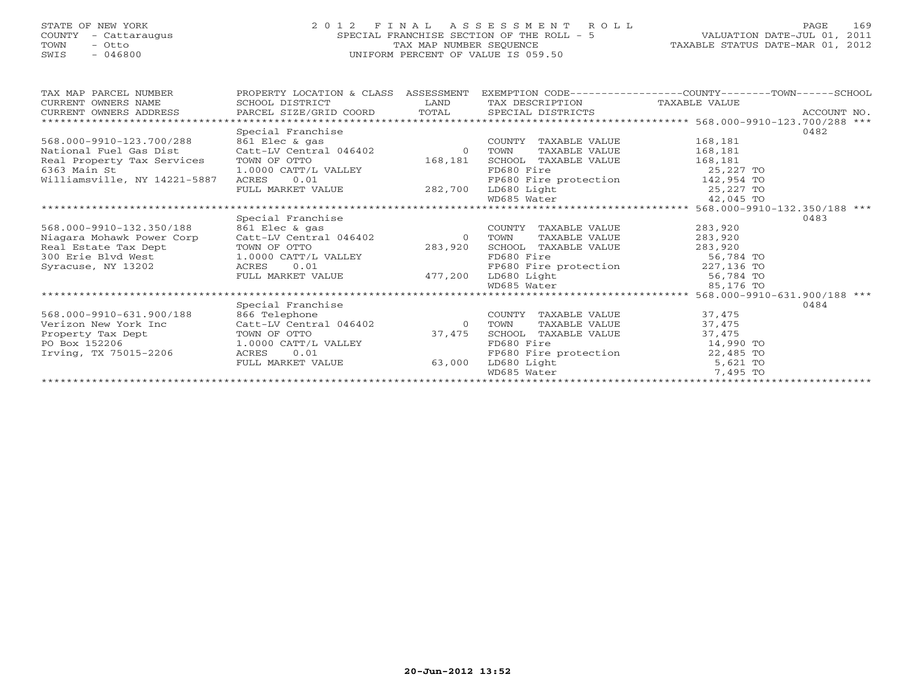# STATE OF NEW YORK 2 0 1 2 F I N A L A S S E S S M E N T R O L L PAGE 169 COUNTY - Cattaraugus SPECIAL FRANCHISE SECTION OF THE ROLL - 5 VALUATION DATE-JUL 01, 2011 TOWN - Otto TAX MAP NUMBER SEQUENCE TAXABLE STATUS DATE-MAR 01, 2012<br>
TOWN - Otto TAXABLE STATUS DATE-MAR 01, 2012<br>
SWIS - 046800 SWIS - 046800 UNIFORM PERCENT OF VALUE IS 059.50

| TAX MAP PARCEL NUMBER                                                        | PROPERTY LOCATION & CLASS ASSESSMENT |                |                                                           | EXEMPTION CODE-----------------COUNTY-------TOWN------SCHOOL |      |
|------------------------------------------------------------------------------|--------------------------------------|----------------|-----------------------------------------------------------|--------------------------------------------------------------|------|
| CURRENT OWNERS NAME                                                          | SCHOOL DISTRICT                      | LAND           | TAX DESCRIPTION TAXABLE VALUE                             |                                                              |      |
| CURRENT OWNERS ADDRESS                                                       |                                      |                |                                                           |                                                              |      |
| ******************************                                               |                                      |                |                                                           |                                                              |      |
|                                                                              | Special Franchise                    |                |                                                           |                                                              | 0482 |
| 568.000-9910-123.700/288                                                     | 861 Elec & gas                       |                | COUNTY TAXABLE VALUE                                      | 168,181                                                      |      |
| National Fuel Gas Dist                                                       | Catt-LV Central 046402               | $\Omega$       | TAXABLE VALUE<br>TOWN                                     | 168,181                                                      |      |
| Real Property Tax Services TOWN OF OTTO                                      |                                      | 168,181        | SCHOOL TAXABLE VALUE<br>FD680 Fire                        | 168,181                                                      |      |
| 6363 Main St                                                                 | 1.0000 CATT/L VALLEY                 |                |                                                           | 25,227 TO                                                    |      |
| Williamsville, NY 14221-5887                                                 | 0.01<br>ACRES                        |                | FP680 Fire protection 142,954 TO<br>LD680 Light 25,227 TO |                                                              |      |
|                                                                              | FULL MARKET VALUE 282,700            |                |                                                           |                                                              |      |
|                                                                              |                                      |                |                                                           |                                                              |      |
|                                                                              |                                      |                |                                                           |                                                              |      |
|                                                                              | Special Franchise                    |                |                                                           |                                                              | 0483 |
| 568.000-9910-132.350/188                                                     | 861 Elec & gas                       |                | COUNTY TAXABLE VALUE                                      | 283,920                                                      |      |
| Niagara Mohawk Power Corp                                                    | Catt-LV Central 046402               | $\Omega$       | TAXABLE VALUE<br>TOWN                                     | 283,920                                                      |      |
|                                                                              |                                      | 283,920        | SCHOOL TAXABLE VALUE                                      | 283,920                                                      |      |
| Real Estate Tax Dept TOWN OF OTTO<br>300 Erie Blvd West 1.0000 CATT/L VALLEY |                                      |                | FD680 Fire                                                | 56,784 TO                                                    |      |
| Syracuse, NY 13202                                                           | 0.01<br>ACRES                        |                |                                                           |                                                              |      |
|                                                                              | FULL MARKET VALUE 477,200            |                | FP680 Fire protection<br>LD680 Light 56,784 TO            |                                                              |      |
|                                                                              |                                      |                | WD685 Water                                               | 85,176 TO                                                    |      |
|                                                                              |                                      |                |                                                           |                                                              |      |
|                                                                              | Special Franchise                    |                |                                                           |                                                              | 0484 |
| 568.000-9910-631.900/188                                                     | 866 Telephone                        |                | COUNTY TAXABLE VALUE                                      | 37,475                                                       |      |
| Verizon New York Inc                                                         | Catt-LV Central 046402               | $\overline{0}$ | TAXABLE VALUE<br>TOWN                                     | 37,475                                                       |      |
| Property Tax Dept                                                            | TOWN OF OTTO                         | 37,475         | SCHOOL TAXABLE VALUE                                      | 37,475                                                       |      |
| PO Box 152206                                                                | 1.0000 CATT/L VALLEY                 |                | FD680 Fire                                                | 14,990 TO                                                    |      |
| Irving, TX 75015-2206                                                        | 0.01<br>ACRES                        |                |                                                           | 22,485 TO                                                    |      |
|                                                                              | FULL MARKET VALUE                    | 63,000         | FP680 Fire protection<br>LD680 Light<br>LD680 Light       | 5,621 TO                                                     |      |
|                                                                              |                                      |                | WD685 Water and the world was a state of the water        | 7,495 TO                                                     |      |
|                                                                              |                                      |                |                                                           |                                                              |      |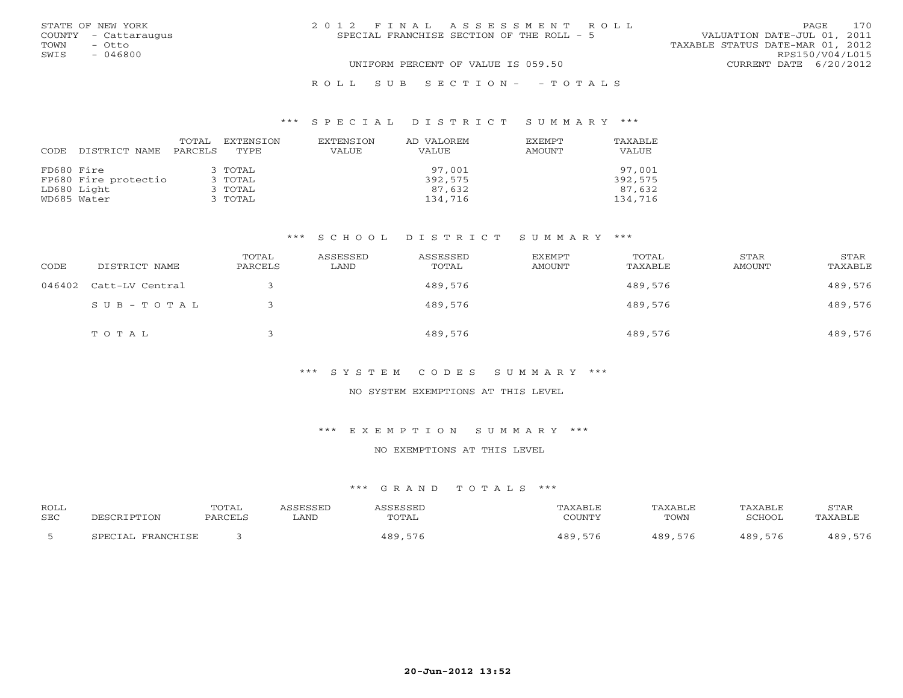|      | STATE OF NEW YORK    | 2012 FINAL ASSESSMENT ROLL                                               | 170<br>PAGE            |
|------|----------------------|--------------------------------------------------------------------------|------------------------|
|      | COUNTY - Cattaraugus | VALUATION DATE-JUL 01, 2011<br>SPECIAL FRANCHISE SECTION OF THE ROLL - 5 |                        |
| TOWN | - Otto               | TAXABLE STATUS DATE-MAR 01, 2012                                         |                        |
| SWIS | $-046800$            |                                                                          | RPS150/V04/L015        |
|      |                      | UNIFORM PERCENT OF VALUE IS 059.50                                       | CURRENT DATE 6/20/2012 |
|      |                      | ROLL SUB SECTION- - TOTALS                                               |                        |

#### \*\*\* S P E C I A L D I S T R I C T S U M M A R Y \*\*\*

| CODE       | DISTRICT NAME        | TOTAL<br>PARCELS | EXTENSION<br>TYPE | EXTENSION<br>VALUE | AD VALOREM<br>VALUE | <b>EXEMPT</b><br>AMOUNT | <b>TAXABLE</b><br>VALUE |
|------------|----------------------|------------------|-------------------|--------------------|---------------------|-------------------------|-------------------------|
| FD680 Fire |                      |                  | 3 TOTAL           |                    | 97,001              |                         | 97,001                  |
|            | FP680 Fire protectio |                  | 3 TOTAL           |                    | 392,575             |                         | 392,575                 |
|            | LD680 Light          |                  | 3 TOTAL           |                    | 87,632              |                         | 87,632                  |
|            | WD685 Water          |                  | 3 TOTAL           |                    | 134,716             |                         | 134,716                 |

# \*\*\* S C H O O L D I S T R I C T S U M M A R Y \*\*\*

| CODE   | DISTRICT NAME   | TOTAL<br>PARCELS | ASSESSED<br>LAND | ASSESSED<br>TOTAL | EXEMPT<br>AMOUNT | TOTAL<br>TAXABLE | STAR<br>AMOUNT | STAR<br>TAXABLE |
|--------|-----------------|------------------|------------------|-------------------|------------------|------------------|----------------|-----------------|
| 046402 | Catt-LV Central |                  |                  | 489,576           |                  | 489,576          |                | 489,576         |
|        | SUB-TOTAL       |                  |                  | 489,576           |                  | 489,576          |                | 489,576         |
|        | TOTAL           |                  |                  | 489,576           |                  | 489,576          |                | 489,576         |

# \*\*\* S Y S T E M C O D E S S U M M A R Y \*\*\*

#### NO SYSTEM EXEMPTIONS AT THIS LEVEL

#### \*\*\* E X E M P T I O N S U M M A R Y \*\*\*

# NO EXEMPTIONS AT THIS LEVEL

| <b>ROLL</b> |                                | TOTAL  |      |             | AXABLI  |              |                 | STAR                           |
|-------------|--------------------------------|--------|------|-------------|---------|--------------|-----------------|--------------------------------|
| <b>SEC</b>  |                                | דסימתת | ∟AND | TOTAL       | COTINTT | TOWN         | SCHOOL          | TAXARI.R                       |
|             | FDAMCHTCF<br>ש הדר<br>$\Delta$ |        |      | 480<br>$ -$ | . റ റ   | 189<br>ם / ר | $\circ$ $\circ$ | 100 <sup>o</sup><br>$  \prime$ |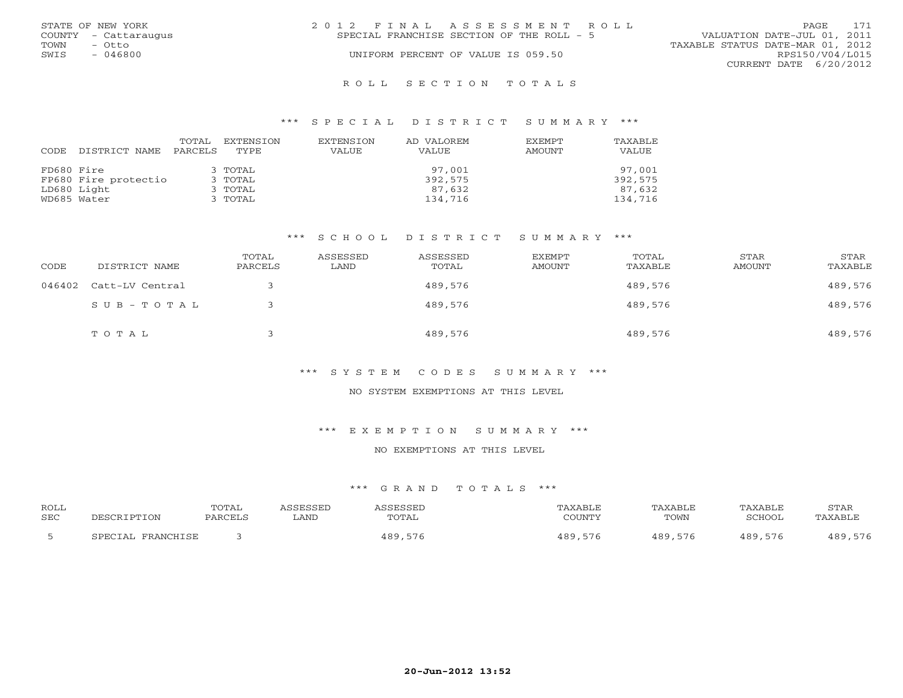|      | STATE OF NEW YORK    | 2012 FINAL ASSESSMENT ROLL |                                           |                                  | PAGE.                  | 171 |
|------|----------------------|----------------------------|-------------------------------------------|----------------------------------|------------------------|-----|
|      | COUNTY - Cattaraugus |                            | SPECIAL FRANCHISE SECTION OF THE ROLL - 5 | VALUATION DATE-JUL 01, 2011      |                        |     |
| TOWN | – Otto               |                            |                                           | TAXABLE STATUS DATE-MAR 01, 2012 |                        |     |
| SWIS | $-046800$            |                            | UNIFORM PERCENT OF VALUE IS 059.50        |                                  | RPS150/V04/L015        |     |
|      |                      |                            |                                           |                                  | CURRENT DATE 6/20/2012 |     |
|      |                      |                            |                                           |                                  |                        |     |

#### R O L L S E C T I O N T O T A L S

#### \*\*\* S P E C I A L D I S T R I C T S U M M A R Y \*\*\*

| CODE       | DISTRICT NAME        | TOTAL<br>PARCELS | EXTENSION<br>TYPE. | EXTENSION<br><b>VALUE</b> | AD VALOREM<br>VALUE | <b>EXEMPT</b><br>AMOUNT | TAXABLE<br>VALUE |
|------------|----------------------|------------------|--------------------|---------------------------|---------------------|-------------------------|------------------|
| FD680 Fire |                      |                  | 3 TOTAL            |                           | 97,001              |                         | 97,001           |
|            | FP680 Fire protectio |                  | 3 TOTAL            |                           | 392,575             |                         | 392,575          |
|            | LD680 Light          |                  | 3 TOTAL            |                           | 87,632              |                         | 87,632           |
|            | WD685 Water          |                  | 3 TOTAL            |                           | 134,716             |                         | 134,716          |

# \*\*\* S C H O O L D I S T R I C T S U M M A R Y \*\*\*

| CODE   | DISTRICT NAME   | TOTAL<br>PARCELS | ASSESSED<br>LAND | ASSESSED<br>TOTAL | EXEMPT<br>AMOUNT | TOTAL<br>TAXABLE | STAR<br>AMOUNT | STAR<br>TAXABLE |
|--------|-----------------|------------------|------------------|-------------------|------------------|------------------|----------------|-----------------|
| 046402 | Catt-LV Central |                  |                  | 489,576           |                  | 489,576          |                | 489,576         |
|        | $SUB - TO T AL$ |                  |                  | 489,576           |                  | 489,576          |                | 489,576         |
|        | TOTAL           |                  |                  | 489,576           |                  | 489,576          |                | 489,576         |

# \*\*\* S Y S T E M C O D E S S U M M A R Y \*\*\*

#### NO SYSTEM EXEMPTIONS AT THIS LEVEL

#### \*\*\* E X E M P T I O N S U M M A R Y \*\*\*

# NO EXEMPTIONS AT THIS LEVEL

| <b>ROLL</b> |                                  | TOTAL         |      |               | ⊀XABLF            | <b><i>PAXABLF</i></b> | TAXABLE | STAF            |
|-------------|----------------------------------|---------------|------|---------------|-------------------|-----------------------|---------|-----------------|
| <b>SEC</b>  |                                  | <b>PARCET</b> | LAND | TOTAL         | COUNTY            | TOWN                  | ∩מח¤ר   | . A Y ∆ R T'    |
|             | <b>PDAMCUTCP</b><br>ΤΔ,<br>ש הדר |               |      | 1 R Q<br>$ -$ | $  \cdot$<br>10 O | 489<br>576            | 489,    | $\circ$ $\circ$ |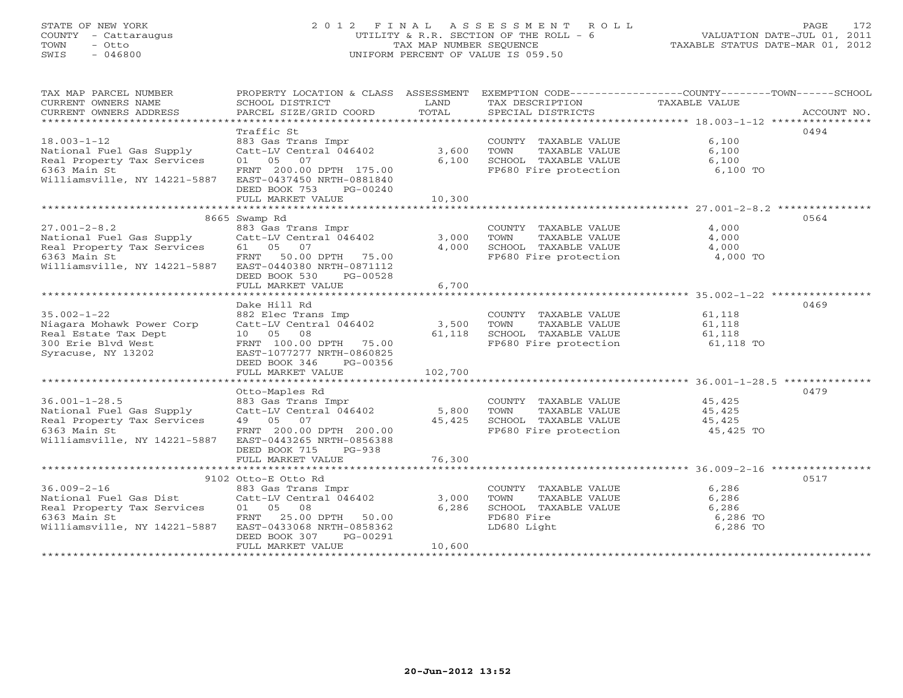# STATE OF NEW YORK 2 0 1 2 F I N A L A S S E S S M E N T R O L L PAGE 172 COUNTY - Cattaraugus UTILITY & R.R. SECTION OF THE ROLL - 6 VALUATION DATE-JUL 01, 2011 TOWN - Otto TAX MAP NUMBER SEQUENCE TAXABLE STATUS DATE-MAR 01, 2012 SWIS - 046800 UNIFORM PERCENT OF VALUE IS 059.50UNIFORM PERCENT OF VALUE IS 059.50

| TAX MAP PARCEL NUMBER                                  |                                      |         |                                                              | PROPERTY LOCATION & CLASS ASSESSMENT EXEMPTION CODE----------------COUNTY-------TOWN------SCHOOL |
|--------------------------------------------------------|--------------------------------------|---------|--------------------------------------------------------------|--------------------------------------------------------------------------------------------------|
| CURRENT OWNERS NAME                                    | SCHOOL DISTRICT                      | LAND    | TAX DESCRIPTION                                              | TAXABLE VALUE                                                                                    |
| CURRENT OWNERS ADDRESS                                 | PARCEL SIZE/GRID COORD               | TOTAL   | SPECIAL DISTRICTS                                            | ACCOUNT NO.                                                                                      |
|                                                        |                                      |         |                                                              |                                                                                                  |
|                                                        | Traffic St                           |         |                                                              | 0494                                                                                             |
| $18.003 - 1 - 12$                                      | 883 Gas Trans Impr                   |         | COUNTY TAXABLE VALUE                                         | 6,100                                                                                            |
| National Fuel Gas Supply                               | $Catt-LV$ Central $046402$ 3,600     |         | TAXABLE VALUE<br>TOWN                                        | 6,100                                                                                            |
| Real Property Tax Services                             | 01 05 07                             | 6,100   |                                                              |                                                                                                  |
| 6363 Main St                                           | FRNT 200.00 DPTH 175.00              |         | SCHOOL TAXABLE VALUE<br>FP680 Fire protection                |                                                                                                  |
| Williamsville, NY 14221-5887                           | EAST-0437450 NRTH-0881840            |         |                                                              | $6,100$ TO                                                                                       |
|                                                        | DEED BOOK 753<br>PG-00240            |         |                                                              |                                                                                                  |
|                                                        | FULL MARKET VALUE                    | 10,300  |                                                              |                                                                                                  |
|                                                        |                                      |         |                                                              |                                                                                                  |
|                                                        | 8665 Swamp Rd                        |         |                                                              | 0564                                                                                             |
| $27.001 - 2 - 8.2$                                     | 883 Gas Trans Impr                   |         | COUNTY TAXABLE VALUE                                         | 4,000                                                                                            |
| National Fuel Gas Supply                               | $Cat-LV$ Central $046402$ 3,000      |         | TOWN<br>TAXABLE VALUE                                        | 4,000                                                                                            |
| Real Property Tax Services                             | 61 05 07                             | 4,000   |                                                              |                                                                                                  |
| 6363 Main St                                           | FRNT<br>50.00 DPTH 75.00             |         | SCHOOL TAXABLE VALUE 4,000<br>FP680 Fire protection 4,000 TO |                                                                                                  |
| Williamsville, NY 14221-5887                           | EAST-0440380 NRTH-0871112            |         |                                                              |                                                                                                  |
|                                                        | DEED BOOK 530<br>PG-00528            |         |                                                              |                                                                                                  |
|                                                        | FULL MARKET VALUE                    | 6,700   |                                                              |                                                                                                  |
|                                                        |                                      |         |                                                              |                                                                                                  |
|                                                        | Dake Hill Rd                         |         |                                                              | 0469                                                                                             |
|                                                        |                                      |         |                                                              |                                                                                                  |
| $35.002 - 1 - 22$                                      | 882 Elec Trans Imp                   |         | COUNTY TAXABLE VALUE                                         | 61,118                                                                                           |
| Niagara Mohawk Power Corp                              | Catt-LV Central 046402               | 3,500   | TOWN<br>TAXABLE VALUE                                        | 61,118                                                                                           |
| Real Estate Tax Dept                                   | 10 05 08                             | 61,118  | SCHOOL TAXABLE VALUE                                         | 61,118                                                                                           |
| 300 Erie Blvd West                                     | FRNT 100.00 DPTH 75.00               |         | FP680 Fire protection 61,118 TO                              |                                                                                                  |
| Syracuse, NY 13202                                     | EAST-1077277 NRTH-0860825            |         |                                                              |                                                                                                  |
|                                                        | DEED BOOK 346<br>PG-00356            |         |                                                              |                                                                                                  |
|                                                        | FULL MARKET VALUE                    | 102,700 |                                                              |                                                                                                  |
|                                                        |                                      |         |                                                              |                                                                                                  |
|                                                        | Otto-Maples Rd                       |         |                                                              | 0479                                                                                             |
| $36.001 - 1 - 28.5$                                    | 883 Gas Trans Impr                   |         | COUNTY TAXABLE VALUE                                         | 45,425                                                                                           |
| National Fuel Gas Supply                               | Catt-LV Central 046402               | 5,800   | TOWN<br>TAXABLE VALUE                                        | 45,425                                                                                           |
| Real Property Tax Services                             | 49 05 07                             | 45,425  | SCHOOL TAXABLE VALUE                                         | 45,425                                                                                           |
| 6363 Main St                                           | FRNT 200.00 DPTH 200.00              |         | FP680 Fire protection                                        | 45,425 TO                                                                                        |
| Williamsville, NY 14221-5887                           | EAST-0443265 NRTH-0856388            |         |                                                              |                                                                                                  |
|                                                        | DEED BOOK 715<br>$PG-938$            |         |                                                              |                                                                                                  |
|                                                        | FULL MARKET VALUE                    | 76,300  |                                                              |                                                                                                  |
|                                                        |                                      |         |                                                              |                                                                                                  |
|                                                        | 9102 Otto-E Otto Rd                  |         |                                                              | 0517                                                                                             |
| $36.009 - 2 - 16$                                      | 883 Gas Trans Impr                   |         | COUNTY TAXABLE VALUE                                         | 6,286                                                                                            |
| National Fuel Gas Dist                                 | Catt-LV Central $046402$<br>01 05 08 | 3,000   | TOWN<br>TAXABLE VALUE                                        | 6,286                                                                                            |
| Real Property Tax Services 01 05 08                    |                                      | 6,286   | SCHOOL TAXABLE VALUE                                         | 6,286                                                                                            |
| 6363 Main St                                           | FRNT 25.00 DPTH 50.00                |         | FD680 Fire                                                   | 6,286 TO                                                                                         |
| Williamsville, NY 14221-5887 EAST-0433068 NRTH-0858362 |                                      |         | LD680 Light                                                  | 6,286 TO                                                                                         |
|                                                        | DEED BOOK 307<br>PG-00291            |         |                                                              |                                                                                                  |
|                                                        | FULL MARKET VALUE                    | 10,600  |                                                              |                                                                                                  |
|                                                        |                                      |         |                                                              |                                                                                                  |
|                                                        |                                      |         |                                                              |                                                                                                  |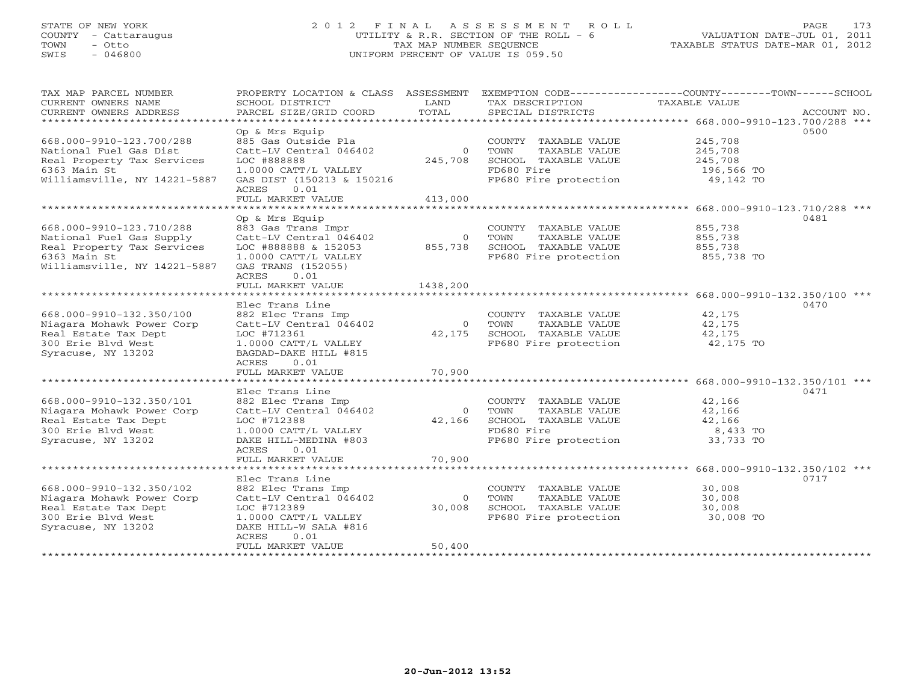# STATE OF NEW YORK 2 0 1 2 F I N A L A S S E S S M E N T R O L L PAGE 173 COUNTY - Cattaraugus UTILITY & R.R. SECTION OF THE ROLL - 6 VALUATION DATE-JUL 01, 2011 TOWN - Otto TAX MAP NUMBER SEQUENCE TAXABLE STATUS DATE-MAR 01, 2012 SWIS - 046800 UNIFORM PERCENT OF VALUE IS 059.50UNIFORM PERCENT OF VALUE IS 059.50

| TAX MAP PARCEL NUMBER<br>CURRENT OWNERS NAME<br>CURRENT OWNERS ADDRESS<br>*************************                                | PROPERTY LOCATION & CLASS ASSESSMENT<br>SCHOOL DISTRICT<br>PARCEL SIZE/GRID COORD                                                                                            | LAND<br>TOTAL                        | TAX DESCRIPTION<br>SPECIAL DISTRICTS                                                                         | EXEMPTION CODE----------------COUNTY-------TOWN------SCHOOL<br>TAXABLE VALUE | ACCOUNT NO. |
|------------------------------------------------------------------------------------------------------------------------------------|------------------------------------------------------------------------------------------------------------------------------------------------------------------------------|--------------------------------------|--------------------------------------------------------------------------------------------------------------|------------------------------------------------------------------------------|-------------|
| 668.000-9910-123.700/288<br>National Fuel Gas Dist<br>Real Property Tax Services<br>6363 Main St<br>Williamsville, NY 14221-5887   | Op & Mrs Equip<br>885 Gas Outside Pla<br>Catt-LV Central 046402<br>LOC #888888<br>1.0000 CATT/L VALLEY<br>GAS DIST (150213 & 150216<br>0.01<br>ACRES<br>FULL MARKET VALUE    | $\overline{0}$<br>245,708<br>413,000 | COUNTY TAXABLE VALUE<br>TOWN<br>TAXABLE VALUE<br>SCHOOL TAXABLE VALUE<br>FD680 Fire<br>FP680 Fire protection | 245,708<br>245,708<br>245,708<br>196,566 TO<br>49,142 TO                     | 0500        |
| *************************                                                                                                          |                                                                                                                                                                              |                                      |                                                                                                              |                                                                              |             |
| 668.000-9910-123.710/288<br>National Fuel Gas Supply<br>Real Property Tax Services<br>6363 Main St<br>Williamsville, NY 14221-5887 | Op & Mrs Equip<br>883 Gas Trans Impr<br>Catt-LV Central 046402<br>LOC #888888 & 152053<br>1.0000 CATT/L VALLEY<br>GAS TRANS (152055)<br>ACRES<br>0.01                        | 855,738                              | COUNTY TAXABLE VALUE<br>0 TOWN<br>TAXABLE VALUE<br>SCHOOL TAXABLE VALUE<br>FP680 Fire protection             | 855,738<br>855,738<br>855,738<br>855,738 TO                                  | 0481        |
|                                                                                                                                    | FULL MARKET VALUE                                                                                                                                                            | 1438,200                             |                                                                                                              |                                                                              |             |
| ***********************<br>668.000-9910-132.350/100<br>Niagara Mohawk Power Corp                                                   | Elec Trans Line<br>882 Elec Trans Imp<br>Catt-LV Central 046402                                                                                                              | $\overline{0}$                       | COUNTY TAXABLE VALUE<br>TOWN<br>TAXABLE VALUE                                                                | 42,175<br>42,175                                                             | 0470        |
| Real Estate Tax Dept<br>300 Erie Blvd West<br>Syracuse, NY 13202                                                                   | LOC #712361<br>1.0000 CATT/L VALLEY<br>BAGDAD-DAKE HILL #815<br>ACRES<br>0.01                                                                                                | 42,175                               | SCHOOL TAXABLE VALUE<br>FP680 Fire protection                                                                | 42,175<br>42,175 TO                                                          |             |
|                                                                                                                                    | FULL MARKET VALUE                                                                                                                                                            | 70,900                               |                                                                                                              |                                                                              |             |
|                                                                                                                                    |                                                                                                                                                                              |                                      |                                                                                                              |                                                                              |             |
| 668.000-9910-132.350/101<br>Niagara Mohawk Power Corp<br>Real Estate Tax Dept<br>300 Erie Blvd West<br>Syracuse, NY 13202          | Elec Trans Line<br>882 Elec Trans Imp<br>Catt-LV Central 046402<br>LOC #712388<br>1.0000 CATT/L VALLEY<br>DAKE HILL-MEDINA #803<br>ACRES<br>0.01                             | $\overline{0}$<br>42,166             | COUNTY TAXABLE VALUE<br>TOWN<br>TAXABLE VALUE<br>SCHOOL TAXABLE VALUE<br>FD680 Fire<br>FP680 Fire protection | 42,166<br>42,166<br>42,166<br>8,433 TO<br>33,733 TO                          | 0471        |
|                                                                                                                                    | FULL MARKET VALUE                                                                                                                                                            | 70,900                               |                                                                                                              |                                                                              |             |
|                                                                                                                                    |                                                                                                                                                                              |                                      |                                                                                                              |                                                                              |             |
| 668.000-9910-132.350/102<br>Niagara Mohawk Power Corp<br>Real Estate Tax Dept<br>300 Erie Blvd West<br>Syracuse, NY 13202          | Elec Trans Line<br>882 Elec Trans Imp<br>Catt-LV Central 046402<br>LOC #712389<br>1.0000 CATT/L VALLEY<br>DAKE HILL-W SALA #816<br><b>ACRES</b><br>0.01<br>FULL MARKET VALUE | $\Omega$<br>30,008<br>50,400         | COUNTY TAXABLE VALUE<br>TOWN<br>TAXABLE VALUE<br>SCHOOL TAXABLE VALUE<br>FP680 Fire protection               | 30,008<br>30,008<br>30,008<br>30,008 TO                                      | 0717        |
| **************************                                                                                                         | ********************                                                                                                                                                         |                                      |                                                                                                              |                                                                              |             |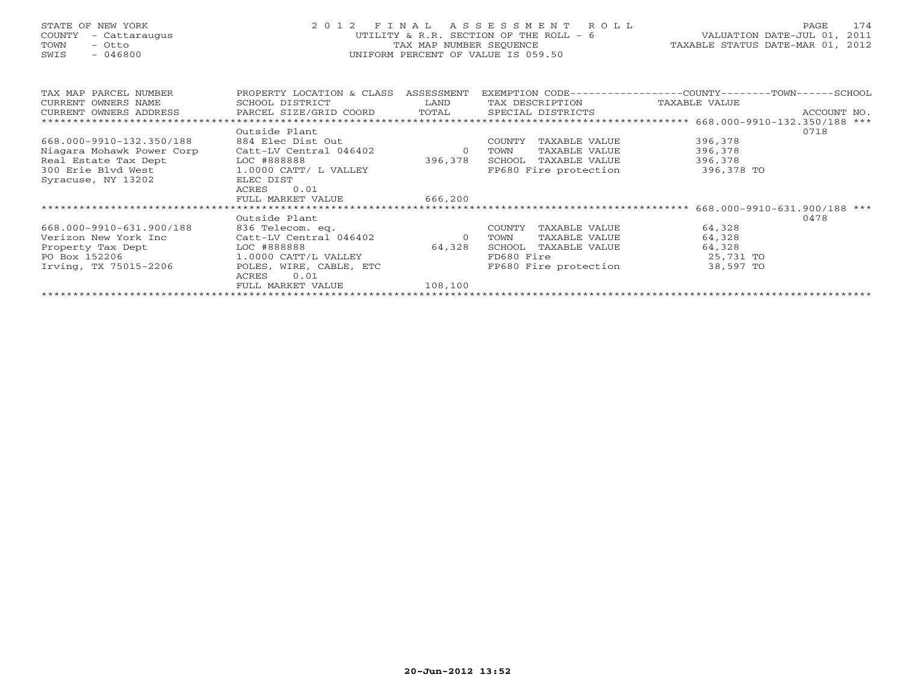# STATE OF NEW YORK 2 0 1 2 F I N A L A S S E S S M E N T R O L L PAGE 174 COUNTY - Cattaraugus UTILITY & R.R. SECTION OF THE ROLL - 6 VALUATION DATE-JUL 01, 2011 TOWN - Otto TAX MAP NUMBER SEQUENCE TAXABLE STATUS DATE-MAR 01, 2012 SWIS - 046800 UNIFORM PERCENT OF VALUE IS 059.50UNIFORM PERCENT OF VALUE IS 059.50

| TAX MAP PARCEL NUMBER<br>CURRENT OWNERS NAME | PROPERTY LOCATION & CLASS<br>SCHOOL DISTRICT | ASSESSMENT<br>LAND | TAX DESCRIPTION         | EXEMPTION CODE----------------COUNTY-------TOWN------SCHOOL<br>TAXABLE VALUE |             |
|----------------------------------------------|----------------------------------------------|--------------------|-------------------------|------------------------------------------------------------------------------|-------------|
| CURRENT OWNERS ADDRESS                       | PARCEL SIZE/GRID COORD                       | TOTAL              | SPECIAL DISTRICTS       |                                                                              | ACCOUNT NO. |
|                                              |                                              |                    |                         |                                                                              |             |
|                                              | Outside Plant                                |                    |                         |                                                                              | 0718        |
| 668.000-9910-132.350/188                     | 884 Elec Dist Out                            |                    | COUNTY<br>TAXABLE VALUE | 396,378                                                                      |             |
| Niagara Mohawk Power Corp                    | Catt-LV Central 046402                       | $\circ$            | TAXABLE VALUE<br>TOWN   | 396,378                                                                      |             |
| Real Estate Tax Dept                         | LOC #888888                                  | 396,378            | TAXABLE VALUE<br>SCHOOL | 396,378                                                                      |             |
| 300 Erie Blvd West                           | 1.0000 CATT/ L VALLEY                        |                    | FP680 Fire protection   | 396,378 TO                                                                   |             |
| Syracuse, NY 13202                           | ELEC DIST                                    |                    |                         |                                                                              |             |
|                                              | 0.01<br>ACRES                                |                    |                         |                                                                              |             |
|                                              | FULL MARKET VALUE                            | 666,200            |                         |                                                                              |             |
|                                              |                                              |                    |                         |                                                                              |             |
|                                              | Outside Plant                                |                    |                         |                                                                              | 0478        |
| 668.000-9910-631.900/188                     | 836 Telecom. eq.                             |                    | COUNTY<br>TAXABLE VALUE | 64,328                                                                       |             |
| Verizon New York Inc                         | Catt-LV Central 046402                       | $\circ$            | TAXABLE VALUE<br>TOWN   | 64,328                                                                       |             |
| Property Tax Dept                            | LOC #888888                                  | 64,328             | SCHOOL<br>TAXABLE VALUE | 64,328                                                                       |             |
| PO Box 152206                                | 1.0000 CATT/L VALLEY                         |                    | FD680 Fire              | 25,731 TO                                                                    |             |
| Irving, TX 75015-2206                        | POLES, WIRE, CABLE, ETC                      |                    | FP680 Fire protection   | 38,597 TO                                                                    |             |
|                                              | 0.01<br>ACRES                                |                    |                         |                                                                              |             |
|                                              | FULL MARKET VALUE                            | 108,100            |                         |                                                                              |             |
|                                              |                                              |                    |                         |                                                                              |             |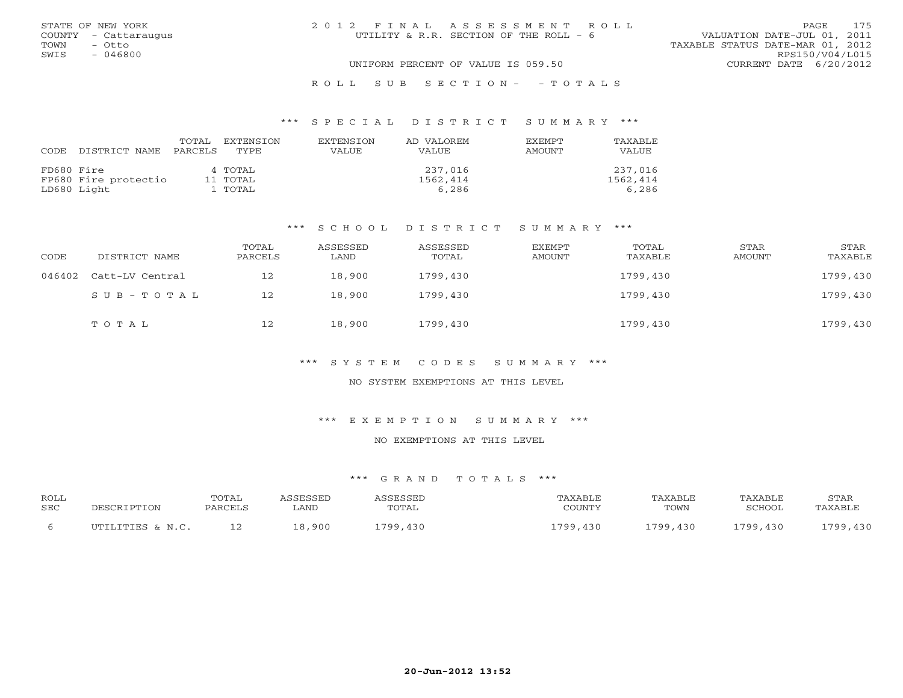|      | STATE OF NEW YORK    | 2012 FINAL ASSESSMENT ROLL                                            | 175<br>PAGE            |
|------|----------------------|-----------------------------------------------------------------------|------------------------|
|      | COUNTY - Cattaraugus | VALUATION DATE-JUL 01, 2011<br>UTILITY & R.R. SECTION OF THE ROLL - 6 |                        |
| TOWN | - Otto               | TAXABLE STATUS DATE-MAR 01, 2012                                      |                        |
| SWIS | $-046800$            |                                                                       | RPS150/V04/L015        |
|      |                      | UNIFORM PERCENT OF VALUE IS 059.50                                    | CURRENT DATE 6/20/2012 |
|      |                      | ROLL SUB SECTION- - TOTALS                                            |                        |

#### \*\*\* S P E C I A L D I S T R I C T S U M M A R Y \*\*\*

| CODE       | DISTRICT NAME        | TOTAL<br>PARCELS | EXTENSTON<br>TYPE | <b>EXTENSION</b><br>VALUE | AD VALOREM<br><b>VALUE</b> | <b>EXEMPT</b><br>AMOUNT | TAXABLE<br>VALUE |
|------------|----------------------|------------------|-------------------|---------------------------|----------------------------|-------------------------|------------------|
| FD680 Fire |                      |                  | 4 TOTAL           |                           | 237,016                    |                         | 237,016          |
|            | FP680 Fire protectio |                  | 11 TOTAL          |                           | 1562,414                   |                         | 1562,414         |
|            | LD680 Light          |                  | 1 ТОТАL           |                           | 6,286                      |                         | 6,286            |

#### \*\*\* S C H O O L D I S T R I C T S U M M A R Y \*\*\*

| CODE   | DISTRICT NAME   | TOTAL<br>PARCELS | ASSESSED<br>LAND | ASSESSED<br>TOTAL | EXEMPT<br>AMOUNT | TOTAL<br>TAXABLE | STAR<br>AMOUNT | STAR<br>TAXABLE |
|--------|-----------------|------------------|------------------|-------------------|------------------|------------------|----------------|-----------------|
| 046402 | Catt-LV Central | 12               | 18,900           | 1799,430          |                  | 1799,430         |                | 1799,430        |
|        | SUB-TOTAL       | 12               | 18,900           | 1799,430          |                  | 1799,430         |                | 1799,430        |
|        | TOTAL           | 12               | 18,900           | 1799,430          |                  | 1799,430         |                | 1799,430        |

#### \*\*\* S Y S T E M C O D E S S U M M A R Y \*\*\*

### NO SYSTEM EXEMPTIONS AT THIS LEVEL

#### \*\*\* E X E M P T I O N S U M M A R Y \*\*\*

## NO EXEMPTIONS AT THIS LEVEL

| <b>ROLL</b><br><b>SEC</b> | DESCRIPTION      | TOTAL<br>PARCELS | ASSESSED<br>∟AND | ASSESSED<br>TOTAL | TAXABLE<br>COUNTY | TAXABLE<br>TOWN | TAXABLE<br>SCHOOL | STAR<br>TAXABLE |
|---------------------------|------------------|------------------|------------------|-------------------|-------------------|-----------------|-------------------|-----------------|
|                           | UTILITIES & N.C. |                  | 18,900           | 1799,430          | 1799,430          | 1799,430        | 1799,430          | 1799,430        |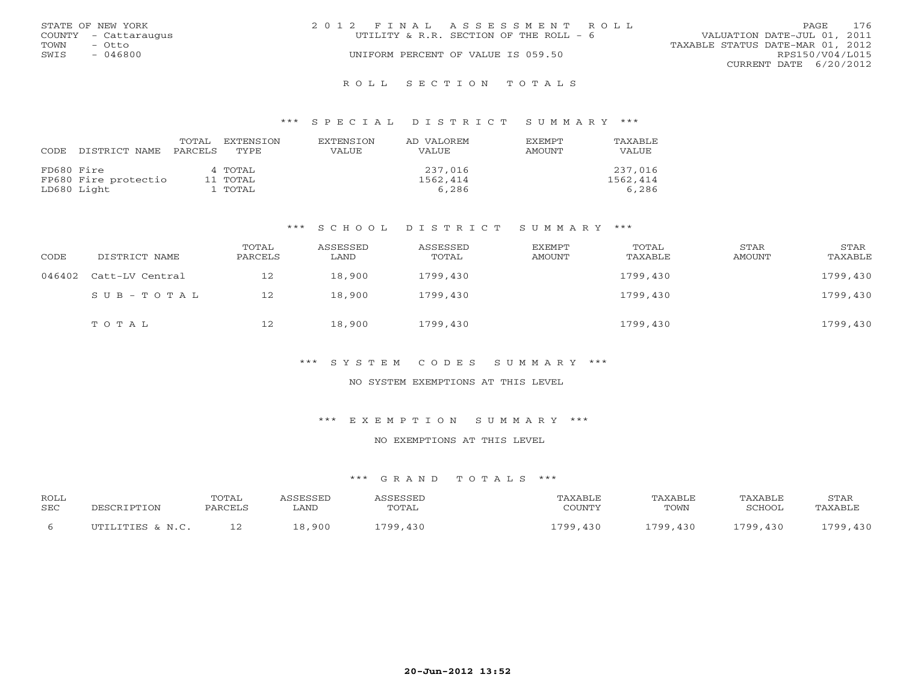|      | STATE OF NEW YORK    | 2012 FINAL ASSESSMENT ROLL             | PAGE.                            | 176 |
|------|----------------------|----------------------------------------|----------------------------------|-----|
|      | COUNTY - Cattaraugus | UTILITY & R.R. SECTION OF THE ROLL - 6 | VALUATION DATE-JUL 01, 2011      |     |
| TOWN | – Otto               |                                        | TAXABLE STATUS DATE-MAR 01, 2012 |     |
| SWIS | $-046800$            | UNIFORM PERCENT OF VALUE IS 059.50     | RPS150/V04/L015                  |     |
|      |                      |                                        | CURRENT DATE 6/20/2012           |     |
|      |                      |                                        |                                  |     |

#### R O L L S E C T I O N T O T A L S

#### \*\*\* S P E C I A L D I S T R I C T S U M M A R Y \*\*\*

| CODE       | DISTRICT NAME        | TOTAL<br>PARCELS | EXTENSTON<br>TYPE | <b>EXTENSION</b><br><b>VALUE</b> | AD VALOREM<br>VALUE | <b>EXEMPT</b><br>AMOUNT | TAXABLE<br><b>VALUE</b> |
|------------|----------------------|------------------|-------------------|----------------------------------|---------------------|-------------------------|-------------------------|
| FD680 Fire |                      |                  | 4 TOTAL           |                                  | 237,016             |                         | 237,016                 |
|            | FP680 Fire protectio |                  | 11 TOTAL          |                                  | 1562,414            |                         | 1562,414                |
|            | LD680 Light          |                  | l TOTAL           |                                  | 6,286               |                         | 6,286                   |

#### \*\*\* S C H O O L D I S T R I C T S U M M A R Y \*\*\*

| CODE   | DISTRICT NAME   | TOTAL<br>PARCELS | ASSESSED<br>LAND | ASSESSED<br>TOTAL | EXEMPT<br>AMOUNT | TOTAL<br>TAXABLE | STAR<br>AMOUNT | STAR<br>TAXABLE |
|--------|-----------------|------------------|------------------|-------------------|------------------|------------------|----------------|-----------------|
| 046402 | Catt-LV Central | 12               | 18,900           | 1799,430          |                  | 1799,430         |                | 1799,430        |
|        | SUB-TOTAL       | 12               | 18,900           | 1799,430          |                  | 1799,430         |                | 1799,430        |
|        | TOTAL           | 12               | 18,900           | 1799,430          |                  | 1799,430         |                | 1799,430        |

#### \*\*\* S Y S T E M C O D E S S U M M A R Y \*\*\*

## NO SYSTEM EXEMPTIONS AT THIS LEVEL

#### \*\*\* E X E M P T I O N S U M M A R Y \*\*\*

### NO EXEMPTIONS AT THIS LEVEL

| <b>ROLL</b><br><b>SEC</b> | PESCRIPTION      | TOTAL<br>PARCELS | <i><b>\SSESSED</b></i><br>LAND | ASSESSED<br>TOTAL | TAXABLE<br>COUNTY | TAXABLE<br>TOWN | TAXABLE<br>SCHOOL | STAR<br>TAXABLE |
|---------------------------|------------------|------------------|--------------------------------|-------------------|-------------------|-----------------|-------------------|-----------------|
|                           | UTILITIES & N.C. |                  | 18,900                         | 1799,430          | 1799,430          | 1799,430        | 1799,430          | 1799,430        |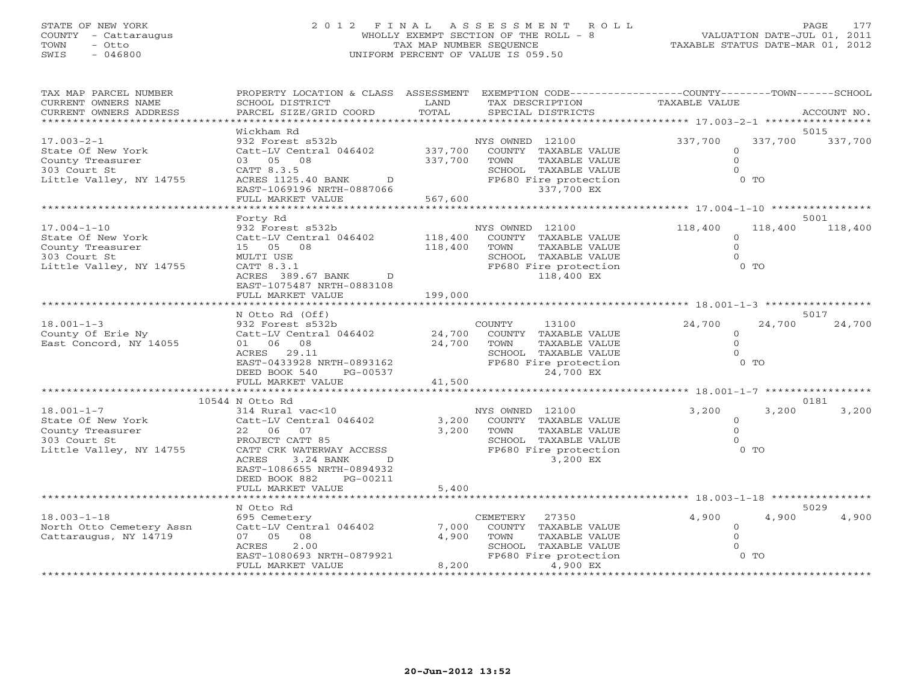# STATE OF NEW YORK 2 0 1 2 F I N A L A S S E S S M E N T R O L L PAGE 177 COUNTY - Cattaraugus WHOLLY EXEMPT SECTION OF THE ROLL - 8 VALUATION DATE-JUL 01, 2011 TOWN - Otto TAX MAP NUMBER SEQUENCE TAXABLE STATUS DATE-MAR 01, 2012 SWIS - 046800 UNIFORM PERCENT OF VALUE IS 059.50

| TAX MAP PARCEL NUMBER    | PROPERTY LOCATION & CLASS                            | ASSESSMENT            |                        | EXEMPTION CODE-----------------COUNTY-------TOWN------SCHOOL |                 |
|--------------------------|------------------------------------------------------|-----------------------|------------------------|--------------------------------------------------------------|-----------------|
| CURRENT OWNERS NAME      | SCHOOL DISTRICT                                      | LAND                  | TAX DESCRIPTION        | TAXABLE VALUE                                                |                 |
| CURRENT OWNERS ADDRESS   | PARCEL SIZE/GRID COORD                               | TOTAL<br>*********    | SPECIAL DISTRICTS      |                                                              | ACCOUNT NO.     |
|                          |                                                      |                       |                        | ************ 17.003-2-1 ******************                   |                 |
| $17.003 - 2 - 1$         | Wickham Rd<br>932 Forest s532b                       |                       | NYS OWNED 12100        | 337,700<br>337,700                                           | 5015<br>337,700 |
| State Of New York        | Catt-LV Central 046402                               | 337,700               | COUNTY TAXABLE VALUE   | $\Omega$                                                     |                 |
| County Treasurer         | 03 05 08                                             | 337,700               | TAXABLE VALUE<br>TOWN  | $\Omega$                                                     |                 |
| 303 Court St             | CATT 8.3.5                                           |                       | SCHOOL TAXABLE VALUE   |                                                              |                 |
| Little Valley, NY 14755  | ACRES 1125.40 BANK<br>D                              |                       | FP680 Fire protection  | $0$ TO                                                       |                 |
|                          | EAST-1069196 NRTH-0887066                            |                       | 337,700 EX             |                                                              |                 |
|                          | FULL MARKET VALUE                                    | 567,600               |                        |                                                              |                 |
|                          |                                                      |                       |                        | ************** 17.004-1-10 **********                        |                 |
|                          | Forty Rd                                             |                       |                        |                                                              | 5001            |
| $17.004 - 1 - 10$        | 932 Forest s532b                                     |                       | NYS OWNED 12100        | 118,400<br>118,400                                           | 118,400         |
| State Of New York        | Catt-LV Central 046402                               | 118,400               | COUNTY TAXABLE VALUE   | $\Omega$                                                     |                 |
| County Treasurer         | 15 05 08                                             | 118,400               | TAXABLE VALUE<br>TOWN  | $\Omega$                                                     |                 |
| 303 Court St             | MULTI USE                                            |                       | SCHOOL TAXABLE VALUE   |                                                              |                 |
| Little Valley, NY 14755  | CATT 8.3.1                                           |                       | FP680 Fire protection  | $0$ TO                                                       |                 |
|                          | ACRES 389.67 BANK<br>$\mathbb{D}$                    |                       | 118,400 EX             |                                                              |                 |
|                          | EAST-1075487 NRTH-0883108                            |                       |                        |                                                              |                 |
|                          | FULL MARKET VALUE                                    | 199,000<br>********** |                        | ************* 18.001-1-3 ******************                  |                 |
|                          | N Otto Rd (Off)                                      |                       |                        |                                                              | 5017            |
| $18.001 - 1 - 3$         | 932 Forest s532b                                     |                       | <b>COUNTY</b><br>13100 | 24,700<br>24,700                                             | 24,700          |
| County Of Erie Ny        | Catt-LV Central 046402                               | 24,700                | COUNTY TAXABLE VALUE   | $\Omega$                                                     |                 |
| East Concord, NY 14055   | 01 06 08                                             | 24,700                | TOWN<br>TAXABLE VALUE  | $\Omega$                                                     |                 |
|                          | 29.11<br>ACRES                                       |                       | SCHOOL TAXABLE VALUE   |                                                              |                 |
|                          | EAST-0433928 NRTH-0893162                            |                       | FP680 Fire protection  | $0$ TO                                                       |                 |
|                          | DEED BOOK 540<br>PG-00537                            |                       | 24,700 EX              |                                                              |                 |
|                          | FULL MARKET VALUE                                    | 41,500                |                        |                                                              |                 |
|                          |                                                      |                       |                        |                                                              |                 |
|                          | 10544 N Otto Rd                                      |                       |                        |                                                              | 0181            |
| $18.001 - 1 - 7$         | 314 Rural vac<10                                     |                       | NYS OWNED 12100        | 3,200<br>3,200                                               | 3,200           |
| State Of New York        | Catt-LV Central 046402                               | 3,200                 | COUNTY TAXABLE VALUE   | $\Omega$                                                     |                 |
| County Treasurer         | 22 06<br>07                                          | 3,200                 | TOWN<br>TAXABLE VALUE  | $\cap$                                                       |                 |
| 303 Court St             | PROJECT CATT 85                                      |                       | SCHOOL TAXABLE VALUE   |                                                              |                 |
| Little Valley, NY 14755  | CATT CRK WATERWAY ACCESS                             |                       | FP680 Fire protection  | $0$ TO                                                       |                 |
|                          | 3.24 BANK<br>ACRES<br>D<br>EAST-1086655 NRTH-0894932 |                       | 3,200 EX               |                                                              |                 |
|                          | DEED BOOK 882<br>PG-00211                            |                       |                        |                                                              |                 |
|                          | FULL MARKET VALUE                                    | 5,400                 |                        |                                                              |                 |
|                          | ********************                                 | ************          |                        | ************ 18.003-1-18 ***********                         |                 |
|                          | N Otto Rd                                            |                       |                        |                                                              | 5029            |
| $18.003 - 1 - 18$        | 695 Cemetery                                         |                       | 27350<br>CEMETERY      | 4,900<br>4,900                                               | 4,900           |
| North Otto Cemetery Assn | Catt-LV Central 046402                               | 7,000                 | COUNTY TAXABLE VALUE   | $\Omega$                                                     |                 |
| Cattaraugus, NY 14719    | 08<br>07 05                                          | 4,900                 | TOWN<br>TAXABLE VALUE  |                                                              |                 |
|                          | 2.00<br>ACRES                                        |                       | SCHOOL TAXABLE VALUE   |                                                              |                 |
|                          | EAST-1080693 NRTH-0879921                            |                       | FP680 Fire protection  | $0$ TO                                                       |                 |
|                          | FULL MARKET VALUE                                    | 8,200                 | 4,900 EX               |                                                              |                 |
|                          | **************************                           | *****************     | ********************   |                                                              |                 |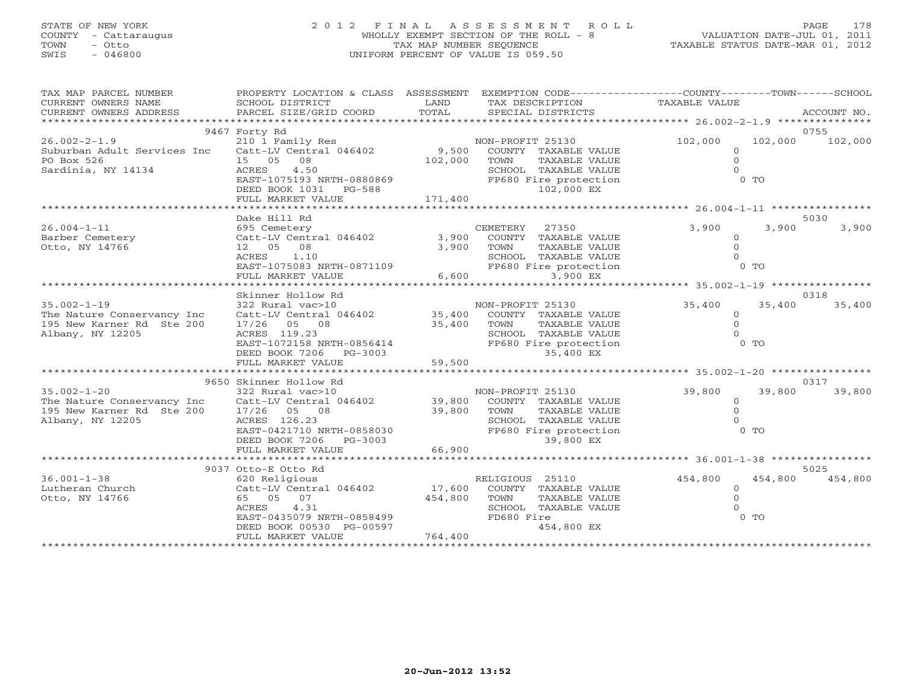# STATE OF NEW YORK 2 0 1 2 F I N A L A S S E S S M E N T R O L L PAGE 178 COUNTY - Cattaraugus WHOLLY EXEMPT SECTION OF THE ROLL - 8 VALUATION DATE-JUL 01, 2011 TOWN - Otto TAX MAP NUMBER SEQUENCE TAXABLE STATUS DATE-MAR 01, 2012 SWIS - 046800 UNIFORM PERCENT OF VALUE IS 059.50

| TAX MAP PARCEL NUMBER<br>CURRENT OWNERS NAME                                                                                                                                                                             | PROPERTY LOCATION & CLASS ASSESSMENT<br>SCHOOL DISTRICT                                                                                                                                                                                                                  | LAND                    | EXEMPTION CODE-----------------COUNTY-------TOWN------SCHOOL<br>TAX DESCRIPTION                                                                         | TAXABLE VALUE                                       |                        |  |  |
|--------------------------------------------------------------------------------------------------------------------------------------------------------------------------------------------------------------------------|--------------------------------------------------------------------------------------------------------------------------------------------------------------------------------------------------------------------------------------------------------------------------|-------------------------|---------------------------------------------------------------------------------------------------------------------------------------------------------|-----------------------------------------------------|------------------------|--|--|
| CURRENT OWNERS ADDRESS                                                                                                                                                                                                   | PARCEL SIZE/GRID COORD                                                                                                                                                                                                                                                   | TOTAL                   | SPECIAL DISTRICTS                                                                                                                                       |                                                     | ACCOUNT NO.            |  |  |
| 9467 Forty Rd<br>0755                                                                                                                                                                                                    |                                                                                                                                                                                                                                                                          |                         |                                                                                                                                                         |                                                     |                        |  |  |
| $26.002 - 2 - 1.9$<br>Suburban Adult Services Inc Catt-LV Central 046402 9,500 COUNTY TAXABLE VALUE<br>PO Box 526<br>ru box 526<br>Sardinia, NY 14134                                                                    | 210 1 Family Res<br>15 05 08<br>4.50<br>ACRES<br>EAST-1075193 NRTH-0880869<br>DEED BOOK 1031 PG-588<br>FULL MARKET VALUE                                                                                                                                                 | 102,000 TOWN<br>171,400 | NON-PROFIT 25130<br>TAXABLE VALUE<br>SCHOOL TAXABLE VALUE<br>FP680 Fire protection<br>102,000 EX                                                        | 102,000<br>$\Omega$<br>$\Omega$<br>$0$ TO           | 102,000 102,000        |  |  |
|                                                                                                                                                                                                                          |                                                                                                                                                                                                                                                                          |                         |                                                                                                                                                         |                                                     |                        |  |  |
| $26.004 - 1 - 11$<br>Barber Cemetery Catt-LV Central 046402 3,900 COUNTY TAXABLE VALUE<br>Otto, NY 14766                                                                                                                 | Dake Hill Rd<br>695 Cemetery<br>12  05  08<br>ACRES 1.10                                                                                                                                                                                                                 | 3,900 TOWN              | CEMETERY 27350<br>COUNTY TAXABLE VALUE<br>TOWN TAXABLE VALUE 0<br>SCHOOL TAXABLE VALUE 0<br>FP680 Fire protection 0 TO<br>3 900 FV<br>6,600<br>3,900 EX | 3,900                                               | 5030<br>3,900<br>3,900 |  |  |
|                                                                                                                                                                                                                          |                                                                                                                                                                                                                                                                          |                         |                                                                                                                                                         | ********************** 35.002-1-19 **************** |                        |  |  |
| $35.002 - 1 - 19$<br>The Nature Conservancy Inc<br>195 New Karner Rd Ste 200<br>Albany, NY 12205                                                                                                                         | Skinner Hollow Rd<br>322 Rural vac>10<br>$\begin{array}{cccc} \texttt{Catt-LV} \texttt{Central} & 046402 & 35,400 & \texttt{COUNTY} & \texttt{TAXABLE} \texttt{VALUE} \\ 17/26 & 05 & 08 & 35,400 & \texttt{TOWN} & \texttt{TAXABLE} \texttt{VALUE} \end{array}$         |                         | NON-PROFIT 25130                                                                                                                                        | 35,400<br>$\Omega$<br>$\Omega$                      | 0318<br>35,400 35,400  |  |  |
| 1bany, NY 12205<br>EAST-1072158 NRTH-0856414<br>EEED BOOK 7206 PG-3003<br>FULL MARKET VALUE 59,500<br>FULL MARKET VALUE 59,500<br>FULL MARKET VALUE 59,500<br>FULL MARKET VALUE 59,500<br>9650 Skinner Hollow Rd<br>0317 |                                                                                                                                                                                                                                                                          |                         |                                                                                                                                                         |                                                     |                        |  |  |
| $35.002 - 1 - 20$<br>The Nature Conservancy Inc Catt-LV Central 046402 39,800 COUNTY TAXABLE VALUE<br>195 New Karner Rd Ste 200<br>Albany, NY 12205                                                                      | 322 Rural vac>10<br>17/26 05 08<br>1.1.1.2005 CHOOL TAXABLE VALUE 0<br>IMP, NY 12205 EAST-0421710 NRTH-0858030 FP680 Fire protection 0 TO<br>DEED BOOK 7206 PG-3003 FULL MARKET VALUE 66,900 39,800 EX<br>FULL MARKET VALUE 66,900 39,800 EX<br>FULL MARKET VALUE 66,900 | 39,800 TOWN             | NON-PROFIT 25130<br>TAXABLE VALUE                                                                                                                       | 39,800<br>$\circ$<br>$\Omega$                       | 39,800<br>39,800       |  |  |
|                                                                                                                                                                                                                          |                                                                                                                                                                                                                                                                          |                         |                                                                                                                                                         |                                                     |                        |  |  |
|                                                                                                                                                                                                                          | 9037 Otto-E Otto Rd                                                                                                                                                                                                                                                      |                         |                                                                                                                                                         |                                                     | 5025                   |  |  |
| $36.001 - 1 - 38$<br>Lutheran Church<br>Otto, NY 14766                                                                                                                                                                   | 620 Religious<br>Catt-LV Central 046402 17,600<br>65 05 07<br>ACRES<br>4.31<br>EAST-0435079 NRTH-0858499<br>DEED BOOK 00530 PG-00597<br>FULL MARKET VALUE                                                                                                                | 454,800<br>764,400      | RELIGIOUS 25110<br>COUNTY TAXABLE VALUE<br>TOWN<br>TAXABLE VALUE<br>SCHOOL TAXABLE VALUE<br>FD680 Fire<br>454,800 EX                                    | 454,800<br>$\Omega$<br>$0$ TO                       | 454,800 454,800        |  |  |
|                                                                                                                                                                                                                          |                                                                                                                                                                                                                                                                          |                         |                                                                                                                                                         |                                                     |                        |  |  |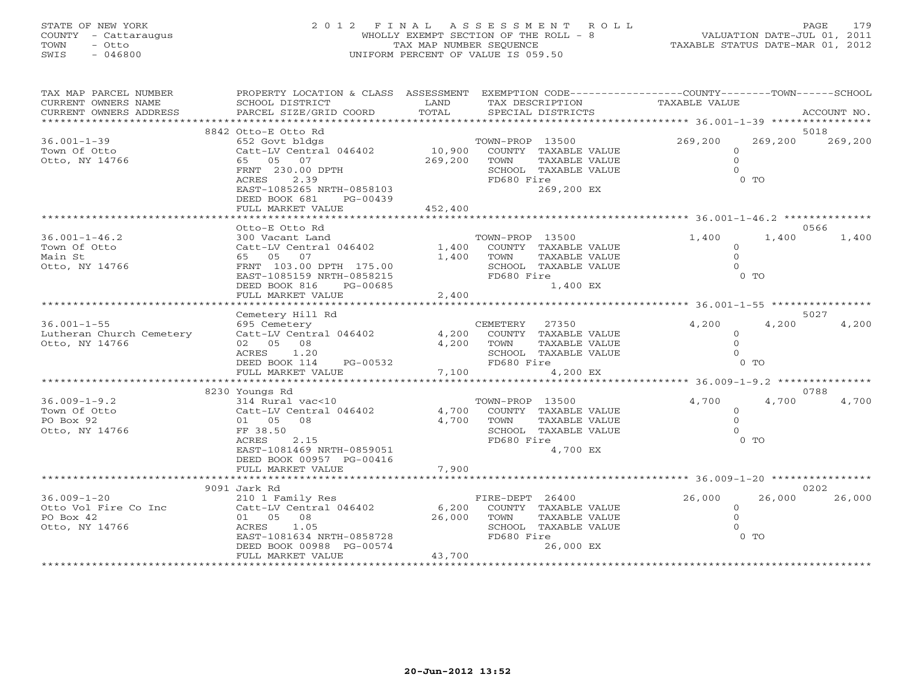# STATE OF NEW YORK 2 0 1 2 F I N A L A S S E S S M E N T R O L L PAGE 179 COUNTY - Cattaraugus WHOLLY EXEMPT SECTION OF THE ROLL - 8 VALUATION DATE-JUL 01, 2011 TOWN - Otto TAX MAP NUMBER SEQUENCE TAXABLE STATUS DATE-MAR 01, 2012 SWIS - 046800 UNIFORM PERCENT OF VALUE IS 059.50

| TAX MAP PARCEL NUMBER<br>CURRENT OWNERS NAME<br>CURRENT OWNERS ADDRESS   | PROPERTY LOCATION & CLASS ASSESSMENT<br>SCHOOL DISTRICT<br>PARCEL SIZE/GRID COORD                                                                                  | LAND<br>TOTAL             | TAX DESCRIPTION<br>SPECIAL DISTRICTS  |                                                                                    | EXEMPTION CODE----------------COUNTY-------TOWN-----SCHOOL<br><b>TAXABLE VALUE</b> |                         | ACCOUNT NO.   |
|--------------------------------------------------------------------------|--------------------------------------------------------------------------------------------------------------------------------------------------------------------|---------------------------|---------------------------------------|------------------------------------------------------------------------------------|------------------------------------------------------------------------------------|-------------------------|---------------|
|                                                                          |                                                                                                                                                                    |                           |                                       |                                                                                    |                                                                                    |                         |               |
|                                                                          | 8842 Otto-E Otto Rd                                                                                                                                                |                           |                                       |                                                                                    |                                                                                    |                         | 5018          |
| $36.001 - 1 - 39$<br>Town Of Otto<br>Otto, NY 14766                      | 652 Govt bldgs<br>Catt-LV Central 046402<br>05 07<br>65<br>FRNT 230.00 DPTH<br>2.39<br>ACRES<br>EAST-1085265 NRTH-0858103<br>DEED BOOK 681<br>PG-00439             | 10,900<br>269,200         | TOWN-PROP 13500<br>TOWN<br>FD680 Fire | COUNTY TAXABLE VALUE<br>TAXABLE VALUE<br>SCHOOL TAXABLE VALUE<br>269,200 EX        | 269,200<br>$\circ$<br>$\Omega$<br>$\Omega$                                         | 269,200<br>$0$ TO       | 269,200       |
|                                                                          | FULL MARKET VALUE                                                                                                                                                  | 452,400                   |                                       |                                                                                    | ************************************6.001-1-46.2 ********                          |                         |               |
|                                                                          | Otto-E Otto Rd                                                                                                                                                     |                           |                                       |                                                                                    |                                                                                    |                         | 0566          |
| $36.001 - 1 - 46.2$<br>Town Of Otto<br>Main St<br>Otto, NY 14766         | 300 Vacant Land<br>Catt-LV Central 046402<br>65 05<br>07<br>FRNT 103.00 DPTH 175.00<br>EAST-1085159 NRTH-0858215<br>DEED BOOK 816<br>PG-00685<br>FULL MARKET VALUE | 1,400<br>1,400<br>2,400   | TOWN-PROP 13500<br>TOWN<br>FD680 Fire | COUNTY TAXABLE VALUE<br>TAXABLE VALUE<br>SCHOOL TAXABLE VALUE<br>1,400 EX          | 1,400<br>$\circ$<br>$\Omega$<br>$\Omega$                                           | 1,400<br>0 <sub>0</sub> | 1,400         |
|                                                                          |                                                                                                                                                                    |                           |                                       |                                                                                    | ******************************* 36.001-1-55 *******                                |                         |               |
| $36.001 - 1 - 55$<br>Lutheran Church Cemetery<br>Otto, NY 14766          | Cemetery Hill Rd<br>695 Cemetery<br>Catt-LV Central 046402<br>02 05<br>08<br>ACRES<br>1.20<br>DEED BOOK 114<br>PG-00532<br>FULL MARKET VALUE                       | 4,200<br>4,200<br>7,100   | CEMETERY<br>TOWN<br>FD680 Fire        | 27350<br>COUNTY TAXABLE VALUE<br>TAXABLE VALUE<br>SCHOOL TAXABLE VALUE<br>4,200 EX | 4,200<br>$\Omega$<br>$\Omega$<br>$\cap$                                            | 4,200<br>$0$ TO         | 5027<br>4,200 |
| ********* 36.009-1-9.2 ***********<br>* * * * * * * * * * * * * *        |                                                                                                                                                                    |                           |                                       |                                                                                    |                                                                                    |                         |               |
| $36.009 - 1 - 9.2$<br>Town Of Otto<br>PO Box 92<br>Otto, NY 14766        | 8230 Youngs Rd<br>314 Rural vac<10<br>Catt-LV Central 046402<br>01 05<br>08<br>FF 38.50<br>ACRES<br>2.15<br>EAST-1081469 NRTH-0859051<br>DEED BOOK 00957 PG-00416  | 4,700<br>4,700            | TOWN-PROP 13500<br>TOWN<br>FD680 Fire | COUNTY TAXABLE VALUE<br>TAXABLE VALUE<br>SCHOOL TAXABLE VALUE<br>4,700 EX          | 4,700<br>$\Omega$<br>$\Omega$<br>$\cap$                                            | 4,700<br>$0$ TO         | 0788<br>4,700 |
|                                                                          | FULL MARKET VALUE                                                                                                                                                  | 7,900<br>***********      |                                       |                                                                                    | ********** 36.009-1-20 *****************                                           |                         |               |
|                                                                          | 9091 Jark Rd                                                                                                                                                       |                           |                                       |                                                                                    |                                                                                    |                         | 0202          |
| $36.009 - 1 - 20$<br>Otto Vol Fire Co Inc<br>PO Box 42<br>Otto, NY 14766 | 210 1 Family Res<br>Catt-LV Central 046402<br>01 05<br>08<br>ACRES<br>1.05<br>EAST-1081634 NRTH-0858728<br>DEED BOOK 00988 PG-00574<br>FULL MARKET VALUE           | 6,200<br>26,000<br>43,700 | FIRE-DEPT 26400<br>TOWN<br>FD680 Fire | COUNTY TAXABLE VALUE<br><b>TAXABLE VALUE</b><br>SCHOOL TAXABLE VALUE<br>26,000 EX  | 26,000<br>$\circ$<br>$\Omega$                                                      | 26,000<br>$0$ TO        | 26,000        |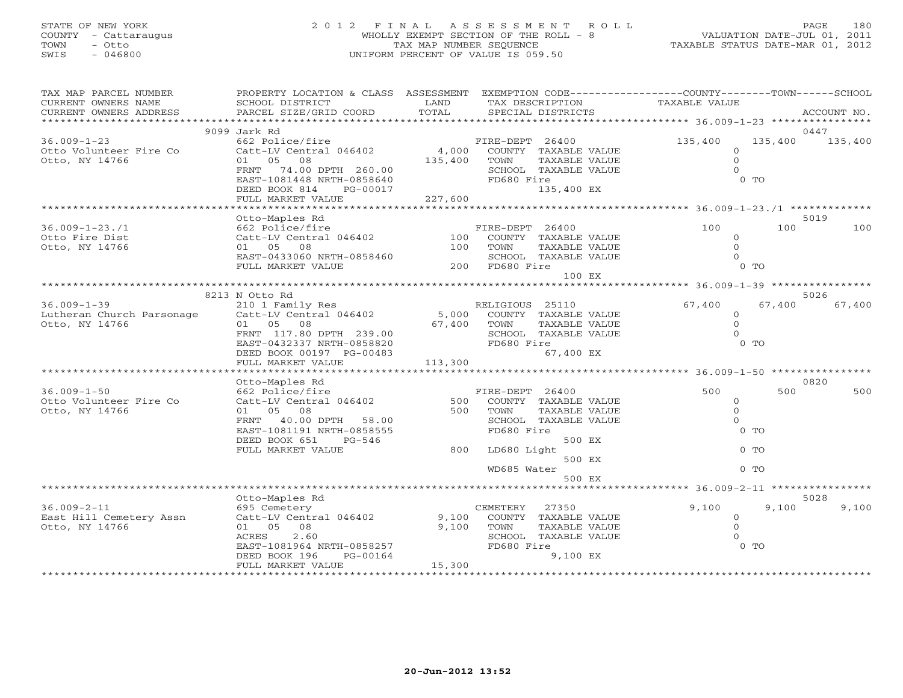# STATE OF NEW YORK 2 0 1 2 F I N A L A S S E S S M E N T R O L L PAGE 180 COUNTY - Cattaraugus WHOLLY EXEMPT SECTION OF THE ROLL - 8 VALUATION DATE-JUL 01, 2011 TOWN - Otto TAX MAP NUMBER SEQUENCE TAX AND NUMBER SEQUENCE TAXABLE STATUS DATE-MAR 01, 2012<br>
TAX MAP NUMBER SEQUENCE TAXABLE STATUS DATE-MAR 01, 2012<br>
SWIS - 046800 SWIS - 046800 UNIFORM PERCENT OF VALUE IS 059.50

| TAX MAP PARCEL NUMBER<br>CURRENT OWNERS NAME<br>CURRENT OWNERS ADDRESS | PROPERTY LOCATION & CLASS ASSESSMENT<br>SCHOOL DISTRICT<br>PARCEL SIZE/GRID COORD | LAND<br>TOTAL  | TAX DESCRIPTION<br>SPECIAL DISTRICTS   | EXEMPTION CODE----------------COUNTY-------TOWN-----SCHOOL<br>TAXABLE VALUE |          | ACCOUNT NO. |
|------------------------------------------------------------------------|-----------------------------------------------------------------------------------|----------------|----------------------------------------|-----------------------------------------------------------------------------|----------|-------------|
|                                                                        |                                                                                   |                |                                        |                                                                             |          |             |
|                                                                        | 9099 Jark Rd                                                                      |                |                                        |                                                                             |          | 0447        |
| $36.009 - 1 - 23$                                                      | 662 Police/fire                                                                   |                | FIRE-DEPT 26400                        | 135,400                                                                     | 135,400  | 135,400     |
| Otto Volunteer Fire Co                                                 | Catt-LV Central 046402                                                            | 4,000          | COUNTY TAXABLE VALUE                   |                                                                             | $\Omega$ |             |
| Otto, NY 14766                                                         | 01 05 08                                                                          | 135,400        | TAXABLE VALUE<br>TOWN                  |                                                                             | $\Omega$ |             |
|                                                                        | FRNT 74.00 DPTH 260.00                                                            |                | SCHOOL TAXABLE VALUE                   |                                                                             | $\Omega$ |             |
|                                                                        | EAST-1081448 NRTH-0858640                                                         |                | FD680 Fire                             |                                                                             | $0$ TO   |             |
|                                                                        | DEED BOOK 814<br>PG-00017                                                         | $(017$ 227,600 | 135,400 EX                             |                                                                             |          |             |
|                                                                        | FULL MARKET VALUE                                                                 |                |                                        |                                                                             |          |             |
|                                                                        |                                                                                   |                |                                        |                                                                             |          |             |
|                                                                        | Otto-Maples Rd                                                                    |                |                                        |                                                                             |          | 5019        |
| $36.009 - 1 - 23.71$                                                   | 662 Police/fire                                                                   |                | FIRE-DEPT 26400                        | 100                                                                         | 100      | 100         |
| Otto Fire Dist                                                         | Catt-LV Central $046402$ $100$ COUNTY TAXABLE VALUE                               |                |                                        |                                                                             | $\circ$  |             |
| Otto, NY 14766                                                         | 01 05 08                                                                          | 100            | TOWN<br>TAXABLE VALUE                  |                                                                             | $\Omega$ |             |
|                                                                        | EAST-0433060 NRTH-0858460                                                         |                | SCHOOL TAXABLE VALUE<br>200 FD680 Fire |                                                                             | $\Omega$ |             |
|                                                                        | FULL MARKET VALUE                                                                 |                |                                        |                                                                             | $0$ TO   |             |
|                                                                        |                                                                                   |                | 100 EX                                 |                                                                             |          |             |
|                                                                        | 8213 N Otto Rd                                                                    |                |                                        |                                                                             |          | 5026        |
| $36.009 - 1 - 39$                                                      | 210 1 Family Res                                                                  |                | RELIGIOUS 25110                        | 67,400                                                                      | 67,400   | 67,400      |
| Lutheran Church Parsonage                                              |                                                                                   |                | 5,000 COUNTY TAXABLE VALUE             |                                                                             | $\circ$  |             |
| Otto, NY 14766                                                         | Catt-LV Central 046402<br>01 05 08                                                | 67,400 TOWN    | TAXABLE VALUE                          |                                                                             | $\Omega$ |             |
|                                                                        | FRNT 117.80 DPTH 239.00                                                           |                | SCHOOL TAXABLE VALUE                   |                                                                             | $\Omega$ |             |
|                                                                        | EAST-0432337 NRTH-0858820                                                         |                | FD680 Fire                             |                                                                             | $0$ TO   |             |
|                                                                        | DEED BOOK 00197 PG-00483                                                          |                | 67,400 EX                              |                                                                             |          |             |
|                                                                        | FULL MARKET VALUE                                                                 | 113,300        |                                        |                                                                             |          |             |
|                                                                        |                                                                                   |                |                                        |                                                                             |          |             |
|                                                                        | Otto-Maples Rd                                                                    |                |                                        |                                                                             |          | 0820        |
| $36.009 - 1 - 50$                                                      | 662 Police/fire                                                                   |                | FIRE-DEPT 26400                        | 500                                                                         | 500      | 500         |
| Otto Volunteer Fire Co                                                 | Catt-LV Central 046402                                                            | 500            | COUNTY TAXABLE VALUE                   |                                                                             | $\circ$  |             |
| Otto, NY 14766                                                         | 01 05 08                                                                          | 500            | TAXABLE VALUE<br>TOWN                  |                                                                             | $\Omega$ |             |
|                                                                        | FRNT 40.00 DPTH 58.00                                                             |                | SCHOOL TAXABLE VALUE                   |                                                                             | $\Omega$ |             |
|                                                                        | EAST-1081191 NRTH-0858555                                                         |                | FD680 Fire                             |                                                                             | $0$ TO   |             |
|                                                                        | DEED BOOK 651<br>PG-546                                                           |                | 500 EX                                 |                                                                             |          |             |
|                                                                        | FULL MARKET VALUE                                                                 | 800            | LD680 Light                            |                                                                             | $0$ TO   |             |
|                                                                        |                                                                                   |                | 500 EX                                 |                                                                             |          |             |
|                                                                        |                                                                                   |                | WD685 Water                            |                                                                             | $0$ TO   |             |
|                                                                        |                                                                                   |                | 500 EX                                 |                                                                             |          |             |
|                                                                        |                                                                                   |                |                                        |                                                                             |          |             |
|                                                                        | Otto-Maples Rd                                                                    |                |                                        |                                                                             |          | 5028        |
| $36.009 - 2 - 11$                                                      | 695 Cemetery                                                                      |                | CEMETERY<br>27350                      | 9,100                                                                       | 9,100    | 9,100       |
| East Hill Cemetery Assn                                                | Catt-LV Central 046402                                                            | 9,100          | COUNTY TAXABLE VALUE                   |                                                                             | $\circ$  |             |
| Otto, NY 14766                                                         | 01 05 08                                                                          | 9,100          | TAXABLE VALUE<br>TOWN                  |                                                                             | $\Omega$ |             |
|                                                                        | ACRES<br>2.60                                                                     |                | SCHOOL TAXABLE VALUE                   |                                                                             | $\Omega$ |             |
|                                                                        | EAST-1081964 NRTH-0858257                                                         |                | FD680 Fire                             |                                                                             | $0$ TO   |             |
|                                                                        | PG-00164<br>DEED BOOK 196                                                         |                | 9,100 EX                               |                                                                             |          |             |
|                                                                        | FULL MARKET VALUE                                                                 | 15,300         |                                        |                                                                             |          |             |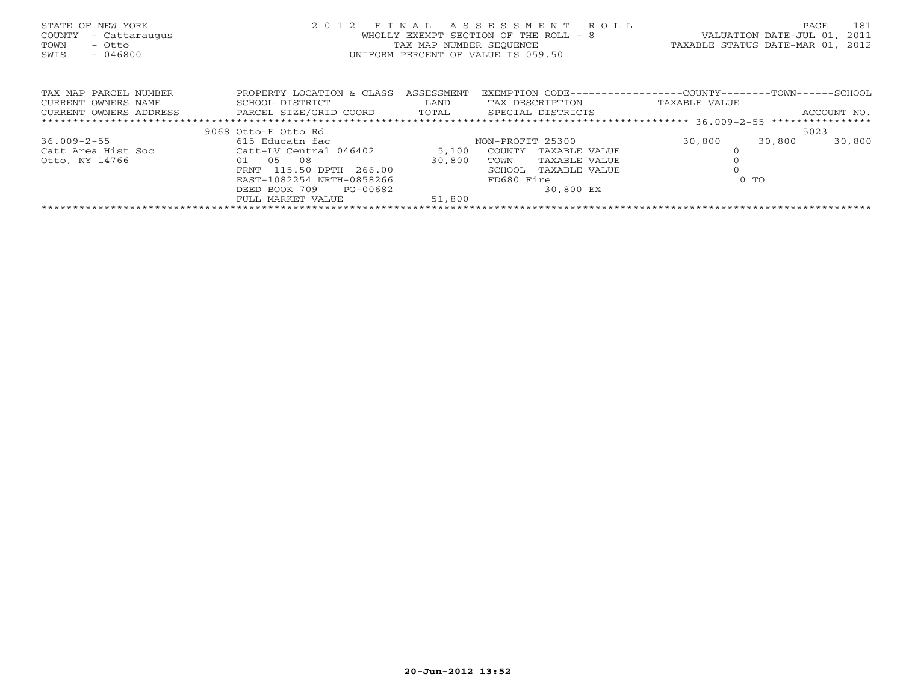| STATE OF NEW YORK<br>COUNTY<br>- Cattaraugus<br>TOWN<br>- Otto<br>SWIS<br>$-046800$ | 2 0 1 2                              | FINAL<br>TAX MAP NUMBER SEQUENCE | ASSESSMENT<br>R O L L<br>WHOLLY EXEMPT SECTION OF THE ROLL - 8<br>UNIFORM PERCENT OF VALUE IS 059.50 | VALUATION DATE-JUL 01,<br>TAXABLE STATUS DATE-MAR 01, | 181<br>PAGE<br>2011<br>2012 |
|-------------------------------------------------------------------------------------|--------------------------------------|----------------------------------|------------------------------------------------------------------------------------------------------|-------------------------------------------------------|-----------------------------|
| TAX MAP PARCEL NUMBER                                                               | PROPERTY LOCATION & CLASS ASSESSMENT |                                  | EXEMPTION CODE-----------------COUNTY--------TOWN------SCHOOL                                        |                                                       |                             |
| CURRENT OWNERS NAME                                                                 | SCHOOL DISTRICT                      | LAND                             | TAX DESCRIPTION                                                                                      | TAXABLE VALUE                                         |                             |
| CURRENT OWNERS ADDRESS                                                              | PARCEL SIZE/GRID COORD TOTAL         |                                  | SPECIAL DISTRICTS                                                                                    |                                                       | ACCOUNT NO.                 |
|                                                                                     |                                      |                                  |                                                                                                      |                                                       |                             |
|                                                                                     | 9068 Otto-E Otto Rd                  |                                  |                                                                                                      |                                                       | 5023                        |
| $36.009 - 2 - 55$                                                                   | 615 Educatn fac                      |                                  | NON-PROFIT 25300                                                                                     | 30,800<br>30,800                                      | 30,800                      |
| Catt Area Hist Soc                                                                  | Catt-LV Central 046402               | 5,100                            | COUNTY<br>TAXABLE VALUE                                                                              |                                                       |                             |
| Otto, NY 14766                                                                      | 01 05<br>08                          | 30,800                           | TAXABLE VALUE<br>TOWN                                                                                |                                                       |                             |
|                                                                                     | 115.50 DPTH 266.00<br>FRNT           |                                  | SCHOOL<br>TAXABLE VALUE                                                                              |                                                       |                             |
|                                                                                     | EAST-1082254 NRTH-0858266            |                                  | FD680 Fire                                                                                           | $0$ TO                                                |                             |
|                                                                                     | DEED BOOK 709<br>PG-00682            |                                  | 30,800 EX                                                                                            |                                                       |                             |
|                                                                                     | FULL MARKET VALUE                    | 51,800                           |                                                                                                      |                                                       |                             |
|                                                                                     |                                      |                                  |                                                                                                      |                                                       |                             |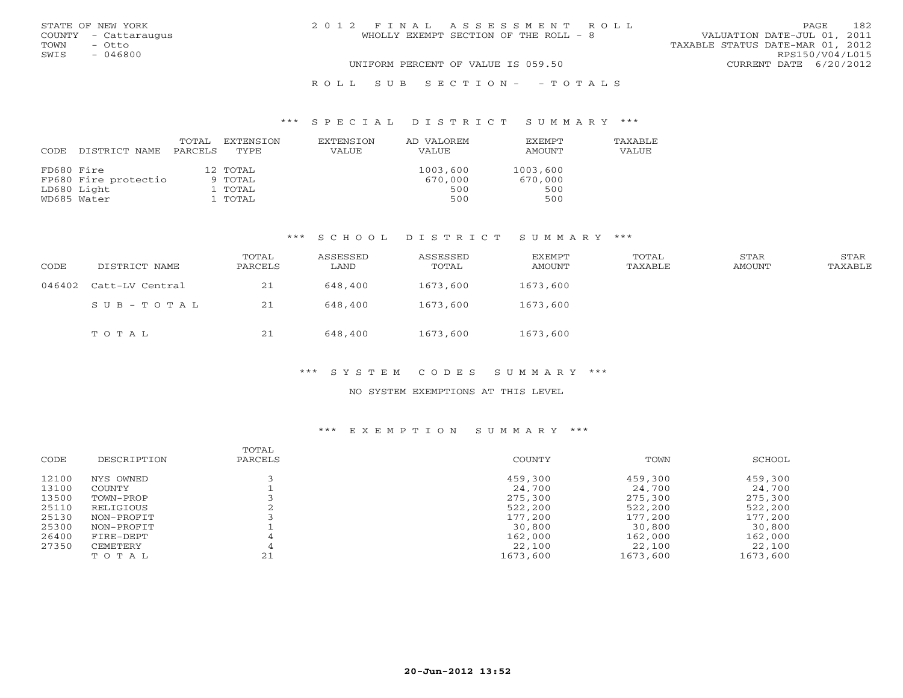|      | STATE OF NEW YORK    | 2012 FINAL ASSESSMENT ROLL            | 182<br>PAGE                      |
|------|----------------------|---------------------------------------|----------------------------------|
|      | COUNTY - Cattaraugus | WHOLLY EXEMPT SECTION OF THE ROLL - 8 | VALUATION DATE-JUL 01, 2011      |
| TOWN | – Otto               |                                       | TAXABLE STATUS DATE-MAR 01, 2012 |
| SWIS | - 046800             |                                       | RPS150/V04/L015                  |
|      |                      | UNIFORM PERCENT OF VALUE IS 059.50    | CURRENT DATE 6/20/2012           |
|      |                      | ROLL SUB SECTION- - TOTALS            |                                  |

### \*\*\* S P E C I A L D I S T R I C T S U M M A R Y \*\*\*

| CODE       | DISTRICT NAME        | TOTAL<br>PARCELS | EXTENSION<br>TYPE | EXTENSION<br>VALUE | AD VALOREM<br>VALUE | <b>EXEMPT</b><br>AMOUNT | <b>TAXABLF</b><br>VALUE |
|------------|----------------------|------------------|-------------------|--------------------|---------------------|-------------------------|-------------------------|
| FD680 Fire |                      |                  | 12 TOTAL          |                    | 1003,600            | 1003,600                |                         |
|            | FP680 Fire protectio |                  | 9 TOTAL           |                    | 670,000             | 670,000                 |                         |
|            | LD680 Light          |                  | 1 TOTAL           |                    | 500                 | 500                     |                         |
|            | WD685 Water          |                  | 1 TOTAL           |                    | 500                 | 500                     |                         |

# \*\*\* S C H O O L D I S T R I C T S U M M A R Y \*\*\*

| CODE   | DISTRICT NAME   | TOTAL<br>PARCELS | ASSESSED<br>LAND | ASSESSED<br>TOTAL | EXEMPT<br>AMOUNT | TOTAL<br>TAXABLE | STAR<br>AMOUNT | STAR<br>TAXABLE |
|--------|-----------------|------------------|------------------|-------------------|------------------|------------------|----------------|-----------------|
| 046402 | Catt-LV Central | 21               | 648,400          | 1673,600          | 1673,600         |                  |                |                 |
|        | SUB-TOTAL       | 21               | 648,400          | 1673,600          | 1673,600         |                  |                |                 |
|        | TOTAL           | 21               | 648,400          | 1673,600          | 1673,600         |                  |                |                 |

## \*\*\* S Y S T E M C O D E S S U M M A R Y \*\*\*

#### NO SYSTEM EXEMPTIONS AT THIS LEVEL

| CODE  | DESCRIPTION | TOTAL<br>PARCELS | COUNTY   | TOWN     | SCHOOL   |
|-------|-------------|------------------|----------|----------|----------|
| 12100 | NYS OWNED   |                  | 459,300  | 459,300  | 459,300  |
| 13100 | COUNTY      |                  | 24,700   | 24,700   | 24,700   |
| 13500 | TOWN-PROP   |                  | 275,300  | 275,300  | 275,300  |
| 25110 | RELIGIOUS   |                  | 522,200  | 522,200  | 522,200  |
| 25130 | NON-PROFIT  |                  | 177,200  | 177,200  | 177,200  |
| 25300 | NON-PROFIT  |                  | 30,800   | 30,800   | 30,800   |
| 26400 | FIRE-DEPT   |                  | 162,000  | 162,000  | 162,000  |
| 27350 | CEMETERY    |                  | 22,100   | 22,100   | 22,100   |
|       | TOTAL       | 21               | 1673,600 | 1673,600 | 1673,600 |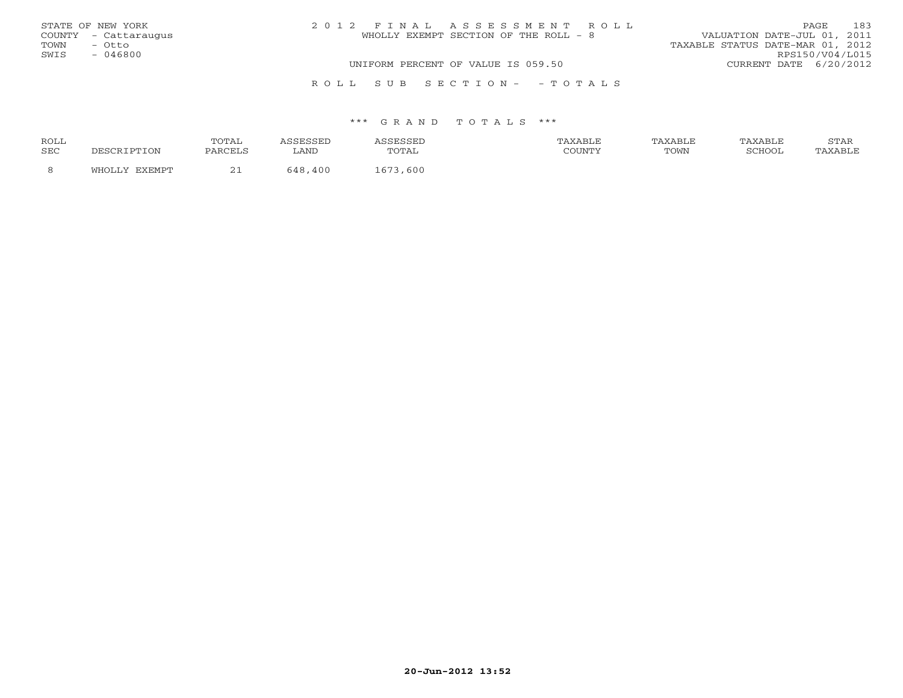|      | STATE OF NEW YORK    | 2012 FINAL ASSESSMENT ROLL            | PAGE.                            | 183 |
|------|----------------------|---------------------------------------|----------------------------------|-----|
|      | COUNTY - Cattaraugus | WHOLLY EXEMPT SECTION OF THE ROLL - 8 | VALUATION DATE-JUL 01, 2011      |     |
| TOWN | - Otto               |                                       | TAXABLE STATUS DATE-MAR 01, 2012 |     |
| SWIS | - 046800             |                                       | RPS150/V04/L015                  |     |
|      |                      | UNIFORM PERCENT OF VALUE IS 059.50    | CURRENT DATE 6/20/2012           |     |
|      |                      | ROLL SUB SECTION- -TOTALS             |                                  |     |

#### \*\*\* G R A N D T O T A L S \*\*\*

| ROLL       |                          | TOTAL              | CCTT<br>، متشاف ف | SESSED الحدد.   | TAXABLE | TAXABLE | TAXABLE       | STAR    |
|------------|--------------------------|--------------------|-------------------|-----------------|---------|---------|---------------|---------|
| <b>SEC</b> |                          | PARCELS            | LANI              | TOTAL           |         | TOWN    | <b>SCHOOL</b> | 'AXABLE |
|            | <b>DVDMDT</b><br>171 H ( | $\sim$<br><u>_</u> | 400<br>7 O        | . 600<br>$   -$ |         |         |               |         |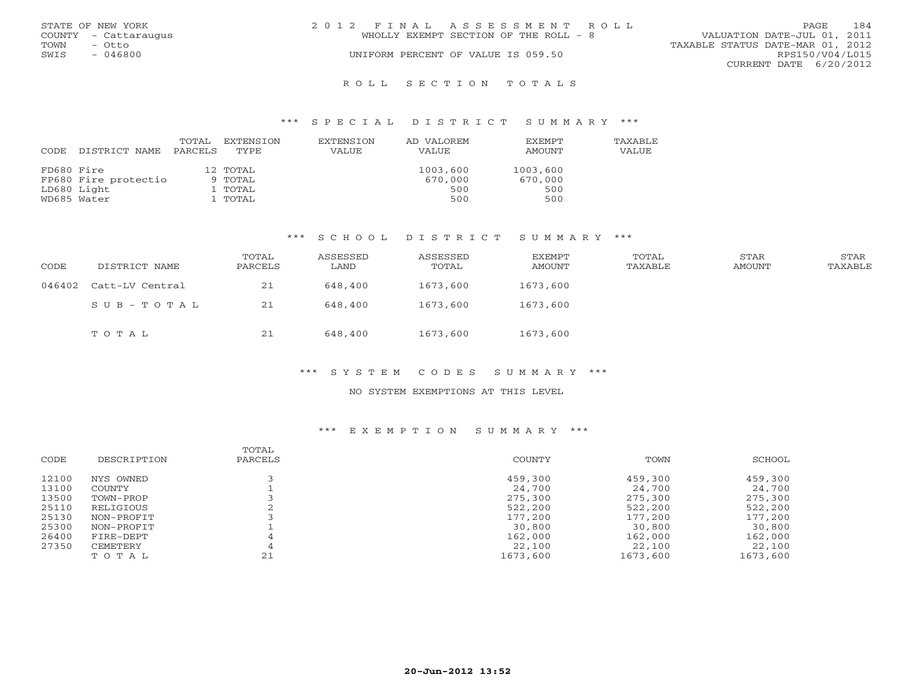|      | STATE OF NEW YORK    | 2012 FINAL ASSESSMENT ROLL |                                       |                                  |                        | PAGE. | 184 |
|------|----------------------|----------------------------|---------------------------------------|----------------------------------|------------------------|-------|-----|
|      | COUNTY - Cattaraugus |                            | WHOLLY EXEMPT SECTION OF THE ROLL - 8 | VALUATION DATE-JUL 01, 2011      |                        |       |     |
| TOWN | - Otto               |                            |                                       | TAXABLE STATUS DATE-MAR 01, 2012 |                        |       |     |
| SWIS | $-046800$            |                            | UNIFORM PERCENT OF VALUE IS 059.50    |                                  | RPS150/V04/L015        |       |     |
|      |                      |                            |                                       |                                  | CURRENT DATE 6/20/2012 |       |     |
|      |                      |                            |                                       |                                  |                        |       |     |

#### R O L L S E C T I O N T O T A L S

#### \*\*\* S P E C I A L D I S T R I C T S U M M A R Y \*\*\*

| CODE       | DISTRICT NAME        | TOTAL<br>PARCELS | EXTENSION<br>TYPE | EXTENSION<br>VALUE | AD VALOREM<br>VALUE | <b>EXEMPT</b><br>AMOUNT | TAXABLE<br>VALUE |
|------------|----------------------|------------------|-------------------|--------------------|---------------------|-------------------------|------------------|
| FD680 Fire |                      |                  | 12 TOTAL          |                    | 1003,600            | 1003,600                |                  |
|            | FP680 Fire protectio |                  | 9 TOTAL           |                    | 670,000             | 670,000                 |                  |
|            | LD680 Light          |                  | 1 TOTAL           |                    | 500                 | 500                     |                  |
|            | WD685 Water          |                  | 1 TOTAL           |                    | 500                 | 500                     |                  |

# \*\*\* S C H O O L D I S T R I C T S U M M A R Y \*\*\*

| CODE   | DISTRICT NAME   | TOTAL<br>PARCELS | ASSESSED<br>LAND | ASSESSED<br>TOTAL | <b>EXEMPT</b><br>AMOUNT | TOTAL<br>TAXABLE | STAR<br>AMOUNT | STAR<br>TAXABLE |
|--------|-----------------|------------------|------------------|-------------------|-------------------------|------------------|----------------|-----------------|
| 046402 | Catt-LV Central | 21               | 648,400          | 1673,600          | 1673,600                |                  |                |                 |
|        | SUB-TOTAL       | 21               | 648,400          | 1673,600          | 1673,600                |                  |                |                 |
|        | TOTAL           | 21               | 648,400          | 1673,600          | 1673,600                |                  |                |                 |

# \*\*\* S Y S T E M C O D E S S U M M A R Y \*\*\*

#### NO SYSTEM EXEMPTIONS AT THIS LEVEL

| DESCRIPTION | PARCELS | COUNTY   | TOWN     | SCHOOL   |
|-------------|---------|----------|----------|----------|
| NYS OWNED   |         | 459,300  | 459,300  | 459,300  |
| COUNTY      |         | 24,700   | 24,700   | 24,700   |
| TOWN-PROP   |         | 275,300  | 275,300  | 275,300  |
| RELIGIOUS   |         | 522,200  | 522,200  | 522,200  |
| NON-PROFIT  |         | 177,200  | 177,200  | 177,200  |
| NON-PROFIT  |         | 30,800   | 30,800   | 30,800   |
| FIRE-DEPT   |         | 162,000  | 162,000  | 162,000  |
| CEMETERY    |         | 22,100   | 22,100   | 22,100   |
| TOTAL       | 21      | 1673,600 | 1673,600 | 1673,600 |
|             |         | TOTAL    |          |          |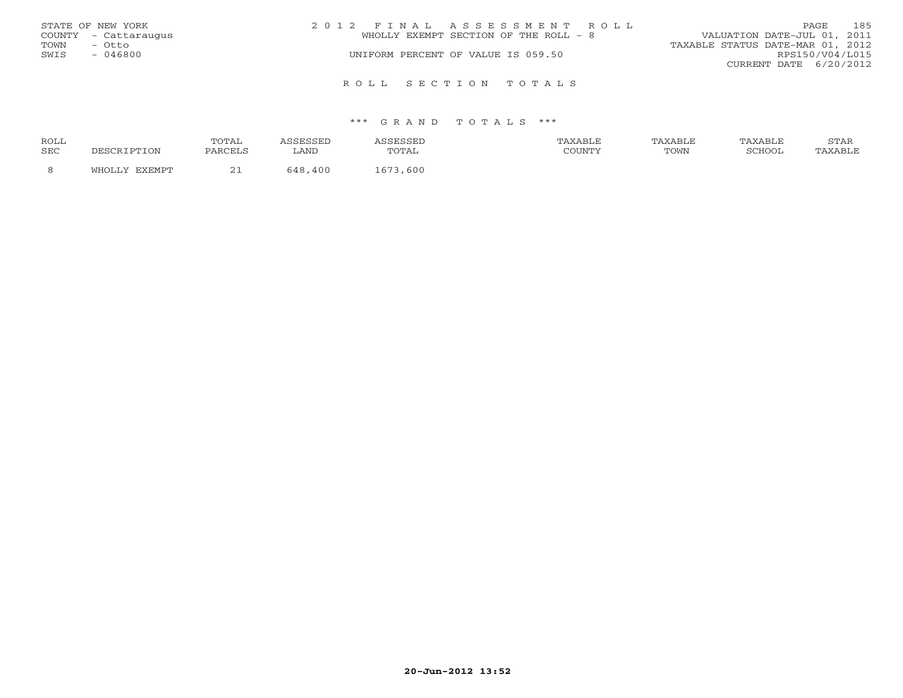|      | STATE OF NEW YORK    | 2012 FINAL ASSESSMENT ROLL            | PAGE                             | 185             |
|------|----------------------|---------------------------------------|----------------------------------|-----------------|
|      | COUNTY - Cattaraugus | WHOLLY EXEMPT SECTION OF THE ROLL - 8 | VALUATION DATE-JUL 01, 2011      |                 |
| TOWN | - Otto               |                                       | TAXABLE STATUS DATE-MAR 01, 2012 |                 |
| SWIS | - 046800             | UNIFORM PERCENT OF VALUE IS 059.50    |                                  | RPS150/V04/L015 |
|      |                      |                                       | CURRENT DATE $6/20/2012$         |                 |
|      |                      | ROLL SECTION TOTALS                   |                                  |                 |

#### \*\*\* G R A N D T O T A L S \*\*\*

| ROLL       |                         | TOTA1<br>سدید ب | للماس | .         | XABLE  | AXABLF | AXABLF | $C$ m $\lambda$ T<br>STAR |
|------------|-------------------------|-----------------|-------|-----------|--------|--------|--------|---------------------------|
| <b>SEC</b> | DESCRIPTION             | PARCELS         | LAND  |           | COUNTY | TOWN   | CCDOM  | 'AXABLE                   |
|            | <b>חסאם צ</b> ד<br>™OT… | <u>_ _</u>      | 40C   | 600<br>67 |        |        |        |                           |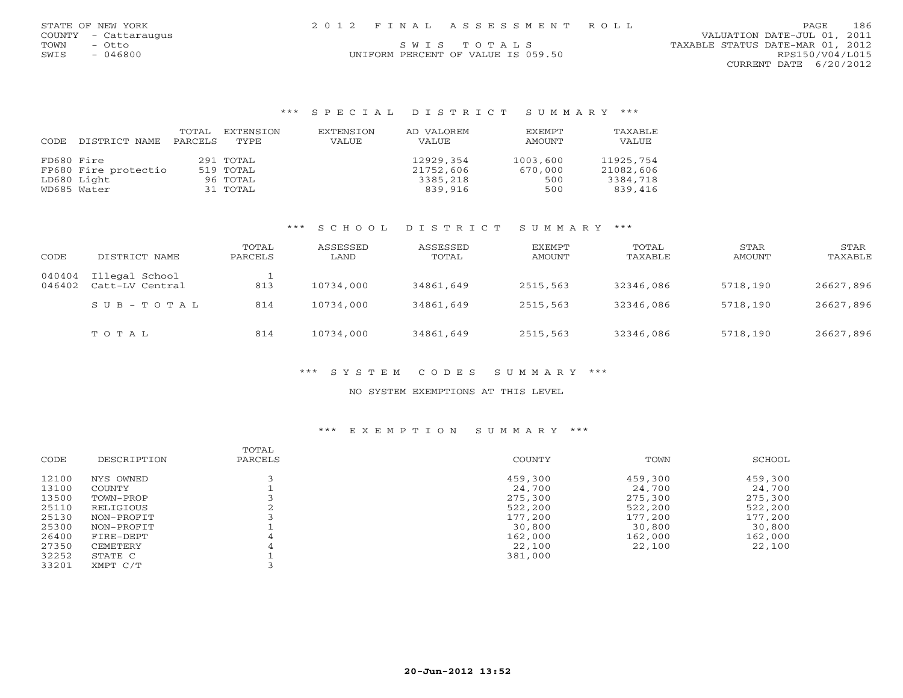| STATE OF NEW YORK    | 2012 FINAL ASSESSMENT ROLL         | 186<br>PAGE.                     |
|----------------------|------------------------------------|----------------------------------|
| COUNTY - Cattaraugus |                                    | VALUATION DATE-JUL 01, 2011      |
| TOWN<br>– Otto       | SWIS TOTALS                        | TAXABLE STATUS DATE-MAR 01, 2012 |
| - 046800<br>SWIS     | UNIFORM PERCENT OF VALUE IS 059.50 | RPS150/V04/L015                  |

CURRENT DATE 6/20/2012

#### \*\*\* S P E C I A L D I S T R I C T S U M M A R Y \*\*\*

|            |                      | TOTAL   | EXTENSION | EXTENSION | AD VALOREM | EXEMPT   | TAXABLE   |
|------------|----------------------|---------|-----------|-----------|------------|----------|-----------|
| CODE       | DISTRICT NAME        | PARCELS | TYPE      | VALUE     | VALUE      | AMOUNT   | VALUE     |
| FD680 Fire |                      |         | 291 TOTAL |           | 12929,354  | 1003,600 | 11925,754 |
|            | FP680 Fire protectio |         | 519 TOTAL |           | 21752,606  | 670,000  | 21082,606 |
|            | LD680 Light          |         | 96 TOTAL  |           | 3385,218   | 500      | 3384,718  |
|            | WD685 Water          |         | 31 TOTAL  |           | 839,916    | 500      | 839,416   |

### \*\*\* S C H O O L D I S T R I C T S U M M A R Y \*\*\*

| CODE             | DISTRICT NAME                     | TOTAL<br>PARCELS | ASSESSED<br>LAND | ASSESSED<br>TOTAL | EXEMPT<br>AMOUNT | TOTAL<br>TAXABLE | STAR<br>AMOUNT | STAR<br>TAXABLE |
|------------------|-----------------------------------|------------------|------------------|-------------------|------------------|------------------|----------------|-----------------|
| 040404<br>046402 | Illegal School<br>Catt-LV Central | 813              | 10734,000        | 34861,649         | 2515,563         | 32346,086        | 5718,190       | 26627,896       |
|                  | $SUB - TO T AL$                   | 814              | 10734,000        | 34861,649         | 2515,563         | 32346,086        | 5718,190       | 26627,896       |
|                  | TOTAL                             | 814              | 10734,000        | 34861,649         | 2515,563         | 32346,086        | 5718,190       | 26627,896       |

### \*\*\* S Y S T E M C O D E S S U M M A R Y \*\*\*

### NO SYSTEM EXEMPTIONS AT THIS LEVEL

| CODE  | DESCRIPTION | TOTAL<br>PARCELS | COUNTY  | TOWN    | SCHOOL  |
|-------|-------------|------------------|---------|---------|---------|
|       |             |                  |         |         |         |
| 12100 | NYS OWNED   |                  | 459,300 | 459,300 | 459,300 |
| 13100 | COUNTY      |                  | 24,700  | 24,700  | 24,700  |
| 13500 | TOWN-PROP   |                  | 275,300 | 275,300 | 275,300 |
| 25110 | RELIGIOUS   |                  | 522,200 | 522,200 | 522,200 |
| 25130 | NON-PROFIT  |                  | 177,200 | 177,200 | 177,200 |
| 25300 | NON-PROFIT  |                  | 30,800  | 30,800  | 30,800  |
| 26400 | FIRE-DEPT   |                  | 162,000 | 162,000 | 162,000 |
| 27350 | CEMETERY    | 4                | 22,100  | 22,100  | 22,100  |
| 32252 | STATE C     |                  | 381,000 |         |         |
| 33201 | XMPT C/T    |                  |         |         |         |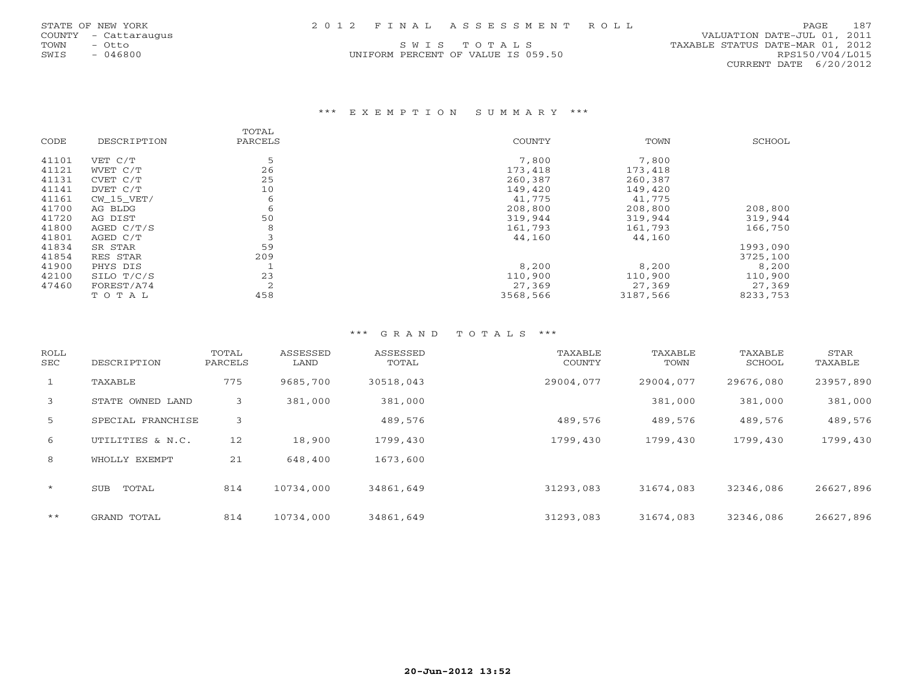UNIFORM PERCENT OF VALUE IS 059.50 RPS150/V04/L015

 COUNTY - Cattaraugus VALUATION DATE-JUL 01, 2011 TOWN - Otto S W I S T O T A L S<br>
SWIS - 046800<br>
SWIS - 046800 CONFORM PERCENT OF VALUE IS 059.50 TAXABLE STATUS DATE-MAR 01, 2012 CURRENT DATE 6/20/2012

## \*\*\* E X E M P T I O N S U M M A R Y \*\*\*

|       |              | TOTAL          |               |          |          |
|-------|--------------|----------------|---------------|----------|----------|
| CODE  | DESCRIPTION  | PARCELS        | <b>COUNTY</b> | TOWN     | SCHOOL   |
| 41101 | VET C/T      | 5              | 7,800         | 7,800    |          |
| 41121 | WVET C/T     | 26             | 173,418       | 173,418  |          |
| 41131 | CVET C/T     | 25             | 260,387       | 260,387  |          |
| 41141 | DVET C/T     | 10             | 149,420       | 149,420  |          |
| 41161 | $CW_15_VET/$ | 6              | 41,775        | 41,775   |          |
| 41700 | AG BLDG      | 6              | 208,800       | 208,800  | 208,800  |
| 41720 | AG DIST      | 50             | 319,944       | 319,944  | 319,944  |
| 41800 | AGED $C/T/S$ | 8              | 161,793       | 161,793  | 166,750  |
| 41801 | AGED C/T     |                | 44,160        | 44,160   |          |
| 41834 | SR STAR      | 59             |               |          | 1993,090 |
| 41854 | RES STAR     | 209            |               |          | 3725,100 |
| 41900 | PHYS DIS     |                | 8,200         | 8,200    | 8,200    |
| 42100 | SILO T/C/S   | 23             | 110,900       | 110,900  | 110,900  |
| 47460 | FOREST/A74   | $\overline{2}$ | 27,369        | 27,369   | 27,369   |
|       | TOTAL        | 458            | 3568,566      | 3187,566 | 8233,753 |

# \*\*\* G R A N D T O T A L S \*\*\*

| ROLL<br>SEC | DESCRIPTION       | TOTAL<br>PARCELS | ASSESSED<br>LAND | ASSESSED<br>TOTAL | TAXABLE<br>COUNTY | TAXABLE<br>TOWN | TAXABLE<br>SCHOOL | STAR<br>TAXABLE |
|-------------|-------------------|------------------|------------------|-------------------|-------------------|-----------------|-------------------|-----------------|
| 1           | TAXABLE           | 775              | 9685,700         | 30518,043         | 29004,077         | 29004,077       | 29676,080         | 23957,890       |
| 3           | STATE OWNED LAND  | 3                | 381,000          | 381,000           |                   | 381,000         | 381,000           | 381,000         |
| 5           | SPECIAL FRANCHISE | 3                |                  | 489,576           | 489,576           | 489,576         | 489,576           | 489,576         |
| 6           | UTILITIES & N.C.  | 12               | 18,900           | 1799,430          | 1799,430          | 1799,430        | 1799,430          | 1799,430        |
| 8           | WHOLLY EXEMPT     | 21               | 648,400          | 1673,600          |                   |                 |                   |                 |
| $\star$     | TOTAL<br>SUB      | 814              | 10734,000        | 34861,649         | 31293,083         | 31674,083       | 32346,086         | 26627,896       |
| $***$       | GRAND TOTAL       | 814              | 10734,000        | 34861,649         | 31293,083         | 31674,083       | 32346,086         | 26627,896       |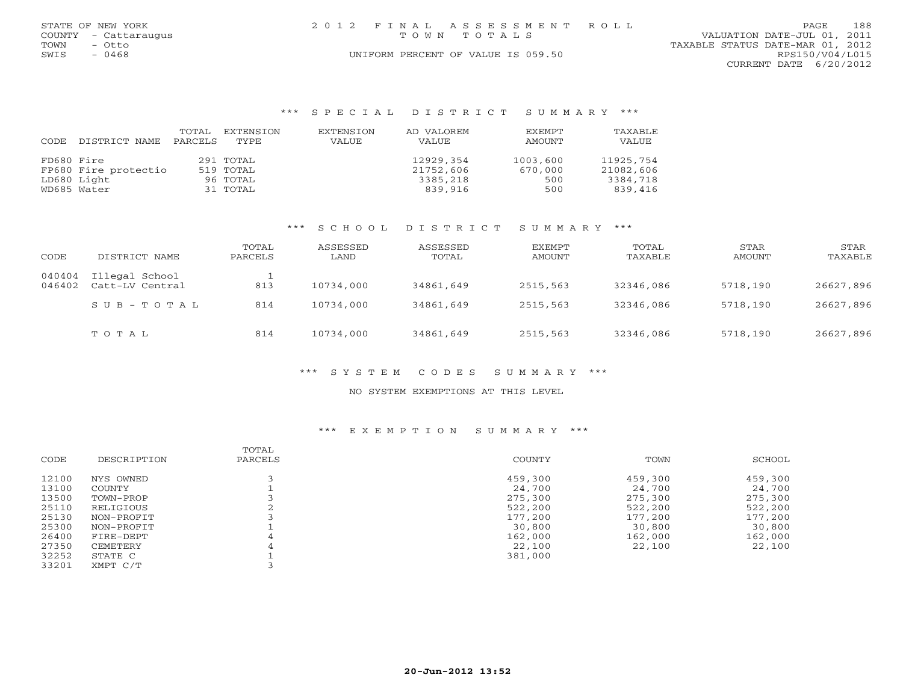|      | STATE OF NEW YORK    |  | 2012 FINAL ASSESSMENT ROLL         |                                  | PAGE | 188 |
|------|----------------------|--|------------------------------------|----------------------------------|------|-----|
|      | COUNTY - Cattaraugus |  | TOWN TOTALS                        | VALUATION DATE-JUL 01, 2011      |      |     |
| TOWN | - Otto               |  |                                    | TAXABLE STATUS DATE-MAR 01, 2012 |      |     |
| SWIS | - 0468               |  | UNIFORM PERCENT OF VALUE IS 059.50 | RPS150/V04/L015                  |      |     |
|      |                      |  |                                    | CURRENT DATE 6/20/2012           |      |     |

#### \*\*\* S P E C I A L D I S T R I C T S U M M A R Y \*\*\*

|            |                      | TOTAL   | EXTENSION | EXTENSION | AD VALOREM | EXEMPT   | TAXABLE   |
|------------|----------------------|---------|-----------|-----------|------------|----------|-----------|
| CODE       | DISTRICT NAME        | PARCELS | TYPE      | VALUE     | VALUE      | AMOUNT   | VALUE     |
| FD680 Fire |                      |         | 291 TOTAL |           | 12929,354  | 1003,600 | 11925,754 |
|            | FP680 Fire protectio |         | 519 TOTAL |           | 21752,606  | 670,000  | 21082,606 |
|            | LD680 Light          |         | 96 TOTAL  |           | 3385,218   | 500      | 3384,718  |
|            | WD685 Water          |         | 31 TOTAL  |           | 839,916    | 500      | 839,416   |

## \*\*\* S C H O O L D I S T R I C T S U M M A R Y \*\*\*

| CODE             | DISTRICT NAME                     | TOTAL<br>PARCELS | ASSESSED<br>LAND | ASSESSED<br>TOTAL | EXEMPT<br>AMOUNT | TOTAL<br>TAXABLE | STAR<br>AMOUNT | STAR<br>TAXABLE |
|------------------|-----------------------------------|------------------|------------------|-------------------|------------------|------------------|----------------|-----------------|
| 040404<br>046402 | Illegal School<br>Catt-LV Central | 813              | 10734,000        | 34861,649         | 2515,563         | 32346,086        | 5718,190       | 26627,896       |
|                  | $SUB - TO T AL$                   | 814              | 10734,000        | 34861,649         | 2515,563         | 32346,086        | 5718,190       | 26627,896       |
|                  | TOTAL                             | 814              | 10734,000        | 34861,649         | 2515,563         | 32346,086        | 5718,190       | 26627,896       |

### \*\*\* S Y S T E M C O D E S S U M M A R Y \*\*\*

#### NO SYSTEM EXEMPTIONS AT THIS LEVEL

|       |             | TOTAL   |         |         |         |
|-------|-------------|---------|---------|---------|---------|
| CODE  | DESCRIPTION | PARCELS | COUNTY  | TOWN    | SCHOOL  |
|       |             |         |         |         |         |
| 12100 | NYS OWNED   |         | 459,300 | 459,300 | 459,300 |
| 13100 | COUNTY      |         | 24,700  | 24,700  | 24,700  |
| 13500 | TOWN-PROP   |         | 275,300 | 275,300 | 275,300 |
| 25110 | RELIGIOUS   |         | 522,200 | 522,200 | 522,200 |
| 25130 | NON-PROFIT  |         | 177,200 | 177,200 | 177,200 |
| 25300 | NON-PROFIT  |         | 30,800  | 30,800  | 30,800  |
| 26400 | FIRE-DEPT   |         | 162,000 | 162,000 | 162,000 |
| 27350 | CEMETERY    |         | 22,100  | 22,100  | 22,100  |
| 32252 | STATE C     |         | 381,000 |         |         |
| 33201 | XMPT C/T    |         |         |         |         |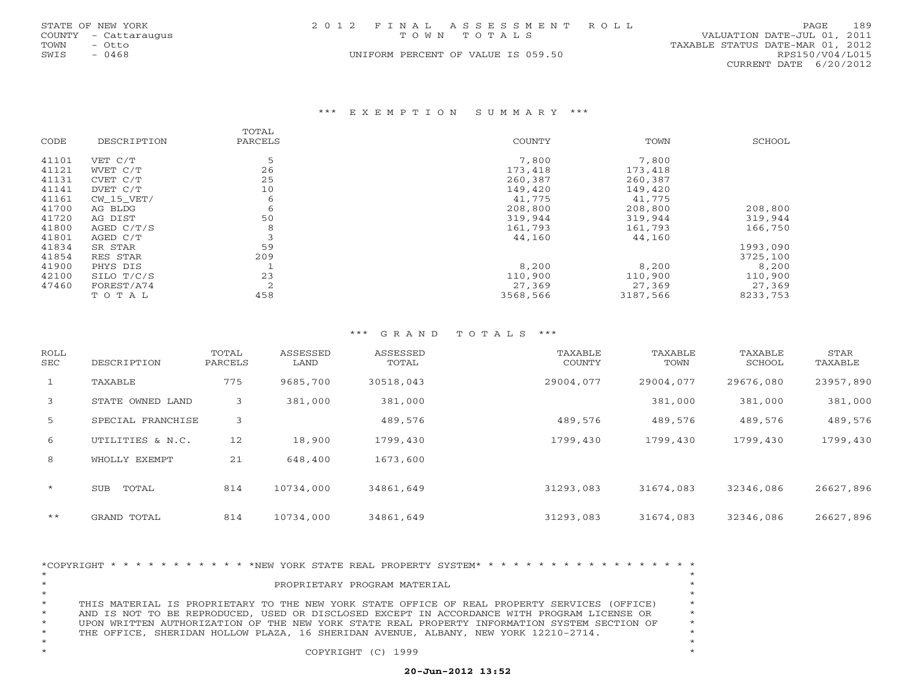|      | STATE OF NEW YORK    | 2012 FINAL ASSESSMENT ROLL         |                                  | <b>PAGE</b>            | 189 |
|------|----------------------|------------------------------------|----------------------------------|------------------------|-----|
|      | COUNTY - Cattaraugus | TOWN TOTALS                        | VALUATION DATE-JUL 01, 2011      |                        |     |
| TOWN | - Otto               |                                    | TAXABLE STATUS DATE-MAR 01, 2012 |                        |     |
| SWIS | - 0468               | UNIFORM PERCENT OF VALUE IS 059.50 |                                  | RPS150/V04/L015        |     |
|      |                      |                                    |                                  | CURRENT DATE 6/20/2012 |     |

#### \*\*\* E X E M P T I O N S U M M A R Y \*\*\*

|       |              | TOTAL   |          |          |          |
|-------|--------------|---------|----------|----------|----------|
| CODE  | DESCRIPTION  | PARCELS | COUNTY   | TOWN     | SCHOOL   |
| 41101 | VET C/T      |         | 7,800    | 7,800    |          |
| 41121 | WVET C/T     | 26      | 173,418  | 173,418  |          |
| 41131 | CVET C/T     | 25      | 260,387  | 260,387  |          |
| 41141 | DVET C/T     | 10      | 149,420  | 149,420  |          |
| 41161 | CW 15 VET/   | 6       | 41,775   | 41,775   |          |
| 41700 | AG BLDG      | 6       | 208,800  | 208,800  | 208,800  |
| 41720 | AG DIST      | 50      | 319,944  | 319,944  | 319,944  |
| 41800 | AGED $C/T/S$ | 8       | 161,793  | 161,793  | 166,750  |
| 41801 | AGED C/T     |         | 44,160   | 44,160   |          |
| 41834 | SR STAR      | 59      |          |          | 1993,090 |
| 41854 | RES STAR     | 209     |          |          | 3725,100 |
| 41900 | PHYS DIS     |         | 8,200    | 8,200    | 8,200    |
| 42100 | SILO T/C/S   | 23      | 110,900  | 110,900  | 110,900  |
| 47460 | FOREST/A74   | 2       | 27,369   | 27,369   | 27,369   |
|       | TOTAL        | 458     | 3568,566 | 3187,566 | 8233,753 |

## \*\*\* G R A N D T O T A L S \*\*\*

| ROLL<br>SEC  | DESCRIPTION       | TOTAL<br>PARCELS | ASSESSED<br>LAND | ASSESSED<br>TOTAL | TAXABLE<br>COUNTY | TAXABLE<br>TOWN | TAXABLE<br>SCHOOL | STAR<br>TAXABLE |
|--------------|-------------------|------------------|------------------|-------------------|-------------------|-----------------|-------------------|-----------------|
| $\mathbf{1}$ | TAXABLE           | 775              | 9685,700         | 30518,043         | 29004,077         | 29004,077       | 29676,080         | 23957,890       |
| 3            | STATE OWNED LAND  | 3                | 381,000          | 381,000           |                   | 381,000         | 381,000           | 381,000         |
| 5            | SPECIAL FRANCHISE | 3                |                  | 489,576           | 489,576           | 489,576         | 489,576           | 489,576         |
| 6            | UTILITIES & N.C.  | 12               | 18,900           | 1799,430          | 1799,430          | 1799,430        | 1799,430          | 1799,430        |
| 8            | WHOLLY EXEMPT     | 21               | 648,400          | 1673,600          |                   |                 |                   |                 |
| $\star$      | TOTAL<br>SUB      | 814              | 10734,000        | 34861,649         | 31293,083         | 31674,083       | 32346,086         | 26627,896       |
| $***$        | GRAND TOTAL       | 814              | 10734,000        | 34861,649         | 31293,083         | 31674,083       | 32346,086         | 26627,896       |

\*COPYRIGHT \* \* \* \* \* \* \* \* \* \* \* \*NEW YORK STATE REAL PROPERTY SYSTEM\* \* \* \* \* \* \* \* \* \* \* \* \* \* \* \* \* \* \* \*PROPRIETARY PROGRAM MATERIAL \* \*THIS MATERIAL IS PROPRIETARY TO THE NEW YORK STATE OFFICE OF REAL PROPERTY SERVICES (OFFICE) AND IS NOT TO BE REPRODUCED, USED OR DISCLOSED EXCEPT IN ACCORDANCE WITH PROGRAM LICENSE OR  $*$ UPON WRITTEN AUTHORIZATION OF THE NEW YORK STATE REAL PROPERTY INFORMATION SYSTEM SECTION OF  $\quad$ THE OFFICE, SHERIDAN HOLLOW PLAZA, 16 SHERIDAN AVENUE, ALBANY, NEW YORK 12210-2714. \* \* \*\* COPYRIGHT (C) 1999 \*

## **20-Jun-2012 13:52**